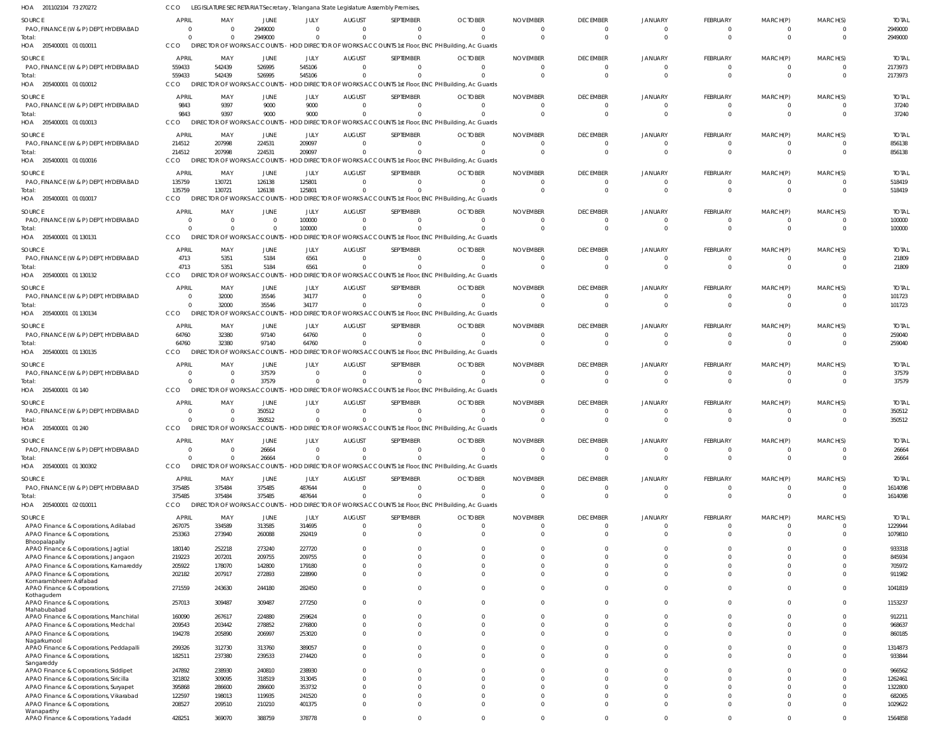201102104 73 270272 HOA 205400001 01 010011 HOA 205400001 01 010012 205400001 01 010013 HOA 205400001 01 010016 HOA 205400001 01 010017 205400001 01 130131 HOA 205400001 01 130132 HOA 205400001 01 130134 HOA 205400001 01 130135 HOA 205400001 01 140 HOA 205400001 01 240 205400001 01 300302 HOA 205400001 02 010011 HOA HOA HOA HOA LEGISLATURE SECRETARIAT Secretary , Telangana State Legislature Assembly Premises, CCO DIRECTOR OF WORKS ACCOUNTS - HOD DIRECTOR OF WORKS ACCOUNTS 1st Floor, ENC PH Building, Ac Guards DIRECTOR OF WORKS ACCOUNTS - HOD DIRECTOR OF WORKS ACCOUNTS 1st Floor, ENC PH Building, Ac Guards CCO DIRECTOR OF WORKS ACCOUNTS - HOD DIRECTOR OF WORKS ACCOUNTS 1st Floor, ENC PH Building, Ac Guards DIRECTOR OF WORKS ACCOUNTS - HOD DIRECTOR OF WORKS ACCOUNTS 1st Floor, ENC PH Building, Ac Guards DIRECTOR OF WORKS ACCOUNTS - HOD DIRECTOR OF WORKS ACCOUNTS 1st Floor, ENC PH Building, Ac Guards CCO DIRECTOR OF WORKS ACCOUNTS - HOD DIRECTOR OF WORKS ACCOUNTS 1st Floor, ENC PH Building, Ac Guards CCO DIRECTOR OF WORKS ACCOUNTS - HOD DIRECTOR OF WORKS ACCOUNTS 1st Floor, ENC PH Building, Ac Guards HOD DIRECTOR OF WORKS ACCOUNTS 1st Floor, ENC PH Building, Ac Guards CCO DIRECTOR OF WORKS ACCOUNTS - HOD DIRECTOR OF WORKS ACCOUNTS 1st Floor, ENC PH Building, Ac Guards DIRECTOR OF WORKS ACCOUNTS - HOD DIRECTOR OF WORKS ACCOUNTS 1st Floor, ENC PH Building, Ac Guards DIRECTOR OF WORKS ACCOUNTS - HOD DIRECTOR OF WORKS ACCOUNTS 1st Floor, ENC PH Building, Ac Guards CCO DIRECTOR OF WORKS ACCOUNTS - HOD DIRECTOR OF WORKS ACCOUNTS 1st Floor, ENC PH Building, Ac Guards DIRECTOR OF WORKS ACCOUNTS - HOD DIRECTOR OF WORKS ACCOUNTS 1st Floor, ENC PH Building, Ac Guards CCO CCO CCO CCO CCO DIRECTOR OF WORKS ACCOUNTS CCO CCO CCO 0 559433 9843 214512 135759  $\Omega$ 4713  $\Omega$ 64760 0  $\Omega$  $\Omega$ 375485 0 542439 9397 207998 130721  $\Omega$ 5351 32000 32380 0 0  $\Omega$ 375484 2949000 526995 9000 224531 126138  $\Omega$ 5184 35546 97140 37579 350512 26664 375485 0 545106 9000 209097 125801 100000 6561 34177 64760 0  $\Omega$  $\Omega$ 487644 0 0  $\Omega$ 0  $\Omega$  $\Omega$ 0  $\Omega$ 0 0  $\Omega$ 0 0 0 0  $\sqrt{2}$ 0  $\Omega$  $\bigcap$ 0  $\Omega$ 0 0  $\Omega$  $\Omega$ 0 0 0  $\bigcap$ 0  $\Omega$  $\Omega$ 0  $\Omega$  $\Omega$ 0  $\sqrt{2}$  $\Omega$ 0 0  $\Omega$  $\bigcap$ 0  $\Omega$  $\Omega$ 0  $\Omega$  $\Omega$ 0  $\Omega$ 0 0 0 0  $\Omega$ 0  $\Omega$ 0 0  $\Omega$ 0 0  $\Omega$ 0 0 0 0 0  $\mathbf{C}$  $\Omega$ 0 0  $\Omega$ 0  $\mathbf{C}$  $\Omega$ 0 0 0 0  $\bigcap$ 0  $\Omega$  $\Omega$ 0  $\Omega$  $\Omega$ 0  $\Omega$ 0 0 0 0 0 0  $\Omega$ 0 0  $\Omega$ 0 0  $\Omega$ 0 0 0 0  $\Omega$ 0  $\Omega$  $\Omega$ 0  $\Omega$  $\Omega$ 0  $\Omega$ 0 0 2949000 2173973 37240 856138 518419 100000 21809 101723 259040 37579 350512 26664 1614098 PAO, FINANCE (W & P) DEPT, HYDERABAD PAO, FINANCE (W & P) DEPT, HYDERABAD PAO, FINANCE (W & P) DEPT, HYDERABAD PAO, FINANCE (W & P) DEPT, HYDERABAD PAO, FINANCE (W & P) DEPT, HYDERABAD PAO, FINANCE (W & P) DEPT, HYDERABAD PAO, FINANCE (W & P) DEPT, HYDERABAD PAO, FINANCE (W & P) DEPT, HYDERABAD PAO, FINANCE (W & P) DEPT, HYDERABAD PAO, FINANCE (W & P) DEPT, HYDERABAD PAO, FINANCE (W & P) DEPT, HYDERABAD PAO, FINANCE (W & P) DEPT, HYDERABAD PAO, FINANCE (W & P) DEPT, HYDERABAD APAO Finance & Corporations, Adilabad APAO Finance & Corporations, Bhoopalapally APAO Finance & Corporations, Jagtial APAO Finance & Corporations, Jangaon APAO Finance & Corporations, Kamareddy APAO Finance & Corporations, Komarambheem Asifabad APAO Finance & Corporations, Kothagudem APAO Finance & Corporations, Mahabubabad APAO Finance & Corporations, Manchirial APAO Finance & Corporations, Medchal APAO Finance & Corporations, Nagarkurnool APAO Finance & Corporations, Peddapalli APAO Finance & Corporations, Sangareddy APAO Finance & Corporations, Siddipet APAO Finance & Corporations, Siricilla APAO Finance & Corporations, Suryapet APAO Finance & Corporations, Vikarabad APAO Finance & Corporations, Wanaparthy APAO Finance & Corporations, Yadadri SOURCE SOURCE SOURCE **SOURCE** SOURCE SOURCE **SOURCE** SOURCE SOURCE **SOURCE SOURCE SOURCE SOURCE SOURCE** 0 559433 9843 214512 135759 0 4713 0 64760 0 0 0 375485 267075 253363 180140 219223 205922 202182 271559 257013 160090 209543 194278 299326 182511 247892 321802 395868 122597 208527 428251 APRIL APRIL APRIL APRIL APRIL APRIL APRIL APRIL APRIL APRIL APRIL APRIL APRIL APRIL 0 542439 9397 207998 130721 0 5351 32000 32380 0 0 0 375484 334589 273940 252218 207201 178070 207917 243630 309487 267617 203442 205890 312730 237380 238930 309095 286600 198013 209510 369070 MAY MAY MAY MAY MAY MAY MAY MAY MAY MAY MAY MAY MAY MAY 2949000 526995 9000 224531 126138 0 5184 35546 97140 37579 350512 26664 375485 313585 260088 273240 209755 142800 272893 244180 309487 224880 278852 206997 313760 239533 240810 318519 286600 119935 210210 388759 JUNE JUNE JUNE JUNE JUNE JUNE JUNE JUNE JUNE JUNE JUNE JUNE JUNE **JUNE** 0 545106 9000 209097 125801 100000 6561 34177 64760 0 0 0 487644 314695 292419 227720 209755 179180 228990 282450 277250 259624 276800 253020 389057 274420 238930 313045 353732 241520 401375 378778 JULY JULY JULY JULY JULY JULY JULY JULY JULY JULY JULY JULY JULY JULY 0 0 0  $\Omega$ 0 0 0 0 0 0 0 0 0 0  $\Omega$  $\Omega$  $\Omega$ 0 0 0 0  $\Omega$ 0 0 0 0 0  $\Omega$  $\,$  0  $\,$ 0  $\theta$ 0 AUGUST AUGUST AUGUST AUGUST AUGUST AUGUST AUGUST AUGUST AUGUST AUGUST AUGUST AUGUST AUGUST AUGUST  $\Omega$ 0  $\Omega$  $\Omega$ 0  $\Omega$  $\sqrt{2}$ 0 0  $\Omega$ 0 0  $\Omega$ 0  $\Omega$  $\Omega$  $\Omega$ 0 0 0  $\Omega$  $\bigcap$ 0  $\Omega$ 0 0 0  $\Omega$ 0  $\Omega$  $\Omega$  $\Omega$ SEPTEMBER **SEPTEMBER** SEPTEMBER SEPTEMBER SEPTEMBER SEPTEMBER SEPTEMBER **SEPTEMBER** SEPTEMBER SEPTEMBER SEPTEMBER SEPTEMBER SEPTEMBER SEPTEMBER  $\Omega$ 0 0  $\Omega$ 0 0  $\Omega$ 0 0  $\Omega$ 0 0 0 0  $\Omega$  $\Omega$  $\Omega$ 0  $\Omega$ 0 0  $\Omega$ 0  $\Omega$ 0 0 0  $\Omega$ 0 0  $\Omega$  $\Omega$ OCTOBER OCTOBER OCTOBER **OCTOBER** OCTOBER **OCTOBER OCTOBER OCTOBER OCTOBER OCTOBER OCTOBER** OCTOBER **OCTOBER OCTOBER**  $\Omega$ 0  $\Omega$  $\Omega$ 0  $\Omega$ 0 0  $\Omega$ 0 0  $\Omega$ 0 0  $\Omega$  $\Omega$  $\sqrt{2}$ 0  $\Omega$ 0 0 0 0  $\Omega$ 0 0 0  $\bigcap$ 0  $\Omega$  $\Omega$ 0 NOVEMBER NOVEMBER NOVEMBER NOVEMBER NOVEMBER NOVEMBER NOVEMBER NOVEMBER NOVEMBER NOVEMBER NOVEMBER NOVEMBER NOVEMBER NOVEMBER  $\Omega$ 0  $\Omega$  $\Omega$ 0 0 0 0 0  $\bigcap$ 0 0 0 0  $\Omega$  $\Omega$  $\Omega$ 0 0 0  $\bigcap$  $\bigcap$ 0 0 0 0 0  $\Omega$ 0  $\Omega$  $\Omega$ 0 DECEMBER **DECEMBER DECEMBER** DECEMBER DECEMBER DECEMBER DECEMBER **DECEMBER** DECEMBER DECEMBER DECEMBER DECEMBER DECEMBER **DECEMBER** 0 0 0  $\Omega$  $\mathbf{C}$ 0  $\Omega$ 0 0  $\Omega$ 0 0 0  $\mathbf{C}$  $\Omega$  $\Omega$  $\Omega$ 0 0 0 0  $\sqrt{2}$ 0  $\Omega$ 0  $\Omega$ 0  $\Omega$ 0  $\Omega$  $\Omega$ 0 JANUARY JANUARY JANUARY JANUARY JANUARY JANUARY JANUARY JANUARY JANUARY JANUARY JANUARY JANUARY JANUARY JANUARY  $\Omega$ 0  $\Omega$ 0 0  $\Omega$ 0 0  $\Omega$ 0 0  $\Omega$  $\Omega$ 0  $\Omega$  $\Omega$  $\sqrt{2}$ 0  $\Omega$ 0 0 0 0  $\Omega$ 0  $\Omega$ 0  $\sqrt{2}$ 0  $\Omega$  $\Omega$  $\Omega$ FEBRUARY **FEBRUARY** FEBRUARY FEBRUARY FEBRUARY FEBRUARY FEBRUARY **FEBRUARY** FEBRUARY FEBRUARY FEBRUARY FEBRUARY FEBRUARY FEBRUARY 0 0  $\Omega$  $\Omega$ 0 0  $\Omega$ 0 0  $\Omega$ 0 0 0 0  $\Omega$  $\Omega$  $\Omega$ 0 0 0 0  $\Omega$ 0 0 0 0 0  $\Omega$ 0  $\Omega$  $\Omega$ 0 MARCH(P) MARCH(P) MARCH(P) MARCH(P) MARCH(P) MARCH(P) MARCH(P) MARCH(P) MARCH(P) MARCH(P) MARCH(P) MARCH(P) MARCH(P) MARCH(P)  $\Omega$ 0 0 0 0  $\Omega$ 0 0  $\Omega$ 0 0  $\Omega$ 0 0  $\Omega$  $\Omega$  $\bigcap$ 0 0 0  $\Omega$  $\bigcap$ 0  $\Omega$ 0 0 0  $\Omega$ 0  $\Omega$  $\Omega$  $\Omega$ MARCH(S) MARCH(S) MARCH(S) MARCH(S) MARCH(S) MARCH(S) MARCH(S) MARCH(S) MARCH(S) MARCH(S) MARCH(S) MARCH(S) MARCH(S) MARCH(S) 2949000 2173973 37240 856138 518419 100000 21809 101723 259040 37579 350512 26664 1614098 1229944 1079810 933318 845934 705972 911982 1041819 1153237 912211 968637 860185 1314873 933844 966562 1262461 1322800 682065 1029622 1564858 TOTAL TOTAL TOTAL TOTAL TOTAL TOTAL TOTAL TOTAL TOTAL TOTAL TOTAL TOTAL TOTAL TOTAL Total: Total: Total: Total: Total: Total: Total: Total: Total: Total: Total: Total: Total: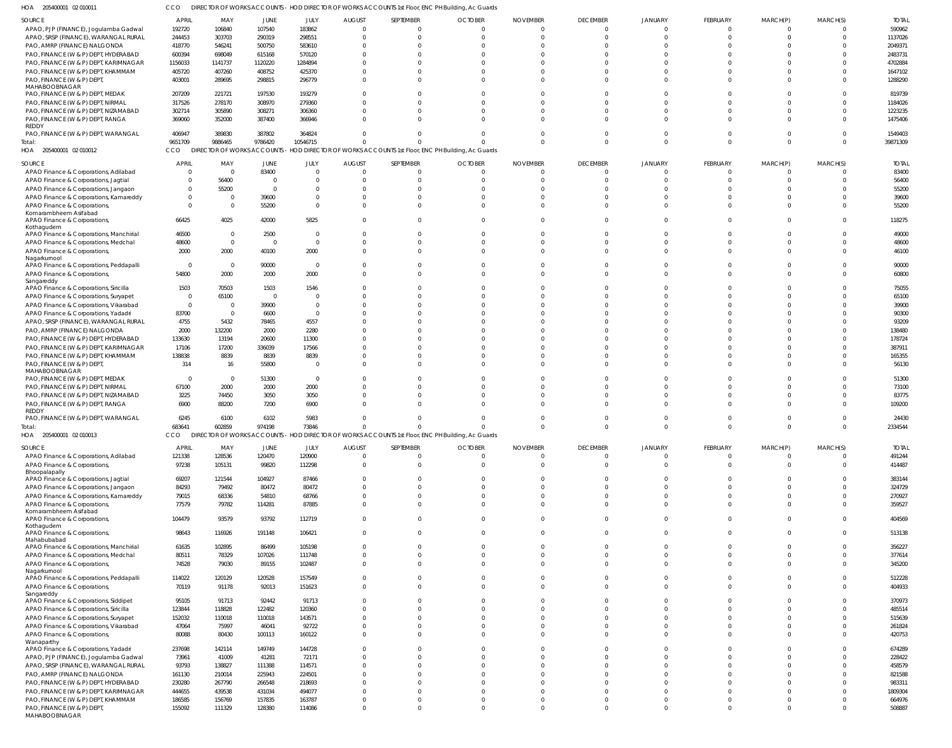205400001 02 010011 HOA CCO DIRECTOR OF WORKS ACCOUNTS - HOD DIRECTOR OF WORKS ACCOUNTS 1st Floor, ENC PH Building, Ac Guards

| SOURCE                                                                          | <b>APRIL</b>   | MAY            | JUNE            | JULY           | <b>AUGUST</b> | SEPTEMBER | <b>OCTOBER</b>                                                                                    | <b>NOVEMBER</b>      | <b>DECEMBER</b> | JANUARY        | FEBRUARY | MARCH(P) | MARCH(S)       | <b>TOTAL</b>     |
|---------------------------------------------------------------------------------|----------------|----------------|-----------------|----------------|---------------|-----------|---------------------------------------------------------------------------------------------------|----------------------|-----------------|----------------|----------|----------|----------------|------------------|
| APAO, PJP (FINANCE), Jogulamba Gadwal                                           | 192720         | 106840         | 107540          | 183862         | $\Omega$      |           |                                                                                                   | $\Omega$<br>$\Omega$ | $\Omega$        | $\Omega$       | $\Omega$ | $\Omega$ | $\Omega$       | 590962           |
| APAO, SRSP (FINANCE), WARANGAL RURAL                                            | 244453         | 303703         | 290319          | 298551         |               | $\Omega$  |                                                                                                   | $\Omega$<br>$\Omega$ | $\Omega$        | C              | $\Omega$ | $\Omega$ | $\Omega$       | 1137026          |
| PAO, AMRP (FINANCE) NALGONDA                                                    | 418770         | 546241         | 500750          | 583610         |               | $\Omega$  |                                                                                                   |                      | $\Omega$        |                | $\Omega$ |          | $\Omega$       | 2049371          |
| PAO, FINANCE (W & P) DEPT, HYDERABAD                                            | 600394         | 698049         | 615168          | 570120         |               |           |                                                                                                   |                      | $\Omega$        |                |          |          | $\Omega$       | 2483731          |
| PAO, FINANCE (W & P) DEPT, KARIMNAGAR                                           | 1156033        | 1141737        | 1120220         | 1284894        |               |           |                                                                                                   |                      | C               |                |          |          | $\Omega$       | 4702884          |
| PAO, FINANCE (W & P) DEPT, KHAMMAM                                              | 405720         | 407260         | 408752          | 425370         |               |           |                                                                                                   |                      | $\Omega$        |                |          |          | $\Omega$       | 1647102          |
| PAO, FINANCE (W & P) DEPT,                                                      | 403001         | 289695         | 298815          | 296779         |               |           |                                                                                                   |                      | $\Omega$        |                | $\Omega$ |          | $\Omega$       | 1288290          |
| MAHABOOBNAGAR<br>PAO, FINANCE (W & P) DEPT, MEDAK                               | 207209         | 221721         | 197530          | 193279         |               |           |                                                                                                   |                      | $\Omega$        |                |          |          | $\Omega$       | 819739           |
| PAO, FINANCE (W & P) DEPT, NIRMAL                                               | 317526         | 278170         | 308970          | 279360         |               |           |                                                                                                   |                      | $\Omega$        |                | $\cap$   |          | $\Omega$       | 1184026          |
| PAO, FINANCE (W & P) DEPT, NIZAMABAD                                            | 302714         | 305890         | 308271          | 306360         |               |           |                                                                                                   | $\Omega$             | $\Omega$        |                | $\Omega$ | $\cap$   | $\Omega$       | 1223235          |
| PAO, FINANCE (W & P) DEPT, RANGA                                                | 369060         | 352000         | 387400          | 366946         |               |           |                                                                                                   | $\Omega$             | $\Omega$        | $\Omega$       | $\Omega$ | $\Omega$ | $\Omega$       | 1475406          |
| REDDY                                                                           |                |                |                 |                |               |           |                                                                                                   |                      |                 |                |          |          |                |                  |
| PAO, FINANCE (W & P) DEPT, WARANGAL                                             | 406947         | 389830         | 387802          | 364824         |               |           |                                                                                                   | $\Omega$             | $\Omega$        | C              | $\Omega$ | $\Omega$ | $\Omega$       | 1549403          |
| Total:                                                                          | 9651709        | 9886465        | 9786420         | 10546715       | O             | $\Omega$  |                                                                                                   | $\Omega$             | $\Omega$        | $\Omega$       | $\Omega$ | $\Omega$ | $\Omega$       | 39871309         |
| HOA 205400001 02 010012                                                         | CCO            |                |                 |                |               |           | DIRECTOR OF WORKS ACCOUNTS - HOD DIRECTOR OF WORKS ACCOUNTS 1st Floor, ENC PH Building, Ac Guards |                      |                 |                |          |          |                |                  |
| SOURCE                                                                          | <b>APRIL</b>   | MAY            | <b>JUNE</b>     | JULY           | <b>AUGUST</b> | SEPTEMBER | <b>OCTOBER</b>                                                                                    | <b>NOVEMBER</b>      | <b>DECEMBER</b> | <b>JANUARY</b> | FEBRUARY | MARCH(P) | MARCH(S)       | <b>TOTAL</b>     |
| APAO Finance & Corporations, Adilabad                                           | $\Omega$       | - 0            | 83400           | $\Omega$       | $\Omega$      | $\Omega$  |                                                                                                   | $\Omega$<br>$\Omega$ | $\Omega$        | $\Omega$       | $\Omega$ | $\Omega$ | $\Omega$       | 83400            |
| APAO Finance & Corporations, Jagtial                                            | $\Omega$       | 56400          | $\Omega$        | $\Omega$       |               |           |                                                                                                   |                      | $\Omega$        |                | $\Omega$ | $\cap$   | $\Omega$       | 56400            |
| APAO Finance & Corporations, Jangaon                                            | $\Omega$       | 55200          | $\Omega$        | $\Omega$       |               |           |                                                                                                   |                      | $\Omega$        |                | - 0      |          | $\Omega$       | 55200            |
| APAO Finance & Corporations, Kamareddy                                          | $\Omega$       | $\Omega$       | 39600           | $\Omega$       |               |           |                                                                                                   |                      | $\Omega$        |                | $\Omega$ |          |                | 39600            |
| APAO Finance & Corporations,                                                    | $\Omega$       | $\Omega$       | 55200           | $\Omega$       |               |           |                                                                                                   |                      | $\Omega$        | $\Omega$       | $\Omega$ | $\cap$   | $\Omega$       | 55200            |
| Komarambheem Asifabad                                                           |                |                |                 |                |               |           |                                                                                                   |                      |                 |                |          |          |                |                  |
| APAO Finance & Corporations,                                                    | 66425          | 4025           | 42000           | 5825           |               |           |                                                                                                   |                      | $\Omega$        | $\Omega$       | $\Omega$ | $\cap$   | $\Omega$       | 118275           |
| Kothagudem                                                                      | 46500          | $\Omega$       | 2500            | $\Omega$       |               |           |                                                                                                   | $\Omega$             | $\Omega$        | $\Omega$       | $\Omega$ | $\cap$   | $\Omega$       | 49000            |
| APAO Finance & Corporations, Manchirial<br>APAO Finance & Corporations, Medchal | 48600          | $\Omega$       | $\Omega$        | $\Omega$       |               |           |                                                                                                   |                      | $\Omega$        |                | $\Omega$ |          | $\Omega$       | 48600            |
| APAO Finance & Corporations,                                                    | 2000           | 2000           | 40100           | 2000           |               |           |                                                                                                   |                      | $\Omega$        | $\Omega$       | $\Omega$ | $\Omega$ | $\Omega$       | 46100            |
| Nagarkurnool                                                                    |                |                |                 |                |               |           |                                                                                                   |                      |                 |                |          |          |                |                  |
| APAO Finance & Corporations, Peddapalli                                         | $\overline{0}$ | $\overline{0}$ | 90000           | $\overline{0}$ |               |           |                                                                                                   |                      | $\Omega$        | C              | $\Omega$ |          | $\Omega$       | 90000            |
| APAO Finance & Corporations,                                                    | 54800          | 2000           | 2000            | 2000           |               |           |                                                                                                   | $\Omega$             | $\Omega$        | $\Omega$       | $\Omega$ | $\Omega$ | $\Omega$       | 60800            |
| Sangareddy                                                                      |                |                |                 |                |               |           |                                                                                                   |                      |                 |                |          |          |                |                  |
| APAO Finance & Corporations, Siricilla                                          | 1503           | 70503          | 1503            | 1546           |               |           |                                                                                                   |                      | C               |                |          |          | $\Omega$       | 75055            |
| APAO Finance & Corporations, Suryapet                                           | $\overline{0}$ | 65100          | $\Omega$        | $\Omega$       |               |           |                                                                                                   |                      | $\Omega$        |                |          |          | $\Omega$       | 65100            |
| APAO Finance & Corporations, Vikarabad                                          | $\overline{0}$ | $\Omega$       | 39900           | $\Omega$       |               |           |                                                                                                   |                      |                 |                |          |          | $\Omega$       | 39900            |
| APAO Finance & Corporations, Yadadri                                            | 83700          | $\overline{0}$ | 6600            | $\Omega$       |               |           |                                                                                                   |                      |                 |                |          |          |                | 90300            |
| APAO, SRSP (FINANCE), WARANGAL RURAL                                            | 4755           | 5432           | 78465           | 4557           |               |           |                                                                                                   |                      |                 |                |          |          |                | 93209            |
| PAO, AMRP (FINANCE) NALGONDA                                                    | 2000           | 132200         | 2000            | 2280           |               |           |                                                                                                   |                      |                 |                |          |          | $\Omega$       | 138480           |
| PAO, FINANCE (W & P) DEPT, HYDERABAD                                            | 133630         | 13194          | 20600           | 11300          |               |           |                                                                                                   |                      |                 |                |          |          |                | 178724           |
| PAO, FINANCE (W & P) DEPT, KARIMNAGAR                                           | 17106          | 17200          | 336039          | 17566          |               |           |                                                                                                   |                      | $\Omega$        |                |          |          | $\Omega$       | 387911           |
| PAO, FINANCE (W & P) DEPT, KHAMMAM                                              | 138838         | 8839           | 8839            | 8839           |               |           |                                                                                                   |                      | $\Omega$        |                |          |          | $\Omega$       | 165355           |
| PAO, FINANCE (W & P) DEPT,<br>MAHABOOBNAGAR                                     | 314            | 16             | 55800           | $\Omega$       |               |           |                                                                                                   |                      | $\Omega$        |                |          |          | $\Omega$       | 56130            |
| PAO, FINANCE (W & P) DEPT, MEDAK                                                | $\overline{0}$ | $\overline{0}$ | 51300           | $\Omega$       |               |           |                                                                                                   |                      |                 |                |          |          |                | 51300            |
| PAO, FINANCE (W & P) DEPT, NIRMAL                                               | 67100          | 2000           | 2000            | 2000           |               |           |                                                                                                   |                      | -C              |                |          |          | $\Omega$       | 73100            |
| PAO, FINANCE (W & P) DEPT, NIZAMABAD                                            | 3225           | 74450          | 3050            | 3050           |               |           |                                                                                                   |                      | $\Omega$        |                |          |          | $\Omega$       | 83775            |
| PAO, FINANCE (W & P) DEPT, RANGA                                                | 6900           | 88200          | 7200            | 6900           |               |           |                                                                                                   |                      |                 |                |          |          |                | 109200           |
| <b>REDDY</b>                                                                    |                |                |                 |                |               |           |                                                                                                   |                      |                 |                |          |          |                |                  |
| PAO, FINANCE (W & P) DEPT, WARANGAL                                             | 6245           | 6100           | 6102            | 5983           |               |           |                                                                                                   |                      | $\Omega$        |                |          |          |                | 24430            |
| Total:                                                                          | 683641         | 602859         | 974198          | 73846          | $\Omega$      | $\Omega$  |                                                                                                   | $\Omega$             | $\Omega$        | $\Omega$       | $\Omega$ | $\Omega$ | $\Omega$       | 2334544          |
| HOA 205400001 02 010013                                                         | CCO            |                |                 |                |               |           | DIRECTOR OF WORKS ACCOUNTS - HOD DIRECTOR OF WORKS ACCOUNTS 1st Floor, ENC PH Building, Ac Guards |                      |                 |                |          |          |                |                  |
| SOURCE                                                                          | <b>APRIL</b>   | MAY            | JUNE            | JULY           | <b>AUGUST</b> | SEPTEMBER | <b>OCTOBER</b>                                                                                    | <b>NOVEMBER</b>      | <b>DECEMBER</b> | <b>JANUARY</b> | FEBRUARY | MARCH(P) | MARCH(S)       | <b>TOTAL</b>     |
| APAO Finance & Corporations, Adilabad                                           | 121338         | 128536         | 120470          | 120900         | $\Omega$      | $\Omega$  | $\Omega$                                                                                          | $\Omega$             | $\overline{0}$  | $\overline{0}$ | $\Omega$ | $\Omega$ | $\overline{0}$ | 491244           |
| APAO Finance & Corporations,                                                    | 97238          | 105131         | 99820           | 112298         | $\Omega$      | $\Omega$  |                                                                                                   | $\Omega$<br>$\Omega$ | $\Omega$        | $\Omega$       | $\Omega$ | $\Omega$ | $\Omega$       | 414487           |
| Bhoopalapally                                                                   |                |                |                 |                |               |           |                                                                                                   |                      |                 |                |          |          |                |                  |
| APAO Finance & Corporations, Jagtial                                            | 69207          | 121544         | 104927          | 87466          | $\Omega$      | $\Omega$  |                                                                                                   | $\Omega$<br>$\Omega$ | $\Omega$        | $\Omega$       | $\Omega$ | $\Omega$ | $\Omega$       | 383144           |
| APAO Finance & Corporations, Jangaon                                            | 84293          | 79492          | 80472           | 80472          |               | $\Omega$  |                                                                                                   | $\Omega$<br>$\Omega$ | $\Omega$        | $\Omega$       | $\Omega$ | $\Omega$ | $\Omega$       | 324729           |
| APAO Finance & Corporations, Kamareddy                                          | 79015          | 68336          | 54810           | 68766          | U             | $\Omega$  |                                                                                                   | $\Omega$<br>$\Omega$ | $\Omega$        | $\Omega$       | $\Omega$ | $\Omega$ | $\Omega$       | 270927           |
| APAO Finance & Corporations,<br>Komarambheem Asifabad                           | 77579          | 79782          | 114281          | 87885          | O             | $\Omega$  |                                                                                                   | $\Omega$<br>$\Omega$ | $\Omega$        | $\Omega$       | $\Omega$ | $\Omega$ | $\Omega$       | 359527           |
| APAO Finance & Corporations,                                                    | 104479         | 93579          | 93792           | 112719         | $\Omega$      | $\Omega$  |                                                                                                   | $\Omega$<br>$\Omega$ | $\Omega$        | $\Omega$       | $\Omega$ | $\Omega$ | $\Omega$       | 404569           |
| Kothagudem                                                                      |                |                |                 |                |               |           |                                                                                                   |                      |                 |                |          |          |                |                  |
| APAO Finance & Corporations,                                                    | 98643          | 116926         | 191148          | 106421         | $\Omega$      | $\Omega$  |                                                                                                   | $\Omega$<br>$\Omega$ | $\Omega$        | $\Omega$       | $\Omega$ | $\Omega$ | $\Omega$       | 513138           |
| Mahabubabad                                                                     |                |                |                 |                |               | $\Omega$  |                                                                                                   | $\Omega$<br>$\Omega$ | $\Omega$        | $\Omega$       | $\Omega$ | $\Omega$ | $\Omega$       |                  |
| APAO Finance & Corporations, Manchirial                                         | 61635          | 102895         | 86499           | 105198         | $\Omega$<br>O | $\Omega$  |                                                                                                   | $\Omega$<br>$\Omega$ | $\Omega$        | $\Omega$       | $\Omega$ | $\Omega$ | $\Omega$       | 356227           |
| APAO Finance & Corporations, Medchal<br>APAO Finance & Corporations,            | 80511          | 78329<br>79030 | 107026<br>89155 | 111748         | $\Omega$      | $\Omega$  |                                                                                                   | $\Omega$<br>$\Omega$ | $\Omega$        | $\Omega$       | $\Omega$ | $\Omega$ | $\Omega$       | 377614<br>345200 |
| Nagarkurnool                                                                    | 74528          |                |                 | 102487         |               |           |                                                                                                   |                      |                 |                |          |          |                |                  |
| APAO Finance & Corporations, Peddapalli                                         | 114022         | 120129         | 120528          | 157549         | $\Omega$      | $\Omega$  |                                                                                                   | $\Omega$<br>$\Omega$ | $\Omega$        | $\Omega$       | $\Omega$ | $\Omega$ | $\Omega$       | 512228           |
| APAO Finance & Corporations,                                                    | 70119          | 91178          | 92013           | 151623         | $\Omega$      | $\Omega$  | $\Omega$                                                                                          | $\Omega$             | $\Omega$        | $\Omega$       | $\Omega$ | $\Omega$ | $\Omega$       | 404933           |
| Sangareddy                                                                      |                |                |                 |                |               |           |                                                                                                   |                      |                 |                |          |          |                |                  |
| APAO Finance & Corporations, Siddipet                                           | 95105          | 91713          | 92442           | 91713          |               | $\Omega$  |                                                                                                   | $\Omega$<br>$\Omega$ | $\Omega$        | $\Omega$       | $\Omega$ | $\Omega$ | $\Omega$       | 370973           |
| APAO Finance & Corporations, Siricilla                                          | 123844         | 118828         | 122482          | 120360         |               | $\Omega$  |                                                                                                   | $\Omega$<br>$\Omega$ | $\Omega$        | $\Omega$       | $\Omega$ | $\Omega$ | $\Omega$       | 485514           |
| APAO Finance & Corporations, Suryapet                                           | 152032         | 110018         | 110018          | 143571         |               | $\Omega$  |                                                                                                   | $\Omega$<br>$\Omega$ | $\Omega$        | $\Omega$       | $\Omega$ | $\Omega$ | $\Omega$       | 515639           |
| APAO Finance & Corporations, Vikarabad                                          | 47064          | 75997          | 46041           | 92722          |               |           |                                                                                                   | $\Omega$<br>$\Omega$ | $\Omega$        | $\Omega$       | $\Omega$ | $\Omega$ | $\Omega$       | 261824           |
| APAO Finance & Corporations,                                                    | 80088          | 80430          | 100113          | 160122         | O             | $\Omega$  |                                                                                                   | $\Omega$<br>$\Omega$ | $\Omega$        | $\Omega$       | $\Omega$ | $\Omega$ | $\Omega$       | 420753           |
| Wanaparthy<br>APAO Finance & Corporations, Yadadri                              | 237698         | 142114         | 149749          | 144728         |               |           |                                                                                                   | $\Omega$<br>$\Omega$ | $\Omega$        | $\Omega$       | $\Omega$ | $\Omega$ | $\Omega$       | 674289           |
| APAO, PJP (FINANCE), Jogulamba Gadwal                                           | 73961          | 41009          | 41281           | 72171          |               | $\Omega$  |                                                                                                   | $\Omega$<br>$\Omega$ | $\Omega$        | $\Omega$       | $\Omega$ | $\Omega$ | $\Omega$       | 228422           |
| APAO, SRSP (FINANCE), WARANGAL RURAL                                            | 93793          | 138827         | 111388          | 114571         |               |           |                                                                                                   | $\Omega$<br>$\Omega$ | $\Omega$        | $\Omega$       | $\Omega$ | $\Omega$ | $\Omega$       | 458579           |
| PAO, AMRP (FINANCE) NALGONDA                                                    | 161130         | 210014         | 225943          | 224501         |               | $\Omega$  |                                                                                                   | $\Omega$             | $\Omega$        | $\Omega$       | $\Omega$ | $\Omega$ | $\Omega$       | 821588           |
| PAO, FINANCE (W & P) DEPT, HYDERABAD                                            | 230280         | 267790         | 266548          | 218693         |               |           |                                                                                                   | $\Omega$             | $\Omega$        | $\Omega$       | $\Omega$ | $\Omega$ | $\Omega$       | 983311           |
| PAO, FINANCE (W & P) DEPT, KARIMNAGAR                                           | 444655         | 439538         | 431034          | 494077         |               | $\Omega$  |                                                                                                   | $\Omega$<br>$\Omega$ | $\Omega$        | $\Omega$       | $\Omega$ | $\Omega$ | $\Omega$       | 1809304          |
| PAO, FINANCE (W & P) DEPT, KHAMMAM                                              | 186585         | 156769         | 157835          | 163787         |               | $\Omega$  |                                                                                                   | $\Omega$<br>$\Omega$ | $\Omega$        | $\Omega$       | $\Omega$ | $\Omega$ | $\Omega$       | 664976           |
| PAO, FINANCE (W & P) DEPT,<br>MAHABOOBNAGAR                                     | 155092         | 111329         | 128380          | 114086         | O             | $\Omega$  |                                                                                                   | $\Omega$<br>$\Omega$ | $\Omega$        | $\Omega$       | $\Omega$ | $\Omega$ | $\Omega$       | 508887           |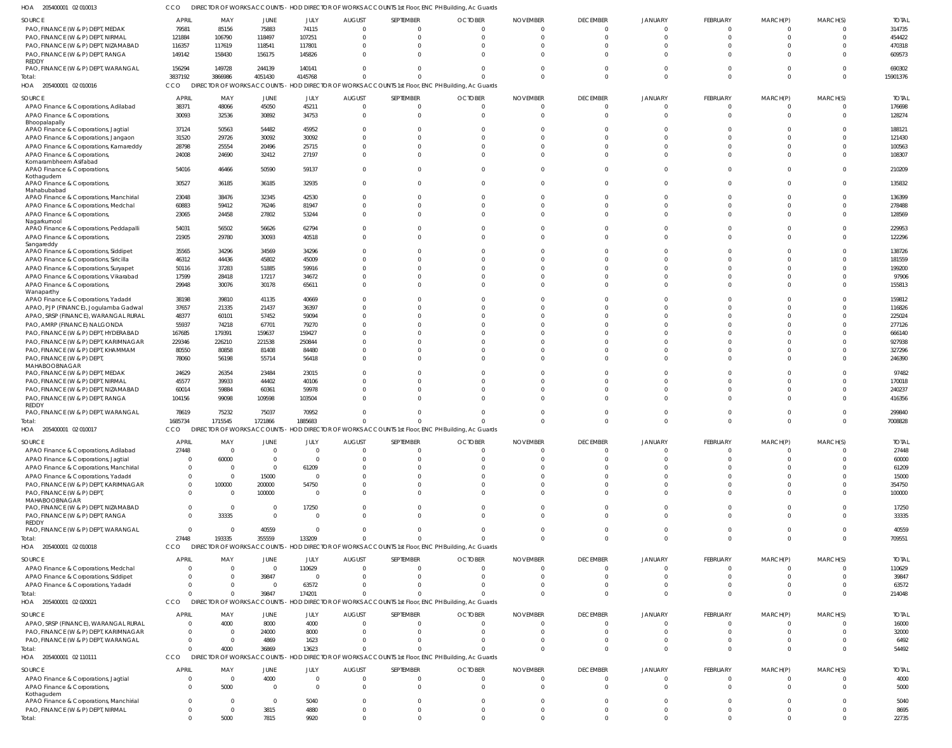| PAO, FINANCE (W & P) DEPT, MEDAK                      | 79581          | 85156          | 75883          | 74115          |                      |                                                                                                   |                      | <sup>0</sup>         |                      |                | $\Omega$        | $\cup$               |          |
|-------------------------------------------------------|----------------|----------------|----------------|----------------|----------------------|---------------------------------------------------------------------------------------------------|----------------------|----------------------|----------------------|----------------|-----------------|----------------------|----------|
| PAO, FINANCE (W & P) DEPT, NIRMAL                     | 121884         | 106790         | 118497         | 107251         | $\Omega$             | $\Omega$                                                                                          | $\Omega$             | 0                    |                      |                | $\Omega$        | $\Omega$             |          |
| PAO, FINANCE (W & P) DEPT, NIZAMABAD                  | 116357         | 117619         | 118541         | 117801         | $\Omega$             | $\Omega$                                                                                          | $\Omega$             | 0                    |                      |                | $\Omega$        | $\Omega$             |          |
| PAO, FINANCE (W & P) DEPT, RANGA                      | 149142         | 158430         | 156175         | 145826         | $\Omega$             | $\Omega$                                                                                          | $\Omega$             | $\Omega$             |                      |                | $\Omega$        | $\cup$               |          |
| REDDY                                                 |                |                |                |                |                      |                                                                                                   |                      |                      |                      |                |                 |                      |          |
| PAO, FINANCE (W & P) DEPT, WARANGAL                   | 156294         | 149728         | 244139         | 140141         | $\Omega$             | $\Omega$                                                                                          | $\Omega$             | $\Omega$             | $\Omega$             | $\Omega$       | $\Omega$        | $\Omega$             |          |
| Total:                                                | 3837192        | 3866986        | 4051430        | 4145768        |                      |                                                                                                   | $\Omega$             | $\Omega$             | $\Omega$             | $\Omega$       | $\Omega$        | $\Omega$             | $\Omega$ |
| HOA<br>205400001 02 010016                            | <b>CCO</b>     |                |                |                |                      | DIRECTOR OF WORKS ACCOUNTS - HOD DIRECTOR OF WORKS ACCOUNTS 1st Floor, ENC PH Building, Ac Guards |                      |                      |                      |                |                 |                      |          |
| SOURCE                                                | <b>APRIL</b>   | MAY            | JUNE           | JULY           | <b>AUGUST</b>        | SEPTEMBER                                                                                         | <b>OCTOBER</b>       | <b>NOVEMBER</b>      | <b>DECEMBER</b>      | JANUARY        | FEBRUARY        | MARCH(P)             | MARCH(S) |
| APAO Finance & Corporations, Adilabad                 | 38371          | 48066          | 45050          | 45211          | $\overline{0}$       | $\overline{0}$                                                                                    | $\overline{0}$       | $\mathbf{0}$         | $\mathbf 0$          | $\Omega$       | $\Omega$        | 0                    |          |
| APAO Finance & Corporations,                          | 30093          | 32536          | 30892          | 34753          | $\Omega$             | $\Omega$                                                                                          | $\Omega$             | $\Omega$             | $\Omega$             |                | $\Omega$        | $\Omega$             |          |
| Bhoopalapally                                         |                |                |                |                |                      |                                                                                                   |                      |                      |                      |                |                 |                      |          |
| APAO Finance & Corporations, Jagtial                  | 37124          | 50563          | 54482          | 45952          | $\Omega$             | $\Omega$                                                                                          | $\Omega$             | $\Omega$             | U                    | - 0            | $\Omega$        | $\Omega$             |          |
| APAO Finance & Corporations, Jangaon                  | 31520          | 29726          | 30092          | 30092          | $\Omega$             | $\Omega$                                                                                          | $\Omega$             | $\Omega$             |                      |                | $\Omega$        | $\cup$               |          |
| APAO Finance & Corporations, Kamareddy                | 28798          | 25554          | 20496          | 25715          | $\Omega$             | $\Omega$                                                                                          | $\Omega$             | $\Omega$             | $\Omega$             | $\Omega$       | $\Omega$        | $\Omega$             |          |
| APAO Finance & Corporations,<br>Komarambheem Asifabad | 24008          | 24690          | 32412          | 27197          | $\Omega$             | $\Omega$                                                                                          | $\Omega$             | $\Omega$             |                      |                | $\Omega$        | $\Omega$             |          |
| APAO Finance & Corporations,                          | 54016          | 46466          | 50590          | 59137          | $\Omega$             | $\Omega$                                                                                          | $\Omega$             | $\Omega$             |                      | $\Omega$       | $\Omega$        | $\Omega$             |          |
| Kothagudem                                            |                |                |                |                |                      |                                                                                                   |                      |                      |                      |                |                 |                      |          |
| APAO Finance & Corporations,                          | 30527          | 36185          | 36185          | 32935          | 0                    | $\Omega$                                                                                          | $\Omega$             | $\Omega$             | $\Omega$             | $\Omega$       | $\Omega$        | $\Omega$             |          |
| Mahabubabad                                           |                |                |                |                |                      |                                                                                                   |                      |                      |                      |                | $\Omega$        |                      |          |
| APAO Finance & Corporations, Manchirial               | 23048          | 38476          | 32345          | 42530          | $\Omega$<br>$\Omega$ | $\Omega$<br>$\Omega$                                                                              | $\Omega$<br>$\Omega$ | $\Omega$<br>$\Omega$ | $\Omega$<br>$\Omega$ | $\Omega$       | $\Omega$        | $\Omega$<br>$\Omega$ |          |
| APAO Finance & Corporations, Medchal                  | 60883<br>23065 | 59412<br>24458 | 76246          | 81947<br>53244 | $\Omega$             | $\Omega$                                                                                          | $\Omega$             | $\Omega$             | $\Omega$             | $\Omega$       | $\Omega$        | $\Omega$             |          |
| APAO Finance & Corporations,<br>Nagarkurnool          |                |                | 27802          |                |                      |                                                                                                   |                      |                      |                      |                |                 |                      |          |
| APAO Finance & Corporations, Peddapalli               | 54031          | 56502          | 56626          | 62794          | $\Omega$             | $\overline{0}$                                                                                    | $\Omega$             | $\Omega$             | $\Omega$             | $\Omega$       | $\Omega$        | 0                    | - 0      |
| APAO Finance & Corporations,                          | 21905          | 29780          | 30093          | 40518          | $\Omega$             | $\Omega$                                                                                          | $\Omega$             | $\Omega$             | $\Omega$             | $\Omega$       | $\Omega$        | $\Omega$             |          |
| Sangareddy                                            |                |                |                |                |                      |                                                                                                   |                      |                      |                      |                |                 |                      |          |
| APAO Finance & Corporations, Siddipet                 | 35565          | 34296          | 34569          | 34296          | $\Omega$             | $\Omega$                                                                                          | $\Omega$             | 0                    | 0                    |                | $\Omega$        | $\Omega$             |          |
| APAO Finance & Corporations, Siricilla                | 46312          | 44436          | 45802          | 45009          | $\Omega$             | $\Omega$                                                                                          | $\Omega$             | $\Omega$             |                      |                | $\Omega$        | $\cup$               |          |
| APAO Finance & Corporations, Suryapet                 | 50116          | 37283          | 51885          | 59916          | $\Omega$             | $\Omega$                                                                                          | $\Omega$             | $\Omega$             |                      |                | $\Omega$        | $\Omega$             |          |
| APAO Finance & Corporations, Vikarabad                | 17599          | 28418          | 17217          | 34672          | $\Omega$             | $\Omega$                                                                                          | $\Omega$             | <sup>0</sup>         |                      |                | $\Omega$        | $\Omega$             |          |
| APAO Finance & Corporations,                          | 29948          | 30076          | 30178          | 65611          | $\Omega$             | $\Omega$                                                                                          | $\Omega$             | $\Omega$             |                      |                | $\Omega$        | $\cup$               |          |
| Wanaparthy<br>APAO Finance & Corporations, Yadadri    | 38198          | 39810          | 41135          | 40669          | $\Omega$             | $\Omega$                                                                                          | $\Omega$             | $\Omega$             |                      |                | $\Omega$        | $\Omega$             |          |
| APAO, PJP (FINANCE), Jogulamba Gadwal                 | 37657          | 21335          | 21437          | 36397          | $\Omega$             | $\Omega$                                                                                          | $\Omega$             | 0                    |                      |                | $\Omega$        | $\Omega$             |          |
| APAO, SRSP (FINANCE), WARANGAL RURAL                  | 48377          | 60101          | 57452          | 59094          | $\Omega$             | $\Omega$                                                                                          | $\Omega$             | <sup>0</sup>         |                      |                | $\Omega$        | $\cup$               |          |
| PAO, AMRP (FINANCE) NALGONDA                          | 55937          | 74218          | 67701          | 79270          | $\Omega$             | $\Omega$                                                                                          | $\Omega$             | <sup>0</sup>         |                      |                | $\Omega$        | C.                   |          |
| PAO, FINANCE (W & P) DEPT, HYDERABAD                  | 167685         | 179391         | 159637         | 159427         | $\Omega$             | $\Omega$                                                                                          | $\Omega$             |                      |                      |                | $\Omega$        | $\cup$               |          |
| PAO, FINANCE (W & P) DEPT, KARIMNAGAR                 | 229346         | 226210         | 221538         | 250844         | $\Omega$             | $\Omega$                                                                                          | $\Omega$             | 0                    |                      |                | $\Omega$        | $\Omega$             |          |
| PAO, FINANCE (W & P) DEPT, KHAMMAM                    | 80550          | 80858          | 81408          | 84480          | $\Omega$             | $\Omega$                                                                                          | $\Omega$             | 0                    |                      |                | $\Omega$        | $\Omega$             |          |
| PAO, FINANCE (W & P) DEPT,                            | 78060          | 56198          | 55714          | 56418          | $\Omega$             | $\Omega$                                                                                          | $\Omega$             | $\Omega$             |                      |                | $\Omega$        | $\cup$               |          |
| MAHABOOBNAGAR                                         |                |                |                |                |                      |                                                                                                   |                      |                      |                      |                |                 |                      |          |
| PAO, FINANCE (W & P) DEPT, MEDAK                      | 24629          | 26354          | 23484          | 23015          | $\Omega$             | $\Omega$                                                                                          | $\Omega$             |                      |                      |                |                 |                      |          |
| PAO, FINANCE (W & P) DEPT, NIRMAL                     | 45577          | 39933          | 44402          | 40106          |                      | $\Omega$                                                                                          |                      |                      |                      |                |                 | $\Omega$             |          |
| PAO, FINANCE (W & P) DEPT, NIZAMABAD                  | 60014          | 59884          | 60361          | 59978          | $\Omega$             | $\Omega$                                                                                          | $\Omega$             | 0                    |                      |                | $\Omega$        | $\Omega$             |          |
| PAO, FINANCE (W & P) DEPT, RANGA                      | 104156         | 99098          | 109598         | 103504         | $\Omega$             | - 0                                                                                               | $\Omega$             | $\Omega$             |                      |                | $\Omega$        | $\Omega$             |          |
| REDDY<br>PAO, FINANCE (W & P) DEPT, WARANGAL          | 78619          | 75232          | 75037          | 70952          | $\Omega$             | $\Omega$                                                                                          | $\Omega$             | $\Omega$             |                      |                | $\Omega$        | $\Omega$             |          |
| Total:                                                | 1685734        | 1715545        | 1721866        | 1885683        |                      | $\Omega$                                                                                          | $\Omega$             | $\Omega$             | $\Omega$             | $\Omega$       | $\Omega$        | $\Omega$             | $\Omega$ |
| HOA 205400001 02 010017                               | CCO            |                |                |                |                      | DIRECTOR OF WORKS ACCOUNTS - HOD DIRECTOR OF WORKS ACCOUNTS 1st Floor, ENC PH Building, Ac Guards |                      |                      |                      |                |                 |                      |          |
|                                                       |                |                |                |                |                      |                                                                                                   |                      |                      |                      |                |                 |                      |          |
| SOURCE                                                | <b>APRIL</b>   | MAY            | JUNE           | JULY           | <b>AUGUST</b>        | SEPTEMBER                                                                                         | <b>OCTOBER</b>       | <b>NOVEMBER</b>      | <b>DECEMBER</b>      | JANUARY        | FEBRUARY        | MARCH(P)             | MARCH(S) |
| APAO Finance & Corporations, Adilabad                 | 27448          | -0             |                |                |                      |                                                                                                   |                      |                      |                      |                |                 |                      |          |
| APAO Finance & Corporations, Jagtial                  | - 0            | 60000          | $\Omega$       |                |                      | $\Omega$                                                                                          |                      |                      |                      |                | $\Omega$        |                      |          |
| APAO Finance & Corporations, Manchirial               |                | $\overline{0}$ | $\overline{0}$ | 61209          |                      | $\Omega$                                                                                          |                      |                      |                      |                |                 |                      |          |
| APAO Finance & Corporations, Yadadri                  |                | $\mathbf{0}$   | 15000          | $\Omega$       |                      | $\Omega$                                                                                          | $\Omega$             |                      |                      |                | $\Omega$        |                      |          |
| PAO, FINANCE (W & P) DEPT, KARIMNAGAR                 |                | 100000         | 200000         | 54750          | $\Omega$             | $\Omega$                                                                                          | $\Omega$             | 0                    |                      |                | $\Omega$        |                      |          |
| PAO, FINANCE (W & P) DEPT,<br>MAHABOOBNAGAR           |                | 0              | 100000         | - 0            |                      | $\Omega$                                                                                          |                      |                      |                      |                | $\Omega$        |                      |          |
| PAO, FINANCE (W & P) DEPT, NIZAMABAD                  | $\Omega$       | $\overline{0}$ | $\overline{0}$ | 17250          | $\Omega$             | $\Omega$                                                                                          | $\Omega$             | $\Omega$             | $\Omega$             |                | $\Omega$        | 0                    |          |
| PAO, FINANCE (W & P) DEPT, RANGA                      |                | 33335          | $\overline{0}$ | $\Omega$       | $\Omega$             | $\Omega$                                                                                          | $\Omega$             | $\Omega$             |                      |                | $\Omega$        | $\Omega$             |          |
| REDDY                                                 |                |                |                |                |                      |                                                                                                   |                      |                      |                      |                |                 |                      |          |
| PAO, FINANCE (W & P) DEPT, WARANGAL                   | $\Omega$       | 0              | 40559          | - 0            | $\Omega$             | $\overline{0}$                                                                                    | $\overline{0}$       | $\Omega$             | $\Omega$             | $\Omega$       | $\Omega$        | 0                    | -0       |
| Total:                                                | 27448          | 193335         | 355559         | 133209         | $\Omega$             | $\Omega$                                                                                          | $\Omega$             | $\Omega$             |                      | $\Omega$       | $\Omega$        | $\Omega$             | $\Omega$ |
| HOA 205400001 02 010018                               | CCO            |                |                |                |                      | DIRECTOR OF WORKS ACCOUNTS - HOD DIRECTOR OF WORKS ACCOUNTS 1st Floor, ENC PH Building, Ac Guards |                      |                      |                      |                |                 |                      |          |
| SOURCE                                                | <b>APRIL</b>   | MAY            | JUNE           | JULY           | <b>AUGUST</b>        | SEPTEMBER                                                                                         | <b>OCTOBER</b>       | <b>NOVEMBER</b>      | <b>DECEMBER</b>      | JANUARY        | FEBRUARY        | MARCH(P)             | MARCH(S) |
| APAO Finance & Corporations, Medchal                  | - 0            | $\mathbf{0}$   | $\overline{0}$ | 110629         | $\Omega$             | $\overline{0}$                                                                                    | $\overline{0}$       | $\Omega$             | $\Omega$             |                | $\Omega$        | $\Omega$             |          |
| APAO Finance & Corporations, Siddipet                 |                | $\mathbf 0$    | 39847          | $\Omega$       | $\Omega$             | $\Omega$                                                                                          | $\Omega$             | $\Omega$             |                      |                | $\Omega$        | $\Omega$             |          |
| APAO Finance & Corporations, Yadadri                  | $\Omega$       | $\mathbf 0$    | $\overline{0}$ | 63572          | $\Omega$             | $\Omega$                                                                                          | $\Omega$             |                      |                      | $\Omega$       | $\Omega$        | $\Omega$             |          |
| Total:                                                | $\Omega$       | $\mathbf 0$    | 39847          | 174201         | $\Omega$             | $\Omega$                                                                                          | $\Omega$             | $\Omega$             |                      | $\Omega$       | $\Omega$        | $\Omega$             |          |
| HOA 205400001 02 020021                               | CCO            |                |                |                |                      | DIRECTOR OF WORKS ACCOUNTS - HOD DIRECTOR OF WORKS ACCOUNTS 1st Floor, ENC PH Building, Ac Guards |                      |                      |                      |                |                 |                      |          |
|                                                       |                |                |                |                |                      |                                                                                                   |                      |                      |                      |                |                 |                      |          |
| SOURCE                                                | <b>APRIL</b>   | MAY            | JUNE           | JULY           | <b>AUGUST</b>        | SEPTEMBER                                                                                         | <b>OCTOBER</b>       | <b>NOVEMBER</b>      | <b>DECEMBER</b>      | <b>JANUARY</b> | FEBRUARY        | MARCH(P)             | MARCH(S) |
| APAO, SRSP (FINANCE), WARANGAL RURAL                  | $\Omega$       | 4000           | 8000           | 4000           | $\overline{0}$       | $\overline{0}$                                                                                    | $\overline{0}$       | $\Omega$             | $\Omega$             | $\Omega$       | $\Omega$        | $\Omega$             |          |
| PAO, FINANCE (W & P) DEPT, KARIMNAGAR                 | $\Omega$       | $\overline{0}$ | 24000          | 8000           | $\Omega$             | $\Omega$                                                                                          | $\Omega$             | $\Omega$             |                      | $\Omega$       | $\Omega$        |                      |          |
| PAO, FINANCE (W & P) DEPT, WARANGAL                   |                | $\mathbf 0$    | 4869           | 1623           | $\Omega$             | $\Omega$                                                                                          | $\Omega$             |                      |                      | $\Omega$       | $\Omega$        | O                    |          |
| Total:                                                |                | 4000           | 36869          | 13623          |                      |                                                                                                   | $\Omega$             | $\Omega$             |                      | $\Omega$       | $\Omega$        | $\Omega$             |          |
| HOA 205400001 02 110111                               | CCO            |                |                |                |                      | DIRECTOR OF WORKS ACCOUNTS - HOD DIRECTOR OF WORKS ACCOUNTS 1st Floor, ENC PH Building, Ac Guards |                      |                      |                      |                |                 |                      |          |
| SOURCE                                                | <b>APRIL</b>   | MAY            | <b>JUNE</b>    | JULY           | <b>AUGUST</b>        | SEPTEMBER                                                                                         | <b>OCTOBER</b>       | <b>NOVEMBER</b>      | <b>DECEMBER</b>      | JANUARY        | <b>FEBRUARY</b> | MARCH(P)             | MARCH(S) |

205400001 02 010013 HOA CCO DIRECTOR OF WORKS ACCOUNTS - HOD DIRECTOR OF WORKS ACCOUNTS 1st Floor, ENC PH Building, Ac Guards APRIL MAY JUNE JULY AUGUST SEPTEMBER OCTOBER NOVEMBER DECEMBER

APAO Finance & Corporations, Jagtial APAO Finance & Corporations,

APAO Finance & Corporations, Manchirial PAO, FINANCE (W & P) DEPT, NIRMAL

Kothagudem

Total:

SOURCE

 $\mathbf 0$ 

  $\,$  0  $\,$  $\,$  0  $\,$  $\,$  0  $\,$ 

  $\,$  0  $\,$  $\,$  0  $\,$  $\,$  0  $\,$ 

JANUARY

MARCH(S)

MARCH(P)

FEBRUARY

  $\,$  0  $\,$   $\,$  0  $\,$  TOTAL

TOTAL

TOTAL

 

TOTAL

TOTAL

 

TOTAL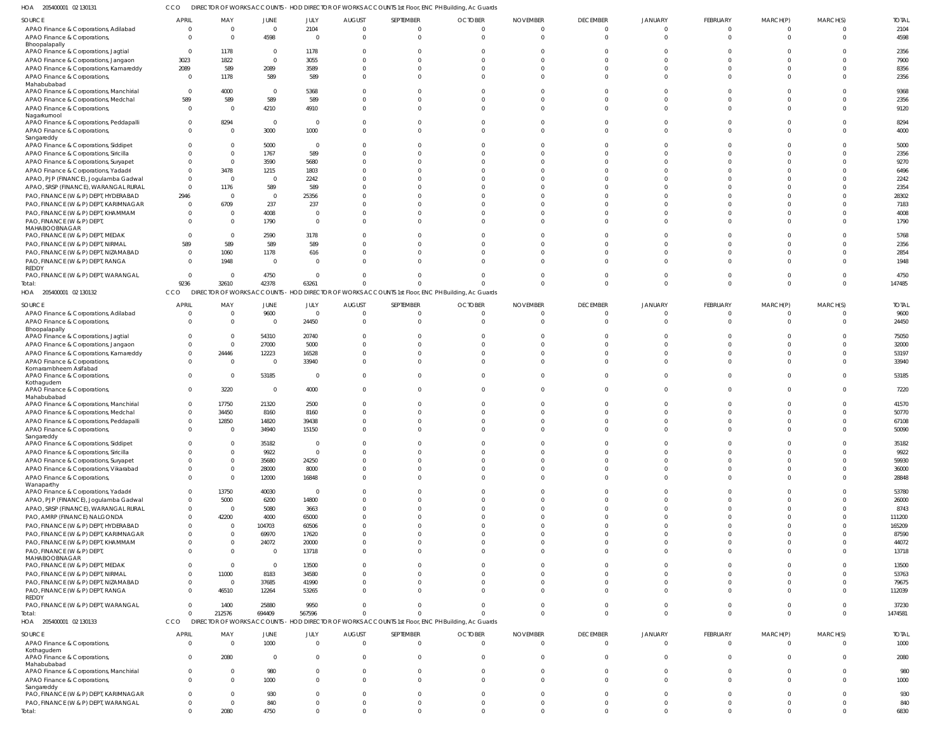205400001 02 130131 HOA CCO DIRECTOR OF WORKS ACCOUNTS - HOD DIRECTOR OF WORKS ACCOUNTS 1st Floor, ENC PH Building, Ac Guards

| .<br>CONTODOUT OF INDIAN                            |                            |                |                |                |                  |              | <b>SIN OF WORKS ACCOUNTS THOD BIKECTOR OF WORKS ACCOUNTS TSETION, ENC. THI BUILDING, A IC CIGAGE</b> |                 |                 |                |                |                |                |              |
|-----------------------------------------------------|----------------------------|----------------|----------------|----------------|------------------|--------------|------------------------------------------------------------------------------------------------------|-----------------|-----------------|----------------|----------------|----------------|----------------|--------------|
| SOURCE                                              | <b>APRIL</b>               | MAY            | JUNE           | JULY           | <b>AUGUST</b>    | SEPTEMBER    | <b>OCTOBER</b>                                                                                       | <b>NOVEMBER</b> | <b>DECEMBER</b> | JANUARY        | FEBRUARY       | MARCH(P)       | MARCH(S)       | <b>TOTAL</b> |
| APAO Finance & Corporations, Adilabad               | $\overline{0}$             | $\overline{0}$ | $\overline{0}$ | 2104           | 0                |              | $\Omega$                                                                                             | $\Omega$        | $\Omega$        | $\Omega$       | $\Omega$       | $\Omega$       | $\Omega$       | 2104         |
| APAO Finance & Corporations,                        | $\Omega$                   | $\Omega$       | 4598           | - 0            | - 0              | <sup>0</sup> | $\Omega$                                                                                             | $\Omega$        | $\Omega$        | $\Omega$       | $\Omega$       | $\Omega$       | $\Omega$       | 4598         |
| Bhoopalapally                                       |                            |                |                |                |                  |              |                                                                                                      |                 |                 |                |                |                |                |              |
| APAO Finance & Corporations, Jagtial                | $\overline{0}$             | 1178           | $\overline{0}$ | 1178           | $\Omega$         |              | $\sqrt{2}$                                                                                           |                 |                 |                |                |                |                | 2356         |
| APAO Finance & Corporations, Jangaon                | 3023                       | 1822           | $\Omega$       | 3055           | $\Omega$         |              |                                                                                                      | ſ               |                 |                |                |                |                | 7900         |
| APAO Finance & Corporations, Kamareddy              | 2089                       | 589            | 2089           | 3589           | $\Omega$         |              | - ( )                                                                                                | $\sqrt{2}$      | $\Omega$        |                | $\Omega$       |                | $\Omega$       | 8356         |
| APAO Finance & Corporations,                        | $\overline{0}$             | 1178           | 589            | 589            | $\Omega$         |              | $\Omega$                                                                                             | ſ               | $\Omega$        |                | $\Omega$       |                |                | 2356         |
| Mahabubabad                                         |                            |                |                |                |                  |              |                                                                                                      |                 |                 |                |                |                |                |              |
| APAO Finance & Corporations, Manchirial             | $\overline{0}$             | 4000           | $\overline{0}$ | 5368           | $\Omega$         |              | $\Omega$                                                                                             | $\sqrt{ }$      |                 |                |                |                | $\Omega$       | 9368         |
| APAO Finance & Corporations, Medchal                | 589                        | 589            | 589            | 589            | $\Omega$         |              | $\Omega$                                                                                             | $\Omega$        | $\Omega$        |                | $\Omega$       |                |                | 2356         |
| APAO Finance & Corporations,                        | $\overline{0}$             | $\Omega$       | 4210           | 4910           | $\Omega$         |              | $\Omega$                                                                                             | $\Omega$        | $\Omega$        |                | $\Omega$       |                | $\Omega$       | 9120         |
| Nagarkurnool                                        |                            |                |                |                |                  |              |                                                                                                      |                 |                 |                |                |                |                |              |
| APAO Finance & Corporations, Peddapalli             | $\Omega$                   | 8294           | $\overline{0}$ | - 0            | $\Omega$         |              | $\Omega$                                                                                             | $\sqrt{ }$      | $\Omega$        |                | $\Omega$       |                |                | 8294         |
| APAO Finance & Corporations,<br>Sangareddy          | $\Omega$                   | $\Omega$       | 3000           | 1000           | $\Omega$         |              | $\Omega$                                                                                             | $\Omega$        | $\Omega$        |                |                | $\cap$         | $\Omega$       | 4000         |
| APAO Finance & Corporations, Siddipet               |                            | $\Omega$       | 5000           | - 0            | $\sqrt{ }$       |              |                                                                                                      |                 |                 |                |                |                |                | 5000         |
| APAO Finance & Corporations, Siricilla              | $\Omega$                   | $\Omega$       | 1767           | 589            | $\Omega$         |              |                                                                                                      |                 |                 |                |                |                |                | 2356         |
| APAO Finance & Corporations, Suryapet               | $\Omega$                   | $\Omega$       | 3590           | 5680           | $\sqrt{ }$       |              |                                                                                                      |                 |                 |                |                |                |                | 9270         |
| APAO Finance & Corporations, Yadadri                | $\Omega$                   | 3478           | 1215           | 1803           | $\sqrt{ }$       |              |                                                                                                      |                 |                 |                |                |                |                | 6496         |
| APAO, PJP (FINANCE), Jogulamba Gadwal               | $\Omega$                   | $\Omega$       | $\Omega$       | 2242           |                  |              |                                                                                                      |                 |                 |                |                |                |                | 2242         |
| APAO, SRSP (FINANCE), WARANGAL RURAL                | $\Omega$                   | 1176           | 589            | 589            | $\sqrt{2}$       |              |                                                                                                      |                 |                 |                |                |                |                | 2354         |
| PAO, FINANCE (W & P) DEPT, HYDERABAD                | 2946                       | $\overline{0}$ | $\overline{0}$ | 25356          |                  |              |                                                                                                      |                 |                 |                |                |                |                | 28302        |
| PAO, FINANCE (W & P) DEPT, KARIMNAGAR               | $\Omega$                   | 6709           | 237            | 237            | $\sqrt{2}$       |              |                                                                                                      |                 |                 |                |                |                |                | 7183         |
| PAO, FINANCE (W & P) DEPT, KHAMMAM                  | $\Omega$                   | 0              | 4008           | - 0            | $\Omega$         |              | $\sqrt{2}$                                                                                           |                 |                 |                |                |                |                | 4008         |
|                                                     | $\Omega$                   | $\Omega$       |                | $\Omega$       | $\Omega$         |              | $\Omega$                                                                                             | $\cap$          | $\Omega$        |                |                |                |                | 1790         |
| PAO, FINANCE (W & P) DEPT,<br>MAHABOOBNAGAR         |                            |                | 1790           |                |                  |              |                                                                                                      |                 |                 |                |                |                |                |              |
| PAO, FINANCE (W & P) DEPT, MEDAK                    | $\Omega$                   | $\Omega$       | 2590           | 3178           |                  |              |                                                                                                      |                 |                 |                |                |                |                | 5768         |
| PAO, FINANCE (W & P) DEPT, NIRMAL                   | 589                        | 589            | 589            | 589            | $\Omega$         |              | $\sqrt{ }$                                                                                           | - 1             | $\Omega$        |                |                |                |                | 2356         |
| PAO, FINANCE (W & P) DEPT, NIZAMABAD                | $\Omega$                   | 1060           | 1178           | 616            | $\Omega$         |              |                                                                                                      |                 |                 |                |                |                |                | 2854         |
| PAO, FINANCE (W & P) DEPT, RANGA                    | $\Omega$                   | 1948           | $\Omega$       | $\Omega$       | $\Omega$         |              | $\cap$                                                                                               |                 |                 |                |                |                |                | 1948         |
| REDDY                                               |                            |                |                |                |                  |              |                                                                                                      |                 |                 |                |                |                |                |              |
| PAO, FINANCE (W & P) DEPT, WARANGAL                 | $\overline{0}$             | $\overline{0}$ | 4750           | - 0            | $\Omega$         |              | $\Omega$                                                                                             | $\sqrt{2}$      |                 |                |                |                |                | 4750         |
| Total:                                              | 9236                       | 32610          | 42378          | 63261          | $\Omega$         |              |                                                                                                      | $\Omega$        | $\Omega$        | $\Omega$       | $\Omega$       | $\Omega$       | $\Omega$       | 147485       |
| HOA 205400001 02 130132                             | CCO                        | <b>DIREC</b>   |                |                |                  |              | TOR OF WORKS ACCOUNTS - HOD DIRECTOR OF WORKS ACCOUNTS 1st Floor, ENC PH Building, Ac Guards         |                 |                 |                |                |                |                |              |
|                                                     |                            |                |                |                |                  |              |                                                                                                      |                 |                 |                |                |                |                |              |
| SOURCE                                              | <b>APRIL</b>               | MAY            | JUNE           | JULY           | <b>AUGUST</b>    | SEPTEMBER    | <b>OCTOBER</b>                                                                                       | <b>NOVEMBER</b> | <b>DECEMBER</b> | JANUARY        | FEBRUARY       | MARCH(P)       | MARCH(S)       | <b>TOTAL</b> |
| APAO Finance & Corporations, Adilabad               | $\Omega$                   | $\overline{0}$ | 9600           | $\Omega$       | 0                | <sup>0</sup> | $\Omega$                                                                                             | $\Omega$        | $\Omega$        | $\Omega$       | $\overline{0}$ | $\Omega$       | $\Omega$       | 9600         |
| APAO Finance & Corporations,<br>Bhoopalapally       | $\Omega$                   | $\overline{0}$ | $\overline{0}$ | 24450          | $\Omega$         | <sup>0</sup> | $\Omega$                                                                                             | $\Omega$        | $\Omega$        |                | $\Omega$       | $\Omega$       | $\Omega$       | 24450        |
| APAO Finance & Corporations, Jagtial                | $\Omega$                   | $\Omega$       | 54310          | 20740          | $\Omega$         |              | $\sqrt{2}$                                                                                           |                 |                 |                |                |                |                | 75050        |
| APAO Finance & Corporations, Jangaon                | $\Omega$                   | $\overline{0}$ | 27000          | 5000           | $\Omega$         |              | $\sqrt{ }$                                                                                           |                 |                 |                |                |                | $\Omega$       | 32000        |
| APAO Finance & Corporations, Kamareddy              | $\overline{0}$             | 24446          | 12223          | 16528          | $\Omega$         |              | $\Omega$                                                                                             | $\Omega$        | $\Omega$        |                | $\Omega$       |                | $\Omega$       | 53197        |
| APAO Finance & Corporations,                        | $\Omega$                   | $\Omega$       | 0              | 33940          | $\Omega$         |              | $\Omega$                                                                                             | $\cap$          | $\Omega$        |                | $\Omega$       |                |                | 33940        |
| Komarambheem Asifabad                               |                            |                |                |                |                  |              |                                                                                                      |                 |                 |                |                |                |                |              |
| APAO Finance & Corporations,                        | $\Omega$                   | $\overline{0}$ | 53185          | - 0            | $\Omega$         | <sup>0</sup> | $\Omega$                                                                                             | $\Omega$        | $\Omega$        |                | $\Omega$       | $\Omega$       | $\Omega$       | 53185        |
| Kothagudem                                          |                            |                |                |                |                  |              |                                                                                                      |                 |                 |                |                |                |                |              |
| APAO Finance & Corporations,                        | $\Omega$                   | 3220           | 0              | 4000           | $\Omega$         |              | $\Omega$                                                                                             | $\Omega$        | $\Omega$        |                | $\Omega$       |                |                | 7220         |
| Mahabubabad                                         | $\overline{0}$             |                |                |                |                  |              |                                                                                                      |                 |                 |                |                |                |                |              |
| APAO Finance & Corporations, Manchirial             | $\Omega$                   | 17750          | 21320          | 2500           | -0               |              |                                                                                                      |                 |                 |                |                |                |                | 41570        |
| APAO Finance & Corporations, Medchal                |                            | 34450          | 8160           | 8160           | -0<br>$\sqrt{ }$ |              |                                                                                                      |                 |                 |                |                |                |                | 50770        |
| APAO Finance & Corporations, Peddapalli             | $\overline{0}$<br>$\Omega$ | 12850          | 14820          | 39438          |                  |              |                                                                                                      |                 |                 |                |                |                |                | 67108        |
| APAO Finance & Corporations,                        |                            | $\Omega$       | 34940          | 15150          |                  |              |                                                                                                      |                 |                 |                |                |                |                | 50090        |
| Sangareddy<br>APAO Finance & Corporations, Siddipet | $\Omega$                   | $\Omega$       | 35182          | $\overline{0}$ | - 0              |              | $\Omega$                                                                                             | $\Omega$        | $\Omega$        |                | $\Omega$       | $\Omega$       | $\Omega$       | 35182        |
| APAO Finance & Corporations, Siricilla              | $\overline{0}$             | $\Omega$       | 9922           | $\Omega$       | 0                | $\Omega$     | $\overline{0}$                                                                                       | $\Omega$        | $\Omega$        | $\Omega$       | $\Omega$       | $\Omega$       | $\Omega$       | 9922         |
| APAO Finance & Corporations, Suryapet               | $\Omega$                   | $\Omega$       | 35680          | 24250          | $\Omega$         |              | $\Omega$                                                                                             | $\Omega$        | $\Omega$        | $\Omega$       | $\Omega$       | $\Omega$       | $\Omega$       | 59930        |
| APAO Finance & Corporations, Vikarabad              | $\overline{0}$             | $\overline{0}$ | 28000          | 8000           | - 0              | <sup>0</sup> | - 0                                                                                                  | - 0             | $\Omega$        | $\Omega$       | $\Omega$       | $\Omega$       | $\Omega$       | 36000        |
| APAO Finance & Corporations,                        | $\Omega$                   | $\Omega$       | 12000          | 16848          | $\Omega$         |              | $\Omega$                                                                                             | $\Omega$        | $\Omega$        | $\Omega$       | $\Omega$       | $\Omega$       | $\Omega$       | 28848        |
| Wanaparthy                                          |                            |                |                |                |                  |              |                                                                                                      |                 |                 |                |                |                |                |              |
| APAO Finance & Corporations, Yadadri                | $\overline{0}$             | 13750          | 40030          | $\overline{0}$ | $\Omega$         |              | - 0                                                                                                  | - 0             | $\Omega$        | $\Omega$       | $\Omega$       | $\Omega$       | $\Omega$       | 53780        |
| APAO, PJP (FINANCE), Jogulamba Gadwal               | $\mathbf{0}$               | 5000           | 6200           | 14800          | $\Omega$         |              | $\Omega$                                                                                             | $\Omega$        | $\Omega$        |                | $\Omega$       | $\Omega$       | $\Omega$       | 26000        |
| APAO, SRSP (FINANCE), WARANGAL RURAL                | $\overline{0}$             | $\overline{0}$ | 5080           | 3663           | -0               |              | 0                                                                                                    | $\Omega$        | $\Omega$        |                | $\Omega$       | $\Omega$       | $\Omega$       | 8743         |
| PAO, AMRP (FINANCE) NALGONDA                        | $\Omega$                   | 42200          | 4000           | 65000          | $\Omega$         |              | $\Omega$                                                                                             | $\Omega$        |                 |                | $\Omega$       |                |                | 111200       |
| PAO, FINANCE (W & P) DEPT, HYDERABAD                | $\overline{0}$             | $\overline{0}$ | 104703         | 60506          | $\Omega$         |              | 0                                                                                                    | $\Omega$        |                 |                |                |                |                | 165209       |
| PAO, FINANCE (W & P) DEPT, KARIMNAGAR               | $\Omega$                   | $\Omega$       | 69970          | 17620          | $\Omega$         |              | $\Omega$                                                                                             | $\Omega$        |                 |                | $\Omega$       | $\Omega$       |                | 87590        |
| PAO, FINANCE (W & P) DEPT, KHAMMAM                  | $\mathbf{0}$               | $\overline{0}$ | 24072          | 20000          | 0                |              | $\Omega$                                                                                             | $\Omega$        |                 | $\Omega$       | $\Omega$       | $\Omega$       | $\Omega$       | 44072        |
| PAO, FINANCE (W & P) DEPT,                          | $\Omega$                   | $\Omega$       | $\overline{0}$ | 13718          | $\Omega$         |              | $\Omega$                                                                                             | $\Omega$        | $\Omega$        | $\Omega$       | $\Omega$       | $\Omega$       | $\Omega$       | 13718        |
| MAHABOOBNAGAR                                       |                            |                |                |                |                  |              |                                                                                                      |                 |                 |                |                |                |                |              |
| PAO, FINANCE (W & P) DEPT, MEDAK                    | $\mathbf{0}$               | $\overline{0}$ | $\overline{0}$ | 13500          | $\Omega$         |              | $\Omega$                                                                                             | $\Omega$        | $\Omega$        | <sup>0</sup>   | $\Omega$       | $\Omega$       | $\Omega$       | 13500        |
| PAO, FINANCE (W & P) DEPT, NIRMAL                   | $\overline{0}$             | 11000          | 8183           | 34580          | $\Omega$         |              | $\Omega$                                                                                             | $\Omega$        | $\Omega$        |                | $\Omega$       | $\Omega$       | $\Omega$       | 53763        |
| PAO, FINANCE (W & P) DEPT, NIZAMABAD                | $\overline{0}$             | $\overline{0}$ | 37685          | 41990          | 0                | <sup>0</sup> | - 0                                                                                                  | $\Omega$        | $\Omega$        | $\Omega$       | $\Omega$       | $\Omega$       | $\Omega$       | 79675        |
| PAO, FINANCE (W & P) DEPT, RANGA                    | $\Omega$                   | 46510          | 12264          | 53265          | $\Omega$         |              | $\Omega$                                                                                             | $\Omega$        | $\Omega$        | $\Omega$       | $\Omega$       | $\Omega$       | $\Omega$       | 112039       |
| REDDY                                               |                            |                |                |                |                  |              |                                                                                                      |                 |                 |                |                |                |                |              |
| PAO, FINANCE (W & P) DEPT, WARANGAL                 | $\overline{0}$             | 1400           | 25880          | 9950           | $\overline{0}$   | $\Omega$     | $\overline{0}$                                                                                       | - 0             | $\Omega$        | $\Omega$       | $\Omega$       | $\overline{0}$ | $\Omega$       | 37230        |
| Total:                                              | $\Omega$                   | 212576         | 694409         | 567596         | $\Omega$         | $\Omega$     | $\Omega$                                                                                             | $\Omega$        | $\Omega$        | $\Omega$       | $\Omega$       | $\Omega$       | $\Omega$       | 1474581      |
| HOA 205400001 02 130133                             | CCO                        |                |                |                |                  |              | DIRECTOR OF WORKS ACCOUNTS - HOD DIRECTOR OF WORKS ACCOUNTS 1st Floor, ENC PH Building, Ac Guards    |                 |                 |                |                |                |                |              |
| SOURCE                                              | <b>APRIL</b>               | MAY            | JUNE           | JULY           | <b>AUGUST</b>    | SEPTEMBER    | <b>OCTOBER</b>                                                                                       | <b>NOVEMBER</b> | <b>DECEMBER</b> | <b>JANUARY</b> | FEBRUARY       | MARCH(P)       | MARCH(S)       | <b>TOTAL</b> |
| APAO Finance & Corporations,                        | $\overline{0}$             | $\overline{0}$ | 1000           | $\overline{0}$ | $\overline{0}$   | $\mathbf 0$  | $\mathbf{0}$                                                                                         | $\overline{0}$  | $\overline{0}$  | $\mathbf{0}$   | $\overline{0}$ | $\overline{0}$ | $\overline{0}$ | 1000         |
| Kothagudem                                          |                            |                |                |                |                  |              |                                                                                                      |                 |                 |                |                |                |                |              |
| APAO Finance & Corporations,                        | $\overline{0}$             | 2080           | $\overline{0}$ | $\Omega$       | $\overline{0}$   | $\Omega$     | $\overline{0}$                                                                                       | $\Omega$        | $\mathbf{0}$    | $\Omega$       | $\overline{0}$ | $\Omega$       | $\Omega$       | 2080         |
| Mahabubabad                                         |                            |                |                |                |                  |              |                                                                                                      |                 |                 |                |                |                |                |              |
| APAO Finance & Corporations, Manchirial             | $\mathbf{0}$               | $\mathbf{0}$   | 980            |                | 0                | $\Omega$     | $\overline{0}$                                                                                       | 0               | $\Omega$        | $\Omega$       | $\Omega$       | $\Omega$       | $\Omega$       | 980          |
| APAO Finance & Corporations,                        | $\Omega$                   | $\Omega$       | 1000           | $\Omega$       | $\Omega$         | $\Omega$     | $\Omega$                                                                                             | $\Omega$        | $\Omega$        | $\Omega$       | $\Omega$       | $\Omega$       | $\Omega$       | 1000         |
| Sangareddy<br>PAO, FINANCE (W & P) DEPT, KARIMNAGAR | $\Omega$                   | $\Omega$       | 930            |                | - 0              | $\Omega$     | $\Omega$                                                                                             | $\Omega$        | $\Omega$        | $\Omega$       | $\Omega$       | $\Omega$       | $\Omega$       | 930          |
| PAO, FINANCE (W & P) DEPT, WARANGAL                 | $\overline{0}$             | $\overline{0}$ | 840            |                | $\Omega$         | $\Omega$     | $\Omega$                                                                                             | $\Omega$        | $\Omega$        | $\Omega$       | $\Omega$       | $\Omega$       | $\Omega$       | 840          |
| Total:                                              | $\overline{0}$             | 2080           | 4750           | $\Omega$       | $\Omega$         | $\Omega$     | $\Omega$                                                                                             | $\Omega$        | $\Omega$        | $\Omega$       | $\Omega$       | $\Omega$       | $\Omega$       | 6830         |
|                                                     |                            |                |                |                |                  |              |                                                                                                      |                 |                 |                |                |                |                |              |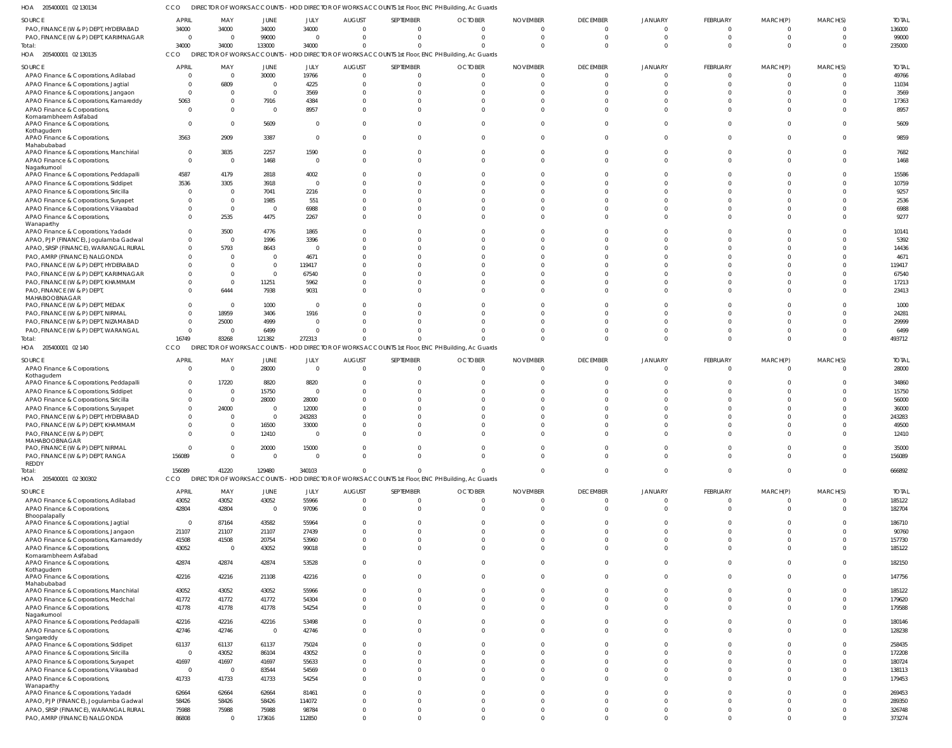205400001 02 130134 HOA CCO DIRECTOR OF WORKS ACCOUNTS - HOD DIRECTOR OF WORKS ACCOUNTS 1st Floor, ENC PH Building, Ac Guards

| SOURCE                                                 | <b>APRIL</b>            | MAY                     | JUNE           | JULY           | <b>AUGUST</b>  | SEPTEMBER                                                                                         | <b>OCTOBER</b> | <b>NOVEMBER</b> | <b>DECEMBER</b> | <b>JANUARY</b> | FEBRUARY    | MARCH(P) | MARCH(S) | <b>TOTAL</b> |
|--------------------------------------------------------|-------------------------|-------------------------|----------------|----------------|----------------|---------------------------------------------------------------------------------------------------|----------------|-----------------|-----------------|----------------|-------------|----------|----------|--------------|
| PAO, FINANCE (W & P) DEPT, HYDERABAD                   |                         |                         | 34000          | 34000          | $\Omega$       | $\Omega$                                                                                          | $\Omega$       | $\Omega$        | $\Omega$        | $\Omega$       | $\mathbf 0$ | $\Omega$ | $\Omega$ | 136000       |
|                                                        | 34000                   | 34000                   |                |                |                |                                                                                                   |                |                 |                 |                |             |          |          |              |
| PAO, FINANCE (W & P) DEPT, KARIMNAGAR                  | $\overline{0}$          | $\overline{\mathbf{0}}$ | 99000          | - 0            | $\Omega$       | $\Omega$                                                                                          | $\Omega$       | $\Omega$        | $\Omega$        | $\Omega$       | $\Omega$    |          | $\Omega$ | 99000        |
| Total:                                                 | 34000                   | 34000                   | 133000         | 34000          | $\Omega$       | U                                                                                                 | $\Omega$       | $\sqrt{2}$      | $\Omega$        | $\Omega$       | $\Omega$    |          | $\Omega$ | 235000       |
| HOA 205400001 02 130135                                | CCO                     |                         |                |                |                | DIRECTOR OF WORKS ACCOUNTS - HOD DIRECTOR OF WORKS ACCOUNTS 1st Floor, ENC PH Building, Ac Guards |                |                 |                 |                |             |          |          |              |
|                                                        | <b>APRIL</b>            | MAY                     | JUNE           | JULY           |                | SEPTEMBER                                                                                         | <b>OCTOBER</b> | <b>NOVEMBER</b> | <b>DECEMBER</b> | <b>JANUARY</b> | FEBRUARY    | MARCH(P) | MARCH(S) | <b>TOTAL</b> |
| SOURCE                                                 |                         |                         |                |                | <b>AUGUST</b>  |                                                                                                   |                |                 |                 |                |             |          |          |              |
| APAO Finance & Corporations, Adilabad                  | - 0                     | $\overline{\mathbf{0}}$ | 30000          | 19766          | $\Omega$       | $\Omega$                                                                                          | $\Omega$       | $\Omega$        | $\Omega$        | $\Omega$       | $\Omega$    |          |          | 49766        |
| APAO Finance & Corporations, Jagtial                   | $\Omega$                | 6809                    | $\overline{0}$ | 4225           | $\Omega$       | U                                                                                                 | $\Omega$       | $\sqrt{ }$      | $\Omega$        |                |             |          |          | 11034        |
| APAO Finance & Corporations, Jangaon                   | $\Omega$                | $\Omega$                | $\overline{0}$ | 3569           | $\Omega$       |                                                                                                   | $\Omega$       | $\cup$          | $\Omega$        |                |             |          |          | 3569         |
| APAO Finance & Corporations, Kamareddy                 | 5063                    | $\Omega$                | 7916           | 4384           | $\Omega$       |                                                                                                   |                |                 |                 |                |             |          |          | 17363        |
| APAO Finance & Corporations,                           | $\Omega$                | $\Omega$                | $\Omega$       | 8957           | $\Omega$       |                                                                                                   | $\Omega$       | $\cup$          | $\Omega$        |                |             |          |          | 8957         |
| Komarambheem Asifabad                                  |                         |                         |                |                |                |                                                                                                   |                |                 |                 |                |             |          |          |              |
| APAO Finance & Corporations,                           | $\Omega$                | $\Omega$                | 5609           | $\Omega$       | $\Omega$       | $\Omega$                                                                                          | $\Omega$       | $\cup$          | $\Omega$        |                |             |          |          | 5609         |
| Kothagudem                                             |                         |                         |                |                |                |                                                                                                   |                |                 |                 |                |             |          |          |              |
| APAO Finance & Corporations,                           | 3563                    | 2909                    | 3387           | $\Omega$       | $\Omega$       | $\Omega$                                                                                          | $\Omega$       | $\cup$          | $\Omega$        |                |             |          |          | 9859         |
| Mahabubabad                                            |                         |                         |                |                |                |                                                                                                   |                |                 |                 |                |             |          |          |              |
| APAO Finance & Corporations, Manchirial                | $\overline{0}$          | 3835                    | 2257           | 1590           | $\Omega$       | $\Omega$                                                                                          | $\Omega$       | $\Omega$        | $\Omega$        | $\Omega$       |             |          |          | 7682         |
| APAO Finance & Corporations,                           | $\overline{0}$          | $\overline{\mathbf{0}}$ | 1468           | $\Omega$       | $\Omega$       | $\Omega$                                                                                          | $\Omega$       | $\cup$          | $\Omega$        | $\Omega$       |             |          |          | 1468         |
| Nagarkurnool                                           |                         |                         |                |                |                |                                                                                                   |                |                 |                 |                |             |          |          |              |
| APAO Finance & Corporations, Peddapalli                | 4587                    | 4179                    | 2818           | 4002           | $\Omega$       |                                                                                                   |                | $\cup$          | $\cap$          |                |             |          |          | 15586        |
|                                                        |                         |                         |                | $\Omega$       | ſ              |                                                                                                   |                |                 |                 |                |             |          |          | 10759        |
| APAO Finance & Corporations, Siddipet                  | 3536                    | 3305                    | 3918           |                |                |                                                                                                   |                |                 |                 |                |             |          |          |              |
| APAO Finance & Corporations, Siricilla                 | - 0                     | - 0                     | 7041           | 2216           | ſ              |                                                                                                   |                |                 |                 |                |             |          |          | 9257         |
| APAO Finance & Corporations, Suryapet                  | - 0                     | $\overline{\mathbf{0}}$ | 1985           | 551            | ſ              |                                                                                                   |                |                 |                 |                |             |          |          | 2536         |
| APAO Finance & Corporations, Vikarabad                 | $\Omega$                | $\overline{\mathbf{0}}$ | $\Omega$       | 6988           | $\Omega$       |                                                                                                   |                |                 | $\cap$          | $\cap$         |             |          |          | 6988         |
| APAO Finance & Corporations,                           | $\Omega$                | 2535                    | 4475           | 2267           | $\Omega$       |                                                                                                   |                | $\cup$          | $\cap$          |                |             |          |          | 9277         |
| Wanaparthy                                             |                         |                         |                |                |                |                                                                                                   |                |                 |                 |                |             |          |          |              |
| APAO Finance & Corporations, Yadadri                   | $\Omega$                | 3500                    | 4776           | 1865           | $\Omega$       |                                                                                                   |                | $\cup$          |                 |                |             |          |          | 10141        |
| APAO, PJP (FINANCE), Jogulamba Gadwal                  | $\Omega$                | $\overline{\mathbf{0}}$ | 1996           | 3396           | ſ              |                                                                                                   |                |                 | $\cap$          |                |             |          |          | 5392         |
|                                                        | $\Omega$                | 5793                    | 8643           | - 6            | $\Omega$       |                                                                                                   |                |                 |                 |                |             |          |          | 14436        |
| APAO, SRSP (FINANCE), WARANGAL RURAL                   |                         |                         |                |                |                |                                                                                                   |                |                 |                 |                |             |          |          |              |
| PAO, AMRP (FINANCE) NALGONDA                           | $\Omega$                | $\Omega$                | $\overline{0}$ | 4671           | ſ              |                                                                                                   |                |                 |                 |                |             |          |          | 4671         |
| PAO, FINANCE (W & P) DEPT, HYDERABAD                   | $\Omega$                | $\Omega$                | $\overline{0}$ | 119417         | ſ              |                                                                                                   |                |                 |                 |                |             |          |          | 119417       |
| PAO, FINANCE (W & P) DEPT, KARIMNAGAR                  | $\Omega$                | $\Omega$                | $\Omega$       | 67540          |                |                                                                                                   |                |                 |                 |                |             |          |          | 67540        |
| PAO, FINANCE (W & P) DEPT, KHAMMAM                     | $\Omega$                | $\overline{\mathbf{0}}$ | 11251          | 5962           | $\Omega$       |                                                                                                   |                |                 |                 |                |             |          |          | 17213        |
| PAO, FINANCE (W & P) DEPT,                             | $\Omega$                | 6444                    | 7938           | 9031           | $\Omega$       |                                                                                                   |                |                 | $\Omega$        |                |             |          |          | 23413        |
| MAHABOOBNAGAR                                          |                         |                         |                |                |                |                                                                                                   |                |                 |                 |                |             |          |          |              |
| PAO, FINANCE (W & P) DEPT, MEDAK                       | $\Omega$                | $\overline{\mathbf{0}}$ | 1000           | - 0            | $\Omega$       |                                                                                                   |                |                 |                 |                |             |          |          | 1000         |
| PAO, FINANCE (W & P) DEPT, NIRMAL                      | $\Omega$                | 18959                   | 3406           | 1916           |                |                                                                                                   |                |                 |                 |                |             |          |          | 24281        |
|                                                        |                         |                         |                |                |                |                                                                                                   |                |                 |                 |                |             |          |          |              |
| PAO, FINANCE (W & P) DEPT, NIZAMABAD                   | $\Omega$                | 25000                   | 4999           | $\Omega$       |                |                                                                                                   |                |                 |                 |                |             |          |          | 29999        |
| PAO, FINANCE (W & P) DEPT, WARANGAL                    | $\overline{0}$          | $\overline{\mathbf{0}}$ | 6499           |                | ſ              |                                                                                                   |                |                 | $\cap$          | $\cap$         |             |          |          | 6499         |
| Total:                                                 | 16749                   | 83268                   | 121382         | 272313         | $\Omega$       |                                                                                                   |                | C               | $\Omega$        | $\Omega$       |             |          |          | 493712       |
| HOA 205400001 02 140                                   | CCO                     |                         |                |                |                | DIRECTOR OF WORKS ACCOUNTS - HOD DIRECTOR OF WORKS ACCOUNTS 1st Floor, ENC PH Building, Ac Guards |                |                 |                 |                |             |          |          |              |
|                                                        |                         |                         |                |                |                |                                                                                                   |                |                 |                 |                |             |          |          |              |
| SOURCE                                                 | APRIL                   | MAY                     | JUNE           | <b>JULY</b>    | <b>AUGUST</b>  | SEPTEMBER                                                                                         | <b>OCTOBER</b> | <b>NOVEMBER</b> | <b>DECEMBER</b> | <b>JANUARY</b> | FEBRUARY    | MARCH(P) | MARCH(S) | <b>TOTAL</b> |
| APAO Finance & Corporations,                           | $\overline{\mathbf{0}}$ | $\overline{\mathbf{0}}$ | 28000          | $\overline{0}$ | $\overline{0}$ | $\overline{0}$                                                                                    | $\overline{0}$ | $\Omega$        | $\Omega$        | $\Omega$       | $\mathbf 0$ | $\Omega$ | $\Omega$ | 28000        |
| Kothagudem                                             |                         |                         |                |                |                |                                                                                                   |                |                 |                 |                |             |          |          |              |
| APAO Finance & Corporations, Peddapalli                | 0                       | 17220                   | 8820           | 8820           | $\Omega$       |                                                                                                   |                | C.              | $\Omega$        |                |             |          |          | 34860        |
| APAO Finance & Corporations, Siddipet                  | $\Omega$                | $\overline{\mathbf{0}}$ | 15750          | - 0            | $\Omega$       |                                                                                                   |                | $\cup$          | $\Omega$        | $\cap$         |             |          |          | 15750        |
| APAO Finance & Corporations, Siricilla                 | $\overline{0}$          | $\overline{\mathbf{0}}$ | 28000          | 28000          | $\Omega$       |                                                                                                   |                |                 | $\cap$          |                |             |          |          | 56000        |
|                                                        | $\Omega$                | 24000                   | $\overline{0}$ | 12000          | ſ              |                                                                                                   |                |                 |                 |                |             |          |          | 36000        |
| APAO Finance & Corporations, Suryapet                  |                         |                         |                |                |                |                                                                                                   |                |                 |                 |                |             |          |          |              |
| PAO, FINANCE (W & P) DEPT, HYDERABAD                   | $\Omega$                | - 0                     | $\overline{0}$ | 243283         |                |                                                                                                   |                |                 |                 |                |             |          |          | 243283       |
| PAO, FINANCE (W & P) DEPT, KHAMMAM                     | $\Omega$                | $\Omega$                | 16500          | 33000          | $\Omega$       |                                                                                                   |                |                 |                 |                |             |          |          | 49500        |
| PAO, FINANCE (W & P) DEPT,                             | $\Omega$                | $\Omega$                | 12410          |                | $\Omega$       |                                                                                                   |                |                 |                 |                |             |          |          | 12410        |
| MAHABOOBNAGAR                                          |                         |                         |                |                |                |                                                                                                   |                |                 |                 |                |             |          |          |              |
| PAO, FINANCE (W & P) DEPT, NIRMAL                      | $\overline{\mathbf{0}}$ | - 0                     | 20000          | 15000          | $\Omega$       | $\Omega$                                                                                          | $\Omega$       | $\Omega$        | $\Omega$        | $\Omega$       |             |          |          | 35000        |
| PAO, FINANCE (W & P) DEPT, RANGA                       | 156089                  | $\Omega$                | $\overline{0}$ | $\overline{0}$ | $\Omega$       | $\overline{0}$                                                                                    | $\Omega$       | $\Omega$        | $\Omega$        | $\Omega$       | $\Omega$    | $\Omega$ | $\Omega$ | 156089       |
| <b>REDDY</b>                                           |                         |                         |                |                |                |                                                                                                   |                |                 |                 |                |             |          |          |              |
| Total:                                                 | 156089                  | 41220                   | 129480         | 340103         | $\overline{0}$ | $\Omega$                                                                                          | $\Omega$       | $\Omega$        | $\Omega$        | $\Omega$       | $\Omega$    | $\Omega$ | $\Omega$ | 666892       |
| HOA 205400001 02 300302                                | CCO                     |                         |                |                |                | DIRECTOR OF WORKS ACCOUNTS - HOD DIRECTOR OF WORKS ACCOUNTS 1st Floor, ENC PH Building, Ac Guards |                |                 |                 |                |             |          |          |              |
|                                                        |                         |                         |                |                |                |                                                                                                   |                |                 |                 |                |             |          |          |              |
| SOURCE                                                 | <b>APRIL</b>            | MAY                     | JUNE           | <b>JULY</b>    | AUGUST         | SEPTEMBER                                                                                         | <b>OCTOBER</b> | <b>NOVEMBER</b> | <b>DECEMBER</b> | <b>JANUARY</b> | FEBRUARY    | MARCH(P) | MARCH(S) | <b>TOTAL</b> |
| APAO Finance & Corporations, Adilabad                  | 43052                   | 43052                   | 43052          | 55966          | $\overline{0}$ | $\Omega$                                                                                          | $\overline{0}$ | $\overline{0}$  | $\Omega$        | $\Omega$       | $\Omega$    | $\Omega$ | - 0      | 185122       |
| APAO Finance & Corporations,                           | 42804                   | 42804                   | $\overline{0}$ | 97096          | $\Omega$       | $\Omega$                                                                                          | $\Omega$       | $\Omega$        | $\Omega$        | $\Omega$       | $\Omega$    |          | $\Omega$ | 182704       |
| Bhoopalapally                                          |                         |                         |                |                |                |                                                                                                   |                |                 |                 |                |             |          |          |              |
| APAO Finance & Corporations, Jagtial                   | $\overline{0}$          | 87164                   | 43582          | 55964          | $\Omega$       | $\Omega$                                                                                          | $\Omega$       | $\Omega$        | $\Omega$        | $\Omega$       |             |          |          | 186710       |
| APAO Finance & Corporations, Jangaon                   | 21107                   | 21107                   | 21107          | 27439          | $\Omega$       | $\Omega$                                                                                          | $\Omega$       | $\Omega$        | $\Omega$        | $\Omega$       |             |          |          | 90760        |
| APAO Finance & Corporations, Kamareddy                 | 41508                   | 41508                   | 20754          | 53960          | $\Omega$       | $\Omega$                                                                                          | $\Omega$       | $\Omega$        | $\Omega$        | $\Omega$       |             |          |          | 157730       |
|                                                        |                         |                         |                |                |                |                                                                                                   | $\Omega$       | $\Omega$        | $\Omega$        | $\Omega$       |             |          |          |              |
| APAO Finance & Corporations,                           | 43052                   | $\overline{\mathbf{0}}$ | 43052          | 99018          | $\Omega$       | $\Omega$                                                                                          |                |                 |                 |                |             |          |          | 185122       |
| Komarambheem Asifabad                                  |                         |                         |                |                | $\Omega$       | $\Omega$                                                                                          | $\Omega$       | $\Omega$        | $\Omega$        | $\Omega$       |             |          |          |              |
| APAO Finance & Corporations,                           | 42874                   | 42874                   | 42874          | 53528          |                |                                                                                                   |                |                 |                 |                |             |          |          | 182150       |
| Kothagudem<br>APAO Finance & Corporations,             | 42216                   |                         |                |                | $\Omega$       | $\Omega$                                                                                          | $\Omega$       | $\Omega$        | $\Omega$        | $\Omega$       | $\Omega$    |          |          | 147756       |
|                                                        |                         | 42216                   | 21108          | 42216          |                |                                                                                                   |                |                 |                 |                |             |          |          |              |
| Mahabubabad<br>APAO Finance & Corporations, Manchirial | 43052                   | 43052                   | 43052          | 55966          | $\Omega$       | $\Omega$                                                                                          | $\Omega$       | $\Omega$        | $\Omega$        | $\Omega$       |             |          |          | 185122       |
|                                                        |                         |                         |                |                |                |                                                                                                   |                |                 |                 |                |             |          |          |              |
| APAO Finance & Corporations, Medchal                   | 41772                   | 41772                   | 41772          | 54304          | $\Omega$       | $\Omega$                                                                                          | $\Omega$       | $\Omega$        | $\Omega$        | $\Omega$       | $\Omega$    |          |          | 179620       |
| APAO Finance & Corporations,                           | 41778                   | 41778                   | 41778          | 54254          | $\Omega$       | $\Omega$                                                                                          | $\Omega$       | $\Omega$        | $\Omega$        | $\Omega$       |             |          |          | 179588       |
| Nagarkurnool                                           |                         |                         |                |                |                |                                                                                                   |                |                 |                 |                |             |          |          |              |
| APAO Finance & Corporations, Peddapalli                | 42216                   | 42216                   | 42216          | 53498          | $\Omega$       | $\Omega$                                                                                          | $\Omega$       | $\Omega$        | $\Omega$        | $\Omega$       | U           |          |          | 180146       |
| APAO Finance & Corporations,                           | 42746                   | 42746                   | $\overline{0}$ | 42746          | $\Omega$       | $\Omega$                                                                                          | $\Omega$       | $\Omega$        | $\Omega$        | $\Omega$       |             |          |          | 128238       |
| Sangareddy                                             |                         |                         |                |                |                |                                                                                                   |                |                 |                 |                |             |          |          |              |
| APAO Finance & Corporations, Siddipet                  | 61137                   | 61137                   | 61137          | 75024          | $\Omega$       | $\Omega$                                                                                          | $\Omega$       | $\Omega$        | $\Omega$        | $\Omega$       |             |          |          | 258435       |
| APAO Finance & Corporations, Siricilla                 | $\overline{0}$          | 43052                   | 86104          | 43052          | $\Omega$       |                                                                                                   | $\Omega$       | $\Omega$        | $\Omega$        | $\Omega$       |             |          |          | 172208       |
| APAO Finance & Corporations, Suryapet                  | 41697                   | 41697                   | 41697          | 55633          | $\Omega$       |                                                                                                   | $\Omega$       | $\sqrt{ }$      | $\Omega$        | $\Omega$       |             |          |          | 180724       |
| APAO Finance & Corporations, Vikarabad                 | $\,0\,$                 | $\overline{\mathbf{0}}$ | 83544          | 54569          | $\Omega$       | U                                                                                                 | $\Omega$       | $\Omega$        | $\Omega$        | $\Omega$       |             |          |          | 138113       |
|                                                        |                         |                         |                |                |                |                                                                                                   | $\Omega$       | $\Omega$        | $\Omega$        | $\Omega$       |             |          |          |              |
| APAO Finance & Corporations,                           | 41733                   | 41733                   | 41733          | 54254          | $\Omega$       |                                                                                                   |                |                 |                 |                |             |          |          | 179453       |
| Wanaparthy                                             |                         |                         |                |                | $\Omega$       |                                                                                                   | $\Omega$       | $\Omega$        |                 | $\Omega$       |             |          |          | 269453       |
| APAO Finance & Corporations, Yadadri                   | 62664                   | 62664                   | 62664          | 81461          |                |                                                                                                   |                |                 |                 |                |             |          |          |              |
| APAO, PJP (FINANCE), Jogulamba Gadwal                  | 58426                   | 58426                   | 58426          | 114072         | $\Omega$       | $\Omega$                                                                                          | $\Omega$       | $\Omega$        | $\Omega$        | $\Omega$       | $\Omega$    |          |          | 289350       |
| APAO, SRSP (FINANCE), WARANGAL RURAL                   | 75988                   | 75988                   | 75988          | 98784          | $\Omega$       | 0                                                                                                 | $\Omega$       | $\Omega$        | $\Omega$        | $\Omega$       | 0           |          |          | 326748       |
| PAO, AMRP (FINANCE) NALGONDA                           | 86808                   | $\overline{0}$          | 173616         | 112850         | $\mathbf 0$    | $\Omega$                                                                                          | $\Omega$       | $\Omega$        | $\Omega$        | $\Omega$       | $\Omega$    | $\Omega$ |          | 373274       |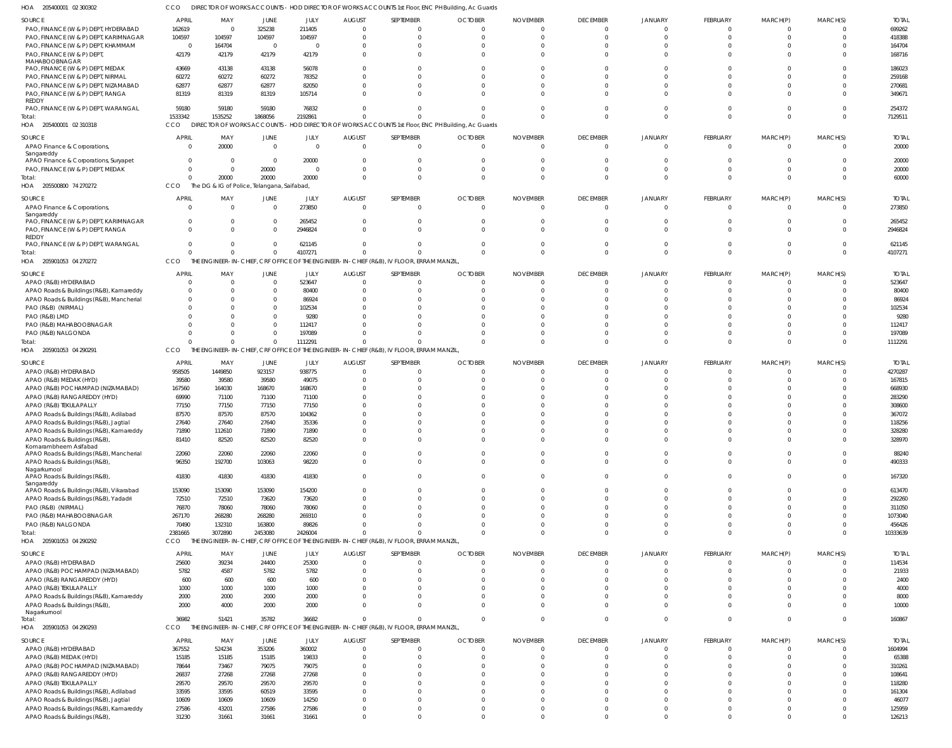205400001 02 300302 HOA CCO DIRECTOR OF WORKS ACCOUNTS - HOD DIRECTOR OF WORKS ACCOUNTS 1st Floor, ENC PH Building, Ac Guards

| SOURCE                                      | <b>APRIL</b>   | MAY                                         | JUNE        | JULY           | <b>AUGUST</b> | SEPTEMBER                                                                                         | <b>OCTOBER</b> | <b>NOVEMBER</b> | <b>DECEMBER</b> | <b>JANUARY</b> | FEBRUARY       | MARCH(P)       | MARCH(S)    | <b>TOTAI</b> |
|---------------------------------------------|----------------|---------------------------------------------|-------------|----------------|---------------|---------------------------------------------------------------------------------------------------|----------------|-----------------|-----------------|----------------|----------------|----------------|-------------|--------------|
| PAO, FINANCE (W & P) DEPT, HYDERABAD        | 162619         | $\overline{0}$                              | 325238      | 211405         |               | $\Omega$                                                                                          |                |                 | $\Omega$        |                | $\Omega$       | $\Omega$       |             | 699262       |
| PAO, FINANCE (W & P) DEPT, KARIMNAGAR       | 104597         | 104597                                      | 104597      | 104597         |               | $\Omega$                                                                                          |                |                 |                 |                | $\Omega$       | $\Omega$       |             | 418388       |
| PAO, FINANCE (W & P) DEPT, KHAMMAM          | $\overline{0}$ | 164704                                      | $\Omega$    | $\Omega$       |               | $\Omega$                                                                                          |                |                 |                 |                | $\Omega$       |                |             | 164704       |
| PAO, FINANCE (W & P) DEPT,                  | 42179          | 42179                                       | 42179       | 42179          |               | $\Omega$                                                                                          |                |                 |                 |                | $\Omega$       | $\Omega$       |             | 168716       |
| MAHABOOBNAGAR                               |                |                                             |             |                |               |                                                                                                   |                |                 |                 |                |                |                |             |              |
| PAO, FINANCE (W & P) DEPT, MEDAK            | 43669          | 43138                                       | 43138       | 56078          |               |                                                                                                   |                |                 |                 |                | $\Omega$       |                |             | 186023       |
| PAO, FINANCE (W & P) DEPT, NIRMAL           | 60272          | 60272                                       | 60272       | 78352          |               |                                                                                                   |                |                 |                 |                | $\Omega$       |                |             | 259168       |
| PAO, FINANCE (W & P) DEPT, NIZAMABAD        | 62877          | 62877                                       | 62877       | 82050          |               |                                                                                                   |                |                 |                 |                | $\Omega$       |                |             | 270681       |
| PAO, FINANCE (W & P) DEPT, RANGA            | 81319          | 81319                                       | 81319       | 105714         |               | $\Omega$                                                                                          |                |                 |                 |                | $\Omega$       | $\Omega$       |             | 349671       |
| <b>REDDY</b>                                |                |                                             |             |                |               |                                                                                                   |                |                 |                 |                |                |                |             |              |
| PAO, FINANCE (W & P) DEPT, WARANGAL         | 59180          | 59180                                       | 59180       | 76832          |               |                                                                                                   |                |                 |                 |                | $\Omega$       | $\Omega$       |             | 254372       |
| Total:                                      | 1533342        | 1535252                                     | 1868056     | 2192861        |               | $\Omega$                                                                                          |                |                 |                 |                | $\Omega$       | $\Omega$       | $\Omega$    | 7129511      |
| HOA 205400001 02 310318                     | CCO            |                                             |             |                |               | DIRECTOR OF WORKS ACCOUNTS - HOD DIRECTOR OF WORKS ACCOUNTS 1st Floor, ENC PH Building, Ac Guards |                |                 |                 |                |                |                |             |              |
|                                             |                |                                             |             |                |               |                                                                                                   |                |                 |                 |                |                |                |             |              |
| SOURCE                                      | <b>APRIL</b>   | MAY                                         | JUNE        | JULY           | <b>AUGUST</b> | SEPTEMBER                                                                                         | <b>OCTOBER</b> | <b>NOVEMBER</b> | <b>DECEMBER</b> | JANUARY        | FEBRUARY       | MARCH(P)       | MARCH(S)    | <b>TOTAL</b> |
| APAO Finance & Corporations,                |                | 20000                                       | $\Omega$    | $\Omega$       | $\sqrt{ }$    | $\mathbf{0}$                                                                                      | - 0            | - 0             | $\Omega$        |                | $\mathbf 0$    | $\Omega$       |             | 20000        |
| Sangareddy                                  |                |                                             |             |                |               |                                                                                                   |                |                 |                 |                |                |                |             |              |
| APAO Finance & Corporations, Suryapet       | $\Omega$       | - 0                                         | $\Omega$    | 20000          |               | $\Omega$                                                                                          |                |                 |                 |                | $\Omega$       | $\Omega$       |             | 20000        |
| PAO, FINANCE (W & P) DEPT, MEDAK            |                | $\overline{0}$                              | 20000       | $\overline{0}$ |               | $\Omega$                                                                                          |                |                 |                 |                | $\mathbf 0$    | 0              |             | 20000        |
| Total:                                      |                | 20000                                       | 20000       | 20000          |               | $\Omega$                                                                                          |                |                 |                 |                | $\Omega$       | $\Omega$       |             | 60000        |
| HOA 205500800 74 270272                     | CCO            | The DG & IG of Police, Telangana, Saifabad, |             |                |               |                                                                                                   |                |                 |                 |                |                |                |             |              |
| SOURCE                                      | <b>APRIL</b>   | MAY                                         | JUNE        | JULY           | <b>AUGUST</b> | SEPTEMBER                                                                                         | <b>OCTOBER</b> | <b>NOVEMBER</b> | <b>DECEMBER</b> | JANUARY        | FEBRUARY       | MARCH(P)       | MARCH(S)    | <b>TOTAI</b> |
| APAO Finance & Corporations,                | $\Omega$       | $\Omega$                                    | $\Omega$    | 273850         | $\Omega$      | $\mathbf{0}$                                                                                      | - 0            |                 | $\overline{0}$  | $\Omega$       | $\mathbf{0}$   | $\mathbf 0$    | $\Omega$    | 273850       |
| Sangareddy                                  |                |                                             |             |                |               |                                                                                                   |                |                 |                 |                |                |                |             |              |
| PAO, FINANCE (W & P) DEPT, KARIMNAGAR       | $\Omega$       | $\Omega$                                    | $\Omega$    | 265452         |               | $\Omega$                                                                                          |                |                 |                 |                | $\mathbf 0$    | $\Omega$       |             | 265452       |
| PAO, FINANCE (W & P) DEPT, RANGA            |                | $\Omega$                                    |             | 2946824        |               | $\Omega$                                                                                          |                |                 |                 |                | $\Omega$       | $\Omega$       |             | 2946824      |
| <b>REDDY</b>                                |                |                                             |             |                |               |                                                                                                   |                |                 |                 |                |                |                |             |              |
| PAO, FINANCE (W & P) DEPT, WARANGAL         |                | $\Omega$                                    |             | 621145         |               | $\Omega$                                                                                          |                |                 |                 |                | $\Omega$       | $\Omega$       |             | 621145       |
| Total:                                      | $\Omega$       | $\Omega$                                    | $\Omega$    | 4107271        |               | $\Omega$                                                                                          |                |                 |                 |                | $\Omega$       | $\Omega$       | $\Omega$    | 4107271      |
| HOA 205901053 04 270272                     | <b>CCO</b>     |                                             |             |                |               | THE ENGINEER-IN-CHIEF, CRF OFFICE OF THE ENGINEER-IN-CHIEF (R&B), IV FLOOR, ERRAM MANZIL,         |                |                 |                 |                |                |                |             |              |
|                                             |                |                                             |             |                |               |                                                                                                   |                |                 |                 |                |                |                |             |              |
| SOURCE                                      | <b>APRIL</b>   | MAY                                         | <b>JUNE</b> | JULY           | <b>AUGUST</b> | SEPTEMBER                                                                                         | <b>OCTOBER</b> | <b>NOVEMBER</b> | <b>DECEMBER</b> | JANUARY        | FEBRUARY       | MARCH(P)       | MARCH(S)    | <b>TOTAI</b> |
| APAO (R&B) HYDERABAD                        |                | $\mathsf{C}$                                | $\Omega$    | 523647         |               | $\Omega$                                                                                          |                |                 | $\Omega$        |                | $\mathbf 0$    | $\Omega$       |             | 523647       |
| APAO Roads & Buildings (R&B), Kamareddy     |                | C                                           |             | 80400          |               | $\Omega$                                                                                          |                |                 |                 |                | $\Omega$       | $\Omega$       |             | 80400        |
| APAO Roads & Buildings (R&B), Mancherial    |                |                                             |             | 86924          |               |                                                                                                   |                |                 |                 |                |                |                |             | 86924        |
| PAO (R&B) (NIRMAL)                          |                |                                             |             | 102534         |               |                                                                                                   |                |                 |                 |                |                |                |             | 102534       |
| PAO (R&B) LMD                               |                |                                             |             | 9280           |               |                                                                                                   |                |                 |                 |                |                |                |             | 9280         |
| PAO (R&B) MAHABOOBNAGAR                     |                |                                             |             | 112417         |               |                                                                                                   |                |                 |                 |                | $\Omega$       |                |             | 112417       |
| PAO (R&B) NALGONDA                          |                | C                                           | $\Omega$    | 197089         |               | $\Omega$                                                                                          |                |                 |                 |                | $\mathbf 0$    | $\Omega$       |             | 197089       |
|                                             |                | $\mathsf{C}$                                | $\Omega$    | 1112291        |               | $\Omega$                                                                                          |                |                 |                 |                | $\Omega$       | $\Omega$       | $\Omega$    | 1112291      |
| Total:                                      |                |                                             |             |                |               |                                                                                                   |                |                 |                 |                |                |                |             |              |
| HOA 205901053 04 290291                     | CCO            |                                             |             |                |               | THE ENGINEER-IN-CHIEF, CRF OFFICE OF THE ENGINEER-IN-CHIEF (R&B), IV FLOOR, ERRAM MANZIL,         |                |                 |                 |                |                |                |             |              |
| SOURCE                                      | <b>APRIL</b>   | MAY                                         | JUNE        | JULY           | <b>AUGUST</b> | SEPTEMBER                                                                                         | <b>OCTOBER</b> | <b>NOVEMBER</b> | <b>DECEMBER</b> | JANUARY        | FEBRUARY       | MARCH(P)       | MARCH(S)    | <b>TOTA</b>  |
| APAO (R&B) HYDERABAD                        | 958505         | 1449850                                     | 923157      | 938775         |               | $\Omega$                                                                                          |                |                 |                 |                | $\mathbf 0$    | $\Omega$       |             | 4270287      |
| APAO (R&B) MEDAK (HYD)                      | 39580          | 39580                                       | 39580       | 49075          |               |                                                                                                   |                |                 |                 |                | $\Omega$       |                |             | 167815       |
| APAO (R&B) POCHAMPAD (NIZAMABAD)            | 167560         | 164030                                      | 168670      | 168670         |               |                                                                                                   |                |                 |                 |                | $\Omega$       |                |             | 668930       |
| APAO (R&B) RANGAREDDY (HYD)                 | 69990          | 71100                                       | 71100       | 71100          |               |                                                                                                   |                |                 |                 |                |                |                |             | 283290       |
|                                             |                |                                             |             |                |               |                                                                                                   |                |                 |                 |                |                |                |             |              |
| APAO (R&B) TEKULAPALLY                      | 77150          | 77150                                       | 77150       | 77150          |               |                                                                                                   |                |                 |                 |                |                |                |             | 308600       |
| APAO Roads & Buildings (R&B), Adilabad      | 87570          | 87570                                       | 87570       | 104362         |               |                                                                                                   |                |                 |                 |                |                |                |             | 367072       |
| APAO Roads & Buildings (R&B), Jagtial       | 27640          | 27640                                       | 27640       | 35336          |               |                                                                                                   |                |                 |                 |                |                |                |             | 118256       |
| APAO Roads & Buildings (R&B), Kamareddy     | 71890          | 112610                                      | 71890       | 71890          |               |                                                                                                   |                |                 |                 |                |                |                |             | 328280       |
| APAO Roads & Buildings (R&B)                | 81410          | 82520                                       | 82520       | 82520          |               | $\Omega$                                                                                          |                |                 | $\Omega$        | $\Omega$       | $\Omega$       | $\Omega$       | $\Omega$    | 328970       |
| Komarambheem Asifabad                       |                |                                             |             |                |               |                                                                                                   |                |                 |                 |                |                |                |             |              |
| APAO Roads & Buildings (R&B), Mancherial    | 22060          | 22060                                       | 22060       | 22060          |               | $\mathbf{0}$                                                                                      |                |                 | $\Omega$        |                | $\mathbf 0$    | $\mathbf 0$    | $\Omega$    | 88240        |
| APAO Roads & Buildings (R&B),               | 96350          | 192700                                      | 103063      | 98220          |               | $\Omega$                                                                                          |                |                 | $\Omega$        | $\Omega$       | $\overline{0}$ | $\Omega$       | $\Omega$    | 490333       |
| Nagarkurnool                                |                |                                             |             |                |               | $\Omega$                                                                                          |                |                 | $\Omega$        |                |                |                | $\Omega$    |              |
| APAO Roads & Buildings (R&B),<br>Sangareddy | 41830          | 41830                                       | 41830       | 41830          |               |                                                                                                   |                |                 |                 | $\Omega$       | $\overline{0}$ | $\mathbf 0$    |             | 167320       |
| APAO Roads & Buildings (R&B), Vikarabad     | 153090         | 153090                                      | 153090      | 154200         |               | $\Omega$                                                                                          |                |                 | $\Omega$        | $\Omega$       | $\mathbf 0$    | $\Omega$       | $\Omega$    | 613470       |
| APAO Roads & Buildings (R&B), Yadadri       | 72510          | 72510                                       | 73620       | 73620          |               | $\Omega$                                                                                          |                |                 | $\Omega$        | $\Omega$       | $\mathbf 0$    | $\mathbf{0}$   | $\Omega$    | 292260       |
| PAO (R&B) (NIRMAL)                          | 76870          | 78060                                       | 78060       | 78060          |               | $\Omega$                                                                                          |                |                 |                 | $\Omega$       | $\mathbf 0$    | $\mathbf 0$    |             | 311050       |
| PAO (R&B) MAHABOOBNAGAR                     | 267170         | 268280                                      | 268280      | 269310         |               | $\Omega$                                                                                          |                |                 |                 | $\cap$         | $\mathbf{0}$   | $\Omega$       | $\Omega$    | 1073040      |
| PAO (R&B) NALGONDA                          | 70490          | 132310                                      | 163800      | 89826          |               | $\Omega$                                                                                          |                |                 |                 | $\Omega$       | $\mathbf 0$    | $\mathbf 0$    | $\Omega$    | 456426       |
|                                             |                |                                             |             |                |               |                                                                                                   |                |                 |                 |                |                |                |             |              |
| Total:                                      | 2381665        | 3072890                                     | 2453080     | 2426004        |               | $\Omega$                                                                                          |                |                 |                 | $\Omega$       | $\Omega$       | $\overline{0}$ | $\Omega$    | 10333639     |
| HOA 205901053 04 290292                     | <b>CCO</b>     |                                             |             |                |               | THE ENGINEER-IN-CHIEF, CRF OFFICE OF THE ENGINEER-IN-CHIEF (R&B), IV FLOOR, ERRAM MANZIL,         |                |                 |                 |                |                |                |             |              |
| SOURCE                                      | <b>APRIL</b>   | MAY                                         | JUNE        | JULY           | <b>AUGUST</b> | SEPTEMBER                                                                                         | <b>OCTOBER</b> | <b>NOVEMBER</b> | <b>DECEMBER</b> | JANUARY        | FEBRUARY       | MARCH(P)       | MARCH(S)    | <b>TOTAL</b> |
| APAO (R&B) HYDERABAD                        | 25600          | 39234                                       | 24400       | 25300          | - 0           | $\mathbf{0}$                                                                                      | - 0            |                 | $\Omega$        |                | 0              | 0              |             | 114534       |
| APAO (R&B) POCHAMPAD (NIZAMABAD)            | 5782           | 4587                                        | 5782        | 5782           |               | $\Omega$                                                                                          |                |                 |                 |                | $\mathbf 0$    | $\Omega$       |             | 21933        |
| APAO (R&B) RANGAREDDY (HYD)                 | 600            | 600                                         | 600         | 600            |               | $\Omega$                                                                                          |                |                 | $\Omega$        |                | $\Omega$       | $\Omega$       |             | 2400         |
| APAO (R&B) TEKULAPALLY                      | 1000           | 1000                                        | 1000        | 1000           |               | $\Omega$                                                                                          |                |                 |                 |                | $\Omega$       | $\Omega$       |             | 4000         |
|                                             |                |                                             |             |                |               |                                                                                                   |                |                 |                 |                |                |                |             |              |
| APAO Roads & Buildings (R&B), Kamareddy     | 2000           | 2000                                        | 2000        | 2000           |               | $\Omega$                                                                                          |                |                 |                 |                | $\Omega$       | $\Omega$       | $\Omega$    | 8000         |
| APAO Roads & Buildings (R&B)                | 2000           | 4000                                        | 2000        | 2000           |               | $\Omega$                                                                                          |                |                 |                 |                | $\Omega$       | $\Omega$       |             | 10000        |
| Nagarkurnool<br>Total:                      | 36982          | 51421                                       | 35782       | 36682          |               | $\Omega$                                                                                          |                |                 | $\Omega$        | $\Omega$       | $\mathbf{0}$   | $\overline{0}$ | $\Omega$    | 160867       |
|                                             |                |                                             |             |                |               |                                                                                                   |                |                 |                 |                |                |                |             |              |
| HOA 205901053 04 290293                     | CCO            |                                             |             |                |               | THE ENGINEER-IN-CHIEF, CRF OFFICE OF THE ENGINEER-IN-CHIEF (R&B), IV FLOOR, ERRAM MANZIL,         |                |                 |                 |                |                |                |             |              |
| SOURCE                                      | <b>APRIL</b>   | MAY                                         | JUNE        | JULY           | <b>AUGUST</b> | SEPTEMBER                                                                                         | <b>OCTOBER</b> | <b>NOVEMBER</b> | <b>DECEMBER</b> | JANUARY        | FEBRUARY       | MARCH(P)       | MARCH(S)    | <b>TOTAL</b> |
| APAO (R&B) HYDERABAD                        | 367552         | 524234                                      | 353206      | 360002         | $\sqrt{ }$    | $\mathbf{0}$                                                                                      | - C            |                 | $\Omega$        | $\Omega$       | $\mathbf{0}$   | $\overline{0}$ | $\Omega$    | 1604994      |
| APAO (R&B) MEDAK (HYD)                      | 15185          | 15185                                       | 15185       | 19833          |               | $\mathbf{0}$                                                                                      |                |                 | $\Omega$        | $\Omega$       | $\mathbf{0}$   | $\overline{0}$ | $\Omega$    | 65388        |
| APAO (R&B) POCHAMPAD (NIZAMABAD)            | 78644          | 73467                                       | 79075       | 79075          |               | $\Omega$                                                                                          |                |                 | $\Omega$        | $\Omega$       | $\mathbf 0$    | $\mathbf 0$    |             | 310261       |
|                                             |                |                                             |             |                |               |                                                                                                   |                |                 |                 | $\Omega$       | $\mathbf 0$    | $\Omega$       |             |              |
| APAO (R&B) RANGAREDDY (HYD)                 | 26837          | 27268                                       | 27268       | 27268          |               | $\Omega$                                                                                          |                |                 |                 |                |                |                |             | 108641       |
| APAO (R&B) TEKULAPALLY                      | 29570          | 29570                                       | 29570       | 29570          |               | $\Omega$                                                                                          |                |                 |                 |                | $\Omega$       | $\Omega$       |             | 118280       |
| APAO Roads & Buildings (R&B), Adilabad      | 33595          | 33595                                       | 60519       | 33595          |               | <sup>0</sup>                                                                                      |                |                 |                 |                | $\Omega$       | $\Omega$       | $\Omega$    | 161304       |
| APAO Roads & Buildings (R&B), Jagtial       | 10609          | 10609                                       | 10609       | 14250          |               | $\Omega$                                                                                          |                |                 |                 | $\Omega$       | $\mathbf 0$    | $\mathbf 0$    |             | 46077        |
| APAO Roads & Buildings (R&B), Kamareddy     | 27586          | 43201                                       | 27586       | 27586          |               | $\mathbf{0}$                                                                                      |                |                 | $\Omega$        | $\Omega$       | $\overline{0}$ | $\overline{0}$ | $\Omega$    | 125959       |
| APAO Roads & Buildings (R&B),               | 31230          | 31661                                       | 31661       | 31661          |               | $\mathbf 0$                                                                                       |                |                 | $\Omega$        | $\mathbf 0$    | $\overline{0}$ | $\mathbf 0$    | $\mathbf 0$ | 126213       |
|                                             |                |                                             |             |                |               |                                                                                                   |                |                 |                 |                |                |                |             |              |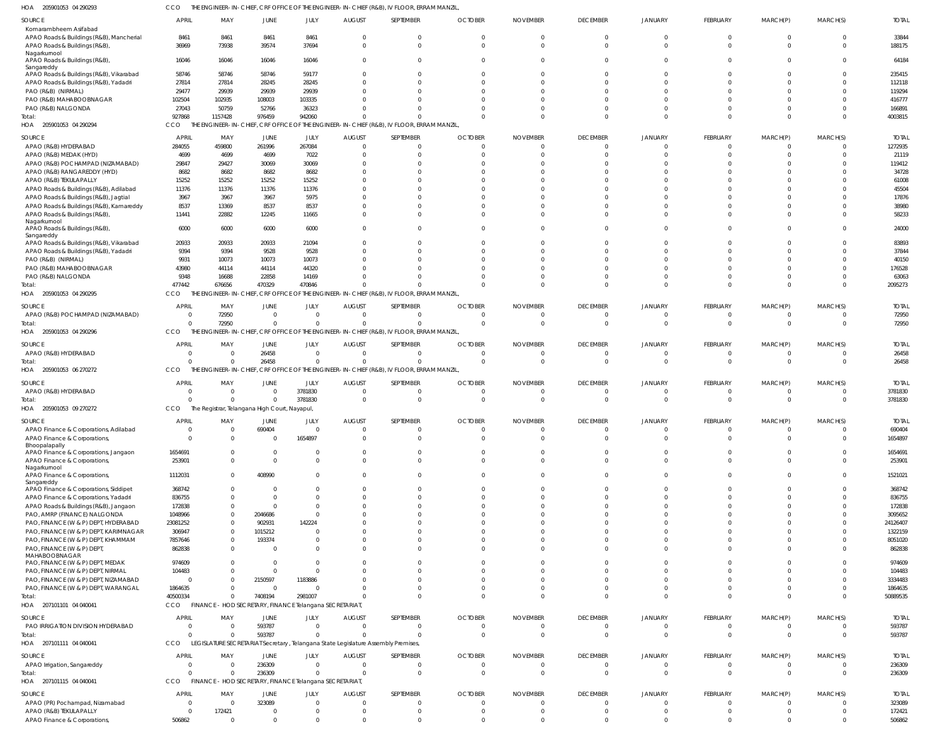205901053 04 290293 HOA CCO THE ENGINEER-IN-CHIEF, CRF OFFICE OF THE ENGINEER-IN-CHIEF (R&B), IV FLOOR, ERRAM MANZIL,

| SOURCE<br>Komarambheem Asifabad<br>APAO Roads & Buildings (R&B), Mancherial            | <b>APRIL</b><br>8461 | MAY<br>8461                                             | JUNE<br>8461            | JULY<br>8461   | <b>AUGUST</b><br>$\Omega$ | SEPTEMBER<br>$\Omega$                                                                     | <b>OCTOBER</b><br>$\Omega$ | <b>NOVEMBER</b> | <b>DECEMBER</b><br>$\Omega$ | <b>JANUARY</b><br>$\Omega$ | <b>FEBRUARY</b><br>$\Omega$ | MARCH(P)<br>$\Omega$ | MARCH(S)<br>$\Omega$ | <b>TOTAL</b><br>33844 |
|----------------------------------------------------------------------------------------|----------------------|---------------------------------------------------------|-------------------------|----------------|---------------------------|-------------------------------------------------------------------------------------------|----------------------------|-----------------|-----------------------------|----------------------------|-----------------------------|----------------------|----------------------|-----------------------|
| APAO Roads & Buildings (R&B),<br>Nagarkurnool                                          | 36969                | 73938                                                   | 39574                   | 37694          | $\Omega$                  | $\Omega$                                                                                  | $\Omega$                   | $\Omega$        | $\Omega$                    | $\Omega$                   | $\Omega$                    | $\Omega$             | $\Omega$             | 188175                |
| APAO Roads & Buildings (R&B),<br>Sangareddy<br>APAO Roads & Buildings (R&B), Vikarabad | 16046<br>58746       | 16046<br>58746                                          | 16046<br>58746          | 16046<br>59177 | $\Omega$                  | $\Omega$                                                                                  | $\Omega$                   | $\Omega$        | $\Omega$<br>$\Omega$        | $\Omega$<br>$\Omega$       | $\Omega$<br>$\Omega$        | $\Omega$<br>$\Omega$ | $\Omega$<br>$\Omega$ | 64184<br>235415       |
| APAO Roads & Buildings (R&B), Yadadri                                                  | 27814                | 27814                                                   | 28245                   | 28245          |                           |                                                                                           |                            |                 | $\Omega$                    | $\Omega$                   |                             | $\Omega$             | $\Omega$             | 112118                |
| PAO (R&B) (NIRMAL)                                                                     | 29477                | 29939                                                   | 29939                   | 29939          |                           |                                                                                           |                            |                 | $\Omega$                    | $\Omega$                   | $\cap$                      | $\Omega$             | $\Omega$             | 119294                |
| PAO (R&B) MAHABOOBNAGAR                                                                | 102504               | 102935                                                  | 108003                  | 103335         |                           |                                                                                           |                            |                 | $\Omega$                    | $\Omega$                   |                             | $\Omega$             | $\Omega$             | 416777                |
|                                                                                        | 27043                | 50759                                                   | 52766                   | 36323          |                           |                                                                                           |                            |                 | $\Omega$                    | $\Omega$                   | $\Omega$                    | $\Omega$             | $\Omega$             | 166891                |
| PAO (R&B) NALGONDA                                                                     | 927868               | 1157428                                                 | 976459                  | 942060         |                           |                                                                                           |                            |                 | $\Omega$                    | $\Omega$                   | $\Omega$                    | $\Omega$             | $\Omega$             | 4003815               |
| Total:                                                                                 | CCO                  |                                                         |                         |                |                           | THE ENGINEER-IN-CHIEF, CRF OFFICE OF THE ENGINEER-IN-CHIEF (R&B), IV FLOOR, ERRAM MANZIL, |                            |                 |                             |                            |                             |                      |                      |                       |
| HOA 205901053 04 290294                                                                |                      |                                                         |                         |                |                           |                                                                                           |                            |                 |                             |                            |                             |                      |                      |                       |
| SOURCE                                                                                 | <b>APRIL</b>         | MAY                                                     | JUNE                    | JULY           | <b>AUGUST</b>             | SEPTEMBER                                                                                 | <b>OCTOBER</b>             | <b>NOVEMBER</b> | <b>DECEMBER</b>             | JANUARY                    | FEBRUARY                    | MARCH(P)             | MARCH(S)             | <b>TOTAL</b>          |
| APAO (R&B) HYDERABAD                                                                   | 284055               | 459800                                                  | 261996                  | 267084         | $\Omega$                  | $\Omega$                                                                                  | $\Omega$                   | $\Omega$        | $\Omega$                    | $\Omega$                   | $\Omega$                    | $\Omega$             | $\Omega$             | 1272935               |
| APAO (R&B) MEDAK (HYD)                                                                 | 4699                 | 4699                                                    | 4699                    | 7022           | $\Omega$                  | $\Omega$                                                                                  | $\Omega$                   |                 | $\Omega$                    | $\Omega$                   | $\Omega$                    | $\Omega$             | $\Omega$             | 21119                 |
| APAO (R&B) POCHAMPAD (NIZAMABAD)                                                       | 29847                | 29427                                                   | 30069                   | 30069          | $\Omega$                  | $\Omega$                                                                                  |                            |                 | $\Omega$                    | $\Omega$                   |                             |                      | $\Omega$             | 119412                |
| APAO (R&B) RANGAREDDY (HYD)                                                            | 8682                 | 8682                                                    | 8682                    | 8682           | $\Omega$                  | $\Omega$                                                                                  |                            |                 | $\Omega$                    | $\Omega$                   |                             |                      | $\Omega$             | 34728                 |
| APAO (R&B) TEKULAPALLY                                                                 | 15252                | 15252                                                   | 15252                   | 15252          |                           | $\Omega$                                                                                  |                            |                 | $\Omega$                    | $\Omega$                   |                             | $\Omega$             | $\Omega$             | 61008                 |
| APAO Roads & Buildings (R&B), Adilabad                                                 | 11376                | 11376                                                   | 11376                   | 11376          |                           | $\Omega$                                                                                  |                            |                 | $\Omega$                    | $\Omega$                   |                             | $\cap$               | $\Omega$             | 45504                 |
| APAO Roads & Buildings (R&B), Jagtial                                                  | 3967                 | 3967                                                    | 3967                    | 5975           |                           | $\Omega$                                                                                  |                            |                 | $\Omega$                    | $\Omega$                   |                             | $\Omega$             | $\Omega$             | 17876                 |
| APAO Roads & Buildings (R&B), Kamareddy                                                | 8537                 | 13369                                                   | 8537                    | 8537           | U                         | $\Omega$                                                                                  |                            |                 | $\Omega$                    | $\Omega$                   | $\cap$                      | $\Omega$             | $\Omega$             | 38980                 |
| APAO Roads & Buildings (R&B),                                                          | 11441                | 22882                                                   | 12245                   | 11665          | $\Omega$                  | $\Omega$                                                                                  | $\Omega$                   | $\Omega$        | $\Omega$                    | $\Omega$                   | $\Omega$                    | $\Omega$             | $\Omega$             | 58233                 |
| Nagarkurnool                                                                           |                      |                                                         |                         |                |                           |                                                                                           |                            |                 |                             |                            |                             |                      |                      |                       |
| APAO Roads & Buildings (R&B),<br>Sangareddy                                            | 6000                 | 6000                                                    | 6000                    | 6000           | $\Omega$                  | $\Omega$                                                                                  | $\Omega$                   | $\Omega$        | $\Omega$                    | $\Omega$                   | $\Omega$                    | $\Omega$             | $\Omega$             | 24000                 |
| APAO Roads & Buildings (R&B), Vikarabad                                                | 20933                | 20933                                                   | 20933                   | 21094          | $\Omega$                  | $\Omega$                                                                                  | $\Omega$                   | $\Omega$        | $\Omega$                    | $\Omega$                   | $\Omega$                    | $\Omega$             | $\Omega$             | 83893                 |
| APAO Roads & Buildings (R&B), Yadadri                                                  | 9394                 | 9394                                                    | 9528                    | 9528           |                           | $\Omega$                                                                                  |                            |                 | $\Omega$                    | $\Omega$                   | $\cap$                      | $\Omega$             | $\Omega$             | 37844                 |
| PAO (R&B) (NIRMAL)                                                                     | 9931                 | 10073                                                   | 10073                   | 10073          | <sup>n</sup>              |                                                                                           |                            |                 | $\Omega$                    | $\Omega$                   |                             | $\Omega$             | $\Omega$             | 40150                 |
| PAO (R&B) MAHABOOBNAGAR                                                                | 43980                | 44114                                                   | 44114                   | 44320          |                           |                                                                                           |                            |                 | $\Omega$                    | $\Omega$                   |                             | $\Omega$             | $\Omega$             | 176528                |
| PAO (R&B) NALGONDA                                                                     | 9348                 | 16688                                                   | 22858                   | 14169          |                           |                                                                                           |                            | $\Omega$        | $\Omega$                    | $\Omega$                   | $\Omega$                    | $\Omega$             | $\Omega$             | 63063                 |
| Total:                                                                                 | 477442               | 676656                                                  | 470329                  | 470846         |                           |                                                                                           |                            | $\Omega$        | $\Omega$                    | $\Omega$                   | $\Omega$                    | $\Omega$             | $\Omega$             | 2095273               |
| HOA 205901053 04 290295                                                                | CCO                  |                                                         |                         |                |                           | THE ENGINEER-IN-CHIEF, CRF OFFICE OF THE ENGINEER-IN-CHIEF (R&B), IV FLOOR, ERRAM MANZIL, |                            |                 |                             |                            |                             |                      |                      |                       |
|                                                                                        |                      |                                                         |                         |                |                           |                                                                                           |                            |                 |                             |                            |                             |                      |                      |                       |
| SOURCE                                                                                 | <b>APRIL</b>         | MAY                                                     | JUNE                    | JULY           | <b>AUGUST</b>             | SEPTEMBER                                                                                 | <b>OCTOBER</b>             | <b>NOVEMBER</b> | <b>DECEMBER</b>             | <b>JANUARY</b>             | <b>FEBRUARY</b>             | MARCH(P)             | MARCH(S)             | <b>TOTAL</b>          |
| APAO (R&B) POCHAMPAD (NIZAMABAD)                                                       | - 0                  | 72950                                                   | $\Omega$                | $\overline{0}$ | $\Omega$                  | $\Omega$                                                                                  | $\Omega$                   |                 | $\Omega$                    | $\Omega$                   | $\Omega$                    | $\Omega$             | $\Omega$             | 72950                 |
| Total:                                                                                 | $\Omega$             | 72950                                                   | $\Omega$                | $\Omega$       | $\Omega$                  | $\Omega$                                                                                  | $\Omega$                   | $\Omega$        | $\Omega$                    | $\Omega$                   | $\Omega$                    | $\Omega$             | $\Omega$             | 72950                 |
| HOA 205901053 04 290296                                                                | CCO                  |                                                         |                         |                |                           | THE ENGINEER-IN-CHIEF, CRF OFFICE OF THE ENGINEER-IN-CHIEF (R&B), IV FLOOR, ERRAM MANZIL, |                            |                 |                             |                            |                             |                      |                      |                       |
| SOURCE                                                                                 | <b>APRIL</b>         | MAY                                                     | JUNE                    | JULY           | <b>AUGUST</b>             | SEPTEMBER                                                                                 | <b>OCTOBER</b>             | <b>NOVEMBER</b> | <b>DECEMBER</b>             | JANUARY                    | FEBRUARY                    | MARCH(P)             | MARCH(S)             | <b>TOTAL</b>          |
| APAO (R&B) HYDERABAD                                                                   | - 0                  | $\Omega$                                                | 26458                   | $\overline{0}$ | $\overline{0}$            | $\overline{0}$                                                                            | $\Omega$                   | $\Omega$        | $\overline{0}$              | 0                          | $\Omega$                    | $\Omega$             | $\Omega$             | 26458                 |
| Total:                                                                                 | $\Omega$             | $\Omega$                                                | 26458                   | $\mathbf{0}$   | $\Omega$                  | $\Omega$                                                                                  | $\Omega$                   | $\Omega$        | $\overline{0}$              | $\Omega$                   | $\Omega$                    | $\Omega$             | $\Omega$             | 26458                 |
| HOA 205901053 06 270272                                                                | CCO                  |                                                         |                         |                |                           | THE ENGINEER-IN-CHIEF, CRF OFFICE OF THE ENGINEER-IN-CHIEF (R&B), IV FLOOR, ERRAM MANZIL, |                            |                 |                             |                            |                             |                      |                      |                       |
|                                                                                        |                      |                                                         |                         |                |                           |                                                                                           |                            |                 |                             |                            |                             |                      |                      |                       |
| SOURCE                                                                                 | <b>APRIL</b>         | MAY                                                     | JUNE                    | JULY           | <b>AUGUST</b>             | SEPTEMBER                                                                                 | <b>OCTOBER</b>             | <b>NOVEMBER</b> | <b>DECEMBER</b>             | <b>JANUARY</b>             | FEBRUARY                    | MARCH(P)             | MARCH(S)             | <b>TOTAL</b>          |
| APAO (R&B) HYDERABAD                                                                   | $\Omega$             | $\Omega$                                                | $\overline{0}$          | 3781830        | $\Omega$                  | -0                                                                                        | $\Omega$                   | $\Omega$        | $\Omega$                    | $\Omega$                   | $\Omega$                    | $\Omega$             | $\Omega$             | 3781830               |
| Total:                                                                                 | $\Omega$             | $\Omega$                                                | $\Omega$                | 3781830        | $\Omega$                  | $\Omega$                                                                                  | $\Omega$                   | $\Omega$        | $\Omega$                    | $\Omega$                   | $\Omega$                    | $\Omega$             | $\Omega$             | 3781830               |
| HOA 205901053 09 270272                                                                | CCO                  | The Registrar, Telangana High Court, Nayapul,           |                         |                |                           |                                                                                           |                            |                 |                             |                            |                             |                      |                      |                       |
|                                                                                        |                      |                                                         |                         |                |                           |                                                                                           |                            |                 |                             |                            |                             |                      |                      |                       |
| SOURCE                                                                                 | <b>APRIL</b>         | MAY                                                     | JUNE                    | JULY           | <b>AUGUST</b>             | SEPTEMBER                                                                                 | <b>OCTOBER</b>             | <b>NOVEMBER</b> | <b>DECEMBER</b>             | <b>JANUARY</b>             | <b>FEBRUARY</b>             | MARCH(P)             | MARCH(S)             | <b>TOTAL</b>          |
| APAO Finance & Corporations, Adilabad                                                  | $\Omega$             | $\Omega$                                                | 690404                  | $\overline{0}$ | $\overline{0}$            | $\Omega$                                                                                  | $\Omega$                   | $\Omega$        | $\overline{0}$              | $\Omega$                   | $\overline{0}$              | $\overline{0}$       | $\Omega$             | 690404                |
| APAO Finance & Corporations,                                                           | - ( )                |                                                         |                         | 1654897        |                           |                                                                                           |                            |                 |                             |                            |                             |                      |                      | 1654897               |
| Bhoopalapally                                                                          | 1654691              | $\Omega$                                                | $\Omega$                | $\overline{0}$ | $\Omega$                  | $\Omega$                                                                                  | $\Omega$                   | $\Omega$        | $\Omega$                    | $\Omega$                   | $\Omega$                    | $\Omega$             | $\Omega$             | 1654691               |
| APAO Finance & Corporations, Jangaon                                                   |                      | $\Omega$                                                | $\Omega$                | $\Omega$       | $\Omega$                  | $\Omega$                                                                                  | $\Omega$                   | $\Omega$        | $\Omega$                    | $\Omega$                   | $\Omega$                    | $\Omega$             | $\Omega$             |                       |
| APAO Finance & Corporations,<br>Nagarkurnool                                           | 253901               |                                                         |                         |                |                           |                                                                                           |                            |                 |                             |                            |                             |                      |                      | 253901                |
| APAO Finance & Corporations,                                                           | 1112031              | $\Omega$                                                | 408990                  | $\overline{0}$ | $\mathbf 0$               | $\Omega$                                                                                  | $\Omega$                   | $\mathbf 0$     | $\Omega$                    | $\Omega$                   | $\Omega$                    | $\Omega$             | $\overline{0}$       | 1521021               |
| Sangareddy                                                                             |                      |                                                         |                         |                |                           |                                                                                           |                            |                 |                             |                            |                             |                      |                      |                       |
| APAO Finance & Corporations, Siddipet                                                  | 368742               |                                                         | $\Omega$                | $\Omega$       | $\Omega$                  | $\Omega$                                                                                  | $\Omega$                   | $\Omega$        | $\Omega$                    | $\Omega$                   | $\Omega$                    | $\Omega$             | $\Omega$             | 368742                |
| APAO Finance & Corporations, Yadadri                                                   | 836755               | $\Omega$                                                | $\Omega$                | $\Omega$       | $\Omega$                  | $\Omega$                                                                                  | $\Omega$                   | $\Omega$        | $\Omega$                    | $\Omega$                   | $\Omega$                    | $\Omega$             | $\Omega$             | 836755                |
| APAO Roads & Buildings (R&B), Jangaon                                                  | 172838               | $\Omega$                                                | $\Omega$                | $\Omega$       | U                         | $\Omega$                                                                                  | $\Omega$                   | $\Omega$        | $\Omega$                    | $\Omega$                   | $\Omega$                    | $\Omega$             | $\Omega$             | 172838                |
| PAO, AMRP (FINANCE) NALGONDA                                                           | 1048966              | $\Omega$                                                | 2046686                 | $\Omega$       |                           | $\Omega$                                                                                  |                            | $\Omega$        | $\Omega$                    | $\Omega$                   | $\Omega$                    | $\Omega$             | $\Omega$             | 3095652               |
| PAO, FINANCE (W & P) DEPT, HYDERABAD                                                   | 23081252             | $\Omega$                                                | 902931                  | 142224         |                           | $\Omega$                                                                                  |                            | $\Omega$        | $\Omega$                    | $\Omega$                   |                             | $\Omega$             | $\Omega$             | 24126407              |
| PAO, FINANCE (W & P) DEPT, KARIMNAGAR                                                  | 306947               | $\Omega$                                                | 1015212                 | $\Omega$       |                           | $\Omega$                                                                                  |                            | $\Omega$        | $\Omega$                    | $\Omega$                   | $\Omega$                    | $\Omega$             | $\Omega$             | 1322159               |
| PAO, FINANCE (W & P) DEPT, KHAMMAM                                                     | 7857646              | $\Omega$                                                | 193374                  | $\overline{0}$ | $\Omega$                  | $\Omega$                                                                                  | $\Omega$                   | $\Omega$        | $\Omega$                    | $\Omega$                   | $\Omega$                    | $\Omega$             | $\Omega$             | 8051020               |
| PAO, FINANCE (W & P) DEPT                                                              | 862838               | $\Omega$                                                | $\overline{\mathbf{0}}$ | $\Omega$       | $\Omega$                  | $\Omega$                                                                                  | $\Omega$                   | $\Omega$        | $\Omega$                    | $\Omega$                   | $\Omega$                    | $\Omega$             | $\Omega$             | 862838                |
| MAHABOOBNAGAR                                                                          |                      |                                                         |                         |                |                           |                                                                                           |                            |                 |                             |                            |                             |                      |                      |                       |
| PAO, FINANCE (W & P) DEPT, MEDAK                                                       | 974609               |                                                         | $\overline{0}$          | $\overline{0}$ | $\Omega$                  | $\Omega$                                                                                  | $\Omega$                   | $\Omega$        | $\Omega$                    | $\Omega$                   | $\Omega$                    | $\Omega$             | $\Omega$             | 974609                |
| PAO, FINANCE (W & P) DEPT, NIRMAL                                                      | 104483               | $\Omega$                                                | $\overline{0}$          | $\Omega$       | $\Omega$                  | $\Omega$                                                                                  | $\Omega$                   | $\Omega$        | $\Omega$                    | $\Omega$                   | $\Omega$                    | $\Omega$             | $\Omega$             | 104483                |
| PAO, FINANCE (W & P) DEPT, NIZAMABAD                                                   | 0                    |                                                         | 2150597                 | 1183886        |                           | $\Omega$                                                                                  | $\Omega$                   | $\Omega$        | $\Omega$                    | $\Omega$                   | $\Omega$                    | $\Omega$             | $\Omega$             | 3334483               |
| PAO, FINANCE (W & P) DEPT, WARANGAL                                                    | 1864635              | $\Omega$                                                | $\overline{0}$          | $\Omega$       |                           | $\Omega$                                                                                  | $\Omega$                   | $\Omega$        | $\Omega$                    | $\Omega$                   | $\Omega$                    | $\Omega$             | 0                    | 1864635               |
| Total:                                                                                 | 40500334             | $\Omega$                                                | 7408194                 | 2981007        |                           | $\Omega$                                                                                  | $\Omega$                   | $\Omega$        | $\Omega$                    | $\Omega$                   | $\Omega$                    | $\Omega$             | $\Omega$             | 50889535              |
| HOA 207101101 04 040041                                                                | CCO                  | FINANCE - HOD SECRETARY, FINANCE Telangana SECRETARIAT, |                         |                |                           |                                                                                           |                            |                 |                             |                            |                             |                      |                      |                       |
|                                                                                        |                      |                                                         |                         |                |                           |                                                                                           |                            |                 |                             |                            |                             |                      |                      |                       |
| SOURCE                                                                                 | APRIL                | MAY                                                     | JUNE                    | JULY           | <b>AUGUST</b>             | SEPTEMBER                                                                                 | <b>OCTOBER</b>             | <b>NOVEMBER</b> | <b>DECEMBER</b>             | <b>JANUARY</b>             | FEBRUARY                    | MARCH(P)             | MARCH(S)             | <b>TOTAL</b>          |
| PAO IRRIGATION DIVISION HYDERABAD                                                      | - 0                  | $\Omega$                                                | 593787                  | $\Omega$       | $\Omega$                  | $\Omega$                                                                                  | $\Omega$                   | $\Omega$        | $\Omega$                    | $\Omega$                   | $\Omega$                    | $\Omega$             | $\Omega$             | 593787                |
| Total:                                                                                 | $\Omega$             | $\Omega$                                                | 593787                  | $\Omega$       | $\Omega$                  | $\Omega$                                                                                  | $\Omega$                   | $\Omega$        | - 0                         | $\Omega$                   | $\Omega$                    | $\Omega$             | 0                    | 593787                |
| HOA 207101111 04 040041                                                                | CCO                  |                                                         |                         |                |                           | LEGISLATURE SECRETARIAT Secretary, Telangana State Legislature Assembly Premises,         |                            |                 |                             |                            |                             |                      |                      |                       |
|                                                                                        |                      |                                                         |                         |                |                           |                                                                                           |                            |                 |                             |                            |                             |                      |                      |                       |
| SOURCE                                                                                 | <b>APRIL</b>         | MAY                                                     | JUNE                    | JULY           | <b>AUGUST</b>             | SEPTEMBER                                                                                 | <b>OCTOBER</b>             | <b>NOVEMBER</b> | <b>DECEMBER</b>             | <b>JANUARY</b>             | FEBRUARY                    | MARCH(P)             | MARCH(S)             | <b>TOTAL</b>          |
| APAO Irrigation, Sangareddy                                                            | 0                    | $\Omega$                                                | 236309                  | $\overline{0}$ | $\overline{0}$            | $\overline{0}$                                                                            | 0                          | 0               | $\overline{0}$              | 0                          | $\overline{0}$              | $\overline{0}$       | 0                    | 236309                |
| Total:                                                                                 | $\Omega$             | $\Omega$                                                | 236309                  | $\overline{0}$ | $\Omega$                  | $\mathbf 0$                                                                               | $\overline{0}$             | $\Omega$        | $\overline{0}$              | $\Omega$                   | $\overline{0}$              | $\overline{0}$       | $\overline{0}$       | 236309                |
| HOA 207101115 04 040041                                                                | CCO                  | FINANCE - HOD SECRETARY, FINANCE Telangana SECRETARIAT, |                         |                |                           |                                                                                           |                            |                 |                             |                            |                             |                      |                      |                       |
| SOURCE                                                                                 | <b>APRIL</b>         | MAY                                                     | JUNE                    | JULY           | <b>AUGUST</b>             | SEPTEMBER                                                                                 | <b>OCTOBER</b>             | <b>NOVEMBER</b> | <b>DECEMBER</b>             | <b>JANUARY</b>             | FEBRUARY                    | MARCH(P)             | MARCH(S)             | <b>TOTAL</b>          |
| APAO (PR) Pochampad, Nizamabad                                                         | 0                    | $\Omega$                                                | 323089                  | $\Omega$       | $\Omega$                  | $\Omega$                                                                                  | $\Omega$                   | $\Omega$        | $\Omega$                    | $\Omega$                   | $\Omega$                    | $\Omega$             | $\Omega$             | 323089                |
| APAO (R&B) TEKULAPALLY                                                                 | - 0                  | 172421                                                  | $\Omega$                | $\Omega$       | $\Omega$                  | $\Omega$                                                                                  | <sup>0</sup>               |                 | $\Omega$                    | 0                          | $\Omega$                    | $\Omega$             | 0                    | 172421                |
| APAO Finance & Corporations                                                            | 506862               | $\Omega$                                                | $\Omega$                | $\Omega$       | $\Omega$                  | $\Omega$                                                                                  | $\Omega$                   | $\Omega$        | $\Omega$                    | $\Omega$                   | $\Omega$                    | $\Omega$             | $\Omega$             | 506862                |
|                                                                                        |                      |                                                         |                         |                |                           |                                                                                           |                            |                 |                             |                            |                             |                      |                      |                       |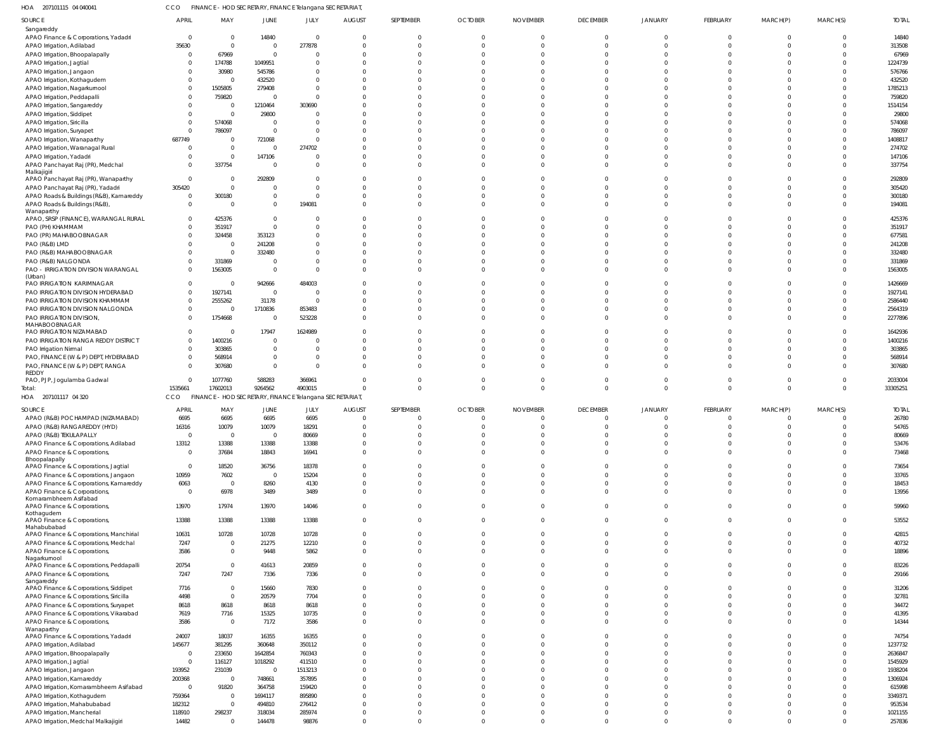207101115 04 040041 HOA CCO FINANCE - HOD SECRETARY, FINANCE Telangana SECRETARIAT,

| SOURCE                                                                          | <b>APRIL</b>    | MAY                    | JUNE             | JULY                                                    | <b>AUGUST</b> | SEPTEMBER            | <b>OCTOBER</b>       | <b>NOVEMBER</b>      | <b>DECEMBER</b>      | JANUARY              | FEBRUARY             | MARCH(P)             | MARCH(S)             | <b>TOTAL</b>      |
|---------------------------------------------------------------------------------|-----------------|------------------------|------------------|---------------------------------------------------------|---------------|----------------------|----------------------|----------------------|----------------------|----------------------|----------------------|----------------------|----------------------|-------------------|
| Sangareddy                                                                      |                 |                        |                  |                                                         |               |                      |                      |                      |                      |                      |                      |                      |                      |                   |
| APAO Finance & Corporations, Yadadri                                            | $\overline{0}$  | 0                      | 14840            | $\Omega$                                                |               | 0                    | 0                    | 0                    | $\Omega$             | $\Omega$             | $\mathbf 0$          | $\mathbf{0}$         | $\mathbf 0$          | 14840             |
| APAO Irrigation, Adilabad                                                       | 35630           | $\overline{0}$         | $\Omega$         | 277878                                                  |               | $\Omega$             | $\Omega$             | $\Omega$             | $\Omega$             | $\Omega$             | $\Omega$             | $\Omega$             | $\mathbf{0}$         | 313508            |
| APAO Irrigation, Bhoopalapally                                                  | $\overline{0}$  | 67969                  | $\Omega$         | $\Omega$                                                |               |                      | -C                   |                      | $\Omega$             |                      |                      |                      | $\Omega$             | 67969             |
| APAO Irrigation, Jagtial                                                        | 0               | 174788                 | 1049951          | <sup>0</sup>                                            |               |                      | $\Omega$             |                      | $\Omega$             |                      |                      |                      | $\Omega$             | 1224739           |
| APAO Irrigation, Jangaon                                                        | $\Omega$        | 30980                  | 545786           | <sup>0</sup>                                            |               |                      | $\Omega$             |                      | $\Omega$             |                      |                      |                      | $\Omega$             | 576766            |
| APAO Irrigation, Kothagudem                                                     | $\overline{0}$  | $\overline{0}$         | 432520           | <sup>0</sup>                                            |               |                      | -C                   |                      | $\cap$               |                      |                      |                      | $\Omega$             | 432520            |
| APAO Irrigation, Nagarkurnool                                                   | $\overline{0}$  | 1505805                | 279408           | $\Omega$                                                |               |                      | -C                   |                      | $\cap$               |                      |                      |                      | $\Omega$             | 1785213           |
| APAO Irrigation, Peddapalli                                                     | $\Omega$        | 759820                 | - 0              | $\Omega$                                                |               |                      | -C                   |                      | $\Omega$             |                      |                      |                      | $\Omega$             | 759820            |
| APAO Irrigation, Sangareddy                                                     | $\overline{0}$  | $\overline{0}$         | 1210464          | 303690                                                  |               |                      | -C                   |                      | $\cap$               |                      |                      |                      | $\Omega$             | 1514154           |
| APAO Irrigation, Siddipet                                                       | $\Omega$        | $\overline{0}$         | 29800            | $\Omega$                                                |               |                      | -C                   |                      | $\Omega$             |                      |                      |                      | $\Omega$             | 29800             |
| APAO Irrigation, Siricilla                                                      | $\overline{0}$  | 574068                 | - 0              | <sup>0</sup>                                            |               |                      | -C                   |                      | $\cap$               |                      |                      |                      | $\Omega$             | 574068            |
| APAO Irrigation, Suryapet                                                       | $\overline{0}$  | 786097                 | $\Omega$         | $\Omega$                                                |               |                      | -C                   |                      | $\Omega$             |                      |                      |                      | $\Omega$             | 786097            |
| APAO Irrigation, Wanaparthy                                                     | 687749          | - 0                    | 721068           | <sup>0</sup>                                            |               |                      | -C                   |                      | $\cap$               |                      |                      |                      | $\Omega$             | 1408817           |
| APAO Irrigation, Waranagal Rural                                                | $\overline{0}$  | $\overline{0}$         | - 0              | 274702                                                  |               |                      | $\Omega$             |                      | $\Omega$             |                      |                      |                      | $\Omega$             | 274702            |
| APAO Irrigation, Yadadri                                                        | $\Omega$        | $\overline{0}$         | 147106           | $\Omega$                                                |               |                      | $\Omega$             |                      | $\Omega$             |                      |                      |                      | $\Omega$             | 147106            |
| APAO Panchayat Raj (PR), Medchal                                                | $\Omega$        | 337754                 | $\Omega$         | $\Omega$                                                |               |                      | $\Omega$             | C                    | $\Omega$             |                      | $\Omega$             | <sup>0</sup>         | $\Omega$             | 337754            |
| Malkajigiri                                                                     |                 |                        |                  |                                                         |               |                      |                      |                      |                      |                      |                      |                      |                      |                   |
| APAO Panchayat Raj (PR), Wanaparthy                                             | $\overline{0}$  | 0                      | 292809           | $\Omega$                                                |               |                      | $\Omega$             | -C                   | $\Omega$             |                      |                      |                      | $\Omega$             | 292809            |
| APAO Panchayat Raj (PR), Yadadri                                                | 305420          | $\overline{0}$         | - 0              | $\Omega$                                                |               |                      | $\Omega$             | C                    | $\Omega$             |                      |                      |                      | $\Omega$             | 305420            |
| APAO Roads & Buildings (R&B), Kamareddy                                         | $\overline{0}$  | 300180                 | $\Omega$         | $\Omega$                                                |               |                      | $\Omega$             | C                    | $\Omega$             | $\Omega$             | $\Omega$             | <sup>0</sup>         | $\Omega$             | 300180            |
| APAO Roads & Buildings (R&B),                                                   | $\overline{0}$  | $\overline{0}$         | $\Omega$         | 194081                                                  |               |                      | $\Omega$             | C                    | $\Omega$             |                      | $\Omega$             | <sup>0</sup>         | $\Omega$             | 194081            |
| Wanaparthy<br>APAO, SRSP (FINANCE), WARANGAL RURAL                              | $\overline{0}$  | 425376                 | $\Omega$         | <sup>0</sup>                                            |               |                      | $\Omega$             | C                    | $\Omega$             |                      |                      |                      | $\Omega$             | 425376            |
| PAO (PH) KHAMMAM                                                                | $\overline{0}$  | 351917                 | $\Omega$         | $\Omega$                                                |               |                      | $\Omega$             | C                    | $\Omega$             |                      |                      |                      | $\Omega$             | 351917            |
| PAO (PR) MAHABOOBNAGAR                                                          | $\overline{0}$  | 324458                 | 353123           | <sup>0</sup>                                            |               |                      | -C                   |                      | $\Omega$             |                      |                      |                      | $\Omega$             | 677581            |
| PAO (R&B) LMD                                                                   | $\Omega$        | $\overline{0}$         | 241208           | <sup>0</sup>                                            |               |                      | -C                   |                      | $\Omega$             |                      |                      |                      | $\Omega$             | 241208            |
| PAO (R&B) MAHABOOBNAGAR                                                         | $\Omega$        | $\overline{0}$         | 332480           | <sup>0</sup>                                            |               |                      | -C                   |                      | $\Omega$             |                      |                      |                      | $\Omega$             | 332480            |
| PAO (R&B) NALGONDA                                                              | $\Omega$        | 331869                 | - 0              | <sup>0</sup>                                            |               |                      | $\Omega$             | -C                   | $\Omega$             |                      |                      |                      | $\Omega$             | 331869            |
| PAO - IRRIGATION DIVISION WARANGAL                                              | $\Omega$        | 1563005                | $\Omega$         | $\Omega$                                                |               |                      | $\Omega$             | C                    | $\Omega$             |                      | $\Omega$             | $\Omega$             | $\Omega$             | 1563005           |
| (Urban)                                                                         |                 |                        |                  |                                                         |               |                      |                      |                      |                      |                      |                      |                      |                      |                   |
| PAO IRRIGATION KARIMNAGAR                                                       | $\overline{0}$  | 0                      | 942666           | 484003                                                  |               |                      | $\Omega$             |                      | $\cap$               |                      |                      |                      | $\Omega$             | 1426669           |
| PAO IRRIGATION DIVISION HYDERABAD                                               | $\overline{0}$  | 1927141                | $\overline{0}$   | $\Omega$                                                |               |                      | -C                   |                      | $\Omega$             |                      |                      |                      | $\Omega$             | 1927141           |
| PAO IRRIGATION DIVISION KHAMMAM                                                 | $\Omega$        | 2555262                | 31178            | $\Omega$                                                |               |                      | $\Omega$             | C                    | $\Omega$             |                      |                      |                      | $\Omega$             | 2586440           |
| PAO IRRIGATION DIVISION NALGONDA                                                | $\overline{0}$  | 0                      | 1710836          | 853483                                                  |               |                      | $\Omega$             | C                    | $\Omega$             |                      |                      | <sup>0</sup>         | $\Omega$             | 2564319           |
| PAO IRRIGATION DIVISION,                                                        | $\Omega$        | 1754668                | $\Omega$         | 523228                                                  |               |                      | $\Omega$             | C                    | $\Omega$             |                      |                      |                      | $\Omega$             | 2277896           |
| MAHABOOBNAGAR                                                                   |                 |                        |                  |                                                         |               |                      |                      |                      |                      |                      |                      |                      |                      |                   |
| PAO IRRIGATION NIZAMABAD                                                        | $\overline{0}$  | 0                      | 17947            | 1624989                                                 |               |                      | $\Omega$             | C                    | $\Omega$             |                      |                      |                      | $\Omega$             | 1642936           |
| PAO IRRIGATION RANGA REDDY DISTRICT                                             | $\overline{0}$  | 1400216                | $\Omega$         | $\Omega$                                                |               |                      | $\Omega$             | C                    | $\Omega$             |                      |                      |                      | $\Omega$             | 1400216           |
| PAO Irrigation Nirmal                                                           | $\overline{0}$  | 303865                 | $\Omega$         | $\Omega$                                                |               |                      | $\Omega$             | -C                   | $\Omega$             |                      |                      | <sup>0</sup>         | $\Omega$             | 303865            |
| PAO, FINANCE (W & P) DEPT, HYDERABAD                                            | $\Omega$        | 568914                 | $\Omega$         | $\Omega$                                                |               |                      | $\Omega$             | C                    | $\Omega$             |                      |                      |                      | $\Omega$             | 568914            |
| PAO, FINANCE (W & P) DEPT, RANGA                                                | $\overline{0}$  | 307680                 | $\Omega$         | $\Omega$                                                |               |                      | $\Omega$             |                      | $\Omega$             |                      |                      | <sup>0</sup>         | $\Omega$             | 307680            |
|                                                                                 |                 |                        |                  |                                                         |               |                      |                      |                      |                      |                      |                      |                      |                      |                   |
| REDDY                                                                           |                 |                        |                  |                                                         |               | <sup>0</sup>         | $\Omega$             | $\Omega$             | $\Omega$             |                      | $\Omega$             | $\Omega$             | $\Omega$             |                   |
| PAO, PJP, Jogulamba Gadwal                                                      | $\overline{0}$  | 1077760                | 588283           | 366961                                                  |               | $\Omega$             | $\Omega$             | $\Omega$             | $\Omega$             | $\Omega$             | $\Omega$             | $\Omega$             | $\Omega$             | 2033004           |
| Total:                                                                          | 1535661         | 17602013               | 9264562          | 4903015                                                 |               |                      |                      |                      |                      |                      |                      |                      |                      | 33305251          |
| HOA 207101117 04 320                                                            | <b>CCO</b>      |                        |                  | FINANCE - HOD SECRETARY, FINANCE Telangana SECRETARIAT, |               |                      |                      |                      |                      |                      |                      |                      |                      |                   |
| SOURCE                                                                          | <b>APRIL</b>    | MAY                    | JUNE             | JULY                                                    | <b>AUGUST</b> | SEPTEMBER            | <b>OCTOBER</b>       | <b>NOVEMBER</b>      | <b>DECEMBER</b>      | <b>JANUARY</b>       | FEBRUARY             | MARCH(P)             | MARCH(S)             | <b>TOTAL</b>      |
| APAO (R&B) POCHAMPAD (NIZAMABAD)                                                | 6695            | 6695                   | 6695             | 6695                                                    |               |                      | $\Omega$             | $\Omega$             | $\Omega$             |                      |                      |                      | $\Omega$             | 26780             |
| APAO (R&B) RANGAREDDY (HYD)                                                     | 16316           | 10079                  | 10079            | 18291                                                   | $\Omega$      |                      | $\Omega$             | $\Omega$             | $\Omega$             |                      |                      |                      | $\Omega$             | 54765             |
| APAO (R&B) TEKULAPALLY                                                          | $\Omega$        | $\Omega$               | $\Omega$         | 80669                                                   |               |                      | $\cap$               |                      | $\Omega$             |                      |                      |                      | $\Omega$             | 80669             |
| APAO Finance & Corporations, Adilabad                                           | 13312           | 13388                  | 13388            | 13388                                                   |               |                      | $\Omega$             | $\Omega$             | $\Omega$             |                      | $\Omega$             | $\Omega$             | $\Omega$             | 53476             |
| APAO Finance & Corporations,                                                    | $\overline{0}$  | 37684                  | 18843            | 16941                                                   | $\Omega$      | $\Omega$             | $\Omega$             | $\Omega$             | $\Omega$             | $\Omega$             | $\Omega$             | $\Omega$             | $\overline{0}$       | 73468             |
| Bhoopalapally<br>APAO Finance & Corporations, Jagtial                           | $\overline{0}$  | 18520                  | 36756            | 18378                                                   |               |                      | $\Omega$             | $\Omega$             | $\Omega$             |                      | $\Omega$             | $\Omega$             | $\Omega$             | 73654             |
|                                                                                 | 10959           |                        | $\Omega$         | 15204                                                   |               | $\Omega$             | $\Omega$             | $\Omega$             | $\Omega$             | $\Omega$             | $\Omega$             | $\Omega$             | $\Omega$             |                   |
| APAO Finance & Corporations, Jangaon<br>APAO Finance & Corporations, Kamareddy  | 6063            | 7602<br>$\overline{0}$ | 8260             | 4130                                                    |               | $\Omega$             | $\Omega$             | $\Omega$             | $\Omega$             | $\Omega$             | $\Omega$             | $\Omega$             | $\Omega$             | 33765             |
| APAO Finance & Corporations,                                                    | $\overline{0}$  | 6978                   | 3489             | 3489                                                    | $\Omega$      | $\Omega$             | $\Omega$             | $\Omega$             | $\Omega$             | $\Omega$             | $\Omega$             | $\Omega$             | $\Omega$             | 18453             |
| Komarambheem Asifabad                                                           |                 |                        |                  |                                                         |               |                      |                      |                      |                      |                      |                      |                      |                      | 13956             |
| APAO Finance & Corporations,                                                    | 13970           | 17974                  | 13970            | 14046                                                   | $\Omega$      | $\Omega$             | $\Omega$             | $\Omega$             | $\Omega$             | $\Omega$             | $\Omega$             | $\Omega$             | $\Omega$             | 59960             |
| Kothagudem                                                                      |                 |                        |                  |                                                         | $\Omega$      | $\Omega$             |                      |                      |                      | $\Omega$             |                      |                      |                      |                   |
| APAO Finance & Corporations,<br>Mahabubabad                                     | 13388           | 13388                  | 13388            | 13388                                                   |               |                      | $\Omega$             | $\Omega$             | $\Omega$             |                      | $\Omega$             | $\Omega$             | $\overline{0}$       | 53552             |
| APAO Finance & Corporations, Manchirial                                         | 10631           | 10728                  | 10728            | 10728                                                   |               | $\Omega$             | $\Omega$             | $\Omega$             | $\Omega$             | $\Omega$             | $\Omega$             | $\Omega$             | $\Omega$             | 42815             |
| APAO Finance & Corporations, Medchal                                            | 7247            | $\Omega$               | 21275            | 12210                                                   |               | $\Omega$             | $\overline{0}$       | $\Omega$             | $\Omega$             | $\Omega$             | $\Omega$             | $\Omega$             | $\Omega$             | 40732             |
| APAO Finance & Corporations,                                                    | 3586            | $\overline{0}$         | 9448             | 5862                                                    |               | $\Omega$             | $\Omega$             | $\Omega$             | $\Omega$             | $\Omega$             | $\Omega$             | $\Omega$             | $\Omega$             | 18896             |
| Nagarkurnool                                                                    |                 |                        |                  |                                                         |               |                      |                      |                      |                      |                      |                      |                      |                      |                   |
| APAO Finance & Corporations, Peddapalli                                         | 20754           | $\overline{0}$         | 41613            | 20859                                                   |               | $\Omega$             | $\Omega$             | $\Omega$             | $\Omega$             | $\Omega$             | $\Omega$             | $\Omega$             | $\Omega$             | 83226             |
| APAO Finance & Corporations,                                                    | 7247            | 7247                   | 7336             | 7336                                                    |               | $\Omega$             | $\Omega$             | $\Omega$             | $\Omega$             | $\Omega$             | $\Omega$             | $\Omega$             | $\Omega$             | 29166             |
| Sangareddy                                                                      |                 | $\overline{0}$         |                  |                                                         |               | <sup>0</sup>         | $\Omega$             | $\Omega$             | $\Omega$             | $\Omega$             | $\Omega$             | $\Omega$             | $\Omega$             |                   |
| APAO Finance & Corporations, Siddipet                                           | 7716            | $\overline{0}$         | 15660            | 7830                                                    |               |                      | $\Omega$             | $\Omega$             | $\Omega$             | $\Omega$             | O                    | $\Omega$             | $\Omega$             | 31206             |
| APAO Finance & Corporations, Siricilla                                          | 4498<br>8618    | 8618                   | 20579<br>8618    | 7704<br>8618                                            |               |                      | $\Omega$             | $\Omega$             | $\Omega$             | $\Omega$             | O                    | $\Omega$             | $\Omega$             | 32781<br>34472    |
| APAO Finance & Corporations, Suryapet<br>APAO Finance & Corporations, Vikarabad | 7619            | 7716                   |                  | 10735                                                   |               | $\Omega$             | $\Omega$             | $\Omega$             | $\Omega$             | $\Omega$             | $\Omega$             | $\Omega$             | $\Omega$             | 41395             |
| APAO Finance & Corporations,                                                    | 3586            | $\overline{0}$         | 15325<br>7172    | 3586                                                    |               |                      | $\Omega$             | $\Omega$             | $\Omega$             | $\Omega$             | $\Omega$             | $\Omega$             | $\Omega$             | 14344             |
| Wanaparthy                                                                      |                 |                        |                  |                                                         |               |                      |                      |                      |                      |                      |                      |                      |                      |                   |
| APAO Finance & Corporations, Yadadri                                            | 24007           | 18037                  | 16355            | 16355                                                   |               |                      | $\Omega$             | $\Omega$             | $\Omega$             |                      | U                    | <sup>0</sup>         | $\Omega$             | 74754             |
| APAO Irrigation, Adilabad                                                       | 145677          | 381295                 | 360648           | 350112                                                  |               |                      | $\Omega$             | $\Omega$             | $\Omega$             | $\Omega$             | O                    | $\Omega$             | $\Omega$             | 1237732           |
| APAO Irrigation, Bhoopalapally                                                  | $\Omega$        | 233650                 | 1642854          | 760343                                                  |               |                      | $\Omega$             | $\Omega$             | $\Omega$             | $\Omega$             |                      | $\Omega$             | $\Omega$             | 2636847           |
| APAO Irrigation, Jagtial                                                        | $\overline{0}$  | 116127                 | 1018292          | 411510                                                  |               |                      | $\Omega$             | $\Omega$             | $\Omega$             | $\Omega$             |                      | $\Omega$             | $\Omega$             | 1545929           |
| APAO Irrigation, Jangaon                                                        | 193952          | 231039                 | $\overline{0}$   | 1513213                                                 |               |                      | $\Omega$             | $\Omega$             | $\Omega$             | $\Omega$             |                      | $\Omega$             | $\Omega$             | 1938204           |
| APAO Irrigation, Kamareddy                                                      | 200368          | $\overline{0}$         | 748661           | 357895                                                  |               |                      | $\Omega$             | $\Omega$             | $\Omega$             | $\Omega$             |                      | $\Omega$             | $\Omega$             | 1306924           |
| APAO Irrigation, Komarambheem Asifabad                                          | $\overline{0}$  | 91820                  | 364758           | 159420                                                  |               |                      | $\Omega$             | $\Omega$             | $\Omega$             | $\Omega$             |                      | $\Omega$             | $\Omega$             | 615998            |
| APAO Irrigation, Kothagudem                                                     | 759364          | $\overline{0}$         | 1694117          | 895890                                                  |               |                      | $\Omega$             | $\Omega$             | $\Omega$             | $\Omega$             | U                    | $\Omega$             | $\Omega$             | 3349371           |
| APAO Irrigation, Mahabubabad                                                    | 182312          | $\overline{0}$         | 494810           | 276412                                                  |               |                      | $\Omega$             | $\Omega$             | $\Omega$             | $\Omega$             | $\Omega$             | $\Omega$             | $\Omega$             | 953534            |
| APAO Irrigation, Mancherial<br>APAO Irrigation, Medchal Malkajigiri             | 118910<br>14482 | 298237<br>$\mathbf{0}$ | 318034<br>144478 | 285974<br>98876                                         | $\Omega$      | $\Omega$<br>$\Omega$ | $\Omega$<br>$\Omega$ | $\Omega$<br>$\Omega$ | $\Omega$<br>$\Omega$ | $\Omega$<br>$\Omega$ | $\Omega$<br>$\Omega$ | $\Omega$<br>$\Omega$ | $\Omega$<br>$\Omega$ | 1021155<br>257836 |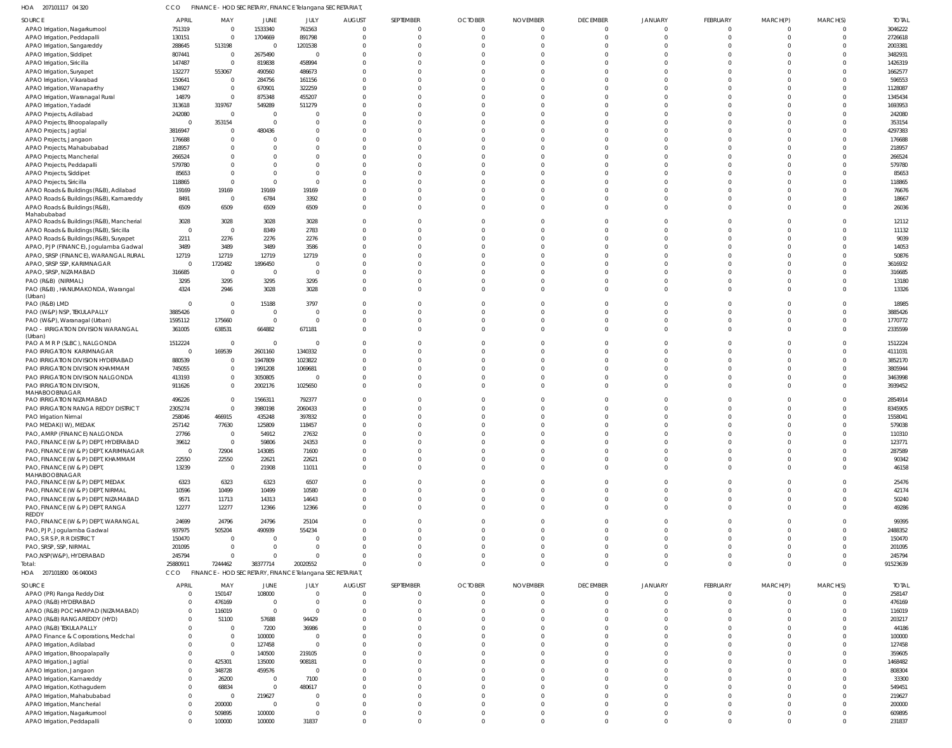207101117 04 320 HOA CCO FINANCE - HOD SECRETARY, FINANCE Telangana SECRETARIAT,

| SOURCE                                                       | <b>APRIL</b>   | MAY               | JUNE                    | JULY                                                   | <b>AUGUST</b>        | SEPTEMBER | <b>OCTOBER</b> | <b>NOVEMBER</b>      | <b>DECEMBER</b>      | JANUARY              | FEBRUARY | MARCH(P) | MARCH(S)             | <b>TOTAL</b>     |
|--------------------------------------------------------------|----------------|-------------------|-------------------------|--------------------------------------------------------|----------------------|-----------|----------------|----------------------|----------------------|----------------------|----------|----------|----------------------|------------------|
| APAO Irrigation, Nagarkurnool                                | 751319         | $\overline{0}$    | 1533340                 | 761563                                                 | $\Omega$             |           | $\Omega$       | $\Omega$             | $\mathbf{0}$         | $\Omega$             | $\Omega$ |          | $\Omega$             | 3046222          |
| APAO Irrigation, Peddapalli                                  | 130151         | $\overline{0}$    | 1704669                 | 891798                                                 |                      |           |                | $\Omega$             | $\mathbf 0$          | $\Omega$             |          |          | $\mathbf 0$          | 2726618          |
| APAO Irrigation, Sangareddy                                  | 288645         | 513198            | $\mathbf 0$             | 1201538                                                |                      |           |                |                      | $\Omega$             | $\Omega$             |          |          | $\Omega$             | 2003381          |
| APAO Irrigation, Siddipet                                    | 807441         | $\overline{0}$    | 2675490                 | C                                                      |                      |           |                |                      | $\Omega$             | $\Omega$             |          |          | $\Omega$             | 3482931          |
| APAO Irrigation, Siricilla                                   | 147487         | $\overline{0}$    | 819838                  | 458994                                                 |                      |           |                |                      | $\Omega$             | $\Omega$             |          |          | $\Omega$             | 1426319          |
| APAO Irrigation, Suryapet                                    | 132277         | 553067            | 490560                  | 486673                                                 |                      |           |                |                      | $\Omega$             | $\Omega$             |          |          | $\Omega$             | 1662577          |
| APAO Irrigation, Vikarabad                                   | 150641         | $\Omega$          | 284756                  | 161156                                                 |                      |           |                |                      | $\Omega$             | $\Omega$             |          |          | $\Omega$             | 596553           |
| APAO Irrigation, Wanaparthy                                  | 134927         | $\overline{0}$    | 670901                  | 322259                                                 |                      |           |                |                      | $\Omega$             | $\Omega$             |          |          | $\Omega$             | 1128087          |
| APAO Irrigation, Waranagal Rural                             | 14879          | $\Omega$          | 875348                  | 455207                                                 |                      |           |                |                      | $\Omega$             | $\Omega$             |          |          | $\Omega$             | 1345434          |
| APAO Irrigation, Yadadri                                     | 313618         | 319767            | 549289                  | 511279                                                 |                      |           |                |                      | $\Omega$             | $\Omega$             |          |          | $\Omega$             | 1693953          |
| APAO Projects, Adilabad                                      | 242080         | $\Omega$          | $\mathbf 0$             | C                                                      |                      |           |                |                      | $\Omega$             | $\Omega$             |          |          | $\Omega$             | 242080           |
| APAO Projects, Bhoopalapally                                 | -0             | 353154            | $\Omega$                | $\Omega$                                               |                      |           |                |                      | $\Omega$             | $\Omega$             |          |          | $\Omega$             | 353154           |
| APAO Projects, Jagtial                                       | 3816947        | $\Omega$          | 480436                  | C                                                      |                      |           |                |                      | $\Omega$             | $\Omega$             |          |          | $\Omega$             | 4297383          |
| APAO Projects, Jangaon                                       | 176688         | $\Omega$          |                         | C                                                      |                      |           |                |                      | $\Omega$             | $\Omega$             |          |          | $\Omega$             | 176688           |
| APAO Projects, Mahabubabad                                   | 218957         |                   |                         | C                                                      |                      |           |                |                      | $\Omega$             | $\Omega$             |          |          | $\Omega$             | 218957           |
| APAO Projects, Mancherial                                    | 266524         |                   |                         |                                                        |                      |           |                |                      | $\Omega$             | $\Omega$             |          |          | $\Omega$             | 266524           |
| APAO Projects, Peddapalli                                    | 579780         |                   |                         | C                                                      |                      |           |                |                      | $\Omega$             | $\Omega$             |          |          | $\Omega$             | 579780           |
| APAO Projects, Siddipet                                      | 85653          |                   |                         | C                                                      |                      |           |                |                      | $\Omega$             | $\Omega$             |          |          | $\Omega$             | 85653            |
| APAO Projects, Siricilla                                     | 118865         | $\Omega$          | $\Omega$                | C                                                      |                      |           |                |                      | $\Omega$             | $\Omega$             |          |          | $\Omega$             | 118865           |
| APAO Roads & Buildings (R&B), Adilabad                       | 19169          | 19169             | 19169                   | 19169                                                  |                      |           |                |                      | $\Omega$             | $\Omega$             |          |          | $\Omega$             | 76676            |
| APAO Roads & Buildings (R&B), Kamareddy                      | 8491           | $\overline{0}$    | 6784                    | 3392                                                   |                      |           |                |                      | $\Omega$             | $\Omega$             |          |          | $\Omega$             | 18667            |
| APAO Roads & Buildings (R&B),                                | 6509           | 6509              | 6509                    | 6509                                                   | $\Omega$             |           |                |                      | $\Omega$             | $\Omega$             |          |          | $\Omega$             | 26036            |
| Mahabubabad                                                  |                |                   |                         |                                                        |                      |           |                |                      |                      |                      |          |          |                      |                  |
| APAO Roads & Buildings (R&B), Mancherial                     | 3028           | 3028              | 3028                    | 3028                                                   |                      |           |                |                      | $\Omega$             | 0                    |          |          | $\Omega$             | 12112            |
| APAO Roads & Buildings (R&B), Siricilla                      | $\circ$        | $\Omega$          | 8349                    | 2783                                                   |                      |           |                |                      | $\Omega$             | $\Omega$             |          |          | $\Omega$             | 11132            |
| APAO Roads & Buildings (R&B), Suryapet                       | 2211           | 2276              | 2276                    | 2276                                                   |                      |           |                |                      | $\Omega$             | $\Omega$             |          |          | $\Omega$             | 9039             |
| APAO, PJP (FINANCE), Jogulamba Gadwal                        | 3489           | 3489              | 3489                    | 3586                                                   |                      |           |                |                      | $\Omega$             | $\Omega$             |          |          | $\Omega$             | 14053            |
| APAO, SRSP (FINANCE), WARANGAL RURAL                         | 12719          | 12719             | 12719                   | 12719                                                  |                      |           |                |                      | $\Omega$             | $\Omega$             |          |          | $\Omega$             | 50876            |
| APAO, SRSP SSP, KARIMNAGAR                                   | $\Omega$       | 1720482           | 1896450                 | $\overline{0}$                                         |                      |           |                |                      | $\Omega$             | $\Omega$             |          |          | $\Omega$             | 3616932          |
| APAO, SRSP, NIZAMABAD                                        | 316685         | $\overline{0}$    | $\mathbf 0$             | $\overline{0}$                                         |                      |           |                |                      | $\Omega$             | $\Omega$             |          |          | $\Omega$             | 316685           |
| PAO (R&B) (NIRMAL)                                           | 3295           | 3295              | 3295                    | 3295                                                   |                      |           |                |                      | $\Omega$             | $\Omega$             |          |          | $\Omega$             | 13180            |
| PAO (R&B), HANUMAKONDA, Warangal                             | 4324           | 2946              | 3028                    | 3028                                                   | $\Omega$             |           |                |                      | $\Omega$             | $\Omega$             |          |          | $\Omega$             | 13326            |
| (Urban)                                                      |                |                   |                         |                                                        |                      |           |                |                      |                      |                      |          |          |                      |                  |
| PAO (R&B) LMD                                                | $\Omega$       | $\Omega$          | 15188                   | 3797                                                   |                      |           |                |                      | $\Omega$             | $\Omega$             |          |          | $\Omega$             | 18985            |
| PAO (W&P) NSP, TEKULAPALLY                                   | 3885426        | $\Omega$          | $\mathbf 0$             | $\overline{0}$                                         |                      |           |                |                      | $\Omega$             | $\Omega$             |          |          | $\Omega$             | 3885426          |
| PAO (W&P), Waranagal (Urban)                                 | 1595112        | 175660            | $\overline{0}$          | $\overline{0}$                                         |                      |           |                |                      | $\Omega$<br>$\Omega$ | $\Omega$<br>$\Omega$ |          |          | $\Omega$<br>$\Omega$ | 1770772          |
| PAO - IRRIGATION DIVISION WARANGAL<br>(Urban)                | 361005         | 638531            | 664882                  | 671181                                                 |                      |           |                |                      |                      |                      |          |          |                      | 2335599          |
| PAO A M R P (SLBC), NALGONDA                                 | 1512224        | $\Omega$          | $\overline{0}$          | $\overline{0}$                                         |                      |           |                |                      | $\Omega$             | 0                    |          |          | $\Omega$             | 1512224          |
| <b>PAO IRRIGATION KARIMNAGAR</b>                             | - 0            | 169539            | 2601160                 | 1340332                                                |                      |           |                |                      | $\Omega$             | $\Omega$             |          |          | $\Omega$             | 4111031          |
| PAO IRRIGATION DIVISION HYDERABAD                            | 880539         | $\Omega$          | 1947809                 | 1023822                                                |                      |           |                |                      | $\Omega$             | $\Omega$             |          |          | $\Omega$             | 3852170          |
| PAO IRRIGATION DIVISION KHAMMAM                              | 745055         | $\overline{0}$    | 1991208                 | 1069681                                                |                      |           |                |                      | $\Omega$             | $\Omega$             |          |          | $\Omega$             | 3805944          |
| PAO IRRIGATION DIVISION NALGONDA                             | 413193         | $\Omega$          | 3050805                 | - 0                                                    |                      |           |                |                      | $\Omega$             | $\Omega$             |          |          | $\Omega$             | 3463998          |
| PAO IRRIGATION DIVISION,                                     | 911626         | $\Omega$          | 2002176                 | 1025650                                                |                      |           |                |                      | $\Omega$             | $\Omega$             |          |          | $\Omega$             | 3939452          |
| MAHABOOBNAGAR                                                |                |                   |                         |                                                        |                      |           |                |                      |                      |                      |          |          |                      |                  |
| PAO IRRIGATION NIZAMABAD                                     | 496226         | $\Omega$          | 1566311                 | 792377                                                 |                      |           |                |                      | $\Omega$             | $\Omega$             |          |          | $\Omega$             | 2854914          |
| PAO IRRIGATION RANGA REDDY DISTRICT                          | 2305274        | $\Omega$          | 3980198                 | 2060433                                                |                      |           |                |                      | $\Omega$             |                      |          |          | $\Omega$             | 8345905          |
| PAO Irrigation Nirmal                                        | 258046         | 466915            | 435248                  | 397832                                                 |                      |           |                |                      | $\Omega$             | $\Omega$             |          |          | $\Omega$             | 1558041          |
| PAO MEDAK(IW), MEDAK                                         | 257142         | 77630             | 125809                  | 118457                                                 |                      |           |                |                      | $\Omega$             |                      |          |          | $\Omega$             | 579038           |
| PAO, AMRP (FINANCE) NALGONDA                                 | 27766          | $\Omega$          | 54912                   | 27632                                                  |                      |           |                |                      |                      |                      |          |          | $\Omega$             | 110310           |
| PAO, FINANCE (W & P) DEPT, HYDERABAD                         | 39612          | $\Omega$          | 59806                   | 24353                                                  |                      |           |                |                      | $\Omega$             | $\Omega$             |          |          | $\Omega$             | 123771           |
| PAO, FINANCE (W & P) DEPT, KARIMNAGAR                        | $\overline{0}$ | 72904             | 143085                  | 71600                                                  | $\Omega$             |           |                | $\Omega$             | $\Omega$             | $\Omega$             |          |          | $\Omega$             | 287589           |
| PAO, FINANCE (W & P) DEPT, KHAMMAM                           | 22550          | 22550             | 22621                   | 22621                                                  | $\Omega$             |           | $\Omega$       | $\Omega$             | $\Omega$             | $\mathbf 0$          |          |          | $\Omega$             | 90342            |
| PAO, FINANCE (W & P) DEPT,                                   | 13239          | $\overline{0}$    | 21908                   | 11011                                                  | $\Omega$             |           | $\Omega$       | $\Omega$             | $\Omega$             | $\Omega$             | $\Omega$ |          | $\Omega$             | 46158            |
| MAHABOOBNAGAR                                                |                |                   |                         |                                                        |                      |           |                |                      |                      |                      |          |          |                      |                  |
| PAO, FINANCE (W & P) DEPT, MEDAK                             | 6323           | 6323              | 6323                    | 6507                                                   | 0                    |           |                | $\Omega$             | $\mathbf 0$          | $\Omega$             |          |          | $\Omega$             | 25476            |
| PAO, FINANCE (W & P) DEPT, NIRMAL                            | 10596          | 10499             | 10499                   | 10580                                                  | $\Omega$             |           | $\Omega$       | $\Omega$             | $\Omega$             | $\Omega$             |          |          | $\Omega$             | 42174            |
| PAO, FINANCE (W & P) DEPT, NIZAMABAD                         | 9571           | 11713             | 14313                   | 14643                                                  | $\Omega$             |           | $\Omega$       | $\Omega$             | $\Omega$             | $\mathbf 0$          |          |          | $\Omega$             | 50240            |
| PAO, FINANCE (W & P) DEPT, RANGA<br>REDDY                    | 12277          | 12277             | 12366                   | 12366                                                  | $\Omega$             |           | $\Omega$       | $\Omega$             | $\Omega$             | $\Omega$             | $\Omega$ | $\Omega$ | $\Omega$             | 49286            |
| PAO, FINANCE (W & P) DEPT, WARANGAL                          | 24699          | 24796             | 24796                   | 25104                                                  |                      |           |                | $\Omega$             | $\Omega$             | $\Omega$             |          |          | $\Omega$             | 99395            |
| PAO, PJP, Jogulamba Gadwal                                   | 937975         | 505204            | 490939                  | 554234                                                 |                      |           |                | $\Omega$             | $\Omega$             | $\Omega$             |          |          | $\Omega$             | 2488352          |
| PAO, S R S P, R R DISTRICT                                   | 150470         | $\Omega$          | $\overline{0}$          | $\Omega$                                               |                      |           |                |                      | $\Omega$             | $\Omega$             |          |          | $\Omega$             | 150470           |
| PAO, SRSP, SSP, NIRMAL                                       | 201095         | $\overline{0}$    | $\Omega$                | $\Omega$                                               |                      |           |                |                      | $\Omega$             | $\Omega$             |          |          | $\Omega$             | 201095           |
| PAO, NSP (W&P), HYDERABAD                                    | 245794         | $\Omega$          | $\Omega$                | $\Omega$                                               | $\Omega$             |           | $\Omega$       | $\Omega$             | $\Omega$             | $\mathbf 0$          |          |          | $\Omega$             | 245794           |
| Total:                                                       | 25880911       | 7244462           | 38377714                | 20020552                                               |                      |           | $\Omega$       | $\Omega$             | $\Omega$             | $\mathbf 0$          | $\Omega$ | $\Omega$ | $\Omega$             | 91523639         |
| HOA 207101800 06 040043                                      | CCO            |                   |                         | FINANCE - HOD SECRETARY, FINANCE Telangana SECRETARIAT |                      |           |                |                      |                      |                      |          |          |                      |                  |
|                                                              |                |                   |                         |                                                        |                      |           |                |                      |                      |                      |          |          |                      |                  |
| SOURCE                                                       | APRIL          | MAY               | JUNE                    | JULY                                                   | AUGUST               | SEPTEMBER | <b>OCTOBER</b> | <b>NOVEMBER</b>      | <b>DECEMBER</b>      | JANUARY              | FEBRUARY | MARCH(P) | MARCH(S)             | <b>TOTAL</b>     |
| APAO (PR) Ranga Reddy Dist                                   | $\Omega$       | 150147            | 108000                  | $\Omega$                                               | $\Omega$             |           | $\Omega$       | $\Omega$<br>$\Omega$ | $\Omega$             | $\Omega$<br>$\Omega$ | $\Omega$ |          | $\Omega$             | 258147           |
| APAO (R&B) HYDERABAD                                         |                | 476169            | $\mathbf 0$             | $\overline{0}$                                         | $\Omega$             |           |                |                      | $\Omega$             |                      |          |          | $\Omega$             | 476169           |
| APAO (R&B) POCHAMPAD (NIZAMABAD)                             |                | 116019            | $\overline{0}$          | $\overline{0}$                                         |                      |           |                |                      | $\Omega$             | $\Omega$             |          |          | C                    | 116019           |
| APAO (R&B) RANGAREDDY (HYD)                                  |                | 51100             | 57688                   | 94429                                                  |                      |           |                |                      | $\Omega$             | $\Omega$             |          |          |                      | 203217           |
| APAO (R&B) TEKULAPALLY                                       |                | $\Omega$          | 7200                    | 36986                                                  |                      |           |                |                      | $\Omega$             |                      |          |          |                      | 44186            |
| APAO Finance & Corporations, Medchal                         |                | $\Omega$          | 100000                  | $\overline{0}$                                         |                      |           |                |                      |                      |                      |          |          |                      | 100000           |
| APAO Irrigation, Adilabad                                    |                | $\Omega$          | 127458                  | $\overline{0}$                                         |                      |           |                |                      |                      | $\Omega$             |          |          |                      | 127458           |
| APAO Irrigation, Bhoopalapally                               |                | $\Omega$          | 140500                  | 219105                                                 |                      |           |                |                      |                      | $\Omega$             |          |          |                      | 359605           |
| APAO Irrigation, Jagtial                                     |                | 425301            | 135000                  | 908181                                                 |                      |           |                |                      |                      |                      |          |          |                      | 1468482          |
| APAO Irrigation, Jangaon                                     |                | 348728            | 459576                  | $\overline{0}$                                         |                      |           |                |                      | $\Omega$             | $\Omega$             |          |          |                      | 808304           |
| APAO Irrigation, Kamareddy                                   |                | 26200             | $\mathbf 0$<br>$\Omega$ | 7100                                                   |                      |           |                |                      |                      | $\Omega$<br>$\Omega$ |          |          |                      | 33300            |
| APAO Irrigation, Kothagudem                                  |                | 68834<br>$\Omega$ |                         | 480617<br>$\Omega$                                     |                      |           |                |                      | $\Omega$             | $\Omega$             |          |          |                      | 549451<br>219627 |
| APAO Irrigation, Mahabubabad                                 |                |                   | 219627<br>$\mathbf 0$   | $\overline{0}$                                         |                      |           |                |                      | $\Omega$             | $\Omega$             |          |          |                      |                  |
| APAO Irrigation, Mancherial                                  |                | 200000            |                         |                                                        |                      |           |                |                      |                      |                      |          |          |                      | 200000           |
|                                                              |                |                   |                         |                                                        |                      |           |                |                      |                      |                      |          |          |                      |                  |
| APAO Irrigation, Nagarkurnool<br>APAO Irrigation, Peddapalli | $\Omega$       | 509895<br>100000  | 100000<br>100000        | $\overline{0}$<br>31837                                | $\Omega$<br>$\Omega$ |           |                | $\Omega$             | $\Omega$<br>$\Omega$ | $\Omega$<br>$\Omega$ |          |          | $\Omega$<br>$\Omega$ | 609895<br>231837 |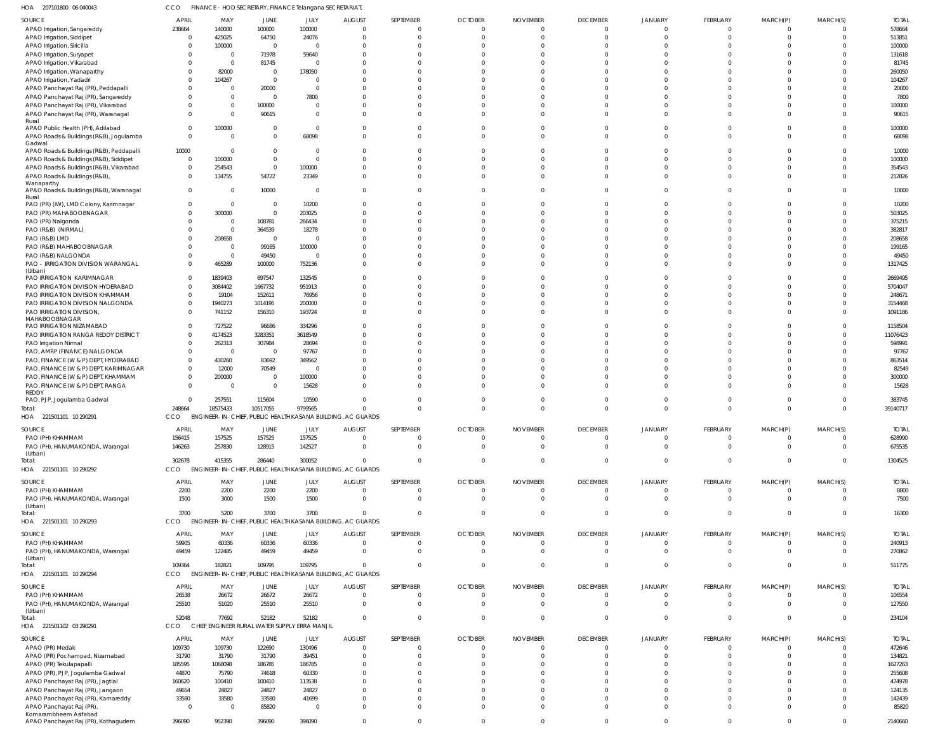207101800 06 040043 HOA 221501101 10 290291 HOA 221501101 10 290292 HOA 221501101 10 290293 HOA 221501101 10 290294 HOA 221501102 03 290291 HOA CCO FINANCE - HOD SECRETARY, FINANCE Telangana SECRETARIAT, ENGINEER-IN-CHIEF, PUBLIC HEALTH KASANA BUILDING, AC GUARDS ENGINEER-IN-CHIEF, PUBLIC HEALTH KASANA BUILDING, AC GUARDS CCO ENGINEER-IN-CHIEF, PUBLIC HEALTH KASANA BUILDING, AC GUARDS CCO ENGINEER-IN-CHIEF, PUBLIC HEALTH KASANA BUILDING, AC GUARDS CHIEF ENGINEER RURAL WATER SUPPLY ERRA MANJIL CCO CCO CCO  $\theta$   $\Omega$   $\mathfrak{c}$   $\Omega$  APAO Irrigation, Sangareddy APAO Irrigation, Siddipet APAO Irrigation, Siricilla APAO Irrigation, Suryapet APAO Irrigation, Vikarabad APAO Irrigation, Wanaparthy APAO Irrigation, Yadadri APAO Panchayat Raj (PR), Peddapalli APAO Panchayat Raj (PR), Sangareddy APAO Panchayat Raj (PR), Vikarabad APAO Panchayat Raj (PR), Waranagal Rural APAO Public Health (PH), Adilabad APAO Roads & Buildings (R&B), Jogulamba Gadwal APAO Roads & Buildings (R&B), Peddapalli APAO Roads & Buildings (R&B), Siddipet APAO Roads & Buildings (R&B), Vikarabad APAO Roads & Buildings (R&B), **Wanaparthy** APAO Roads & Buildings (R&B), Waranagal Rural PAO (PR) (IW), LMD Colony, Karimnagar PAO (PR) MAHABOOBNAGAR PAO (PR) Nalgonda PAO (R&B) (NIRMAL) PAO (R&B) LMD PAO (R&B) MAHABOOBNAGAR PAO (R&B) NALGONDA PAO - IRRIGATION DIVISION WARANGAL (Urban) PAO IRRIGATION KARIMNAGAR PAO IRRIGATION DIVISION HYDERABAD PAO IRRIGATION DIVISION KHAMMAM PAO IRRIGATION DIVISION NALGONDA PAO IRRIGATION DIVISION, MAHABOOBNAGAR PAO IRRIGATION NIZAMABAD PAO IRRIGATION RANGA REDDY DISTRICT PAO Irrigation Nirmal PAO, AMRP (FINANCE) NALGONDA PAO, FINANCE (W & P) DEPT, HYDERABAD PAO, FINANCE (W & P) DEPT, KARIMNAGAR PAO, FINANCE (W & P) DEPT, KHAMMAM PAO, FINANCE (W & P) DEPT, RANGA REDDY PAO, PJP, Jogulamba Gadwal PAO (PH) KHAMMAM PAO (PH), HANUMAKONDA, Warangal (Urban) PAO (PH) KHAMMAM PAO (PH), HANUMAKONDA, Warangal (Urban) PAO (PH) KHAMMAM PAO (PH), HANUMAKONDA, Warangal (Urban) PAO (PH) KHAMMAM PAO (PH), HANUMAKONDA, Warangal (Urban) APAO (PR) Medak APAO (PR) Pochampad, Nizamabad APAO (PR) Tekulapapalli APAO (PR), PJP, Jogulamba Gadwal APAO Panchayat Raj (PR), Jagtial APAO Panchayat Raj (PR), Jangaon APAO Panchayat Raj (PR), Kamareddy APAO Panchayat Raj (PR), SOURCE SOURCE SOURCE SOURCE SOURCE SOURCE  $\Omega$   $\Omega$   $\Omega$   $\Omega$   $\,$  0  $\,$  $\Omega$   $\Omega$   $\,$  0  $\,$   $\Omega$   $\Omega$   $\Omega$   $\Omega$  APRIL APRIL **APRIL APRIL APRIL APRIL**   $\Omega$   $\Omega$   $\Omega$  MAY MAY MAY MAY MAY MAY  $\Omega$   $\mathfrak{c}$   $\Omega$   $\Omega$   $\Omega$   $\Omega$  JUNE JUNE **JUNE** JUNE JUNE JUNE  $\sqrt{2}$   $\Omega$   $\sqrt{2}$   $\Omega$  $\bigcap$  $\Omega$   $\sqrt{2}$   $\Omega$   $\Omega$   $\Omega$ JULY JULY JULY JULY JULY JULY  $\Omega$   $\Omega$   $\Omega$   $\,$  0  $\,$  $\Omega$  $\,$  0  $\,$  $\Omega$   $\Omega$   $\Omega$   $\Omega$   $\Omega$   $\Omega$   $\Omega$  $\,$  0  $\,$  $\Omega$   $\,$  0  $\,$ AUGUST **AUGUST** AUGUST AUGUST AUGUST AUGUST  $\Omega$   $\Omega$   $\bigcap$   $\Omega$   $\Omega$  $\Omega$  $\Omega$   $\Omega$   $\Omega$  $\Omega$  $\Omega$   $\Omega$  $\Omega$   $\Omega$   $\Omega$   $\Omega$   $\Omega$   $\Omega$  $\Omega$   $\Omega$   $\Omega$   $\Omega$   $\Omega$   $\Omega$  SEPTEMBER **SEPTEMBER** SEPTEMBER SEPTEMBER SEPTEMBER SEPTEMBER  $\Omega$   $\Omega$   $\Omega$   $\Omega$   $\Omega$  $\Omega$   $\Omega$  $\Omega$   $\Omega$  $\Omega$   $\Omega$  $\Omega$   $\Omega$  $\overline{0}$  $\Omega$   $\Omega$   $\Omega$  $\Omega$   $\Omega$   $\Omega$   $\Omega$   $\Omega$   $\Omega$   $\Omega$   $\Omega$  $\Omega$  **OCTOBER OCTOBER OCTOBER OCTOBER OCTOBER OCTOBER**   $\Omega$   $\sqrt{2}$   $\Omega$   $\Omega$  $\Omega$  $\Omega$   $\Omega$  $\bigcap$  $\Omega$   $\Omega$  $\bigcap$   $\Omega$   $\bigcap$   $\Omega$   $\Omega$   $\Omega$  $\Omega$  $\Omega$   $\Omega$   $\Omega$   $\Omega$   $\Omega$  NOVEMBER NOVEMBER NOVEMBER NOVEMBER NOVEMBER NOVEMBER  $\Omega$   $\Omega$   $\Omega$  $\bigcap$   $\Omega$   $\Omega$  $\Omega$   $\Omega$   $\Omega$  $\Omega$  $\Omega$   $\bigcap$   $\Omega$   $\Omega$   $\Omega$   $\Omega$   $\Omega$  $\Omega$   $\Omega$   $\Omega$   $\Omega$   $\Omega$   $\theta$  $\Omega$  DECEMBER **DECEMBER DECEMBER DECEMBER DECEMBER DECEMBER**   $\Omega$   $\Omega$  $\Omega$   $\Omega$   $\Omega$   $\Omega$  $\mathfrak{c}$   $\Omega$  $\Omega$  $\mathbf{C}$  $\Omega$   $\Omega$  $\Omega$   $\Omega$   $\Omega$   $\Omega$   $\Omega$  $\Omega$  $\Omega$   $\Omega$  $\,$  0  $\,$  $\Omega$  $\mathfrak{c}$   $\Omega$  $\theta$  JANUARY JANUARY JANUARY JANUARY JANUARY JANUARY  $\Omega$   $\Omega$   $\sqrt{2}$   $\Omega$   $\sqrt{2}$   $\Omega$  $\bigcap$   $\Omega$  $\bigcap$   $\Omega$   $\sqrt{2}$   $\Omega$   $\sqrt{2}$   $\Omega$   $\sqrt{2}$   $\Omega$   $\Omega$  FEBRUARY FEBRUARY FEBRUARY FEBRUARY FEBRUARY FEBRUARY  $\Omega$   $\Omega$   $\Omega$   $\Omega$   $\Omega$   $\Omega$   $\Omega$   $\Omega$   $\Omega$   $\Omega$   $\Omega$   $\Omega$   $\Omega$  $\Omega$   $\Omega$   $\Omega$   $\Omega$  $\Omega$  MARCH(P) MARCH(P) MARCH(P) MARCH(P) MARCH(P) MARCH(P)  $\Omega$   $\Omega$  $\bigcap$   $\Omega$   $\Omega$  $\Omega$  $\Omega$   $\Omega$   $\Omega$  $\Omega$  $\Omega$   $\Omega$  $\Omega$   $\Omega$   $\Omega$   $\Omega$   $\Omega$   $\Omega$   $\Omega$   $\Omega$   $^{\circ}$   $\Omega$   $\Omega$  $\Omega$  $\Omega$  $\Omega$  MARCH(S) MARCH(S) MARCH(S) MARCH(S) MARCH(S) MARCH(S) TOTAL TOTAL TOTAL TOTAL TOTAL TOTAL Total: Total: Total: Total: Total:

Komarambheem Asifabad

APAO Panchayat Raj (PR), Kothagudem

 $\mathbf{0}$ 

 $\Omega$ 

 $\theta$ 

 $\Omega$ 

 $\Omega$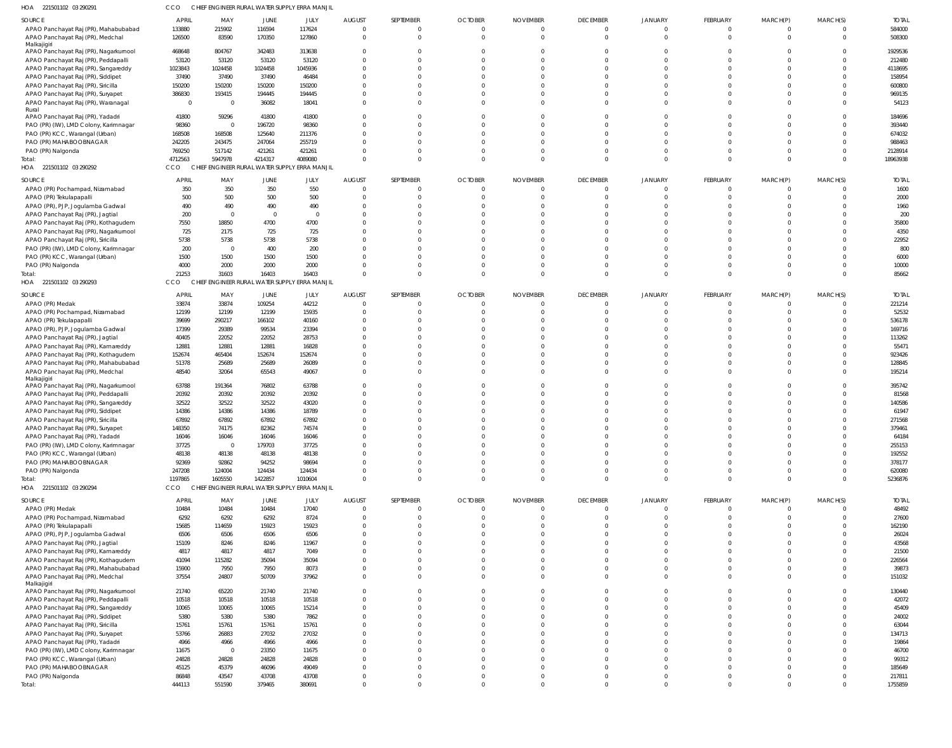| HOA<br>221501102 03 290291                                  | CCO            | CHIEF ENGINEER RURAL WATER SUPPLY ERRA MANJIL |                 |                                         |               |                      |                |                 |                 |                |                      |                      |          |                 |
|-------------------------------------------------------------|----------------|-----------------------------------------------|-----------------|-----------------------------------------|---------------|----------------------|----------------|-----------------|-----------------|----------------|----------------------|----------------------|----------|-----------------|
| SOURCE                                                      | APRIL          | MAY                                           | JUNE            | JULY                                    | <b>AUGUST</b> | SEPTEMBER            | <b>OCTOBER</b> | <b>NOVEMBER</b> | <b>DECEMBER</b> | <b>JANUARY</b> | FEBRUARY             | MARCH(P)             | MARCH(S) | <b>TOTAL</b>    |
| APAO Panchayat Raj (PR), Mahabubabad                        | 133880         | 215902                                        | 116594          | 117624                                  | - 0           | $\mathbf{0}$         | - 0            |                 | $\Omega$        | $\Omega$       | $^{\circ}$           | $\mathbf 0$          | $\Omega$ | 584000          |
| APAO Panchayat Raj (PR), Medchal                            | 126500         | 83590                                         | 170350          | 127860                                  | $\Omega$      | $\mathbf 0$          | $\Omega$       | $\Omega$        | $\Omega$        | $\Omega$       | $\overline{0}$       | $\mathbf 0$          | $\Omega$ | 508300          |
| Malkajigiri                                                 |                |                                               |                 |                                         |               |                      |                |                 |                 |                |                      |                      |          |                 |
| APAO Panchayat Raj (PR), Nagarkurnool                       | 468648         | 804767                                        | 342483          | 313638                                  |               | $\Omega$             |                |                 |                 |                | $\Omega$             |                      |          | 1929536         |
| APAO Panchayat Raj (PR), Peddapalli                         | 53120          | 53120                                         | 53120           | 53120                                   |               | $\Omega$             |                |                 |                 |                | $\Omega$             | $\Omega$             |          | 212480          |
| APAO Panchayat Raj (PR), Sangareddy                         | 1023843        | 1024458                                       | 1024458         | 1045936                                 |               | $\Omega$             |                |                 |                 |                | $\Omega$             | $\Omega$             |          | 4118695         |
| APAO Panchayat Raj (PR), Siddipet                           | 37490          | 37490                                         | 37490           | 46484                                   |               | $\Omega$             |                |                 |                 |                | $\Omega$             | $\Omega$             |          | 158954          |
| APAO Panchayat Raj (PR), Siricilla                          | 150200         | 150200                                        | 150200          | 150200                                  |               | $\Omega$             |                |                 |                 |                | $\Omega$             | $\Omega$             |          | 600800          |
| APAO Panchayat Raj (PR), Suryapet                           | 386830         | 193415                                        | 194445          | 194445                                  |               | $\Omega$<br>$\Omega$ |                |                 |                 |                | $\Omega$<br>$\Omega$ | $\Omega$<br>$\Omega$ |          | 969135          |
| APAO Panchayat Raj (PR), Waranagal<br>Rural                 | $\overline{0}$ | $\overline{\phantom{0}}$                      | 36082           | 18041                                   |               |                      |                |                 |                 |                |                      |                      |          | 54123           |
| APAO Panchayat Raj (PR), Yadadri                            | 41800          | 59296                                         | 41800           | 41800                                   |               | <sup>0</sup>         |                |                 |                 |                | $\Omega$             | $\Omega$             |          | 184696          |
| PAO (PR) (IW), LMD Colony, Karimnagar                       | 98360          | $\overline{0}$                                | 196720          | 98360                                   |               | $\Omega$             |                |                 |                 |                | $\Omega$             | $\Omega$             |          | 393440          |
| PAO (PR) KCC, Warangal (Urban)                              | 168508         | 168508                                        | 125640          | 211376                                  |               | $\Omega$             |                |                 |                 |                | $\Omega$             | $\Omega$             |          | 674032          |
| PAO (PR) MAHABOOBNAGAR                                      | 242205         | 243475                                        | 247064          | 255719                                  |               | $\Omega$             |                |                 |                 |                | $\Omega$             | $\Omega$             |          | 988463          |
| PAO (PR) Nalgonda                                           | 769250         | 517142                                        | 421261          | 421261                                  |               | $\Omega$             |                |                 |                 |                | $\Omega$             | $\Omega$             | $\Omega$ | 2128914         |
| Total:                                                      | 4712563        | 5947978                                       | 4214317         | 4089080                                 |               | $\Omega$             | $\cap$         |                 | $\Omega$        |                | $\mathbf 0$          | $\mathbf 0$          | $\Omega$ | 18963938        |
| HOA 221501102 03 290292                                     | CCO            | CHIEF ENGINEER RURAL WATER SUPPLY ERRA MANJIL |                 |                                         |               |                      |                |                 |                 |                |                      |                      |          |                 |
| SOURCE                                                      | <b>APRIL</b>   | MAY                                           | JUNE            | JULY                                    | <b>AUGUST</b> | SEPTEMBER            | <b>OCTOBER</b> | <b>NOVEMBER</b> | <b>DECEMBER</b> | <b>JANUARY</b> | FEBRUARY             | MARCH(P)             | MARCH(S) | <b>TOTAL</b>    |
| APAO (PR) Pochampad, Nizamabad                              | 350            | 350                                           | 350             | 550                                     |               | $\overline{0}$       |                |                 | $\mathbf{0}$    |                | $\overline{0}$       | $\mathbf 0$          | $\Omega$ | 1600            |
| APAO (PR) Tekulapapalli                                     | 500            | 500                                           | 500             | 500                                     |               | $\Omega$             |                |                 | $\Omega$        |                | $\mathbf 0$          | $\mathbf 0$          | $\Omega$ | 2000            |
| APAO (PR), PJP, Jogulamba Gadwal                            | 490            | 490                                           | 490             | 490                                     |               | $\Omega$             |                |                 |                 |                | $\Omega$             | $\Omega$             |          | 1960            |
| APAO Panchayat Raj (PR), Jagtial                            | 200            | $\overline{\phantom{0}}$                      | $\Omega$        | $\overline{0}$                          |               | $\Omega$             |                |                 |                 |                | $\Omega$             | $\Omega$             |          | 200             |
| APAO Panchayat Raj (PR), Kothagudem                         | 7550           | 18850                                         | 4700            | 4700                                    |               | $\Omega$             |                |                 |                 |                | $\Omega$             | $\Omega$             |          | 35800           |
| APAO Panchayat Raj (PR), Nagarkurnool                       | 725            | 2175                                          | 725             | 725                                     |               | $\Omega$             |                |                 |                 |                | $\Omega$             | $\Omega$             |          | 4350            |
| APAO Panchayat Raj (PR), Siricilla                          | 5738           | 5738                                          | 5738            | 5738                                    |               | $\Omega$             |                |                 |                 |                | $\Omega$             | $\Omega$             |          | 22952           |
| PAO (PR) (IW), LMD Colony, Karimnagar                       | 200            | $\overline{\phantom{0}}$                      | 400             | 200                                     |               | <sup>0</sup>         |                |                 |                 |                | $\Omega$             | $\Omega$             |          | 800             |
| PAO (PR) KCC, Warangal (Urban)                              | 1500           | 1500                                          | 1500            | 1500                                    |               | $\Omega$             |                |                 |                 |                | $\Omega$             | $\Omega$             | $\Omega$ | 6000            |
| PAO (PR) Nalgonda                                           | 4000           | 2000                                          | 2000            | 2000                                    |               | $\Omega$             |                |                 |                 |                | $\mathbf 0$          | $\mathbf 0$          | $\Omega$ | 10000           |
| Total:                                                      | 21253          | 31603                                         | 16403           | 16403                                   |               | $\Omega$             |                |                 | $\cap$          | $\cap$         | $\Omega$             | $\mathbf 0$          | $\Omega$ | 85662           |
| HOA 221501102 03 290293                                     | <b>CCO</b>     | <b>CHIEF</b>                                  |                 | ENGINEER RURAL WATER SUPPLY ERRA MANJIL |               |                      |                |                 |                 |                |                      |                      |          |                 |
|                                                             |                |                                               |                 |                                         |               |                      |                |                 |                 |                |                      |                      |          |                 |
| SOURCE                                                      | <b>APRIL</b>   | MAY                                           | JUNE            | JULY                                    | <b>AUGUST</b> | SEPTEMBER            | <b>OCTOBER</b> | <b>NOVEMBER</b> | <b>DECEMBER</b> | <b>JANUARY</b> | FEBRUARY             | MARCH(P)             | MARCH(S) | <b>TOTAL</b>    |
| APAO (PR) Medak                                             | 33874<br>12199 | 33874                                         | 109254          | 44212<br>15935                          | - 0           | $\Omega$<br>$\Omega$ |                |                 | $\Omega$        |                | 0<br>$\Omega$        | 0<br>$\Omega$        |          | 221214<br>52532 |
| APAO (PR) Pochampad, Nizamabad                              | 39699          | 12199<br>290217                               | 12199<br>166102 | 40160                                   |               | $\Omega$             |                |                 |                 |                | $\Omega$             | $\Omega$             |          | 536178          |
| APAO (PR) Tekulapapalli<br>APAO (PR), PJP, Jogulamba Gadwal | 17399          | 29389                                         | 99534           | 23394                                   |               | $\Omega$             |                |                 |                 |                | $\Omega$             | $\Omega$             |          | 169716          |
| APAO Panchayat Raj (PR), Jagtial                            | 40405          | 22052                                         | 22052           | 28753                                   |               | $\Omega$             |                |                 |                 |                | $\Omega$             | $\Omega$             |          | 113262          |
| APAO Panchayat Raj (PR), Kamareddy                          | 12881          | 12881                                         | 12881           | 16828                                   |               |                      |                |                 |                 |                | $\Omega$             | $\Omega$             |          | 55471           |
| APAO Panchayat Raj (PR), Kothagudem                         | 152674         | 465404                                        | 152674          | 152674                                  |               | $\Omega$             |                |                 |                 |                | $\Omega$             | $\Omega$             |          | 923426          |
| APAO Panchayat Raj (PR), Mahabubabad                        | 51378          | 25689                                         | 25689           | 26089                                   |               | $\Omega$             |                |                 |                 |                | $\mathbf 0$          | $\Omega$             |          | 128845          |
| APAO Panchayat Raj (PR), Medchal                            | 48540          | 32064                                         | 65543           | 49067                                   |               | $\Omega$             |                |                 |                 |                | $\Omega$             | $\Omega$             |          | 195214          |
| Malkajigiri                                                 |                |                                               |                 |                                         |               |                      |                |                 |                 |                |                      |                      |          |                 |
| APAO Panchayat Raj (PR), Nagarkurnool                       | 63788          | 191364                                        | 76802           | 63788                                   |               | $\Omega$             |                |                 |                 |                | $\Omega$             |                      |          | 395742          |
| APAO Panchayat Raj (PR), Peddapalli                         | 20392          | 20392                                         | 20392           | 20392                                   |               | $\Omega$             |                |                 |                 |                | $\Omega$             | $\cap$               |          | 81568           |
| APAO Panchayat Raj (PR), Sangareddy                         | 32522          | 32522                                         | 32522           | 43020                                   |               |                      |                |                 |                 |                | $\Omega$             |                      |          | 140586          |
| APAO Panchayat Raj (PR), Siddipet                           | 14386          | 14386                                         | 14386           | 18789                                   |               | $\Omega$             |                |                 |                 |                | $\Omega$             |                      |          | 61947           |
| APAO Panchayat Raj (PR), Siricilla                          | 67892          | 67892                                         | 67892           | 67892                                   |               | $\Omega$             |                |                 |                 |                | $\Omega$             |                      |          | 271568          |
| APAO Panchayat Raj (PR), Suryapet                           | 148350         | 74175                                         | 82362           | 74574                                   |               |                      |                |                 |                 |                |                      |                      |          | 379461          |
| APAO Panchayat Raj (PR), Yadadri                            | 16046          | 16046                                         | 16046           | 16046                                   |               | $\Omega$             |                |                 |                 |                | $\mathbf 0$          | $\mathbf 0$          |          | 64184           |
| PAO (PR) (IW), LMD Colony, Karimnagar                       | 37725          | $\overline{0}$                                | 179703          | 37725                                   |               | $\Omega$             |                |                 | $\Omega$        | $\Omega$       | $\mathbf 0$          | $\mathbf 0$          |          | 255153          |
| PAO (PR) KCC, Warangal (Urban)                              | 48138          | 48138                                         | 48138           | 48138                                   |               | $\Omega$             |                |                 |                 |                | $\Omega$             | $\Omega$             |          | 192552          |
| PAO (PR) MAHABOOBNAGAR                                      | 92369          | 92862                                         | 94252           | 98694                                   |               | $\Omega$             |                |                 |                 | $\Omega$       | $\Omega$             | $\Omega$             |          | 378177          |
| PAO (PR) Nalgonda                                           | 247208         | 124004                                        | 124434          | 124434                                  |               | $\Omega$             | $\Omega$       |                 |                 | $\Omega$       | $\mathbf{0}$         | $\mathbf 0$          |          | 620080          |
| Total:                                                      | 1197865        | 1605550                                       | 1422857         | 1010604                                 |               | $\Omega$             | $\Omega$       | $\Omega$        | $\Omega$        | $\Omega$       | $\mathbf 0$          | $\overline{0}$       | $\Omega$ | 5236876         |
| HOA 221501102 03 290294                                     | CCO            | CHIEF ENGINEER RURAL WATER SUPPLY ERRA MANJIL |                 |                                         |               |                      |                |                 |                 |                |                      |                      |          |                 |
| SOURCE                                                      | <b>APRIL</b>   | MAY                                           | JUNE            | JULY                                    | <b>AUGUST</b> | SEPTEMBER            | <b>OCTOBER</b> | <b>NOVEMBER</b> | <b>DECEMBER</b> | JANUARY        | FEBRUARY             | MARCH(P)             | MARCH(S) | <b>TOTAL</b>    |
| APAO (PR) Medak                                             | 10484          | 10484                                         | 10484           | 17040                                   | $\Omega$      | $\mathbf{0}$         | $\Omega$       | - 0             | $\overline{0}$  | $\mathbf{0}$   | $\overline{0}$       | $\overline{0}$       | $\Omega$ | 48492           |
| APAO (PR) Pochampad, Nizamabad                              | 6292           | 6292                                          | 6292            | 8724                                    |               | $\mathbf 0$          |                |                 | $\Omega$        |                | $\overline{0}$       | $\overline{0}$       | $\Omega$ | 27600           |
| APAO (PR) Tekulapapalli                                     | 15685          | 114659                                        | 15923           | 15923                                   |               | $\Omega$             |                |                 | $\Omega$        | $\Omega$       | $\mathbf 0$          | $\mathbf 0$          |          | 162190          |
| APAO (PR), PJP, Jogulamba Gadwal                            | 6506           | 6506                                          | 6506            | 6506                                    |               | $\Omega$             |                |                 |                 |                | $\mathbf 0$          | $\mathbf 0$          |          | 26024           |
| APAO Panchayat Raj (PR), Jagtial                            | 15109          | 8246                                          | 8246            | 11967                                   |               | $\Omega$             |                |                 |                 |                | $\Omega$             | $\Omega$             |          | 43568           |
| APAO Panchayat Raj (PR), Kamareddy                          | 4817           | 4817                                          | 4817            | 7049                                    |               | $\Omega$             |                |                 |                 |                | $\mathbf 0$          | $\mathbf 0$          | $\Omega$ | 21500           |
| APAO Panchayat Raj (PR), Kothagudem                         | 41094          | 115282                                        | 35094           | 35094                                   |               | $\Omega$             |                |                 |                 |                | $\Omega$             | $\Omega$             |          | 226564          |
| APAO Panchayat Raj (PR), Mahabubabad                        | 15900          | 7950                                          | 7950            | 8073                                    |               | $\Omega$             |                |                 | $\Omega$        | $\Omega$       | $\mathbf{0}$         | $\mathbf{0}$         | $\Omega$ | 39873           |
| APAO Panchayat Raj (PR), Medchal                            | 37554          | 24807                                         | 50709           | 37962                                   |               | $\Omega$             |                |                 |                 | $\Omega$       | $\mathbf 0$          | $\mathbf 0$          | $\Omega$ | 151032          |
| Malkajigiri                                                 |                |                                               |                 |                                         |               |                      |                |                 |                 |                |                      |                      |          |                 |
| APAO Panchayat Raj (PR), Nagarkurnool                       | 21740          | 65220                                         | 21740           | 21740                                   |               | $\mathbf{0}$         |                |                 | $\Omega$        | 0              | $\mathbf{0}$         | $\mathbf{0}$         | $\Omega$ | 130440          |
| APAO Panchayat Raj (PR), Peddapalli                         | 10518          | 10518                                         | 10518           | 10518                                   |               | $\Omega$             |                |                 | $\Omega$        | $\Omega$       | $\mathbf 0$          | $\mathbf 0$          | $\Omega$ | 42072           |
| APAO Panchayat Raj (PR), Sangareddy                         | 10065          | 10065                                         | 10065           | 15214                                   |               | $\Omega$             |                |                 | $\Omega$        |                | $\mathbf 0$          | $\mathbf 0$          | $\Omega$ | 45409           |
| APAO Panchayat Raj (PR), Siddipet                           | 5380           | 5380                                          | 5380            | 7862                                    |               | $\Omega$             |                |                 |                 |                | $\Omega$             | $\Omega$             |          | 24002           |
| APAO Panchayat Raj (PR), Siricilla                          | 15761          | 15761                                         | 15761           | 15761                                   |               | $\Omega$             |                |                 |                 |                | $\mathbf 0$          | $\Omega$             |          | 63044           |
| APAO Panchayat Raj (PR), Suryapet                           | 53766          | 26883                                         | 27032           | 27032                                   |               | $\Omega$             |                |                 |                 |                | $\Omega$             | $\Omega$             |          | 134713          |
| APAO Panchayat Raj (PR), Yadadri                            | 4966           | 4966                                          | 4966            | 4966                                    |               | $\Omega$             |                |                 |                 |                | $\mathbf 0$          | $\Omega$             |          | 19864           |
| PAO (PR) (IW), LMD Colony, Karimnagar                       | 11675          | $\overline{\phantom{0}}$                      | 23350           | 11675                                   |               | $\Omega$             |                |                 |                 |                | $\mathbf 0$          | $\mathbf 0$          |          | 46700           |
| PAO (PR) KCC, Warangal (Urban)                              | 24828          | 24828                                         | 24828           | 24828                                   |               | $\Omega$             |                |                 |                 |                | $\mathbf{0}$         | $\mathbf 0$          |          | 99312           |
| PAO (PR) MAHABOOBNAGAR                                      | 45125          | 45379                                         | 46096           | 49049                                   |               | $\Omega$             |                |                 | $\Omega$        | $\Omega$       | $\mathbf 0$          | $\mathbf 0$          |          | 185649          |
| PAO (PR) Nalgonda                                           | 86848          | 43547                                         | 43708           | 43708                                   |               | $\mathbf{0}$         |                |                 | $\Omega$        | $\overline{0}$ | $\overline{0}$       | $\mathbf 0$          | $\Omega$ | 217811          |
| Total:                                                      | 444113         | 551590                                        | 379465          | 380691                                  |               | $\mathbf 0$          |                |                 | $\Omega$        | $\mathbf 0$    | $\mathbf 0$          | $\mathbf 0$          | $\Omega$ | 1755859         |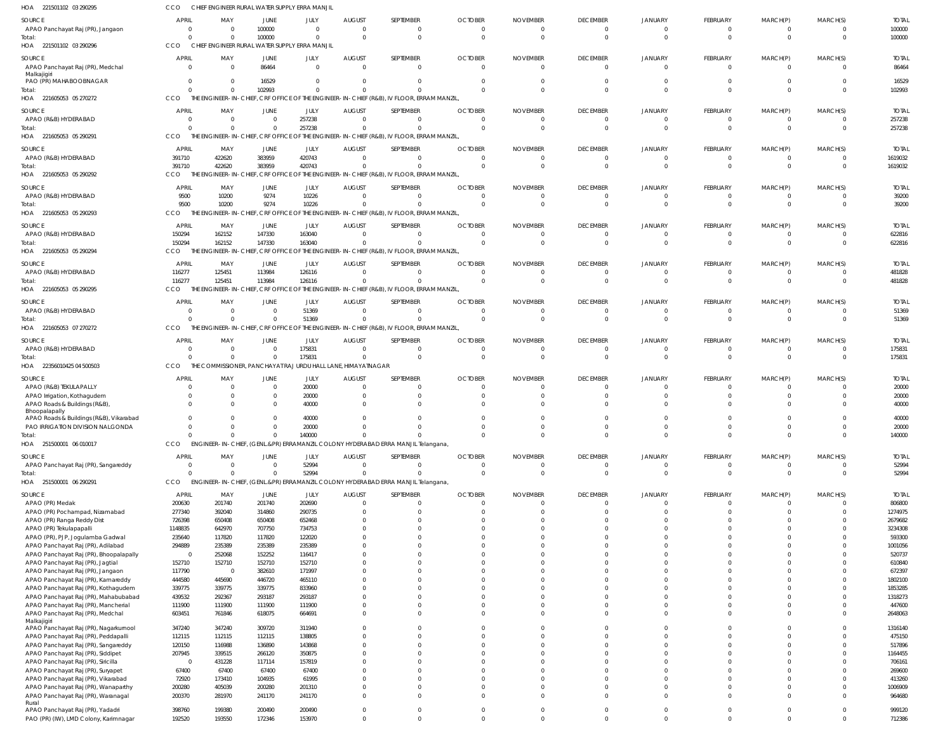| HOA 221501102 03 290295                                                     | cco               | CHIEF ENGINEER RURAL WATER SUPPLY ERRA MANJIL |                        |                  |                              |                                                                                           |                |                 |                                   |                            |                         |                        |             |                       |
|-----------------------------------------------------------------------------|-------------------|-----------------------------------------------|------------------------|------------------|------------------------------|-------------------------------------------------------------------------------------------|----------------|-----------------|-----------------------------------|----------------------------|-------------------------|------------------------|-------------|-----------------------|
| SOURCE                                                                      | <b>APRIL</b>      | MAY                                           | <b>JUNE</b>            | JULY             | <b>AUGUST</b>                | SEPTEMBER                                                                                 | <b>OCTOBER</b> | <b>NOVEMBER</b> | <b>DECEMBER</b>                   | <b>JANUARY</b>             | FEBRUARY                | MARCH(P)               | MARCH(S)    | <b>TOTAL</b>          |
| APAO Panchayat Raj (PR), Jangaon                                            | $\Omega$          | $\Omega$                                      | 100000                 | $\mathbf{0}$     | $\Omega$                     | $\mathbf{0}$                                                                              |                |                 | $\overline{0}$                    | $\overline{0}$             | $\mathbf{0}$            | $\overline{0}$         | $\Omega$    | 100000                |
| Total:                                                                      | C                 | $\Omega$                                      | 100000                 | $\mathbf 0$      | $\Omega$                     | $\mathbf{0}$                                                                              | $\Omega$       | $\Omega$        | $\overline{0}$                    | $\Omega$                   | $\mathbf 0$             | $\mathbf 0$            | $\Omega$    | 100000                |
| HOA 221501102 03 290296                                                     | CCO               | CHIEF ENGINEER RURAL WATER SUPPLY ERRA MANJIL |                        |                  |                              |                                                                                           |                |                 |                                   |                            |                         |                        |             |                       |
| SOURCE                                                                      | <b>APRIL</b>      | MAY                                           | JUNE                   | JULY             | <b>AUGUST</b>                | SEPTEMBER                                                                                 | <b>OCTOBER</b> | <b>NOVEMBER</b> | <b>DECEMBER</b>                   | JANUARY                    | FEBRUARY                | MARCH(P)               | MARCH(S)    | <b>TOTAL</b>          |
| APAO Panchayat Raj (PR), Medchal                                            | 0                 |                                               | 86464                  | $\Omega$         | $\Omega$                     | $\overline{0}$                                                                            |                | $\Omega$        | $\overline{0}$                    | $\mathbf{0}$               | $\Omega$                | $^{\circ}$             | $\Omega$    | 86464                 |
| Malkajigiri<br>PAO (PR) MAHABOOBNAGAR                                       | 0                 |                                               | 16529                  | $\Omega$         |                              | $\mathbf{0}$                                                                              |                |                 | $\Omega$                          | $\Omega$                   |                         | $\Omega$               |             | 16529                 |
| Total:                                                                      | $\Omega$          |                                               | 102993                 | $\Omega$         |                              | $\Omega$                                                                                  |                |                 | $\Omega$                          | $\Omega$                   | $\Omega$                | $\Omega$               | $\Omega$    | 102993                |
| HOA 221605053 05 270272                                                     | CCO               |                                               |                        |                  |                              | THE ENGINEER-IN-CHIEF, CRF OFFICE OF THE ENGINEER-IN-CHIEF (R&B), IV FLOOR, ERRAM MANZIL, |                |                 |                                   |                            |                         |                        |             |                       |
| SOURCE                                                                      | <b>APRIL</b>      | MAY                                           | JUNE                   | JULY             | <b>AUGUST</b>                | SEPTEMBER                                                                                 | <b>OCTOBER</b> | <b>NOVEMBER</b> | <b>DECEMBER</b>                   | JANUARY                    | FEBRUARY                | MARCH(P)               | MARCH(S)    | <b>TOTAL</b>          |
| APAO (R&B) HYDERABAD                                                        | 0                 | $\Omega$                                      | $\overline{0}$         | 257238           | $\Omega$                     | $\mathbf{0}$                                                                              |                |                 | 0                                 | 0                          | $\mathbf{0}$            | $^{\circ}$             | $\Omega$    | 257238                |
| Total:                                                                      | $\sqrt{2}$        | $\Omega$                                      | $\Omega$               | 257238           | $\Omega$                     | $\Omega$                                                                                  |                |                 | $\overline{0}$                    | $\Omega$                   | $\mathbf 0$             | $\mathbf 0$            | $\Omega$    | 257238                |
| HOA 221605053 05 290291                                                     | CCO               |                                               |                        |                  |                              | THE ENGINEER-IN-CHIEF, CRF OFFICE OF THE ENGINEER-IN-CHIEF (R&B), IV FLOOR, ERRAM MANZIL  |                |                 |                                   |                            |                         |                        |             |                       |
| SOURCE                                                                      | <b>APRIL</b>      | MAY                                           | JUNE                   | JULY             | <b>AUGUST</b>                | SEPTEMBER                                                                                 | <b>OCTOBER</b> | <b>NOVEMBER</b> | <b>DECEMBER</b>                   | <b>JANUARY</b>             | FEBRUARY                | MARCH(P)               | MARCH(S)    | <b>TOTAL</b>          |
| APAO (R&B) HYDERABAD                                                        | 391710            | 422620                                        | 383959                 | 420743           | $\Omega$                     | $\mathbf{0}$                                                                              |                |                 | $\overline{0}$                    | $\overline{0}$             | $\Omega$                | $^{\circ}$             | $\Omega$    | 1619032               |
| Total:                                                                      | 391710            | 422620                                        | 383959                 | 420743           |                              | $\mathbf{0}$                                                                              |                |                 | $\overline{0}$                    | $\Omega$                   | $\Omega$                | $\Omega$               | $\Omega$    | 1619032               |
| HOA 221605053 05 290292                                                     | CCO               | THF                                           |                        |                  |                              | ENGINEER-IN-CHIEF, CRF OFFICE OF THE ENGINEER-IN-CHIEF (R&B), IV FLOOR, ERRAM MANZIL      |                |                 |                                   |                            |                         |                        |             |                       |
| SOURCE                                                                      | <b>APRIL</b>      | MAY                                           | JUNE                   | JULY             | <b>AUGUST</b>                | SEPTEMBER                                                                                 | <b>OCTOBER</b> | <b>NOVEMBER</b> | <b>DECEMBER</b>                   | <b>JANUARY</b>             | <b>FEBRUARY</b>         | MARCH(P)               | MARCH(S)    | <b>TOTAL</b>          |
| APAO (R&B) HYDERABAD                                                        | 9500              | 10200                                         | 9274                   | 10226            | $\Omega$                     | $\mathbf{0}$                                                                              |                |                 | $\overline{0}$                    | $\Omega$                   | - 0                     | - 0                    | $\Omega$    | 39200                 |
| Total:                                                                      | 9500<br>CCO       | 10200<br>THE ENGINEER-IN-CHIEF.               | 9274                   | 10226            | $\Omega$                     | $\Omega$<br>CRF OFFICE OF THE ENGINEER-IN-CHIEF (R&B), IV FLOOR, ERRAM MANZIL,            |                |                 | $\overline{0}$                    | $\Omega$                   | $\mathbf 0$             | $\mathbf 0$            | $\Omega$    | 39200                 |
| HOA 221605053 05 290293                                                     |                   |                                               |                        |                  |                              |                                                                                           |                |                 |                                   |                            |                         |                        |             |                       |
| SOURCE                                                                      | <b>APRIL</b>      | MAY                                           | JUNE                   | JULY             | <b>AUGUST</b>                | SEPTEMBER                                                                                 | <b>OCTOBER</b> | <b>NOVEMBER</b> | <b>DECEMBER</b>                   | <b>JANUARY</b>             | FEBRUARY                | MARCH(P)               | MARCH(S)    | <b>TOTAI</b>          |
| APAO (R&B) HYDERABAD                                                        | 150294<br>150294  | 162152<br>162152                              | 147330<br>147330       | 163040<br>163040 | $\Omega$<br>$\Omega$         | $\mathbf{0}$<br>$\mathbf{0}$                                                              |                |                 | $\overline{0}$<br>$\overline{0}$  | 0<br>$\Omega$              | $\Omega$<br>$\Omega$    | - 0<br>$\Omega$        | 0           | 622816                |
| Total:<br>HOA 221605053 05 290294                                           | CCO               |                                               |                        |                  |                              | THE ENGINEER-IN-CHIEF, CRF OFFICE OF THE ENGINEER-IN-CHIEF (R&B), IV FLOOR, ERRAM MANZIL  |                |                 |                                   |                            |                         |                        |             | 622816                |
|                                                                             |                   |                                               |                        |                  |                              |                                                                                           |                |                 |                                   |                            |                         |                        |             |                       |
| SOURCE                                                                      | <b>APRIL</b>      | MAY                                           | JUNE                   | JULY             | <b>AUGUST</b>                | SEPTEMBER                                                                                 | <b>OCTOBER</b> | <b>NOVEMBER</b> | <b>DECEMBER</b>                   | JANUARY                    | FEBRUARY                | MARCH(P)               | MARCH(S)    | <b>TOTAL</b>          |
| APAO (R&B) HYDERABAD<br>Total:                                              | 116277<br>116277  | 125451<br>125451                              | 113984<br>113984       | 126116<br>126116 | $\Omega$<br>$\Omega$         | $\mathbf{0}$<br>$\mathbf 0$                                                               |                | $\Omega$        | $\overline{0}$<br>$\overline{0}$  | $\overline{0}$<br>$\Omega$ | $\Omega$<br>$\mathbf 0$ | -0<br>$\mathbf 0$      | $\Omega$    | 481828<br>481828      |
| HOA 221605053 05 290295                                                     | CCO               | THE F                                         |                        |                  |                              | ENGINEER-IN-CHIEF, CRF OFFICE OF THE ENGINEER-IN-CHIEF (R&B), IV FLOOR, ERRAM MANZIL      |                |                 |                                   |                            |                         |                        |             |                       |
|                                                                             |                   |                                               |                        |                  |                              |                                                                                           |                |                 |                                   |                            |                         |                        |             |                       |
| SOURCE<br>APAO (R&B) HYDERABAD                                              | <b>APRIL</b><br>C | MAY                                           | JUNE<br>$\overline{0}$ | JULY<br>51369    | <b>AUGUST</b><br>$\Omega$    | SEPTEMBER<br>$\mathbf{0}$                                                                 | <b>OCTOBER</b> | <b>NOVEMBER</b> | <b>DECEMBER</b><br>$\overline{0}$ | <b>JANUARY</b><br>$\Omega$ | FEBRUARY<br>$\Omega$    | MARCH(P)<br>$^{\circ}$ | MARCH(S)    | <b>TOTAL</b><br>51369 |
| Total:                                                                      | $\sqrt{2}$        |                                               | $\Omega$               | 51369            |                              | $\Omega$                                                                                  |                |                 | $\Omega$                          | $\Omega$                   | $\Omega$                | $\Omega$               | $\Omega$    | 51369                 |
| HOA 221605053 07 270272                                                     | CCO               |                                               |                        |                  |                              | THE ENGINEER-IN-CHIEF, CRF OFFICE OF THE ENGINEER-IN-CHIEF (R&B), IV FLOOR, ERRAM MANZIL  |                |                 |                                   |                            |                         |                        |             |                       |
| SOURCE                                                                      | <b>APRIL</b>      | MAY                                           | JUNE                   | JULY             | <b>AUGUST</b>                | SEPTEMBER                                                                                 | <b>OCTOBER</b> | <b>NOVEMBER</b> | <b>DECEMBER</b>                   | <b>JANUARY</b>             | FEBRUARY                | MARCH(P)               | MARCH(S)    | <b>TOTAL</b>          |
| APAO (R&B) HYDERABAD                                                        | C                 | $\Omega$                                      | $\overline{0}$         | 175831           | $\Omega$                     | $\overline{0}$                                                                            |                |                 | $\overline{0}$                    | $\overline{0}$             | $\Omega$                | $\Omega$               |             | 175831                |
| Total:                                                                      | $\mathsf{C}$      | $\Omega$                                      | $\Omega$               | 175831           | $\Omega$                     | $\mathbf{0}$                                                                              |                |                 | $\overline{0}$                    | $\Omega$                   | $^{\circ}$              | $^{\circ}$             | $\Omega$    | 175831                |
| HOA 22356010425 04 500503                                                   | CCO               | THE COMMISSIONER, PANCHAYAT RAJ               |                        |                  | URDU HALL LANE, HIMAYATNAGAR |                                                                                           |                |                 |                                   |                            |                         |                        |             |                       |
| SOURCE                                                                      | <b>APRIL</b>      | MAY                                           | <b>JUNE</b>            | JULY             | <b>AUGUST</b>                | SEPTEMBER                                                                                 | <b>OCTOBER</b> | <b>NOVEMBER</b> | <b>DECEMBER</b>                   | <b>JANUARY</b>             | <b>FEBRUARY</b>         | MARCH(P)               | MARCH(S)    | <b>TOTAL</b>          |
| APAO (R&B) TEKULAPALLY                                                      | C                 |                                               | $\overline{0}$         | 20000            |                              | $\Omega$                                                                                  |                |                 | $\Omega$                          |                            |                         |                        |             | 20000                 |
| APAO Irrigation, Kothagudem                                                 | C                 |                                               | $\mathbf{0}$           | 20000            |                              | $\Omega$                                                                                  |                |                 | $\Omega$                          |                            | $\Omega$                |                        |             | 20000                 |
| APAO Roads & Buildings (R&B),                                               | $\Omega$          |                                               | $\Omega$               | 40000            |                              | $\Omega$                                                                                  |                |                 |                                   |                            |                         |                        |             | 40000                 |
| Bhoopalapally<br>APAO Roads & Buildings (R&B), Vikarabad                    | $\Omega$          |                                               | 0                      | 40000            |                              |                                                                                           |                |                 |                                   |                            |                         |                        |             | 40000                 |
| PAO IRRIGATION DIVISION NALGONDA                                            | $\Omega$          |                                               | $\Omega$               | 20000            |                              |                                                                                           |                |                 | $\cap$                            |                            |                         |                        |             | 20000                 |
| Total:                                                                      | $\Omega$          | $\Omega$                                      | $\Omega$               | 140000           | $\Omega$                     | $\Omega$                                                                                  |                |                 | $\overline{0}$                    | $\overline{0}$             | $\Omega$                | $\Omega$               | $\Omega$    | 140000                |
| HOA 251500001 06 010017                                                     | CCO               |                                               |                        |                  |                              | ENGINEER-IN-CHIEF, (GENL.&PR) ERRAMANZIL COLONY HYDERABAD ERRA MANJIL Telangana,          |                |                 |                                   |                            |                         |                        |             |                       |
| SOURCE                                                                      | <b>APRIL</b>      | MAY                                           | JUNE                   | JULY             | <b>AUGUST</b>                | SEPTEMBER                                                                                 | <b>OCTOBER</b> | <b>NOVEMBER</b> | <b>DECEMBER</b>                   | JANUARY                    | FEBRUARY                | MARCH(P)               | MARCH(S)    | <b>TOTAL</b>          |
| APAO Panchayat Raj (PR), Sangareddy                                         | $\Omega$          | $\Omega$                                      | $\Omega$               | 52994            | $\Omega$                     | $\mathbf 0$                                                                               |                |                 | $\overline{0}$                    | $\Omega$                   | $\overline{0}$          | $\overline{0}$         | $\Omega$    | 52994                 |
| Total:                                                                      | $\Omega$          | $\Omega$                                      | $\Omega$               | 52994            | $\Omega$                     | $\mathbf 0$                                                                               | $\Omega$       | $\Omega$        | $\overline{0}$                    | $\Omega$                   | $\mathbf 0$             | $\mathbf 0$            | $\Omega$    | 52994                 |
| HOA 251500001 06 290291                                                     | CCO               |                                               |                        |                  |                              | ENGINEER-IN-CHIEF, (GENL.&PR) ERRAMANZIL COLONY HYDERABAD ERRA MANJIL Telangana,          |                |                 |                                   |                            |                         |                        |             |                       |
| <b>SOURCE</b>                                                               | <b>APRIL</b>      | MAY                                           | JUNE                   | JULY             | <b>AUGUST</b>                | SEPTEMBER                                                                                 | <b>OCTOBER</b> | <b>NOVEMBER</b> | <b>DECEMBER</b>                   | <b>JANUARY</b>             | FEBRUARY                | MARCH(P)               | MARCH(S)    | <b>TOTAL</b>          |
| APAO (PR) Medak                                                             | 200630            | 201740                                        | 201740                 | 202690           | $\Omega$                     | $\mathbf{0}$                                                                              |                |                 | $\mathbf 0$                       | $\Omega$                   | $\Omega$                | $\overline{0}$         | $\Omega$    | 806800                |
| APAO (PR) Pochampad, Nizamabad                                              | 277340            | 392040                                        | 314860                 | 290735           |                              | $\Omega$                                                                                  |                |                 | $\Omega$                          | $\Omega$                   | $\Omega$                | $\Omega$               | $\Omega$    | 1274975               |
| APAO (PR) Ranga Reddy Dist                                                  | 726398            | 650408                                        | 650408                 | 652468           |                              | $\Omega$                                                                                  |                |                 | $\Omega$                          | $\Omega$                   | $\Omega$                | $\Omega$               |             | 2679682               |
| APAO (PR) Tekulapapalli<br>APAO (PR), PJP, Jogulamba Gadwal                 | 1148835<br>235640 | 642970<br>117820                              | 707750<br>117820       | 734753<br>122020 |                              | $\Omega$<br>$\Omega$                                                                      |                |                 | $\Omega$<br>$\Omega$              | $\Omega$<br>$\Omega$       | $\Omega$<br>$\Omega$    | $\Omega$<br>$\Omega$   |             | 3234308<br>593300     |
| APAO Panchayat Raj (PR), Adilabad                                           | 294889            | 235389                                        | 235389                 | 235389           |                              | $\Omega$                                                                                  |                |                 | $\Omega$                          | $\Omega$                   | $\Omega$                | $\Omega$               | 0           | 1001056               |
| APAO Panchayat Raj (PR), Bhoopalapally                                      | $\overline{0}$    | 252068                                        | 152252                 | 116417           |                              | $\Omega$                                                                                  |                |                 | $\Omega$                          | $\Omega$                   | $\Omega$                | $\Omega$               |             | 520737                |
| APAO Panchayat Raj (PR), Jagtial                                            | 152710            | 152710                                        | 152710                 | 152710           |                              | $\Omega$                                                                                  |                |                 | $\Omega$                          | $\Omega$                   | $\Omega$                | $\Omega$               |             | 610840                |
| APAO Panchayat Raj (PR), Jangaon                                            | 117790            | $\mathsf{C}$                                  | 382610                 | 171997           |                              | $\Omega$                                                                                  |                |                 | $\Omega$                          | $\Omega$                   | $\Omega$                | $\Omega$               |             | 672397                |
| APAO Panchayat Raj (PR), Kamareddy                                          | 444580            | 445690                                        | 446720                 | 465110           |                              | $\Omega$                                                                                  |                |                 | $\Omega$                          | $\Omega$                   | $\Omega$                | $\Omega$               |             | 1802100               |
| APAO Panchayat Raj (PR), Kothagudem                                         | 339775            | 339775                                        | 339775                 | 833960           |                              | $\Omega$                                                                                  |                |                 | $\Omega$                          | $\Omega$                   | $\Omega$                | $\Omega$               |             | 1853285               |
| APAO Panchayat Raj (PR), Mahabubabad<br>APAO Panchayat Raj (PR), Mancherial | 439532<br>111900  | 292367<br>111900                              | 293187<br>111900       | 293187<br>111900 |                              | $\Omega$<br>$\Omega$                                                                      |                |                 | $\Omega$<br>$\Omega$              | $\Omega$<br>$\Omega$       | $\Omega$<br>$\Omega$    | $\Omega$<br>$\Omega$   | $\Omega$    | 1318273<br>447600     |
| APAO Panchayat Raj (PR), Medchal                                            | 603451            | 761846                                        | 618075                 | 664691           | $\Omega$                     | $\Omega$                                                                                  |                |                 | $\Omega$                          | $\Omega$                   | $\Omega$                | $\Omega$               | $\Omega$    | 2648063               |
| Malkajigiri                                                                 |                   |                                               |                        |                  |                              |                                                                                           |                |                 |                                   |                            |                         |                        |             |                       |
| APAO Panchayat Raj (PR), Nagarkurnool                                       | 347240            | 347240                                        | 309720                 | 311940           |                              | $\Omega$                                                                                  |                |                 | $\Omega$                          | $\Omega$                   | $\Omega$                | $\Omega$               | $\Omega$    | 1316140               |
| APAO Panchayat Raj (PR), Peddapalli                                         | 112115            | 112115                                        | 112115                 | 138805           |                              | $\Omega$<br>$\Omega$                                                                      |                |                 | $\Omega$<br>$\Omega$              | $\Omega$<br>$\Omega$       | $\Omega$<br>$\Omega$    | $\Omega$<br>$\Omega$   | $\Omega$    | 475150                |
| APAO Panchayat Raj (PR), Sangareddy<br>APAO Panchayat Raj (PR), Siddipet    | 120150<br>207945  | 116988<br>339515                              | 136890<br>266120       | 143868<br>350875 |                              | $\Omega$                                                                                  |                |                 | $\Omega$                          | $\Omega$                   | $\Omega$                | $\Omega$               | $\Omega$    | 517896<br>1164455     |
| APAO Panchayat Raj (PR), Siricilla                                          | $\overline{0}$    | 431228                                        | 117114                 | 157819           |                              | $\Omega$                                                                                  |                |                 | $\Omega$                          | $\Omega$                   | $\Omega$                | $\Omega$               |             | 706161                |
| APAO Panchayat Raj (PR), Suryapet                                           | 67400             | 67400                                         | 67400                  | 67400            |                              | $\Omega$                                                                                  |                |                 | $\Omega$                          | $\Omega$                   | $\Omega$                |                        |             | 269600                |
| APAO Panchayat Raj (PR), Vikarabad                                          | 72920             | 173410                                        | 104935                 | 61995            |                              | $\Omega$                                                                                  |                |                 | $\Omega$                          | $\Omega$                   | $\Omega$                | $\Omega$               |             | 413260                |
| APAO Panchayat Raj (PR), Wanaparthy                                         | 200280            | 405039                                        | 200280                 | 201310           |                              | $\Omega$                                                                                  |                |                 | $\Omega$                          | $\Omega$                   | $\Omega$                | $\Omega$               | $\Omega$    | 1006909               |
| APAO Panchayat Raj (PR), Waranagal                                          | 200370            | 281970                                        | 241170                 | 241170           |                              | $\Omega$                                                                                  |                |                 | $\Omega$                          | $\Omega$                   | $\Omega$                | $\Omega$               | $\Omega$    | 964680                |
| Rural<br>APAO Panchayat Raj (PR), Yadadri                                   | 398760            | 199380                                        | 200490                 | 200490           |                              | $\mathbf 0$                                                                               |                |                 | $\mathbf{0}$                      | $\mathbf 0$                | $\mathbf 0$             | $\mathbf 0$            | $\mathbf 0$ | 999120                |
| PAO (PR) (IW), LMD Colony, Karimnagar                                       | 192520            | 193550                                        | 172346                 | 153970           | $\Omega$                     | $\Omega$                                                                                  | $\Omega$       | $\Omega$        | $\Omega$                          | $\Omega$                   | $\Omega$                | $\Omega$               | $\Omega$    | 712386                |
|                                                                             |                   |                                               |                        |                  |                              |                                                                                           |                |                 |                                   |                            |                         |                        |             |                       |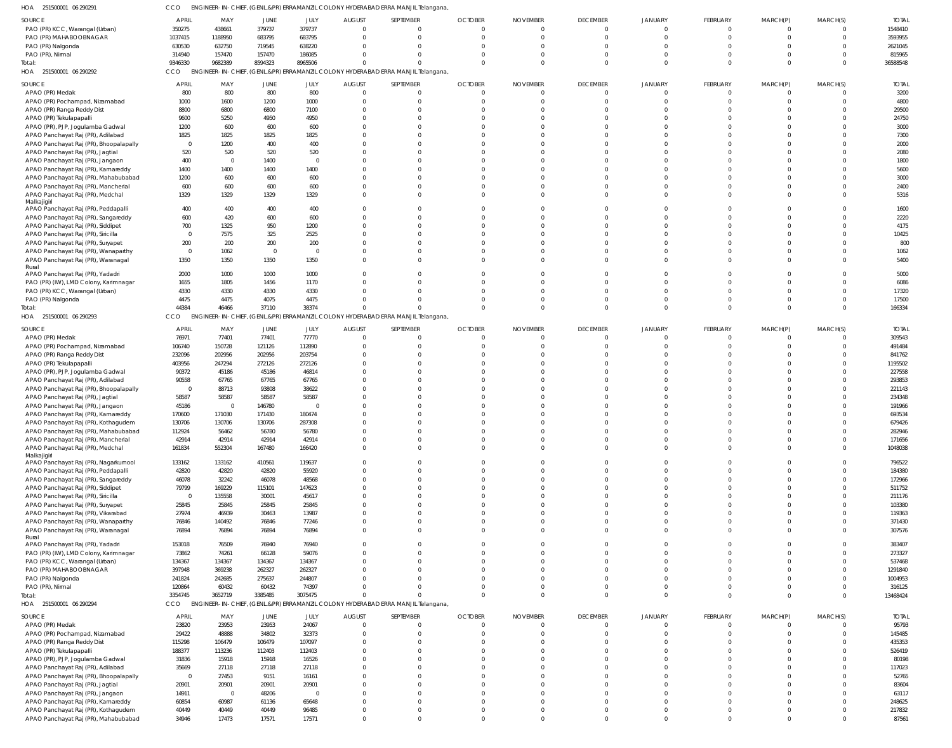251500001 06 290291 HOA CCO ENGINEER-IN-CHIEF, (GENL.&PR) ERRAMANZIL COLONY HYDERABAD ERRA MANJIL Telangana,

| <b>SOURCE</b>                                                               |                |                |                |                |                      |                                                                                  |                      |                      |                      |                            |                 |                      |                      |                 |
|-----------------------------------------------------------------------------|----------------|----------------|----------------|----------------|----------------------|----------------------------------------------------------------------------------|----------------------|----------------------|----------------------|----------------------------|-----------------|----------------------|----------------------|-----------------|
|                                                                             | <b>APRIL</b>   | MAY            | JUNE           | JULY           | <b>AUGUST</b>        | SEPTEMBER                                                                        | <b>OCTOBER</b>       | <b>NOVEMBER</b>      | <b>DECEMBER</b>      | JANUARY                    | <b>FEBRUARY</b> | MARCH(P)             | MARCH(S)             | <b>TOTAL</b>    |
| PAO (PR) KCC, Warangal (Urban)                                              | 350275         | 438661         | 379737         | 379737         | $\overline{0}$       | $\Omega$                                                                         | $\mathbf 0$          |                      | $\mathbf{0}$         | $\Omega$                   | $\mathbf 0$     | $\mathbf{0}$         | $\Omega$             | 1548410         |
| PAO (PR) MAHABOOBNAGAR                                                      | 1037415        | 1188950        | 683795         | 683795         | $\Omega$             | $\Omega$                                                                         | $\Omega$             |                      | $\Omega$             | $\Omega$                   | $\Omega$        | $\Omega$             | $\Omega$             | 3593955         |
| PAO (PR) Nalgonda                                                           | 630530         | 632750         | 719545         | 638220         | $\Omega$             | $\Omega$                                                                         | $\Omega$             |                      | $\Omega$             |                            |                 |                      | $\Omega$             | 2621045         |
| PAO (PR), Nirmal                                                            | 314940         | 157470         | 157470         | 186085         | $\Omega$             | $\Omega$                                                                         | $\Omega$             |                      | $\Omega$             |                            | $\Omega$        |                      | $\Omega$             | 815965          |
| Total:                                                                      | 9346330        | 9682389        | 8594323        | 8965506        | $\Omega$             | $\Omega$                                                                         | $\Omega$             |                      | $\Omega$             | $\Omega$                   | $\Omega$        | $\Omega$             | $\Omega$             | 36588548        |
| HOA 251500001 06 290292                                                     | CCO            |                |                |                |                      | ENGINEER-IN-CHIEF, (GENL.&PR) ERRAMANZIL COLONY HYDERABAD ERRA MANJIL Telangana, |                      |                      |                      |                            |                 |                      |                      |                 |
|                                                                             |                |                |                |                |                      |                                                                                  |                      |                      |                      |                            |                 |                      |                      |                 |
| <b>SOURCE</b>                                                               | <b>APRIL</b>   | MAY            | JUNE           | JULY           | <b>AUGUST</b>        | SEPTEMBER                                                                        | <b>OCTOBER</b>       | <b>NOVEMBER</b>      | <b>DECEMBER</b>      | JANUARY                    | <b>FEBRUARY</b> | MARCH(P)             | MARCH(S)             | <b>TOTAL</b>    |
| APAO (PR) Medak                                                             | 800            | 800            | 800            | 800            | $\Omega$             | $\Omega$                                                                         | $\Omega$             |                      | $\Omega$             | $\Omega$                   |                 | $\Omega$             | $\Omega$             | 3200            |
| APAO (PR) Pochampad, Nizamabad                                              | 1000           | 1600           | 1200           | 1000           | $\Omega$             | $\Omega$                                                                         |                      |                      |                      |                            |                 |                      | $\Omega$             | 4800            |
| APAO (PR) Ranga Reddy Dist                                                  | 8800           | 6800           | 6800           | 7100           | $\Omega$             | $\Omega$                                                                         |                      |                      |                      |                            |                 |                      | $\Omega$             | 29500           |
| APAO (PR) Tekulapapalli                                                     | 9600           | 5250           | 4950           | 4950           | $\Omega$             | $\Omega$                                                                         |                      |                      |                      |                            |                 |                      | $\Omega$             | 24750           |
| APAO (PR), PJP, Jogulamba Gadwal                                            | 1200           | 600            | 600            | 600            | $\Omega$             | $\Omega$                                                                         |                      |                      |                      |                            |                 |                      | $\Omega$             | 3000            |
| APAO Panchayat Raj (PR), Adilabad                                           | 1825           | 1825           | 1825           | 1825           | $\Omega$             | $\Omega$                                                                         |                      |                      |                      |                            |                 |                      | $\Omega$             | 7300            |
| APAO Panchayat Raj (PR), Bhoopalapally                                      | $\overline{0}$ | 1200           | 400            | 400            | $\Omega$             | $\cap$                                                                           |                      |                      |                      |                            |                 |                      | $\Omega$             | 2000            |
|                                                                             |                |                |                |                | $\Omega$             | $\Omega$                                                                         |                      |                      |                      |                            |                 |                      | $\Omega$             |                 |
| APAO Panchayat Raj (PR), Jagtial                                            | 520            | 520            | 520            | 520            |                      |                                                                                  |                      |                      |                      |                            |                 |                      |                      | 2080            |
| APAO Panchayat Raj (PR), Jangaon                                            | 400            | 0              | 1400           | $\Omega$       | $\Omega$             | $\Omega$                                                                         |                      |                      |                      |                            |                 |                      | $\Omega$             | 1800            |
| APAO Panchayat Raj (PR), Kamareddy                                          | 1400           | 1400           | 1400           | 1400           | $\Omega$             | $\Omega$                                                                         |                      |                      |                      |                            |                 |                      |                      | 5600            |
| APAO Panchayat Raj (PR), Mahabubabad                                        | 1200           | 600            | 600            | 600            | $\Omega$             | $\Omega$                                                                         |                      |                      |                      |                            |                 |                      | $\Omega$             | 3000            |
| APAO Panchayat Raj (PR), Mancherial                                         | 600            | 600            | 600            | 600            | $\Omega$             | $\Omega$                                                                         |                      |                      |                      |                            |                 |                      | $\Omega$             | 2400            |
| APAO Panchayat Raj (PR), Medchal                                            | 1329           | 1329           | 1329           | 1329           | $\Omega$             | $\Omega$                                                                         |                      |                      |                      | $\Omega$                   |                 | $\Omega$             | $\Omega$             | 5316            |
| Malkajigiri                                                                 |                |                |                |                |                      |                                                                                  |                      |                      |                      |                            |                 |                      |                      |                 |
| APAO Panchayat Raj (PR), Peddapalli                                         | 400            | 400            | 400            | 400            | $\Omega$             | $\Omega$                                                                         |                      |                      |                      |                            |                 |                      | $\Omega$             | 1600            |
| APAO Panchayat Raj (PR), Sangareddy                                         | 600            | 420            | 600            | 600            | $\Omega$             | $\Omega$                                                                         |                      |                      | $\Omega$             | $\Omega$                   |                 |                      | $\Omega$             | 2220            |
| APAO Panchayat Raj (PR), Siddipet                                           | 700            | 1325           | 950            | 1200           | $\Omega$             | $\Omega$                                                                         |                      |                      |                      | $\Omega$                   |                 |                      | $\Omega$             | 4175            |
| APAO Panchayat Raj (PR), Siricilla                                          | $\overline{0}$ | 7575           | 325            | 2525           | $\Omega$             | $\Omega$                                                                         |                      |                      |                      |                            |                 |                      | $\Omega$             | 10425           |
|                                                                             | 200            | 200            | 200            | 200            | $\Omega$             | $\Omega$                                                                         |                      |                      |                      |                            |                 |                      | $\Omega$             | 800             |
| APAO Panchayat Raj (PR), Suryapet                                           |                |                |                |                |                      |                                                                                  |                      |                      |                      |                            |                 |                      |                      |                 |
| APAO Panchayat Raj (PR), Wanaparthy                                         | $\overline{0}$ | 1062           | $\Omega$       | $\Omega$       | $\Omega$             | $\Omega$                                                                         |                      |                      |                      | $\Omega$                   |                 |                      | $\Omega$             | 1062            |
| APAO Panchayat Raj (PR), Waranagal                                          | 1350           | 1350           | 1350           | 1350           | $\Omega$             | $\Omega$                                                                         |                      |                      |                      |                            |                 |                      |                      | 5400            |
| Rural                                                                       |                |                |                |                |                      |                                                                                  |                      |                      |                      |                            |                 |                      |                      |                 |
| APAO Panchayat Raj (PR), Yadadri                                            | 2000           | 1000           | 1000           | 1000           | $\Omega$             | $\Omega$                                                                         | $\Omega$             |                      | $\Omega$             | $\Omega$                   |                 | <sup>0</sup>         | $\Omega$             | 5000            |
| PAO (PR) (IW), LMD Colony, Karimnagar                                       | 1655           | 1805           | 1456           | 1170           | $\Omega$             | $\Omega$                                                                         |                      |                      |                      |                            |                 |                      | $\Omega$             | 6086            |
| PAO (PR) KCC, Warangal (Urban)                                              | 4330           | 4330           | 4330           | 4330           | $\Omega$             | $\cap$                                                                           |                      |                      | $\Omega$             | $\Omega$                   |                 |                      | $\Omega$             | 17320           |
| PAO (PR) Nalgonda                                                           | 4475           | 4475           | 4075           | 4475           | $\Omega$             | $\Omega$                                                                         |                      |                      |                      | $\Omega$                   |                 | <sup>0</sup>         | $\Omega$             | 17500           |
| Total:                                                                      | 44384          | 46466          | 37110          | 38374          | $\Omega$             |                                                                                  | $\Omega$             |                      | $\Omega$             | $\Omega$                   | $\Omega$        | $\Omega$             | $\Omega$             | 166334          |
| 251500001 06 290293<br>HOA                                                  | CCO            |                |                |                |                      | ENGINEER-IN-CHIEF, (GENL.&PR) ERRAMANZIL COLONY HYDERABAD ERRA MANJIL Telangana, |                      |                      |                      |                            |                 |                      |                      |                 |
|                                                                             |                |                |                |                |                      |                                                                                  |                      |                      |                      |                            |                 |                      |                      |                 |
| <b>SOURCE</b>                                                               | APRIL          | MAY            | JUNE           | JULY           | <b>AUGUST</b>        | SEPTEMBER                                                                        | <b>OCTOBER</b>       | <b>NOVEMBER</b>      | <b>DECEMBER</b>      | JANUARY                    | <b>FEBRUARY</b> | MARCH(P)             | MARCH(S)             | <b>TOTAL</b>    |
| APAO (PR) Medak                                                             | 76971          | 77401          | 77401          | 77770          | $\overline{0}$       | $\Omega$                                                                         | $\Omega$             |                      | $\Omega$             | $\Omega$                   | $\mathbf 0$     | $\overline{0}$       | $\overline{0}$       | 309543          |
| APAO (PR) Pochampad, Nizamabad                                              | 106740         | 150728         | 121126         | 112890         | $\mathbf 0$          | $\Omega$                                                                         | $\Omega$             |                      | $\Omega$             | $\Omega$                   | $\Omega$        | $\Omega$             | $\Omega$             | 491484          |
| APAO (PR) Ranga Reddy Dist                                                  | 232096         | 202956         | 202956         | 203754         | $\Omega$             | $\Omega$                                                                         | $\Omega$             |                      | $\Omega$             | $\Omega$                   |                 |                      | $\Omega$             | 841762          |
| APAO (PR) Tekulapapalli                                                     | 403956         | 247294         | 272126         | 272126         | $\Omega$             | $\Omega$                                                                         |                      |                      | $\Omega$             |                            |                 |                      | $\Omega$             | 1195502         |
| APAO (PR), PJP, Jogulamba Gadwal                                            | 90372          | 45186          | 45186          | 46814          | $\Omega$             | $\Omega$                                                                         |                      |                      | $\Omega$             |                            |                 |                      | $\Omega$             | 227558          |
|                                                                             |                |                |                |                |                      |                                                                                  |                      |                      |                      |                            |                 |                      |                      |                 |
| APAO Panchayat Raj (PR), Adilabad                                           | 90558          | 67765          | 67765          | 67765          | $\Omega$             | $\Omega$                                                                         |                      |                      |                      |                            |                 |                      | $\Omega$             | 293853          |
| APAO Panchayat Raj (PR), Bhoopalapally                                      | $\overline{0}$ | 88713          | 93808          | 38622          | $\Omega$             | $\Omega$                                                                         |                      |                      |                      |                            |                 |                      | $\Omega$             | 221143          |
| APAO Panchayat Raj (PR), Jagtial                                            | 58587          | 58587          | 58587          | 58587          | $\Omega$             | $\Omega$                                                                         |                      |                      |                      |                            |                 |                      | $\Omega$             | 234348          |
| APAO Panchayat Raj (PR), Jangaon                                            | 45186          | $\mathbf 0$    | 146780         | $\Omega$       | $\Omega$             | $\cap$                                                                           |                      |                      |                      |                            |                 |                      |                      | 191966          |
| APAO Panchayat Raj (PR), Kamareddy                                          | 170600         |                | 171430         | 180474         | $\Omega$             | $\Omega$                                                                         |                      |                      |                      |                            |                 |                      |                      | 693534          |
|                                                                             |                |                |                |                |                      |                                                                                  |                      |                      |                      |                            |                 |                      | $\Omega$             | 679426          |
|                                                                             |                | 171030         |                |                | $\Omega$             | $\Omega$                                                                         |                      |                      |                      |                            |                 |                      |                      | 282946          |
| APAO Panchayat Raj (PR), Kothagudem                                         | 130706         | 130706         | 130706         | 287308         |                      |                                                                                  |                      |                      |                      |                            |                 |                      | $\Omega$             | 171656          |
| APAO Panchayat Raj (PR), Mahabubabad                                        | 112924         | 56462          | 56780          | 56780          | $\Omega$             |                                                                                  |                      |                      |                      |                            |                 |                      |                      |                 |
| APAO Panchayat Raj (PR), Mancherial                                         | 42914          | 42914          | 42914          | 42914          | $\Omega$             | $\Omega$                                                                         | $\Omega$             |                      | $\Omega$             | $\Omega$                   | $\Omega$        | $\overline{0}$       | $\Omega$             |                 |
| APAO Panchayat Raj (PR), Medchal                                            | 161834         | 552304         | 167480         | 166420         | $\mathbf 0$          | $\Omega$                                                                         | $\Omega$             | $\Omega$             | $\Omega$             | $\Omega$                   | $\Omega$        | $\Omega$             |                      | 1048038         |
| Malkajigiri                                                                 |                |                |                |                |                      |                                                                                  |                      |                      |                      |                            |                 |                      |                      |                 |
| APAO Panchayat Raj (PR), Nagarkurnool                                       | 133162         | 133162         | 410561         | 119637         | $\Omega$             | $\Omega$                                                                         | $\Omega$             |                      | $\Omega$             | $\Omega$                   | $\Omega$        | $\Omega$             | $\Omega$             | 796522          |
| APAO Panchayat Raj (PR), Peddapalli                                         | 42820          | 42820          | 42820          | 55920          | $\Omega$             | $\Omega$                                                                         | $\Omega$             |                      | $\Omega$             | $\Omega$                   | $\Omega$        | $\Omega$             | $\Omega$             | 184380          |
| APAO Panchayat Raj (PR), Sangareddy                                         | 46078          | 32242          | 46078          | 48568          | $\Omega$             | $\Omega$                                                                         | $\Omega$             |                      | $\Omega$             | $\Omega$                   | $\Omega$        | $\Omega$             | $\Omega$             | 172966          |
| APAO Panchayat Raj (PR), Siddipet                                           | 79799          | 169229         | 115101         | 147623         | $\Omega$             | $\Omega$                                                                         | $\Omega$             |                      | $\Omega$             | $\Omega$                   | $\Omega$        | $\Omega$             | $\Omega$             | 511752          |
| APAO Panchayat Raj (PR), Siricilla                                          | $\overline{0}$ | 135558         | 30001          | 45617          | $\Omega$             | $\Omega$                                                                         | $\Omega$             |                      | $\Omega$             | $\Omega$                   | $\Omega$        | $\Omega$             | $\Omega$             | 211176          |
| APAO Panchayat Raj (PR), Suryapet                                           | 25845          | 25845          | 25845          | 25845          | $\Omega$             | $\Omega$                                                                         | $\Omega$             |                      | $\Omega$             | $\Omega$                   |                 | $\Omega$             | $\Omega$             | 103380          |
| APAO Panchayat Raj (PR), Vikarabad                                          | 27974          | 46939          | 30463          | 13987          | $\Omega$             | $\Omega$                                                                         | $\Omega$             |                      | $\Omega$             | $\Omega$                   | $\Omega$        | $\Omega$             | $\Omega$             | 119363          |
| APAO Panchayat Raj (PR), Wanaparthy                                         | 76846          | 140492         | 76846          | 77246          | $\Omega$             | $\Omega$                                                                         | $\Omega$             |                      | $\Omega$             | $\Omega$                   | $\Omega$        | $\Omega$             | $\Omega$             | 371430          |
|                                                                             |                |                |                |                | $\Omega$             | $\Omega$                                                                         | $\Omega$             | $\Omega$             | $\Omega$             | $\Omega$                   | $\Omega$        | $\Omega$             | $\Omega$             |                 |
| APAO Panchayat Raj (PR), Waranagal<br>Rural                                 | 76894          | 76894          | 76894          | 76894          |                      |                                                                                  |                      |                      |                      |                            |                 |                      |                      | 307576          |
| APAO Panchayat Raj (PR), Yadadri                                            | 153018         | 76509          | 76940          | 76940          | $\Omega$             | $\Omega$                                                                         | $\Omega$             |                      | $\Omega$             | $\Omega$                   | $\Omega$        | $\Omega$             | $\Omega$             | 383407          |
|                                                                             |                |                |                |                | $\Omega$             | $\Omega$                                                                         | $\Omega$             | $\Omega$             | $\Omega$             | $\Omega$                   | $\Omega$        | $\Omega$             | $\Omega$             |                 |
| PAO (PR) (IW), LMD Colony, Karimnagar                                       | 73862          | 74261          | 66128          | 59076          |                      |                                                                                  |                      |                      | $\Omega$             |                            | $\Omega$        |                      |                      | 273327          |
| PAO (PR) KCC, Warangal (Urban)                                              | 134367         | 134367         | 134367         | 134367         | $\Omega$             | $\Omega$                                                                         | $\Omega$             |                      |                      | $\Omega$                   |                 | $\Omega$             | $\Omega$             | 537468          |
| PAO (PR) MAHABOOBNAGAR                                                      | 397948         | 369238         | 262327         | 262327         | $\Omega$             | $\Omega$                                                                         | $\Omega$             |                      | $\Omega$             | $\Omega$                   | $\Omega$        | $\Omega$             | $\Omega$             | 1291840         |
| PAO (PR) Nalgonda                                                           | 241824         | 242685         | 275637         | 244807         | $\Omega$             | $\Omega$                                                                         | $\Omega$             |                      | $\Omega$             | $\Omega$                   | $\Omega$        | $\Omega$             | $\Omega$             | 1004953         |
| PAO (PR), Nirmal                                                            | 120864         | 60432          | 60432          | 74397          | $\Omega$             | $\Omega$                                                                         | $\Omega$             |                      | $\Omega$             | $\Omega$                   | $\Omega$        | $\Omega$             | $\Omega$             | 316125          |
| Total:                                                                      | 3354745        | 3652719        | 3385485        | 3075475        | $\Omega$             | $\Omega$                                                                         | $\Omega$             |                      | $\Omega$             | $\Omega$                   | $\Omega$        | $\Omega$             | $\Omega$             | 13468424        |
| HOA 251500001 06 290294                                                     | <b>CCO</b>     |                |                |                |                      | ENGINEER-IN-CHIEF, (GENL.&PR) ERRAMANZIL COLONY HYDERABAD ERRA MANJIL Telangana, |                      |                      |                      |                            |                 |                      |                      |                 |
|                                                                             |                |                |                |                |                      |                                                                                  |                      |                      |                      |                            |                 |                      |                      |                 |
| SOURCE                                                                      | <b>APRIL</b>   | MAY            | JUNE           | JULY           | <b>AUGUST</b>        | SEPTEMBER                                                                        | <b>OCTOBER</b>       | <b>NOVEMBER</b>      | <b>DECEMBER</b>      | <b>JANUARY</b>             | <b>FEBRUARY</b> | MARCH(P)             | MARCH(S)             | <b>TOTAL</b>    |
| APAO (PR) Medak                                                             | 23820          | 23953          | 23953          | 24067          | $\overline{0}$       | $\Omega$                                                                         | $\Omega$             |                      | $\Omega$             | $\Omega$                   | $\Omega$        | $\Omega$             | $\Omega$             | 95793           |
| APAO (PR) Pochampad, Nizamabad                                              | 29422          | 48888          | 34802          | 32373          | $\Omega$             | $\Omega$                                                                         | $\Omega$             |                      | $\Omega$             | $\Omega$                   | $\Omega$        | $\Omega$             | $\Omega$             | 145485          |
| APAO (PR) Ranga Reddy Dist                                                  | 115298         | 106479         | 106479         | 107097         | $\Omega$             | $\Omega$                                                                         | $\Omega$             |                      | $\Omega$             | $\Omega$                   |                 | $\Omega$             | $\Omega$             | 435353          |
| APAO (PR) Tekulapapalli                                                     | 188377         | 113236         | 112403         | 112403         | $\Omega$             | $\Omega$                                                                         | $\Omega$             |                      |                      | $\Omega$                   |                 | $\Omega$             | $\Omega$             | 526419          |
| APAO (PR), PJP, Jogulamba Gadwal                                            | 31836          | 15918          | 15918          | 16526          | $\Omega$             | $\Omega$                                                                         | $\Omega$             |                      |                      | $\Omega$                   |                 | $\Omega$             | $\Omega$             | 80198           |
| APAO Panchayat Raj (PR), Adilabad                                           | 35669          | 27118          | 27118          | 27118          | $\Omega$             | $\Omega$                                                                         |                      |                      |                      | $\Omega$                   |                 | $\Omega$             | $\Omega$             | 117023          |
|                                                                             | $\overline{0}$ |                |                |                | $\Omega$             | $\Omega$                                                                         | $\Omega$             |                      |                      | $\Omega$                   |                 | $\Omega$             | $\Omega$             |                 |
| APAO Panchayat Raj (PR), Bhoopalapally                                      |                | 27453          | 9151           | 16161          |                      |                                                                                  |                      |                      |                      |                            |                 |                      |                      | 52765           |
| APAO Panchayat Raj (PR), Jagtial                                            | 20901          | 20901          | 20901          | 20901          | $\Omega$             | $\Omega$                                                                         | O                    |                      |                      | $\Omega$                   |                 | $\Omega$             | $\Omega$             | 83604           |
| APAO Panchayat Raj (PR), Jangaon                                            | 14911          | 0              | 48206          | $\Omega$       | $\Omega$             | $\Omega$                                                                         | $\Omega$             |                      | $\Omega$             | $\Omega$                   |                 | $\Omega$             | $\Omega$             | 63117           |
| APAO Panchayat Raj (PR), Kamareddy                                          | 60854          | 60987          | 61136          | 65648          | $\Omega$             | $\Omega$                                                                         | $\Omega$             | $\Omega$             | $\Omega$             | $\Omega$                   | $\Omega$        | $\Omega$             | $\Omega$             | 248625          |
| APAO Panchayat Raj (PR), Kothagudem<br>APAO Panchayat Raj (PR), Mahabubabad | 40449<br>34946 | 40449<br>17473 | 40449<br>17571 | 96485<br>17571 | $\Omega$<br>$\Omega$ | $\Omega$<br>$\Omega$                                                             | $\Omega$<br>$\Omega$ | $\Omega$<br>$\Omega$ | $\Omega$<br>$\Omega$ | $\overline{0}$<br>$\Omega$ | 0<br>$\Omega$   | $\Omega$<br>$\Omega$ | $\Omega$<br>$\Omega$ | 217832<br>87561 |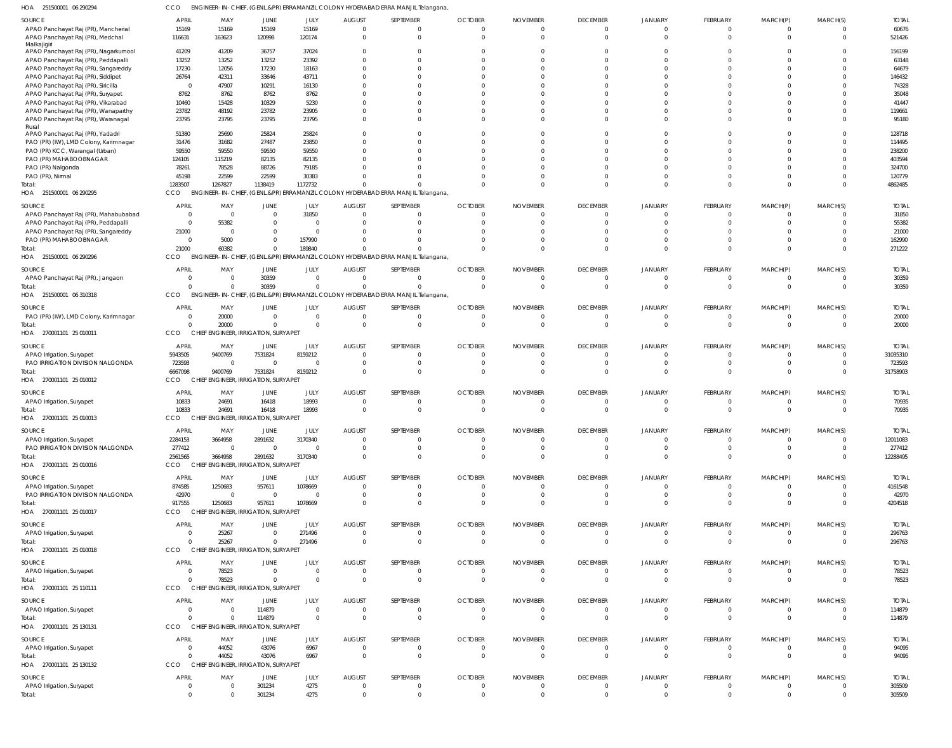251500001 06 290294 HOA CCO ENGINEER-IN-CHIEF, (GENL.&PR) ERRAMANZIL COLONY HYDERABAD ERRA MANJIL Telangana,

| SOURCE                                      | <b>APRIL</b>   | MAY                                  | JUNE                                | JULY            | <b>AUGUST</b>                   | SEPTEMBER                                                                        | <b>OCTOBER</b> | <b>NOVEMBER</b> | <b>DECEMBER</b> | JANUARY        | FEBRUARY        | MARCH(P)             | MARCH(S)       | <b>TOTAL</b> |
|---------------------------------------------|----------------|--------------------------------------|-------------------------------------|-----------------|---------------------------------|----------------------------------------------------------------------------------|----------------|-----------------|-----------------|----------------|-----------------|----------------------|----------------|--------------|
| APAO Panchayat Raj (PR), Mancherial         | 15169          | 15169                                | 15169                               | 15169           | $\overline{0}$                  | 0                                                                                | $\overline{0}$ | $\overline{0}$  | $\Omega$        | $\Omega$       | $\overline{0}$  | 0                    | $\mathbf{0}$   | 60676        |
| APAO Panchayat Raj (PR), Medchal            | 116631         | 163623                               | 120998                              | 120174          | $\overline{0}$                  | $\Omega$                                                                         | $\Omega$       | $\overline{0}$  | $\Omega$        | $\Omega$       | $\overline{0}$  | $\overline{0}$       | $\overline{0}$ | 521426       |
| Malkajigiri                                 |                |                                      |                                     |                 |                                 |                                                                                  |                |                 |                 |                |                 |                      |                |              |
| APAO Panchayat Raj (PR), Nagarkurnool       | 41209          | 41209                                | 36757                               | 37024           | -0                              | U                                                                                | $\Omega$       | $^{\circ}$      | $\Omega$        |                | $\Omega$        |                      | $\Omega$       | 156199       |
| APAO Panchayat Raj (PR), Peddapalli         | 13252          | 13252                                | 13252                               | 23392           | $\Omega$                        | U                                                                                | $\sqrt{ }$     | $\Omega$        | $\Omega$        |                | $\Omega$        |                      | $\Omega$       | 63148        |
| APAO Panchayat Raj (PR), Sangareddy         | 17230          | 12056                                | 17230                               | 18163           | $\Omega$                        | U                                                                                | $\cup$         | $\Omega$        | $\Omega$        |                | $\Omega$        |                      | $\Omega$       | 64679        |
| APAO Panchayat Raj (PR), Siddipet           | 26764          | 42311                                | 33646                               | 43711           | $\Omega$                        |                                                                                  |                | $\Omega$        | $\cap$          |                | $\Omega$        |                      | $\Omega$       | 146432       |
| APAO Panchayat Raj (PR), Siricilla          | $\overline{0}$ | 47907                                | 10291                               | 16130           | $\Omega$                        |                                                                                  | $\cup$         | $\Omega$        |                 |                | $\Omega$        |                      | $\Omega$       | 74328        |
| APAO Panchayat Raj (PR), Suryapet           | 8762           | 8762                                 | 8762                                | 8762            | $\Omega$                        |                                                                                  | $\cup$         | $\Omega$        |                 |                |                 |                      | $\Omega$       | 35048        |
| APAO Panchayat Raj (PR), Vikarabad          | 10460          | 15428                                | 10329                               | 5230            | $\Omega$                        |                                                                                  | $\cup$         | $\Omega$        | $\cap$          |                | $\Omega$        |                      | $\Omega$       | 41447        |
| APAO Panchayat Raj (PR), Wanaparthy         | 23782          | 48192                                | 23782                               | 23905           | $\Omega$                        |                                                                                  | $\cup$         | $\Omega$        | $\Omega$        |                | $\Omega$        |                      | $\Omega$       | 119661       |
|                                             | 23795          | 23795                                | 23795                               | 23795           | $\Omega$                        | $\Omega$                                                                         | $\sqrt{ }$     | $\Omega$        | $\cap$          |                | $\Omega$        | $\Omega$             | $\Omega$       | 95180        |
| APAO Panchayat Raj (PR), Waranagal<br>Rural |                |                                      |                                     |                 |                                 |                                                                                  |                |                 |                 |                |                 |                      |                |              |
| APAO Panchayat Raj (PR), Yadadri            | 51380          | 25690                                | 25824                               | 25824           | $\Omega$                        | $\Omega$                                                                         | $\cup$         | $\Omega$        | $\cap$          |                | $\Omega$        |                      | $\Omega$       | 128718       |
| PAO (PR) (IW), LMD Colony, Karimnagar       | 31476          | 31682                                | 27487                               | 23850           | $\Omega$                        |                                                                                  | $\cup$         | $\Omega$        | $\cap$          |                | $\Omega$        |                      | $\Omega$       | 114495       |
| PAO (PR) KCC, Warangal (Urban)              | 59550          | 59550                                | 59550                               | 59550           | $\Omega$                        | U                                                                                | $\cup$         | $\Omega$        | $\Omega$        |                | $\Omega$        |                      | $\Omega$       | 238200       |
| PAO (PR) MAHABOOBNAGAR                      | 124105         | 115219                               | 82135                               | 82135           | $\Omega$                        |                                                                                  | $\cup$         | $\Omega$        | $\Omega$        |                | $\Omega$        |                      | $\Omega$       | 403594       |
|                                             |                |                                      |                                     |                 | $\Omega$                        |                                                                                  | $\cup$         | $\Omega$        | $\Omega$        |                | $\Omega$        |                      | $\Omega$       |              |
| PAO (PR) Nalgonda                           | 78261          | 78528                                | 88726                               | 79185           |                                 |                                                                                  |                |                 |                 |                |                 |                      |                | 324700       |
| PAO (PR), Nirmal                            | 45198          | 22599                                | 22599                               | 30383           | $\Omega$                        |                                                                                  | $\cup$         | $\Omega$        | $\Omega$        |                | $\Omega$        | <sup>0</sup>         | $\Omega$       | 120779       |
| Total:                                      | 1283507        | 1267827                              | 1138419                             | 1172732         |                                 |                                                                                  | $\Omega$       | $\Omega$        | $\Omega$        |                | $\Omega$        | $\Omega$             | $\Omega$       | 4862485      |
| HOA 251500001 06 290295                     | CCO            |                                      |                                     |                 |                                 | ENGINEER-IN-CHIEF, (GENL.&PR) ERRAMANZIL COLONY HYDERABAD ERRA MANJIL Telangana, |                |                 |                 |                |                 |                      |                |              |
| SOURCE                                      | <b>APRIL</b>   | MAY                                  | JUNE                                | JULY            | <b>AUGUST</b>                   | SEPTEMBER                                                                        | <b>OCTOBER</b> | <b>NOVEMBER</b> | <b>DECEMBER</b> | <b>JANUARY</b> | FEBRUARY        | MARCH(P)             | MARCH(S)       | <b>TOTAL</b> |
| APAO Panchayat Raj (PR), Mahabubabad        | $\mathbf 0$    | $\Omega$                             | $\Omega$                            | 31850           | $\Omega$                        | $\Omega$                                                                         | $\Omega$       | $\Omega$        | $\Omega$        |                | $\Omega$        | $\Omega$             | $\Omega$       | 31850        |
| APAO Panchayat Raj (PR), Peddapalli         | $\mathbf 0$    | 55382                                |                                     | $\Omega$        | - 0                             | $\Omega$                                                                         | $\Omega$       | $\Omega$        | $\Omega$        |                | $\Omega$        | $\Omega$             | $\Omega$       | 55382        |
|                                             | 21000          | $\overline{0}$                       |                                     | $\Omega$        | $\Omega$                        |                                                                                  | $\sqrt{ }$     | $\Omega$        |                 |                | $\Omega$        |                      | $\Omega$       | 21000        |
| APAO Panchayat Raj (PR), Sangareddy         |                |                                      |                                     |                 |                                 |                                                                                  |                |                 |                 |                |                 |                      |                |              |
| PAO (PR) MAHABOOBNAGAR                      | $\mathbf 0$    | 5000                                 | $\Omega$                            | 157990          | $\Omega$                        |                                                                                  | $\cup$         | $\Omega$        | $\Omega$        |                | $\Omega$        | <sup>0</sup>         | $\Omega$       | 162990       |
| Total:                                      | 21000          | 60382                                | $\Omega$                            | 189840          | $\Omega$                        |                                                                                  | $\Omega$       | $\Omega$        | $\Omega$        |                | $\Omega$        | $\Omega$             | $\Omega$       | 271222       |
| HOA 251500001 06 290296                     | CCO            |                                      |                                     |                 |                                 | ENGINEER-IN-CHIEF, (GENL.&PR) ERRAMANZIL COLONY HYDERABAD ERRA MANJIL Telangana, |                |                 |                 |                |                 |                      |                |              |
| SOURCE                                      | <b>APRIL</b>   | MAY                                  | JUNE                                | JULY            | <b>AUGUST</b>                   | SEPTEMBER                                                                        | <b>OCTOBER</b> | <b>NOVEMBER</b> | <b>DECEMBER</b> | JANUARY        | FEBRUARY        | MARCH(P)             | MARCH(S)       | <b>TOTAL</b> |
| APAO Panchayat Raj (PR), Jangaon            | $\mathbf 0$    | $\Omega$                             | 30359                               | $\overline{0}$  | $\overline{0}$                  | $^{\circ}$                                                                       | $\overline{0}$ | $\overline{0}$  | $\Omega$        |                | $\overline{0}$  | 0                    | $\mathbf{0}$   | 30359        |
|                                             | $\Omega$       | $\Omega$                             | 30359                               | $\Omega$        | $\circ$                         | $\Omega$                                                                         | $\Omega$       | $\overline{0}$  | $\Omega$        | $\Omega$       | $\overline{0}$  | $\overline{0}$       | $\mathbf{0}$   | 30359        |
| Total:                                      |                |                                      |                                     |                 |                                 |                                                                                  |                |                 |                 |                |                 |                      |                |              |
| HOA 251500001 06 310318                     | CCO            |                                      |                                     |                 |                                 | ENGINEER-IN-CHIEF, (GENL.&PR) ERRAMANZIL COLONY HYDERABAD ERRA MANJIL Telangana, |                |                 |                 |                |                 |                      |                |              |
| SOURCE                                      | <b>APRIL</b>   | MAY                                  | JUNE                                | JULY            | <b>AUGUST</b>                   | SEPTEMBER                                                                        | <b>OCTOBER</b> | <b>NOVEMBER</b> | <b>DECEMBER</b> | <b>JANUARY</b> | FEBRUARY        | MARCH(P)             | MARCH(S)       | <b>TOTAL</b> |
| PAO (PR) (IW), LMD Colony, Karimnagar       | $\Omega$       | 20000                                | $\Omega$                            | $\Omega$        | $\Omega$                        | $\Omega$                                                                         | $\overline{0}$ | $\overline{0}$  | $\Omega$        |                | $\overline{0}$  | $\Omega$             | $\Omega$       | 20000        |
| Total:                                      | $\Omega$       | 20000                                | $\Omega$                            | $\Omega$        | $\Omega$                        | $\Omega$                                                                         | $\Omega$       | $\Omega$        | $\Omega$        |                | $\Omega$        | $\Omega$             | $\Omega$       | 20000        |
| HOA 270001101 25 010011                     | CCO            | CHIEF ENGINEER, IRRIGATION, SURYAPET |                                     |                 |                                 |                                                                                  |                |                 |                 |                |                 |                      |                |              |
|                                             |                |                                      |                                     |                 |                                 |                                                                                  |                |                 |                 |                |                 |                      |                |              |
| SOURCE                                      | <b>APRIL</b>   | MAY                                  | JUNE                                | JULY            | <b>AUGUST</b>                   | SEPTEMBER                                                                        | <b>OCTOBER</b> | <b>NOVEMBER</b> | <b>DECEMBER</b> | <b>JANUARY</b> | FEBRUARY        | MARCH(P)             | MARCH(S)       | <b>TOTAL</b> |
| APAO Irrigation, Suryapet                   | 5943505        | 9400769                              | 7531824                             | 8159212         | $\overline{0}$                  | $\Omega$                                                                         | $\overline{0}$ | $\overline{0}$  | $\Omega$        | $\Omega$       | $\overline{0}$  | $\overline{0}$       | $\overline{0}$ | 31035310     |
| PAO IRRIGATION DIVISION NALGONDA            | 723593         | $\overline{0}$                       | $\mathbf 0$                         |                 | $\overline{0}$                  | $\mathbf 0$                                                                      | $\overline{0}$ | $\overline{0}$  | $\Omega$        | $\Omega$       | $\Omega$        | $\Omega$             | $\mathbf 0$    | 723593       |
| Total:                                      | 6667098        | 9400769                              | 7531824                             | 8159212         | $\Omega$                        | $\Omega$                                                                         | $\Omega$       | $\Omega$        | $\Omega$        | $\Omega$       | $\Omega$        | $\Omega$             | $\mathbf{0}$   | 31758903     |
| HOA 270001101 25 010012                     | CCO            | CHIEF ENGINEER, IRRIGATION, SURYAPET |                                     |                 |                                 |                                                                                  |                |                 |                 |                |                 |                      |                |              |
|                                             |                |                                      |                                     |                 |                                 |                                                                                  |                |                 |                 |                |                 |                      |                |              |
| SOURCE                                      | <b>APRIL</b>   | MAY                                  | JUNE                                | JULY            | <b>AUGUST</b>                   | SEPTEMBER                                                                        | <b>OCTOBER</b> | <b>NOVEMBER</b> | <b>DECEMBER</b> | <b>JANUARY</b> | <b>FEBRUARY</b> | MARCH(P)             | MARCH(S)       | <b>TOTAL</b> |
| APAO Irrigation, Suryapet                   | 10833          | 24691                                | 16418                               | 18993           | $\overline{0}$                  | $\Omega$                                                                         | $\overline{0}$ | $\overline{0}$  | $\Omega$        |                | $\overline{0}$  | $\Omega$             | $\Omega$       | 70935        |
| Total:                                      | 10833          | 24691                                | 16418                               | 18993           | $\Omega$                        | $\Omega$                                                                         | $\Omega$       | $\Omega$        | $\Omega$        |                | $\Omega$        | $\Omega$             | $\Omega$       | 70935        |
| HOA 270001101 25 010013                     | CCO            | <b>CHIEF</b>                         | <b>IGINEER, IRRIGATION, SURYAPE</b> |                 |                                 |                                                                                  |                |                 |                 |                |                 |                      |                |              |
|                                             |                |                                      |                                     |                 |                                 |                                                                                  |                |                 |                 |                |                 |                      |                |              |
| SOURCE                                      | <b>APRIL</b>   | MAY                                  | JUNE                                | JULY            | <b>AUGUST</b>                   | SEPTEMBER                                                                        | <b>OCTOBER</b> | <b>NOVEMBER</b> | <b>DECEMBER</b> | JANUARY        | FEBRUARY        | MARCH(P)             | MARCH(S)       | <b>TOTAL</b> |
| APAO Irrigation, Suryapet                   | 2284153        | 3664958                              | 2891632                             | 3170340         | $\Omega$                        | $\Omega$                                                                         | $\Omega$       | $\Omega$        | $\Omega$        |                | $\mathbf{0}$    | $\Omega$             | $\mathbf 0$    | 12011083     |
| PAO IRRIGATION DIVISION NALGONDA            | 277412         | $\overline{0}$                       | $\Omega$                            | $\Omega$        | $\mathbf 0$                     | $\mathbf 0$                                                                      | $\overline{0}$ | $\overline{0}$  | $\Omega$        | $\Omega$       | $\mathbf 0$     | $\mathbf 0$          | $\mathbf 0$    | 277412       |
| Total:                                      | 2561565        | 3664958                              | 2891632                             | 3170340         | $\Omega$                        | $\Omega$                                                                         | $\Omega$       | $\overline{0}$  | $\Omega$        | $\Omega$       | $\mathbf 0$     | $\mathbf 0$          | $\overline{0}$ | 12288495     |
| HOA 270001101 25 010016                     | CCO            | CHIEF ENGINEER, IRRIGATION, SURYAPET |                                     |                 |                                 |                                                                                  |                |                 |                 |                |                 |                      |                |              |
| SOURCE                                      | <b>APRIL</b>   | MAY                                  | JUNE                                |                 |                                 | SEPTEMBER                                                                        | <b>OCTOBER</b> | <b>NOVEMBER</b> | <b>DECEMBER</b> | <b>JANUARY</b> | <b>FEBRUARY</b> |                      | MARCH(S)       | <b>TOTAL</b> |
|                                             |                |                                      |                                     | JULY<br>1078669 | <b>AUGUST</b><br>$\overline{0}$ | $\Omega$                                                                         | $\overline{0}$ | $\Omega$        | $\Omega$        |                |                 | MARCH(P)<br>$\Omega$ | $\Omega$       | 4161548      |
| APAO Irrigation, Suryapet                   | 874585         | 1250683                              | 957611<br>$\Omega$                  |                 |                                 |                                                                                  |                |                 |                 |                | $^{\circ}$      |                      |                |              |
| PAO IRRIGATION DIVISION NALGONDA            | 42970          | $\Omega$                             |                                     | $\Omega$        | $\Omega$                        | $\mathbf 0$                                                                      | $\overline{0}$ | $\mathbf 0$     | $\Omega$        |                | $\mathbf 0$     | $\Omega$             | $\Omega$       | 42970        |
| Total:                                      | 917555         | 1250683                              | 957611                              | 1078669         | $\Omega$                        | $\Omega$                                                                         | $\Omega$       | $\overline{0}$  | $\Omega$        |                | $\Omega$        | $\overline{0}$       | $\Omega$       | 4204518      |
| HOA 270001101 25 010017                     | <b>CCO</b>     | CHIEF ENGINEER, IRRIGATION, SURYAPET |                                     |                 |                                 |                                                                                  |                |                 |                 |                |                 |                      |                |              |
| SOURCE                                      | <b>APRIL</b>   | MAY                                  | JUNE                                | JULY            | <b>AUGUST</b>                   | SEPTEMBER                                                                        | <b>OCTOBER</b> | <b>NOVEMBER</b> | <b>DECEMBER</b> | <b>JANUARY</b> | FEBRUARY        | MARCH(P)             | MARCH(S)       | <b>TOTAL</b> |
| APAO Irrigation, Suryapet                   | $\mathbf 0$    | 25267                                | $\Omega$                            | 271496          | $\overline{0}$                  | $\overline{0}$                                                                   | $\overline{0}$ | $\overline{0}$  | $\Omega$        |                | 0               | $\overline{0}$       | $\mathbf{0}$   | 296763       |
| Total:                                      | $\Omega$       | 25267                                | $\Omega$                            | 271496          | $\overline{0}$                  | $\overline{0}$                                                                   | $\overline{0}$ | $\overline{0}$  | $\Omega$        | $\Omega$       | $\mathbf{0}$    | $\mathbf{0}$         | $\mathbf 0$    | 296763       |
| HOA 270001101 25 010018                     | CCO            | CHIEF ENGINEER, IRRIGATION, SURYAPET |                                     |                 |                                 |                                                                                  |                |                 |                 |                |                 |                      |                |              |
|                                             |                |                                      |                                     |                 |                                 |                                                                                  |                |                 |                 |                |                 |                      |                |              |
| SOURCE                                      | <b>APRIL</b>   | MAY                                  | JUNE                                | JULY            | <b>AUGUST</b>                   | SEPTEMBER                                                                        | <b>OCTOBER</b> | <b>NOVEMBER</b> | <b>DECEMBER</b> | <b>JANUARY</b> | FEBRUARY        | MARCH(P)             | MARCH(S)       | <b>TOTAL</b> |
| APAO Irrigation, Suryapet                   | $\mathbf 0$    | 78523                                | $\Omega$                            | $\Omega$        | $\overline{0}$                  | $\overline{0}$                                                                   | $\overline{0}$ | $\overline{0}$  | $\Omega$        |                | $\mathbf{0}$    | $\overline{0}$       | $\Omega$       | 78523        |
| Total:                                      | $\Omega$       | 78523                                | $\Omega$                            | $\Omega$        | $\Omega$                        | $\Omega$                                                                         | $\Omega$       | $\overline{0}$  | $\Omega$        | $\Omega$       | $\mathbf{0}$    | $\mathbf{0}$         | $\Omega$       | 78523        |
| HOA 270001101 25 110111                     | CCO            | CHIEF ENGINEER, IRRIGATION, SURYAPET |                                     |                 |                                 |                                                                                  |                |                 |                 |                |                 |                      |                |              |
|                                             |                |                                      |                                     |                 |                                 |                                                                                  |                |                 |                 |                |                 |                      |                |              |
| SOURCE                                      | <b>APRIL</b>   | MAY                                  | JUNE                                | JULY            | <b>AUGUST</b>                   | SEPTEMBER                                                                        | <b>OCTOBER</b> | <b>NOVEMBER</b> | <b>DECEMBER</b> | <b>JANUARY</b> | <b>FEBRUARY</b> | MARCH(P)             | MARCH(S)       | <b>TOTAL</b> |
| APAO Irrigation, Suryapet                   | $\overline{0}$ | $\overline{0}$                       | 114879                              | $\Omega$        | $\overline{0}$                  | $\overline{0}$                                                                   | $\overline{0}$ | $\overline{0}$  | $\overline{0}$  | 0              | $\mathbf 0$     | $\overline{0}$       | $\overline{0}$ | 114879       |
| Total:                                      | $\Omega$       | $\Omega$                             | 114879                              | $\Omega$        | $\overline{0}$                  | $\overline{0}$                                                                   | $\overline{0}$ | $\overline{0}$  | $\Omega$        | $\Omega$       | $\overline{0}$  | $\mathbf 0$          | $\overline{0}$ | 114879       |
| HOA 270001101 25 130131                     | CCO            | CHIEF ENGINEER, IRRIGATION, SURYAPET |                                     |                 |                                 |                                                                                  |                |                 |                 |                |                 |                      |                |              |
|                                             |                |                                      |                                     |                 |                                 |                                                                                  |                |                 |                 |                |                 |                      |                |              |
| SOURCE                                      | <b>APRIL</b>   | MAY                                  | JUNE                                | JULY            | <b>AUGUST</b>                   | SEPTEMBER                                                                        | <b>OCTOBER</b> | <b>NOVEMBER</b> | <b>DECEMBER</b> | <b>JANUARY</b> | FEBRUARY        | MARCH(P)             | MARCH(S)       | <b>TOTAL</b> |
| APAO Irrigation, Suryapet                   | 0              | 44052                                | 43076                               | 6967            | $\overline{0}$                  | $\Omega$                                                                         | $\overline{0}$ | $\overline{0}$  | $\Omega$        |                | $^{\circ}$      | $\overline{0}$       | $\mathbf{0}$   | 94095        |
| Total:                                      | $\Omega$       | 44052                                | 43076                               | 6967            | $\overline{0}$                  | $\overline{0}$                                                                   | $\overline{0}$ | $\overline{0}$  | $\Omega$        | $\Omega$       | $\overline{0}$  | $\mathbf{0}$         | $\overline{0}$ | 94095        |
| HOA 270001101 25 130132                     | CCO            | CHIEF ENGINEER, IRRIGATION, SURYAPET |                                     |                 |                                 |                                                                                  |                |                 |                 |                |                 |                      |                |              |
| SOURCE                                      | <b>APRIL</b>   | MAY                                  | JUNE                                | JULY            | <b>AUGUST</b>                   | SEPTEMBER                                                                        | <b>OCTOBER</b> | <b>NOVEMBER</b> | <b>DECEMBER</b> | <b>JANUARY</b> | FEBRUARY        | MARCH(P)             | MARCH(S)       | <b>TOTAL</b> |
| APAO Irrigation, Suryapet                   | 0              | $\overline{0}$                       | 301234                              | 4275            | $\overline{0}$                  | 0                                                                                | $\overline{0}$ | $\overline{0}$  | $\overline{0}$  | $\Omega$       | $\mathbf 0$     | 0                    | 0              | 305509       |
| Total:                                      | $\mathbf 0$    | $\overline{0}$                       | 301234                              | 4275            | $\overline{0}$                  | $\mathbf 0$                                                                      | $\overline{0}$ | $\overline{0}$  | $\Omega$        | $\Omega$       | $\mathbf 0$     | $\mathbf{0}$         | $\mathbf 0$    | 305509       |
|                                             |                |                                      |                                     |                 |                                 |                                                                                  |                |                 |                 |                |                 |                      |                |              |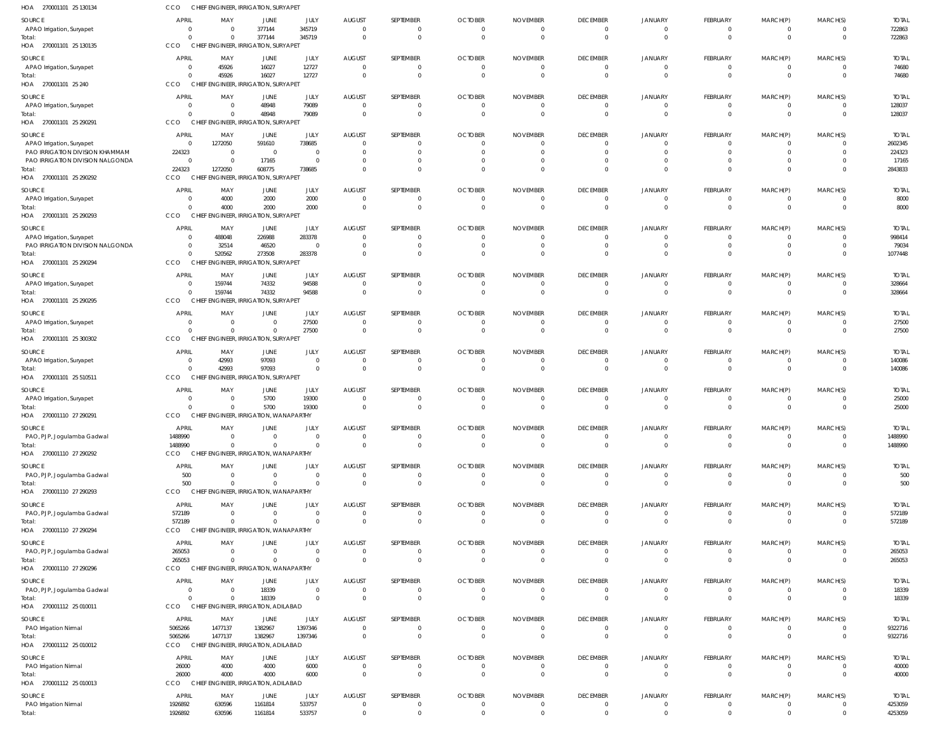| HOA 270001101 25 130134                                        | CCO                                      | CHIEF ENGINEER, IRRIGATION, SURYAPET                               |                                        |                            |                            |                              |                                |                            |                                  |                                  |                                  |                                |                                  |                        |
|----------------------------------------------------------------|------------------------------------------|--------------------------------------------------------------------|----------------------------------------|----------------------------|----------------------------|------------------------------|--------------------------------|----------------------------|----------------------------------|----------------------------------|----------------------------------|--------------------------------|----------------------------------|------------------------|
| SOURCE                                                         | <b>APRIL</b>                             | MAY                                                                | JUNE                                   | JULY                       | <b>AUGUST</b>              | SEPTEMBER                    | <b>OCTOBER</b>                 | <b>NOVEMBER</b>            | <b>DECEMBER</b>                  | <b>JANUARY</b>                   | FEBRUARY                         | MARCH(P)                       | MARCH(S)                         | <b>TOTAL</b>           |
| APAO Irrigation, Suryapet<br>Total:<br>HOA 270001101 25 130135 | $\overline{0}$<br>$\Omega$<br><b>CCO</b> | $\overline{0}$<br>$\Omega$<br>CHIEF ENGINEER, IRRIGATION, SURYAPET | 377144<br>377144                       | 345719<br>345719           | - 0<br>$\Omega$            | $\mathbf 0$<br>$\mathbf 0$   | - 0<br>$\Omega$                | - 0<br>$\overline{0}$      | $\overline{0}$<br>$\overline{0}$ | $\overline{0}$<br>$\overline{0}$ | $\mathbf 0$<br>$\mathbf{0}$      | 0<br>$\mathbf 0$               | $\overline{0}$<br>$\overline{0}$ | 722863<br>722863       |
| SOURCE                                                         | <b>APRIL</b>                             | MAY                                                                | JUNE                                   | JULY                       | <b>AUGUST</b>              | SEPTEMBER                    | <b>OCTOBER</b>                 | <b>NOVEMBER</b>            | <b>DECEMBER</b>                  | JANUARY                          | FEBRUARY                         | MARCH(P)                       | MARCH(S)                         | <b>TOTAL</b>           |
| APAO Irrigation, Suryapet                                      | $\mathbf{0}$                             | 45926                                                              | 16027                                  | 12727                      | $\Omega$                   | $\mathbf{0}$                 | $\Omega$                       | $\Omega$                   | $\overline{0}$                   | $\overline{0}$                   | $\mathbf{0}$                     | $\overline{0}$                 | $\overline{0}$                   | 74680                  |
| Total:<br>HOA 270001101 25 240                                 | $\Omega$<br>CCO                          | 45926<br>CHIEF EN                                                  | 16027<br>IGINEER, IRRIGATION, SURYAPET | 12727                      | $\Omega$                   | $\mathbf 0$                  | $\Omega$                       | $\Omega$                   | $\mathbf{0}$                     | $\overline{0}$                   | $\overline{0}$                   | $\overline{0}$                 | $\overline{0}$                   | 74680                  |
| SOURCE                                                         | <b>APRIL</b>                             | MAY                                                                | JUNE                                   | JULY                       | <b>AUGUST</b>              | SEPTEMBER                    | <b>OCTOBER</b>                 | <b>NOVEMBER</b>            | <b>DECEMBER</b>                  | <b>JANUARY</b>                   | FEBRUARY                         | MARCH(P)                       | MARCH(S)                         | <b>TOTAL</b>           |
| APAO Irrigation, Suryapet                                      | $\overline{0}$                           | $\overline{0}$                                                     | 48948                                  | 79089                      | $\Omega$                   | $\mathbf{0}$                 | $\Omega$                       | $\Omega$                   | $\overline{\mathbf{0}}$          | $\overline{0}$                   | $\overline{0}$                   | $\mathbf 0$                    | $\overline{0}$                   | 128037                 |
| Total:<br>HOA 270001101 25 290291                              | $\Omega$<br><b>CCO</b>                   | $\Omega$<br>CHIEF ENGINEER, IRRIGATION, SURYAPET                   | 48948                                  | 79089                      | -C                         | $\mathbf 0$                  |                                | $\Omega$                   | $\overline{0}$                   | $\overline{0}$                   | $\mathbf{0}$                     | $\mathbf{0}$                   | $\overline{0}$                   | 128037                 |
| SOURCE                                                         | <b>APRIL</b>                             | MAY                                                                | JUNE                                   | JULY                       | <b>AUGUST</b>              | SEPTEMBER                    | <b>OCTOBER</b>                 | <b>NOVEMBER</b>            | <b>DECEMBER</b>                  | JANUARY                          | FEBRUARY                         | MARCH(P)                       | MARCH(S)                         | <b>TOTAL</b>           |
| APAO Irrigation, Suryapet<br>PAO IRRIGATION DIVISION KHAMMAM   | $\Omega$<br>224323                       | 1272050<br>$\overline{0}$                                          | 591610<br>- 0                          | 738685<br>$\Omega$         |                            | $\Omega$<br>$\Omega$         |                                |                            | 0<br>$\Omega$                    | 0<br>$\Omega$                    | 0<br>$\Omega$                    | 0<br>$\Omega$                  | $\Omega$<br>$\Omega$             | 2602345<br>224323      |
| PAO IRRIGATION DIVISION NALGONDA                               | $\overline{0}$                           | $\Omega$                                                           | 17165                                  | $\Omega$                   |                            | $\Omega$                     |                                |                            | 0                                | 0                                | $\Omega$                         | $\Omega$                       | $\Omega$                         | 17165                  |
| Total:<br>HOA 270001101 25 290292                              | 224323<br><b>CCO</b>                     | 1272050<br>CHIEF ENGINEER, IRRIGATION, SURYAPET                    | 608775                                 | 738685                     |                            | $\Omega$                     |                                |                            | $\Omega$                         | $\Omega$                         | $\Omega$                         | $\Omega$                       | $\Omega$                         | 2843833                |
| SOURCE                                                         | <b>APRIL</b>                             | MAY                                                                | JUNE                                   | JULY                       | <b>AUGUST</b>              | SEPTEMBER                    | <b>OCTOBER</b>                 | <b>NOVEMBER</b>            | <b>DECEMBER</b>                  | <b>JANUARY</b>                   | FEBRUARY                         | MARCH(P)                       | MARCH(S)                         | <b>TOTAL</b>           |
| APAO Irrigation, Suryapet<br>Total:                            | $\mathbf{0}$<br>$\Omega$                 | 4000<br>4000                                                       | 2000<br>2000                           | 2000<br>2000               | - 0<br>$\Omega$            | $\mathbf 0$<br>$\mathbf 0$   | $\mathbf{0}$                   | - 0                        | $\overline{0}$<br>$\overline{0}$ | $\mathbf 0$<br>$\overline{0}$    | $\mathbf 0$<br>$\mathbf 0$       | 0<br>$\mathbf 0$               | $\overline{0}$<br>$\overline{0}$ | 8000<br>8000           |
| HOA 270001101 25 290293                                        | CCO                                      | CHIEF ENGINEER, IRRIGATION, SURYAPET                               |                                        |                            |                            |                              |                                |                            |                                  |                                  |                                  |                                |                                  |                        |
| SOURCE<br>APAO Irrigation, Suryapet                            | <b>APRIL</b><br>$\overline{0}$           | MAY<br>488048                                                      | JUNE<br>226988                         | JULY<br>283378             | <b>AUGUST</b><br>$\Omega$  | SEPTEMBER<br>0               | <b>OCTOBER</b>                 | <b>NOVEMBER</b>            | <b>DECEMBER</b><br>0             | JANUARY<br>$\Omega$              | FEBRUARY<br>0                    | MARCH(P)<br>0                  | MARCH(S)<br>$\Omega$             | <b>TOTAL</b><br>998414 |
| PAO IRRIGATION DIVISION NALGONDA                               | $\overline{0}$                           | 32514                                                              | 46520                                  | $\Omega$                   |                            | $\mathbf{0}$                 |                                | -0                         | $\overline{0}$                   | $\mathbf 0$                      | $\overline{0}$                   | $\overline{0}$                 | $\overline{0}$                   | 79034                  |
| Total:<br>HOA 270001101 25 290294                              | $\Omega$<br>CCO                          | 520562<br>CHIEF ENGINEER, IRRIGATION, SURYAPET                     | 273508                                 | 283378                     | $\Omega$                   | $\mathbf{0}$                 | $\Omega$                       | $\Omega$                   | $\overline{0}$                   | $\Omega$                         | $\Omega$                         | $\overline{0}$                 | $\overline{0}$                   | 1077448                |
| SOURCE                                                         | <b>APRIL</b>                             | MAY                                                                | JUNE                                   | JULY                       | <b>AUGUST</b>              | SEPTEMBER                    | <b>OCTOBER</b>                 | <b>NOVEMBER</b>            | <b>DECEMBER</b>                  | <b>JANUARY</b>                   | FEBRUARY                         | MARCH(P)                       | MARCH(S)                         | <b>TOTAL</b>           |
| APAO Irrigation, Suryapet                                      | $\overline{0}$                           | 159744                                                             | 74332                                  | 94588                      | -C                         | $\mathbf{0}$                 | $\Omega$                       |                            | $\overline{0}$                   | $\overline{0}$                   | $\overline{0}$                   | $\overline{0}$                 | $\overline{0}$                   | 328664                 |
| Total:<br>HOA 270001101 25 290295                              | $\Omega$<br>CCO                          | 159744<br>CHIEF ENGINEER, IRRIGATION, SURYAPET                     | 74332                                  | 94588                      | $\Omega$                   | $\mathbf 0$                  | $\Omega$                       | $\circ$                    | $\overline{0}$                   | $\overline{0}$                   | $\mathbf{0}$                     | $\mathbf 0$                    | $\overline{0}$                   | 328664                 |
| SOURCE                                                         | <b>APRIL</b>                             | MAY                                                                | JUNE                                   | JULY                       | <b>AUGUST</b>              | SEPTEMBER                    | <b>OCTOBER</b>                 | <b>NOVEMBER</b>            | <b>DECEMBER</b>                  | JANUARY                          | FEBRUARY                         | MARCH(P)                       | MARCH(S)                         | <b>TOTAL</b>           |
| APAO Irrigation, Suryapet<br>Total:                            | $\Omega$                                 | $\overline{0}$<br>$\Omega$<br>$\Omega$                             | $\Omega$<br>$\Omega$                   | 27500<br>27500             | - 0<br>$\Omega$            | $\mathbf{0}$<br>$\mathbf 0$  | $\mathbf{0}$<br>$\Omega$       | - 0<br>$\Omega$            | $\overline{0}$<br>$\mathbf{0}$   | $\overline{0}$<br>$\Omega$       | $\overline{0}$<br>$\overline{0}$ | $\overline{0}$<br>$\mathbf{0}$ | $\overline{0}$<br>$\Omega$       | 27500<br>27500         |
| HOA 270001101 25 300302                                        | <b>CCO</b>                               | CHIEF ENGINEER, IRRIGATION, SURYAPET                               |                                        |                            |                            |                              |                                |                            |                                  |                                  |                                  |                                |                                  |                        |
| SOURCE                                                         | <b>APRIL</b>                             | MAY                                                                | JUNE                                   | JULY                       | <b>AUGUST</b>              | SEPTEMBER                    | <b>OCTOBER</b>                 | <b>NOVEMBER</b>            | <b>DECEMBER</b>                  | JANUARY                          | FEBRUARY                         | MARCH(P)                       | MARCH(S)                         | <b>TOTAL</b>           |
| APAO Irrigation, Suryapet                                      | $\overline{0}$<br>$\Omega$               | 42993                                                              | 97093                                  | $\overline{0}$             | - 0                        | $\mathbf{0}$                 | - 0                            | $\Omega$                   | $\overline{\mathbf{0}}$          | $\overline{0}$                   | $\overline{0}$                   | $\overline{0}$                 | $\overline{0}$                   | 140086                 |
| Total:<br>HOA 270001101 25 510511                              | CCO                                      | 42993<br>CHIEF ENGINEER, IRRIGATION, SURYAPET                      | 97093                                  | $\overline{0}$             | $\Omega$                   | $\mathbf{0}$                 | $\Omega$                       | $\Omega$                   | $\overline{0}$                   | $\overline{0}$                   | $\overline{0}$                   | $\overline{0}$                 | $\overline{0}$                   | 140086                 |
| SOURCE                                                         | <b>APRIL</b>                             | MAY                                                                | JUNE                                   | JULY                       | <b>AUGUST</b>              | SEPTEMBER                    | <b>OCTOBER</b>                 | <b>NOVEMBER</b>            | <b>DECEMBER</b>                  | JANUARY                          | FEBRUARY                         | MARCH(P)                       | MARCH(S)                         | <b>TOTAL</b>           |
| APAO Irrigation, Suryapet                                      | $\Omega$                                 | $\overline{0}$                                                     | 5700                                   | 19300                      |                            | $\Omega$                     |                                |                            | 0                                | $\Omega$                         | $\Omega$                         | 0                              | $\Omega$                         | 25000                  |
| Total:<br>HOA 270001110 27 290291                              | $\Omega$<br>CCO                          | $\Omega$<br>CHIEF ENGINEER, IRRIGATION, WANAPARTHY                 | 5700                                   | 19300                      | $\Omega$                   | $\mathbf 0$                  | $\Omega$                       | $\Omega$                   | $\overline{0}$                   | $\Omega$                         | $\overline{0}$                   | $\Omega$                       | $\Omega$                         | 25000                  |
| SOURCE                                                         | APRIL                                    | MAY                                                                | <b>JUNE</b>                            | JULY                       | <b>AUGUST</b>              | SEPTEMBER                    | <b>OCTOBER</b>                 | <b>NOVEMBER</b>            | <b>DECEMBER</b>                  | <b>JANUARY</b>                   | FEBRUARY                         | MARCH(P)                       | MARCH(S)                         | <b>TOTAL</b>           |
| PAO, PJP, Jogulamba Gadwal<br>Total:                           | 1488990<br>1488990                       | $\Omega$<br>$\Omega$                                               | $\Omega$                               | $\overline{0}$<br>$\Omega$ | $\Omega$<br>$\Omega$       | $\mathbf{0}$<br>$\mathbf 0$  | $\Omega$<br>$\Omega$           | $\Omega$<br>$\mathbf 0$    | $\overline{0}$<br>$\overline{0}$ | $\overline{0}$<br>$\overline{0}$ | $\overline{0}$<br>$\mathbf 0$    | $\overline{0}$<br>$\mathbf 0$  | $\overline{0}$<br>$\overline{0}$ | 1488990<br>1488990     |
| HOA 270001110 27 290292                                        | CCO                                      | CHIEF ENGINEER, IRRIGATION, WANAPARTHY                             |                                        |                            |                            |                              |                                |                            |                                  |                                  |                                  |                                |                                  |                        |
| SOURCE                                                         | <b>APRIL</b>                             | MAY                                                                | JUNE                                   | JULY                       | <b>AUGUST</b>              | SEPTEMBER                    | <b>OCTOBER</b>                 | <b>NOVEMBER</b>            | <b>DECEMBER</b>                  | <b>JANUARY</b>                   | FEBRUARY                         | MARCH(P)                       | MARCH(S)                         | <b>TOTAL</b>           |
| PAO, PJP, Jogulamba Gadwal                                     | 500<br>500                               | $\Omega$<br>$\Omega$                                               | $\Omega$<br>$\Omega$                   | $\Omega$<br>$\Omega$       | $\Omega$<br>$\Omega$       | $\mathbf{0}$<br>$\mathbf{0}$ | $\mathbf 0$<br>$\Omega$        | $\Omega$<br>$\Omega$       | $\overline{0}$<br>$\overline{0}$ | $\overline{0}$<br>$\overline{0}$ | $\overline{0}$<br>$\mathbf{0}$   | $\overline{0}$<br>$\mathbf{0}$ | $\overline{0}$<br>$\overline{0}$ | 500                    |
| Total:<br>HOA 270001110 27 290293                              | <b>CCO</b>                               | CHIEF ENGINEER, IRRIGATION, WANAPARTHY                             |                                        |                            |                            |                              |                                |                            |                                  |                                  |                                  |                                |                                  | 500                    |
| SOURCE                                                         | <b>APRIL</b>                             | MAY                                                                | JUNE                                   | JULY                       | <b>AUGUST</b>              | SEPTEMBER                    | <b>OCTOBER</b>                 | <b>NOVEMBER</b>            | <b>DECEMBER</b>                  | JANUARY                          | FEBRUARY                         | MARCH(P)                       | MARCH(S)                         | <b>TOTAL</b>           |
| PAO, PJP, Jogulamba Gadwal                                     | 572189                                   | $\overline{0}$                                                     | $\Omega$                               | $\overline{0}$             | $\overline{0}$             | $\mathbf 0$                  | $^{\circ}$                     | $\overline{0}$             | $\overline{\phantom{0}}$         | $\overline{0}$                   | $\mathbf 0$                      | $\mathbf 0$                    | $\overline{0}$                   | 572189                 |
| Total:<br>HOA 270001110 27 290294                              | 572189<br><b>CCO</b>                     | $\Omega$<br>CHIEF ENGINEER, IRRIGATION, WANAPARTHY                 | $\Omega$                               | $\overline{0}$             | $\Omega$                   | $\mathbf 0$                  | $\Omega$                       | $\Omega$                   | $\overline{0}$                   | $\overline{0}$                   | $\mathbf{0}$                     | $\mathbf{0}$                   | $\overline{0}$                   | 572189                 |
| SOURCE                                                         | <b>APRIL</b>                             | MAY                                                                | JUNE                                   | JULY                       | <b>AUGUST</b>              | SEPTEMBER                    | <b>OCTOBER</b>                 | <b>NOVEMBER</b>            | <b>DECEMBER</b>                  | <b>JANUARY</b>                   | FEBRUARY                         | MARCH(P)                       | MARCH(S)                         | <b>TOTAL</b>           |
| PAO, PJP, Jogulamba Gadwal<br>Total:                           | 265053<br>265053                         | $\Omega$<br>$\overline{0}$                                         | $\Omega$<br>$\Omega$                   | $\Omega$<br>$\Omega$       | $\Omega$<br>$\Omega$       | $\mathbf{0}$<br>$\mathbf 0$  | $\Omega$<br>$\mathbf 0$        | $\Omega$<br>$\overline{0}$ | $\overline{0}$<br>$\overline{0}$ | $\overline{0}$<br>$\mathbf{0}$   | $\overline{0}$<br>$\overline{0}$ | $\overline{0}$<br>$\mathbf 0$  | $\overline{0}$<br>$\overline{0}$ | 265053<br>265053       |
| HOA 270001110 27 290296                                        | CCO                                      | CHIEF ENGINEER, IRRIGATION, WANAPARTHY                             |                                        |                            |                            |                              |                                |                            |                                  |                                  |                                  |                                |                                  |                        |
| SOURCE                                                         | <b>APRIL</b>                             | MAY                                                                | JUNE                                   | JULY                       | AUGUST                     | SEPTEMBER                    | <b>OCTOBER</b>                 | <b>NOVEMBER</b>            | <b>DECEMBER</b>                  | <b>JANUARY</b>                   | FEBRUARY                         | MARCH(P)                       | MARCH(S)                         | <b>TOTAL</b>           |
| PAO, PJP, Jogulamba Gadwal<br>Total:                           | $\overline{0}$<br>$\Omega$               | $\overline{0}$<br>$\Omega$                                         | 18339<br>18339                         | $\overline{0}$<br>$\Omega$ | $\overline{0}$<br>$\Omega$ | $\mathbf 0$<br>$\mathbf{0}$  | $\mathbf{0}$<br>$\overline{0}$ | - 0<br>$\Omega$            | $\overline{0}$<br>$\overline{0}$ | $\overline{0}$<br>$\overline{0}$ | $\mathbf 0$<br>$\mathbf{0}$      | 0<br>$\mathbf{0}$              | $\overline{0}$<br>$\overline{0}$ | 18339<br>18339         |
| HOA 270001112 25 010011                                        | <b>CCO</b>                               | CHIEF ENGINEER, IRRIGATION, ADILABAD                               |                                        |                            |                            |                              |                                |                            |                                  |                                  |                                  |                                |                                  |                        |
| SOURCE                                                         | APRIL                                    | MAY                                                                | JUNE                                   | JULY                       | <b>AUGUST</b>              | SEPTEMBER                    | <b>OCTOBER</b>                 | <b>NOVEMBER</b>            | <b>DECEMBER</b>                  | JANUARY                          | FEBRUARY                         | MARCH(P)                       | MARCH(S)                         | <b>TOTAL</b>           |
| PAO Irrigation Nirmal                                          | 5065266                                  | 1477137                                                            | 1382967                                | 1397346                    | $\mathbf 0$<br>$\Omega$    | $\mathbf{0}$<br>$\mathbf 0$  | $\overline{0}$<br>$\Omega$     | $\mathbf 0$<br>$\Omega$    | $\overline{0}$                   | $\overline{0}$<br>$\overline{0}$ | $\overline{0}$<br>$\overline{0}$ | $\overline{0}$<br>$\mathbf{0}$ | $\overline{0}$                   | 9322716                |
| Total:<br>HOA 270001112 25 010012                              | 5065266<br><b>CCO</b>                    | 1477137<br>CHIEF ENGINEER, IRRIGATION, ADILABAD                    | 1382967                                | 1397346                    |                            |                              |                                |                            | $\overline{0}$                   |                                  |                                  |                                | $\overline{0}$                   | 9322716                |
| SOURCE                                                         | <b>APRIL</b>                             | MAY                                                                | JUNE                                   | JULY                       | AUGUST                     | SEPTEMBER                    | <b>OCTOBER</b>                 | <b>NOVEMBER</b>            | <b>DECEMBER</b>                  | <b>JANUARY</b>                   | FEBRUARY                         | MARCH(P)                       | MARCH(S)                         | <b>TOTAL</b>           |
| PAO Irrigation Nirmal                                          | 26000                                    | 4000                                                               | 4000                                   | 6000                       | $\Omega$                   | $\mathbf 0$                  | $\mathbf{0}$                   | - 0                        | $\overline{0}$                   | $\overline{0}$                   | $\mathbf 0$                      | $\mathbf 0$                    | $\overline{0}$                   | 40000                  |
| Total:<br>HOA 270001112 25 010013                              | 26000<br><b>CCO</b>                      | 4000<br>CHIEF ENGINEER, IRRIGATION, ADILABAD                       | 4000                                   | 6000                       | $\Omega$                   | $\mathbf 0$                  | $\Omega$                       | $\Omega$                   | $\overline{0}$                   | $\overline{0}$                   | $\mathbf{0}$                     | $\mathbf 0$                    | $\overline{0}$                   | 40000                  |
| SOURCE                                                         | APRIL                                    | MAY                                                                | JUNE                                   | JULY                       | <b>AUGUST</b>              | SEPTEMBER                    | <b>OCTOBER</b>                 | <b>NOVEMBER</b>            | <b>DECEMBER</b>                  | <b>JANUARY</b>                   | FEBRUARY                         | MARCH(P)                       | MARCH(S)                         | <b>TOTAL</b>           |
| PAO Irrigation Nirmal                                          | 1926892                                  | 630596                                                             | 1161814                                | 533757                     | 0                          | 0                            | -0                             | -0                         | $\overline{0}$                   | $\overline{0}$                   | $\mathbf{0}$                     | 0                              | $\overline{0}$                   | 4253059                |
| Total:                                                         | 1926892                                  | 630596                                                             | 1161814                                | 533757                     | $\mathbf 0$                | $\mathbf 0$                  | $\mathbf 0$                    | $\Omega$                   | $\mathbf{0}$                     | $\mathbf{0}$                     | $\overline{0}$                   | $\overline{0}$                 | $\mathbf{0}$                     | 4253059                |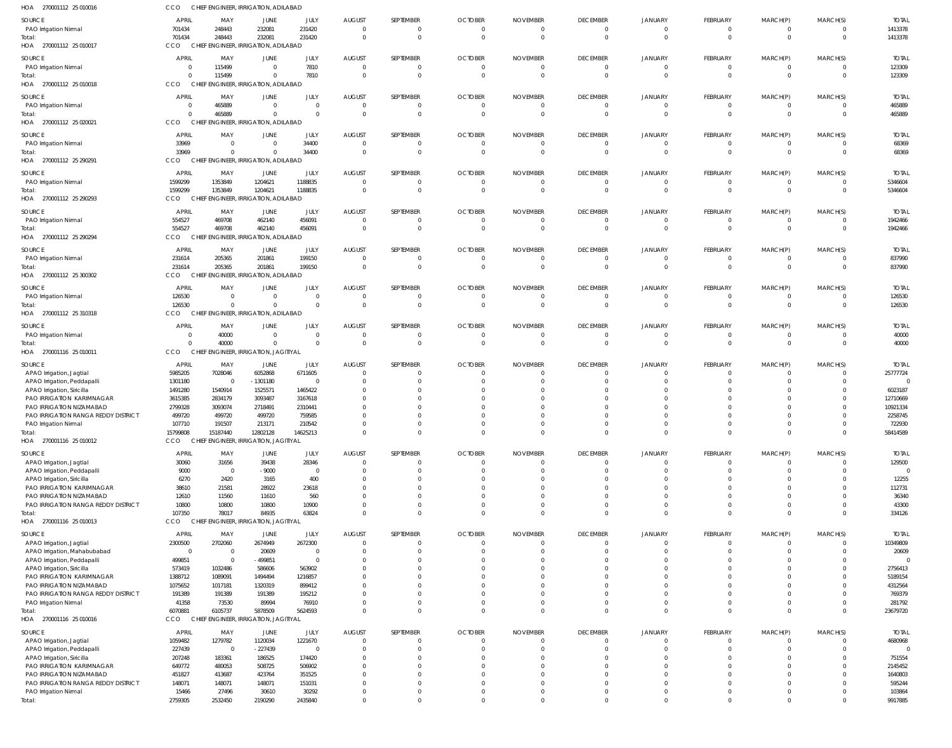| HOA 270001112 25 010016                                         | <b>CCO</b>                       | CHIEF ENGINEER, IRRIGATION, ADILABAD             |                                  |                      |                                  |                      |                                  |                                  |                                   |                                  |                             |                         |                                  |                       |
|-----------------------------------------------------------------|----------------------------------|--------------------------------------------------|----------------------------------|----------------------|----------------------------------|----------------------|----------------------------------|----------------------------------|-----------------------------------|----------------------------------|-----------------------------|-------------------------|----------------------------------|-----------------------|
| SOURCE                                                          | APRIL                            | MAY                                              | JUNE                             | JULY                 | <b>AUGUST</b>                    | SEPTEMBER            | <b>OCTOBER</b>                   | <b>NOVEMBER</b>                  | <b>DECEMBER</b>                   | JANUARY                          | FEBRUARY                    | MARCH(P)                | MARCH(S)                         | <b>TOTAL</b>          |
| PAO Irrigation Nirmal                                           | 701434                           | 248443                                           | 232081                           | 231420               | $\overline{0}$                   | 0                    | $\overline{0}$                   | $\overline{0}$                   | $\overline{0}$                    | $\overline{0}$                   | 0                           | 0                       | $\overline{0}$                   | 1413378               |
| Total:                                                          | 701434                           | 248443                                           | 232081                           | 231420               | $\overline{0}$                   | $\mathbf 0$          | $\overline{0}$                   | $\overline{0}$                   | $\overline{0}$                    | $\overline{0}$                   | $\mathbf 0$                 | $\mathbf{0}$            | $\overline{0}$                   | 1413378               |
| HOA 270001112 25 010017                                         | <b>CCO</b>                       | CHIEF ENGINEER, IRRIGATION, ADILABAD             |                                  |                      |                                  |                      |                                  |                                  |                                   |                                  |                             |                         |                                  |                       |
| SOURCE                                                          | <b>APRIL</b>                     | MAY                                              | JUNE                             | JULY                 | <b>AUGUST</b>                    | SEPTEMBER            | <b>OCTOBER</b>                   | <b>NOVEMBER</b>                  | <b>DECEMBER</b>                   | JANUARY                          | FEBRUARY                    | MARCH(P)                | MARCH(S)                         | <b>TOTAL</b>          |
| PAO Irrigation Nirmal                                           | $\overline{0}$                   | 115499                                           | $\overline{0}$                   | 7810                 | $\overline{0}$                   | 0                    | $\overline{0}$                   | $\overline{0}$                   | $\overline{0}$                    | $\overline{0}$                   | $\mathbf{0}$                | $\mathbf 0$             | $\overline{0}$                   | 123309                |
| Total:                                                          | $\Omega$                         | 115499                                           | $\mathbf 0$                      | 7810                 | $\Omega$                         | $\mathbf{0}$         | $\Omega$                         | $\circ$                          | $\overline{0}$                    | $\overline{0}$                   | $\mathbf 0$                 | $\mathbf 0$             | $\overline{0}$                   | 123309                |
| HOA 270001112 25 010018                                         | CCO                              | CHIEF ENGINEER, IRRIGATION, ADILABAD             |                                  |                      |                                  |                      |                                  |                                  |                                   |                                  |                             |                         |                                  |                       |
| SOURCE                                                          | <b>APRIL</b>                     | MAY                                              | JUNE                             | JULY                 | <b>AUGUST</b>                    | SEPTEMBER            | <b>OCTOBER</b>                   | <b>NOVEMBER</b>                  | <b>DECEMBER</b>                   | <b>JANUARY</b>                   | FEBRUARY                    | MARCH(P)                | MARCH(S)                         | <b>TOTAL</b>          |
| PAO Irrigation Nirmal                                           | $\overline{0}$<br>$\overline{0}$ | 465889<br>465889                                 | $\overline{0}$<br>$\overline{0}$ | $\Omega$<br>$\Omega$ | $\overline{0}$<br>$\overline{0}$ | 0<br>$\mathbf 0$     | $\overline{0}$<br>$\overline{0}$ | $\overline{0}$<br>$\overline{0}$ | $\overline{0}$<br>$\overline{0}$  | $\overline{0}$<br>$\overline{0}$ | 0<br>$\mathbf 0$            | 0<br>$\mathbf 0$        | $\overline{0}$<br>$\overline{0}$ | 465889<br>465889      |
| Total:<br>HOA 270001112 25 020021                               | CCO                              | CHIEF ENGINEER, IRRIGATION, ADILABAD             |                                  |                      |                                  |                      |                                  |                                  |                                   |                                  |                             |                         |                                  |                       |
|                                                                 |                                  |                                                  |                                  |                      |                                  |                      |                                  |                                  |                                   |                                  |                             |                         |                                  |                       |
| SOURCE                                                          | <b>APRIL</b><br>33969            | MAY<br>$\overline{0}$                            | JUNE<br>$\overline{0}$           | JULY<br>34400        | <b>AUGUST</b><br>$\overline{0}$  | SEPTEMBER<br>0       | <b>OCTOBER</b><br>- 0            | <b>NOVEMBER</b><br>-0            | <b>DECEMBER</b><br>$\overline{0}$ | <b>JANUARY</b><br>$\overline{0}$ | FEBRUARY<br>0               | MARCH(P)<br>0           | MARCH(S)<br>$\overline{0}$       | <b>TOTAL</b><br>68369 |
| PAO Irrigation Nirmal<br>Total:                                 | 33969                            | $\overline{0}$                                   | $\overline{0}$                   | 34400                | $\overline{0}$                   | $\mathbf 0$          | $\overline{0}$                   | $\overline{0}$                   | $\overline{0}$                    | $\overline{0}$                   | $\mathbf 0$                 | $\mathbf 0$             | $\overline{0}$                   | 68369                 |
| HOA 270001112 25 290291                                         | <b>CCO</b>                       | CHIEF ENGINEER, IRRIGATION, ADILABAD             |                                  |                      |                                  |                      |                                  |                                  |                                   |                                  |                             |                         |                                  |                       |
| SOURCE                                                          | APRIL                            | MAY                                              | JUNE                             | JULY                 | <b>AUGUST</b>                    | SEPTEMBER            | <b>OCTOBER</b>                   | <b>NOVEMBER</b>                  | <b>DECEMBER</b>                   | <b>JANUARY</b>                   | FEBRUARY                    | MARCH(P)                | MARCH(S)                         | <b>TOTAL</b>          |
| PAO Irrigation Nirmal                                           | 1599299                          | 1353849                                          | 1204621                          | 1188835              | $\overline{0}$                   | 0                    | $\overline{0}$                   | $\overline{0}$                   | $\overline{0}$                    | $\overline{0}$                   | $\mathbf{0}$                | $^{\circ}$              | $\overline{0}$                   | 5346604               |
| Total:                                                          | 1599299                          | 1353849                                          | 1204621                          | 1188835              | $\Omega$                         | $\mathbf 0$          | $\Omega$                         | $\overline{0}$                   | $\overline{0}$                    | $\Omega$                         | $\mathbf 0$                 | $\mathbf 0$             | $\overline{0}$                   | 5346604               |
| HOA 270001112 25 290293                                         | <b>CCO</b>                       | CHIEF ENGINEER, IRRIGATION, ADILABAD             |                                  |                      |                                  |                      |                                  |                                  |                                   |                                  |                             |                         |                                  |                       |
| SOURCE                                                          | <b>APRIL</b>                     | MAY                                              | JUNE                             | JULY                 | <b>AUGUST</b>                    | SEPTEMBER            | <b>OCTOBER</b>                   | <b>NOVEMBER</b>                  | <b>DECEMBER</b>                   | <b>JANUARY</b>                   | FEBRUARY                    | MARCH(P)                | MARCH(S)                         | <b>TOTAL</b>          |
| PAO Irrigation Nirmal                                           | 554527                           | 469708                                           | 462140                           | 456091               | $\overline{0}$                   | 0                    | $\overline{0}$                   | $\overline{0}$                   | $\overline{0}$                    | $\overline{0}$                   | $\mathbf{0}$                | $\mathbf{0}$            | $\overline{0}$                   | 1942466               |
| Total:                                                          | 554527                           | 469708                                           | 462140                           | 456091               | $\overline{0}$                   | $\mathbf 0$          | $\overline{0}$                   | $\overline{0}$                   | $\overline{0}$                    | $\overline{0}$                   | $\mathbf 0$                 | $\mathbf 0$             | $\overline{0}$                   | 1942466               |
| HOA 270001112 25 290294                                         | <b>CCO</b>                       | CHIEF ENGINEER, IRRIGATION, ADILABAD             |                                  |                      |                                  |                      |                                  |                                  |                                   |                                  |                             |                         |                                  |                       |
| SOURCE                                                          | APRIL                            | MAY                                              | JUNE                             | JULY                 | <b>AUGUST</b>                    | SEPTEMBER            | <b>OCTOBER</b>                   | <b>NOVEMBER</b>                  | <b>DECEMBER</b>                   | JANUARY                          | FEBRUARY                    | MARCH(P)                | MARCH(S)                         | <b>TOTAL</b>          |
| PAO Irrigation Nirmal                                           | 231614                           | 205365                                           | 201861                           | 199150               | - 0                              | 0                    | $\overline{0}$                   | $\overline{0}$                   | $\overline{0}$                    | $\overline{0}$                   | 0                           | 0                       | $\overline{0}$                   | 837990                |
| Total:                                                          | 231614                           | 205365                                           | 201861                           | 199150               | $\Omega$                         | $\Omega$             | $\overline{0}$                   | $\overline{0}$                   | $\overline{0}$                    | $\Omega$                         | $\mathbf 0$                 | $\mathbf 0$             | $\overline{0}$                   | 837990                |
| HOA 270001112 25 300302                                         | CCO                              | CHIEF ENGINEER, IRRIGATION, ADILABAD             |                                  |                      |                                  |                      |                                  |                                  |                                   |                                  |                             |                         |                                  |                       |
| SOURCE                                                          | APRIL                            | MAY                                              | JUNE                             | JULY                 | <b>AUGUST</b>                    | SEPTEMBER            | <b>OCTOBER</b>                   | <b>NOVEMBER</b>                  | <b>DECEMBER</b>                   | <b>JANUARY</b>                   | FEBRUARY                    | MARCH(P)                | MARCH(S)                         | <b>TOTAL</b>          |
| PAO Irrigation Nirmal                                           | 126530<br>126530                 | $\overline{0}$<br>$\overline{0}$                 | $\overline{0}$<br>$\mathbf 0$    | $\Omega$<br>$\Omega$ | $\overline{0}$<br>$\overline{0}$ | $\mathbf 0$          | - 0<br>$\overline{0}$            | -0<br>$\overline{0}$             | $\overline{0}$<br>$\overline{0}$  | $\overline{0}$<br>$\overline{0}$ | $\mathbf{0}$<br>$\mathbf 0$ | 0<br>$\mathbf 0$        | $\overline{0}$<br>$\overline{0}$ | 126530                |
| Total:<br>HOA 270001112 25 310318                               | CCO                              | CHIEF ENGINEER, IRRIGATION, ADILABAD             |                                  |                      |                                  |                      |                                  |                                  |                                   |                                  |                             |                         |                                  | 126530                |
|                                                                 |                                  |                                                  |                                  |                      |                                  |                      |                                  |                                  |                                   |                                  |                             |                         |                                  |                       |
| SOURCE<br>PAO Irrigation Nirmal                                 | APRIL<br>$\overline{0}$          | MAY<br>40000                                     | JUNE<br>$\overline{0}$           | JULY<br>$\Omega$     | <b>AUGUST</b><br>$\overline{0}$  | SEPTEMBER<br>0       | <b>OCTOBER</b><br>$\overline{0}$ | <b>NOVEMBER</b><br>- 0           | <b>DECEMBER</b><br>$\overline{0}$ | JANUARY<br>$\overline{0}$        | FEBRUARY<br>0               | MARCH(P)<br>$^{\circ}$  | MARCH(S)<br>$\overline{0}$       | <b>TOTAL</b><br>40000 |
| Total:                                                          | $\Omega$                         | 40000                                            | $\mathbf 0$                      | $\Omega$             | $\overline{0}$                   | $\mathbf 0$          | $\overline{0}$                   | $\overline{0}$                   | $\overline{0}$                    | $\overline{0}$                   | $\mathbf{0}$                | $\mathbf 0$             | $\overline{0}$                   | 40000                 |
| HOA 270001116 25 010011                                         | <b>CCO</b>                       | CHIEF ENGINEER, IRRIGATION, JAGITIYAL            |                                  |                      |                                  |                      |                                  |                                  |                                   |                                  |                             |                         |                                  |                       |
| SOURCE                                                          | <b>APRIL</b>                     | MAY                                              | JUNE                             | JULY                 | <b>AUGUST</b>                    | SEPTEMBER            | <b>OCTOBER</b>                   | <b>NOVEMBER</b>                  | <b>DECEMBER</b>                   | JANUARY                          | FEBRUARY                    | MARCH(P)                | MARCH(S)                         | <b>TOTAL</b>          |
| APAO Irrigation, Jagtial                                        | 5985205                          | 7028046                                          | 6052868                          | 6711605              | $\overline{0}$                   |                      | $\circ$                          | $\overline{0}$                   | $\overline{0}$                    | $\overline{0}$                   | $\mathbf{0}$                | 0                       | $\overline{0}$                   | 25777724              |
| APAO Irrigation, Peddapalli                                     | 1301180                          | $\overline{0}$                                   | $-1301180$                       | $\Omega$             | -0                               |                      | -0                               | -0                               | $\Omega$                          | $\Omega$                         | 0                           | $\Omega$                | $\Omega$                         | $\Omega$              |
| APAO Irrigation, Siricilla                                      | 1491280                          | 1540914                                          | 1525571                          | 1465422              | -0                               |                      |                                  | -0                               | $\Omega$                          | $\Omega$                         | $\Omega$                    | $\Omega$                | $\Omega$                         | 6023187               |
| PAO IRRIGATION KARIMNAGAR                                       | 3615385                          | 2834179                                          | 3093487                          | 3167618              | -0                               |                      |                                  | -0                               |                                   |                                  | $\Omega$                    | $\Omega$                | $\Omega$                         | 12710669              |
| PAO IRRIGATION NIZAMABAD<br>PAO IRRIGATION RANGA REDDY DISTRICT | 2799328<br>499720                | 3093074<br>499720                                | 2718491<br>499720                | 2310441<br>759585    | -0<br>- 0                        |                      |                                  | -0<br>-0                         | $\Omega$                          | $\Omega$<br>$\Omega$             | $\Omega$<br>$\Omega$        | $\Omega$<br>$\Omega$    | $\Omega$                         | 10921334<br>2258745   |
| PAO Irrigation Nirmal                                           | 107710                           | 191507                                           | 213171                           | 210542               | $\Omega$                         | <sup>0</sup>         | - 0                              | $\Omega$                         | $\Omega$                          | $\Omega$                         | $\Omega$                    | $\Omega$                | $\Omega$                         | 722930                |
| Total:                                                          | 15799808                         | 15187440                                         | 12802128                         | 14625213             | $\Omega$                         |                      |                                  | $\Omega$                         | $\overline{0}$                    | $\overline{0}$                   | $\mathbf 0$                 | $\mathbf 0$             | $\mathbf{0}$                     | 58414589              |
| HOA 270001116 25 010012                                         | <b>CCO</b>                       | CHIEF ENGINEER, IRRIGATION, JAGITIYAL            |                                  |                      |                                  |                      |                                  |                                  |                                   |                                  |                             |                         |                                  |                       |
| SOURCE                                                          | <b>APRIL</b>                     | MAY                                              | JUNE                             | JULY                 | <b>AUGUST</b>                    | SEPTEMBER            | <b>OCTOBER</b>                   | <b>NOVEMBER</b>                  | <b>DECEMBER</b>                   | <b>JANUARY</b>                   | FEBRUARY                    | MARCH(P)                | MARCH(S)                         | <b>TOTAL</b>          |
| APAO Irrigation, Jagtial                                        | 30060                            | 31656                                            | 39438                            | 28346                | $\overline{0}$                   |                      | $\overline{0}$                   | $\overline{0}$                   | $\overline{0}$                    | $\overline{0}$                   | 0                           | $\Omega$                | $\overline{0}$                   | 129500                |
| APAO Irrigation, Peddapalli                                     | 9000                             | $\overline{0}$                                   | $-9000$                          | $\overline{0}$       | $^{\circ}$                       |                      | $\overline{0}$                   | $^{\circ}$                       | $\overline{0}$                    | $\Omega$                         | $\mathbf 0$                 | $\mathbf 0$             | $\Omega$                         | $\Omega$              |
| APAO Irrigation, Siricilla                                      | 6270                             | 2420                                             | 3165                             | 400                  | $^{\circ}$<br>$\Omega$           |                      | $\Omega$<br>$\Omega$             | $\Omega$                         | $\Omega$<br>$\Omega$              | $\Omega$<br>$\Omega$             | $\Omega$<br>$\Omega$        | $\Omega$<br>$\Omega$    | $\Omega$<br>$\Omega$             | 12255                 |
| PAO IRRIGATION KARIMNAGAR<br>PAO IRRIGATION NIZAMABAD           | 38610<br>12610                   | 21581<br>11560                                   | 28922<br>11610                   | 23618<br>560         | $\Omega$                         |                      | $\Omega$                         | $\Omega$<br>$\Omega$             | $\Omega$                          | $\Omega$                         | $\Omega$                    | $\Omega$                | $\Omega$                         | 112731<br>36340       |
| PAO IRRIGATION RANGA REDDY DISTRICT                             | 10800                            | 10800                                            | 10800                            | 10900                | $\Omega$                         |                      | $\overline{0}$                   | $\mathbf 0$                      | $\Omega$                          | $\Omega$                         | $\mathbf 0$                 | $\mathbf 0$             | $\Omega$                         | 43300                 |
| Total:                                                          | 107350                           | 78017                                            | 84935                            | 63824                | $\Omega$                         |                      | $\Omega$                         | $\Omega$                         | $\Omega$                          | $\Omega$                         | $\Omega$                    | $\Omega$                | $\Omega$                         | 334126                |
| HOA 270001116 25 010013                                         | <b>CCO</b>                       | CHIEF ENGINEER, IRRIGATION, JAGITIYAL            |                                  |                      |                                  |                      |                                  |                                  |                                   |                                  |                             |                         |                                  |                       |
| SOURCE                                                          | APRIL                            | MAY                                              | JUNE                             | JULY                 | <b>AUGUST</b>                    | SEPTEMBER            | <b>OCTOBER</b>                   | <b>NOVEMBER</b>                  | <b>DECEMBER</b>                   | <b>JANUARY</b>                   | FEBRUARY                    | MARCH(P)                | MARCH(S)                         | <b>TOTAL</b>          |
| APAO Irrigation, Jagtial                                        | 2300500                          | 2702060                                          | 2674949                          | 2672300              | $\overline{0}$                   | 0                    | $\circ$                          | $\overline{0}$                   | $\overline{0}$                    | $\overline{0}$                   | $\mathbf{0}$                | $\mathbf{0}$            | $\overline{0}$                   | 10349809              |
| APAO Irrigation, Mahabubabad                                    | $\overline{0}$                   | $\overline{0}$                                   | 20609                            | $\Omega$             | -0                               | $\Omega$             | - 0                              | -0                               | $\Omega$                          | $\Omega$                         | $\mathbf{0}$                | $\mathbf{0}$            | $\Omega$                         | 20609                 |
| APAO Irrigation, Peddapalli<br>APAO Irrigation, Siricilla       | 499851<br>573419                 | $\overline{0}$<br>1032486                        | $-499851$<br>586606              | $\Omega$<br>563902   | $\mathbf 0$<br>$\Omega$          |                      | $\Omega$<br>$\Omega$             | $\Omega$<br>$\Omega$             | $\Omega$<br>$\Omega$              | $\Omega$<br>$\Omega$             | $\Omega$<br>$\Omega$        | $\Omega$<br>$\Omega$    | $\Omega$<br>$\Omega$             | $\Omega$<br>2756413   |
| PAO IRRIGATION KARIMNAGAR                                       | 1388712                          | 1089091                                          | 1494494                          | 1216857              | $\Omega$                         |                      | $\Omega$                         | $\Omega$                         | $\Omega$                          | $\Omega$                         | $\Omega$                    | $\Omega$                | $\Omega$                         | 5189154               |
| PAO IRRIGATION NIZAMABAD                                        | 1075652                          | 1017181                                          | 1320319                          | 899412               | $\Omega$                         |                      | $\Omega$                         | $\Omega$                         | $\Omega$                          | $\Omega$                         | $\Omega$                    | $\Omega$                | $\Omega$                         | 4312564               |
| PAO IRRIGATION RANGA REDDY DISTRICT                             | 191389                           | 191389                                           | 191389                           | 195212               | $\Omega$                         |                      | $\Omega$                         | $\Omega$                         | $\Omega$                          | $\Omega$                         | $\Omega$                    | $\mathbf 0$             | $\Omega$                         | 769379                |
| PAO Irrigation Nirmal                                           | 41358                            | 73530                                            | 89994                            | 76910                | $\Omega$                         |                      | $\Omega$                         | $\Omega$                         | $\Omega$                          | $\Omega$                         | $\mathbf 0$                 | $\mathbf 0$             | $\Omega$                         | 281792                |
| Total:<br>HOA 270001116 25 010016                               | 6070881<br>CCO                   | 6105737<br>CHIEF ENGINEER, IRRIGATION, JAGITIYAL | 5878509                          | 5624593              | $\Omega$                         | $\Omega$             | $\Omega$                         | $\Omega$                         | $\Omega$                          | $\Omega$                         | $\mathbf 0$                 | $\mathbf 0$             | $\Omega$                         | 23679720              |
|                                                                 |                                  |                                                  |                                  |                      |                                  |                      |                                  |                                  |                                   |                                  |                             |                         |                                  |                       |
| SOURCE                                                          | APRIL                            | MAY                                              | JUNE                             | JULY                 | <b>AUGUST</b>                    | SEPTEMBER            | <b>OCTOBER</b>                   | <b>NOVEMBER</b>                  | <b>DECEMBER</b>                   | <b>JANUARY</b>                   | FEBRUARY                    | MARCH(P)                | MARCH(S)                         | <b>TOTAL</b>          |
| APAO Irrigation, Jagtial<br>APAO Irrigation, Peddapalli         | 1059482<br>227439                | 1279782<br>- 0                                   | 1120034<br>$-227439$             | 1221670<br>$\Omega$  | $\overline{0}$<br>$\overline{0}$ | 0                    | $\overline{0}$<br>$\Omega$       | $\mathbf 0$<br>-0                | $\overline{0}$<br>$\overline{0}$  | $\Omega$<br>$\Omega$             | $\mathbf{0}$<br>$\mathbf 0$ | 0<br>$\Omega$           | $\overline{0}$<br>$\Omega$       | 4680968<br>$\Omega$   |
| APAO Irrigation, Siricilla                                      | 207248                           | 183361                                           | 186525                           | 174420               | $\mathbf 0$                      |                      | $\overline{0}$                   | -0                               | $\Omega$                          | $\Omega$                         | $\Omega$                    | $\Omega$                | $\Omega$                         | 751554                |
| PAO IRRIGATION KARIMNAGAR                                       | 649772                           | 480053                                           | 508725                           | 506902               | $\Omega$                         |                      | $\Omega$                         | $\Omega$                         | $\Omega$                          | $\Omega$                         | $\Omega$                    | $\Omega$                | $\Omega$                         | 2145452               |
| PAO IRRIGATION NIZAMABAD                                        | 451827                           | 413687                                           | 423764                           | 351525               | $\Omega$                         |                      | $\Omega$                         | $\Omega$                         | $\Omega$                          | $\Omega$                         | $\Omega$                    | $\Omega$                | $\Omega$                         | 1640803               |
| PAO IRRIGATION RANGA REDDY DISTRICT                             | 148071                           | 148071                                           | 148071                           | 151031               | $\Omega$                         |                      | $\Omega$                         | $\Omega$                         | $\Omega$                          | $\Omega$                         | $\Omega$                    | $\Omega$                | $\Omega$                         | 595244                |
| PAO Irrigation Nirmal<br>Total:                                 | 15466<br>2759305                 | 27496<br>2532450                                 | 30610<br>2190290                 | 30292<br>2435840     | $\mathbf 0$<br>$\Omega$          | $\Omega$<br>$\Omega$ | $\overline{0}$<br>$\Omega$       | $\mathbf 0$<br>$\Omega$          | $\Omega$<br>$\Omega$              | $\overline{0}$<br>$\overline{0}$ | $\mathbf 0$<br>$\Omega$     | $\mathbf 0$<br>$\Omega$ | $\Omega$<br>$\Omega$             | 103864<br>9917885     |
|                                                                 |                                  |                                                  |                                  |                      |                                  |                      |                                  |                                  |                                   |                                  |                             |                         |                                  |                       |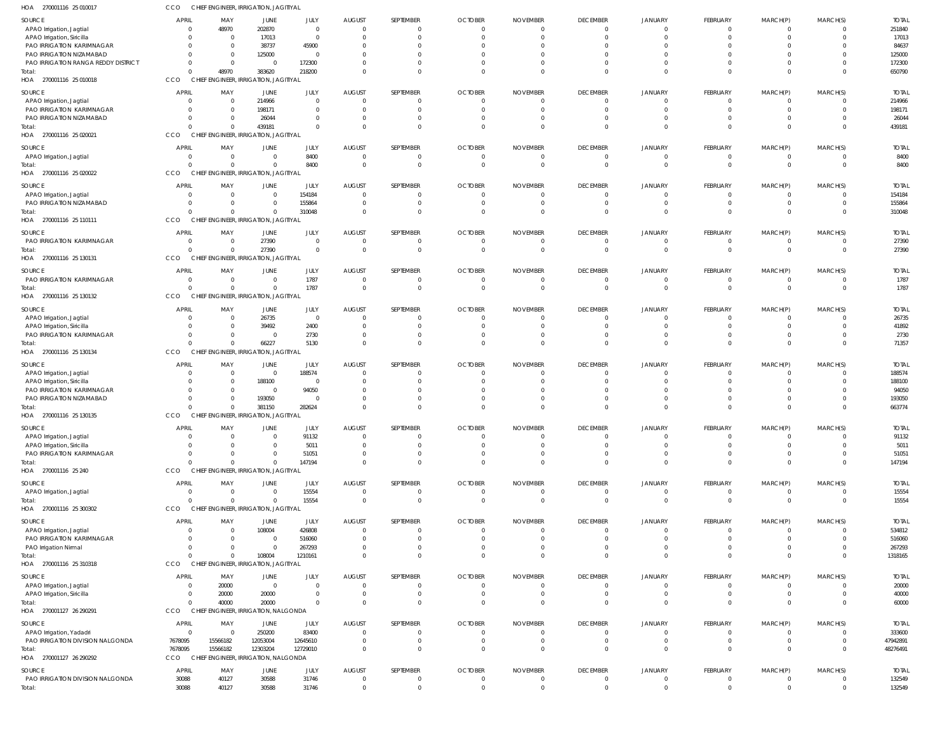| HOA<br>270001116 25 010017                                      | CCO                  |                            | CHIEF ENGINEER, IRRIGATION, JAGITIYAL                |                          |                                  |                                  |                               |                                 |                        |                            |                                   |                                           |                                  |                        |
|-----------------------------------------------------------------|----------------------|----------------------------|------------------------------------------------------|--------------------------|----------------------------------|----------------------------------|-------------------------------|---------------------------------|------------------------|----------------------------|-----------------------------------|-------------------------------------------|----------------------------------|------------------------|
| SOURCE                                                          | APRIL                | MAY                        | <b>JUNE</b>                                          | JULY                     | <b>AUGUST</b>                    | SEPTEMBER                        | <b>OCTOBER</b>                | <b>NOVEMBER</b>                 | <b>DECEMBER</b>        | <b>JANUARY</b>             | <b>FEBRUARY</b>                   | MARCH(P)                                  | MARCH(S)                         | <b>TOTAL</b>           |
| APAO Irrigation, Jagtial                                        |                      | 48970                      | 202870                                               | $\Omega$                 | $\overline{0}$                   | $\Omega$                         | $\mathbf 0$                   | $\Omega$                        | - 0                    | $\mathbf{0}$               | $\overline{0}$                    | $\overline{\mathbf{0}}$                   | $\overline{0}$                   | 251840                 |
| APAO Irrigation, Siricilla                                      |                      | $\mathbf{0}$               | 17013                                                | $\mathbf 0$              | $\overline{0}$                   | $\Omega$                         | $\Omega$                      | $\Omega$                        | $\Omega$               | $\Omega$                   | $\overline{0}$                    | $\overline{0}$                            | $\mathbf{0}$                     | 17013                  |
| PAO IRRIGATION KARIMNAGAR                                       |                      | $\Omega$                   | 38737                                                | 45900                    | $\Omega$                         |                                  | n                             |                                 |                        |                            | $\Omega$                          | $\Omega$                                  | 0                                | 84637                  |
| PAO IRRIGATION NIZAMABAD<br>PAO IRRIGATION RANGA REDDY DISTRICT | $\Omega$             | $\Omega$<br>$\mathbf 0$    | 125000<br>$\overline{0}$                             | - 0<br>172300            | $\Omega$<br>$\Omega$             | $\Omega$<br>$\Omega$             | $\Omega$<br>$\Omega$          | $\Omega$<br>$\Omega$            |                        | $\Omega$<br>$\Omega$       | $\Omega$<br>$\Omega$              | $\Omega$<br>$\Omega$                      | $\Omega$<br>0                    | 125000<br>172300       |
| Total:                                                          | $\Omega$             | 48970                      | 383620                                               | 218200                   | $\Omega$                         | $\Omega$                         | $\Omega$                      | $\Omega$                        | $\Omega$               | $\Omega$                   | $\Omega$                          | $\Omega$                                  | $\Omega$                         | 650790                 |
| HOA 270001116 25 010018                                         | CCO                  |                            | CHIEF ENGINEER, IRRIGATION, JAGITIYAL                |                          |                                  |                                  |                               |                                 |                        |                            |                                   |                                           |                                  |                        |
|                                                                 |                      |                            |                                                      |                          |                                  |                                  |                               |                                 |                        |                            |                                   |                                           |                                  |                        |
| SOURCE<br>APAO Irrigation, Jagtial                              | <b>APRIL</b>         | MAY<br>0                   | <b>JUNE</b><br>214966                                | JULY<br>$\Omega$         | <b>AUGUST</b><br>$\overline{0}$  | SEPTEMBER<br>$\Omega$            | <b>OCTOBER</b><br>$\mathbf 0$ | <b>NOVEMBER</b><br>$\mathbf{0}$ | <b>DECEMBER</b><br>- 0 | <b>JANUARY</b><br>$\Omega$ | <b>FEBRUARY</b><br>$\overline{0}$ | MARCH(P)<br>$\overline{0}$                | MARCH(S)<br>$\overline{0}$       | <b>TOTAL</b><br>214966 |
| PAO IRRIGATION KARIMNAGAR                                       |                      | $\Omega$                   | 198171                                               | $\Omega$                 | $\overline{0}$                   | $\Omega$                         | $\Omega$                      | $\Omega$                        |                        |                            | $\overline{0}$                    | $\Omega$                                  | $\mathbf{0}$                     | 198171                 |
| PAO IRRIGATION NIZAMABAD                                        |                      |                            | 26044                                                | $\Omega$                 | $\Omega$                         | $\Omega$                         | $\Omega$                      | $\Omega$                        |                        |                            | $\overline{0}$                    | $\Omega$                                  | $\mathbf{0}$                     | 26044                  |
| Total:                                                          |                      | 0                          | 439181                                               | $\Omega$                 | $\Omega$                         | $\Omega$                         | $\Omega$                      | $\Omega$                        |                        | $\Omega$                   | $\Omega$                          | $\Omega$                                  | $\Omega$                         | 439181                 |
| HOA 270001116 25 020021                                         | CCO                  |                            | CHIEF ENGINEER, IRRIGATION, JAGITIYAL                |                          |                                  |                                  |                               |                                 |                        |                            |                                   |                                           |                                  |                        |
| SOURCE                                                          | <b>APRIL</b>         | MAY                        | JUNE                                                 | JULY                     | <b>AUGUST</b>                    | SEPTEMBER                        | <b>OCTOBER</b>                | <b>NOVEMBER</b>                 | <b>DECEMBER</b>        | <b>JANUARY</b>             | FEBRUARY                          | MARCH(P)                                  | MARCH(S)                         | <b>TOTAL</b>           |
| APAO Irrigation, Jagtial                                        |                      | $\mathbf 0$                | $\mathbf 0$                                          | 8400                     | $\overline{0}$                   | $\Omega$                         | 0                             | 0                               | -0                     | -0                         | $\overline{\mathbf{0}}$           | $\overline{0}$                            | $\overline{0}$                   | 8400                   |
| Total:                                                          |                      | $\Omega$                   | $\mathbf 0$                                          | 8400                     | $\overline{0}$                   | $\Omega$                         | $\Omega$                      | $\Omega$                        | $\Omega$               | $\Omega$                   | $\Omega$                          | $\Omega$                                  | $\overline{0}$                   | 8400                   |
| HOA 270001116 25 020022                                         | CCO                  |                            | CHIEF ENGINEER, IRRIGATION, JAGITIYAL                |                          |                                  |                                  |                               |                                 |                        |                            |                                   |                                           |                                  |                        |
| SOURCE                                                          | <b>APRIL</b>         | MAY                        | JUNE                                                 | JULY                     | <b>AUGUST</b>                    | SEPTEMBER                        | <b>OCTOBER</b>                | <b>NOVEMBER</b>                 | <b>DECEMBER</b>        | <b>JANUARY</b>             | <b>FEBRUARY</b>                   | MARCH(P)                                  | MARCH(S)                         | <b>TOTAL</b>           |
| APAO Irrigation, Jagtial                                        |                      | 0                          | $\mathbf 0$                                          | 154184                   | $\overline{0}$                   | $\Omega$                         | $\mathbf 0$                   | $\overline{0}$                  |                        | -0                         | $\overline{0}$                    | $\overline{0}$                            | $\mathbf{0}$                     | 154184                 |
| PAO IRRIGATION NIZAMABAD                                        |                      | $\Omega$                   | $\mathbf{0}$                                         | 155864                   | $\overline{0}$                   | $\overline{0}$                   | $\mathbf 0$                   | $\overline{0}$                  |                        | -0                         | $\overline{0}$                    | $\overline{0}$                            | $\overline{0}$                   | 155864                 |
| Total:<br>HOA<br>270001116 25 110111                            | CCO                  |                            | $\mathbf 0$<br>CHIEF ENGINEER, IRRIGATION, JAGITIYAL | 310048                   | $\Omega$                         | $\Omega$                         | $\Omega$                      | $\Omega$                        |                        | $\Omega$                   | $\Omega$                          | $\overline{0}$                            | $\Omega$                         | 310048                 |
|                                                                 |                      |                            |                                                      |                          |                                  |                                  |                               |                                 |                        |                            |                                   |                                           |                                  |                        |
| SOURCE                                                          | APRIL                | MAY                        | JUNE                                                 | JULY                     | <b>AUGUST</b>                    | SEPTEMBER                        | <b>OCTOBER</b>                | <b>NOVEMBER</b>                 | <b>DECEMBER</b>        | <b>JANUARY</b>             | FEBRUARY                          | MARCH(P)                                  | MARCH(S)                         | <b>TOTAL</b>           |
| PAO IRRIGATION KARIMNAGAR                                       | $\Omega$<br>$\Omega$ | $\overline{0}$<br>$\Omega$ | 27390<br>27390                                       | $\Omega$<br>$\mathbf{0}$ | $\overline{0}$<br>$\overline{0}$ | $\Omega$<br>$\Omega$             | $\mathbf 0$<br>$\mathbf 0$    | $\overline{0}$<br>$\mathbf{0}$  | - 0<br>$\Omega$        | -0<br>$\Omega$             | $\overline{0}$<br>$\overline{0}$  | $\overline{\mathbf{0}}$<br>$\overline{0}$ | $\mathbf{0}$<br>$\overline{0}$   | 27390<br>27390         |
| Total:<br>HOA 270001116 25 130131                               | CCO                  |                            | CHIEF ENGINEER, IRRIGATION, JAGITIYAL                |                          |                                  |                                  |                               |                                 |                        |                            |                                   |                                           |                                  |                        |
|                                                                 |                      |                            |                                                      |                          |                                  |                                  |                               |                                 |                        |                            |                                   |                                           |                                  |                        |
| SOURCE                                                          | <b>APRIL</b>         | MAY                        | JUNE                                                 | JULY                     | <b>AUGUST</b>                    | SEPTEMBER                        | <b>OCTOBER</b>                | <b>NOVEMBER</b>                 | <b>DECEMBER</b>        | <b>JANUARY</b>             | <b>FEBRUARY</b>                   | MARCH(P)                                  | MARCH(S)                         | <b>TOTAL</b>           |
| PAO IRRIGATION KARIMNAGAR<br>Total:                             |                      | 0<br>$\Omega$              | $\mathbf 0$<br>$\mathbf 0$                           | 1787<br>1787             | $\overline{0}$<br>$\overline{0}$ | $\overline{0}$<br>$\overline{0}$ | $\mathbf 0$<br>$\mathbf 0$    | 0<br>$\mathbf{0}$               | - 0<br>$\Omega$        | -0<br>$\Omega$             | $\overline{0}$<br>$\overline{0}$  | $\overline{0}$<br>$\overline{0}$          | $\overline{0}$<br>$\overline{0}$ | 1787<br>1787           |
| HOA 270001116 25 130132                                         | CCO                  |                            | CHIEF ENGINEER, IRRIGATION, JAGITIYAL                |                          |                                  |                                  |                               |                                 |                        |                            |                                   |                                           |                                  |                        |
|                                                                 |                      |                            |                                                      |                          |                                  |                                  |                               |                                 |                        |                            |                                   |                                           |                                  |                        |
| SOURCE<br>APAO Irrigation, Jagtial                              | <b>APRIL</b>         | MAY<br>0                   | JUNE<br>26735                                        | JULY<br>$\mathbf 0$      | <b>AUGUST</b><br>$\overline{0}$  | SEPTEMBER<br>- 0                 | <b>OCTOBER</b><br>$\Omega$    | <b>NOVEMBER</b><br>$\Omega$     | <b>DECEMBER</b><br>- 0 | <b>JANUARY</b><br>$\Omega$ | <b>FEBRUARY</b><br>$\Omega$       | MARCH(P)<br>$\Omega$                      | MARCH(S)<br>$\mathbf{0}$         | <b>TOTAL</b><br>26735  |
| APAO Irrigation, Siricilla                                      |                      | $\Omega$                   | 39492                                                | 2400                     | $\overline{0}$                   | $\Omega$                         | $\Omega$                      | $\Omega$                        | - 0                    | -0                         | $\Omega$                          | $\Omega$                                  | $\mathbf{0}$                     | 41892                  |
| PAO IRRIGATION KARIMNAGAR                                       | $\Omega$             | 0                          | $\overline{0}$                                       | 2730                     | $\overline{0}$                   | $\overline{0}$                   | $\Omega$                      | $\Omega$                        | - 0                    | -0                         | $\overline{0}$                    | $\overline{0}$                            | 0                                | 2730                   |
| Total:                                                          |                      | $\Omega$                   | 66227                                                | 5130                     | $\Omega$                         | $\Omega$                         | $\Omega$                      | $\Omega$                        | $\Omega$               | $\Omega$                   | $\Omega$                          | $\Omega$                                  | $\Omega$                         | 71357                  |
| HOA 270001116 25 130134                                         | CCO                  |                            | CHIEF ENGINEER, IRRIGATION, JAGITIYAL                |                          |                                  |                                  |                               |                                 |                        |                            |                                   |                                           |                                  |                        |
| SOURCE                                                          | <b>APRIL</b>         | MAY                        | JUNE                                                 | JULY                     | <b>AUGUST</b>                    | SEPTEMBER                        | <b>OCTOBER</b>                | <b>NOVEMBER</b>                 | <b>DECEMBER</b>        | <b>JANUARY</b>             | <b>FEBRUARY</b>                   | MARCH(P)                                  | MARCH(S)                         | <b>TOTAL</b>           |
| APAO Irrigation, Jagtial                                        |                      | 0                          | $\mathbf 0$                                          | 188574                   | $\overline{0}$                   | $\Omega$                         | $\mathbf 0$                   | $\overline{0}$                  |                        | - 0                        | $\overline{0}$                    | $\Omega$                                  | $\overline{0}$                   | 188574                 |
| APAO Irrigation, Siricilla                                      |                      | 0                          | 188100                                               | $\mathbf{0}$             | $\Omega$                         | $\Omega$                         | $\Omega$                      | $\Omega$                        |                        |                            | $\Omega$                          | $\Omega$                                  | $\mathbf{0}$                     | 188100                 |
| PAO IRRIGATION KARIMNAGAR                                       |                      | $\Omega$                   | $\overline{0}$                                       | 94050<br>$\Omega$        | $\Omega$<br>$\Omega$             | $\Omega$<br>$\Omega$             | $\Omega$<br>$\Omega$          | $\Omega$                        |                        |                            | $\Omega$<br>$\overline{0}$        | $\Omega$<br>$\Omega$                      | $\mathbf{0}$                     | 94050                  |
| PAO IRRIGATION NIZAMABAD<br>Total:                              |                      | 0<br>0                     | 193050<br>381150                                     | 282624                   | $\Omega$                         | $\Omega$                         | $\Omega$                      | $\Omega$                        |                        |                            | $\overline{0}$                    | $\Omega$                                  | $\mathbf{0}$<br>$\mathbf 0$      | 193050<br>663774       |
| HOA 270001116 25 130135                                         | CCO                  |                            | CHIEF ENGINEER, IRRIGATION, JAGITIYAL                |                          |                                  |                                  |                               |                                 |                        |                            |                                   |                                           |                                  |                        |
| <b>SOURCE</b>                                                   | <b>APRI</b>          | MAY                        | <b>JUNE</b>                                          | JULY                     | <b>AUGUST</b>                    | <b>SEPTEMBER</b>                 | <b>OCTOBER</b>                | <b>NOVEMBER</b>                 | <b>DECEMBER</b>        | <b>JANUARY</b>             | <b>FEBRUARY</b>                   | MARCH(P)                                  | MARCH(S)                         | <b>TOTAL</b>           |
| APAO Irrigation, Jagtial                                        |                      |                            | $\overline{0}$                                       | 91132                    | $\Omega$                         | $\Omega$                         | $\Omega$                      |                                 |                        |                            | $\overline{0}$                    | $\overline{0}$                            | $\overline{0}$                   | 91132                  |
| APAO Irrigation, Siricilla                                      | $\Omega$             | $\Omega$                   | $\overline{0}$                                       | 5011                     | $\overline{0}$                   | $\Omega$                         | $\Omega$                      | $\Omega$                        | $\Omega$               | $\Omega$                   | $\overline{0}$                    | $\Omega$                                  | $\Omega$                         | 5011                   |
| PAO IRRIGATION KARIMNAGAR                                       | $\Omega$             | $\Omega$                   | $\overline{0}$                                       | 51051                    | $\overline{0}$                   | $\overline{0}$                   | $\Omega$                      | $\mathbf{0}$                    | $\Omega$               | $\mathbf 0$                | $\overline{0}$                    | $\overline{0}$                            | $\mathbf{0}$                     | 51051                  |
| Total:                                                          |                      | $\Omega$                   | $\mathbf 0$                                          | 147194                   | $\Omega$                         | $\Omega$                         | $\Omega$                      | $\Omega$                        | $\Omega$               | $\Omega$                   | $\Omega$                          | $\Omega$                                  | $\Omega$                         | 147194                 |
| HOA 270001116 25 240                                            | CCO                  |                            | CHIEF ENGINEER, IRRIGATION, JAGITIYAL                |                          |                                  |                                  |                               |                                 |                        |                            |                                   |                                           |                                  |                        |
| SOURCE                                                          | <b>APRIL</b>         | MAY                        | <b>JUNE</b>                                          | JULY                     | <b>AUGUST</b>                    | SEPTEMBER                        | <b>OCTOBER</b>                | <b>NOVEMBER</b>                 | <b>DECEMBER</b>        | <b>JANUARY</b>             | <b>FEBRUARY</b>                   | MARCH(P)                                  | MARCH(S)                         | <b>TOTAL</b>           |
| APAO Irrigation, Jagtial                                        |                      | $\mathbf{0}$               | $\mathbf 0$                                          | 15554                    | $\overline{0}$                   | $\overline{0}$                   | $\mathbf 0$                   | $\mathbf 0$                     | $\overline{0}$         | $\overline{0}$             | $\overline{0}$                    | $\overline{0}$                            | $\overline{0}$                   | 15554                  |
| Total:                                                          |                      | $\Omega$                   | $\mathbf 0$                                          | 15554                    | $\overline{0}$                   | $\Omega$                         | $\mathbf 0$                   | $\mathbf{0}$                    | $\Omega$               | $\Omega$                   | $\overline{0}$                    | $\overline{0}$                            | $\overline{0}$                   | 15554                  |
| HOA 270001116 25 300302                                         | CCO                  |                            | CHIEF ENGINEER, IRRIGATION, JAGITIYAL                |                          |                                  |                                  |                               |                                 |                        |                            |                                   |                                           |                                  |                        |
| SOURCE                                                          | <b>APRIL</b>         | MAY                        | <b>JUNE</b>                                          | JULY                     | <b>AUGUST</b>                    | SEPTEMBER                        | <b>OCTOBER</b>                | <b>NOVEMBER</b>                 | <b>DECEMBER</b>        | <b>JANUARY</b>             | FEBRUARY                          | MARCH(P)                                  | MARCH(S)                         | <b>TOTAL</b>           |
| APAO Irrigation, Jagtial                                        | $\Omega$             | $\Omega$                   | 108004                                               | 426808                   | $\overline{0}$                   | $\Omega$                         | $\mathbf 0$                   | $\Omega$                        | - 0                    | -0                         | $\Omega$                          | $\Omega$                                  | $\mathbf{0}$                     | 534812                 |
| PAO IRRIGATION KARIMNAGAR<br>PAO Irrigation Nirmal              |                      | $\Omega$                   | $\overline{0}$<br>$\overline{0}$                     | 516060<br>267293         | $\overline{0}$<br>$\Omega$       | $\overline{0}$<br>$\Omega$       | 0<br>$\Omega$                 | $\Omega$<br>$\Omega$            | - 0<br>$\Omega$        | -0<br>$\Omega$             | $\overline{0}$<br>$\overline{0}$  | $\overline{0}$<br>$\Omega$                | $\mathbf{0}$<br>$\mathbf{0}$     | 516060<br>267293       |
| Total:                                                          | $\Omega$             | $\Omega$                   | 108004                                               | 1210161                  | $\Omega$                         | $\Omega$                         | $\Omega$                      | $\Omega$                        | $\Omega$               | $\Omega$                   | $\Omega$                          | $\Omega$                                  | $\overline{0}$                   | 1318165                |
| HOA 270001116 25 310318                                         | CCO                  |                            | CHIEF ENGINEER, IRRIGATION, JAGITIYAL                |                          |                                  |                                  |                               |                                 |                        |                            |                                   |                                           |                                  |                        |
| SOURCE                                                          | <b>APRIL</b>         | MAY                        | <b>JUNE</b>                                          | JULY                     | <b>AUGUST</b>                    | SEPTEMBER                        | <b>OCTOBER</b>                | <b>NOVEMBER</b>                 | <b>DECEMBER</b>        | <b>JANUARY</b>             | FEBRUARY                          | MARCH(P)                                  | MARCH(S)                         | <b>TOTAL</b>           |
| APAO Irrigation, Jagtial                                        |                      | 20000                      | $\overline{0}$                                       | $\Omega$                 | $\overline{0}$                   | $\Omega$                         | $\mathbf 0$                   | $\overline{0}$                  |                        | -0                         | $\overline{0}$                    | $\overline{0}$                            | $\mathbf{0}$                     | 20000                  |
| APAO Irrigation, Siricilla                                      |                      | 20000                      | 20000                                                | $\Omega$                 | $\overline{0}$                   | $\overline{0}$                   | $\mathbf 0$                   | $\mathbf 0$                     | $\Omega$               | - 0                        | $\overline{0}$                    | $\overline{0}$                            | $\overline{0}$                   | 40000                  |
| Total:                                                          |                      | 40000                      | 20000                                                | $\Omega$                 | $\Omega$                         | $\Omega$                         | $\Omega$                      | $\overline{0}$                  |                        | $\Omega$                   | $\overline{0}$                    | $\overline{0}$                            | $\overline{0}$                   | 60000                  |
| HOA 270001127 26 290291                                         | CCO                  |                            | CHIEF ENGINEER, IRRIGATION, NALGONDA                 |                          |                                  |                                  |                               |                                 |                        |                            |                                   |                                           |                                  |                        |
| SOURCE                                                          | <b>APRIL</b>         | MAY                        | JUNE                                                 | JULY                     | <b>AUGUST</b>                    | SEPTEMBER                        | <b>OCTOBER</b>                | <b>NOVEMBER</b>                 | <b>DECEMBER</b>        | <b>JANUARY</b>             | FEBRUARY                          | MARCH(P)                                  | MARCH(S)                         | <b>TOTAL</b>           |
| APAO Irrigation, Yadadri                                        | $\Omega$             | $\Omega$                   | 250200                                               | 83400                    | $\overline{0}$                   | $\Omega$                         | $\mathbf 0$                   | $\mathbf{0}$                    | - 0                    | $\Omega$                   | $\overline{0}$                    | $\Omega$                                  | $\mathbf 0$                      | 333600                 |
| PAO IRRIGATION DIVISION NALGONDA                                | 7678095              | 15566182                   | 12053004                                             | 12645610                 | $\overline{0}$                   | $\overline{0}$                   | $\mathbf 0$                   | $\overline{0}$                  | $\mathbf{0}$           | $\mathbf{0}$               | $\overline{0}$                    | $\overline{0}$                            | $\overline{0}$                   | 47942891               |
| Total:                                                          | 7678095              | 15566182                   | 12303204                                             | 12729010                 | $\Omega$                         | $\Omega$                         | $\mathbf 0$                   | $\Omega$                        | $\Omega$               | $\Omega$                   | $\Omega$                          | $\Omega$                                  | $\mathbf{0}$                     | 48276491               |
| HOA 270001127 26 290292                                         | <b>CCO</b>           |                            | CHIEF ENGINEER, IRRIGATION, NALGONDA                 |                          |                                  |                                  |                               |                                 |                        |                            |                                   |                                           |                                  |                        |
| SOURCE                                                          | <b>APRIL</b>         | MAY                        | JUNE                                                 | JULY                     | <b>AUGUST</b>                    | SEPTEMBER                        | <b>OCTOBER</b>                | <b>NOVEMBER</b>                 | <b>DECEMBER</b>        | JANUARY                    | FEBRUARY                          | MARCH(P)                                  | MARCH(S)                         | <b>TOTAL</b>           |
| PAO IRRIGATION DIVISION NALGONDA                                | 30088                | 40127                      | 30588                                                | 31746                    | $\overline{0}$                   | $\overline{0}$                   | $\mathbf 0$                   | $\mathbf 0$                     | $\mathbf{0}$           | $\circ$                    | $\overline{0}$                    | $\overline{0}$                            | $\overline{0}$                   | 132549                 |
| Total:                                                          | 30088                | 40127                      | 30588                                                | 31746                    | $\mathbf 0$                      | $\Omega$                         | $\mathbf 0$                   | $\mathbf 0$                     | $\Omega$               | $\mathbf 0$                | $\overline{0}$                    | $\overline{0}$                            | $\overline{0}$                   | 132549                 |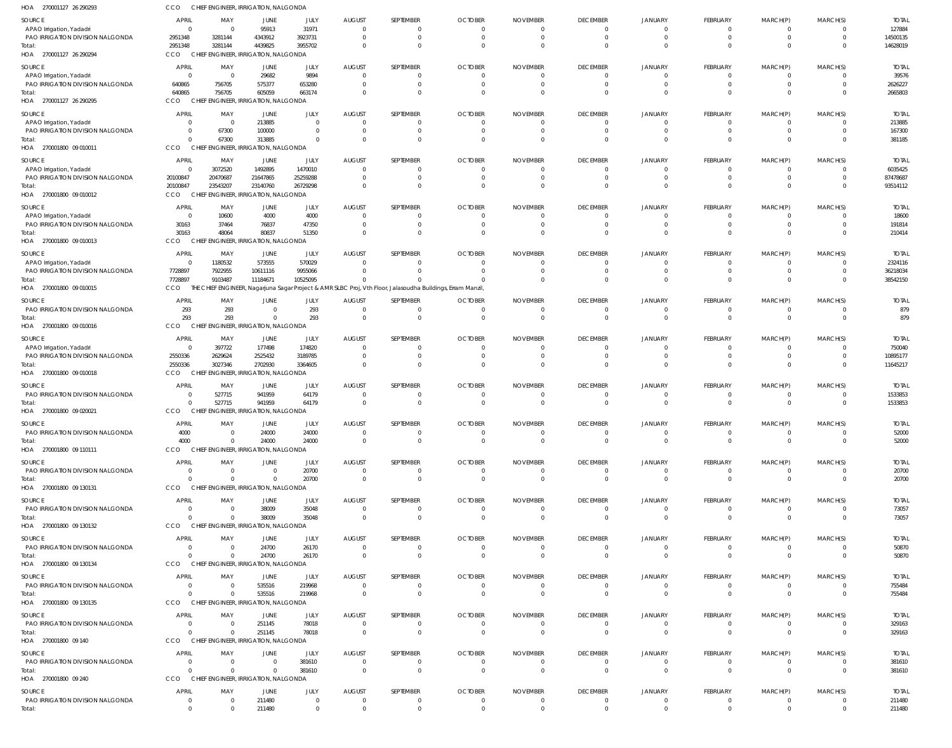| HOA<br>270001127 26 290293                                   | CCO                              | CHIEF ENGINEER, IRRIGATION, NALGONDA             |                      |                      |                                 |                                                                                                         |                                  |                                   |                                   |                                  |                                   |                                  |                            |                        |
|--------------------------------------------------------------|----------------------------------|--------------------------------------------------|----------------------|----------------------|---------------------------------|---------------------------------------------------------------------------------------------------------|----------------------------------|-----------------------------------|-----------------------------------|----------------------------------|-----------------------------------|----------------------------------|----------------------------|------------------------|
| SOURCE<br>APAO Irrigation, Yadadri                           | <b>APRIL</b><br>$\Omega$         | MAY<br>$\overline{\mathbf{0}}$                   | JUNE<br>95913        | JULY<br>31971        | <b>AUGUST</b><br>$\Omega$       | SEPTEMBER<br>0                                                                                          | <b>OCTOBER</b><br>$\overline{0}$ | <b>NOVEMBER</b><br>0              | <b>DECEMBER</b><br>$\overline{0}$ | JANUARY<br>$\overline{0}$        | <b>FEBRUARY</b><br>$\mathbf{0}$   | MARCH(P)<br>$\mathbf{0}$         | MARCH(S)<br>$\Omega$       | <b>TOTAI</b><br>127884 |
| PAO IRRIGATION DIVISION NALGONDA                             | 2951348                          | 3281144                                          | 4343912              | 3923731              | $\circ$                         | $\Omega$                                                                                                | $\overline{0}$                   | $\overline{0}$                    | $\overline{0}$                    | $\Omega$                         | $\overline{0}$                    | $\overline{0}$                   | $\overline{0}$             | 14500135               |
| Total:                                                       | 2951348                          | 3281144                                          | 4439825              | 3955702              | $\Omega$                        | $\Omega$                                                                                                | $\Omega$                         | $\Omega$                          | $\Omega$                          | $\Omega$                         | $\overline{0}$                    | $\Omega$                         | $\Omega$                   | 14628019               |
| HOA 270001127 26 290294                                      | CCO                              | CHIEF ENGINEER, IRRIGATION, NALGONDA             |                      |                      |                                 |                                                                                                         |                                  |                                   |                                   |                                  |                                   |                                  |                            |                        |
| SOURCE                                                       | <b>APRIL</b>                     | MAY                                              | JUNE                 | JULY                 | <b>AUGUST</b>                   | SEPTEMBER                                                                                               | <b>OCTOBER</b>                   | <b>NOVEMBER</b>                   | <b>DECEMBER</b>                   | JANUARY                          | FEBRUARY                          | MARCH(P)                         | MARCH(S)                   | <b>TOTAL</b>           |
| APAO Irrigation, Yadadri<br>PAO IRRIGATION DIVISION NALGONDA | $\Omega$<br>640865               | $\overline{\mathbf{0}}$<br>756705                | 29682<br>575377      | 9894<br>653280       | -0<br>- 0                       | 0                                                                                                       | - 0<br>- 0                       | 0<br>0                            | $\overline{0}$<br>$\Omega$        | $\Omega$<br>$\Omega$             | $\mathbf{0}$<br>$\overline{0}$    | - 0<br>$\overline{0}$            | $\Omega$                   | 39576<br>2626227       |
| Total:                                                       | 640865                           | 756705                                           | 605059               | 663174               | $\Omega$                        | $\Omega$                                                                                                | $\Omega$                         | $\Omega$                          | $\Omega$                          | $\Omega$                         | $\Omega$                          | $\overline{0}$                   | $\Omega$                   | 2665803                |
| HOA 270001127 26 290295                                      | <b>CCO</b>                       | CHIEF ENGINEER, IRRIGATION, NALGONDA             |                      |                      |                                 |                                                                                                         |                                  |                                   |                                   |                                  |                                   |                                  |                            |                        |
| SOURCE                                                       | <b>APRIL</b>                     | MAY                                              | JUNE                 | JULY                 | <b>AUGUST</b>                   | SEPTEMBER                                                                                               | <b>OCTOBER</b>                   | <b>NOVEMBER</b>                   | <b>DECEMBER</b>                   | JANUARY                          | FEBRUARY                          | MARCH(P)                         | MARCH(S)                   | <b>TOTAL</b>           |
| APAO Irrigation, Yadadri<br>PAO IRRIGATION DIVISION NALGONDA | $\Omega$<br>$\overline{0}$       | $\overline{\mathbf{0}}$<br>67300                 | 213885<br>100000     | $\Omega$<br>$\Omega$ | - 0<br>- 0                      | 0                                                                                                       | $\Omega$<br>- 0                  | - 0<br>0                          | $\overline{0}$<br>$\Omega$        | $\Omega$<br>$\Omega$             | $\mathbf{0}$<br>$\mathbf{0}$      | - 0<br>- 0                       | $\Omega$<br>$\Omega$       | 213885<br>167300       |
| Total:                                                       | $\Omega$                         | 67300                                            | 313885               | $\Omega$             | $\Omega$                        | $\Omega$                                                                                                | $\Omega$                         | $\Omega$                          | $\Omega$                          | $\Omega$                         | $\overline{0}$                    | $\overline{0}$                   | $\Omega$                   | 381185                 |
| HOA 270001800 09 010011                                      | CCO                              | CHIEF ENGINEER, IRRIGATION, NALGONDA             |                      |                      |                                 |                                                                                                         |                                  |                                   |                                   |                                  |                                   |                                  |                            |                        |
| SOURCE                                                       | <b>APRIL</b>                     | MAY                                              | JUNE                 | JULY                 | <b>AUGUST</b>                   | SEPTEMBER                                                                                               | <b>OCTOBER</b>                   | <b>NOVEMBER</b>                   | <b>DECEMBER</b>                   | JANUARY                          | <b>FEBRUARY</b>                   | MARCH(P)                         | MARCH(S)                   | <b>TOTAL</b>           |
| APAO Irrigation, Yadadri                                     | $\overline{0}$                   | 3072520                                          | 1492895              | 1470010              | - 0                             |                                                                                                         | - 0                              | 0                                 | $\Omega$                          | $\Omega$                         | $\overline{0}$                    | $\mathbf{0}$                     |                            | 6035425                |
| PAO IRRIGATION DIVISION NALGONDA                             | 20100847                         | 20470687<br>23543207                             | 21647865<br>23140760 | 25259288             | $\Omega$<br>$\Omega$            | 0<br>0                                                                                                  | -0<br>$\Omega$                   | 0                                 | $\Omega$<br>$\Omega$              | $\Omega$<br>$\Omega$             | $\overline{0}$<br>$\overline{0}$  | $\mathbf{0}$<br>$\overline{0}$   | $\Omega$<br>$\Omega$       | 87478687               |
| Total:<br>HOA 270001800 09 010012                            | 20100847<br>CCO                  | CHIEF ENGINEER, IRRIGATION, NALGONDA             |                      | 26729298             |                                 |                                                                                                         |                                  | 0                                 |                                   |                                  |                                   |                                  |                            | 93514112               |
| SOURCE                                                       | <b>APRIL</b>                     | MAY                                              | JUNE                 | JULY                 | <b>AUGUST</b>                   | SEPTEMBER                                                                                               | <b>OCTOBER</b>                   | <b>NOVEMBER</b>                   | <b>DECEMBER</b>                   | JANUARY                          | <b>FEBRUARY</b>                   | MARCH(P)                         | MARCH(S)                   | <b>TOTAL</b>           |
| APAO Irrigation, Yadadri                                     | $\overline{0}$                   | 10600                                            | 4000                 | 4000                 | - 0                             |                                                                                                         | - 0                              | 0                                 | $\overline{0}$                    | $\Omega$                         | $\mathbf{0}$                      | -0                               |                            | 18600                  |
| PAO IRRIGATION DIVISION NALGONDA                             | 30163                            | 37464                                            | 76837                | 47350                | $\Omega$                        | 0                                                                                                       | $\Omega$                         | 0                                 | $\overline{0}$                    | $\Omega$                         | $\overline{0}$                    | $\overline{0}$                   | $\Omega$                   | 191814                 |
| Total:                                                       | 30163                            | 48064                                            | 80837                | 51350                | $\Omega$                        | $\Omega$                                                                                                | $\Omega$                         | $\Omega$                          | $\Omega$                          | $\Omega$                         | $\overline{0}$                    | $\overline{0}$                   | $\Omega$                   | 210414                 |
| HOA 270001800 09 010013                                      | CCO                              | CHIEF ENGINEER, IRRIGATION, NALGONDA             |                      |                      |                                 |                                                                                                         |                                  |                                   |                                   |                                  |                                   |                                  |                            |                        |
| SOURCE                                                       | <b>APRIL</b>                     | MAY                                              | JUNE                 | JULY                 | <b>AUGUST</b>                   | SEPTEMBER                                                                                               | <b>OCTOBER</b>                   | <b>NOVEMBER</b>                   | <b>DECEMBER</b>                   | JANUARY                          | FEBRUARY                          | MARCH(P)                         | MARCH(S)                   | <b>TOTAL</b>           |
| APAO Irrigation, Yadadri<br>PAO IRRIGATION DIVISION NALGONDA | $\Omega$<br>7728897              | 1180532<br>7922955                               | 573555<br>10611116   | 570029<br>9955066    | $\Omega$                        | 0                                                                                                       | -0<br>-0                         | -0<br>0                           | $\Omega$<br>$\overline{0}$        | $\Omega$<br>$\Omega$             | $\mathbf{0}$<br>$\overline{0}$    | 0<br>$\overline{0}$              | $\Omega$                   | 2324116<br>36218034    |
| Total:                                                       | 7728897                          | 9103487                                          | 11184671             | 10525095             |                                 |                                                                                                         |                                  | $\Omega$                          | $\Omega$                          | $\Omega$                         | $\overline{0}$                    | $\Omega$                         | $\Omega$                   | 38542150               |
| HOA 270001800 09 010015                                      | CCO                              | THE                                              |                      |                      |                                 | CHIEF ENGINEER, Nagarjuna Sagar Project & AMR SLBC Proj, Vth Floor, Jalasoudha Buildings, Erram Manzil, |                                  |                                   |                                   |                                  |                                   |                                  |                            |                        |
| SOURCE                                                       | <b>APRIL</b>                     | MAY                                              | JUNE                 | JULY                 | <b>AUGUST</b>                   | SEPTEMBER                                                                                               | <b>OCTOBER</b>                   | <b>NOVEMBER</b>                   | <b>DECEMBER</b>                   | JANUARY                          | <b>FEBRUARY</b>                   | MARCH(P)                         | MARCH(S)                   | <b>TOTAL</b>           |
| PAO IRRIGATION DIVISION NALGONDA                             | 293                              | 293                                              | $\Omega$             | 293                  | $\Omega$                        | 0                                                                                                       | $\Omega$                         | $\Omega$                          | $\Omega$                          | $\Omega$                         | $\overline{0}$                    | $\Omega$                         | $\Omega$                   | 879                    |
| Total:<br>HOA 270001800 09 010016                            | 293<br>CCO                       | 293<br>CHIEF ENGINEER, IRRIGATION, NALGONDA      | $\Omega$             | 293                  | $\overline{0}$                  | $\mathbf 0$                                                                                             | $\overline{0}$                   | $\overline{0}$                    | $\overline{0}$                    | $\Omega$                         | $\overline{0}$                    | $\overline{0}$                   | $\overline{0}$             | 879                    |
|                                                              |                                  |                                                  |                      |                      |                                 |                                                                                                         |                                  |                                   |                                   |                                  |                                   |                                  |                            |                        |
| SOURCE<br>APAO Irrigation, Yadadri                           | <b>APRIL</b><br>$\overline{0}$   | MAY<br>397722                                    | JUNE<br>177498       | JULY<br>174820       | <b>AUGUST</b><br>-0             | SEPTEMBER                                                                                               | <b>OCTOBER</b><br>-0             | <b>NOVEMBER</b><br>0              | <b>DECEMBER</b><br>$\overline{0}$ | JANUARY<br>$\Omega$              | <b>FEBRUARY</b><br>$\overline{0}$ | MARCH(P)<br>-0                   | MARCH(S)                   | <b>TOTAL</b><br>750040 |
| PAO IRRIGATION DIVISION NALGONDA                             | 2550336                          | 2629624                                          | 2525432              | 3189785              | $\Omega$                        |                                                                                                         | - 0                              | 0                                 | $\Omega$                          | $\Omega$                         | $\overline{0}$                    | $\overline{0}$                   | $\Omega$                   | 10895177               |
| Total:                                                       | 2550336                          | 3027346                                          | 2702930              | 3364605              | $\Omega$                        | $\Omega$                                                                                                | $\Omega$                         | $\Omega$                          | $\Omega$                          | $\Omega$                         | $\Omega$                          | $\overline{0}$                   | $\Omega$                   | 11645217               |
| HOA 270001800 09 010018                                      | CCO                              | CHIEF ENGINEER, IRRIGATION, NALGONDA             |                      |                      |                                 |                                                                                                         |                                  |                                   |                                   |                                  |                                   |                                  |                            |                        |
| SOURCE                                                       | <b>APRIL</b>                     | MAY                                              | JUNE                 | JULY                 | <b>AUGUST</b>                   | SEPTEMBER                                                                                               | <b>OCTOBER</b>                   | <b>NOVEMBER</b>                   | <b>DECEMBER</b>                   | JANUARY                          | FEBRUARY                          | MARCH(P)                         | MARCH(S)                   | <b>TOTAL</b>           |
| PAO IRRIGATION DIVISION NALGONDA<br>Total:                   | $\overline{0}$<br>$\overline{0}$ | 527715<br>527715                                 | 941959<br>941959     | 64179<br>64179       | - 0<br>$\overline{0}$           | 0<br>$\Omega$                                                                                           | $\overline{0}$<br>$\Omega$       | 0<br>$\mathbf 0$                  | $\overline{0}$<br>$\overline{0}$  | $\Omega$<br>$\Omega$             | $\overline{0}$<br>$\overline{0}$  | -0<br>$\overline{0}$             | $\Omega$<br>$\Omega$       | 1533853<br>1533853     |
| HOA 270001800 09 020021                                      | CCO                              | CHIEF ENGINEER, IRRIGATION, NALGONDA             |                      |                      |                                 |                                                                                                         |                                  |                                   |                                   |                                  |                                   |                                  |                            |                        |
| SOURCE                                                       | <b>APRIL</b>                     | MAY                                              | JUNE                 | JULY                 | <b>AUGUST</b>                   | SEPTEMBER                                                                                               | <b>OCTOBER</b>                   | <b>NOVEMBER</b>                   | <b>DECEMBER</b>                   | <b>JANUARY</b>                   | FEBRUARY                          | MARCH(P)                         | MARCH(S)                   | <b>TOTAL</b>           |
| PAO IRRIGATION DIVISION NALGONDA                             | 4000                             | -0                                               | 24000                | 24000                |                                 |                                                                                                         |                                  | 0                                 | $\overline{0}$                    | 0                                | $\overline{0}$                    | 0                                | $\Omega$                   | 52000                  |
| Total:                                                       | 4000                             | $\Omega$                                         | 24000                | 24000                | $\Omega$                        | $\mathbf 0$                                                                                             | $\Omega$                         | $\overline{0}$                    | $\overline{0}$                    | $\Omega$                         | $\mathbf 0$                       | $\overline{0}$                   | $\Omega$                   | 52000                  |
| HOA 270001800 09 110111                                      | CCO                              | CHIEF ENGINEER, IRRIGATION, NALGONDA             |                      |                      |                                 |                                                                                                         |                                  |                                   |                                   |                                  |                                   |                                  |                            |                        |
| <b>SOURCE</b>                                                | <b>APRIL</b>                     | MAY                                              | JUNE                 | JULY                 | <b>AUGUST</b>                   | SEPTEMBER                                                                                               | <b>OCTOBER</b>                   | <b>NOVEMBER</b>                   | <b>DECEMBER</b>                   | JANUARY                          | <b>FEBRUARY</b>                   | MARCH(P)                         | MARCH(S)                   | <b>TOTAL</b>           |
| PAO IRRIGATION DIVISION NALGONDA                             | $\Omega$<br>$\Omega$             | $\overline{\mathbf{0}}$<br>$\Omega$              | $\Omega$             | 20700                | $\overline{0}$<br>$\Omega$      | $\Omega$<br>$\mathbf 0$                                                                                 | $\overline{0}$                   | $\overline{0}$                    | $\overline{0}$                    | $\Omega$<br>$\overline{0}$       | $\overline{0}$<br>$\overline{0}$  | $\overline{0}$<br>$\overline{0}$ | $\Omega$<br>$\overline{0}$ | 20700                  |
| Total:<br>HOA 270001800 09 130131                            | CCO                              | CHIEF ENGINEER, IRRIGATION, NALGONDA             | $\Omega$             | 20700                |                                 |                                                                                                         | $\overline{0}$                   | $\overline{0}$                    | $\overline{0}$                    |                                  |                                   |                                  |                            | 20700                  |
| SOURCE                                                       | <b>APRIL</b>                     | MAY                                              | JUNE                 | JULY                 | <b>AUGUST</b>                   | SEPTEMBER                                                                                               | <b>OCTOBER</b>                   | <b>NOVEMBER</b>                   | <b>DECEMBER</b>                   | JANUARY                          | FEBRUARY                          | MARCH(P)                         | MARCH(S)                   | <b>TOTAL</b>           |
| PAO IRRIGATION DIVISION NALGONDA                             | $\overline{0}$                   | $\overline{\mathbf{0}}$                          | 38009                | 35048                | $\overline{0}$                  | 0                                                                                                       | $\overline{0}$                   | $\overline{0}$                    | $\overline{0}$                    | $\overline{\mathbf{0}}$          | $\overline{0}$                    | $\mathbf{0}$                     | $\Omega$                   | 73057                  |
| Total:                                                       | $\Omega$                         | $\Omega$                                         | 38009                | 35048                | $\Omega$                        | $\mathbf 0$                                                                                             | $\overline{0}$                   | $\overline{0}$                    | $\overline{0}$                    | $\Omega$                         | $\overline{0}$                    | $\overline{0}$                   | $\Omega$                   | 73057                  |
| HOA 270001800 09 130132                                      | CCO                              | CHIEF ENGINEER, IRRIGATION, NALGONDA             |                      |                      |                                 |                                                                                                         |                                  |                                   |                                   |                                  |                                   |                                  |                            |                        |
| SOURCE                                                       | <b>APRIL</b>                     | MAY                                              | JUNE                 | JULY                 | <b>AUGUST</b>                   | SEPTEMBER                                                                                               | <b>OCTOBER</b>                   | <b>NOVEMBER</b>                   | <b>DECEMBER</b>                   | <b>JANUARY</b>                   | FEBRUARY                          | MARCH(P)                         | MARCH(S)                   | <b>TOTAL</b>           |
| PAO IRRIGATION DIVISION NALGONDA                             | $\Omega$                         | $\overline{\mathbf{0}}$                          | 24700                | 26170                | $\overline{0}$                  | 0                                                                                                       | $\overline{0}$                   | $\overline{0}$                    | $\overline{0}$                    | $\overline{0}$                   | $\mathbf{0}$                      | $\mathbf{0}$                     | $\Omega$                   | 50870                  |
| Total:<br>HOA 270001800 09 130134                            | $\Omega$<br>CCO                  | $\Omega$<br>CHIEF ENGINEER, IRRIGATION, NALGONDA | 24700                | 26170                | $\overline{0}$                  | $\mathbf 0$                                                                                             | $\overline{0}$                   | $\overline{0}$                    | $\overline{0}$                    | $\overline{0}$                   | $\overline{0}$                    | $\overline{0}$                   | $\Omega$                   | 50870                  |
| <b>SOURCE</b>                                                | <b>APRIL</b>                     | MAY                                              | <b>JUNE</b>          |                      |                                 |                                                                                                         | <b>OCTOBER</b>                   | <b>NOVEMBER</b>                   |                                   |                                  |                                   |                                  |                            |                        |
| PAO IRRIGATION DIVISION NALGONDA                             | $\Omega$                         | $\overline{\mathbf{0}}$                          | 535516               | JULY<br>219968       | <b>AUGUST</b><br>- 0            | SEPTEMBER<br>0                                                                                          | $\overline{0}$                   | - 0                               | <b>DECEMBER</b><br>$\overline{0}$ | <b>JANUARY</b><br>$\Omega$       | FEBRUARY<br>$\mathbf{0}$          | MARCH(P)<br>$\mathbf{0}$         | MARCH(S)<br>$\Omega$       | <b>TOTAL</b><br>755484 |
| Total:                                                       | $\Omega$                         | $\overline{0}$                                   | 535516               | 219968               | $\overline{0}$                  | $\mathbf 0$                                                                                             | $\overline{0}$                   | $\overline{0}$                    | $\overline{0}$                    | $\overline{0}$                   | $\overline{0}$                    | $\overline{0}$                   | $\overline{0}$             | 755484                 |
| HOA 270001800 09 130135                                      | CCO                              | CHIEF ENGINEER, IRRIGATION, NALGONDA             |                      |                      |                                 |                                                                                                         |                                  |                                   |                                   |                                  |                                   |                                  |                            |                        |
| SOURCE                                                       | <b>APRIL</b>                     | MAY                                              | JUNE                 | JULY                 | <b>AUGUST</b>                   | SEPTEMBER                                                                                               | <b>OCTOBER</b>                   | <b>NOVEMBER</b>                   | <b>DECEMBER</b>                   | <b>JANUARY</b>                   | FEBRUARY                          | MARCH(P)                         | MARCH(S)                   | <b>TOTAL</b>           |
| PAO IRRIGATION DIVISION NALGONDA                             | $\Omega$                         | $\overline{\mathbf{0}}$                          | 251145               | 78018                | $\overline{0}$                  | 0                                                                                                       | $\overline{0}$                   | $\overline{0}$                    | $\overline{0}$                    | $\overline{0}$                   | $\overline{0}$                    | $\mathbf{0}$                     | $\Omega$                   | 329163                 |
| Total:<br>HOA 270001800 09 140                               | $\Omega$<br>CCO                  | $\Omega$<br>CHIEF ENGINEER, IRRIGATION, NALGONDA | 251145               | 78018                | $\overline{0}$                  | $\Omega$                                                                                                | $\overline{0}$                   | $\overline{0}$                    | $\overline{0}$                    | $\Omega$                         | $\overline{0}$                    | $\overline{0}$                   | $\Omega$                   | 329163                 |
|                                                              |                                  |                                                  |                      |                      |                                 |                                                                                                         |                                  |                                   |                                   |                                  |                                   |                                  |                            |                        |
| SOURCE<br>PAO IRRIGATION DIVISION NALGONDA                   | <b>APRIL</b><br>$\overline{0}$   | MAY<br>$\overline{\mathbf{0}}$                   | JUNE<br>$\Omega$     | JULY<br>381610       | <b>AUGUST</b><br>$\overline{0}$ | SEPTEMBER<br>0                                                                                          | <b>OCTOBER</b><br>$\overline{0}$ | <b>NOVEMBER</b><br>$\overline{0}$ | <b>DECEMBER</b><br>$\overline{0}$ | <b>JANUARY</b><br>$\overline{0}$ | FEBRUARY<br>$\mathbf{0}$          | MARCH(P)<br>$\mathbf{0}$         | MARCH(S)<br>$\Omega$       | <b>TOTAL</b><br>381610 |
| Total:                                                       | $\Omega$                         | $\overline{\mathbf{0}}$                          | $\Omega$             | 381610               | $\Omega$                        | $\mathbf 0$                                                                                             | $\overline{0}$                   | - 0                               | $\overline{0}$                    | $\overline{0}$                   | $\overline{0}$                    | $\overline{0}$                   | $\Omega$                   | 381610                 |
| HOA 270001800 09 240                                         | CCO                              | CHIEF ENGINEER, IRRIGATION, NALGONDA             |                      |                      |                                 |                                                                                                         |                                  |                                   |                                   |                                  |                                   |                                  |                            |                        |
| SOURCE                                                       | <b>APRIL</b>                     | MAY                                              | JUNE                 | JULY                 | <b>AUGUST</b>                   | SEPTEMBER                                                                                               | <b>OCTOBER</b>                   | <b>NOVEMBER</b>                   | <b>DECEMBER</b>                   | <b>JANUARY</b>                   | <b>FEBRUARY</b>                   | MARCH(P)                         | MARCH(S)                   | <b>TOTAL</b>           |
| PAO IRRIGATION DIVISION NALGONDA                             | $\overline{0}$                   | $\overline{\mathbf{0}}$                          | 211480               | $\overline{0}$       | $\mathbf{0}$                    | 0                                                                                                       | $\overline{0}$                   | $\overline{0}$                    | $\overline{\mathbf{0}}$           | $\overline{0}$                   | -0                                | -0                               | $\overline{0}$             | 211480                 |
| Total:                                                       | $\overline{0}$                   | $\overline{0}$                                   | 211480               | $\mathbf 0$          | $\overline{0}$                  | $\mathbf 0$                                                                                             | $\overline{0}$                   | $\overline{0}$                    | $\overline{0}$                    | $\overline{0}$                   | $\mathbf 0$                       | $\overline{0}$                   | $\overline{0}$             | 211480                 |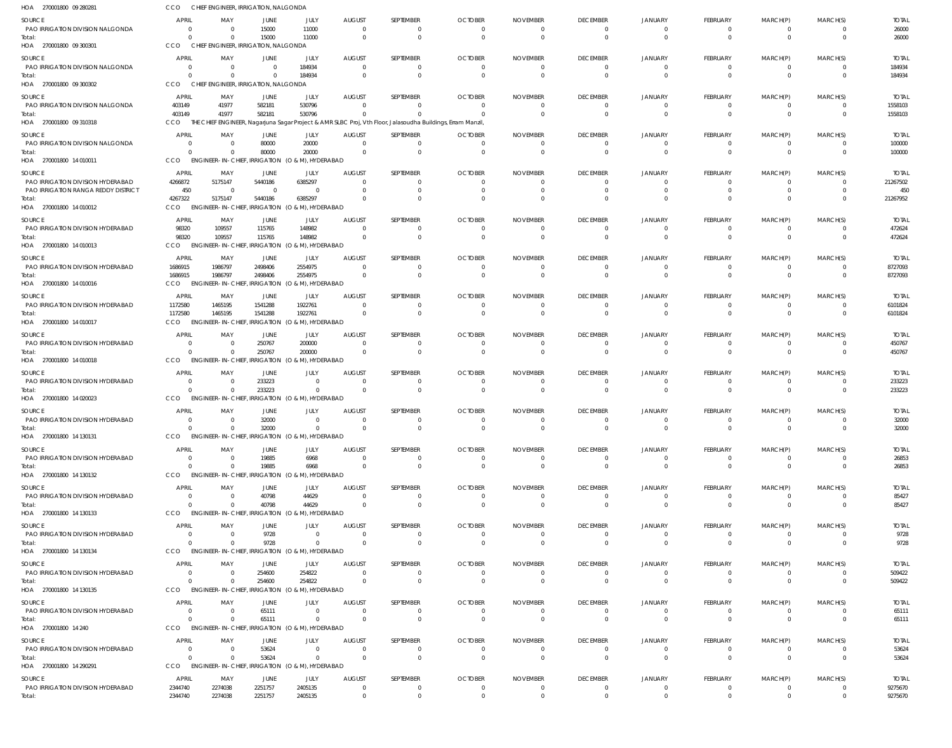| HOA 270001800 09 280281                       | CCO                        | CHIEF ENGINEER, IRRIGATION, NALGONDA                                        |                           |                                 |                                 |                                                                                                             |                                  |                                   |                                            |                                  |                                  |                                |                            |                         |
|-----------------------------------------------|----------------------------|-----------------------------------------------------------------------------|---------------------------|---------------------------------|---------------------------------|-------------------------------------------------------------------------------------------------------------|----------------------------------|-----------------------------------|--------------------------------------------|----------------------------------|----------------------------------|--------------------------------|----------------------------|-------------------------|
| SOURCE                                        | APRIL                      | MAY                                                                         | JUNE                      | JULY                            | <b>AUGUST</b>                   | SEPTEMBER                                                                                                   | <b>OCTOBER</b>                   | <b>NOVEMBER</b>                   | <b>DECEMBER</b>                            | <b>JANUARY</b>                   | FEBRUARY                         | MARCH(P)                       | MARCH(S)                   | <b>TOTAL</b>            |
| PAO IRRIGATION DIVISION NALGONDA              | $\Omega$                   | $\overline{\mathbf{0}}$                                                     | 15000                     | 11000                           | $\Omega$                        | 0                                                                                                           | $\Omega$                         | $\overline{0}$                    | $\overline{0}$                             | $\Omega$                         | -0                               | $\mathbf{0}$                   | $\Omega$                   | 26000                   |
| Total:<br>HOA 270001800 09 300301             | $\Omega$<br>CCO            | $\Omega$<br>CHIEF ENGINEER, IRRIGATION, NALGONDA                            | 15000                     | 11000                           | $\Omega$                        | $\Omega$                                                                                                    | $\Omega$                         | $\Omega$                          | $\overline{0}$                             | $\Omega$                         | $\overline{0}$                   | $\overline{0}$                 | $\Omega$                   | 26000                   |
|                                               |                            |                                                                             |                           |                                 |                                 |                                                                                                             |                                  |                                   |                                            |                                  |                                  |                                |                            |                         |
| SOURCE<br>PAO IRRIGATION DIVISION NALGONDA    | APRIL<br>$\Omega$          | MAY<br>$\overline{\mathbf{0}}$                                              | JUNE<br>$\Omega$          | JULY<br>184934                  | <b>AUGUST</b><br>$\Omega$       | SEPTEMBER<br>0                                                                                              | <b>OCTOBER</b><br>$\Omega$       | <b>NOVEMBER</b><br>$\Omega$       | <b>DECEMBER</b><br>$\overline{0}$          | JANUARY<br>$\Omega$              | FEBRUARY<br>$\mathbf{0}$         | MARCH(P)<br>$\mathbf{0}$       | MARCH(S)<br>$\Omega$       | <b>TOTAL</b><br>184934  |
| Total:                                        | $\Omega$                   | $\Omega$                                                                    | $\Omega$                  | 184934                          | $\Omega$                        | $\mathbf 0$                                                                                                 | $\overline{0}$                   | - 0                               | $\overline{0}$                             | $\Omega$                         | $\overline{0}$                   | $\overline{0}$                 | $\overline{0}$             | 184934                  |
| HOA 270001800 09 300302                       | CCO                        | CHIEF ENGINEER, IRRIGATION, NALGONDA                                        |                           |                                 |                                 |                                                                                                             |                                  |                                   |                                            |                                  |                                  |                                |                            |                         |
| SOURCE                                        | APRIL                      | MAY                                                                         | JUNE                      | JULY                            | <b>AUGUST</b>                   | SEPTEMBER                                                                                                   | <b>OCTOBER</b>                   | <b>NOVEMBER</b>                   | <b>DECEMBER</b>                            | JANUARY                          | <b>FEBRUARY</b>                  | MARCH(P)                       | MARCH(S)                   | <b>TOTAL</b>            |
| PAO IRRIGATION DIVISION NALGONDA              | 403149                     | 41977                                                                       | 582181                    | 530796                          | $\Omega$                        | 0                                                                                                           | $\Omega$                         | $\Omega$                          | $\Omega$                                   | $\Omega$                         | $\overline{0}$                   | $\overline{0}$                 | $\mathbf{0}$               | 1558103                 |
| Total:<br>HOA 270001800 09 310318             | 403149<br>CCO              | 41977                                                                       | 582181                    | 530796                          | $\Omega$                        | THE CHIEF ENGINEER, Nagarjuna Sagar Project & AMR SLBC Proj, Vth Floor, Jalasoudha Buildings, Erram Manzil, | $\Omega$                         | $\Omega$                          | $\Omega$                                   | $\Omega$                         | $\overline{0}$                   | $\overline{0}$                 | $\Omega$                   | 1558103                 |
|                                               |                            |                                                                             |                           |                                 |                                 |                                                                                                             |                                  |                                   |                                            |                                  |                                  |                                |                            |                         |
| SOURCE<br>PAO IRRIGATION DIVISION NALGONDA    | <b>APRIL</b><br>$\Omega$   | MAY<br>$\overline{0}$                                                       | JUNE<br>80000             | JULY<br>20000                   | <b>AUGUST</b><br>$\Omega$       | SEPTEMBER<br>0                                                                                              | <b>OCTOBER</b><br>$\overline{0}$ | <b>NOVEMBER</b><br>- 0            | <b>DECEMBER</b><br>$\overline{0}$          | JANUARY<br>$\Omega$              | FEBRUARY<br>$\overline{0}$       | MARCH(P)<br>$\overline{0}$     | MARCH(S)<br>$\Omega$       | <b>TOTAL</b><br>100000  |
| Total:                                        | $\Omega$                   | $\Omega$                                                                    | 80000                     | 20000                           | $\Omega$                        | $\Omega$                                                                                                    | $\Omega$                         | $\Omega$                          | $\Omega$                                   | $\Omega$                         | $\overline{0}$                   | $\Omega$                       | $\Omega$                   | 100000                  |
| HOA 270001800 14 010011                       | CCO                        | ENGINEER-IN-CHIEF, IRRIGATION (O & M), HYDERABAD                            |                           |                                 |                                 |                                                                                                             |                                  |                                   |                                            |                                  |                                  |                                |                            |                         |
| SOURCE                                        | <b>APRIL</b>               | MAY                                                                         | JUNE                      | JULY                            | <b>AUGUST</b>                   | SEPTEMBER                                                                                                   | <b>OCTOBER</b>                   | <b>NOVEMBER</b>                   | <b>DECEMBER</b>                            | <b>JANUARY</b>                   | FEBRUARY                         | MARCH(P)                       | MARCH(S)                   | <b>TOTAL</b>            |
| PAO IRRIGATION DIVISION HYDERABAD             | 4266872                    | 5175147                                                                     | 5440186                   | 6385297                         | $\Omega$                        |                                                                                                             | $\Omega$                         | $\Omega$                          | $\Omega$                                   | $\Omega$                         | - 0                              | -0                             | $\Omega$                   | 21267502                |
| PAO IRRIGATION RANGA REDDY DISTRICT<br>Total: | 450<br>4267322             | $\overline{\mathbf{0}}$<br>5175147                                          | $\overline{0}$<br>5440186 | $\Omega$<br>6385297             |                                 | 0                                                                                                           | - 0<br>$\Omega$                  | 0<br>$\Omega$                     | $\Omega$<br>$\Omega$                       | $\Omega$<br>$\Omega$             | $\mathbf{0}$<br>$\Omega$         | - 0<br>$\Omega$                | $\Omega$                   | 450<br>21267952         |
| HOA 270001800 14 010012                       | <b>CCO</b>                 | <b>ENGINEER-IN-CHIEF</b>                                                    |                           | , IRRIGATION (O & M), HYDERABAD |                                 |                                                                                                             |                                  |                                   |                                            |                                  |                                  |                                |                            |                         |
| SOURCE                                        | <b>APRIL</b>               | MAY                                                                         | JUNE                      | JULY                            | <b>AUGUST</b>                   | SEPTEMBER                                                                                                   | <b>OCTOBER</b>                   | <b>NOVEMBER</b>                   | <b>DECEMBER</b>                            | JANUARY                          | <b>FEBRUARY</b>                  | MARCH(P)                       | MARCH(S)                   | <b>TOTAL</b>            |
| PAO IRRIGATION DIVISION HYDERABAD             | 98320                      | 109557                                                                      | 115765                    | 148982                          | $\Omega$                        | 0                                                                                                           | - 0                              | - 0                               | $\overline{0}$                             | $\Omega$                         | $\overline{0}$                   | $\overline{0}$                 | $\Omega$                   | 472624                  |
| Total:                                        | 98320                      | 109557                                                                      | 115765                    | 148982                          | $\Omega$                        | $\mathbf 0$                                                                                                 | - 0                              | - 0                               | $\overline{0}$                             | $\Omega$                         | $\overline{0}$                   | $\overline{0}$                 | $\Omega$                   | 472624                  |
| HOA 270001800 14 010013                       | CCO                        | ENGINEER-IN-CHIEF, IRRIGATION (O & M), HYDERABAD                            |                           |                                 |                                 |                                                                                                             |                                  |                                   |                                            |                                  |                                  |                                |                            |                         |
| SOURCE                                        | APRIL                      | MAY                                                                         | JUNE                      | JULY                            | <b>AUGUST</b>                   | SEPTEMBER                                                                                                   | <b>OCTOBER</b>                   | <b>NOVEMBER</b>                   | <b>DECEMBER</b>                            | JANUARY                          | FEBRUARY                         | MARCH(P)                       | MARCH(S)                   | <b>TOTAL</b>            |
| PAO IRRIGATION DIVISION HYDERABAD             | 1686915                    | 1986797                                                                     | 2498406                   | 2554975                         | $\Omega$                        | 0                                                                                                           | -0                               | -0                                | $\overline{\mathbf{0}}$                    | $\Omega$                         | $\mathbf{0}$                     | $\mathbf{0}$                   | $\Omega$                   | 8727093                 |
| Total:<br>HOA 270001800 14 010016             | 1686915<br>CCO             | 1986797<br>ENGINEER-IN-CHIEF, IRRIGATION (O & M), HYDERABAD                 | 2498406                   | 2554975                         | $\Omega$                        | $\Omega$                                                                                                    | $\Omega$                         | $\Omega$                          | $\overline{0}$                             | $\Omega$                         | $\Omega$                         | $\overline{0}$                 | $\overline{0}$             | 8727093                 |
|                                               |                            |                                                                             |                           |                                 |                                 |                                                                                                             |                                  |                                   |                                            |                                  |                                  |                                |                            |                         |
| SOURCE<br>PAO IRRIGATION DIVISION HYDERABAD   | APRIL<br>1172580           | MAY<br>1465195                                                              | JUNE<br>1541288           | JULY<br>1922761                 | <b>AUGUST</b><br>$\Omega$       | SEPTEMBER                                                                                                   | <b>OCTOBER</b><br>$\Omega$       | <b>NOVEMBER</b><br>$\Omega$       | <b>DECEMBER</b><br>$\overline{0}$          | JANUARY<br>$\Omega$              | FEBRUARY<br>$\mathbf{0}$         | MARCH(P)<br>- 0                | MARCH(S)<br>$\Omega$       | <b>TOTAL</b><br>6101824 |
| Total:                                        | 1172580                    | 1465195                                                                     | 1541288                   | 1922761                         | $\Omega$                        | 0                                                                                                           | $\overline{0}$                   | - 0                               | $\overline{0}$                             | $\Omega$                         | $\overline{0}$                   | $\overline{0}$                 | $\Omega$                   | 6101824                 |
| HOA 270001800 14 010017                       | CCO                        | ENGINEER-IN-CHIEF, IRRIGATION (O & M), HYDERABAD                            |                           |                                 |                                 |                                                                                                             |                                  |                                   |                                            |                                  |                                  |                                |                            |                         |
| SOURCE                                        | APRIL                      | MAY                                                                         | JUNE                      | JULY                            | <b>AUGUST</b>                   | SEPTEMBER                                                                                                   | <b>OCTOBER</b>                   | <b>NOVEMBER</b>                   | <b>DECEMBER</b>                            | JANUARY                          | <b>FEBRUARY</b>                  | MARCH(P)                       | MARCH(S)                   | <b>TOTAL</b>            |
| PAO IRRIGATION DIVISION HYDERABAD             | $\Omega$                   | $\Omega$                                                                    | 250767                    | 200000                          | $\Omega$                        | 0                                                                                                           | $\overline{0}$                   | 0                                 | $\overline{0}$                             | $\Omega$                         | $\overline{0}$                   | $\overline{0}$                 | $\Omega$                   | 450767                  |
| Total:                                        | $\Omega$                   | $\Omega$                                                                    | 250767                    | 200000                          | $\Omega$                        | $\Omega$                                                                                                    | $\Omega$                         | $\overline{0}$                    | $\overline{0}$                             | $\Omega$                         | $\overline{0}$                   | $\overline{0}$                 | $\Omega$                   | 450767                  |
| HOA 270001800 14 010018                       | CCO                        | <b>ENGINEER-IN-CHIEF</b>                                                    |                           | , IRRIGATION (O & M), HYDERABAD |                                 |                                                                                                             |                                  |                                   |                                            |                                  |                                  |                                |                            |                         |
| SOURCE                                        | <b>APRIL</b>               | MAY                                                                         | JUNE                      | JULY                            | <b>AUGUST</b>                   | SEPTEMBER                                                                                                   | <b>OCTOBER</b>                   | <b>NOVEMBER</b>                   | <b>DECEMBER</b>                            | JANUARY                          | <b>FEBRUARY</b>                  | MARCH(P)                       | MARCH(S)                   | <b>TOTAL</b>            |
| PAO IRRIGATION DIVISION HYDERABAD<br>Total:   | $\overline{0}$<br>$\Omega$ | $\overline{\mathbf{0}}$<br>$\Omega$                                         | 233223<br>233223          | $\Omega$<br>$\Omega$            | $\Omega$<br>$\Omega$            | 0<br>$\Omega$                                                                                               | - 0<br>$\Omega$                  | - 0<br>- 0                        | $\overline{\mathbf{0}}$<br>$\overline{0}$  | $\Omega$<br>$\Omega$             | $\overline{0}$<br>$\overline{0}$ | - 0<br>$\overline{0}$          | $\Omega$<br>$\Omega$       | 233223<br>233223        |
| HOA 270001800 14 020023                       | CCO                        | ENGINEER-IN-CHIEF, IRRIGATION (O & M), HYDERABAD                            |                           |                                 |                                 |                                                                                                             |                                  |                                   |                                            |                                  |                                  |                                |                            |                         |
| SOURCE                                        | <b>APRIL</b>               | MAY                                                                         | JUNE                      | JULY                            | <b>AUGUST</b>                   | SEPTEMBER                                                                                                   | <b>OCTOBER</b>                   | <b>NOVEMBER</b>                   | <b>DECEMBER</b>                            | JANUARY                          | FEBRUARY                         | MARCH(P)                       | MARCH(S)                   | <b>TOTAL</b>            |
| PAO IRRIGATION DIVISION HYDERABAD             | $\Omega$                   | $\Omega$                                                                    | 32000                     | $\Omega$                        | $\Omega$                        | <sup>0</sup>                                                                                                | $\Omega$                         | $\Omega$                          | $\Omega$                                   | $\Omega$                         | $\Omega$                         | $\Omega$                       | $\Omega$                   | 32000                   |
| Total:                                        |                            |                                                                             | 32000                     |                                 |                                 |                                                                                                             |                                  |                                   |                                            |                                  |                                  |                                |                            | 32000                   |
| HOA 270001800 14 130131                       | CCO                        | ENGINEER-IN-CHIEF, IRRIGATION (O & M), HYDERABAD                            |                           |                                 |                                 |                                                                                                             |                                  |                                   |                                            |                                  |                                  |                                |                            |                         |
| <b>SOURCE</b>                                 | APRIL                      | MAY                                                                         | JUNE                      | JULY                            | <b>AUGUST</b>                   | SEPTEMBER                                                                                                   | <b>OCTOBER</b>                   | <b>NOVEMBER</b>                   | <b>DECEMBER</b>                            | <b>JANUARY</b>                   | FEBRUARY                         | MARCH(P)                       | MARCH(S)                   | <b>TOTAL</b>            |
| PAO IRRIGATION DIVISION HYDERABAD             | $\Omega$                   | $\overline{\mathbf{0}}$                                                     | 19885                     | 6968                            | $\Omega$                        | 0                                                                                                           | $\overline{0}$                   | - 0                               | $\overline{0}$                             | $\Omega$                         | $\mathbf{0}$                     | $\mathbf{0}$                   | $\Omega$                   | 26853                   |
| Total:<br>HOA 270001800 14 130132             | $\Omega$<br>CCO            | $\overline{\mathbf{0}}$<br>ENGINEER-IN-CHIEF, IRRIGATION (O & M), HYDERABAD | 19885                     | 6968                            | $\Omega$                        | $\mathbf 0$                                                                                                 | $\Omega$                         | $\overline{0}$                    | $\overline{0}$                             | $\overline{0}$                   | $\overline{0}$                   | $\overline{0}$                 | $\overline{0}$             | 26853                   |
|                                               |                            |                                                                             |                           |                                 |                                 |                                                                                                             |                                  |                                   |                                            |                                  |                                  |                                |                            |                         |
| SOURCE<br>PAO IRRIGATION DIVISION HYDERABAD   | <b>APRIL</b><br>$\Omega$   | MAY<br>$\overline{0}$                                                       | JUNE<br>40798             | JULY<br>44629                   | <b>AUGUST</b><br>$\Omega$       | SEPTEMBER<br>0                                                                                              | <b>OCTOBER</b><br>$\overline{0}$ | <b>NOVEMBER</b><br>$\overline{0}$ | <b>DECEMBER</b><br>$\overline{\mathbf{0}}$ | JANUARY<br>$\Omega$              | <b>FEBRUARY</b><br>$\mathbf{0}$  | MARCH(P)<br>$\overline{0}$     | MARCH(S)<br>$\Omega$       | <b>TOTAL</b><br>85427   |
| Total:                                        | $\Omega$                   | $\Omega$                                                                    | 40798                     | 44629                           | $\Omega$                        | $\Omega$                                                                                                    | $\Omega$                         | $\Omega$                          | $\overline{0}$                             | $\Omega$                         | $\overline{0}$                   | $\overline{0}$                 | $\Omega$                   | 85427                   |
| HOA 270001800 14 130133                       | CCO                        | ENGINEER-IN-CHIEF, IRRIGATION (O & M), HYDERABAD                            |                           |                                 |                                 |                                                                                                             |                                  |                                   |                                            |                                  |                                  |                                |                            |                         |
| SOURCE                                        | <b>APRIL</b>               | MAY                                                                         | JUNE                      | JULY                            | <b>AUGUST</b>                   | SEPTEMBER                                                                                                   | <b>OCTOBER</b>                   | <b>NOVEMBER</b>                   | <b>DECEMBER</b>                            | <b>JANUARY</b>                   | FEBRUARY                         | MARCH(P)                       | MARCH(S)                   | <b>TOTAL</b>            |
| PAO IRRIGATION DIVISION HYDERABAD             | $\Omega$                   | $\overline{\mathbf{0}}$                                                     | 9728                      | $\Omega$                        | $\overline{0}$                  | 0                                                                                                           | $\overline{0}$                   | - 0                               | $\overline{0}$                             | $\overline{0}$                   | $\mathbf{0}$                     | $\mathbf{0}$                   | $\Omega$                   | 9728                    |
| Total:                                        | $\Omega$                   | $\Omega$                                                                    | 9728                      | $\Omega$                        | $\Omega$                        | $\mathbf 0$                                                                                                 | $\Omega$                         | - 0                               | $\overline{0}$                             | $\overline{0}$                   | $\overline{0}$                   | $\overline{0}$                 | $\Omega$                   | 9728                    |
| HOA 270001800 14 130134                       | CCO                        | ENGINEER-IN-CHIEF, IRRIGATION (O & M), HYDERABAD                            |                           |                                 |                                 |                                                                                                             |                                  |                                   |                                            |                                  |                                  |                                |                            |                         |
| SOURCE                                        | APRIL                      | MAY                                                                         | JUNE                      | JULY                            | <b>AUGUST</b>                   | SEPTEMBER                                                                                                   | <b>OCTOBER</b>                   | <b>NOVEMBER</b>                   | <b>DECEMBER</b>                            | <b>JANUARY</b>                   | <b>FEBRUARY</b>                  | MARCH(P)                       | MARCH(S)                   | <b>TOTAL</b>            |
| PAO IRRIGATION DIVISION HYDERABAD<br>Total:   | $\overline{0}$<br>$\Omega$ | $\overline{\mathbf{0}}$<br>$\Omega$                                         | 254600<br>254600          | 254822<br>254822                | $\Omega$<br>$\Omega$            | 0<br>$\mathbf 0$                                                                                            | $\Omega$<br>$\Omega$             | $\Omega$<br>$\overline{0}$        | $\overline{\mathbf{0}}$<br>$\overline{0}$  | $\Omega$<br>$\Omega$             | $\mathbf{0}$<br>$\overline{0}$   | $\mathbf{0}$<br>$\overline{0}$ | $\Omega$<br>$\Omega$       | 509422<br>509422        |
| HOA 270001800 14 130135                       | CCO                        | <b>ENGINEER-IN-CHIEF</b>                                                    |                           | , IRRIGATION (O & M), HYDERABAD |                                 |                                                                                                             |                                  |                                   |                                            |                                  |                                  |                                |                            |                         |
| SOURCE                                        | <b>APRIL</b>               | MAY                                                                         | JUNE                      | JULY                            | <b>AUGUST</b>                   | SEPTEMBER                                                                                                   | <b>OCTOBER</b>                   | <b>NOVEMBER</b>                   | <b>DECEMBER</b>                            | <b>JANUARY</b>                   | FEBRUARY                         | MARCH(P)                       | MARCH(S)                   | <b>TOTAL</b>            |
| PAO IRRIGATION DIVISION HYDERABAD             | $\Omega$                   | $\overline{\mathbf{0}}$                                                     | 65111                     | $\Omega$                        | $\overline{0}$                  | 0                                                                                                           | - 0                              | - 0                               | $\overline{0}$                             | $\overline{0}$                   | $\overline{0}$                   | - 0                            | $\Omega$                   | 65111                   |
| Total:                                        | $\Omega$                   | - 0                                                                         | 65111                     | $\Omega$                        | $\Omega$                        | $\mathbf 0$                                                                                                 | $\overline{0}$                   | $\overline{0}$                    | $\overline{0}$                             | $\overline{0}$                   | $\overline{0}$                   | $\overline{0}$                 | $\Omega$                   | 65111                   |
| HOA 270001800 14 240                          | CCO                        | ENGINEER-IN-CHIEF, IRRIGATION (O & M), HYDERABAD                            |                           |                                 |                                 |                                                                                                             |                                  |                                   |                                            |                                  |                                  |                                |                            |                         |
| SOURCE                                        | <b>APRIL</b>               | MAY                                                                         | JUNE                      | JULY                            | <b>AUGUST</b>                   | SEPTEMBER                                                                                                   | <b>OCTOBER</b>                   | <b>NOVEMBER</b>                   | <b>DECEMBER</b>                            | JANUARY                          | <b>FEBRUARY</b>                  | MARCH(P)                       | MARCH(S)                   | <b>TOTAL</b>            |
| PAO IRRIGATION DIVISION HYDERABAD             | $\Omega$                   | $\overline{0}$                                                              | 53624                     | $\Omega$                        | $\Omega$                        | $\Omega$                                                                                                    | $\overline{0}$                   | $\overline{0}$                    | $\overline{\mathbf{0}}$                    | $\Omega$                         | $\overline{0}$                   | $\overline{0}$                 | $\Omega$                   | 53624                   |
| Total:<br>HOA 270001800 14 290291             | $\Omega$<br>CCO            | $\Omega$<br>ENGINEER-IN-CHIEF, IRRIGATION (O & M), HYDERABAD                | 53624                     | $\Omega$                        | $\Omega$                        | $\Omega$                                                                                                    | $\Omega$                         | $\Omega$                          | $\overline{0}$                             | $\Omega$                         | $\overline{0}$                   | $\overline{0}$                 | $\Omega$                   | 53624                   |
|                                               |                            |                                                                             |                           |                                 |                                 |                                                                                                             |                                  |                                   |                                            |                                  |                                  |                                |                            |                         |
| SOURCE<br>PAO IRRIGATION DIVISION HYDERABAD   | APRIL<br>2344740           | MAY<br>2274038                                                              | JUNE<br>2251757           | JULY<br>2405135                 | <b>AUGUST</b><br>$\overline{0}$ | SEPTEMBER<br>$\mathbf 0$                                                                                    | <b>OCTOBER</b><br>$\overline{0}$ | <b>NOVEMBER</b><br>$\overline{0}$ | <b>DECEMBER</b><br>$\overline{0}$          | <b>JANUARY</b><br>$\overline{0}$ | FEBRUARY<br>$\overline{0}$       | MARCH(P)<br>$\overline{0}$     | MARCH(S)<br>$\overline{0}$ | <b>TOTAL</b><br>9275670 |
| Total:                                        | 2344740                    | 2274038                                                                     | 2251757                   | 2405135                         | $\overline{0}$                  | $\mathbf 0$                                                                                                 | $\overline{0}$                   | $\overline{0}$                    | $\overline{0}$                             | $\mathbf{0}$                     | $\overline{0}$                   | $\overline{0}$                 | $\overline{0}$             | 9275670                 |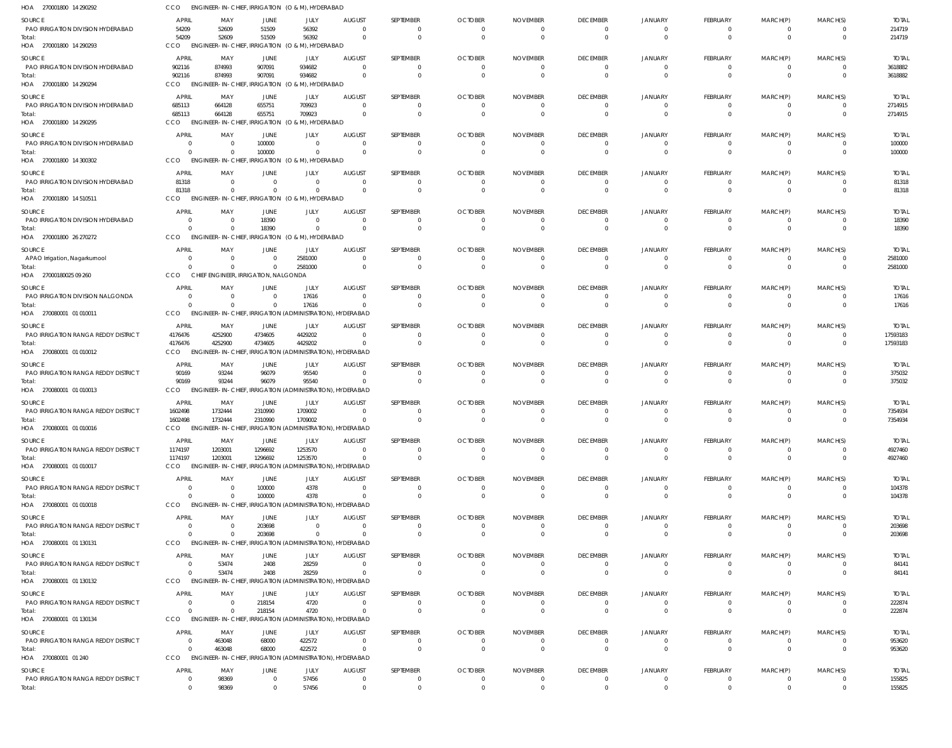| HOA 270001800 14 290292                     | CCO                   |                                       | ENGINEER-IN-CHIEF, IRRIGATION (O & M), HYDERABAD                          |                |                                                      |                                |                      |                      |                                  |                                  |                      |                      |                                  |                  |
|---------------------------------------------|-----------------------|---------------------------------------|---------------------------------------------------------------------------|----------------|------------------------------------------------------|--------------------------------|----------------------|----------------------|----------------------------------|----------------------------------|----------------------|----------------------|----------------------------------|------------------|
| <b>SOURCE</b>                               | <b>APRIL</b>          | MAY                                   | <b>JUNE</b>                                                               | JULY           | <b>AUGUST</b>                                        | SEPTEMBER                      | <b>OCTOBER</b>       | <b>NOVEMBER</b>      | <b>DECEMBER</b>                  | <b>JANUARY</b>                   | FEBRUARY             | MARCH(P)             | MARCH(S)                         | <b>TOTAL</b>     |
| PAO IRRIGATION DIVISION HYDERABAD<br>Total: | 54209<br>54209        | 52609<br>52609                        | 51509<br>51509                                                            | 56392<br>56392 | $\Omega$<br>$\Omega$                                 | $^{\circ}$<br>$\mathbf{0}$     | $\Omega$<br>$\Omega$ | $\Omega$<br>$\Omega$ | $\overline{0}$<br>$\overline{0}$ | $\overline{0}$<br>$\overline{0}$ | $\Omega$<br>$\Omega$ | $\Omega$<br>$\Omega$ | $\overline{0}$<br>$\overline{0}$ | 214719<br>214719 |
| HOA 270001800 14 290293                     | CCO                   |                                       | ENGINEER-IN-CHIEF, IRRIGATION (O & M), HYDERABAD                          |                |                                                      |                                |                      |                      |                                  |                                  |                      |                      |                                  |                  |
| <b>SOURCE</b>                               | <b>APRIL</b>          | MAY                                   | JUNE                                                                      | JULY           | <b>AUGUST</b>                                        | SEPTEMBER                      | <b>OCTOBER</b>       | <b>NOVEMBER</b>      | <b>DECEMBER</b>                  | <b>JANUARY</b>                   | <b>FEBRUARY</b>      | MARCH(P)             | MARCH(S)                         | <b>TOTAL</b>     |
| PAO IRRIGATION DIVISION HYDERABAD           | 902116                | 874993                                | 907091                                                                    | 934682         | $\Omega$<br>$\Omega$                                 | $\overline{0}$<br>$\mathbf{0}$ | - 0                  |                      | $\overline{0}$                   | $\overline{0}$<br>$\Omega$       | $\Omega$<br>$\Omega$ | $\Omega$<br>$\Omega$ | $\overline{0}$<br>$\Omega$       | 3618882          |
| Total:<br>HOA 270001800 14 290294           | 902116<br>CCO         | 874993                                | 907091<br>ENGINEER-IN-CHIEF, IRRIGATION (O & M), HYDERABAD                | 934682         |                                                      |                                | $\Omega$             | $\Omega$             | $\overline{0}$                   |                                  |                      |                      |                                  | 3618882          |
| SOURCE                                      | <b>APRIL</b>          | MAY                                   | JUNE                                                                      | JULY           | <b>AUGUST</b>                                        | SEPTEMBER                      | <b>OCTOBER</b>       | <b>NOVEMBER</b>      | <b>DECEMBER</b>                  | <b>JANUARY</b>                   | <b>FEBRUARY</b>      | MARCH(P)             | MARCH(S)                         | <b>TOTAL</b>     |
| PAO IRRIGATION DIVISION HYDERABAD           | 685113                | 664128                                | 655751                                                                    | 709923         | $\Omega$                                             | $\mathbf{0}$                   | $\Omega$             | $\Omega$             | $\overline{0}$                   | $\Omega$                         | - 0                  | $\Omega$             | $\Omega$                         | 2714915          |
| Total:<br>HOA 270001800 14 290295           | 685113<br>CCO         | 664128<br><b>ENGINEER-IN-CHIEF,</b>   | 655751<br>IRRIGATION (O & M), HYDERABAD                                   | 709923         | $\Omega$                                             | $\overline{0}$                 | $\Omega$             | $\Omega$             | $\overline{0}$                   | $\Omega$                         | $\overline{0}$       | $\overline{0}$       | $\overline{0}$                   | 2714915          |
| <b>SOURCE</b>                               | <b>APRIL</b>          | MAY                                   | JUNE                                                                      | JULY           | <b>AUGUST</b>                                        | SEPTEMBER                      | <b>OCTOBER</b>       | <b>NOVEMBER</b>      | <b>DECEMBER</b>                  | <b>JANUARY</b>                   | <b>FEBRUARY</b>      | MARCH(P)             | MARCH(S)                         | <b>TOTAL</b>     |
| PAO IRRIGATION DIVISION HYDERABAD           | - 0                   |                                       | 100000                                                                    | $\mathbf{0}$   | - 0                                                  | $\mathbf 0$                    |                      |                      | $\overline{0}$                   | $\overline{0}$                   | $\Omega$             | $\Omega$             | $\overline{0}$                   | 100000           |
| Total:<br>HOA 270001800 14 300302           | $\Omega$<br>CCO       |                                       | 100000<br>ENGINEER-IN-CHIEF, IRRIGATION (O & M), HYDERABAD                | $\Omega$       | $\Omega$                                             | $\mathbf{0}$                   | $\Omega$             | $\Omega$             | $\overline{0}$                   | $\circ$                          | $\Omega$             | $\Omega$             | $\overline{0}$                   | 100000           |
| SOURCE                                      | <b>APRIL</b>          | MAY                                   | JUNE                                                                      | JULY           | <b>AUGUST</b>                                        | SEPTEMBER                      | <b>OCTOBER</b>       | <b>NOVEMBER</b>      | <b>DECEMBER</b>                  | <b>JANUARY</b>                   | <b>FEBRUARY</b>      | MARCH(P)             | MARCH(S)                         | <b>TOTAL</b>     |
| PAO IRRIGATION DIVISION HYDERABAD           | 81318                 | $\Omega$                              | $\Omega$                                                                  | $\mathbf{0}$   | $\Omega$                                             | $\mathbf{0}$                   | $\Omega$             | $\Omega$             | $\overline{0}$                   | $\overline{0}$                   | $\Omega$             | $\Omega$             | $\overline{0}$                   | 81318            |
| Total:<br>HOA 270001800 14 510511           | 81318<br>CCO          | $\Omega$                              | $\Omega$<br>ENGINEER-IN-CHIEF, IRRIGATION (O & M), HYDERABAD              | $\mathbf 0$    | $\Omega$                                             | $\mathbf 0$                    | $\Omega$             | $\Omega$             | $\overline{0}$                   | $\Omega$                         | $\Omega$             | $\Omega$             | $\overline{0}$                   | 81318            |
| <b>SOURCE</b>                               | <b>APRIL</b>          | MAY                                   | JUNE                                                                      | JULY           | <b>AUGUST</b>                                        | SEPTEMBER                      | <b>OCTOBER</b>       | <b>NOVEMBER</b>      | <b>DECEMBER</b>                  | <b>JANUARY</b>                   | <b>FEBRUARY</b>      | MARCH(P)             | MARCH(S)                         | <b>TOTAL</b>     |
| PAO IRRIGATION DIVISION HYDERABAD           | $\overline{0}$        |                                       | 18390                                                                     | $\mathbf{0}$   | - 0                                                  | $\overline{0}$                 | - 0                  |                      | $\overline{0}$                   | $\overline{0}$                   | $\Omega$             | $\Omega$             | $\overline{0}$                   | 18390            |
| Total:<br>HOA 270001800 26 270272           | $\Omega$<br>CCO       |                                       | 18390<br>ENGINEER-IN-CHIEF, IRRIGATION (O & M), HYDERABAD                 | $\mathbf{0}$   | $\Omega$                                             | $\mathbf{0}$                   | $\Omega$             | $\Omega$             | $\overline{0}$                   | $\overline{0}$                   | $\Omega$             | $\Omega$             | $\overline{0}$                   | 18390            |
| SOURCE                                      | <b>APRIL</b>          | MAY                                   | JUNE                                                                      | JULY           | <b>AUGUST</b>                                        | SEPTEMBER                      | <b>OCTOBER</b>       | <b>NOVEMBER</b>      | <b>DECEMBER</b>                  | <b>JANUARY</b>                   | FEBRUARY             | MARCH(P)             | MARCH(S)                         | <b>TOTAL</b>     |
| APAO Irrigation, Nagarkurnool               | $\mathbf{0}$          | $\Omega$                              | $\overline{0}$                                                            | 2581000        | $\Omega$                                             | $\mathbf{0}$                   |                      |                      | $\overline{0}$                   | $\mathbf{0}$                     | - 0                  | - 0                  | $\overline{0}$                   | 2581000          |
| Total:<br>HOA 27000180025 09 260            | $\Omega$<br>CCO       | $\Omega$                              | $\mathbf{0}$<br>CHIEF ENGINEER, IRRIGATION, NALGONDA                      | 2581000        | $\Omega$                                             | $\mathbf 0$                    | $\Omega$             | $\Omega$             | $\overline{0}$                   | $\Omega$                         | $\Omega$             | $\Omega$             | $\Omega$                         | 2581000          |
| SOURCE                                      | <b>APRIL</b>          | MAY                                   | <b>JUNE</b>                                                               | JULY           | <b>AUGUST</b>                                        | SEPTEMBER                      | <b>OCTOBER</b>       | <b>NOVEMBER</b>      | <b>DECEMBER</b>                  | <b>JANUARY</b>                   | <b>FEBRUARY</b>      | MARCH(P)             | MARCH(S)                         | <b>TOTAL</b>     |
| PAO IRRIGATION DIVISION NALGONDA            | - 0                   | - 0                                   | $\overline{\mathbf{0}}$                                                   | 17616          | $\Omega$                                             | $\mathbf{0}$                   |                      |                      | $\overline{0}$                   | $\mathbf{0}$                     | $\Omega$             | $\Omega$             | $\overline{0}$                   | 17616            |
| Total:<br>HOA 270080001 01 010011           | $\Omega$<br>CCO       |                                       | $\mathbf{0}$<br>ENGINEER-IN-CHIEF, IRRIGATION (ADMINISTRATION), HYDERABAD | 17616          | 0                                                    | $\mathbf{0}$                   | $\Omega$             | $\Omega$             | $\overline{0}$                   | $\overline{0}$                   | $\overline{0}$       | $\Omega$             | $\overline{0}$                   | 17616            |
| SOURCE                                      | <b>APRIL</b>          | MAY                                   | JUNE                                                                      | JULY           | <b>AUGUST</b>                                        | SEPTEMBER                      | <b>OCTOBER</b>       | <b>NOVEMBER</b>      | <b>DECEMBER</b>                  | <b>JANUARY</b>                   | <b>FEBRUARY</b>      | MARCH(P)             | MARCH(S)                         | <b>TOTAL</b>     |
| PAO IRRIGATION RANGA REDDY DISTRICT         | 4176476               | 4252900                               | 4734605                                                                   | 4429202        | $\Omega$                                             | $\mathbf{0}$                   | - 0                  |                      | $\mathbf{0}$                     | - 0                              | - 0                  | $\Omega$             | $\mathbf{0}$                     | 17593183         |
| Total:<br>HOA 270080001 01 010012           | 4176476<br>CCO        | 4252900                               | 4734605<br>ENGINEER-IN-CHIEF, IRRIGATION (ADMINISTRATION), HYDERABAD      | 4429202        | $\Omega$                                             | $\mathbf 0$                    | $\Omega$             | $\Omega$             | $\overline{0}$                   | $\Omega$                         | $\Omega$             | $\Omega$             | $\Omega$                         | 17593183         |
| SOURCE                                      | <b>APRIL</b>          | MAY                                   | JUNE                                                                      | JULY           | <b>AUGUST</b>                                        | SEPTEMBER                      | <b>OCTOBER</b>       | <b>NOVEMBER</b>      | <b>DECEMBER</b>                  | <b>JANUARY</b>                   | <b>FEBRUARY</b>      | MARCH(P)             | MARCH(S)                         | <b>TOTAL</b>     |
| PAO IRRIGATION RANGA REDDY DISTRICT         | 90169                 | 93244                                 | 96079                                                                     | 95540          | $\Omega$                                             | $\overline{0}$                 | - 0                  |                      | $\overline{0}$                   | $\overline{0}$                   | $\Omega$             | $\Omega$             | $\overline{0}$                   | 375032           |
| Total:<br>HOA 270080001 01 010013           | 90169<br>CCO          | 93244                                 | 96079<br>ENGINEER-IN-CHIEF, IRRIGATION (ADMINISTRATION), HYDERABAD        | 95540          | $\Omega$                                             | $\mathbf{0}$                   | $\Omega$             |                      | $\overline{0}$                   | $\overline{0}$                   | $\Omega$             | $\Omega$             | $\Omega$                         | 375032           |
| SOURCE                                      | <b>APRIL</b>          | MAY                                   | JUNE                                                                      | JULY           | <b>AUGUST</b>                                        | SEPTEMBER                      | <b>OCTOBER</b>       | <b>NOVEMBER</b>      | <b>DECEMBER</b>                  | <b>JANUARY</b>                   | FEBRUARY             | MARCH(P)             | MARCH(S)                         | <b>TOTAL</b>     |
| PAO IRRIGATION RANGA REDDY DISTRICT         | 1602498               | 1732444                               | 2310990                                                                   | 1709002        | $\Omega$                                             | $\Omega$                       |                      | $\Omega$             | $\mathbf{0}$                     | -0                               | - 0                  | - 0                  | $\mathbf{0}$                     | 7354934          |
| Total:<br>HOA 270080001 01 010016           | 1602498<br>CCO        | 1732444<br><b>ENGINEER-IN-CHIEF,</b>  | 2310990                                                                   | 1709002        | $\Omega$<br>IRRIGATION (ADMINISTRATION), HYDERABAD   | $\mathbf 0$                    | $\Omega$             | $\Omega$             | $\overline{0}$                   | $\Omega$                         | $\Omega$             | $\Omega$             | $\Omega$                         | 7354934          |
| SOURCE                                      | <b>APRIL</b>          | MAY                                   | JUNE                                                                      | JULY           | <b>AUGUST</b>                                        | SEPTEMBER                      | <b>OCTOBER</b>       | <b>NOVEMBER</b>      | <b>DECEMBER</b>                  | <b>JANUARY</b>                   | <b>FEBRUARY</b>      | MARCH(P)             | MARCH(S)                         | <b>TOTAL</b>     |
| PAO IRRIGATION RANGA REDDY DISTRICT         | 1174197               | 1203001                               | 1296692                                                                   | 1253570        | $\Omega$                                             | $\overline{0}$                 |                      |                      | $\overline{0}$                   | $\mathbf{0}$                     | - 0                  | - 0                  | - 0                              | 4927460          |
| Total:<br>HOA 270080001 01 010017           | 1174197<br><b>CCO</b> | 1203001                               | 1296692<br>ENGINEER-IN-CHIEF, IRRIGATION (ADMINISTRATION), HYDERABAD      | 1253570        | $\Omega$                                             | $\mathbf{0}$                   | $\Omega$             | $\Omega$             | $\overline{0}$                   | $\overline{0}$                   | $\mathbf{0}$         | $\Omega$             | $\overline{0}$                   | 4927460          |
| SOURCE                                      | <b>APRIL</b>          | MAY                                   | JUNE                                                                      | JULY           | <b>AUGUST</b>                                        | SEPTEMBER                      | <b>OCTOBER</b>       | <b>NOVEMBER</b>      | <b>DECEMBER</b>                  | <b>JANUARY</b>                   | <b>FEBRUARY</b>      | MARCH(P)             | MARCH(S)                         | <b>TOTAL</b>     |
| PAO IRRIGATION RANGA REDDY DISTRICT         | $\Omega$              | $\Omega$                              | 100000                                                                    | 4378           | $\Omega$                                             | $\mathbf{0}$                   | $\Omega$             | $\Omega$             | $\overline{0}$                   | $\overline{0}$                   | - 0                  | $\Omega$             | $\mathbf{0}$                     | 104378           |
| Total:<br>HOA 270080001 01 010018           | $\Omega$<br>CCO       | $\Omega$                              | 100000<br>ENGINEER-IN-CHIEF, IRRIGATION (ADMINISTRATION), HYDERABAD       | 4378           | $\Omega$                                             | $\mathbf{0}$                   | $\Omega$             | $\Omega$             | $\overline{0}$                   | $\overline{0}$                   | $\Omega$             | $\Omega$             | $\overline{0}$                   | 104378           |
| SOURCE                                      | <b>APRIL</b>          | MAY                                   | JUNE                                                                      | JULY           | <b>AUGUST</b>                                        | SEPTEMBER                      | <b>OCTOBER</b>       | <b>NOVEMBER</b>      | <b>DECEMBER</b>                  | <b>JANUARY</b>                   | <b>FEBRUARY</b>      | MARCH(P)             | MARCH(S)                         | <b>TOTAL</b>     |
| PAO IRRIGATION RANGA REDDY DISTRICT         | $\overline{0}$        |                                       | 203698                                                                    | $\mathbf{0}$   | - 0                                                  | $\overline{0}$                 | - 0                  |                      | $\overline{0}$                   | $\overline{0}$                   | $\Omega$             | $\Omega$             | $\overline{0}$                   | 203698           |
| Total:<br>HOA 270080001 01 130131           | $\Omega$<br>CCO       |                                       | 203698<br>ENGINEER-IN-CHIEF, IRRIGATION (ADMINISTRATION), HYDERABAD       | $\mathbf{0}$   | $\Omega$                                             | $\mathbf{0}$                   | $\Omega$             | $\Omega$             | $\overline{0}$                   | $\overline{0}$                   | $\Omega$             | $\Omega$             | $\overline{0}$                   | 203698           |
| SOURCE                                      | <b>APRIL</b>          | MAY                                   | JUNE                                                                      | JULY           | <b>AUGUST</b>                                        | SEPTEMBER                      | <b>OCTOBER</b>       | <b>NOVEMBER</b>      | <b>DECEMBER</b>                  | <b>JANUARY</b>                   | <b>FEBRUARY</b>      | MARCH(P)             | MARCH(S)                         | <b>TOTAL</b>     |
| PAO IRRIGATION RANGA REDDY DISTRICT         | $\overline{0}$        | 53474                                 | 2408                                                                      | 28259          | $\Omega$                                             | $\overline{0}$                 | $\Omega$             | $\Omega$             | $\overline{0}$                   | $\overline{0}$                   | - 0                  | - 0                  | $\overline{0}$                   | 84141            |
| Total:<br>HOA 270080001 01 130132           | $\overline{0}$<br>CCO | 53474                                 | 2408<br>ENGINEER-IN-CHIEF, IRRIGATION (ADMINISTRATION), HYDERABAD         | 28259          | $\Omega$                                             | $\mathbf{0}$                   | $\Omega$             | $\Omega$             | $\overline{0}$                   | $\overline{0}$                   | $\overline{0}$       | $\overline{0}$       | $\overline{0}$                   | 84141            |
| SOURCE                                      | <b>APRIL</b>          | MAY                                   | JUNE                                                                      | JULY           | <b>AUGUST</b>                                        | SEPTEMBER                      | <b>OCTOBER</b>       | <b>NOVEMBER</b>      | <b>DECEMBER</b>                  | <b>JANUARY</b>                   | <b>FEBRUARY</b>      | MARCH(P)             | MARCH(S)                         | <b>TOTAL</b>     |
| PAO IRRIGATION RANGA REDDY DISTRICT         | $\overline{0}$        |                                       | 218154                                                                    | 4720           | - 0                                                  | $\overline{0}$                 |                      |                      | $\overline{0}$                   | $\overline{0}$                   | $\Omega$             | $\Omega$             | $\overline{0}$                   | 222874           |
| Total:<br>HOA 270080001 01 130134           | $\overline{0}$<br>CCO | $\Omega$<br><b>ENGINEER-IN-CHIEF,</b> | 218154                                                                    | 4720           | $^{\circ}$<br>IRRIGATION (ADMINISTRATION), HYDERABAD | $\overline{0}$                 | $\Omega$             | $\Omega$             | $\overline{0}$                   | $\overline{0}$                   | $\mathbf{0}$         | $\mathbf{0}$         | $\overline{0}$                   | 222874           |
| <b>SOURCE</b>                               | <b>APRIL</b>          | MAY                                   | JUNE                                                                      | JULY           | <b>AUGUST</b>                                        | SEPTEMBER                      | <b>OCTOBER</b>       | <b>NOVEMBER</b>      | <b>DECEMBER</b>                  | <b>JANUARY</b>                   | <b>FEBRUARY</b>      | MARCH(P)             | MARCH(S)                         | <b>TOTAL</b>     |
| PAO IRRIGATION RANGA REDDY DISTRICT         | $\overline{0}$        | 463048                                | 68000                                                                     | 422572         | $\Omega$                                             | $\overline{0}$                 | $\Omega$             | $\Omega$             | $\overline{0}$                   | $\overline{0}$                   | - 0                  | - 0                  | $\overline{0}$                   | 953620           |
| Total:<br>HOA 270080001 01 240              | $\Omega$<br>CCO       | 463048                                | 68000<br>ENGINEER-IN-CHIEF, IRRIGATION (ADMINISTRATION), HYDERABAD        | 422572         | $\Omega$                                             | $\mathbf{0}$                   | $\Omega$             | $\Omega$             | $\overline{0}$                   | $\overline{0}$                   | $\Omega$             | $\Omega$             | $\overline{0}$                   | 953620           |
| SOURCE                                      | <b>APRIL</b>          | MAY                                   | JUNE                                                                      | JULY           | <b>AUGUST</b>                                        | SEPTEMBER                      | <b>OCTOBER</b>       | <b>NOVEMBER</b>      | <b>DECEMBER</b>                  | <b>JANUARY</b>                   | <b>FEBRUARY</b>      | MARCH(P)             | MARCH(S)                         | <b>TOTAL</b>     |
| PAO IRRIGATION RANGA REDDY DISTRICT         | $\overline{0}$        | 98369                                 | $\overline{0}$                                                            | 57456          | $\overline{0}$                                       | $\overline{0}$                 | $\overline{0}$       | $\Omega$             | $\overline{0}$                   | $\overline{0}$                   | $\Omega$             | $\mathbf{0}$         | $\overline{0}$                   | 155825           |
| Total:                                      | $\overline{0}$        | 98369                                 | $\Omega$                                                                  | 57456          | $\overline{0}$                                       | $\overline{0}$                 | $\Omega$             | $\Omega$             | $\overline{0}$                   | $\overline{0}$                   | $\Omega$             | $\Omega$             | $\overline{0}$                   | 155825           |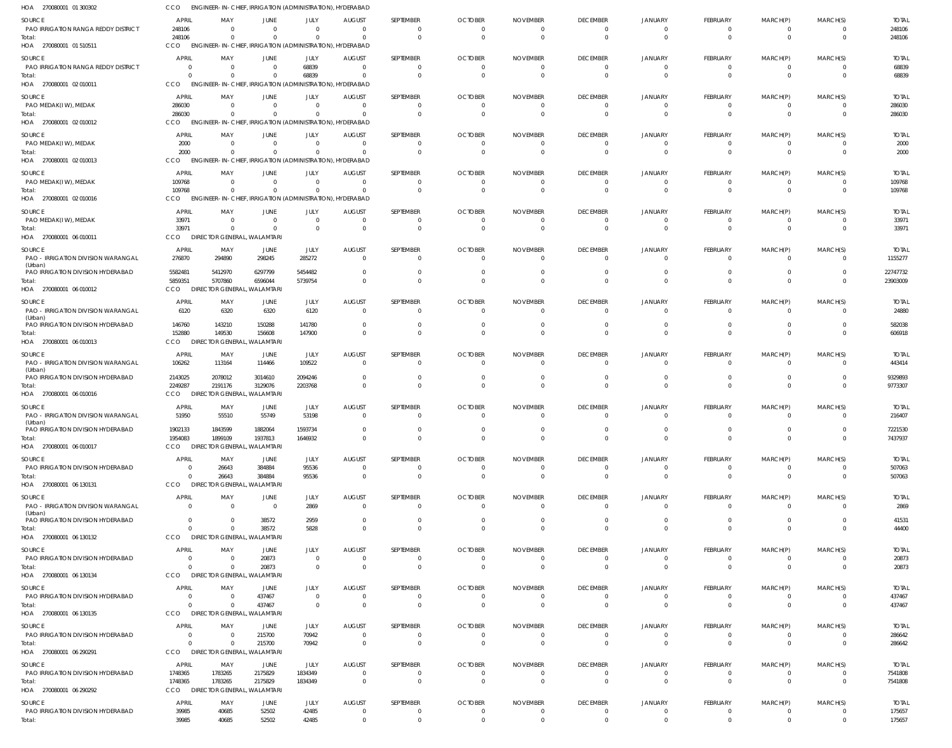| HOA 270080001 01 300302                                                            | cco                                     | ENGINEER-IN-CHIEF, IRRIGATION (ADMINISTRATION), HYDERABAD                                               |                                                 |                                          |                                                   |                                   |                                                    |                                               |                                         |                            |                                              |                                        |                      |                                  |
|------------------------------------------------------------------------------------|-----------------------------------------|---------------------------------------------------------------------------------------------------------|-------------------------------------------------|------------------------------------------|---------------------------------------------------|-----------------------------------|----------------------------------------------------|-----------------------------------------------|-----------------------------------------|----------------------------|----------------------------------------------|----------------------------------------|----------------------|----------------------------------|
| SOURCE<br>PAO IRRIGATION RANGA REDDY DISTRICT<br>Total:                            | <b>APRIL</b><br>248106<br>248106        | MAY<br>$\Omega$<br>$\Omega$                                                                             | <b>JUNE</b><br>$\overline{0}$<br>$\overline{0}$ | JULY<br>$\overline{0}$<br>$\Omega$       | <b>AUGUST</b><br>$\overline{0}$<br>$\Omega$       | SEPTEMBER<br>- 0<br>$\Omega$      | <b>OCTOBER</b><br>$\overline{0}$<br>$\overline{0}$ | <b>NOVEMBER</b><br>0<br>$\overline{0}$        | <b>DECEMBER</b><br>$\Omega$             | JANUARY<br>$\Omega$        | FEBRUARY<br>$\overline{0}$<br>$\overline{0}$ | MARCH(P)<br>$\Omega$<br>$\overline{0}$ | MARCH(S)<br>$\Omega$ | <b>TOTAL</b><br>248106<br>248106 |
| HOA 270080001 01 510511                                                            | CCO                                     | ENGINEER-IN-CHIEF, IRRIGATION (ADMINISTRATION), HYDERABAD                                               |                                                 |                                          |                                                   |                                   |                                                    |                                               |                                         |                            |                                              |                                        |                      |                                  |
| SOURCE<br>PAO IRRIGATION RANGA REDDY DISTRICT<br>Total:                            | <b>APRIL</b>                            | MAY<br>$\overline{\mathbf{0}}$<br>$\Omega$                                                              | JUNE<br>$\overline{0}$<br>$\overline{0}$        | JULY<br>68839<br>68839                   | <b>AUGUST</b><br>$\overline{0}$<br>$\overline{0}$ | SEPTEMBER                         | <b>OCTOBER</b><br>$\overline{0}$<br>- 0            | <b>NOVEMBER</b><br>$\overline{0}$<br>$\Omega$ | <b>DECEMBER</b><br>$\Omega$<br>$\Omega$ | <b>JANUARY</b>             | FEBRUARY<br>$\overline{0}$<br>$\Omega$       | MARCH(P)<br>$\overline{0}$<br>$\Omega$ | MARCH(S)<br>$\Omega$ | <b>TOTAL</b><br>68839<br>68839   |
| HOA 270080001 02 010011                                                            | <b>CCO</b>                              | ENGINEER-IN-CHIEF, IRRIGATION (ADMINISTRATION), HYDERABAD                                               |                                                 |                                          |                                                   |                                   |                                                    |                                               |                                         |                            |                                              |                                        |                      |                                  |
| SOURCE<br>PAO MEDAK(IW), MEDAK<br>Total:<br>HOA 270080001 02 010012                | <b>APRIL</b><br>286030<br>286030<br>CCO | MAY<br>$\Omega$<br>$\overline{\mathbf{0}}$<br>ENGINEER-IN-CHIEF, IRRIGATION (ADMINISTRATION), HYDERABAD | JUNE<br>$\overline{0}$<br>$\overline{0}$        | JULY<br>$\overline{0}$<br>$\overline{0}$ | <b>AUGUST</b><br>- 0<br>$\overline{0}$            | SEPTEMBER<br>$\Omega$<br>$\Omega$ | <b>OCTOBER</b><br>$\Omega$<br>$\overline{0}$       | <b>NOVEMBER</b><br>- 0<br>$\overline{0}$      | <b>DECEMBER</b><br>$\Omega$             | JANUARY                    | FEBRUARY<br>- 0<br>$\overline{0}$            | MARCH(P)<br>$\Omega$<br>$\overline{0}$ | MARCH(S)<br>$\Omega$ | <b>TOTAL</b><br>286030<br>286030 |
| SOURCE<br>PAO MEDAK(IW), MEDAK<br>lotal:                                           | <b>APRIL</b><br>2000<br>2000            | MAY<br>$\overline{\mathbf{0}}$<br>$\Omega$                                                              | <b>JUNE</b><br>$\overline{0}$<br>$\overline{0}$ | JULY<br>$\overline{0}$<br>$\overline{0}$ | <b>AUGUST</b><br>$\overline{0}$<br>$\overline{0}$ | SEPTEMBER                         | <b>OCTOBER</b><br>$\overline{0}$<br>$\overline{0}$ | <b>NOVEMBER</b><br>0<br>$\overline{0}$        | <b>DECEMBER</b><br>- 0<br>$\Omega$      | <b>JANUARY</b>             | FEBRUARY<br>$\overline{0}$<br>$\Omega$       | MARCH(P)<br>0<br>$\Omega$              | MARCH(S)<br>$\Omega$ | <b>TOTAL</b><br>2000<br>2000     |
| HOA 270080001 02 010013                                                            | <b>CCO</b>                              | ENGINEER-IN-CHIEF, IRRIGATION (ADMINISTRATION), HYDERABAD                                               |                                                 |                                          |                                                   |                                   |                                                    |                                               |                                         |                            |                                              |                                        |                      |                                  |
| SOURCE<br>PAO MEDAK(IW), MEDAK<br>Total:<br>HOA 270080001 02 010016                | <b>APRIL</b><br>109768<br>109768<br>CCO | MAY<br>$\Omega$<br>$\Omega$<br>ENGINEER-IN-CHIEF, IRRIGATION (ADMINISTRATION), HYDERABAD                | <b>JUNE</b><br>$\overline{0}$<br>$\overline{0}$ | JULY<br>$\overline{0}$<br>$\overline{0}$ | <b>AUGUST</b><br>$\overline{0}$<br>- 0            | SEPTEMBER<br>- 0<br>$\cap$        | <b>OCTOBER</b><br>$\overline{0}$<br>$\Omega$       | <b>NOVEMBER</b><br>$\overline{0}$<br>$\Omega$ | <b>DECEMBER</b><br>$\Omega$             | <b>JANUARY</b>             | FEBRUARY<br>$\Omega$<br>$\Omega$             | MARCH(P)<br>$\Omega$<br>$\Omega$       | MARCH(S)<br>$\Omega$ | <b>TOTAL</b><br>109768<br>109768 |
| SOURCE                                                                             | <b>APRIL</b>                            | MAY                                                                                                     | JUNE                                            | JULY                                     | <b>AUGUST</b>                                     | SEPTEMBER                         | <b>OCTOBER</b>                                     | <b>NOVEMBER</b>                               | <b>DECEMBER</b>                         | <b>JANUARY</b>             | FEBRUARY                                     | MARCH(P)                               | MARCH(S)             | <b>TOTAL</b>                     |
| PAO MEDAK(IW), MEDAK<br>Total:<br>HOA 270080001 06 010011                          | 33971<br>33971<br><b>CCO</b>            | $\overline{0}$<br>$\overline{0}$<br>DIRECTOR GENERAL, WALAMTARI                                         | $\overline{0}$<br>$\overline{0}$                | $\overline{0}$<br>$\overline{0}$         | $\overline{0}$<br>$\overline{0}$                  | - 0<br>$\Omega$                   | $\overline{0}$<br>$\overline{0}$                   | $\overline{0}$<br>$\overline{0}$              | $\Omega$<br>$\Omega$                    |                            | $\overline{0}$<br>$\overline{0}$             | $\overline{0}$<br>$\overline{0}$       | - 0<br>$\Omega$      | 33971<br>33971                   |
| SOURCE                                                                             | <b>APRIL</b>                            | MAY                                                                                                     | JUNE                                            | JULY                                     | <b>AUGUST</b>                                     | SEPTEMBER                         | <b>OCTOBER</b>                                     | <b>NOVEMBER</b>                               | <b>DECEMBER</b>                         | JANUARY                    | FEBRUARY                                     | MARCH(P)                               | MARCH(S)             | <b>TOTAL</b>                     |
| PAO - IRRIGATION DIVISION WARANGAL<br>(Urban)<br>PAO IRRIGATION DIVISION HYDERABAD | 276870<br>5582481                       | 294890<br>5412970                                                                                       | 298245<br>6297799                               | 285272<br>5454482                        | $\overline{0}$<br>$\overline{0}$                  | $\Omega$                          | $\Omega$<br>0                                      | $\Omega$<br>0                                 | $\Omega$                                |                            | $\Omega$                                     | $\Omega$                               |                      | 1155277<br>22747732              |
| Total:<br>HOA 270080001 06 010012                                                  | 5859351<br>CCO                          | 5707860<br>DIRECTOR GENERAL, WALAMTARI                                                                  | 6596044                                         | 5739754                                  | $\Omega$                                          | $\Omega$                          | $\Omega$                                           | $\Omega$                                      |                                         |                            | $\Omega$                                     | $\Omega$                               |                      | 23903009                         |
| SOURCE<br>PAO - IRRIGATION DIVISION WARANGAL<br>(Urban)                            | <b>APRIL</b><br>6120                    | MAY<br>6320                                                                                             | JUNE<br>6320                                    | JULY<br>6120                             | AUGUST<br>$\overline{0}$                          | SEPTEMBER<br>- 0                  | <b>OCTOBER</b><br>$\overline{0}$                   | <b>NOVEMBER</b><br>$\overline{0}$             | <b>DECEMBER</b>                         | <b>JANUARY</b>             | FEBRUARY<br>$\mathbf{0}$                     | MARCH(P)<br>$\Omega$                   | MARCH(S)             | <b>TOTAL</b><br>24880            |
| PAO IRRIGATION DIVISION HYDERABAD<br>Total:<br>HOA 270080001 06 010013             | 146760<br>152880<br>CCO                 | 143210<br>149530<br>DIRECTOR GENERAL, WALAMTARI                                                         | 150288<br>156608                                | 141780<br>147900                         | $\overline{0}$<br>$\overline{0}$                  | - 0                               | $\overline{0}$<br>$\Omega$                         | $\overline{0}$<br>$\Omega$                    | - 0<br>$\Omega$                         |                            | $\Omega$<br>$\Omega$                         | 0<br>$\Omega$                          | $\Omega$             | 582038<br>606918                 |
| SOURCE<br>PAO - IRRIGATION DIVISION WARANGAL                                       | <b>APRIL</b><br>106262                  | MAY<br>113164                                                                                           | JUNE<br>114466                                  | JULY<br>109522                           | <b>AUGUST</b><br>$\Omega$                         | SEPTEMBER<br>$\Omega$             | <b>OCTOBER</b><br>$\Omega$                         | <b>NOVEMBER</b><br>- 0                        | <b>DECEMBER</b>                         | <b>JANUARY</b>             | FEBRUARY<br>$\Omega$                         | MARCH(P)<br>$\Omega$                   | MARCH(S)             | <b>TOTAL</b><br>443414           |
| (Urban)<br>PAO IRRIGATION DIVISION HYDERABAD<br>Total:                             | 2143025<br>2249287                      | 2078012<br>2191176                                                                                      | 3014610<br>3129076                              | 2094246<br>2203768                       | $\overline{0}$<br>$\Omega$                        | - 0                               | 0<br>$\Omega$                                      | $\Omega$<br>$\Omega$                          |                                         |                            | 0<br>$\Omega$                                | 0                                      | $\Omega$             | 9329893<br>9773307               |
| HOA 270080001 06 010016                                                            | <b>CCO</b>                              | DIRECTOR GENERAL, WALAMTARI                                                                             |                                                 |                                          |                                                   |                                   |                                                    |                                               |                                         |                            |                                              |                                        |                      |                                  |
| SOURCE<br>PAO - IRRIGATION DIVISION WARANGAL<br>(Urban)                            | <b>APRIL</b><br>51950                   | MAY<br>55510                                                                                            | JUNE<br>55749                                   | JULY<br>53198                            | <b>AUGUST</b><br>$\overline{0}$                   | SEPTEMBER<br>$\Omega$             | <b>OCTOBER</b><br>$\Omega$                         | <b>NOVEMBER</b><br>$\Omega$                   | <b>DECEMBER</b><br>$\Omega$             | <b>JANUARY</b>             | FEBRUARY<br>$\Omega$                         | MARCH(P)<br>$\Omega$                   | MARCH(S)             | <b>TOTAL</b><br>216407           |
| PAO IRRIGATION DIVISION HYDERABAD<br>Total:<br>HOA 270080001 06 010017             | 1902133<br>1954083<br>CCO               | 1843599<br>1899109<br>DIRECTOR GENERAL, WALAMTARI                                                       | 1882064<br>1937813                              | 1593734<br>1646932                       | $\overline{0}$                                    | $\Omega$                          | $\overline{0}$                                     | $\overline{0}$                                | $\Omega$                                | $\Omega$                   | $\overline{0}$                               | $\mathbf 0$                            | $\Omega$             | 7221530<br>7437937               |
| SOURCE<br>PAO IRRIGATION DIVISION HYDERABAD                                        | <b>APRIL</b><br>- 0                     | MAY<br>26643                                                                                            | <b>JUNE</b><br>384884                           | JULY<br>95536                            | <b>AUGUST</b><br>$\overline{0}$                   | SEPTEMBER<br>- 0                  | <b>OCTOBER</b><br>$\overline{0}$                   | <b>NOVEMBER</b><br>0                          | <b>DECEMBER</b><br>- 0                  | <b>JANUARY</b>             | FEBRUARY<br>$^{\circ}$                       | MARCH(P)<br>0                          | MARCH(S)             | <b>TOTAL</b><br>507063           |
| Total:<br>HOA 270080001 06 130131                                                  | $\Omega$<br><b>CCO</b>                  | 26643<br>DIRECTOR GENERAL, WALAMTARI                                                                    | 384884                                          | 95536                                    | $\overline{0}$                                    | $\Omega$                          | $\overline{0}$                                     | $\overline{0}$                                | $\Omega$                                | $\Omega$                   | $\Omega$                                     | $\overline{0}$                         | $\Omega$             | 507063                           |
| SOURCE<br>PAO - IRRIGATION DIVISION WARANGAL                                       | <b>APRIL</b>                            | MAY<br>$\overline{0}$                                                                                   | JUNE<br>$\overline{0}$                          | JULY<br>2869                             | AUGUST<br>$\overline{0}$                          | SEPTEMBER<br>$\Omega$             | <b>OCTOBER</b><br>$\overline{0}$                   | <b>NOVEMBER</b><br>$\overline{0}$             | <b>DECEMBER</b><br>$\Omega$             | <b>JANUARY</b>             | FEBRUARY<br>$\overline{0}$                   | MARCH(P)<br>$^{\circ}$                 | MARCH(S)             | <b>TOTAL</b><br>2869             |
| (Urban)<br>PAO IRRIGATION DIVISION HYDERABAD<br>Total:                             | $\Omega$<br>$\Omega$                    | $\Omega$<br>$\Omega$                                                                                    | 38572<br>38572                                  | 2959<br>5828                             | $\overline{0}$<br>$\overline{0}$                  | $\Omega$<br>$\Omega$              | $\overline{0}$<br>$\overline{0}$                   | $\overline{0}$<br>$\Omega$                    | $\Omega$<br>$\Omega$                    | - 0<br>$\Omega$            | $\overline{0}$<br>$\Omega$                   | $\overline{0}$<br>$\overline{0}$       | $\Omega$<br>$\Omega$ | 41531<br>44400                   |
| HOA 270080001 06 130132                                                            | CCO                                     | DIRECTOR GENERAL, WALAMTARI                                                                             |                                                 |                                          |                                                   |                                   |                                                    |                                               |                                         |                            |                                              |                                        |                      |                                  |
| SOURCE<br>PAO IRRIGATION DIVISION HYDERABAD<br>Total:                              | <b>APRIL</b><br>$\Omega$                | MAY<br>$\Omega$<br>$\Omega$                                                                             | JUNE<br>20873<br>20873                          | JULY<br>$\overline{0}$<br>$\mathbf{0}$   | <b>AUGUST</b><br>$\overline{0}$<br>$\overline{0}$ | SEPTEMBER<br>- 0<br>$\Omega$      | <b>OCTOBER</b><br>0<br>$\overline{0}$              | <b>NOVEMBER</b><br>0<br>$\overline{0}$        | <b>DECEMBER</b><br>- 0<br>$\Omega$      | <b>JANUARY</b><br>$\Omega$ | FEBRUARY<br>$^{\circ}$<br>$\overline{0}$     | MARCH(P)<br>$\Omega$<br>$\overline{0}$ | MARCH(S)<br>$\Omega$ | <b>TOTAL</b><br>20873<br>20873   |
| HOA 270080001 06 130134                                                            | <b>CCO</b>                              | DIRECTOR GENERAL, WALAMTARI                                                                             |                                                 |                                          |                                                   |                                   |                                                    |                                               |                                         |                            |                                              |                                        |                      |                                  |
| SOURCE<br>PAO IRRIGATION DIVISION HYDERABAD                                        | <b>APRIL</b>                            | MAY<br>$\overline{0}$                                                                                   | JUNE<br>437467                                  | JULY<br>$\overline{0}$                   | <b>AUGUST</b><br>$\overline{0}$                   | SEPTEMBER<br>- 0                  | <b>OCTOBER</b><br>$\overline{0}$                   | <b>NOVEMBER</b><br>$\overline{0}$             | <b>DECEMBER</b><br>$\Omega$             | <b>JANUARY</b>             | FEBRUARY<br>-0                               | MARCH(P)<br>0                          | MARCH(S)             | <b>TOTAL</b><br>437467           |
| Total:<br>HOA 270080001 06 130135                                                  | $\Omega$<br><b>CCO</b>                  | $\Omega$<br>DIRECTOR GENERAL, WALAMTARI                                                                 | 437467                                          | $\overline{0}$                           | $\overline{0}$                                    | $\Omega$                          | $\overline{0}$                                     | $\overline{0}$                                | $\mathbf 0$                             | $\Omega$                   | $\overline{0}$                               | $\overline{0}$                         | $\Omega$             | 437467                           |
| SOURCE<br>PAO IRRIGATION DIVISION HYDERABAD                                        | <b>APRIL</b>                            | MAY<br>$\Omega$                                                                                         | JUNE<br>215700                                  | JULY<br>70942                            | <b>AUGUST</b><br>$\overline{0}$                   | SEPTEMBER<br>- 0                  | <b>OCTOBER</b><br>$\overline{0}$                   | <b>NOVEMBER</b><br>$\overline{0}$             | <b>DECEMBER</b><br>- 0                  | <b>JANUARY</b>             | FEBRUARY<br>$\overline{0}$                   | MARCH(P)<br>$\overline{0}$             | MARCH(S)             | <b>TOTAL</b><br>286642           |
| Total:<br>HOA 270080001 06 290291                                                  | $\Omega$<br>CCO                         | $\Omega$<br>DIRECTOR GENERAL, WALAMTARI                                                                 | 215700                                          | 70942                                    | $\overline{0}$                                    | $\Omega$                          | $\overline{0}$                                     | $\overline{0}$                                | $\Omega$                                | $\Omega$                   | $\overline{0}$                               | $\overline{0}$                         | $\Omega$             | 286642                           |
| SOURCE<br>PAO IRRIGATION DIVISION HYDERABAD                                        | <b>APRIL</b><br>1748365                 | MAY<br>1783265                                                                                          | JUNE<br>2175829                                 | JULY<br>1834349                          | <b>AUGUST</b><br>$\overline{0}$                   | SEPTEMBER<br>- 0                  | <b>OCTOBER</b><br>$\overline{0}$                   | <b>NOVEMBER</b><br>$\overline{0}$             | <b>DECEMBER</b><br>$\mathbf{0}$         | <b>JANUARY</b><br>$\Omega$ | FEBRUARY<br>$\overline{0}$                   | MARCH(P)<br>$\overline{0}$             | MARCH(S)<br>$\Omega$ | <b>TOTAL</b><br>7541808          |
| Total:<br>HOA 270080001 06 290292                                                  | 1748365<br>CCO                          | 1783265<br>DIRECTOR GENERAL, WALAMTARI                                                                  | 2175829                                         | 1834349                                  | $\overline{0}$                                    | $\Omega$                          | $\overline{0}$                                     | $\overline{0}$                                | $\Omega$                                | $\Omega$                   | $\overline{0}$                               | $\overline{0}$                         | $\Omega$             | 7541808                          |
| SOURCE<br>PAO IRRIGATION DIVISION HYDERABAD                                        | <b>APRIL</b><br>39985                   | MAY<br>40685                                                                                            | JUNE<br>52502                                   | JULY<br>42485                            | <b>AUGUST</b><br>$\overline{0}$                   | SEPTEMBER                         | <b>OCTOBER</b><br>$\overline{0}$                   | <b>NOVEMBER</b><br>$\overline{0}$             | <b>DECEMBER</b><br>- 0                  | <b>JANUARY</b>             | FEBRUARY<br>0                                | MARCH(P)                               | MARCH(S)             | <b>TOTAL</b><br>175657           |
| Total:                                                                             | 39985                                   | 40685                                                                                                   | 52502                                           | 42485                                    | $\overline{0}$                                    | $\Omega$                          | $\overline{0}$                                     | $\overline{0}$                                | $\Omega$                                | $\Omega$                   | $\overline{0}$                               | $\overline{0}$                         | $\mathbf{0}$         | 175657                           |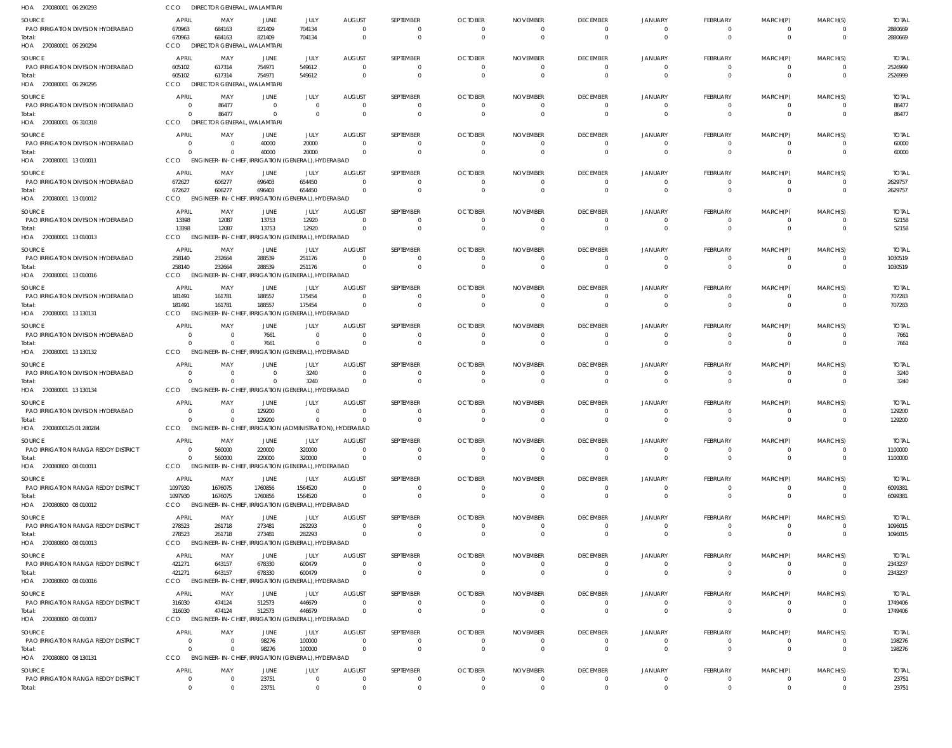| HOA 270080001 06 290293                       | CCO                      | DIRECTOR GENERAL, WALAMTARI                                        |                      |                                           |                                          |                       |                                           |                                            |                             |                      |                             |                      |                      |                         |
|-----------------------------------------------|--------------------------|--------------------------------------------------------------------|----------------------|-------------------------------------------|------------------------------------------|-----------------------|-------------------------------------------|--------------------------------------------|-----------------------------|----------------------|-----------------------------|----------------------|----------------------|-------------------------|
| SOURCE                                        | APRIL                    | MAY                                                                | JUNE                 | JULY                                      | <b>AUGUST</b>                            | <b>SEPTEMBER</b>      | <b>OCTOBER</b>                            | <b>NOVEMBER</b>                            | <b>DECEMBER</b>             | <b>JANUARY</b>       | <b>FEBRUARY</b>             | MARCH(P)             | MARCH(S)             | <b>TOTAL</b>            |
| PAO IRRIGATION DIVISION HYDERABAD             | 670963                   | 684163                                                             | 821409               | 704134                                    | $\overline{\mathbf{0}}$                  | $^{\circ}$            | $\overline{\mathbf{0}}$                   | $\overline{\mathbf{0}}$                    | $\Omega$                    | $\Omega$             | 0                           | 0                    | $\Omega$             | 2880669                 |
| Total:                                        | 670963                   | 684163                                                             | 821409               | 704134                                    | $\Omega$                                 | $\Omega$              | $\Omega$                                  | $\overline{\phantom{0}}$                   | $\Omega$                    | $\Omega$             | $\Omega$                    | $\Omega$             | $\Omega$             | 2880669                 |
| HOA 270080001 06 290294                       | CCO                      | DIRECTOR GENERAL, WALAMTARI                                        |                      |                                           |                                          |                       |                                           |                                            |                             |                      |                             |                      |                      |                         |
| SOURCE<br>PAO IRRIGATION DIVISION HYDERABAD   | <b>APRIL</b><br>605102   | MAY<br>617314                                                      | JUNE<br>754971       | JULY<br>549612                            | <b>AUGUST</b><br>$\overline{0}$          | SEPTEMBER<br>$\Omega$ | <b>OCTOBER</b><br>$\Omega$                | <b>NOVEMBER</b><br>- 0                     | <b>DECEMBER</b><br>$\Omega$ | JANUARY<br>- ( )     | <b>FEBRUARY</b><br>0        | MARCH(P)<br>0        | MARCH(S)             | <b>TOTAL</b><br>2526999 |
| Total:                                        | 605102                   | 617314                                                             | 754971               | 549612                                    | $\overline{0}$                           | 0                     | $\overline{0}$                            | $\overline{\mathbf{0}}$                    | $\Omega$                    | $\Omega$             | $\mathbf{0}$                | $\mathbf{0}$         | $\Omega$             | 2526999                 |
| HOA 270080001 06 290295                       | CCO                      | DIRECTOR GENERAL, WALAMTARI                                        |                      |                                           |                                          |                       |                                           |                                            |                             |                      |                             |                      |                      |                         |
| SOURCE                                        | <b>APRIL</b>             | MAY                                                                | JUNE                 | JULY                                      | <b>AUGUST</b>                            | SEPTEMBER             | <b>OCTOBER</b>                            | <b>NOVEMBER</b>                            | <b>DECEMBER</b>             | JANUARY              | FEBRUARY                    | MARCH(P)             | MARCH(S)             | <b>TOTAL</b>            |
| PAO IRRIGATION DIVISION HYDERABAD             | $\Omega$                 | 86477                                                              | $\overline{0}$       | $\Omega$                                  | $\overline{0}$                           | 0                     | $\overline{0}$                            | $\overline{0}$                             | $\Omega$                    |                      | 0                           | 0                    |                      | 86477                   |
| Total:                                        | $\Omega$                 | 86477                                                              | $\overline{0}$       | $\Omega$                                  | $\overline{0}$                           | $\mathbf{0}$          | $\overline{0}$                            | $\overline{0}$                             | $\Omega$                    | $\Omega$             | $\mathbf{0}$                | $\mathbf{0}$         | $\Omega$             | 86477                   |
| HOA 270080001 06 310318                       | CCO                      | <b>DIRECTOR GENERAL, WALAMTARI</b>                                 |                      |                                           |                                          |                       |                                           |                                            |                             |                      |                             |                      |                      |                         |
| SOURCE                                        | <b>APRIL</b>             | MAY                                                                | JUNE                 | JULY                                      | <b>AUGUST</b>                            | SEPTEMBER             | <b>OCTOBER</b>                            | <b>NOVEMBER</b>                            | <b>DECEMBER</b>             | JANUARY              | <b>FEBRUARY</b>             | MARCH(P)             | MARCH(S)             | <b>TOTAL</b>            |
| PAO IRRIGATION DIVISION HYDERABAD<br>Total:   | $\Omega$                 | $\Omega$<br>$\Omega$                                               | 40000<br>40000       | 20000<br>20000                            | - 0<br>$\Omega$                          | $\Omega$<br>$\Omega$  | $\overline{\mathbf{0}}$<br>$\Omega$       | - 0<br>$\Omega$                            | - 0<br>$\Omega$             |                      | $\Omega$<br>$\Omega$        | $\Omega$<br>$\Omega$ |                      | 60000<br>60000          |
| HOA 270080001 13010011                        | CCO                      | ENGINEER-IN-CHIEF, IRRIGATION (GENERAL), HYDERABAD                 |                      |                                           |                                          |                       |                                           |                                            |                             |                      |                             |                      |                      |                         |
| SOURCE                                        | APRIL                    | MAY                                                                | JUNE                 | JULY                                      | <b>AUGUST</b>                            | <b>SEPTEMBER</b>      | <b>OCTOBER</b>                            | <b>NOVEMBER</b>                            | <b>DECEMBER</b>             | JANUARY              | <b>FEBRUARY</b>             | MARCH(P)             | MARCH(S)             | <b>TOTAL</b>            |
| PAO IRRIGATION DIVISION HYDERABAD             | 672627                   | 606277                                                             | 696403               | 654450                                    | $\Omega$                                 | $\Omega$              | $\overline{0}$                            | $\overline{\mathbf{0}}$                    | $\Omega$                    | $\Omega$             | 0                           | 0                    | $\Omega$             | 2629757                 |
| Total:                                        | 672627                   | 606277                                                             | 696403               | 654450                                    | $\overline{\mathbf{0}}$                  | $\Omega$              | $\overline{0}$                            | $\overline{\mathbf{0}}$                    | $\Omega$                    |                      | $\mathbf{0}$                | $\mathbf{0}$         | $\Omega$             | 2629757                 |
| HOA 270080001 13010012                        | CCO                      | ENGINEER-IN-CHIEF, IRRIGATION (GENERAL), HYDERABAD                 |                      |                                           |                                          |                       |                                           |                                            |                             |                      |                             |                      |                      |                         |
| SOURCE                                        | APRIL                    | MAY                                                                | JUNE                 | JULY                                      | <b>AUGUST</b>                            | <b>SEPTEMBER</b>      | <b>OCTOBER</b>                            | <b>NOVEMBER</b>                            | <b>DECEMBER</b>             | JANUARY              | FEBRUARY                    | MARCH(P)             | MARCH(S)             | <b>TOTAL</b>            |
| PAO IRRIGATION DIVISION HYDERABAD             | 13398                    | 12087                                                              | 13753                | 12920                                     | $\Omega$                                 | $\Omega$              | $\Omega$                                  | - 0                                        | - ( )                       |                      | 0                           |                      |                      | 52158                   |
| Total:<br>HOA 270080001 13 010013             | 13398<br>CCO             | 12087<br>ENGINEER-IN-CHIEF, IRRIGATION (GENERAL), HYDERABAD        | 13753                | 12920                                     | $\Omega$                                 | $\Omega$              | $\Omega$                                  | $\overline{0}$                             | $\Omega$                    |                      | $\Omega$                    |                      |                      | 52158                   |
|                                               |                          |                                                                    |                      |                                           |                                          |                       |                                           |                                            |                             |                      |                             |                      |                      |                         |
| SOURCE<br>PAO IRRIGATION DIVISION HYDERABAD   | APRIL<br>258140          | MAY<br>232664                                                      | JUNE<br>288539       | JULY<br>251176                            | <b>AUGUST</b><br>$\Omega$                | SEPTEMBER<br>$\Omega$ | <b>OCTOBER</b><br>$\overline{0}$          | <b>NOVEMBER</b><br>$\overline{0}$          | <b>DECEMBER</b><br>$\Omega$ | JANUARY              | <b>FEBRUARY</b><br>0        | MARCH(P)             | MARCH(S)             | <b>TOTAL</b><br>1030519 |
| Total:                                        | 258140                   | 232664                                                             | 288539               | 251176                                    | $\Omega$                                 | $\Omega$              | $\overline{0}$                            | $\overline{\mathbf{0}}$                    | $\Omega$                    | $\Omega$             | $\mathbf{0}$                | 0                    | $\Omega$             | 1030519                 |
| HOA 270080001 13010016                        | CCO                      | <b>ENGINEER-IN-CHIEF,</b>                                          |                      | IRRIGATION (GENERAL), HYDERABAD           |                                          |                       |                                           |                                            |                             |                      |                             |                      |                      |                         |
| SOURCE                                        | APRIL                    | MAY                                                                | JUNE                 | JULY                                      | <b>AUGUST</b>                            | SEPTEMBER             | <b>OCTOBER</b>                            | <b>NOVEMBER</b>                            | <b>DECEMBER</b>             | <b>JANUARY</b>       | <b>FEBRUARY</b>             | MARCH(P)             | MARCH(S)             | <b>TOTAL</b>            |
| PAO IRRIGATION DIVISION HYDERABAD             | 181491                   | 161781                                                             | 188557               | 175454                                    | $\Omega$                                 | $\Omega$              | $\overline{0}$                            | $\overline{0}$                             | $\Omega$                    |                      | 0                           | $\Omega$             |                      | 707283                  |
| Total:                                        | 181491<br>CCO            | 161781<br><b>ENGINEER-IN-CHIEF,</b>                                | 188557               | 175454<br>IRRIGATION (GENERAL), HYDERABAD | $\Omega$                                 | $\Omega$              | $\Omega$                                  | $\Omega$                                   | $\Omega$                    |                      | $\Omega$                    | $\Omega$             | $\Omega$             | 707283                  |
| HOA 270080001 13 130131                       |                          |                                                                    |                      |                                           |                                          |                       |                                           |                                            |                             |                      |                             |                      |                      |                         |
| SOURCE<br>PAO IRRIGATION DIVISION HYDERABAD   | <b>APRIL</b><br>$\Omega$ | MAY<br>$\overline{0}$                                              | JUNE<br>7661         | JULY<br>$\Omega$                          | <b>AUGUST</b><br>$\overline{0}$          | SEPTEMBER<br>$\Omega$ | <b>OCTOBER</b><br>$\overline{\mathbf{0}}$ | <b>NOVEMBER</b><br>$\overline{0}$          | <b>DECEMBER</b><br>$\Omega$ | JANUARY<br>$\Omega$  | <b>FEBRUARY</b><br>0        | MARCH(P)             | MARCH(S)             | <b>TOTAL</b><br>7661    |
| Total:                                        | $\Omega$                 | $\Omega$                                                           | 7661                 |                                           | $\Omega$                                 | $\Omega$              | - 0                                       | $\Omega$                                   | $\Omega$                    |                      | 0                           |                      |                      | 7661                    |
| HOA 270080001 13130132                        | CCO                      | ENGINEER-IN-CHIEF, IRRIGATION (GENERAL), HYDERABAD                 |                      |                                           |                                          |                       |                                           |                                            |                             |                      |                             |                      |                      |                         |
| SOURCE                                        | <b>APRIL</b>             | MAY                                                                | JUNE                 | JULY                                      | <b>AUGUST</b>                            | SEPTEMBER             | <b>OCTOBER</b>                            | <b>NOVEMBER</b>                            | <b>DECEMBER</b>             | JANUARY              | <b>FEBRUARY</b>             | MARCH(P)             | MARCH(S)             | <b>TOTAL</b>            |
| PAO IRRIGATION DIVISION HYDERABAD             | $\Omega$                 | $\Omega$                                                           | $\Omega$             | 3240                                      | $\Omega$                                 | $\Omega$              | $\Omega$                                  | - 0                                        | $\Omega$                    |                      | 0                           |                      |                      | 3240                    |
| Total:                                        | $\Omega$                 | $\Omega$                                                           | $\Omega$             | 3240                                      | $\overline{\mathbf{0}}$                  | $\Omega$              | $\overline{0}$                            | $\overline{\mathbf{0}}$                    | $\Omega$                    |                      | $\mathbf{0}$                | $\Omega$             | $\Omega$             | 3240                    |
| HOA 270080001 13 130134                       | CCO                      | ENGINEER-IN-CHIEF, IRRIGATION (GENERAL), HYDERABAD                 |                      |                                           |                                          |                       |                                           |                                            |                             |                      |                             |                      |                      |                         |
| SOURCE                                        | APRIL                    | MAY                                                                | JUNE                 | JULY                                      | <b>AUGUST</b>                            | SEPTEMBER             | <b>OCTOBER</b>                            | <b>NOVEMBER</b>                            | <b>DECEMBER</b>             | JANUARY              | <b>FEBRUARY</b>             | MARCH(P)             | MARCH(S)             | <b>TOTAL</b>            |
| PAO IRRIGATION DIVISION HYDERABAD<br>Total:   | $\Omega$                 | $\Omega$<br>$\Omega$                                               | 129200<br>129200     | $\Omega$<br>$\Omega$                      | $\overline{0}$<br>$\Omega$               | $\Omega$<br>$\Omega$  | - 0<br>$\Omega$                           | - 0<br>$\Omega$                            | $\Omega$                    | $\Omega$             | 0<br>$\Omega$               | $\Omega$             |                      | 129200<br>129200        |
| HOA 27008000125 01 280284                     | <b>CCO</b>               | ENGINEER-IN-CHIEF, IRRIGATION (ADMINISTRATION), HYDERABAD          |                      |                                           |                                          |                       |                                           |                                            |                             |                      |                             |                      |                      |                         |
| SOURCE                                        | APRIL                    | MAY                                                                | JUNE                 | JULY                                      | <b>AUGUST</b>                            | SEPTEMBER             | <b>OCTOBER</b>                            | <b>NOVEMBER</b>                            | <b>DECEMBER</b>             | <b>JANUARY</b>       | <b>FEBRUARY</b>             | MARCH(P)             | MARCH(S)             | <b>TOTAL</b>            |
| PAO IRRIGATION RANGA REDDY DISTRICT           | $\Omega$                 | 560000                                                             | 220000               | 320000                                    | $\Omega$                                 | $\Omega$              | $\overline{\mathbf{0}}$                   | $\overline{0}$                             | $\Omega$                    | $\Omega$             | 0                           | 0                    |                      | 1100000                 |
| Total:                                        | $\Omega$                 | 560000                                                             | 220000               | 320000                                    | $\Omega$                                 | $\Omega$              | $\Omega$                                  | $\Omega$                                   | $\Omega$                    | $\Omega$             | $\Omega$                    | $\mathbf 0$          | $\Omega$             | 1100000                 |
| HOA 270080800 08 010011                       | CCO                      | ENGINEER-IN-CHIEF, IRRIGATION (GENERAL), HYDERABAD                 |                      |                                           |                                          |                       |                                           |                                            |                             |                      |                             |                      |                      |                         |
| SOURCE                                        | APRIL                    | MAY                                                                | JUNE                 | JULY                                      | <b>AUGUST</b>                            | SEPTEMBER             | <b>OCTOBER</b>                            | <b>NOVEMBER</b>                            | <b>DECEMBER</b>             | JANUARY              | <b>FEBRUARY</b>             | MARCH(P)             | MARCH(S)             | <b>TOTAL</b>            |
| PAO IRRIGATION RANGA REDDY DISTRICT<br>Total: | 1097930<br>1097930       | 1676075<br>1676075                                                 | 1760856<br>1760856   | 1564520<br>1564520                        | $\overline{0}$<br>$\Omega$               | $\Omega$<br>$\Omega$  | $\overline{\mathbf{0}}$<br>$\overline{0}$ | $\overline{\mathbf{0}}$<br>$\overline{0}$  | $\Omega$<br>$\Omega$        | $\Omega$<br>$\Omega$ | 0<br>$\mathbf{0}$           | 0<br>$\overline{0}$  | $\Omega$<br>$\Omega$ | 6099381<br>6099381      |
| HOA 270080800 08 010012                       | CCO                      | ENGINEER-IN-CHIEF, IRRIGATION (GENERAL), HYDERABAD                 |                      |                                           |                                          |                       |                                           |                                            |                             |                      |                             |                      |                      |                         |
| SOURCE                                        | APRIL                    | MAY                                                                | JUNE                 | JULY                                      | <b>AUGUST</b>                            | <b>SEPTEMBER</b>      | <b>OCTOBER</b>                            | <b>NOVEMBER</b>                            | <b>DECEMBER</b>             | <b>JANUARY</b>       | <b>FEBRUARY</b>             | MARCH(P)             | MARCH(S)             | <b>TOTAL</b>            |
| PAO IRRIGATION RANGA REDDY DISTRICT           | 278523                   | 261718                                                             | 273481               | 282293                                    | $\Omega$                                 | $\Omega$              | $\overline{0}$                            | $\overline{0}$                             | $\Omega$                    |                      | 0                           | 0                    |                      | 1096015                 |
| Total:                                        | 278523                   | 261718                                                             | 273481               | 282293                                    | $\Omega$                                 | $\Omega$              | $\overline{\mathbf{0}}$                   | $\overline{0}$                             | $\Omega$                    | $\Omega$             | $\mathbf{0}$                | $\overline{0}$       | $\Omega$             | 1096015                 |
| HOA 270080800 08 010013                       | CCO                      | ENGINEER-IN-CHIEF, IRRIGATION (GENERAL), HYDERABAD                 |                      |                                           |                                          |                       |                                           |                                            |                             |                      |                             |                      |                      |                         |
| SOURCE                                        | APRIL                    | MAY                                                                | JUNE                 | JULY                                      | <b>AUGUST</b>                            | SEPTEMBER             | <b>OCTOBER</b>                            | <b>NOVEMBER</b>                            | <b>DECEMBER</b>             | <b>JANUARY</b>       | FEBRUARY                    | MARCH(P)             | MARCH(S)             | <b>TOTAL</b>            |
| PAO IRRIGATION RANGA REDDY DISTRICT           | 421271                   | 643157                                                             | 678330               | 600479                                    | $\overline{\mathbf{0}}$<br>$\Omega$      | 0                     | $\overline{0}$<br>$\overline{0}$          | $\overline{\mathbf{0}}$<br>$\overline{0}$  | $\Omega$<br>$\Omega$        | - 0<br>$\Omega$      | 0                           |                      | $\Omega$             | 2343237                 |
| Total:<br>HOA 270080800 08 010016             | 421271<br>CCO            | 643157<br>ENGINEER-IN-CHIEF, IRRIGATION (GENERAL), HYDERABAD       | 678330               | 600479                                    |                                          | $\mathbf{0}$          |                                           |                                            |                             |                      | $\mathbf 0$                 | $\overline{0}$       |                      | 2343237                 |
|                                               |                          |                                                                    |                      |                                           |                                          |                       |                                           |                                            |                             |                      |                             |                      |                      |                         |
| SOURCE<br>PAO IRRIGATION RANGA REDDY DISTRICT | APRIL<br>316030          | MAY<br>474124                                                      | JUNE<br>512573       | JULY<br>446679                            | <b>AUGUST</b><br>$\overline{\mathbf{0}}$ | SEPTEMBER<br>$\Omega$ | <b>OCTOBER</b><br>$\overline{\mathbf{0}}$ | <b>NOVEMBER</b><br>$\overline{\mathbf{0}}$ | <b>DECEMBER</b><br>- 0      | JANUARY<br>- 0       | <b>FEBRUARY</b><br>0        | MARCH(P)<br>$\Omega$ | MARCH(S)             | <b>TOTAL</b><br>1749406 |
| Total:                                        | 316030                   | 474124                                                             | 512573               | 446679                                    | $\Omega$                                 | $\Omega$              | $\Omega$                                  | $\overline{0}$                             | $\Omega$                    | $\Omega$             | $\Omega$                    | $\overline{0}$       | $\Omega$             | 1749406                 |
| HOA 270080800 08 010017                       | CCO                      | <b>ENGINEER-IN-CHIEF,</b>                                          |                      | IRRIGATION (GENERAL), HYDERABAD           |                                          |                       |                                           |                                            |                             |                      |                             |                      |                      |                         |
| SOURCE                                        | <b>APRIL</b>             | MAY                                                                | JUNE                 | JULY                                      | <b>AUGUST</b>                            | SEPTEMBER             | <b>OCTOBER</b>                            | <b>NOVEMBER</b>                            | <b>DECEMBER</b>             | <b>JANUARY</b>       | <b>FEBRUARY</b>             | MARCH(P)             | MARCH(S)             | <b>TOTAL</b>            |
| PAO IRRIGATION RANGA REDDY DISTRICT           | $\Omega$                 | $\overline{0}$                                                     | 98276                | 100000                                    | $\overline{0}$                           | 0                     | $\overline{\mathbf{0}}$                   | $\overline{\mathbf{0}}$                    | $\Omega$                    | $\Omega$             | $\overline{0}$              | 0                    | $\Omega$             | 198276                  |
| Total:<br>HOA 270080800 08 130131             | $\Omega$                 | $\Omega$<br>CCO ENGINEER-IN-CHIEF, IRRIGATION (GENERAL), HYDERABAD | 98276                | 100000                                    | $\overline{0}$                           | $\Omega$              | $\overline{0}$                            | $\overline{0}$                             | $\Omega$                    | $\Omega$             | $\mathbf 0$                 | $\overline{0}$       | $\Omega$             | 198276                  |
|                                               |                          |                                                                    |                      |                                           |                                          |                       |                                           |                                            |                             |                      |                             |                      |                      |                         |
| SOURCE<br>PAO IRRIGATION RANGA REDDY DISTRICT | APRIL<br>$\overline{0}$  | MAY<br>$\overline{0}$                                              | <b>JUNE</b><br>23751 | JULY<br>0                                 | <b>AUGUST</b><br>$\overline{0}$          | SEPTEMBER<br>$\Omega$ | <b>OCTOBER</b><br>$\overline{0}$          | <b>NOVEMBER</b><br>$\overline{0}$          | <b>DECEMBER</b><br>$\Omega$ | JANUARY<br>$\Omega$  | <b>FEBRUARY</b><br>$\Omega$ | MARCH(P)             | MARCH(S)             | <b>TOTAL</b><br>23751   |
| Total:                                        | $\Omega$                 | $\Omega$                                                           | 23751                | $\Omega$                                  | $\Omega$                                 | $\Omega$              | $\Omega$                                  | $\Omega$                                   |                             |                      |                             |                      |                      | 23751                   |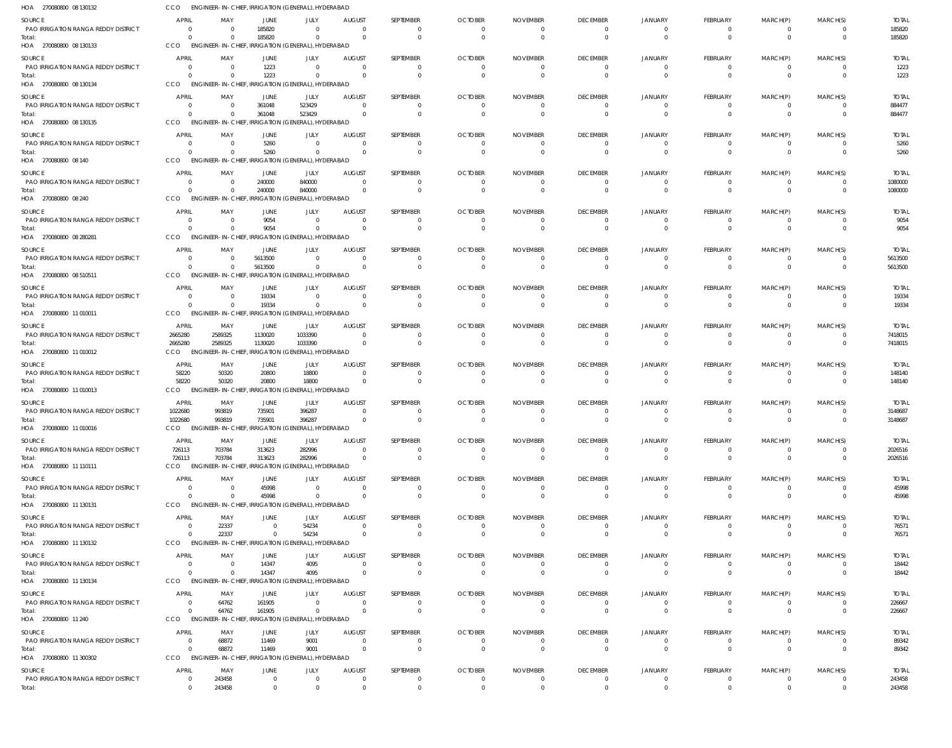| HOA 270080800 08 130132                       | <b>CCO</b>                              | ENGINEER-IN-CHIEF, IRRIGATION (GENERAL), HYDERABAD           |                |                                  |                           |                            |                            |                        |                                            |                            |                                |                                  |                         |                       |
|-----------------------------------------------|-----------------------------------------|--------------------------------------------------------------|----------------|----------------------------------|---------------------------|----------------------------|----------------------------|------------------------|--------------------------------------------|----------------------------|--------------------------------|----------------------------------|-------------------------|-----------------------|
| SOURCE                                        | <b>APRIL</b>                            | MAY                                                          | JUNE           | JULY                             | <b>AUGUST</b>             | SEPTEMBER                  | <b>OCTOBER</b>             | <b>NOVEMBER</b>        | <b>DECEMBER</b>                            | JANUARY                    | FEBRUARY                       | MARCH(P)                         | MARCH(S)                | <b>TOTAL</b>          |
| PAO IRRIGATION RANGA REDDY DISTRICT           | $\Omega$                                | 0                                                            | 185820         | $\Omega$                         | $\Omega$                  | 0                          | $\Omega$                   | - 0                    | $\overline{\mathbf{0}}$                    | $\overline{0}$             | -0                             | $\overline{0}$                   | $\overline{\mathbf{0}}$ | 185820                |
| Total:                                        | $\Omega$                                | $\Omega$                                                     | 185820         | $\Omega$                         | $\Omega$                  | $\mathbf 0$                | $\Omega$                   |                        | $\overline{0}$                             | $\Omega$                   | $\mathbf{0}$                   | $\overline{0}$                   | $\overline{0}$          | 185820                |
| HOA 270080800 08 130133                       | CCO                                     | ENGINEER-IN-CHIEF, IRRIGATION (GENERAL), HYDERABAD           |                |                                  |                           |                            |                            |                        |                                            |                            |                                |                                  |                         |                       |
| SOURCE                                        | <b>APRIL</b>                            | MAY                                                          | JUNE           | <b>JULY</b>                      | <b>AUGUST</b>             | SEPTEMBER                  | <b>OCTOBER</b>             | <b>NOVEMBER</b>        | <b>DECEMBER</b>                            | <b>JANUARY</b>             | <b>FEBRUARY</b>                | MARCH(P)                         | MARCH(S)                | <b>TOTAL</b>          |
| PAO IRRIGATION RANGA REDDY DISTRICT<br>Total: | $\overline{0}$<br>$\Omega$              | 0<br>$\Omega$                                                | 1223<br>1223   | $\overline{0}$<br>$\overline{0}$ | $\Omega$                  | 0<br>$\mathbf 0$           |                            |                        | $\overline{0}$<br>$\overline{0}$           | $\Omega$<br>$\Omega$       | 0<br>$\mathbf 0$               | -0<br>$\overline{0}$             | $\Omega$<br>$\Omega$    | 1223<br>1223          |
| HOA 270080800 08 130134                       | CCO                                     | ENGINEER-IN-CHIEF, IRRIGATION (GENERAL), HYDERABAD           |                |                                  |                           |                            |                            |                        |                                            |                            |                                |                                  |                         |                       |
| SOURCE                                        | <b>APRIL</b>                            | MAY                                                          | JUNE           | JULY                             | <b>AUGUST</b>             | SEPTEMBER                  | <b>OCTOBER</b>             | <b>NOVEMBER</b>        | <b>DECEMBER</b>                            | <b>JANUARY</b>             | FEBRUARY                       | MARCH(P)                         | MARCH(S)                | <b>TOTAL</b>          |
| PAO IRRIGATION RANGA REDDY DISTRICT           | $\Omega$                                | - 0                                                          | 361048         | 523429                           | $\Omega$                  | 0                          | $\Omega$                   |                        | 0                                          | $\Omega$                   | 0                              | $\overline{0}$                   | $\Omega$                | 884477                |
| Total:                                        | $\Omega$                                | $\Omega$                                                     | 361048         | 523429                           | $\Omega$                  | $\mathbf 0$                | $\Omega$                   | $\Omega$               | $\overline{0}$                             | $\Omega$                   | $\mathbf 0$                    | $\mathbf{0}$                     | $\Omega$                | 884477                |
| HOA 270080800 08 130135                       | CCO                                     | ENGINEER-IN-CHIEF, IRRIGATION (GENERAL), HYDERABAD           |                |                                  |                           |                            |                            |                        |                                            |                            |                                |                                  |                         |                       |
| <b>SOURCE</b>                                 | <b>APRIL</b>                            | MAY                                                          | JUNE           | JULY                             | <b>AUGUST</b>             | SEPTEMBER                  | <b>OCTOBER</b>             | <b>NOVEMBER</b>        | <b>DECEMBER</b>                            | JANUARY                    | FEBRUARY                       | MARCH(P)                         | MARCH(S)                | <b>TOTAL</b>          |
| PAO IRRIGATION RANGA REDDY DISTRICT<br>Total: | $\overline{0}$<br>$\Omega$              | - 0<br>$\Omega$                                              | 5260<br>5260   | $\Omega$<br>$\mathbf 0$          | $\Omega$<br>$\cap$        | 0<br>$\Omega$              |                            |                        | $\overline{\mathbf{0}}$<br>$\overline{0}$  | $\Omega$<br>$\Omega$       | 0<br>$\mathbf{0}$              | $\overline{0}$<br>$\Omega$       | $\Omega$<br>$\Omega$    | 5260<br>5260          |
| HOA 270080800 08 140                          | CCO                                     | ENGINEER-IN-CHIEF, IRRIGATION (GENERAL), HYDERABAD           |                |                                  |                           |                            |                            |                        |                                            |                            |                                |                                  |                         |                       |
| SOURCE                                        | <b>APRIL</b>                            | MAY                                                          | JUNE           | JULY                             | <b>AUGUST</b>             | SEPTEMBER                  | <b>OCTOBER</b>             | <b>NOVEMBER</b>        | <b>DECEMBER</b>                            | <b>JANUARY</b>             | FEBRUARY                       | MARCH(P)                         | MARCH(S)                | <b>TOTAL</b>          |
| PAO IRRIGATION RANGA REDDY DISTRICT           | $\overline{0}$                          | 0                                                            | 240000         | 840000                           | $\Omega$                  | $\Omega$                   |                            |                        | $\overline{0}$                             | $\Omega$                   | 0                              | 0                                | $\Omega$                | 1080000               |
| Total:                                        | $\Omega$                                | $\Omega$                                                     | 240000         | 840000                           | $\Omega$                  | $\mathbf 0$                | $\Omega$                   |                        | $\overline{0}$                             | $\Omega$                   | $\mathbf{0}$                   | $\overline{0}$                   | $\Omega$                | 1080000               |
| HOA 270080800 08 240                          | CCO                                     | ENGINEER-IN-CHIEF, IRRIGATION (GENERAL), HYDERABAD           |                |                                  |                           |                            |                            |                        |                                            |                            |                                |                                  |                         |                       |
| SOURCE                                        | <b>APRIL</b>                            | MAY                                                          | JUNE           | JULY                             | <b>AUGUST</b>             | SEPTEMBER                  | <b>OCTOBER</b>             | <b>NOVEMBER</b>        | <b>DECEMBER</b>                            | <b>JANUARY</b>             | FEBRUARY                       | MARCH(P)                         | MARCH(S)                | <b>TOTAL</b>          |
| PAO IRRIGATION RANGA REDDY DISTRICT<br>Total: | 0<br>$\Omega$                           | - 0<br>$\Omega$                                              | 9054<br>9054   | $\Omega$<br>$\mathbf 0$          | - 0                       | 0<br>$\mathbf 0$           |                            |                        | $\overline{0}$<br>$\overline{0}$           | $\Omega$<br>$\Omega$       | 0<br>$\mathbf{0}$              | $\overline{0}$<br>$\overline{0}$ | $\Omega$<br>$\Omega$    | 9054<br>9054          |
| HOA 270080800 08 280281                       | CCO                                     | ENGINEER-IN-CHIEF, IRRIGATION (GENERAL), HYDERABAD           |                |                                  |                           |                            |                            |                        |                                            |                            |                                |                                  |                         |                       |
| SOURCE                                        | <b>APRIL</b>                            | MAY                                                          | <b>JUNE</b>    | JULY                             | <b>AUGUST</b>             | SEPTEMBER                  | <b>OCTOBER</b>             | <b>NOVEMBER</b>        | <b>DECEMBER</b>                            | <b>JANUARY</b>             | FEBRUARY                       | MARCH(P)                         | MARCH(S)                | <b>TOTAL</b>          |
| PAO IRRIGATION RANGA REDDY DISTRICT           | $\overline{0}$                          | $\mathbf 0$                                                  | 5613500        | $\overline{0}$                   | $\Omega$                  | 0                          | $\Omega$                   |                        | 0                                          | $\Omega$                   | 0                              | $\overline{0}$                   | $\Omega$                | 5613500               |
| Total:                                        | $\Omega$                                | $\Omega$                                                     | 5613500        | $\overline{0}$                   | $\cap$                    | $\mathbf 0$                |                            | $\Omega$               | $\overline{0}$                             | $\Omega$                   | $\mathbf 0$                    | $\overline{0}$                   | $\Omega$                | 5613500               |
| HOA 270080800 08 510511                       | CCO                                     | ENGINEER-IN-CHIEF, IRRIGATION (GENERAL), HYDERABAD           |                |                                  |                           |                            |                            |                        |                                            |                            |                                |                                  |                         |                       |
| SOURCE                                        | <b>APRIL</b>                            | MAY                                                          | JUNE           | JULY                             | <b>AUGUST</b>             | SEPTEMBER                  | <b>OCTOBER</b>             | <b>NOVEMBER</b>        | <b>DECEMBER</b>                            | <b>JANUARY</b>             | FEBRUARY                       | MARCH(P)                         | MARCH(S)                | <b>TOTAL</b>          |
| PAO IRRIGATION RANGA REDDY DISTRICT           | $\overline{0}$<br>$\overline{0}$        | 0<br>- 0                                                     | 19334<br>19334 | $\Omega$<br>$\overline{0}$       | - 0<br>$\Omega$           | $\mathbf 0$<br>$\mathbf 0$ | - 0                        |                        | $\overline{\mathbf{0}}$<br>$\overline{0}$  | $\Omega$<br>$\Omega$       | $\overline{0}$<br>$\mathbf{0}$ | $^{\circ}$<br>$\overline{0}$     | $\Omega$<br>$\Omega$    | 19334                 |
| Total:<br>HOA 270080800 11 010011             | CCO                                     | ENGINEER-IN-CHIEF, IRRIGATION (GENERAL), HYDERABAD           |                |                                  |                           |                            |                            |                        |                                            |                            |                                |                                  |                         | 19334                 |
| SOURCE                                        | <b>APRIL</b>                            | MAY                                                          | JUNE           | JULY                             | <b>AUGUST</b>             | SEPTEMBER                  | <b>OCTOBER</b>             | <b>NOVEMBER</b>        | <b>DECEMBER</b>                            | JANUARY                    | FEBRUARY                       | MARCH(P)                         | MARCH(S)                | <b>TOTAL</b>          |
| PAO IRRIGATION RANGA REDDY DISTRICT           | 2665280                                 | 2589325                                                      | 1130020        | 1033390                          | $\Omega$                  | $\Omega$                   | - 0                        |                        | $\overline{\mathbf{0}}$                    | $\Omega$                   | 0                              | $^{\circ}$                       | $\Omega$                | 7418015               |
| Total:                                        | 2665280                                 | 2589325                                                      | 1130020        | 1033390                          | $\Omega$                  | $\mathbf 0$                |                            |                        | $\overline{0}$                             | $\Omega$                   | $\overline{0}$                 | $\overline{0}$                   | $\Omega$                | 7418015               |
| HOA 270080800 11 010012                       | CCO                                     | ENGINEER-IN-CHIEF, IRRIGATION (GENERAL), HYDERABAD           |                |                                  |                           |                            |                            |                        |                                            |                            |                                |                                  |                         |                       |
| SOURCE                                        | <b>APRIL</b>                            | MAY                                                          | JUNE           | JULY                             | <b>AUGUST</b>             | SEPTEMBER                  | <b>OCTOBER</b>             | <b>NOVEMBER</b>        | <b>DECEMBER</b>                            | <b>JANUARY</b>             | FEBRUARY                       | MARCH(P)                         | MARCH(S)                | <b>TOTAL</b>          |
| PAO IRRIGATION RANGA REDDY DISTRICT           | 58220<br>58220                          | 50320<br>50320                                               | 20800<br>20800 | 18800<br>18800                   |                           | $\Omega$<br>$\mathbf 0$    |                            |                        | $\overline{0}$<br>$\overline{0}$           | $\Omega$<br>$\Omega$       | 0<br>$\mathbf 0$               | 0<br>$\overline{0}$              | $\Omega$<br>$\Omega$    | 148140<br>148140      |
| Total:<br>HOA 270080800 11 010013             | <b>CCO</b>                              | ENGINEER-IN-CHIEF, IRRIGATION (GENERAL), HYDERABAD           |                |                                  |                           |                            |                            |                        |                                            |                            |                                |                                  |                         |                       |
| SOURCE                                        | <b>APRIL</b>                            | MAY                                                          | JUNE           | JULY                             | <b>AUGUST</b>             | SEPTEMBER                  | <b>OCTOBER</b>             | <b>NOVEMBER</b>        | <b>DECEMBER</b>                            | JANUARY                    | FEBRUARY                       | MARCH(P)                         | MARCH(S)                | <b>TOTAL</b>          |
| PAO IRRIGATION RANGA REDDY DISTRICT           | 1022680                                 | 993819                                                       | 735901         | 396287                           |                           | 0                          | - 0                        |                        | 0                                          | $\Omega$                   | 0                              | 0                                | $\Omega$                | 3148687               |
| Total:                                        | 1022680                                 | 993819                                                       | 735901         | 396287                           | $\Omega$                  | $\Omega$                   |                            |                        | $\Omega$                                   | $\Omega$                   | $\Omega$                       | $\Omega$                         | $\Omega$                | 3148687               |
| HOA 270080800 11 010016                       | CCO                                     | ENGINEER-IN-CHIEF, IRRIGATION (GENERAL), HYDERABAD           |                |                                  |                           |                            |                            |                        |                                            |                            |                                |                                  |                         |                       |
| SOURCE                                        | <b>APRIL</b>                            | MAY                                                          | JUNE           | JULY                             | <b>AUGUST</b>             | SEPTEMBER                  | <b>OCTOBER</b>             | <b>NOVEMBER</b>        | <b>DECEMBER</b>                            | <b>JANUARY</b>             | <b>FEBRUARY</b>                | MARCH(P)                         | MARCH(S)                | <b>TOTAL</b>          |
| PAO IRRIGATION RANGA REDDY DISTRICT           | 726113                                  | 703784                                                       | 313623         | 282996                           | $\Omega$<br>$\Omega$      | 0                          | $\Omega$                   |                        | $\overline{\mathbf{0}}$                    | $\overline{0}$             | 0                              | $^{\circ}$                       | $\Omega$                | 2026516               |
| Total:<br>HOA 270080800 11 110111             | 726113<br>CCO                           | 703784<br>ENGINEER-IN-CHIEF, IRRIGATION (GENERAL), HYDERABAD | 313623         | 282996                           |                           | $\mathbf 0$                | - 0                        |                        | $\overline{0}$                             | $\overline{0}$             | $\mathbf 0$                    | $\mathbf{0}$                     | $\Omega$                | 2026516               |
| SOURCE                                        | <b>APRIL</b>                            | MAY                                                          |                | JULY                             | <b>AUGUST</b>             | SEPTEMBER                  | <b>OCTOBER</b>             | <b>NOVEMBER</b>        | <b>DECEMBER</b>                            | <b>JANUARY</b>             | FEBRUARY                       | MARCH(P)                         | MARCH(S)                | <b>TOTAL</b>          |
| PAO IRRIGATION RANGA REDDY DISTRICT           | $\Omega$                                | 0                                                            | JUNE<br>45998  | $\overline{0}$                   | $\Omega$                  | $\mathbf 0$                |                            |                        | $\overline{\mathbf{0}}$                    | $\Omega$                   | 0                              | 0                                | $\Omega$                | 45998                 |
| Total:                                        | $\Omega$                                | $\Omega$                                                     | 45998          | $\Omega$                         | $\Omega$                  | $\mathbf 0$                | $\Omega$                   |                        | $\overline{0}$                             | $\Omega$                   | $\mathbf{0}$                   | $\overline{0}$                   | $\Omega$                | 45998                 |
| HOA 270080800 11 130131                       | CCO                                     | ENGINEER-IN-CHIEF, IRRIGATION (GENERAL), HYDERABAD           |                |                                  |                           |                            |                            |                        |                                            |                            |                                |                                  |                         |                       |
| <b>SOURCE</b>                                 | <b>APRIL</b>                            | MAY                                                          | <b>JUNE</b>    | <b>JULY</b>                      | <b>AUGUST</b>             | SEPTEMBER                  | <b>OCTOBER</b>             | <b>NOVEMBER</b>        | <b>DECEMBER</b>                            | <b>JANUARY</b>             | FEBRUARY                       | MARCH(P)                         | MARCH(S)                | <b>TOTAL</b>          |
| PAO IRRIGATION RANGA REDDY DISTRICT           | $\overline{0}$                          | 22337                                                        | $\Omega$       | 54234                            | $\Omega$                  | 0                          |                            |                        | $\overline{0}$                             | $\Omega$                   | 0                              | -0                               | $\Omega$                | 76571                 |
| Total:<br>HOA 270080800 11 130132             | $\overline{0}$<br>CCO                   | 22337<br>ENGINEER-IN-CHIEF, IRRIGATION (GENERAL), HYDERABAD  | $\Omega$       | 54234                            | $\Omega$                  | $\mathbf 0$                |                            |                        | $\overline{0}$                             | $\Omega$                   | $\mathbf 0$                    | $\mathbf{0}$                     | $\overline{0}$          | 76571                 |
| SOURCE                                        | <b>APRIL</b>                            | MAY                                                          | JUNE           | JULY                             | <b>AUGUST</b>             | SEPTEMBER                  | <b>OCTOBER</b>             | <b>NOVEMBER</b>        | <b>DECEMBER</b>                            | <b>JANUARY</b>             | FEBRUARY                       | MARCH(P)                         | MARCH(S)                | <b>TOTAL</b>          |
| PAO IRRIGATION RANGA REDDY DISTRICT           | $\overline{0}$                          | $\overline{0}$                                               | 14347          | 4095                             | $\Omega$                  | 0                          | $\Omega$                   | - 0                    | 0                                          | $\Omega$                   | $^{\circ}$                     | $^{\circ}$                       | $\Omega$                | 18442                 |
| Total:                                        | $\Omega$                                | $\Omega$                                                     | 14347          | 4095                             | $\Omega$                  | $\mathbf 0$                | $\Omega$                   | $\Omega$               | $\overline{0}$                             | $\Omega$                   | $\mathbf 0$                    | $\mathbf{0}$                     | $\Omega$                | 18442                 |
| HOA 270080800 11 130134                       | CCO                                     | ENGINEER-IN-CHIEF, IRRIGATION (GENERAL), HYDERABAD           |                |                                  |                           |                            |                            |                        |                                            |                            |                                |                                  |                         |                       |
| SOURCE                                        | <b>APRIL</b>                            | MAY                                                          | JUNE           | JULY                             | <b>AUGUST</b>             | SEPTEMBER                  | <b>OCTOBER</b>             | <b>NOVEMBER</b>        | <b>DECEMBER</b>                            | <b>JANUARY</b>             | FEBRUARY                       | MARCH(P)                         | MARCH(S)                | <b>TOTAL</b>          |
| PAO IRRIGATION RANGA REDDY DISTRICT           | $\overline{0}$                          | 64762                                                        | 161905         | $\overline{0}$                   | $\Omega$                  | $\mathbf 0$                |                            |                        | $\overline{\mathbf{0}}$                    | $\overline{0}$             | $\overline{0}$                 | $^{\circ}$                       | $\Omega$                | 226667                |
| Total:<br>HOA 270080800 11 240                | $\overline{0}$<br>CCO                   | 64762<br>ENGINEER-IN-CHIEF, IRRIGATION (GENERAL), HYDERABAD  | 161905         | $\overline{0}$                   | $\cap$                    | $\mathbf 0$                |                            |                        | $\overline{\mathbf{0}}$                    | $\Omega$                   | $\mathbf{0}$                   | $\overline{0}$                   | $\Omega$                | 226667                |
|                                               |                                         |                                                              |                |                                  |                           |                            |                            |                        |                                            |                            |                                |                                  |                         |                       |
| SOURCE<br>PAO IRRIGATION RANGA REDDY DISTRICT | <b>APRIL</b><br>$\overline{\mathbf{0}}$ | MAY<br>68872                                                 | JUNE<br>11469  | JULY<br>9001                     | <b>AUGUST</b><br>$\Omega$ | SEPTEMBER<br>$\Omega$      | <b>OCTOBER</b><br>$\Omega$ | <b>NOVEMBER</b><br>- 0 | <b>DECEMBER</b><br>$\overline{\mathbf{0}}$ | <b>JANUARY</b><br>$\Omega$ | <b>FEBRUARY</b><br>0           | MARCH(P)<br>-0                   | MARCH(S)<br>$\Omega$    | <b>TOTAL</b><br>89342 |
| Total:                                        | $\overline{0}$                          | 68872                                                        | 11469          | 9001                             | $\Omega$                  | $\mathbf 0$                | $\Omega$                   | $\Omega$               | $\overline{0}$                             | $\Omega$                   | $\mathbf 0$                    | $\mathbf{0}$                     | $\Omega$                | 89342                 |
| HOA 270080800 11 300302                       | CCO                                     | ENGINEER-IN-CHIEF, IRRIGATION (GENERAL), HYDERABAD           |                |                                  |                           |                            |                            |                        |                                            |                            |                                |                                  |                         |                       |
| SOURCE                                        | <b>APRIL</b>                            | MAY                                                          | JUNE           | JULY                             | <b>AUGUST</b>             | SEPTEMBER                  | <b>OCTOBER</b>             | <b>NOVEMBER</b>        | <b>DECEMBER</b>                            | <b>JANUARY</b>             | FEBRUARY                       | MARCH(P)                         | MARCH(S)                | <b>TOTAL</b>          |
| PAO IRRIGATION RANGA REDDY DISTRICT           | $\overline{0}$                          | 243458                                                       | $\Omega$       | $\overline{0}$                   | $\Omega$                  | $\mathbf 0$                |                            |                        | $\overline{\mathbf{0}}$                    | $\overline{0}$             | $^{\circ}$                     | $^{\circ}$                       | $^{\circ}$              | 243458                |
| Total:                                        | $\overline{0}$                          | 243458                                                       | $\overline{0}$ | $\overline{0}$                   | $\Omega$                  | $\Omega$                   |                            |                        | $\Omega$                                   | $\mathbf{0}$               | $\Omega$                       | $\Omega$                         | $\Omega$                | 243458                |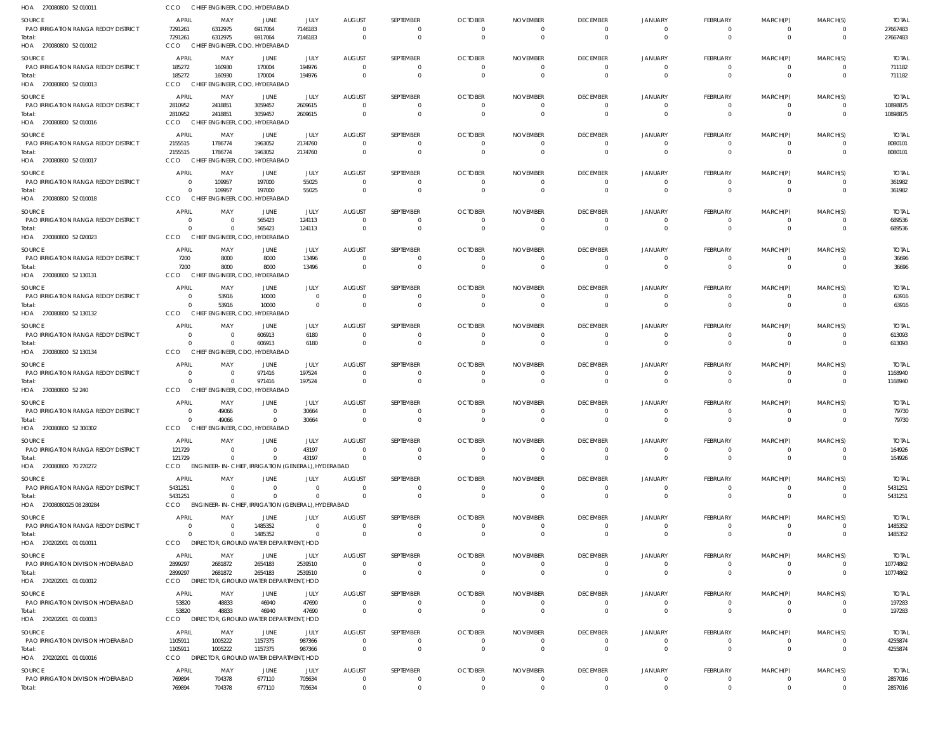| HOA 270080800 52 010011                              | <b>CCO</b>              |                      | CHIEF ENGINEER, CDO, HYDERABAD                                 |                      |                                  |                                  |                            |                             |                                   |                            |                             |                              |                                           |                         |
|------------------------------------------------------|-------------------------|----------------------|----------------------------------------------------------------|----------------------|----------------------------------|----------------------------------|----------------------------|-----------------------------|-----------------------------------|----------------------------|-----------------------------|------------------------------|-------------------------------------------|-------------------------|
| SOURCE                                               | <b>APRIL</b>            | MAY                  | JUNE                                                           | JULY                 | <b>AUGUST</b>                    | SEPTEMBER                        | <b>OCTOBER</b>             | <b>NOVEMBER</b>             | <b>DECEMBER</b>                   | JANUARY                    | FEBRUARY                    | MARCH(P)                     | MARCH(S)                                  | <b>TOTAL</b>            |
| <b>PAO IRRIGATION RANGA REDDY DISTRICT</b>           | 7291261                 | 6312975              | 6917064                                                        | 7146183              | $\overline{0}$                   | $\overline{0}$                   | $\Omega$                   | $\Omega$                    | $^{\circ}$                        | $^{\circ}$                 | $\mathbf 0$                 | $\mathbf 0$                  | $\overline{\mathbf{0}}$                   | 27667483                |
| Total:<br>HOA 270080800 52 010012                    | 7291261<br>CCO          | 6312975              | 6917064<br>CHIEF ENGINEER, CDO, HYDERABAD                      | 7146183              | - 0                              | $\overline{0}$                   | $\Omega$                   | $\Omega$                    | $\Omega$                          | $\Omega$                   | $\overline{0}$              | $\overline{0}$               | $\overline{\mathbf{0}}$                   | 27667483                |
|                                                      |                         |                      |                                                                |                      |                                  |                                  |                            |                             |                                   |                            |                             |                              |                                           |                         |
| SOURCE<br>PAO IRRIGATION RANGA REDDY DISTRICT        | <b>APRIL</b><br>185272  | MAY<br>160930        | JUNE<br>170004                                                 | JULY<br>194976       | <b>AUGUST</b><br>$\Omega$        | SEPTEMBER<br>$\Omega$            | <b>OCTOBER</b>             | <b>NOVEMBER</b>             | <b>DECEMBER</b><br>$\Omega$       | JANUARY                    | <b>FEBRUARY</b><br>0        | MARCH(P)<br>0                | MARCH(S)<br>0                             | <b>TOTAL</b><br>711182  |
| Total:                                               | 185272                  | 160930               | 170004                                                         | 194976               | $\Omega$                         | $\Omega$                         | $\Omega$                   | $\Omega$                    | $\Omega$                          | $\Omega$                   | $\overline{0}$              | $\mathbf 0$                  | $\overline{0}$                            | 711182                  |
| HOA 270080800 52 010013                              | CCO                     |                      | CHIEF ENGINEER, CDO, HYDERABAD                                 |                      |                                  |                                  |                            |                             |                                   |                            |                             |                              |                                           |                         |
| SOURCE                                               | APRIL                   | MAY                  | JUNE                                                           | JULY                 | <b>AUGUST</b>                    | SEPTEMBER                        | <b>OCTOBER</b>             | <b>NOVEMBER</b>             | <b>DECEMBER</b>                   | JANUARY                    | FEBRUARY                    | MARCH(P)                     | MARCH(S)                                  | <b>TOTAL</b>            |
| <b>PAO IRRIGATION RANGA REDDY DISTRICT</b>           | 2810952                 | 2418851              | 3059457                                                        | 2609615              | $\Omega$                         | $^{\circ}$                       | $\Omega$                   | $\Omega$                    | 0                                 | $\Omega$                   | $\mathbf 0$                 | $\overline{0}$               | 0                                         | 10898875                |
| Total:                                               | 2810952<br>CCO          | 2418851              | 3059457<br>CHIEF ENGINEER, CDO, HYDERABAD                      | 2609615              | $\overline{0}$                   | $\overline{0}$                   | $\Omega$                   | $\Omega$                    | $\overline{0}$                    | $\Omega$                   | $\overline{0}$              | $\mathbf{0}$                 | $\overline{0}$                            | 10898875                |
| HOA 270080800 52 010016                              |                         |                      |                                                                |                      |                                  |                                  |                            |                             |                                   |                            |                             |                              |                                           |                         |
| SOURCE<br><b>PAO IRRIGATION RANGA REDDY DISTRICT</b> | <b>APRIL</b><br>2155515 | MAY<br>1786774       | JUNE<br>1963052                                                | JULY<br>2174760      | <b>AUGUST</b><br>$\Omega$        | SEPTEMBER<br>$\Omega$            | <b>OCTOBER</b><br>$\Omega$ | <b>NOVEMBER</b>             | <b>DECEMBER</b><br>$\Omega$       | <b>JANUARY</b><br>$\Omega$ | FEBRUARY<br>$\Omega$        | MARCH(P)<br>$\mathbf{0}$     | MARCH(S)<br>0                             | <b>TOTAL</b><br>8080101 |
| Total:                                               | 2155515                 | 1786774              | 1963052                                                        | 2174760              | $\Omega$                         | $\Omega$                         |                            |                             | $\Omega$                          |                            | $\mathbf{0}$                | $\Omega$                     | $\Omega$                                  | 8080101                 |
| HOA 270080800 52 010017                              | CCO                     |                      | CHIEF ENGINEER, CDO, HYDERABAD                                 |                      |                                  |                                  |                            |                             |                                   |                            |                             |                              |                                           |                         |
| SOURCE                                               | <b>APRIL</b>            | MAY                  | JUNE                                                           | JULY                 | <b>AUGUST</b>                    | SEPTEMBER                        | <b>OCTOBER</b>             | <b>NOVEMBER</b>             | <b>DECEMBER</b>                   | JANUARY                    | FEBRUARY                    | MARCH(P)                     | MARCH(S)                                  | <b>TOTAL</b>            |
| PAO IRRIGATION RANGA REDDY DISTRICT                  | $\overline{0}$          | 109957               | 197000                                                         | 55025                | $\Omega$                         | $\Omega$                         | $\Omega$                   | $\Omega$                    | 0                                 | $\Omega$                   | $\mathbf 0$                 | $\overline{0}$               | 0                                         | 361982                  |
| Total:                                               | $\Omega$                | 109957               | 197000                                                         | 55025                | - 0                              | $\overline{0}$                   | $\Omega$                   | - 0                         | $\Omega$                          | $\Omega$                   | $\overline{0}$              | $\mathbf{0}$                 | $\overline{0}$                            | 361982                  |
| HOA 270080800 52 010018                              | CCO                     |                      | CHIEF ENGINEER, CDO, HYDERABAD                                 |                      |                                  |                                  |                            |                             |                                   |                            |                             |                              |                                           |                         |
| SOURCE                                               | <b>APRIL</b>            | MAY                  | JUNE                                                           | JULY                 | <b>AUGUST</b>                    | SEPTEMBER                        | <b>OCTOBER</b>             | <b>NOVEMBER</b>             | <b>DECEMBER</b>                   | JANUARY                    | FEBRUARY                    | MARCH(P)                     | MARCH(S)                                  | <b>TOTAL</b>            |
| <b>PAO IRRIGATION RANGA REDDY DISTRICT</b><br>Total: | $\Omega$<br>$\Omega$    | $\Omega$<br>$\Omega$ | 565423<br>565423                                               | 124113<br>124113     | $\Omega$<br>- 0                  | $\Omega$<br>$\overline{0}$       | - 0<br>$\Omega$            |                             | 0<br>$\mathbf{0}$                 |                            | $\Omega$<br>$\mathbf{0}$    | $\Omega$<br>$\mathbf{0}$     | - 0<br>$\overline{0}$                     | 689536<br>689536        |
| HOA 270080800 52 020023                              | <b>CCO</b>              |                      | CHIEF ENGINEER, CDO, HYDERABAD                                 |                      |                                  |                                  |                            |                             |                                   |                            |                             |                              |                                           |                         |
| <b>SOURCE</b>                                        | <b>APRIL</b>            | MAY                  | JUNE                                                           | JULY                 | <b>AUGUST</b>                    | SEPTEMBER                        | <b>OCTOBER</b>             | <b>NOVEMBER</b>             | <b>DECEMBER</b>                   | JANUARY                    | <b>FEBRUARY</b>             | MARCH(P)                     | MARCH(S)                                  | <b>TOTAL</b>            |
| PAO IRRIGATION RANGA REDDY DISTRICT                  | 7200                    | 8000                 | 8000                                                           | 13496                | - 0                              | $\mathbf{0}$                     | $\Omega$                   | $\Omega$                    | $\Omega$                          | $\Omega$                   | $\overline{0}$              | $\mathbf{0}$                 | 0                                         | 36696                   |
| Total:                                               | 7200                    | 8000                 | 8000                                                           | 13496                | - 0                              | $\overline{0}$                   | $\Omega$                   | $\Omega$                    | $\Omega$                          | $\Omega$                   | $\mathbf{0}$                | $\mathbf 0$                  | $\overline{0}$                            | 36696                   |
| HOA 270080800 52 130131                              | CCO                     |                      | CHIEF ENGINEER, CDO, HYDERABAD                                 |                      |                                  |                                  |                            |                             |                                   |                            |                             |                              |                                           |                         |
| SOURCE                                               | APRIL                   | MAY                  | JUNE                                                           | JULY                 | <b>AUGUST</b>                    | SEPTEMBER                        | <b>OCTOBER</b>             | <b>NOVEMBER</b>             | <b>DECEMBER</b>                   | <b>JANUARY</b>             | FEBRUARY                    | MARCH(P)                     | MARCH(S)                                  | <b>TOTAL</b>            |
| <b>PAO IRRIGATION RANGA REDDY DISTRICT</b>           | $\Omega$<br>$\Omega$    | 53916                | 10000                                                          | $\Omega$<br>$\Omega$ | - 0                              | $\Omega$<br>$\Omega$             | $\Omega$<br>$\Omega$       |                             | $\Omega$<br>$\Omega$              | $\Omega$                   | $\overline{0}$              | $\mathbf{0}$<br>$\mathbf 0$  | 0<br>$\Omega$                             | 63916                   |
| Total:<br>HOA 270080800 52 130132                    | CCO                     | 53916                | 10000<br>CHIEF ENGINEER, CDO, HYDERABAD                        |                      | - 0                              |                                  |                            |                             |                                   |                            | $\mathbf 0$                 |                              |                                           | 63916                   |
| SOURCE                                               | <b>APRIL</b>            | MAY                  | JUNE                                                           | JULY                 | <b>AUGUST</b>                    | SEPTEMBER                        | <b>OCTOBER</b>             | <b>NOVEMBER</b>             | <b>DECEMBER</b>                   | JANUARY                    | FEBRUARY                    | MARCH(P)                     | MARCH(S)                                  | <b>TOTAL</b>            |
| <b>PAO IRRIGATION RANGA REDDY DISTRICT</b>           | $\Omega$                | $\Omega$             | 606913                                                         | 6180                 | $\overline{0}$                   | $\Omega$                         | $\Omega$                   | $\Omega$                    | $\overline{0}$                    | $\Omega$                   | $\mathbf 0$                 | $\mathbf{0}$                 | $\overline{0}$                            | 613093                  |
| Total:                                               | $\Omega$                | $\Omega$             | 606913                                                         | 6180                 | - 0                              | $\Omega$                         | $\Omega$                   |                             | $\Omega$                          |                            | $\mathbf{0}$                | $\overline{0}$               | $\overline{0}$                            | 613093                  |
| HOA 270080800 52 130134                              | <b>CCO</b>              |                      | CHIEF ENGINEER, CDO, HYDERABAD                                 |                      |                                  |                                  |                            |                             |                                   |                            |                             |                              |                                           |                         |
| SOURCE                                               | <b>APRIL</b>            | MAY                  | JUNE                                                           | JULY                 | <b>AUGUST</b>                    | SEPTEMBER                        | <b>OCTOBER</b>             | <b>NOVEMBER</b>             | <b>DECEMBER</b>                   | <b>JANUARY</b>             | FEBRUARY                    | MARCH(P)                     | MARCH(S)                                  | <b>TOTAL</b>            |
| PAO IRRIGATION RANGA REDDY DISTRICT                  | $\Omega$                | $\Omega$             | 971416                                                         | 197524               |                                  | 0                                |                            |                             |                                   |                            | 0                           | 0                            | 0                                         | 1168940                 |
| Total:<br>HOA 270080800 52 240                       | $\Omega$<br>CCO         | $\Omega$             | 971416<br>CHIEF ENGINEER, CDO, HYDERABAD                       | 197524               | - 0                              | $\overline{0}$                   | $\Omega$                   | $\Omega$                    | $\Omega$                          |                            | $\mathbf 0$                 | $\mathbf{0}$                 | $\overline{0}$                            | 1168940                 |
|                                                      |                         |                      |                                                                |                      |                                  |                                  |                            |                             |                                   |                            |                             |                              |                                           |                         |
| SOURCE<br><b>PAO IRRIGATION RANGA REDDY DISTRICT</b> | APRIL<br>$\Omega$       | MAY<br>49066         | JUNE<br>- 0                                                    | JULY<br>30664        | <b>AUGUST</b><br>- 0             | SEPTEMBER<br>$\Omega$            | <b>OCTOBER</b><br>$\Omega$ | <b>NOVEMBER</b>             | <b>DECEMBER</b><br>$\Omega$       | JANUARY<br>0               | FEBRUARY<br>$\mathbf{0}$    | MARCH(P)<br>$\Omega$         | MARCH(S)<br>$\Omega$                      | <b>TOTAL</b><br>79730   |
| Total:                                               | $\Omega$                | 49066                | $\Omega$                                                       | 30664                | $\Omega$                         | $\Omega$                         |                            |                             | $\Omega$                          | $\Omega$                   | $\Omega$                    | $\Omega$                     | $\Omega$                                  | 79730                   |
| HOA 270080800 52 300302                              | CCO                     |                      | CHIEF ENGINEER, CDO, HYDERABAD                                 |                      |                                  |                                  |                            |                             |                                   |                            |                             |                              |                                           |                         |
| <b>SOURCE</b>                                        | <b>APRIL</b>            | MAY                  | JUNE                                                           | <b>JULY</b>          | <b>AUGUST</b>                    | SEPTEMBER                        | <b>OCTOBER</b>             | <b>NOVEMBER</b>             | <b>DECEMBER</b>                   | <b>JANUARY</b>             | FEBRUARY                    | MARCH(P)                     | MARCH(S)                                  | <b>TOTAL</b>            |
| <b>PAO IRRIGATION RANGA REDDY DISTRICT</b>           | 121729                  | $\Omega$             | $\Omega$                                                       | 43197                | $\overline{0}$                   | $\Omega$                         | $\Omega$                   |                             | $\Omega$                          | $\Omega$                   | $\Omega$                    | $\Omega$                     | - 0                                       | 164926                  |
| Total:                                               | 121729<br>CCO           | $\Omega$             | $\Omega$<br>ENGINEER-IN-CHIEF, IRRIGATION (GENERAL), HYDERABAD | 43197                | $\Omega$                         | $\Omega$                         | $\Omega$                   | $\Omega$                    | $\Omega$                          | $\Omega$                   | $\Omega$                    | $\mathbf{0}$                 | $\Omega$                                  | 164926                  |
| HOA 270080800 70 270272                              |                         |                      |                                                                |                      |                                  |                                  |                            |                             |                                   |                            |                             |                              |                                           |                         |
| SOURCE<br><b>PAO IRRIGATION RANGA REDDY DISTRICT</b> | <b>APRIL</b><br>5431251 | MAY<br>$\Omega$      | JUNE<br>$\Omega$                                               | JULY<br>$\Omega$     | <b>AUGUST</b><br>$\overline{0}$  | SEPTEMBER<br>$\overline{0}$      | <b>OCTOBER</b><br>$\Omega$ | <b>NOVEMBER</b><br>$\Omega$ | <b>DECEMBER</b><br>$\overline{0}$ | JANUARY<br>$\Omega$        | FEBRUARY<br>$\mathbf 0$     | MARCH(P)<br>$\overline{0}$   | MARCH(S)<br>$\overline{0}$                | <b>TOTAL</b><br>5431251 |
| Total:                                               | 5431251                 | $\Omega$             | $\Omega$                                                       | $\Omega$             | $\Omega$                         | $\Omega$                         | $\Omega$                   | - 0                         | $\Omega$                          | $\Omega$                   | $\overline{0}$              | $\mathbf{0}$                 | $\Omega$                                  | 5431251                 |
| HOA 27008080025 08 280284                            | CCO                     |                      | ENGINEER-IN-CHIEF, IRRIGATION (GENERAL), HYDERABAD             |                      |                                  |                                  |                            |                             |                                   |                            |                             |                              |                                           |                         |
| SOURCE                                               | <b>APRIL</b>            | MAY                  | JUNE                                                           | JULY                 | <b>AUGUST</b>                    | SEPTEMBER                        | <b>OCTOBER</b>             | <b>NOVEMBER</b>             | <b>DECEMBER</b>                   | JANUARY                    | FEBRUARY                    | MARCH(P)                     | MARCH(S)                                  | <b>TOTAL</b>            |
| <b>PAO IRRIGATION RANGA REDDY DISTRICT</b>           | $\Omega$                | $\Omega$             | 1485352                                                        | $\Omega$             | $\Omega$                         | $\Omega$                         | $\Omega$                   | $\Omega$                    | $\Omega$                          | $\Omega$                   | $\Omega$                    | $\Omega$                     | - 0                                       | 1485352                 |
| Total:                                               | $\Omega$                | $\Omega$             | 1485352                                                        | $\Omega$             | $\Omega$                         | $\overline{0}$                   | $\Omega$                   | $\Omega$                    | $\overline{0}$                    | $\Omega$                   | $\overline{0}$              | $\overline{0}$               | $\overline{\mathbf{0}}$                   | 1485352                 |
| HOA 270202001 01 010011                              | CCO                     |                      | DIRECTOR, GROUND WATER DEPARTMENT, HOD                         |                      |                                  |                                  |                            |                             |                                   |                            |                             |                              |                                           |                         |
| <b>SOURCE</b>                                        | <b>APRIL</b>            | MAY                  | JUNE                                                           | JULY                 | <b>AUGUST</b>                    | SEPTEMBER                        | <b>OCTOBER</b>             | <b>NOVEMBER</b>             | <b>DECEMBER</b>                   | JANUARY                    | FEBRUARY                    | MARCH(P)                     | MARCH(S)                                  | <b>TOTAL</b>            |
| PAO IRRIGATION DIVISION HYDERABAD<br>Total:          | 2899297<br>2899297      | 2681872<br>2681872   | 2654183<br>2654183                                             | 2539510<br>2539510   | $\overline{0}$<br>$\overline{0}$ | $^{\circ}$<br>$\overline{0}$     | $\Omega$<br>$\Omega$       | $\Omega$<br>$\Omega$        | 0<br>$\Omega$                     | $\Omega$<br>$\Omega$       | $\mathbf 0$<br>$\mathbf{0}$ | $\mathbf{0}$<br>$\mathbf{0}$ | 0<br>$\overline{0}$                       | 10774862<br>10774862    |
| HOA 270202001 01 010012                              | CCO                     |                      | DIRECTOR, GROUND WATER DEPARTMENT, HOD                         |                      |                                  |                                  |                            |                             |                                   |                            |                             |                              |                                           |                         |
| SOURCE                                               | <b>APRIL</b>            | MAY                  | JUNE                                                           | JULY                 | <b>AUGUST</b>                    | SEPTEMBER                        | <b>OCTOBER</b>             | <b>NOVEMBER</b>             | <b>DECEMBER</b>                   | JANUARY                    | FEBRUARY                    | MARCH(P)                     | MARCH(S)                                  | <b>TOTAL</b>            |
| PAO IRRIGATION DIVISION HYDERABAD                    | 53820                   | 48833                | 46940                                                          | 47690                | $\overline{0}$                   | $\Omega$                         | $\Omega$                   | $\Omega$                    | $\Omega$                          | $\Omega$                   | $\Omega$                    | $\overline{0}$               | $\overline{0}$                            | 197283                  |
| Total:                                               | 53820                   | 48833                | 46940                                                          | 47690                | $\Omega$                         | $\Omega$                         | $\Omega$                   |                             | $\Omega$                          | $\Omega$                   | $\overline{0}$              | $\Omega$                     | $\Omega$                                  | 197283                  |
| HOA 270202001 01 010013                              | CCO                     |                      | DIRECTOR, GROUND WATER DEPARTMENT, HOD                         |                      |                                  |                                  |                            |                             |                                   |                            |                             |                              |                                           |                         |
| SOURCE                                               | <b>APRIL</b>            | MAY                  | JUNE                                                           | JULY                 | <b>AUGUST</b>                    | SEPTEMBER                        | <b>OCTOBER</b>             | <b>NOVEMBER</b>             | <b>DECEMBER</b>                   | JANUARY                    | FEBRUARY                    | MARCH(P)                     | MARCH(S)                                  | <b>TOTAL</b>            |
| PAO IRRIGATION DIVISION HYDERABAD<br>Total:          | 1105911<br>1105911      | 1005222<br>1005222   | 1157375<br>1157375                                             | 987366<br>987366     | $\overline{0}$<br>$\overline{0}$ | $\overline{0}$<br>$\overline{0}$ | $\Omega$<br>$\Omega$       | $\Omega$<br>$\Omega$        | $^{\circ}$<br>$\Omega$            | $\Omega$<br>$\Omega$       | $\mathbf 0$<br>$\mathbf{0}$ | $\mathbf 0$<br>$\mathbf{0}$  | $\overline{\mathbf{0}}$<br>$\overline{0}$ | 4255874<br>4255874      |
| HOA 270202001 01 010016                              | CCO                     |                      | DIRECTOR, GROUND WATER DEPARTMENT, HOD                         |                      |                                  |                                  |                            |                             |                                   |                            |                             |                              |                                           |                         |
| SOURCE                                               | <b>APRIL</b>            | MAY                  | JUNE                                                           | JULY                 | <b>AUGUST</b>                    | SEPTEMBER                        | <b>OCTOBER</b>             | <b>NOVEMBER</b>             | <b>DECEMBER</b>                   | JANUARY                    | FEBRUARY                    | MARCH(P)                     | MARCH(S)                                  | <b>TOTAL</b>            |
| PAO IRRIGATION DIVISION HYDERABAD                    | 769894                  | 704378               | 677110                                                         | 705634               | $\Omega$                         | $\Omega$                         | $\Omega$                   |                             | $\Omega$                          | 0                          | $\overline{0}$              | 0                            | 0                                         | 2857016                 |
| Total:                                               | 769894                  | 704378               | 677110                                                         | 705634               | $\Omega$                         | $\overline{0}$                   | $\Omega$                   | $\Omega$                    | $\mathbf 0$                       | $\Omega$                   | $\Omega$                    | $\mathbf 0$                  | $\overline{0}$                            | 2857016                 |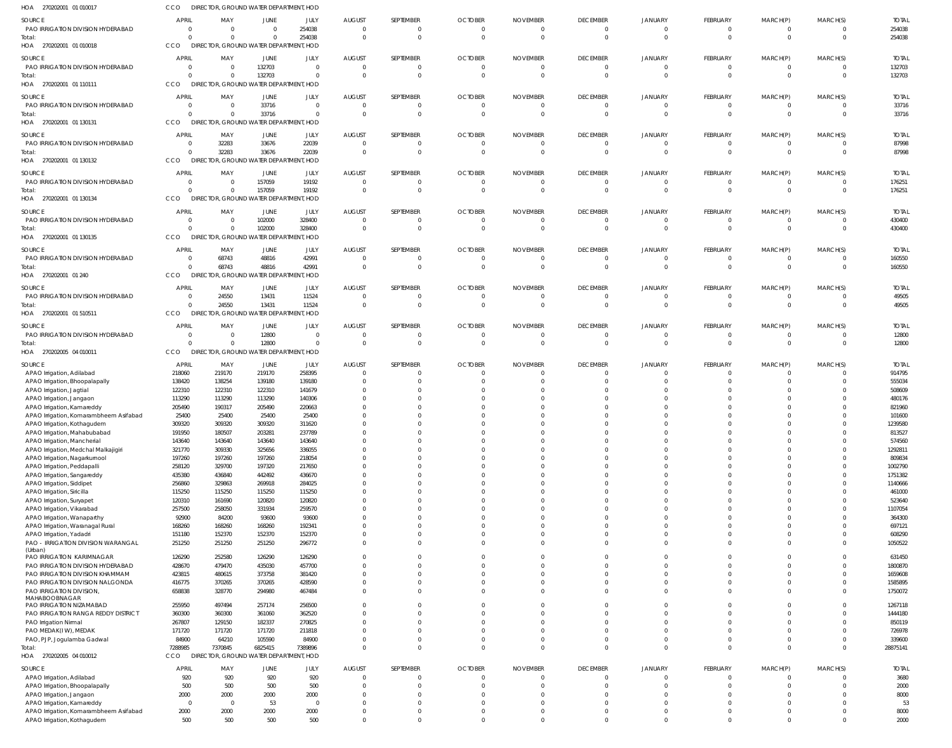| HOA 270202001 01 010017                                             | <b>CCO</b>                     | DIRECTOR, GROUND WATER DEPARTMENT, HOD             |                                  |                                 |                          |                             |                            |                      |                                   |                                  |                                |                                |                                  |                        |
|---------------------------------------------------------------------|--------------------------------|----------------------------------------------------|----------------------------------|---------------------------------|--------------------------|-----------------------------|----------------------------|----------------------|-----------------------------------|----------------------------------|--------------------------------|--------------------------------|----------------------------------|------------------------|
| SOURCE                                                              | APRIL                          | MAY                                                | JUNE                             | JULY                            | <b>AUGUST</b>            | SEPTEMBER                   | <b>OCTOBER</b>             | <b>NOVEMBER</b>      | <b>DECEMBER</b>                   | JANUARY                          | FEBRUARY                       | MARCH(P)                       | MARCH(S)                         | <b>TOTAL</b>           |
| PAO IRRIGATION DIVISION HYDERABAD                                   | $\Omega$                       | $\overline{0}$                                     | $\Omega$                         | 254038                          | $\Omega$                 | $\Omega$                    | -0                         |                      | 0                                 | 0                                | 0                              | 0                              | $\overline{0}$                   | 254038                 |
| Total:<br>HOA 270202001 01 010018                                   | $\Omega$<br>CCO                | $\Omega$<br>DIRECTOR, GROUND WATER DEPARTMENT, HOD |                                  | 254038                          | $\Omega$                 | $\mathbf{0}$                | $\Omega$                   | $\Omega$             | $\overline{0}$                    | $\Omega$                         | $\overline{0}$                 | $\overline{0}$                 | $\overline{0}$                   | 254038                 |
|                                                                     |                                |                                                    |                                  |                                 |                          |                             |                            |                      |                                   |                                  |                                |                                |                                  |                        |
| SOURCE<br>PAO IRRIGATION DIVISION HYDERABAD                         | <b>APRIL</b><br>$\overline{0}$ | MAY<br>$\overline{0}$                              | JUNE<br>132703                   | JULY<br>$\overline{\mathbf{0}}$ | <b>AUGUST</b><br>- 0     | SEPTEMBER<br>$\mathbf{0}$   | <b>OCTOBER</b><br>$\Omega$ | <b>NOVEMBER</b>      | <b>DECEMBER</b><br>$\overline{0}$ | JANUARY<br>$\overline{0}$        | FEBRUARY<br>$\overline{0}$     | MARCH(P)<br>$\overline{0}$     | MARCH(S)<br>$\overline{0}$       | <b>TOTAL</b><br>132703 |
| Total:                                                              | $\Omega$                       | $\overline{0}$                                     | 132703                           | $\Omega$                        | $\mathsf{C}$             | $\mathbf{0}$                | $\Omega$                   | $\Omega$             | $\overline{0}$                    | $\Omega$                         | $\mathbf 0$                    | $\mathbf 0$                    | $\overline{0}$                   | 132703                 |
| HOA 270202001 01 110111                                             | CCO                            | DIRECTOR, GROUND WATER DEPARTMENT, HOD             |                                  |                                 |                          |                             |                            |                      |                                   |                                  |                                |                                |                                  |                        |
| SOURCE                                                              | <b>APRIL</b>                   | MAY                                                | JUNE                             | JULY                            | <b>AUGUST</b>            | SEPTEMBER                   | <b>OCTOBER</b>             | <b>NOVEMBER</b>      | <b>DECEMBER</b>                   | <b>JANUARY</b>                   | FEBRUARY                       | MARCH(P)                       | MARCH(S)                         | <b>TOTAL</b>           |
| PAO IRRIGATION DIVISION HYDERABAD                                   | $\Omega$                       | $\overline{0}$                                     | 33716                            | $\Omega$                        | $\Omega$                 | 0                           | $\Omega$                   |                      | 0                                 | $\Omega$                         | 0                              | $\mathbf{0}$                   | $\overline{0}$                   | 33716                  |
| Total:                                                              | $\Omega$                       | $\Omega$                                           | 33716                            | $\Omega$                        | $\Omega$                 | $\mathbf 0$                 | $\Omega$                   | $\Omega$             | $\mathbf{0}$                      | $\Omega$                         | $\overline{0}$                 | $\mathbf{0}$                   | $\overline{0}$                   | 33716                  |
| HOA 270202001 01 130131                                             | CCO                            | DIRECTOR, GROUND WATER DEPARTMENT, HOD             |                                  |                                 |                          |                             |                            |                      |                                   |                                  |                                |                                |                                  |                        |
| SOURCE                                                              | <b>APRIL</b>                   | MAY                                                | JUNE                             | JULY                            | <b>AUGUST</b>            | SEPTEMBER                   | <b>OCTOBER</b>             | <b>NOVEMBER</b>      | <b>DECEMBER</b>                   | JANUARY                          | FEBRUARY                       | MARCH(P)                       | MARCH(S)                         | <b>TOTAL</b>           |
| PAO IRRIGATION DIVISION HYDERABAD                                   | $\overline{0}$                 | 32283                                              | 33676                            | 22039                           | C                        | $\mathbf{0}$                | $\Omega$                   | $\Omega$             | $\overline{\phantom{0}}$          | $\overline{0}$                   | $\overline{0}$                 | $\overline{0}$                 | $\overline{0}$                   | 87998                  |
| Total:<br>HOA 270202001 01 130132                                   | $\Omega$<br>CCO                | 32283<br>DIRECTOR, GROUND WATER DEPARTMENT, HOD    | 33676                            | 22039                           | -C                       | $\mathbf{0}$                |                            |                      | $\overline{0}$                    | $\Omega$                         | $\overline{0}$                 | $\overline{0}$                 | $\overline{0}$                   | 87998                  |
|                                                                     |                                |                                                    |                                  |                                 |                          |                             |                            |                      |                                   |                                  |                                |                                |                                  |                        |
| SOURCE<br>PAO IRRIGATION DIVISION HYDERABAD                         | <b>APRIL</b><br>$\overline{0}$ | MAY<br>$\Omega$                                    | JUNE<br>157059                   | JULY<br>19192                   | <b>AUGUST</b><br>- 0     | SEPTEMBER<br>$\Omega$       | <b>OCTOBER</b>             | <b>NOVEMBER</b>      | <b>DECEMBER</b><br>0              | <b>JANUARY</b><br>$\Omega$       | FEBRUARY<br>$\Omega$           | MARCH(P)<br>$\Omega$           | MARCH(S)<br>$\overline{0}$       | <b>TOTAL</b><br>176251 |
| Total:                                                              | $\Omega$                       | $\Omega$                                           | 157059                           | 19192                           | $\Omega$                 | $\mathbf{0}$                | $\Omega$                   | - 0                  | $\overline{\mathbf{0}}$           | $\Omega$                         | $\overline{0}$                 | $\overline{0}$                 | $\overline{0}$                   | 176251                 |
| HOA 270202001 01 130134                                             | CCO                            | DIRECTOR, GROUND WATER DEPARTMENT, HOD             |                                  |                                 |                          |                             |                            |                      |                                   |                                  |                                |                                |                                  |                        |
| SOURCE                                                              | <b>APRIL</b>                   | MAY                                                | JUNE                             | JULY                            | <b>AUGUST</b>            | SEPTEMBER                   | <b>OCTOBER</b>             | <b>NOVEMBER</b>      | <b>DECEMBER</b>                   | JANUARY                          | FEBRUARY                       | MARCH(P)                       | MARCH(S)                         | <b>TOTAL</b>           |
| PAO IRRIGATION DIVISION HYDERABAD                                   | $\overline{0}$                 | $\overline{0}$                                     | 102000                           | 328400                          | - 0                      | $\mathbf{0}$                |                            |                      | $\overline{0}$                    | $\mathbf 0$                      | 0                              | 0                              | $\overline{0}$                   | 430400                 |
| Total:                                                              | $\Omega$                       | $\Omega$                                           | 102000                           | 328400                          | $\Omega$                 | $\mathbf 0$                 | $\Omega$                   | $\Omega$             | $\overline{0}$                    | $\overline{0}$                   | $\mathbf{0}$                   | $\mathbf{0}$                   | $\overline{0}$                   | 430400                 |
| HOA 270202001 01 130135                                             | CCO                            | DIRECTOR, GROUND WATER DEPARTMENT, HOD             |                                  |                                 |                          |                             |                            |                      |                                   |                                  |                                |                                |                                  |                        |
| SOURCE                                                              | <b>APRIL</b>                   | MAY                                                | JUNE                             | JULY                            | <b>AUGUST</b>            | SEPTEMBER                   | <b>OCTOBER</b>             | <b>NOVEMBER</b>      | <b>DECEMBER</b>                   | JANUARY                          | FEBRUARY                       | MARCH(P)                       | MARCH(S)                         | <b>TOTAL</b>           |
| PAO IRRIGATION DIVISION HYDERABAD                                   | $\Omega$                       | 68743                                              | 48816                            | 42991                           | $\Omega$                 | $\overline{0}$              | $\Omega$                   | $\Omega$             | $\overline{0}$                    | $\Omega$                         | $\mathbf{0}$                   | 0                              | $\overline{0}$                   | 160550                 |
| Total:                                                              | $\Omega$                       | 68743                                              | 48816                            | 42991                           | $\Omega$                 | $\mathbf{0}$                | $\Omega$                   | $\Omega$             | $\overline{0}$                    | $\Omega$                         | $\overline{0}$                 | $\overline{0}$                 | $\overline{0}$                   | 160550                 |
| HOA 270202001 01 240                                                | CCO                            | <b>DIRECTO</b>                                     | OR, GROUND WATER DEPARTMENT, HOD |                                 |                          |                             |                            |                      |                                   |                                  |                                |                                |                                  |                        |
| SOURCE                                                              | <b>APRIL</b>                   | MAY                                                | JUNE                             | JULY                            | <b>AUGUST</b>            | SEPTEMBER                   | <b>OCTOBER</b>             | <b>NOVEMBER</b>      | <b>DECEMBER</b>                   | <b>JANUARY</b>                   | FEBRUARY                       | MARCH(P)                       | MARCH(S)                         | <b>TOTAL</b>           |
| PAO IRRIGATION DIVISION HYDERABAD                                   | $\overline{0}$<br>$\Omega$     | 24550<br>24550                                     | 13431<br>13431                   | 11524<br>11524                  | $\mathsf{C}$<br>$\Omega$ | $\mathbf{0}$<br>$\mathbf 0$ | $\Omega$<br>$\Omega$       | $\Omega$<br>$\Omega$ | $\overline{0}$<br>$\overline{0}$  | $\Omega$<br>$\Omega$             | $\overline{0}$<br>$\mathbf{0}$ | $\overline{0}$<br>$\mathbf{0}$ | $\overline{0}$<br>$\overline{0}$ | 49505<br>49505         |
| Total:<br>HOA 270202001 01 510511                                   | CCO                            | DIRECTOR, GROUND WATER DEPARTMENT, HOD             |                                  |                                 |                          |                             |                            |                      |                                   |                                  |                                |                                |                                  |                        |
|                                                                     |                                |                                                    |                                  |                                 |                          |                             |                            |                      |                                   |                                  |                                |                                |                                  |                        |
| SOURCE<br>PAO IRRIGATION DIVISION HYDERABAD                         | <b>APRIL</b><br>$\mathbf{0}$   | MAY<br>$\overline{0}$                              | JUNE<br>12800                    | JULY<br>$\Omega$                | <b>AUGUST</b>            | SEPTEMBER<br>$\Omega$       | <b>OCTOBER</b>             | <b>NOVEMBER</b>      | <b>DECEMBER</b><br>0              | JANUARY<br>$\Omega$              | FEBRUARY<br>$\Omega$           | MARCH(P)<br>$\Omega$           | MARCH(S)<br>$\overline{0}$       | <b>TOTAL</b><br>12800  |
| Total:                                                              | $\Omega$                       | $\Omega$                                           | 12800                            | $\Omega$                        | - 0                      | $\mathbf{0}$                |                            |                      | $\overline{0}$                    | $\Omega$                         | $\mathbf{0}$                   | $\overline{0}$                 | $\overline{0}$                   | 12800                  |
| HOA 270202005 04 010011                                             | CCO                            | DIRECTOR, GROUND WATER DEPARTMENT, HOD             |                                  |                                 |                          |                             |                            |                      |                                   |                                  |                                |                                |                                  |                        |
| SOURCE                                                              | <b>APRIL</b>                   | MAY                                                | JUNE                             | JULY                            | <b>AUGUST</b>            | SEPTEMBER                   | <b>OCTOBER</b>             | <b>NOVEMBER</b>      | <b>DECEMBER</b>                   | <b>JANUARY</b>                   | FEBRUARY                       | MARCH(P)                       | MARCH(S)                         | <b>TOTAL</b>           |
| APAO Irrigation, Adilabad                                           | 218060                         | 219170                                             | 219170                           | 258395                          |                          | 0                           |                            |                      | $\overline{0}$                    | $\Omega$                         | 0                              | $\Omega$                       | $\Omega$                         | 914795                 |
| APAO Irrigation, Bhoopalapally                                      | 138420                         | 138254                                             | 139180                           | 139180                          |                          | $\Omega$                    |                            |                      | $\Omega$                          | $\Omega$                         | $\Omega$                       | $\Omega$                       | $\Omega$                         | 555034                 |
| APAO Irrigation, Jagtial                                            | 122310                         | 122310                                             | 122310                           | 141679                          |                          | n                           |                            |                      | $\Omega$                          | $\Omega$                         | $\Omega$                       | $\Omega$                       | $\Omega$                         | 508609                 |
| APAO Irrigation, Jangaon<br>APAO Irrigation, Kamareddy              | 113290<br>205490               | 113290<br>190317                                   | 113290<br>205490                 | 140306<br>220663                |                          |                             |                            |                      | $\Omega$<br>$\Omega$              |                                  | $\Omega$<br>$\Omega$           | $\Omega$<br>$\Omega$           | $\Omega$<br>$\Omega$             | 480176<br>821960       |
| APAO Irrigation, Komarambheem Asifabad                              | 25400                          | 25400                                              | 25400                            | 25400                           |                          |                             |                            |                      | $\Omega$                          |                                  | $\Omega$                       | $\Omega$                       | $\Omega$                         | 101600                 |
| APAO Irrigation, Kothagudem                                         | 309320                         | 309320                                             | 309320                           | 311620                          |                          |                             |                            |                      |                                   |                                  |                                |                                | $\Omega$                         | 1239580                |
| APAO Irrigation, Mahabubabad                                        | 191950                         | 180507                                             | 203281                           | 237789                          |                          | $\Omega$                    |                            |                      | $\Omega$                          | $\Omega$                         | $\mathbf 0$                    | $\Omega$                       | $\Omega$                         | 813527                 |
| APAO Irrigation, Mancherial<br>APAO Irrigation, Medchal Malkajigiri | 143640<br>321770               | 143640<br>309330                                   | 143640<br>325656                 | 143640<br>336055                |                          | $\mathbf 0$<br>$\Omega$     |                            |                      | $\Omega$<br>$\Omega$              | $\Omega$<br>$\Omega$             | $\mathbf{0}$<br>$\Omega$       | $\mathbf 0$<br>$\Omega$        | $\Omega$<br>$\Omega$             | 574560<br>1292811      |
| APAO Irrigation, Nagarkurnool                                       | 197260                         | 197260                                             | 197260                           | 218054                          |                          | $\Omega$                    |                            |                      | $\Omega$                          | $\Omega$                         | $\Omega$                       | $\Omega$                       | $\Omega$                         | 809834                 |
| APAO Irrigation, Peddapalli                                         | 258120                         | 329700                                             | 197320                           | 217650                          |                          | $\Omega$                    |                            |                      | $\Omega$                          | $\Omega$                         | $\Omega$                       | $\Omega$                       | $\Omega$                         | 1002790                |
| APAO Irrigation, Sangareddy                                         | 435380                         | 436840                                             | 442492                           | 436670                          |                          | $\Omega$                    |                            |                      | $\Omega$                          | $\Omega$                         | $\Omega$                       | $\Omega$                       | $\Omega$                         | 1751382                |
| APAO Irrigation, Siddipet                                           | 256860                         | 329863                                             | 269918                           | 284025                          |                          | $\Omega$                    |                            |                      | $\Omega$                          | $\Omega$                         | $\Omega$                       | $\Omega$                       | $\Omega$                         | 1140666                |
| APAO Irrigation, Siricilla<br>APAO Irrigation, Suryapet             | 115250<br>120310               | 115250<br>161690                                   | 115250<br>120820                 | 115250<br>120820                |                          | $\Omega$<br>$\Omega$        |                            |                      | $\Omega$<br>$\Omega$              | $\Omega$<br>$\Omega$             | $\Omega$<br>$\Omega$           | $\Omega$<br>$\Omega$           | $\Omega$<br>$\Omega$             | 461000<br>523640       |
| APAO Irrigation, Vikarabad                                          | 257500                         | 258050                                             | 331934                           | 259570                          |                          | $\Omega$                    |                            |                      | $\Omega$                          | $\Omega$                         | $\Omega$                       | $\Omega$                       | $\Omega$                         | 1107054                |
| APAO Irrigation, Wanaparthy                                         | 92900                          | 84200                                              | 93600                            | 93600                           |                          | $\Omega$                    |                            |                      | $\Omega$                          | $\Omega$                         | $\Omega$                       | $\Omega$                       | $\Omega$                         | 364300                 |
| APAO Irrigation, Waranagal Rural                                    | 168260                         | 168260                                             | 168260                           | 192341                          |                          | $\Omega$                    |                            |                      | $\Omega$                          | $\Omega$                         | $\Omega$                       | $\Omega$                       | $\Omega$                         | 697121                 |
| APAO Irrigation, Yadadri                                            | 151180                         | 152370                                             | 152370                           | 152370                          |                          | $\Omega$<br>$\Omega$        |                            |                      | $\Omega$<br>$\Omega$              | $\overline{0}$<br>$\Omega$       | $\Omega$<br>$\Omega$           | $\Omega$<br>$\Omega$           | $\Omega$<br>$\Omega$             | 608290                 |
| PAO - IRRIGATION DIVISION WARANGAL<br>(Urban)                       | 251250                         | 251250                                             | 251250                           | 296772                          |                          |                             |                            |                      |                                   |                                  |                                |                                |                                  | 1050522                |
| PAO IRRIGATION KARIMNAGAR                                           | 126290                         | 252580                                             | 126290                           | 126290                          |                          | $\Omega$                    |                            |                      | $\Omega$                          | $\Omega$                         | $\Omega$                       | $\Omega$                       | $\Omega$                         | 631450                 |
| PAO IRRIGATION DIVISION HYDERABAD                                   | 428670                         | 479470                                             | 435030                           | 457700                          |                          | $\Omega$                    |                            |                      | $\Omega$<br>$\Omega$              | $\Omega$<br>$\Omega$             | $\overline{0}$<br>$\Omega$     | $\Omega$                       | $\Omega$<br>$\Omega$             | 1800870                |
| PAO IRRIGATION DIVISION KHAMMAM<br>PAO IRRIGATION DIVISION NALGONDA | 423815<br>416775               | 480615<br>370265                                   | 373758<br>370265                 | 381420<br>428590                |                          | $\Omega$<br>$\Omega$        |                            |                      | $\Omega$                          | $\overline{0}$                   | $\Omega$                       | $\Omega$<br>$\Omega$           | $\Omega$                         | 1659608<br>1585895     |
| PAO IRRIGATION DIVISION,                                            | 658838                         | 328770                                             | 294980                           | 467484                          | $\Omega$                 | $\Omega$                    |                            |                      | $\Omega$                          | $\Omega$                         | $\Omega$                       | $\Omega$                       | $\Omega$                         | 1750072                |
| MAHABOOBNAGAR                                                       |                                |                                                    |                                  |                                 |                          |                             |                            |                      |                                   |                                  |                                |                                |                                  |                        |
| PAO IRRIGATION NIZAMABAD<br>PAO IRRIGATION RANGA REDDY DISTRICT     | 255950<br>360300               | 497494<br>360300                                   | 257174<br>361060                 | 256500<br>362520                |                          | $\Omega$<br>$\Omega$        |                            |                      | $\Omega$<br>$\Omega$              | $\overline{0}$<br>$\overline{0}$ | $\mathbf{0}$<br>$\Omega$       | $\Omega$<br>$\Omega$           | $\Omega$<br>$\Omega$             | 1267118<br>1444180     |
| PAO Irrigation Nirmal                                               | 267807                         | 129150                                             | 182337                           | 270825                          |                          | $\Omega$                    |                            |                      | $\Omega$                          | $\Omega$                         | $\Omega$                       | $\Omega$                       | $\Omega$                         | 850119                 |
| PAO MEDAK(IW), MEDAK                                                | 171720                         | 171720                                             | 171720                           | 211818                          |                          | $\Omega$                    |                            |                      | $\Omega$                          | $\Omega$                         | $\Omega$                       | $\Omega$                       | $\Omega$                         | 726978                 |
| PAO, PJP, Jogulamba Gadwal                                          | 84900                          | 64210                                              | 105590                           | 84900                           |                          | $\Omega$                    | $\Omega$                   |                      | $\Omega$                          | $\overline{0}$                   | $\mathbf 0$                    | $\mathbf{0}$                   | $\Omega$                         | 339600                 |
| Total:                                                              | 7288985                        | 7370845                                            | 6825415                          | 7389896                         | $\Omega$                 | $\Omega$                    | $\Omega$                   |                      | $\Omega$                          | $\Omega$                         | $\mathbf 0$                    | $\mathbf{0}$                   | $\overline{0}$                   | 28875141               |
| HOA 270202005 04 010012                                             | <b>CCO</b>                     | DIRECTOR, GROUND WATER DEPARTMENT, HOD             |                                  |                                 |                          |                             |                            |                      |                                   |                                  |                                |                                |                                  |                        |
| SOURCE                                                              | <b>APRIL</b>                   | MAY                                                | JUNE                             | JULY                            | <b>AUGUST</b>            | SEPTEMBER                   | <b>OCTOBER</b>             | <b>NOVEMBER</b>      | <b>DECEMBER</b>                   | <b>JANUARY</b>                   | FEBRUARY                       | MARCH(P)                       | MARCH(S)                         | <b>TOTAL</b>           |
| APAO Irrigation, Adilabad<br>APAO Irrigation, Bhoopalapally         | 920<br>500                     | 920<br>500                                         | 920<br>500                       | 920<br>500                      | -C                       | $\mathbf 0$<br>$\Omega$     | $\Omega$<br>$\Omega$       | $\Omega$             | $\overline{0}$<br>$\mathbf{0}$    | $\Omega$<br>$\overline{0}$       | $\overline{0}$<br>$\Omega$     | $\Omega$<br>$\Omega$           | $\Omega$<br>$\Omega$             | 3680<br>2000           |
| APAO Irrigation, Jangaon                                            | 2000                           | 2000                                               | 2000                             | 2000                            |                          | $\Omega$                    |                            |                      | $\Omega$                          | $\Omega$                         | $\Omega$                       | $\Omega$                       | $\Omega$                         | 8000                   |
| APAO Irrigation, Kamareddy                                          | $\overline{0}$                 | $\overline{\mathbf{0}}$                            | 53                               | $\Omega$                        |                          | $\Omega$                    |                            |                      | $\Omega$                          | $\Omega$                         | $\Omega$                       | $\Omega$                       | $\Omega$                         | 53                     |
| APAO Irrigation, Komarambheem Asifabad                              | 2000                           | 2000                                               | 2000                             | 2000                            |                          | $\mathbf 0$                 | $\Omega$                   | $\Omega$             | $\Omega$                          | $\mathbf{0}$                     | $\Omega$                       | $\Omega$                       | $\Omega$                         | 8000                   |
| APAO Irrigation, Kothagudem                                         | 500                            | 500                                                | 500                              | 500                             | $\Omega$                 | $\mathbf 0$                 | $\Omega$                   | $\Omega$             | $\Omega$                          | $\mathbf{0}$                     | $\Omega$                       | $\Omega$                       | $\mathbf{0}$                     | 2000                   |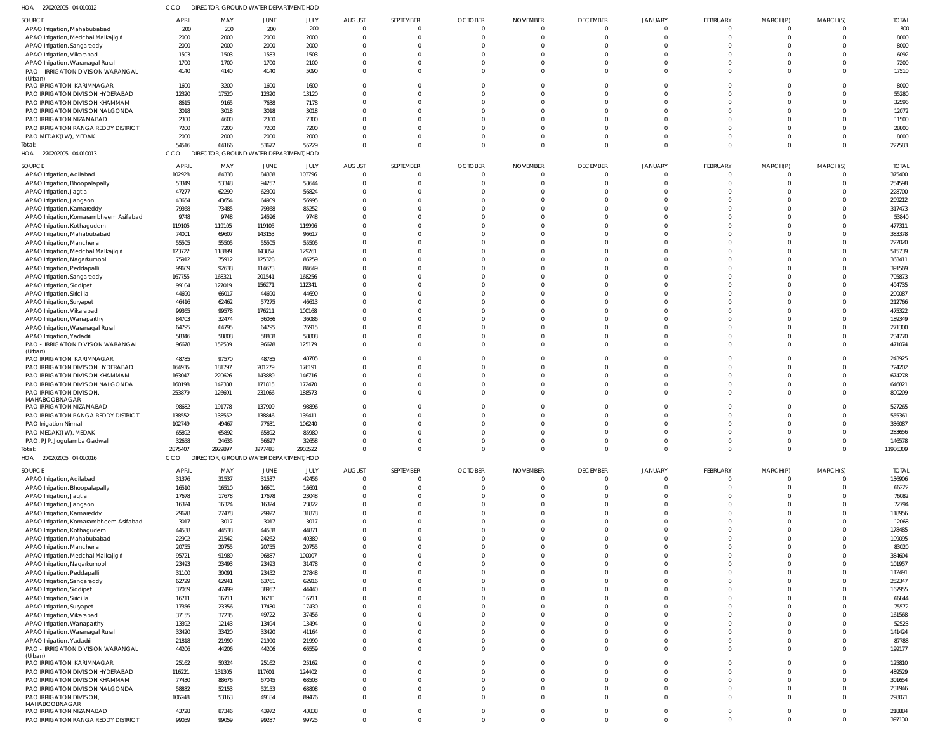| HOA 270202005 04 010012                                        | cco                 |                | DIRECTOR, GROUND WATER DEPARTMENT, HOD |                |                      |                         |                          |                          |                      |                            |                      |                      |                            |                  |
|----------------------------------------------------------------|---------------------|----------------|----------------------------------------|----------------|----------------------|-------------------------|--------------------------|--------------------------|----------------------|----------------------------|----------------------|----------------------|----------------------------|------------------|
| SOURCE                                                         | <b>APRIL</b>        | MAY            | JUNE                                   | JULY           | <b>AUGUST</b>        | SEPTEMBER               | <b>OCTOBER</b>           | <b>NOVEMBER</b>          | <b>DECEMBER</b>      | <b>JANUARY</b>             | FEBRUARY             | MARCH(P)             | MARCH(S)                   | <b>TOTAL</b>     |
| APAO Irrigation, Mahabubabad                                   | 200                 | 200            | 200                                    | 200            | $\Omega$             | $\mathbf{0}$            | $\Omega$                 |                          | $\overline{0}$       | $\mathbf{0}$               | $\Omega$             | $\Omega$             | $\overline{0}$             | 800              |
| APAO Irrigation, Medchal Malkajigiri                           | 2000                | 2000           | 2000                                   | 2000           | $\Omega$             | $\Omega$                | $\Omega$                 | $\Omega$                 | $\overline{0}$       | $\mathsf{C}$               | $\Omega$             | $\Omega$             | $\overline{0}$             | 8000             |
| APAO Irrigation, Sangareddy                                    | 2000                | 2000           | 2000                                   | 2000           | $\Omega$             | $\Omega$                |                          |                          | C                    | C                          | $\Omega$             | $\Omega$             | $\Omega$                   | 8000             |
| APAO Irrigation, Vikarabad                                     | 1503                | 1503           | 1583                                   | 1503           |                      | $\Omega$                |                          |                          | C                    | $\Omega$                   | $\Omega$             | $\Omega$             | $\Omega$                   | 6092             |
| APAO Irrigation, Waranagal Rural                               | 1700                | 1700           | 1700                                   | 2100           | $\Omega$             | $\mathbf 0$             | $\Omega$                 | $\Omega$                 | $\Omega$             | $\Omega$                   | $\Omega$             | $\Omega$             | $\Omega$                   | 7200             |
| PAO - IRRIGATION DIVISION WARANGAL<br>(Urban)                  | 4140                | 4140           | 4140                                   | 5090           | $\Omega$             | $\Omega$                | $\Omega$                 | $\Omega$                 | $\Omega$             | $\Omega$                   | $\Omega$             | $\Omega$             | $\Omega$                   | 17510            |
| PAO IRRIGATION KARIMNAGAR                                      | 1600                | 3200           | 1600                                   | 1600           |                      | $\Omega$                |                          |                          | $\Omega$             | C                          | $\Omega$             | $\Omega$             | $\overline{0}$             | 8000             |
| PAO IRRIGATION DIVISION HYDERABAD                              | 12320               | 17520          | 12320                                  | 13120          | $\Omega$             | $\Omega$                | $\Omega$                 | $\Omega$                 | $\Omega$             | $\Omega$                   | $\Omega$             | $\Omega$             | $\Omega$                   | 55280            |
| PAO IRRIGATION DIVISION KHAMMAM                                | 8615                | 9165           | 7638                                   | 7178           |                      | $\Omega$                |                          |                          | $\Omega$             | C                          | $\Omega$             | $\Omega$             | $\Omega$                   | 32596            |
| PAO IRRIGATION DIVISION NALGONDA                               | 3018                | 3018           | 3018                                   | 3018           |                      | $\Omega$                | $\Omega$                 |                          | C                    | C                          | $\Omega$             | $\Omega$             | $\Omega$                   | 12072            |
| PAO IRRIGATION NIZAMABAD                                       | 2300                | 4600           | 2300                                   | 2300           |                      | $\Omega$                |                          |                          | C                    | C                          | $\Omega$             | $\Omega$             | $\Omega$                   | 11500            |
| PAO IRRIGATION RANGA REDDY DISTRICT                            | 7200                | 7200           | 7200                                   | 7200           | $\Omega$             | $\Omega$                | $\Omega$                 | <sup>0</sup>             | $\Omega$             | $\Omega$                   | $\Omega$             | $\Omega$             | $\Omega$                   | 28800            |
| PAO MEDAK(IW), MEDAK                                           | 2000                | 2000           | 2000                                   | 2000           | $\Omega$             | $\mathbf 0$             | $\Omega$                 | $\Omega$                 | $\Omega$             | $\Omega$                   | $\Omega$             | $\Omega$             | $\Omega$                   | 8000             |
| Total:                                                         | 54516               | 64166          | 53672                                  | 55229          | $\Omega$             | $\Omega$                | $\Omega$                 | $\Omega$                 | $\Omega$             | $\Omega$                   | $\Omega$             | $\Omega$             | $\Omega$                   | 227583           |
| HOA 270202005 04 010013                                        | CCO<br><b>DIREC</b> |                | OR, GROUND WATER DEPARTMENT, HOD       |                |                      |                         |                          |                          |                      |                            |                      |                      |                            |                  |
| SOURCE                                                         | <b>APRIL</b>        | MAY            | JUNE                                   | JULY           | <b>AUGUST</b>        | SEPTEMBER               | <b>OCTOBER</b>           | <b>NOVEMBER</b>          | <b>DECEMBER</b>      | <b>JANUARY</b>             | FEBRUARY             | MARCH(P)             | MARCH(S)                   | <b>TOTAL</b>     |
| APAO Irrigation, Adilabad                                      | 102928              | 84338          | 84338                                  | 103796         | $\Omega$             | $\overline{0}$          | $\Omega$                 |                          | $\overline{0}$       | $\overline{0}$             | $\Omega$             | $\Omega$             | $\overline{0}$             | 375400           |
| APAO Irrigation, Bhoopalapally                                 | 53349               | 53348          | 94257                                  | 53644          | $\Omega$             | $\Omega$                | $\Omega$                 |                          | $\Omega$             | C                          | $\Omega$             | $\Omega$             | $\overline{0}$             | 254598           |
| APAO Irrigation, Jagtial                                       | 47277               | 62299          | 62300                                  | 56824          |                      | $\Omega$                |                          |                          | C                    | C                          | $\Omega$             | $\Omega$             | $\Omega$                   | 228700           |
| APAO Irrigation, Jangaon                                       | 43654               | 43654          | 64909                                  | 56995          |                      | $\Omega$                |                          |                          | C                    | C                          | $\Omega$             |                      | $\overline{0}$             | 209212           |
| APAO Irrigation, Kamareddy                                     | 79368               | 73485          | 79368                                  | 85252          |                      | $\Omega$                |                          |                          | C                    | C                          | $\Omega$             | $\Omega$             | $\Omega$                   | 317473           |
| APAO Irrigation, Komarambheem Asifabad                         | 9748                | 9748           | 24596                                  | 9748           |                      | $\Omega$                |                          |                          | C                    | C                          | $\Omega$             | $\Omega$             | $\Omega$                   | 53840            |
| APAO Irrigation, Kothagudem                                    | 119105              | 119105         | 119105                                 | 119996         |                      | $\Omega$                |                          |                          | C                    | C                          | $\Omega$             | $\Omega$             | $\Omega$                   | 477311           |
| APAO Irrigation, Mahabubabad                                   | 74001               | 69607          | 143153                                 | 96617          |                      | $\Omega$                |                          |                          | C                    | C                          | $\Omega$             | $\Omega$             | $\overline{0}$             | 383378           |
| APAO Irrigation, Mancherial                                    | 55505               | 55505          | 55505                                  | 55505          |                      | $\Omega$                |                          |                          | C                    | C                          | $\Omega$             |                      | $\Omega$                   | 222020           |
| APAO Irrigation, Medchal Malkajigiri                           | 123722              | 118899         | 143857                                 | 129261         |                      | $\Omega$                |                          |                          | C                    | C                          | $\Omega$             |                      | $\Omega$                   | 515739           |
| APAO Irrigation, Nagarkurnool                                  | 75912               | 75912          | 125328                                 | 86259          |                      | $\Omega$                |                          |                          | C                    | C                          | $\Omega$             | $\Omega$             | $\Omega$                   | 363411           |
| APAO Irrigation, Peddapalli                                    | 99609               | 92638          | 114673                                 | 84649          |                      | $\Omega$                |                          |                          | C                    | C                          | $\Omega$             | $\cap$               | $\Omega$                   | 391569           |
| APAO Irrigation, Sangareddy                                    | 167755              | 168321         | 201541                                 | 168256         |                      | $\Omega$                |                          |                          | C                    | C                          | $\Omega$             | $\Omega$             | $\Omega$                   | 705873           |
| APAO Irrigation, Siddipet                                      | 99104               | 127019         | 156271                                 | 112341         |                      | $\Omega$                |                          |                          | C                    | C                          | $\Omega$             |                      | $\overline{0}$             | 494735           |
| APAO Irrigation, Siricilla                                     | 44690               | 66017          | 44690                                  | 44690          |                      | $\Omega$                |                          |                          | C                    | C                          | $\Omega$             | $\Omega$             | $\Omega$                   | 200087           |
| APAO Irrigation, Suryapet                                      | 46416               | 62462          | 57275                                  | 46613          |                      | $\Omega$                |                          |                          | C                    | C                          | $\Omega$             |                      | $\overline{0}$             | 212766           |
| APAO Irrigation, Vikarabad                                     | 99365               | 99578          | 176211                                 | 100168         |                      | $\Omega$                |                          |                          | C                    | C                          | $\Omega$<br>$\Omega$ | $\Omega$             | $\Omega$<br>$\Omega$       | 475322           |
| APAO Irrigation, Wanaparthy                                    | 84703               | 32474          | 36086                                  | 36086          |                      | $\Omega$<br>$\Omega$    |                          |                          | C                    | C                          | $\Omega$             | $\Omega$             | $\overline{0}$             | 189349<br>271300 |
| APAO Irrigation, Waranagal Rural                               | 64795<br>58346      | 64795<br>58808 | 64795<br>58808                         | 76915<br>58808 |                      | $\Omega$                |                          |                          | $\Omega$<br>$\Omega$ | $\Omega$<br>$\Omega$       | $\Omega$             | $\Omega$             | $\overline{0}$             | 234770           |
| APAO Irrigation, Yadadri<br>PAO - IRRIGATION DIVISION WARANGAL | 96678               | 152539         | 96678                                  | 125179         |                      | $\Omega$                |                          |                          | $\Omega$             | C                          | $\Omega$             | $\Omega$             | $\overline{0}$             | 471074           |
| (Urban)                                                        |                     |                |                                        |                |                      |                         |                          |                          |                      |                            |                      |                      |                            |                  |
| PAO IRRIGATION KARIMNAGAR                                      | 48785               | 97570          | 48785                                  | 48785          |                      | $\Omega$                |                          |                          | $\mathbf 0$          | $\mathsf{C}$               | $\Omega$             | $\Omega$             | $\overline{0}$             | 243925           |
| PAO IRRIGATION DIVISION HYDERABAD                              | 164935              | 181797         | 201279                                 | 176191         |                      | $\Omega$                |                          |                          | $\Omega$             | C                          | $\Omega$             | $\Omega$             | $\overline{0}$             | 724202           |
| PAO IRRIGATION DIVISION KHAMMAM                                | 163047              | 220626         | 143889                                 | 146716         |                      | $\Omega$                | $\Omega$                 | <sup>0</sup>             | $\Omega$             | $\Omega$                   | $\Omega$             | $\Omega$             | $\overline{0}$             | 674278           |
| PAO IRRIGATION DIVISION NALGONDA                               | 160198              | 142338         | 171815                                 | 172470         |                      | $\Omega$                | $\Omega$                 |                          | $\Omega$             | $\Omega$                   | $\Omega$             | $\Omega$             | $\Omega$                   | 646821           |
| PAO IRRIGATION DIVISION,                                       | 253879              | 126691         | 231066                                 | 188573         | $\Omega$             | $\Omega$                | $\Omega$                 |                          | $\Omega$             | $\Omega$                   | $\Omega$             | $\Omega$             | $\Omega$                   | 800209           |
| MAHABOOBNAGAR                                                  |                     |                |                                        |                |                      |                         |                          |                          |                      |                            |                      |                      |                            |                  |
| PAO IRRIGATION NIZAMABAD                                       | 98682               | 191778         | 137909                                 | 98896          |                      | $\Omega$                |                          |                          | $\Omega$             | $\Omega$                   | $\Omega$             | $\Omega$             | $\Omega$                   | 527265           |
| PAO IRRIGATION RANGA REDDY DISTRICT                            | 138552              | 138552         | 138846                                 | 139411         | $\Omega$             | $\Omega$<br>$\Omega$    | <sup>0</sup><br>$\Omega$ | <sup>0</sup><br>$\Omega$ | $\Omega$<br>$\Omega$ | $\Omega$<br>$\Omega$       | $\Omega$<br>$\Omega$ | $\Omega$<br>$\Omega$ | $\overline{0}$<br>$\Omega$ | 555361           |
| PAO Irrigation Nirmal<br>PAO MEDAK(IW), MEDAK                  | 102749              | 49467          | 77631                                  | 106240         | 0                    | - 0                     | 0                        |                          |                      |                            |                      |                      |                            | 336087<br>283656 |
| PAO, PJP, Jogulamba Gadwal                                     | 65892<br>32658      | 65892<br>24635 | 65892<br>56627                         | 85980<br>32658 | $\Omega$             | $\mathbf 0$             | $\Omega$                 | $\Omega$                 | $\overline{0}$       | $\Omega$                   | $\Omega$             | $\Omega$             | $\Omega$                   | 146578           |
| Total:                                                         | 2875407             | 2929897        | 3277483                                | 2903522        | $\Omega$             | $\Omega$                | $\Omega$                 | $\Omega$                 | $\Omega$             | $\Omega$                   | $\Omega$             | $\Omega$             | $\Omega$                   | 11986309         |
| HOA 270202005 04 010016                                        | CCO                 |                | DIRECTOR, GROUND WATER DEPARTMENT, HOD |                |                      |                         |                          |                          |                      |                            |                      |                      |                            |                  |
|                                                                |                     |                |                                        |                |                      |                         |                          |                          |                      |                            |                      |                      |                            |                  |
| SOURCE                                                         | <b>APRIL</b>        | MAY            | JUNE                                   | JULY           | <b>AUGUST</b>        | SEPTEMBER               | <b>OCTOBER</b>           | <b>NOVEMBER</b>          | <b>DECEMBER</b>      | <b>JANUARY</b>             | FEBRUARY             | MARCH(P)             | MARCH(S)                   | <b>TOTAL</b>     |
| APAO Irrigation, Adilabad                                      | 31376               | 31537          | 31537                                  | 42456          | $\mathbf{0}$         | $\mathbf 0$             | $\mathbf{0}$             | $\Omega$                 | $\mathbf 0$          | $\overline{0}$             | $\Omega$             | $\Omega$             | $\overline{0}$             | 136906           |
| APAO Irrigation, Bhoopalapally                                 | 16510               | 16510          | 16601                                  | 16601          | $\Omega$             | $\mathbf 0$             | $\Omega$                 | $\Omega$                 | $\overline{0}$       | $\Omega$                   | $\Omega$             | $\Omega$             | $\overline{0}$             | 66222            |
| APAO Irrigation, Jagtial                                       | 17678               | 17678          | 17678                                  | 23048          | $\Omega$             | $\Omega$                | $\Omega$                 | $\cap$                   | $\Omega$             | $\Omega$                   | $\Omega$             | $\Omega$             | $\Omega$                   | 76082            |
| APAO Irrigation, Jangaon                                       | 16324               | 16324          | 16324                                  | 23822          | $\Omega$<br>$\Omega$ | $\mathbf 0$<br>$\Omega$ | $\Omega$<br>$\Omega$     | $\Omega$<br>$\Omega$     | $\Omega$<br>$\Omega$ | $\overline{0}$<br>$\Omega$ | $\Omega$<br>$\Omega$ | $\Omega$<br>$\Omega$ | $\overline{0}$<br>$\Omega$ | 72794<br>118956  |
| APAO Irrigation, Kamareddy                                     | 29678               | 27478          | 29922                                  | 31878          |                      |                         | $\Omega$                 | $\Omega$                 | $\Omega$             | $\Omega$                   | $\Omega$             | $\Omega$             | $\overline{0}$             |                  |
| APAO Irrigation, Komarambheem Asifabad                         | 3017<br>44538       | 3017           | 3017                                   | 3017<br>44871  | $\Omega$<br>$\Omega$ | $\Omega$<br>$\Omega$    | $\Omega$                 | $\cap$                   | $\Omega$             | $\Omega$                   | $\Omega$             | $\Omega$             | $\Omega$                   | 12068<br>178485  |
| APAO Irrigation, Kothagudem<br>APAO Irrigation, Mahabubabad    | 22902               | 44538<br>21542 | 44538<br>24262                         | 40389          | $\Omega$             | $\Omega$                | $\Omega$                 | $\Omega$                 | $\Omega$             | $\Omega$                   | $\Omega$             | $\Omega$             | $\overline{0}$             | 109095           |
| APAO Irrigation, Mancherial                                    | 20755               | 20755          | 20755                                  | 20755          | $\Omega$             | $\Omega$                | $\Omega$                 | $\Omega$                 | $\Omega$             | $\Omega$                   | $\Omega$             | $\Omega$             | $\Omega$                   | 83020            |
| APAO Irrigation, Medchal Malkajigiri                           | 95721               | 91989          | 96887                                  | 100007         | $\Omega$             | $\Omega$                | $\Omega$                 | $\cap$                   | $\Omega$             | $\Omega$                   | $\Omega$             | $\Omega$             | $\Omega$                   | 384604           |
| APAO Irrigation, Nagarkurnool                                  | 23493               | 23493          | 23493                                  | 31478          | $\Omega$             | $\Omega$                | $\Omega$                 | $\Omega$                 | $\Omega$             | $\Omega$                   | $\Omega$             | $\Omega$             | $\Omega$                   | 101957           |
| APAO Irrigation, Peddapalli                                    | 31100               | 30091          | 23452                                  | 27848          | $\Omega$             | $\Omega$                | $\Omega$                 | $\Omega$                 | $\Omega$             | $\Omega$                   | $\Omega$             | $\Omega$             | $\Omega$                   | 112491           |
| APAO Irrigation, Sangareddy                                    | 62729               | 62941          | 63761                                  | 62916          | $\Omega$             | $\Omega$                | $\Omega$                 | $\Omega$                 | $\Omega$             | $\Omega$                   | $\Omega$             | $\Omega$             | $\Omega$                   | 252347           |
| APAO Irrigation, Siddipet                                      | 37059               | 47499          | 38957                                  | 44440          | $\Omega$             | $\Omega$                | $\Omega$                 | $\Omega$                 | $\Omega$             | $\Omega$                   | $\Omega$             | $\Omega$             | $\Omega$                   | 167955           |
| APAO Irrigation, Siricilla                                     | 16711               | 16711          | 16711                                  | 16711          | $\Omega$             | $\Omega$                | $\Omega$                 | $\Omega$                 | $\Omega$             | $\Omega$                   | $\Omega$             | $\Omega$             | $\Omega$                   | 66844            |
| APAO Irrigation, Suryapet                                      | 17356               | 23356          | 17430                                  | 17430          | $\Omega$             | $\Omega$                | $\Omega$                 | $\Omega$                 | $\Omega$             | $\Omega$                   | $\Omega$             | $\Omega$             | $\overline{0}$             | 75572            |
| APAO Irrigation, Vikarabad                                     | 37155               | 37235          | 49722                                  | 37456          | $\Omega$             | $\Omega$                | $\Omega$                 | $\Omega$                 | $\Omega$             | $\Omega$                   | $\Omega$             | $\Omega$             | $\Omega$                   | 161568           |
| APAO Irrigation, Wanaparthy                                    | 13392               | 12143          | 13494                                  | 13494          | $\Omega$             | $\Omega$                | $\Omega$                 | $\Omega$                 | $\Omega$             | $\Omega$                   | $\Omega$             | $\Omega$             | $\Omega$                   | 52523            |
| APAO Irrigation, Waranagal Rural                               | 33420               | 33420          | 33420                                  | 41164          | $\Omega$             | $\Omega$                | $\Omega$                 | $\Omega$                 | $\Omega$             | $\Omega$                   | $\Omega$             | $\Omega$             | $\Omega$                   | 141424           |
| APAO Irrigation, Yadadri                                       | 21818               | 21990          | 21990                                  | 21990          | $\Omega$             | $\mathbf{0}$            | $\Omega$                 | $\Omega$                 | $\Omega$             | $\overline{0}$             | $\Omega$             | $\Omega$             | $\overline{0}$             | 87788            |
| PAO - IRRIGATION DIVISION WARANGAL                             | 44206               | 44206          | 44206                                  | 66559          | $\Omega$             | $\Omega$                | $\Omega$                 | $\Omega$                 | $\Omega$             | $\Omega$                   | $\Omega$             | $\Omega$             | $\Omega$                   | 199177           |
| (Urban)                                                        |                     |                |                                        |                |                      |                         |                          |                          |                      |                            |                      |                      |                            |                  |
| PAO IRRIGATION KARIMNAGAR                                      | 25162               | 50324          | 25162                                  | 25162          | $\Omega$             | $\mathbf 0$             | $\Omega$                 | $\Omega$                 | $\Omega$             | $\overline{0}$             | $\Omega$             | $\Omega$             | $\overline{0}$             | 125810           |
| PAO IRRIGATION DIVISION HYDERABAD                              | 116221              | 131305         | 117601                                 | 124402         | $\Omega$             | $\Omega$                | $\Omega$                 | $\Omega$                 | $\Omega$             | $\Omega$                   | $\Omega$             | $\Omega$             | $\mathbf{0}$               | 489529           |
| PAO IRRIGATION DIVISION KHAMMAM                                | 77430               | 88676          | 67045                                  | 68503          | $\Omega$             | $\mathbf{0}$            | $\Omega$                 | $\Omega$                 | $\Omega$             | $\Omega$                   | $\Omega$             | $\Omega$             | $\overline{0}$             | 301654           |
| PAO IRRIGATION DIVISION NALGONDA                               | 58832               | 52153          | 52153                                  | 68808          | $\Omega$             | $\Omega$                | $\Omega$                 | $\Omega$                 | $\Omega$             | $\Omega$                   | $\Omega$             | $\Omega$             | $\mathbf{0}$               | 231946           |
| PAO IRRIGATION DIVISION,<br>MAHABOOBNAGAR                      | 106248              | 53163          | 49184                                  | 89476          | $\Omega$             | $\Omega$                | $\Omega$                 | $\Omega$                 | $\Omega$             | $\Omega$                   | $\Omega$             | $\Omega$             | $\overline{0}$             | 298071           |
| PAO IRRIGATION NIZAMABAD                                       | 43728               | 87346          | 43972                                  | 43838          | $\Omega$             | $\mathbf{0}$            | $\mathbf{0}$             | $\Omega$                 | $\overline{0}$       | $\overline{0}$             | $\Omega$             | $\Omega$             | $\overline{0}$             | 218884           |
| PAO IRRIGATION RANGA REDDY DISTRICT                            | 99059               | 99059          | 99287                                  | 99725          | $\Omega$             | $\Omega$                | $\Omega$                 | $\Omega$                 | $\Omega$             | $\Omega$                   | $\Omega$             | $\Omega$             | $\Omega$                   | 397130           |
|                                                                |                     |                |                                        |                |                      |                         |                          |                          |                      |                            |                      |                      |                            |                  |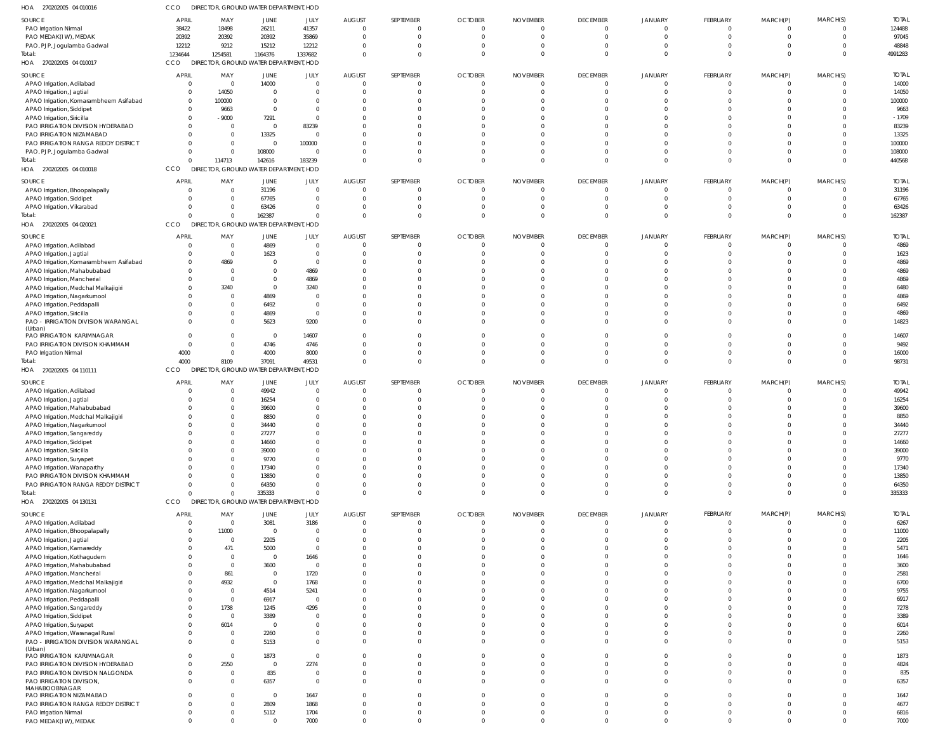| HOA 270202005 04 010016                       | CCO                           | DIRECTOR, GROUND WATER DEPARTMENT, HOD |                  |                        |               |               |                         |                         |                      |                      |                 |          |                      |              |
|-----------------------------------------------|-------------------------------|----------------------------------------|------------------|------------------------|---------------|---------------|-------------------------|-------------------------|----------------------|----------------------|-----------------|----------|----------------------|--------------|
| SOURCE                                        | <b>APRIL</b>                  | MAY                                    | <b>JUNE</b>      | JULY                   | <b>AUGUST</b> | SEPTEMBER     | <b>OCTOBER</b>          | <b>NOVEMBER</b>         | <b>DECEMBER</b>      | <b>JANUARY</b>       | <b>FEBRUARY</b> | MARCH(P) | MARCH(S)             | <b>TOTAI</b> |
| PAO Irrigation Nirmal                         | 38422                         | 18498                                  | 26211            | 41357                  | $\Omega$      | 0             | $\overline{0}$          | 0                       | $\Omega$             | $\Omega$             | $\mathbf 0$     | 0        | $\Omega$             | 124488       |
| PAO MEDAK(IW), MEDAK                          | 20392                         | 20392                                  | 20392            | 35869                  | 0             | 0             | $\overline{0}$          | $\overline{0}$          | $\Omega$             | $\Omega$             | 0               | $\Omega$ | $\Omega$             | 97045        |
| PAO, PJP, Jogulamba Gadwal                    | 12212                         | 9212                                   | 15212            | 12212                  | $\mathbf 0$   | $\Omega$      | $\overline{0}$          | $\Omega$                | $\Omega$             | $\Omega$             |                 |          | $\Omega$             | 48848        |
| Total:                                        | 1234644                       | 1254581                                | 1164376          | 1337682                | - 0           | $\Omega$      | $\Omega$                | $\Omega$                | $\Omega$             | $\Omega$             | $\Omega$        | $\Omega$ | $\Omega$             | 4991283      |
| HOA 270202005 04 010017                       | CCO                           | DIRECTOR, GROUND WATER DEPARTMENT, HOD |                  |                        |               |               |                         |                         |                      |                      |                 |          |                      |              |
|                                               |                               |                                        |                  |                        |               |               |                         |                         |                      |                      |                 |          |                      |              |
| SOURCE                                        | <b>APRIL</b>                  | MAY                                    | JUNE             | JULY                   | <b>AUGUST</b> | SEPTEMBER     | <b>OCTOBER</b>          | <b>NOVEMBER</b>         | <b>DECEMBER</b>      | <b>JANUARY</b>       | <b>FEBRUARY</b> | MARCH(P) | MARCH(S)             | <b>TOTAL</b> |
| APAO Irrigation, Adilabad                     | $\overline{0}$                | $\overline{0}$                         | 14000            | $\overline{0}$         | $\Omega$      | 0             | $\overline{0}$          | $\overline{0}$          | $\Omega$             | $\Omega$<br>$\Omega$ | $\mathbf 0$     | 0        | $\Omega$             | 14000        |
| APAO Irrigation, Jagtial                      | $\overline{0}$                | 14050                                  | - 0              | $\overline{0}$         | - (           | 0             | -0                      | 0                       | $\Omega$             |                      | $\mathbf 0$     |          | $\Omega$             | 14050        |
| APAO Irrigation, Komarambheem Asifabad        | $\overline{0}$                | 100000                                 |                  | $\Omega$               |               |               | $\Omega$                | $\Omega$                | $\cap$               | $\cap$               |                 |          | $\Omega$             | 100000       |
| APAO Irrigation, Siddipet                     | $\mathbf{0}$                  | 9663                                   | $\Omega$         | $\Omega$               |               |               | $\Omega$                | $\Omega$                | $\Omega$             |                      |                 |          | $\Omega$             | 9663         |
| APAO Irrigation, Siricilla                    | $\mathbf{0}$                  | $-9000$                                | 7291             | $\Omega$               |               |               | $\Omega$                | $\Omega$                |                      |                      |                 |          | $\Omega$             | $-1709$      |
| PAO IRRIGATION DIVISION HYDERABAD             | $\mathbf{0}$                  | $\overline{0}$                         | $\overline{0}$   | 83239                  |               |               | $\Omega$                | $\Omega$                | $\cap$               |                      |                 |          | $\cap$               | 83239        |
| PAO IRRIGATION NIZAMABAD                      | $\Omega$                      | $\overline{0}$                         | 13325            | $\Omega$               |               |               | $\Omega$                | $\Omega$                |                      | $\Omega$             |                 |          | $\Omega$             | 13325        |
| PAO IRRIGATION RANGA REDDY DISTRICT           | $\Omega$                      | $\overline{0}$                         | $\overline{0}$   | 100000                 |               |               | $\Omega$                | $\Omega$                | $\Omega$             |                      |                 |          | $\Omega$             | 100000       |
| PAO, PJP, Jogulamba Gadwal                    | $\mathbf{0}$                  | $\overline{0}$                         | 108000           | $\Omega$               |               | $\Omega$      | $^{\circ}$              | $\Omega$                | $\Omega$             | $\Omega$             | $\Omega$        |          | $\Omega$             | 108000       |
| Total:                                        | $\Omega$                      | 114713                                 | 142616           | 183239                 |               | $\Omega$      | $\Omega$                | $\Omega$                | $\Omega$             | $\Omega$             | $\Omega$        | $\Omega$ | $\Omega$             | 440568       |
| HOA 270202005 04 010018                       | CCO                           | DIRECTOR, GROUND WATER DEPARTMENT, HOD |                  |                        |               |               |                         |                         |                      |                      |                 |          |                      |              |
| SOURCE                                        | <b>APRIL</b>                  | MAY                                    | JUNE             | JULY                   | <b>AUGUST</b> | SEPTEMBER     | <b>OCTOBER</b>          | <b>NOVEMBER</b>         | <b>DECEMBER</b>      | <b>JANUARY</b>       | <b>FEBRUARY</b> | MARCH(P) | MARCH(S)             | <b>TOTAL</b> |
| APAO Irrigation, Bhoopalapally                | $\overline{0}$                | 0                                      | 31196            | $\overline{0}$         | 0             | 0             | $\overline{0}$          | 0                       | $\Omega$             |                      | $\Omega$        |          | $\Omega$             | 31196        |
| APAO Irrigation, Siddipet                     | $\Omega$                      | $\overline{0}$                         | 67765            | $\overline{0}$         | $\Omega$      | 0             | - 0                     | $\Omega$                | $\Omega$             |                      |                 |          | $\Omega$             | 67765        |
| APAO Irrigation, Vikarabad                    | $\Omega$                      | $\Omega$                               | 63426            | $\Omega$               | $\Omega$      | $\Omega$      | $\overline{0}$          | 0                       | $\Omega$             |                      | $\Omega$        |          | $\Omega$             | 63426        |
| Total:                                        | $\Omega$                      | $\mathbf 0$                            | 162387           | $\Omega$               | $\Omega$      | $\Omega$      | $\Omega$                | $\Omega$                | $\Omega$             | $\Omega$             | $\Omega$        | $\Omega$ | $\Omega$             | 162387       |
| HOA 270202005 04 020021                       | CCO                           | DIRECTOR, GROUND WATER DEPARTMENT, HOD |                  |                        |               |               |                         |                         |                      |                      |                 |          |                      |              |
|                                               |                               |                                        |                  |                        |               |               |                         |                         |                      |                      |                 |          |                      |              |
| SOURCE                                        | <b>APRIL</b>                  | MAY                                    | JUNE             | JULY                   | <b>AUGUST</b> | SEPTEMBER     | <b>OCTOBER</b>          | <b>NOVEMBER</b>         | <b>DECEMBER</b>      | <b>JANUARY</b>       | FEBRUARY        | MARCH(P) | MARCH(S)             | <b>TOTAL</b> |
| APAO Irrigation, Adilabad                     | $\overline{0}$                | $\overline{0}$                         | 4869             | $\overline{0}$         | - (           | 0             | $\overline{0}$          | 0                       | $\Omega$<br>$\Omega$ | $\cap$               | $\mathbf 0$     |          | $\Omega$             | 4869         |
| APAO Irrigation, Jagtial                      | $\overline{0}$                | $\overline{0}$                         | 1623             | $\Omega$               | -0            | $\Omega$      | $\overline{0}$          | $\Omega$                |                      |                      | $\Omega$        |          | $\Omega$             | 1623         |
| APAO Irrigation, Komarambheem Asifabad        | $\overline{0}$                | 4869                                   | - 0              | $\overline{0}$         |               |               | $\Omega$                | C                       |                      | $\Omega$             |                 |          |                      | 4869         |
| APAO Irrigation, Mahabubabad                  | $\overline{0}$                | 0                                      |                  | 4869                   |               |               | $\Omega$                | $\Omega$                | $\cap$               | $\Omega$             |                 |          | $\Omega$<br>$\cap$   | 4869         |
| APAO Irrigation, Mancherial                   | $\Omega$                      | 0                                      |                  | 4869                   |               | <sup>0</sup>  | $\Omega$                | $\Omega$                | $\cap$               |                      |                 |          |                      | 4869         |
| APAO Irrigation, Medchal Malkajigiri          | $\Omega$                      | 3240                                   | $\Omega$         | 3240                   |               |               | $\Omega$                | $\Omega$                |                      |                      |                 |          | $\Omega$<br>$\cap$   | 6480         |
| APAO Irrigation, Nagarkurnool                 | $\Omega$                      | 0                                      | 4869             | $\Omega$               |               |               | $\Omega$                | $\Omega$                | $\cap$               | $\Omega$             |                 |          |                      | 4869         |
| APAO Irrigation, Peddapalli                   | $\Omega$                      | 0                                      | 6492             | $\overline{0}$         |               |               | $\Omega$                | $\Omega$                |                      |                      |                 |          | $\Omega$             | 6492         |
| APAO Irrigation, Siricilla                    | $\Omega$                      | $\Omega$                               | 4869             | $\overline{0}$         |               | 0             | $\Omega$                | $\Omega$                | $\Omega$             | $\Omega$             | $\Omega$        |          | $\Omega$<br>$\cap$   | 4869         |
| PAO - IRRIGATION DIVISION WARANGAL<br>(Urban) | $\Omega$                      | $\Omega$                               | 5623             | 9200                   |               | $\Omega$      | $\Omega$                | $\Omega$                | $\Omega$             | $\Omega$             | $\Omega$        |          |                      | 14823        |
| PAO IRRIGATION KARIMNAGAR                     | $\mathbf{0}$                  | $\overline{0}$                         | $\overline{0}$   | 14607                  | -0            | $\Omega$      | -0                      | $\Omega$                | $\Omega$             | $\Omega$             | $\Omega$        |          | $\Omega$             | 14607        |
| PAO IRRIGATION DIVISION KHAMMAM               | $\overline{0}$                | $\overline{0}$                         | 4746             | 4746                   |               | $\Omega$      | $^{\circ}$              | $\Omega$                | $\Omega$             | $\Omega$             | $\Omega$        |          | $\Omega$             | 9492         |
| PAO Irrigation Nirmal                         | 4000                          | $\overline{0}$                         | 4000             | 8000                   |               | $\Omega$      | $^{\circ}$              | $\Omega$                | $\Omega$             | $\Omega$             | $\Omega$        |          | $\Omega$             | 16000        |
| Total:                                        | 4000                          | 8109                                   | 37091            | 49531                  |               | 0             | $\Omega$                | $\mathbf{0}$            | $\Omega$             | $\Omega$             | $\mathbf 0$     | $\Omega$ | $\Omega$             | 98731        |
|                                               |                               |                                        |                  |                        |               |               |                         |                         |                      |                      |                 |          |                      |              |
|                                               |                               |                                        |                  |                        |               |               |                         |                         |                      |                      |                 |          |                      |              |
| HOA 270202005 04 110111                       | CCO                           | DIRECTOR, GROUND WATER DEPARTMENT, HOD |                  |                        |               |               |                         |                         |                      |                      |                 |          |                      |              |
| SOURCE                                        | <b>APRIL</b>                  | MAY                                    | JUNE             | JULY                   | <b>AUGUST</b> | SEPTEMBER     | <b>OCTOBER</b>          | <b>NOVEMBER</b>         | <b>DECEMBER</b>      | <b>JANUARY</b>       | <b>FEBRUARY</b> | MARCH(P) | MARCH(S)             | <b>TOTAL</b> |
| APAO Irrigation, Adilabad                     |                               | 0                                      | 49942            | $\overline{0}$         | 0             | 0             | $^{\circ}$              | 0                       | $\Omega$             |                      | $\mathbf 0$     |          | $\Omega$             | 49942        |
| APAO Irrigation, Jagtial                      | $\Omega$                      | - 0                                    | 16254            | $\overline{0}$         | $\Omega$      | $\Omega$      | $\Omega$                | $\Omega$                | $\Omega$             |                      |                 |          |                      | 16254        |
| APAO Irrigation, Mahabubabad                  |                               | 0                                      | 39600            | $\Omega$               | -0            |               | -0                      | $\Omega$                | $\Omega$             |                      |                 |          |                      | 39600        |
| APAO Irrigation, Medchal Malkajigiri          |                               | 0                                      | 8850             | $\Omega$               | $\cup$        |               | $\Omega$                | $\Omega$                | $\Omega$             | $\Omega$             |                 |          |                      | 8850         |
| APAO Irrigation, Nagarkurnool                 | $\Omega$                      | $\Omega$                               | 34440            | $\Omega$               | $\sqrt{ }$    |               | $\Omega$                | $\Omega$                | $\Omega$             | $\Omega$             |                 |          | $\Omega$             | 34440        |
| APAO Irrigation, Sangareddy                   | $\Omega$                      | $\Omega$                               | 27277            | $\Omega$               |               |               | $\Omega$                | $\Omega$                | $\Omega$             |                      |                 |          |                      | 27277        |
| APAO Irrigation, Siddipet                     | $\Omega$                      | $\Omega$                               | 14660            | $\Omega$               |               |               | $\Omega$                | $\Omega$                | $\Omega$             | $\Omega$             |                 |          | $\Omega$             | 14660        |
| APAO Irrigation, Siricilla                    | $\Omega$                      | $\Omega$                               | 39000            | $\Omega$               | $\cup$        | $\Omega$      | $\Omega$                | $\Omega$                | $\Omega$             | $\Omega$             | $\Omega$        |          | $\Omega$             | 39000        |
| APAO Irrigation, Suryapet                     |                               | $\Omega$                               | 9770             | $\Omega$               |               |               | $\Omega$                | $\Omega$                | $\Omega$             | $\cap$               |                 |          | $\Omega$             | 9770         |
| APAO Irrigation, Wanaparthy                   | $\Omega$                      | $\Omega$                               | 17340            | $\Omega$               | -0            |               | $\Omega$                | $\Omega$                | $\Omega$             | $\Omega$             |                 |          | $\Omega$             | 17340        |
| PAO IRRIGATION DIVISION KHAMMAM               | $\Omega$                      | $\Omega$                               | 13850            | $\Omega$               | $\cup$        | $\Omega$      | $\overline{0}$          | $\Omega$                | $\Omega$             | $\Omega$             |                 |          | $\Omega$             | 13850        |
| PAO IRRIGATION RANGA REDDY DISTRICT           | $\Omega$                      | $\Omega$                               | 64350            | $\Omega$               | $\Omega$      | $\Omega$      | $\overline{0}$          | $\Omega$                | $\Omega$             | $\Omega$             | $\Omega$        |          | $\Omega$             | 64350        |
| Total:                                        | $\Omega$                      | $\Omega$                               | 335333           | $\Omega$               | $\Omega$      | $\Omega$      | $\Omega$                | $\Omega$                | $\Omega$             | $\Omega$             | $\Omega$        | $\Omega$ | $\Omega$             | 335333       |
| HOA 270202005 04 130131                       | CCO                           | DIRECTOR, GROUND WATER DEPARTMENT, HOD |                  |                        |               |               |                         |                         |                      |                      |                 |          |                      |              |
| SOURCE                                        | <b>APRIL</b>                  | MAY                                    | <b>JUNE</b>      | JULY                   | AUGUST        | SEPTEMBER     | <b>OCTOBER</b>          | <b>NOVEMBER</b>         | <b>DECEMBER</b>      | <b>JANUARY</b>       | FEBRUARY        | MARCH(P) | MARCH(S)             | <b>TOTAL</b> |
|                                               | $\overline{0}$                | $\overline{0}$                         |                  |                        | $\Omega$      | 0             | $\overline{0}$          | $\overline{0}$          | $\overline{0}$       | $\Omega$             | $\mathbf 0$     |          | $\Omega$             |              |
| APAO Irrigation, Adilabad                     | $\overline{0}$                |                                        | 3081<br>$\Omega$ | 3186<br>$\Omega$       | $\Omega$      | 0             | $\overline{0}$          | $\Omega$                | $\Omega$             | $\Omega$             | $\mathbf 0$     |          | $\Omega$             | 6267         |
| APAO Irrigation, Bhoopalapally                | $\Omega$                      | 11000                                  |                  |                        |               |               | $\Omega$                | $\Omega$                | $\Omega$             |                      |                 |          | $\Omega$             | 11000        |
| APAO Irrigation, Jagtial                      |                               | $\overline{0}$                         | 2205             | $\overline{0}$         |               |               |                         |                         | $\Omega$             | $\Omega$             | $\Omega$        |          | $\Omega$             | 2205         |
| APAO Irrigation, Kamareddy                    | $\Omega$                      | 471                                    | 5000             | $\overline{0}$         |               | 0<br>$\Omega$ | $\mathbf 0$             | $\Omega$                | $\Omega$             | $\Omega$             |                 |          | $\Omega$             | 5471         |
| APAO Irrigation, Kothagudem                   | $\Omega$                      | $\overline{0}$                         | $\overline{0}$   | 1646                   |               | <sup>0</sup>  | $\Omega$                | $\Omega$<br>$\Omega$    | $\Omega$             | $\Omega$             |                 |          | $\cap$               | 1646         |
| APAO Irrigation, Mahabubabad                  | $\Omega$                      | $\overline{0}$                         | 3600             | $\Omega$               |               |               | $\Omega$                |                         | $\Omega$             | $\Omega$             |                 |          | $\Omega$             | 3600         |
| APAO Irrigation, Mancherial                   | $\Omega$                      | 861                                    | $\Omega$         | 1720                   |               |               | $\Omega$                | $\Omega$                | $\cap$               | $\Omega$             |                 |          | $\cap$               | 2581         |
| APAO Irrigation, Medchal Malkajigiri          | $\Omega$                      | 4932                                   | $\Omega$         | 1768                   |               |               | $\Omega$                | $\Omega$                |                      |                      |                 |          |                      | 6700         |
| APAO Irrigation, Nagarkurnool                 | $\mathbf{0}$                  | $\overline{0}$                         | 4514             | 5241                   |               | <sup>0</sup>  | $\Omega$                | $\Omega$                | $\Omega$<br>$\Omega$ | $\Omega$<br>$\Omega$ |                 |          | $\Omega$<br>$\Omega$ | 9755         |
| APAO Irrigation, Peddapalli                   | $\Omega$                      | $\overline{0}$                         | 6917             | $\Omega$               |               |               | $\Omega$                | $\Omega$<br>$\Omega$    | $\Omega$             | $\Omega$             |                 |          | $\cap$               | 6917         |
| APAO Irrigation, Sangareddy                   | $\mathbf{0}$                  | 1738                                   | 1245             | 4295                   |               |               | $\Omega$                |                         | $\Omega$             | $\Omega$             |                 |          | $\Omega$             | 7278         |
| APAO Irrigation, Siddipet                     | $\mathbf{0}$                  | $\overline{0}$                         | 3389             | $\overline{0}$         |               | $\Omega$      | $\Omega$                | $\Omega$                | $\Omega$             | $\Omega$             |                 |          |                      | 3389         |
| APAO Irrigation, Suryapet                     | $\mathbf{0}$                  | 6014                                   | - 0              | $\Omega$               |               | $\Omega$      | $\Omega$                | $\Omega$                |                      |                      |                 |          | $\Omega$             | 6014         |
| APAO Irrigation, Waranagal Rural              | $\mathbf{0}$                  | 0                                      | 2260             | $\Omega$               |               | $\Omega$      | $\mathbf 0$             | $\mathbf 0$             | $\Omega$             | $\Omega$             | $\Omega$        |          | $\Omega$             | 2260         |
| PAO - IRRIGATION DIVISION WARANGAL            | $\overline{0}$                | $\overline{0}$                         | 5153             | $\Omega$               |               | $\Omega$      | $\Omega$                | $\Omega$                | $\Omega$             | $\Omega$             | $\Omega$        |          | $\Omega$             | 5153         |
| (Urban)                                       | $\mathbf{0}$                  | $\overline{0}$                         | 1873             | $\Omega$               |               | $\Omega$      | $\Omega$                | $\Omega$                | $\Omega$             | $\Omega$             | $\Omega$        |          | $\cap$               |              |
| PAO IRRIGATION KARIMNAGAR                     | $\mathbf{0}$                  |                                        | $\Omega$         |                        |               | $\Omega$      | $\Omega$                | $\Omega$                | $\Omega$             | $\Omega$             | $\Omega$        |          | $\Omega$             | 1873         |
| PAO IRRIGATION DIVISION HYDERABAD             | $\mathbf{0}$                  | 2550<br>$\overline{0}$                 |                  | 2274<br>$\overline{0}$ |               | 0             | $\mathbf 0$             | $\mathbf 0$             | $\Omega$             | $\Omega$             | $\Omega$        |          | $\Omega$             | 4824         |
| PAO IRRIGATION DIVISION NALGONDA              | $\Omega$                      | - 0                                    | 835              | $\overline{0}$         |               | $\Omega$      | $\Omega$                | $\Omega$                | $\Omega$             | $\Omega$             | $\Omega$        |          | $\cap$               | 835          |
| PAO IRRIGATION DIVISION,<br>MAHABOOBNAGAR     |                               |                                        | 6357             |                        |               |               |                         |                         |                      |                      |                 |          |                      | 6357         |
| PAO IRRIGATION NIZAMABAD                      | $\Omega$                      | $\Omega$                               | $\Omega$         | 1647                   |               | $\Omega$      | $\Omega$                | $\Omega$                | $\Omega$             | $\Omega$             | $\Omega$        |          | $\cap$               | 1647         |
| PAO IRRIGATION RANGA REDDY DISTRICT           | $\mathbf{0}$                  | $\Omega$                               | 2809             | 1868                   |               | $\Omega$      | $\mathbf 0$             | $\Omega$                | $\Omega$             | $\Omega$             | $\Omega$        |          | $\Omega$             | 4677         |
| PAO Irrigation Nirmal<br>PAO MEDAK(IW), MEDAK | $\mathbf 0$<br>$\overline{0}$ | 0                                      | 5112             | 1704<br>7000           |               | 0<br>$\Omega$ | $\mathbf 0$<br>$\Omega$ | $\mathbf 0$<br>$\Omega$ | $\Omega$<br>$\Omega$ | $\Omega$<br>$\Omega$ | 0<br>$\Omega$   | $\Omega$ | $\Omega$<br>$\Omega$ | 6816<br>7000 |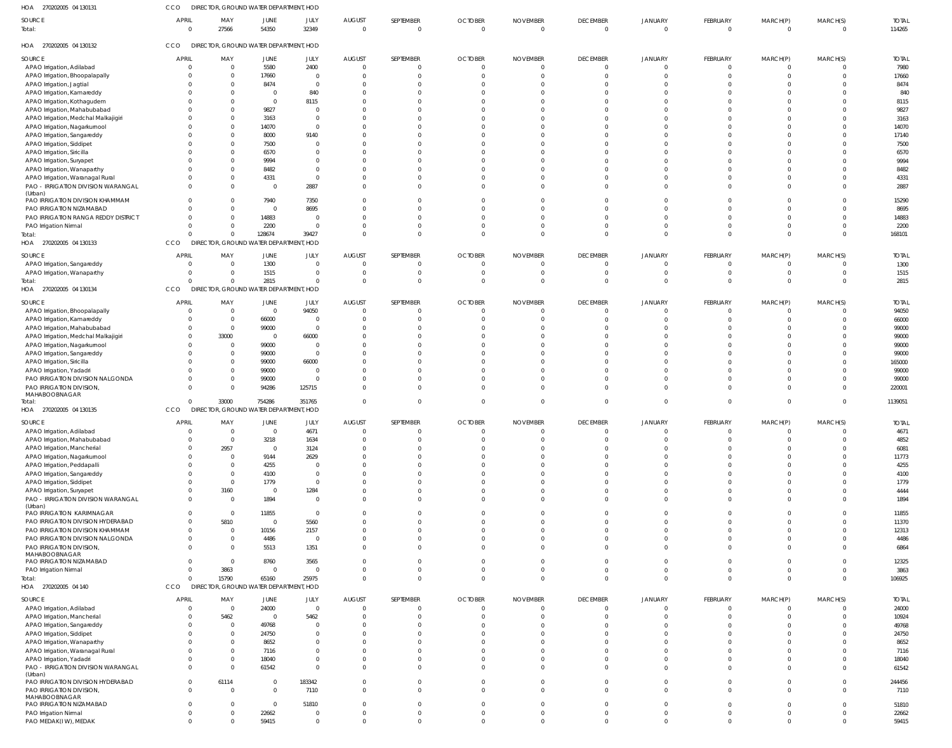| 270202005 04 130131<br>HOA                    | <b>CCO</b>                    | DIRECTOR, GROUND WATER DEPARTMENT, HOD |                  |                  |                           |                             |                            |                             |                                   |                                  |                      |                      |                            |                        |
|-----------------------------------------------|-------------------------------|----------------------------------------|------------------|------------------|---------------------------|-----------------------------|----------------------------|-----------------------------|-----------------------------------|----------------------------------|----------------------|----------------------|----------------------------|------------------------|
| SOURCE<br>Total:                              | <b>APRIL</b><br>$\Omega$      | MAY<br>27566                           | JUNE<br>54350    | JULY<br>32349    | <b>AUGUST</b><br>$\Omega$ | SEPTEMBER<br>$\overline{0}$ | <b>OCTOBER</b><br>$\Omega$ | <b>NOVEMBER</b><br>$\Omega$ | <b>DECEMBER</b><br>$\overline{0}$ | <b>JANUARY</b><br>$\Omega$       | FEBRUARY<br>$\Omega$ | MARCH(P)<br>$\Omega$ | MARCH(S)<br>$\overline{0}$ | <b>TOTAL</b><br>114265 |
| HOA 270202005 04 130132                       | <b>CCO</b>                    | DIRECTOR, GROUND WATER DEPARTMENT, HOD |                  |                  |                           |                             |                            |                             |                                   |                                  |                      |                      |                            |                        |
| SOURCE                                        | <b>APRIL</b>                  | MAY                                    | JUNE             | JULY             | <b>AUGUST</b>             | SEPTEMBER                   | <b>OCTOBER</b>             | <b>NOVEMBER</b>             | <b>DECEMBER</b>                   | JANUARY                          | FEBRUARY             | MARCH(P)             | MARCH(S)                   | <b>TOTAL</b>           |
| APAO Irrigation, Adilabad                     | $\Omega$                      | $\overline{0}$                         | 5580             | 2400             | $\Omega$                  | - 0                         |                            | $\Omega$                    | $\overline{0}$                    | $\overline{0}$                   | $\Omega$             | $\Omega$             | $\overline{0}$             | 7980                   |
| APAO Irrigation, Bhoopalapally                | $\Omega$                      | $\overline{0}$                         | 17660            | $\mathbf{0}$     | - 0                       | $\overline{0}$              |                            |                             | $\overline{0}$                    | $\overline{0}$                   | $\Omega$             | $\Omega$             | $\overline{0}$             | 17660                  |
|                                               | $\Omega$                      | $\Omega$                               |                  | $\Omega$         |                           | $\Omega$                    |                            |                             |                                   |                                  |                      |                      |                            |                        |
| APAO Irrigation, Jagtial                      |                               |                                        | 8474             |                  |                           |                             |                            |                             | $\Omega$                          | $\Omega$                         | $\Omega$             | $\Omega$             | $\Omega$                   | 8474                   |
| APAO Irrigation, Kamareddy                    | $\Omega$                      | - 0                                    | $\Omega$         | 840              |                           | $\Omega$                    |                            |                             | $\Omega$                          | $\Omega$                         | $\Omega$             | $\Omega$             | $\Omega$                   | 840                    |
| APAO Irrigation, Kothagudem                   | $\Omega$                      | $\Omega$                               | $\Omega$         | 8115             |                           | $\Omega$                    |                            |                             | $\Omega$                          | $\Omega$                         | $\Omega$             | $\Omega$             | $\Omega$                   | 8115                   |
| APAO Irrigation, Mahabubabad                  | $\Omega$                      | $\Omega$                               | 9827             |                  |                           | $\Omega$                    |                            |                             | $\Omega$                          | $\Omega$                         | $\Omega$             | $\Omega$             | $\Omega$                   | 9827                   |
| APAO Irrigation, Medchal Malkajigiri          | $\Omega$                      | $\Omega$                               | 3163             | 0                |                           | $\Omega$                    |                            |                             | $\Omega$                          | $\Omega$                         | $\Omega$             | $\Omega$             | $\Omega$                   | 3163                   |
| APAO Irrigation, Nagarkurnool                 | $\Omega$                      | $\Omega$                               | 14070            | 0                |                           | $\Omega$                    |                            |                             | $\Omega$                          | $\Omega$                         | $\Omega$             | $\Omega$             | $\Omega$                   | 14070                  |
| APAO Irrigation, Sangareddy                   | $\Omega$                      | $\Omega$                               | 8000             | 9140             |                           | $\Omega$                    |                            |                             | $\Omega$                          | $\Omega$                         | $\Omega$             | $\Omega$             | $\Omega$                   | 17140                  |
| APAO Irrigation, Siddipet                     | $\Omega$                      | $\Omega$                               | 7500             |                  |                           | $\Omega$                    |                            |                             | $\Omega$                          | $\Omega$                         | $\Omega$             | $\Omega$             | $\Omega$                   | 7500                   |
| APAO Irrigation, Siricilla                    | $\Omega$                      | $\Omega$                               | 6570             | <sup>0</sup>     |                           | $\Omega$                    |                            |                             | $\Omega$                          | $\Omega$                         | $\Omega$             | $\Omega$             | $\Omega$                   | 6570                   |
| APAO Irrigation, Suryapet                     | $\Omega$                      | $\Omega$                               | 9994             | <sup>0</sup>     |                           | $\Omega$                    |                            |                             | $\Omega$                          | $\Omega$                         | $\Omega$             | $\Omega$             | $\Omega$                   | 9994                   |
| APAO Irrigation, Wanaparthy                   | $\Omega$                      | $\Omega$                               | 8482             | <sup>0</sup>     |                           | $\Omega$                    |                            |                             | $\Omega$                          | $\Omega$                         | $\Omega$             | $\Omega$             | $\Omega$                   | 8482                   |
| APAO Irrigation, Waranagal Rural              | $\Omega$                      | $\Omega$                               | 4331             | $\Omega$         |                           | $\Omega$                    |                            |                             | $\Omega$                          | $\Omega$                         | $\Omega$             | $\Omega$             | $\overline{0}$             | 4331                   |
| PAO - IRRIGATION DIVISION WARANGAL            | $\Omega$                      | $\Omega$                               | $\Omega$         | 2887             | $\Omega$                  | $\Omega$                    |                            |                             | $\Omega$                          | $\Omega$                         | $\Omega$             | $\Omega$             | $\Omega$                   | 2887                   |
| (Urban)                                       |                               |                                        |                  |                  |                           |                             |                            |                             |                                   |                                  |                      |                      |                            |                        |
| PAO IRRIGATION DIVISION KHAMMAM               | $\mathbf{0}$                  | $\Omega$                               | 7940             | 7350             |                           | $\Omega$                    |                            |                             | $\Omega$                          | $\Omega$                         | $\Omega$             | $\Omega$             | $\Omega$                   | 15290                  |
| PAO IRRIGATION NIZAMABAD                      | $\Omega$                      | $\Omega$                               | $\Omega$         | 8695             |                           | $\Omega$                    |                            |                             | $\Omega$                          | $\Omega$                         | $\Omega$             | $\Omega$             | $\overline{0}$             | 8695                   |
| PAO IRRIGATION RANGA REDDY DISTRICT           | $\Omega$                      | $\Omega$                               | 14883            | $\Omega$         |                           | $\Omega$                    |                            |                             | $\Omega$                          | $\Omega$                         | $\Omega$             | $\Omega$             | $\overline{0}$             | 14883                  |
| PAO Irrigation Nirmal                         | $\Omega$                      | $\Omega$                               | 2200             | $\Omega$         |                           | $\Omega$                    |                            |                             | $\overline{0}$                    | $\Omega$                         | $\Omega$             | $\Omega$             | $\overline{0}$             | 2200                   |
| Total:                                        | $\Omega$                      | $\Omega$                               | 128674           | 39427            |                           | $\Omega$                    |                            |                             | $\Omega$                          | $\Omega$                         | $\Omega$             | $\Omega$             | $\Omega$                   | 168101                 |
| HOA 270202005 04 130133                       | CCO                           | DIRECTOR, GROUND WATER DEPARTMENT, HOD |                  |                  |                           |                             |                            |                             |                                   |                                  |                      |                      |                            |                        |
|                                               |                               |                                        |                  |                  |                           |                             |                            |                             |                                   |                                  |                      |                      |                            |                        |
| SOURCE                                        | <b>APRIL</b>                  | MAY                                    | JUNE             | JULY             | <b>AUGUST</b>             | SEPTEMBER                   | <b>OCTOBER</b>             | <b>NOVEMBER</b>             | <b>DECEMBER</b>                   | JANUARY                          | FEBRUARY             | MARCH(P)             | MARCH(S)                   | <b>TOTAL</b>           |
| APAO Irrigation, Sangareddy                   | $\Omega$                      | - 0                                    | 1300             | 0                |                           | $\Omega$                    |                            |                             | $\Omega$                          | $\Omega$                         | $\Omega$             | $\Omega$             | $\Omega$                   | 1300                   |
| APAO Irrigation, Wanaparthy                   | $\Omega$                      | $\Omega$                               | 1515             | $\Omega$         | $\Omega$                  | $\Omega$                    |                            |                             | $\overline{0}$                    | $\Omega$                         | $\Omega$             | $\Omega$             | $\Omega$                   | 1515                   |
| Total:                                        | $\Omega$                      | $\Omega$                               | 2815             | $\Omega$         |                           | $\Omega$                    |                            |                             | $\Omega$                          | $\Omega$                         | $\Omega$             | $\Omega$             | $\Omega$                   | 2815                   |
| HOA 270202005 04 130134                       | CCO                           | DIRECTOR, GROUND WATER DEPARTMENT, HOD |                  |                  |                           |                             |                            |                             |                                   |                                  |                      |                      |                            |                        |
|                                               |                               |                                        |                  |                  |                           |                             |                            |                             |                                   |                                  |                      |                      |                            |                        |
| SOURCE                                        | <b>APRIL</b>                  | MAY                                    | JUNE             | JULY             | <b>AUGUST</b>             | SEPTEMBER                   | <b>OCTOBER</b>             | <b>NOVEMBER</b>             | <b>DECEMBER</b>                   | JANUARY                          | FEBRUARY             | MARCH(P)             | MARCH(S)                   | <b>TOTAL</b>           |
| APAO Irrigation, Bhoopalapally                | $\Omega$                      | $\overline{0}$                         | $\Omega$         | 94050            | $\Omega$                  | - 0                         |                            |                             | $\overline{0}$                    | $\overline{0}$                   | $\Omega$             | $\Omega$             | $\overline{0}$             | 94050                  |
| APAO Irrigation, Kamareddy                    | $\Omega$                      | $\overline{0}$                         | 66000            | 0                | $\Omega$                  | $\Omega$                    |                            |                             | $\overline{0}$                    | $\Omega$                         | $\Omega$             | $\Omega$             | $\overline{0}$             | 66000                  |
| APAO Irrigation, Mahabubabad                  | $\Omega$                      | $\overline{0}$                         | 99000            | $\Omega$         |                           | $\Omega$                    |                            |                             | $\Omega$                          | $\Omega$                         | $\Omega$             | $\Omega$             | $\Omega$                   | 99000                  |
| APAO Irrigation, Medchal Malkajigiri          | $\mathbf{0}$                  | 33000                                  | $\overline{0}$   | 66000            |                           | $\Omega$                    |                            |                             | $\Omega$                          | $\Omega$                         | $\Omega$             | $\Omega$             | $\Omega$                   | 99000                  |
|                                               | $\Omega$                      | $\overline{0}$                         | 99000            | $\Omega$         |                           | $\Omega$                    |                            |                             | $\Omega$                          | $\Omega$                         | $\Omega$             | $\Omega$             | $\Omega$                   |                        |
| APAO Irrigation, Nagarkurnool                 | $\Omega$                      |                                        |                  | $\Omega$         |                           | $\Omega$                    |                            |                             |                                   |                                  |                      |                      |                            | 99000                  |
| APAO Irrigation, Sangareddy                   |                               | - 0                                    | 99000            |                  |                           |                             |                            |                             | $\Omega$                          | $\Omega$                         | $\Omega$             | $\Omega$             | $\Omega$                   | 99000                  |
| APAO Irrigation, Siricilla                    | $\Omega$                      | $\Omega$                               | 99000            | 66000            |                           | $\Omega$                    |                            |                             | $\Omega$                          | $\Omega$                         | $\Omega$             | $\Omega$             | $\Omega$                   | 165000                 |
| APAO Irrigation, Yadadri                      | $\Omega$                      | $\Omega$                               | 99000            | $\Omega$         |                           | $\Omega$                    |                            |                             | $\Omega$                          | $\Omega$                         | $\Omega$             | $\Omega$             | $\Omega$                   | 99000                  |
| PAO IRRIGATION DIVISION NALGONDA              | $\Omega$                      | - 0                                    | 99000            | $\Omega$         |                           | $\Omega$                    |                            |                             | $\Omega$                          | $\Omega$                         | $\Omega$             | $\Omega$             | $\Omega$                   | 99000                  |
| PAO IRRIGATION DIVISION,                      | $\Omega$                      | - 0                                    | 94286            | 125715           |                           | $\Omega$                    |                            |                             | $\Omega$                          | $\Omega$                         | $\Omega$             | $\Omega$             | $\Omega$                   | 220001                 |
| MAHABOOBNAGAR                                 |                               |                                        |                  |                  |                           |                             |                            |                             |                                   |                                  |                      |                      |                            |                        |
| Total:                                        | $\Omega$                      | 33000                                  | 754286           | 351765           |                           | $\overline{0}$              | $\Omega$                   | $\Omega$                    | $\overline{0}$                    | $\Omega$                         | $\Omega$             | $\Omega$             | $\overline{0}$             | 1139051                |
| HOA 270202005 04 130135                       | CCO                           | DIRECTOR, GROUND WATER DEPARTMENT, HOD |                  |                  |                           |                             |                            |                             |                                   |                                  |                      |                      |                            |                        |
| <b>SOURCE</b>                                 | <b>APRIL</b>                  | MAY                                    | JUNE             | JULY             | <b>AUGUST</b>             | <b>SEPTEMBER</b>            | <b>OCTOBER</b>             | <b>NOVEMBER</b>             | <b>DECEMBER</b>                   | <b>JANUARY</b>                   | FEBRUARY             | MARCH(P)             | MARCH(S)                   | <b>TOTAL</b>           |
| APAO Irrigation, Adilabad                     | $\Omega$                      | $\Omega$                               | $\Omega$         | 4671             |                           | $\Omega$                    |                            |                             | $\Omega$                          | $\Omega$                         | $\Omega$             | $\Omega$             | $\Omega$                   | 4671                   |
|                                               | $\Omega$                      | $\Omega$                               |                  |                  |                           | $\Omega$                    |                            |                             |                                   |                                  |                      |                      |                            |                        |
| APAO Irrigation, Mahabubabad                  |                               |                                        | 3218             | 1634             |                           |                             |                            |                             | $\Omega$                          | $\Omega$                         | $\Omega$             | $\Omega$             | $\Omega$                   | 4852                   |
| APAO Irrigation, Mancherial                   | $\Omega$                      | 2957                                   | $\Omega$         | 3124             |                           | $\Omega$                    |                            |                             | $\Omega$                          | $\Omega$                         | $\Omega$             | $\Omega$             | $\Omega$                   | 6081                   |
| APAO Irrigation, Nagarkurnool                 | $\Omega$                      | $\Omega$                               | 9144             | 2629             |                           | $\Omega$                    |                            |                             | $\Omega$                          | $\Omega$                         | $\Omega$             | $\Omega$             | $\Omega$                   | 11773                  |
| APAO Irrigation, Peddapalli                   | $\Omega$                      | - 0                                    | 4255             |                  |                           | $\Omega$                    |                            |                             | $\Omega$                          | $\Omega$                         | $\Omega$             | $\Omega$             | $\Omega$                   | 4255                   |
| APAO Irrigation, Sangareddy                   | $\Omega$                      | $\Omega$                               | 4100             | 0                |                           | $\Omega$                    |                            |                             | $\Omega$                          | $\Omega$                         | $\Omega$             | $\Omega$             | $\Omega$                   | 4100                   |
| APAO Irrigation, Siddipet                     | $\Omega$                      | $\Omega$                               | 1779             | $\Omega$         |                           | $\Omega$                    |                            |                             | $\Omega$                          | $\Omega$                         | $\Omega$             | $\Omega$             | $\Omega$                   | 1779                   |
| APAO Irrigation, Suryapet                     | $\Omega$                      | 3160                                   | $\Omega$         | 1284             |                           | $\Omega$                    |                            |                             | $\Omega$                          | $\Omega$                         | $\Omega$             | $\Omega$             | $\Omega$                   | 4444                   |
| PAO - IRRIGATION DIVISION WARANGAL            | $\Omega$                      | $\Omega$                               | 1894             | <sup>0</sup>     |                           | $\Omega$                    |                            |                             | $\Omega$                          | $\Omega$                         | $\Omega$             | $\Omega$             | $\Omega$                   | 1894                   |
| (Urban)                                       |                               |                                        |                  |                  |                           |                             |                            |                             |                                   |                                  |                      |                      |                            |                        |
| PAO IRRIGATION KARIMNAGAR                     | $\Omega$                      | $\Omega$                               | 11855            | $\Omega$         |                           | $\Omega$                    |                            |                             | $\Omega$                          | $\Omega$                         | $\Omega$             | $\Omega$             | $\Omega$                   | 11855                  |
| PAO IRRIGATION DIVISION HYDERABAD             | $\Omega$                      | 5810                                   | $\Omega$         | 5560             |                           | $\Omega$                    |                            |                             | $\Omega$                          | $\Omega$                         | $\Omega$             | $\Omega$             | $\Omega$                   | 11370                  |
| PAO IRRIGATION DIVISION KHAMMAM               | $\mathbf 0$                   | $\Omega$                               | 10156            | 2157             |                           | $\Omega$                    |                            |                             | $\Omega$                          | $\Omega$                         | $\Omega$             | $\Omega$             | $\Omega$                   | 12313                  |
| PAO IRRIGATION DIVISION NALGONDA              | $\mathbf{0}$                  | $\Omega$                               | 4486             | 0                |                           | $\Omega$                    |                            |                             | $\Omega$                          | $\Omega$                         | $\Omega$             | $\Omega$             | $\Omega$                   | 4486                   |
| PAO IRRIGATION DIVISION,                      | $\Omega$                      | $\Omega$                               | 5513             | 1351             |                           | $\Omega$                    |                            |                             | $\Omega$                          | $\Omega$                         | $\Omega$             | $\Omega$             | $\Omega$                   | 6864                   |
| MAHABOOBNAGAR                                 |                               |                                        |                  |                  |                           |                             |                            |                             |                                   |                                  |                      |                      |                            |                        |
|                                               |                               |                                        |                  |                  |                           | $\Omega$                    |                            |                             |                                   | $\Omega$                         |                      |                      | $\Omega$                   | 12325                  |
|                                               | $\Omega$                      | $\Omega$                               |                  |                  |                           |                             |                            |                             | $\Omega$                          |                                  | $\Omega$             | $\Omega$             |                            |                        |
| PAO IRRIGATION NIZAMABAD                      | $\Omega$                      |                                        | 8760<br>$\Omega$ | 3565<br>$\Omega$ |                           |                             |                            |                             | $\Omega$                          | $\Omega$                         | $\Omega$             | $\Omega$             |                            |                        |
| PAO Irrigation Nirmal                         |                               | 3863                                   |                  |                  |                           | $\overline{0}$              |                            |                             |                                   |                                  |                      |                      | $\Omega$                   | 3863                   |
| Total:                                        | $\Omega$                      | 15790                                  | 65160            | 25975            |                           | $\Omega$                    | $\Omega$                   |                             | $\Omega$                          | $\Omega$                         | $\Omega$             | $\Omega$             | $\Omega$                   | 106925                 |
| HOA 270202005 04 140                          | CCO                           | DIRECTOR, GROUND WATER DEPARTMENT, HOD |                  |                  |                           |                             |                            |                             |                                   |                                  |                      |                      |                            |                        |
| SOURCE                                        | <b>APRIL</b>                  | MAY                                    | JUNE             | JULY             | <b>AUGUST</b>             | SEPTEMBER                   | <b>OCTOBER</b>             | <b>NOVEMBER</b>             | <b>DECEMBER</b>                   | <b>JANUARY</b>                   | FEBRUARY             | MARCH(P)             | MARCH(S)                   | <b>TOTAL</b>           |
| APAO Irrigation, Adilabad                     | $\Omega$                      | $\overline{0}$                         | 24000            | $\mathbf 0$      | $\Omega$                  | $\overline{0}$              | $\Omega$                   | $\Omega$                    | $\overline{0}$                    | $\overline{0}$                   | $\overline{0}$       | $\Omega$             | $\overline{0}$             | 24000                  |
| APAO Irrigation, Mancherial                   | $\Omega$                      | 5462                                   | $\Omega$         | 5462             | $\Omega$                  | $\Omega$                    | $\Omega$                   |                             | $\overline{0}$                    | $\Omega$                         | $\Omega$             | $\Omega$             | $\overline{0}$             | 10924                  |
|                                               | $\mathbf 0$                   | $\overline{0}$                         |                  | 0                |                           | $\Omega$                    |                            |                             | $\Omega$                          | $\Omega$                         | $\Omega$             | $\Omega$             | $\Omega$                   |                        |
| APAO Irrigation, Sangareddy                   |                               |                                        | 49768            |                  |                           |                             |                            |                             |                                   |                                  |                      |                      |                            | 49768                  |
| APAO Irrigation, Siddipet                     | $\Omega$                      | $\overline{0}$                         | 24750            | $\Omega$         |                           | $\Omega$                    |                            |                             | $\Omega$                          | $\Omega$                         | $\Omega$             | $\Omega$             | $\Omega$                   | 24750                  |
| APAO Irrigation, Wanaparthy                   | $\Omega$                      | $\overline{0}$                         | 8652             | 0                |                           | $\Omega$                    |                            |                             | $\Omega$                          | $\Omega$                         | $\Omega$             | $\Omega$             | $\Omega$                   | 8652                   |
| APAO Irrigation, Waranagal Rural              | $\Omega$                      | $\Omega$                               | 7116             | <sup>0</sup>     |                           | $\Omega$                    |                            |                             | $\Omega$                          | $\Omega$                         | $\Omega$             | $\Omega$             | $\Omega$                   | 7116                   |
| APAO Irrigation, Yadadri                      | $\Omega$                      | $\Omega$                               | 18040            | $\Omega$         |                           | $\Omega$                    |                            |                             | $\Omega$                          | $\Omega$                         | $\Omega$             | $\Omega$             | $\Omega$                   | 18040                  |
| PAO - IRRIGATION DIVISION WARANGAL            | $\Omega$                      | $\Omega$                               | 61542            | $\Omega$         | $\Omega$                  | $\Omega$                    | $\Omega$                   |                             | $\Omega$                          | $\Omega$                         | $\Omega$             | $\Omega$             | $\Omega$                   | 61542                  |
| (Urban)                                       |                               |                                        |                  |                  |                           |                             |                            |                             |                                   |                                  |                      |                      |                            |                        |
| PAO IRRIGATION DIVISION HYDERABAD             | $\overline{0}$                | 61114                                  | $\Omega$         | 183342           | $\Omega$                  | $\overline{0}$              | $\Omega$                   |                             | $\Omega$                          | $\Omega$                         | $\Omega$             | $\Omega$             | $\overline{0}$             | 244456                 |
| PAO IRRIGATION DIVISION,                      | $\Omega$                      | $\overline{0}$                         | $\Omega$         | 7110             | $\Omega$                  | $\Omega$                    | $\Omega$                   |                             | $\Omega$                          | $\Omega$                         | $\Omega$             | $\Omega$             | $\overline{0}$             | 7110                   |
| MAHABOOBNAGAR                                 |                               |                                        |                  |                  |                           |                             |                            |                             |                                   |                                  |                      |                      |                            |                        |
| PAO IRRIGATION NIZAMABAD                      | $\mathbf{0}$                  | $\overline{0}$                         | $\overline{0}$   | 51810            | $\Omega$                  | $\overline{0}$              | $\Omega$                   |                             | $\overline{0}$                    | $\overline{0}$                   | $\Omega$             | $\Omega$             | $\overline{0}$             | 51810                  |
| PAO Irrigation Nirmal<br>PAO MEDAK(IW), MEDAK | $\mathbf 0$<br>$\overline{0}$ | $\Omega$                               | 22662<br>59415   | 0<br>$\mathbf 0$ | $\Omega$<br>$\Omega$      | $\mathbf{0}$<br>$\Omega$    | $\Omega$                   |                             | $\overline{0}$<br>$\Omega$        | $\overline{0}$<br>$\overline{0}$ | $\Omega$<br>$\Omega$ | $\Omega$<br>$\Omega$ | $\overline{0}$<br>$\Omega$ | 22662<br>59415         |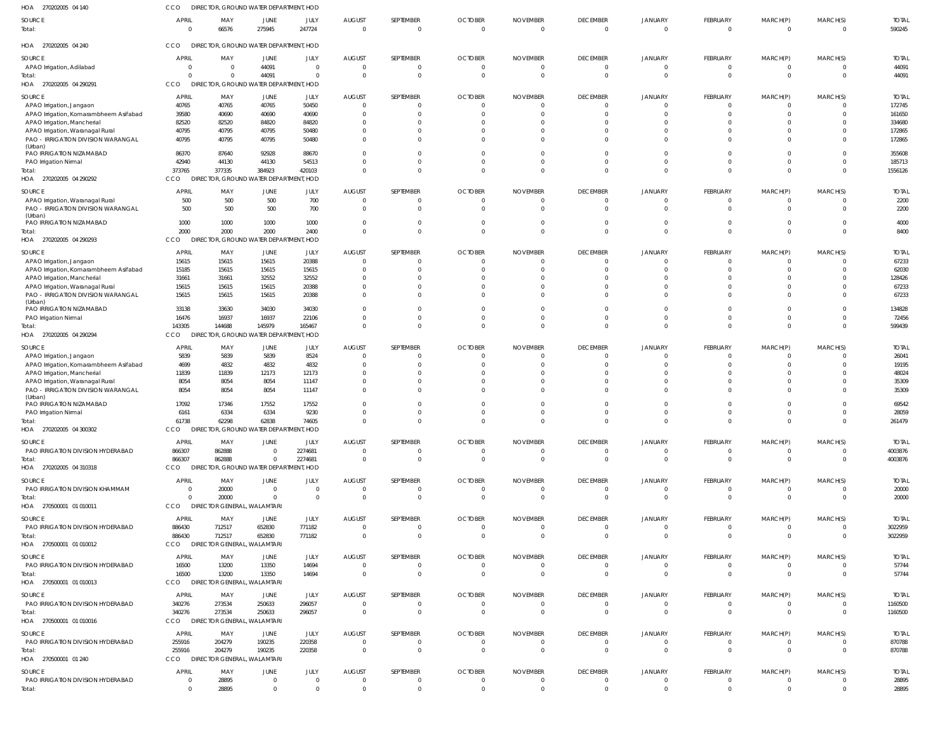| <b>DECEMBER</b>                   | <b>JANUARY</b>                                                              | <b>FEBRUARY</b><br>$\mathbf 0$                                                                                             | MARCH(P)                                                                                                              | MARCH(S)<br>$\Omega$                                                  | <b>TOTAL</b><br>590245                                                                       |
|-----------------------------------|-----------------------------------------------------------------------------|----------------------------------------------------------------------------------------------------------------------------|-----------------------------------------------------------------------------------------------------------------------|-----------------------------------------------------------------------|----------------------------------------------------------------------------------------------|
| $\overline{0}$                    | $\Omega$                                                                    |                                                                                                                            | $\mathbf 0$                                                                                                           |                                                                       |                                                                                              |
|                                   |                                                                             |                                                                                                                            |                                                                                                                       |                                                                       |                                                                                              |
| <b>DECEMBER</b>                   | <b>JANUARY</b>                                                              | <b>FEBRUARY</b>                                                                                                            | MARCH(P)                                                                                                              | MARCH(S)                                                              | <b>TOTAL</b>                                                                                 |
| $\Omega$                          | $\cap$                                                                      | $\mathbf{0}$                                                                                                               |                                                                                                                       |                                                                       | 44091                                                                                        |
|                                   |                                                                             |                                                                                                                            |                                                                                                                       |                                                                       | 44091                                                                                        |
|                                   |                                                                             |                                                                                                                            |                                                                                                                       |                                                                       | <b>TOTAL</b>                                                                                 |
| $\Omega$                          |                                                                             | $\mathbf{0}$                                                                                                               |                                                                                                                       |                                                                       | 172745                                                                                       |
| $\Omega$                          | $\Omega$                                                                    | $\mathbf 0$                                                                                                                | $\Omega$                                                                                                              | $\Omega$                                                              | 161650                                                                                       |
|                                   |                                                                             | $\Omega$                                                                                                                   |                                                                                                                       | $\Omega$                                                              | 334680                                                                                       |
|                                   |                                                                             |                                                                                                                            |                                                                                                                       | $\Omega$                                                              | 172865                                                                                       |
|                                   |                                                                             |                                                                                                                            |                                                                                                                       |                                                                       | 172865                                                                                       |
| $\Omega$                          | $\Omega$                                                                    | $\Omega$                                                                                                                   |                                                                                                                       | $\Omega$                                                              | 355608                                                                                       |
| $\Omega$                          | $\Omega$                                                                    | $\mathbf{0}$                                                                                                               | 0                                                                                                                     | $\Omega$                                                              | 185713                                                                                       |
|                                   |                                                                             |                                                                                                                            |                                                                                                                       |                                                                       | 1556126                                                                                      |
| <b>DECEMBER</b>                   |                                                                             |                                                                                                                            |                                                                                                                       |                                                                       | <b>TOTAL</b>                                                                                 |
| $\Omega$                          | $\Omega$                                                                    | $\mathbf{0}$                                                                                                               | 0                                                                                                                     | $\Omega$                                                              | 2200                                                                                         |
| $\Omega$                          | $\Omega$                                                                    | $\Omega$                                                                                                                   | $\Omega$                                                                                                              | $\Omega$                                                              | 2200                                                                                         |
|                                   |                                                                             |                                                                                                                            |                                                                                                                       |                                                                       |                                                                                              |
|                                   |                                                                             |                                                                                                                            |                                                                                                                       |                                                                       | 4000<br>8400                                                                                 |
|                                   |                                                                             |                                                                                                                            |                                                                                                                       |                                                                       |                                                                                              |
| <b>DECEMBER</b>                   |                                                                             |                                                                                                                            |                                                                                                                       |                                                                       | <b>TOTAL</b>                                                                                 |
| $\Omega$                          | $\cap$                                                                      | $\mathbf{0}$                                                                                                               | $\mathbf 0$                                                                                                           | $\Omega$                                                              | 67233                                                                                        |
| $\Omega$                          | $\Omega$                                                                    | $\mathbf{0}$                                                                                                               | 0                                                                                                                     | $\Omega$                                                              | 62030                                                                                        |
| $\Omega$                          | $\cap$                                                                      | $\Omega$                                                                                                                   |                                                                                                                       | $\Omega$                                                              | 128426                                                                                       |
| $\Omega$                          | $\Omega$                                                                    | $\mathbf 0$                                                                                                                |                                                                                                                       | $\Omega$                                                              | 67233                                                                                        |
| $\Omega$                          | $\Omega$                                                                    | $\Omega$                                                                                                                   | 0                                                                                                                     | $\Omega$                                                              | 67233                                                                                        |
|                                   |                                                                             |                                                                                                                            |                                                                                                                       |                                                                       |                                                                                              |
| $\Omega$                          | $\Omega$                                                                    | $\Omega$                                                                                                                   |                                                                                                                       | $\Omega$                                                              | 134828                                                                                       |
| $\Omega$                          | $\Omega$                                                                    | $\mathbf 0$                                                                                                                | $\Omega$                                                                                                              | $\Omega$                                                              | 72456                                                                                        |
| $\Omega$                          | $\Omega$                                                                    | $\mathbf 0$                                                                                                                | $\Omega$                                                                                                              | $\Omega$                                                              | 599439                                                                                       |
|                                   |                                                                             |                                                                                                                            |                                                                                                                       |                                                                       |                                                                                              |
| <b>DECEMBER</b>                   | <b>JANUARY</b>                                                              | FEBRUARY                                                                                                                   | MARCH(P)                                                                                                              | MARCH(S)                                                              | <b>TOTAI</b>                                                                                 |
| $\Omega$                          |                                                                             | $\Omega$                                                                                                                   |                                                                                                                       |                                                                       | 26041                                                                                        |
|                                   |                                                                             |                                                                                                                            |                                                                                                                       |                                                                       | 19195                                                                                        |
| $\Omega$                          | $\Omega$                                                                    | $\Omega$                                                                                                                   |                                                                                                                       | $\Omega$                                                              | 48024                                                                                        |
| $\Omega$<br>$\Omega$              | $\Omega$<br>$\Omega$                                                        | $\Omega$<br>$\Omega$                                                                                                       |                                                                                                                       | $\Omega$<br>$\Omega$                                                  | 35309                                                                                        |
|                                   |                                                                             |                                                                                                                            |                                                                                                                       |                                                                       | 35309                                                                                        |
| $\Omega$                          |                                                                             | $\Omega$                                                                                                                   |                                                                                                                       |                                                                       | 69542                                                                                        |
| $\Omega$                          | $\Omega$                                                                    | $\Omega$                                                                                                                   |                                                                                                                       | $\Omega$                                                              | 28059                                                                                        |
| $\Omega$                          | $\Omega$                                                                    | $\Omega$                                                                                                                   |                                                                                                                       | $\Omega$                                                              | 261479                                                                                       |
|                                   |                                                                             |                                                                                                                            |                                                                                                                       |                                                                       |                                                                                              |
| <b>DECEMBER</b>                   | <b>JANUARY</b>                                                              | FEBRUARY                                                                                                                   | MARCH(P)                                                                                                              | MARCH(S)                                                              | <b>TOTAL</b>                                                                                 |
| $\Omega$                          | - 0<br>$\Omega$                                                             | $\mathbf{0}$                                                                                                               | 0                                                                                                                     | - 0                                                                   | 4003876                                                                                      |
| $\overline{0}$                    |                                                                             | $\mathbf 0$                                                                                                                | $\mathbf 0$                                                                                                           | $\mathbf{0}$                                                          | 4003876                                                                                      |
|                                   |                                                                             |                                                                                                                            |                                                                                                                       |                                                                       |                                                                                              |
| <b>DECEMBER</b><br>$\Omega$       | <b>JANUARY</b><br>$\Omega$                                                  | FEBRUARY<br>$\mathbf{0}$                                                                                                   | MARCH(P)<br>0                                                                                                         | MARCH(S)<br>- 0                                                       | <b>TOTAL</b>                                                                                 |
| $\overline{0}$                    | $\Omega$                                                                    | $\mathbf 0$                                                                                                                | $\mathbf 0$                                                                                                           | $\Omega$                                                              | 20000<br>20000                                                                               |
|                                   |                                                                             |                                                                                                                            |                                                                                                                       |                                                                       |                                                                                              |
| <b>DECEMBER</b>                   | <b>JANUARY</b>                                                              | FEBRUARY                                                                                                                   | MARCH(P)                                                                                                              | MARCH(S)                                                              | <b>TOTAL</b>                                                                                 |
| $\overline{0}$                    | $\Omega$                                                                    | $\mathbf{0}$                                                                                                               | $\mathbf 0$                                                                                                           | $\overline{0}$                                                        | 3022959                                                                                      |
| $\Omega$                          | $\Omega$                                                                    | $\mathbf 0$                                                                                                                | $\mathbf 0$                                                                                                           | $\Omega$                                                              | 3022959                                                                                      |
|                                   |                                                                             |                                                                                                                            |                                                                                                                       |                                                                       |                                                                                              |
| <b>DECEMBER</b>                   | <b>JANUARY</b>                                                              | FEBRUARY                                                                                                                   | MARCH(P)                                                                                                              | MARCH(S)                                                              | <b>TOTAL</b>                                                                                 |
| $\overline{0}$                    | $\Omega$                                                                    | $\mathbf{0}$                                                                                                               | 0                                                                                                                     | - 0                                                                   | 57744                                                                                        |
| $\overline{0}$                    | $\Omega$                                                                    | $\mathbf{0}$                                                                                                               | $\mathbf 0$                                                                                                           | $\Omega$                                                              | 57744                                                                                        |
|                                   |                                                                             |                                                                                                                            |                                                                                                                       |                                                                       |                                                                                              |
| <b>DECEMBER</b>                   | <b>JANUARY</b>                                                              | <b>FEBRUARY</b>                                                                                                            | MARCH(P)                                                                                                              | MARCH(S)                                                              | <b>TOTAL</b>                                                                                 |
| $\overline{0}$                    | $\Omega$                                                                    | $\mathbf{0}$                                                                                                               | 0                                                                                                                     | $\Omega$                                                              | 1160500                                                                                      |
| $\overline{0}$                    | $\Omega$                                                                    | $\mathbf 0$                                                                                                                | $\mathbf 0$                                                                                                           | $\mathbf{0}$                                                          | 1160500                                                                                      |
|                                   |                                                                             |                                                                                                                            |                                                                                                                       |                                                                       |                                                                                              |
| <b>DECEMBER</b>                   | <b>JANUARY</b>                                                              | FEBRUARY                                                                                                                   | MARCH(P)                                                                                                              | MARCH(S)                                                              | <b>TOTAL</b>                                                                                 |
| $\overline{0}$                    | $\Omega$                                                                    | $\mathbf{0}$                                                                                                               | 0                                                                                                                     | $\Omega$                                                              | 870788                                                                                       |
| $\Omega$                          | $\Omega$                                                                    | $\mathbf 0$                                                                                                                | $\mathbf 0$                                                                                                           | $\Omega$                                                              | 870788                                                                                       |
|                                   |                                                                             |                                                                                                                            |                                                                                                                       |                                                                       |                                                                                              |
| <b>DECEMBER</b><br>$\overline{0}$ | <b>JANUARY</b><br>$\overline{0}$                                            | FEBRUARY<br>$\mathbf{0}$                                                                                                   | MARCH(P)<br>$\mathbf 0$                                                                                               | MARCH(S)<br>$\overline{0}$                                            | <b>TOTAL</b><br>28895                                                                        |
|                                   | $\Omega$<br><b>DECEMBER</b><br>$\Omega$<br>$\Omega$<br>$\Omega$<br>$\Omega$ | $\Omega$<br><b>JANUARY</b><br>$\Omega$<br>$\Omega$<br>$\Omega$<br><b>JANUARY</b><br>$\Omega$<br>$\Omega$<br><b>JANUARY</b> | $\mathbf 0$<br>FEBRUARY<br>$\Omega$<br>$\Omega$<br>$\mathbf 0$<br><b>FEBRUARY</b><br>$\Omega$<br>$\Omega$<br>FEBRUARY | $\mathbf 0$<br>MARCH(P)<br>0<br>0<br>MARCH(P)<br>$\Omega$<br>MARCH(P) | $\Omega$<br>MARCH(S)<br>$\Omega$<br>$\Omega$<br>MARCH(S)<br>$\Omega$<br>$\Omega$<br>MARCH(S) |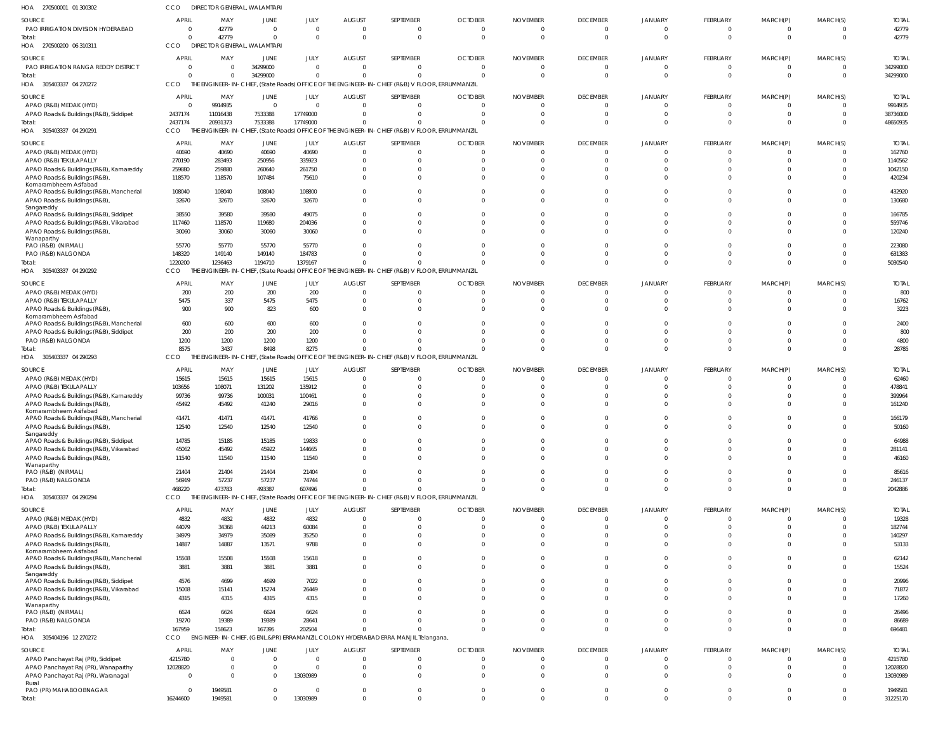| HOA 270500001 01 300302                                                                          | CCO                        | DIRECTOR GENERAL, WALAMTARI      |                                  |                         |                       |                                                                                                 |                                  |                        |                      |                      |                                  |                            |                      |                      |
|--------------------------------------------------------------------------------------------------|----------------------------|----------------------------------|----------------------------------|-------------------------|-----------------------|-------------------------------------------------------------------------------------------------|----------------------------------|------------------------|----------------------|----------------------|----------------------------------|----------------------------|----------------------|----------------------|
| SOURCE                                                                                           | <b>APRIL</b>               | MAY                              | JUNE                             | JULY                    | <b>AUGUST</b>         | SEPTEMBER                                                                                       | <b>OCTOBER</b>                   | <b>NOVEMBER</b>        | <b>DECEMBER</b>      | <b>JANUARY</b>       | FEBRUARY                         | MARCH(P)                   | MARCH(S)             | <b>TOTAL</b>         |
| PAO IRRIGATION DIVISION HYDERABAD<br>Total:                                                      | $\Omega$<br>$\Omega$       | 42779<br>42779                   | $\overline{0}$<br>$\overline{0}$ | $\Omega$<br>$\Omega$    | - 0<br>$\overline{0}$ | $\Omega$<br>$\Omega$                                                                            | $\overline{0}$<br>$\overline{0}$ | 0<br>$\overline{0}$    | $\Omega$<br>$\Omega$ | $\Omega$<br>$\Omega$ | $\mathbf{0}$<br>$\overline{0}$   | - 0<br>$\overline{0}$      | $\Omega$<br>$\Omega$ | 42779<br>42779       |
| HOA 270500200 06 310311                                                                          | CCO                        | DIRECTOR GENERAL, WALAMTARI      |                                  |                         |                       |                                                                                                 |                                  |                        |                      |                      |                                  |                            |                      |                      |
| SOURCE                                                                                           | <b>APRIL</b>               | MAY                              | <b>JUNE</b>                      | JULY                    | <b>AUGUST</b>         | SEPTEMBER                                                                                       | <b>OCTOBER</b>                   | <b>NOVEMBER</b>        | <b>DECEMBER</b>      | <b>JANUARY</b>       | <b>FEBRUARY</b>                  | MARCH(P)                   | MARCH(S)             | <b>TOTAL</b>         |
| PAO IRRIGATION RANGA REDDY DISTRICT<br>Total:                                                    | $\overline{0}$<br>$\Omega$ | $\overline{0}$<br>$\overline{0}$ | 34299000<br>34299000             | $\Omega$<br>$\Omega$    | 0<br>$\Omega$         | $\Omega$<br>$\Omega$                                                                            | 0<br>$\Omega$                    | $\Omega$<br>$\Omega$   | $\Omega$<br>$\Omega$ | $\Omega$<br>$\Omega$ | $\mathbf{0}$<br>$\overline{0}$   | - 0<br>$\overline{0}$      | $\Omega$             | 34299000<br>34299000 |
| HOA 305403337 04 270272                                                                          | CCO                        |                                  |                                  |                         |                       | THE ENGINEER-IN-CHIEF, (State Roads) OFFICE OF THE ENGINEER-IN-CHIEF (R&B) V FLOOR, ERRUMMANZIL |                                  |                        |                      |                      |                                  |                            |                      |                      |
| SOURCE                                                                                           | APRIL                      | MAY                              | JUNE                             | JULY                    | <b>AUGUST</b>         | SEPTEMBER                                                                                       | <b>OCTOBER</b>                   | <b>NOVEMBER</b>        | <b>DECEMBER</b>      | JANUARY              | <b>FEBRUARY</b>                  | MARCH(P)                   | MARCH(S)             | <b>TOTAI</b>         |
| APAO (R&B) MEDAK (HYD)                                                                           | $\Omega$                   | 9914935                          | $\overline{0}$                   | $\Omega$                | $\Omega$              |                                                                                                 | $\Omega$                         | $\Omega$               | $\Omega$             | $\Omega$             | $\overline{0}$                   | $\mathbf{0}$               |                      | 9914935              |
| APAO Roads & Buildings (R&B), Siddipet<br>Total:                                                 | 2437174<br>2437174         | 11016438<br>20931373             | 7533388<br>7533388               | 17749000<br>17749000    | $\Omega$<br>$\Omega$  |                                                                                                 | - 0<br>$\Omega$                  | $\Omega$<br>$\Omega$   | $\Omega$<br>$\Omega$ | $\Omega$<br>$\Omega$ | $\overline{0}$<br>$\Omega$       | $\overline{0}$<br>$\Omega$ | $\Omega$<br>$\Omega$ | 38736000<br>48650935 |
| HOA 305403337 04 290291                                                                          | CCO                        |                                  |                                  |                         |                       | THE ENGINEER-IN-CHIEF, (State Roads) OFFICE OF THE ENGINEER-IN-CHIEF (R&B) V FLOOR, ERRUMMANZIL |                                  |                        |                      |                      |                                  |                            |                      |                      |
| SOURCE                                                                                           | <b>APRIL</b>               | MAY                              | JUNE                             | JULY                    | <b>AUGUST</b>         | SEPTEMBER                                                                                       | <b>OCTOBER</b>                   | <b>NOVEMBER</b>        | <b>DECEMBER</b>      | JANUARY              | FEBRUARY                         | MARCH(P)                   | MARCH(S)             | <b>TOTAL</b>         |
| APAO (R&B) MEDAK (HYD)                                                                           | 40690                      | 40690                            | 40690                            | 40690                   | 0                     |                                                                                                 | 0                                | $\Omega$               | $\Omega$             |                      | - 0                              | 0                          |                      | 162760               |
| APAO (R&B) TEKULAPALLY                                                                           | 270190                     | 283493                           | 250956                           | 335923                  | $\Omega$<br>$\Omega$  |                                                                                                 | $\Omega$                         | $\Omega$<br>$\sqrt{ }$ | $\Omega$             |                      | $\Omega$<br>$\Omega$             | $\Omega$                   | $\Omega$             | 1140562              |
| APAO Roads & Buildings (R&B), Kamareddy<br>APAO Roads & Buildings (R&B)<br>Komarambheem Asifabad | 259880<br>118570           | 259880<br>118570                 | 260640<br>107484                 | 261750<br>75610         | $\Omega$              |                                                                                                 | 0<br>$\Omega$                    | $\Omega$               | $\Omega$             | $\Omega$             | $\Omega$                         | $\Omega$                   | $\Omega$             | 1042150<br>420234    |
| APAO Roads & Buildings (R&B), Mancherial                                                         | 108040                     | 108040                           | 108040                           | 108800                  | $\Omega$              |                                                                                                 | $\Omega$                         | 0                      | $\Omega$             |                      | $\Omega$                         | $\Omega$                   |                      | 432920               |
| APAO Roads & Buildings (R&B),<br>Sangareddy                                                      | 32670                      | 32670                            | 32670                            | 32670                   | $\Omega$              |                                                                                                 | $\Omega$                         | $\Omega$               | $\Omega$             | $\Omega$             | $\Omega$                         | $\Omega$                   | $\Omega$             | 130680               |
| APAO Roads & Buildings (R&B), Siddipet                                                           | 38550                      | 39580                            | 39580                            | 49075                   | $\Omega$              |                                                                                                 | $\Omega$                         | 0                      | $\Omega$             |                      | $\Omega$                         | $\Omega$                   |                      | 166785               |
| APAO Roads & Buildings (R&B), Vikarabad<br>APAO Roads & Buildings (R&B),                         | 117460<br>30060            | 118570<br>30060                  | 119680<br>30060                  | 204036<br>30060         | $\Omega$<br>$\Omega$  |                                                                                                 | $\Omega$<br>$\Omega$             | $\Omega$<br>$\Omega$   | $\Omega$<br>$\Omega$ | $\cap$               | $\Omega$<br>$\Omega$             | $\Omega$<br>$\Omega$       | $\Omega$             | 559746<br>120240     |
| Wanaparthy                                                                                       |                            |                                  |                                  |                         |                       |                                                                                                 |                                  |                        |                      |                      |                                  |                            |                      |                      |
| PAO (R&B) (NIRMAL)                                                                               | 55770<br>148320            | 55770<br>149140                  | 55770<br>149140                  | 55770<br>184783         | $\Omega$<br>$\Omega$  |                                                                                                 | $\Omega$<br>$\Omega$             | $\Omega$<br>$\Omega$   | $\cap$<br>$\Omega$   | $\Omega$             | $\Omega$<br>$\overline{0}$       | $\Omega$<br>$\Omega$       | $\cap$<br>$\Omega$   | 223080<br>631383     |
| PAO (R&B) NALGONDA<br>Total:                                                                     | 1220200                    | 1236463                          | 1194710                          | 1379167                 | $\Omega$              |                                                                                                 | $\Omega$                         | $\Omega$               | $\Omega$             | $\Omega$             | $\Omega$                         | $\Omega$                   | $\Omega$             | 5030540              |
| HOA 305403337 04 290292                                                                          | <b>CCO</b>                 |                                  |                                  |                         |                       | THE ENGINEER-IN-CHIEF, (State Roads) OFFICE OF THE ENGINEER-IN-CHIEF (R&B) V FLOOR, ERRUMMANZIL |                                  |                        |                      |                      |                                  |                            |                      |                      |
| SOURCE                                                                                           | <b>APRIL</b>               | MAY                              | JUNE                             | JULY                    | <b>AUGUST</b>         | SEPTEMBER                                                                                       | <b>OCTOBER</b>                   | <b>NOVEMBER</b>        | <b>DECEMBER</b>      | JANUARY              | <b>FEBRUARY</b>                  | MARCH(P)                   | MARCH(S)             | <b>TOTAL</b>         |
| APAO (R&B) MEDAK (HYD)                                                                           | 200                        | 200                              | 200                              | 200                     | $\overline{0}$        | $\Omega$                                                                                        | $\overline{0}$                   | $\Omega$               | $\Omega$             | $\Omega$             | $\overline{0}$                   | $\Omega$                   | $\Omega$             | 800                  |
| APAO (R&B) TEKULAPALLY<br>APAO Roads & Buildings (R&B),<br>Komarambheem Asifabad                 | 5475<br>900                | 337<br>900                       | 5475<br>823                      | 5475<br>600             | 0<br>$\Omega$         | 0                                                                                               | $\Omega$<br>$\Omega$             | $\Omega$<br>$\Omega$   | $\Omega$<br>$\Omega$ | $\Omega$             | $\Omega$<br>$\Omega$             | $\Omega$<br>$\Omega$       | $\Omega$<br>$\Omega$ | 16762<br>3223        |
| APAO Roads & Buildings (R&B), Mancherial                                                         | 600                        | 600                              | 600                              | 600                     | $\Omega$              |                                                                                                 | 0                                | $\Omega$               | $\Omega$             | $\Omega$             | $\Omega$                         | $\Omega$                   | $\Omega$             | 2400                 |
| APAO Roads & Buildings (R&B), Siddipet                                                           | 200                        | 200                              | 200                              | 200                     | $\Omega$              |                                                                                                 | 0                                | $\Omega$               | $\Omega$             |                      | $\Omega$                         |                            | $\Omega$             | 800                  |
| PAO (R&B) NALGONDA<br>Total:                                                                     | 1200<br>8575               | 1200<br>3437                     | 1200<br>8498                     | 1200<br>8275            | $\Omega$<br>$\Omega$  |                                                                                                 | $\Omega$<br>$\Omega$             | $\Omega$<br>$\Omega$   | $\Omega$<br>$\Omega$ | $\Omega$<br>$\Omega$ | $\Omega$<br>$\Omega$             | $\Omega$<br>$\Omega$       | $\Omega$<br>$\Omega$ | 4800<br>28785        |
| HOA 305403337 04 290293                                                                          | CCO                        |                                  |                                  |                         |                       | THE ENGINEER-IN-CHIEF, (State Roads) OFFICE OF THE ENGINEER-IN-CHIEF (R&B) V FLOOR, ERRUMMANZIL |                                  |                        |                      |                      |                                  |                            |                      |                      |
| SOURCE                                                                                           | <b>APRIL</b>               | MAY                              | JUNE                             | JULY                    | <b>AUGUST</b>         | SEPTEMBER                                                                                       | <b>OCTOBER</b>                   | <b>NOVEMBER</b>        | <b>DECEMBER</b>      | JANUARY              | FEBRUARY                         | MARCH(P)                   | MARCH(S)             | <b>TOTAL</b>         |
| APAO (R&B) MEDAK (HYD)                                                                           | 15615                      | 15615                            | 15615                            | 15615                   | 0                     |                                                                                                 | $\Omega$                         | 0                      | $\Omega$             |                      | - 0                              | 0                          |                      | 62460                |
| APAO (R&B) TEKULAPALLY<br>APAO Roads & Buildings (R&B), Kamareddy                                | 103656<br>99736            | 108071<br>99736                  | 131202<br>100031                 | 135912<br>100461        | 0<br>-0               |                                                                                                 | $\Omega$                         | $\Omega$<br>$\sqrt{ }$ | $\Omega$             |                      | $\Omega$<br>$\Omega$             |                            |                      | 478841<br>399964     |
| APAO Roads & Buildings (R&B)                                                                     | 45492                      | 45492                            | 41240                            | 29016                   | $\Omega$              |                                                                                                 | 0                                | $\Omega$               | $\Omega$             |                      | $\Omega$                         | n                          |                      | 161240               |
| Komarambheem Asifabad<br>APAO Roads & Buildings (R&B), Mancherial                                | 41471                      | 41471                            | 41471                            | 41766                   | $\Omega$              |                                                                                                 | $\Omega$                         | $\Omega$               | $\Omega$             |                      | $\Omega$                         | $\Omega$                   | $\Omega$             | 166179               |
| APAO Roads & Buildings (R&B),                                                                    | 12540                      | 12540                            | 12540                            | 12540                   |                       |                                                                                                 |                                  |                        |                      |                      |                                  |                            |                      | 50160                |
| Sangareddy<br>APAO Roads & Buildings (R&B), Siddipet                                             | 14785                      | 15185                            | 15185                            | 19833                   | 0                     | 0                                                                                               | $\mathbf{0}$                     | 0                      | $^{\circ}$           | $\Omega$             | $\overline{0}$                   | $\mathbf 0$                | $\Omega$             | 64988                |
| APAO Roads & Buildings (R&B), Vikarabad                                                          | 45062                      | 45492                            | 45922                            | 144665                  | $\mathbf 0$           | $\Omega$                                                                                        | $\overline{0}$                   | $\mathbf{0}$           | $\Omega$             | $\Omega$             | $\overline{0}$                   | $\Omega$                   | $\Omega$             | 281141               |
| APAO Roads & Buildings (R&B),<br>Wanaparthy                                                      | 11540                      | 11540                            | 11540                            | 11540                   | $\Omega$              | 0                                                                                               | $\Omega$                         | $\Omega$               | $\Omega$             | $\Omega$             | $\overline{0}$                   | $\Omega$                   | $\Omega$             | 46160                |
| PAO (R&B) (NIRMAL)                                                                               | 21404                      | 21404                            | 21404                            | 21404                   | $\Omega$              |                                                                                                 | $\Omega$                         | $\Omega$               | $\Omega$             | $\Omega$             | $\Omega$                         | $\Omega$                   |                      | 85616                |
| PAO (R&B) NALGONDA                                                                               | 56919                      | 57237                            | 57237                            | 74744<br>607496         | $\Omega$              | $\Omega$                                                                                        | $\Omega$                         | $\Omega$<br>$\Omega$   | $\Omega$<br>$\Omega$ | $\Omega$<br>$\Omega$ | $\Omega$<br>$\overline{0}$       | $\Omega$<br>$\overline{0}$ | $\Omega$<br>$\Omega$ | 246137               |
| Total:<br>HOA 305403337 04 290294                                                                | 468220<br><b>CCO</b>       | 473783                           | 493387                           |                         | $\Omega$              | THE ENGINEER-IN-CHIEF, (State Roads) OFFICE OF THE ENGINEER-IN-CHIEF (R&B) V FLOOR, ERRUMMANZIL | $\Omega$                         |                        |                      |                      |                                  |                            |                      | 2042886              |
| SOURCE                                                                                           | <b>APRIL</b>               | MAY                              | JUNE                             | JULY                    | <b>AUGUST</b>         | SEPTEMBER                                                                                       | <b>OCTOBER</b>                   | <b>NOVEMBER</b>        | <b>DECEMBER</b>      | JANUARY              | FEBRUARY                         | MARCH(P)                   | MARCH(S)             | <b>TOTAL</b>         |
| APAO (R&B) MEDAK (HYD)                                                                           | 4832                       | 4832                             | 4832                             | 4832                    | 0                     |                                                                                                 | $\overline{0}$                   | $\overline{0}$         | $\Omega$             | $\Omega$             | $\overline{0}$                   | $\overline{0}$             |                      | 19328                |
| APAO (R&B) TEKULAPALLY                                                                           | 44079                      | 34368                            | 44213                            | 60084                   | 0                     | $\Omega$                                                                                        | $\overline{0}$                   | $\Omega$               | $\Omega$             | $\Omega$             | $\overline{0}$                   | $\overline{0}$             | $\Omega$             | 182744               |
| APAO Roads & Buildings (R&B), Kamareddy<br>APAO Roads & Buildings (R&B)                          | 34979<br>14887             | 34979<br>14887                   | 35089<br>13571                   | 35250<br>9788           | 0<br>$\Omega$         |                                                                                                 | $\mathbf{0}$<br>$\Omega$         | 0<br>$\Omega$          | $\Omega$<br>$\Omega$ | $\Omega$<br>$\Omega$ | $\circ$<br>$\Omega$              | $\Omega$<br>$\Omega$       | $\Omega$<br>$\Omega$ | 140297<br>53133      |
| Komarambheem Asifabad                                                                            |                            |                                  |                                  |                         |                       |                                                                                                 |                                  |                        |                      |                      |                                  |                            |                      |                      |
| APAO Roads & Buildings (R&B), Mancherial<br>APAO Roads & Buildings (R&B),                        | 15508<br>3881              | 15508<br>3881                    | 15508<br>3881                    | 15618<br>3881           | 0<br>$\Omega$         | $\Omega$                                                                                        | 0<br>$\Omega$                    | 0<br>$\Omega$          | $\Omega$<br>$\Omega$ | $\Omega$<br>$\Omega$ | $\Omega$<br>$\Omega$             | $\Omega$<br>$\Omega$       | $\Omega$<br>$\Omega$ | 62142<br>15524       |
| Sangareddy                                                                                       |                            |                                  |                                  |                         |                       |                                                                                                 |                                  |                        |                      |                      |                                  |                            |                      |                      |
| APAO Roads & Buildings (R&B), Siddipet<br>APAO Roads & Buildings (R&B), Vikarabad                | 4576<br>15008              | 4699<br>15141                    | 4699<br>15274                    | 7022<br>26449           | $\Omega$<br>$\Omega$  | <sup>0</sup>                                                                                    | $\Omega$<br>$\Omega$             | $\Omega$<br>$\Omega$   | $\Omega$<br>$\Omega$ | $\Omega$<br>$\Omega$ | $\Omega$<br>$\Omega$             | $\Omega$<br>$\Omega$       | $\Omega$<br>$\Omega$ | 20996<br>71872       |
| APAO Roads & Buildings (R&B),                                                                    | 4315                       | 4315                             | 4315                             | 4315                    | $\Omega$              |                                                                                                 | $\Omega$                         | $\Omega$               | $\Omega$             | $\Omega$             | $\Omega$                         | $\Omega$                   | $\Omega$             | 17260                |
| Wanaparthy<br>PAO (R&B) (NIRMAL)                                                                 | 6624                       | 6624                             | 6624                             | 6624                    | $\Omega$              |                                                                                                 | $\Omega$                         | $\Omega$               | $\Omega$             | $\Omega$             | $\Omega$                         | $\Omega$                   | $\Omega$             | 26496                |
| PAO (R&B) NALGONDA                                                                               | 19270                      | 19389                            | 19389                            | 28641                   | $\Omega$              |                                                                                                 | $\Omega$                         | $\mathbf{0}$           | $\Omega$             | $\Omega$             | $\overline{0}$                   | $\Omega$                   | $\Omega$             | 86689                |
| Total:                                                                                           | 167959                     | 158623                           | 167395                           | 202504                  | $\Omega$              |                                                                                                 | $\Omega$                         | $\Omega$               | $\Omega$             | $\Omega$             | $\Omega$                         | $\Omega$                   | $\Omega$             | 696481               |
| HOA 305404196 12 270272                                                                          | <b>CCO</b>                 |                                  |                                  |                         |                       | ENGINEER-IN-CHIEF, (GENL.&PR) ERRAMANZIL COLONY HYDERABAD ERRA MANJIL Telangana,                |                                  |                        |                      |                      |                                  |                            |                      |                      |
| SOURCE                                                                                           | <b>APRIL</b>               | MAY                              | JUNE                             | <b>JULY</b><br>$\Omega$ | <b>AUGUST</b>         | SEPTEMBER                                                                                       | <b>OCTOBER</b>                   | <b>NOVEMBER</b>        | <b>DECEMBER</b>      | <b>JANUARY</b>       | <b>FEBRUARY</b>                  | MARCH(P)                   | MARCH(S)             | <b>TOTAL</b>         |
| APAO Panchayat Raj (PR), Siddipet<br>APAO Panchayat Raj (PR), Wanaparthy                         | 4215780<br>12028820        | $\overline{0}$<br>$\overline{0}$ | $\overline{0}$<br>0              | $\Omega$                | 0<br>0                | $\Omega$<br>0                                                                                   | $\overline{0}$<br>$\Omega$       | $\Omega$<br>$\Omega$   | $\Omega$<br>$\Omega$ | $\Omega$<br>$\Omega$ | $\overline{0}$<br>$\overline{0}$ | - 0<br>$\overline{0}$      | $\Omega$<br>$\Omega$ | 4215780<br>12028820  |
| APAO Panchayat Raj (PR), Waranagal                                                               | $\overline{0}$             | $\Omega$                         | $\Omega$                         | 13030989                | $\Omega$              | $\Omega$                                                                                        | $\mathbf{0}$                     | $\Omega$               | $\Omega$             | $\Omega$             | $\overline{0}$                   | $\Omega$                   | $\Omega$             | 13030989             |
| Rural<br>PAO (PR) MAHABOOBNAGAR                                                                  | $\Omega$                   | 1949581                          | $\overline{0}$                   | - 0                     | $\mathbf 0$           | $\mathbf 0$                                                                                     | $\mathbf 0$                      | $\overline{0}$         | $\overline{0}$       | $\overline{0}$       | $\overline{0}$                   | $\overline{0}$             | $\Omega$             | 1949581              |
| Total:                                                                                           | 16244600                   | 1949581                          | $\overline{0}$                   | 13030989                | $\mathbf 0$           | $\Omega$                                                                                        | $\mathbf 0$                      | $\mathbf 0$            | $\Omega$             | $\Omega$             | $\overline{0}$                   | $\overline{0}$             | $\overline{0}$       | 31225170             |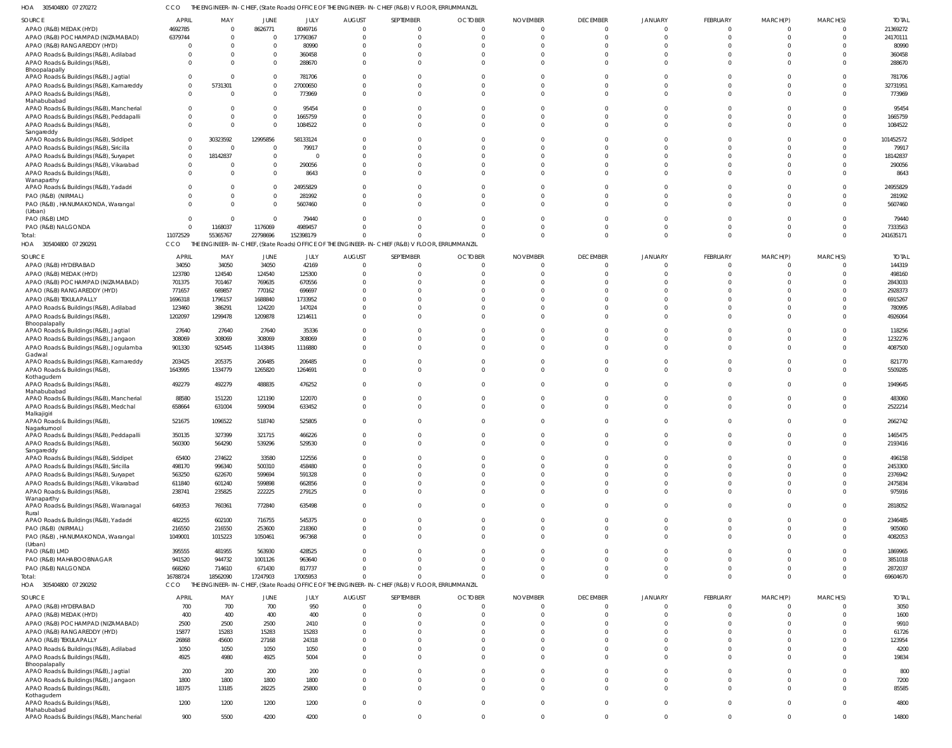305404800 07 270272 HOA CCO THE ENGINEER-IN-CHIEF, (State Roads) OFFICE OF THE ENGINEER-IN-CHIEF (R&B) V FLOOR, ERRUMMANZIL

| SOURCE                                   | <b>APRIL</b>   | MAY      | JUNE        | JULY      | <b>AUGUST</b> | SEPTEMBER                                                                                       | <b>OCTOBER</b> | <b>NOVEMBER</b> | <b>DECEMBER</b> | JANUARY        | FEBRUARY       | MARCH(P)       | MARCH(S)       | <b>TOTAL</b> |
|------------------------------------------|----------------|----------|-------------|-----------|---------------|-------------------------------------------------------------------------------------------------|----------------|-----------------|-----------------|----------------|----------------|----------------|----------------|--------------|
| APAO (R&B) MEDAK (HYD)                   | 4692785        | $\Omega$ | 8626771     | 8049716   | $\bigcap$     | $\Omega$                                                                                        |                |                 | $\overline{0}$  | $\Omega$       | $\overline{0}$ | $\Omega$       | $\Omega$       | 21369272     |
| APAO (R&B) POCHAMPAD (NIZAMABAD)         | 6379744        | $\Omega$ | $\Omega$    | 17790367  |               | $\Omega$                                                                                        |                |                 | $\Omega$        |                | $\Omega$       | $\Omega$       | $\Omega$       | 24170111     |
|                                          |                |          |             |           |               |                                                                                                 |                |                 |                 |                |                |                |                |              |
| APAO (R&B) RANGAREDDY (HYD)              | $\Omega$       | $\Omega$ | $\Omega$    | 80990     |               | $\Omega$                                                                                        |                |                 | $\Omega$        |                | $\Omega$       |                |                | 80990        |
| APAO Roads & Buildings (R&B), Adilabad   | $\Omega$       | $\Omega$ | $\Omega$    | 360458    |               | $\Omega$                                                                                        |                |                 | $\Omega$        |                | C              |                |                | 360458       |
| APAO Roads & Buildings (R&B),            | $\Omega$       | $\Omega$ | $\Omega$    | 288670    |               | $\Omega$                                                                                        |                |                 | $\Omega$        | $\Omega$       | $\Omega$       |                | $\Omega$       | 288670       |
| Bhoopalapally                            |                |          |             |           |               |                                                                                                 |                |                 |                 |                |                |                |                |              |
| APAO Roads & Buildings (R&B), Jagtial    | $\Omega$       | $\Omega$ | $\Omega$    | 781706    |               | $\Omega$                                                                                        |                |                 | $\Omega$        |                |                |                |                | 781706       |
|                                          |                |          |             |           |               |                                                                                                 |                |                 |                 |                |                |                |                |              |
| APAO Roads & Buildings (R&B), Kamareddy  | $\overline{0}$ | 5731301  | $\Omega$    | 27000650  |               | $\Omega$                                                                                        |                |                 | $\Omega$        |                | C              |                | $\Omega$       | 32731951     |
| APAO Roads & Buildings (R&B)             | $\Omega$       | $\Omega$ | $\Omega$    | 773969    |               | $\Omega$                                                                                        |                |                 | $\Omega$        | $\Omega$       | $\Omega$       | $\Omega$       | $\Omega$       | 773969       |
| Mahabubabad                              |                |          |             |           |               |                                                                                                 |                |                 |                 |                |                |                |                |              |
| APAO Roads & Buildings (R&B), Mancherial | $\Omega$       | $\Omega$ | $\Omega$    | 95454     |               | $\Omega$                                                                                        |                |                 | $\Omega$        |                | -C             |                |                | 95454        |
| APAO Roads & Buildings (R&B), Peddapalli | $\Omega$       | $\Omega$ | - 0         | 1665759   |               | $\Omega$                                                                                        |                |                 | $\Omega$        |                | $\Omega$       |                |                | 1665759      |
|                                          |                |          |             |           |               |                                                                                                 |                |                 |                 |                |                |                |                |              |
| APAO Roads & Buildings (R&B),            | $\Omega$       | $\Omega$ | $\Omega$    | 1084522   |               | $\Omega$                                                                                        |                |                 | $\Omega$        | $\Omega$       | $\Omega$       |                |                | 1084522      |
| Sangareddy                               |                |          |             |           |               |                                                                                                 |                |                 |                 |                |                |                |                |              |
| APAO Roads & Buildings (R&B), Siddipet   | $\Omega$       | 30323592 | 12995856    | 58133124  |               | $\Omega$                                                                                        |                |                 | $\Omega$        |                | C              |                |                | 101452572    |
| APAO Roads & Buildings (R&B), Siricilla  | $\mathbf{0}$   | 0        | - 0         | 79917     |               | $\Omega$                                                                                        |                |                 |                 |                |                |                |                | 79917        |
| APAO Roads & Buildings (R&B), Suryapet   | $\Omega$       | 18142837 | $\Omega$    |           |               | $\Omega$                                                                                        |                |                 | $\Omega$        |                | $\Omega$       |                |                | 18142837     |
|                                          |                |          |             |           |               |                                                                                                 |                |                 |                 |                |                |                |                |              |
| APAO Roads & Buildings (R&B), Vikarabad  | $\Omega$       | $\Omega$ | $\Omega$    | 290056    |               | $\Omega$                                                                                        |                |                 | $\Omega$        |                | $\Omega$       |                |                | 290056       |
| APAO Roads & Buildings (R&B),            | $\Omega$       | $\Omega$ | $\Omega$    | 8643      |               | $\Omega$                                                                                        |                |                 | $\Omega$        |                | $\Omega$       | $\Omega$       | $\Omega$       | 8643         |
| Wanaparthy                               |                |          |             |           |               |                                                                                                 |                |                 |                 |                |                |                |                |              |
| APAO Roads & Buildings (R&B), Yadadri    | $\Omega$       | -0       | $\Omega$    | 24955829  |               | $\Omega$                                                                                        |                |                 | $\Omega$        |                | C              |                |                | 24955829     |
| PAO (R&B) (NIRMAL)                       | $\Omega$       | $\Omega$ | $\Omega$    | 281992    |               | $\Omega$                                                                                        |                |                 | $\Omega$        | $\Omega$       | $\Omega$       |                |                | 281992       |
|                                          |                |          |             |           |               |                                                                                                 |                |                 |                 |                |                |                |                |              |
| PAO (R&B), HANUMAKONDA, Warangal         | $\Omega$       | $\Omega$ | $\Omega$    | 5607460   |               | $\Omega$                                                                                        |                |                 | $\Omega$        | $\Omega$       | $\Omega$       | $\Omega$       | $\Omega$       | 5607460      |
| (Urban)                                  |                |          |             |           |               |                                                                                                 |                |                 |                 |                |                |                |                |              |
| PAO (R&B) LMD                            | $\Omega$       | - 0      | $\Omega$    | 79440     |               | $\Omega$                                                                                        |                |                 |                 |                | C              |                | $\Omega$       | 79440        |
| PAO (R&B) NALGONDA                       | $\overline{0}$ | 1168037  | 1176069     | 4989457   |               | $\Omega$                                                                                        |                |                 | $\Omega$        | $\Omega$       | $\Omega$       | $\Omega$       | $\Omega$       | 7333563      |
|                                          |                |          |             |           |               | $\Omega$                                                                                        |                |                 | $\Omega$        | $\Omega$       | $\Omega$       | $\Omega$       | $\Omega$       | 241635171    |
| Total:                                   | 11072529       | 55365767 | 22798696    | 152398179 |               |                                                                                                 |                |                 |                 |                |                |                |                |              |
| HOA 305404800 07 290291                  | <b>CCO</b>     |          |             |           |               | THE ENGINEER-IN-CHIEF, (State Roads) OFFICE OF THE ENGINEER-IN-CHIEF (R&B) V FLOOR, ERRUMMANZIL |                |                 |                 |                |                |                |                |              |
|                                          |                |          |             |           |               |                                                                                                 |                |                 |                 |                |                |                |                |              |
| SOURCE                                   | <b>APRIL</b>   | MAY      | JUNE        | JULY      | <b>AUGUST</b> | SEPTEMBER                                                                                       | <b>OCTOBER</b> | <b>NOVEMBER</b> | <b>DECEMBER</b> | JANUARY        | FEBRUARY       | MARCH(P)       | MARCH(S)       | <b>TOTAL</b> |
| APAO (R&B) HYDERABAD                     | 34050          | 34050    | 34050       | 42169     |               | $\Omega$                                                                                        |                |                 | $\Omega$        | <sup>0</sup>   | $\Omega$       | $\Omega$       | $\Omega$       | 144319       |
| APAO (R&B) MEDAK (HYD)                   | 123780         | 124540   | 124540      | 125300    |               | $\Omega$                                                                                        |                |                 | $\Omega$        |                | $\Omega$       |                | $\Omega$       | 498160       |
|                                          |                |          |             |           |               |                                                                                                 |                |                 |                 |                |                |                |                |              |
| APAO (R&B) POCHAMPAD (NIZAMABAD)         | 701375         | 701467   | 769635      | 670556    |               |                                                                                                 |                |                 |                 |                |                |                |                | 2843033      |
| APAO (R&B) RANGAREDDY (HYD)              | 771657         | 689857   | 770162      | 696697    |               |                                                                                                 |                |                 |                 |                |                |                |                | 2928373      |
| APAO (R&B) TEKULAPALLY                   | 1696318        | 1796157  | 1688840     | 1733952   |               |                                                                                                 |                |                 |                 |                |                |                |                | 6915267      |
|                                          |                |          |             |           |               |                                                                                                 |                |                 |                 |                |                |                |                |              |
| APAO Roads & Buildings (R&B), Adilabad   | 123460         | 386291   | 124220      | 147024    |               |                                                                                                 |                |                 |                 |                |                |                |                | 780995       |
| APAO Roads & Buildings (R&B),            | 1202097        | 1299478  | 1209878     | 1214611   |               | $\Omega$                                                                                        |                |                 |                 |                | C              |                |                | 4926064      |
| Bhoopalapally                            |                |          |             |           |               |                                                                                                 |                |                 |                 |                |                |                |                |              |
| APAO Roads & Buildings (R&B), Jagtial    | 27640          | 27640    | 27640       | 35336     |               | $\Omega$                                                                                        |                |                 | $\Omega$        | <sup>0</sup>   | C              |                | $\Omega$       | 118256       |
| APAO Roads & Buildings (R&B), Jangaon    | 308069         | 308069   | 308069      | 308069    |               | $\Omega$                                                                                        |                |                 | $\Omega$        | $\Omega$       | $\Omega$       |                |                | 1232276      |
|                                          |                |          |             |           |               | $\Omega$                                                                                        |                |                 | $\Omega$        | $\Omega$       | $\Omega$       | $\Omega$       | $\Omega$       | 4087500      |
| APAO Roads & Buildings (R&B), Jogulamba  | 901330         | 925445   | 1143845     | 1116880   |               |                                                                                                 |                |                 |                 |                |                |                |                |              |
| Gadwal                                   |                |          |             |           |               |                                                                                                 |                |                 |                 |                |                |                |                |              |
| APAO Roads & Buildings (R&B), Kamareddy  | 203425         | 205375   | 206485      | 206485    |               | $\Omega$                                                                                        |                |                 | $\Omega$        |                |                |                |                | 821770       |
| APAO Roads & Buildings (R&B),            | 1643995        | 1334779  | 1265820     | 1264691   |               | $\Omega$                                                                                        |                |                 | $\Omega$        | $\Omega$       | $\Omega$       | $\Omega$       | $\Omega$       | 5509285      |
| Kothagudem                               |                |          |             |           |               |                                                                                                 |                |                 |                 |                |                |                |                |              |
| APAO Roads & Buildings (R&B),            | 492279         | 492279   | 488835      | 476252    |               |                                                                                                 |                |                 |                 |                |                |                |                | 1949645      |
| Mahabubabad                              |                |          |             |           |               |                                                                                                 |                |                 |                 |                |                |                |                |              |
| APAO Roads & Buildings (R&B), Mancherial | 88580          | 151220   | 121190      | 122070    |               | $\Omega$                                                                                        |                |                 | $\Omega$        | $\Omega$       | $\Omega$       | $\Omega$       | $\Omega$       | 483060       |
|                                          |                |          |             |           |               |                                                                                                 |                |                 |                 |                |                |                |                |              |
| APAO Roads & Buildings (R&B), Medchal    | 658664         | 631004   | 599094      | 633452    |               | $\Omega$                                                                                        |                |                 |                 |                | $\Omega$       |                |                | 2522214      |
| Malkajigiri                              |                |          |             |           |               |                                                                                                 |                |                 |                 |                |                |                |                |              |
| APAO Roads & Buildings (R&B),            | 521675         | 1096522  | 518740      | 525805    |               | $\Omega$                                                                                        |                |                 | $\Omega$        | $\Omega$       | $\Omega$       | $\Omega$       | $\Omega$       | 2662742      |
| Nagarkurnool                             |                |          |             |           |               |                                                                                                 |                |                 |                 |                |                |                |                |              |
| APAO Roads & Buildings (R&B), Peddapalli | 350135         | 327399   | 321715      | 466226    | $\cap$        |                                                                                                 |                |                 | $\Omega$        |                |                | $\cap$         | $\bigcap$      | 1465475      |
| APAO Roads & Buildings (R&B)             | 560300         | 564290   | 539296      | 529530    |               | $\Omega$                                                                                        |                |                 | $\Omega$        | $\Omega$       | $\Omega$       | $\Omega$       | $\Omega$       | 2193416      |
| Sangareddy                               |                |          |             |           |               |                                                                                                 |                |                 |                 |                |                |                |                |              |
|                                          |                |          |             |           |               |                                                                                                 |                |                 |                 |                |                |                |                |              |
| APAO Roads & Buildings (R&B), Siddipet   | 65400          | 274622   | 33580       | 122556    |               | $\Omega$                                                                                        |                |                 | $\Omega$        | $\Omega$       | $\Omega$       | $\Omega$       | $\Omega$       | 496158       |
| APAO Roads & Buildings (R&B), Siricilla  | 498170         | 996340   | 500310      | 458480    |               | $\Omega$                                                                                        |                |                 | $\Omega$        | $\Omega$       | $\Omega$       | $\Omega$       | $\Omega$       | 2453300      |
| APAO Roads & Buildings (R&B), Suryapet   | 563250         | 622670   | 599694      | 591328    |               | $\Omega$                                                                                        |                |                 | $\Omega$        | $\Omega$       | $\Omega$       | $\Omega$       | $\Omega$       | 2376942      |
|                                          | 611840         | 601240   | 599898      | 662856    |               | $\Omega$                                                                                        |                |                 | $\Omega$        | $\Omega$       | $\Omega$       | $\Omega$       | $\Omega$       | 2475834      |
| APAO Roads & Buildings (R&B), Vikarabad  |                |          |             |           |               |                                                                                                 |                |                 |                 |                |                |                |                |              |
| APAO Roads & Buildings (R&B)             | 238741         | 235825   | 222225      | 279125    |               | $\Omega$                                                                                        |                | $\cup$          | $\Omega$        | $\Omega$       | $\Omega$       | $\Omega$       | $\Omega$       | 975916       |
| Wanaparthy                               |                |          |             |           |               |                                                                                                 |                |                 |                 |                |                |                |                |              |
| APAO Roads & Buildings (R&B), Waranagal  | 649353         | 760361   | 772840      | 635498    |               | $\Omega$                                                                                        |                | $\cup$          | $\Omega$        | $\Omega$       | $\mathbf 0$    | $\Omega$       | $\Omega$       | 2818052      |
| Rural                                    |                |          |             |           |               |                                                                                                 |                |                 |                 |                |                |                |                |              |
| APAO Roads & Buildings (R&B), Yadadri    | 482255         | 602100   | 716755      | 545375    |               | $\Omega$                                                                                        |                | $\cup$          | $\Omega$        | $\Omega$       | $\Omega$       | $\Omega$       | $\Omega$       | 2346485      |
| PAO (R&B) (NIRMAL)                       | 216550         | 216550   | 253600      | 218360    |               | $\Omega$                                                                                        |                | $\cup$          | $\Omega$        | $\overline{0}$ | $\mathbf 0$    | $\Omega$       | $\Omega$       | 905060       |
|                                          |                |          |             |           |               | $\Omega$                                                                                        |                | $\cup$          | $\Omega$        | $\Omega$       | $\mathbf 0$    | $\Omega$       | $\Omega$       |              |
| PAO (R&B), HANUMAKONDA, Warangal         | 1049001        | 1015223  | 1050461     | 967368    |               |                                                                                                 |                |                 |                 |                |                |                |                | 4082053      |
| (Urban)                                  |                |          |             |           |               |                                                                                                 |                |                 |                 |                |                |                |                |              |
| PAO (R&B) LMD                            | 395555         | 481955   | 563930      | 428525    |               | $\Omega$                                                                                        |                | $\cup$          | $\Omega$        | $\Omega$       | $\Omega$       | $\Omega$       | $\Omega$       | 1869965      |
| PAO (R&B) MAHABOOBNAGAR                  | 941520         | 944732   | 1001126     | 963640    |               | $\Omega$                                                                                        |                |                 | $\Omega$        | $\Omega$       | $\Omega$       | $\Omega$       | $\Omega$       | 3851018      |
| PAO (R&B) NALGONDA                       | 668260         | 714610   | 671430      | 817737    |               | $\Omega$                                                                                        |                |                 | $\Omega$        | $\Omega$       | $\Omega$       | $\Omega$       | $\Omega$       | 2872037      |
|                                          |                |          |             |           |               | $\Omega$                                                                                        |                |                 | $\Omega$        | $\Omega$       | $\Omega$       | $\Omega$       |                |              |
| Total:                                   | 16788724       | 18562090 | 17247903    | 17005953  |               |                                                                                                 |                |                 |                 |                |                |                | $\Omega$       | 69604670     |
| HOA 305404800 07 290292                  | CCO            |          |             |           |               | THE ENGINEER-IN-CHIEF, (State Roads) OFFICE OF THE ENGINEER-IN-CHIEF (R&B) V FLOOR, ERRUMMANZIL |                |                 |                 |                |                |                |                |              |
|                                          |                |          |             |           |               |                                                                                                 |                |                 |                 |                |                |                |                |              |
| SOURCE                                   | <b>APRIL</b>   | MAY      | <b>JUNE</b> | JULY      | AUGUST        | SEPTEMBER                                                                                       | <b>OCTOBER</b> | <b>NOVEMBER</b> | <b>DECEMBER</b> | JANUARY        | FEBRUARY       | MARCH(P)       | MARCH(S)       | <b>TOTAL</b> |
| APAO (R&B) HYDERABAD                     | 700            | 700      | 700         | 950       | $\Omega$      | $\mathbf 0$                                                                                     | - 0            | $\Omega$        | $\overline{0}$  | $\Omega$       | $\mathbf 0$    | $\overline{0}$ | $\Omega$       | 3050         |
| APAO (R&B) MEDAK (HYD)                   | 400            | 400      | 400         | 400       | $\Omega$      | $\Omega$                                                                                        | - 0            | $\Omega$        | $\Omega$        | $\Omega$       | $\Omega$       | $\Omega$       | $\Omega$       | 1600         |
|                                          |                |          |             |           |               |                                                                                                 |                |                 |                 |                |                |                |                |              |
| APAO (R&B) POCHAMPAD (NIZAMABAD)         | 2500           | 2500     | 2500        | 2410      |               | $\Omega$                                                                                        |                |                 | $\Omega$        | $\Omega$       | $\Omega$       | $\Omega$       | $\Omega$       | 9910         |
| APAO (R&B) RANGAREDDY (HYD)              | 15877          | 15283    | 15283       | 15283     |               | $\Omega$                                                                                        |                | $\cup$          | $\Omega$        | $\Omega$       | $\Omega$       | $\Omega$       | $\Omega$       | 61726        |
| APAO (R&B) TEKULAPALLY                   | 26868          | 45600    | 27168       | 24318     |               | $\Omega$                                                                                        |                | $\cup$          | $\Omega$        | $\Omega$       | $\Omega$       | $\Omega$       | $\Omega$       | 123954       |
|                                          |                |          |             |           |               |                                                                                                 |                |                 |                 |                |                |                |                |              |
| APAO Roads & Buildings (R&B), Adilabad   | 1050           | 1050     | 1050        | 1050      |               | $\Omega$                                                                                        |                | $\Omega$        | $\Omega$        | $\Omega$       | $\Omega$       | $\Omega$       | $\Omega$       | 4200         |
| APAO Roads & Buildings (R&B)             | 4925           | 4980     | 4925        | 5004      |               | $\Omega$                                                                                        |                | $\cup$          | $\Omega$        | $\Omega$       | $\Omega$       | $\Omega$       | $\Omega$       | 19834        |
| Bhoopalapally                            |                |          |             |           |               |                                                                                                 |                |                 |                 |                |                |                |                |              |
| APAO Roads & Buildings (R&B), Jagtial    | 200            | 200      | 200         | 200       |               | $\Omega$                                                                                        |                | $\cup$          | $\Omega$        | $\Omega$       | $\Omega$       | $\Omega$       | $\Omega$       | 800          |
| APAO Roads & Buildings (R&B), Jangaon    | 1800           | 1800     | 1800        | 1800      |               | $\Omega$                                                                                        |                | $\Omega$        | $\Omega$        | $\Omega$       | $\mathbf 0$    | $\Omega$       | $\Omega$       | 7200         |
|                                          |                |          |             |           |               |                                                                                                 |                |                 |                 |                |                |                |                |              |
| APAO Roads & Buildings (R&B)             | 18375          | 13185    | 28225       | 25800     | $\Omega$      | $\Omega$                                                                                        |                | $\cup$          | $\Omega$        | $\Omega$       | $\Omega$       | $\Omega$       | $\Omega$       | 85585        |
| Kothagudem                               |                |          |             |           |               |                                                                                                 |                |                 |                 |                |                |                |                |              |
| APAO Roads & Buildings (R&B)             | 1200           | 1200     | 1200        | 1200      | $\Omega$      | $\mathbf 0$                                                                                     | $\Omega$       | $\Omega$        | $\overline{0}$  | $\overline{0}$ | $\mathbf{0}$   | $\Omega$       | $\Omega$       | 4800         |
| Mahabubabad                              |                |          |             |           |               |                                                                                                 |                |                 |                 |                |                |                |                |              |
| APAO Roads & Buildings (R&B), Mancherial | 900            | 5500     | 4200        | 4200      | $\Omega$      | $\mathbf 0$                                                                                     | $\Omega$       | $\Omega$        | $\mathbf{0}$    | $\mathbf{0}$   | $\mathbf{0}$   | $\mathbf 0$    | $\overline{0}$ | 14800        |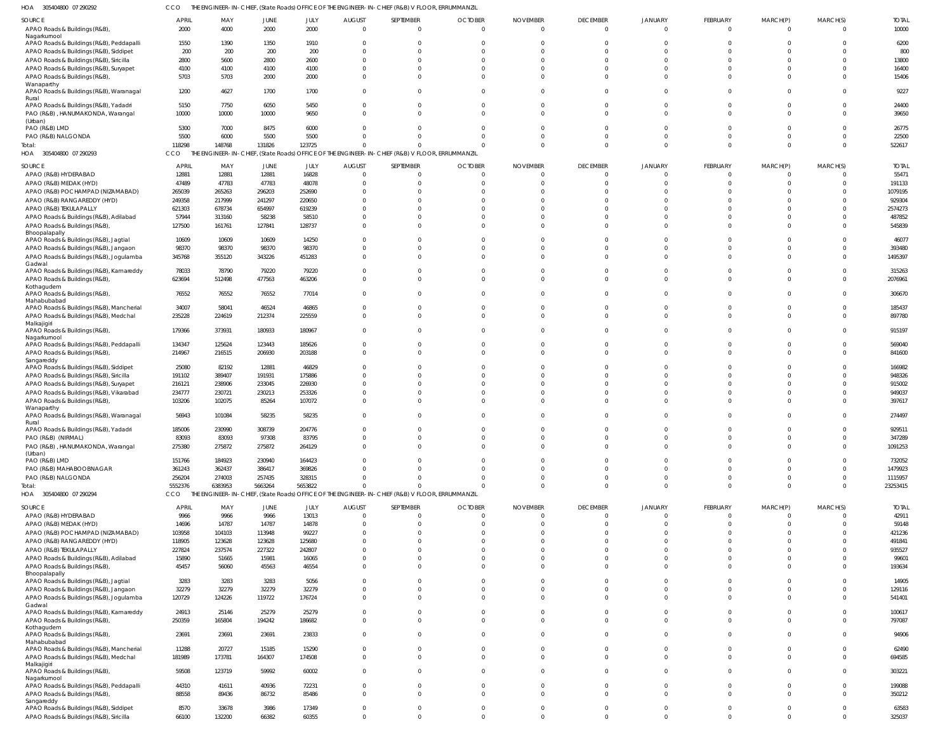| 305404800 07 290292 | CCO THE ENGINEER-IN-CHIEF, (State Roads) OFFICE OF THE ENGINEER-IN-CHIEF (R&B) V FLOOR, ERRUMMANZIL |
|---------------------|-----------------------------------------------------------------------------------------------------|
|                     |                                                                                                     |

| HOA 305404800 07 290292                                                           | <b>CCO</b>        |                   |                   |                   |                      | THE ENGINEER-IN-CHIEF, (State Roads) OFFICE OF THE ENGINEER-IN-CHIEF (R&B) V FLOOR, ERRUMMANZIL |                          |                 |                         |                            |                                |                                |                            |                     |
|-----------------------------------------------------------------------------------|-------------------|-------------------|-------------------|-------------------|----------------------|-------------------------------------------------------------------------------------------------|--------------------------|-----------------|-------------------------|----------------------------|--------------------------------|--------------------------------|----------------------------|---------------------|
| SOURCE                                                                            | <b>APRIL</b>      | MAY               | <b>JUNE</b>       | JULY              | <b>AUGUST</b>        | SEPTEMBER                                                                                       | <b>OCTOBER</b>           | <b>NOVEMBER</b> | <b>DECEMBER</b>         | <b>JANUARY</b>             | <b>FEBRUARY</b>                | MARCH(P)                       | MARCH(S)                   | <b>TOTAL</b>        |
| APAO Roads & Buildings (R&B),<br>Nagarkurnool                                     | 2000              | 4000              | 2000              | 2000              | $\Omega$             | $\overline{0}$                                                                                  | $\Omega$                 | $\Omega$        | $\overline{0}$          | $\Omega$                   | $\overline{0}$                 | $\overline{0}$                 | $\overline{0}$             | 10000               |
| APAO Roads & Buildings (R&B), Peddapalli                                          | 1550              | 1390              | 1350              | 1910              |                      | $\mathbf 0$                                                                                     |                          |                 | $\Omega$                |                            | $\Omega$                       | $\Omega$                       | $\Omega$                   | 6200                |
| APAO Roads & Buildings (R&B), Siddipet                                            | 200               | 200               | 200               | 200               | $\Omega$             | $\Omega$                                                                                        |                          |                 | $\Omega$                |                            | $\Omega$                       | $\Omega$                       | $\Omega$                   | 800                 |
| APAO Roads & Buildings (R&B), Siricilla                                           | 2800              | 5600              | 2800              | 2600              | $\Omega$             | $\Omega$                                                                                        |                          |                 | $\Omega$                |                            | $\Omega$                       | $\cap$                         | $\Omega$                   | 13800               |
| APAO Roads & Buildings (R&B), Suryapet                                            | 4100              | 4100              | 4100              | 4100              | $\Omega$             | $\mathbf 0$                                                                                     |                          |                 | $\Omega$                |                            | $\Omega$                       | $\Omega$                       | $\Omega$                   | 16400               |
| APAO Roads & Buildings (R&B),                                                     | 5703              | 5703              | 2000              | 2000              | $\Omega$             | $\Omega$                                                                                        | $\Omega$                 |                 | $\Omega$                |                            | $\Omega$                       | $\Omega$                       | $\Omega$                   | 15406               |
| Wanaparthy<br>APAO Roads & Buildings (R&B), Waranagal                             | 1200              | 4627              | 1700              | 1700              | $\Omega$             | $\Omega$                                                                                        | U                        |                 | $\Omega$                |                            | $\Omega$                       | $\Omega$                       | $\Omega$                   | 9227                |
| Rural                                                                             |                   |                   |                   |                   |                      |                                                                                                 |                          |                 |                         |                            |                                |                                |                            |                     |
| APAO Roads & Buildings (R&B), Yadadri                                             | 5150              | 7750              | 6050              | 5450              | $\Omega$             | $\mathbf{0}$                                                                                    | $\Omega$                 |                 | $\mathbf{0}$            |                            | $\mathbf 0$                    | $\Omega$                       | $\Omega$                   | 24400               |
| PAO (R&B), HANUMAKONDA, Warangal<br>(Urban)                                       | 10000             | 10000             | 10000             | 9650              | $\Omega$             | $\Omega$                                                                                        | $\Omega$                 |                 | $\Omega$                |                            | $\Omega$                       | $\Omega$                       | $\Omega$                   | 39650               |
| PAO (R&B) LMD                                                                     | 5300              | 7000              | 8475              | 6000              | $\Omega$             | $\Omega$                                                                                        |                          |                 | $\Omega$                |                            | $\Omega$                       | $\Omega$                       | $\Omega$                   | 26775               |
| PAO (R&B) NALGONDA                                                                | 5500              | 6000              | 5500              | 5500              | $\Omega$             | $\mathbf{0}$                                                                                    | $\Omega$                 |                 | $\Omega$                |                            | $\mathbf 0$                    | $\Omega$                       | $\Omega$                   | 22500               |
| Total:                                                                            | 118298            | 148768            | 131826            | 123725            | $\Omega$             | $\Omega$                                                                                        | $\Omega$                 |                 | $\Omega$                | $\Omega$                   | $\mathbf 0$                    | $\Omega$                       | $\Omega$                   | 522617              |
| HOA 305404800 07 290293                                                           | CCO               |                   |                   |                   |                      | THE ENGINEER-IN-CHIEF, (State Roads) OFFICE OF THE ENGINEER-IN-CHIEF (R&B) V FLOOR, ERRUMMANZIL |                          |                 |                         |                            |                                |                                |                            |                     |
| SOURCE                                                                            | <b>APRIL</b>      | MAY               | <b>JUNE</b>       | JULY              | <b>AUGUST</b>        | SEPTEMBER                                                                                       | <b>OCTOBER</b>           | <b>NOVEMBER</b> | <b>DECEMBER</b>         | JANUARY                    | <b>FEBRUARY</b>                | MARCH(P)                       | MARCH(S)                   | <b>TOTAL</b>        |
| APAO (R&B) HYDERABAD                                                              | 12881             | 12881             | 12881             | 16828             | $\overline{0}$       | $\overline{0}$                                                                                  |                          |                 | $\mathbf 0$             | $\Omega$                   | $\overline{0}$                 | $\overline{0}$                 | $\overline{0}$             | 55471               |
| APAO (R&B) MEDAK (HYD)                                                            | 47489             | 47783             | 47783             | 48078             | $\Omega$             | $\overline{0}$                                                                                  |                          |                 | $\overline{0}$          |                            | $\mathbf{0}$                   | $\mathbf{0}$                   | $\Omega$                   | 191133              |
| APAO (R&B) POCHAMPAD (NIZAMABAD)                                                  | 265039            | 265263            | 296203            | 252690            | $\Omega$             | $\mathbf{0}$                                                                                    |                          |                 | $\Omega$                |                            | $\mathbf 0$                    | $\Omega$                       | $\Omega$                   | 1079195             |
| APAO (R&B) RANGAREDDY (HYD)                                                       | 249358            | 217999            | 241297            | 220650            |                      | $\mathbf 0$                                                                                     |                          |                 | $\Omega$                |                            | $\Omega$                       | $\Omega$                       | $\Omega$                   | 929304              |
| APAO (R&B) TEKULAPALLY                                                            | 621303            | 678734            | 654997            | 619239            | $\Omega$             | $\Omega$                                                                                        |                          |                 | $\Omega$                |                            | $\Omega$                       | $\Omega$                       | $\Omega$                   | 2574273             |
| APAO Roads & Buildings (R&B), Adilabad                                            | 57944<br>127500   | 313160<br>161761  | 58238<br>127841   | 58510<br>128737   | O<br>$\Omega$        | $\mathbf{0}$<br>$\Omega$                                                                        |                          |                 | $\Omega$<br>$\Omega$    |                            | $\mathbf 0$<br>$\mathbf 0$     | $\Omega$<br>$\Omega$           | $\Omega$<br>$\Omega$       | 487852<br>545839    |
| APAO Roads & Buildings (R&B),<br>Bhoopalapally                                    |                   |                   |                   |                   |                      |                                                                                                 |                          |                 |                         |                            |                                |                                |                            |                     |
| APAO Roads & Buildings (R&B), Jagtial                                             | 10609             | 10609             | 10609             | 14250             | $\Omega$             | $\mathbf 0$                                                                                     |                          |                 | $\Omega$                | $\Omega$                   | $\mathbf{0}$                   | $\mathbf{0}$                   | $\Omega$                   | 46077               |
| APAO Roads & Buildings (R&B), Jangaon                                             | 98370             | 98370             | 98370             | 98370             | $\Omega$             | $\mathbf 0$                                                                                     | $\Omega$                 |                 | $\overline{0}$          | $\Omega$                   | $\mathbf 0$                    | $\Omega$                       | $\Omega$                   | 393480              |
| APAO Roads & Buildings (R&B), Jogulamba                                           | 345768            | 355120            | 343226            | 451283            | $\Omega$             | $\Omega$                                                                                        | $\Omega$                 |                 | $\Omega$                |                            | $\mathbf 0$                    | $\Omega$                       | $\Omega$                   | 1495397             |
| Gadwal<br>APAO Roads & Buildings (R&B), Kamareddy                                 | 78033             | 78790             | 79220             | 79220             | $\Omega$             | $\mathbf{0}$                                                                                    |                          |                 | $\Omega$                |                            | $\mathbf 0$                    | $\Omega$                       | $\Omega$                   | 315263              |
| APAO Roads & Buildings (R&B),                                                     | 623694            | 512498            | 477563            | 463206            | $\Omega$             | $\mathbf 0$                                                                                     | $\Omega$                 |                 | $\Omega$                |                            | $\mathbf 0$                    | $\Omega$                       | $\Omega$                   | 2076961             |
| Kothagudem                                                                        |                   |                   |                   |                   |                      |                                                                                                 |                          |                 |                         |                            |                                |                                |                            |                     |
| APAO Roads & Buildings (R&B),<br>Mahabubabad                                      | 76552             | 76552             | 76552             | 77014             | $\Omega$             | $\Omega$                                                                                        |                          |                 | $\Omega$                |                            | $\Omega$                       | $\Omega$                       | $\Omega$                   | 306670              |
| APAO Roads & Buildings (R&B), Mancherial                                          | 34007             | 58041             | 46524             | 46865             | $\Omega$             | $\overline{0}$                                                                                  | $\Omega$                 |                 | $\mathbf{0}$            | $\Omega$                   | $\overline{0}$                 | $\overline{0}$                 | $\Omega$                   | 185437              |
| APAO Roads & Buildings (R&B), Medchal                                             | 235228            | 224619            | 212374            | 225559            | $\Omega$             | $\mathbf 0$                                                                                     | $\Omega$                 |                 | $\mathbf 0$             |                            | $\mathbf 0$                    | $\mathbf 0$                    | $\Omega$                   | 897780              |
| Malkajigiri                                                                       |                   |                   |                   |                   |                      |                                                                                                 |                          |                 |                         |                            |                                |                                |                            |                     |
| APAO Roads & Buildings (R&B),                                                     | 179366            | 373931            | 180933            | 180967            | $\Omega$             | $\Omega$                                                                                        |                          |                 | $\Omega$                |                            | $\Omega$                       | $\Omega$                       | $\Omega$                   | 915197              |
| Nagarkurnool<br>APAO Roads & Buildings (R&B), Peddapalli                          | 134347            | 125624            | 123443            | 185626            | $\Omega$             | $\Omega$                                                                                        | <sup>0</sup>             |                 | $\mathbf{0}$            | <sup>0</sup>               | $\Omega$                       | $\Omega$                       | $\Omega$                   | 569040              |
| APAO Roads & Buildings (R&B),                                                     | 214967            | 216515            | 206930            | 203188            | $\Omega$             | $\Omega$                                                                                        | $\Omega$                 |                 | $\Omega$                | $\Omega$                   | $\Omega$                       | $\Omega$                       | $\Omega$                   | 841600              |
| Sangareddy                                                                        |                   |                   |                   |                   |                      |                                                                                                 |                          |                 |                         |                            |                                |                                |                            |                     |
| APAO Roads & Buildings (R&B), Siddipet                                            | 25080             | 82192             | 12881             | 46829             | $\Omega$             | $\Omega$                                                                                        |                          |                 | $\Omega$                | <sup>0</sup>               | $\Omega$                       | $\Omega$                       | $\Omega$                   | 166982              |
| APAO Roads & Buildings (R&B), Siricilla                                           | 191102            | 389407            | 191931            | 175886            | $\Omega$             | $\Omega$                                                                                        |                          |                 | $\Omega$                |                            | $\Omega$                       | $\Omega$                       | $\Omega$                   | 948326              |
| APAO Roads & Buildings (R&B), Suryapet<br>APAO Roads & Buildings (R&B), Vikarabad | 216121<br>234777  | 238906            | 233045            | 226930<br>253326  | $\Omega$<br>$\Omega$ | $\Omega$<br>$\Omega$                                                                            |                          |                 | $\Omega$<br>$\Omega$    |                            | $\Omega$<br>$\Omega$           | $\Omega$<br>$\Omega$           | $\Omega$<br>$\Omega$       | 915002<br>949037    |
| APAO Roads & Buildings (R&B),                                                     | 103206            | 230721<br>102075  | 230213<br>85264   | 107072            | $\Omega$             | $\Omega$                                                                                        |                          |                 | $\Omega$                | $\Omega$                   | $\Omega$                       | $\Omega$                       | $\Omega$                   | 397617              |
| Wanaparthy                                                                        |                   |                   |                   |                   |                      |                                                                                                 |                          |                 |                         |                            |                                |                                |                            |                     |
| APAO Roads & Buildings (R&B), Waranagal                                           | 56943             | 101084            | 58235             | 58235             | $\Omega$             | $\Omega$                                                                                        |                          |                 | $\Omega$                | $\Omega$                   | $\Omega$                       | $\Omega$                       | $\Omega$                   | 274497              |
| Rural<br>APAO Roads & Buildings (R&B), Yadadri                                    | 185006            | 230990            | 308739            | 204776            | $\Omega$             | $\mathbf{0}$                                                                                    | $\Omega$                 |                 | $\Omega$                | $\Omega$                   | $\overline{0}$                 | $\Omega$                       | $\Omega$                   | 929511              |
| PAO (R&B) (NIRMAL)                                                                | 83093             | 83093             | 97308             | 83795             | $\mathbf 0$          | $\overline{0}$                                                                                  | $\Omega$                 |                 | $\mathbf 0$             | $\mathbf 0$                | $\mathbf 0$                    | $\overline{0}$                 | $\mathbf{0}$               | 347289              |
| PAO (R&B), HANUMAKONDA, Warangal                                                  | 275380            | 275872            | 275872            | 264129            | $\Omega$             | $\mathbf 0$                                                                                     | $\Omega$                 | $\Omega$        | $\mathbf 0$             | $\Omega$                   | $\overline{0}$                 | $\overline{0}$                 | $\Omega$                   | 1091253             |
| (Urban)                                                                           |                   |                   |                   |                   |                      |                                                                                                 |                          |                 |                         |                            |                                |                                |                            |                     |
| PAO (R&B) LMD                                                                     | 151766            | 184923            | 230940            | 164423            | $\Omega$             | $\overline{0}$                                                                                  | $\Omega$                 |                 | $\mathbf{0}$            | $\Omega$                   | $\overline{0}$                 | $\mathbf 0$                    | $\overline{0}$             | 732052              |
| PAO (R&B) MAHABOOBNAGAR                                                           | 361243            | 362437            | 386417            | 369826            | $\Omega$             | $\overline{0}$                                                                                  | $\Omega$                 |                 | $\Omega$                | $\Omega$                   | $\overline{0}$                 | $\Omega$                       | $\Omega$                   | 1479923             |
| PAO (R&B) NALGONDA<br>Total:                                                      | 256204<br>5552376 | 274003<br>6383953 | 257435<br>5663264 | 328315<br>5653822 | $\Omega$<br>$\Omega$ | $\overline{0}$<br>$\Omega$                                                                      | $\Omega$<br><sup>0</sup> |                 | $\Omega$<br>$\Omega$    | $\mathbf 0$<br>$\mathbf 0$ | $\mathbf{0}$<br>$\overline{0}$ | $\mathbf{0}$<br>$\overline{0}$ | $\overline{0}$<br>$\Omega$ | 1115957<br>23253415 |
| HOA 305404800 07 290294                                                           | CCO               |                   |                   |                   |                      | THE ENGINEER-IN-CHIEF, (State Roads) OFFICE OF THE ENGINEER-IN-CHIEF (R&B) V FLOOR, ERRUMMANZIL |                          |                 |                         |                            |                                |                                |                            |                     |
|                                                                                   |                   |                   |                   |                   |                      |                                                                                                 |                          |                 |                         |                            |                                |                                |                            |                     |
| SOURCE                                                                            | <b>APRIL</b>      | MAY               | JUNE              | JULY              | <b>AUGUST</b>        | SEPTEMBER                                                                                       | <b>OCTOBER</b>           | <b>NOVEMBER</b> | <b>DECEMBER</b>         | JANUARY                    | FEBRUARY                       | MARCH(P)                       | MARCH(S)                   | <b>TOTAL</b>        |
| APAO (R&B) HYDERABAD                                                              | 9966<br>14696     | 9966              | 9966              | 13013<br>14878    | $\Omega$<br>$\Omega$ | $\mathbf 0$<br>$\Omega$                                                                         | $\Omega$<br>$\Omega$     |                 | $\mathbf 0$<br>$\Omega$ | $\mathbf 0$<br>$\Omega$    | $\overline{0}$<br>$\Omega$     | $\Omega$<br>$\Omega$           | $\Omega$<br>$\overline{0}$ | 42911<br>59148      |
| APAO (R&B) MEDAK (HYD)<br>APAO (R&B) POCHAMPAD (NIZAMABAD)                        | 103958            | 14787<br>104103   | 14787<br>113948   | 99227             | $\Omega$             | $\Omega$                                                                                        |                          |                 | $\Omega$                | $\Omega$                   | $\Omega$                       | $\Omega$                       | $\Omega$                   | 421236              |
| APAO (R&B) RANGAREDDY (HYD)                                                       | 118905            | 123628            | 123628            | 125680            | $\Omega$             | $\Omega$                                                                                        |                          |                 | $\Omega$                | $\Omega$                   | $\Omega$                       | $\Omega$                       | $\Omega$                   | 491841              |
| APAO (R&B) TEKULAPALLY                                                            | 227824            | 237574            | 227322            | 242807            | $\Omega$             | $\Omega$                                                                                        |                          |                 | $\Omega$                | $\Omega$                   | $\Omega$                       | $\Omega$                       | $\Omega$                   | 935527              |
| APAO Roads & Buildings (R&B), Adilabad                                            | 15890             | 51665             | 15981             | 16065             | $\Omega$             | $\Omega$                                                                                        | <sup>0</sup>             |                 | $\Omega$                | $\Omega$                   | $\Omega$                       | $\Omega$                       | $\Omega$                   | 99601               |
| APAO Roads & Buildings (R&B),                                                     | 45457             | 56060             | 45563             | 46554             | $\Omega$             | $\Omega$                                                                                        | $\Omega$                 | $\cap$          | $\Omega$                | $\Omega$                   | $\Omega$                       | $\Omega$                       | $\Omega$                   | 193634              |
| Bhoopalapally                                                                     |                   |                   |                   |                   |                      |                                                                                                 |                          |                 |                         |                            |                                |                                |                            |                     |
| APAO Roads & Buildings (R&B), Jagtial                                             | 3283<br>32279     | 3283              | 3283              | 5056<br>32279     | $\Omega$<br>$\Omega$ | $\Omega$<br>$\Omega$                                                                            | $\Omega$<br>$\Omega$     |                 | $\Omega$<br>$\Omega$    | $\Omega$<br>$\Omega$       | $\Omega$<br>$\Omega$           | $\Omega$<br>$\Omega$           | $\Omega$<br>$\Omega$       | 14905<br>129116     |
| APAO Roads & Buildings (R&B), Jangaon<br>APAO Roads & Buildings (R&B), Jogulamba  | 120729            | 32279<br>124226   | 32279<br>119722   | 176724            | $\Omega$             | $\Omega$                                                                                        | $\Omega$                 |                 | $\Omega$                | $\Omega$                   | $\Omega$                       | $\Omega$                       | $\Omega$                   | 541401              |
| Gadwal                                                                            |                   |                   |                   |                   |                      |                                                                                                 |                          |                 |                         |                            |                                |                                |                            |                     |
| APAO Roads & Buildings (R&B), Kamareddy                                           | 24913             | 25146             | 25279             | 25279             | $\Omega$             | $\mathbf 0$                                                                                     | $\Omega$                 |                 | $\Omega$                | $\Omega$                   | $\Omega$                       | $\Omega$                       | $\Omega$                   | 100617              |
| APAO Roads & Buildings (R&B),                                                     | 250359            | 165804            | 194242            | 186682            | $\Omega$             | $\Omega$                                                                                        | $\Omega$                 | $\Omega$        | $\Omega$                | $\Omega$                   | $\Omega$                       | $\Omega$                       | $\overline{0}$             | 797087              |
| Kothagudem<br>APAO Roads & Buildings (R&B),                                       | 23691             | 23691             | 23691             | 23833             | $\Omega$             | $\Omega$                                                                                        | $\Omega$                 | $\Omega$        | $\Omega$                | $\Omega$                   | $\Omega$                       | $\Omega$                       | $\Omega$                   | 94906               |
| Mahabubabad                                                                       |                   |                   |                   |                   |                      |                                                                                                 |                          |                 |                         |                            |                                |                                |                            |                     |
| APAO Roads & Buildings (R&B), Mancherial                                          | 11288             | 20727             | 15185             | 15290             | $\Omega$             | $\Omega$                                                                                        | $\Omega$                 |                 | $\mathbf{0}$            | $\Omega$                   | $\Omega$                       | $\Omega$                       | $\Omega$                   | 62490               |
| APAO Roads & Buildings (R&B), Medchal                                             | 181989            | 173781            | 164307            | 174508            | $\Omega$             | $\Omega$                                                                                        | $\Omega$                 | $\Omega$        | $\Omega$                | $\Omega$                   | $\Omega$                       | $\Omega$                       | $\Omega$                   | 694585              |
| Malkajigiri<br>APAO Roads & Buildings (R&B),                                      | 59508             | 123719            | 59992             | 60002             | $\Omega$             | $\Omega$                                                                                        | $\Omega$                 | $\cap$          | $\Omega$                | $\Omega$                   | $\Omega$                       | $\Omega$                       | $\Omega$                   | 303221              |
| Nagarkurnool                                                                      |                   |                   |                   |                   |                      |                                                                                                 |                          |                 |                         |                            |                                |                                |                            |                     |
| APAO Roads & Buildings (R&B), Peddapalli                                          | 44310             | 41611             | 40936             | 72231             | $\Omega$             | $\mathbf{0}$                                                                                    | $\Omega$                 | $\Omega$        | $\mathbf 0$             | $\Omega$                   | $\overline{0}$                 | $\Omega$                       | $\mathbf{0}$               | 199088              |
| APAO Roads & Buildings (R&B),<br>Sangareddy                                       | 88558             | 89436             | 86732             | 85486             | $\Omega$             | $\Omega$                                                                                        | $\Omega$                 | $\Omega$        | $\Omega$                | $\Omega$                   | $\Omega$                       | $\Omega$                       | $\overline{0}$             | 350212              |
| APAO Roads & Buildings (R&B), Siddipet                                            | 8570              | 33678             | 3986              | 17349             | $\Omega$             | $\overline{0}$                                                                                  | $^{\circ}$               | $\Omega$        | $\mathbf{0}$            | $\mathbf 0$                | $\overline{0}$                 | $\mathbf{0}$                   | $\overline{0}$             | 63583               |
| APAO Roads & Buildings (R&B), Siricilla                                           | 66100             | 132200            | 66382             | 60355             | $\mathbf 0$          | $\mathbf{0}$                                                                                    | $\Omega$                 | $\Omega$        | $\mathbf{0}$            | $\Omega$                   | $\Omega$                       | $\Omega$                       | $\Omega$                   | 325037              |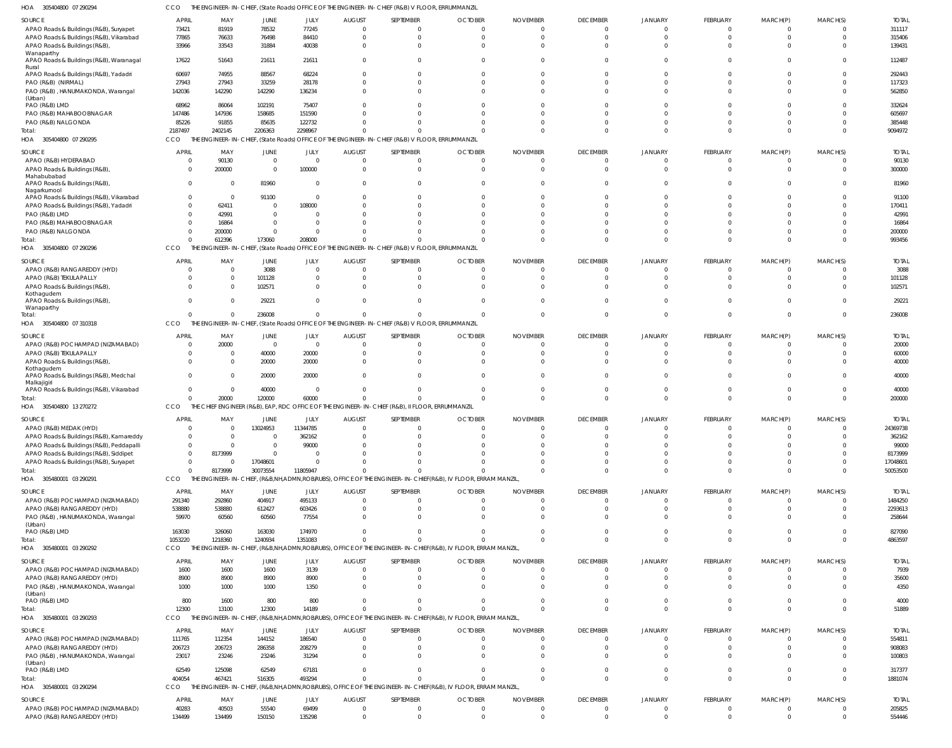305404800 07 290294 HOA CCO THE ENGINEER-IN-CHIEF, (State Roads) OFFICE OF THE ENGINEER-IN-CHIEF (R&B) V FLOOR, ERRUMMANZIL

| SOURCE                                                  | <b>APRIL</b>                   | MAY                       | JUNE                   | JULY                          | <b>AUGUST</b>             | SEPTEMBER                                                                                                    | <b>OCTOBER</b>             | <b>NOVEMBER</b>             | <b>DECEMBER</b>             | <b>JANUARY</b>             | FEBRUARY        | MARCH(P)             | MARCH(S) | <b>TOTAL</b>            |
|---------------------------------------------------------|--------------------------------|---------------------------|------------------------|-------------------------------|---------------------------|--------------------------------------------------------------------------------------------------------------|----------------------------|-----------------------------|-----------------------------|----------------------------|-----------------|----------------------|----------|-------------------------|
| APAO Roads & Buildings (R&B), Suryapet                  | 73421                          | 81919                     | 78532                  | 77245                         | $\overline{0}$            | $\Omega$                                                                                                     | $\mathbf 0$                | 0                           | $\Omega$                    | $\cap$                     |                 |                      |          | 311117                  |
| APAO Roads & Buildings (R&B), Vikarabad                 | 77865<br>33966                 | 76633                     | 76498<br>31884         | 84410<br>40038                | $\mathbf 0$<br>$\Omega$   | $\Omega$<br>$\Omega$                                                                                         | $\Omega$<br>$\Omega$       | 0<br>$\Omega$               | $\Omega$<br>$\Omega$        | $\Omega$<br>$\cap$         |                 |                      | $\Omega$ | 315406<br>139431        |
| APAO Roads & Buildings (R&B),<br>Wanaparthy             |                                | 33543                     |                        |                               |                           |                                                                                                              |                            |                             |                             |                            |                 |                      |          |                         |
| APAO Roads & Buildings (R&B), Waranagal<br>Rural        | 17622                          | 51643                     | 21611                  | 21611                         | $\mathbf 0$               | $\Omega$                                                                                                     | $\Omega$                   | $\Omega$                    | $\cap$                      | $\cap$                     |                 |                      | $\cap$   | 112487                  |
| APAO Roads & Buildings (R&B), Yadadri                   | 60697                          | 74955                     | 88567                  | 68224                         | $\Omega$                  |                                                                                                              | -C                         | O                           | $\cap$                      |                            |                 |                      |          | 292443                  |
| PAO (R&B) (NIRMAL)<br>PAO (R&B), HANUMAKONDA, Warangal  | 27943<br>142036                | 27943<br>142290           | 33259<br>142290        | 28178<br>136234               | $\Omega$<br>$\Omega$      | $\Omega$                                                                                                     | $\Omega$<br>$\Omega$       | $\Omega$<br>$\cup$          | $\Omega$<br>$\Omega$        | $\cap$<br>$\cap$           |                 |                      |          | 117323<br>562850        |
| (Urban)                                                 |                                |                           |                        |                               |                           |                                                                                                              |                            |                             |                             |                            |                 |                      |          |                         |
| PAO (R&B) LMD<br>PAO (R&B) MAHABOOBNAGAR                | 68962<br>147486                | 86064<br>147936           | 102191<br>158685       | 75407<br>151590               | $\Omega$<br>$\Omega$      |                                                                                                              |                            | $\cup$<br>$\cup$            | $\cap$                      | $\cap$                     |                 |                      |          | 332624<br>605697        |
| PAO (R&B) NALGONDA                                      | 85226                          | 91855                     | 85635                  | 122732                        | $\Omega$                  |                                                                                                              | -C                         | $\cup$                      | $\cap$                      | $\cap$                     |                 |                      | $\cap$   | 385448                  |
| Total:                                                  | 2187497                        | 2402145                   | 2206363                | 2298967                       | $\sqrt{ }$                |                                                                                                              | $\sqrt{ }$                 | C                           | $\Omega$                    | $\cap$                     | $\Omega$        |                      | $\cap$   | 9094972                 |
| HOA 305404800 07 290295                                 | CCO                            |                           |                        |                               |                           | THE ENGINEER-IN-CHIEF, (State Roads) OFFICE OF THE ENGINEER-IN-CHIEF (R&B) V FLOOR, ERRUMMANZIL              |                            |                             |                             |                            |                 |                      |          |                         |
| SOURCE                                                  | <b>APRIL</b>                   | MAY                       | JUNE                   | JULY                          | <b>AUGUST</b>             | SEPTEMBER                                                                                                    | <b>OCTOBER</b>             | <b>NOVEMBER</b>             | <b>DECEMBER</b>             | <b>JANUARY</b>             | <b>FEBRUARY</b> | MARCH(P)             | MARCH(S) | <b>TOTAL</b>            |
| APAO (R&B) HYDERABAD                                    | - 0                            | 90130                     | $\overline{0}$         | $\Omega$                      | $\overline{0}$            | $\Omega$                                                                                                     | $\Omega$                   | $\Omega$                    | - 0                         |                            |                 |                      |          | 90130                   |
| APAO Roads & Buildings (R&B)                            | $\Omega$                       | 200000                    | $\overline{0}$         | 100000                        | $\Omega$                  | $\Omega$                                                                                                     | $\Omega$                   | $\Omega$                    | $\Omega$                    | $\cap$                     |                 |                      |          | 300000                  |
| Mahabubabad<br>APAO Roads & Buildings (R&B)             | $\Omega$                       | - 0                       | 81960                  | $\Omega$                      | $\Omega$                  | $\Omega$                                                                                                     | $\Omega$                   | $\cup$                      | $\Omega$                    |                            |                 |                      |          | 81960                   |
| Nagarkurnool<br>APAO Roads & Buildings (R&B), Vikarabad | $\Omega$                       | $\overline{\mathbf{0}}$   | 91100                  | $\Omega$                      | $\Omega$                  |                                                                                                              | -C                         | $\Omega$                    |                             |                            |                 |                      |          | 91100                   |
| APAO Roads & Buildings (R&B), Yadadri                   | $\Omega$                       | 62411                     | 0                      | 108000                        | $\Omega$                  |                                                                                                              |                            | $\cup$                      | $\cap$                      | $\cap$                     |                 |                      |          | 170411                  |
| PAO (R&B) LMD                                           | $\Omega$                       | 42991                     | $\Omega$               |                               | $\Omega$                  |                                                                                                              |                            |                             |                             |                            |                 |                      |          | 42991                   |
| PAO (R&B) MAHABOOBNAGAR                                 | $\Omega$                       | 16864                     | $\Omega$               | - 0                           | $\Omega$                  |                                                                                                              |                            |                             | $\cap$                      |                            |                 |                      |          | 16864                   |
| PAO (R&B) NALGONDA<br>Total:                            | $\Omega$<br>$\Omega$           | 200000<br>612396          | $\mathbf 0$<br>173060  | 208000                        | $\Omega$<br>$\Omega$      |                                                                                                              | $\sqrt{ }$                 | $\sqrt{ }$<br>C             | $\Omega$                    | $\cap$                     | $\Omega$        |                      | $\cap$   | 200000<br>993456        |
| 305404800 07 290296<br>HOA                              | CCO                            |                           |                        |                               |                           | THE ENGINEER-IN-CHIEF, (State Roads) OFFICE OF THE ENGINEER-IN-CHIEF (R&B) V FLOOR, ERRUMMANZIL              |                            |                             |                             |                            |                 |                      |          |                         |
|                                                         |                                |                           |                        |                               |                           |                                                                                                              |                            |                             |                             |                            |                 |                      |          |                         |
| SOURCE<br>APAO (R&B) RANGAREDDY (HYD)                   | <b>APRIL</b><br>$\Omega$       | MAY<br>$\overline{0}$     | JUNE<br>3088           | JULY<br>$\Omega$              | <b>AUGUST</b><br>$\Omega$ | SEPTEMBER<br>$\Omega$                                                                                        | <b>OCTOBER</b><br>$\Omega$ | <b>NOVEMBER</b><br>$\Omega$ | <b>DECEMBER</b><br>$\Omega$ | <b>JANUARY</b><br>$\cap$   | FEBRUARY        | MARCH(P)             | MARCH(S) | <b>TOTAI</b><br>3088    |
| APAO (R&B) TEKULAPALLY                                  | $\Omega$                       | $\overline{0}$            | 101128                 |                               | 0                         | $\Omega$                                                                                                     | $\Omega$                   | $\Omega$                    | $\cap$                      | $\cap$                     |                 |                      | $\cap$   | 101128                  |
| APAO Roads & Buildings (R&B),                           | $\Omega$                       | $\overline{0}$            | 102571                 | - 0                           | $\Omega$                  | $\Omega$                                                                                                     | $\Omega$                   | $\Omega$                    | $\Omega$                    | $\Omega$                   |                 |                      |          | 102571                  |
| Kothagudem<br>APAO Roads & Buildings (R&B),             | $\Omega$                       | $\Omega$                  | 29221                  |                               | $\Omega$                  | $\Omega$                                                                                                     | $\Omega$                   | $\Omega$                    | $\Omega$                    | $\cap$                     |                 |                      |          | 29221                   |
| Wanaparthy                                              |                                |                           |                        |                               |                           |                                                                                                              |                            |                             |                             |                            |                 |                      |          |                         |
| Total:<br>HOA 305404800 07 310318                       | $\Omega$<br>CCO                | $\Omega$                  | 236008                 |                               | $\Omega$                  | $\Omega$<br>THE ENGINEER-IN-CHIEF, (State Roads) OFFICE OF THE ENGINEER-IN-CHIEF (R&B) V FLOOR, ERRUMMANZIL  | -C                         | $\Omega$                    | $\Omega$                    | $\Omega$                   | $\Omega$        | $\Omega$             | $\Omega$ | 236008                  |
|                                                         |                                |                           |                        |                               |                           |                                                                                                              |                            |                             |                             |                            |                 |                      |          |                         |
| SOURCE<br>APAO (R&B) POCHAMPAD (NIZAMABAD)              | <b>APRIL</b><br>$\overline{0}$ | MAY<br>20000              | JUNE<br>$\overline{0}$ | <b>JULY</b><br>$\overline{0}$ | <b>AUGUST</b><br>$\Omega$ | SEPTEMBER<br>$\Omega$                                                                                        | <b>OCTOBER</b><br>$\Omega$ | <b>NOVEMBER</b><br>$\Omega$ | <b>DECEMBER</b><br>$\Omega$ | <b>JANUARY</b>             | FEBRUARY        | MARCH(P)             | MARCH(S) | <b>TOTAI</b><br>20000   |
| APAO (R&B) TEKULAPALLY                                  | $\Omega$                       | - 0                       | 40000                  | 20000                         | $\Omega$                  | $\Omega$                                                                                                     | $\Omega$                   | $\Omega$                    | $\Omega$                    | $\cap$                     |                 |                      |          | 60000                   |
| APAO Roads & Buildings (R&B),                           | $\Omega$                       | $\overline{\mathbf{0}}$   | 20000                  | 20000                         | $\Omega$                  | $\Omega$                                                                                                     | $\Omega$                   | $\sqrt{ }$                  | $\Omega$                    |                            |                 |                      |          | 40000                   |
| Kothagudem<br>APAO Roads & Buildings (R&B), Medchal     | $\Omega$                       | $\Omega$                  |                        |                               | $\Omega$                  | $\Omega$                                                                                                     | $\Omega$                   | $\cup$                      | $\cap$                      |                            |                 |                      |          | 40000                   |
| Malkajigiri                                             | $\Omega$                       | $\overline{0}$            | 20000                  | 20000<br>$\Omega$             | $\Omega$                  | $\Omega$                                                                                                     | $\Omega$                   | $\Omega$                    | $\Omega$                    | $\Omega$                   |                 |                      |          |                         |
| APAO Roads & Buildings (R&B), Vikarabad<br>Total:       | $\Omega$                       | 20000                     | 40000<br>120000        | 60000                         | $\sqrt{ }$                | U                                                                                                            | $\Omega$                   | $\Omega$                    | $\Omega$                    | $\Omega$                   | $\Omega$        | $\Omega$             |          | 40000<br>200000         |
| 305404800 13 270272<br>HOA                              | CCO                            | THE<br><b>ENGINEER</b>    |                        |                               |                           | (R&B), EAP, RDC OFFICE OF THE ENGINEER-IN-CHIEF (R&B), II FLOOR, ERRUMMANZIL                                 |                            |                             |                             |                            |                 |                      |          |                         |
| SOURCE                                                  | APRIL                          | MAY                       | JUNE                   | JULY                          | <b>AUGUST</b>             | SEPTEMBER                                                                                                    | <b>OCTOBER</b>             | <b>NOVEMBER</b>             | <b>DECEMBER</b>             | JANUARY                    | <b>FEBRUARY</b> | MARCH(P)             | MARCH(S) | <b>TOTAI</b>            |
| APAO (R&B) MEDAK (HYD)                                  | $\Omega$                       | $\overline{0}$            | 13024953               | 11344785                      | $\overline{0}$            | $\mathbf 0$                                                                                                  | $\overline{0}$             | $\Omega$                    | $\Omega$                    | $\Omega$                   | $\mathbf 0$     | $\Omega$             | $\Omega$ | 24369738                |
| APAO Roads & Buildings (R&B), Kamareddy                 |                                | $\Omega$                  | -0                     | 362162                        |                           |                                                                                                              |                            |                             |                             |                            |                 |                      |          | 362162                  |
| APAO Roads & Buildings (R&B), Peddapalli                | $\Omega$                       | $\Omega$                  | $\Omega$               | 99000                         | $\Omega$                  |                                                                                                              |                            |                             |                             |                            |                 |                      |          | 99000                   |
| APAO Roads & Buildings (R&B), Siddipet                  | $\Omega$                       | 8173999                   | $\Omega$               | $\Omega$                      | $\Omega$                  | $\Omega$                                                                                                     | $\Omega$                   | $\sqrt{ }$                  | $\Omega$                    | $\Omega$                   |                 |                      |          | 8173999                 |
| APAO Roads & Buildings (R&B), Suryapet<br>Total:        | $\Omega$<br>$\Omega$           | $\overline{0}$<br>8173999 | 17048601<br>30073554   | $\Omega$<br>11805947          | $\Omega$<br>$\Omega$      | $\Omega$                                                                                                     | $\sqrt{ }$                 | $\sqrt{ }$<br>$\Omega$      | $\Omega$<br>$\Omega$        | $\Omega$<br>$\Omega$       | $\Omega$        | $\Omega$             |          | 17048601<br>50053500    |
| HOA 305480001 03 290291                                 | CCO                            |                           |                        |                               |                           | THE ENGINEER-IN-CHIEF, (R&B,NH,ADMN,ROB/RUBS), OFFICE OF THE ENGINEER-IN-CHIEF(R&B), IV FLOOR, ERRAM MANZIL  |                            |                             |                             |                            |                 |                      |          |                         |
|                                                         |                                |                           |                        |                               |                           |                                                                                                              |                            |                             |                             |                            |                 |                      |          |                         |
| SOURCE<br>APAO (R&B) POCHAMPAD (NIZAMABAD)              | APRIL<br>291340                | MAY<br>292860             | JUNE<br>404917         | JULY<br>495133                | <b>AUGUST</b><br>$\Omega$ | SEPTEMBER<br>$\Omega$                                                                                        | <b>OCTOBER</b><br>$\Omega$ | <b>NOVEMBER</b><br>$\Omega$ | <b>DECEMBER</b><br>$\Omega$ | <b>JANUARY</b><br>$\Omega$ | FEBRUARY<br>0   | MARCH(P)<br>$\Omega$ | MARCH(S) | <b>TOTAL</b><br>1484250 |
| APAO (R&B) RANGAREDDY (HYD)                             | 538880                         | 538880                    | 612427                 | 603426                        | $\Omega$                  | $\Omega$                                                                                                     | $\overline{0}$             | $\mathbf 0$                 | $\Omega$                    | $\Omega$                   | 0               |                      |          | 2293613                 |
| PAO (R&B), HANUMAKONDA, Warangal                        | 59970                          | 60560                     | 60560                  | 77554                         | $\Omega$                  | $\Omega$                                                                                                     | $\Omega$                   | $\Omega$                    | $\Omega$                    | $\Omega$                   |                 |                      |          | 258644                  |
| (Urban)<br>PAO (R&B) LMD                                | 163030                         | 326060                    | 163030                 | 174970                        | $\Omega$                  | $\Omega$                                                                                                     | $\Omega$                   | $\Omega$                    | $\Omega$                    | $\Omega$                   |                 |                      |          | 827090                  |
| Total:                                                  | 1053220                        | 1218360                   | 1240934                | 1351083                       | $\Omega$                  | $\Omega$                                                                                                     | $\Omega$                   | $\Omega$                    | $\Omega$                    | $\Omega$                   | $\Omega$        | $\Omega$             | $\Omega$ | 4863597                 |
| HOA<br>305480001 03 290292                              | <b>CCO</b>                     |                           |                        |                               |                           | THE ENGINEER-IN-CHIEF, (R&B,NH,ADMN,ROB/RUBS), OFFICE OF THE ENGINEER-IN-CHIEF(R&B), IV FLOOR, ERRAM MANZIL  |                            |                             |                             |                            |                 |                      |          |                         |
| SOURCE                                                  | <b>APRIL</b>                   | MAY                       | JUNE                   | JULY                          | <b>AUGUST</b>             | SEPTEMBER                                                                                                    | <b>OCTOBER</b>             | <b>NOVEMBER</b>             | <b>DECEMBER</b>             | <b>JANUARY</b>             | FEBRUARY        | MARCH(P)             | MARCH(S) | <b>TOTAL</b>            |
| APAO (R&B) POCHAMPAD (NIZAMABAD)                        | 1600                           | 1600                      | 1600                   | 3139                          | $\Omega$                  | $\Omega$                                                                                                     | $\overline{0}$             | $\Omega$                    | $\Omega$                    | $\Omega$                   | $\Omega$        | $\Omega$             | $\Omega$ | 7939                    |
| APAO (R&B) RANGAREDDY (HYD)                             | 8900                           | 8900                      | 8900                   | 8900                          | $\Omega$                  | $\mathbf 0$                                                                                                  | $\Omega$                   | $\mathbf 0$                 | $\Omega$                    | $\Omega$                   | $\Omega$        | $\Omega$             | $\Omega$ | 35600                   |
| PAO (R&B), HANUMAKONDA, Warangal                        | 1000                           | 1000                      | 1000                   | 1350                          | $\Omega$                  | $\Omega$                                                                                                     | $\Omega$                   | $\Omega$                    | $\Omega$                    | $\Omega$                   | $\Omega$        |                      |          | 4350                    |
| (Urban)<br>PAO (R&B) LMD                                | 800                            | 1600                      | 800                    | 800                           | $\Omega$                  | $\mathbf 0$                                                                                                  | $\Omega$                   | $\Omega$                    | $\Omega$                    | $\Omega$                   | $\Omega$        | 0                    | $\Omega$ | 4000                    |
| Total:                                                  | 12300                          | 13100                     | 12300                  | 14189                         | $\Omega$                  | $\Omega$                                                                                                     | $\Omega$                   | $\Omega$                    | $\Omega$                    | $\Omega$                   | $\Omega$        | $\Omega$             | $\Omega$ | 51889                   |
| HOA 305480001 03 290293                                 | CCO                            |                           |                        |                               |                           | THE ENGINEER-IN-CHIEF, (R&B,NH,ADMN,ROB/RUBS), OFFICE OF THE ENGINEER-IN-CHIEF(R&B), IV FLOOR, ERRAM MANZIL, |                            |                             |                             |                            |                 |                      |          |                         |
| SOURCE                                                  | APRIL                          | MAY                       | JUNE                   | JULY                          | <b>AUGUST</b>             | SEPTEMBER                                                                                                    | <b>OCTOBER</b>             | <b>NOVEMBER</b>             | <b>DECEMBER</b>             | <b>JANUARY</b>             | FEBRUARY        | MARCH(P)             | MARCH(S) | <b>TOTAL</b>            |
| APAO (R&B) POCHAMPAD (NIZAMABAD)                        | 111765                         | 112354                    | 144152                 | 186540                        | $\Omega$                  | $\Omega$                                                                                                     | $\Omega$                   | $\Omega$                    | $\Omega$                    | $\Omega$                   | $\Omega$        | $\Omega$             |          | 554811                  |
| APAO (R&B) RANGAREDDY (HYD)                             | 206723                         | 206723                    | 286358                 | 208279                        | $\Omega$                  | $\Omega$                                                                                                     | $\Omega$                   | $\Omega$                    | $\Omega$                    | $\Omega$                   | $\Omega$        | $\Omega$             |          | 908083                  |
| PAO (R&B), HANUMAKONDA, Warangal                        | 23017                          | 23246                     | 23246                  | 31294                         | $\Omega$                  | $\Omega$                                                                                                     | $\Omega$                   | $\Omega$                    | $\Omega$                    | $\Omega$                   |                 |                      |          | 100803                  |
| (Urban)<br>PAO (R&B) LMD                                | 62549                          | 125098                    | 62549                  | 67181                         | $\Omega$                  | $\Omega$                                                                                                     | $\Omega$                   | $\Omega$                    | $\Omega$                    | $\Omega$                   | $\Omega$        | $\Omega$             |          | 317377                  |
| Total:                                                  | 404054                         | 467421                    | 516305                 | 493294                        | $\Omega$                  | $\Omega$                                                                                                     | $\Omega$                   | $\Omega$                    | $\Omega$                    | $\Omega$                   | $\Omega$        | $\Omega$             |          | 1881074                 |
| HOA 305480001 03 290294                                 | CCO                            |                           |                        |                               |                           | THE ENGINEER-IN-CHIEF, (R&B,NH,ADMN,ROB/RUBS), OFFICE OF THE ENGINEER-IN-CHIEF(R&B), IV FLOOR, ERRAM MANZIL, |                            |                             |                             |                            |                 |                      |          |                         |
| SOURCE                                                  | <b>APRIL</b>                   | MAY                       | JUNE                   | JULY                          | <b>AUGUST</b>             | SEPTEMBER                                                                                                    | <b>OCTOBER</b>             | <b>NOVEMBER</b>             | <b>DECEMBER</b>             | <b>JANUARY</b>             | FEBRUARY        | MARCH(P)             | MARCH(S) | <b>TOTAL</b>            |
| APAO (R&B) POCHAMPAD (NIZAMABAD)                        | 40283                          | 40503                     | 55540                  | 69499                         | $\overline{0}$            | $\mathbf 0$                                                                                                  | $\overline{0}$             | $\mathbf 0$                 | $\overline{0}$              | $\Omega$                   | 0               |                      |          | 205825                  |
| APAO (R&B) RANGAREDDY (HYD)                             | 134499                         | 134499                    | 150150                 | 135298                        | $\mathbf{0}$              | $\Omega$                                                                                                     | $\Omega$                   | $\Omega$                    | $\Omega$                    | $\Omega$                   | $\Omega$        | $\Omega$             | $\Omega$ | 554446                  |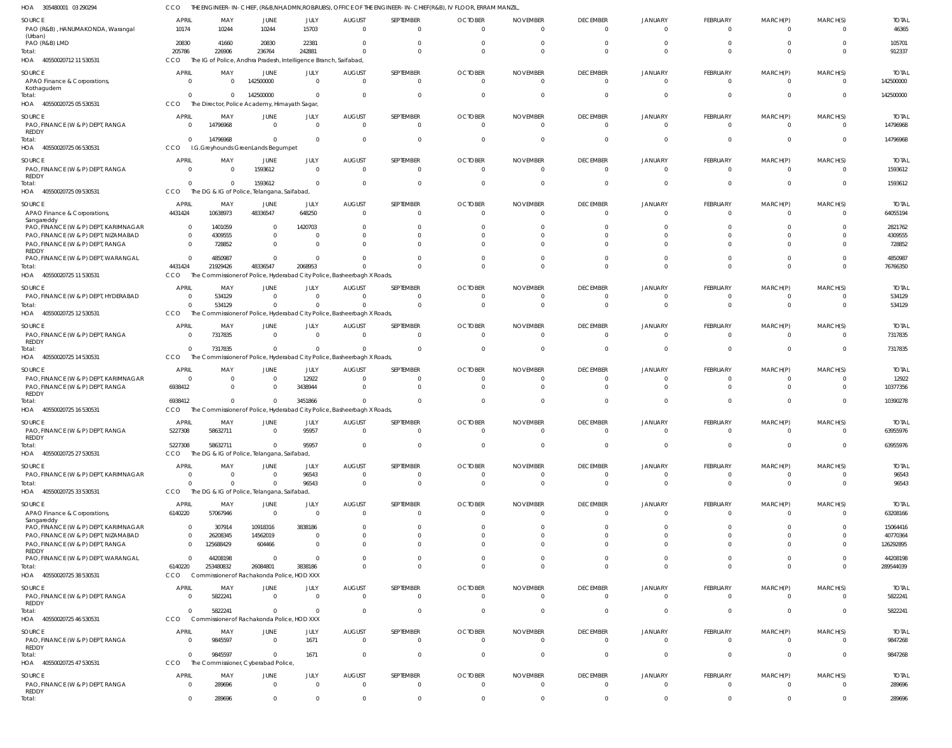305480001 03 290294 HOA 40550020712 11 530531 40550020725 05 530531 40550020725 06 530531 HOA 40550020725 09 530531 HOA 40550020725 11 530531 HOA 40550020725 12 530531 40550020725 14 530531 HOA 40550020725 16 530531 HOA 40550020725 27 530531 40550020725 33 530531 HOA 40550020725 38 530531 40550020725 46 530531 40550020725 47 530531 HOA HOA HOA HOA HOA HOA HOA THE ENGINEER-IN-CHIEF, (R&B,NH,ADMN,ROB/RUBS), OFFICE OF THE ENGINEER-IN-CHIEF(R&B), IV FLOOR, ERRAM MANZIL, The IG of Police, Andhra Pradesh, Intelligence Branch, Saifabad, The Director, Police Academy, Himayath Sagar, I.G.Greyhounds GreenLands Begumpet The DG & IG of Police, Telangana, Saifabad, The Commissioner of Police, Hyderabad City Police, Basheerbagh X Roads, The Commissioner of Police, Hyderabad City Police, Basheerbagh X Roads, The Commissioner of Police, Hyderabad City Police, Basheerbagh X Roads, The Commissioner of Police, Hyderabad City Police, Basheerbagh X Roads, The DG & IG of Police, Telangana, Saifabad, The DG & IG of Police, Telangana, Saifabad, Commissioner of Rachakonda Police, HOD XXX Commissioner of Rachakonda Police, HOD XXX The Commissioner, Cyberabad Police, CCO CCO **CCO CCO CCO** CCO **CCO** C<sub>CO</sub> CCO CCO CCO **CCO** CCO **CCO** 205786 0 0  $\Omega$ 4431424  $\Omega$ 0 6938412 5227308 0 6140220  $\Omega$ 0 0 226906 0 14796968 0 21929426 534129 7317835 0 58632711  $\,$  0  $\,$ 253480832 5822241 9845597 289696 236764 142500000 0 1593612 48336547  $\Omega$ 0 0  $\Omega$ 0 26084801  $\Omega$ 0 0 242881 0 0  $\Omega$ 2068953  $\Omega$ 0 3451866 95957 96543 3838186 0 1671 0  $\Omega$ 0 0  $\Omega$ 0  $\Omega$ 0 0  $\theta$ 0  $\Omega$  $\Omega$  $\,$  0  $\,$ 0 0 0 0  $\Omega$ 0  $\Omega$ 0 0 0 0 0 0 0 0  $\Omega$ 0 0  $\Omega$ 0  $\Omega$ 0 0 0 0 0 0 0 0  $\bigcap$ 0 0  $\Omega$ 0  $\Omega$ 0 0  $\theta$ 0 0 0 0 0  $\Omega$ 0 0  $\Omega$ 0  $\Omega$ 0 0  $\theta$ 0 0 0 0 0  $\mathfrak{g}$ 0 0  $\Omega$ 0  $\Omega$ 0  $\mathfrak{c}$  $\theta$ 0  $\Omega$ 0 0 0  $\bigcap$ 0 0  $\Omega$ 0  $\Omega$ 0 0 0 0 0 0 0 0 0 0 0  $\Omega$ 0  $\Omega$ 0 0 0 0 0 0  $\,$  0  $\,$ 0  $\bigcap$ 0 0  $\Omega$ 0  $\Omega$ 0 0  $\theta$ 0 0  $\Omega$ 0 0 912337 142500000 14796968 1593612 76766350 534129 7317835 10390278 63955976 96543 289544039 5822241 9847268 289696 PAO (R&B) , HANUMAKONDA, Warangal (Urban) PAO (R&B) LMD APAO Finance & Corporations, Kothagudem PAO, FINANCE (W & P) DEPT, RANGA REDDY PAO, FINANCE (W & P) DEPT, RANGA REDDY APAO Finance & Corporations, Sangareddy PAO, FINANCE (W & P) DEPT, KARIMNAGAR PAO, FINANCE (W & P) DEPT, NIZAMABAD PAO, FINANCE (W & P) DEPT, RANGA REDDY PAO, FINANCE (W & P) DEPT, WARANGAL PAO, FINANCE (W & P) DEPT, HYDERABAD PAO, FINANCE (W & P) DEPT, RANGA REDDY PAO, FINANCE (W & P) DEPT, KARIMNAGAR PAO, FINANCE (W & P) DEPT, RANGA REDDY PAO, FINANCE (W & P) DEPT, RANGA REDDY PAO, FINANCE (W & P) DEPT, KARIMNAGAR APAO Finance & Corporations, Sangareddy PAO, FINANCE (W & P) DEPT, KARIMNAGAR PAO, FINANCE (W & P) DEPT, NIZAMABAD PAO, FINANCE (W & P) DEPT, RANGA REDDY PAO, FINANCE (W & P) DEPT, WARANGAL PAO, FINANCE (W & P) DEPT, RANGA REDDY PAO, FINANCE (W & P) DEPT, RANGA REDDY PAO, FINANCE (W & P) DEPT, RANGA REDDY SOURCE **SOURCE SOURCE** SOURCE **SOURCE** SOURCE SOURCE SOURCE SOURCE SOURCE SOURCE **SOURCE SOURCE** SOURCE 10174 20830  $\Omega$ 0 0 4431424  $\Omega$  $\Omega$ 0  $\Omega$ 0 0  $\mathfrak{c}$ 6938412 5227308 0 6140220 0 0  $\Omega$ 0  $\Omega$ 0 0 APRIL APRIL APRIL APRIL APRIL APRIL **APRIL** APRIL **APRIL** APRIL **APRIL** APRIL APRIL APRIL 10244 41660  $\Omega$ 14796968 0 10638973 1401059 4309555 728852 4850987 534129 7317835 0 0 58632711 0 57067946 307914 26208345 125688429 44208198 5822241 9845597 289696 MAY MAY MAY MAY MAY MAY MAY MAY MAY MAY MAY MAY MAY MAY 10244 20830 142500000 0 1593612 48336547  $\Omega$  $\Omega$ 0  $\Omega$ 0 0 0 0 0 0 0 10918316 14562019 604466 0  $\Omega$ 0 0 JUNE JUNE JUNE **JUNE** JUNE JUNE JUNE **JUNE** JUNE JUNE JUNE JUNE **JUNE** JUNE 15703 22381  $\Omega$ 0 0 648250 1420703 0 0  $\bigcap$ 0 0 12922 3438944 95957 96543 0 3838186 0 0 0 0 1671 0 JULY JULY JULY JULY JULY JULY JULY JULY JULY JULY JULY JULY JULY JULY 0 0 0 0 0 0  $\Omega$  $\Omega$ 0  $\Omega$ 0 0 0 0 0  $\Omega$ 0 0 0  $\Omega$ 0  $\Omega$ 0 0 AUGUST AUGUST AUGUST **AUGUST** AUGUST **AUGUST** AUGUST AUGUST AUGUST AUGUST AUGUST AUGUST AUGUST AUGUST 0  $\Omega$  $\Omega$  $\Omega$ 0  $\Omega$ 0  $\Omega$ 0  $\bigcap$ 0 0 0  $\Omega$ 0 0 0 0 0 0 0 0 0 0 SEPTEMBER SEPTEMBER SEPTEMBER **SEPTEMBER** SEPTEMBER **SEPTEMBER** SEPTEMBER **SEPTEMBER** SEPTEMBER SEPTEMBER SEPTEMBER SEPTEMBER SEPTEMBER SEPTEMBER  $\Omega$  $\Omega$  $\Omega$ 0 0  $\Omega$ 0  $\Omega$ 0  $\Omega$ 0 0 0 0 0 0 0  $\Omega$ 0  $\Omega$ 0 0 0 0 **OCTOBER** OCTOBER OCTOBER OCTOBER OCTOBER **OCTOBER** OCTOBER **OCTOBER** OCTOBER OCTOBER **OCTOBER** OCTOBER **OCTOBER** OCTOBER  $\Omega$  $\Omega$  $\Omega$ 0 0  $\Omega$  $\Omega$  $\Omega$ 0  $\Omega$ 0 0 0 0 0  $\Omega$ 0  $\Omega$ 0  $\Omega$ 0  $\Omega$ 0  $\Omega$ NOVEMBER NOVEMBER NOVEMBER NOVEMBER NOVEMBER NOVEMBER NOVEMBER NOVEMBER NOVEMBER NOVEMBER NOVEMBER NOVEMBER NOVEMBER NOVEMBER  $\Omega$  $\Omega$  $\Omega$ 0 0  $\Omega$  $\Omega$  $\Omega$ 0  $\bigcap$ 0 0 0 0 0 0 0  $\theta$ 0 0 0  $\Omega$ 0 0 DECEMBER DECEMBER DECEMBER **DECEMBER** DECEMBER **DECEMBER** DECEMBER **DECEMBER** DECEMBER DECEMBER **DECEMBER** DECEMBER **DECEMBER** DECEMBER 0  $\mathbf{C}$  $\Omega$ 0 0  $\Omega$  $\mathfrak{g}$  $\Omega$ 0 0 0 0 0 0 0 0 0  $\theta$ 0  $\Omega$ 0 0 0 0 JANUARY JANUARY JANUARY JANUARY JANUARY JANUARY JANUARY JANUARY JANUARY JANUARY JANUARY JANUARY JANUARY JANUARY 0  $\Omega$  $\Omega$ 0 0  $\Omega$  $\Omega$  $\Omega$ 0  $\Omega$ 0 0 0 0 0 0 0  $\Omega$ 0  $\Omega$ 0 0 0 0 FEBRUARY FEBRUARY FEBRUARY FEBRUARY FEBRUARY FEBRUARY FEBRUARY FEBRUARY FEBRUARY FEBRUARY FEBRUARY FEBRUARY FEBRUARY FEBRUARY  $\Omega$ 0  $\Omega$ 0 0  $\Omega$  $\Omega$  $\Omega$ 0  $\Omega$ 0 0 0 0 0 0 0 0 0  $\Omega$ 0 0 0 0 MARCH(P) MARCH(P) MARCH(P) MARCH(P) MARCH(P) MARCH(P) MARCH(P) MARCH(P) MARCH(P) MARCH(P) MARCH(P) MARCH(P) MARCH(P) MARCH(P)  $\Omega$  $\Omega$  $\Omega$  $^{\circ}$ 0  $\bigcap$  $\Omega$  $\Omega$ 0  $\bigcap$ 0  $\Omega$ 0 0 0 0 0  $\theta$ 0 0 0  $\cap$ 0 0 MARCH(S) MARCH(S) MARCH(S) MARCH(S) MARCH(S) MARCH(S) MARCH(S) MARCH(S) MARCH(S) MARCH(S) MARCH(S) MARCH(S) MARCH(S) MARCH(S) 46365 105701 142500000 14796968 1593612 64055194 2821762 4309555 728852 4850987 534129 7317835 12922 10377356 63955976 96543 63208166 15064416 40770364 126292895 44208198 5822241 9847268 289696 TOTAL TOTAL TOTAL TOTAL TOTAL TOTAL TOTAL TOTAL TOTAL TOTAL TOTAL TOTAL TOTAL TOTAL Total: Total: Total: Total: Total: Total: Total: Total: Total: Total: Total: Total: Total: Total: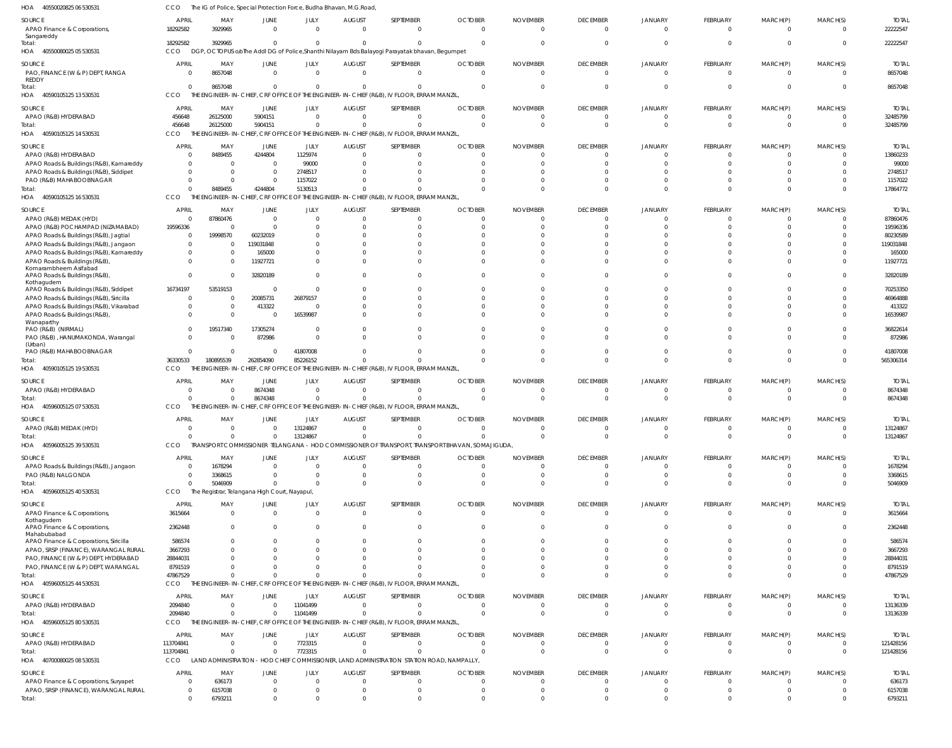40550080025 05 530531 40590105125 13 530531 40590105125 14 530531 40590105125 16 530531 HOA 40590105125 19 530531 40596005125 07 530531 40596005125 39 530531 40596005125 40 530531 HOA 40596005125 44 530531 HOA 40596005125 80 530531 HOA HOA HOA HOA HOA HOA HOA DGP, OCTOPUS o/oThe Addl DG of Police,Shanthi Nilayam Bds Balayogi Parayatak bhavan, Begumpet THE ENGINEER-IN-CHIEF, CRF OFFICE OF THE ENGINEER-IN-CHIEF (R&B), IV FLOOR, ERRAM MANZIL, THE ENGINEER-IN-CHIEF, CRF OFFICE OF THE ENGINEER-IN-CHIEF (R&B), IV FLOOR, ERRAM MANZIL, THE ENGINEER-IN-CHIEF, CRF OFFICE OF THE ENGINEER-IN-CHIEF (R&B), IV FLOOR, ERRAM MANZIL, THE ENGINEER-IN-CHIEF, CRF OFFICE OF THE ENGINEER-IN-CHIEF (R&B), IV FLOOR, ERRAM MANZIL, THE ENGINEER-IN-CHIEF, CRF OFFICE OF THE ENGINEER-IN-CHIEF (R&B), IV FLOOR, ERRAM MANZIL, TRANSPORT COMMISSIONER TELANGANA - HOD COMMISSIONER OF TRANSPORT, TRANSPORT BHAVAN, SOMAJIGUDA, The Registrar, Telangana High Court, Nayapul, THE ENGINEER-IN-CHIEF, CRF OFFICE OF THE ENGINEER-IN-CHIEF (R&B), IV FLOOR, ERRAM MANZIL, THE ENGINEER-IN-CHIEF, CRF OFFICE OF THE ENGINEER-IN-CHIEF (R&B), IV FLOOR, ERRAM MANZIL, CCO **CCO** CCO CCO **CCO CCO CCO** CCO. CCO CCO 18292582 0 456648 0 36330533  $\Omega$  $\Omega$ 0 47867529 2094840 3929965 8657048 26125000 8489455 180895539 0 0 5046909 0 0 0 0 5904151 4244804 262854090 8674348 0 0 0 0  $\Omega$  $\Omega$ 0 5130513 85226152 0 13124867 0 0 11041499 0 0 0 0  $\Omega$ 0 0 0 0 0 0  $\Omega$  $\Omega$  $\Omega$  $\Omega$  $\Omega$  $\Omega$ 0 0  $\Omega$  $\Omega$  $\Omega$ 0 0  $\Omega$ 0  $\Omega$ 0 0  $\Omega$  $\Omega$  $\Omega$  $\Omega$ 0  $\Omega$ 0  $\Omega$ 0 0 0 0 0  $\Omega$ 0  $\Omega$ 0  $\Omega$ 0 0 0 0 0 0 0  $\Omega$ 0 0 0 0 0  $\Omega$ 0  $\Omega$  $\Omega$  $\sqrt{2}$ 0  $\Omega$ 0 0  $\Omega$ 0 0 0 0  $\Omega$ 0 0 0 0 0  $\Omega$  $\Omega$  $\Omega$ 0  $\Omega$ 0  $\Omega$ 0 0 0 Sangareddy PAO, FINANCE (W & P) DEPT, RANGA REDDY APAO (R&B) HYDERABAD APAO (R&B) HYDERABAD APAO Roads & Buildings (R&B), Kamareddy APAO Roads & Buildings (R&B), Siddipet PAO (R&B) MAHABOOBNAGAR APAO (R&B) MEDAK (HYD) APAO (R&B) POCHAMPAD (NIZAMABAD) APAO Roads & Buildings (R&B), Jagtial APAO Roads & Buildings (R&B), Jangaon APAO Roads & Buildings (R&B), Kamareddy APAO Roads & Buildings (R&B), Komarambheem Asifabad APAO Roads & Buildings (R&B), Kothagudem APAO Roads & Buildings (R&B), Siddipet APAO Roads & Buildings (R&B), Siricilla APAO Roads & Buildings (R&B), Vikarabad APAO Roads & Buildings (R&B), Wanaparthy PAO (R&B) (NIRMAL) PAO (R&B) , HANUMAKONDA, Warangal (Urban) PAO (R&B) MAHABOOBNAGAR APAO (R&B) HYDERABAD APAO (R&B) MEDAK (HYD) APAO Roads & Buildings (R&B), Jangaon PAO (R&B) NALGONDA APAO Finance & Corporations, Kothagudem APAO Finance & Corporations, Mahabubabad APAO Finance & Corporations, Siricilla APAO, SRSP (FINANCE), WARANGAL RURAL PAO, FINANCE (W & P) DEPT, HYDERABAD PAO, FINANCE (W & P) DEPT, WARANGAL APAO (R&B) HYDERABAD APAO (R&B) HYDERABAD SOURCE SOURCE SOURCE SOURCE SOURCE SOURCE SOURCE **SOURCE** SOURCE SOURCE 0 456648 0  $\Omega$ 0  $\Omega$ 0 19596336  $\Omega$ 0  $\Omega$ 0  $\Omega$ 16734197  $\Omega$ 0  $\Omega$ 0  $\Omega$  $\Omega$  $\Omega$ 0 0  $\Omega$ 3615664 2362448 586574 3667293 28844031 8791519 2094840 113704841 **APRIL** APRIL **APRIL** APRIL APRIL APRIL APRIL APRIL APRIL APRIL 8657048 26125000 8489455 0 0  $\Omega$ 87860476  $\Omega$ 19998570 0  $\Omega$ 0 0 53519153 0 0 0 19517340 0 0 0 0 1678294 3368615 0  $\Omega$ 0  $\Omega$ 0 0 0 0 MAY MAY MAY MAY MAY MAY MAY MAY MAY MAY 0 5904151 4244804 0 0  $\Omega$ 0  $\Omega$ 60232019 119031848 165000 11927721 32820189 0 20085731 413322  $\Omega$ 17305274 872986 0 8674348 0 0  $\Omega$ 0 0  $\Omega$  $\Omega$ 0  $\Omega$ 0 0 JUNE JUNE JUNE JUNE JUNE **JUNE** JUNE **JUNE** JUNE JUNE  $\Omega$ 0 1125974 99000 2748517 1157022  $\Omega$  $\Omega$  $\Omega$ 0  $\Omega$ 0  $\Omega$ 0 26879157 0 16539987 0  $\sqrt{2}$ 41807008 0 13124867  $\Omega$  $\Omega$ 0  $\Omega$ 0 0 0  $\Omega$ 11041499 7723315 JULY JULY JULY JULY JULY JULY JULY JULY JULY JULY 0 0 0  $\Omega$ 0  $\Omega$ 0 0  $\Omega$ 0  $\Omega$ 0  $\Omega$ 0  $\Omega$ 0  $\Omega$ 0  $\Omega$  $\Omega$  $\Omega$ 0 0  $\Omega$ 0 0 0  $\Omega$ 0  $\Omega$ 0 0 AUGUST **AUGUST** AUGUST AUGUST AUGUST **AUGUST** AUGUST AUGUST **AUGUST** AUGUST  $\Omega$ 0 0  $\bigcap$ 0  $\bigcap$  $\Omega$ 0  $\Omega$ 0  $\Omega$ 0  $\Omega$  $\Omega$  $\Omega$ 0  $\Omega$ 0  $\Omega$ 0  $\Omega$ 0  $\Omega$  $\Omega$ 0  $\Omega$ 0 0 0  $\Omega$ 0 0 SEPTEMBER SEPTEMBER SEPTEMBER SEPTEMBER SEPTEMBER **SEPTEMBER** SEPTEMBER **SEPTEMBER** SEPTEMBER SEPTEMBER  $\Omega$ 0  $\Omega$  $\Omega$ 0  $\Omega$ 0 0  $\Omega$ 0  $\Omega$ 0  $\Omega$  $\Omega$  $\Omega$ 0  $\Omega$ 0  $\Omega$  $\Omega$  $\Omega$ 0  $\Omega$  $\Omega$ 0  $\Omega$ 0  $\Omega$ 0 0 0 0 **OCTOBER** OCTOBER **OCTOBER OCTOBER OCTOBER** OCTOBER OCTOBER **OCTOBER** OCTOBER OCTOBER  $\Omega$ 0  $\Omega$  $\Omega$ 0  $\Omega$ 0 0  $\Omega$ 0  $\Omega$ 0  $\Omega$  $\Omega$  $\sqrt{2}$ 0  $\Omega$ 0  $\Omega$  $\Omega$  $\Omega$ 0 0  $\Omega$ 0  $\Omega$ 0 0 0 0 0 0 NOVEMBER NOVEMBER NOVEMBER NOVEMBER NOVEMBER NOVEMBER NOVEMBER NOVEMBER NOVEMBER NOVEMBER  $\Omega$ 0  $\Omega$  $\Omega$ 0  $\Omega$ 0  $\Omega$  $\Omega$ 0  $\Omega$ 0  $\Omega$  $\Omega$  $\Omega$ 0  $\Omega$ 0  $\Omega$  $\Omega$  $\Omega$ 0  $\Omega$  $\Omega$ 0 0 0  $\Omega$ 0 0 0  $\Omega$ DECEMBER **DECEMBER** DECEMBER DECEMBER DECEMBER **DECEMBER** DECEMBER **DECEMBER DECEMBER** DECEMBER 0 0 0 0 0  $\Omega$ 0  $\Omega$  $\Omega$ 0  $\Omega$ 0  $\Omega$  $\Omega$  $\Omega$ 0  $\Omega$ 0  $\Omega$  $\mathfrak{g}$  $\Omega$ 0  $\Omega$  $\Omega$ 0 0 0  $\sqrt{2}$ 0  $\Omega$ 0  $\Omega$ JANUARY JANUARY JANUARY JANUARY JANUARY JANUARY JANUARY JANUARY JANUARY JANUARY  $\Omega$ 0  $\Omega$  $\Omega$ 0  $\Omega$  $\Omega$  $\Omega$  $\Omega$ 0  $\Omega$ 0  $\bigcap$ 0 0 0  $\Omega$ 0  $\sqrt{2}$ 0  $\Omega$ 0  $\Omega$  $\Omega$ 0  $\Omega$ 0 0 0 0 0 0 FEBRUARY FEBRUARY FEBRUARY FEBRUARY FEBRUARY FEBRUARY FEBRUARY FEBRUARY FEBRUARY FEBRUARY 0 0  $\Omega$ 0 0  $\Omega$ 0 0  $\Omega$ 0  $\Omega$ 0  $\Omega$  $\Omega$  $\Omega$ 0  $\Omega$ 0  $\Omega$  $\Omega$  $\Omega$ 0  $\Omega$  $\Omega$ 0 0 0  $\Omega$ 0 0 0  $\Omega$ MARCH(P) MARCH(P) MARCH(P) MARCH(P) MARCH(P) MARCH(P) MARCH(P) MARCH(P) MARCH(P) MARCH(P) 0 0  $\Omega$  $\Omega$ 0  $\Omega$  $\Omega$  $\Omega$  $\Omega$ 0  $\Omega$ 0  $\Omega$  $\Omega$  $\cap$ 0  $\Omega$ 0  $\Omega$ 0  $\Omega$ 0  $\Omega$  $\Omega$ 0  $\Omega$  $\Omega$ 0 0 0 0 0 MARCH(S) MARCH(S) MARCH(S) MARCH(S) MARCH(S) MARCH(S) MARCH(S) MARCH(S) MARCH(S) MARCH(S) Total: Total: Total: Total: Total: Total: Total: Total: Total: Total:

The IG of Police, Special Protection Force, Budha Bhavan, M.G.Road,

 $\Omega$ 

0

 $\Omega$ 

0

 $\Omega$ 

 $\Omega$ 

0

 $\Omega$ 

 $\Omega$ 

MARCH(P)

FEBRUARY

JANUARY

DECEMBER

NOVEMBER

OCTOBER

SEPTEMBER

AUGUST

JULY

0

JUNE

CCO

18292582

APRIL

3929965

MAY

LAND ADMINISTRATION - HOD CHIEF COMMISSIONER, LAND ADMINISTRATION STATION ROAD, NAMPALLY, CCO

 $\mathbf{0}$ 

0

0

0

0

0

0

0

0

22222547

22222547

TOTAL

 $\Omega$ 

MARCH(S)

8657048

8657048

TOTAL

32485799

TOTAL

32485799

TOTAL

17864772

TOTAL

565306314

8674348

8674348

TOTAL

13124867

13124867

TOTAL

5046909

TOTAL

1678294 3368615

TOTAL

47867529

13136339

13136339

TOTAL

121428156

121428156

TOTAL

6793211

636173 6157038

TOTAL

0

 $\bigcap$ 0

MARCH(S)

0

 $\Omega$ 0

MARCH(P)

0

 $\sqrt{2}$ 0

FEBRUARY

0

 $\Omega$ 0

JANUARY

0

 $\Omega$ 0

DECEMBER

0

 $\sqrt{2}$ 0

NOVEMBER

0

 $\Omega$ 0

**OCTOBER** 

0

 $\Omega$ 0

SEPTEMBER

0

0 0

AUGUST

0

0 0

JULY

7723315

40550020825 06 530531 HOA

SOURCE

APAO Finance & Corporations,

40700080025 08 530531 HOA

**SOURCE** 

Total:

Total:

APAO Finance & Corporations, Suryapet APAO, SRSP (FINANCE), WARANGAL RURAL 113704841

0

0 0

APRIL

0

 $\Omega$ 

0

0 0

JUNE

6793211

636173 6157038

MAY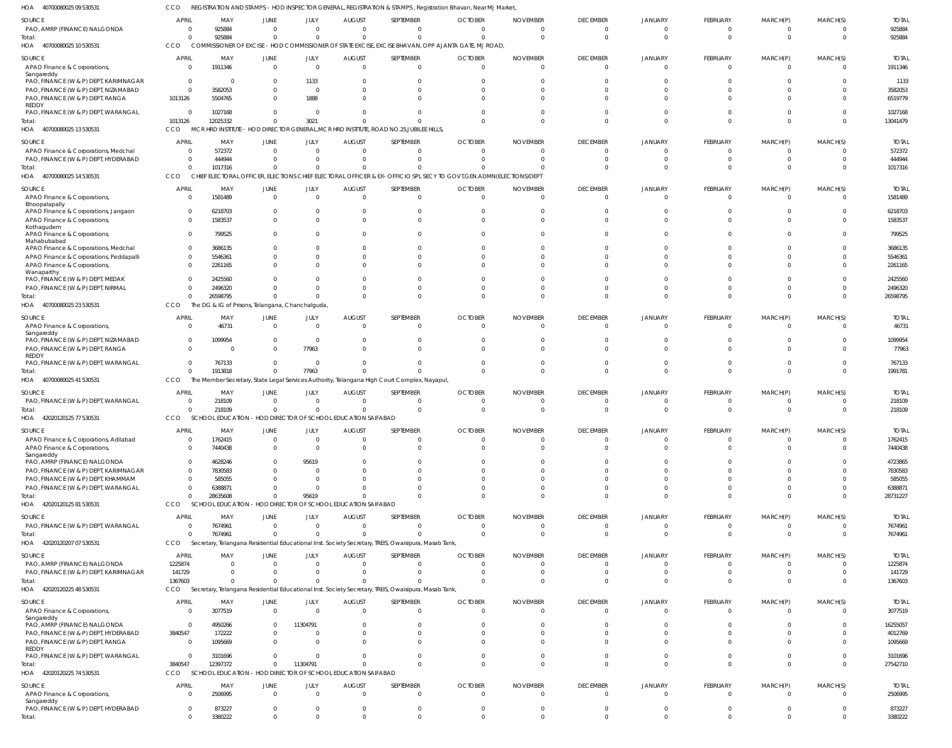| 40700080025 09 530531<br>HOA                                                 | CCO                        |                                                                        |                               |                        |                           |                                                                                                      | REGISTRATION AND STAMPS - HOD INSPECTOR GENERAL, REGISTRATION & STAMPS, Registration Bhavan, Near MJ Market,       |                                   |                                   |                                  |                      |                      |                            |                         |
|------------------------------------------------------------------------------|----------------------------|------------------------------------------------------------------------|-------------------------------|------------------------|---------------------------|------------------------------------------------------------------------------------------------------|--------------------------------------------------------------------------------------------------------------------|-----------------------------------|-----------------------------------|----------------------------------|----------------------|----------------------|----------------------------|-------------------------|
| SOURCE<br>PAO, AMRP (FINANCE) NALGONDA                                       | <b>APRIL</b><br>- 0        | MAY<br>925884                                                          | JUNE<br>$\Omega$              | JULY<br>$\Omega$       | <b>AUGUST</b><br>$\Omega$ | SEPTEMBER<br>$\Omega$                                                                                | <b>OCTOBER</b><br>$\Omega$                                                                                         | <b>NOVEMBER</b><br>$\overline{0}$ | <b>DECEMBER</b><br>$\overline{0}$ | <b>JANUARY</b><br>$\Omega$       | FEBRUARY<br>$\Omega$ | MARCH(P)<br>$\Omega$ | MARCH(S)<br>$\Omega$       | <b>TOTAL</b><br>925884  |
| Total:<br>HOA 40700080025 10 530531                                          | $\Omega$<br><b>CCO</b>     | 925884                                                                 | $\Omega$                      | $\Omega$               | $\Omega$                  | $\Omega$                                                                                             | $\Omega$<br>COMMISSIONER OF EXCISE - HOD COMMISSIONER OF STATE EXCISE, EXCISE BHAVAN, OPP AJANTA GATE, MJ ROAD,    | $\Omega$                          | $\Omega$                          | $\Omega$                         | $\Omega$             | $\Omega$             | $\Omega$                   | 925884                  |
| SOURCE                                                                       | <b>APRIL</b>               | MAY                                                                    | JUNE                          | JULY                   | <b>AUGUST</b>             | SEPTEMBER                                                                                            | <b>OCTOBER</b>                                                                                                     | <b>NOVEMBER</b>                   | <b>DECEMBER</b>                   | <b>JANUARY</b>                   | FEBRUARY             | MARCH(P)             | MARCH(S)                   | <b>TOTAL</b>            |
| APAO Finance & Corporations,<br>Sangareddy                                   | - 0                        | 1911346                                                                | $\Omega$                      | $\overline{0}$         | $\Omega$                  | $\Omega$                                                                                             | $\Omega$                                                                                                           | $\Omega$                          | $\Omega$                          | $\Omega$                         | $\Omega$             | $\Omega$             | $\Omega$                   | 1911346                 |
| PAO, FINANCE (W & P) DEPT, KARIMNAGAR                                        | $\overline{0}$             | - 0                                                                    |                               | 1133                   |                           |                                                                                                      |                                                                                                                    |                                   | -C                                |                                  |                      |                      |                            | 1133                    |
| PAO, FINANCE (W & P) DEPT, NIZAMABAD<br>PAO, FINANCE (W & P) DEPT, RANGA     | $\overline{0}$<br>1013126  | 3582053<br>5504765                                                     | $\Omega$                      | $\Omega$<br>1888       |                           |                                                                                                      |                                                                                                                    |                                   | $\Omega$<br>$\Omega$              | $\Omega$                         | $\Omega$             | $\Omega$             | $\Omega$<br>$\Omega$       | 3582053<br>6519779      |
| <b>REDDY</b>                                                                 |                            |                                                                        |                               |                        |                           |                                                                                                      |                                                                                                                    |                                   |                                   |                                  |                      |                      |                            |                         |
| PAO, FINANCE (W & P) DEPT, WARANGAL<br>Total:                                | $\overline{0}$<br>1013126  | 1027168<br>12025332                                                    | $\Omega$<br>$\Omega$          | $\Omega$<br>3021       |                           |                                                                                                      |                                                                                                                    |                                   | $\Omega$<br>$\Omega$              | C                                | $\Omega$             | $\Omega$             | $\Omega$<br>$\Omega$       | 1027168<br>13041479     |
| HOA 40700080025 13 530531                                                    | CCO                        |                                                                        |                               |                        |                           | MCR HRD INSTITUTE - HOD DIRECTOR GENERAL, MCR HRD INSTITUTE, ROAD NO.25, JUBILEE HILLS,              |                                                                                                                    |                                   |                                   |                                  |                      |                      |                            |                         |
| SOURCE                                                                       | <b>APRIL</b>               | MAY                                                                    | JUNE                          | JULY                   | <b>AUGUST</b>             | SEPTEMBER                                                                                            | <b>OCTOBER</b>                                                                                                     | <b>NOVEMBER</b>                   | <b>DECEMBER</b>                   | JANUARY                          | FEBRUARY             | MARCH(P)             | MARCH(S)                   | <b>TOTAL</b>            |
| APAO Finance & Corporations, Medchal<br>PAO, FINANCE (W & P) DEPT, HYDERABAD | - 0<br>- 0                 | 572372<br>444944                                                       | $\Omega$<br>$\Omega$          | $\Omega$<br>$\Omega$   | $\Omega$<br>$\Omega$      | $\Omega$<br>$\Omega$                                                                                 | $\Omega$<br>$\Omega$                                                                                               | $\Omega$<br>$\Omega$              | $\Omega$<br>$\Omega$              | $\Omega$<br>$\Omega$             | $\Omega$<br>$\Omega$ | $\Omega$<br>$\Omega$ | $\Omega$<br>$\Omega$       | 572372<br>444944        |
| Total:                                                                       | $\Omega$                   | 1017316                                                                | $\Omega$                      | $\Omega$               |                           |                                                                                                      |                                                                                                                    |                                   | $\Omega$                          | C                                | $\Omega$             | $\Omega$             | $\Omega$                   | 1017316                 |
| HOA 40700080025 14 530531                                                    | CCO                        |                                                                        |                               |                        |                           |                                                                                                      | CHIEF ELECTORAL OFFICER, ELECTIONS CHIEF ELECTORAL OFFICER & EX-OFFICIO SPL SECY TO GOVT, GEN.ADMN(ELECTIONS) DEPT |                                   |                                   |                                  |                      |                      |                            |                         |
| SOURCE                                                                       | <b>APRIL</b>               | MAY                                                                    | JUNE                          | JULY                   | <b>AUGUST</b>             | SEPTEMBER                                                                                            | <b>OCTOBER</b>                                                                                                     | <b>NOVEMBER</b>                   | <b>DECEMBER</b>                   | <b>JANUARY</b>                   | FEBRUARY             | MARCH(P)             | MARCH(S)                   | <b>TOTAL</b>            |
| APAO Finance & Corporations,<br>Bhoopalapally                                | $\Omega$                   | 1581489                                                                | $\Omega$                      | $\Omega$               | $\Omega$                  | $\Omega$                                                                                             | $\Omega$                                                                                                           | $\Omega$                          | $\Omega$                          | $\Omega$                         | $\Omega$             | $\Omega$             | $\Omega$                   | 1581489                 |
| APAO Finance & Corporations, Jangaon                                         | $\Omega$                   | 6218703                                                                |                               | $\Omega$               |                           |                                                                                                      |                                                                                                                    |                                   | C                                 |                                  |                      |                      |                            | 6218703                 |
| APAO Finance & Corporations,<br>Kothagudem                                   | $\Omega$                   | 1583537                                                                | <sup>0</sup>                  | $\Omega$               |                           |                                                                                                      |                                                                                                                    |                                   | $\Omega$                          | $\Omega$                         | $\Omega$             | $\Omega$             | $\Omega$                   | 1583537                 |
| APAO Finance & Corporations,<br>Mahabubabad                                  | $\Omega$                   | 799525                                                                 |                               |                        |                           |                                                                                                      |                                                                                                                    |                                   | $\Omega$                          |                                  |                      |                      | $\Omega$                   | 799525                  |
| APAO Finance & Corporations, Medchal                                         | $\Omega$                   | 3686135                                                                |                               | n                      |                           |                                                                                                      |                                                                                                                    |                                   | $\Omega$                          |                                  |                      |                      | $\Omega$                   | 3686135                 |
| APAO Finance & Corporations, Peddapalli<br>APAO Finance & Corporations,      | -0<br>$\Omega$             | 5546361<br>2261165                                                     |                               |                        |                           |                                                                                                      |                                                                                                                    |                                   | -C<br>$\Omega$                    |                                  |                      |                      | $\Omega$                   | 5546361<br>2261165      |
| Wanaparthy                                                                   |                            |                                                                        |                               |                        |                           |                                                                                                      |                                                                                                                    |                                   |                                   |                                  |                      |                      |                            |                         |
| PAO, FINANCE (W & P) DEPT, MEDAK<br>PAO, FINANCE (W & P) DEPT, NIRMAL        | $\Omega$<br>-0             | 2425560<br>2496320                                                     |                               | $\Omega$               |                           |                                                                                                      |                                                                                                                    |                                   | $\Omega$<br>$\Omega$              |                                  | $\Omega$             |                      | $\Omega$<br>$\Omega$       | 2425560<br>2496320      |
| Total:                                                                       | $\Omega$                   | 26598795                                                               |                               | $\Omega$               |                           |                                                                                                      |                                                                                                                    |                                   | $\Omega$                          | $\Omega$                         | $\Omega$             | $\Omega$             | $\Omega$                   | 26598795                |
| HOA 40700080025 23 530531                                                    | CCO                        | The DG & IG of Prisons, Telangana, Chanchalguda,                       |                               |                        |                           |                                                                                                      |                                                                                                                    |                                   |                                   |                                  |                      |                      |                            |                         |
| SOURCE                                                                       | <b>APRIL</b>               | MAY                                                                    | JUNE                          | JULY                   | <b>AUGUST</b>             | SEPTEMBER                                                                                            | <b>OCTOBER</b>                                                                                                     | <b>NOVEMBER</b>                   | <b>DECEMBER</b>                   | JANUARY                          | FEBRUARY             | MARCH(P)             | MARCH(S)                   | <b>TOTAL</b>            |
| APAO Finance & Corporations,<br>Sangareddy                                   | - 0                        | 46731                                                                  | $\Omega$                      | $\overline{0}$         | $\Omega$                  | $\Omega$                                                                                             | $\Omega$                                                                                                           | $\Omega$                          | $\Omega$                          | $\Omega$                         | $\Omega$             | $\Omega$             | $\Omega$                   | 46731                   |
| PAO, FINANCE (W & P) DEPT, NIZAMABAD                                         | $\Omega$<br>$\Omega$       | 1099954                                                                | $\Omega$<br>$\Omega$          | $\Omega$<br>77963      | 0                         |                                                                                                      | 0                                                                                                                  |                                   | $\Omega$<br>$\Omega$              | -C                               | $\Omega$             | $\Omega$             | $\Omega$<br>$\Omega$       | 1099954<br>77963        |
| PAO, FINANCE (W & P) DEPT, RANGA<br>REDDY                                    |                            |                                                                        |                               |                        |                           |                                                                                                      |                                                                                                                    |                                   |                                   |                                  |                      |                      |                            |                         |
| PAO, FINANCE (W & P) DEPT, WARANGAL<br>Total:                                | $\overline{0}$<br>$\Omega$ | 767133<br>1913818                                                      | $\Omega$<br>$\mathbf 0$       | $\Omega$<br>77963      |                           |                                                                                                      |                                                                                                                    |                                   | $\Omega$<br>$\Omega$              | $\Omega$<br>$\Omega$             | $\Omega$<br>$\Omega$ | $\Omega$             | $\Omega$<br>$\Omega$       | 767133<br>1991781       |
| HOA 40700080025 41 530531                                                    | CCO                        |                                                                        |                               |                        |                           | The Member Secretary, State Legal Services Authority, Telangana High Court Complex, Nayapul,         |                                                                                                                    |                                   |                                   |                                  |                      |                      |                            |                         |
| SOURCE                                                                       | <b>APRIL</b>               | MAY                                                                    | JUNE                          | JULY                   | <b>AUGUST</b>             | SEPTEMBER                                                                                            | <b>OCTOBER</b>                                                                                                     | <b>NOVEMBER</b>                   | <b>DECEMBER</b>                   | JANUARY                          | FEBRUARY             | MARCH(P)             | MARCH(S)                   | <b>TOTAL</b>            |
| PAO, FINANCE (W & P) DEPT, WARANGAL                                          | $\Omega$                   | 218109                                                                 | $\Omega$                      | $\overline{0}$         | $\Omega$                  |                                                                                                      |                                                                                                                    | 0                                 | $\Omega$                          | $\Omega$                         | - 0                  |                      | $\Omega$                   | 218109                  |
| Total:<br>HOA 42020120125 77 530531                                          | $\Omega$<br>CCO            | 218109<br>SCHOOL EDUCATION - HOD DIRECTOR OF SCHOOL EDUCATION SAIFABAD | $\Omega$                      | $\Omega$               |                           |                                                                                                      |                                                                                                                    |                                   | $\Omega$                          |                                  | $\Omega$             |                      |                            | 218109                  |
| SOURCE                                                                       | <b>APRIL</b>               | MAY                                                                    | <b>JUNE</b>                   | JULY                   | <b>AUGUST</b>             | SEPTEMBER                                                                                            | <b>OCTOBER</b>                                                                                                     | <b>NOVEMBER</b>                   | <b>DECEMBER</b>                   | <b>JANUARY</b>                   | FEBRUARY             | MARCH(P)             | MARCH(S)                   | <b>TOTAL</b>            |
| APAO Finance & Corporations, Adilabad                                        | $\overline{0}$             | 1762415                                                                | $^{\circ}$                    | $\overline{0}$         | $\overline{0}$            | $\Omega$                                                                                             | $\overline{0}$                                                                                                     | $\Omega$                          | 0                                 | 0                                | $\Omega$             | $\Omega$             | - 0                        | 1762415                 |
| APAO Finance & Corporations,<br>Sangareddy                                   | $\Omega$                   | 7440438                                                                | $\Omega$                      | $\overline{0}$         | $\Omega$                  | $\Omega$                                                                                             | $\Omega$                                                                                                           | $\Omega$                          | $\Omega$                          | $\Omega$                         | $\Omega$             | $\Omega$             | $\Omega$                   | 7440438                 |
| PAO, AMRP (FINANCE) NALGONDA                                                 | 0                          | 4628246                                                                |                               | 95619                  |                           |                                                                                                      |                                                                                                                    |                                   | C                                 |                                  |                      |                      |                            | 4723865                 |
| PAO, FINANCE (W & P) DEPT, KARIMNAGAR<br>PAO, FINANCE (W & P) DEPT, KHAMMAM  | $\Omega$<br>$\Omega$       | 7830583<br>585055                                                      |                               | $\Omega$<br>$\Omega$   |                           |                                                                                                      |                                                                                                                    |                                   | $\Omega$                          | C                                | $\Omega$             |                      | $\Omega$<br>$\Omega$       | 7830583<br>585055       |
| PAO, FINANCE (W & P) DEPT, WARANGAL                                          | $\Omega$                   | 6388871                                                                |                               | $\Omega$               |                           |                                                                                                      |                                                                                                                    |                                   | $\Omega$                          |                                  |                      |                      | $\Omega$                   | 6388871                 |
| Total:                                                                       | $\mathbf 0$                | 28635608                                                               | $\Omega$                      | 95619                  |                           |                                                                                                      |                                                                                                                    |                                   | $\Omega$                          | $\Omega$                         | $\Omega$             | $\Omega$             | $\Omega$                   | 28731227                |
| HOA 42020120125 81 530531                                                    | CCO                        | SCHOOL EDUCATION - HOD DIRECTOR OF SCHOOL EDUCATION SAIFABAD           |                               |                        |                           |                                                                                                      |                                                                                                                    |                                   |                                   |                                  |                      |                      |                            |                         |
| SOURCE<br>PAO, FINANCE (W & P) DEPT, WARANGAL                                | <b>APRIL</b><br>- 0        | MAY<br>7674961                                                         | <b>JUNE</b><br>$\overline{0}$ | JULY<br>$\overline{0}$ | <b>AUGUST</b><br>$\Omega$ | SEPTEMBER<br>$\Omega$                                                                                | <b>OCTOBER</b>                                                                                                     | <b>NOVEMBER</b><br>$\Omega$       | <b>DECEMBER</b><br>0              | <b>JANUARY</b><br>0              | FEBRUARY<br>$\Omega$ | MARCH(P)<br>- 0      | MARCH(S)<br>$^{\circ}$     | <b>TOTAL</b><br>7674961 |
| Total:                                                                       | $\Omega$                   | 7674961                                                                | $\Omega$                      | $\Omega$               | $\Omega$                  | $\Omega$                                                                                             |                                                                                                                    | $\Omega$                          | $\overline{0}$                    | $\Omega$                         | $\Omega$             | $\Omega$             | $\overline{0}$             | 7674961                 |
| HOA 42020120207 07 530531                                                    | CCO                        |                                                                        |                               |                        |                           | Secretary, Telangana Residential Educational Inst. Society Secretary, TREIS, Owaisipura, Masab Tank, |                                                                                                                    |                                   |                                   |                                  |                      |                      |                            |                         |
| SOURCE                                                                       | <b>APRIL</b>               | MAY                                                                    | <b>JUNE</b>                   | JULY                   | <b>AUGUST</b>             | SEPTEMBER                                                                                            | <b>OCTOBER</b>                                                                                                     | <b>NOVEMBER</b>                   | <b>DECEMBER</b>                   | JANUARY                          | FEBRUARY             | MARCH(P)             | MARCH(S)                   | <b>TOTAL</b>            |
| PAO, AMRP (FINANCE) NALGONDA<br>PAO, FINANCE (W & P) DEPT, KARIMNAGAR        | 1225874<br>141729          | $\Omega$                                                               | $\Omega$                      | $\Omega$<br>$\Omega$   | $\Omega$<br>$\Omega$      | $\Omega$                                                                                             | $\Omega$<br>$\Omega$                                                                                               | $\Omega$                          | 0<br>$\overline{0}$               | $\mathbf 0$<br>0                 | $\Omega$<br>$\Omega$ | $\Omega$<br>$\Omega$ | $\Omega$<br>$\overline{0}$ | 1225874<br>141729       |
| Total:                                                                       | 1367603                    | $\Omega$                                                               | $\Omega$                      | $\Omega$               | $\Omega$                  | $\Omega$                                                                                             |                                                                                                                    |                                   | $\Omega$                          | $\Omega$                         | $\Omega$             | $\Omega$             | $\Omega$                   | 1367603                 |
| HOA 42020120225 48 530531                                                    | CCO                        |                                                                        |                               |                        |                           | Secretary, Telangana Residential Educational Inst. Society Secretary, TREIS, Owaisipura, Masab Tank, |                                                                                                                    |                                   |                                   |                                  |                      |                      |                            |                         |
| SOURCE                                                                       | <b>APRIL</b>               | MAY<br>3077519                                                         | JUNE<br>$\Omega$              | JULY<br>$\Omega$       | <b>AUGUST</b><br>$\Omega$ | SEPTEMBER<br>$\Omega$                                                                                | <b>OCTOBER</b><br>$\Omega$                                                                                         | <b>NOVEMBER</b><br>$\Omega$       | <b>DECEMBER</b><br>$\overline{0}$ | <b>JANUARY</b><br>$\overline{0}$ | FEBRUARY<br>$\Omega$ | MARCH(P)<br>$\Omega$ | MARCH(S)<br>$\overline{0}$ | <b>TOTAL</b><br>3077519 |
| APAO Finance & Corporations,<br>Sangareddy                                   | 0                          |                                                                        |                               |                        |                           |                                                                                                      |                                                                                                                    |                                   |                                   |                                  |                      |                      |                            |                         |
| PAO, AMRP (FINANCE) NALGONDA<br>PAO, FINANCE (W & P) DEPT, HYDERABAD         | $\overline{0}$<br>3840547  | 4950266<br>172222                                                      | $\Omega$<br>$\Omega$          | 11304791<br>$\Omega$   | $\Omega$                  | $\Omega$<br>$\Omega$                                                                                 | $\Omega$                                                                                                           | $\Omega$<br>$\Omega$              | $\Omega$<br>0                     | $\Omega$<br>$\Omega$             | $\Omega$<br>$\Omega$ | $\Omega$             | $\Omega$<br>$^{\circ}$     | 16255057<br>4012769     |
| PAO, FINANCE (W & P) DEPT, RANGA                                             | - 0                        | 1095669                                                                | $\Omega$                      | $\Omega$               |                           | $\Omega$                                                                                             |                                                                                                                    |                                   | $\Omega$                          | $\Omega$                         | $\Omega$             | $\Omega$             | $\Omega$                   | 1095669                 |
| REDDY<br>PAO, FINANCE (W & P) DEPT, WARANGAL                                 | $\overline{0}$             | 3101696                                                                | $\Omega$                      | $\Omega$               | $\Omega$                  | $\Omega$                                                                                             | $\Omega$                                                                                                           | $\Omega$                          | $\overline{0}$                    | $\Omega$                         | $\Omega$             | $\Omega$             | $\Omega$                   | 3101696                 |
| Total:                                                                       | 3840547                    | 12397372                                                               | $\Omega$                      | 11304791               | $\Omega$                  | $\Omega$                                                                                             | $\Omega$                                                                                                           | $\Omega$                          | $\Omega$                          | $\Omega$                         | $\Omega$             | $\Omega$             | $\overline{0}$             | 27542710                |
| HOA 42020120225 74 530531                                                    | CCO                        | SCHOOL EDUCATION - HOD DIRECTOR OF SCHOOL EDUCATION SAIFABAD           |                               |                        |                           |                                                                                                      |                                                                                                                    |                                   |                                   |                                  |                      |                      |                            |                         |
| SOURCE                                                                       | <b>APRIL</b>               | MAY                                                                    | JUNE                          | JULY                   | <b>AUGUST</b>             | SEPTEMBER                                                                                            | <b>OCTOBER</b>                                                                                                     | <b>NOVEMBER</b>                   | <b>DECEMBER</b>                   | JANUARY                          | FEBRUARY             | MARCH(P)             | MARCH(S)                   | <b>TOTAL</b>            |
| APAO Finance & Corporations,<br>Sangareddy                                   | 0                          | 2506995                                                                | $\Omega$                      | $\Omega$               | $\Omega$                  | $\Omega$                                                                                             | $\Omega$                                                                                                           | $\Omega$                          | $\overline{0}$                    | $\Omega$                         | $\Omega$             | $\Omega$             | $\Omega$                   | 2506995                 |
| PAO, FINANCE (W & P) DEPT, HYDERABAD                                         | 0<br>$\Omega$              | 873227<br>3380222                                                      | $\Omega$<br>$\Omega$          | $\Omega$<br>$\Omega$   |                           |                                                                                                      |                                                                                                                    | 0<br>$\Omega$                     | 0<br>$\Omega$                     | $\Omega$<br>$\Omega$             | $\Omega$<br>$\Omega$ | $\Omega$<br>$\Omega$ | $\Omega$<br>$\Omega$       | 873227<br>3380222       |
| Total:                                                                       |                            |                                                                        |                               |                        |                           |                                                                                                      |                                                                                                                    |                                   |                                   |                                  |                      |                      |                            |                         |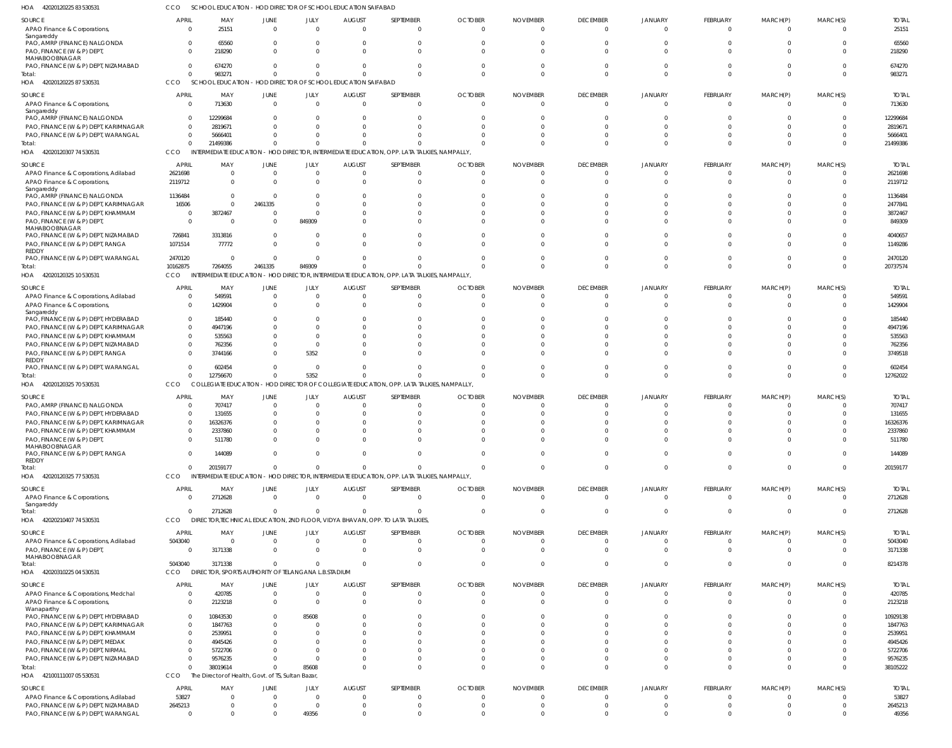| HOA<br>42020120225 83 53053                                                                 | CCO                                 | SCHOOL EDUCATION - HOD DIRECTOR OF SCHOOL EDUCATION SAIFABAD           |                      |                                  |                                 |                                                                                                         |                            |                             |                                   |                                  |                      |                         |                            |                         |
|---------------------------------------------------------------------------------------------|-------------------------------------|------------------------------------------------------------------------|----------------------|----------------------------------|---------------------------------|---------------------------------------------------------------------------------------------------------|----------------------------|-----------------------------|-----------------------------------|----------------------------------|----------------------|-------------------------|----------------------------|-------------------------|
| SOURCE<br>APAO Finance & Corporations,                                                      | <b>APRIL</b><br>$\Omega$            | MAY<br>25151                                                           | JUNE<br>$\Omega$     | JULY<br>$\Omega$                 | <b>AUGUST</b><br>$\cap$         | SEPTEMBER<br>$\Omega$                                                                                   | <b>OCTOBER</b><br>$\cap$   | <b>NOVEMBER</b>             | <b>DECEMBER</b><br>$\overline{0}$ | <b>JANUARY</b><br>$\Omega$       | FEBRUARY<br>$\Omega$ | MARCH(P)<br>$\Omega$    | MARCH(S)<br>$\mathbf 0$    | <b>TOTAL</b><br>25151   |
| Sangareddy<br>PAO, AMRP (FINANCE) NALGONDA<br>PAO, FINANCE (W & P) DEPT,                    | $\Omega$<br>$\Omega$                | 65560<br>218290                                                        | $\Omega$             | $\overline{0}$<br>$\Omega$       |                                 | $\overline{0}$<br>$\Omega$                                                                              |                            |                             | $\Omega$<br>$\Omega$              | $\Omega$<br>C                    |                      | $\Omega$                | $\Omega$<br>$\Omega$       | 65560<br>218290         |
| MAHABOOBNAGAR<br>PAO, FINANCE (W & P) DEPT, NIZAMABAD                                       | $\Omega$                            | 674270                                                                 | $\Omega$             | $\Omega$                         |                                 | $\Omega$                                                                                                |                            |                             | $\Omega$                          | $\Omega$                         |                      | $\Omega$                | $\Omega$                   | 674270                  |
| Total:<br>HOA 42020120225 87 530531                                                         | $\mathbf{0}$<br>CCO                 | 983271<br>SCHOOL EDUCATION - HOD DIRECTOR OF SCHOOL EDUCATION SAIFABAD | $\Omega$             | $\Omega$                         |                                 | $\Omega$                                                                                                |                            |                             | $\Omega$                          | $\Omega$                         | $\Omega$             | $\Omega$                | $\Omega$                   | 983271                  |
| SOURCE<br>APAO Finance & Corporations,                                                      | <b>APRIL</b><br>$\overline{0}$      | MAY<br>713630                                                          | JUNE<br>$\Omega$     | JULY<br>$\overline{0}$           | <b>AUGUST</b><br>$\Omega$       | SEPTEMBER<br>$\overline{0}$                                                                             | <b>OCTOBER</b><br>$\cap$   | <b>NOVEMBER</b>             | <b>DECEMBER</b><br>$\overline{0}$ | <b>JANUARY</b><br>$\overline{0}$ | FEBRUARY<br>$\Omega$ | MARCH(P)<br>$\Omega$    | MARCH(S)<br>$\mathbf 0$    | <b>TOTAL</b><br>713630  |
| Sangareddy<br>PAO, AMRP (FINANCE) NALGONDA<br>PAO, FINANCE (W & P) DEPT, KARIMNAGAR         | $\Omega$<br>$\Omega$                | 12299684<br>2819671                                                    |                      | <sup>0</sup>                     |                                 | $\Omega$                                                                                                |                            |                             | $\Omega$                          |                                  |                      |                         | $\Omega$<br>$\Omega$       | 12299684<br>2819671     |
| PAO, FINANCE (W & P) DEPT, WARANGAL                                                         | $\Omega$                            | 5666401                                                                |                      |                                  |                                 |                                                                                                         |                            |                             | $\Omega$                          |                                  |                      |                         | -0                         | 5666401                 |
| Total:<br>HOA 42020120307 74 530531                                                         | $\Omega$<br>CCO                     | 21499386<br><b>INTERMEDIATE EDUCATION</b>                              |                      |                                  |                                 | - HOD DIRECTOR, INTERMEDIATE EDUCATION, OPP. LATA TALKIES, NAMPALLY,                                    |                            |                             | $\Omega$                          | $\Omega$                         | $\Omega$             | $\Omega$                | $\Omega$                   | 21499386                |
| SOURCE                                                                                      | <b>APRIL</b>                        | MAY                                                                    | JUNE                 | JULY                             | <b>AUGUST</b>                   | SEPTEMBER                                                                                               | <b>OCTOBER</b>             | <b>NOVEMBER</b>             | <b>DECEMBER</b>                   | <b>JANUARY</b>                   | FEBRUARY             | MARCH(P)                | MARCH(S)                   | <b>TOTAL</b>            |
| APAO Finance & Corporations, Adilabad                                                       | 2621698                             | $\overline{\mathbf{0}}$                                                | - 0                  | $\overline{0}$                   | - 0                             | $\overline{0}$                                                                                          |                            |                             | $\Omega$                          | C                                |                      |                         | $\Omega$                   | 2621698                 |
| APAO Finance & Corporations,<br>Sangareddy                                                  | 2119712                             | $\overline{\mathbf{0}}$                                                | - 0                  | $\Omega$                         |                                 | $\overline{0}$                                                                                          |                            |                             | $\Omega$                          | $\Omega$                         | $\Omega$             | $\Omega$                | $\Omega$                   | 2119712                 |
| PAO, AMRP (FINANCE) NALGONDA<br>PAO, FINANCE (W & P) DEPT, KARIMNAGAR                       | 1136484<br>16506                    | $\Omega$<br>$\overline{0}$                                             | - 0<br>2461335       | <sup>0</sup><br>$\Omega$         |                                 | n                                                                                                       |                            |                             | $\Omega$<br>n                     |                                  |                      |                         |                            | 1136484<br>2477841      |
| PAO, FINANCE (W & P) DEPT, KHAMMAM                                                          | $\overline{0}$                      | 3872467                                                                | $\Omega$             | $\Omega$                         |                                 | $\Omega$                                                                                                |                            |                             | $\Omega$                          |                                  |                      |                         | $\Omega$                   | 3872467                 |
| PAO, FINANCE (W & P) DEPT,<br>MAHABOOBNAGAR                                                 | $\Omega$                            | - 0                                                                    | - 0                  | 849309                           |                                 | $\cap$                                                                                                  |                            |                             | $\cap$                            |                                  |                      |                         | $\Omega$                   | 849309                  |
| PAO, FINANCE (W & P) DEPT, NIZAMABAD<br>PAO, FINANCE (W & P) DEPT, RANGA                    | 726841<br>1071514                   | 3313816<br>77772                                                       | $\Omega$<br>$\Omega$ | $\Omega$<br>$\Omega$             |                                 | $\Omega$<br>$\Omega$                                                                                    |                            |                             | $\Omega$<br>$\Omega$              |                                  |                      | $\cap$<br>$\cap$        | $\Omega$<br>$\Omega$       | 4040657<br>1149286      |
| <b>REDDY</b><br>PAO, FINANCE (W & P) DEPT, WARANGAL                                         | 2470120                             | $\overline{\phantom{0}}$                                               | $\Omega$             | $\Omega$                         |                                 | $\Omega$                                                                                                |                            |                             | $\Omega$                          | C                                |                      | $\Omega$                | $\Omega$                   | 2470120                 |
| Total:<br>HOA 42020120325 10 530531                                                         | 10162875<br>CCO                     | 7264055                                                                | 2461335              | 849309                           |                                 | $\Omega$<br>INTERMEDIATE EDUCATION - HOD DIRECTOR, INTERMEDIATE EDUCATION, OPP. LATA TALKIES, NAMPALLY, |                            |                             | $\Omega$                          | $\Omega$                         | $\Omega$             | $\Omega$                | $\Omega$                   | 20737574                |
| SOURCE                                                                                      | <b>APRIL</b>                        | MAY                                                                    | JUNE                 | JULY                             | <b>AUGUST</b>                   | SEPTEMBER                                                                                               | <b>OCTOBER</b>             | <b>NOVEMBER</b>             | <b>DECEMBER</b>                   | <b>JANUARY</b>                   | FEBRUARY             | MARCH(P)                | MARCH(S)                   | <b>TOTAL</b>            |
| APAO Finance & Corporations, Adilabad<br>APAO Finance & Corporations,                       | $\Omega$<br>$\Omega$                | 549591<br>1429904                                                      |                      | $\mathbf{0}$<br>$\Omega$         |                                 | - 0<br>$\overline{0}$                                                                                   |                            |                             | $\circ$<br>$\Omega$               | $\Omega$<br>C                    | $\Omega$             | $\Omega$                | 0<br>$\Omega$              | 549591<br>1429904       |
| Sangareddy<br>PAO, FINANCE (W & P) DEPT, HYDERABAD<br>PAO, FINANCE (W & P) DEPT, KARIMNAGAR | $\overline{0}$<br>$\Omega$          | 185440<br>4947196                                                      |                      |                                  |                                 | 0<br>$\Omega$                                                                                           |                            |                             | n<br>$\Omega$                     |                                  |                      |                         |                            | 185440<br>4947196       |
| PAO, FINANCE (W & P) DEPT, KHAMMAM                                                          | $\Omega$                            | 535563                                                                 |                      | $\Omega$                         |                                 | $\Omega$                                                                                                |                            |                             | $\Omega$                          |                                  |                      |                         | -0                         | 535563                  |
| PAO, FINANCE (W & P) DEPT, NIZAMABAD                                                        | $\Omega$                            | 762356                                                                 |                      | $\Omega$                         |                                 |                                                                                                         |                            |                             | $\Omega$                          |                                  |                      |                         | -0                         | 762356                  |
| PAO, FINANCE (W & P) DEPT, RANGA<br><b>REDDY</b>                                            | $\Omega$                            | 3744166                                                                |                      | 5352                             |                                 | $\Omega$                                                                                                |                            |                             | $\Omega$                          |                                  |                      | $\Omega$                | $\Omega$                   | 3749518                 |
| PAO, FINANCE (W & P) DEPT, WARANGAL<br>Total:                                               | $\Omega$<br>$\Omega$                | 602454<br>12756670                                                     | $\Omega$             | $\Omega$<br>5352                 |                                 | $\Omega$<br>$\Omega$                                                                                    |                            |                             | $\Omega$<br>$\Omega$              | $\Omega$                         | $\Omega$             | $\Omega$                | $\Omega$<br>$\Omega$       | 602454<br>12762022      |
| HOA 42020120325 70 530531                                                                   | CCO                                 | <b>COLLEGIATE EDUCATION</b>                                            |                      |                                  |                                 | - HOD DIRECTOR OF COLLEGIATE EDUCATION, OPP. LATA TALKIES, NAMPALLY                                     |                            |                             |                                   |                                  |                      |                         |                            |                         |
| SOURCE                                                                                      | <b>APRIL</b>                        | MAY                                                                    | JUNE                 | JULY                             | <b>AUGUST</b>                   | SEPTEMBER                                                                                               | <b>OCTOBER</b>             | <b>NOVEMBER</b>             | <b>DECEMBER</b>                   | JANUARY                          | FEBRUARY             | MARCH(P)                | MARCH(S)                   | <b>TOTAL</b>            |
| PAO, AMRP (FINANCE) NALGONDA<br>PAO, FINANCE (W & P) DEPT, HYDERABAD                        | $\Omega$<br>$\Omega$                | 707417<br>131655                                                       |                      | $\Omega$                         |                                 | $\Omega$<br>$\Omega$                                                                                    |                            |                             | $\Omega$                          |                                  |                      |                         | $\Omega$                   | 707417<br>131655        |
| PAO, FINANCE (W & P) DEPT, KARIMNAGAR                                                       | $\Omega$                            | 16326376                                                               |                      | <sup>0</sup>                     |                                 |                                                                                                         |                            |                             |                                   |                                  |                      |                         |                            | 16326376                |
| PAO, FINANCE (W & P) DEPT, KHAMMAM<br>PAO, FINANCE (W & P) DEPT,                            | $\Omega$                            | 2337860<br>511780                                                      |                      | $\Omega$                         |                                 | $\Omega$                                                                                                |                            |                             | $\Omega$                          | $\Omega$                         | $\Omega$             | $\Omega$                | $\Omega$                   | 2337860<br>511780       |
| MAHABOOBNAGAR<br>PAO, FINANCE (W & P) DEPT, RANGA                                           | $\Omega$                            | 144089                                                                 | $\Omega$             | $\Omega$                         | $\Omega$                        | $\Omega$                                                                                                | $\Omega$                   |                             | $\Omega$                          | $\Omega$                         | $\Omega$             | $\Omega$                | $\Omega$                   | 144089                  |
| REDDY<br>Total:<br>HOA<br>42020120325 77 530531                                             | $\mathbf{0}$<br>CCO                 | 20159177<br><b>INTERMEDIATE EDUCATION</b>                              | $\Omega$             | $\Omega$                         |                                 | $\Omega$<br>- HOD DIRECTOR, INTERMEDIATE EDUCATION, OPP. LATA TALKIES, NAMPALLY,                        | $\Omega$                   | $\Omega$                    | $\overline{0}$                    | $\mathbf 0$                      | $\Omega$             | $\overline{0}$          | $\overline{0}$             | 20159177                |
|                                                                                             |                                     |                                                                        |                      |                                  |                                 |                                                                                                         |                            |                             |                                   |                                  |                      |                         |                            |                         |
| SOURCE<br>APAO Finance & Corporations,<br>Sangareddy                                        | <b>APRIL</b><br>$\overline{0}$      | MAY<br>2712628                                                         | JUNE<br>$\Omega$     | JULY<br>$\overline{0}$           | <b>AUGUST</b><br>$\overline{0}$ | SEPTEMBER<br>$\overline{0}$                                                                             | <b>OCTOBER</b><br>$\Omega$ | <b>NOVEMBER</b><br>$\Omega$ | <b>DECEMBER</b><br>$\overline{0}$ | <b>JANUARY</b><br>$\overline{0}$ | FEBRUARY<br>$\Omega$ | MARCH(P)<br>$\Omega$    | MARCH(S)<br>$\overline{0}$ | <b>TOTAL</b><br>2712628 |
| Total:<br>HOA 42020210407 74 530531                                                         | $\overline{0}$<br>CCO               | 2712628                                                                | $\Omega$             | $\overline{0}$                   | $\Omega$                        | $\overline{0}$<br>DIRECTOR, TECHNICAL EDUCATION, 2ND FLOOR, VIDYA BHAVAN, OPP. TO LATA TALKIES,         | $\Omega$                   |                             | $\overline{0}$                    | $\overline{0}$                   | $\Omega$             | $\overline{\mathbf{0}}$ | $\overline{0}$             | 2712628                 |
|                                                                                             |                                     |                                                                        |                      |                                  |                                 |                                                                                                         |                            |                             |                                   |                                  |                      |                         |                            |                         |
| SOURCE<br>APAO Finance & Corporations, Adilabad                                             | <b>APRIL</b><br>5043040             | MAY<br>$\overline{\mathbf{0}}$                                         | JUNE<br>$\Omega$     | JULY<br>$\overline{0}$           | <b>AUGUST</b><br>$\Omega$       | SEPTEMBER<br>$\overline{0}$                                                                             | <b>OCTOBER</b><br>- 0      | <b>NOVEMBER</b>             | <b>DECEMBER</b><br>$\overline{0}$ | <b>JANUARY</b><br>$\overline{0}$ | FEBRUARY<br>- 0      | MARCH(P)<br>0           | MARCH(S)<br>$\overline{0}$ | <b>TOTAL</b><br>5043040 |
| PAO, FINANCE (W & P) DEPT,<br>MAHABOOBNAGAR                                                 | $\overline{0}$                      | 3171338                                                                | $\Omega$             | $\Omega$                         | $\Omega$                        | $\overline{0}$                                                                                          | $\Omega$                   | $\Omega$                    | $\overline{0}$                    | $\Omega$                         | $\Omega$             | $\Omega$                | $\overline{0}$             | 3171338                 |
| Total:<br>HOA<br>42020310225 04 530531                                                      | 5043040<br>CCO                      | 3171338<br>DIRECTOR, SPORTS AUTHORITY OF TELANGANA L.B.STADIUM         | $\Omega$             | $\Omega$                         | $\Omega$                        | $\Omega$                                                                                                | $\Omega$                   | $\Omega$                    | $\Omega$                          | $\overline{0}$                   | $\Omega$             | $\Omega$                | $\overline{0}$             | 8214378                 |
| SOURCE                                                                                      | <b>APRIL</b>                        | MAY                                                                    | JUNE                 | JULY                             | <b>AUGUST</b>                   | SEPTEMBER                                                                                               | <b>OCTOBER</b>             | <b>NOVEMBER</b>             | <b>DECEMBER</b>                   | <b>JANUARY</b>                   | FEBRUARY             | MARCH(P)                | MARCH(S)                   | <b>TOTAL</b>            |
| APAO Finance & Corporations, Medchal<br>APAO Finance & Corporations,                        | $\overline{\mathbf{0}}$<br>$\Omega$ | 420785<br>2123218                                                      | $\Omega$<br>$\Omega$ | $\overline{0}$<br>$\overline{0}$ | $\Omega$<br>- 0                 | $\overline{0}$<br>$\Omega$                                                                              | - 0                        |                             | $\overline{0}$<br>$\Omega$        | $\overline{0}$<br>$\Omega$       | $\Omega$<br>$\Omega$ | $\Omega$<br>$\Omega$    | 0<br>$\Omega$              | 420785<br>2123218       |
| Wanaparthy<br>PAO, FINANCE (W & P) DEPT, HYDERABAD                                          | $\overline{0}$                      | 10843530                                                               |                      | 85608                            |                                 | $\Omega$                                                                                                |                            |                             | $\Omega$                          | $\Omega$                         | $\Omega$             | $\Omega$                | $\Omega$                   | 10929138                |
| PAO, FINANCE (W & P) DEPT, KARIMNAGAR                                                       | $\overline{0}$                      | 1847763                                                                |                      | $\Omega$                         |                                 | $\Omega$                                                                                                |                            |                             | $\Omega$                          | -C                               | $\Omega$             | $\Omega$                | $\Omega$                   | 1847763                 |
| PAO, FINANCE (W & P) DEPT, KHAMMAM                                                          | $\overline{0}$                      | 2539951                                                                |                      | $\Omega$                         |                                 | $\Omega$                                                                                                |                            |                             | $\Omega$                          | C                                |                      | $\Omega$                | $\Omega$                   | 2539951                 |
| PAO, FINANCE (W & P) DEPT, MEDAK<br>PAO, FINANCE (W & P) DEPT, NIRMAL                       | $\overline{0}$<br>$\Omega$          | 4945426<br>5722706                                                     |                      | $\Omega$                         |                                 |                                                                                                         |                            |                             | $\Omega$<br>$\Omega$              |                                  |                      | $\Omega$                | -0                         | 4945426<br>5722706      |
| PAO, FINANCE (W & P) DEPT, NIZAMABAD                                                        | $\Omega$                            | 9576235                                                                |                      | $\Omega$                         |                                 | $\Omega$                                                                                                |                            |                             | $\Omega$                          | $\Omega$                         | $\Omega$             | $\Omega$                | -0                         | 9576235                 |
| Total:                                                                                      | $\overline{0}$                      | 38019614                                                               |                      | 85608                            |                                 | $\Omega$                                                                                                |                            |                             | $\Omega$                          | $\Omega$                         | $\Omega$             | $\Omega$                | $\Omega$                   | 38105222                |
| HOA 42100111007 05 530531                                                                   | <b>CCO</b>                          | The Director of Health, Govt. of TS, Sultan Bazar,                     |                      |                                  |                                 |                                                                                                         |                            |                             |                                   |                                  |                      |                         |                            |                         |
| SOURCE                                                                                      | <b>APRIL</b>                        | MAY                                                                    | JUNE                 | JULY                             | <b>AUGUST</b>                   | SEPTEMBER                                                                                               | <b>OCTOBER</b>             | <b>NOVEMBER</b>             | <b>DECEMBER</b>                   | <b>JANUARY</b>                   | FEBRUARY             | MARCH(P)                | MARCH(S)                   | <b>TOTAL</b>            |
| APAO Finance & Corporations, Adilabad<br>PAO, FINANCE (W & P) DEPT, NIZAMABAD               | 53827<br>2645213                    | $\overline{0}$<br>$\overline{0}$                                       |                      | $\Omega$<br>$\Omega$             | - 0<br>$\Omega$                 | $\overline{0}$<br>$\Omega$                                                                              | - 0                        |                             | $\overline{0}$<br>$\Omega$        | $\overline{0}$<br>$\Omega$       | $\Omega$<br>$\Omega$ | $\Omega$                | 0<br>0                     | 53827<br>2645213        |
| PAO, FINANCE (W & P) DEPT, WARANGAL                                                         | $\overline{0}$                      | $\Omega$                                                               |                      | 49356                            |                                 | $\Omega$                                                                                                |                            |                             | $\Omega$                          | $\Omega$                         | $\Omega$             |                         | $\Omega$                   | 49356                   |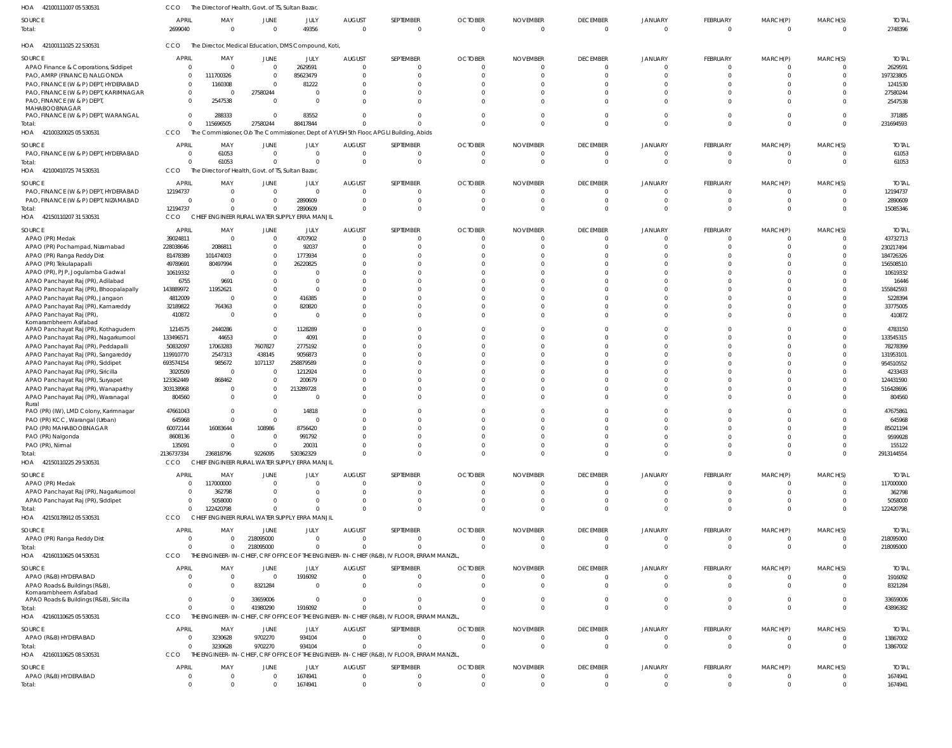| 42100111007 05 530531<br>HOA                         | <b>CCO</b>              | The Director of Health, Govt. of TS, Sultan Bazar, |                        |                                                      |                           |                                                                                           |                |                             |                                   |                                  |                         |                         |                         |                         |
|------------------------------------------------------|-------------------------|----------------------------------------------------|------------------------|------------------------------------------------------|---------------------------|-------------------------------------------------------------------------------------------|----------------|-----------------------------|-----------------------------------|----------------------------------|-------------------------|-------------------------|-------------------------|-------------------------|
| SOURCE<br>Total:                                     | <b>APRIL</b><br>2699040 | MAY                                                | JUNE<br>$\overline{0}$ | JULY<br>49356                                        | <b>AUGUST</b><br>$\Omega$ | SEPTEMBER<br>$\overline{0}$                                                               | <b>OCTOBER</b> | <b>NOVEMBER</b><br>$\Omega$ | <b>DECEMBER</b><br>$\overline{0}$ | <b>JANUARY</b><br>$\overline{0}$ | FEBRUARY<br>$\mathbf 0$ | MARCH(P)<br>$\mathbf 0$ | MARCH(S)<br>$\mathbf 0$ | <b>TOTAL</b><br>2748396 |
| HOA 42100111025 22 530531                            | CCO                     |                                                    |                        | The Director, Medical Education, DMS Compound, Koti, |                           |                                                                                           |                |                             |                                   |                                  |                         |                         |                         |                         |
| SOURCE                                               | <b>APRIL</b>            | MAY                                                | JUNE                   | JULY                                                 | <b>AUGUST</b>             | SEPTEMBER                                                                                 | <b>OCTOBER</b> | <b>NOVEMBER</b>             | <b>DECEMBER</b>                   | JANUARY                          | FEBRUARY                | MARCH(P)                | MARCH(S)                | <b>TOTAL</b>            |
| APAO Finance & Corporations, Siddipet                | $\overline{0}$          | $\Omega$                                           | $\overline{0}$         | 2629591                                              | $\Omega$                  | $\Omega$                                                                                  |                |                             | $\mathbf{0}$                      | $\Omega$                         | -0                      |                         |                         | 2629591                 |
| PAO, AMRP (FINANCE) NALGONDA                         | $\mathbf{0}$            | 111700326                                          | $\overline{0}$         | 85623479                                             |                           | $\mathbf{0}$                                                                              |                |                             | $\Omega$                          | $\Omega$                         | $\Omega$                | $\Omega$                |                         | 197323805               |
| PAO, FINANCE (W & P) DEPT, HYDERABAD                 | $\Omega$                | 1160308                                            | $\Omega$               | 81222                                                |                           | $\Omega$                                                                                  |                |                             | $\Omega$                          | $\Omega$                         |                         |                         |                         | 1241530                 |
| PAO, FINANCE (W & P) DEPT, KARIMNAGAR                | $\mathbf{0}$            | -C                                                 | 27580244               | $\Omega$                                             |                           | $\mathbf{0}$                                                                              |                |                             | $\Omega$                          | $\Omega$                         |                         |                         |                         | 27580244                |
| PAO, FINANCE (W & P) DEPT                            | $\Omega$                | 2547538                                            | $\Omega$               | $\Omega$                                             |                           | $\Omega$                                                                                  |                |                             | $\Omega$                          | $\Omega$                         |                         | $\Omega$                |                         | 2547538                 |
| MAHABOOBNAGAR<br>PAO, FINANCE (W & P) DEPT, WARANGAL | $\Omega$                | 288333                                             | $\Omega$               | 83552                                                | <sup>0</sup>              | $\mathbf 0$                                                                               |                |                             | $\Omega$                          | $\Omega$                         | $\Omega$                | $\Omega$                |                         | 371885                  |
| Total:                                               | $\Omega$                | 115696505                                          | 27580244               | 88417844                                             |                           | $\Omega$                                                                                  |                |                             | $\Omega$                          | $\Omega$                         | $\Omega$                | $\Omega$                | $\Omega$                | 231694593               |
| HOA 42100320025 05 530531                            | CCO                     |                                                    |                        |                                                      |                           | The Commissioner, O/o The Commissioner, Dept of AYUSH 5th Floor, APGLI Building, Abids    |                |                             |                                   |                                  |                         |                         |                         |                         |
|                                                      |                         |                                                    |                        |                                                      |                           |                                                                                           |                |                             |                                   |                                  |                         |                         |                         |                         |
| SOURCE                                               | <b>APRIL</b>            | MAY                                                | JUNE                   | JULY                                                 | <b>AUGUST</b>             | SEPTEMBER                                                                                 | <b>OCTOBER</b> | <b>NOVEMBER</b>             | <b>DECEMBER</b>                   | JANUARY                          | FEBRUARY                | MARCH(P)                | MARCH(S)                | <b>TOTAL</b>            |
| PAO, FINANCE (W & P) DEPT, HYDERABAD                 | $\overline{0}$          | 61053                                              | $\overline{0}$         | $\mathbf{0}$                                         | $\Omega$                  | $\overline{0}$                                                                            | $\Omega$       | $\Omega$                    | $\overline{0}$                    | $\mathbf 0$                      | $\mathbf 0$             | $\mathbf 0$             | $\Omega$                | 61053                   |
| Total:                                               | $\sqrt{2}$              | 61053                                              | $\Omega$               | $\Omega$                                             | $\Omega$                  | $\mathbf{0}$                                                                              |                |                             | $\overline{0}$                    | $\overline{0}$                   | $\Omega$                | $\mathbf 0$             | $\Omega$                | 61053                   |
| 42100410725 74 530531<br>HOA                         | <b>CCO</b>              | The Director of Health, Govt. of TS, Sultan Bazar, |                        |                                                      |                           |                                                                                           |                |                             |                                   |                                  |                         |                         |                         |                         |
| SOURCE                                               | <b>APRIL</b>            | MAY                                                | JUNE                   | JULY                                                 | <b>AUGUST</b>             | SEPTEMBER                                                                                 | <b>OCTOBER</b> | <b>NOVEMBER</b>             | <b>DECEMBER</b>                   | JANUARY                          | FEBRUARY                | MARCH(P)                | MARCH(S)                | <b>TOTAI</b>            |
| PAO, FINANCE (W & P) DEPT, HYDERABAD                 | 12194737                | $\Omega$                                           | $\mathbf{0}$           | $\Omega$                                             | $\Omega$                  | $\mathbf{0}$                                                                              |                |                             | $\mathbf{0}$                      | $\Omega$                         | -0                      | -0                      |                         | 12194737                |
|                                                      |                         |                                                    |                        |                                                      | $\Omega$                  |                                                                                           | $\Omega$       | $\Omega$                    |                                   | $\Omega$                         |                         |                         |                         |                         |
| PAO, FINANCE (W & P) DEPT, NIZAMABAD                 | 0                       |                                                    | $\overline{0}$         | 2890609                                              |                           | $\mathbf{0}$                                                                              |                |                             | $\mathbf{0}$                      |                                  | $^{\circ}$              | $^{\circ}$              |                         | 2890609                 |
| Total:                                               | 12194737                |                                                    | $\Omega$               | 2890609                                              | $\Omega$                  | $\mathbf 0$                                                                               |                |                             | $\Omega$                          | $\Omega$                         | $\Omega$                | $\Omega$                | $\Omega$                | 15085346                |
| HOA 42150110207 31 530531                            | <b>CCO</b>              |                                                    |                        | CHIEF ENGINEER RURAL WATER SUPPLY ERRA MANJIL        |                           |                                                                                           |                |                             |                                   |                                  |                         |                         |                         |                         |
| SOURCE                                               | <b>APRIL</b>            | MAY                                                | JUNE                   | JULY                                                 | <b>AUGUST</b>             | SEPTEMBER                                                                                 | <b>OCTOBER</b> | <b>NOVEMBER</b>             | <b>DECEMBER</b>                   | JANUARY                          | FEBRUARY                | MARCH(P)                | MARCH(S)                | <b>TOTAI</b>            |
| APAO (PR) Medak                                      | 39024811                | - 0                                                | $\overline{0}$         | 4707902                                              | $\Omega$                  | $\mathbf{0}$                                                                              |                |                             | $\overline{0}$                    | $\overline{0}$                   | $\mathbf 0$             | $\mathbf 0$             | $\mathbf 0$             | 43732713                |
| APAO (PR) Pochampad, Nizamabad                       | 228038646               | 2086811                                            | $\overline{0}$         | 92037                                                |                           | $\mathbf 0$                                                                               |                |                             | $\Omega$                          | $\Omega$                         | $\Omega$                | $\Omega$                |                         | 230217494               |
| APAO (PR) Ranga Reddy Dist                           | 81478389                | 101474003                                          | $\mathbf{0}$           | 1773934                                              |                           | $\Omega$                                                                                  |                |                             | $\Omega$                          | $\Omega$                         | $\Omega$                | $\Omega$                |                         | 184726326               |
| APAO (PR) Tekulapapalli                              | 49789691                | 80497994                                           | $\overline{0}$         | 26220825                                             |                           | $\Omega$                                                                                  |                |                             | $\Omega$                          |                                  | $\Omega$                | $\Omega$                |                         | 156508510               |
| APAO (PR), PJP, Jogulamba Gadwal                     | 10619332                |                                                    | $\Omega$               | $\Omega$                                             |                           | $\Omega$                                                                                  |                |                             | $\Omega$                          |                                  | $\Omega$                | $\Omega$                |                         | 10619332                |
|                                                      |                         |                                                    | 0                      | $\overline{0}$                                       |                           | $\Omega$                                                                                  |                |                             | $\Omega$                          |                                  |                         | $\Omega$                |                         |                         |
| APAO Panchayat Raj (PR), Adilabad                    | 6755                    | 9691                                               |                        |                                                      |                           |                                                                                           |                |                             |                                   |                                  |                         |                         |                         | 16446                   |
| APAO Panchayat Raj (PR), Bhoopalapally               | 143889972               | 11952621                                           | 0                      | $\Omega$                                             |                           | $\Omega$                                                                                  |                |                             | $\Omega$                          | n                                | $\Omega$                | $\cap$                  |                         | 155842593               |
| APAO Panchayat Raj (PR), Jangaon                     | 4812009                 |                                                    | $\mathbf{0}$           | 416385                                               |                           | $\Omega$                                                                                  |                |                             | $\Omega$                          |                                  | $\Omega$                | $\Omega$                |                         | 5228394                 |
| APAO Panchayat Raj (PR), Kamareddy                   | 32189822                | 764363                                             | $\Omega$               | 820820                                               |                           | $\Omega$                                                                                  |                |                             | $\Omega$                          | $\Omega$                         | $\Omega$                | $\Omega$                |                         | 33775005                |
| APAO Panchayat Raj (PR),                             | 410872                  | -C                                                 | $\overline{0}$         | $\Omega$                                             |                           | $\Omega$                                                                                  |                |                             | $\Omega$                          | $\Omega$                         | $\Omega$                | $\Omega$                |                         | 410872                  |
| Komarambheem Asifabad                                |                         |                                                    | $\Omega$               |                                                      |                           | $\Omega$                                                                                  |                |                             | $\Omega$                          | $\Omega$                         | $\Omega$                | $\Omega$                |                         |                         |
| APAO Panchayat Raj (PR), Kothagudem                  | 1214575                 | 2440286                                            |                        | 1128289                                              |                           |                                                                                           |                |                             |                                   | $\Omega$                         | $\Omega$                | $\Omega$                |                         | 4783150                 |
| APAO Panchayat Raj (PR), Nagarkurnool                | 133496571               | 44653                                              | $\overline{0}$         | 4091                                                 |                           | $\Omega$                                                                                  |                |                             | $\Omega$                          |                                  |                         |                         |                         | 133545315               |
| APAO Panchayat Raj (PR), Peddapalli                  | 50832097                | 17063283                                           | 7607827                | 2775192                                              |                           | $\Omega$                                                                                  |                |                             | $\Omega$                          | $\Omega$                         | $\Omega$                | $\Omega$                |                         | 78278399                |
| APAO Panchayat Raj (PR), Sangareddy                  | 119910770               | 2547313                                            | 438145                 | 9056873                                              |                           | $\Omega$                                                                                  |                |                             | $\Omega$                          | $\Omega$                         | $\Omega$                | $\Omega$                |                         | 131953101               |
| APAO Panchayat Raj (PR), Siddipet                    | 693574154               | 985672                                             | 1071137                | 258879589                                            |                           | $\Omega$                                                                                  |                |                             | $\Omega$                          |                                  |                         | $\cap$                  |                         | 954510552               |
| APAO Panchayat Raj (PR), Siricilla                   | 3020509                 | - 0                                                | $\overline{0}$         | 1212924                                              |                           | $\Omega$                                                                                  |                |                             | $\Omega$                          |                                  |                         | $\Omega$                |                         | 4233433                 |
| APAO Panchayat Raj (PR), Suryapet                    | 123362449               | 868462                                             | $\mathbf{0}$           | 200679                                               |                           | $\Omega$                                                                                  |                |                             | $\Omega$                          | $\Omega$                         | $\Omega$                | $\Omega$                |                         | 124431590               |
| APAO Panchayat Raj (PR), Wanaparthy                  | 303138968               |                                                    | $\mathbf 0$            | 213289728                                            |                           | $\Omega$                                                                                  |                |                             | $\Omega$                          | $\Omega$                         | $\Omega$                | $\Omega$                |                         | 516428696               |
| APAO Panchayat Raj (PR), Waranagal                   | 804560                  |                                                    | $\overline{0}$         | 0                                                    |                           | $\Omega$                                                                                  |                |                             | $\Omega$                          | $\Omega$                         | $\Omega$                | $\Omega$                |                         | 804560                  |
| Rural                                                |                         |                                                    |                        |                                                      |                           |                                                                                           |                |                             |                                   |                                  |                         |                         |                         |                         |
| PAO (PR) (IW), LMD Colony, Karimnagar                | 47661043                |                                                    | $\Omega$               | 14818                                                |                           | $\overline{0}$                                                                            |                |                             | $\Omega$                          | $\Omega$                         | $\Omega$                | $\Omega$                | $\Omega$                | 47675861                |
| PAO (PR) KCC, Warangal (Urban)                       | 645968                  |                                                    | $\Omega$               | $\mathbf{0}$                                         | $\Omega$                  | $\Omega$                                                                                  |                |                             | $\Omega$                          | $\Omega$                         | $\Omega$                | $\Omega$                | $\Omega$                | 645968                  |
| PAO (PR) MAHABOOBNAGAR                               | 60072144                | 16083644                                           | 108986                 | 8756420                                              |                           |                                                                                           |                |                             |                                   |                                  |                         |                         |                         | 85021194                |
| PAO (PR) Nalgonda                                    | 8608136                 |                                                    | $\Omega$               | 991792                                               |                           | $\Omega$                                                                                  |                |                             | $\Omega$                          | $\Omega$                         |                         | $\Omega$                |                         | 9599928                 |
| PAO (PR), Nirmal                                     | 135091                  |                                                    | $\Omega$               | 20031                                                |                           | $\mathbf 0$                                                                               |                |                             | $\Omega$                          | $\Omega$                         | $\mathbf{0}$            | $\mathbf 0$             |                         | 155122                  |
| Total:                                               | 2136737334              | 236818796                                          | 9226095                | 530362329                                            |                           | $\mathbf 0$                                                                               |                |                             | $\mathbf 0$                       | $\overline{0}$                   | $\Omega$                | $\mathbf 0$             | $\Omega$                | 2913144554              |
| HOA 42150110225 29 530531                            | CCO                     |                                                    |                        | CHIEF ENGINEER RURAL WATER SUPPLY ERRA MANJIL        |                           |                                                                                           |                |                             |                                   |                                  |                         |                         |                         |                         |
|                                                      |                         |                                                    |                        |                                                      |                           |                                                                                           |                |                             |                                   |                                  |                         |                         |                         |                         |
| SOURCE                                               | <b>APRIL</b>            | MAY                                                | JUNE                   | JULY                                                 | <b>AUGUST</b>             | SEPTEMBER                                                                                 | <b>OCTOBER</b> | <b>NOVEMBER</b>             | <b>DECEMBER</b>                   | JANUARY                          | FEBRUARY                | MARCH(P)                | MARCH(S)                | <b>TOTAL</b>            |
| APAO (PR) Medak                                      | 0                       | 117000000                                          | $\Omega$               | $\Omega$                                             | $\Omega$                  | $\mathbf{0}$                                                                              |                |                             | $\mathbf{0}$                      | $\overline{0}$                   | -0                      | -0                      |                         | 117000000               |
| APAO Panchayat Raj (PR), Nagarkurnool                | $\Omega$                | 362798                                             | $\Omega$               | $\Omega$                                             | $\Omega$                  | $\mathbf{0}$                                                                              |                |                             | $\mathbf{0}$                      | $\overline{0}$                   | $\Omega$                | $\overline{0}$          |                         | 362798                  |
| APAO Panchayat Raj (PR), Siddipet                    | 0                       | 5058000                                            | $\Omega$               | $\Omega$                                             |                           | $\mathbf{0}$                                                                              |                |                             | $\Omega$                          | $\overline{0}$                   |                         | $\overline{0}$          |                         | 5058000                 |
| Total:                                               | $\Omega$                | 122420798                                          | $\Omega$               | $\Omega$                                             |                           | $\Omega$                                                                                  |                |                             | $\Omega$                          | $\Omega$                         | $\Omega$                | $\Omega$                |                         | 122420798               |
| HOA 42150178912 05 530531                            | CCO                     |                                                    |                        | CHIEF ENGINEER RURAL WATER SUPPLY ERRA MANJIL        |                           |                                                                                           |                |                             |                                   |                                  |                         |                         |                         |                         |
| SOURCE                                               | <b>APRIL</b>            | MAY                                                | JUNE                   | JULY                                                 | <b>AUGUST</b>             | SEPTEMBER                                                                                 | <b>OCTOBER</b> | <b>NOVEMBER</b>             | <b>DECEMBER</b>                   | JANUARY                          | FEBRUARY                | MARCH(P)                | MARCH(S)                | <b>TOTAL</b>            |
| APAO (PR) Ranga Reddy Dist                           | $\overline{0}$          |                                                    | 218095000              | $\mathbf 0$                                          | $\Omega$                  | $\overline{0}$                                                                            | - 0            | - 0                         | $\overline{0}$                    | $\mathbf{0}$                     | $\mathbf 0$             | $\mathbf 0$             | $\mathbf 0$             | 218095000               |
|                                                      | $\Omega$                |                                                    | 218095000              | $\mathbf 0$                                          | $\Omega$                  | $\mathbf{0}$                                                                              |                |                             | $\overline{0}$                    | $\overline{0}$                   | $\mathbf 0$             | $\mathbf 0$             | $\overline{0}$          | 218095000               |
| Total:<br>HOA 42160110625 04 530531                  | CCO                     |                                                    |                        |                                                      |                           | THE ENGINEER-IN-CHIEF, CRF OFFICE OF THE ENGINEER-IN-CHIEF (R&B), IV FLOOR, ERRAM MANZIL  |                |                             |                                   |                                  |                         |                         |                         |                         |
|                                                      |                         |                                                    |                        |                                                      |                           |                                                                                           |                |                             |                                   |                                  |                         |                         |                         |                         |
| SOURCE                                               | <b>APRIL</b>            | MAY                                                | JUNE                   | JULY                                                 | <b>AUGUST</b>             | SEPTEMBER                                                                                 | <b>OCTOBER</b> | <b>NOVEMBER</b>             | <b>DECEMBER</b>                   | JANUARY                          | FEBRUARY                | MARCH(P)                | MARCH(S)                | <b>TOTAL</b>            |
| APAO (R&B) HYDERABAD                                 | 0                       |                                                    | $\Omega$               | 1916092                                              | 0                         | $\overline{0}$                                                                            |                |                             | $\mathbf{0}$                      | 0                                | -0                      | -0                      |                         | 1916092                 |
| APAO Roads & Buildings (R&B),                        | $\Omega$                |                                                    | 8321284                | $\Omega$                                             | $\Omega$                  | $\Omega$                                                                                  |                |                             | $\Omega$                          | $\Omega$                         |                         | $\Omega$                |                         | 8321284                 |
| Komarambheem Asifabad                                |                         |                                                    |                        |                                                      |                           |                                                                                           |                |                             |                                   |                                  |                         |                         |                         |                         |
| APAO Roads & Buildings (R&B), Siricilla              | $\Omega$                |                                                    | 33659006               | $\Omega$                                             | $\Omega$                  | $\overline{0}$                                                                            |                |                             | $\mathbf 0$                       | $\mathbf 0$                      | $\Omega$                | $\mathbf{0}$            |                         | 33659006                |
| Total:                                               | $\Omega$                |                                                    | 41980290               | 1916092                                              | $\Omega$                  | $\Omega$                                                                                  |                |                             | $\mathbf{0}$                      | $\Omega$                         | $\Omega$                | $\mathbf 0$             | $\Omega$                | 43896382                |
| HOA 42160110625 05 530531                            | CCO                     |                                                    |                        |                                                      |                           | THE ENGINEER-IN-CHIEF, CRF OFFICE OF THE ENGINEER-IN-CHIEF (R&B), IV FLOOR, ERRAM MANZIL  |                |                             |                                   |                                  |                         |                         |                         |                         |
|                                                      |                         |                                                    |                        |                                                      |                           |                                                                                           |                |                             |                                   |                                  |                         |                         |                         |                         |
| SOURCE                                               | <b>APRIL</b>            | MAY                                                | JUNE                   | JULY                                                 | <b>AUGUST</b>             | SEPTEMBER                                                                                 | <b>OCTOBER</b> | <b>NOVEMBER</b>             | <b>DECEMBER</b>                   | JANUARY                          | FEBRUARY                | MARCH(P)                | MARCH(S)                | <b>TOTAL</b>            |
| APAO (R&B) HYDERABAD                                 | 0                       | 3230628                                            | 9702270                | 934104                                               | $\Omega$                  | $\overline{0}$                                                                            |                |                             | $\overline{0}$                    | $\overline{0}$                   | $\overline{0}$          | $\overline{0}$          | 0                       | 13867002                |
| Total:                                               | $\Omega$                | 3230628                                            | 9702270                | 934104                                               | $\Omega$                  | $\mathbf{0}$                                                                              |                |                             | $\overline{0}$                    | $\overline{0}$                   | $\mathbf 0$             | $\mathbf 0$             | $\mathbf 0$             | 13867002                |
| HOA 42160110625 08 530531                            | CCO                     |                                                    |                        |                                                      |                           | THE ENGINEER-IN-CHIEF, CRF OFFICE OF THE ENGINEER-IN-CHIEF (R&B), IV FLOOR, ERRAM MANZIL, |                |                             |                                   |                                  |                         |                         |                         |                         |
|                                                      |                         |                                                    |                        |                                                      |                           |                                                                                           |                |                             |                                   |                                  |                         |                         |                         |                         |
| SOURCE                                               | <b>APRIL</b>            | MAY                                                | JUNE                   | JULY                                                 | <b>AUGUST</b>             | SEPTEMBER                                                                                 | <b>OCTOBER</b> | <b>NOVEMBER</b>             | <b>DECEMBER</b>                   | JANUARY                          | FEBRUARY                | MARCH(P)                | MARCH(S)                | <b>TOTAL</b>            |
| APAO (R&B) HYDERABAD                                 | 0                       |                                                    | $\overline{0}$         | 1674941                                              | $\mathbf{0}$              | $\mathbf{0}$                                                                              | $\Omega$       | $\Omega$                    | $\overline{0}$                    | $\overline{0}$                   | $\overline{0}$          | $\overline{0}$          |                         | 1674941                 |
| Total:                                               | $\mathbf 0$             | $\Omega$                                           | $\overline{0}$         | 1674941                                              | $\mathbf 0$               | $\mathbf{0}$                                                                              | $\Omega$       | $\Omega$                    | $\overline{0}$                    | $\mathbf 0$                      | $\mathbf 0$             | $\mathbf 0$             | $\Omega$                | 1674941                 |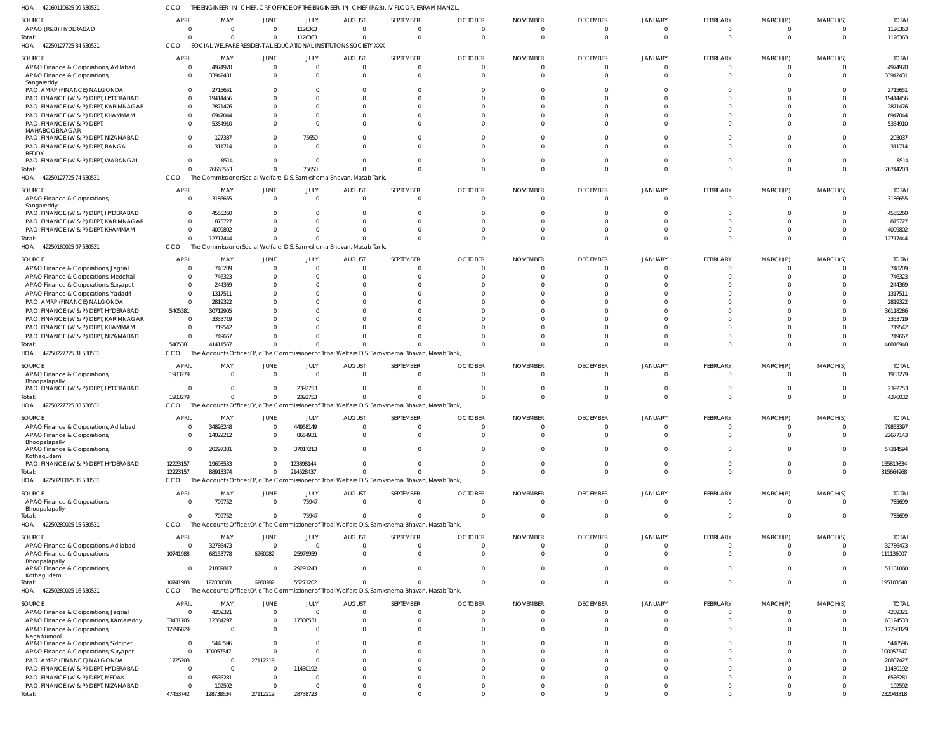42160110625 09 530531 HOA CCO THE ENGINEER-IN-CHIEF, CRF OFFICE OF THE ENGINEER-IN-CHIEF (R&B), IV FLOOR, ERRAM MANZIL,

| SOURCE                                                                        | APRIL                      | MAY                                                                         | <b>JUNE</b>          | JULY                 | <b>AUGUST</b>             | SEPTEMBER                                                                                        | <b>OCTOBER</b>             | <b>NOVEMBER</b>          | <b>DECEMBER</b> | <b>JANUARY</b> | <b>FEBRUARY</b>      | MARCH(P)             | MARCH(S)             | <b>TOTAL</b>             |
|-------------------------------------------------------------------------------|----------------------------|-----------------------------------------------------------------------------|----------------------|----------------------|---------------------------|--------------------------------------------------------------------------------------------------|----------------------------|--------------------------|-----------------|----------------|----------------------|----------------------|----------------------|--------------------------|
| APAO (R&B) HYDERABAD                                                          | $\Omega$                   | - 0                                                                         | $\Omega$             | 1126363              | $\Omega$                  | $\Omega$                                                                                         | $\Omega$                   | $\Omega$                 | $\Omega$        | $\Omega$       | $\Omega$             | - 0                  | $\Omega$             | 1126363                  |
| Total:<br>HOA 42250127725 34 530531                                           | $\Omega$<br>CCO            | $\Omega$<br>SOCIAL WELFARE RESIDENTIAL EDUCATIONAL INSTITUTIONS SOCIETY XXX | $\overline{0}$       | 1126363              | $\Omega$                  | $\Omega$                                                                                         | $\Omega$                   | $\Omega$                 | $\Omega$        | $\mathsf{C}$   | $\Omega$             | $\Omega$             | $\Omega$             | 1126363                  |
| SOURCE                                                                        | APRIL                      | MAY                                                                         | JUNE                 | JULY                 | AUGUST                    | SEPTEMBER                                                                                        | <b>OCTOBER</b>             | <b>NOVEMBER</b>          | <b>DECEMBER</b> | <b>JANUARY</b> | FEBRUARY             | MARCH(P)             | MARCH(S)             | <b>TOTAL</b>             |
| APAO Finance & Corporations, Adilabad                                         | $\Omega$                   | 4974970                                                                     | $\overline{0}$       | $\Omega$             | $\Omega$                  | $\overline{0}$                                                                                   | $\Omega$                   | $\Omega$                 | $\overline{0}$  | $\mathsf{C}$   | $\Omega$             | $\Omega$             | $\Omega$             | 4974970                  |
| APAO Finance & Corporations,                                                  | $\Omega$                   | 33942431                                                                    | $\Omega$             | $\Omega$             | $\Omega$                  | $\Omega$                                                                                         | $\Omega$                   | $\Omega$                 | $\Omega$        | $\mathsf{C}$   | $\Omega$             | $\Omega$             | $\Omega$             | 33942431                 |
| Sangareddy                                                                    |                            |                                                                             |                      |                      |                           |                                                                                                  |                            |                          |                 |                |                      |                      |                      |                          |
| PAO, AMRP (FINANCE) NALGONDA<br>PAO, FINANCE (W & P) DEPT, HYDERABAD          | $\overline{0}$<br>$\Omega$ | 2715651<br>19414456                                                         | 0                    | $\Omega$<br>$\Omega$ | 0<br><sup>0</sup>         | $\Omega$<br>$\Omega$                                                                             | <sup>0</sup>               |                          | -C              |                |                      |                      | $\Omega$<br>$\Omega$ | 2715651<br>19414456      |
| PAO, FINANCE (W & P) DEPT, KARIMNAGAR                                         | $\Omega$                   | 2871476                                                                     | <sup>0</sup>         | $\Omega$             | <sup>0</sup>              | $\Omega$                                                                                         |                            |                          |                 |                |                      |                      | n                    | 2871476                  |
| PAO, FINANCE (W & P) DEPT, KHAMMAM                                            | $\Omega$                   | 6947044                                                                     |                      | $\Omega$             |                           | $\Omega$                                                                                         |                            |                          |                 |                |                      |                      |                      | 6947044                  |
| PAO, FINANCE (W & P) DEPT                                                     | $\Omega$                   | 5354910                                                                     | $\Omega$             | $\Omega$             |                           | $\Omega$                                                                                         |                            |                          |                 |                |                      |                      |                      | 5354910                  |
| MAHABOOBNAGAR                                                                 |                            |                                                                             |                      |                      |                           |                                                                                                  |                            |                          |                 |                |                      |                      |                      |                          |
| PAO, FINANCE (W & P) DEPT, NIZAMABAD                                          | $\Omega$                   | 127387                                                                      | $\Omega$             | 75650                | <sup>0</sup>              | $\Omega$                                                                                         |                            |                          | C               |                |                      |                      | $\Omega$             | 203037                   |
| PAO, FINANCE (W & P) DEPT, RANGA<br>REDDY                                     | $\Omega$                   | 311714                                                                      | $\Omega$             | $\Omega$             |                           | $\Omega$                                                                                         |                            |                          | C               |                | $\Omega$             |                      |                      | 311714                   |
| PAO, FINANCE (W & P) DEPT, WARANGAL                                           | $\Omega$                   | 8514                                                                        | $\Omega$             | $\Omega$             | $\Omega$                  | $\Omega$                                                                                         | <sup>0</sup>               |                          | $\Omega$        |                | $\Omega$             | $\Omega$             | $\Omega$             | 8514                     |
| Total:                                                                        | $\Omega$                   | 76668553                                                                    | $\Omega$             | 75650                |                           | $\Omega$                                                                                         | $\Omega$                   |                          | $\Omega$        | $\sqrt{2}$     | $\Omega$             | $\Omega$             | $\Omega$             | 76744203                 |
| HOA 42250127725 74 530531                                                     | CCO                        | The Commissioner Social Welfare, D.S. Samkshema Bhavan, Masab Tank,         |                      |                      |                           |                                                                                                  |                            |                          |                 |                |                      |                      |                      |                          |
| SOURCE                                                                        | APRIL                      | MAY                                                                         | JUNE                 | JULY                 | <b>AUGUST</b>             | SEPTEMBER                                                                                        | <b>OCTOBER</b>             | <b>NOVEMBER</b>          | <b>DECEMBER</b> | <b>JANUARY</b> | FEBRUARY             | MARCH(P)             | MARCH(S)             | <b>TOTAL</b>             |
| APAO Finance & Corporations,                                                  | - 0                        | 3186655                                                                     | $\Omega$             | $\Omega$             | $\Omega$                  | $\Omega$                                                                                         | $\Omega$                   | $\Omega$                 | $\Omega$        | $\Omega$       | $\Omega$             | $\Omega$             | $\Omega$             | 3186655                  |
| Sangareddy                                                                    |                            |                                                                             |                      |                      |                           |                                                                                                  |                            |                          |                 |                |                      |                      |                      |                          |
| PAO, FINANCE (W & P) DEPT, HYDERABAD<br>PAO, FINANCE (W & P) DEPT, KARIMNAGAR | $\Omega$<br>$\Omega$       | 4555260<br>875727                                                           |                      |                      |                           | $\Omega$                                                                                         |                            |                          |                 |                |                      |                      |                      | 4555260<br>875727        |
| PAO, FINANCE (W & P) DEPT, KHAMMAM                                            | $\Omega$                   | 4099802                                                                     | <sup>0</sup>         |                      |                           | $\Omega$                                                                                         |                            |                          | C               |                | $\Omega$             | $\Omega$             | $\Omega$             | 4099802                  |
| Total:                                                                        | $\Omega$                   | 12717444                                                                    | $\Omega$             |                      |                           | $\Omega$                                                                                         |                            |                          | $\sqrt{2}$      | C              | $\Omega$             | $\Omega$             | $\Omega$             | 12717444                 |
| HOA 42250180025 07 530531                                                     | CCO                        | The Commissioner Social Welfare, D.S. Samkshema Bhavan, Masab Tank,         |                      |                      |                           |                                                                                                  |                            |                          |                 |                |                      |                      |                      |                          |
|                                                                               | APRIL                      | MAY                                                                         | JUNE                 | JULY                 | <b>AUGUST</b>             | SEPTEMBER                                                                                        | <b>OCTOBER</b>             | <b>NOVEMBER</b>          | <b>DECEMBER</b> | <b>JANUARY</b> | FEBRUARY             | MARCH(P)             | MARCH(S)             | <b>TOTAL</b>             |
| SOURCE<br>APAO Finance & Corporations, Jagtial                                | - 0                        | 748209                                                                      | $\Omega$             | $\Omega$             | $\Omega$                  | $\Omega$                                                                                         | $\Omega$                   | <sup>0</sup>             | $\Omega$        | C              | $\Omega$             | $\Omega$             | $\Omega$             | 748209                   |
| APAO Finance & Corporations, Medchal                                          | 0                          | 746323                                                                      | <sup>0</sup>         | $\Omega$             | <sup>0</sup>              | $\Omega$                                                                                         |                            |                          | C               |                | $\Omega$             | $\Omega$             | $\Omega$             | 746323                   |
| APAO Finance & Corporations, Suryapet                                         | - 0                        | 244369                                                                      |                      | n                    |                           | $\Omega$                                                                                         |                            |                          |                 |                |                      |                      |                      | 244369                   |
| APAO Finance & Corporations, Yadadri                                          | $\overline{0}$             | 1317511                                                                     |                      |                      |                           | $\Omega$                                                                                         |                            |                          |                 |                |                      |                      |                      | 1317511                  |
| PAO, AMRP (FINANCE) NALGONDA                                                  | $\Omega$                   | 2819322                                                                     |                      |                      |                           |                                                                                                  |                            |                          |                 |                |                      |                      |                      | 2819322                  |
| PAO, FINANCE (W & P) DEPT, HYDERABAD                                          | 5405381                    | 30712905                                                                    |                      |                      |                           |                                                                                                  |                            |                          |                 |                |                      |                      |                      | 36118286                 |
| PAO, FINANCE (W & P) DEPT, KARIMNAGAR                                         | $\Omega$                   | 3353719                                                                     |                      |                      |                           |                                                                                                  |                            |                          |                 |                |                      |                      |                      | 3353719                  |
| PAO, FINANCE (W & P) DEPT, KHAMMAM                                            | - 0                        | 719542                                                                      |                      |                      |                           |                                                                                                  |                            |                          |                 |                |                      |                      |                      | 719542                   |
| PAO, FINANCE (W & P) DEPT, NIZAMABAD                                          | 0                          | 749667                                                                      |                      |                      |                           |                                                                                                  |                            |                          | C               |                |                      |                      | $\Omega$             | 749667                   |
| Total:<br>HOA 42250227725 81 530531                                           | 5405381<br>CCO             | 41411567                                                                    | $\Omega$             | $\Omega$             |                           | The Accounts Officer, O \o The Commissioner of Tribal Welfare D.S. Samkshema Bhavan, Masab Tank, |                            |                          |                 |                | $\Omega$             | $\Omega$             | $\Omega$             | 46816948                 |
|                                                                               |                            |                                                                             |                      |                      |                           |                                                                                                  |                            |                          |                 |                |                      |                      |                      |                          |
| SOURCE                                                                        | <b>APRIL</b>               | MAY                                                                         | <b>JUNE</b>          | <b>JULY</b>          | <b>AUGUST</b>             | SEPTEMBER                                                                                        | <b>OCTOBER</b>             | <b>NOVEMBER</b>          | <b>DECEMBER</b> | JANUARY        | FEBRUARY             | MARCH(P)             | MARCH(S)             | <b>TOTAL</b>             |
|                                                                               |                            |                                                                             |                      |                      |                           |                                                                                                  |                            |                          |                 |                |                      |                      |                      |                          |
| APAO Finance & Corporations,                                                  | 1983279                    | $\Omega$                                                                    | $\Omega$             | $\Omega$             | $\Omega$                  | $\Omega$                                                                                         | $\Omega$                   | $\Omega$                 | $\Omega$        | $\Omega$       | $\Omega$             | $\Omega$             | $\Omega$             | 1983279                  |
| Bhoopalapally                                                                 | - 0                        | $\Omega$                                                                    | $\Omega$             | 2392753              | $\Omega$                  | $\Omega$                                                                                         |                            |                          | $\Omega$        | C              | $\Omega$             | $\Omega$             | $\Omega$             | 2392753                  |
| PAO, FINANCE (W & P) DEPT, HYDERABAD<br>Total:                                | 1983279                    |                                                                             | $\overline{0}$       | 2392753              |                           |                                                                                                  | $\Omega$                   | <sup>0</sup>             | $\Omega$        | $\Omega$       | $\Omega$             | $\Omega$             | $\Omega$             | 4376032                  |
| HOA 42250227725 83 530531                                                     | CCO                        |                                                                             |                      |                      |                           | The Accounts Officer, O \o The Commissioner of Tribal Welfare D.S. Samkshema Bhavan, Masab Tank, |                            |                          |                 |                |                      |                      |                      |                          |
|                                                                               | APRIL                      |                                                                             |                      |                      |                           |                                                                                                  |                            | <b>NOVEMBER</b>          | <b>DECEMBER</b> | <b>JANUARY</b> |                      |                      |                      |                          |
| SOURCE<br>APAO Finance & Corporations, Adilabad                               | $\Omega$                   | MAY<br>34895248                                                             | JUNE<br>$\Omega$     | JULY<br>44958149     | <b>AUGUST</b><br>$\Omega$ | SEPTEMBER<br>$\Omega$                                                                            | <b>OCTOBER</b><br>$\Omega$ | $\Omega$                 | $\Omega$        | $\Omega$       | FEBRUARY<br>$\Omega$ | MARCH(P)<br>$\Omega$ | MARCH(S)<br>$\Omega$ | <b>TOTAL</b><br>79853397 |
| APAO Finance & Corporations                                                   | -0                         | 14022212                                                                    | $\mathbf 0$          | 8654931              |                           |                                                                                                  |                            |                          |                 |                |                      |                      |                      | 22677143                 |
| Bhoopalapally                                                                 |                            |                                                                             |                      |                      |                           |                                                                                                  |                            |                          |                 |                |                      |                      |                      |                          |
| APAO Finance & Corporations,                                                  | $\Omega$                   | 20297381                                                                    | $\Omega$             | 37017213             | $\Omega$                  | $\Omega$                                                                                         | $\Omega$                   | $\Omega$                 | $\Omega$        | $\Omega$       | $\Omega$             | $\Omega$             | $\Omega$             | 57314594                 |
| Kothagudem<br>PAO, FINANCE (W & P) DEPT, HYDERABAD                            | 12223157                   | 19698533                                                                    | $\Omega$             | 123898144            | $\Omega$                  | $\mathbf{0}$                                                                                     | $\Omega$                   | $\Omega$                 | $\Omega$        | $\Omega$       | $\Omega$             | $\Omega$             | $\Omega$             | 155819834                |
| Total:                                                                        | 12223157                   | 88913374                                                                    | $\Omega$             | 214528437            | $\Omega$                  | $\Omega$                                                                                         | $\Omega$                   | $\Omega$                 | $\Omega$        | $\Omega$       | $\Omega$             | $\Omega$             | $\Omega$             | 315664968                |
| HOA 42250280025 05 530531                                                     | <b>CCO</b>                 |                                                                             |                      |                      |                           | The Accounts Officer, O\o The Commissioner of Tribal Welfare D.S. Samkshema Bhavan, Masab Tank,  |                            |                          |                 |                |                      |                      |                      |                          |
| SOURCE                                                                        | <b>APRIL</b>               | MAY                                                                         | JUNE                 | JULY                 | <b>AUGUST</b>             | SEPTEMBER                                                                                        | <b>OCTOBER</b>             | <b>NOVEMBER</b>          | <b>DECEMBER</b> | <b>JANUARY</b> | FEBRUARY             | MARCH(P)             | MARCH(S)             | <b>TOTAL</b>             |
| APAO Finance & Corporations,                                                  | - 0                        | 709752                                                                      | $\overline{0}$       | 75947                | $\Omega$                  | $\Omega$                                                                                         | $\Omega$                   | $\Omega$                 | $\mathbf 0$     | $\overline{0}$ | $\Omega$             | $\Omega$             | $\overline{0}$       | 785699                   |
| Bhoopalapally                                                                 |                            |                                                                             |                      |                      |                           |                                                                                                  |                            |                          |                 |                |                      |                      |                      |                          |
| Total:                                                                        | $\overline{0}$             | 709752                                                                      | $\Omega$             | 75947                | $\Omega$                  | $\Omega$                                                                                         | $\Omega$                   | $\Omega$                 | $\overline{0}$  | $\overline{0}$ | $\Omega$             | $\Omega$             | $\overline{0}$       | 785699                   |
| HOA 42250280025 15 530531                                                     | CCO                        |                                                                             |                      |                      |                           | The Accounts Officer, O \o The Commissioner of Tribal Welfare D.S. Samkshema Bhavan, Masab Tank, |                            |                          |                 |                |                      |                      |                      |                          |
| SOURCE                                                                        | <b>APRIL</b>               | MAY                                                                         | JUNE                 | JULY                 | <b>AUGUST</b>             | SEPTEMBER                                                                                        | <b>OCTOBER</b>             | <b>NOVEMBER</b>          | <b>DECEMBER</b> | <b>JANUARY</b> | FEBRUARY             | MARCH(P)             | MARCH(S)             | <b>TOTAL</b>             |
| APAO Finance & Corporations, Adilabad                                         | 0                          | 32786473                                                                    | $\overline{0}$       | $\Omega$             | $\Omega$                  | $\Omega$                                                                                         | $\Omega$                   | $\Omega$                 | $\Omega$        | $\Omega$       | $\Omega$             | $\Omega$             | $\Omega$             | 32786473                 |
| APAO Finance & Corporations,                                                  | 10741988                   | 68153778                                                                    | 6260282              | 25979959             | $\Omega$                  | $\overline{0}$                                                                                   | $\Omega$                   | $\Omega$                 | $\Omega$        | $\Omega$       | $\Omega$             | $\Omega$             | $\Omega$             | 111136007                |
| Bhoopalapally<br>APAO Finance & Corporations,                                 | 0                          | 21889817                                                                    | $\Omega$             | 29291243             | $\Omega$                  | $\mathbf 0$                                                                                      | $\Omega$                   | $\Omega$                 | $\overline{0}$  | $\overline{0}$ | $\Omega$             | $\Omega$             | $\Omega$             | 51181060                 |
| Kothagudem                                                                    |                            |                                                                             |                      |                      |                           |                                                                                                  |                            |                          |                 |                |                      |                      |                      |                          |
| Total:                                                                        | 10741988                   | 122830068                                                                   | 6260282              | 55271202             | $\Omega$                  | $\Omega$                                                                                         | $\Omega$                   | $\Omega$                 | $\Omega$        | $\overline{0}$ | $\Omega$             | $\Omega$             | $\Omega$             | 195103540                |
| HOA 42250280025 16 530531                                                     | CCO                        |                                                                             |                      |                      |                           | The Accounts Officer, O \o The Commissioner of Tribal Welfare D.S. Samkshema Bhavan, Masab Tank, |                            |                          |                 |                |                      |                      |                      |                          |
| SOURCE                                                                        | <b>APRIL</b>               | MAY                                                                         | JUNE                 | JULY                 | <b>AUGUST</b>             | SEPTEMBER                                                                                        | <b>OCTOBER</b>             | <b>NOVEMBER</b>          | <b>DECEMBER</b> | <b>JANUARY</b> | <b>FEBRUARY</b>      | MARCH(P)             | MARCH(S)             | <b>TOTAL</b>             |
| APAO Finance & Corporations, Jagtial                                          | 0                          | 4209321                                                                     | $\overline{0}$       | $\Omega$             | $\Omega$                  | $\Omega$                                                                                         | $\Omega$                   | $\Omega$                 | 0               | 0              | $\Omega$             | - 0                  | $\Omega$             | 4209321                  |
| APAO Finance & Corporations, Kamareddy                                        | 33431705                   | 12384297                                                                    | $^{\circ}$           | 17308531             | $\Omega$                  | $\mathbf 0$                                                                                      | $\Omega$                   | $\Omega$                 | 0               | $\Omega$       | $\Omega$             | $\Omega$             | $\Omega$             | 63124533                 |
| APAO Finance & Corporations,                                                  | 12296829                   | $\sqrt{ }$                                                                  | $\mathbf{0}$         | $\Omega$             | $\Omega$                  | $\Omega$                                                                                         | $\Omega$                   | $\Omega$                 | $\Omega$        | $\Omega$       | $\Omega$             | $\Omega$             | $\Omega$             | 12296829                 |
| Nagarkurnool<br>APAO Finance & Corporations, Siddipet                         | 0                          | 5448596                                                                     | $\Omega$             | $\Omega$             |                           | $\Omega$                                                                                         |                            |                          | $\Omega$        | $\Omega$       | $\Omega$             |                      | $\Omega$             | 5448596                  |
| APAO Finance & Corporations, Suryapet                                         | 0                          | 100057547                                                                   | $\Omega$             | $\Omega$             |                           | $\Omega$                                                                                         |                            | <sup>0</sup>             | C               | C              | $\Omega$             | $\Omega$             | $\Omega$             | 100057547                |
| PAO, AMRP (FINANCE) NALGONDA                                                  | 1725208                    | - 0                                                                         | 27112219             | $\Omega$             |                           | $\Omega$                                                                                         |                            |                          | C               | C              | $\Omega$             |                      | $\Omega$             | 28837427                 |
| PAO, FINANCE (W & P) DEPT, HYDERABAD                                          | 0                          | $\Omega$                                                                    | $\Omega$             | 11430192             |                           | $\Omega$                                                                                         |                            |                          |                 | -C             | $\Omega$             |                      | $\Omega$             | 11430192                 |
| PAO, FINANCE (W & P) DEPT, MEDAK                                              | 0                          | 6536281                                                                     | $\Omega$             | $\Omega$             |                           | $\Omega$                                                                                         |                            |                          |                 | C              | $\Omega$             |                      | $\Omega$             | 6536281                  |
| PAO, FINANCE (W & P) DEPT, NIZAMABAD<br>Total:                                | 0<br>47453742              | 102592<br>128738634                                                         | $\Omega$<br>27112219 | $\Omega$<br>28738723 | $\Omega$                  | $\Omega$<br>$\Omega$                                                                             | $\Omega$                   | <sup>0</sup><br>$\Omega$ | C<br>$\Omega$   | C<br>$\Omega$  | $\Omega$<br>$\Omega$ | $\Omega$<br>$\Omega$ | $\Omega$<br>$\Omega$ | 102592<br>232043318      |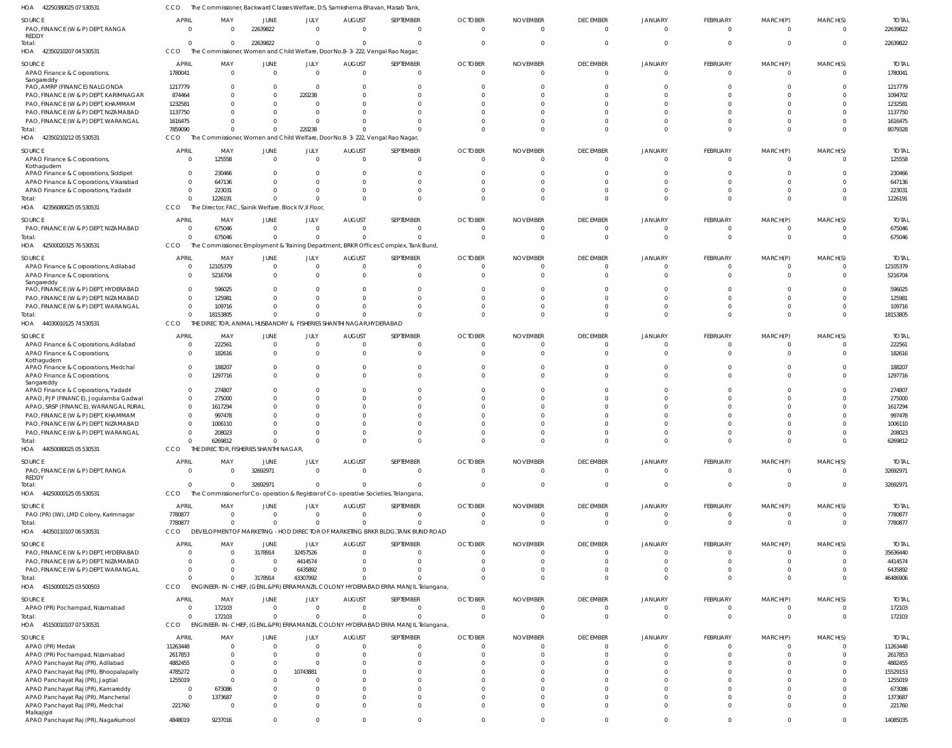42250380025 07 530531 HOA CCO The Commissioner, Backward Classes Welfare, D.S. Samkshema Bhavan, Masab Tank,

| SOURCE<br>PAO, FINANCE (W & P) DEPT, RANGA<br>REDDY                                | APRIL<br>$\Omega$          | MAY                                                   | JUNE<br>22639822           | JULY<br>U          | <b>AUGUST</b>                        | SEPTEMBER<br>$\Omega$                                                                            | <b>OCTOBER</b><br>$\Omega$ | <b>NOVEMBER</b><br>$\Omega$ | <b>DECEMBER</b><br>$\Omega$ | JANUARY<br>$\Omega$        | FEBRUARY<br>$\Omega$       | MARCH(P)<br>$\Omega$     | MARCH(S)<br>$\Omega$ | <b>TOTAL</b><br>22639822 |
|------------------------------------------------------------------------------------|----------------------------|-------------------------------------------------------|----------------------------|--------------------|--------------------------------------|--------------------------------------------------------------------------------------------------|----------------------------|-----------------------------|-----------------------------|----------------------------|----------------------------|--------------------------|----------------------|--------------------------|
| Total:<br>HOA 42350210207 04 530531                                                | $\Omega$<br>CCO            |                                                       | 22639822                   | $\Omega$           |                                      | $\Omega$<br>The Commissioner, Women and Child Welfare, Door No.8-3-222, Vengal Rao Nagar,        |                            |                             | $\Omega$                    |                            | $\Omega$                   | $\Omega$                 | $\Omega$             | 22639822                 |
| SOURCE<br>APAO Finance & Corporations,                                             | APRIL<br>1780041           | MAY<br>$\Omega$                                       | JUNE<br>$\Omega$           | JULY<br>$\Omega$   | <b>AUGUST</b>                        | SEPTEMBER<br>$\overline{0}$                                                                      | <b>OCTOBER</b><br>$\Omega$ | <b>NOVEMBER</b><br>$\Omega$ | <b>DECEMBER</b><br>$\Omega$ | JANUARY                    | FEBRUARY<br>$\overline{0}$ | MARCH(P)<br>$\Omega$     | MARCH(S)<br>$\Omega$ | <b>TOTAL</b><br>1780041  |
| Sangareddy<br>PAO, AMRP (FINANCE) NALGONDA                                         | 1217779                    | - 0                                                   | $\Omega$                   | $\Omega$           |                                      | $\Omega$                                                                                         |                            |                             |                             |                            | $\Omega$                   | $\Omega$                 | $\Omega$             | 1217779                  |
| PAO, FINANCE (W & P) DEPT, KARIMNAGAR                                              | 874464                     |                                                       | $\Omega$                   | 220238             |                                      | $\Omega$                                                                                         |                            |                             |                             |                            | $\Omega$                   |                          | $\Omega$             | 1094702                  |
| PAO, FINANCE (W & P) DEPT, KHAMMAM                                                 | 1232581                    |                                                       |                            |                    |                                      |                                                                                                  |                            |                             |                             |                            | $\Omega$                   |                          |                      | 1232581                  |
| PAO, FINANCE (W & P) DEPT, NIZAMABAD                                               | 1137750                    |                                                       |                            | U                  |                                      | C                                                                                                |                            |                             |                             |                            | $\Omega$                   | $\Omega$                 | $\Omega$             | 1137750                  |
| PAO, FINANCE (W & P) DEPT, WARANGAL                                                | 1616475                    |                                                       |                            | 0                  |                                      |                                                                                                  |                            |                             |                             |                            | $\Omega$                   | $\Omega$                 | $\Omega$             | 1616475                  |
| Total:<br>HOA 42350210212 05 530531                                                | 7859090<br>CCO.            |                                                       | $\Omega$                   | 220238             |                                      | $\Omega$<br>The Commissioner, Women and Child Welfare, Door No.8-3-222, Vengal Rao Nagar,        |                            |                             |                             |                            | $\Omega$                   | $\Omega$                 | $\Omega$             | 8079328                  |
|                                                                                    |                            |                                                       |                            |                    |                                      |                                                                                                  |                            |                             |                             |                            |                            |                          |                      |                          |
| SOURCE<br>APAO Finance & Corporations,<br>Kothagudem                               | APRIL<br>$\Omega$          | MAY<br>125558                                         | JUNE<br>$\Omega$           | JULY<br>$\Omega$   | <b>AUGUST</b>                        | SEPTEMBER<br>$\Omega$                                                                            | <b>OCTOBER</b>             | <b>NOVEMBER</b>             | <b>DECEMBER</b><br>$\Omega$ | JANUARY                    | FEBRUARY<br>$\Omega$       | MARCH(P)<br>$\Omega$     | MARCH(S)<br>$\Omega$ | <b>TOTAL</b><br>125558   |
| APAO Finance & Corporations, Siddipet                                              | $\Omega$                   | 230466                                                |                            |                    |                                      |                                                                                                  |                            |                             |                             |                            | $\sqrt{ }$                 |                          |                      | 230466                   |
| APAO Finance & Corporations, Vikarabad                                             | $\Omega$<br>$\Omega$       | 647136<br>223031                                      |                            |                    |                                      | $\Omega$                                                                                         |                            |                             |                             |                            | $\Omega$<br>$\Omega$       | $\Omega$                 |                      | 647136<br>223031         |
| APAO Finance & Corporations, Yadadri<br>Total:                                     | $\Omega$                   | 1226191                                               | <sup>0</sup>               |                    |                                      | $\Omega$                                                                                         |                            |                             |                             |                            | $\Omega$                   | $\Omega$                 | $\Omega$             | 1226191                  |
| HOA 42356080025 05 530531                                                          | CCO                        | The Director, FAC, Sainik Welfare. Block IV, Il Floor |                            |                    |                                      |                                                                                                  |                            |                             |                             |                            |                            |                          |                      |                          |
|                                                                                    | <b>APRIL</b>               |                                                       |                            |                    |                                      |                                                                                                  |                            |                             |                             |                            |                            |                          |                      | <b>TOTAL</b>             |
| SOURCE<br>PAO, FINANCE (W & P) DEPT, NIZAMABAD                                     | $\overline{0}$             | MAY<br>675046                                         | JUNE<br>$\Omega$           | JULY<br>$\Omega$   | <b>AUGUST</b>                        | SEPTEMBER<br>$\Omega$                                                                            | <b>OCTOBER</b>             | <b>NOVEMBER</b><br>$\Omega$ | <b>DECEMBER</b><br>$\Omega$ | JANUARY                    | FEBRUARY<br>0              | MARCH(P)<br>$\mathbf{0}$ | MARCH(S)<br>- 0      | 675046                   |
| Total:                                                                             | $\mathsf{C}$               | 675046                                                | $\Omega$                   | $\Omega$           |                                      | $\Omega$                                                                                         |                            |                             | $\Omega$                    |                            | $\overline{0}$             | $\mathbf 0$              | $\Omega$             | 675046                   |
| HOA 42500020325 76 530531                                                          | CCO                        |                                                       |                            |                    |                                      | The Commissioner, Employment & Training Department, BRKR Offices Complex, Tank Bund              |                            |                             |                             |                            |                            |                          |                      |                          |
| SOURCE                                                                             | APRIL                      | MAY                                                   | JUNE                       | JULY               | <b>AUGUST</b>                        | SEPTEMBER                                                                                        | <b>OCTOBER</b>             | <b>NOVEMBER</b>             | <b>DECEMBER</b>             | <b>JANUARY</b>             | FEBRUARY                   | MARCH(P)                 | MARCH(S)             | <b>TOTAL</b>             |
| APAO Finance & Corporations, Adilabad                                              | $\Omega$                   | 12105379                                              | $\Omega$                   | 0                  |                                      | $\Omega$                                                                                         |                            |                             | 0                           |                            | $\Omega$                   | 0                        | $\Omega$             | 12105379                 |
| APAO Finance & Corporations,                                                       | $\Omega$                   | 5216704                                               | $\Omega$                   | $\Omega$           |                                      | $\Omega$                                                                                         |                            |                             |                             |                            | $\Omega$                   | $\Omega$                 |                      | 5216704                  |
| Sangareddy<br>PAO, FINANCE (W & P) DEPT, HYDERABAD                                 | $\Omega$                   | 596025                                                | <sup>0</sup>               |                    |                                      | $\Omega$                                                                                         |                            |                             |                             |                            | $\Omega$                   | $\Omega$                 | <sup>0</sup>         | 596025                   |
| PAO, FINANCE (W & P) DEPT, NIZAMABAD                                               | C                          | 125981                                                |                            |                    |                                      |                                                                                                  |                            |                             |                             |                            | $\Omega$                   |                          |                      | 125981                   |
| PAO, FINANCE (W & P) DEPT, WARANGAL                                                | $\Omega$                   | 109716                                                | <sup>0</sup>               |                    |                                      | $\Omega$                                                                                         |                            |                             |                             |                            | $\Omega$                   | $\Omega$                 | $\Omega$             | 109716                   |
| Total:                                                                             | $\Omega$                   | 18153805                                              | $\Omega$                   | $\Omega$           |                                      | $\Omega$                                                                                         |                            |                             |                             |                            | $\Omega$                   | $\Omega$                 | $\Omega$             | 18153805                 |
| HOA 44030010125 74 530531                                                          | CCO                        | THE                                                   | DIRECTOR, ANIMAL HUSBANDRY |                    | & FISHERIES SHANTHI NAGAR, HYDERABAD |                                                                                                  |                            |                             |                             |                            |                            |                          |                      |                          |
| SOURCE                                                                             | APRIL                      | MAY                                                   | JUNE                       | JULY               | <b>AUGUST</b>                        | SEPTEMBER                                                                                        | <b>OCTOBER</b>             | <b>NOVEMBER</b>             | <b>DECEMBER</b>             | JANUARY                    | FEBRUARY                   | MARCH(P)                 | MARCH(S)             | <b>TOTAL</b>             |
| APAO Finance & Corporations, Adilabad                                              | C                          | 222561                                                | $\Omega$                   | 0                  |                                      | 0                                                                                                |                            |                             | 0                           |                            | 0                          | $\mathbf{0}$             | 0                    | 222561                   |
| APAO Finance & Corporations,<br>Kothagudem<br>APAO Finance & Corporations, Medchal | $\Omega$<br>$\overline{0}$ | 182616<br>188207                                      | $\Omega$<br>$\Omega$       | $\Omega$<br>0      |                                      | $\Omega$<br>$\mathbf 0$                                                                          |                            |                             | $\Omega$<br>0               |                            | $\Omega$<br>$\Omega$       | $\Omega$<br>$\Omega$     | $\Omega$<br>$\Omega$ | 182616<br>188207         |
| APAO Finance & Corporations,                                                       | $\Omega$                   | 1297716                                               | $\Omega$                   | <sup>0</sup>       |                                      | $\Omega$                                                                                         |                            |                             |                             |                            | $\Omega$                   | $\Omega$                 | $\Omega$             | 1297716                  |
| Sangareddy                                                                         | $\overline{0}$             | 274807                                                |                            |                    |                                      | $\Omega$                                                                                         |                            |                             |                             |                            | $\Omega$                   | $\Omega$                 | $\Omega$             | 274807                   |
| APAO Finance & Corporations, Yadadri<br>APAO, PJP (FINANCE), Jogulamba Gadwal      | $\overline{0}$             | 275000                                                |                            |                    |                                      | $\Omega$                                                                                         |                            |                             |                             |                            | $\Omega$                   |                          | $\Omega$             | 275000                   |
| APAO, SRSP (FINANCE), WARANGAL RURAL                                               | $\overline{0}$             | 1617294                                               |                            |                    |                                      | C                                                                                                |                            |                             |                             |                            | $\Omega$                   |                          | $\Omega$             | 1617294                  |
| PAO, FINANCE (W & P) DEPT, KHAMMAM                                                 | $\Omega$                   | 997478                                                |                            |                    |                                      |                                                                                                  |                            |                             |                             |                            | $\Omega$                   |                          |                      | 997478                   |
| PAO, FINANCE (W & P) DEPT, NIZAMABAD                                               | C                          | 1006110                                               |                            |                    |                                      | $\Omega$                                                                                         |                            |                             |                             |                            | $\Omega$                   |                          |                      | 1006110                  |
| PAO, FINANCE (W & P) DEPT, WARANGAL                                                | $\Omega$                   | 208023                                                |                            |                    |                                      |                                                                                                  |                            |                             |                             |                            | $\Omega$                   |                          | $\Omega$             | 208023                   |
| Total:                                                                             |                            | 6269812                                               | 0                          |                    |                                      |                                                                                                  |                            |                             |                             |                            |                            | $\Omega$                 | $\Omega$             | 6269812                  |
| HOA 44050080025 05 530531                                                          | CCO                        | THE DIRECTOR, FISHERIES SHANTHI NAGAR,                |                            |                    |                                      |                                                                                                  |                            |                             |                             |                            |                            |                          |                      |                          |
| SOURCE<br>PAO, FINANCE (W & P) DEPT, RANGA<br><b>REDDY</b>                         | APRIL<br>$\Omega$          | MAY<br>$\Omega$                                       | JUNE<br>32692971           | JULY<br>$\Omega$   | <b>AUGUST</b><br>$\Omega$            | SEPTEMBER<br>$\Omega$                                                                            | <b>OCTOBER</b><br>$\Omega$ | <b>NOVEMBER</b><br>$\Omega$ | <b>DECEMBER</b><br>$\Omega$ | <b>JANUARY</b><br>$\Omega$ | FEBRUARY<br>$\overline{0}$ | MARCH(P)<br>$\Omega$     | MARCH(S)<br>$\Omega$ | <b>TOTAL</b><br>32692971 |
| Total:                                                                             | $\Omega$                   | $\Omega$                                              | 32692971                   | $\Omega$           | $\Omega$                             | $\Omega$                                                                                         | $\Omega$                   | $\Omega$                    | $\Omega$                    | $\Omega$                   | $\overline{0}$             | $\overline{0}$           | $\overline{0}$       | 32692971                 |
| HOA 44250000125 05 530531                                                          | CCO                        |                                                       |                            |                    |                                      | The Commissioner for Co-operation & Registrar of Co-operative Societies, Telangana,              |                            |                             |                             |                            |                            |                          |                      |                          |
| SOURCE                                                                             | <b>APRIL</b>               | MAY                                                   | <b>JUNE</b>                | JULY               | <b>AUGUST</b>                        | SEPTEMBER                                                                                        | <b>OCTOBER</b>             | <b>NOVEMBER</b>             | <b>DECEMBER</b>             | <b>JANUARY</b>             | FEBRUARY                   | MARCH(P)                 | MARCH(S)             | <b>TOTAL</b>             |
| PAO (PR) (IW), LMD Colony, Karimnagar                                              | 7780877                    | $\Omega$                                              | $\mathbf{0}$               | $\mathbf 0$        | $\Omega$                             | $\mathbf{0}$                                                                                     | $\Omega$                   | $\Omega$                    | $\mathbf 0$                 | $\Omega$                   | $\overline{0}$             | $\overline{0}$           | $\overline{0}$       | 7780877                  |
| Total:<br>HOA 44350110107 06 530531                                                | 7780877<br>CCO.            | $\Omega$                                              | $\Omega$                   | $\Omega$           |                                      | $\overline{0}$<br>DEVELOPMENT OF MARKETING - HOD DIRECTOR OF MARKETING BRKR BLDG, TANK BUND ROAD | $\Omega$                   | $\Omega$                    | $\Omega$                    | $\Omega$                   | $\mathbf{0}$               | $\mathbf{0}$             | $\overline{0}$       | 7780877                  |
|                                                                                    |                            |                                                       |                            |                    |                                      |                                                                                                  |                            |                             |                             |                            |                            |                          |                      |                          |
| SOURCE                                                                             | <b>APRIL</b>               | MAY                                                   | JUNE                       | JULY               | <b>AUGUST</b>                        | SEPTEMBER                                                                                        | <b>OCTOBER</b>             | <b>NOVEMBER</b>             | <b>DECEMBER</b>             | <b>JANUARY</b>             | FEBRUARY                   | MARCH(P)                 | MARCH(S)             | <b>TOTAL</b>             |
| PAO, FINANCE (W & P) DEPT, HYDERABAD                                               | $\Omega$<br>$\Omega$       | $\Omega$                                              | 3178914<br>$\Omega$        | 32457526           |                                      | $\Omega$<br>$\Omega$                                                                             |                            |                             | 0                           | $\Omega$                   | $\Omega$<br>$\Omega$       | $\Omega$<br>$\Omega$     | $\Omega$             | 35636440                 |
| PAO, FINANCE (W & P) DEPT, NIZAMABAD<br>PAO, FINANCE (W & P) DEPT, WARANGAL        | $\Omega$                   | $\Omega$                                              | $\Omega$                   | 4414574<br>6435892 |                                      | $\Omega$                                                                                         |                            |                             | 0                           | 0<br><sup>0</sup>          | $\Omega$                   | $\Omega$                 | $\Omega$<br>0        | 4414574<br>6435892       |
| Total:                                                                             | $\Omega$                   |                                                       | 3178914                    | 43307992           |                                      | $\Omega$                                                                                         |                            |                             |                             | $\Omega$                   | $\Omega$                   | $\Omega$                 | $\Omega$             | 46486906                 |
| HOA 45150000125 03 500503                                                          | CCO                        |                                                       |                            |                    |                                      | ENGINEER-IN-CHIEF, (GENL.&PR) ERRAMANZIL COLONY HYDERABAD ERRA MANJIL Telangana,                 |                            |                             |                             |                            |                            |                          |                      |                          |
| SOURCE                                                                             | <b>APRIL</b>               | MAY                                                   | <b>JUNE</b>                | JULY               | <b>AUGUST</b>                        | SEPTEMBER                                                                                        | <b>OCTOBER</b>             | <b>NOVEMBER</b>             | <b>DECEMBER</b>             | <b>JANUARY</b>             | FEBRUARY                   | MARCH(P)                 | MARCH(S)             | <b>TOTAL</b>             |
| APAO (PR) Pochampad, Nizamabad                                                     | $\overline{0}$             | 172103                                                | $\mathbf{0}$               | $\mathbf 0$        | $\Omega$                             | $\mathbf 0$                                                                                      | $\Omega$                   | $\Omega$                    | $\mathbf 0$                 | $\Omega$                   | $\overline{0}$             | $\overline{0}$           | $\overline{0}$       | 172103                   |
| Total:                                                                             | $\Omega$                   | 172103                                                | $\Omega$                   | $\Omega$           |                                      | $\Omega$                                                                                         | $\Omega$                   | $\Omega$                    | $\Omega$                    | $\Omega$                   | $\mathbf{0}$               | $\mathbf{0}$             | $\overline{0}$       | 172103                   |
| HOA 45150010107 07 530531                                                          | CCO                        |                                                       |                            |                    |                                      | ENGINEER-IN-CHIEF, (GENL.&PR) ERRAMANZIL COLONY HYDERABAD ERRA MANJIL Telangana,                 |                            |                             |                             |                            |                            |                          |                      |                          |
| SOURCE                                                                             | APRIL                      | MAY                                                   | JUNE                       | JULY               | <b>AUGUST</b>                        | SEPTEMBER                                                                                        | <b>OCTOBER</b>             | <b>NOVEMBER</b>             | <b>DECEMBER</b>             | <b>JANUARY</b>             | FEBRUARY                   | MARCH(P)                 | MARCH(S)             | <b>TOTAL</b>             |
| APAO (PR) Medak                                                                    | 11263448                   | - 0                                                   | $\Omega$                   | $\Omega$           |                                      | $\Omega$                                                                                         |                            |                             | 0                           | <sup>0</sup>               | $\Omega$                   | 0                        | $\Omega$             | 11263448                 |
| APAO (PR) Pochampad, Nizamabad                                                     | 2617853                    |                                                       |                            | $\Omega$           |                                      | $\Omega$                                                                                         |                            |                             |                             |                            | $\Omega$                   | $\Omega$                 |                      | 2617853                  |
| APAO Panchayat Raj (PR), Adilabad                                                  | 4882455                    |                                                       | $\Omega$                   | $\Omega$           |                                      | $\Omega$                                                                                         |                            |                             |                             |                            | $\Omega$                   | $\Omega$                 |                      | 4882455                  |
| APAO Panchayat Raj (PR), Bhoopalapally                                             | 4785272                    |                                                       | 0                          | 10743881           |                                      | $\Omega$<br>$\Omega$                                                                             |                            |                             |                             |                            | $\Omega$<br>$\Omega$       | $\Omega$<br>$\Omega$     |                      | 15529153<br>1255019      |
| APAO Panchayat Raj (PR), Jagtial<br>APAO Panchayat Raj (PR), Kamareddy             | 1255019<br>$\overline{0}$  | 673086                                                |                            |                    |                                      | $\Omega$                                                                                         |                            |                             |                             |                            | $\Omega$                   | $\Omega$                 |                      | 673086                   |
| APAO Panchayat Raj (PR), Mancherial                                                | $\overline{0}$             | 1373687                                               |                            |                    |                                      | $\Omega$                                                                                         |                            |                             |                             |                            | $\Omega$                   | $\Omega$                 | $\Omega$             | 1373687                  |
| APAO Panchayat Raj (PR), Medchal                                                   | 221760                     |                                                       |                            | <sup>0</sup>       |                                      | $\Omega$                                                                                         |                            |                             |                             |                            | $\Omega$                   | $\Omega$                 | $\Omega$             | 221760                   |
| Malkajigiri                                                                        |                            |                                                       |                            |                    |                                      |                                                                                                  |                            |                             |                             |                            |                            |                          |                      |                          |
| APAO Panchayat Raj (PR), Nagarkurnool                                              | 4848019                    | 9237016                                               | $\Omega$                   | $\Omega$           |                                      | $\mathbf{0}$                                                                                     |                            | $\Omega$                    | $\Omega$                    | $\Omega$                   | $\overline{0}$             | $\mathbf{0}$             | $\Omega$             | 14085035                 |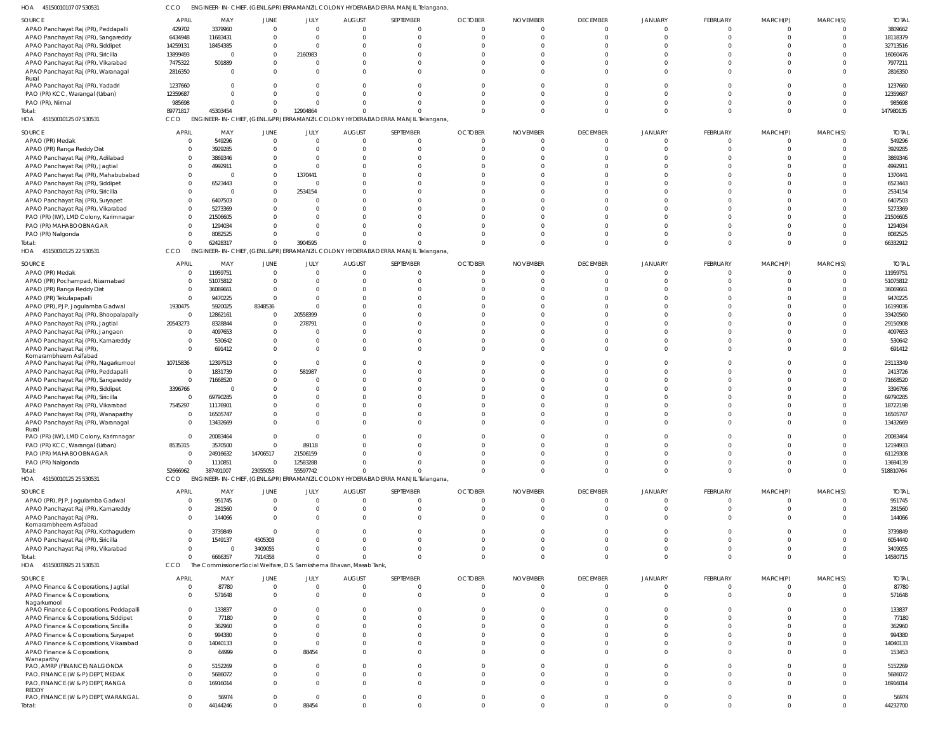45150010107 07 530531 HOA CCO ENGINEER-IN-CHIEF, (GENL.&PR) ERRAMANZIL COLONY HYDERABAD ERRA MANJIL Telangana,

| SOURCE                                                       | APRIL          | MAY               | <b>JUNE</b> | JULY                  | <b>AUGUST</b>                                                       | SEPTEMBER                                                                        | <b>OCTOBER</b>                | <b>NOVEMBER</b>      | <b>DECEMBER</b>                  | JANUARY                          | FEBRUARY                   | MARCH(P)                      | MARCH(S)                         | <b>TOTAL</b>      |
|--------------------------------------------------------------|----------------|-------------------|-------------|-----------------------|---------------------------------------------------------------------|----------------------------------------------------------------------------------|-------------------------------|----------------------|----------------------------------|----------------------------------|----------------------------|-------------------------------|----------------------------------|-------------------|
| APAO Panchayat Raj (PR), Peddapalli                          | 429702         | 3379960           | 0           | $\overline{0}$        |                                                                     | $\overline{0}$                                                                   | $\Omega$                      |                      | $\overline{0}$                   | $\overline{0}$                   | $\mathbf 0$                | $\mathbf 0$                   | $\overline{0}$                   | 3809662           |
|                                                              |                |                   |             | $\Omega$              |                                                                     | $\Omega$                                                                         | $\Omega$                      |                      | $\overline{0}$                   | $\Omega$                         | $\mathbf{0}$               | $\mathbf 0$                   | $\Omega$                         |                   |
| APAO Panchayat Raj (PR), Sangareddy                          | 6434948        | 11683431          |             |                       |                                                                     |                                                                                  |                               |                      |                                  |                                  |                            |                               |                                  | 18118379          |
| APAO Panchayat Raj (PR), Siddipet                            | 14259131       | 18454385          | 0           | $\Omega$              |                                                                     | $\Omega$                                                                         | $\Omega$                      |                      | $\Omega$                         |                                  | $\Omega$                   | $\Omega$                      | $\Omega$                         | 32713516          |
| APAO Panchayat Raj (PR), Siricilla                           | 13899493       | $\Omega$          | 0           | 2160983               |                                                                     | $\Omega$                                                                         |                               |                      | $\Omega$                         |                                  | $\Omega$                   | $\Omega$                      |                                  | 16060476          |
| APAO Panchayat Raj (PR), Vikarabad                           | 7475322        | 501889            | 0           | 0                     |                                                                     | $\Omega$                                                                         | <sup>0</sup>                  |                      | $\Omega$                         |                                  | $\Omega$                   | $\Omega$                      | $\Omega$                         | 7977211           |
| APAO Panchayat Raj (PR), Waranagal                           | 2816350        |                   | $\Omega$    | $\mathbf 0$           |                                                                     | $\Omega$                                                                         | $\Omega$                      |                      | $\Omega$                         | $\Omega$                         | $\Omega$                   | $\Omega$                      | $\Omega$                         | 2816350           |
| Rural<br>APAO Panchayat Raj (PR), Yadadri                    | 1237660        |                   |             | $\Omega$              |                                                                     | $\Omega$                                                                         |                               |                      | $\Omega$                         | $\Omega$                         | $\Omega$                   | $\Omega$                      | $\Omega$                         | 1237660           |
| PAO (PR) KCC, Warangal (Urban)                               | 12359687       | <sup>0</sup>      |             | $\Omega$              |                                                                     | $\Omega$                                                                         | $\Omega$                      |                      | $\Omega$                         | $\Omega$                         | $\Omega$                   | $\Omega$                      | $\Omega$                         | 12359687          |
| PAO (PR), Nirmal                                             | 985698         |                   | 0           | $\Omega$              |                                                                     | $\Omega$                                                                         | $\Omega$                      |                      | $\Omega$                         | $\Omega$                         | $\Omega$                   | $\Omega$                      | $\Omega$                         | 985698            |
|                                                              |                |                   |             |                       |                                                                     |                                                                                  |                               |                      |                                  |                                  |                            |                               |                                  |                   |
| Total:                                                       | 89771817       | 45303454          | $\Omega$    | 12904864              |                                                                     | $\Omega$                                                                         | $\Omega$                      | <sup>0</sup>         | $\Omega$                         | $\Omega$                         | $\Omega$                   | $\mathbf 0$                   | $\Omega$                         | 147980135         |
| HOA 45150010125 07 530531                                    | CCO            |                   |             |                       |                                                                     | ENGINEER-IN-CHIEF, (GENL.&PR) ERRAMANZIL COLONY HYDERABAD ERRA MANJIL Telangana  |                               |                      |                                  |                                  |                            |                               |                                  |                   |
| SOURCE                                                       | <b>APRIL</b>   | MAY               | JUNE        | JULY                  | <b>AUGUST</b>                                                       | SEPTEMBER                                                                        | <b>OCTOBER</b>                | <b>NOVEMBER</b>      | <b>DECEMBER</b>                  | JANUARY                          | FEBRUARY                   | MARCH(P)                      | MARCH(S)                         | <b>TOTAL</b>      |
|                                                              |                |                   |             |                       |                                                                     |                                                                                  |                               |                      |                                  |                                  |                            |                               |                                  |                   |
| APAO (PR) Medak                                              | - 0            | 549296            | $\Omega$    | $\overline{0}$        | $\Omega$                                                            | $\overline{0}$                                                                   | $\Omega$                      |                      | $\overline{0}$                   | $\Omega$                         | $\overline{0}$             | $\mathbf 0$                   | $\Omega$                         | 549296            |
| APAO (PR) Ranga Reddy Dist                                   |                | 3929285           |             | $\Omega$              |                                                                     | $\Omega$                                                                         | $\Omega$                      |                      | $\mathbf 0$                      | $\Omega$                         | $\Omega$                   | $\Omega$                      | $\Omega$                         | 3929285           |
| APAO Panchayat Raj (PR), Adilabad                            |                | 3869346           |             | $\Omega$              |                                                                     | $\Omega$                                                                         |                               |                      | $\Omega$                         |                                  |                            |                               | $\Omega$                         | 3869346           |
| APAO Panchayat Raj (PR), Jagtial                             |                | 4992911           |             | $\Omega$              |                                                                     |                                                                                  |                               |                      | $\Omega$                         |                                  |                            |                               | $\Omega$                         | 4992911           |
| APAO Panchayat Raj (PR), Mahabubabad                         |                |                   | 0           | 1370441               |                                                                     |                                                                                  |                               |                      | $\Omega$                         |                                  |                            |                               |                                  | 1370441           |
|                                                              |                |                   |             |                       |                                                                     |                                                                                  |                               |                      |                                  |                                  |                            |                               |                                  |                   |
| APAO Panchayat Raj (PR), Siddipet                            | $\Omega$       | 6523443           |             | C                     |                                                                     |                                                                                  |                               |                      | $\Omega$                         |                                  |                            |                               | $\Omega$                         | 6523443           |
| APAO Panchayat Raj (PR), Siricilla                           | $\Omega$       |                   | $\Omega$    | 2534154               |                                                                     |                                                                                  |                               |                      | $\Omega$                         |                                  |                            |                               |                                  | 2534154           |
| APAO Panchayat Raj (PR), Suryapet                            | $\Omega$       | 6407503           |             | $\Omega$              |                                                                     |                                                                                  |                               |                      | $\Omega$                         |                                  |                            |                               | $\Omega$                         | 6407503           |
| APAO Panchayat Raj (PR), Vikarabad                           |                | 5273369           |             | $\Omega$              |                                                                     |                                                                                  |                               |                      | $\Omega$                         |                                  |                            |                               |                                  | 5273369           |
|                                                              |                |                   |             | $\Omega$              |                                                                     |                                                                                  |                               |                      | $\Omega$                         |                                  |                            |                               | $\cap$                           |                   |
| PAO (PR) (IW), LMD Colony, Karimnagar                        |                | 21506605          |             |                       |                                                                     |                                                                                  |                               |                      |                                  |                                  |                            |                               |                                  | 21506605          |
| PAO (PR) MAHABOOBNAGAR                                       |                | 1294034           |             | $\Omega$              |                                                                     |                                                                                  |                               |                      | $\Omega$                         |                                  |                            |                               |                                  | 1294034           |
| PAO (PR) Nalgonda                                            |                | 8082525           |             | $\Omega$              |                                                                     |                                                                                  |                               |                      | $\Omega$                         | $\Omega$                         | $\Omega$                   | $\Omega$                      | $\Omega$                         | 8082525           |
| Total:                                                       | $\Omega$       | 62428317          | $\mathbf 0$ | 3904595               |                                                                     |                                                                                  | $\Omega$                      | U                    | $\Omega$                         | $\Omega$                         | $\Omega$                   | $\Omega$                      | $\Omega$                         | 66332912          |
| HOA 45150010125 22 530531                                    | CCO            |                   |             |                       |                                                                     | ENGINEER-IN-CHIEF, (GENL.&PR) ERRAMANZIL COLONY HYDERABAD ERRA MANJIL Telangana  |                               |                      |                                  |                                  |                            |                               |                                  |                   |
| SOURCE                                                       | <b>APRIL</b>   | MAY               | <b>JUNE</b> | JULY                  | <b>AUGUST</b>                                                       | SEPTEMBER                                                                        | <b>OCTOBER</b>                | <b>NOVEMBER</b>      | <b>DECEMBER</b>                  | JANUARY                          | FEBRUARY                   | MARCH(P)                      | MARCH(S)                         | <b>TOTAL</b>      |
| APAO (PR) Medak                                              |                | 11959751          | 0           | $\overline{0}$        |                                                                     | $\overline{0}$                                                                   | $\Omega$                      |                      | $\mathbf 0$                      | $\overline{0}$                   | $\overline{0}$             | $\mathbf 0$                   | $\overline{0}$                   | 11959751          |
| APAO (PR) Pochampad, Nizamabad                               |                | 51075812          | $\Omega$    | $\Omega$              |                                                                     | $\Omega$                                                                         | $\Omega$                      |                      | $\Omega$                         | $\Omega$                         | $\Omega$                   | $\Omega$                      | $\Omega$                         | 51075812          |
|                                                              |                |                   |             |                       |                                                                     |                                                                                  |                               |                      |                                  |                                  |                            |                               |                                  |                   |
| APAO (PR) Ranga Reddy Dist                                   |                | 36069661          | 0           | $\Omega$              |                                                                     | $\Omega$                                                                         |                               |                      | $\Omega$                         |                                  | $\Omega$                   | $\Omega$                      | $\Omega$                         | 36069661          |
| APAO (PR) Tekulapapalli                                      | $\Omega$       | 9470225           | $\Omega$    | $\Omega$              |                                                                     | $\Omega$                                                                         |                               |                      | $\Omega$                         |                                  | $\Omega$                   | $\Omega$                      | $\Omega$                         | 9470225           |
| APAO (PR), PJP, Jogulamba Gadwal                             | 1930475        | 5920025           | 8348536     | $\Omega$              |                                                                     | $\Omega$                                                                         |                               |                      | $\Omega$                         |                                  | $\Omega$                   | $\Omega$                      | $\Omega$                         | 16199036          |
| APAO Panchayat Raj (PR), Bhoopalapally                       | $\overline{0}$ | 12862161          | 0           | 20558399              |                                                                     | $\Omega$                                                                         |                               |                      | $\Omega$                         |                                  | $\cap$                     | $\Omega$                      | $\cap$                           | 33420560          |
| APAO Panchayat Raj (PR), Jagtial                             | 20543273       | 8328844           | $\mathbf 0$ | 278791                |                                                                     | $\Omega$                                                                         |                               |                      | $\Omega$                         |                                  | $\Omega$                   | $\Omega$                      | $\Omega$                         | 29150908          |
|                                                              |                |                   |             |                       |                                                                     |                                                                                  |                               |                      |                                  |                                  |                            |                               |                                  |                   |
| APAO Panchayat Raj (PR), Jangaon                             | - 0            | 4097653           | $\Omega$    | $\Omega$              |                                                                     | $\Omega$                                                                         |                               |                      | $\Omega$                         | $\Omega$                         | $\Omega$                   | $\Omega$                      | $\Omega$                         | 4097653           |
| APAO Panchayat Raj (PR), Kamareddy                           |                | 530642            | 0           | $\mathbf 0$           |                                                                     | $\Omega$                                                                         | <sup>0</sup>                  |                      | $\Omega$                         | $\Omega$                         | $\Omega$                   | $\Omega$                      | $\Omega$                         | 530642            |
| APAO Panchayat Raj (PR),                                     | $\Omega$       | 691412            | $\Omega$    | $\mathbf 0$           |                                                                     | $\Omega$                                                                         | $\Omega$                      |                      | $\Omega$                         | $\Omega$                         | $\Omega$                   | $\Omega$                      | $\Omega$                         | 691412            |
| Komarambheem Asifabad                                        |                |                   |             |                       |                                                                     |                                                                                  |                               |                      |                                  |                                  |                            |                               |                                  |                   |
| APAO Panchayat Raj (PR), Nagarkurnool                        | 10715836       | 12397513          | 0           | $\overline{0}$        |                                                                     | $\Omega$                                                                         | $\Omega$                      |                      | $\Omega$                         | $\Omega$                         | $\Omega$                   | $\Omega$                      | $\Omega$                         | 23113349          |
| APAO Panchayat Raj (PR), Peddapalli                          | - 0            | 1831739           | $\Omega$    | 581987                |                                                                     | $\Omega$                                                                         | $\cap$                        |                      | $\Omega$                         | $\Omega$                         | $\Omega$                   | $\Omega$                      | $\Omega$                         | 2413726           |
|                                                              |                |                   |             |                       |                                                                     | $\Omega$                                                                         |                               |                      | $\Omega$                         |                                  | $\Omega$                   | $\Omega$                      | $\Omega$                         |                   |
| APAO Panchayat Raj (PR), Sangareddy                          | C              | 71668520          | 0           | $\Omega$              |                                                                     |                                                                                  |                               |                      |                                  |                                  |                            |                               |                                  | 71668520          |
| APAO Panchayat Raj (PR), Siddipet                            | 3396766        |                   |             | $\Omega$              |                                                                     | $\Omega$                                                                         |                               |                      | $\Omega$                         |                                  | $\Omega$                   | $\Omega$                      | $\Omega$                         | 3396766           |
| APAO Panchayat Raj (PR), Siricilla                           | $^{\circ}$     | 69790285          |             | $\Omega$              |                                                                     | $\Omega$                                                                         |                               |                      | $\Omega$                         |                                  |                            | $\cap$                        | $\Omega$                         | 69790285          |
| APAO Panchayat Raj (PR), Vikarabad                           | 7545297        | 11176901          |             | $\Omega$              |                                                                     | $\Omega$                                                                         |                               |                      | $\Omega$                         |                                  |                            | $\Omega$                      |                                  | 18722198          |
| APAO Panchayat Raj (PR), Wanaparthy                          |                | 16505747          | 0           | $\Omega$              | U                                                                   | $\mathbf 0$                                                                      | <sup>0</sup>                  |                      | $\Omega$                         | $\Omega$                         | $\Omega$                   | $\Omega$                      | $\Omega$                         | 16505747          |
|                                                              |                |                   |             |                       |                                                                     |                                                                                  |                               |                      |                                  |                                  |                            |                               |                                  |                   |
| APAO Panchayat Raj (PR), Waranagal                           |                | 13432669          | $\Omega$    | $\Omega$              | O                                                                   | $\Omega$                                                                         | $\Omega$                      |                      | $\Omega$                         | $\Omega$                         | $\Omega$                   | $\Omega$                      | $\Omega$                         | 13432669          |
| Rural                                                        |                |                   |             |                       |                                                                     |                                                                                  |                               |                      |                                  |                                  |                            |                               |                                  |                   |
| PAO (PR) (IW), LMD Colony, Karimnagar                        |                | 20083464          |             | $\Omega$              |                                                                     |                                                                                  |                               |                      |                                  |                                  |                            | -0                            |                                  | 20083464          |
| PAO (PR) KCC, Warangal (Urban)                               | 8535315        | 3570500           | $\mathbf 0$ | 89118                 |                                                                     | $\Omega$                                                                         | <sup>0</sup>                  |                      | $\Omega$                         | $\cap$                           | $\Omega$                   | $\Omega$                      |                                  | 12194933          |
| PAO (PR) MAHABOOBNAGAR                                       | $\Omega$       | 24916632          | 14706517    | 21506159              |                                                                     | $\Omega$                                                                         | $\Omega$                      |                      | $\Omega$                         | $\Omega$                         | $\Omega$                   | $\Omega$                      | $\Omega$                         | 61129308          |
| PAO (PR) Nalgonda                                            |                | 1110851           | $\mathbf 0$ | 12583288              |                                                                     | $\Omega$                                                                         | $\Omega$                      | <sup>0</sup>         | $\Omega$                         | $\Omega$                         | $\Omega$                   | $\mathbf 0$                   |                                  | 13694139          |
|                                                              | 52666962       | 387491007         | 23055053    | 55597742              |                                                                     | $\Omega$                                                                         | $\Omega$                      | $\Omega$             | $\Omega$                         | $\overline{0}$                   | $\Omega$                   | $\overline{0}$                | $\Omega$                         | 518810764         |
| Total:                                                       |                |                   |             |                       |                                                                     |                                                                                  |                               |                      |                                  |                                  |                            |                               |                                  |                   |
| 45150010125 25 530531<br>HOA                                 | CCO            |                   |             |                       |                                                                     | ENGINEER-IN-CHIEF, (GENL.&PR) ERRAMANZIL COLONY HYDERABAD ERRA MANJIL Telangana, |                               |                      |                                  |                                  |                            |                               |                                  |                   |
| SOURCE                                                       | <b>APRIL</b>   | MAY               | JUNE        | JULY                  | <b>AUGUST</b>                                                       | SEPTEMBER                                                                        | <b>OCTOBER</b>                | <b>NOVEMBER</b>      | <b>DECEMBER</b>                  | JANUARY                          | FEBRUARY                   | MARCH(P)                      | MARCH(S)                         | <b>TOTAL</b>      |
| APAO (PR), PJP, Jogulamba Gadwal                             | - 0            | 951745            | $\mathbf 0$ | $\overline{0}$        | $\Omega$                                                            | $\Omega$                                                                         | $\Omega$                      | $\Omega$             | $\overline{0}$                   | $\mathbf{0}$                     | $\Omega$                   | $^{\circ}$                    | $\Omega$                         | 951745            |
| APAO Panchayat Raj (PR), Kamareddy                           |                | 281560            | 0           | $\mathbf{0}$          |                                                                     | $\mathbf 0$                                                                      | $\mathbf{0}$                  | $\Omega$             | $\overline{0}$                   | $\overline{0}$                   | $\overline{0}$             | $\overline{0}$                | $\Omega$                         | 281560            |
|                                                              |                |                   |             |                       |                                                                     |                                                                                  |                               | $\Omega$             | $\Omega$                         | $\Omega$                         |                            | $\Omega$                      | $\Omega$                         |                   |
| APAO Panchayat Raj (PR),                                     |                | 144066            | $\Omega$    | $\Omega$              |                                                                     | $\Omega$                                                                         | $\Omega$                      |                      |                                  |                                  | $\Omega$                   |                               |                                  | 144066            |
| Komarambheem Asifabad<br>APAO Panchayat Raj (PR), Kothagudem | $\Omega$       | 3739849           | $\Omega$    | $\Omega$              |                                                                     | $\Omega$                                                                         | $\Omega$                      |                      | $\Omega$                         | $\Omega$                         | $\Omega$                   | $\Omega$                      |                                  | 3739849           |
|                                                              |                |                   |             |                       |                                                                     |                                                                                  |                               |                      |                                  |                                  |                            |                               |                                  |                   |
| APAO Panchayat Raj (PR), Siricilla                           |                | 1549137           | 4505303     | $\Omega$              |                                                                     | $\Omega$                                                                         | $\Omega$                      | $\Omega$             | $\Omega$                         | $\Omega$                         | $\Omega$                   | $\Omega$                      | $\Omega$                         | 6054440           |
| APAO Panchayat Raj (PR), Vikarabad                           |                | $\Omega$          | 3409055     | $\Omega$              |                                                                     | $\Omega$                                                                         | $\Omega$                      | $\Omega$             | $\Omega$                         | $\Omega$                         | $\mathbf 0$                | $\mathbf 0$                   | $\Omega$                         | 3409055           |
| Total:                                                       |                | 6666357           | 7914358     | $\Omega$              |                                                                     | $\Omega$                                                                         | $\Omega$                      | $\Omega$             | $\Omega$                         | $\Omega$                         | $\Omega$                   | $\Omega$                      | $\Omega$                         | 14580715          |
| HOA 45150078925 21 530531                                    | CCO            |                   |             |                       | The Commissioner Social Welfare, D.S. Samkshema Bhavan, Masab Tank, |                                                                                  |                               |                      |                                  |                                  |                            |                               |                                  |                   |
|                                                              |                |                   |             |                       |                                                                     |                                                                                  |                               |                      |                                  |                                  |                            |                               |                                  |                   |
| SOURCE                                                       | <b>APRIL</b>   | MAY               | JUNE        | JULY                  | <b>AUGUST</b>                                                       | SEPTEMBER                                                                        | <b>OCTOBER</b>                | <b>NOVEMBER</b>      | <b>DECEMBER</b>                  | JANUARY                          | FEBRUARY                   | MARCH(P)                      | MARCH(S)                         | <b>TOTAL</b>      |
| APAO Finance & Corporations, Jagtial                         | - 0            | 87780             | $\mathbf 0$ | $\mathbf{0}$          | $\Omega$                                                            | $\mathbf 0$                                                                      | $\overline{0}$                | $\Omega$             | $\overline{0}$                   | $\mathbf 0$                      | $\overline{0}$             | $\overline{0}$                | $\overline{0}$                   | 87780             |
| APAO Finance & Corporations,                                 |                | 571648            | $\mathbf 0$ | $\mathbf 0$           | $\Omega$                                                            | $\mathbf{0}$                                                                     | $\Omega$                      |                      | $\overline{0}$                   | $\Omega$                         | $\overline{0}$             | $\overline{0}$                | $\Omega$                         | 571648            |
| Nagarkurnool                                                 |                |                   |             |                       |                                                                     |                                                                                  |                               |                      |                                  |                                  |                            |                               |                                  |                   |
| APAO Finance & Corporations, Peddapalli                      | $\Omega$       | 133837            | U           | $\Omega$              |                                                                     | $\Omega$                                                                         | <sup>0</sup>                  |                      | $\Omega$                         | $\Omega$                         | $\Omega$                   | $\Omega$                      | $\Omega$                         | 133837            |
| APAO Finance & Corporations, Siddipet                        | $\Omega$       | 77180             |             | $\Omega$              |                                                                     | $\Omega$                                                                         | $\Omega$                      |                      | $\Omega$                         | $\Omega$                         | $\Omega$                   | $\Omega$                      | $\Omega$                         | 77180             |
| APAO Finance & Corporations, Siricilla                       |                | 362960            |             | $\Omega$              |                                                                     | $\Omega$                                                                         | <sup>0</sup>                  |                      | $\Omega$                         | $\Omega$                         | $\Omega$                   | $\Omega$                      | $\Omega$                         | 362960            |
|                                                              |                |                   |             |                       |                                                                     |                                                                                  |                               |                      |                                  |                                  |                            |                               |                                  |                   |
| APAO Finance & Corporations, Suryapet                        | $\Omega$       | 994380            |             | $\mathbf{0}$          |                                                                     | $\Omega$                                                                         | <sup>0</sup>                  |                      | $\Omega$                         | $\Omega$                         | $\Omega$                   | $\Omega$                      | $\Omega$                         | 994380            |
| APAO Finance & Corporations, Vikarabad                       |                | 14040133          |             | $\Omega$              |                                                                     | $\Omega$                                                                         | <sup>0</sup>                  |                      | $\Omega$                         | $\Omega$                         | $\Omega$                   | $\Omega$                      | $\Omega$                         | 14040133          |
| APAO Finance & Corporations,                                 | $\Omega$       | 64999             | $\mathbf 0$ | 88454                 |                                                                     | $\Omega$                                                                         | $\Omega$                      |                      | $\Omega$                         | $\Omega$                         | $\Omega$                   | $\mathbf{0}$                  | $\Omega$                         | 153453            |
| Wanaparthy                                                   |                |                   |             |                       |                                                                     |                                                                                  |                               |                      |                                  |                                  |                            |                               |                                  |                   |
| PAO, AMRP (FINANCE) NALGONDA                                 |                | 5152269           | $\Omega$    | $\Omega$              |                                                                     | $\Omega$                                                                         | $\Omega$                      |                      | $\Omega$                         | $\Omega$                         | $\Omega$                   | $\Omega$                      | $\Omega$                         | 5152269           |
| PAO, FINANCE (W & P) DEPT, MEDAK                             |                | 5686072           | $\Omega$    | $\mathbf{0}$          | 0                                                                   | $\mathbf 0$                                                                      | $\Omega$                      | <sup>0</sup>         | $\overline{0}$                   | $\mathbf 0$                      | $\mathbf 0$                | $\mathbf{0}$                  | $\Omega$                         | 5686072           |
| PAO, FINANCE (W & P) DEPT, RANGA                             |                | 16916014          | 0           | $\mathbf{0}$          |                                                                     | $\Omega$                                                                         | $\Omega$                      | $\Omega$             | $\Omega$                         | $\Omega$                         | $\mathbf{0}$               | $\mathbf{0}$                  | $\Omega$                         | 16916014          |
|                                                              |                |                   |             |                       |                                                                     |                                                                                  |                               |                      |                                  |                                  |                            |                               |                                  |                   |
| <b>REDDY</b>                                                 |                |                   |             |                       |                                                                     |                                                                                  |                               |                      |                                  |                                  |                            |                               |                                  |                   |
|                                                              |                |                   |             |                       |                                                                     |                                                                                  |                               |                      |                                  |                                  |                            |                               |                                  |                   |
| PAO, FINANCE (W & P) DEPT, WARANGAL<br>Total:                |                | 56974<br>44144246 | 0<br>0      | $\mathbf{0}$<br>88454 | $\Omega$<br>$\mathbf 0$                                             | $\overline{0}$<br>$\mathbf 0$                                                    | $\overline{0}$<br>$\mathbf 0$ | $\Omega$<br>$\Omega$ | $\overline{0}$<br>$\overline{0}$ | $\overline{0}$<br>$\overline{0}$ | $\mathbf 0$<br>$\mathbf 0$ | $\mathbf 0$<br>$\overline{0}$ | $\overline{0}$<br>$\overline{0}$ | 56974<br>44232700 |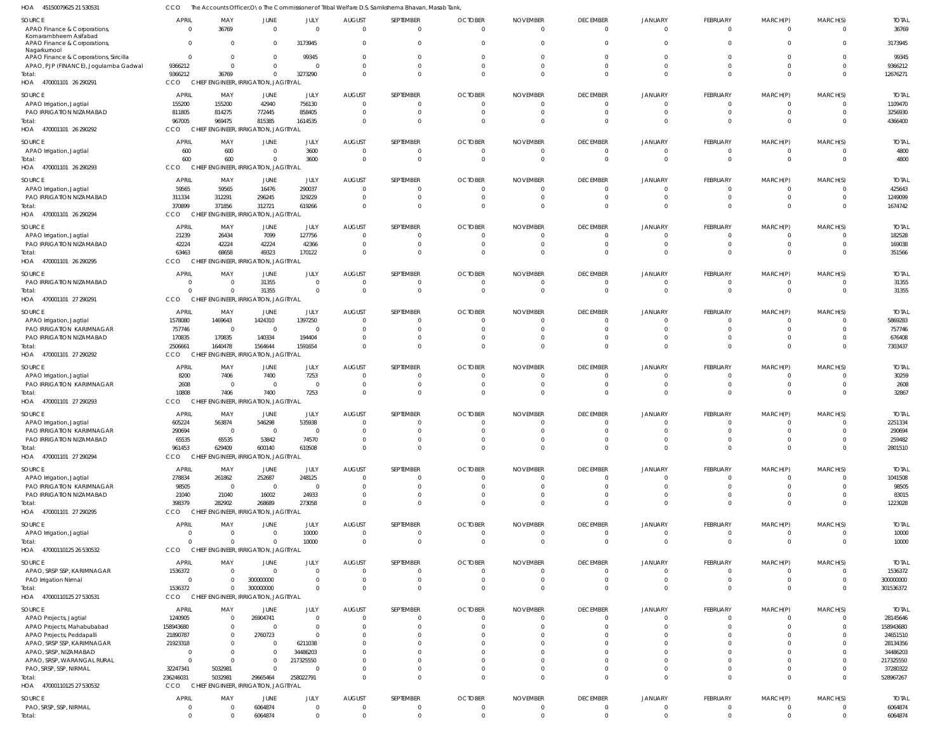| SOURCE<br>APAO Finance & Corporations,<br>Komarambheem Asifabad<br>APAO Finance & Corporations, | <b>APRIL</b><br>$\overline{0}$<br>$\overline{0}$ | MAY<br>36769<br>$\Omega$                                   | JUNE<br>$\overline{0}$<br>$\overline{0}$         | JULY<br>$\overline{\mathbf{0}}$<br>3173945 | <b>AUGUST</b><br>$\overline{0}$<br>$\overline{\mathbf{0}}$ | SEPTEMBER<br>$\overline{0}$<br>$\Omega$ | <b>OCTOBER</b><br>$\overline{0}$<br>$\Omega$ | <b>NOVEMBER</b><br>$\overline{0}$<br>$\Omega$ | <b>DECEMBER</b><br>$\overline{0}$<br>$\Omega$ | <b>JANUARY</b><br>$\mathbf 0$<br>$\Omega$ | FEBRUARY<br>$\Omega$<br>$\Omega$ | MARCH(P)<br>$\Omega$ | MARCH(S)<br>$\Omega$<br>$\Omega$ | <b>TOTAL</b><br>36769<br>3173945 |
|-------------------------------------------------------------------------------------------------|--------------------------------------------------|------------------------------------------------------------|--------------------------------------------------|--------------------------------------------|------------------------------------------------------------|-----------------------------------------|----------------------------------------------|-----------------------------------------------|-----------------------------------------------|-------------------------------------------|----------------------------------|----------------------|----------------------------------|----------------------------------|
| Nagarkurnool<br>APAO Finance & Corporations, Siricilla                                          | $\overline{0}$                                   | $\Omega$                                                   | $\overline{0}$                                   | 99345                                      | $\overline{0}$                                             | $\Omega$                                | $\overline{0}$                               | $\Omega$                                      | $\Omega$                                      | $\Omega$                                  |                                  |                      | $\Omega$                         | 99345                            |
| APAO, PJP (FINANCE), Jogulamba Gadwal<br>Total:<br>HOA 470001101 26 290291                      | 9366212<br>9366212<br>CCO                        | $\Omega$<br>36769<br>CHIEF ENGINEER, IRRIGATION, JAGITIYAL | $\overline{0}$<br>$\overline{0}$                 | $\circ$<br>3273290                         | $\Omega$<br>$\Omega$                                       | $\Omega$<br>$\Omega$                    | $\Omega$<br>$\Omega$                         | $\Omega$<br>$\Omega$                          | $\Omega$<br>$\Omega$                          | $\Omega$<br>$\Omega$                      |                                  |                      | $\Omega$<br>$\Omega$             | 9366212<br>12676271              |
| SOURCE<br>APAO Irrigation, Jagtial                                                              | <b>APRIL</b><br>155200                           | MAY<br>155200                                              | <b>JUNE</b><br>42940                             | JULY<br>756130                             | <b>AUGUST</b><br>0                                         | SEPTEMBER<br>-0                         | <b>OCTOBER</b><br>$\overline{0}$             | <b>NOVEMBER</b><br>$\Omega$                   | <b>DECEMBER</b><br>$\Omega$                   | JANUARY<br>0                              | FEBRUARY                         | MARCH(P)             | MARCH(S)                         | <b>TOTAL</b><br>1109470          |
| PAO IRRIGATION NIZAMABAD                                                                        | 811805                                           | 814275                                                     | 772445                                           | 858405                                     | $\overline{\mathbf{0}}$                                    | $\Omega$                                | $\Omega$                                     | $\Omega$                                      | $\Omega$                                      | $\Omega$                                  |                                  |                      | $\Omega$                         | 3256930                          |
| lotal:<br>HOA 470001101 26 290292                                                               | 967005<br>CCO                                    | 969475<br>CHIEF ENGINEER, IRRIGATION, JAGITIYAL            | 815385                                           | 1614535                                    | $\Omega$                                                   | $\Omega$                                | $\Omega$                                     | $\Omega$                                      |                                               |                                           |                                  |                      | $\Omega$                         | 4366400                          |
| SOURCE                                                                                          | <b>APRIL</b>                                     | MAY                                                        | <b>JUNE</b>                                      | JULY                                       | <b>AUGUST</b>                                              | SEPTEMBER                               | <b>OCTOBER</b>                               | <b>NOVEMBER</b>                               | <b>DECEMBER</b>                               | JANUARY                                   | FEBRUARY                         | MARCH(P)             | MARCH(S)                         | <b>TOTAL</b>                     |
| APAO Irrigation, Jagtial<br>Total:<br>HOA 470001101 26 290293                                   | 600<br>600<br>CCO                                | 600<br>600<br>CHIEF ENGINEER, IRRIGATION, JAGITIYAL        | $\overline{0}$<br>$\Omega$                       | 3600<br>3600                               | $\overline{0}$<br>$\overline{0}$                           | - 0<br>$\Omega$                         | $\overline{0}$<br>$\Omega$                   | $\overline{0}$<br>$\Omega$                    | $\overline{0}$<br>$\Omega$                    | $\Omega$<br>$\Omega$                      | - 0<br>$\Omega$                  |                      | $\Omega$<br>$\Omega$             | 4800<br>4800                     |
|                                                                                                 | <b>APRIL</b>                                     | MAY                                                        | JUNE                                             | JULY                                       | <b>AUGUST</b>                                              | SEPTEMBER                               | <b>OCTOBER</b>                               | <b>NOVEMBER</b>                               | <b>DECEMBER</b>                               | <b>JANUARY</b>                            | FEBRUARY                         | MARCH(P)             | MARCH(S)                         | <b>TOTAL</b>                     |
| SOURCE<br>APAO Irrigation, Jagtial                                                              | 59565                                            | 59565                                                      | 16476                                            | 290037                                     | $\overline{0}$                                             | -0                                      | $\Omega$                                     | $\Omega$                                      | $\Omega$                                      |                                           |                                  |                      |                                  | 425643                           |
| PAO IRRIGATION NIZAMABAD                                                                        | 311334                                           | 312291                                                     | 296245                                           | 329229                                     | $\overline{0}$                                             | $\Omega$                                | $\overline{0}$                               | $\overline{0}$                                | $\Omega$                                      | $\Omega$                                  |                                  |                      | $\Omega$                         | 1249099                          |
| Total:<br>HOA 470001101 26 290294                                                               | 370899<br>CCO                                    | 371856                                                     | 312721<br><b>ENGINEER, IRRIGATION, JAGITIYAL</b> | 619266                                     | - 0                                                        | $\Omega$                                | $\Omega$                                     | $\Omega$                                      | $\Omega$                                      | $\Omega$                                  |                                  |                      |                                  | 1674742                          |
| SOURCE                                                                                          | <b>APRIL</b>                                     | MAY                                                        | <b>JUNE</b>                                      | JULY                                       | <b>AUGUST</b>                                              | SEPTEMBER                               | <b>OCTOBER</b>                               | <b>NOVEMBER</b>                               | <b>DECEMBER</b>                               | <b>JANUARY</b>                            | FEBRUARY                         | MARCH(P)             | MARCH(S)                         | <b>TOTAL</b>                     |
| APAO Irrigation, Jagtial                                                                        | 21239                                            | 26434                                                      | 7099                                             | 127756                                     | $\overline{0}$                                             | $\Omega$                                | $\Omega$                                     | $\Omega$                                      | $\Omega$                                      | $\Omega$                                  | - 0                              |                      | $\Omega$                         | 182528                           |
| PAO IRRIGATION NIZAMABAD                                                                        | 42224                                            | 42224                                                      | 42224                                            | 42366                                      | $\overline{0}$                                             | $\Omega$                                | $\overline{0}$                               | $\overline{0}$                                | $\Omega$                                      | $\Omega$                                  |                                  |                      | $\Omega$                         | 169038                           |
| Total:<br>HOA 470001101 26 290295                                                               | 63463<br>CCO<br>CHIF                             | 68658                                                      | 49323<br><b>ENGINEER, IRRIGATION, JAGITIYAL</b>  | 170122                                     | $\overline{0}$                                             | $\Omega$                                | $\Omega$                                     | $\Omega$                                      | $\Omega$                                      | $\Omega$                                  |                                  |                      | $\Omega$                         | 351566                           |
| SOURCE                                                                                          | <b>APRIL</b>                                     | MAY                                                        | <b>JUNE</b>                                      | JULY                                       | <b>AUGUST</b>                                              | SEPTEMBER                               | <b>OCTOBER</b>                               | <b>NOVEMBER</b>                               | <b>DECEMBER</b>                               | <b>JANUARY</b>                            | FEBRUARY                         | MARCH(P)             | MARCH(S)                         | <b>TOTAL</b>                     |
| PAO IRRIGATION NIZAMABAD                                                                        | $\Omega$                                         | $\Omega$                                                   | 31355                                            | $\overline{0}$                             | $\overline{0}$                                             | $\Omega$                                | $\overline{0}$                               | $\overline{0}$                                | $\Omega$                                      | $\Omega$                                  |                                  |                      | $\Omega$                         | 31355                            |
| Total:<br>HOA 470001101 27 290291                                                               | $\Omega$<br>CCO                                  | $\Omega$<br>CHIEF ENGINEER, IRRIGATION, JAGITIYAL          | 31355                                            | $\overline{0}$                             | $\overline{0}$                                             | $\Omega$                                | $\Omega$                                     | $\Omega$                                      | $\Omega$                                      | $\Omega$                                  | $\Omega$                         | $\Omega$             | $\Omega$                         | 31355                            |
| SOURCE                                                                                          | <b>APRIL</b>                                     | MAY                                                        | JUNE                                             | JULY                                       | <b>AUGUST</b>                                              | SEPTEMBER                               | <b>OCTOBER</b>                               | <b>NOVEMBER</b>                               | <b>DECEMBER</b>                               | <b>JANUARY</b>                            | FEBRUARY                         | MARCH(P)             | MARCH(S)                         | <b>TOTAL</b>                     |
| APAO Irrigation, Jagtial                                                                        | 1578080                                          | 1469643                                                    | 1424310                                          | 1397250                                    | $\overline{0}$                                             | -0                                      | $\Omega$                                     | $\Omega$                                      | $\Omega$                                      | $\Omega$                                  | - 0                              |                      | $\Omega$                         | 5869283                          |
| PAO IRRIGATION KARIMNAGAR<br>PAO IRRIGATION NIZAMABAD                                           | 757746<br>170835                                 | $\overline{0}$<br>170835                                   | $\overline{\mathbf{0}}$<br>140334                | $\overline{\mathbf{0}}$<br>194404          | $\overline{\mathbf{0}}$<br>$\overline{0}$                  | -0<br>$\Omega$                          | $\Omega$<br>$\overline{0}$                   | $\Omega$<br>$\Omega$                          | $\Omega$<br>$\Omega$                          | $\Omega$<br>$\Omega$                      |                                  |                      | 0<br>$\Omega$                    | 757746                           |
| Total:                                                                                          | 2506661                                          | 1640478                                                    | 1564644                                          | 1591654                                    | $\Omega$                                                   | $\Omega$                                | $\Omega$                                     | $\Omega$                                      | $\Omega$                                      | $\Omega$                                  |                                  |                      | $\Omega$                         | 676408<br>7303437                |
| HOA 470001101 27 290292                                                                         | CCO                                              | CHIEF ENGINEER, IRRIGATION, JAGITIYAL                      |                                                  |                                            |                                                            |                                         |                                              |                                               |                                               |                                           |                                  |                      |                                  |                                  |
| SOURCE                                                                                          | <b>APRIL</b>                                     | MAY                                                        | <b>JUNE</b>                                      | JULY                                       | <b>AUGUST</b>                                              | SEPTEMBER                               | <b>OCTOBER</b>                               | <b>NOVEMBER</b>                               | <b>DECEMBER</b>                               | <b>JANUARY</b>                            | FEBRUARY                         | MARCH(P)             | MARCH(S)                         | <b>TOTAL</b>                     |
| APAO Irrigation, Jagtial<br>PAO IRRIGATION KARIMNAGAR                                           | 8200                                             | 7406                                                       | 7400<br>$\overline{0}$                           | 7253<br>$\overline{\phantom{0}}$           | 0<br>$\overline{\mathbf{0}}$                               | -0<br>$\Omega$                          | $\Omega$<br>$\overline{0}$                   | $\Omega$<br>$\Omega$                          | $\Omega$<br>$\Omega$                          | $\Omega$<br>$\Omega$                      |                                  |                      |                                  | 30259                            |
| lotal:                                                                                          | 2608<br>10808                                    | $\overline{0}$<br>7406                                     | 7400                                             | 7253                                       | $\Omega$                                                   | $\Omega$                                | $\Omega$                                     | $\Omega$                                      | $\Omega$                                      | $\Omega$                                  |                                  |                      | $\Omega$                         | 2608<br>32867                    |
| HOA 470001101 27 290293                                                                         | CCO                                              | CHIEF ENGINEER, IRRIGATION, JAGITIYAL                      |                                                  |                                            |                                                            |                                         |                                              |                                               |                                               |                                           |                                  |                      |                                  |                                  |
| SOURCE                                                                                          | <b>APRIL</b>                                     | MAY                                                        | JUNE                                             | JULY                                       | <b>AUGUST</b>                                              | SEPTEMBER                               | <b>OCTOBER</b>                               | <b>NOVEMBER</b>                               | <b>DECEMBER</b>                               | <b>JANUARY</b>                            | FEBRUARY                         | MARCH(P)             | MARCH(S)                         | <b>TOTAL</b>                     |
| APAO Irrigation, Jagtial<br>PAO IRRIGATION KARIMNAGAR                                           | 605224<br>290694                                 | 563874<br>$\Omega$                                         | 546298<br>$\Omega$                               | 535938<br>$\Omega$                         | $\overline{0}$<br>$\Omega$                                 | $\Omega$                                | $\Omega$                                     | $\Omega$<br>$\Omega$                          | $\Omega$                                      | $\Omega$                                  |                                  |                      | $\Omega$<br>$\Omega$             | 2251334<br>290694                |
| PAO IRRIGATION NIZAMABAD                                                                        | 65535                                            | 65535                                                      | 53842                                            | 74570                                      | $\overline{0}$                                             | $\overline{0}$                          | $\overline{0}$                               | $\overline{0}$                                | $\overline{0}$                                | $\Omega$                                  | $\Omega$                         | $\Omega$             | $\mathbf{0}$                     | 259482                           |
| Total:                                                                                          | 961453                                           | 629409                                                     | 600140                                           | 610508                                     | $\overline{0}$                                             | $\Omega$                                | $\Omega$                                     | $\Omega$                                      | $\Omega$                                      | $\Omega$                                  | $\Omega$                         | $\Omega$             | $\mathbf{0}$                     | 2801510                          |
| HOA 470001101 27 290294                                                                         | CCO                                              | CHIEF ENGINEER, IRRIGATION, JAGITIYAL                      |                                                  |                                            |                                                            |                                         |                                              |                                               |                                               |                                           |                                  |                      |                                  |                                  |
| SOURCE                                                                                          | <b>APRIL</b><br>278834                           | MAY<br>261862                                              | <b>JUNE</b><br>252687                            | JULY<br>248125                             | <b>AUGUST</b><br>$\overline{0}$                            | SEPTEMBER<br>-0                         | <b>OCTOBER</b><br>$\Omega$                   | <b>NOVEMBER</b><br>$\Omega$                   | <b>DECEMBER</b><br>$\Omega$                   | <b>JANUARY</b><br>0                       | FEBRUARY                         | MARCH(P)             | MARCH(S)<br>n                    | <b>TOTAL</b><br>1041508          |
| APAO Irrigation, Jagtial<br>PAO IRRIGATION KARIMNAGAR                                           | 98505                                            | $\overline{0}$                                             | $\overline{0}$                                   | $\overline{0}$                             | $\overline{0}$                                             | -0                                      | $\Omega$                                     | $\Omega$                                      | $\Omega$                                      | $\Omega$                                  |                                  |                      |                                  | 98505                            |
| PAO IRRIGATION NIZAMABAD                                                                        | 21040                                            | 21040                                                      | 16002                                            | 24933                                      | $\overline{0}$                                             | $\Omega$                                | $\overline{0}$                               | $\Omega$                                      | $\Omega$                                      | $\Omega$                                  |                                  |                      |                                  | 83015                            |
| Total:<br>HOA 470001101 27 290295                                                               | 398379<br>CCO                                    | 282902<br>CHIEF ENGINEER, IRRIGATION, JAGITIYAL            | 268689                                           | 273058                                     | $\Omega$                                                   | $\Omega$                                | $\Omega$                                     | $\Omega$                                      | $\Omega$                                      | $\Omega$                                  |                                  |                      | $\Omega$                         | 1223028                          |
| SOURCE                                                                                          | <b>APRIL</b>                                     | MAY                                                        | <b>JUNE</b>                                      | JULY                                       | <b>AUGUST</b>                                              | SEPTEMBER                               | <b>OCTOBER</b>                               | <b>NOVEMBER</b>                               | <b>DECEMBER</b>                               | JANUARY                                   | FEBRUARY                         | MARCH(P)             | MARCH(S)                         | <b>TOTAL</b>                     |
| APAO Irrigation, Jagtial                                                                        | $\Omega$                                         | $\overline{0}$                                             | $\overline{0}$                                   | 10000                                      | $\overline{0}$                                             | - 0                                     | $\overline{0}$                               | $\overline{0}$                                | $\overline{0}$                                | $\Omega$                                  | $\Omega$                         |                      | $\Omega$                         | 10000                            |
| Total:<br>HOA 47000110125 26 530532                                                             | $\Omega$<br>CCO                                  | $\Omega$<br>CHIEF ENGINEER, IRRIGATION, JAGITIYAL          | $\overline{0}$                                   | 10000                                      | $\overline{0}$                                             | $\Omega$                                | $\overline{0}$                               | $\overline{0}$                                | $\overline{0}$                                | $\Omega$                                  | $\Omega$                         | $\Omega$             | $\mathbf{0}$                     | 10000                            |
| SOURCE                                                                                          | <b>APRIL</b>                                     | MAY                                                        | <b>JUNE</b>                                      | JULY                                       | <b>AUGUST</b>                                              | SEPTEMBER                               | <b>OCTOBER</b>                               | <b>NOVEMBER</b>                               | <b>DECEMBER</b>                               | <b>JANUARY</b>                            | FEBRUARY                         | MARCH(P)             | MARCH(S)                         | <b>TOTAL</b>                     |
| APAO, SRSP SSP, KARIMNAGAR                                                                      | 1536372                                          | $\Omega$                                                   | $\Omega$                                         | $\overline{0}$                             | $\overline{0}$                                             | $\Omega$                                | $\overline{0}$                               | $\Omega$                                      | $\Omega$                                      | $\Omega$                                  |                                  |                      | $\Omega$                         | 1536372                          |
| PAO Irrigation Nirmal<br>Total:                                                                 | $\Omega$<br>1536372                              | $\Omega$<br>$\Omega$                                       | 300000000<br>300000000                           | $\Omega$<br>$\overline{0}$                 | $\overline{0}$<br>$\Omega$                                 | $\Omega$<br>$\Omega$                    | $\overline{0}$<br>$\overline{0}$             | $\Omega$<br>$\Omega$                          | $\Omega$<br>$\Omega$                          | $\Omega$<br>$\Omega$                      |                                  |                      | $\Omega$<br>$\Omega$             | 300000000<br>301536372           |
| HOA 47000110125 27 530531                                                                       | <b>CCO</b>                                       | CHIEF ENGINEER, IRRIGATION, JAGITIYAL                      |                                                  |                                            |                                                            |                                         |                                              |                                               |                                               |                                           |                                  |                      |                                  |                                  |
| SOURCE                                                                                          | APRIL                                            | MAY                                                        | <b>JUNE</b>                                      | JULY                                       | <b>AUGUST</b>                                              | SEPTEMBER                               | <b>OCTOBER</b>                               | <b>NOVEMBER</b>                               | <b>DECEMBER</b>                               | JANUARY                                   | FEBRUARY                         | MARCH(P)             | MARCH(S)                         | <b>TOTAL</b>                     |
| APAO Projects, Jagtial                                                                          | 1240905                                          | $\Omega$                                                   | 26904741                                         | $\overline{\phantom{0}}$                   | $\overline{0}$                                             | $\Omega$                                | $\overline{0}$                               | $\Omega$                                      | $^{\circ}$                                    | $\Omega$                                  | $\Omega$                         |                      | 0                                | 28145646                         |
| APAO Projects, Mahabubabad<br>APAO Projects, Peddapalli                                         | 158943680<br>21890787                            | $\Omega$<br>$\Omega$                                       | $\overline{0}$<br>2760723                        | $\overline{0}$<br>$\overline{0}$           | $\overline{0}$<br>$\overline{0}$                           | $\Omega$<br>- 0                         | $\Omega$<br>$\Omega$                         | $\Omega$                                      | $\Omega$<br>$\Omega$                          | $\Omega$<br>$\Omega$                      | - 0                              |                      | $\Omega$<br>0                    | 158943680<br>24651510            |
| APAO, SRSP SSP, KARIMNAGAR                                                                      | 21923318                                         | $\Omega$                                                   | $\overline{0}$                                   | 6211038                                    | $\Omega$                                                   |                                         | $\Omega$                                     |                                               | $\Omega$                                      | $\Omega$                                  |                                  |                      | $\Omega$                         | 28134356                         |
| APAO, SRSP, NIZAMABAD                                                                           | $\Omega$                                         | $\Omega$                                                   | $\overline{0}$                                   | 34486203                                   | $\Omega$                                                   |                                         | $\Omega$                                     |                                               | $\Omega$                                      | $\Omega$                                  |                                  |                      | $\Omega$                         | 34486203                         |
| APAO, SRSP, WARANGAL RURAL<br>PAO, SRSP, SSP, NIRMAL                                            | $\overline{0}$<br>32247341                       | $\Omega$<br>5032981                                        | $\overline{0}$<br>$\overline{0}$                 | 217325550<br>$\Omega$                      | $\Omega$<br>$\Omega$                                       | -0<br>$\Omega$                          | $\Omega$<br>$\Omega$                         | $\Omega$                                      | $\Omega$<br>$\Omega$                          | $\Omega$<br>$\Omega$                      |                                  |                      | $\Omega$<br>$\Omega$             | 217325550<br>37280322            |
| Total:                                                                                          | 236246031                                        | 5032981                                                    | 29665464                                         | 258022791                                  | $\Omega$                                                   | $\Omega$                                | $\Omega$                                     | $\Omega$                                      | $\Omega$                                      | $\Omega$                                  |                                  |                      | $\Omega$                         | 528967267                        |
| HOA 47000110125 27 530532                                                                       | <b>CCO</b>                                       | CHIEF ENGINEER, IRRIGATION, JAGITIYAL                      |                                                  |                                            |                                                            |                                         |                                              |                                               |                                               |                                           |                                  |                      |                                  |                                  |
| SOURCE                                                                                          | <b>APRIL</b>                                     | MAY                                                        | JUNE                                             | JULY                                       | <b>AUGUST</b>                                              | SEPTEMBER                               | <b>OCTOBER</b>                               | <b>NOVEMBER</b>                               | <b>DECEMBER</b>                               | <b>JANUARY</b>                            | FEBRUARY                         | MARCH(P)             | MARCH(S)                         | <b>TOTAL</b>                     |
| PAO, SRSP, SSP, NIRMAL                                                                          | $\Omega$<br>$\Omega$                             | $\Omega$<br>$\Omega$                                       | 6064874                                          | $\overline{0}$<br>$\overline{0}$           | $\overline{\mathbf{0}}$<br>$\overline{0}$                  | $\Omega$<br>$\Omega$                    | $\overline{0}$<br>$\Omega$                   | $\overline{0}$<br>$\Omega$                    | $\overline{0}$<br>$\Omega$                    | $\Omega$<br>$\Omega$                      | $\Omega$<br>$\Omega$             | $\Omega$             | $\Omega$<br>$\Omega$             | 6064874                          |
| Total:                                                                                          |                                                  |                                                            | 6064874                                          |                                            |                                                            |                                         |                                              |                                               |                                               |                                           |                                  |                      |                                  | 6064874                          |

45150079625 21 530531 HOA CCO The Accounts Officer, O\o The Commissioner of Tribal Welfare D.S. Samkshema Bhavan, Masab Tank,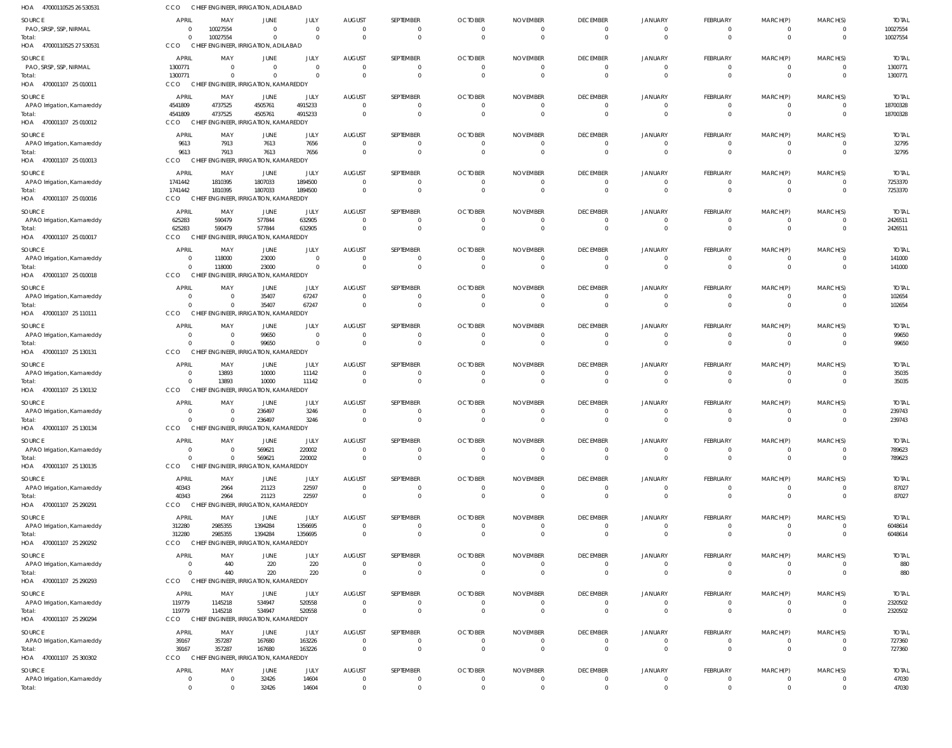| HOA<br>47000110525 26 530531         | <b>CCO</b>                    |                            | CHIEF ENGINEER, IRRIGATION, ADILABAD             |                        |                           |                            |                                  |                                   |                                  |                            |                                 |                            |                             |                         |
|--------------------------------------|-------------------------------|----------------------------|--------------------------------------------------|------------------------|---------------------------|----------------------------|----------------------------------|-----------------------------------|----------------------------------|----------------------------|---------------------------------|----------------------------|-----------------------------|-------------------------|
| <b>SOURCE</b>                        | <b>APRIL</b>                  | MAY                        | JUNE                                             | JULY                   | <b>AUGUST</b>             | SEPTEMBER                  | <b>OCTOBER</b>                   | <b>NOVEMBER</b>                   | <b>DECEMBER</b>                  | <b>JANUARY</b>             | <b>FEBRUARY</b>                 | MARCH(P)                   | MARCH(S)                    | <b>TOTAI</b>            |
| PAO, SRSP, SSP, NIRMAL               | $\mathbf{0}$                  | 10027554                   | $\Omega$                                         | $\overline{0}$         | $\Omega$                  | $\mathbf 0$                | $\overline{0}$                   | $\overline{0}$                    | $\overline{0}$                   | $\Omega$                   | $\mathbf{0}$                    | $\mathbf 0$                | $\Omega$                    | 10027554                |
| Total:<br>HOA 47000110525 27 530531  | $\Omega$<br>CCO               | 10027554                   | $\Omega$<br>CHIEF ENGINEER, IRRIGATION, ADILABAD | $\Omega$               |                           | $\Omega$                   | $\Omega$                         | $\Omega$                          | $\Omega$                         | $\Omega$                   | $\Omega$                        | $\Omega$                   | $\Omega$                    | 10027554                |
|                                      |                               |                            |                                                  |                        |                           |                            |                                  |                                   |                                  |                            |                                 |                            |                             |                         |
| SOURCE<br>PAO, SRSP, SSP, NIRMAL     | <b>APRIL</b><br>1300771       | MAY<br>$\Omega$            | JUNE<br>$\Omega$                                 | JULY<br>$\Omega$       | <b>AUGUST</b><br>$\Omega$ | SEPTEMBER<br>$\Omega$      | <b>OCTOBER</b><br>$\overline{0}$ | <b>NOVEMBER</b><br>$\overline{0}$ | <b>DECEMBER</b><br>$\Omega$      | <b>JANUARY</b><br>$\Omega$ | <b>FEBRUARY</b><br>$\mathbf{0}$ | MARCH(P)<br>0              | MARCH(S)<br>$\Omega$        | <b>TOTAL</b><br>1300771 |
| Total:                               | 1300771                       | $\Omega$                   | $\Omega$                                         | $\mathbf{0}$           | $\mathsf{C}$              | $\mathbf 0$                | $\Omega$                         | $\overline{0}$                    | $\Omega$                         | $\Omega$                   | $\mathbf 0$                     | $\pmb{0}$                  | $\Omega$                    | 1300771                 |
| HOA 470001107 25 010011              | <b>CCO</b>                    |                            | CHIEF ENGINEER, IRRIGATION, KAMAREDDY            |                        |                           |                            |                                  |                                   |                                  |                            |                                 |                            |                             |                         |
| SOURCE                               | APRIL                         | MAY                        | JUNE                                             | JULY                   | <b>AUGUST</b>             | SEPTEMBER                  | <b>OCTOBER</b>                   | <b>NOVEMBER</b>                   | <b>DECEMBER</b>                  | <b>JANUARY</b>             | <b>FEBRUARY</b>                 | MARCH(P)                   | MARCH(S)                    | <b>TOTAL</b>            |
| APAO Irrigation, Kamareddy           | 4541809                       | 4737525<br>4737525         | 4505761<br>4505761                               | 4915233<br>4915233     | $\mathsf{C}$              | 0<br>$\Omega$              | $\overline{0}$<br>$\Omega$       | $\overline{0}$<br>$\overline{0}$  | $\Omega$<br>$\Omega$             | $\Omega$                   | $\mathbf{0}$<br>$\mathbf 0$     | 0<br>$\mathbf 0$           | $\Omega$<br>$\Omega$        | 18700328<br>18700328    |
| Total:<br>HOA 470001107 25 010012    | 4541809<br>CCO                |                            | CHIEF ENGINEER, IRRIGATION, KAMAREDDY            |                        |                           |                            |                                  |                                   |                                  |                            |                                 |                            |                             |                         |
| SOURCE                               | <b>APRIL</b>                  | MAY                        | JUNE                                             | JULY                   | <b>AUGUST</b>             | SEPTEMBER                  | <b>OCTOBER</b>                   | <b>NOVEMBER</b>                   | <b>DECEMBER</b>                  | JANUARY                    | <b>FEBRUARY</b>                 | MARCH(P)                   | MARCH(S)                    | <b>TOTAL</b>            |
| APAO Irrigation, Kamareddy           | 9613                          | 7913                       | 7613                                             | 7656                   | $\Omega$                  | $\mathbf 0$                | $\overline{0}$                   | $\overline{0}$                    | $\Omega$                         | $\Omega$                   | $\mathbf{0}$                    | 0                          | $\Omega$                    | 32795                   |
| Total:                               | 9613                          | 7913                       | 7613                                             | 7656                   | $\mathsf{C}$              | $\mathbf 0$                | $\Omega$                         | $\overline{0}$                    | $\Omega$                         | $\Omega$                   | $\mathbf 0$                     | $\mathbf 0$                | $\Omega$                    | 32795                   |
| HOA 470001107 25 010013              | <b>CCO</b>                    |                            | CHIEF ENGINEER, IRRIGATION, KAMAREDDY            |                        |                           |                            |                                  |                                   |                                  |                            |                                 |                            |                             |                         |
| SOURCE                               | <b>APRIL</b>                  | MAY                        | JUNE                                             | JULY                   | <b>AUGUST</b>             | SEPTEMBER                  | <b>OCTOBER</b>                   | <b>NOVEMBER</b>                   | <b>DECEMBER</b>                  | <b>JANUARY</b>             | <b>FEBRUARY</b>                 | MARCH(P)                   | MARCH(S)                    | <b>TOTAL</b>            |
| APAO Irrigation, Kamareddy<br>Total: | 1741442<br>1741442            | 1810395<br>1810395         | 1807033<br>1807033                               | 1894500<br>1894500     | -C<br>$\Omega$            | 0<br>$\Omega$              | $\overline{0}$<br>$\Omega$       | $\overline{0}$<br>$\overline{0}$  | $\Omega$<br>$\Omega$             | $\Omega$<br>$\Omega$       | $\mathbf{0}$<br>$\mathbf 0$     | 0<br>$\mathbf 0$           | $\Omega$<br>$\Omega$        | 7253370<br>7253370      |
| HOA 470001107 25 010016              | CCO                           |                            | CHIEF ENGINEER, IRRIGATION, KAMAREDDY            |                        |                           |                            |                                  |                                   |                                  |                            |                                 |                            |                             |                         |
| <b>SOURCE</b>                        | <b>APRIL</b>                  | MAY                        | JUNE                                             | JULY                   | <b>AUGUST</b>             | SEPTEMBER                  | <b>OCTOBER</b>                   | <b>NOVEMBER</b>                   | <b>DECEMBER</b>                  | <b>JANUARY</b>             | <b>FEBRUARY</b>                 | MARCH(P)                   | MARCH(S)                    | <b>TOTAL</b>            |
| APAO Irrigation, Kamareddy           | 625283                        | 590479                     | 577844                                           | 632905                 | - 0                       | 0                          | $\overline{0}$                   | $\overline{0}$                    | $\overline{0}$                   | $\Omega$                   | $\mathbf{0}$                    | 0                          | $\Omega$                    | 2426511                 |
| Total:                               | 625283<br>CCO                 | 590479                     | 577844<br>CHIEF ENGINEER, IRRIGATION, KAMAREDDY  | 632905                 | $\mathsf{C}$              | $\Omega$                   | $\Omega$                         | $\Omega$                          | $\Omega$                         | $\Omega$                   | $\mathbf 0$                     | $\mathbf 0$                | $\Omega$                    | 2426511                 |
| HOA 470001107 25 010017              |                               |                            |                                                  |                        |                           |                            |                                  |                                   |                                  |                            |                                 |                            |                             |                         |
| SOURCE<br>APAO Irrigation, Kamareddy | <b>APRIL</b><br>$\mathbf{0}$  | MAY<br>118000              | JUNE<br>23000                                    | JULY<br>$\overline{0}$ | <b>AUGUST</b>             | SEPTEMBER<br>0             | <b>OCTOBER</b><br>$\Omega$       | <b>NOVEMBER</b><br>$\Omega$       | <b>DECEMBER</b><br>$\Omega$      | <b>JANUARY</b>             | <b>FEBRUARY</b><br>0            | MARCH(P)<br>0              | MARCH(S)                    | <b>TOTAL</b><br>141000  |
| Total:                               | $\Omega$                      | 118000                     | 23000                                            | $\overline{0}$         |                           | $\mathbf 0$                | $\Omega$                         | $\overline{0}$                    | $\Omega$                         | $\Omega$                   | $\mathbf 0$                     | $\mathbf 0$                | $\Omega$                    | 141000                  |
| HOA 470001107 25 010018              | <b>CCO</b>                    | <b>CHIEF</b>               | ENGINEER, IRRIGATION, KAMAREDDY                  |                        |                           |                            |                                  |                                   |                                  |                            |                                 |                            |                             |                         |
| SOURCE                               | <b>APRIL</b>                  | MAY                        | JUNE                                             | JULY                   | <b>AUGUST</b>             | SEPTEMBER                  | <b>OCTOBER</b>                   | <b>NOVEMBER</b>                   | <b>DECEMBER</b>                  | JANUARY                    | FEBRUARY                        | MARCH(P)                   | MARCH(S)                    | <b>TOTAL</b>            |
| APAO Irrigation, Kamareddy           | $\Omega$                      | $\Omega$                   | 35407                                            | 67247                  | - 0                       | $\mathbf 0$                | $\overline{0}$                   | 0                                 | $\Omega$                         |                            | $\mathbf{0}$                    | 0                          | $\Omega$                    | 102654                  |
| Total:<br>HOA 470001107 25 110111    | $\Omega$<br>CCO               | $\Omega$                   | 35407<br>CHIEF ENGINEER, IRRIGATION, KAMAREDDY   | 67247                  | $\Omega$                  | $\mathbf 0$                | $\overline{0}$                   | $\overline{0}$                    | $\overline{0}$                   | $\Omega$                   | $\mathbf 0$                     | $\mathbf 0$                | $\overline{0}$              | 102654                  |
| <b>SOURCE</b>                        | <b>APRIL</b>                  | MAY                        | JUNE                                             | JULY                   | <b>AUGUST</b>             | SEPTEMBER                  | <b>OCTOBER</b>                   | <b>NOVEMBER</b>                   | <b>DECEMBER</b>                  | <b>JANUARY</b>             | <b>FEBRUARY</b>                 | MARCH(P)                   | MARCH(S)                    | <b>TOTAL</b>            |
| APAO Irrigation, Kamareddy           | $\mathbf{0}$                  | $\Omega$                   | 99650                                            | $\overline{0}$         | - 0                       | 0                          | $\overline{0}$                   | $\Omega$                          | $\Omega$                         | $\Omega$                   | $\mathbf{0}$                    | $\Omega$                   |                             | 99650                   |
| Total:                               | $\Omega$                      | $\Omega$                   | 99650                                            | $\mathbf{0}$           |                           | $\Omega$                   | $\Omega$                         | $\Omega$                          | $\Omega$                         | $\Omega$                   | $\mathbf 0$                     | $\Omega$                   |                             | 99650                   |
| HOA 470001107 25 130131              | CCO                           | CHIEF                      | ENGINEER, IRRIGATION, KAMAREDDY                  |                        |                           |                            |                                  |                                   |                                  |                            |                                 |                            |                             |                         |
| SOURCE                               | <b>APRIL</b>                  | MAY                        | JUNE                                             | JULY                   | <b>AUGUST</b>             | SEPTEMBER                  | <b>OCTOBER</b>                   | <b>NOVEMBER</b>                   | <b>DECEMBER</b>                  | <b>JANUARY</b>             | <b>FEBRUARY</b>                 | MARCH(P)                   | MARCH(S)                    | <b>TOTAL</b>            |
| APAO Irrigation, Kamareddy<br>Total: | $\overline{0}$<br>$\Omega$    | 13893<br>13893             | 10000<br>10000                                   | 11142<br>11142         | - 0<br>$\Omega$           | 0<br>$\mathbf 0$           | - 0<br>$\Omega$                  | 0<br>$\overline{0}$               | $\Omega$<br>$\Omega$             | $\Omega$<br>$\Omega$       | $\mathbf{0}$<br>$\mathbf 0$     | 0<br>$\mathbf 0$           | $\Omega$<br>$\Omega$        | 35035<br>35035          |
| HOA 470001107 25 130132              | CCO                           |                            | CHIEF ENGINEER, IRRIGATION, KAMAREDDY            |                        |                           |                            |                                  |                                   |                                  |                            |                                 |                            |                             |                         |
| SOURCE                               | <b>APRIL</b>                  | MAY                        | JUNE                                             | JULY                   | <b>AUGUST</b>             | SEPTEMBER                  | <b>OCTOBER</b>                   | <b>NOVEMBER</b>                   | <b>DECEMBER</b>                  | JANUARY                    | <b>FEBRUARY</b>                 | MARCH(P)                   | MARCH(S)                    | <b>TOTAL</b>            |
| APAO Irrigation, Kamareddy           | 0                             | - 0                        | 236497                                           | 3246                   |                           | 0                          | $\Omega$                         | $\Omega$                          | $\Omega$                         |                            | $\Omega$                        | 0                          |                             | 239743                  |
| Total:<br>HOA 470001107 25 130134    | $\Omega$<br><b>CCO</b>        | $\Omega$                   | 236497<br>CHIEF ENGINEER, IRRIGATION, KAMAREDDY  | 3246                   |                           | $\Omega$                   | $\Omega$                         | $\Omega$                          | $\Omega$                         | $\Omega$                   | $\Omega$                        |                            |                             | 239743                  |
| <b>SOURCE</b>                        | <b>APRIL</b>                  |                            |                                                  | JULY                   | <b>AUGUST</b>             |                            | <b>OCTOBER</b>                   | <b>NOVEMBER</b>                   | <b>DECEMBER</b>                  | <b>JANUARY</b>             |                                 |                            | MARCH(S)                    | <b>TOTAL</b>            |
| APAO Irrigation, Kamareddy           | $\overline{0}$                | MAY<br>$\Omega$            | JUNE<br>569621                                   | 220002                 | $\Omega$                  | SEPTEMBER<br>$\mathbf 0$   | $\overline{0}$                   | $\overline{0}$                    | $\mathbf{0}$                     | $\Omega$                   | <b>FEBRUARY</b><br>$\mathbf{0}$ | MARCH(P)<br>0              | $\Omega$                    | 789623                  |
| Total:                               | $\Omega$                      | $\Omega$                   | 569621                                           | 220002                 | $\overline{0}$            | $\bf 0$                    | $\overline{0}$                   | $\overline{0}$                    | $\overline{0}$                   | $\Omega$                   | $\mathbf{0}$                    | $\bf 0$                    | $\mathbf{0}$                | 789623                  |
| HOA 470001107 25 130135              | CCO                           |                            | CHIEF ENGINEER, IRRIGATION, KAMAREDDY            |                        |                           |                            |                                  |                                   |                                  |                            |                                 |                            |                             |                         |
| SOURCE                               | <b>APRIL</b>                  | MAY                        | <b>JUNE</b>                                      | JULY                   | <b>AUGUST</b>             | SEPTEMBER                  | <b>OCTOBER</b>                   | <b>NOVEMBER</b>                   | <b>DECEMBER</b>                  | <b>JANUARY</b>             | <b>FEBRUARY</b>                 | MARCH(P)                   | MARCH(S)                    | <b>TOTAL</b>            |
| APAO Irrigation, Kamareddy<br>Total: | 40343<br>40343                | 2964<br>2964               | 21123<br>21123                                   | 22597<br>22597         | $\Omega$<br>$\Omega$      | 0<br>$\Omega$              | $\overline{0}$<br>$\Omega$       | $\overline{0}$<br>$\Omega$        | $\overline{0}$<br>$\Omega$       | $\Omega$<br>$\Omega$       | $\mathbf{0}$<br>$\mathbf{0}$    | 0<br>$\Omega$              | $\Omega$                    | 87027<br>87027          |
| HOA 470001107 25 290291              | <b>CCO</b>                    |                            | CHIEF ENGINEER, IRRIGATION, KAMAREDDY            |                        |                           |                            |                                  |                                   |                                  |                            |                                 |                            |                             |                         |
| SOURCE                               | <b>APRIL</b>                  | MAY                        | JUNE                                             | JULY                   | <b>AUGUST</b>             | SEPTEMBER                  | <b>OCTOBER</b>                   | <b>NOVEMBER</b>                   | <b>DECEMBER</b>                  | <b>JANUARY</b>             | <b>FEBRUARY</b>                 | MARCH(P)                   | MARCH(S)                    | <b>TOTAL</b>            |
| APAO Irrigation, Kamareddy           | 312280                        | 2985355                    | 1394284                                          | 1356695                | $\overline{0}$            | $\mathbf 0$                | $\overline{0}$                   | $\overline{0}$                    | $\overline{0}$                   | $\Omega$                   | $\mathbf{0}$                    | $\mathbf 0$                | $\Omega$                    | 6048614                 |
| Total:<br>HOA 470001107 25 290292    | 312280<br><b>CCO</b>          | 2985355                    | 1394284<br>CHIEF ENGINEER, IRRIGATION, KAMAREDDY | 1356695                | $\Omega$                  | $\mathbf 0$                | $\overline{0}$                   | $\overline{0}$                    | $\Omega$                         | $\Omega$                   | $\mathbf 0$                     | $\mathbf 0$                | $\Omega$                    | 6048614                 |
|                                      |                               |                            |                                                  |                        |                           |                            |                                  |                                   |                                  |                            |                                 |                            |                             |                         |
| SOURCE<br>APAO Irrigation, Kamareddy | <b>APRIL</b><br>$\mathbf{0}$  | MAY<br>440                 | JUNE<br>220                                      | JULY<br>220            | <b>AUGUST</b><br>$\Omega$ | SEPTEMBER<br>0             | <b>OCTOBER</b><br>$\overline{0}$ | <b>NOVEMBER</b><br>$\overline{0}$ | <b>DECEMBER</b><br>$\mathbf{0}$  | <b>JANUARY</b><br>$\Omega$ | <b>FEBRUARY</b><br>$\mathbf{0}$ | MARCH(P)<br>0              | MARCH(S)                    | <b>TOTAL</b><br>880     |
| Total:                               | $\Omega$                      | 440                        | 220                                              | 220                    | $\Omega$                  | $\mathbf 0$                | $\overline{0}$                   | $\overline{0}$                    | $\overline{0}$                   | $\Omega$                   | $\mathbf 0$                     | $\mathbf 0$                | $\Omega$                    | 880                     |
| HOA 470001107 25 290293              | CCO                           |                            | CHIEF ENGINEER, IRRIGATION, KAMAREDDY            |                        |                           |                            |                                  |                                   |                                  |                            |                                 |                            |                             |                         |
| SOURCE                               | <b>APRIL</b>                  | MAY                        | JUNE                                             | JULY                   | <b>AUGUST</b>             | SEPTEMBER                  | <b>OCTOBER</b>                   | <b>NOVEMBER</b>                   | <b>DECEMBER</b>                  | <b>JANUARY</b>             | FEBRUARY                        | MARCH(P)                   | MARCH(S)                    | <b>TOTAL</b>            |
| APAO Irrigation, Kamareddy           | 119779                        | 1145218                    | 534947<br>534947                                 | 520558<br>520558       | $\Omega$<br>$\Omega$      | 0<br>$\mathbf 0$           | $\overline{0}$<br>$\overline{0}$ | $\overline{0}$<br>$\overline{0}$  | $\overline{0}$<br>$\overline{0}$ | $\Omega$<br>$\Omega$       | $\mathbf 0$<br>$\mathbf{0}$     | 0<br>$\mathbf 0$           | $\Omega$<br>$\mathbf{0}$    | 2320502                 |
| Total:<br>HOA 470001107 25 290294    | 119779<br>CCO                 | 1145218                    | CHIEF ENGINEER, IRRIGATION, KAMAREDDY            |                        |                           |                            |                                  |                                   |                                  |                            |                                 |                            |                             | 2320502                 |
| SOURCE                               | <b>APRIL</b>                  | MAY                        | JUNE                                             | JULY                   | AUGUST                    | SEPTEMBER                  | <b>OCTOBER</b>                   | <b>NOVEMBER</b>                   | <b>DECEMBER</b>                  | <b>JANUARY</b>             | <b>FEBRUARY</b>                 | MARCH(P)                   | MARCH(S)                    | <b>TOTAL</b>            |
| APAO Irrigation, Kamareddy           | 39167                         | 357287                     | 167680                                           | 163226                 | $\Omega$                  | 0                          | $\overline{0}$                   | $\overline{0}$                    | $\overline{0}$                   | $\Omega$                   | $\mathbf{0}$                    | $\mathbf 0$                | $\Omega$                    | 727360                  |
| Total:                               | 39167                         | 357287                     | 167680                                           | 163226                 | $\Omega$                  | $\Omega$                   | $\Omega$                         | $\overline{0}$                    | $\Omega$                         | $\Omega$                   | $\mathbf{0}$                    | $\mathbf{0}$               | $\Omega$                    | 727360                  |
| HOA 470001107 25 300302              | <b>CCO</b>                    |                            | CHIEF ENGINEER, IRRIGATION, KAMAREDDY            |                        |                           |                            |                                  |                                   |                                  |                            |                                 |                            |                             |                         |
| SOURCE                               | <b>APRIL</b>                  | MAY                        | JUNE                                             | JULY                   | <b>AUGUST</b>             | SEPTEMBER                  | <b>OCTOBER</b>                   | <b>NOVEMBER</b>                   | <b>DECEMBER</b>                  | <b>JANUARY</b>             | <b>FEBRUARY</b>                 | MARCH(P)                   | MARCH(S)                    | <b>TOTAL</b>            |
| APAO Irrigation, Kamareddy<br>Total: | $\mathbf 0$<br>$\overline{0}$ | $\overline{0}$<br>$\Omega$ | 32426<br>32426                                   | 14604<br>14604         | $\mathbf 0$<br>$\Omega$   | $\mathbf 0$<br>$\mathbf 0$ | $\overline{0}$<br>$\overline{0}$ | $\overline{0}$<br>$\overline{0}$  | $\overline{0}$<br>$\overline{0}$ | $\overline{0}$<br>$\Omega$ | $\mathbf 0$<br>$\mathbf 0$      | $\mathbf 0$<br>$\mathbf 0$ | $\mathbf 0$<br>$\mathbf{0}$ | 47030<br>47030          |
|                                      |                               |                            |                                                  |                        |                           |                            |                                  |                                   |                                  |                            |                                 |                            |                             |                         |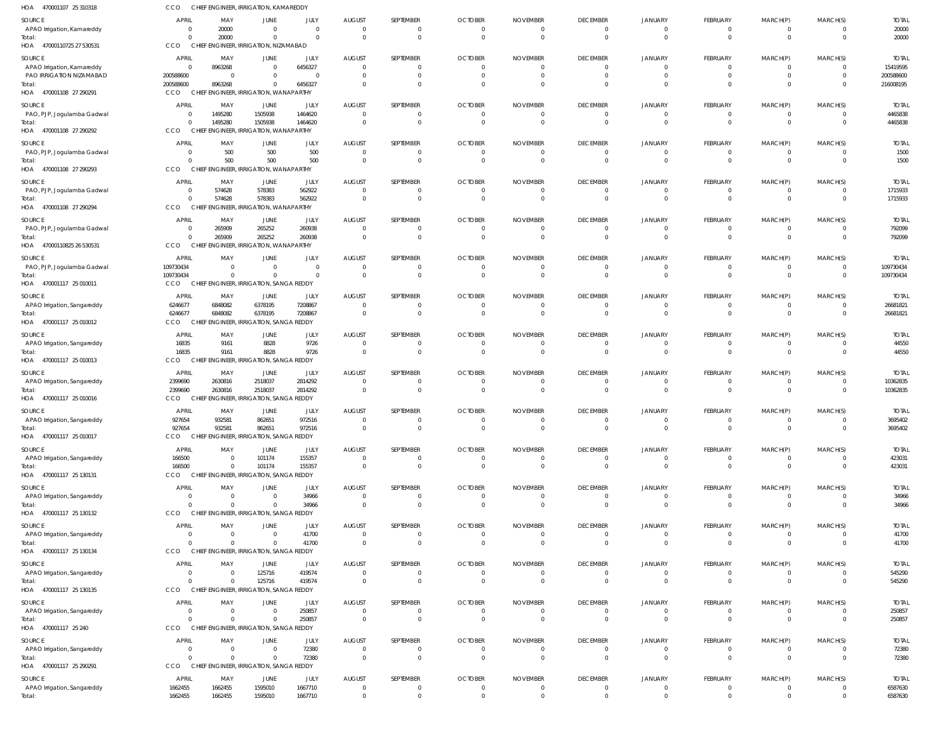| HOA 470001107 25 310318               | <b>CCO</b>                       | CHIEF ENGINEER, IRRIGATION, KAMAREDDY                     |                                  |                        |                                  |                            |                                  |                                  |                                   |                                  |                            |                      |                            |                          |
|---------------------------------------|----------------------------------|-----------------------------------------------------------|----------------------------------|------------------------|----------------------------------|----------------------------|----------------------------------|----------------------------------|-----------------------------------|----------------------------------|----------------------------|----------------------|----------------------------|--------------------------|
| SOURCE<br>APAO Irrigation, Kamareddy  | <b>APRIL</b><br>$\overline{0}$   | MAY<br>20000                                              | JUNE<br>$\overline{0}$           | JULY<br>$\overline{0}$ | <b>AUGUST</b><br>$\overline{0}$  | SEPTEMBER<br>0             | <b>OCTOBER</b><br>$\overline{0}$ | <b>NOVEMBER</b><br>$\mathbf 0$   | <b>DECEMBER</b><br>$\overline{0}$ | JANUARY<br>$\overline{0}$        | FEBRUARY<br>$\Omega$       | MARCH(P)             | MARCH(S)<br>0              | <b>TOTAL</b><br>20000    |
| Total:<br>HOA 47000110725 27 530531   | $\Omega$<br>CCO                  | 20000<br>CHIEF ENGINEER, IRRIGATION, NIZAMABAD            | $\overline{0}$                   | $\Omega$               | $\overline{0}$                   | $\mathbf{0}$               | $\overline{0}$                   | $\overline{0}$                   | $\overline{0}$                    | $\mathbf{0}$                     | $\Omega$                   | $\Omega$             | $\mathbf 0$                | 20000                    |
| SOURCE<br>APAO Irrigation, Kamareddy  | <b>APRIL</b><br>$\Omega$         | MAY<br>8963268                                            | JUNE<br>$\overline{0}$           | JULY<br>6456327        | <b>AUGUST</b><br>$\Omega$        | SEPTEMBER<br>$\Omega$      | <b>OCTOBER</b><br>$\overline{0}$ | <b>NOVEMBER</b><br>$\Omega$      | <b>DECEMBER</b><br>$\Omega$       | <b>JANUARY</b><br>$\Omega$       | FEBRUARY<br>$\Omega$       | MARCH(P)             | MARCH(S)<br><sup>0</sup>   | <b>TOTAL</b><br>15419595 |
| PAO IRRIGATION NIZAMABAD<br>Total:    | 200588600<br>200588600           | - 0<br>8963268                                            | $\Omega$<br>$\overline{0}$       | $\Omega$<br>6456327    | $\Omega$<br>$\Omega$             | $\Omega$<br>$\Omega$       | $\Omega$<br>$\Omega$             | $\Omega$<br>$\Omega$             | $\Omega$<br>$\Omega$              | $\Omega$<br>$\Omega$             | $\Omega$<br>$\Omega$       | $\Omega$             | $\Omega$<br>$\Omega$       | 200588600<br>216008195   |
| HOA 470001108 27 290291               | CCO                              | CHIEF ENGINEER, IRRIGATION, WANAPARTHY                    |                                  |                        |                                  |                            |                                  |                                  |                                   |                                  |                            |                      |                            |                          |
| SOURCE<br>PAO, PJP, Jogulamba Gadwal  | <b>APRIL</b><br>$\overline{0}$   | MAY<br>1495280                                            | JUNE<br>1505938                  | JULY<br>1464620        | <b>AUGUST</b><br>$\overline{0}$  | SEPTEMBER<br>0             | <b>OCTOBER</b><br>$\overline{0}$ | <b>NOVEMBER</b><br>$\mathbf 0$   | <b>DECEMBER</b><br>$\overline{0}$ | JANUARY<br>$\mathbf 0$           | FEBRUARY<br>$\Omega$       | MARCH(P)             | MARCH(S)<br>0              | <b>TOTAL</b><br>4465838  |
| Total:<br>HOA 470001108 27 290292     | $\Omega$<br>CCO                  | 1495280<br>CHIEF ENGINEER, IRRIGATION, WANAPARTHY         | 1505938                          | 1464620                | $\overline{0}$                   | $\mathbf{0}$               | $\overline{0}$                   | $\mathbf{0}$                     | $\mathbf 0$                       | $\mathbf{0}$                     | $\Omega$                   | $\Omega$             | $\mathbf 0$                | 4465838                  |
| SOURCE                                | <b>APRIL</b>                     | MAY                                                       | JUNE                             | JULY                   | <b>AUGUST</b>                    | SEPTEMBER                  | <b>OCTOBER</b>                   | <b>NOVEMBER</b>                  | <b>DECEMBER</b>                   | <b>JANUARY</b>                   | FEBRUARY                   | MARCH(P)             | MARCH(S)                   | <b>TOTAL</b>             |
| PAO, PJP, Jogulamba Gadwal<br>Total:  | $\Omega$<br>$\Omega$             | 500<br>500                                                | 500<br>500                       | 500<br>500             | $\overline{0}$<br>$\Omega$       | $\Omega$<br>$\Omega$       | $\overline{0}$<br>$\Omega$       | $\Omega$<br>$\overline{0}$       | $\mathbf{0}$<br>$\Omega$          | $\Omega$<br>$\Omega$             | $\Omega$<br>$\Omega$       | $\Omega$<br>$\Omega$ | $\Omega$<br>$\Omega$       | 1500<br>1500             |
| HOA 470001108 27 290293               | CCO                              | CHIEF ENGINEER, IRRIGATION, WANAPARTHY                    |                                  |                        |                                  |                            |                                  |                                  |                                   |                                  |                            |                      |                            |                          |
| SOURCE                                | <b>APRIL</b>                     | MAY                                                       | JUNE                             | JULY                   | <b>AUGUST</b>                    | <b>SEPTEMBER</b>           | <b>OCTOBER</b>                   | <b>NOVEMBER</b>                  | <b>DECEMBER</b>                   | <b>JANUARY</b>                   | FEBRUARY                   | MARCH(P)             | MARCH(S)                   | <b>TOTAL</b>             |
| PAO, PJP, Jogulamba Gadwal<br>Total:  | $\overline{0}$<br>$\overline{0}$ | 574628<br>574628                                          | 578383<br>578383                 | 562922<br>562922       | $\overline{0}$<br>$\overline{0}$ | $\Omega$<br>$\mathbf 0$    | $\overline{0}$<br>$\overline{0}$ | $\mathbf{0}$<br>$\overline{0}$   | $\overline{0}$<br>$\mathbf{0}$    | $\overline{0}$<br>$\mathbf 0$    | $\Omega$<br>$\Omega$       | $\Omega$<br>$\Omega$ | $\mathbf 0$<br>$\mathbf 0$ | 1715933<br>1715933       |
| HOA 470001108 27 290294               | <b>CCO</b>                       | CHIEF ENGINEER, IRRIGATION, WANAPARTHY                    |                                  |                        |                                  |                            |                                  |                                  |                                   |                                  |                            |                      |                            |                          |
| SOURCE                                | <b>APRIL</b>                     | MAY                                                       | JUNE                             | JULY                   | <b>AUGUST</b>                    | <b>SEPTEMBER</b>           | <b>OCTOBER</b>                   | <b>NOVEMBER</b>                  | <b>DECEMBER</b>                   | <b>JANUARY</b>                   | FEBRUARY                   | MARCH(P)             | MARCH(S)                   | <b>TOTAL</b>             |
| PAO, PJP, Jogulamba Gadwal<br>Total:  | $\overline{0}$<br>$\Omega$       | 265909<br>265909                                          | 265252<br>265252                 | 260938<br>260938       | $\overline{0}$<br>$\overline{0}$ | $\Omega$<br>$\Omega$       | 0<br>$\overline{0}$              | 0<br>$\overline{0}$              | $\mathbf{0}$<br>$\Omega$          | 0<br>$\Omega$                    | $\Omega$<br>$\Omega$       | $\Omega$             | 0<br>$\Omega$              | 792099<br>792099         |
| HOA 47000110825 26 530531             | CCO                              | CHIEF ENGINEER, IRRIGATION, WANAPARTHY                    |                                  |                        |                                  |                            |                                  |                                  |                                   |                                  |                            |                      |                            |                          |
| SOURCE                                | APRIL                            | MAY                                                       | JUNE                             | JULY                   | <b>AUGUST</b>                    | SEPTEMBER                  | <b>OCTOBER</b>                   | <b>NOVEMBER</b>                  | <b>DECEMBER</b>                   | JANUARY                          | FEBRUARY                   | MARCH(P)             | MARCH(S)                   | <b>TOTAL</b>             |
| PAO, PJP, Jogulamba Gadwal<br>Total:  | 109730434<br>109730434           | $\overline{\mathbf{0}}$<br>$\overline{0}$                 | $\overline{0}$<br>$\overline{0}$ | - 0<br>$\Omega$        | $\overline{0}$<br>$\overline{0}$ | $^{\circ}$<br>$\mathbf{0}$ | $\overline{0}$<br>$\overline{0}$ | $\mathbf 0$<br>$\overline{0}$    | $\overline{0}$<br>$\mathbf 0$     | $\mathbf 0$<br>$\mathbf{0}$      | $\Omega$<br>$\Omega$       | $\Omega$             | 0<br>$\mathbf 0$           | 109730434<br>109730434   |
| HOA 470001117 25 010011               | <b>CCO</b>                       | CHIEF ENGINEER, IRRIGATION, SANGA REDDY                   |                                  |                        |                                  |                            |                                  |                                  |                                   |                                  |                            |                      |                            |                          |
| SOURCE                                | APRIL                            | MAY                                                       | JUNE                             | JULY                   | <b>AUGUST</b>                    | SEPTEMBER                  | <b>OCTOBER</b>                   | <b>NOVEMBER</b>                  | <b>DECEMBER</b>                   | <b>JANUARY</b>                   | FEBRUARY                   | MARCH(P)             | MARCH(S)                   | <b>TOTAL</b>             |
| APAO Irrigation, Sangareddy<br>Total: | 6246677<br>6246677               | 6848082<br>6848082                                        | 6378195<br>6378195               | 7208867<br>7208867     | $\Omega$<br>$\overline{0}$       | $\Omega$<br>$\Omega$       | $\overline{0}$<br>$\overline{0}$ | $\mathbf 0$<br>$\Omega$          | $\mathbf{0}$<br>$\overline{0}$    | $\Omega$<br>$\Omega$             | $\Omega$<br>$\Omega$       | $\Omega$<br>$\Omega$ | $\Omega$<br>$\Omega$       | 26681821<br>26681821     |
| HOA 470001117 25 010012               | <b>CCO</b>                       | CHIEF ENGINEER, IRRIGATION, SANGA REDDY                   |                                  |                        |                                  |                            |                                  |                                  |                                   |                                  |                            |                      |                            |                          |
| <b>SOURCE</b>                         | <b>APRIL</b>                     | MAY                                                       | JUNE                             | JULY                   | <b>AUGUST</b>                    | <b>SEPTEMBER</b>           | <b>OCTOBER</b>                   | <b>NOVEMBER</b>                  | <b>DECEMBER</b>                   | <b>JANUARY</b>                   | FEBRUARY                   | MARCH(P)             | MARCH(S)                   | <b>TOTAL</b>             |
| APAO Irrigation, Sangareddy<br>Total: | 16835<br>16835                   | 9161<br>9161                                              | 8828<br>8828                     | 9726<br>9726           | $\overline{0}$<br>$\overline{0}$ | $\Omega$<br>$\mathbf{0}$   | $\overline{0}$<br>$\overline{0}$ | $\overline{0}$<br>$\overline{0}$ | $\mathbf 0$<br>$\overline{0}$     | $\overline{0}$<br>$\overline{0}$ | $\Omega$<br>$\Omega$       | $\Omega$<br>$\Omega$ | $\Omega$<br>$\Omega$       | 44550<br>44550           |
| HOA 470001117 25 010013               | CCO                              | CHIEF ENGINEER, IRRIGATION, SANGA REDDY                   |                                  |                        |                                  |                            |                                  |                                  |                                   |                                  |                            |                      |                            |                          |
| SOURCE                                | <b>APRIL</b>                     | MAY                                                       | JUNE                             | JULY                   | <b>AUGUST</b>                    | SEPTEMBER                  | <b>OCTOBER</b>                   | <b>NOVEMBER</b>                  | <b>DECEMBER</b>                   | <b>JANUARY</b>                   | FEBRUARY                   | MARCH(P)             | MARCH(S)                   | <b>TOTAL</b>             |
| APAO Irrigation, Sangareddy           | 2399690                          | 2630816                                                   | 2518037                          | 2814292                | $\Omega$                         | $\Omega$                   | 0                                | $\Omega$                         | $\Omega$                          | $\Omega$                         | $\Omega$                   |                      | 0                          | 10362835                 |
| Total:<br>HOA 470001117 25 010016     | 2399690<br><b>CCO</b>            | 2630816<br>CHIEF ENGINEER, IRRIGATION, SANGA REDDY        | 2518037                          | 2814292                | $\overline{0}$                   | $\mathbf{0}$               | $\overline{0}$                   | $\mathbf 0$                      | $\Omega$                          | $\Omega$                         | $\Omega$                   | $\Omega$             | $\Omega$                   | 10362835                 |
| <b>SOURCE</b>                         | <b>APRIL</b>                     | MAY                                                       | JUNE                             | JULY                   | <b>AUGUST</b>                    | SEPTEMBER                  | <b>OCTOBER</b>                   | <b>NOVEMBER</b>                  | <b>DECEMBER</b>                   | JANUARY                          | FEBRUARY                   | MARCH(P)             | MARCH(S)                   | <b>TOTAL</b>             |
| APAO Irrigation, Sangareddy           | 927654<br>927654                 | 932581<br>932581                                          | 862651<br>862651                 | 972516<br>972516       | $\Omega$<br>$\overline{0}$       | $\Omega$<br>$\mathbf{0}$   | $\Omega$<br>$\overline{0}$       | $\Omega$<br>$\mathbf{0}$         | $\Omega$<br>$\overline{0}$        | $\Omega$<br>$\mathbf 0$          | $\Omega$<br>$\overline{0}$ | $\Omega$<br>$\Omega$ | $\Omega$<br>$\mathbf 0$    | 3695402<br>3695402       |
| Total:<br>HOA 470001117 25 010017     | CCO                              | CHIEF ENGINEER, IRRIGATION, SANGA REDDY                   |                                  |                        |                                  |                            |                                  |                                  |                                   |                                  |                            |                      |                            |                          |
| SOURCE                                | <b>APRIL</b>                     | MAY                                                       | JUNE                             | <b>JULY</b>            | <b>AUGUST</b>                    | SEPTEMBER                  | <b>OCTOBER</b>                   | <b>NOVEMBER</b>                  | <b>DECEMBER</b>                   | <b>JANUARY</b>                   | FEBRUARY                   | MARCH(P)             | MARCH(S)                   | <b>TOTAL</b>             |
| APAO Irrigation, Sangareddy           | 166500                           | $\overline{0}$<br>$\Omega$                                | 101174                           | 155357                 | $\overline{0}$<br>$\overline{0}$ | $\mathbf{0}$<br>$\Omega$   | $\overline{0}$<br>$\overline{0}$ | $\mathbf 0$<br>$\mathbf{0}$      | $\overline{0}$<br>$\mathbf{0}$    | $\overline{0}$                   | $\Omega$<br>$\Omega$       | $\Omega$<br>$\Omega$ | 0<br>$\Omega$              | 423031                   |
| Total:<br>HOA 470001117 25 130131     | 166500<br><b>CCO</b>             | CHIEF ENGINEER, IRRIGATION, SANGA REDDY                   | 101174                           | 155357                 |                                  |                            |                                  |                                  |                                   | $\overline{0}$                   |                            |                      |                            | 423031                   |
| <b>SOURCE</b>                         | <b>APRIL</b>                     | MAY                                                       | JUNE                             | <b>JULY</b>            | <b>AUGUST</b>                    | SEPTEMBER                  | <b>OCTOBER</b>                   | <b>NOVEMBER</b>                  | <b>DECEMBER</b>                   | JANUARY                          | FEBRUARY                   | MARCH(P)             | MARCH(S)                   | <b>TOTAL</b>             |
| APAO Irrigation, Sangareddy           | $\overline{0}$                   | $\overline{0}$                                            | $\overline{0}$                   | 34966                  | $\overline{0}$                   | 0                          | $\overline{0}$                   | $\overline{0}$                   | $\mathbf 0$                       | $\mathbf 0$                      | $\mathbf 0$                | 0                    | $\Omega$                   | 34966                    |
| Total:<br>HOA 470001117 25 130132     | $\Omega$<br>CCO                  | $\Omega$<br>CHIEF ENGINEER, IRRIGATION, SANGA REDDY       | $\Omega$                         | 34966                  | $\overline{0}$                   | $\mathbf{0}$               | $\overline{0}$                   | $\overline{0}$                   | $\overline{0}$                    | $\mathbf{0}$                     | $\Omega$                   | $\Omega$             | $\Omega$                   | 34966                    |
| SOURCE                                | <b>APRIL</b>                     | MAY                                                       | JUNE                             | JULY                   | <b>AUGUST</b>                    | SEPTEMBER                  | <b>OCTOBER</b>                   | <b>NOVEMBER</b>                  | <b>DECEMBER</b>                   | JANUARY                          | FEBRUARY                   | MARCH(P)             | MARCH(S)                   | <b>TOTAL</b>             |
| APAO Irrigation, Sangareddy           | $\overline{0}$                   | $\Omega$                                                  | $\overline{0}$                   | 41700                  | $\overline{0}$                   | $\Omega$                   | $\overline{0}$                   | $\Omega$                         | $\overline{0}$                    | 0                                | $\Omega$                   |                      | 0                          | 41700                    |
| Total:<br>HOA 470001117 25 130134     | $\Omega$<br>CCO                  | $\Omega$<br>CHIEF ENGINEER, IRRIGATION, SANGA REDDY       | $\overline{0}$                   | 41700                  | $\overline{0}$                   | $\mathbf{0}$               | $\overline{0}$                   | $\mathbf{0}$                     | $\overline{0}$                    | $\overline{0}$                   | $\Omega$                   | $\Omega$             | $\mathbf 0$                | 41700                    |
| SOURCE                                | <b>APRIL</b>                     | MAY                                                       | JUNE                             | JULY                   | <b>AUGUST</b>                    | SEPTEMBER                  | <b>OCTOBER</b>                   | <b>NOVEMBER</b>                  | <b>DECEMBER</b>                   | JANUARY                          | FEBRUARY                   | MARCH(P)             | MARCH(S)                   | <b>TOTAL</b>             |
| APAO Irrigation, Sangareddy           | $\overline{0}$<br>$\Omega$       | $\overline{\mathbf{0}}$<br>$\Omega$                       | 125716                           | 419574                 | $\overline{0}$<br>$\overline{0}$ | 0<br>$\mathbf{0}$          | $\mathbf 0$<br>$\overline{0}$    | $\mathbf 0$<br>$\overline{0}$    | $\mathbf 0$                       | 0<br>$\mathbf{0}$                | $\overline{0}$<br>$\Omega$ | $\Omega$             |                            | 545290                   |
| Total:<br>HOA 470001117 25 130135     | CCO                              | CHIEF ENGINEER, IRRIGATION, SANGA REDDY                   | 125716                           | 419574                 |                                  |                            |                                  |                                  | $\overline{0}$                    |                                  |                            |                      | $\mathbf 0$                | 545290                   |
| SOURCE                                | <b>APRIL</b>                     | MAY                                                       | JUNE                             | <b>JULY</b>            | <b>AUGUST</b>                    | SEPTEMBER                  | <b>OCTOBER</b>                   | <b>NOVEMBER</b>                  | <b>DECEMBER</b>                   | <b>JANUARY</b>                   | FEBRUARY                   | MARCH(P)             | MARCH(S)                   | <b>TOTAL</b>             |
| APAO Irrigation, Sangareddy           | $\overline{0}$                   | $\overline{0}$                                            | $\overline{0}$                   | 250857                 | $\overline{0}$                   | $\mathbf{0}$               | $\overline{0}$                   | $\mathbf 0$                      | $\mathbf{0}$                      | $\overline{0}$                   | $\Omega$                   | $\Omega$             | 0                          | 250857                   |
| Total:<br>HOA 470001117 25 240        | $\Omega$<br>CCO                  | $\Omega$<br>CHIEF ENGINEER, IRRIGATION, SANGA REDDY       | $\Omega$                         | 250857                 | $\Omega$                         | $\Omega$                   | $\Omega$                         | $\Omega$                         | $\overline{0}$                    | $\Omega$                         | $\Omega$                   | $\Omega$             | $\Omega$                   | 250857                   |
| SOURCE                                | <b>APRIL</b>                     | MAY                                                       | JUNE                             | <b>JULY</b>            | <b>AUGUST</b>                    | SEPTEMBER                  | <b>OCTOBER</b>                   | <b>NOVEMBER</b>                  | <b>DECEMBER</b>                   | JANUARY                          | FEBRUARY                   | MARCH(P)             | MARCH(S)                   | <b>TOTAL</b>             |
| APAO Irrigation, Sangareddy           | $\overline{0}$                   | $\overline{0}$                                            | $\overline{0}$                   | 72380                  | $\overline{0}$                   | 0                          | $\overline{0}$                   | $\mathbf 0$                      | $\mathbf 0$                       | $\overline{0}$                   | $\overline{0}$             | $\Omega$             | $\mathbf 0$                | 72380                    |
| Total:<br>HOA 470001117 25 290291     | $\Omega$<br>CCO                  | $\overline{0}$<br>CHIEF ENGINEER, IRRIGATION, SANGA REDDY | $\mathbf 0$                      | 72380                  | $\overline{0}$                   | $\mathbf{0}$               | $\overline{0}$                   | $\overline{0}$                   | $\overline{0}$                    | $\mathbf{0}$                     | $\Omega$                   | $\Omega$             | $\mathbf 0$                | 72380                    |
| SOURCE                                | <b>APRIL</b>                     | MAY                                                       | JUNE                             | JULY                   | <b>AUGUST</b>                    | SEPTEMBER                  | <b>OCTOBER</b>                   | <b>NOVEMBER</b>                  | <b>DECEMBER</b>                   | JANUARY                          | FEBRUARY                   | MARCH(P)             | MARCH(S)                   | <b>TOTAL</b>             |
| APAO Irrigation, Sangareddy           | 1662455                          | 1662455                                                   | 1595010                          | 1667710                | $\overline{0}$                   | $\Omega$                   | $\overline{0}$                   | $\Omega$                         | $^{\circ}$                        | 0                                | $\Omega$                   |                      |                            | 6587630                  |
| Total:                                | 1662455                          | 1662455                                                   | 1595010                          | 1667710                | $\Omega$                         | $\Omega$                   | $\Omega$                         |                                  | $\Omega$                          | $\Omega$                         |                            |                      |                            | 6587630                  |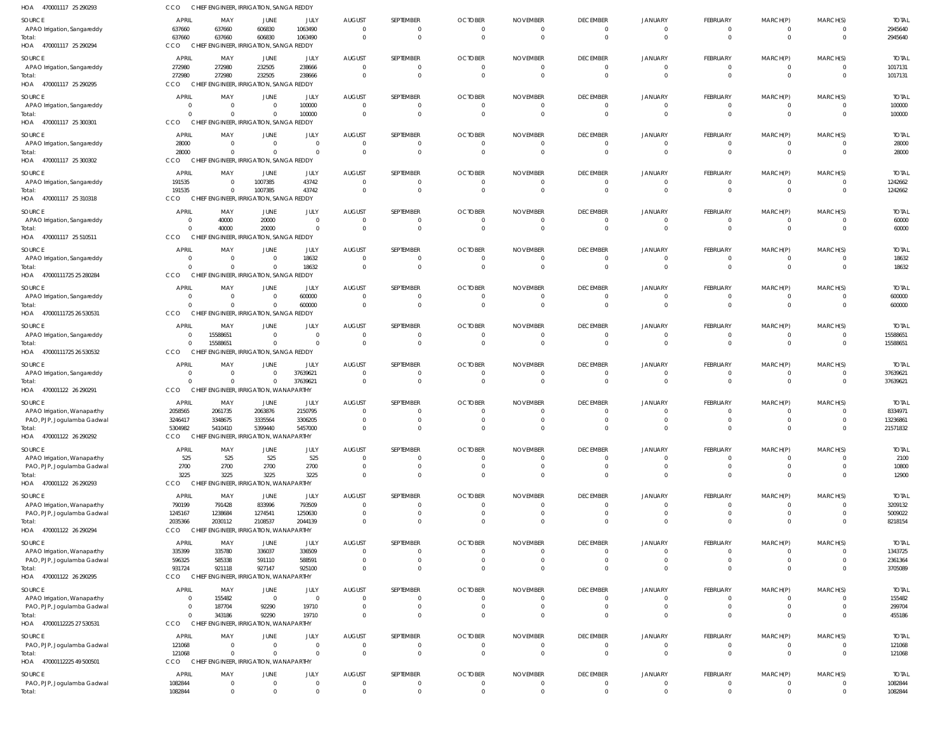| HOA 470001117 25 290293                                   | <b>CCO</b>                 |                                  | CHIEF ENGINEER, IRRIGATION, SANGA REDDY                   |                            |                                  |                  |                                  |                                |                          |                      |                                  |                                  |                      |                         |
|-----------------------------------------------------------|----------------------------|----------------------------------|-----------------------------------------------------------|----------------------------|----------------------------------|------------------|----------------------------------|--------------------------------|--------------------------|----------------------|----------------------------------|----------------------------------|----------------------|-------------------------|
| SOURCE                                                    | APRIL                      | MAY                              | JUNE                                                      | JULY                       | <b>AUGUST</b>                    | SEPTEMBER        | <b>OCTOBER</b>                   | <b>NOVEMBER</b>                | <b>DECEMBER</b>          | <b>JANUARY</b>       | FEBRUARY                         | MARCH(P)                         | MARCH(S)             | <b>TOTAL</b>            |
| APAO Irrigation, Sangareddy                               | 637660                     | 637660                           | 606830                                                    | 1063490                    | $\mathbf{0}$                     |                  | $\overline{0}$                   | $\mathbf 0$                    | $\Omega$                 |                      | $\overline{0}$                   | 0                                |                      | 2945640                 |
| lotal:<br>HOA 470001117 25 290294                         | 637660<br>CCO              | 637660                           | 606830<br>CHIEF ENGINEER, IRRIGATION, SANGA REDDY         | 1063490                    | $\overline{0}$                   | $\Omega$         | $\overline{0}$                   | $\overline{0}$                 | $\mathbf 0$              | $\Omega$             | $\overline{0}$                   | $\overline{0}$                   | $\mathbf{0}$         | 2945640                 |
|                                                           | <b>APRIL</b>               |                                  |                                                           |                            |                                  |                  |                                  |                                |                          |                      |                                  |                                  |                      |                         |
| SOURCE<br>APAO Irrigation, Sangareddy                     | 272980                     | MAY<br>272980                    | JUNE<br>232505                                            | JULY<br>238666             | <b>AUGUST</b><br>$\overline{0}$  | SEPTEMBER<br>- 0 | <b>OCTOBER</b><br>$\overline{0}$ | <b>NOVEMBER</b><br>$\mathbf 0$ | <b>DECEMBER</b>          | <b>JANUARY</b>       | FEBRUARY<br>$\overline{0}$       | MARCH(P)<br>$\overline{0}$       | MARCH(S)             | <b>TOTAL</b><br>1017131 |
| Total:                                                    | 272980                     | 272980                           | 232505                                                    | 238666                     | $\overline{0}$                   | $\Omega$         | $\Omega$                         | $\overline{0}$                 | $\Omega$                 |                      | $\Omega$                         | $\Omega$                         | $\Omega$             | 1017131                 |
| HOA 470001117 25 290295                                   | CCO                        |                                  | CHIEF ENGINEER, IRRIGATION, SANGA REDDY                   |                            |                                  |                  |                                  |                                |                          |                      |                                  |                                  |                      |                         |
| SOURCE                                                    | <b>APRIL</b>               | MAY                              | JUNE                                                      | JULY                       | <b>AUGUST</b>                    | SEPTEMBER        | <b>OCTOBER</b>                   | <b>NOVEMBER</b>                | <b>DECEMBER</b>          | JANUARY              | FEBRUARY                         | MARCH(P)                         | MARCH(S)             | <b>TOTAL</b>            |
| APAO Irrigation, Sangareddy                               | $\Omega$                   | $\overline{0}$                   | $\overline{0}$                                            | 100000                     | $\overline{0}$                   | - 0              | $\overline{0}$                   | $\overline{0}$                 | $\Omega$                 | $\Omega$             | $\overline{0}$                   | $\overline{0}$                   | $\Omega$             | 100000                  |
| HOA 470001117 25 300301                                   | $\Omega$<br><b>CCO</b>     | $\overline{0}$                   | $\overline{0}$<br>CHIEF ENGINEER, IRRIGATION, SANGA REDDY | 100000                     | $\overline{0}$                   | $\Omega$         | $\overline{0}$                   | $\overline{0}$                 | $\Omega$                 | $\Omega$             | $\overline{0}$                   | $\overline{0}$                   | $\Omega$             | 100000                  |
| SOURCE                                                    | <b>APRIL</b>               | MAY                              | JUNE                                                      | JULY                       | <b>AUGUST</b>                    | SEPTEMBER        | <b>OCTOBER</b>                   | <b>NOVEMBER</b>                | <b>DECEMBER</b>          | <b>JANUARY</b>       | FEBRUARY                         | MARCH(P)                         | MARCH(S)             | <b>TOTAL</b>            |
| APAO Irrigation, Sangareddy                               | 28000                      | $\overline{0}$                   | $\overline{0}$                                            | $\overline{0}$             | $\mathbf 0$                      | - 0              | $\overline{0}$                   | 0                              |                          |                      | $\overline{0}$                   | $\overline{0}$                   |                      | 28000                   |
| Total:                                                    | 28000                      | $\Omega$                         | $\Omega$                                                  | $\overline{0}$             | $\overline{0}$                   | $\Omega$         | $\overline{0}$                   | $\overline{0}$                 | $\Omega$                 |                      | $\Omega$                         | $\overline{0}$                   | $\Omega$             | 28000                   |
| HOA 470001117 25 300302                                   | CCO                        |                                  | CHIEF ENGINEER, IRRIGATION, SANGA REDDY                   |                            |                                  |                  |                                  |                                |                          |                      |                                  |                                  |                      |                         |
| SOURCE                                                    | <b>APRIL</b>               | MAY                              | JUNE                                                      | JULY                       | AUGUST                           | SEPTEMBER        | <b>OCTOBER</b>                   | <b>NOVEMBER</b>                | <b>DECEMBER</b>          | <b>JANUARY</b>       | FEBRUARY                         | MARCH(P)                         | MARCH(S)             | <b>TOTAL</b>            |
| APAO Irrigation, Sangareddy<br>Total:                     | 191535<br>191535           | $\overline{0}$<br>$\overline{0}$ | 1007385<br>1007385                                        | 43742<br>43742             | $\overline{0}$<br>$\overline{0}$ | $\Omega$         | $\overline{0}$<br>$\overline{0}$ | $\mathbf 0$<br>$\overline{0}$  | $\Omega$<br>$\Omega$     | $\Omega$             | 0<br>$\overline{0}$              | 0<br>$\overline{0}$              | $\Omega$             | 1242662<br>1242662      |
| HOA 470001117 25 310318                                   | CCO                        |                                  | CHIEF ENGINEER, IRRIGATION, SANGA REDDY                   |                            |                                  |                  |                                  |                                |                          |                      |                                  |                                  |                      |                         |
| SOURCE                                                    | <b>APRIL</b>               | MAY                              | JUNE                                                      | JULY                       | <b>AUGUST</b>                    | SEPTEMBER        | <b>OCTOBER</b>                   | <b>NOVEMBER</b>                | <b>DECEMBER</b>          | <b>JANUARY</b>       | FEBRUARY                         | MARCH(P)                         | MARCH(S)             | <b>TOTAL</b>            |
| APAO Irrigation, Sangareddy                               |                            | 40000                            | 20000                                                     | $\overline{0}$             | $\mathbf{0}$                     | - 0              | $\overline{0}$                   | $\mathbf 0$                    |                          |                      | $\overline{0}$                   | $\overline{0}$                   |                      | 60000                   |
| lotal:                                                    |                            | 40000                            | 20000                                                     | $\overline{0}$             | $\overline{0}$                   | $\Omega$         | $\overline{0}$                   | $\overline{0}$                 | $\mathbf 0$              | $\Omega$             | $\overline{0}$                   | $\overline{0}$                   | $\mathbf 0$          | 60000                   |
| HOA 470001117 25 510511                                   | <b>CCO</b>                 |                                  | CHIEF ENGINEER, IRRIGATION, SANGA REDDY                   |                            |                                  |                  |                                  |                                |                          |                      |                                  |                                  |                      |                         |
| SOURCE                                                    | <b>APRIL</b>               | MAY                              | JUNE                                                      | JULY                       | AUGUST                           | SEPTEMBER        | <b>OCTOBER</b>                   | <b>NOVEMBER</b>                | <b>DECEMBER</b>          | JANUARY              | FEBRUARY                         | MARCH(P)                         | MARCH(S)             | <b>TOTAL</b>            |
| APAO Irrigation, Sangareddy<br>Total:                     | $\Omega$                   | $\overline{0}$<br>$\Omega$       | $\overline{0}$<br>$\overline{0}$                          | 18632<br>18632             | $\overline{0}$<br>$\overline{0}$ | $\Omega$         | $\overline{0}$<br>$\overline{0}$ | $\mathbf 0$<br>$\overline{0}$  | $\mathbf{0}$<br>$\Omega$ | $\Omega$<br>$\Omega$ | $\overline{0}$<br>$\overline{0}$ | $\overline{0}$<br>$\overline{0}$ | $\Omega$<br>$\Omega$ | 18632<br>18632          |
| HOA 47000111725 25 280284                                 | <b>CCO</b><br>CHIEF        |                                  | ENGINEER, IRRIGATION, SANGA REDDY                         |                            |                                  |                  |                                  |                                |                          |                      |                                  |                                  |                      |                         |
| SOURCE                                                    | <b>APRIL</b>               | MAY                              | JUNE                                                      | JULY                       | <b>AUGUST</b>                    | SEPTEMBER        | <b>OCTOBER</b>                   | <b>NOVEMBER</b>                | <b>DECEMBER</b>          | <b>JANUARY</b>       | FEBRUARY                         | MARCH(P)                         | MARCH(S)             | <b>TOTAL</b>            |
| APAO Irrigation, Sangareddy                               |                            | $\Omega$                         | $\overline{0}$                                            | 600000                     | $\mathbf 0$                      | - 0              | $\overline{0}$                   | $\mathbf 0$                    |                          |                      | 0                                | $\Omega$                         |                      | 600000                  |
| Total:                                                    |                            | $\overline{0}$                   | $\overline{0}$                                            | 600000                     | $\overline{0}$                   | $\Omega$         | $\overline{0}$                   | $\overline{0}$                 | $\Omega$                 | $\Omega$             | $\overline{0}$                   | $\overline{0}$                   | $\Omega$             | 600000                  |
| HOA 47000111725 26 530531                                 | <b>CCO</b>                 |                                  | CHIEF ENGINEER, IRRIGATION, SANGA REDDY                   |                            |                                  |                  |                                  |                                |                          |                      |                                  |                                  |                      |                         |
| SOURCE                                                    | APRIL                      | MAY                              | JUNE                                                      | JULY                       | AUGUST                           | SEPTEMBER        | <b>OCTOBER</b>                   | <b>NOVEMBER</b>                | <b>DECEMBER</b>          | <b>JANUARY</b>       | FEBRUARY                         | MARCH(P)                         | MARCH(S)             | <b>TOTAL</b>            |
| APAO Irrigation, Sangareddy<br>lotal:                     | $\Omega$                   | 15588651<br>15588651             | $\overline{0}$<br>$\overline{0}$                          | $\overline{0}$<br>$\Omega$ | $\mathbf 0$<br>$\overline{0}$    | - 0              | $\overline{0}$<br>$\overline{0}$ | $\mathbf 0$<br>$\overline{0}$  | $\mathbf 0$              | $\Omega$             | $\overline{0}$<br>$\overline{0}$ | $\overline{0}$<br>$\overline{0}$ | $\mathbf 0$          | 15588651<br>15588651    |
| HOA 47000111725 26 530532                                 | <b>CCO</b>                 |                                  | CHIEF ENGINEER, IRRIGATION, SANGA REDDY                   |                            |                                  |                  |                                  |                                |                          |                      |                                  |                                  |                      |                         |
| SOURCE                                                    | <b>APRIL</b>               | MAY                              | JUNE                                                      | JULY                       | <b>AUGUST</b>                    | SEPTEMBER        | <b>OCTOBER</b>                   | <b>NOVEMBER</b>                | <b>DECEMBER</b>          | <b>JANUARY</b>       | FEBRUARY                         | MARCH(P)                         | MARCH(S)             | <b>TOTAI</b>            |
| APAO Irrigation, Sangareddy                               | - 0                        | $\overline{0}$                   | $\overline{0}$                                            | 37639621                   | $\overline{0}$                   | - 0              | $\overline{0}$                   | $\mathbf 0$                    |                          |                      | $\overline{0}$                   | $\Omega$                         |                      | 37639621                |
| lotal:                                                    |                            | $\Omega$                         | $\overline{0}$                                            | 37639621                   | $\overline{0}$                   | $\Omega$         | $\overline{0}$                   | $\overline{0}$                 | $\Omega$                 | $\Omega$             | $\overline{0}$                   | $\overline{0}$                   | $\Omega$             | 37639621                |
| HOA 470001122 26 290291                                   | <b>CCO</b>                 |                                  | CHIEF ENGINEER, IRRIGATION, WANAPARTHY                    |                            |                                  |                  |                                  |                                |                          |                      |                                  |                                  |                      |                         |
| SOURCE<br>APAO Irrigation, Wanaparthy                     | APRIL<br>2058565           | MAY<br>2061735                   | JUNE<br>2063876                                           | JULY<br>2150795            | <b>AUGUST</b><br>$\mathbf 0$     | SEPTEMBER        | <b>OCTOBER</b><br>$\overline{0}$ | <b>NOVEMBER</b><br>$\mathbf 0$ | <b>DECEMBER</b>          | JANUARY              | FEBRUARY<br>0                    | MARCH(P)<br>$\Omega$             | MARCH(S)             | <b>TOTAL</b><br>8334971 |
| PAO, PJP, Jogulamba Gadwal                                | 3246417                    | 3348675                          | 3335564                                                   | 3306205                    | $\overline{0}$                   |                  | $\Omega$                         |                                |                          |                      |                                  |                                  |                      | 13236861                |
| lotal:                                                    | 5304982                    | 5410410                          | 5399440                                                   | 5457000                    |                                  |                  |                                  |                                |                          |                      |                                  |                                  |                      | 21571832                |
| HOA 470001122 26 290292                                   | CCO                        |                                  | CHIEF ENGINEER, IRRIGATION, WANAPARTHY                    |                            |                                  |                  |                                  |                                |                          |                      |                                  |                                  |                      |                         |
| SOURCE                                                    | <b>APRIL</b>               | MAY                              | JUNE                                                      | JULY                       | <b>AUGUST</b>                    | SEPTEMBER        | <b>OCTOBER</b>                   | <b>NOVEMBER</b>                | <b>DECEMBER</b>          | <b>JANUARY</b>       | <b>FEBRUARY</b>                  | MARCH(P)                         | MARCH(S)             | <b>TOTAL</b>            |
| APAO Irrigation, Wanaparthy<br>PAO, PJP, Jogulamba Gadwal | 525<br>2700                | 525<br>2700                      | 525<br>2700                                               | 525<br>2700                | $\mathbf 0$<br>$\mathbf{0}$      | - 0<br>$\Omega$  | $\overline{0}$<br>$\overline{0}$ | $\mathbf 0$<br>$\mathbf 0$     |                          |                      | $\mathbf{0}$<br>$\overline{0}$   | $\Omega$<br>$\mathbf{0}$         |                      | 2100<br>10800           |
| Total:                                                    | 3225                       | 3225                             | 3225                                                      | 3225                       | $\overline{0}$                   | $\Omega$         | $\overline{0}$                   | $\overline{0}$                 |                          |                      | $\Omega$                         | $\Omega$                         | $\Omega$             | 12900                   |
| HOA 470001122 26 290293                                   | <b>CCO</b>                 |                                  | CHIEF ENGINEER, IRRIGATION, WANAPARTHY                    |                            |                                  |                  |                                  |                                |                          |                      |                                  |                                  |                      |                         |
| SOURCE                                                    | <b>APRIL</b>               | MAY                              | JUNE                                                      | JULY                       | <b>AUGUST</b>                    | SEPTEMBER        | <b>OCTOBER</b>                   | <b>NOVEMBER</b>                | <b>DECEMBER</b>          | <b>JANUARY</b>       | FEBRUARY                         | MARCH(P)                         | MARCH(S)             | <b>TOTAL</b>            |
| APAO Irrigation, Wanaparthy                               | 790199                     | 791428                           | 833996                                                    | 793509                     | $\mathbf 0$                      |                  | $\overline{0}$                   | $\Omega$                       |                          |                      |                                  |                                  |                      | 3209132                 |
| PAO, PJP, Jogulamba Gadwal<br>Total:                      | 1245167<br>2035366         | 1238684<br>2030112               | 1274541<br>2108537                                        | 1250630<br>2044139         | $\overline{0}$<br>$\overline{0}$ |                  | $\overline{0}$<br>$\overline{0}$ | $\mathbf 0$<br>$\overline{0}$  | $\Omega$<br>$\Omega$     | $\Omega$             | 0<br>$\overline{0}$              | $\overline{0}$<br>$\overline{0}$ | $\Omega$             | 5009022<br>8218154      |
| HOA 470001122 26 290294                                   | CCO                        |                                  | CHIEF ENGINEER, IRRIGATION, WANAPARTHY                    |                            |                                  |                  |                                  |                                |                          |                      |                                  |                                  |                      |                         |
| SOURCE                                                    | <b>APRIL</b>               | MAY                              | JUNE                                                      | JULY                       | <b>AUGUST</b>                    | SEPTEMBER        | <b>OCTOBER</b>                   | <b>NOVEMBER</b>                | <b>DECEMBER</b>          | <b>JANUARY</b>       | FEBRUARY                         | MARCH(P)                         | MARCH(S)             | <b>TOTAL</b>            |
| APAO Irrigation, Wanaparthy                               | 335399                     | 335780                           | 336037                                                    | 336509                     | $\mathbf 0$                      |                  | $\Omega$                         | $\Omega$                       |                          |                      | 0                                |                                  |                      | 1343725                 |
| PAO, PJP, Jogulamba Gadwal                                | 596325                     | 585338                           | 591110                                                    | 588591                     | $\overline{0}$                   | - 0              | $\overline{0}$                   | $\mathbf 0$                    |                          |                      | $\mathbf 0$                      | $\overline{0}$                   |                      | 2361364                 |
| Total:<br>HOA 470001122 26 290295                         | 931724<br>CCO              | 921118                           | 927147<br>CHIEF ENGINEER, IRRIGATION, WANAPARTHY          | 925100                     | $\overline{0}$                   |                  | $\Omega$                         | $\Omega$                       |                          |                      | $\Omega$                         | $\Omega$                         |                      | 3705089                 |
| SOURCE                                                    | APRIL                      | MAY                              | JUNE                                                      | JULY                       | <b>AUGUST</b>                    | SEPTEMBER        | <b>OCTOBER</b>                   | <b>NOVEMBER</b>                | <b>DECEMBER</b>          | <b>JANUARY</b>       | FEBRUARY                         | MARCH(P)                         | MARCH(S)             | <b>TOTAL</b>            |
| APAO Irrigation, Wanaparthy                               | - 0                        | 155482                           | $\overline{0}$                                            | $\overline{0}$             | $\mathbf{0}$                     | - 0              | $\overline{0}$                   | $\mathbf 0$                    | $\Omega$                 | - 0                  | $\mathbf{0}$                     | $\mathbf{0}$                     |                      | 155482                  |
| PAO, PJP, Jogulamba Gadwal                                |                            | 187704                           | 92290                                                     | 19710                      | $\overline{0}$                   |                  | $\overline{0}$                   | $\mathbf 0$                    | $\Omega$                 | $\Omega$             | 0                                | $\mathbf 0$                      | $\Omega$             | 299704                  |
| lotal:                                                    | $\Omega$                   | 343186                           | 92290                                                     | 19710                      | $\overline{0}$                   |                  | $\overline{0}$                   | $\overline{0}$                 | $\Omega$                 |                      | $\Omega$                         | $\Omega$                         | $\Omega$             | 455186                  |
| HOA 47000112225 27 530531                                 | <b>CCO</b><br><b>CHIEF</b> |                                  | ENGINEER, IRRIGATION, WANAPARTHY                          |                            |                                  |                  |                                  |                                |                          |                      |                                  |                                  |                      |                         |
| SOURCE<br>PAO, PJP, Jogulamba Gadwal                      | <b>APRIL</b><br>121068     | MAY<br>$\overline{0}$            | JUNE<br>$\overline{0}$                                    | JULY<br>$\overline{0}$     | <b>AUGUST</b><br>$\overline{0}$  | SEPTEMBER<br>- 0 | <b>OCTOBER</b><br>$\overline{0}$ | <b>NOVEMBER</b><br>$\mathbf 0$ | <b>DECEMBER</b>          | JANUARY              | FEBRUARY<br>$\overline{0}$       | MARCH(P)<br>$\mathbf{0}$         | MARCH(S)             | <b>TOTAL</b><br>121068  |
| Total:                                                    | 121068                     | $\Omega$                         | $\overline{0}$                                            | $\Omega$                   | $\overline{0}$                   | $\Omega$         | $\overline{0}$                   | $\overline{0}$                 | $\mathbf 0$              | $\Omega$             | $\overline{0}$                   | $\overline{0}$                   | $\Omega$             | 121068                  |
| HOA 47000112225 49 500501                                 | CCO                        |                                  | CHIEF ENGINEER, IRRIGATION, WANAPARTHY                    |                            |                                  |                  |                                  |                                |                          |                      |                                  |                                  |                      |                         |
| SOURCE                                                    | <b>APRIL</b>               | MAY                              | JUNE                                                      | JULY                       | <b>AUGUST</b>                    | SEPTEMBER        | <b>OCTOBER</b>                   | <b>NOVEMBER</b>                | <b>DECEMBER</b>          | <b>JANUARY</b>       | FEBRUARY                         | MARCH(P)                         | MARCH(S)             | <b>TOTAL</b>            |
| PAO, PJP, Jogulamba Gadwal                                | 1082844                    | $\overline{0}$                   | $\mathbf 0$                                               | $\mathbf 0$                | $\mathbf 0$                      | - 0              | $\overline{0}$                   | $\mathbf 0$                    | $\mathbf{0}$             | $\overline{0}$       | $\overline{0}$                   | $\mathbf{0}$                     | $\Omega$             | 1082844                 |
| Total:                                                    | 1082844                    | $\mathbf 0$                      | $\mathbf 0$                                               | $\mathbf{0}$               | $\overline{0}$                   | $\Omega$         | $\overline{0}$                   | $\mathbf 0$                    | $\Omega$                 | $\Omega$             | $\mathbf 0$                      | $\mathbf 0$                      | $\Omega$             | 1082844                 |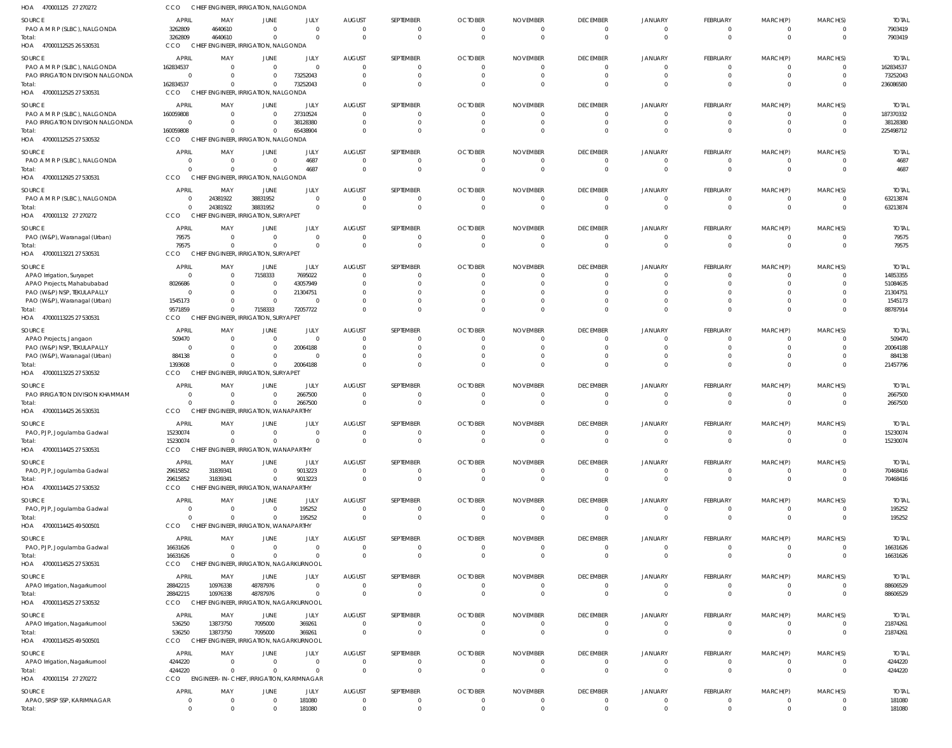| HOA 470001125 27 270272                                                              | CCO                                                | CHIEF ENGINEER, IRRIGATION, NALGONDA                                    |                                                                   |                                                |                                                               |                                               |                                                                |                                                              |                                                  |                                                       |                                         |                                        |                                                 |                                                    |
|--------------------------------------------------------------------------------------|----------------------------------------------------|-------------------------------------------------------------------------|-------------------------------------------------------------------|------------------------------------------------|---------------------------------------------------------------|-----------------------------------------------|----------------------------------------------------------------|--------------------------------------------------------------|--------------------------------------------------|-------------------------------------------------------|-----------------------------------------|----------------------------------------|-------------------------------------------------|----------------------------------------------------|
| SOURCE<br>PAO A M R P (SLBC), NALGONDA<br>Total:                                     | <b>APRIL</b><br>3262809<br>3262809                 | MAY<br>4640610<br>4640610                                               | <b>JUNE</b><br>$\overline{0}$<br>$\overline{0}$                   | JULY<br>$\overline{0}$<br>$\Omega$             | <b>AUGUST</b><br>$\Omega$<br>$\overline{0}$                   | SEPTEMBER<br>0<br>$\overline{0}$              | <b>OCTOBER</b><br>$\Omega$<br>$\overline{0}$                   | <b>NOVEMBER</b><br>$\Omega$<br>$\overline{0}$                | <b>DECEMBER</b><br>0<br>$\mathbf{0}$             | <b>JANUARY</b><br>$\Omega$<br>$\mathbf 0$             | <b>FEBRUARY</b><br>- 0<br>$\Omega$      | MARCH(P)<br>$\Omega$                   | MARCH(S)<br>$\Omega$<br>$\mathbf 0$             | <b>TOTAL</b><br>7903419<br>7903419                 |
| HOA 47000112525 26 530531                                                            | CCO                                                | CHIEF ENGINEER, IRRIGATION, NALGONDA                                    |                                                                   |                                                |                                                               |                                               |                                                                |                                                              |                                                  |                                                       |                                         |                                        |                                                 |                                                    |
| SOURCE<br>PAO A M R P (SLBC), NALGONDA<br>PAO IRRIGATION DIVISION NALGONDA<br>Total: | <b>APRIL</b><br>162834537<br>$\Omega$<br>162834537 | MAY<br>$\Omega$<br>$\Omega$<br>$\Omega$                                 | <b>JUNE</b><br>$\overline{0}$<br>$\overline{0}$<br>$\overline{0}$ | JULY<br>$\overline{0}$<br>73252043<br>73252043 | <b>AUGUST</b><br>$\overline{0}$<br>$\overline{0}$<br>$\Omega$ | SEPTEMBER<br>0<br>0<br>$\Omega$               | <b>OCTOBER</b><br>$\overline{0}$<br>$\overline{0}$<br>$\Omega$ | <b>NOVEMBER</b><br>$\Omega$<br>$\overline{0}$<br>$\Omega$    | <b>DECEMBER</b><br>0<br>$\mathbf 0$<br>$\Omega$  | <b>JANUARY</b><br>$\Omega$<br>$\mathbf 0$<br>$\Omega$ | FEBRUARY                                | MARCH(P)                               | MARCH(S)<br>$\Omega$<br>$\mathbf 0$<br>$\Omega$ | <b>TOTAL</b><br>162834537<br>73252043<br>236086580 |
| HOA 47000112525 27 530531                                                            | CCO                                                | CHIEF ENGINEER, IRRIGATION, NALGONDA                                    |                                                                   |                                                |                                                               |                                               |                                                                |                                                              |                                                  |                                                       |                                         |                                        |                                                 |                                                    |
| SOURCE<br>PAO A M R P (SLBC), NALGONDA<br>PAO IRRIGATION DIVISION NALGONDA           | <b>APRIL</b><br>160059808<br>$\Omega$              | MAY<br>$\Omega$<br>$\Omega$                                             | <b>JUNE</b><br>$\overline{0}$<br>$\overline{0}$                   | JULY<br>27310524<br>38128380                   | <b>AUGUST</b><br>$\Omega$<br>$\overline{0}$                   | SEPTEMBER<br>$\Omega$<br>0                    | <b>OCTOBER</b><br>$\Omega$<br>$\overline{0}$                   | <b>NOVEMBER</b><br>$\Omega$<br>$\overline{0}$                | <b>DECEMBER</b><br>$\Omega$<br>$\mathbf 0$       | <b>JANUARY</b><br>$\Omega$<br>$\mathbf 0$             | <b>FEBRUARY</b><br>- 0                  | MARCH(P)<br>$\Omega$                   | MARCH(S)<br>$\Omega$<br>$\mathbf 0$             | <b>TOTAL</b><br>187370332<br>38128380              |
| Total:<br>HOA 47000112525 27 530532                                                  | 160059808<br>CCO                                   | $\Omega$<br>CHIEF ENGINEER, IRRIGATION, NALGONDA                        | $\overline{0}$                                                    | 65438904                                       | $\Omega$                                                      | $\Omega$                                      | $\Omega$                                                       | $\Omega$                                                     | $\Omega$                                         | $\Omega$                                              |                                         |                                        | $\Omega$                                        | 225498712                                          |
| SOURCE<br>PAO A M R P (SLBC), NALGONDA                                               | <b>APRIL</b><br>0<br>$\Omega$                      | MAY<br>$\Omega$<br>$\Omega$                                             | <b>JUNE</b><br>$\overline{0}$<br>$\overline{0}$                   | JULY<br>4687<br>4687                           | <b>AUGUST</b><br>$\overline{0}$<br>$\overline{0}$             | SEPTEMBER<br>0<br>$\overline{0}$              | <b>OCTOBER</b><br>$\overline{0}$<br>$\Omega$                   | <b>NOVEMBER</b><br>$\overline{0}$<br>$\overline{0}$          | <b>DECEMBER</b><br>$\overline{0}$<br>$\mathbf 0$ | <b>JANUARY</b><br>0<br>$\overline{0}$                 | FEBRUARY<br>- 0<br>$\Omega$             | MARCH(P)<br>$\Omega$                   | MARCH(S)<br>0<br>$\mathbf 0$                    | <b>TOTAL</b><br>4687<br>4687                       |
| HOA 47000112925 27 530531<br>SOURCE                                                  | CCO<br><b>APRIL</b>                                | CHIEF ENGINEER, IRRIGATION, NALGONDA<br>MAY                             | JUNE                                                              | JULY                                           | <b>AUGUST</b>                                                 | SEPTEMBER                                     | <b>OCTOBER</b>                                                 | <b>NOVEMBER</b>                                              | <b>DECEMBER</b>                                  | <b>JANUARY</b>                                        | <b>FEBRUARY</b>                         | MARCH(P)                               | MARCH(S)                                        | <b>TOTAL</b>                                       |
| PAO A M R P (SLBC), NALGONDA<br>Total:<br>HOA 470001132 27 270272                    | $\Omega$<br>$\Omega$<br>CCO                        | 24381922<br>24381922<br>CHIEF ENGINEER, IRRIGATION, SURYAPET            | 38831952<br>38831952                                              | $\overline{0}$<br>$\overline{0}$               | $\overline{0}$<br>$\Omega$                                    | 0<br>$\Omega$                                 | $\Omega$<br>$\Omega$                                           | $\Omega$<br>$\Omega$                                         | 0<br>$\Omega$                                    | 0<br>$\Omega$                                         | - ( )<br>$\Omega$                       | $\Omega$                               | $\Omega$<br>$\mathbf 0$                         | 63213874<br>63213874                               |
| SOURCE<br>PAO (W&P), Waranagal (Urban)<br>Total:                                     | <b>APRIL</b><br>79575<br>79575                     | MAY<br>$\overline{0}$<br>$\Omega$                                       | JUNE<br>$\overline{0}$<br>$\overline{0}$                          | JULY<br>$\overline{0}$<br>$\overline{0}$       | <b>AUGUST</b><br>$\overline{0}$<br>$\overline{0}$             | SEPTEMBER<br>0<br>0                           | <b>OCTOBER</b><br>$\overline{0}$<br>$\overline{0}$             | <b>NOVEMBER</b><br>$\overline{0}$<br>$\overline{0}$          | <b>DECEMBER</b><br>$\mathbf 0$<br>$\mathbf{0}$   | <b>JANUARY</b><br>0<br>$\mathbf 0$                    | FEBRUARY<br>$\Omega$                    | MARCH(P)<br>$\Omega$                   | MARCH(S)<br>$\Omega$<br>$\mathbf 0$             | <b>TOTAL</b><br>79575<br>79575                     |
| HOA 47000113221 27 530531                                                            | CCO                                                | CHIEF ENGINEER, IRRIGATION, SURYAPET                                    |                                                                   |                                                |                                                               |                                               |                                                                |                                                              |                                                  |                                                       |                                         |                                        |                                                 |                                                    |
| SOURCE<br>APAO Irrigation, Suryapet<br>APAO Projects, Mahabubabad                    | <b>APRIL</b><br>$\Omega$<br>8026686                | MAY<br>$\Omega$<br>$\Omega$                                             | JUNE<br>7158333<br>$\overline{0}$                                 | JULY<br>7695022<br>43057949                    | <b>AUGUST</b><br>$\Omega$<br>$\Omega$                         | SEPTEMBER<br>0<br>$\Omega$                    | <b>OCTOBER</b><br>$\Omega$<br>$\Omega$                         | <b>NOVEMBER</b><br>$\Omega$<br>$\Omega$                      | <b>DECEMBER</b><br>$\Omega$<br>$\Omega$          | <b>JANUARY</b><br>$\Omega$<br>$\Omega$                | FEBRUARY<br>- 0                         | MARCH(P)<br>- 0                        | MARCH(S)<br>$\Omega$<br>$\Omega$                | <b>TOTAL</b><br>14853355<br>51084635               |
| PAO (W&P) NSP, TEKULAPALLY<br>PAO (W&P), Waranagal (Urban)<br>Total:                 | $\Omega$<br>1545173<br>9571859                     | $\Omega$<br>$\Omega$<br>$\Omega$                                        | $\overline{0}$<br>$\overline{0}$<br>7158333                       | 21304751<br>$\Omega$<br>72057722               | $\Omega$<br>$\Omega$<br>$\Omega$                              | $\Omega$<br>$\Omega$<br>$\Omega$              | $\Omega$<br>$\Omega$<br>$\Omega$                               | $\Omega$<br>$\Omega$                                         | $\Omega$<br>$\Omega$<br>$\Omega$                 | $\Omega$<br>$\Omega$<br>$\Omega$                      | $\Omega$                                | $\Omega$                               | $\Omega$<br>$\Omega$<br>$\Omega$                | 21304751<br>1545173<br>88787914                    |
| HOA 47000113225 27 530531<br>SOURCE                                                  | CCO<br><b>APRIL</b>                                | CHIEF ENGINEER, IRRIGATION, SURYAPET<br>MAY                             | JUNE                                                              | JULY                                           | <b>AUGUST</b>                                                 | SEPTEMBER                                     | <b>OCTOBER</b>                                                 | <b>NOVEMBER</b>                                              | <b>DECEMBER</b>                                  | <b>JANUARY</b>                                        | FEBRUARY                                | MARCH(P)                               | MARCH(S)                                        | <b>TOTAL</b>                                       |
| APAO Projects, Jangaon<br>PAO (W&P) NSP, TEKULAPALLY                                 | 509470<br>0                                        | $\mathbf 0$<br>$\Omega$                                                 | $\overline{0}$<br>$\overline{0}$                                  | $\overline{0}$<br>20064188                     | $\overline{0}$<br>$\Omega$<br>$\Omega$                        | $\Omega$<br>$\Omega$                          | $\Omega$<br>$\Omega$                                           | $\Omega$<br>$\Omega$                                         | $\Omega$<br>$\Omega$                             | $\Omega$<br>$\Omega$                                  |                                         |                                        | $\Omega$<br>$\mathbf{0}$                        | 509470<br>20064188                                 |
| PAO (W&P), Waranagal (Urban)<br>Total:<br>47000113225 27 530532<br>HOA               | 884138<br>1393608<br>CCO                           | $\Omega$<br>$\Omega$<br>CHIEF ENGINEER, IRRIGATION, SURYAPET            | $\overline{0}$<br>$\overline{0}$                                  | - 0<br>20064188                                | $\Omega$                                                      | -0<br>$\Omega$                                | $\Omega$<br>$\Omega$                                           | $\Omega$<br>$\Omega$                                         | $\Omega$<br>$\Omega$                             | $\Omega$<br>$\Omega$                                  |                                         |                                        | $\Omega$<br>$\Omega$                            | 884138<br>21457796                                 |
| SOURCE<br>PAO IRRIGATION DIVISION KHAMMAM<br>Total:                                  | <b>APRIL</b><br>$\Omega$<br>$\Omega$               | MAY<br>$\Omega$<br>$\Omega$                                             | <b>JUNE</b><br>$\overline{0}$<br>$\overline{0}$                   | JULY<br>2667500<br>2667500                     | <b>AUGUST</b><br>$\overline{0}$<br>$\Omega$                   | SEPTEMBER<br>0<br>$\overline{0}$              | <b>OCTOBER</b><br>$\overline{0}$<br>$\Omega$                   | <b>NOVEMBER</b><br>$\overline{0}$<br>$\overline{0}$          | <b>DECEMBER</b><br>0<br>$\mathbf{0}$             | <b>JANUARY</b><br>0<br>$\mathbf 0$                    | FEBRUARY<br>$\Omega$<br>$\Omega$        | MARCH(P)<br>- 0<br>$\Omega$            | MARCH(S)<br>$\Omega$<br>$\mathbf 0$             | <b>TOTAL</b><br>2667500<br>2667500                 |
| HOA 47000114425 26 530531                                                            | CCO                                                | CHIEF ENGINEER, IRRIGATION, WANAPARTHY                                  |                                                                   |                                                |                                                               |                                               |                                                                |                                                              |                                                  |                                                       |                                         |                                        |                                                 |                                                    |
| SOURCE<br>PAO, PJP, Jogulamba Gadwal<br>Total:                                       | <b>APRIL</b><br>15230074<br>15230074               | MAY<br>$\Omega$<br>$\Omega$                                             | <b>JUNE</b><br>$\overline{0}$<br>$\Omega$                         | JULY<br>$\overline{0}$<br>$\Omega$             | <b>AUGUST</b><br>$\overline{0}$<br>$\overline{0}$             | SEPTEMBER<br>$\overline{0}$<br>$\overline{0}$ | <b>OCTOBER</b><br>$\overline{0}$<br>$\overline{0}$             | <b>NOVEMBER</b><br>$\overline{0}$<br>$\overline{0}$          | <b>DECEMBER</b><br>$\mathbf 0$<br>$\mathbf 0$    | <b>JANUARY</b><br>$\mathbf 0$<br>$\mathbf 0$          | <b>FEBRUARY</b><br>$\Omega$<br>$\Omega$ | MARCH(P)<br>$\Omega$<br>$\Omega$       | MARCH(S)<br>$\mathbf{0}$<br>$\mathbf 0$         | <b>TOTAL</b><br>15230074<br>15230074               |
| HOA 47000114425 27 530531                                                            | CCO                                                | CHIEF ENGINEER, IRRIGATION, WANAPARTHY                                  |                                                                   |                                                |                                                               |                                               |                                                                |                                                              |                                                  |                                                       |                                         |                                        |                                                 |                                                    |
| SOURCE<br>PAO, PJP, Jogulamba Gadwal<br>Total:<br>HOA 47000114425 27 530532          | <b>APRIL</b><br>29615852<br>29615852<br>CCO        | MAY<br>31839341<br>31839341<br>CHIEF ENGINEER, IRRIGATION, WANAPARTHY   | JUNE<br>$\overline{0}$<br>$\overline{0}$                          | JULY<br>9013223<br>9013223                     | <b>AUGUST</b><br>$\overline{0}$<br>$\overline{0}$             | SEPTEMBER<br>$\overline{0}$<br>$\overline{0}$ | <b>OCTOBER</b><br>$\overline{0}$<br>$\overline{0}$             | <b>NOVEMBER</b><br>$\overline{0}$<br>$\overline{0}$          | <b>DECEMBER</b><br>$\mathbf 0$<br>$\mathbf{0}$   | <b>JANUARY</b><br>0<br>$\mathbf 0$                    | FEBRUARY<br>$\Omega$<br>$\Omega$        | MARCH(P)<br>- 0<br>$\Omega$            | MARCH(S)<br>$\mathbf 0$<br>$\mathbf{0}$         | <b>TOTAL</b><br>70468416<br>70468416               |
| SOURCE                                                                               | <b>APRIL</b>                                       | MAY                                                                     | <b>JUNE</b>                                                       | JULY                                           | <b>AUGUST</b>                                                 | SEPTEMBER                                     | <b>OCTOBER</b>                                                 | <b>NOVEMBER</b>                                              | <b>DECEMBER</b>                                  | <b>JANUARY</b>                                        | FEBRUARY                                | MARCH(P)                               | MARCH(S)                                        | <b>TOTAL</b>                                       |
| PAO, PJP, Jogulamba Gadwal<br>Total:<br>HOA 47000114425 49 500501                    | 0<br>$\Omega$<br>CCO                               | $\mathbf 0$<br>$\Omega$<br>CHIEF ENGINEER, IRRIGATION, WANAPARTHY       | $\overline{0}$<br>$\overline{0}$                                  | 195252<br>195252                               | $\overline{0}$<br>$\overline{0}$                              | 0<br>$\overline{0}$                           | $\overline{0}$<br>$\overline{0}$                               | $\overline{0}$<br>$\overline{0}$                             | 0<br>$\mathbf 0$                                 | 0<br>$\mathbf 0$                                      | - 0<br>$\Omega$                         | $\Omega$                               | 0<br>$\mathbf{0}$                               | 195252<br>195252                                   |
| SOURCE<br>PAO, PJP, Jogulamba Gadwal                                                 | <b>APRIL</b><br>16631626                           | MAY<br>$\Omega$<br>$\Omega$                                             | <b>JUNE</b><br>$\overline{0}$<br>$\overline{0}$                   | JULY<br>$\overline{0}$<br>$\overline{0}$       | <b>AUGUST</b><br>$\overline{0}$<br>$\overline{0}$             | SEPTEMBER<br>$\overline{0}$<br>$\overline{0}$ | <b>OCTOBER</b><br>$\overline{0}$<br>$\Omega$                   | <b>NOVEMBER</b><br>$\overline{0}$<br>$\overline{0}$          | <b>DECEMBER</b><br>$\mathbf 0$<br>$\mathbf 0$    | <b>JANUARY</b><br>$\overline{0}$<br>$\overline{0}$    | FEBRUARY<br>$\overline{0}$<br>$\Omega$  | MARCH(P)<br>$\Omega$<br>$\Omega$       | MARCH(S)<br>0<br>$\mathbf 0$                    | <b>TOTAL</b><br>16631626                           |
| Total:<br>HOA 47000114525 27 530531                                                  | 16631626<br>CCO                                    | CHIEF ENGINEER, IRRIGATION, NAGARKURNOOL                                |                                                                   |                                                |                                                               |                                               |                                                                |                                                              |                                                  |                                                       |                                         |                                        |                                                 | 16631626                                           |
| SOURCE<br>APAO Irrigation, Nagarkurnool                                              | <b>APRIL</b><br>28842215<br>28842215               | MAY<br>10976338<br>10976338                                             | JUNE<br>48787976<br>48787976                                      | JULY<br>$\overline{0}$<br>$\overline{0}$       | <b>AUGUST</b><br>$\overline{0}$<br>$\overline{0}$             | SEPTEMBER<br>$\overline{0}$<br>$\overline{0}$ | <b>OCTOBER</b><br>$\overline{0}$<br>$\overline{0}$             | <b>NOVEMBER</b><br>$\overline{0}$<br>$\overline{0}$          | <b>DECEMBER</b><br>$\mathbf 0$<br>$\mathbf 0$    | <b>JANUARY</b><br>$\overline{0}$<br>$\mathbf 0$       | FEBRUARY<br>$\Omega$<br>$\Omega$        | MARCH(P)<br>- 0<br>$\Omega$            | MARCH(S)<br>$\mathbf 0$<br>$\mathbf{0}$         | <b>TOTAL</b><br>88606529<br>88606529               |
| lotal:<br>HOA 47000114525 27 530532                                                  | CCO                                                | CHIEF ENGINEER, IRRIGATION, NAGARKURNOOL                                |                                                                   |                                                |                                                               |                                               |                                                                |                                                              |                                                  |                                                       |                                         |                                        |                                                 |                                                    |
| SOURCE<br>APAO Irrigation, Nagarkurnool<br>Total:<br>HOA 47000114525 49 500501       | <b>APRIL</b><br>536250<br>536250<br>CCO            | MAY<br>13873750<br>13873750<br>CHIEF ENGINEER, IRRIGATION, NAGARKURNOOL | JUNE<br>7095000<br>7095000                                        | JULY<br>369261<br>369261                       | <b>AUGUST</b><br>$\overline{0}$<br>$\overline{0}$             | SEPTEMBER<br>$\mathbf{0}$<br>$\overline{0}$   | <b>OCTOBER</b><br>$\overline{\mathbf{0}}$<br>$\overline{0}$    | <b>NOVEMBER</b><br>$\overline{\mathbf{0}}$<br>$\overline{0}$ | <b>DECEMBER</b><br>$\mathbf{0}$<br>$\mathbf 0$   | <b>JANUARY</b><br>0<br>$\mathbf 0$                    | FEBRUARY<br>- 0<br>$\Omega$             | MARCH(P)<br>$\Omega$                   | MARCH(S)<br>$\mathbf{0}$<br>$\mathbf 0$         | <b>TOTAL</b><br>21874261<br>21874261               |
| SOURCE<br>APAO Irrigation, Nagarkurnool                                              | <b>APRIL</b><br>4244220                            | MAY<br>$\overline{0}$                                                   | <b>JUNE</b><br>$\overline{0}$                                     | JULY<br>$\overline{0}$                         | <b>AUGUST</b><br>$\overline{0}$                               | SEPTEMBER<br>0                                | <b>OCTOBER</b><br>$\overline{0}$                               | <b>NOVEMBER</b><br>$\overline{0}$                            | <b>DECEMBER</b><br>$\mathbf 0$                   | <b>JANUARY</b><br>0                                   | FEBRUARY<br>$\Omega$                    | MARCH(P)                               | MARCH(S)<br>0                                   | <b>TOTAL</b><br>4244220                            |
| Total:<br>HOA 470001154 27 270272                                                    | 4244220<br>CCO                                     | $\Omega$<br>ENGINEER-IN-CHIEF, IRRIGATION, KARIMNAGAR                   | $\overline{0}$                                                    | $\overline{0}$                                 | $\overline{0}$                                                | $\overline{0}$                                | $\overline{0}$                                                 | $\overline{0}$                                               | $\mathbf{0}$                                     | $\mathbf 0$                                           | $\Omega$                                | $\Omega$                               | $\mathbf{0}$                                    | 4244220                                            |
| SOURCE<br>APAO, SRSP SSP, KARIMNAGAR<br>Total:                                       | <b>APRIL</b><br>0<br>$\mathbf 0$                   | MAY<br>$\Omega$<br>$\mathbf{0}$                                         | <b>JUNE</b><br>$\overline{0}$<br>$\overline{0}$                   | JULY<br>181080<br>181080                       | <b>AUGUST</b><br>$\overline{0}$<br>$\overline{0}$             | SEPTEMBER<br>$\mathbf{0}$<br>$\mathbf{0}$     | <b>OCTOBER</b><br>$\overline{0}$<br>$\overline{0}$             | <b>NOVEMBER</b><br>$\overline{0}$<br>$\overline{0}$          | <b>DECEMBER</b><br>$\mathbf{0}$<br>$\mathbf 0$   | <b>JANUARY</b><br>0<br>$\mathbf 0$                    | FEBRUARY<br>$\Omega$<br>$\overline{0}$  | MARCH(P)<br>$\Omega$<br>$\overline{0}$ | MARCH(S)<br>0<br>$\mathbf 0$                    | <b>TOTAL</b><br>181080<br>181080                   |
|                                                                                      |                                                    |                                                                         |                                                                   |                                                |                                                               |                                               |                                                                |                                                              |                                                  |                                                       |                                         |                                        |                                                 |                                                    |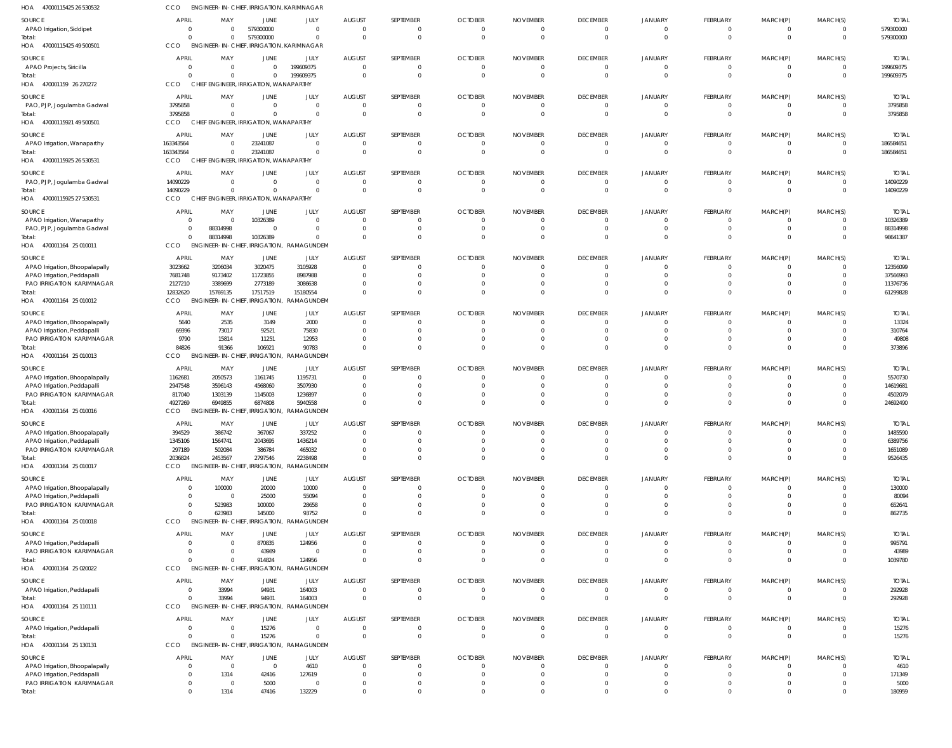| HOA 47000115425 26 530532                                 | CCO                              | ENGINEER-IN-CHIEF, IRRIGATION, KARIMNAGAR |                      |                                           |                           |                              |                            |                                   |                                   |                            |                                 |                  |                            |                        |
|-----------------------------------------------------------|----------------------------------|-------------------------------------------|----------------------|-------------------------------------------|---------------------------|------------------------------|----------------------------|-----------------------------------|-----------------------------------|----------------------------|---------------------------------|------------------|----------------------------|------------------------|
| SOURCE                                                    | <b>APRIL</b>                     | MAY                                       | JUNE                 | JULY                                      | <b>AUGUST</b>             | SEPTEMBER                    | <b>OCTOBER</b>             | <b>NOVEMBER</b>                   | <b>DECEMBER</b>                   | <b>JANUARY</b>             | <b>FEBRUARY</b>                 | MARCH(P)         | MARCH(S)                   | <b>TOTAI</b>           |
| APAO Irrigation, Siddipet                                 | $\Omega$                         | $\Omega$                                  | 579300000            | $\Omega$                                  | $\Omega$                  | $\mathbf{0}$                 | $\Omega$                   | $\overline{0}$                    | $\overline{0}$                    | $\Omega$                   | $\mathbf{0}$                    | $\mathbf 0$      | $\Omega$                   | 579300000              |
| Total:                                                    | $\Omega$                         | $\Omega$                                  | 579300000            | $\Omega$                                  | $\Omega$                  | $\Omega$                     | $\Omega$                   | $\Omega$                          | $\Omega$                          | $\Omega$                   | $\Omega$                        | $\mathbf 0$      | $\Omega$                   | 579300000              |
| HOA 47000115425 49 500501                                 | CCO                              | <b>ENGINEER-IN-CHIEF</b>                  |                      | , IRRIGATION, KARIMNAGAR                  |                           |                              |                            |                                   |                                   |                            |                                 |                  |                            |                        |
| SOURCE                                                    | APRIL                            | MAY                                       | JUNE                 | JULY                                      | <b>AUGUST</b>             | SEPTEMBER                    | <b>OCTOBER</b>             | <b>NOVEMBER</b>                   | <b>DECEMBER</b>                   | <b>JANUARY</b>             | <b>FEBRUARY</b>                 | MARCH(P)         | MARCH(S)                   | <b>TOTAI</b>           |
| <b>APAO Projects, Siricilla</b><br>Total:                 | $\Omega$<br>$\Omega$             | $\Omega$<br>$\Omega$                      | $\Omega$<br>$\Omega$ | 199609375<br>199609375                    | $\Omega$<br>$\Omega$      | $\mathbf{0}$<br>$\mathbf{0}$ | $\Omega$<br>$\Omega$       | $\overline{0}$<br>$\overline{0}$  | $\Omega$<br>$\overline{0}$        | $\Omega$<br>$\Omega$       | $\mathbf{0}$<br>$\mathbf{0}$    | 0<br>$\mathbf 0$ | $\Omega$<br>$\overline{0}$ | 199609375<br>199609375 |
| HOA 470001159 26 270272                                   | CCO                              | CHIEF ENGINEER, IRRIGATION, WANAPARTHY    |                      |                                           |                           |                              |                            |                                   |                                   |                            |                                 |                  |                            |                        |
| SOURCE                                                    | <b>APRIL</b>                     | MAY                                       | JUNE                 | JULY                                      | <b>AUGUST</b>             | SEPTEMBER                    | <b>OCTOBER</b>             | <b>NOVEMBER</b>                   | <b>DECEMBER</b>                   | <b>JANUARY</b>             | <b>FEBRUARY</b>                 | MARCH(P)         | MARCH(S)                   | <b>TOTAI</b>           |
| PAO, PJP, Jogulamba Gadwal                                | 3795858                          | $\Omega$                                  | $\Omega$             | $\Omega$                                  |                           | 0                            |                            | - 0                               | $\overline{0}$                    |                            | $\mathbf{0}$                    | 0                |                            | 3795858                |
| Total:                                                    | 3795858                          | $\Omega$                                  | $\Omega$             | $\Omega$                                  | $\Omega$                  | $\mathbf 0$                  | $\Omega$                   | $\Omega$                          | $\Omega$                          | $\Omega$                   | $\mathbf 0$                     | $\mathbf 0$      | $\Omega$                   | 3795858                |
| HOA 47000115921 49 500501                                 | <b>CCO</b>                       | CHIEF ENGINEER, IRRIGATION, WANAPARTHY    |                      |                                           |                           |                              |                            |                                   |                                   |                            |                                 |                  |                            |                        |
| SOURCE                                                    | APRII                            | MAY                                       | JUNE                 | JULY                                      | <b>AUGUST</b>             | SEPTEMBER                    | <b>OCTOBER</b>             | <b>NOVEMBER</b>                   | <b>DECEMBER</b>                   | JANUARY                    | <b>FEBRUARY</b>                 | MARCH(P)         | MARCH(S)                   | <b>TOTAL</b>           |
| APAO Irrigation, Wanaparthy<br>Total:                     | 163343564<br>163343564           | $\Omega$<br>$\Omega$                      | 23241087<br>23241087 | $\overline{0}$<br>$\Omega$                | $\Omega$<br>$\Omega$      | $\mathbf{0}$<br>$\mathbf 0$  | $\Omega$<br>$\Omega$       | $\overline{0}$<br>$\overline{0}$  | $\overline{0}$<br>$\overline{0}$  | $\Omega$<br>$\Omega$       | $\mathbf{0}$<br>$\mathbf 0$     | 0<br>$\mathbf 0$ | $\Omega$<br>$\Omega$       | 186584651<br>186584651 |
| HOA 47000115925 26 530531                                 | <b>CCO</b>                       | CHIEF ENGINEER, IRRIGATION, WANAPARTHY    |                      |                                           |                           |                              |                            |                                   |                                   |                            |                                 |                  |                            |                        |
| SOURCE                                                    | <b>APRIL</b>                     | MAY                                       | JUNE                 | JULY                                      | <b>AUGUST</b>             | SEPTEMBER                    | <b>OCTOBER</b>             | <b>NOVEMBER</b>                   | <b>DECEMBER</b>                   | <b>JANUARY</b>             | <b>FEBRUARY</b>                 | MARCH(P)         | MARCH(S)                   | <b>TOTAI</b>           |
| PAO, PJP, Jogulamba Gadwal                                | 14090229                         | $\Omega$                                  | $\Omega$             | $\Omega$                                  | $\Omega$                  | $\Omega$                     | $\Omega$                   | $\Omega$                          | $\Omega$                          | $\Omega$                   | $\mathbf{0}$                    | 0                | $\Omega$                   | 14090229               |
| Total:                                                    | 14090229                         | $\Omega$                                  | $\Omega$             | $\Omega$                                  | $\Omega$                  | $\mathbf 0$                  | $\Omega$                   | $\Omega$                          | $\overline{0}$                    | $\Omega$                   | $\mathbf 0$                     | $\mathbf 0$      | $\Omega$                   | 14090229               |
| HOA 47000115925 27 530531                                 | <b>CCO</b>                       | CHIEF ENGINEER, IRRIGATION, WANAPARTHY    |                      |                                           |                           |                              |                            |                                   |                                   |                            |                                 |                  |                            |                        |
| SOURCE                                                    | <b>APRIL</b>                     | MAY                                       | JUNE                 | JULY                                      | <b>AUGUST</b>             | SEPTEMBER                    | <b>OCTOBER</b>             | <b>NOVEMBER</b>                   | <b>DECEMBER</b>                   | <b>JANUARY</b>             | <b>FEBRUARY</b>                 | MARCH(P)         | MARCH(S)                   | <b>TOTAL</b>           |
| APAO Irrigation, Wanaparthy<br>PAO, PJP, Jogulamba Gadwal | $\overline{0}$<br>$\overline{0}$ | - 0<br>88314998                           | 10326389<br>$\Omega$ | $\Omega$<br>$\overline{0}$                | $\Omega$<br>$\Omega$      | $\mathbf{0}$<br>$\mathbf{0}$ | $\Omega$<br>$\Omega$       | - 0<br>- 0                        | $\Omega$<br>$\Omega$              | $\Omega$<br>$\Omega$       | $\mathbf{0}$<br>$\mathbf{0}$    | 0<br>$\mathbf 0$ | $\Omega$<br>$\Omega$       | 10326389<br>88314998   |
| Total:                                                    | $\Omega$                         | 88314998                                  | 10326389             | $\Omega$                                  | $\Omega$                  | $\mathbf 0$                  | $\Omega$                   | $\Omega$                          | $\Omega$                          | $\Omega$                   | $\mathbf 0$                     | $\Omega$         | $\Omega$                   | 98641387               |
| HOA 470001164 25 010011                                   | CCO                              | <b>ENGINEER-IN-CHIEF, IRRIGATION,</b>     |                      | RAMAGUNDEM                                |                           |                              |                            |                                   |                                   |                            |                                 |                  |                            |                        |
| SOURCE                                                    | APRIL                            | MAY                                       | JUNE                 | JULY                                      | <b>AUGUST</b>             | SEPTEMBER                    | <b>OCTOBER</b>             | <b>NOVEMBER</b>                   | <b>DECEMBER</b>                   | <b>JANUARY</b>             | <b>FEBRUARY</b>                 | MARCH(P)         | MARCH(S)                   | <b>TOTAI</b>           |
| APAO Irrigation, Bhoopalapally                            | 3023662                          | 3206034                                   | 3020475              | 3105928                                   | $\Omega$                  | $\Omega$                     |                            | $\Omega$                          | $\Omega$                          | $\Omega$                   | $\Omega$                        | 0                |                            | 12356099               |
| APAO Irrigation, Peddapalli                               | 7681748                          | 9173402<br>3389699                        | 11723855<br>2773189  | 8987988<br>3086638                        |                           | $\Omega$<br>$\Omega$         | -0                         | $\Omega$<br>$\Omega$              | $\Omega$<br>$\Omega$              | $\Omega$                   | $\Omega$<br>$\Omega$            | 0<br>0           |                            | 37566993<br>11376736   |
| PAO IRRIGATION KARIMNAGAR<br>Total:                       | 2127210<br>12832620              | 15769135                                  | 17517519             | 15180554                                  |                           | $\Omega$                     |                            | $\Omega$                          | $\Omega$                          |                            | $\Omega$                        | $\Omega$         |                            | 61299828               |
| HOA 470001164 25 010012                                   | <b>CCO</b>                       | <b>ENGINEER-IN-CHIEF</b>                  | , IRRIGATION,        | RAMAGUNDEM                                |                           |                              |                            |                                   |                                   |                            |                                 |                  |                            |                        |
| SOURCE                                                    | <b>APRIL</b>                     | MAY                                       | JUNE                 | JULY                                      | <b>AUGUST</b>             | SEPTEMBER                    | <b>OCTOBER</b>             | <b>NOVEMBER</b>                   | <b>DECEMBER</b>                   | <b>JANUARY</b>             | <b>FEBRUARY</b>                 | MARCH(P)         | MARCH(S)                   | <b>TOTAL</b>           |
| APAO Irrigation, Bhoopalapally                            | 5640                             | 2535                                      | 3149                 | 2000                                      | $\Omega$                  | $\Omega$                     | -0                         | $\Omega$                          | $\Omega$                          | $\Omega$                   | $\mathbf{0}$                    | $\Omega$         | $\Omega$                   | 13324                  |
| APAO Irrigation, Peddapalli                               | 69396                            | 73017                                     | 92521                | 75830                                     | $\Omega$<br>- 0           | $\mathbf{0}$<br>$\Omega$     |                            | $\Omega$                          | $\Omega$<br>$\Omega$              |                            | $\mathbf{0}$<br>$\Omega$        | 0                | $\Omega$                   | 310764                 |
| PAO IRRIGATION KARIMNAGAR<br>Total:                       | 9790<br>84826                    | 15814<br>91366                            | 11251<br>106921      | 12953<br>90783                            | $\Omega$                  | $\Omega$                     | $\Omega$                   | $\Omega$<br>$\Omega$              | $\Omega$                          | $\Omega$<br>$\Omega$       | $\Omega$                        | 0<br>$\Omega$    | $\Omega$<br>$\Omega$       | 49808<br>373896        |
| HOA 470001164 25 010013                                   | <b>CCO</b>                       | <b>ENGINEER-IN-CHIEF</b>                  | , Irrigation,        | RAMAGUNDEM                                |                           |                              |                            |                                   |                                   |                            |                                 |                  |                            |                        |
| SOURCE                                                    | <b>APRIL</b>                     | MAY                                       | JUNE                 | JULY                                      | <b>AUGUST</b>             | SEPTEMBER                    | <b>OCTOBER</b>             | <b>NOVEMBER</b>                   | <b>DECEMBER</b>                   | <b>JANUARY</b>             | <b>FEBRUARY</b>                 | MARCH(P)         | MARCH(S)                   | <b>TOTAI</b>           |
| APAO Irrigation, Bhoopalapally                            | 1162681                          | 2050573                                   | 1161745              | 1195731                                   |                           | 0                            |                            | $\Omega$                          | $\Omega$                          |                            | 0                               |                  |                            | 5570730                |
| APAO Irrigation, Peddapalli                               | 2947548                          | 3596143                                   | 4568060              | 3507930                                   |                           | $\Omega$<br>$\Omega$         |                            | $\Omega$                          | $\Omega$                          |                            | $\Omega$                        |                  |                            | 14619681               |
| PAO IRRIGATION KARIMNAGAR<br>Total:                       | 817040<br>4927269                | 1303139<br>6949855                        | 1145003<br>6874808   | 1236897<br>5940558                        |                           | $\Omega$                     |                            | $\Omega$<br>$\Omega$              | $\Omega$<br>$\Omega$              |                            | $\Omega$<br>$\Omega$            | $\Omega$         |                            | 4502079<br>24692490    |
| HOA 470001164 25 010016                                   | CCO                              |                                           |                      | ENGINEER-IN-CHIEF, IRRIGATION, RAMAGUNDEM |                           |                              |                            |                                   |                                   |                            |                                 |                  |                            |                        |
| SOURCE                                                    | <b>APRIL</b>                     | MAY                                       | JUNE                 | JULY                                      | <b>AUGUST</b>             | <b>SFPTFMBFR</b>             | <b>OCTOBER</b>             | <b>NOVEMBER</b>                   | <b>DECEMBER</b>                   | <b>JANUARY</b>             | <b>FFBRUARY</b>                 | MARCH(P)         | MARCH(S)                   | <b>TOTAI</b>           |
| APAO Irrigation, Bhoopalapally                            | 394529                           | 386742                                    | 367067               | 337252                                    | $\Omega$                  | $\Omega$                     |                            | $\Omega$                          | $\Omega$                          |                            | $\Omega$                        |                  |                            | 1485590                |
| APAO Irrigation, Peddapalli                               | 1345106                          | 1564741                                   | 2043695              | 1436214                                   |                           | $\Omega$                     |                            | - 0                               | $\Omega$                          | $\Omega$                   | $\mathbf{0}$                    | 0                |                            | 6389756                |
| PAO IRRIGATION KARIMNAGAR<br>Total:                       | 297189<br>2036824                | 502084<br>2453567                         | 386784<br>2797546    | 465032<br>2238498                         |                           | $\mathbf{0}$<br>$\Omega$     | -0                         | $\Omega$<br>$\Omega$              | $\Omega$<br>$\Omega$              | $\Omega$<br>$\Omega$       | $\mathbf{0}$<br>$\Omega$        | 0<br>0           | $\Omega$                   | 1651089<br>9526435     |
| HOA 470001164 25 010017                                   | CCO                              | <b>ENGINEER-IN-CHIEF</b>                  | IRRIGATION,          | RAMAGUNDEM                                |                           |                              |                            |                                   |                                   |                            |                                 |                  |                            |                        |
| SOURCE                                                    | <b>APRIL</b>                     | MAY                                       | <b>JUNE</b>          | JULY                                      | <b>AUGUST</b>             | SEPTEMBER                    | <b>OCTOBER</b>             | <b>NOVEMBER</b>                   | <b>DECEMBER</b>                   | <b>JANUARY</b>             | <b>FEBRUARY</b>                 | MARCH(P)         | MARCH(S)                   | <b>TOTAL</b>           |
| APAO Irrigation, Bhoopalapally                            | $\overline{0}$                   | 100000                                    | 20000                | 10000                                     |                           | $\Omega$                     |                            | $\Omega$                          | $\Omega$                          |                            | $\Omega$                        | 0                |                            | 130000                 |
| APAO Irrigation, Peddapalli                               | $\Omega$                         | - 0                                       | 25000                | 55094                                     |                           | $\Omega$                     |                            | $\Omega$                          | $\Omega$                          | $\Omega$                   | $\Omega$                        | 0                |                            | 80094                  |
| PAO IRRIGATION KARIMNAGAR<br>Total:                       | $\overline{0}$<br>$\Omega$       | 523983<br>623983                          | 100000<br>145000     | 28658<br>93752                            |                           | $\Omega$<br>$\Omega$         |                            | $\Omega$<br>$\Omega$              | $\Omega$<br>$\Omega$              | $\Omega$<br>$\Omega$       | $\Omega$<br>$\Omega$            | 0<br>$\Omega$    |                            | 652641<br>862735       |
| HOA 470001164 25 010018                                   | <b>CCO</b>                       | <b>ENGINEER-IN-CHIEF</b>                  |                      | IRRIGATION, RAMAGUNDEM                    |                           |                              |                            |                                   |                                   |                            |                                 |                  |                            |                        |
| SOURCE                                                    | <b>APRIL</b>                     | MAY                                       | JUNE                 | JULY                                      | <b>AUGUST</b>             | SEPTEMBER                    | <b>OCTOBER</b>             | <b>NOVEMBER</b>                   | <b>DECEMBER</b>                   | <b>JANUARY</b>             | <b>FEBRUARY</b>                 | MARCH(P)         | MARCH(S)                   | <b>TOTAL</b>           |
| APAO Irrigation, Peddapalli                               | $\overline{0}$                   | $\overline{0}$                            | 870835               | 124956                                    | $\Omega$                  | $\mathbf{0}$                 | $\Omega$                   | - 0                               | $\Omega$                          | $\Omega$                   | $\mathbf{0}$                    | 0                |                            | 995791                 |
| PAO IRRIGATION KARIMNAGAR                                 | $\Omega$                         | - 0                                       | 43989                | $\overline{0}$                            | $\Omega$                  | $\mathbf{0}$                 | $\Omega$                   | $\Omega$                          | $\Omega$                          | $\Omega$                   | $\mathbf{0}$                    | $\mathbf 0$      | $\Omega$                   | 43989                  |
| Total:                                                    | $\Omega$                         | $\Omega$<br><b>ENGINEER-IN-CHIEF</b>      | 914824               | 124956                                    | $\Omega$                  | $\mathbf{0}$                 | $\Omega$                   | $\circ$                           | $\Omega$                          | $\Omega$                   | $\mathbf{0}$                    | $\mathbf 0$      | $\Omega$                   | 1039780                |
| HOA 470001164 25 020022                                   | <b>CCO</b>                       |                                           | IRRIGATION,          | RAMAGUNDEM                                |                           |                              |                            |                                   |                                   |                            |                                 |                  |                            |                        |
| SOURCE<br>APAO Irrigation, Peddapalli                     | <b>APRIL</b><br>$\overline{0}$   | MAY<br>33994                              | <b>JUNE</b><br>94931 | JULY<br>164003                            | <b>AUGUST</b><br>$\Omega$ | SEPTEMBER<br>$\Omega$        | <b>OCTOBER</b><br>$\Omega$ | <b>NOVEMBER</b><br>$\overline{0}$ | <b>DECEMBER</b><br>$\overline{0}$ | <b>JANUARY</b><br>$\Omega$ | <b>FEBRUARY</b><br>$\mathbf{0}$ | MARCH(P)<br>0    | MARCH(S)                   | <b>TOTAL</b><br>292928 |
| Total:                                                    | $\Omega$                         | 33994                                     | 94931                | 164003                                    | $\Omega$                  | $\Omega$                     | $\Omega$                   | $\Omega$                          | $\Omega$                          | $\Omega$                   | $\mathbf{0}$                    | $\mathbf 0$      | $\Omega$                   | 292928                 |
| HOA 470001164 25 110111                                   | CCO                              | <b>ENGINEER-IN-CHIEF</b>                  |                      | , IRRIGATION, RAMAGUNDEM                  |                           |                              |                            |                                   |                                   |                            |                                 |                  |                            |                        |
| SOURCE                                                    | <b>APRIL</b>                     | MAY                                       | <b>JUNE</b>          | JULY                                      | <b>AUGUST</b>             | SEPTEMBER                    | <b>OCTOBER</b>             | <b>NOVEMBER</b>                   | <b>DECEMBER</b>                   | <b>JANUARY</b>             | FEBRUARY                        | MARCH(P)         | MARCH(S)                   | <b>TOTAL</b>           |
| APAO Irrigation, Peddapalli                               | $\overline{0}$                   | $\overline{0}$                            | 15276                | $\overline{0}$                            | $\Omega$                  | $\mathbf{0}$                 | $\Omega$                   | $\overline{0}$                    | $\overline{0}$                    | $\Omega$                   | $\mathbf{0}$                    | 0                | $\Omega$                   | 15276                  |
| Total:                                                    | $\Omega$                         | $\Omega$                                  | 15276                | $\mathbf 0$                               | $\Omega$                  | $\mathbf 0$                  | $\Omega$                   | $\overline{0}$                    | $\Omega$                          | $\Omega$                   | $\mathbf 0$                     | $\mathbf 0$      | $\Omega$                   | 15276                  |
| HOA 470001164 25 130131                                   | <b>CCO</b>                       | <b>ENGINEER-IN-CHIEF, IRRIGATION,</b>     |                      | RAMAGUNDEM                                |                           |                              |                            |                                   |                                   |                            |                                 |                  |                            |                        |
| SOURCE<br>APAO Irrigation, Bhoopalapally                  | <b>APRIL</b><br>$\Omega$         | MAY<br>$\overline{\mathbf{0}}$            | JUNE<br>$\Omega$     | JULY<br>4610                              | <b>AUGUST</b>             | SEPTEMBER<br>$\Omega$        | <b>OCTOBER</b>             | <b>NOVEMBER</b><br>$\Omega$       | <b>DECEMBER</b><br>$\Omega$       | <b>JANUARY</b><br>$\Omega$ | <b>FEBRUARY</b><br>$\Omega$     | MARCH(P)         | MARCH(S)                   | <b>TOTAL</b><br>4610   |
| APAO Irrigation, Peddapalli                               | $\overline{0}$                   | 1314                                      | 42416                | 127619                                    |                           | $\Omega$                     |                            | $\Omega$                          | $\Omega$                          |                            | $\Omega$                        |                  |                            | 171349                 |
| PAO IRRIGATION KARIMNAGAR                                 | $\overline{0}$                   | $\overline{\mathbf{0}}$                   | 5000                 | 0                                         |                           | 0                            |                            | $\Omega$                          | $\Omega$                          | $\Omega$                   | 0                               |                  |                            | 5000                   |
| Total:                                                    | $\overline{0}$                   | 1314                                      | 47416                | 132229                                    |                           | $\Omega$                     |                            | $\Omega$                          | $\Omega$                          | $\Omega$                   | $\Omega$                        | $\Omega$         | $\Omega$                   | 180959                 |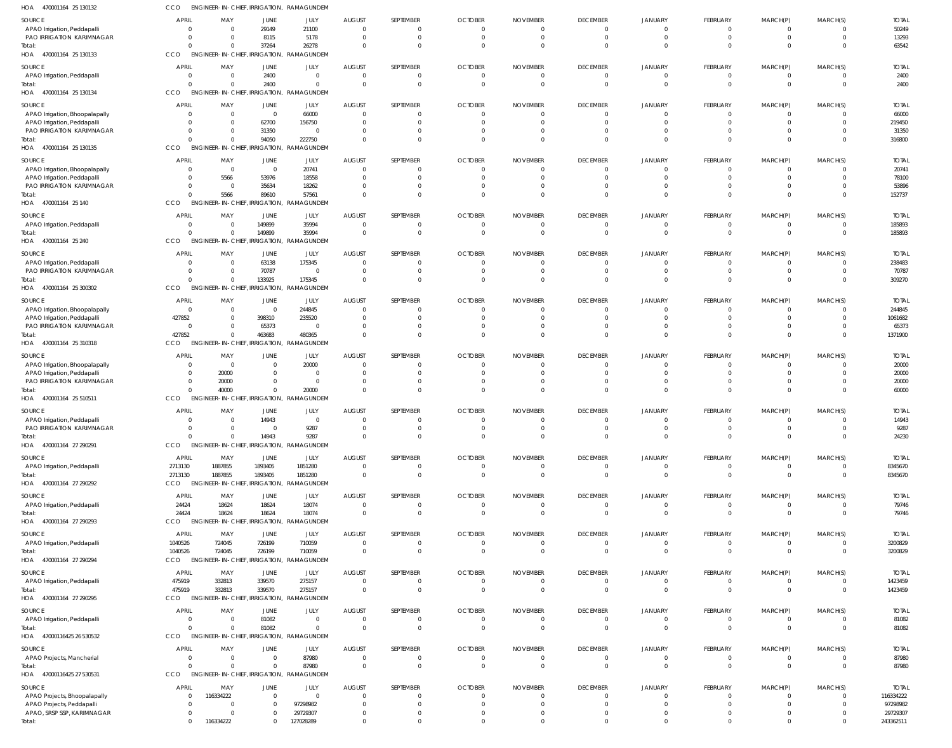| HOA<br>470001164 25 130132                                    | <b>CCO</b>            | ENGINEER-IN-CHIEF, IRRIGATION, RAMAGUNDEM                         |                         |                          |                                 |                                |                            |                             |                                   |                               |                                  |                                |                            |                       |
|---------------------------------------------------------------|-----------------------|-------------------------------------------------------------------|-------------------------|--------------------------|---------------------------------|--------------------------------|----------------------------|-----------------------------|-----------------------------------|-------------------------------|----------------------------------|--------------------------------|----------------------------|-----------------------|
| SOURCE                                                        | <b>APRIL</b>          | MAY                                                               | <b>JUNE</b>             | JULY                     | <b>AUGUST</b>                   | SEPTEMBER                      | <b>OCTOBER</b>             | <b>NOVEMBER</b>             | <b>DECEMBER</b>                   | JANUARY                       | FEBRUARY                         | MARCH(P)                       | MARCH(S)                   | <b>TOTAL</b>          |
| APAO Irrigation, Peddapalli<br>PAO IRRIGATION KARIMNAGAR      |                       | $\Omega$<br>$\Omega$<br>$\Omega$<br>- 0                           | 29149<br>8115           | 21100<br>5178            | $\Omega$<br>$\Omega$            | $\mathbf 0$<br>$\overline{0}$  | $\Omega$<br>$\Omega$       |                             | $\mathbf{0}$<br>$\overline{0}$    | $\overline{0}$<br>$\mathbf 0$ | $\mathbf{0}$<br>$\overline{0}$   | $\mathbf 0$<br>$\overline{0}$  | 0<br>$\overline{0}$        | 50249<br>13293        |
| Total:                                                        |                       | $\Omega$<br>$\Omega$                                              | 37264                   | 26278                    | $\Omega$                        | $\Omega$                       | $\Omega$                   |                             | $\Omega$                          | $\Omega$                      | $\Omega$                         | $\Omega$                       | $\Omega$                   | 63542                 |
| HOA 470001164 25 130133                                       | <b>CCO</b>            | ENGINEER-IN-CHIEF, IRRIGATION,                                    |                         | RAMAGUNDEM               |                                 |                                |                            |                             |                                   |                               |                                  |                                |                            |                       |
| SOURCE                                                        | <b>APRIL</b>          | MAY                                                               | JUNE                    | JULY                     | <b>AUGUST</b>                   | SEPTEMBER                      | <b>OCTOBER</b>             | <b>NOVEMBER</b>             | <b>DECEMBER</b>                   | JANUARY                       | FEBRUARY                         | MARCH(P)                       | MARCH(S)                   | <b>TOTAL</b>          |
| APAO Irrigation, Peddapalli                                   |                       | $\Omega$<br>$\Omega$<br>$\Omega$                                  | 2400<br>2400            | $\Omega$<br>$\Omega$     | $\Omega$<br>$\Omega$            | 0<br>$\mathbf{0}$              | 0<br>$\Omega$              |                             | $\mathbf{0}$<br>$\mathbf 0$       | $\Omega$<br>$\Omega$          | $\Omega$<br>$\overline{0}$       | 0<br>$\mathbf 0$               | $\Omega$<br>$\overline{0}$ | 2400<br>2400          |
| Total:<br>HOA 470001164 25 130134                             | CCO                   | ENGINEER-IN-CHIEF, IRRIGATION, RAMAGUNDEM                         |                         |                          |                                 |                                |                            |                             |                                   |                               |                                  |                                |                            |                       |
| SOURCE                                                        | <b>APRIL</b>          | MAY                                                               | <b>JUNE</b>             | JULY                     | <b>AUGUST</b>                   | SEPTEMBER                      | <b>OCTOBER</b>             | <b>NOVEMBER</b>             | <b>DECEMBER</b>                   | JANUARY                       | FEBRUARY                         | MARCH(P)                       | MARCH(S)                   | <b>TOTAL</b>          |
| APAO Irrigation, Bhoopalapally                                |                       | $\Omega$<br>$\Omega$                                              | $\overline{0}$          | 66000                    | $\Omega$                        | $\mathbf 0$                    |                            |                             | $\mathbf{0}$                      | $\Omega$                      | $\mathbf{0}$                     | $^{\circ}$                     | $\Omega$                   | 66000                 |
| APAO Irrigation, Peddapalli                                   |                       | $\Omega$<br>$\Omega$<br>$\Omega$<br>$\Omega$                      | 62700<br>31350          | 156750<br>$\overline{0}$ | $\Omega$<br>$\Omega$            | $\mathbf 0$<br>$\mathbf 0$     | $\Omega$<br>$\Omega$       |                             | $\Omega$<br>$\Omega$              | $\Omega$<br>$\Omega$          | $\mathbf 0$<br>$\mathbf 0$       | $\mathbf 0$<br>$\mathbf 0$     | $\Omega$<br>$\Omega$       | 219450<br>31350       |
| PAO IRRIGATION KARIMNAGAR<br>Total:                           |                       |                                                                   | 94050                   | 222750                   | $\Omega$                        | $\mathbf 0$                    |                            |                             | $\Omega$                          | $\Omega$                      | $\mathbf 0$                      | $\mathbf 0$                    | $\Omega$                   | 316800                |
| HOA 470001164 25 130135                                       | CCO                   | ENGINEER-IN-CHIEF, IRRIGATION,                                    |                         | RAMAGUNDEM               |                                 |                                |                            |                             |                                   |                               |                                  |                                |                            |                       |
| SOURCE                                                        | <b>APRIL</b>          | MAY                                                               | <b>JUNE</b>             | JULY                     | <b>AUGUST</b>                   | SEPTEMBER                      | <b>OCTOBER</b>             | <b>NOVEMBER</b>             | <b>DECEMBER</b>                   | JANUARY                       | FEBRUARY                         | MARCH(P)                       | MARCH(S)                   | <b>TOTAL</b>          |
| APAO Irrigation, Bhoopalapally<br>APAO Irrigation, Peddapalli |                       | $\Omega$<br>$\Omega$<br>5566<br>-0                                | $\overline{0}$<br>53976 | 20741<br>18558           | $\Omega$<br><sup>0</sup>        | $\Omega$<br>$\Omega$           |                            |                             | $\Omega$<br>$\Omega$              | $\Omega$<br>$\Omega$          | $\Omega$<br>$\Omega$             | $\Omega$<br>$\Omega$           | $\Omega$<br>$\Omega$       | 20741<br>78100        |
| PAO IRRIGATION KARIMNAGAR                                     |                       | $\Omega$<br>-0                                                    | 35634                   | 18262                    | <sup>0</sup>                    | $\Omega$                       |                            |                             | $\Omega$                          | $\Omega$                      | $\Omega$                         | $\Omega$                       | $\Omega$                   | 53896                 |
| Total:                                                        |                       | 5566                                                              | 89610                   | 57561                    | $\Omega$                        | $\Omega$                       |                            |                             | $\Omega$                          | $\Omega$                      | $\Omega$                         | $\Omega$                       | $\Omega$                   | 152737                |
| HOA 470001164 25 140                                          | CCO                   | <b>ENGINEER-IN-CHIEF, IRRIGATION.</b>                             |                         | RAMAGUNDEM               |                                 |                                |                            |                             |                                   |                               |                                  |                                |                            |                       |
| SOURCE                                                        | <b>APRIL</b>          | MAY                                                               | <b>JUNE</b>             | JULY                     | <b>AUGUST</b>                   | SEPTEMBER                      | <b>OCTOBER</b>             | <b>NOVEMBER</b>             | <b>DECEMBER</b>                   | JANUARY                       | FEBRUARY                         | MARCH(P)                       | MARCH(S)                   | <b>TOTAL</b>          |
| APAO Irrigation, Peddapalli<br>Total:                         |                       | - 0<br>- 0<br>$\Omega$                                            | 149899<br>149899        | 35994<br>35994           | $\overline{0}$<br>$\Omega$      | $\overline{0}$<br>$\mathbf{0}$ | $\Omega$                   |                             | $\mathbf{0}$<br>$\overline{0}$    | $\overline{0}$<br>$\Omega$    | $\mathbf{0}$<br>$\mathbf 0$      | $\mathbf 0$<br>$\mathbf{0}$    | $\overline{0}$<br>$\Omega$ | 185893<br>185893      |
| HOA 470001164 25 240                                          | CCO                   | <b>ENGINEER-IN-CHIEF,</b>                                         | IRRIGATION,             | RAMAGUNDEM               |                                 |                                |                            |                             |                                   |                               |                                  |                                |                            |                       |
| SOURCE                                                        | <b>APRIL</b>          | MAY                                                               | JUNE                    | JULY                     | <b>AUGUST</b>                   | SEPTEMBER                      | <b>OCTOBER</b>             | <b>NOVEMBER</b>             | <b>DECEMBER</b>                   | JANUARY                       | FEBRUARY                         | MARCH(P)                       | MARCH(S)                   | <b>TOTAL</b>          |
| APAO Irrigation, Peddapalli                                   |                       | $\Omega$<br>$\Omega$                                              | 63138                   | 175345                   | $\Omega$                        | $\Omega$                       |                            |                             | $\Omega$                          | 0                             | $\Omega$                         | -0                             | $\Omega$                   | 238483                |
| PAO IRRIGATION KARIMNAGAR<br>Total:                           |                       | $\Omega$                                                          | 70787<br>133925         | $\overline{0}$<br>175345 | $\Omega$<br>$\Omega$            | $\mathbf 0$<br>$\Omega$        | $\Omega$                   |                             | $\mathbf 0$<br>$\Omega$           | $\Omega$<br>$\Omega$          | $\overline{0}$<br>$\Omega$       | $\mathbf 0$<br>$\Omega$        | $\Omega$<br>$\Omega$       | 70787<br>309270       |
| 470001164 25 300302<br>HOA                                    | CCO                   | ENGINEER-IN-CHIEF, IRRIGATION,                                    |                         | RAMAGUNDEM               |                                 |                                |                            |                             |                                   |                               |                                  |                                |                            |                       |
| SOURCE                                                        | <b>APRIL</b>          | MAY                                                               | <b>JUNE</b>             | JULY                     | <b>AUGUST</b>                   | SEPTEMBER                      | <b>OCTOBER</b>             | <b>NOVEMBER</b>             | <b>DECEMBER</b>                   | JANUARY                       | FEBRUARY                         | MARCH(P)                       | MARCH(S)                   | <b>TOTAL</b>          |
| APAO Irrigation, Bhoopalapally                                |                       | - 0<br>$\Omega$                                                   | $\overline{0}$          | 244845                   | $\Omega$                        | $\Omega$                       |                            |                             | $\Omega$                          | $\Omega$                      | $\Omega$                         | $\Omega$                       | $\Omega$                   | 244845                |
| APAO Irrigation, Peddapalli                                   | 427852                | $\Omega$                                                          | 398310                  | 235520                   | $\Omega$                        | $\mathbf 0$                    | $\Omega$                   |                             | $\Omega$                          | $\Omega$                      | $\mathbf 0$                      | $\mathbf 0$                    | $\Omega$                   | 1061682               |
| PAO IRRIGATION KARIMNAGAR<br>Total:                           | 427852                | - 0                                                               | 65373<br>463683         | $\overline{0}$<br>480365 | $\Omega$<br>$\Omega$            | $\mathbf 0$<br>$\mathbf{0}$    | $\Omega$                   |                             | $\Omega$<br>$\Omega$              | $\Omega$<br>$\Omega$          | $\mathbf 0$<br>$\mathbf 0$       | $^{\circ}$<br>$\mathbf{0}$     | $\Omega$<br>$\Omega$       | 65373<br>1371900      |
| HOA 470001164 25 310318                                       | CCO                   | ENGINEER-IN-CHIEF, IRRIGATION,                                    |                         | RAMAGUNDEM               |                                 |                                |                            |                             |                                   |                               |                                  |                                |                            |                       |
| SOURCE                                                        | <b>APRIL</b>          | MAY                                                               | JUNE                    | JULY                     | <b>AUGUST</b>                   | SEPTEMBER                      | <b>OCTOBER</b>             | <b>NOVEMBER</b>             | <b>DECEMBER</b>                   | JANUARY                       | FEBRUARY                         | MARCH(P)                       | MARCH(S)                   | <b>TOTAL</b>          |
| APAO Irrigation, Bhoopalapally                                |                       | $\Omega$<br>$\overline{0}$                                        | $\Omega$                | 20000                    | $\Omega$                        | $\Omega$                       |                            |                             | $\Omega$                          | 0                             | -0                               | -0                             | $\Omega$                   | 20000                 |
| APAO Irrigation, Peddapalli<br>PAO IRRIGATION KARIMNAGAR      |                       | 20000<br>$\Omega$<br>20000<br>$\Omega$                            | $\Omega$<br>$\Omega$    | $\Omega$<br>$\Omega$     | $\Omega$<br>$\Omega$            | $\Omega$<br>$\Omega$           |                            |                             | $\Omega$<br>$\Omega$              | $\Omega$<br>0                 | $\Omega$<br>$\Omega$             | $\Omega$<br>0                  | $\Omega$<br>$\Omega$       | 20000<br>20000        |
| Total:                                                        |                       | 40000                                                             | $\Omega$                | 20000                    | $\Omega$                        | $\Omega$                       |                            |                             | $\mathbf 0$                       | $\Omega$                      | $\Omega$                         | $\mathbf 0$                    | $\Omega$                   | 60000                 |
| HOA 470001164 25 510511                                       | CCO                   | ENGINEER-IN-CHIEF, IRRIGATION, RAMAGUNDEM                         |                         |                          |                                 |                                |                            |                             |                                   |                               |                                  |                                |                            |                       |
| SOURCE                                                        | <b>APRIL</b>          | MAY                                                               | JUNE                    | JULY                     | <b>AUGUST</b>                   | SEPTEMBER                      | <b>OCTOBER</b>             | <b>NOVEMBER</b>             | <b>DECEMBER</b>                   | JANUARY                       | FEBRUARY                         | MARCH(P)                       | MARCH(S)                   | <b>TOTAL</b>          |
| APAO Irrigation, Peddapalli                                   |                       | $\Omega$<br>$\Omega$                                              | 14943                   | $\overline{0}$           | $\Omega$                        | $\mathbf 0$<br>$\Omega$        | $\Omega$                   |                             | $\Omega$<br>$\Omega$              | $\Omega$                      | $\Omega$<br>$\Omega$             | $\Omega$                       | $\Omega$<br>$\Omega$       | 14943                 |
| PAO IRRIGATION KARIMNAGAR<br>Total:                           |                       | $\Omega$<br>$\Omega$                                              | 14943                   | 9287<br>9287             | $\mathbf{0}$                    | $\mathbf 0$                    | $\mathbf{0}$               | $\Omega$                    | $\overline{0}$                    | $\mathbf 0$                   | $\overline{0}$                   | $\mathbf 0$                    | $\overline{0}$             | 9287<br>24230         |
| HOA 470001164 27 290291                                       | CCO                   | ENGINEER-IN-CHIEF, IRRIGATION, RAMAGUNDEM                         |                         |                          |                                 |                                |                            |                             |                                   |                               |                                  |                                |                            |                       |
| SOURCE                                                        | <b>APRIL</b>          | MAY                                                               | <b>JUNE</b>             | JULY                     | <b>AUGUST</b>                   | SEPTEMBER                      | <b>OCTOBER</b>             | <b>NOVEMBER</b>             | <b>DECEMBER</b>                   | JANUARY                       | FEBRUARY                         | MARCH(P)                       | MARCH(S)                   | <b>TOTAL</b>          |
| APAO Irrigation, Peddapalli                                   | 2713130               | 1887855                                                           | 1893405                 | 1851280                  | $\mathbf{0}$                    | 0                              | 0                          |                             | $\mathbf{0}$                      | $\overline{0}$                | $^{\circ}$                       | 0                              | 0                          | 8345670               |
| Total:<br>HOA 470001164 27 290292                             | 2713130<br>CCO        | 1887855<br>ENGINEER-IN-CHIEF, IRRIGATION, RAMAGUNDEM              | 1893405                 | 1851280                  | $\Omega$                        | $\mathbf{0}$                   | $\Omega$                   | $\Omega$                    | $\overline{0}$                    | $\overline{0}$                | $\mathbf 0$                      | $\mathbf{0}$                   | $\overline{0}$             | 8345670               |
|                                                               |                       |                                                                   |                         |                          |                                 |                                |                            |                             |                                   |                               |                                  |                                |                            |                       |
| SOURCE<br>APAO Irrigation, Peddapalli                         | <b>APRIL</b><br>24424 | MAY<br>18624                                                      | JUNE<br>18624           | JULY<br>18074            | <b>AUGUST</b><br>$\overline{0}$ | SEPTEMBER<br>$\mathbf 0$       | <b>OCTOBER</b><br>$\Omega$ | <b>NOVEMBER</b><br>$\Omega$ | <b>DECEMBER</b><br>$\overline{0}$ | JANUARY<br>$\overline{0}$     | FEBRUARY<br>0                    | MARCH(P)<br>0                  | MARCH(S)<br>$\overline{0}$ | <b>TOTAL</b><br>79746 |
| Total:                                                        | 24424                 | 18624                                                             | 18624                   | 18074                    | $\Omega$                        | $\mathbf{0}$                   | $\Omega$                   | $\Omega$                    | $\overline{0}$                    | $\Omega$                      | $\overline{0}$                   | $\mathbf{0}$                   | $\overline{0}$             | 79746                 |
| HOA 470001164 27 290293                                       | CCO                   | ENGINEER-IN-CHIEF, IRRIGATION, RAMAGUNDEM                         |                         |                          |                                 |                                |                            |                             |                                   |                               |                                  |                                |                            |                       |
| SOURCE                                                        | <b>APRIL</b>          | MAY                                                               | JUNE                    | JULY                     | <b>AUGUST</b>                   | SEPTEMBER                      | <b>OCTOBER</b>             | <b>NOVEMBER</b>             | <b>DECEMBER</b>                   | JANUARY                       | FEBRUARY                         | MARCH(P)                       | MARCH(S)                   | <b>TOTAL</b>          |
| APAO Irrigation, Peddapalli<br>Total:                         | 1040526<br>1040526    | 724045<br>724045                                                  | 726199<br>726199        | 710059<br>710059         | $\Omega$<br>$\Omega$            | $\overline{0}$<br>$\mathbf{0}$ | $\Omega$<br>$\Omega$       | $\Omega$<br>$\Omega$        | $\mathbf{0}$<br>$\mathbf 0$       | $\mathbf{0}$<br>$\Omega$      | $\overline{0}$<br>$\overline{0}$ | $\overline{0}$<br>$\mathbf{0}$ | $\overline{0}$<br>$\Omega$ | 3200829<br>3200829    |
| HOA 470001164 27 290294                                       | <b>CCO</b>            | ENGINEER-IN-CHIEF, IRRIGATION,                                    |                         | RAMAGUNDEM               |                                 |                                |                            |                             |                                   |                               |                                  |                                |                            |                       |
| SOURCE                                                        | <b>APRIL</b>          | MAY                                                               | JUNE                    | JULY                     | <b>AUGUST</b>                   | SEPTEMBER                      | <b>OCTOBER</b>             | <b>NOVEMBER</b>             | <b>DECEMBER</b>                   | JANUARY                       | FEBRUARY                         | MARCH(P)                       | MARCH(S)                   | <b>TOTAL</b>          |
| APAO Irrigation, Peddapalli                                   | 475919                | 332813                                                            | 339570                  | 275157                   | $\overline{0}$                  | $\mathbf 0$                    | $\Omega$                   | $\Omega$                    | $\overline{0}$                    | $\mathbf{0}$                  | $\mathbf 0$                      | $\mathbf 0$                    | $\overline{0}$             | 1423459               |
| Total:                                                        | 475919                | 332813                                                            | 339570                  | 275157                   | $\overline{0}$                  | $\mathbf{0}$                   | $\Omega$                   | $\Omega$                    | $\overline{0}$                    | $\overline{0}$                | $\overline{0}$                   | $\mathbf 0$                    | $\overline{0}$             | 1423459               |
| HOA 470001164 27 290295                                       | CCO                   | ENGINEER-IN-CHIEF, IRRIGATION, RAMAGUNDEM                         |                         |                          |                                 |                                |                            |                             |                                   |                               |                                  |                                |                            |                       |
| SOURCE<br>APAO Irrigation, Peddapalli                         | <b>APRIL</b>          | MAY<br>$\Omega$<br>$\Omega$                                       | <b>JUNE</b><br>81082    | JULY<br>$\overline{0}$   | <b>AUGUST</b><br>$\mathbf{0}$   | SEPTEMBER<br>0                 | <b>OCTOBER</b><br>0        | <b>NOVEMBER</b>             | <b>DECEMBER</b><br>$\mathbf{0}$   | <b>JANUARY</b><br>0           | FEBRUARY<br>$\overline{0}$       | MARCH(P)<br>0                  | MARCH(S)<br>0              | <b>TOTAL</b><br>81082 |
| Total:                                                        |                       | $\Omega$<br>$\Omega$                                              | 81082                   | $\mathbf 0$              | $\Omega$                        | $\mathbf{0}$                   | $\Omega$                   | $\Omega$                    | $\overline{0}$                    | $\Omega$                      | $\overline{0}$                   | $\mathbf{0}$                   | $\overline{0}$             | 81082                 |
| HOA 47000116425 26 530532                                     | CCO                   | ENGINEER-IN-CHIEF, IRRIGATION, RAMAGUNDEM                         |                         |                          |                                 |                                |                            |                             |                                   |                               |                                  |                                |                            |                       |
| SOURCE                                                        | <b>APRIL</b>          | MAY                                                               | JUNE                    | JULY                     | <b>AUGUST</b>                   | SEPTEMBER                      | <b>OCTOBER</b>             | <b>NOVEMBER</b>             | <b>DECEMBER</b>                   | JANUARY                       | FEBRUARY                         | MARCH(P)                       | MARCH(S)                   | <b>TOTAL</b>          |
| APAO Projects, Mancherial                                     |                       | $\Omega$<br>$\Omega$                                              | $\overline{0}$          | 87980                    | $\overline{0}$                  | $\mathbf 0$                    | 0                          |                             | $\mathbf{0}$                      | $\overline{0}$                | $\overline{0}$                   | $\mathbf 0$                    | 0                          | 87980                 |
| Total:<br>HOA 47000116425 27 530531                           | <b>CCO</b>            | $\Omega$<br>$\Omega$<br>ENGINEER-IN-CHIEF, IRRIGATION, RAMAGUNDEM | $\Omega$                | 87980                    | $\overline{0}$                  | $\mathbf 0$                    | $\mathbf{0}$               | $\Omega$                    | $\overline{0}$                    | $\mathbf{0}$                  | $\overline{0}$                   | $\mathbf 0$                    | $\overline{0}$             | 87980                 |
| SOURCE                                                        | <b>APRIL</b>          | MAY                                                               | <b>JUNE</b>             | JULY                     | AUGUST                          | SEPTEMBER                      | <b>OCTOBER</b>             | <b>NOVEMBER</b>             | <b>DECEMBER</b>                   | JANUARY                       | FEBRUARY                         | MARCH(P)                       | MARCH(S)                   | <b>TOTAL</b>          |
| APAO Projects, Bhoopalapally                                  |                       | 116334222<br>$\Omega$                                             | $\overline{0}$          | $\Omega$                 | $\Omega$                        | $\Omega$                       |                            |                             | $\Omega$                          | $\Omega$                      | $\Omega$                         | $\Omega$                       | $\Omega$                   | 116334222             |
| APAO Projects, Peddapalli                                     |                       | $\Omega$                                                          | $\overline{0}$          | 97298982                 | $\Omega$                        | $\Omega$                       |                            |                             | $\Omega$                          | 0                             | $\Omega$                         | $\Omega$                       | $\Omega$                   | 97298982              |
| APAO, SRSP SSP, KARIMNAGAR<br>Total:                          |                       | - 0<br>116334222<br>$\Omega$                                      | $\Omega$<br>$\mathbf 0$ | 29729307<br>127028289    | $\Omega$<br>$\Omega$            | $\Omega$<br>$\Omega$           | $\Omega$                   |                             | $\Omega$<br>$\Omega$              | $\Omega$<br>$\Omega$          | $\Omega$<br>$\Omega$             | 0<br>$\mathbf 0$               | $\Omega$                   | 29729307<br>243362511 |
|                                                               |                       |                                                                   |                         |                          |                                 |                                |                            |                             |                                   |                               |                                  |                                |                            |                       |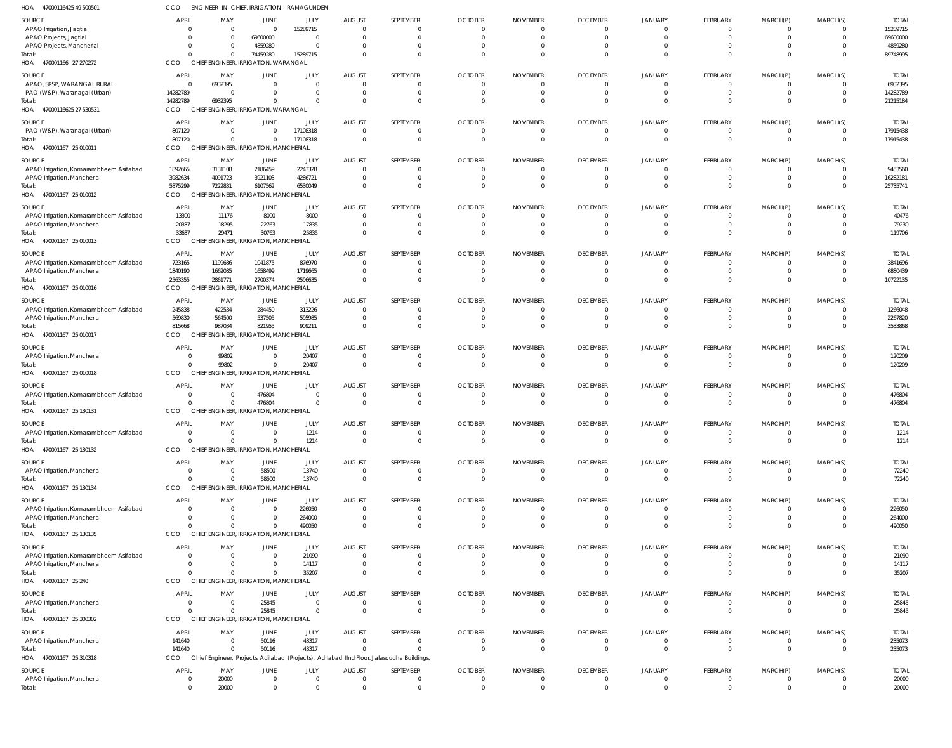| 1OA<br>47000116425 49 500501                                          | CCO                  | ENGINEER-IN-CHIEF, IRRIGATION, RAMAGUNDEM         |                              |                    |                                  |                                                                                            |                                |                 |                      |                         |                      |                      |                                  |                     |
|-----------------------------------------------------------------------|----------------------|---------------------------------------------------|------------------------------|--------------------|----------------------------------|--------------------------------------------------------------------------------------------|--------------------------------|-----------------|----------------------|-------------------------|----------------------|----------------------|----------------------------------|---------------------|
| SOURCE                                                                | APRIL                | MAY                                               | JUNE                         | JULY               | <b>AUGUST</b>                    | SEPTEMBER                                                                                  | <b>OCTOBER</b>                 | <b>NOVEMBER</b> | <b>DECEMBER</b>      | <b>JANUARY</b>          | FEBRUARY             | MARCH(P)             | MARCH(S)                         | <b>TOTAL</b>        |
| APAO Irrigation, Jagtial                                              | - 0                  | $\overline{0}$                                    | $\mathbf{0}$                 | 15289715           | $\overline{0}$                   | 0                                                                                          | $\overline{0}$                 | - 0             | $\Omega$             | 0                       | - 0                  | $\Omega$             | $\overline{0}$                   | 15289715            |
| APAO Projects, Jagtial                                                | $\Omega$             | $\overline{0}$                                    | 69600000                     | $\Omega$           | - 0                              | $\Omega$                                                                                   | $\overline{0}$                 | - 0             | $\mathbf 0$          | $\mathbf 0$             | $\Omega$             | $\Omega$             | $\overline{0}$                   | 69600000            |
| APAO Projects, Mancherial                                             | $\Omega$             | $\overline{0}$<br>$\Omega$                        | 4859280<br>74459280          | $\cap$<br>15289715 | $\Omega$<br>$\Omega$             |                                                                                            | $\overline{0}$<br>$\Omega$     |                 | $\Omega$<br>$\Omega$ | $\Omega$<br>$\Omega$    | - 0<br>$\Omega$      | $\Omega$<br>$\Omega$ | 0<br>$\overline{0}$              | 4859280<br>89748995 |
| Total:<br>HOA 470001166 27 270272                                     | CCO                  | CHIEF ENGINEER, IRRIGATION, WARANGAL              |                              |                    |                                  |                                                                                            |                                |                 |                      |                         |                      |                      |                                  |                     |
| SOURCE                                                                | APRIL                | MAY                                               | JUNE                         | JULY               | <b>AUGUST</b>                    | SEPTEMBER                                                                                  | <b>OCTOBER</b>                 | <b>NOVEMBER</b> | <b>DECEMBER</b>      | JANUARY                 | FEBRUARY             | MARCH(P)             | MARCH(S)                         | <b>TOTAL</b>        |
| APAO, SRSP, WARANGAL RURAL                                            | $\Omega$             | 6932395                                           | $\mathbf{0}$                 | $\Omega$           | $\overline{0}$                   | 0                                                                                          | - 0                            |                 | $\overline{0}$       | $\mathbf 0$             | $\mathbf 0$          | $\Omega$             | $\overline{0}$                   | 6932395             |
| PAO (W&P), Waranagal (Urban)                                          | 14282789             | $\Omega$                                          | 0                            | $\Omega$           | $\overline{0}$                   | $\mathbf{0}$                                                                               | $\Omega$                       |                 | $\mathbf{0}$         | $\Omega$                | $\mathbf 0$          | $\Omega$             | $\overline{0}$                   | 14282789            |
| Total:                                                                | 14282789             | 6932395                                           | $\mathbf{0}$                 |                    | $\Omega$                         | $\Omega$                                                                                   | $\Omega$                       |                 | $\Omega$             | $\Omega$                | $\Omega$             | $\Omega$             | $\overline{0}$                   | 21215184            |
| HOA 47000116625 27 530531                                             | CCO                  | CHIEF ENGINEER, IRRIGATION, WARANGAL              |                              |                    |                                  |                                                                                            |                                |                 |                      |                         |                      |                      |                                  |                     |
| SOURCE                                                                | <b>APRIL</b>         | MAY                                               | JUNE                         | JULY               | <b>AUGUST</b>                    | SEPTEMBER                                                                                  | <b>OCTOBER</b>                 | <b>NOVEMBER</b> | <b>DECEMBER</b>      | <b>JANUARY</b>          | FEBRUARY             | MARCH(P)             | MARCH(S)                         | <b>TOTAL</b>        |
| PAO (W&P), Waranagal (Urban)                                          | 807120               | $\overline{0}$                                    | $\mathbf{0}$                 | 17108318           | $\overline{0}$                   | $\Omega$                                                                                   | $\overline{0}$                 | - 0             | 0                    | $\mathbf 0$             | -0                   | $\Omega$             | $\overline{0}$                   | 17915438            |
| Total:                                                                | 807120               | $\Omega$                                          | $\Omega$                     | 17108318           | $\overline{0}$                   | $\Omega$                                                                                   | $\overline{0}$                 | $\Omega$        | $\overline{0}$       | $\Omega$                | $\mathbf 0$          | $\mathbf{0}$         | $\overline{\mathbf{0}}$          | 17915438            |
| HOA 470001167 25 010011                                               | CCO                  | CHIEF ENGINEER, IRRIGATION, MANCHERIAL            |                              |                    |                                  |                                                                                            |                                |                 |                      |                         |                      |                      |                                  |                     |
| SOURCE                                                                | <b>APRIL</b>         | MAY                                               | JUNE                         | JULY               | <b>AUGUST</b>                    | SEPTEMBER                                                                                  | <b>OCTOBER</b>                 | <b>NOVEMBER</b> | <b>DECEMBER</b>      | JANUARY                 | FEBRUARY             | MARCH(P)             | MARCH(S)                         | <b>TOTAL</b>        |
| APAO Irrigation, Komarambheem Asifabad<br>APAO Irrigation, Mancherial | 1892665<br>3982634   | 3131108<br>4091723                                | 2186459<br>3921103           | 2243328<br>4286721 | $\overline{0}$<br>$\overline{0}$ | 0<br>0                                                                                     | - 0<br>$\Omega$                |                 | $\Omega$<br>$\Omega$ | $\mathbf 0$<br>$\Omega$ | $\Omega$<br>$\Omega$ | $\Omega$<br>$\Omega$ | $\overline{0}$<br>$\overline{0}$ | 9453560<br>16282181 |
| īotal:                                                                | 5875299              | 7222831                                           | 6107562                      | 6530049            | $\overline{0}$                   | $\mathbf{0}$                                                                               | $\Omega$                       |                 | $\Omega$             | $\Omega$                | $\Omega$             | $\Omega$             | $\overline{\mathbf{0}}$          | 25735741            |
| HOA 470001167 25 010012                                               | CCO                  | CHIEF ENGINEER, IRRIGATION, MANCHERIAL            |                              |                    |                                  |                                                                                            |                                |                 |                      |                         |                      |                      |                                  |                     |
| SOURCE                                                                | APRIL                | MAY                                               | JUNE                         | JULY               | <b>AUGUST</b>                    | SEPTEMBER                                                                                  | <b>OCTOBER</b>                 | <b>NOVEMBER</b> | <b>DECEMBER</b>      | <b>JANUARY</b>          | FEBRUARY             | MARCH(P)             | MARCH(S)                         | <b>TOTAL</b>        |
| APAO Irrigation, Komarambheem Asifabad                                | 13300                | 11176                                             | 8000                         | 8000               | $\overline{0}$                   |                                                                                            | $\overline{0}$                 |                 | $\Omega$             | 0                       | - 0                  | $\Omega$             | $\overline{0}$                   | 40476               |
| APAO Irrigation, Mancherial                                           | 20337                | 18295                                             | 22763                        | 17835              | $\overline{0}$                   | $\Omega$                                                                                   | $\mathbf{0}$                   | - 0             | $\mathbf{0}$         | $\Omega$                | $\Omega$             | $\Omega$             | $\overline{0}$                   | 79230               |
| Total:                                                                | 33637                | 29471                                             | 30763                        | 25835              | $\overline{0}$                   | $\Omega$                                                                                   | $\Omega$                       |                 | $\Omega$             | $\Omega$                | $\Omega$             | $\Omega$             | $\overline{0}$                   | 119706              |
| HOA 470001167 25 010013                                               | CCO                  | CHIEF ENGINEER, IRRIGATION, MANCHERIAL            |                              |                    |                                  |                                                                                            |                                |                 |                      |                         |                      |                      |                                  |                     |
| SOURCE                                                                | APRIL                | MAY                                               | JUNE                         | JULY               | <b>AUGUST</b>                    | SEPTEMBER                                                                                  | <b>OCTOBER</b>                 | <b>NOVEMBER</b> | <b>DECEMBER</b>      | JANUARY                 | FEBRUARY             | MARCH(P)             | MARCH(S)                         | <b>TOTAL</b>        |
| APAO Irrigation, Komarambheem Asifabad                                | 723165               | 1199686                                           | 1041875                      | 876970             | $\overline{0}$                   |                                                                                            | $\Omega$                       |                 | $\Omega$             | 0                       | - 0                  |                      | - 0                              | 3841696             |
| APAO Irrigation, Mancherial                                           | 1840190              | 1662085                                           | 1658499                      | 1719665            | $\overline{0}$                   | $\mathbf{0}$                                                                               | - 0                            |                 | $\Omega$             | $\Omega$                | $\mathbf 0$          | $\overline{0}$       | $\overline{0}$                   | 6880439             |
| Total:<br>HOA 470001167 25 010016                                     | 2563355<br>CCO       | 2861771<br>CHIEF ENGINEER, IRRIGATION, MANCHERIAL | 2700374                      | 2596635            | $\Omega$                         | $\Omega$                                                                                   | $\Omega$                       |                 | $\Omega$             | $\Omega$                | $\Omega$             | $\Omega$             | $\overline{0}$                   | 10722135            |
|                                                                       |                      |                                                   |                              |                    |                                  |                                                                                            |                                |                 |                      |                         |                      |                      |                                  |                     |
| SOURCE                                                                | APRIL                | MAY                                               | JUNE                         | JULY               | <b>AUGUST</b>                    | SEPTEMBER                                                                                  | <b>OCTOBER</b>                 | <b>NOVEMBER</b> | <b>DECEMBER</b>      | <b>JANUARY</b>          | FEBRUARY             | MARCH(P)             | MARCH(S)                         | <b>TOTAL</b>        |
| APAO Irrigation, Komarambheem Asifabad<br>APAO Irrigation, Mancherial | 245838<br>569830     | 422534<br>564500                                  | 284450<br>537505             | 313226<br>595985   | $\overline{0}$<br>$\overline{0}$ | $\Omega$                                                                                   | $\mathbf{0}$<br>$\overline{0}$ | - 0<br>- 0      | 0<br>$\Omega$        | 0<br>$\Omega$           | $\mathbf{0}$         | $\overline{0}$       | $\overline{0}$<br>$\overline{0}$ | 1266048<br>2267820  |
| Total:                                                                | 815668               | 987034                                            | 821955                       | 909211             | $\Omega$                         | $\Omega$                                                                                   | $\Omega$                       |                 | $\Omega$             | $\Omega$                | $\Omega$             | $\Omega$             | $\Omega$                         | 3533868             |
| HOA 470001167 25 010017                                               | CCO                  | CHIEF ENGINEER, IRRIGATION, MANCHERIAL            |                              |                    |                                  |                                                                                            |                                |                 |                      |                         |                      |                      |                                  |                     |
| SOURCE                                                                | APRIL                | MAY                                               | JUNE                         | JULY               | <b>AUGUST</b>                    | SEPTEMBER                                                                                  | <b>OCTOBER</b>                 | <b>NOVEMBER</b> | <b>DECEMBER</b>      | <b>JANUARY</b>          | FEBRUARY             | MARCH(P)             | MARCH(S)                         | <b>TOTAL</b>        |
| APAO Irrigation, Mancherial                                           | - 0                  | 99802                                             | $\mathbf{0}$                 | 20407              | $\overline{0}$                   | $\Omega$                                                                                   | - 0                            | - 0             | $\overline{0}$       | $\mathbf 0$             | $\mathbf 0$          | $\Omega$             | $\overline{0}$                   | 120209              |
|                                                                       | $\cap$               | 99802                                             | $\overline{0}$               | 20407              | $\overline{0}$                   | $\mathbf{0}$                                                                               | $\Omega$                       |                 | $\Omega$             | $\Omega$                | $\mathbf 0$          | $\Omega$             | $\overline{0}$                   | 120209              |
| HOA 470001167 25 010018                                               | CCO                  | CHIEF ENGINEER, IRRIGATION, MANCHERIAL            |                              |                    |                                  |                                                                                            |                                |                 |                      |                         |                      |                      |                                  |                     |
| SOURCE                                                                | APRIL                | MAY                                               | JUNE                         | JULY               | <b>AUGUST</b>                    | SEPTEMBER                                                                                  | <b>OCTOBER</b>                 | <b>NOVEMBER</b> | <b>DECEMBER</b>      | <b>JANUARY</b>          | FEBRUARY             | MARCH(P)             | MARCH(S)                         | <b>TOTAL</b>        |
| APAO Irrigation, Komarambheem Asifabad                                | $\Omega$             | $\overline{\mathbf{0}}$                           | 476804                       | $\Omega$           | 0                                | 0                                                                                          | $\mathbf{0}$                   |                 | 0                    | 0                       |                      |                      | $\overline{0}$                   | 476804              |
| Total:                                                                | $\Omega$             | $\Omega$                                          | 476804                       | $\Omega$           | $\overline{0}$                   | $\Omega$                                                                                   | $\overline{0}$                 | - 0             | $\Omega$             | $\Omega$                | $\overline{0}$       | $\Omega$             | $\overline{0}$                   | 476804              |
| HOA 470001167 25 130131                                               | CCO                  | CHIEF ENGINEER, IRRIGATION, MANCHERIAL            |                              |                    |                                  |                                                                                            |                                |                 |                      |                         |                      |                      |                                  |                     |
| SOURCE                                                                | <b>APRIL</b>         | MAY                                               | JUNE                         | JULY               | <b>AUGUST</b>                    | SEPTEMBER                                                                                  | <b>OCTOBER</b>                 | <b>NOVEMBER</b> | <b>DECEMBER</b>      | JANUARY                 | FEBRUARY             | MARCH(P)             | MARCH(S)                         | <b>TOTAL</b>        |
| APAO Irrigation, Komarambheem Asifabad<br>lotal:                      | $\cap$               | $\Omega$                                          | -0<br>$\mathbf{0}$           | 1214<br>1214       | $\overline{0}$<br>$\overline{0}$ | $\mathbf 0$                                                                                | $\Omega$                       |                 | $\Omega$             | $\Omega$                | $\Omega$             | $\Omega$             | $\mathbf 0$<br>$\overline{0}$    | 1214<br>1214        |
| HOA 470001167 25 130132                                               | CCO                  | CHIEF ENGINEER, IRRIGATION, MANCHERIAL            |                              |                    |                                  |                                                                                            |                                |                 |                      |                         |                      |                      |                                  |                     |
| SOURCE                                                                | <b>APRIL</b>         | MAY                                               | JUNE                         | JULY               | <b>AUGUST</b>                    | SEPTEMBER                                                                                  | <b>OCTOBER</b>                 | <b>NOVEMBER</b> | <b>DECEMBER</b>      | JANUARY                 | FEBRUARY             | MARCH(P)             | MARCH(S)                         | <b>TOTAL</b>        |
| APAO Irrigation, Mancherial                                           | $\Omega$             | $\overline{0}$                                    | 58500                        | 13740              | $\overline{0}$                   | $\Omega$                                                                                   | $\overline{0}$                 | - 0             | $\Omega$             | 0                       | -0                   | $\Omega$             | $\overline{0}$                   | 72240               |
| Total:                                                                | $\cap$               | $\Omega$                                          | 58500                        | 13740              | $\overline{0}$                   | $\Omega$                                                                                   | $\Omega$                       | $\mathsf{C}$    | $\Omega$             | $\Omega$                | $\Omega$             | $\Omega$             | $\overline{0}$                   | 72240               |
| HOA 470001167 25 130134                                               | CCO                  | CHIEF ENGINEER, IRRIGATION, MANCHERIAL            |                              |                    |                                  |                                                                                            |                                |                 |                      |                         |                      |                      |                                  |                     |
| SOURCE                                                                | APRIL                | MAY                                               | JUNE                         | JULY               | <b>AUGUST</b>                    | SEPTEMBER                                                                                  | <b>OCTOBER</b>                 | <b>NOVEMBER</b> | <b>DECEMBER</b>      | JANUARY                 | FEBRUARY             | MARCH(P)             | MARCH(S)                         | <b>TOTAL</b>        |
| APAO Irrigation, Komarambheem Asifabad                                | $\Omega$             | $\overline{0}$                                    | $\mathbf{0}$                 | 226050             | $\overline{0}$                   |                                                                                            | - 0                            |                 | $\overline{0}$       | $\mathbf 0$             | $\mathbf{0}$         | $\Omega$             | $\overline{0}$                   | 226050              |
| APAO Irrigation, Mancherial                                           | $\cap$               | $\Omega$                                          | 0                            | 264000             | $\overline{0}$                   | $\Omega$                                                                                   | -0                             |                 | $\Omega$             | $\Omega$                | $\mathbf 0$          | $\Omega$             | $\overline{0}$                   | 264000              |
| Total:                                                                | $\Omega$             | $\Omega$                                          | $\mathbf{0}$                 | 490050             | $\overline{0}$                   | 0                                                                                          | -0                             |                 | $\Omega$             | $\Omega$                | $\Omega$             | $\Omega$             | $\overline{0}$                   | 490050              |
| HOA 470001167 25 130135                                               | <b>CCO</b>           | CHIEF ENGINEER, IRRIGATION, MANCHERIAL            |                              |                    |                                  |                                                                                            |                                |                 |                      |                         |                      |                      |                                  |                     |
| SOURCE                                                                | APRIL                | MAY                                               | JUNE                         | JULY               | <b>AUGUST</b>                    | SEPTEMBER                                                                                  | <b>OCTOBER</b>                 | <b>NOVEMBER</b> | <b>DECEMBER</b>      | JANUARY                 | FEBRUARY             | MARCH(P)             | MARCH(S)                         | <b>TOTAL</b>        |
| APAO Irrigation, Komarambheem Asifabad                                | - 0                  | $\Omega$                                          | $\mathbf{0}$                 | 21090              | $\overline{0}$                   |                                                                                            | $\Omega$                       |                 | $\Omega$             | $\Omega$                | - 0                  |                      | $\overline{0}$                   | 21090               |
| APAO Irrigation, Mancherial<br>Total:                                 | $\Omega$<br>$\Omega$ | $\Omega$<br>$\Omega$                              | $\mathbf{0}$<br>$\mathbf{0}$ | 14117<br>35207     | $\overline{0}$<br>$\Omega$       | $\Omega$                                                                                   | $\overline{0}$<br>$\Omega$     | - 0             | $\Omega$<br>$\Omega$ | $\mathbf 0$<br>$\Omega$ | $\Omega$<br>$\Omega$ | $\Omega$<br>$\Omega$ | $\overline{0}$<br>$\overline{0}$ | 14117<br>35207      |
| HOA 470001167 25 240                                                  | CCO                  | CHIEF ENGINEER, IRRIGATION, MANCHERIAL            |                              |                    |                                  |                                                                                            |                                |                 |                      |                         |                      |                      |                                  |                     |
| SOURCE                                                                | APRIL                | MAY                                               | JUNE                         | JULY               | <b>AUGUST</b>                    | SEPTEMBER                                                                                  | <b>OCTOBER</b>                 | <b>NOVEMBER</b> | <b>DECEMBER</b>      | JANUARY                 | FEBRUARY             | MARCH(P)             | MARCH(S)                         | <b>TOTAL</b>        |
| APAO Irrigation, Mancherial                                           | $\Omega$             | $\overline{\mathbf{0}}$                           | 25845                        | $\Omega$           | $\overline{0}$                   | 0                                                                                          | -0                             |                 | 0                    | 0                       | $^{\circ}$           | - 0                  | $\mathbf 0$                      | 25845               |
| Total:                                                                | $\Omega$             | $\Omega$                                          | 25845                        | $\Omega$           | $\overline{0}$                   | $\mathbf 0$                                                                                | $^{\circ}$                     |                 | $\overline{0}$       | $\Omega$                | $\mathbf 0$          | $\overline{0}$       | $\overline{\mathbf{0}}$          | 25845               |
| HOA 470001167 25 300302                                               | CCO                  | CHIEF ENGINEER, IRRIGATION, MANCHERIAL            |                              |                    |                                  |                                                                                            |                                |                 |                      |                         |                      |                      |                                  |                     |
| SOURCE                                                                | <b>APRIL</b>         | MAY                                               | JUNE                         | JULY               | <b>AUGUST</b>                    | SEPTEMBER                                                                                  | <b>OCTOBER</b>                 | <b>NOVEMBER</b> | <b>DECEMBER</b>      | <b>JANUARY</b>          | FEBRUARY             | MARCH(P)             | MARCH(S)                         | <b>TOTAL</b>        |
| APAO Irrigation, Mancherial                                           | 141640               | $\overline{\mathbf{0}}$                           | 50116                        | 43317              | $\overline{0}$                   | 0                                                                                          | $\overline{0}$                 | - 0             | $\Omega$             | 0                       | -0                   | - 0                  | - 0                              | 235073              |
| Total:                                                                | 141640               | $\Omega$                                          | 50116                        | 43317              | $\Omega$                         | $\Omega$                                                                                   | $\Omega$                       | $\mathsf{C}$    | $\Omega$             | $\Omega$                | $\Omega$             | $\Omega$             | $\overline{0}$                   | 235073              |
| HOA 470001167 25 310318                                               | CCO                  |                                                   |                              |                    |                                  | Chief Engineer, Projects, Adilabad (Projects), Adilabad, IInd Floor, Jalasoudha Buildings, |                                |                 |                      |                         |                      |                      |                                  |                     |
| SOURCE                                                                | APRIL                | MAY                                               | JUNE                         | JULY               | <b>AUGUST</b>                    | SEPTEMBER                                                                                  | <b>OCTOBER</b>                 | <b>NOVEMBER</b> | <b>DECEMBER</b>      | JANUARY                 | FEBRUARY             | MARCH(P)             | MARCH(S)                         | <b>TOTAL</b>        |
| APAO Irrigation, Mancherial                                           | $\Omega$             | 20000                                             | $\mathbf{0}$                 | $\Omega$           | $\overline{0}$                   | $\Omega$                                                                                   | $\overline{0}$                 |                 | $\overline{0}$       | $\mathbf 0$             | $\mathbf 0$          | $\Omega$             | $\overline{0}$                   | 20000               |
| Total:                                                                | $\Omega$             | 20000                                             | $\Omega$                     |                    | $\Omega$                         |                                                                                            | $\Omega$                       |                 | $\Omega$             | $\Omega$                | $\Omega$             |                      | $\Omega$                         | 20000               |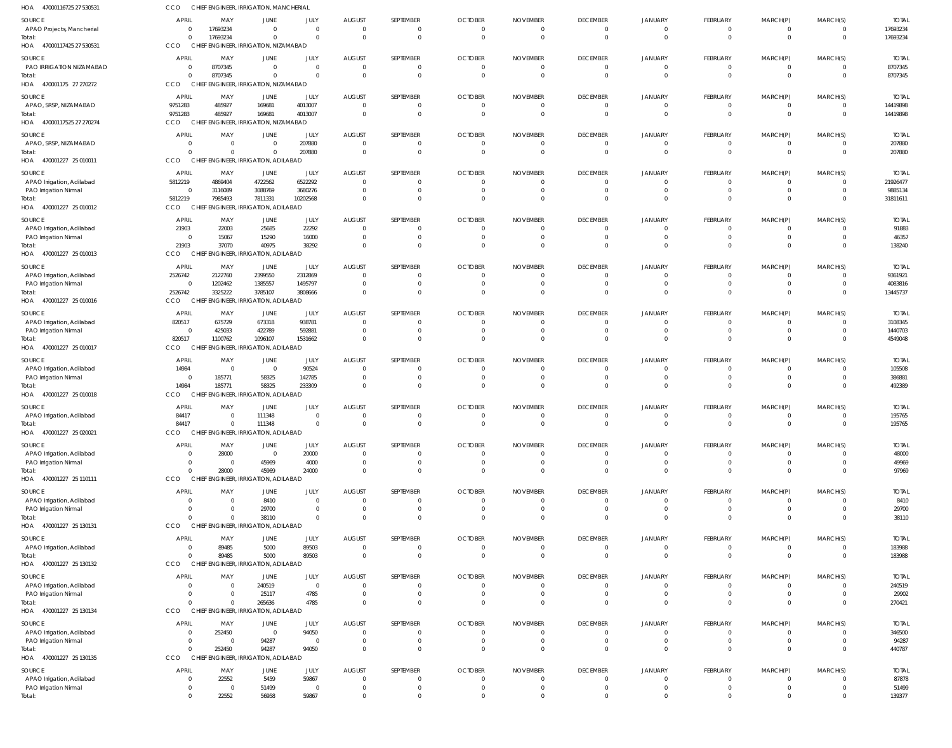| HOA 47000116725 27 530531                          | CCO                                     | CHIEF ENGINEER, IRRIGATION, MANCHERIAL         |                                      |                                  |                                  |                          |                                  |                             |                                           |                                  |                                   |                               |                                  |                         |
|----------------------------------------------------|-----------------------------------------|------------------------------------------------|--------------------------------------|----------------------------------|----------------------------------|--------------------------|----------------------------------|-----------------------------|-------------------------------------------|----------------------------------|-----------------------------------|-------------------------------|----------------------------------|-------------------------|
| SOURCE                                             | APRIL                                   | MAY                                            | JUNE                                 | JULY                             | <b>AUGUST</b>                    | SEPTEMBER                | <b>OCTOBER</b>                   | <b>NOVEMBER</b>             | <b>DECEMBER</b>                           | JANUARY                          | FEBRUARY                          | MARCH(P)                      | MARCH(S)                         | <b>TOTA</b>             |
| APAO Projects, Mancherial                          | $\Omega$                                | 17693234                                       | $\Omega$                             | $\Omega$                         | $\overline{0}$                   | 0                        | $\overline{0}$                   | - 0                         | $\overline{0}$                            | 0                                | $\mathbf{0}$                      | 0                             | $^{\circ}$                       | 17693234                |
| Total:                                             | $\Omega$<br><b>CCO</b>                  | 17693234                                       | $\Omega$                             | $\Omega$                         | $\overline{0}$                   | $\Omega$                 | $\Omega$                         | $\Omega$                    | $\overline{0}$                            | $\Omega$                         | $\overline{0}$                    | $\mathbf{0}$                  | $\overline{0}$                   | 17693234                |
| HOA 47000117425 27 530531                          |                                         | CHIEF ENGINEER, IRRIGATION, NIZAMABAD          |                                      |                                  |                                  |                          |                                  |                             |                                           |                                  |                                   |                               |                                  |                         |
| SOURCE<br>PAO IRRIGATION NIZAMABAD                 | APRIL<br>$\Omega$                       | MAY<br>8707345                                 | <b>JUNE</b><br>$\overline{0}$        | JULY<br>$\Omega$                 | <b>AUGUST</b><br>$\overline{0}$  | SEPTEMBER<br>0           | <b>OCTOBER</b><br>$\overline{0}$ | <b>NOVEMBER</b><br>- 0      | <b>DECEMBER</b><br>$\overline{0}$         | <b>JANUARY</b><br>$\overline{0}$ | <b>FEBRUARY</b><br>$\mathbf 0$    | MARCH(P)<br>$\mathbf 0$       | MARCH(S)<br>$^{\circ}$           | <b>TOTAL</b><br>8707345 |
| Total:                                             | $\Omega$                                | 8707345                                        | $\overline{0}$                       |                                  | 0                                | $\mathbf 0$              | $\overline{0}$                   | $\circ$                     | $\overline{0}$                            | $\overline{0}$                   | $\mathbf{0}$                      | $\mathbf 0$                   | $\overline{0}$                   | 8707345                 |
| HOA 470001175 27 270272                            | CCO                                     | CHIEF ENGINEER, IRRIGATION, NIZAMABAD          |                                      |                                  |                                  |                          |                                  |                             |                                           |                                  |                                   |                               |                                  |                         |
| SOURCE                                             | <b>APRIL</b>                            | MAY                                            | JUNE                                 | <b>JULY</b>                      | <b>AUGUST</b>                    | SEPTEMBER                | <b>OCTOBER</b>                   | <b>NOVEMBER</b>             | <b>DECEMBER</b>                           | JANUARY                          | FEBRUARY                          | MARCH(P)                      | MARCH(S)                         | <b>TOTAI</b>            |
| APAO, SRSP, NIZAMABAD                              | 9751283                                 | 485927                                         | 169681                               | 4013007                          | $\overline{0}$                   | 0                        | $\overline{0}$                   | $^{\circ}$                  | $\overline{0}$                            | $\mathbf 0$                      | $\overline{0}$                    | $\mathbf 0$                   | 0                                | 14419898                |
| Total:                                             | 9751283                                 | 485927                                         | 169681                               | 4013007                          | $\Omega$                         | $\Omega$                 | $\Omega$                         | $\Omega$                    | $\mathbf{0}$                              | $\Omega$                         | $\mathbf{0}$                      | $\mathbf{0}$                  | $\Omega$                         | 14419898                |
| HOA<br>47000117525 27 270274                       | <b>CCO</b>                              | CHIEF ENGINEER, IRRIGATION, NIZAMABAD          |                                      |                                  |                                  |                          |                                  |                             |                                           |                                  |                                   |                               |                                  |                         |
| SOURCE                                             | <b>APRIL</b>                            | MAY                                            | <b>JUNE</b>                          | <b>JULY</b>                      | <b>AUGUST</b>                    | SEPTEMBER                | <b>OCTOBER</b>                   | <b>NOVEMBER</b>             | <b>DECEMBER</b>                           | JANUARY                          | FEBRUARY                          | MARCH(P)                      | MARCH(S)                         | <b>TOTAL</b>            |
| APAO, SRSP, NIZAMABAD                              | $\Omega$<br>$\Omega$                    | $\overline{0}$<br>$\Omega$                     | $\overline{0}$<br>$\Omega$           | 207880<br>207880                 | 0<br>$\Omega$                    | 0<br>$\mathbf 0$         | $\overline{0}$<br>$\Omega$       | $\overline{0}$<br>$\Omega$  | $\overline{\mathbf{0}}$<br>$\overline{0}$ | $\overline{0}$<br>$\overline{0}$ | $\mathbf 0$<br>$\overline{0}$     | $\mathbf 0$<br>$\mathbf{0}$   | $\overline{0}$<br>$\overline{0}$ | 207880                  |
| Total:<br>HOA 470001227 25 010011                  | CCO                                     | CHIEF ENGINEER, IRRIGATION, ADILABAD           |                                      |                                  |                                  |                          |                                  |                             |                                           |                                  |                                   |                               |                                  | 207880                  |
| SOURCE                                             | APRIL                                   | MAY                                            | JUNE                                 | JULY                             | <b>AUGUST</b>                    | SEPTEMBER                | <b>OCTOBER</b>                   | <b>NOVEMBER</b>             | <b>DECEMBER</b>                           | JANUARY                          | FEBRUARY                          | MARCH(P)                      | MARCH(S)                         | <b>TOTAI</b>            |
| APAO Irrigation, Adilabad                          | 5812219                                 | 4869404                                        | 4722562                              | 6522292                          | $\overline{0}$                   |                          | $\Omega$                         | -0                          | 0                                         | $\Omega$                         | 0                                 | 0                             | $\Omega$                         | 21926477                |
| PAO Irrigation Nirmal                              | $\Omega$                                | 3116089                                        | 3088769                              | 3680276                          | $\overline{0}$                   | $\mathbf{0}$             | $\overline{0}$                   | - 0                         | $\overline{0}$                            | $\mathbf 0$                      | $\overline{0}$                    | $\mathbf 0$                   | $\Omega$                         | 9885134                 |
| Total:                                             | 5812219                                 | 7985493                                        | 7811331                              | 10202568                         | $\Omega$                         | $\Omega$                 | $\Omega$                         | $\Omega$                    | $\Omega$                                  | $\Omega$                         | $\mathbf{0}$                      | $\overline{0}$                | $\Omega$                         | 31811611                |
| HOA 470001227 25 010012                            | CCO                                     | CHIEF ENGINEER, IRRIGATION, ADILABAD           |                                      |                                  |                                  |                          |                                  |                             |                                           |                                  |                                   |                               |                                  |                         |
| SOURCE                                             | APRIL                                   | MAY                                            | JUNE                                 | JULY                             | <b>AUGUST</b>                    | SEPTEMBER                | <b>OCTOBER</b>                   | <b>NOVEMBER</b>             | <b>DECEMBER</b>                           | JANUARY                          | FEBRUARY                          | MARCH(P)                      | MARCH(S)                         | <b>TOTAL</b>            |
| APAO Irrigation, Adilabad                          | 21903                                   | 22003                                          | 25685                                | 22292                            | $\overline{0}$                   | 0                        | $\overline{0}$                   | - 0                         | $\overline{\mathbf{0}}$                   | $\overline{0}$                   | $\overline{0}$                    | $\mathbf 0$                   | $\overline{0}$                   | 91883                   |
| PAO Irrigation Nirmal<br>Total:                    | $\Omega$<br>21903                       | 15067<br>37070                                 | 15290<br>40975                       | 16000<br>38292                   | 0<br>$\Omega$                    | $\mathbf{0}$<br>$\Omega$ | - 0<br>$\Omega$                  | - 0<br>$\Omega$             | $\overline{0}$<br>$\Omega$                | $\overline{0}$<br>$\Omega$       | $\mathbf 0$<br>$\overline{0}$     | $\mathbf 0$<br>$\overline{0}$ | $\overline{0}$<br>$\Omega$       | 46357<br>138240         |
| HOA 470001227 25 010013                            | CCO                                     | CHIEF ENGINEER, IRRIGATION, ADILABAD           |                                      |                                  |                                  |                          |                                  |                             |                                           |                                  |                                   |                               |                                  |                         |
| SOURCE                                             | <b>APRIL</b>                            | MAY                                            | JUNE                                 | JULY                             | <b>AUGUST</b>                    | SEPTEMBER                | <b>OCTOBER</b>                   | <b>NOVEMBER</b>             | <b>DECEMBER</b>                           | JANUARY                          | FEBRUARY                          | MARCH(P)                      | MARCH(S)                         | <b>TOTAI</b>            |
| APAO Irrigation, Adilabad                          | 2526742                                 | 2122760                                        | 2399550                              | 2312869                          | $\Omega$                         | 0                        | $^{\circ}$                       | $\Omega$                    | 0                                         | $\mathbf 0$                      | $\mathbf{0}$                      | $\mathbf{0}$                  | $\Omega$                         | 9361921                 |
| PAO Irrigation Nirmal                              | $\Omega$                                | 1202462                                        | 1385557                              | 1495797                          | $\overline{0}$                   | $\Omega$                 | $\overline{0}$                   | $\Omega$                    | $\overline{0}$                            | $\overline{0}$                   | $\overline{0}$                    | $\overline{0}$                | $\Omega$                         | 4083816                 |
| Total:                                             | 2526742                                 | 3325222                                        | 3785107                              | 3808666                          | $\Omega$                         | $\Omega$                 | $\Omega$                         | $\Omega$                    | $\Omega$                                  | $\Omega$                         | $\mathbf{0}$                      | $\mathbf 0$                   | $\Omega$                         | 13445737                |
| HOA 470001227 25 010016                            | <b>CCO</b>                              | CHIEF ENGINEER, IRRIGATION, ADILABAD           |                                      |                                  |                                  |                          |                                  |                             |                                           |                                  |                                   |                               |                                  |                         |
| SOURCE                                             | APRIL                                   | MAY                                            | JUNE                                 | JULY                             | <b>AUGUST</b>                    | SEPTEMBER                | <b>OCTOBER</b>                   | <b>NOVEMBER</b>             | <b>DECEMBER</b>                           | <b>JANUARY</b>                   | FEBRUARY                          | MARCH(P)                      | MARCH(S)                         | <b>TOTAL</b>            |
| APAO Irrigation, Adilabad                          | 820517<br>$\Omega$                      | 675729<br>425033                               | 673318<br>422789                     | 938781<br>592881                 | - 0<br>0                         | 0<br>$\Omega$            | - 0<br>$\overline{0}$            | - 0<br>- 0                  | $\overline{0}$<br>$\overline{0}$          | $\mathbf 0$<br>$\overline{0}$    | $\mathbf 0$<br>$\overline{0}$     | $\mathbf 0$<br>$\overline{0}$ | $^{\circ}$<br>$\Omega$           | 3108345<br>1440703      |
| PAO Irrigation Nirmal<br>Total:                    | 820517                                  | 1100762                                        | 1096107                              | 1531662                          | $\Omega$                         | $\Omega$                 | $\Omega$                         | $\Omega$                    | $\Omega$                                  | $\Omega$                         | $\overline{0}$                    | $\overline{0}$                | $\Omega$                         | 4549048                 |
| HOA 470001227 25 010017                            | CCO                                     | CHIEF ENGINEER, IRRIGATION, ADILABAD           |                                      |                                  |                                  |                          |                                  |                             |                                           |                                  |                                   |                               |                                  |                         |
| SOURCE                                             | <b>APRIL</b>                            | MAY                                            | JUNE                                 | JULY                             | <b>AUGUST</b>                    | SEPTEMBER                | <b>OCTOBER</b>                   | <b>NOVEMBER</b>             | <b>DECEMBER</b>                           | JANUARY                          | FEBRUARY                          | MARCH(P)                      | MARCH(S)                         | <b>TOTAL</b>            |
| APAO Irrigation, Adilabad                          | 14984                                   | $\overline{\mathbf{0}}$                        | $\overline{0}$                       | 90524                            | - 0                              | 0                        | $\Omega$                         | -0                          | - 0                                       | $\Omega$                         | $\Omega$                          | 0                             | $\Omega$                         | 105508                  |
| PAO Irrigation Nirmal                              | $\Omega$                                | 185771                                         | 58325                                | 142785                           | $\overline{0}$                   | 0                        | - 0                              | - 0                         | $\overline{0}$                            | $\Omega$                         | 0                                 | $\mathbf{0}$                  | $\Omega$                         | 386881                  |
| Total:<br>HOA 470001227 25 010018                  | 14984<br><b>CCO</b>                     | 185771<br>CHIEF ENGINEER, IRRIGATION, ADILABAD | 58325                                | 233309                           | $\Omega$                         | $\Omega$                 | $\Omega$                         | $\Omega$                    | $\Omega$                                  | $\Omega$                         | $\Omega$                          | $\overline{0}$                | $\Omega$                         | 492389                  |
|                                                    |                                         |                                                |                                      |                                  |                                  |                          |                                  |                             |                                           |                                  |                                   |                               |                                  |                         |
| SOURCE<br>APAO Irrigation, Adilabad                | <b>APRIL</b><br>84417                   | MAY<br>$\overline{0}$                          | JUNE<br>111348                       | <b>JULY</b><br>$\Omega$          | <b>AUGUST</b><br>$\overline{0}$  | SEPTEMBER<br>0           | <b>OCTOBER</b><br>$\Omega$       | <b>NOVEMBER</b><br>$\Omega$ | <b>DECEMBER</b><br>$\overline{0}$         | JANUARY<br>$\Omega$              | FEBRUARY<br>$\overline{0}$        | MARCH(P)<br>$^{\circ}$        | MARCH(S)<br>$\Omega$             | <b>TOTAL</b><br>195765  |
| Total:                                             | 84417                                   | $\Omega$                                       | 111348                               | $\Omega$                         | $\Omega$                         |                          | $\cap$                           |                             | $\Omega$                                  | $\Omega$                         | $\Omega$                          | $\Omega$                      | $\Omega$                         | 195765                  |
| HOA 470001227 25 020021                            | CCO                                     | CHIEF ENGINEER, IRRIGATION, ADILABAD           |                                      |                                  |                                  |                          |                                  |                             |                                           |                                  |                                   |                               |                                  |                         |
| SOURCE                                             | <b>APRIL</b>                            | MAY                                            | <b>JUNE</b>                          | <b>JULY</b>                      | <b>AUGUST</b>                    | SEPTEMBER                | <b>OCTOBER</b>                   | <b>NOVEMBER</b>             | <b>DECEMBER</b>                           | JANUARY                          | FEBRUARY                          | MARCH(P)                      | MARCH(S)                         | <b>TOTAL</b>            |
| APAO Irrigation, Adilabad                          | 0                                       | 28000                                          | $\overline{0}$                       | 20000                            | $\overline{0}$                   | 0                        | $\overline{0}$                   | - 0                         | 0                                         | 0                                | $\Omega$                          | 0                             |                                  | 48000                   |
| PAO Irrigation Nirmal                              | $\Omega$                                | $\overline{0}$                                 | 45969                                | 4000                             | $\overline{0}$                   | 0                        | $\overline{0}$                   | - 0                         | $\overline{0}$                            | $\overline{0}$                   | $\mathbf{0}$                      | $\mathbf{0}$                  |                                  | 49969                   |
| Total:                                             | $\Omega$<br>CCO                         | 28000                                          | 45969                                | 24000                            | $\Omega$                         | $\Omega$                 | $\Omega$                         | $\Omega$                    | $\Omega$                                  | $\Omega$                         | $\Omega$                          | $\mathbf{0}$                  | $\Omega$                         | 97969                   |
| HOA 470001227 25 110111                            |                                         | CHIEF ENGINEER, IRRIGATION, ADILABAD           |                                      |                                  |                                  |                          |                                  |                             |                                           |                                  |                                   |                               |                                  |                         |
| SOURCE                                             | <b>APRIL</b>                            | MAY<br>$\overline{0}$                          | <b>JUNE</b>                          | JULY<br>$\Omega$                 | <b>AUGUST</b>                    | SEPTEMBER                | <b>OCTOBER</b>                   | <b>NOVEMBER</b>             | <b>DECEMBER</b><br>$\overline{0}$         | <b>JANUARY</b><br>$\overline{0}$ | <b>FEBRUARY</b><br>$\overline{0}$ | MARCH(P)                      | MARCH(S)                         | <b>TOTAL</b>            |
| APAO Irrigation, Adilabad<br>PAO Irrigation Nirmal | $\overline{\mathbf{0}}$<br>$\mathbf{0}$ | $\overline{0}$                                 | 8410<br>29700                        | $\Omega$                         | 0<br>$\overline{0}$              | 0<br>$\mathbf 0$         | - 0<br>$\overline{0}$            | - 0<br>- 0                  | $\overline{0}$                            | $\overline{0}$                   | $\mathbf 0$                       | $\mathbf 0$<br>$\mathbf 0$    | $\overline{0}$                   | 8410<br>29700           |
| Total:                                             | $\Omega$                                | $\overline{0}$                                 | 38110                                |                                  | $\overline{0}$                   | $\mathbf 0$              | $\overline{0}$                   | - 0                         | $\overline{0}$                            | $\overline{0}$                   | $\overline{0}$                    | $\overline{0}$                | $\overline{0}$                   | 38110                   |
| HOA 470001227 25 130131                            | CCO                                     | CHIEF ENGINEER, IRRIGATION, ADILABAD           |                                      |                                  |                                  |                          |                                  |                             |                                           |                                  |                                   |                               |                                  |                         |
| SOURCE                                             | <b>APRIL</b>                            | MAY                                            | <b>JUNE</b>                          | JULY                             | <b>AUGUST</b>                    | SEPTEMBER                | <b>OCTOBER</b>                   | <b>NOVEMBER</b>             | <b>DECEMBER</b>                           | <b>JANUARY</b>                   | FEBRUARY                          | MARCH(P)                      | MARCH(S)                         | <b>TOTAL</b>            |
| APAO Irrigation, Adilabad                          | $\overline{0}$                          | 89485                                          | 5000                                 | 89503                            | $\overline{0}$                   | 0                        | $\overline{0}$                   | $\overline{0}$              | $\overline{0}$                            | $\overline{0}$                   | $\mathbf{0}$                      | 0                             | $\Omega$                         | 183988                  |
| Total:                                             | $\Omega$                                | 89485                                          | 5000                                 | 89503                            | $\Omega$                         | $\Omega$                 | $\Omega$                         | $\Omega$                    | $\overline{0}$                            | $\overline{0}$                   | $\mathbf{0}$                      | $\mathbf{0}$                  | $\Omega$                         | 183988                  |
| HOA 470001227 25 130132                            | CCO                                     | CHIEF E                                        | <b>IGINEER, IRRIGATION, ADILABAD</b> |                                  |                                  |                          |                                  |                             |                                           |                                  |                                   |                               |                                  |                         |
| SOURCE                                             | <b>APRIL</b>                            | MAY                                            | JUNE                                 | JULY                             | <b>AUGUST</b>                    | SEPTEMBER                | <b>OCTOBER</b>                   | <b>NOVEMBER</b>             | <b>DECEMBER</b>                           | JANUARY                          | <b>FEBRUARY</b>                   | MARCH(P)                      | MARCH(S)                         | <b>TOTAL</b>            |
| APAO Irrigation, Adilabad<br>PAO Irrigation Nirmal | $\Omega$<br>$\Omega$                    | $\overline{0}$<br>$\overline{0}$               | 240519<br>25117                      | $\overline{0}$<br>4785           | $\overline{0}$<br>$\overline{0}$ | 0<br>$\mathbf 0$         | $\overline{0}$<br>- 0            | $\overline{0}$<br>- 0       | $\overline{0}$<br>$\overline{0}$          | $\overline{0}$<br>$\overline{0}$ | $\mathbf 0$<br>$\mathbf 0$        | $\mathbf 0$<br>$\mathbf 0$    | $\overline{0}$<br>$\overline{0}$ | 240519<br>29902         |
| Total:                                             | $\Omega$                                | $\overline{0}$                                 | 265636                               | 4785                             | $\overline{0}$                   | 0                        | $\Omega$                         | $\Omega$                    | $\overline{0}$                            | $\Omega$                         | $\mathbf{0}$                      | $\mathbf{0}$                  | $\overline{0}$                   | 270421                  |
| HOA 470001227 25 130134                            | CCO                                     | CHIEF ENGINEER, IRRIGATION, ADILABAD           |                                      |                                  |                                  |                          |                                  |                             |                                           |                                  |                                   |                               |                                  |                         |
| SOURCE                                             | APRIL                                   | MAY                                            | JUNE                                 | JULY                             | <b>AUGUST</b>                    | SEPTEMBER                | <b>OCTOBER</b>                   | <b>NOVEMBER</b>             | <b>DECEMBER</b>                           | JANUARY                          | FEBRUARY                          | MARCH(P)                      | MARCH(S)                         | <b>TOTAI</b>            |
| APAO Irrigation, Adilabad                          | $\Omega$                                | 252450                                         | $\overline{0}$                       | 94050                            | $\overline{0}$                   | 0                        | $\overline{0}$                   | - 0                         | $\overline{0}$                            | $\mathbf 0$                      | $\mathbf{0}$                      | $\mathbf{0}$                  | $\Omega$                         | 346500                  |
| PAO Irrigation Nirmal                              | $\Omega$                                | $\Omega$                                       | 94287                                | - 0                              | $\overline{0}$                   | $\mathbf 0$              | $\overline{0}$                   | - 0                         | $\overline{0}$                            | $\overline{0}$                   | $\overline{0}$                    | $\mathbf 0$                   | $\mathbf 0$                      | 94287                   |
| Total:                                             | $\Omega$                                | 252450                                         | 94287                                | 94050                            | $\Omega$                         | $\Omega$                 | $\overline{0}$                   | $\Omega$                    | $\overline{0}$                            | $\Omega$                         | $\mathbf{0}$                      | $\overline{0}$                | $\Omega$                         | 440787                  |
| HOA 470001227 25 130135                            | CCO                                     | CHIEF ENGINEER, IRRIGATION, ADILABAD           |                                      |                                  |                                  |                          |                                  |                             |                                           |                                  |                                   |                               |                                  |                         |
| SOURCE                                             | <b>APRIL</b>                            | MAY                                            | JUNE                                 | JULY                             | <b>AUGUST</b>                    | SEPTEMBER                | <b>OCTOBER</b>                   | <b>NOVEMBER</b>             | <b>DECEMBER</b>                           | JANUARY                          | <b>FEBRUARY</b>                   | MARCH(P)                      | MARCH(S)                         | <b>TOTAL</b>            |
| APAO Irrigation, Adilabad<br>PAO Irrigation Nirmal | $\mathbf{0}$<br>0                       | 22552<br>$\overline{0}$                        | 5459<br>51499                        | 59867<br>$\overline{\mathbf{0}}$ | 0<br>$\overline{0}$              | 0<br>0                   | - 0<br>$\overline{0}$            | - 0<br>- 0                  | $\overline{0}$<br>$\overline{0}$          | $\overline{0}$<br>$\overline{0}$ | $\mathbf 0$<br>$\mathbf 0$        | 0<br>$\mathbf 0$              | $\Omega$                         | 87878<br>51499          |
| Total:                                             | $\mathbf 0$                             | 22552                                          | 56958                                | 59867                            | $\overline{0}$                   | $\mathbf 0$              | $\overline{0}$                   | $\Omega$                    | $\overline{0}$                            | $\overline{0}$                   | $\mathbf 0$                       | $\mathbf{0}$                  | $\overline{0}$                   | 139377                  |
|                                                    |                                         |                                                |                                      |                                  |                                  |                          |                                  |                             |                                           |                                  |                                   |                               |                                  |                         |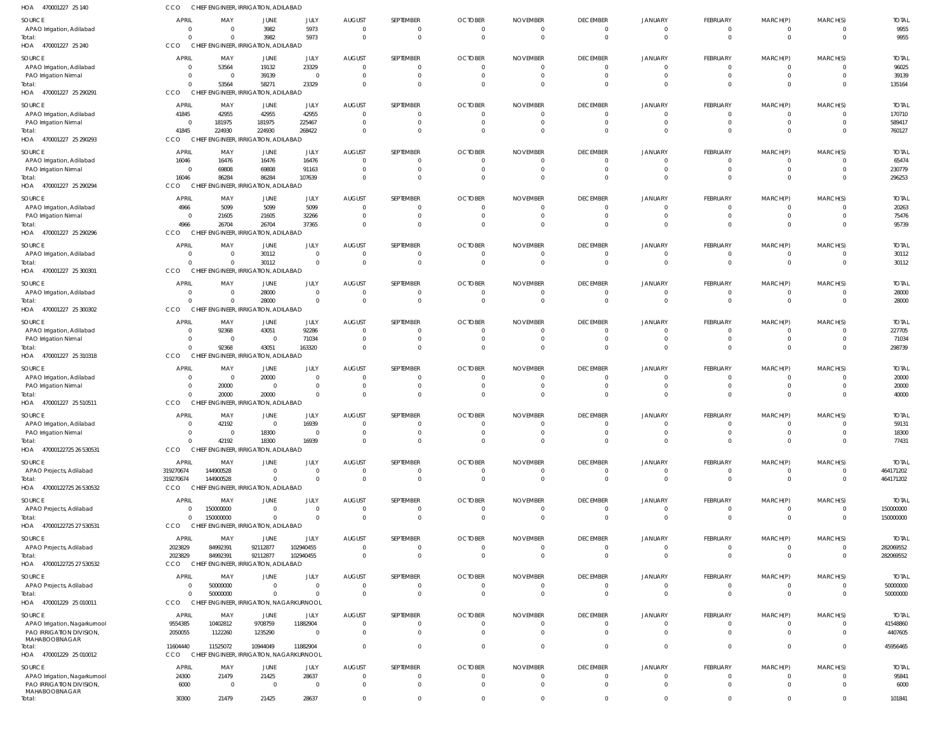| HOA<br>470001227 25 140                                   | CCO                              | CHIEF ENGINEER, IRRIGATION, ADILABAD                 |                         |                      |                                  |                            |                                  |                                   |                                   |                                  |                                  |                                  |                                  |                          |
|-----------------------------------------------------------|----------------------------------|------------------------------------------------------|-------------------------|----------------------|----------------------------------|----------------------------|----------------------------------|-----------------------------------|-----------------------------------|----------------------------------|----------------------------------|----------------------------------|----------------------------------|--------------------------|
| SOURCE                                                    | <b>APRIL</b>                     | MAY                                                  | JUNE                    | JULY                 | <b>AUGUST</b>                    | SEPTEMBER                  | <b>OCTOBER</b>                   | <b>NOVEMBER</b>                   | <b>DECEMBER</b>                   | JANUARY                          | <b>FEBRUARY</b>                  | MARCH(P)                         | MARCH(S)                         | <b>TOTAL</b>             |
| APAO Irrigation, Adilabad                                 | $\overline{0}$                   | $\overline{0}$                                       | 3982                    | 5973                 | $\overline{0}$                   | 0                          | $\overline{0}$                   | $\overline{0}$                    | $\overline{0}$                    | $\overline{0}$                   | $\overline{0}$                   | $\overline{0}$                   | $\overline{0}$                   | 9955                     |
| Total:<br>HOA 470001227 25 240                            | $\Omega$<br>CCO                  | $\Omega$<br>CHIEF ENGINEER, IRRIGATION, ADILABAD     | 3982                    | 5973                 | $\Omega$                         | $\mathbf 0$                | $\Omega$                         | $\overline{0}$                    | $\overline{0}$                    | $\overline{0}$                   | $\overline{0}$                   | $\overline{0}$                   | $\Omega$                         | 9955                     |
| SOURCE                                                    | <b>APRIL</b>                     | MAY                                                  | JUNE                    | JULY                 | <b>AUGUST</b>                    | SEPTEMBER                  | <b>OCTOBER</b>                   | <b>NOVEMBER</b>                   | <b>DECEMBER</b>                   | JANUARY                          | FEBRUARY                         | MARCH(P)                         | MARCH(S)                         | <b>TOTAL</b>             |
| APAO Irrigation, Adilabad                                 | $\overline{0}$                   | 53564                                                | 19132                   | 23329                | $\overline{0}$                   | 0                          | $\overline{0}$                   | $\Omega$                          | $\overline{0}$                    | $\Omega$                         | $\overline{0}$                   | - 0                              | $\Omega$                         | 96025                    |
| PAO Irrigation Nirmal                                     | $\Omega$                         | $\overline{\mathbf{0}}$                              | 39139                   | $\overline{0}$       | $\circ$                          | 0                          | $\overline{0}$                   | $\overline{0}$                    | $\overline{0}$                    | $\Omega$                         | $\overline{0}$                   | $\overline{0}$                   | $\Omega$                         | 39139                    |
| Total:<br>HOA 470001227 25 290291                         | $\Omega$<br>CCO                  | 53564<br>CHIEF ENGINEER, IRRIGATION, ADILABAD        | 58271                   | 23329                | $\Omega$                         | $\Omega$                   | $\Omega$                         | $\Omega$                          | $\Omega$                          | $\Omega$                         | $\overline{0}$                   | $\Omega$                         | $\Omega$                         | 135164                   |
| SOURCE                                                    | APRIL                            | MAY                                                  | JUNE                    | JULY                 | <b>AUGUST</b>                    | SEPTEMBER                  | <b>OCTOBER</b>                   | <b>NOVEMBER</b>                   | <b>DECEMBER</b>                   | JANUARY                          | <b>FEBRUARY</b>                  | MARCH(P)                         | MARCH(S)                         | <b>TOTAL</b>             |
| APAO Irrigation, Adilabad                                 | 41845                            | 42955                                                | 42955                   | 42955                | $\circ$                          | 0                          | $\overline{0}$                   | $\overline{0}$                    | $\overline{0}$                    | $\overline{0}$                   | $\overline{0}$                   | $\overline{0}$                   | $\Omega$                         | 170710                   |
| PAO Irrigation Nirmal                                     | $\overline{0}$                   | 181975                                               | 181975                  | 225467               | $\Omega$                         | 0                          | - 0                              | 0                                 | $\overline{0}$                    | $\overline{0}$                   | $\overline{0}$                   | $\overline{0}$                   | $\Omega$                         | 589417                   |
| Total:<br>HOA 470001227 25 290293                         | 41845<br><b>CCO</b>              | 224930<br>CHIEF ENGINEER, IRRIGATION, ADILABAD       | 224930                  | 268422               | $\Omega$                         | $\Omega$                   | $\Omega$                         | $\Omega$                          | $\Omega$                          | $\Omega$                         | $\overline{0}$                   | $\overline{0}$                   | $\Omega$                         | 760127                   |
| SOURCE                                                    | <b>APRIL</b>                     | MAY                                                  | JUNE                    | JULY                 | <b>AUGUST</b>                    | SEPTEMBER                  | <b>OCTOBER</b>                   | <b>NOVEMBER</b>                   | <b>DECEMBER</b>                   | JANUARY                          | <b>FEBRUARY</b>                  | MARCH(P)                         | MARCH(S)                         | <b>TOTAL</b>             |
| APAO Irrigation, Adilabad                                 | 16046                            | 16476                                                | 16476                   | 16476                | $\Omega$                         | 0                          | $\overline{0}$                   | $\mathbf 0$                       | $\overline{0}$                    | $\overline{0}$                   | $\overline{0}$                   | $\overline{0}$                   | $\Omega$                         | 65474                    |
| PAO Irrigation Nirmal                                     | $\Omega$                         | 69808                                                | 69808                   | 91163                | $\overline{0}$                   | 0                          | $\overline{0}$                   | - 0                               | $\overline{0}$                    | $\Omega$                         | $\overline{0}$                   | $\overline{0}$                   | $\Omega$                         | 230779                   |
| Total:<br>HOA 470001227 25 290294                         | 16046<br>CCO                     | 86284<br>CHIEF ENGINEER, IRRIGATION, ADILABAD        | 86284                   | 107639               | $\Omega$                         | $\Omega$                   | $\Omega$                         | $\Omega$                          | $\Omega$                          | $\Omega$                         | $\overline{0}$                   | $\overline{0}$                   | $\Omega$                         | 296253                   |
| SOURCE                                                    | <b>APRIL</b>                     | MAY                                                  | JUNE                    | JULY                 | <b>AUGUST</b>                    | SEPTEMBER                  | <b>OCTOBER</b>                   | <b>NOVEMBER</b>                   | <b>DECEMBER</b>                   | JANUARY                          | FEBRUARY                         | MARCH(P)                         | MARCH(S)                         | <b>TOTAL</b>             |
| APAO Irrigation, Adilabad                                 | 4966                             | 5099                                                 | 5099                    | 5099                 | - 0                              | 0                          | - 0                              | 0                                 | $\overline{0}$                    | $\overline{0}$                   | $\overline{0}$                   | $\overline{0}$                   | $\Omega$                         | 20263                    |
| PAO Irrigation Nirmal                                     | $\overline{\mathbf{0}}$          | 21605                                                | 21605                   | 32266                | - 0                              | 0                          | $\overline{0}$                   | 0                                 | $\Omega$                          | $\Omega$                         | $\overline{0}$                   | $\overline{0}$                   | $\Omega$                         | 75476                    |
| Total:<br>HOA 470001227 25 290296                         | 4966<br><b>CCO</b>               | 26704<br>CHIEF ENGINEER, IRRIGATION, ADILABAD        | 26704                   | 37365                | $\Omega$                         | 0                          | $\Omega$                         | $\Omega$                          | $\Omega$                          | $\Omega$                         | $\overline{0}$                   | $\overline{0}$                   | $\Omega$                         | 95739                    |
| SOURCE                                                    | <b>APRIL</b>                     | MAY                                                  | JUNE                    | JULY                 | <b>AUGUST</b>                    | SEPTEMBER                  | <b>OCTOBER</b>                   | <b>NOVEMBER</b>                   | <b>DECEMBER</b>                   | JANUARY                          | <b>FEBRUARY</b>                  | MARCH(P)                         | MARCH(S)                         | <b>TOTAL</b>             |
| APAO Irrigation, Adilabad                                 | $\overline{0}$                   | $\overline{\mathbf{0}}$                              | 30112                   | $\overline{0}$       | - 0                              | 0                          | $\overline{0}$                   | $\overline{0}$                    | $\overline{0}$                    | $\overline{0}$                   | $\overline{0}$                   | $\overline{0}$                   | $\Omega$                         | 30112                    |
| Total:                                                    | $\Omega$                         | $\Omega$                                             | 30112                   | $\Omega$             | $\Omega$                         | $\Omega$                   | $\Omega$                         | $\Omega$                          | $\overline{0}$                    | $\Omega$                         | $\overline{0}$                   | $\overline{0}$                   | $\Omega$                         | 30112                    |
| HOA 470001227 25 300301                                   | CCO                              | CHIEF ENGINEER, IRRIGATION, ADILABAD                 |                         |                      |                                  |                            |                                  |                                   |                                   |                                  |                                  |                                  |                                  |                          |
| SOURCE<br>APAO Irrigation, Adilabad                       | <b>APRIL</b><br>$\Omega$         | MAY<br>$\overline{\mathbf{0}}$                       | JUNE<br>28000           | JULY<br>$\Omega$     | <b>AUGUST</b><br>- 0             | SEPTEMBER<br>0             | <b>OCTOBER</b><br>- 0            | <b>NOVEMBER</b><br>0              | <b>DECEMBER</b><br>$\overline{0}$ | <b>JANUARY</b><br>$\Omega$       | FEBRUARY<br>$\overline{0}$       | MARCH(P)<br>- 0                  | MARCH(S)<br>$\Omega$             | <b>TOTAL</b><br>28000    |
| Total:                                                    | $\Omega$                         | $\overline{0}$                                       | 28000                   | $\Omega$             | $\Omega$                         | $\mathbf 0$                | $\overline{0}$                   | $\overline{0}$                    | $\overline{0}$                    | $\overline{0}$                   | $\overline{0}$                   | $\overline{0}$                   | $\overline{0}$                   | 28000                    |
| HOA 470001227 25 300302                                   | CCO                              | CHIEF ENGINEER, IRRIGATION, ADILABAD                 |                         |                      |                                  |                            |                                  |                                   |                                   |                                  |                                  |                                  |                                  |                          |
| SOURCE                                                    | <b>APRIL</b>                     | MAY                                                  | JUNE                    | JULY                 | <b>AUGUST</b>                    | SEPTEMBER                  | <b>OCTOBER</b>                   | <b>NOVEMBER</b>                   | <b>DECEMBER</b>                   | JANUARY                          | <b>FEBRUARY</b>                  | MARCH(P)                         | MARCH(S)                         | <b>TOTAL</b>             |
| APAO Irrigation, Adilabad<br>PAO Irrigation Nirmal        | $\overline{0}$<br>$\overline{0}$ | 92368<br>$\overline{\mathbf{0}}$                     | 43051<br>$\overline{0}$ | 92286<br>71034       | - 0<br>$\overline{0}$            | 0<br>$\Omega$              | $\overline{0}$<br>$\overline{0}$ | 0<br>$\mathbf 0$                  | $\overline{0}$<br>$\overline{0}$  | $\overline{0}$<br>$\Omega$       | $\overline{0}$<br>$\overline{0}$ | $\mathbf{0}$<br>$\overline{0}$   | $\Omega$<br>$\Omega$             | 227705<br>71034          |
| Total:                                                    | $\Omega$                         | 92368                                                | 43051                   | 163320               | $\Omega$                         | $\Omega$                   | $\Omega$                         | $\Omega$                          | $\Omega$                          | $\Omega$                         | $\overline{0}$                   | $\overline{0}$                   | $\Omega$                         | 298739                   |
| HOA 470001227 25 310318                                   | CCO                              | CHIEF ENGINEER, IRRIGATION, ADILABAD                 |                         |                      |                                  |                            |                                  |                                   |                                   |                                  |                                  |                                  |                                  |                          |
| SOURCE                                                    | <b>APRIL</b>                     | MAY                                                  | JUNE                    | JULY                 | <b>AUGUST</b>                    | SEPTEMBER                  | <b>OCTOBER</b>                   | <b>NOVEMBER</b>                   | <b>DECEMBER</b>                   | JANUARY                          | FEBRUARY                         | MARCH(P)                         | MARCH(S)                         | <b>TOTAL</b>             |
| APAO Irrigation, Adilabad                                 | $\overline{0}$<br>$\overline{0}$ | $\overline{\mathbf{0}}$<br>20000                     | 20000<br>$\overline{0}$ | $\Omega$<br>$\Omega$ | - 0<br>$\circ$                   | 0<br>0                     | - 0<br>$\overline{0}$            | 0<br>0                            | $\overline{0}$<br>$\Omega$        | $\overline{0}$<br>$\Omega$       | $\mathbf{0}$<br>$\overline{0}$   | - 0<br>$\overline{0}$            | $\Omega$<br>$\Omega$             | 20000<br>20000           |
| PAO Irrigation Nirmal<br>Total:                           | $\Omega$                         | 20000                                                | 20000                   | $\Omega$             | $\Omega$                         | $\mathbf 0$                | $\Omega$                         | $\Omega$                          | $\Omega$                          | $\Omega$                         | $\overline{0}$                   | $\overline{0}$                   | $\Omega$                         | 40000                    |
| HOA 470001227 25 510511                                   | <b>CCO</b>                       | CHIEF ENGINEER, IRRIGATION, ADILABAD                 |                         |                      |                                  |                            |                                  |                                   |                                   |                                  |                                  |                                  |                                  |                          |
| SOURCE                                                    | <b>APRIL</b>                     | MAY                                                  | JUNE                    | JULY                 | <b>AUGUST</b>                    | SEPTEMBER                  | <b>OCTOBER</b>                   | <b>NOVEMBER</b>                   | <b>DECEMBER</b>                   | JANUARY                          | <b>FEBRUARY</b>                  | MARCH(P)                         | MARCH(S)                         | <b>TOTAL</b>             |
| APAO Irrigation, Adilabad<br>PAO Irrigation Nirmal        | $\overline{0}$<br>$\overline{0}$ | 42192<br>$\overline{0}$                              | $\Omega$<br>18300       | 16939<br>$\Omega$    | $\mathbf 0$<br>$\Omega$          | $\mathbf 0$<br>$\Omega$    | $\overline{0}$<br>$\mathbf 0$    | $\overline{0}$<br>$\overline{0}$  | $\overline{0}$<br>$\overline{0}$  | $\overline{0}$<br>$\Omega$       | $\mathbf{0}$<br>$\overline{0}$   | $\cap$<br>$\overline{0}$         | $\overline{0}$<br>$\mathbf 0$    | 59131<br>18300           |
| Total:                                                    | $\Omega$                         | 42192                                                | 18300                   | 16939                | $\Omega$                         | $\mathbf 0$                | $\overline{0}$                   | $\overline{0}$                    | $\overline{0}$                    | $\Omega$                         | $\mathbf 0$                      | $\overline{0}$                   | $\overline{0}$                   | 77431                    |
| HOA 47000122725 26 530531                                 | CCO                              | CHIEF ENGINEER, IRRIGATION, ADILABAD                 |                         |                      |                                  |                            |                                  |                                   |                                   |                                  |                                  |                                  |                                  |                          |
| SOURCE                                                    | APRIL                            | MAY                                                  | JUNE                    | JULY                 | <b>AUGUST</b>                    | SEPTEMBER                  | <b>OCTOBER</b>                   | <b>NOVEMBER</b>                   | <b>DECEMBER</b>                   | <b>JANUARY</b>                   | FEBRUARY                         | MARCH(P)                         | MARCH(S)                         | <b>TOTAL</b>             |
| APAO Projects, Adilabad<br>Total:                         | 319270674<br>319270674           | 144900528<br>144900528                               | $\Omega$<br>$\Omega$    | $\Omega$<br>$\Omega$ | $\overline{0}$<br>$\Omega$       | $\mathbf 0$<br>$\mathbf 0$ | $\overline{0}$<br>$\overline{0}$ | $\overline{0}$<br>$\overline{0}$  | $\overline{0}$<br>$\overline{0}$  | $\overline{0}$<br>$\overline{0}$ | $\overline{0}$<br>$\overline{0}$ | $\overline{0}$<br>$\overline{0}$ | $\overline{0}$<br>$\overline{0}$ | 464171202<br>464171202   |
| HOA 47000122725 26 530532                                 | <b>CCO</b>                       | CHIEF ENGINEER, IRRIGATION, ADILABAD                 |                         |                      |                                  |                            |                                  |                                   |                                   |                                  |                                  |                                  |                                  |                          |
| SOURCE                                                    | <b>APRIL</b>                     | MAY                                                  | JUNE                    | JULY                 | <b>AUGUST</b>                    | SEPTEMBER                  | <b>OCTOBER</b>                   | <b>NOVEMBER</b>                   | <b>DECEMBER</b>                   | JANUARY                          | <b>FEBRUARY</b>                  | MARCH(P)                         | MARCH(S)                         | <b>TOTAL</b>             |
| APAO Projects, Adilabad                                   | $\overline{0}$                   | 150000000                                            | $\mathbf{0}$            | $\Omega$             | $\overline{0}$                   | 0                          | $\overline{0}$                   | $\overline{0}$                    | $\overline{0}$                    | $\overline{0}$                   | $\mathbf{0}$                     | $\mathbf{0}$                     | $\overline{0}$                   | 150000000                |
| Total:<br>HOA 47000122725 27 530531                       | $\overline{0}$<br><b>CCO</b>     | 150000000<br>CHIEF ENGINEER, IRRIGATION, ADILABAD    | $\Omega$                | $\Omega$             | $\overline{0}$                   | $\mathbf 0$                | $\overline{0}$                   | $\overline{0}$                    | $\overline{0}$                    | $\overline{0}$                   | $\overline{0}$                   | $\overline{0}$                   | $\overline{0}$                   | 150000000                |
| SOURCE                                                    | <b>APRIL</b>                     | MAY                                                  | JUNE                    | JULY                 | <b>AUGUST</b>                    | SEPTEMBER                  | <b>OCTOBER</b>                   | <b>NOVEMBER</b>                   | <b>DECEMBER</b>                   | <b>JANUARY</b>                   | FEBRUARY                         | MARCH(P)                         | MARCH(S)                         | <b>TOTAL</b>             |
| APAO Projects, Adilabad                                   | 2023829                          | 84992391                                             | 92112877                | 102940455            | $\circ$                          | 0                          | $\overline{0}$                   | $\overline{0}$                    | $\overline{0}$                    | $\overline{0}$                   | $\overline{0}$                   | $\mathbf{0}$                     | $\overline{0}$                   | 282069552                |
| Total:                                                    | 2023829                          | 84992391                                             | 92112877                | 102940455            | $\Omega$                         | $\mathbf 0$                | $\overline{0}$                   | $\overline{0}$                    | $\overline{0}$                    | $\overline{0}$                   | $\overline{0}$                   | $\overline{0}$                   | $\overline{0}$                   | 282069552                |
| HOA 47000122725 27 530532                                 | CCO                              | CHIEF ENGINEER, IRRIGATION, ADILABAD                 |                         |                      |                                  |                            |                                  |                                   |                                   |                                  |                                  |                                  |                                  |                          |
| SOURCE<br>APAO Projects, Adilabad                         | APRIL<br>$\overline{0}$          | MAY<br>50000000                                      | JUNE<br>$\mathbf{0}$    | JULY<br>$\Omega$     | <b>AUGUST</b><br>$\overline{0}$  | SEPTEMBER<br>0             | <b>OCTOBER</b><br>$\overline{0}$ | <b>NOVEMBER</b><br>$\overline{0}$ | <b>DECEMBER</b><br>$\overline{0}$ | <b>JANUARY</b><br>$\overline{0}$ | FEBRUARY<br>$\overline{0}$       | MARCH(P)<br>$\overline{0}$       | MARCH(S)<br>$\Omega$             | <b>TOTAL</b><br>50000000 |
| Total:                                                    | $\Omega$                         | 50000000                                             | $\Omega$                | $\Omega$             | $\overline{0}$                   | $\mathbf 0$                | $\overline{0}$                   | $\overline{0}$                    | $\overline{0}$                    | $\overline{0}$                   | $\overline{0}$                   | $\overline{0}$                   | $\overline{0}$                   | 50000000                 |
| HOA 470001229 25 010011                                   | CCO                              | CHIEF ENGINEER, IRRIGATION, NAGARKURNOOL             |                         |                      |                                  |                            |                                  |                                   |                                   |                                  |                                  |                                  |                                  |                          |
| SOURCE                                                    | <b>APRIL</b>                     | MAY                                                  | JUNE                    | JULY                 | <b>AUGUST</b>                    | SEPTEMBER                  | <b>OCTOBER</b>                   | <b>NOVEMBER</b>                   | <b>DECEMBER</b>                   | <b>JANUARY</b>                   | <b>FEBRUARY</b>                  | MARCH(P)                         | MARCH(S)                         | <b>TOTAL</b>             |
| APAO Irrigation, Nagarkurnool<br>PAO IRRIGATION DIVISION, | 9554385<br>2050055               | 10402812<br>1122260                                  | 9708759<br>1235290      | 11882904<br>$\Omega$ | $\overline{0}$<br>$\overline{0}$ | 0<br>$\mathbf 0$           | $\overline{0}$<br>$\Omega$       | $\overline{0}$<br>$\Omega$        | $\overline{0}$<br>$\Omega$        | $\overline{0}$<br>$\Omega$       | $\overline{0}$<br>$\overline{0}$ | $\overline{0}$<br>$\overline{0}$ | $\Omega$<br>$\Omega$             | 41548860<br>4407605      |
| MAHABOOBNAGAR                                             |                                  |                                                      |                         |                      |                                  |                            |                                  |                                   |                                   |                                  |                                  |                                  |                                  |                          |
| Total:<br>HOA 470001229 25 010012                         | 11604440<br>CCO                  | 11525072<br>CHIEF ENGINEER, IRRIGATION, NAGARKURNOOL | 10944049                | 11882904             | $\Omega$                         | $\mathbf 0$                | $\overline{0}$                   | $\mathbf 0$                       | $\overline{0}$                    | $\overline{0}$                   | $\overline{0}$                   | $\overline{0}$                   | $\overline{0}$                   | 45956465                 |
| SOURCE                                                    | <b>APRIL</b>                     | MAY                                                  | JUNE                    | JULY                 | <b>AUGUST</b>                    | SEPTEMBER                  | <b>OCTOBER</b>                   | <b>NOVEMBER</b>                   | <b>DECEMBER</b>                   | <b>JANUARY</b>                   | FEBRUARY                         | MARCH(P)                         | MARCH(S)                         | <b>TOTAL</b>             |
| APAO Irrigation, Nagarkurnool                             | 24300                            | 21479                                                | 21425                   | 28637                | $\overline{0}$                   | $\mathbf 0$                | $\overline{0}$                   | $\overline{0}$                    | $\overline{0}$                    | $\overline{0}$                   | $\overline{0}$                   | $\overline{0}$                   | $\mathbf 0$                      | 95841                    |
| PAO IRRIGATION DIVISION                                   | 6000                             | $\overline{\mathbf{0}}$                              | $\overline{0}$          | $\overline{0}$       | $\overline{0}$                   | $\mathbf 0$                | $\overline{0}$                   | $\overline{0}$                    | $\overline{0}$                    | $\overline{0}$                   | $\overline{0}$                   | $\overline{0}$                   | $\Omega$                         | 6000                     |
| MAHABOOBNAGAR<br>Total:                                   | 30300                            | 21479                                                | 21425                   | 28637                | $\Omega$                         | $\Omega$                   | $\Omega$                         | 0                                 | $\Omega$                          | $\overline{0}$                   | $\overline{0}$                   | $\overline{0}$                   | $\Omega$                         | 101841                   |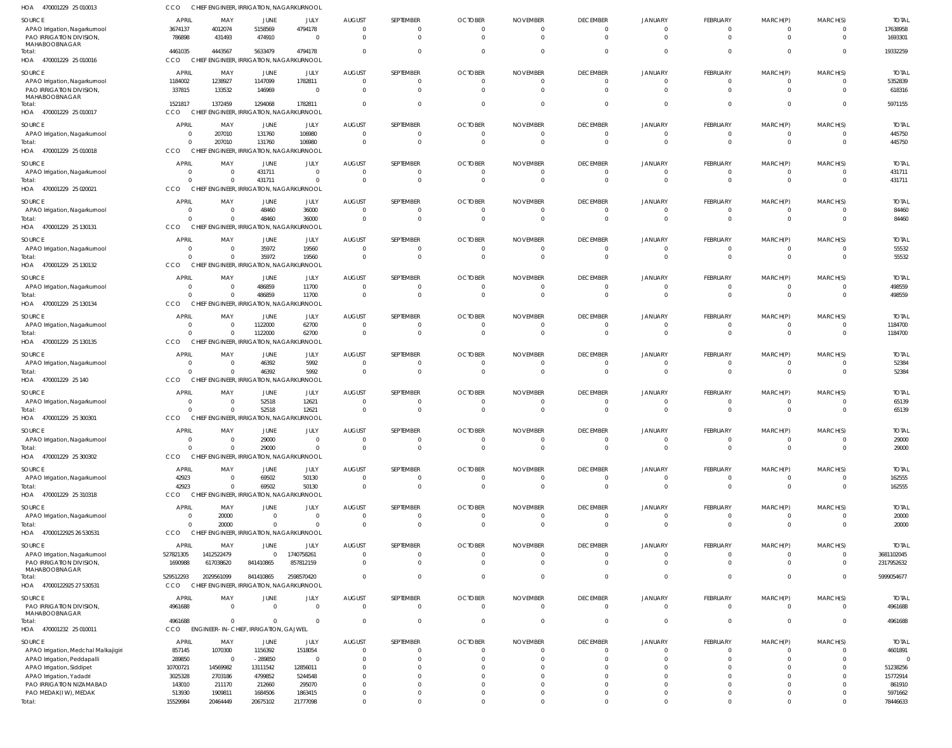| HOA<br>470001229 25 010013                               | CCO                                 | CHIEF ENGINEER, IRRIGATION, NAGARKURNOOL                   |                        |                  |                                  |                              |                                  |                                   |                             |                            |                                |                  |          |                       |
|----------------------------------------------------------|-------------------------------------|------------------------------------------------------------|------------------------|------------------|----------------------------------|------------------------------|----------------------------------|-----------------------------------|-----------------------------|----------------------------|--------------------------------|------------------|----------|-----------------------|
| SOURCE                                                   | <b>APRIL</b>                        | MAY                                                        | <b>JUNE</b>            | JULY             | <b>AUGUST</b>                    | SEPTEMBER                    | <b>OCTOBER</b>                   | <b>NOVEMBER</b>                   | <b>DECEMBER</b>             | <b>JANUARY</b>             | <b>FEBRUARY</b>                | MARCH(P)         | MARCH(S) | <b>TOTAI</b>          |
| APAO Irrigation, Nagarkurnool                            | 3674137                             | 4012074                                                    | 5158569                | 4794178          | $\overline{0}$                   | $\overline{0}$               | $\overline{0}$                   | $\mathbf{0}$                      | $\Omega$                    | $\Omega$                   | 0                              | $\Omega$         |          | 17638958              |
| PAO IRRIGATION DIVISION,                                 | 786898                              | 431493                                                     | 474910                 | $\Omega$         | $\overline{0}$                   | $\mathbf{0}$                 | $\overline{0}$                   | $\overline{0}$                    | $\Omega$                    | $\Omega$                   | $\mathbf 0$                    | $\mathbf 0$      | $\Omega$ | 1693301               |
| MAHABOOBNAGAR<br>Total:                                  | 4461035                             | 4443567                                                    | 5633479                | 4794178          | $\overline{0}$                   | $\mathbf 0$                  | $\overline{0}$                   | $\circ$                           | $\Omega$                    | $\Omega$                   | $\Omega$                       | $\Omega$         | $\Omega$ | 19332259              |
| HOA 470001229 25 010016                                  | <b>CCO</b>                          | CHIEF ENGINEER, IRRIGATION, NAGARKURNOOL                   |                        |                  |                                  |                              |                                  |                                   |                             |                            |                                |                  |          |                       |
| SOURCE                                                   | APRIL                               | MAY                                                        | JUNE                   | JULY             | <b>AUGUST</b>                    | SEPTEMBER                    | <b>OCTOBER</b>                   | <b>NOVEMBER</b>                   | <b>DECEMBER</b>             | <b>JANUARY</b>             | <b>FEBRUARY</b>                | MARCH(P)         | MARCH(S) | <b>TOTAL</b>          |
| APAO Irrigation, Nagarkurnool                            | 1184002                             | 1238927                                                    | 1147099                | 1782811          | $\overline{0}$                   | $\mathbf{0}$                 | $\overline{0}$                   | $\circ$                           | $\Omega$                    |                            |                                |                  |          | 5352839               |
| PAO IRRIGATION DIVISION,                                 | 337815                              | 133532                                                     | 146969                 | - 0              | $\overline{0}$                   | $\overline{0}$               | $\overline{0}$                   | $\overline{0}$                    | $\Omega$                    | $\Omega$                   | $\mathbf 0$                    | $\Omega$         | $\Omega$ | 618316                |
| MAHABOOBNAGAR<br>Total:                                  | 1521817                             | 1372459                                                    | 1294068                | 1782811          | $\Omega$                         | $\mathbf 0$                  | $\overline{0}$                   | $\overline{0}$                    | $\Omega$                    | $\cap$                     | 0                              | $\mathbf{0}$     | $\Omega$ | 5971155               |
| HOA 470001229 25 010017                                  | <b>CCO</b>                          | CHIEF ENGINEER, IRRIGATION, NAGARKURNOOL                   |                        |                  |                                  |                              |                                  |                                   |                             |                            |                                |                  |          |                       |
| SOURCE                                                   | APRIL                               | MAY                                                        | JUNE                   | JULY             | <b>AUGUST</b>                    | SEPTEMBER                    | <b>OCTOBER</b>                   | <b>NOVEMBER</b>                   | <b>DECEMBER</b>             | JANUARY                    | <b>FEBRUARY</b>                | MARCH(P)         | MARCH(S) | <b>TOTAL</b>          |
| APAO Irrigation, Nagarkurnool                            | $\overline{0}$                      | 207010                                                     | 131760                 | 106980           | 0                                | $\mathbf{0}$                 | $\mathbf{0}$                     | $\mathbf{0}$                      | $\Omega$                    | - 0                        | 0                              |                  |          | 445750                |
| Total:                                                   | $\overline{0}$                      | 207010                                                     | 131760                 | 106980           | $\overline{0}$                   | $\overline{0}$               | $\overline{0}$                   | $\overline{0}$                    | $\Omega$                    | $\Omega$                   | $\mathbf 0$                    | $\Omega$         | $\Omega$ | 445750                |
| HOA 470001229 25 010018                                  | CCO                                 | CHIEF ENGINEER, IRRIGATION, NAGARKURNOOL                   |                        |                  |                                  |                              |                                  |                                   |                             |                            |                                |                  |          |                       |
| SOURCE                                                   | <b>APRIL</b>                        | MAY                                                        | JUNE                   | JULY             | <b>AUGUST</b>                    | SEPTEMBER                    | <b>OCTOBER</b>                   | <b>NOVEMBER</b>                   | <b>DECEMBER</b>             | <b>JANUARY</b>             | <b>FEBRUARY</b>                | MARCH(P)         | MARCH(S) | <b>TOTAL</b>          |
| APAO Irrigation, Nagarkurnool                            | $\overline{0}$                      | $\overline{0}$                                             | 431711                 | $\Omega$         | $\overline{0}$                   | $\overline{0}$               | $\overline{0}$                   | $\circ$                           | $\Omega$                    |                            | 0                              |                  |          | 431711                |
| Total:                                                   | $\Omega$                            | $\overline{0}$                                             | 431711                 | $\Omega$         | $\overline{0}$                   | $\mathbf{0}$                 | $\overline{0}$                   | $\overline{0}$                    | $\Omega$                    | $\Omega$                   | $\mathbf 0$                    | $\mathbf{0}$     | $\Omega$ | 431711                |
| HOA 470001229 25 020021                                  | CCO                                 | CHIEF ENGINEER, IRRIGATION, NAGARKURNOOL                   |                        |                  |                                  |                              |                                  |                                   |                             |                            |                                |                  |          |                       |
| SOURCE                                                   | APRIL                               | MAY                                                        | JUNE                   | JULY             | <b>AUGUST</b>                    | SEPTEMBER                    | <b>OCTOBER</b>                   | <b>NOVEMBER</b>                   | <b>DECEMBER</b>             | <b>JANUARY</b>             | <b>FEBRUARY</b>                | MARCH(P)         | MARCH(S) | <b>TOTAL</b>          |
| APAO Irrigation, Nagarkurnool                            | $\Omega$<br>$\Omega$                | $\overline{0}$<br>$\Omega$                                 | 48460                  | 36000            | $\overline{0}$<br>$\overline{0}$ | $\mathbf{0}$<br>$\mathbf{0}$ | $\overline{0}$                   | $\overline{0}$<br>$\overline{0}$  | $\Omega$<br>$\Omega$        | $\Omega$<br>$\Omega$       | $\mathbf 0$<br>$\mathbf 0$     | 0<br>$\mathbf 0$ | $\Omega$ | 84460                 |
| Total:<br>HOA 470001229 25 130131                        | CCO                                 | CHIEF ENGINEER, IRRIGATION, NAGARKURNOOL                   | 48460                  | 36000            |                                  |                              | $\overline{0}$                   |                                   |                             |                            |                                |                  |          | 84460                 |
|                                                          |                                     |                                                            |                        |                  |                                  |                              |                                  |                                   |                             |                            |                                |                  |          |                       |
| <b>SOURCE</b><br>APAO Irrigation, Nagarkurnool           | APRIL<br>$\overline{\mathbf{0}}$    | MAY<br>$\overline{0}$                                      | JUNE<br>35972          | JULY<br>19560    | <b>AUGUST</b><br>$\overline{0}$  | SEPTEMBER<br>$\overline{0}$  | <b>OCTOBER</b><br>$\overline{0}$ | <b>NOVEMBER</b><br>$\overline{0}$ | <b>DECEMBER</b><br>$\Omega$ | <b>JANUARY</b><br>$\Omega$ | <b>FEBRUARY</b><br>0           | MARCH(P)<br>0    | MARCH(S) | <b>TOTAL</b><br>55532 |
| Total:                                                   | $\Omega$                            | $\Omega$                                                   | 35972                  | 19560            | $\overline{0}$                   | $\mathbf 0$                  | $\overline{0}$                   | $\overline{0}$                    | $\Omega$                    | $\Omega$                   | $\mathbf 0$                    | $\mathbf{0}$     | $\Omega$ | 55532                 |
| HOA 470001229 25 130132                                  | CCO                                 | CHIEF ENGINEER, IRRIGATION, NAGARKURNOOL                   |                        |                  |                                  |                              |                                  |                                   |                             |                            |                                |                  |          |                       |
| SOURCE                                                   | <b>APRIL</b>                        | MAY                                                        | JUNE                   | JULY             | <b>AUGUST</b>                    | SEPTEMBER                    | <b>OCTOBER</b>                   | <b>NOVEMBER</b>                   | <b>DECEMBER</b>             | <b>JANUARY</b>             | <b>FEBRUARY</b>                | MARCH(P)         | MARCH(S) | <b>TOTAL</b>          |
| APAO Irrigation, Nagarkurnool                            | $\overline{0}$                      | $\overline{0}$                                             | 486859                 | 11700            | $\overline{0}$                   | $\mathbf{0}$                 | $\overline{0}$                   | $\overline{0}$                    | $\Omega$                    |                            |                                |                  |          | 498559                |
| Total:                                                   | $\Omega$                            | $\overline{0}$                                             | 486859                 | 11700            | $\overline{0}$                   | $\overline{0}$               | $\overline{0}$                   | $\overline{0}$                    | $\Omega$                    | $\Omega$                   | $\mathbf 0$                    | $\Omega$         | $\Omega$ | 498559                |
| HOA 470001229 25 130134                                  | CCO                                 | CHIEF ENGINEER, IRRIGATION, NAGARKURNOOL                   |                        |                  |                                  |                              |                                  |                                   |                             |                            |                                |                  |          |                       |
| SOURCE                                                   | <b>APRIL</b>                        | MAY                                                        | JUNE                   | JULY             | <b>AUGUST</b>                    | SEPTEMBER                    | <b>OCTOBER</b>                   | <b>NOVEMBER</b>                   | <b>DECEMBER</b>             | <b>JANUARY</b>             | <b>FEBRUARY</b>                | MARCH(P)         | MARCH(S) | <b>TOTAL</b>          |
| APAO Irrigation, Nagarkurnool                            | $\overline{0}$                      | $\overline{0}$                                             | 1122000                | 62700            | 0                                | $\mathbf{0}$                 | $\overline{0}$                   | $\circ$                           | $\Omega$                    |                            | 0                              |                  |          | 1184700               |
| Total:                                                   | $\Omega$                            | $\overline{0}$                                             | 1122000                | 62700            | $\overline{0}$                   | $\overline{0}$               | $\overline{0}$                   | $\overline{0}$                    | $\Omega$                    | $\Omega$                   | $\mathbf 0$                    | $\mathbf{0}$     | $\Omega$ | 1184700               |
| HOA 470001229 25 130135                                  | CCO                                 | CHIEF ENGINEER, IRRIGATION, NAGARKURNOOL                   |                        |                  |                                  |                              |                                  |                                   |                             |                            |                                |                  |          |                       |
| SOURCE                                                   | <b>APRIL</b>                        | MAY                                                        | JUNE                   | JULY             | <b>AUGUST</b>                    | SEPTEMBER                    | <b>OCTOBER</b>                   | <b>NOVEMBER</b>                   | <b>DECEMBER</b>             | <b>JANUARY</b>             | FEBRUARY                       | MARCH(P)         | MARCH(S) | <b>TOTAL</b>          |
| APAO Irrigation, Nagarkurnool<br>Total:                  | $\overline{\mathbf{0}}$<br>$\Omega$ | $\overline{\mathbf{0}}$<br>$\Omega$                        | 46392<br>46392         | 5992<br>5992     | $\overline{0}$<br>$\overline{0}$ | $\mathbf{0}$<br>$\mathbf 0$  | $\overline{0}$<br>$\Omega$       | $\overline{0}$<br>$\overline{0}$  | $\Omega$<br>$\Omega$        | - 0<br>$\Omega$            | 0<br>$\mathbf 0$               | $\Omega$         | $\Omega$ | 52384<br>52384        |
| HOA 470001229 25 140                                     | CCO                                 | CHIEF ENGINEER, IRRIGATION, NAGARKURNOOL                   |                        |                  |                                  |                              |                                  |                                   |                             |                            |                                |                  |          |                       |
| SOURCE                                                   | APRIL                               | MAY                                                        | JUNE                   | JULY             | <b>AUGUST</b>                    | SEPTEMBER                    | <b>OCTOBER</b>                   | <b>NOVEMBER</b>                   | <b>DECEMBER</b>             | <b>JANUARY</b>             | <b>FEBRUARY</b>                | MARCH(P)         | MARCH(S) | <b>TOTAL</b>          |
| APAO Irrigation, Nagarkurnool                            | $\Omega$                            | 0                                                          | 52518                  | 12621            | $\overline{0}$                   | $\mathbf{0}$                 | $\overline{0}$                   | $\overline{0}$                    | $\Omega$                    | $\Omega$                   | $\mathbf 0$                    | 0                |          | 65139                 |
| Total:                                                   | $\Omega$                            | $\Omega$                                                   | 52518                  | 12621            | $\Omega$                         | $\mathbf{0}$                 | $\Omega$                         | $\Omega$                          | $\Omega$                    | $\Omega$                   | $\Omega$                       | $\Omega$         | $\Omega$ | 65139                 |
| HOA 470001229 25 300301                                  | CCO                                 | CHIEF ENGINEER, IRRIGATION, NAGARKURNOOL                   |                        |                  |                                  |                              |                                  |                                   |                             |                            |                                |                  |          |                       |
| SOURCE                                                   | <b>APRIL</b>                        | MAY                                                        | <b>JUNE</b>            | JULY             | <b>AUGUST</b>                    | SEPTEMBER                    | <b>OCTOBER</b>                   | <b>NOVEMBER</b>                   | <b>DECEMBER</b>             | <b>JANUARY</b>             | <b>FEBRUARY</b>                | MARCH(P)         | MARCH(S) | <b>TOTAL</b>          |
| APAO Irrigation, Nagarkurnool                            | $\Omega$                            | $\Omega$                                                   | 29000                  | $\Omega$         | 0                                | $\mathbf{0}$                 | $\overline{0}$                   | $\overline{0}$                    | - 0                         | - 0                        |                                |                  |          | 29000                 |
| Total:                                                   | $\Omega$                            | $\mathbf{0}$                                               | 29000                  | $\Omega$         | $\overline{0}$                   | $\mathbf 0$                  | $\overline{0}$                   | $\overline{0}$                    | $\Omega$                    | $\Omega$                   | 0                              | $\Omega$         | $\Omega$ | 29000                 |
| HOA 470001229 25 300302                                  | CCO                                 | CHIEF ENGINEER, IRRIGATION, NAGARKURNOOL                   |                        |                  |                                  |                              |                                  |                                   |                             |                            |                                |                  |          |                       |
| SOURCE                                                   | APRIL                               | MAY                                                        | JUNE                   | JULY             | <b>AUGUST</b>                    | SEPTEMBER                    | <b>OCTOBER</b>                   | <b>NOVEMBER</b>                   | <b>DECEMBER</b>             | <b>JANUARY</b>             | <b>FEBRUARY</b>                | MARCH(P)         | MARCH(S) | <b>TOTAL</b>          |
| APAO Irrigation, Nagarkurnool                            | 42923                               | $\overline{0}$                                             | 69502                  | 50130            | $\overline{0}$<br>$\overline{0}$ | $\mathbf{0}$<br>$\mathbf 0$  | $\overline{0}$                   | $\overline{0}$<br>$\overline{0}$  | $\Omega$<br>$\Omega$        | $\Omega$                   | 0<br>$\mathbf 0$               |                  | $\Omega$ | 162555                |
| Total:<br>HOA 470001229 25 310318                        | 42923<br>CCO                        | $\overline{0}$<br>CHIEF ENGINEER, IRRIGATION, NAGARKURNOOL | 69502                  | 50130            |                                  |                              | $\overline{0}$                   |                                   |                             |                            |                                | $\mathbf{0}$     |          | 162555                |
|                                                          |                                     |                                                            |                        |                  |                                  |                              |                                  |                                   |                             |                            |                                |                  |          |                       |
| SOURCE<br>APAO Irrigation, Nagarkurnool                  | <b>APRIL</b><br>$\overline{0}$      | MAY<br>20000                                               | JUNE<br>$\overline{0}$ | JULY<br>$\Omega$ | <b>AUGUST</b><br>$\overline{0}$  | SEPTEMBER<br>$\mathbf{0}$    | <b>OCTOBER</b><br>$\overline{0}$ | <b>NOVEMBER</b><br>$\overline{0}$ | <b>DECEMBER</b><br>$\Omega$ | <b>JANUARY</b><br>$\Omega$ | <b>FEBRUARY</b><br>$\mathbf 0$ | MARCH(P)         | MARCH(S) | <b>TOTAL</b><br>20000 |
| Total:                                                   | $\Omega$                            | 20000                                                      | $\overline{0}$         | $\Omega$         | $\Omega$                         | $\mathbf{0}$                 | $\overline{0}$                   | $\overline{0}$                    | $\Omega$                    | $\Omega$                   | $\mathbf 0$                    | $\mathbf 0$      | $\Omega$ | 20000                 |
| HOA<br>47000122925 26 530531                             | CCO                                 | CHIEF ENGINEER, IRRIGATION, NAGARKURNOOL                   |                        |                  |                                  |                              |                                  |                                   |                             |                            |                                |                  |          |                       |
| SOURCE                                                   | <b>APRIL</b>                        | MAY                                                        | JUNE                   | JULY             | <b>AUGUST</b>                    | SEPTEMBER                    | <b>OCTOBER</b>                   | <b>NOVEMBER</b>                   | <b>DECEMBER</b>             | <b>JANUARY</b>             | <b>FEBRUARY</b>                | MARCH(P)         | MARCH(S) | <b>TOTAL</b>          |
| APAO Irrigation, Nagarkurnool                            | 527821305                           | 1412522479                                                 | $\overline{0}$         | 1740758261       | $\overline{0}$                   | $\overline{0}$               | $\overline{0}$                   | $\overline{0}$                    | $\Omega$                    | $\Omega$                   | 0                              | 0                | $\Omega$ | 3681102045            |
| PAO IRRIGATION DIVISION,                                 | 1690988                             | 617038620                                                  | 841410865              | 857812159        | $\overline{0}$                   | $\mathbf{0}$                 | $\overline{0}$                   | $\overline{0}$                    | $\Omega$                    | $\Omega$                   | $\mathbf 0$                    | $\mathbf{0}$     | $\Omega$ | 2317952632            |
| MAHABOOBNAGAR<br>Total:                                  | 529512293                           | 2029561099                                                 | 841410865              | 2598570420       | $\overline{0}$                   | $\mathbf{0}$                 | $\overline{0}$                   | $\overline{0}$                    | $\Omega$                    | $\Omega$                   | $\mathbf 0$                    | $\mathbf{0}$     | $\Omega$ | 5999054677            |
| HOA 47000122925 27 530531                                | <b>CCO</b>                          | CHIEF ENGINEER, IRRIGATION, NAGARKURNOOL                   |                        |                  |                                  |                              |                                  |                                   |                             |                            |                                |                  |          |                       |
| SOURCE                                                   | APRIL                               | MAY                                                        | JUNE                   | JULY             | <b>AUGUST</b>                    | SEPTEMBER                    | <b>OCTOBER</b>                   | <b>NOVEMBER</b>                   | <b>DECEMBER</b>             | <b>JANUARY</b>             | <b>FEBRUARY</b>                | MARCH(P)         | MARCH(S) | <b>TOTAL</b>          |
| PAO IRRIGATION DIVISION,                                 | 4961688                             | $\overline{0}$                                             | $\overline{0}$         | $\Omega$         | $\overline{0}$                   | $\mathbf{0}$                 | $\overline{0}$                   | $\overline{0}$                    | $\Omega$                    | $\Omega$                   | $\mathbf 0$                    | $\mathbf{0}$     | $\Omega$ | 4961688               |
| MAHABOOBNAGAR                                            |                                     |                                                            |                        |                  |                                  |                              |                                  |                                   |                             |                            |                                |                  |          |                       |
| Total:                                                   | 4961688<br><b>CCO</b>               | $\Omega$<br><b>ENGINEER-IN-CHIEF, IRRIGATION, GAJWEL</b>   | $\mathbf{0}$           | $\Omega$         | $\overline{0}$                   | $\mathbf{0}$                 | $\overline{0}$                   | $\overline{0}$                    | $\Omega$                    | $\Omega$                   | $\mathbf 0$                    | $\mathbf{0}$     | $\Omega$ | 4961688               |
| HOA 470001232 25 010011                                  |                                     |                                                            |                        |                  |                                  |                              |                                  |                                   |                             |                            |                                |                  |          |                       |
| SOURCE                                                   | <b>APRIL</b>                        | MAY                                                        | JUNE                   | JULY             | <b>AUGUST</b>                    | SEPTEMBER                    | <b>OCTOBER</b>                   | <b>NOVEMBER</b>                   | <b>DECEMBER</b>             | <b>JANUARY</b>             | <b>FEBRUARY</b>                | MARCH(P)         | MARCH(S) | <b>TOTAL</b>          |
| APAO Irrigation, Medchal Malkajigiri                     | 857145<br>289850                    | 1070300<br>$\overline{0}$                                  | 1156392<br>$-289850$   | 1518054<br>- 0   | $\overline{0}$<br>$\Omega$       | $\mathbf{0}$<br>$\Omega$     | $\overline{0}$<br>C              | $\circ$<br>$\Omega$               | $\Omega$<br>$\cap$          | $\Omega$                   | 0                              |                  |          | 4601891<br>$\Omega$   |
| APAO Irrigation, Peddapalli<br>APAO Irrigation, Siddipet | 10700721                            | 14569982                                                   | 13111542               | 12856011         | $\Omega$                         |                              | C                                | $\Omega$                          | $\cap$                      |                            |                                |                  |          | 51238256              |
| APAO Irrigation, Yadadri                                 | 3025328                             | 2703186                                                    | 4799852                | 5244548          | C                                | <sup>0</sup>                 |                                  | $\Omega$                          |                             |                            |                                |                  |          | 15772914              |
| PAO IRRIGATION NIZAMABAD                                 | 143010                              | 211170                                                     | 212660                 | 295070           | $\Omega$                         |                              | C                                | $\Omega$                          |                             |                            |                                |                  |          | 861910                |
| PAO MEDAK(IW), MEDAK                                     | 513930                              | 1909811                                                    | 1684506                | 1863415          | $\Omega$                         | 0                            | C                                | $\overline{0}$                    | $\Omega$                    | $\Omega$                   | 0                              |                  |          | 5971662               |
| Total:                                                   | 15529984                            | 20464449                                                   | 20675102               | 21777098         | $\Omega$                         | $\Omega$                     | $\Omega$                         | $\overline{0}$                    | $\Omega$                    | $\Omega$                   | $\Omega$                       |                  | $\Omega$ | 78446633              |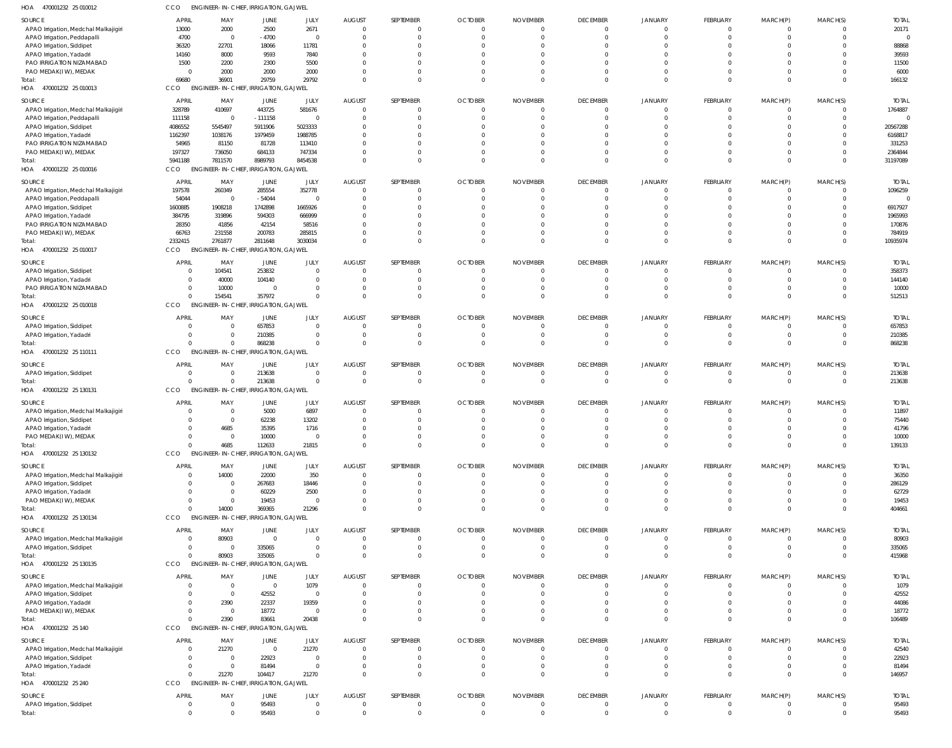| 470001232 25 010012<br>HOA                                        | CCO              | ENGINEER-IN-CHIEF, IRRIGATION, GAJWEL                             |                                     |                                |                           |                                  |                 |                      |                                  |                      |                            |                  |                      |                   |
|-------------------------------------------------------------------|------------------|-------------------------------------------------------------------|-------------------------------------|--------------------------------|---------------------------|----------------------------------|-----------------|----------------------|----------------------------------|----------------------|----------------------------|------------------|----------------------|-------------------|
| SOURCE                                                            | <b>APRIL</b>     | MAY                                                               | JUNE                                | JULY                           | <b>AUGUST</b>             | SEPTEMBER                        | <b>OCTOBER</b>  | <b>NOVEMBER</b>      | <b>DECEMBER</b>                  | JANUARY              | FEBRUARY                   | MARCH(P)         | MARCH(S)             | <b>TOTAL</b>      |
| APAO Irrigation, Medchal Malkajigiri                              | 13000            | 2000                                                              | 2500                                | 2671                           | $\Omega$                  | $\overline{0}$                   |                 | $\Omega$             | $\overline{0}$                   | $\Omega$             | 0                          | $\Omega$         | $\Omega$             | 20171             |
| APAO Irrigation, Peddapalli                                       | 4700             | $\overline{0}$                                                    | $-4700$                             | $\mathbf 0$                    | - 0                       | $\mathbf{0}$                     |                 |                      | $\overline{0}$                   | $\Omega$             | $\Omega$                   |                  | $\Omega$             |                   |
| APAO Irrigation, Siddipet                                         | 36320            | 22701                                                             | 18066                               | 11781                          |                           | $\Omega$<br>$\Omega$             |                 |                      | $\Omega$<br>$\Omega$             | $\Omega$<br>$\Omega$ | $\Omega$                   |                  | $\Omega$<br>$\Omega$ | 88868<br>39593    |
| APAO Irrigation, Yadadr<br>PAO IRRIGATION NIZAMABAD               | 14160<br>1500    | 8000<br>2200                                                      | 9593<br>2300                        | 7840<br>5500                   |                           | $\Omega$                         |                 |                      | $\Omega$                         | $\Omega$             | $\Omega$                   |                  | $\Omega$             | 11500             |
| PAO MEDAK(IW), MEDAK                                              |                  | 2000<br>$\overline{0}$                                            | 2000                                | 2000                           |                           | $\Omega$                         |                 |                      | $\Omega$                         | $\Omega$             | $\Omega$                   | $\Omega$         | $\Omega$             | 6000              |
| Total:                                                            | 69680            | 36901                                                             | 29759                               | 29792                          | $\Omega$                  | $\Omega$                         | $\cap$          |                      | $\Omega$                         | $\Omega$             | $\Omega$                   | $\Omega$         | $\Omega$             | 166132            |
| HOA 470001232 25 010013                                           | CCO              | <b>ENGINEER-IN-CHIEF,</b>                                         | <b>IRRIGATION, GAJWEL</b>           |                                |                           |                                  |                 |                      |                                  |                      |                            |                  |                      |                   |
| SOURCE                                                            | <b>APRIL</b>     | MAY                                                               | JUNE                                | JULY                           | <b>AUGUST</b>             | SEPTEMBER                        | <b>OCTOBER</b>  | <b>NOVEMBER</b>      | <b>DECEMBER</b>                  | JANUARY              | FEBRUARY                   | MARCH(P)         | MARCH(S)             | <b>TOTAL</b>      |
| APAO Irrigation, Medchal Malkajigiri                              | 328789           | 410697                                                            | 443725                              | 581676                         | $\Omega$                  | $\overline{0}$                   |                 | $\Omega$             | $\overline{0}$                   | $\Omega$             | $\mathbf 0$                | $\mathbf 0$      | $\Omega$             | 1764887           |
| APAO Irrigation, Peddapalli                                       | 111158           | - 0                                                               | $-111158$                           | $\mathbf{0}$                   |                           | $\overline{0}$                   |                 |                      | $\Omega$                         | $\Omega$             | $\mathbf 0$                | $\Omega$         | $\cap$               | $\Omega$          |
| APAO Irrigation, Siddipet                                         | 4086552          | 5545497                                                           | 5911906                             | 5023333                        |                           | $\mathbf{0}$<br>$\Omega$         |                 |                      | $\Omega$<br>$\Omega$             | $\Omega$<br>$\Omega$ | $\Omega$<br>$\Omega$       |                  | $\Omega$<br>$\cap$   | 20567288          |
| APAO Irrigation, Yadadri<br>PAO IRRIGATION NIZAMABAD              | 1162397<br>54965 | 1038176<br>81150                                                  | 1979459<br>81728                    | 1988785<br>113410              |                           | $\Omega$                         |                 |                      | $\Omega$                         | $\Omega$             | $\Omega$                   |                  | $\cap$               | 6168817<br>331253 |
| PAO MEDAK(IW), MEDAK                                              | 197327           | 736050                                                            | 684133                              | 747334                         |                           | $\Omega$                         |                 |                      | $\Omega$                         | $\Omega$             | $\Omega$                   | $\Omega$         | $\Omega$             | 2364844           |
| Total:                                                            | 5941188          | 7811570                                                           | 8989793                             | 8454538                        |                           | $\overline{0}$                   |                 |                      | $\Omega$                         | $\Omega$             | $\mathbf 0$                | $\mathbf 0$      | $\Omega$             | 31197089          |
| HOA 470001232 25 010016                                           | CCO              | <b>ENGINEER-IN-CHIEF,</b>                                         | <b>IRRIGATION, GAJWEL</b>           |                                |                           |                                  |                 |                      |                                  |                      |                            |                  |                      |                   |
| SOURCE                                                            | <b>APRIL</b>     | MAY                                                               | JUNE                                | JULY                           | <b>AUGUST</b>             | SEPTEMBER                        | <b>OCTOBER</b>  | <b>NOVEMBER</b>      | <b>DECEMBER</b>                  | JANUARY              | FEBRUARY                   | MARCH(P)         | MARCH(S)             | <b>TOTAL</b>      |
| APAO Irrigation, Medchal Malkajigiri                              | 197578           | 260349                                                            | 285554                              | 352778                         | $\Omega$                  | $\mathbf{0}$                     |                 | $\Omega$             | $\overline{0}$                   | $\Omega$             | $\mathbf 0$                | $\Omega$         | $\Omega$             | 1096259           |
| APAO Irrigation, Peddapalli                                       | 54044            | - 0                                                               | $-54044$                            | $\overline{0}$                 |                           | $\overline{0}$                   |                 |                      | $\overline{0}$                   | $\Omega$             | $\Omega$                   | $\Omega$         | $\Omega$             |                   |
| APAO Irrigation, Siddipet                                         | 1600885          | 1908218                                                           | 1742898                             | 1665926                        |                           | $\Omega$<br>$\Omega$             |                 |                      | $\Omega$<br>$\Omega$             | $\Omega$<br>$\Omega$ | $\Omega$<br>n              |                  | $\Omega$<br>$\cap$   | 6917927           |
| APAO Irrigation, Yadadri<br>PAO IRRIGATION NIZAMABAD              | 384795<br>28350  | 319896<br>41856                                                   | 594303<br>42154                     | 666999<br>58516                |                           | $\Omega$                         |                 |                      | $\Omega$                         | $\Omega$             | $\Omega$                   |                  | $\Omega$             | 1965993<br>170876 |
| PAO MEDAK(IW), MEDAK                                              | 66763            | 231558                                                            | 200783                              | 285815                         |                           | $\Omega$                         |                 | -0                   | $\Omega$                         | $\Omega$             | $\Omega$                   | $\Omega$         | $\Omega$             | 784919            |
| Total:                                                            | 2332415          | 2761877                                                           | 2811648                             | 3030034                        |                           | $\overline{0}$                   | $\cap$          |                      | $\Omega$                         | $\Omega$             | $\mathbf 0$                | $\mathbf 0$      | $\Omega$             | 10935974          |
| HOA 470001232 25 010017                                           | CCO              | <b>ENGINEER-IN-CHIEF,</b>                                         | <b>IRRIGATION, GAJWEL</b>           |                                |                           |                                  |                 |                      |                                  |                      |                            |                  |                      |                   |
| SOURCE                                                            | <b>APRIL</b>     | MAY                                                               | JUNE                                | JULY                           | <b>AUGUST</b>             | SEPTEMBER                        | <b>OCTOBER</b>  | <b>NOVEMBER</b>      | <b>DECEMBER</b>                  | <b>JANUARY</b>       | FEBRUARY                   | MARCH(P)         | MARCH(S)             | <b>TOTAL</b>      |
| APAO Irrigation, Siddipet                                         |                  | 104541<br>$\overline{0}$                                          | 253832                              | $\mathbf{0}$                   | - 0                       | 0                                |                 |                      | $\overline{0}$                   | $\Omega$             | $\mathbf 0$                | 0                | $\Omega$             | 358373            |
| APAO Irrigation, Yadadri                                          |                  | 40000<br>$\mathbf{0}$                                             | 104140                              | $\mathbf{0}$                   |                           | $\overline{0}$                   |                 |                      | $\overline{0}$                   | $\Omega$             | $\mathbf 0$                | $\mathbf 0$      | $\Omega$             | 144140            |
| PAO IRRIGATION NIZAMABAD                                          |                  | 10000<br>$\overline{0}$                                           | $\Omega$                            | $\mathbf{0}$                   |                           | $\overline{0}$                   |                 |                      | $\Omega$                         | $\Omega$             | $\mathbf 0$                | 0                | $\Omega$             | 10000             |
| Total:<br>HOA 470001232 25 010018                                 | CCO              | 154541<br>$\Omega$<br><b>ENGINEER-IN-CHIEF,</b>                   | 357972<br><b>IRRIGATION, GAJWEL</b> | $\Omega$                       |                           | $\overline{0}$                   |                 |                      | $\Omega$                         | $\Omega$             | $\mathbf 0$                | $\mathbf 0$      | $\Omega$             | 512513            |
|                                                                   |                  |                                                                   |                                     |                                |                           |                                  |                 |                      |                                  |                      |                            |                  |                      |                   |
| SOURCE                                                            | <b>APRIL</b>     | MAY<br>$\Omega$                                                   | JUNE                                | JULY                           | <b>AUGUST</b><br>$\Omega$ | SEPTEMBER                        | <b>OCTOBER</b>  | <b>NOVEMBER</b>      | <b>DECEMBER</b>                  | JANUARY<br>$\Omega$  | FEBRUARY                   | MARCH(P)         | MARCH(S)             | <b>TOTAI</b>      |
| APAO Irrigation, Siddipet<br>APAO Irrigation, Yadadri             |                  | $\overline{0}$<br>0<br>$\Omega$                                   | 657853<br>210385                    | $\mathbf{0}$<br>$\mathbf{0}$   | $\Omega$                  | $\overline{0}$<br>$\overline{0}$ | - 0<br>$\Omega$ | $\Omega$<br>$\Omega$ | $\overline{0}$<br>$\overline{0}$ | $\Omega$             | $\mathbf 0$<br>$\mathbf 0$ | 0<br>$\mathbf 0$ | $\Omega$<br>$\Omega$ | 657853<br>210385  |
| Total:                                                            |                  | $\Omega$                                                          | 868238                              | $\Omega$                       | $\Omega$                  | $\overline{0}$                   | $\Omega$        |                      | $\Omega$                         | $\Omega$             | $\mathbf 0$                | $\mathbf 0$      | $\Omega$             | 868238            |
| HOA 470001232 25 110111                                           | CCO              | <b>ENGINEER-IN-CHIEF,</b>                                         | <b>IRRIGATION, GAJWEL</b>           |                                |                           |                                  |                 |                      |                                  |                      |                            |                  |                      |                   |
| SOURCE                                                            | <b>APRIL</b>     | MAY                                                               | JUNE                                | JULY                           | <b>AUGUST</b>             | SEPTEMBER                        | <b>OCTOBER</b>  | <b>NOVEMBER</b>      | <b>DECEMBER</b>                  | <b>JANUARY</b>       | FEBRUARY                   | MARCH(P)         | MARCH(S)             | <b>TOTAL</b>      |
| APAO Irrigation, Siddipet                                         |                  | 0<br>- 0                                                          | 213638                              | $\mathbf 0$                    |                           | $\overline{0}$                   |                 |                      | $\overline{0}$                   | $\Omega$             | $\mathbf 0$                | $\mathbf 0$      | $\Omega$             | 213638            |
| Total:                                                            |                  | $\Omega$<br>$\Omega$                                              | 213638                              | $\mathbf 0$                    | $\Omega$                  | $\overline{0}$                   | $\Omega$        |                      | $\overline{0}$                   | $\Omega$             | $\mathbf 0$                | $\mathbf 0$      | $\mathbf{0}$         | 213638            |
| HOA 470001232 25 130131                                           | CCO              | <b>ENGINEER-IN-CHIEF, IRRIGATION, GAJWEL</b>                      |                                     |                                |                           |                                  |                 |                      |                                  |                      |                            |                  |                      |                   |
| SOURCE                                                            | <b>APRIL</b>     | MAY                                                               | JUNE                                | JULY                           | <b>AUGUST</b>             | SEPTEMBER                        | <b>OCTOBER</b>  | <b>NOVEMBER</b>      | <b>DECEMBER</b>                  | JANUARY              | FEBRUARY                   | MARCH(P)         | MARCH(S)             | <b>TOTAI</b>      |
| APAO Irrigation, Medchal Malkajigiri                              |                  | 0                                                                 | 5000                                | 6897                           | - 0                       | 0                                |                 | $\Omega$             | $\overline{0}$                   | $\Omega$             | $\mathbf 0$                | $\Omega$         | $\Omega$             | 11897             |
| APAO Irrigation, Siddipet                                         |                  | $\Omega$<br>$\Omega$                                              | 62238                               | 13202                          | $\Omega$                  | $\Omega$                         |                 | $\Omega$             | $\Omega$                         | $\Omega$             | $\Omega$                   | $\Omega$         | $\Omega$             | 75440             |
| APAO Irrigation, Yadadr<br>PAO MEDAK(IW), MEDAK                   |                  | 4685<br>$\Omega$<br>$\overline{0}$                                | 35395<br>10000                      | 1716<br>$\mathbf{0}$           | $\Omega$                  | $\overline{0}$                   |                 |                      | $\overline{0}$                   | $\Omega$             | $\mathbf 0$                | $\Omega$         | $\Omega$             | 41796<br>10000    |
| Total:                                                            |                  | 4685<br>$\Omega$                                                  | 112633                              | 21815                          | $\Omega$                  | $\mathbf 0$                      | $\Omega$        | $\Omega$             | $\overline{0}$                   | $\overline{0}$       | $\mathbf 0$                | $\mathbf 0$      | $\Omega$             | 139133            |
| HOA 470001232 25 130132                                           | CCO              | <b>ENGINEER-IN-CHIEF, IRRIGATION, GAJWEL</b>                      |                                     |                                |                           |                                  |                 |                      |                                  |                      |                            |                  |                      |                   |
| SOURCE                                                            | <b>APRIL</b>     | MAY                                                               | JUNE                                | JULY                           | <b>AUGUST</b>             | SEPTEMBER                        | <b>OCTOBER</b>  | <b>NOVEMBER</b>      | <b>DECEMBER</b>                  | <b>JANUARY</b>       | FEBRUARY                   | MARCH(P)         | MARCH(S)             | <b>TOTAL</b>      |
| APAO Irrigation, Medchal Malkajigiri                              |                  | 14000<br>0                                                        | 22000                               | 350                            |                           | $\mathbf{0}$                     |                 |                      | $\overline{0}$                   | $\mathbf{0}$         | 0                          | 0                |                      | 36350             |
| APAO Irrigation, Siddipet                                         |                  | 0<br>$\Omega$                                                     | 267683                              | 18446                          |                           | $\overline{0}$                   |                 |                      | $\overline{0}$                   | $\Omega$             | $\mathbf 0$                | 0                | $\Omega$             | 286129            |
| APAO Irrigation, Yadadri                                          |                  | $\mathbf{0}$<br>$\Omega$                                          | 60229                               | 2500                           |                           | 0                                |                 |                      | $\Omega$                         | $\Omega$             | $\Omega$                   |                  | $\Omega$             | 62729             |
| PAO MEDAK(IW), MEDAK                                              |                  | $\mathbf{0}$<br>$\Omega$                                          | 19453                               | $\overline{0}$                 |                           | $\overline{0}$                   |                 |                      | $\Omega$                         | $\Omega$             | $\mathbf 0$                | 0                | $\Omega$             | 19453             |
| Total:<br>HOA<br>470001232 25 130134                              | CCO              | 14000<br>$\Omega$<br><b>ENGINEER-IN-CHIEF, IRRIGATION, GAJWEL</b> | 369365                              | 21296                          |                           | $\overline{0}$                   |                 |                      | $\Omega$                         | $\Omega$             | $\Omega$                   | $\mathbf 0$      | $\Omega$             | 404661            |
|                                                                   |                  |                                                                   |                                     |                                |                           |                                  |                 |                      |                                  |                      |                            |                  |                      |                   |
| SOURCE                                                            | <b>APRIL</b>     | MAY                                                               | JUNE                                | JULY                           | <b>AUGUST</b>             | SEPTEMBER                        | <b>OCTOBER</b>  | <b>NOVEMBER</b>      | <b>DECEMBER</b>                  | JANUARY              | FEBRUARY                   | MARCH(P)         | MARCH(S)             | <b>TOTAL</b>      |
| APAO Irrigation, Medchal Malkajigiri<br>APAO Irrigation, Siddipet |                  | 80903<br>$\overline{0}$<br>$\overline{0}$<br>$\Omega$             | $\overline{0}$<br>335065            | $\overline{0}$<br>$\mathbf{0}$ | $\Omega$<br>$\Omega$      | $\overline{0}$<br>$\overline{0}$ | $\Omega$        | $\Omega$<br>0        | $\overline{0}$<br>$\overline{0}$ | $\Omega$<br>$\Omega$ | 0<br>$\mathbf 0$           | 0<br>$\mathbf 0$ | - 0<br>$\Omega$      | 80903<br>335065   |
| Total:                                                            |                  | 80903<br>$\Omega$                                                 | 335065                              | $\Omega$                       | $\Omega$                  | $\overline{0}$                   | $\Omega$        |                      | $\overline{0}$                   | $\Omega$             | $\mathbf 0$                | $\mathbf 0$      | $\Omega$             | 415968            |
| HOA<br>470001232 25 130135                                        | CCO              | <b>ENGINEER-IN-CHIEF, IRRIGATION, GAJWEL</b>                      |                                     |                                |                           |                                  |                 |                      |                                  |                      |                            |                  |                      |                   |
| SOURCE                                                            | <b>APRIL</b>     | MAY                                                               | JUNE                                | JULY                           | <b>AUGUST</b>             | SEPTEMBER                        | <b>OCTOBER</b>  | <b>NOVEMBER</b>      | <b>DECEMBER</b>                  | JANUARY              | <b>FEBRUARY</b>            | MARCH(P)         | MARCH(S)             | <b>TOTAL</b>      |
| APAO Irrigation, Medchal Malkajigiri                              |                  | $\overline{0}$<br>$\Omega$                                        | $\overline{0}$                      | 1079                           | $\cap$                    | $\overline{0}$                   |                 | $\Omega$             | $\overline{0}$                   | $\Omega$             | $\mathbf 0$                | $\mathbf 0$      | $\Omega$             | 1079              |
| APAO Irrigation, Siddipet                                         |                  | 0<br>$\Omega$                                                     | 42552                               | $\overline{0}$                 |                           | $\overline{0}$                   |                 |                      | $\overline{0}$                   | $\Omega$             | $\mathbf 0$                | 0                | $\Omega$             | 42552             |
| APAO Irrigation, Yadadri                                          |                  | 2390<br>$\mathbf{0}$                                              | 22337                               | 19359                          |                           | $\mathbf{0}$                     |                 |                      | $\Omega$                         | $\Omega$             | $\Omega$                   |                  | $\Omega$             | 44086             |
| PAO MEDAK(IW), MEDAK                                              |                  | $\overline{0}$<br>$\overline{\mathbf{0}}$                         | 18772                               | $\mathbf{0}$                   |                           | $\mathbf 0$                      |                 |                      | $\Omega$                         | $\Omega$             | $\mathbf 0$                | 0                | $\Omega$             | 18772             |
| Total:<br>HOA 470001232 25 140                                    | CCO              | 2390<br>$\Omega$<br><b>ENGINEER-IN-CHIEF, IRRIGATION, GAJWEL</b>  | 83661                               | 20438                          |                           | $\overline{0}$                   |                 |                      | $\Omega$                         | $\Omega$             | $\mathbf 0$                | $\mathbf 0$      | $\Omega$             | 106489            |
|                                                                   |                  |                                                                   |                                     |                                |                           |                                  |                 |                      |                                  |                      |                            |                  |                      |                   |
| SOURCE                                                            | <b>APRIL</b>     | MAY                                                               | <b>JUNE</b>                         | JULY                           | <b>AUGUST</b>             | SEPTEMBER                        | <b>OCTOBER</b>  | <b>NOVEMBER</b>      | <b>DECEMBER</b>                  | JANUARY              | <b>FEBRUARY</b>            | MARCH(P)         | MARCH(S)             | <b>TOTAL</b>      |
| APAO Irrigation, Medchal Malkajigiri<br>APAO Irrigation, Siddipet |                  | 21270<br>0<br>$\mathbf{0}$<br>- 0                                 | $\overline{0}$<br>22923             | 21270<br>$\overline{0}$        | $\Omega$<br>$\Omega$      | $\overline{0}$<br>$\overline{0}$ |                 | $\Omega$<br>$\Omega$ | $\overline{0}$<br>$\overline{0}$ | $\Omega$<br>$\Omega$ | $\mathbf 0$<br>$\mathbf 0$ | 0<br>$\Omega$    | $\Omega$             | 42540<br>22923    |
| APAO Irrigation, Yadadri                                          |                  | $\overline{0}$<br>$\overline{0}$                                  | 81494                               | $\mathbf 0$                    | $\cap$                    | $\overline{0}$                   | $\Omega$        | 0                    | $\overline{0}$                   | $\overline{0}$       | $\mathbf 0$                | 0                | $\Omega$             | 81494             |
| Total:                                                            |                  | 21270<br>$\Omega$                                                 | 104417                              | 21270                          | $\Omega$                  | $\overline{0}$                   | $\Omega$        | $\Omega$             | $\Omega$                         | $\Omega$             | $\Omega$                   | $\Omega$         | $\Omega$             | 146957            |
| HOA 470001232 25 240                                              | CCO              | <b>ENGINEER-IN-CHIEF, IRRIGATION, GAJWEL</b>                      |                                     |                                |                           |                                  |                 |                      |                                  |                      |                            |                  |                      |                   |
| SOURCE                                                            | <b>APRIL</b>     | MAY                                                               | <b>JUNE</b>                         | JULY                           | <b>AUGUST</b>             | SEPTEMBER                        | <b>OCTOBER</b>  | <b>NOVEMBER</b>      | <b>DECEMBER</b>                  | JANUARY              | <b>FEBRUARY</b>            | MARCH(P)         | MARCH(S)             | <b>TOTAL</b>      |
| APAO Irrigation, Siddipet                                         |                  | $\overline{0}$<br>- 0                                             | 95493                               | $\mathbf 0$                    | $\Omega$                  | $\overline{0}$                   | - 0             | 0                    | $\overline{0}$                   | $\overline{0}$       | $\mathbf 0$                | $\mathbf 0$      | $\Omega$             | 95493             |
| Total:                                                            |                  | $\mathbf{0}$                                                      | 95493                               | $\mathbf 0$                    |                           | $\overline{0}$                   |                 |                      | $\overline{0}$                   | $\Omega$             | $\mathbf 0$                | $\mathbf 0$      | $\Omega$             | 95493             |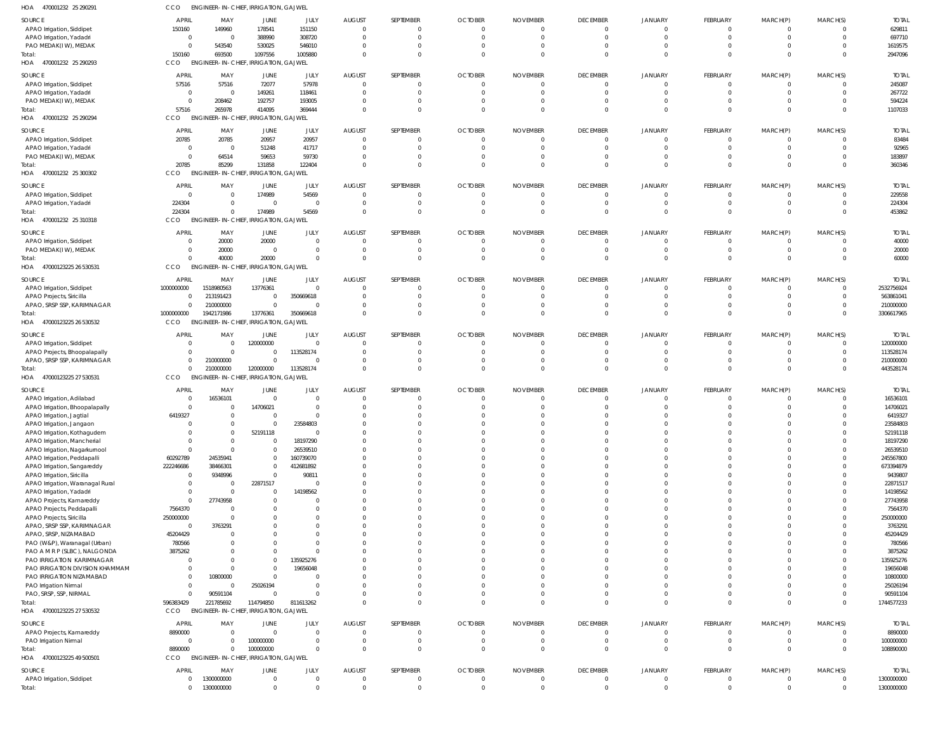| HOA<br>470001232 25 290291                                   | CCO               | <b>ENGINEER-IN-CHIEF, IRRIGATION, GAJWEL</b>        |                              |                                |                                |                            |                |                 |                               |                      |                            |                      |                                  |                      |
|--------------------------------------------------------------|-------------------|-----------------------------------------------------|------------------------------|--------------------------------|--------------------------------|----------------------------|----------------|-----------------|-------------------------------|----------------------|----------------------------|----------------------|----------------------------------|----------------------|
| SOURCE                                                       | APRIL             | MAY                                                 | JUNE                         | JULY                           | <b>AUGUST</b>                  | SEPTEMBER                  | <b>OCTOBER</b> | <b>NOVEMBER</b> | <b>DECEMBER</b>               | <b>JANUARY</b>       | FEBRUARY                   | MARCH(P)             | MARCH(S)                         | <b>TOTAL</b>         |
| APAO Irrigation, Siddipet                                    | 150160            | 149960                                              | 178541                       | 151150                         | $\Omega$                       | $\Omega$                   | $\Omega$       | 0               | $\mathbf 0$                   | $\overline{0}$       | $\Omega$                   | $\Omega$             | $\overline{0}$                   | 629811               |
| APAO Irrigation, Yadadri                                     | $\Omega$          | $\Omega$                                            | 388990                       | 308720                         | $\Omega$                       | $\Omega$                   | $\Omega$       | $\Omega$        | $\overline{0}$                | $\mathbf{0}$         | $\Omega$                   | $\Omega$             | $\overline{0}$                   | 697710               |
| PAO MEDAK(IW), MEDAK                                         | $\Omega$          | 543540                                              | 530025                       | 546010                         | $\Omega$                       | $\Omega$                   |                |                 | 0                             | 0                    | $\Omega$                   | $\Omega$             | $\overline{0}$                   | 1619575              |
| Total:                                                       | 150160            | 693500                                              | 1097556                      | 1005880                        | $\Omega$                       | $\Omega$                   |                |                 | $\Omega$                      | $\Omega$             | $\Omega$                   | $\Omega$             | $\overline{0}$                   | 2947096              |
| HOA 470001232 25 290293                                      | CCO               | <b>ENGINEER-IN-CHIEF,</b>                           |                              | <b>IRRIGATION, GAJWEL</b>      |                                |                            |                |                 |                               |                      |                            |                      |                                  |                      |
| SOURCE                                                       | APRIL             | MAY                                                 | JUNE                         | JULY                           | <b>AUGUST</b>                  | SEPTEMBER                  | <b>OCTOBER</b> | <b>NOVEMBER</b> | <b>DECEMBER</b>               | JANUARY              | FEBRUARY                   | MARCH(P)             | MARCH(S)                         | <b>TOTAL</b>         |
| APAO Irrigation, Siddipet                                    | 57516             | 57516                                               | 72077                        | 57978                          | $\mathbf{0}$                   | $\Omega$                   | 0              | $\Omega$        | $\overline{0}$                | $\overline{0}$       | $\Omega$                   | $\Omega$             | $\overline{0}$                   | 245087               |
| APAO Irrigation, Yadadri                                     | - 0               | $\overline{0}$                                      | 149261                       | 118461                         | $\Omega$                       | $\Omega$                   | 0              | 0               | $\mathbf{0}$                  | 0                    | $\Omega$                   | $\Omega$             | $\overline{0}$                   | 267722               |
| PAO MEDAK(IW), MEDAK                                         | $\Omega$          | 208462                                              | 192757                       | 193005                         | $\Omega$                       | $\Omega$                   |                |                 | 0                             | 0                    | $\Omega$                   | $\Omega$             | $\Omega$                         | 594224               |
| Total:                                                       | 57516             | 265978                                              | 414095                       | 369444                         | $\Omega$                       | $\Omega$                   |                |                 | $\Omega$                      | $\mathbf{0}$         | $\Omega$                   | $\Omega$             | $\overline{0}$                   | 1107033              |
| HOA<br>470001232 25 290294                                   | CCO               | ENGINEER-IN-CHIEF, IRRIGATION, GAJWEL               |                              |                                |                                |                            |                |                 |                               |                      |                            |                      |                                  |                      |
| SOURCE                                                       | APRIL             | MAY                                                 | JUNE                         | JULY                           | <b>AUGUST</b>                  | SEPTEMBER                  | <b>OCTOBER</b> | <b>NOVEMBER</b> | <b>DECEMBER</b>               | <b>JANUARY</b>       | FEBRUARY                   | MARCH(P)             | MARCH(S)                         | <b>TOTAL</b>         |
| APAO Irrigation, Siddipet                                    | 20785             | 20785                                               | 20957                        | 20957                          | $\overline{0}$                 | - 0                        |                |                 | $\mathbf 0$                   | 0                    | $\Omega$                   |                      | $\Omega$                         | 83484                |
| APAO Irrigation, Yadadri                                     | $\Omega$          | $\overline{\mathbf{0}}$                             | 51248                        | 41717                          | $\Omega$                       | $\Omega$                   |                |                 | $\mathbf{0}$                  | $\Omega$             | $\Omega$                   | $\Omega$             | $\overline{0}$                   | 92965                |
| PAO MEDAK(IW), MEDAK                                         |                   | 64514                                               | 59653                        | 59730                          | $\Omega$                       | $\Omega$                   |                |                 | 0                             | $\Omega$             | $\Omega$                   | $\Omega$             | $\Omega$                         | 183897               |
| Total:                                                       | 20785             | 85299                                               | 131858                       | 122404                         | $\Omega$                       | $\Omega$                   |                |                 | $\Omega$                      | $\mathbf{0}$         | $\Omega$                   | $\Omega$             | $\Omega$                         | 360346               |
| HOA 470001232 25 300302                                      | CCO               | <b>ENGINEER-IN-CHIEF,</b>                           |                              | <b>IRRIGATION, GAJWEL</b>      |                                |                            |                |                 |                               |                      |                            |                      |                                  |                      |
| SOURCE                                                       | <b>APRIL</b>      | MAY                                                 | JUNE                         | JULY                           | <b>AUGUST</b>                  | SEPTEMBER                  | <b>OCTOBER</b> | <b>NOVEMBER</b> | <b>DECEMBER</b>               | JANUARY              | FEBRUARY                   | MARCH(P)             | MARCH(S)                         | <b>TOTAL</b>         |
| APAO Irrigation, Siddipet                                    | - 0               | $\Omega$                                            | 174989                       | 54569                          | $\overline{0}$                 | $\Omega$                   | 0              |                 | $\overline{0}$                | 0                    | $\Omega$                   | $\Omega$             | $\overline{0}$                   | 229558               |
| APAO Irrigation, Yadadri                                     | 224304            | $\Omega$                                            | $\overline{0}$               | $\overline{0}$                 | $\Omega$                       | $\Omega$                   | $\Omega$       | 0               | $\overline{0}$                | 0                    | $\Omega$                   | $\Omega$             | $\overline{0}$                   | 224304               |
| Total:                                                       | 224304            | $\Omega$                                            | 174989                       | 54569                          | $\Omega$                       | $\Omega$                   |                |                 | $\mathbf 0$                   | $\mathbf{0}$         | $\Omega$                   | $\Omega$             | $\Omega$                         | 453862               |
| HOA<br>470001232 25 310318                                   | CCO               | ENGINEER-IN-CHIEF, IRRIGATION, GAJWEL               |                              |                                |                                |                            |                |                 |                               |                      |                            |                      |                                  |                      |
|                                                              |                   |                                                     |                              |                                |                                |                            |                |                 |                               |                      |                            |                      |                                  |                      |
| SOURCE                                                       | <b>APRIL</b>      | MAY                                                 | JUNE                         | JULY                           | <b>AUGUST</b>                  | SEPTEMBER                  | <b>OCTOBER</b> | <b>NOVEMBER</b> | <b>DECEMBER</b>               | <b>JANUARY</b>       | FEBRUARY                   | MARCH(P)             | MARCH(S)                         | <b>TOTAL</b>         |
| APAO Irrigation, Siddipet<br>PAO MEDAK(IW), MEDAK            | $\Omega$          | 20000<br>20000                                      | 20000<br>$\overline{0}$      | $\overline{0}$<br>$\mathbf 0$  | $\overline{0}$<br>$\mathbf{0}$ | $\Omega$<br>$\overline{0}$ | 0<br>$\Omega$  |                 | $\mathbf 0$<br>$\overline{0}$ | 0<br>0               | $\Omega$<br>$\overline{0}$ | $\overline{0}$       | $\overline{0}$<br>$\overline{0}$ | 40000<br>20000       |
| Total:                                                       |                   | 40000                                               | 20000                        | $\mathbf 0$                    | $\Omega$                       | $\Omega$                   |                |                 | $\Omega$                      | $\Omega$             | $\Omega$                   | $\Omega$             | $\Omega$                         | 60000                |
| HOA<br>47000123225 26 530531                                 | CCO               | <b>ENGINEER-IN-CHIEF, IRRIGATION, GAJWEL</b>        |                              |                                |                                |                            |                |                 |                               |                      |                            |                      |                                  |                      |
|                                                              |                   |                                                     |                              |                                |                                |                            |                |                 |                               |                      |                            |                      |                                  |                      |
| SOURCE                                                       | <b>APRIL</b>      | MAY                                                 | JUNE                         | JULY                           | <b>AUGUST</b>                  | SEPTEMBER                  | <b>OCTOBER</b> | <b>NOVEMBER</b> | <b>DECEMBER</b>               | <b>JANUARY</b>       | FEBRUARY                   | MARCH(P)             | MARCH(S)                         | <b>TOTAI</b>         |
| APAO Irrigation, Siddipet                                    | 1000000000        | 1518980563                                          | 13776361                     | $\mathbf{0}$                   | $\overline{0}$                 | $\Omega$                   | $\Omega$       | $\Omega$        | $\overline{0}$                | $\overline{0}$       | $\Omega$                   | $\Omega$             | $\overline{0}$                   | 2532756924           |
| APAO Projects, Siricilla                                     | $\Omega$          | 213191423                                           | $\mathbf{0}$                 | 350669618                      | $\Omega$                       | $\Omega$                   | 0              |                 | $\mathbf{0}$                  | 0                    | $\Omega$                   | $\Omega$             | $\overline{0}$                   | 563861041            |
| APAO, SRSP SSP, KARIMNAGAR                                   | $\Omega$          | 210000000                                           | $\mathbf 0$                  | $\overline{0}$                 | $\Omega$<br>$\Omega$           | $\Omega$<br>$\Omega$       |                |                 | 0                             | 0                    | $\Omega$                   | $\Omega$<br>$\Omega$ | $\Omega$                         | 210000000            |
| Total:<br>HOA<br>47000123225 26 530532                       | 1000000000<br>CCO | 1942171986<br>ENGINEER-IN-CHIEF, IRRIGATION, GAJWEL | 13776361                     | 350669618                      |                                |                            |                |                 | $\Omega$                      | $\mathbf{0}$         | $\Omega$                   |                      | $\Omega$                         | 3306617965           |
|                                                              |                   |                                                     |                              |                                |                                |                            |                |                 |                               |                      |                            |                      |                                  |                      |
| SOURCE                                                       | <b>APRIL</b>      | MAY                                                 | <b>JUNE</b>                  | <b>JULY</b>                    | <b>AUGUST</b>                  | SEPTEMBER                  | <b>OCTOBER</b> | <b>NOVEMBER</b> | <b>DECEMBER</b>               | <b>JANUARY</b>       | FEBRUARY                   | MARCH(P)             | MARCH(S)                         | <b>TOTAL</b>         |
| APAO Irrigation, Siddipet                                    |                   | $\Omega$                                            | 120000000                    | $\mathbf 0$                    | $\Omega$                       | $\Omega$                   |                |                 | $\mathbf{0}$                  | 0                    | $\Omega$                   |                      | $\Omega$                         | 120000000            |
| APAO Projects, Bhoopalapally                                 | $\Omega$          | $\overline{0}$                                      | $\mathbf{0}$                 | 113528174                      | $\Omega$                       | $\Omega$                   |                |                 | $\mathbf{0}$                  | $\mathbf{0}$         | $\Omega$                   | $\Omega$             | $\overline{0}$                   | 113528174            |
| APAO, SRSP SSP, KARIMNAGAR                                   |                   | 210000000                                           | $\mathbf 0$                  | $\mathbf 0$                    | $\Omega$                       | $\Omega$                   |                |                 | 0                             | 0                    | $\Omega$                   | $\Omega$             | $\Omega$                         | 210000000            |
| Total:                                                       | $\Omega$          | 210000000                                           | 120000000                    | 113528174                      | $\Omega$                       | $\Omega$                   |                |                 | $\mathbf{0}$                  | $\mathbf{0}$         | $\Omega$                   | $\Omega$             | $\Omega$                         | 443528174            |
| HOA<br>47000123225 27 530531                                 | CCO               | <b>ENGINEER-IN-CHIEF, IRRIGATION, GAJWEL</b>        |                              |                                |                                |                            |                |                 |                               |                      |                            |                      |                                  |                      |
| SOURCE                                                       | <b>APRIL</b>      | MAY                                                 | JUNE                         | JULY                           | <b>AUGUST</b>                  | SEPTEMBER                  | <b>OCTOBER</b> | <b>NOVEMBER</b> | <b>DECEMBER</b>               | JANUARY              | FEBRUARY                   | MARCH(P)             | MARCH(S)                         | <b>TOTAL</b>         |
| APAO Irrigation, Adilabad                                    |                   | 16536101                                            | $\mathbf{0}$                 | $\overline{0}$                 | $\overline{0}$                 | $\Omega$                   |                |                 | $\mathbf{0}$                  | 0                    |                            |                      | $\Omega$                         | 16536101             |
| APAO Irrigation, Bhoopalapally                               | $\Omega$          | $\Omega$                                            | 14706021                     | $\overline{0}$                 | $\Omega$                       | $\Omega$                   | <sup>0</sup>   |                 | $\mathbf{0}$                  | $\Omega$             | $\Omega$                   | $\Omega$             | $\Omega$                         | 14706021             |
| APAO Irrigation, Jagtial                                     | 6419327           | $\Omega$                                            | 0                            | $\overline{0}$                 | $\Omega$                       | $\Omega$                   |                |                 | -0                            | 0                    |                            | $\cap$               |                                  | 6419327              |
| APAO Irrigation, Jangaon                                     | $\cap$            | $\Omega$                                            | $\mathbf{0}$                 | 23584803                       | $\Omega$                       | $\Omega$                   |                |                 | $\Omega$                      | $\Omega$             | $\Omega$                   | $\Omega$             | $\Omega$                         | 23584803             |
| APAO Irrigation, Kothagudem                                  |                   | $\Omega$                                            | 52191118                     | $\Omega$                       |                                |                            |                |                 |                               |                      |                            |                      |                                  | 52191118             |
| APAO Irrigation, Mancherial                                  | $\Omega$          | $\Omega$<br>$\Omega$                                | $\mathbf{0}$<br>$\mathbf{0}$ | 18197290<br>26539510           | $\Omega$<br>$\Omega$           | $\Omega$<br>$\Omega$       |                |                 | $\Omega$<br>$\Omega$          | $\Omega$<br>$\Omega$ | $\Omega$<br>$\Omega$       | $\cap$<br>$\Omega$   | C<br>$\Omega$                    | 18197290<br>26539510 |
| APAO Irrigation, Nagarkurnool<br>APAO Irrigation, Peddapalli | 60292789          | 24535941                                            | $\mathbf{0}$                 | 160739070                      | $\Omega$                       | $\Omega$                   |                |                 | $\Omega$                      | $\Omega$             | $\Omega$                   | $\Omega$             | C                                | 245567800            |
| APAO Irrigation, Sangareddy                                  | 222246686         | 38466301                                            | $\mathbf{0}$                 | 412681892                      | $\Omega$                       | $\cap$                     |                |                 | $\Omega$                      | $\Omega$             | $\cap$                     | $\cap$               | $\Omega$                         | 673394879            |
| APAO Irrigation, Siricilla                                   | - 0               | 9348996                                             | $\mathbf{0}$                 | 90811                          |                                | $\Omega$                   |                |                 | $\Omega$                      | $\Omega$             | $\Omega$                   | $\Omega$             | C                                | 9439807              |
| APAO Irrigation, Waranagal Rural                             | - 0               | $\Omega$                                            | 22871517                     | 0                              |                                | $\Omega$                   |                |                 | $\Omega$                      | $\Omega$             | $\cap$                     | $\Omega$             | -C                               | 22871517             |
| APAO Irrigation, Yadadri                                     | $\Omega$          | $\overline{0}$                                      | $\overline{0}$               | 14198562                       |                                | $\Omega$                   |                |                 | $\Omega$                      | $\Omega$             | $\Omega$                   | $\Omega$             |                                  | 14198562             |
| APAO Projects, Kamareddy                                     | $\Omega$          | 27743958                                            | $\mathbf{0}$                 | 0                              |                                | $\Omega$                   |                |                 | $\Omega$                      | $\Omega$             | $\cap$                     | $\Omega$             | -C                               | 27743958             |
| APAO Projects, Peddapalli                                    | 7564370           | $\Omega$                                            | $\Omega$                     | $\overline{0}$                 |                                | $\cap$                     |                |                 | $\Omega$                      | $\Omega$             | $\Omega$                   | $\Omega$             | C                                | 7564370              |
| APAO Projects, Siricilla                                     | 250000000         | $\Omega$                                            | $\Omega$                     | $^{\circ}$                     |                                | $\Omega$                   |                |                 | $\Omega$                      | $\Omega$             |                            | $\Omega$             | $\Omega$                         | 250000000            |
| APAO, SRSP SSP, KARIMNAGAR                                   | 0                 | 3763291                                             |                              | 0                              |                                | $\cap$                     |                |                 | $\Omega$                      | $\Omega$             | $\cap$                     | $\cap$               | -C                               | 3763291              |
| APAO, SRSP, NIZAMABAD                                        | 45204429          |                                                     | $\Omega$                     | $\mathbf 0$                    |                                | $\Omega$                   |                |                 | $\Omega$                      | $\Omega$             | $\Omega$                   | $\Omega$             | C                                | 45204429             |
| PAO (W&P), Waranagal (Urban)                                 | 780566            | <sup>0</sup>                                        | $\Omega$                     | $\mathbf 0$                    |                                | $\cap$                     |                |                 | $\Omega$                      | $\Omega$             | $\cap$                     | $\Omega$             | -C                               | 780566               |
| PAO A M R P (SLBC), NALGONDA                                 | 3875262           | $\Omega$                                            | $\mathbf{0}$                 | $\overline{0}$                 |                                | $\cap$                     |                |                 | $\Omega$                      | $\Omega$             |                            | $\Omega$             | $\Omega$                         | 3875262              |
| PAO IRRIGATION KARIMNAGAR                                    |                   | $\Omega$                                            | $\mathbf{0}$                 | 135925276                      |                                | $\Omega$                   |                |                 | $\Omega$                      | 0                    |                            | $\Omega$             | C                                | 135925276            |
| PAO IRRIGATION DIVISION KHAMMAM                              | $\Omega$          | $\Omega$                                            | $\mathbf{0}$                 | 19656048                       |                                | $\Omega$                   |                |                 | $\Omega$                      | $\Omega$             |                            | $\Omega$             | C                                | 19656048             |
| PAO IRRIGATION NIZAMABAD                                     | $\Omega$          | 10800000                                            | $\mathbf{0}$                 | $\overline{0}$                 |                                | $\Omega$<br>$\cap$         |                |                 | $\Omega$                      | 0                    |                            | $\Omega$<br>$\cap$   |                                  | 10800000             |
| PAO Irrigation Nirmal<br>PAO, SRSP, SSP, NIRMAL              | $\Omega$          | $\Omega$<br>90591104                                | 25026194<br>$\mathbf{0}$     | $\overline{0}$<br>$\mathbf{0}$ | $\Omega$<br>$\Omega$           | $\Omega$                   |                |                 | $\Omega$<br>0                 | $\Omega$<br>0        | $\Omega$                   | $\Omega$             | C<br>$\Omega$                    | 25026194<br>90591104 |
| Total:                                                       | 596383429         | 221785692                                           | 114794850                    | 811613262                      | $\Omega$                       | $\Omega$                   |                |                 | $\Omega$                      | $\overline{0}$       | $\Omega$                   | $\Omega$             | $\Omega$                         | 1744577233           |
| 47000123225 27 530532<br>HOA                                 | CCO               | ENGINEER-IN-CHIEF, IRRIGATION, GAJWEL               |                              |                                |                                |                            |                |                 |                               |                      |                            |                      |                                  |                      |
|                                                              |                   |                                                     |                              |                                |                                |                            |                |                 |                               |                      |                            |                      |                                  |                      |
| SOURCE                                                       | APRIL             | MAY                                                 | JUNE                         | <b>JULY</b>                    | <b>AUGUST</b>                  | SEPTEMBER                  | <b>OCTOBER</b> | <b>NOVEMBER</b> | <b>DECEMBER</b>               | <b>JANUARY</b>       | FEBRUARY                   | MARCH(P)             | MARCH(S)                         | <b>TOTAL</b>         |
| APAO Projects, Kamareddy                                     | 8890000           | $\Omega$                                            | $\mathbf{0}$                 | $\overline{0}$                 | $\overline{0}$                 | $\Omega$                   | 0              |                 | $\overline{0}$                | $\overline{0}$       | $\Omega$                   | $\Omega$             | $\Omega$                         | 8890000              |
| PAO Irrigation Nirmal                                        | $\Omega$          | $\Omega$                                            | 100000000                    | $\overline{0}$                 | $\mathbf{0}$                   | $\overline{0}$             | 0              |                 | $\overline{0}$                | 0                    | $\overline{0}$             | $\overline{0}$       | $\overline{0}$                   | 100000000            |
| Total:                                                       | 8890000           | $\Omega$                                            | 100000000                    | $\mathbf 0$                    | $\Omega$                       | $\Omega$                   | $\Omega$       |                 | $\Omega$                      | $\Omega$             | $\Omega$                   | $\Omega$             | $\Omega$                         | 108890000            |
| 47000123225 49 500501<br>HOA                                 | CCO               | ENGINEER-IN-CHIEF, IRRIGATION, GAJWEL               |                              |                                |                                |                            |                |                 |                               |                      |                            |                      |                                  |                      |
| SOURCE                                                       | APRIL             | MAY                                                 | <b>JUNE</b>                  | JULY                           | <b>AUGUST</b>                  | SEPTEMBER                  | <b>OCTOBER</b> | <b>NOVEMBER</b> | <b>DECEMBER</b>               | <b>JANUARY</b>       | FEBRUARY                   | MARCH(P)             | MARCH(S)                         | <b>TOTAL</b>         |
| APAO Irrigation, Siddipet                                    |                   | 1300000000                                          | $\overline{0}$               | $\mathbf{0}$                   | $\mathbf 0$                    | $\Omega$                   | 0              |                 | $\overline{0}$                | $\overline{0}$       | $\overline{0}$             | $\Omega$             | $\overline{0}$                   | 1300000000           |
| Total:                                                       | $\mathbf{0}$      | 1300000000                                          | $\mathbf{0}$                 | $\overline{0}$                 | $\mathbf 0$                    | $\Omega$                   | $\mathbf 0$    | $\Omega$        | $\overline{0}$                | $\mathbf{0}$         | $\Omega$                   | $\Omega$             | $\mathbf 0$                      | 1300000000           |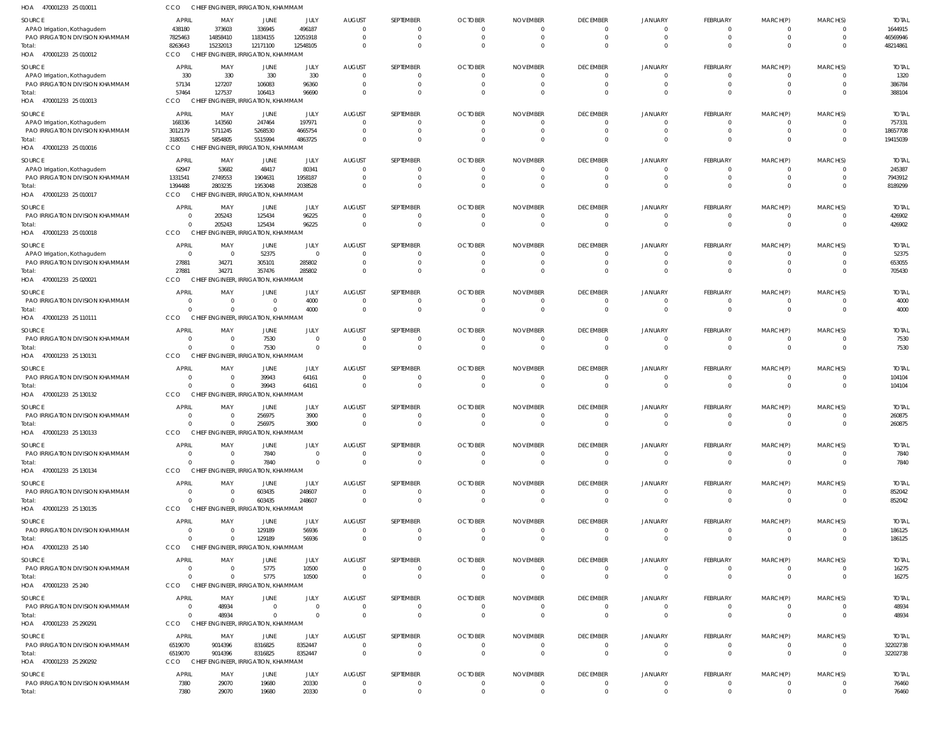| HOA<br>470001233 25 010011                                     | CCO                              | CHIEF ENGINEER, IRRIGATION, KHAMMAM             |                                         |                                  |                            |                                |                            |                      |                                   |                                  |                                  |                                  |                                  |                         |
|----------------------------------------------------------------|----------------------------------|-------------------------------------------------|-----------------------------------------|----------------------------------|----------------------------|--------------------------------|----------------------------|----------------------|-----------------------------------|----------------------------------|----------------------------------|----------------------------------|----------------------------------|-------------------------|
| SOURCE<br>APAO Irrigation, Kothagudem                          | <b>APRIL</b><br>438180           | MAY<br>373603                                   | JUNE<br>336945                          | JULY<br>496187                   | <b>AUGUST</b><br>$\Omega$  | SEPTEMBER<br>$\mathbf{0}$      | <b>OCTOBER</b><br>$\Omega$ | <b>NOVEMBER</b>      | <b>DECEMBER</b><br>$\overline{0}$ | JANUARY<br>$\overline{0}$        | FEBRUARY<br>$\mathbf{0}$         | MARCH(P)<br>$\mathbf{0}$         | MARCH(S)<br>$\overline{0}$       | <b>TOTAL</b><br>1644915 |
| PAO IRRIGATION DIVISION KHAMMAM                                | 7825463                          | 14858410                                        | 11834155                                | 12051918                         | $\Omega$                   | $\mathbf 0$                    | $\Omega$                   | $\Omega$             | $\overline{0}$                    | $\overline{0}$                   | $\overline{0}$                   | $\mathbf{0}$                     | $\overline{0}$                   | 46569946                |
| Total:<br>HOA 470001233 25 010012                              | 8263643<br>CCO                   | 15232013<br>CHIEF ENGINEER, IRRIGATION, KHAMMAM | 12171100                                | 12548105                         | $\Omega$                   | $\mathbf{0}$                   | - 0                        |                      | $\Omega$                          | $\Omega$                         | $\mathbf{0}$                     | $\mathbf 0$                      | $\overline{0}$                   | 48214861                |
| SOURCE                                                         | <b>APRIL</b>                     | MAY                                             | JUNE                                    | JULY                             | <b>AUGUST</b>              | SEPTEMBER                      | <b>OCTOBER</b>             | <b>NOVEMBER</b>      | <b>DECEMBER</b>                   | <b>JANUARY</b>                   | FEBRUARY                         | MARCH(P)                         | MARCH(S)                         | <b>TOTAL</b>            |
| APAO Irrigation, Kothagudem                                    | 330                              | 330                                             | 330                                     | 330                              |                            | 0                              |                            |                      | $\mathbf{0}$                      | $\Omega$                         | $\mathbf{0}$                     | $\mathbf{0}$                     | $\Omega$                         | 1320                    |
| PAO IRRIGATION DIVISION KHAMMAM                                | 57134                            | 127207                                          | 106083                                  | 96360                            | - 0                        | $\mathbf{0}$                   |                            |                      | $\Omega$                          | $\Omega$                         | $\overline{0}$                   | $\overline{0}$                   | $\overline{0}$                   | 386784                  |
| Total:<br>HOA<br>470001233 25 010013                           | 57464<br><b>CCO</b>              | 127537<br><b>CHIEF</b>                          | 106413<br>ENGINEER, IRRIGATION, KHAMMAM | 96690                            |                            | $\mathbf{0}$                   |                            |                      | $\Omega$                          |                                  | $\mathbf 0$                      | $\overline{0}$                   | $\Omega$                         | 388104                  |
| SOURCE                                                         | <b>APRIL</b>                     | MAY                                             | JUNE                                    | JULY                             | <b>AUGUST</b>              | SEPTEMBER                      | <b>OCTOBER</b>             | <b>NOVEMBER</b>      | <b>DECEMBER</b>                   | JANUARY                          | FEBRUARY                         | MARCH(P)                         | MARCH(S)                         | <b>TOTAL</b>            |
| APAO Irrigation, Kothagudem                                    | 168336                           | 143560                                          | 247464                                  | 197971                           |                            | $\mathbf{0}$                   |                            |                      | $\Omega$                          | $\Omega$                         | $\mathbf{0}$                     | 0                                | $\Omega$                         | 757331                  |
| PAO IRRIGATION DIVISION KHAMMAM<br>Total:                      | 3012179<br>3180515               | 5711245<br>5854805                              | 5268530<br>5515994                      | 4665754<br>4863725               | $\Omega$<br>$\Omega$       | $\mathbf{0}$<br>$\mathbf 0$    |                            |                      | $\Omega$<br>$\Omega$              | $\Omega$                         | $\mathbf{0}$<br>$\mathbf 0$      | $\mathbf{0}$<br>$\mathbf 0$      | $\overline{0}$<br>$\Omega$       | 18657708<br>19415039    |
| HOA<br>470001233 25 010016                                     | <b>CCO</b>                       | CHIEF ENGINEER, IRRIGATION, KHAMMAM             |                                         |                                  |                            |                                |                            |                      |                                   |                                  |                                  |                                  |                                  |                         |
| SOURCE                                                         | <b>APRIL</b>                     | MAY                                             | JUNE                                    | JULY                             | <b>AUGUST</b>              | SEPTEMBER                      | <b>OCTOBER</b>             | <b>NOVEMBER</b>      | <b>DECEMBER</b>                   | <b>JANUARY</b>                   | FEBRUARY                         | MARCH(P)                         | MARCH(S)                         | <b>TOTAL</b>            |
| APAO Irrigation, Kothagudem<br>PAO IRRIGATION DIVISION KHAMMAM | 62947<br>1331541                 | 53682<br>2749553                                | 48417<br>1904631                        | 80341<br>1958187                 | - 0                        | $\mathbf{0}$<br>$\mathbf{0}$   |                            |                      | $\overline{0}$<br>$\Omega$        | $\Omega$<br>$\Omega$             | $\overline{0}$<br>$\mathbf{0}$   | $\mathbf{0}$<br>$\mathbf{0}$     | $\overline{0}$<br>$\overline{0}$ | 245387<br>7943912       |
| Total                                                          | 1394488                          | 2803235                                         | 1953048                                 | 2038528                          |                            | $\mathbf{0}$                   |                            |                      | $\Omega$                          | $\Omega$                         | $\mathbf{0}$                     | $\mathbf 0$                      | $\overline{0}$                   | 8189299                 |
| HOA 470001233 25 010017                                        | CCO                              | CHIEF ENGINEER, IRRIGATION, KHAMMAM             |                                         |                                  |                            |                                |                            |                      |                                   |                                  |                                  |                                  |                                  |                         |
| SOURCE                                                         | <b>APRIL</b>                     | MAY                                             | JUNE                                    | JULY                             | <b>AUGUST</b>              | SEPTEMBER                      | <b>OCTOBER</b>             | <b>NOVEMBER</b>      | <b>DECEMBER</b>                   | JANUARY<br>$\Omega$              | FEBRUARY                         | MARCH(P)                         | MARCH(S)                         | <b>TOTAL</b>            |
| PAO IRRIGATION DIVISION KHAMMAM<br>Total                       | $\overline{0}$<br>$\Omega$       | 205243<br>205243                                | 125434<br>125434                        | 96225<br>96225                   | $\Omega$<br>$\Omega$       | $\mathbf{0}$<br>$\mathbf 0$    | - 0<br>$\Omega$            | $\Omega$             | $\overline{0}$<br>$\Omega$        | $\Omega$                         | $\mathbf{0}$<br>$\mathbf{0}$     | $\mathbf{0}$<br>$\mathbf{0}$     | $\overline{0}$<br>$\overline{0}$ | 426902<br>426902        |
| HOA<br>470001233 25 010018                                     | CCO                              | <b>CHIEF</b>                                    | ENGINEER, IRRIGATION, KHAMMAM           |                                  |                            |                                |                            |                      |                                   |                                  |                                  |                                  |                                  |                         |
| SOURCE                                                         | <b>APRIL</b>                     | MAY                                             | JUNE                                    | JULY                             | <b>AUGUST</b>              | SEPTEMBER                      | <b>OCTOBER</b>             | <b>NOVEMBER</b>      | <b>DECEMBER</b>                   | JANUARY                          | FEBRUARY                         | MARCH(P)                         | MARCH(S)                         | <b>TOTAL</b>            |
| APAO Irrigation, Kothagudem<br>PAO IRRIGATION DIVISION KHAMMAM | $\overline{0}$<br>27881          | - 0<br>34271                                    | 52375<br>305101                         | $\overline{0}$<br>285802         | - 0                        | $\mathbf{0}$<br>$\mathbf{0}$   |                            |                      | $\overline{0}$<br>$\Omega$        | $\Omega$<br>$\Omega$             | $\overline{0}$<br>$\overline{0}$ | $\overline{0}$<br>$\overline{0}$ | $\overline{0}$<br>$\overline{0}$ | 52375<br>653055         |
| Total                                                          | 27881                            | 34271                                           | 357476                                  | 285802                           |                            | $\mathbf{0}$                   |                            |                      | $\Omega$                          | $\Omega$                         | $\mathbf 0$                      | $\mathbf 0$                      | $\Omega$                         | 705430                  |
| HOA 470001233 25 020021                                        | CCO                              | <b>CHIEF</b>                                    | ENGINEER, IRRIGATION, KHAMMAM           |                                  |                            |                                |                            |                      |                                   |                                  |                                  |                                  |                                  |                         |
| SOURCE<br>PAO IRRIGATION DIVISION KHAMMAM                      | <b>APRIL</b><br>$\overline{0}$   | MAY<br>0                                        | JUNE<br>$\Omega$                        | JULY<br>4000                     | <b>AUGUST</b><br>- 0       | SEPTEMBER<br>$\mathbf{0}$      | <b>OCTOBER</b>             | <b>NOVEMBER</b>      | <b>DECEMBER</b><br>$\mathbf{0}$   | JANUARY<br>$\Omega$              | FEBRUARY<br>$\mathbf{0}$         | MARCH(P)<br>$\mathbf{0}$         | MARCH(S)<br>$\overline{0}$       | <b>TOTAL</b><br>4000    |
| Total                                                          | $\Omega$                         | $\Omega$                                        | $\Omega$                                | 4000                             | $\Omega$                   | $\mathbf 0$                    | $\Omega$                   | $\Omega$             | $\overline{0}$                    | $\Omega$                         | $\mathbf{0}$                     | $\mathbf{0}$                     | $\overline{0}$                   | 4000                    |
| 470001233 25 110111<br>HOA                                     | CCO                              | CHIEF ENGINEER, IRRIGATION, KHAMMAM             |                                         |                                  |                            |                                |                            |                      |                                   |                                  |                                  |                                  |                                  |                         |
| SOURCE<br>PAO IRRIGATION DIVISION KHAMMAM                      | <b>APRIL</b><br>$\overline{0}$   | MAY<br>0                                        | JUNE<br>7530                            | JULY<br>$\overline{0}$           | <b>AUGUST</b><br>- 0       | SEPTEMBER<br>$\mathbf{0}$      | <b>OCTOBER</b>             | <b>NOVEMBER</b>      | <b>DECEMBER</b><br>$\overline{0}$ | <b>JANUARY</b><br>$\Omega$       | FEBRUARY<br>$\overline{0}$       | MARCH(P)<br>$\overline{0}$       | MARCH(S)<br>$\overline{0}$       | <b>TOTAL</b>            |
| Total:                                                         | $\Omega$                         | $\Omega$                                        | 7530                                    | $\overline{0}$                   | - 0                        | $\mathbf{0}$                   |                            |                      | $\overline{0}$                    | $\Omega$                         | $\overline{0}$                   | $\overline{0}$                   | $\Omega$                         | 7530<br>7530            |
| HOA 470001233 25 130131                                        | CCO                              | <b>CHIEF</b>                                    | ENGINEER, IRRIGATION, KHAMMAM           |                                  |                            |                                |                            |                      |                                   |                                  |                                  |                                  |                                  |                         |
| SOURCE                                                         | <b>APRIL</b>                     | MAY                                             | JUNE                                    | JULY                             | <b>AUGUST</b>              | SEPTEMBER                      | <b>OCTOBER</b>             | <b>NOVEMBER</b>      | <b>DECEMBER</b>                   | JANUARY                          | FEBRUARY                         | MARCH(P)                         | MARCH(S)                         | <b>TOTAL</b>            |
| PAO IRRIGATION DIVISION KHAMMAM<br>Total:                      | $\overline{0}$<br>$\Omega$       | $\overline{0}$<br>$\Omega$                      | 39943<br>39943                          | 64161<br>64161                   | $\Omega$<br>$\Omega$       | 0<br>$\mathbf 0$               | $\Omega$                   | $\Omega$             | $\mathbf{0}$<br>$\Omega$          | $\Omega$<br>$\Omega$             | 0<br>$\mathbf{0}$                | 0<br>$\mathbf{0}$                | $\overline{0}$<br>$\overline{0}$ | 104104<br>104104        |
| HOA 470001233 25 130132                                        | CCO                              | CHIEF ENGINEER, IRRIGATION, KHAMMAM             |                                         |                                  |                            |                                |                            |                      |                                   |                                  |                                  |                                  |                                  |                         |
| SOURCE                                                         | <b>APRIL</b>                     | MAY                                             | JUNE                                    | JULY                             | <b>AUGUST</b>              | SEPTEMBER                      | <b>OCTOBER</b>             | <b>NOVEMBER</b>      | <b>DECEMBER</b>                   | JANUARY                          | FEBRUARY                         | MARCH(P)                         | MARCH(S)                         | <b>TOTAL</b>            |
| PAO IRRIGATION DIVISION KHAMMAM<br>Total:                      | 0<br>$\Omega$                    | - 0<br>$\Omega$                                 | 256975<br>256975                        | 3900<br>3900                     | $\Omega$                   | 0<br>$\Omega$                  |                            |                      | $\Omega$<br>$\Omega$              | $\Omega$<br>$\Omega$             | $\mathbf{0}$<br>$\mathbf 0$      | 0<br>$\mathbf 0$                 | $\Omega$<br>$\Omega$             | 260875<br>260875        |
| HOA 470001233 25 130133                                        | CCO                              | CHIEF ENGINEER, IRRIGATION, KHAMMAM             |                                         |                                  |                            |                                |                            |                      |                                   |                                  |                                  |                                  |                                  |                         |
| <b>SOURCE</b>                                                  | <b>APRIL</b>                     | MAY                                             | <b>JUNE</b>                             | JULY                             | <b>AUGUST</b>              | SEPTEMBER                      | <b>OCTOBER</b>             | <b>NOVEMBER</b>      | <b>DECEMBER</b>                   | <b>JANUARY</b>                   | <b>FEBRUARY</b>                  | MARCH(P)                         | MARCH(S)                         | <b>TOTAL</b>            |
| PAO IRRIGATION DIVISION KHAMMAM<br>Total:                      | $\Omega$<br>$\Omega$             | $\Omega$<br>$\Omega$                            | 7840<br>7840                            | $\overline{0}$<br>$\overline{0}$ | $\Omega$<br>$\overline{0}$ | $\mathbf{0}$<br>$\overline{0}$ | $\Omega$<br>$\overline{0}$ | $\Omega$<br>$\Omega$ | $\overline{0}$<br>$\overline{0}$  | $\overline{0}$<br>$\overline{0}$ | $\overline{0}$<br>$\mathbf{0}$   | $\overline{0}$<br>$\mathbf{0}$   | $\overline{0}$<br>$\overline{0}$ | 7840<br>7840            |
| HOA 470001233 25 130134                                        | CCO                              | CHIEF ENGINEER, IRRIGATION, KHAMMAM             |                                         |                                  |                            |                                |                            |                      |                                   |                                  |                                  |                                  |                                  |                         |
| SOURCE                                                         | <b>APRIL</b>                     | MAY                                             | JUNE                                    | JULY                             | <b>AUGUST</b>              | SEPTEMBER                      | <b>OCTOBER</b>             | <b>NOVEMBER</b>      | <b>DECEMBER</b>                   | JANUARY                          | FEBRUARY                         | MARCH(P)                         | MARCH(S)                         | <b>TOTAL</b>            |
| PAO IRRIGATION DIVISION KHAMMAM<br>Total:                      | $\overline{0}$<br>$\overline{0}$ | $\overline{0}$<br>$\Omega$                      | 603435<br>603435                        | 248607<br>248607                 | $\Omega$<br>$\Omega$       | $\mathbf{0}$<br>$\mathbf{0}$   | - 0<br>- 0                 |                      | $\overline{0}$<br>$\Omega$        | $\overline{0}$<br>$\Omega$       | $\overline{0}$<br>$\mathbf{0}$   | $\overline{0}$<br>$\mathbf{0}$   | $\overline{0}$<br>$\overline{0}$ | 852042<br>852042        |
| HOA 470001233 25 130135                                        | CCO                              | CHIEF ENGINEER, IRRIGATION, KHAMMAM             |                                         |                                  |                            |                                |                            |                      |                                   |                                  |                                  |                                  |                                  |                         |
| SOURCE                                                         | <b>APRIL</b>                     | MAY                                             | JUNE                                    | JULY                             | <b>AUGUST</b>              | SEPTEMBER                      | <b>OCTOBER</b>             | <b>NOVEMBER</b>      | <b>DECEMBER</b>                   | JANUARY                          | FEBRUARY                         | MARCH(P)                         | MARCH(S)                         | <b>TOTAL</b>            |
| PAO IRRIGATION DIVISION KHAMMAM<br>Total:                      | $\overline{0}$<br>$\mathbf{0}$   | $\Omega$<br>$\mathbf 0$                         | 129189<br>129189                        | 56936<br>56936                   | $\Omega$<br>$\Omega$       | $\mathbf{0}$<br>$\overline{0}$ | $\Omega$<br>$\Omega$       | $\Omega$<br>$\Omega$ | $\overline{0}$<br>$\overline{0}$  | $\Omega$<br>$\Omega$             | $^{\circ}$<br>$\overline{0}$     | $\overline{0}$<br>$\mathbf{0}$   | $\overline{0}$<br>$\overline{0}$ | 186125<br>186125        |
| HOA 470001233 25 140                                           | CCO                              | CHIEF ENGINEER, IRRIGATION, KHAMMAM             |                                         |                                  |                            |                                |                            |                      |                                   |                                  |                                  |                                  |                                  |                         |
| SOURCE                                                         | <b>APRIL</b>                     | MAY                                             | JUNE                                    | JULY                             | <b>AUGUST</b>              | SEPTEMBER                      | <b>OCTOBER</b>             | <b>NOVEMBER</b>      | <b>DECEMBER</b>                   | JANUARY                          | <b>FEBRUARY</b>                  | MARCH(P)                         | MARCH(S)                         | <b>TOTAL</b>            |
| PAO IRRIGATION DIVISION KHAMMAM                                | $\overline{0}$                   | $\overline{0}$                                  | 5775                                    | 10500                            | $\Omega$                   | $\mathbf{0}$                   |                            |                      | $\overline{0}$                    | $\overline{0}$                   | $\mathbf 0$                      | $\overline{0}$                   | $\overline{0}$                   | 16275                   |
| Total:<br>HOA 470001233 25 240                                 | $\Omega$<br>CCO                  | $\Omega$<br>CHIEF ENGINEER, IRRIGATION, KHAMMAM | 5775                                    | 10500                            | $\Omega$                   | $\mathbf{0}$                   | $\Omega$                   |                      | $\overline{0}$                    | $\Omega$                         | $\mathbf{0}$                     | $\mathbf{0}$                     | $\overline{0}$                   | 16275                   |
| SOURCE                                                         | <b>APRIL</b>                     | MAY                                             | JUNE                                    | JULY                             | <b>AUGUST</b>              | SEPTEMBER                      | <b>OCTOBER</b>             | <b>NOVEMBER</b>      | <b>DECEMBER</b>                   | JANUARY                          | FEBRUARY                         | MARCH(P)                         | MARCH(S)                         | <b>TOTAL</b>            |
| PAO IRRIGATION DIVISION KHAMMAM                                | $\overline{0}$                   | 48934                                           | $\Omega$                                | $\overline{0}$                   | $\Omega$                   | $\mathbf{0}$                   | $\Omega$                   | $\Omega$             | $\overline{0}$                    | $\overline{0}$                   | $\overline{0}$                   | $\overline{0}$                   | $\overline{0}$                   | 48934                   |
| Total:<br>HOA 470001233 25 290291                              | $\Omega$<br>CCO                  | 48934<br>CHIEF ENGINEER, IRRIGATION, KHAMMAM    | $\Omega$                                | $\Omega$                         | $\Omega$                   | $\overline{0}$                 | $\Omega$                   | $\Omega$             | $\overline{0}$                    | $\Omega$                         | $\mathbf{0}$                     | $\mathbf{0}$                     | $\overline{0}$                   | 48934                   |
| SOURCE                                                         | <b>APRIL</b>                     | MAY                                             | JUNE                                    | JULY                             | <b>AUGUST</b>              | SEPTEMBER                      | <b>OCTOBER</b>             | <b>NOVEMBER</b>      | <b>DECEMBER</b>                   | JANUARY                          | FEBRUARY                         | MARCH(P)                         | MARCH(S)                         | <b>TOTAL</b>            |
| PAO IRRIGATION DIVISION KHAMMAM                                | 6519070                          | 9014396                                         | 8316825                                 | 8352447                          | $\Omega$                   | $\mathbf{0}$                   | $\Omega$                   | $\Omega$             | $\overline{0}$                    | $\overline{0}$                   | $\overline{0}$                   | $\overline{0}$                   | $\overline{0}$                   | 32202738                |
| Total:<br>HOA 470001233 25 290292                              | 6519070<br>CCO                   | 9014396<br>CHIEF ENGINEER, IRRIGATION, KHAMMAM  | 8316825                                 | 8352447                          | $\Omega$                   | $\overline{0}$                 | $\Omega$                   | $\Omega$             | $\overline{0}$                    | $\Omega$                         | $\mathbf{0}$                     | $\overline{0}$                   | $\overline{0}$                   | 32202738                |
| SOURCE                                                         | <b>APRIL</b>                     | MAY                                             | JUNE                                    | JULY                             | <b>AUGUST</b>              | SEPTEMBER                      | <b>OCTOBER</b>             | <b>NOVEMBER</b>      | <b>DECEMBER</b>                   | JANUARY                          | FEBRUARY                         | MARCH(P)                         | MARCH(S)                         | <b>TOTAL</b>            |
| PAO IRRIGATION DIVISION KHAMMAM                                | 7380                             | 29070                                           | 19680                                   | 20330                            | $\overline{0}$             | $\mathbf{0}$                   | $\Omega$                   | $\Omega$             | $\overline{0}$                    | $\overline{0}$                   | $\mathbf 0$                      | $\overline{0}$                   | $\overline{0}$                   | 76460                   |
| Total:                                                         | 7380                             | 29070                                           | 19680                                   | 20330                            | $\Omega$                   | $\mathbf{0}$                   | $\Omega$                   | $\Omega$             | $\overline{0}$                    | $\overline{0}$                   | $\mathbf{0}$                     | $\mathbf{0}$                     | $\mathbf{0}$                     | 76460                   |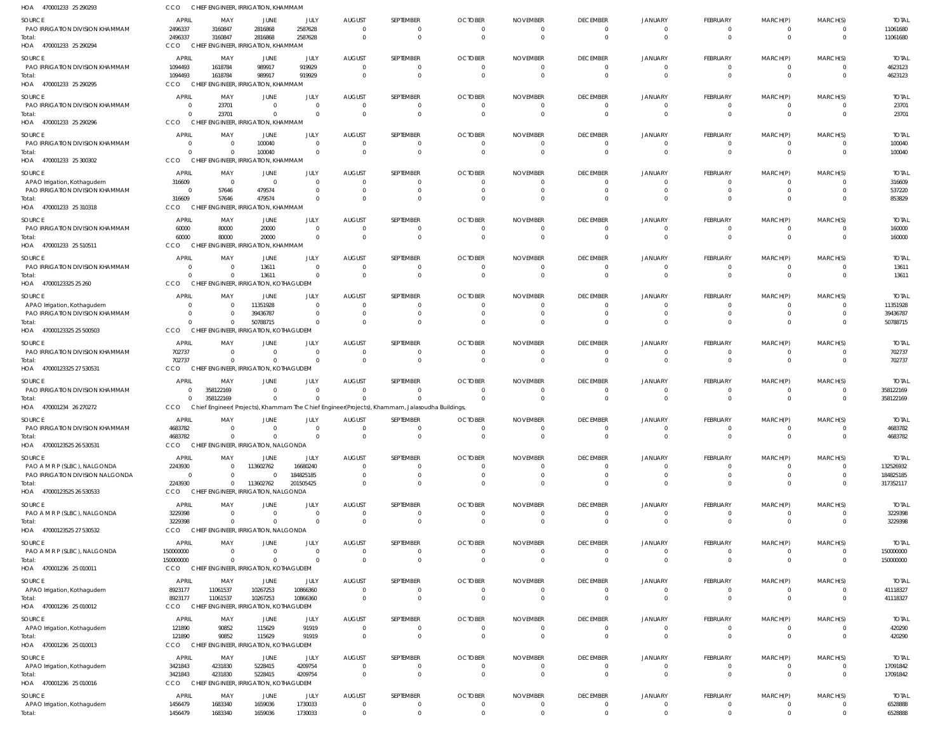| HOA<br>470001233 25 290293                | CCO                      | CHIEF ENGINEER, IRRIGATION, KHAMMAM                      |                               |                        |                                  |                                                                                                |                                           |                                            |                                |                            |                                 |                          |                          |                           |
|-------------------------------------------|--------------------------|----------------------------------------------------------|-------------------------------|------------------------|----------------------------------|------------------------------------------------------------------------------------------------|-------------------------------------------|--------------------------------------------|--------------------------------|----------------------------|---------------------------------|--------------------------|--------------------------|---------------------------|
| SOURCE                                    | APRIL                    | MAY                                                      | JUNE                          | JULY                   | <b>AUGUST</b>                    | SEPTEMBER                                                                                      | <b>OCTOBER</b>                            | <b>NOVEMBER</b>                            | <b>DECEMBER</b>                | <b>JANUARY</b>             | <b>FEBRUARY</b>                 | MARCH(P)                 | MARCH(S)                 | <b>TOTAL</b>              |
| PAO IRRIGATION DIVISION KHAMMAM<br>Total: | 2496337<br>2496337       | 3160847<br>3160847                                       | 2816868<br>2816868            | 2587628<br>2587628     | $\overline{0}$<br>$\overline{0}$ | $\Omega$<br>$\mathbf 0$                                                                        | $\overline{\mathbf{0}}$<br>$\overline{0}$ | $\overline{0}$<br>$\overline{0}$           | $\Omega$<br>$\Omega$           | - 0<br>$\Omega$            | 0<br>$\mathbf{0}$               | $\Omega$<br>$\mathbf{0}$ | $\Omega$                 | 11061680<br>11061680      |
| HOA 470001233 25 290294                   | CCO                      | CHIEF ENGINEER, IRRIGATION, KHAMMAM                      |                               |                        |                                  |                                                                                                |                                           |                                            |                                |                            |                                 |                          |                          |                           |
| SOURCE                                    | APRIL                    | MAY                                                      | JUNE                          | JULY                   | <b>AUGUST</b>                    | SEPTEMBER                                                                                      | <b>OCTOBER</b>                            | <b>NOVEMBER</b>                            | <b>DECEMBER</b>                | <b>JANUARY</b>             | <b>FEBRUARY</b>                 | MARCH(P)                 | MARCH(S)                 | <b>TOTAL</b>              |
| PAO IRRIGATION DIVISION KHAMMAM           | 1094493                  | 1618784                                                  | 989917                        | 919929                 | $\overline{0}$                   | $\Omega$                                                                                       | $\overline{\mathbf{0}}$                   | $\overline{0}$                             | $\Omega$                       | $\Omega$                   | 0                               | 0                        | $\Omega$                 | 4623123                   |
| Total:<br>HOA 470001233 25 290295         | 1094493<br><b>CCO</b>    | 1618784<br>CHIEF ENGINEER, IRRIGATION, KHAMMAM           | 989917                        | 919929                 | $\overline{0}$                   | $\Omega$                                                                                       | $\overline{\mathbf{0}}$                   | - 0                                        | $\Omega$                       | $\Omega$                   | $\Omega$                        | $\Omega$                 |                          | 4623123                   |
| SOURCE                                    | <b>APRIL</b>             | MAY                                                      | JUNE                          | JULY                   | <b>AUGUST</b>                    | SEPTEMBER                                                                                      | <b>OCTOBER</b>                            | <b>NOVEMBER</b>                            | <b>DECEMBER</b>                | JANUARY                    | <b>FEBRUARY</b>                 | MARCH(P)                 | MARCH(S)                 | <b>TOTAL</b>              |
| PAO IRRIGATION DIVISION KHAMMAM           | $\Omega$                 | 23701                                                    | $\overline{0}$                | $\Omega$               | $\overline{0}$                   | $\Omega$                                                                                       | $\overline{0}$                            | - 0                                        | $\Omega$                       | $\Omega$                   |                                 |                          |                          | 23701                     |
| Total:<br>HOA 470001233 25 290296         | $\Omega$<br>CCO          | 23701<br>CHIEF ENGINEER, IRRIGATION, KHAMMAM             | $\mathbf 0$                   | $\Omega$               | $\overline{0}$                   | $\mathbf{0}$                                                                                   | $\overline{0}$                            | $\overline{\mathbf{0}}$                    | $\Omega$                       | $\Omega$                   | $\mathbf{0}$                    | $\overline{0}$           | $\Omega$                 | 23701                     |
| SOURCE                                    | <b>APRIL</b>             | MAY                                                      | JUNE                          | JULY                   | <b>AUGUST</b>                    | SEPTEMBER                                                                                      | <b>OCTOBER</b>                            | <b>NOVEMBER</b>                            | <b>DECEMBER</b>                | <b>JANUARY</b>             | <b>FEBRUARY</b>                 | MARCH(P)                 | MARCH(S)                 | <b>TOTAL</b>              |
| PAO IRRIGATION DIVISION KHAMMAM           | $\Omega$                 | $\overline{0}$                                           | 100040                        | $\Omega$               | $\overline{0}$                   | 0                                                                                              | $\overline{0}$                            | $\overline{0}$                             | $\Omega$                       |                            | 0                               |                          |                          | 100040                    |
| Total:                                    | $\Omega$<br>CCO          | $\Omega$                                                 | 100040                        |                        | $\overline{0}$                   | $\mathbf{0}$                                                                                   | $\overline{0}$                            | $\overline{0}$                             | $\Omega$                       | $\Omega$                   | $\mathbf{0}$                    | $\mathbf{0}$             | $\Omega$                 | 100040                    |
| HOA 470001233 25 300302                   |                          | CHIEF ENGINEER, IRRIGATION, KHAMMAM                      |                               |                        |                                  |                                                                                                |                                           |                                            |                                |                            |                                 |                          |                          |                           |
| SOURCE<br>APAO Irrigation, Kothagudem     | <b>APRIL</b><br>316609   | MAY<br>$\overline{0}$                                    | JUNE<br>$\overline{0}$        | JULY<br>$\Omega$       | <b>AUGUST</b><br>$\overline{0}$  | SEPTEMBER<br>$\Omega$                                                                          | <b>OCTOBER</b><br>$\overline{0}$          | <b>NOVEMBER</b><br>- 0                     | <b>DECEMBER</b>                | <b>JANUARY</b>             | <b>FEBRUARY</b>                 | MARCH(P)                 | MARCH(S)                 | <b>TOTAL</b><br>316609    |
| PAO IRRIGATION DIVISION KHAMMAM           | $\Omega$                 | 57646                                                    | 479574                        | - 0                    | $\overline{0}$                   | $\Omega$                                                                                       | $\Omega$                                  | $\overline{0}$                             | $\Omega$                       |                            | 0                               |                          |                          | 537220                    |
| Total:<br>HOA 470001233 25 310318         | 316609<br>CCO            | 57646<br>CHIEF ENGINEER, IRRIGATION, KHAMMAM             | 479574                        |                        | $\overline{0}$                   | $\Omega$                                                                                       | $\Omega$                                  | $\Omega$                                   | $\Omega$                       |                            |                                 |                          |                          | 853829                    |
| SOURCE                                    | <b>APRIL</b>             | MAY                                                      | JUNE                          | JULY                   | <b>AUGUST</b>                    | SEPTEMBER                                                                                      | <b>OCTOBER</b>                            | <b>NOVEMBER</b>                            | <b>DECEMBER</b>                | <b>JANUARY</b>             | <b>FEBRUARY</b>                 | MARCH(P)                 | MARCH(S)                 | <b>TOTAL</b>              |
| PAO IRRIGATION DIVISION KHAMMAM           | 60000                    | 80000                                                    | 20000                         | $\Omega$               | $\overline{0}$                   | $\Omega$                                                                                       | $\overline{0}$                            | $\overline{0}$                             | $\Omega$                       |                            |                                 |                          |                          | 160000                    |
| Total:<br>HOA 470001233 25 510511         | 60000<br>CCO             | 80000<br>CHIEF ENGINEER, IRRIGATION, KHAMMAM             | 20000                         |                        | $\overline{0}$                   | $\mathbf{0}$                                                                                   | $\overline{0}$                            | $\overline{\mathbf{0}}$                    | $\Omega$                       | $\Omega$                   | $\mathbf{0}$                    | $\Omega$                 | $\Omega$                 | 160000                    |
|                                           | <b>APRIL</b>             |                                                          |                               |                        |                                  |                                                                                                |                                           |                                            |                                |                            |                                 |                          |                          |                           |
| SOURCE<br>PAO IRRIGATION DIVISION KHAMMAM | $\cap$                   | MAY<br>$\Omega$                                          | JUNE<br>13611                 | JULY<br>$\Omega$       | <b>AUGUST</b><br>$\overline{0}$  | SEPTEMBER<br>$^{\circ}$                                                                        | <b>OCTOBER</b><br>$\overline{0}$          | <b>NOVEMBER</b><br>$\overline{0}$          | <b>DECEMBER</b><br>$\Omega$    | <b>JANUARY</b>             | <b>FEBRUARY</b><br>0            | MARCH(P)<br>$\Omega$     | MARCH(S)                 | <b>TOTAL</b><br>13611     |
| Total:                                    | $\Omega$                 | $\Omega$                                                 | 13611                         | $\Omega$               | $\overline{0}$                   | $\mathbf 0$                                                                                    | $\overline{0}$                            | $\overline{\mathbf{0}}$                    | $\Omega$                       | $\Omega$                   | $\mathbf 0$                     | $\mathbf 0$              | $\Omega$                 | 13611                     |
| HOA 47000123325 25 260                    | CCO                      | CHIEF ENGINEER, IRRIGATION, KOTHAGUDEM                   |                               |                        |                                  |                                                                                                |                                           |                                            |                                |                            |                                 |                          |                          |                           |
| SOURCE<br>APAO Irrigation, Kothagudem     | <b>APRIL</b><br>$\Omega$ | MAY<br>$\overline{0}$                                    | JUNE<br>11351928              | JULY<br>$\Omega$       | <b>AUGUST</b><br>$\overline{0}$  | SEPTEMBER<br>$\Omega$                                                                          | <b>OCTOBER</b><br>$\overline{0}$          | <b>NOVEMBER</b><br>$\overline{0}$          | <b>DECEMBER</b><br>$\Omega$    | <b>JANUARY</b>             | <b>FEBRUARY</b><br>0            | MARCH(P)<br>0            | MARCH(S)                 | <b>TOTAL</b><br>11351928  |
| PAO IRRIGATION DIVISION KHAMMAM           | $\Omega$                 | $\overline{0}$                                           | 39436787                      | $\Omega$               | $\overline{0}$                   | $\Omega$                                                                                       | $\Omega$                                  | $\overline{0}$                             |                                |                            |                                 |                          |                          | 39436787                  |
| Total:<br>HOA 47000123325 25 500503       | $\Omega$<br>CCO          | $\Omega$<br>CHIEF ENGINEER, IRRIGATION, KOTHAGUDEM       | 50788715                      |                        | $\overline{0}$                   | $\Omega$                                                                                       | $\overline{0}$                            | $\overline{0}$                             | $\Omega$                       |                            |                                 |                          | $\Omega$                 | 50788715                  |
| SOURCE                                    | APRIL                    | MAY                                                      | JUNE                          | JULY                   | <b>AUGUST</b>                    | SEPTEMBER                                                                                      | <b>OCTOBER</b>                            | <b>NOVEMBER</b>                            | <b>DECEMBER</b>                | <b>JANUARY</b>             | <b>FEBRUARY</b>                 | MARCH(P)                 | MARCH(S)                 | <b>TOTAL</b>              |
| PAO IRRIGATION DIVISION KHAMMAM           | 702737                   | $\overline{0}$                                           | $\overline{0}$                | 0                      | $\overline{0}$                   | $\Omega$                                                                                       | $\overline{0}$                            | - 0                                        | $\Omega$                       |                            | 0                               |                          |                          | 702737                    |
| Total:                                    | 702737<br>CCO            | $\overline{0}$<br>CHIEF ENGINEER, IRRIGATION, KOTHAGUDEM | $\mathbf 0$                   | $\Omega$               | $\overline{0}$                   | $\Omega$                                                                                       | $\overline{0}$                            | $\overline{0}$                             | $\Omega$                       | $\Omega$                   | $\mathbf 0$                     | $\overline{0}$           | $\Omega$                 | 702737                    |
| HOA 47000123325 27 530531                 |                          |                                                          |                               |                        |                                  |                                                                                                |                                           |                                            |                                |                            |                                 |                          |                          |                           |
| SOURCE<br>PAO IRRIGATION DIVISION KHAMMAM | APRIL<br>$\overline{0}$  | MAY<br>358122169                                         | JUNE<br>$\overline{0}$        | JULY<br>$\Omega$       | <b>AUGUST</b><br>$\overline{0}$  | SEPTEMBER<br>0                                                                                 | <b>OCTOBER</b><br>$\overline{0}$          | <b>NOVEMBER</b><br>$\overline{0}$          | <b>DECEMBER</b><br>$\Omega$    | <b>JANUARY</b><br>$\Omega$ | <b>FEBRUARY</b><br>0            | MARCH(P)<br>0            | MARCH(S)<br>$\mathbf{0}$ | <b>TOTAI</b><br>358122169 |
| Total:                                    | $\Omega$                 | 358122169                                                | $\mathbf 0$                   | $\Omega$               | $\Omega$                         |                                                                                                | $\overline{0}$                            | - 0                                        | $\Omega$                       |                            | $\mathbf{0}$                    | $\mathbf{0}$             | $\Omega$                 | 358122169                 |
| HOA 470001234 26 270272                   | CCO                      |                                                          |                               |                        |                                  | Chief Engineer(Projects), Khammam The Chief Engineer(Projects), Khammam, Jalasoudha Buildings, |                                           |                                            |                                |                            |                                 |                          |                          |                           |
| SOURCE<br>PAO IRRIGATION DIVISION KHAMMAM | APRIL<br>4683782         | MAY<br>$\overline{0}$                                    | JUNE<br>$\mathbf 0$           | JULY<br>$\overline{0}$ | <b>AUGUST</b><br>$\overline{0}$  | SEPTEMBER<br>0                                                                                 | <b>OCTOBER</b><br>$\overline{0}$          | <b>NOVEMBER</b><br>$\overline{0}$          | <b>DECEMBER</b><br>$\mathbf 0$ | <b>JANUARY</b>             | <b>FEBRUARY</b>                 | MARCH(P)                 | MARCH(S)                 | <b>TOTAL</b><br>4683782   |
| Total:                                    | 4683782                  | $\Omega$                                                 | $\Omega$                      | $\Omega$               | $\overline{0}$                   | $\overline{0}$                                                                                 | $\overline{0}$                            | $\overline{0}$                             | $\Omega$                       | $\Omega$                   | $\mathbf 0$                     | $\mathbf 0$              | $\Omega$                 | 4683782                   |
| HOA 47000123525 26 530531                 | CCO                      | CHIEF ENGINEER, IRRIGATION, NALGONDA                     |                               |                        |                                  |                                                                                                |                                           |                                            |                                |                            |                                 |                          |                          |                           |
| SOURCE<br>PAO A M R P (SLBC), NALGONDA    | APRIL<br>2243930         | MAY<br>$\Omega$                                          | <b>JUNE</b><br>113602762      | JULY<br>16680240       | <b>AUGUST</b><br>$\overline{0}$  | SEPTEMBER<br>$\Omega$                                                                          | <b>OCTOBER</b><br>$\overline{0}$          | <b>NOVEMBER</b><br>$\circ$                 | <b>DECEMBER</b><br>$\Omega$    | <b>JANUARY</b>             | FEBRUARY                        | MARCH(P)                 | MARCH(S)                 | <b>TOTAL</b><br>132526932 |
| PAO IRRIGATION DIVISION NALGONDA          | $\Omega$                 | $\overline{0}$                                           | $\overline{0}$                | 184825185              | $\overline{0}$                   | $\Omega$                                                                                       | $\overline{0}$                            | $\overline{0}$                             | $\Omega$                       | $\Omega$                   | $\mathbf{0}$                    | $\mathbf{0}$             | $\mathbf{0}$             | 184825185                 |
| Total:<br>HOA 47000123525 26 530533       | 2243930<br>CCO           | $\overline{0}$<br>CHIEF ENGINEER, IRRIGATION, NALGONDA   | 113602762                     | 201505425              | $\Omega$                         | $\Omega$                                                                                       | - 0                                       | - 0                                        | $\Omega$                       | $\Omega$                   | 0                               | $\Omega$                 | $\Omega$                 | 317352117                 |
| SOURCE                                    | APRIL                    | MAY                                                      | JUNE                          | JULY                   | <b>AUGUST</b>                    | SEPTEMBER                                                                                      | <b>OCTOBER</b>                            | <b>NOVEMBER</b>                            | <b>DECEMBER</b>                | JANUARY                    | <b>FEBRUARY</b>                 | MARCH(P)                 | MARCH(S)                 | <b>TOTAL</b>              |
| PAO A M R P (SLBC), NALGONDA              | 3229398                  | $\overline{0}$                                           | $\overline{0}$                | $\Omega$               | $\overline{0}$                   | 0                                                                                              | $\overline{0}$                            | - 0                                        | $\Omega$                       | $\Omega$                   | 0                               |                          |                          | 3229398                   |
| Total:                                    | 3229398                  | $\Omega$                                                 | $\Omega$                      | $\Omega$               | $\overline{0}$                   | $\Omega$                                                                                       | $\overline{0}$                            | $\overline{0}$                             | $\Omega$                       | $\Omega$                   | $\Omega$                        | $\overline{0}$           | $\Omega$                 | 3229398                   |
| HOA 47000123525 27 530532                 | CCO                      | CHIEF ENGINEER, IRRIGATION, NALGONDA                     |                               |                        |                                  |                                                                                                |                                           |                                            |                                |                            |                                 |                          |                          |                           |
| SOURCE<br>PAO A M R P (SLBC), NALGONDA    | APRI<br>150000000        | MAY<br>$\overline{\mathbf{0}}$                           | <b>JUNE</b><br>$\overline{0}$ | JULY<br>$\Omega$       | <b>AUGUST</b><br>$\overline{0}$  | SEPTEMBER<br>0                                                                                 | <b>OCTOBER</b><br>$\overline{0}$          | <b>NOVEMBER</b><br>$\overline{0}$          | <b>DECEMBER</b><br>$\Omega$    | <b>JANUARY</b>             | <b>FEBRUARY</b>                 | MARCH(P)                 | MARCH(S)<br>$\Omega$     | <b>TOTAL</b><br>150000000 |
| Total:                                    | 150000000                | $\overline{0}$                                           | $\overline{0}$                |                        | $\overline{0}$                   | $\mathbf{0}$                                                                                   | $\overline{0}$                            | $\overline{0}$                             | $\Omega$                       | $\Omega$                   | $\mathbf{0}$                    | $\mathbf{0}$             | $\mathbf 0$              | 150000000                 |
| HOA 470001236 25 010011                   | CCO                      | CHIEF ENGINEER, IRRIGATION, KOTHAGUDEM                   |                               |                        |                                  |                                                                                                |                                           |                                            |                                |                            |                                 |                          |                          |                           |
| SOURCE<br>APAO Irrigation, Kothagudem     | <b>APRIL</b><br>8923177  | MAY<br>11061537                                          | JUNE<br>10267253              | JULY<br>10866360       | <b>AUGUST</b><br>$\overline{0}$  | SEPTEMBER<br>0                                                                                 | <b>OCTOBER</b><br>$\overline{0}$          | <b>NOVEMBER</b><br>$\overline{0}$          | <b>DECEMBER</b><br>$\Omega$    | JANUARY<br>$\Omega$        | <b>FEBRUARY</b><br>$\mathbf{0}$ | MARCH(P)<br>0            | MARCH(S)                 | <b>TOTAL</b><br>41118327  |
| Total:                                    | 8923177                  | 11061537                                                 | 10267253                      | 10866360               | $\overline{0}$                   | $\Omega$                                                                                       | $\overline{0}$                            | $\overline{0}$                             | $\Omega$                       | $\Omega$                   | $\mathbf 0$                     | $\mathbf 0$              | $\Omega$                 | 41118327                  |
| HOA 470001236 25 010012                   | CCO                      | CHIEF ENGINEER, IRRIGATION, KOTHAGUDEM                   |                               |                        |                                  |                                                                                                |                                           |                                            |                                |                            |                                 |                          |                          |                           |
| SOURCE<br>APAO Irrigation, Kothagudem     | APRIL<br>121890          | MAY<br>90852                                             | JUNE<br>115629                | JULY<br>91919          | <b>AUGUST</b><br>$\overline{0}$  | SEPTEMBER<br>$\Omega$                                                                          | <b>OCTOBER</b><br>$\overline{0}$          | <b>NOVEMBER</b><br>$\overline{\mathbf{0}}$ | <b>DECEMBER</b><br>$\Omega$    | <b>JANUARY</b><br>$\Omega$ | <b>FEBRUARY</b><br>0            | MARCH(P)<br>0            | MARCH(S)<br>$\Omega$     | <b>TOTAL</b><br>420290    |
| Total:                                    | 121890                   | 90852                                                    | 115629                        | 91919                  | $\overline{0}$                   | $\Omega$                                                                                       | $\overline{0}$                            | $\overline{0}$                             | $\Omega$                       | $\Omega$                   | $\mathbf{0}$                    | $\overline{0}$           | $\Omega$                 | 420290                    |
| HOA 470001236 25 010013                   | CCO                      | CHIEF ENGINEER, IRRIGATION, KOTHAGUDEM                   |                               |                        |                                  |                                                                                                |                                           |                                            |                                |                            |                                 |                          |                          |                           |
| SOURCE                                    | <b>APRIL</b>             | MAY                                                      | JUNE                          | JULY                   | <b>AUGUST</b>                    | SEPTEMBER                                                                                      | <b>OCTOBER</b>                            | <b>NOVEMBER</b>                            | <b>DECEMBER</b>                | <b>JANUARY</b>             | <b>FEBRUARY</b>                 | MARCH(P)                 | MARCH(S)                 | <b>TOTAL</b>              |
| APAO Irrigation, Kothagudem<br>Total:     | 3421843<br>3421843       | 4231830<br>4231830                                       | 5228415<br>5228415            | 4209754<br>4209754     | $\overline{0}$<br>$\overline{0}$ | $\Omega$<br>$\mathbf{0}$                                                                       | $\overline{0}$<br>$\overline{0}$          | $\overline{0}$<br>$\overline{0}$           | $\Omega$<br>$\Omega$           | $\Omega$<br>$\Omega$       | 0<br>$\mathbf{0}$               | $\overline{0}$           | $\Omega$<br>$\Omega$     | 17091842<br>17091842      |
| HOA 470001236 25 010016                   | CCO                      | CHIEF ENGINEER, IRRIGATION, KOTHAGUDEM                   |                               |                        |                                  |                                                                                                |                                           |                                            |                                |                            |                                 |                          |                          |                           |
| SOURCE                                    | APRIL                    | MAY                                                      | JUNE                          | JULY                   | <b>AUGUST</b>                    | SEPTEMBER                                                                                      | <b>OCTOBER</b>                            | <b>NOVEMBER</b>                            | <b>DECEMBER</b>                | <b>JANUARY</b>             | FEBRUARY                        | MARCH(P)                 | MARCH(S)                 | <b>TOTAL</b>              |
| APAO Irrigation, Kothagudem<br>Total:     | 1456479<br>1456479       | 1683340<br>1683340                                       | 1659036<br>1659036            | 1730033<br>1730033     | $\overline{0}$<br>$\overline{0}$ | 0<br>$\mathbf{0}$                                                                              | $\overline{0}$<br>$\overline{0}$          | $\overline{0}$<br>$\overline{0}$           | $\Omega$<br>$\Omega$           | $\Omega$<br>$\Omega$       | 0<br>$\mathbf 0$                | $\mathbf 0$              | $\mathbf{0}$             | 6528888<br>6528888        |
|                                           |                          |                                                          |                               |                        |                                  |                                                                                                |                                           |                                            |                                |                            |                                 |                          |                          |                           |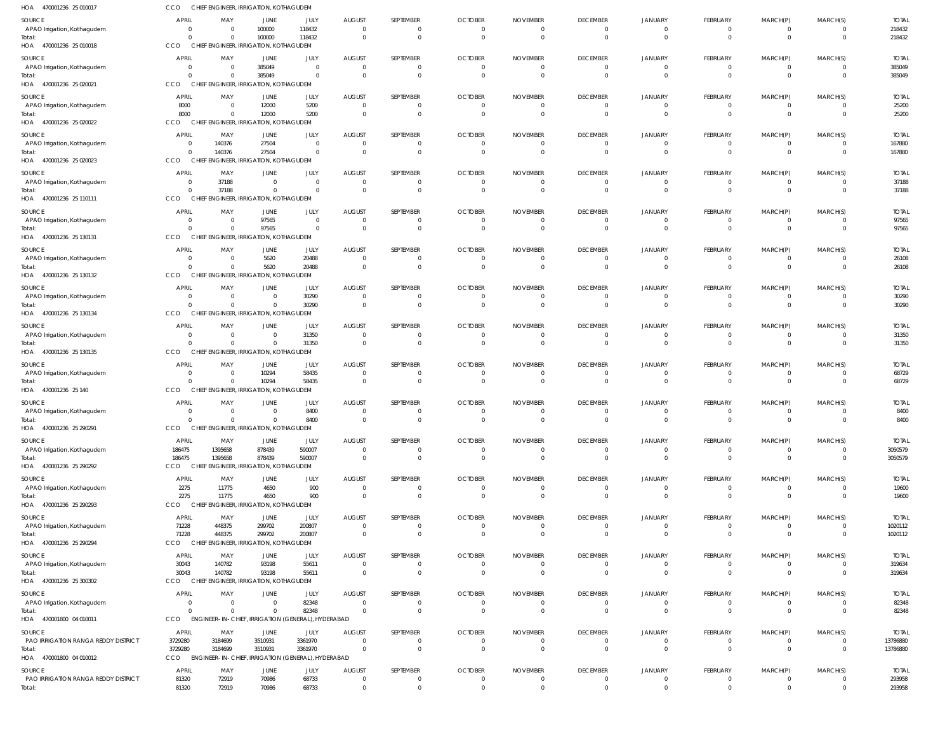| 470001236 25 010017<br>HOA                    | CCO                            |                    | CHIEF ENGINEER, IRRIGATION, KOTHAGUDEM             |                                  |                                 |                               |                                |                      |                                   |                                  |                                |                              |                                           |                         |
|-----------------------------------------------|--------------------------------|--------------------|----------------------------------------------------|----------------------------------|---------------------------------|-------------------------------|--------------------------------|----------------------|-----------------------------------|----------------------------------|--------------------------------|------------------------------|-------------------------------------------|-------------------------|
| SOURCE                                        | <b>APRIL</b>                   | MAY                | JUNE                                               | JULY                             | <b>AUGUST</b>                   | SEPTEMBER                     | <b>OCTOBER</b>                 | <b>NOVEMBER</b>      | <b>DECEMBER</b>                   | <b>JANUARY</b>                   | FEBRUARY                       | MARCH(P)                     | MARCH(S)                                  | <b>TOTAL</b>            |
| APAO Irrigation, Kothagudem                   | - 0                            | $\Omega$           | 100000                                             | 118432                           | $\overline{0}$                  | $^{\circ}$                    | 0                              | - 0                  | $\overline{0}$                    | $\overline{0}$                   | $\mathbf{0}$                   | $^{\circ}$                   | $\overline{0}$                            | 218432                  |
| Total:                                        | $\Omega$<br>CCO                |                    | 100000                                             | 118432                           | $\Omega$                        | $\mathbf{0}$                  | $\Omega$                       | $\Omega$             | $\overline{0}$                    | $\overline{0}$                   | $\mathbf 0$                    | $\mathbf{0}$                 | $\overline{0}$                            | 218432                  |
| HOA 470001236 25 010018                       |                                |                    | CHIEF ENGINEER, IRRIGATION, KOTHAGUDEM             |                                  |                                 |                               |                                |                      |                                   |                                  |                                |                              |                                           |                         |
| SOURCE<br>APAO Irrigation, Kothagudem         | <b>APRIL</b><br>$\overline{0}$ | MAY<br>$\Omega$    | JUNE<br>385049                                     | JULY<br>$\overline{0}$           | <b>AUGUST</b><br>$\overline{0}$ | SEPTEMBER<br>$\mathbf 0$      | <b>OCTOBER</b><br>$\Omega$     | <b>NOVEMBER</b>      | <b>DECEMBER</b><br>$\overline{0}$ | JANUARY<br>$\overline{0}$        | FEBRUARY<br>$\mathbf 0$        | MARCH(P)<br>0                | MARCH(S)<br>$\overline{0}$                | <b>TOTAL</b><br>385049  |
| Total:                                        | $\Omega$                       |                    | 385049                                             | $\overline{0}$                   | $\Omega$                        | $\mathbf{0}$                  | $\Omega$                       |                      | $\overline{0}$                    | $\Omega$                         | $\overline{0}$                 | $\mathbf{0}$                 | $\overline{0}$                            | 385049                  |
| HOA 470001236 25 020021                       | CCO                            |                    | CHIEF ENGINEER, IRRIGATION, KOTHAGUDEM             |                                  |                                 |                               |                                |                      |                                   |                                  |                                |                              |                                           |                         |
| SOURCE                                        | <b>APRIL</b>                   | MAY                | JUNE                                               | JULY                             | <b>AUGUST</b>                   | SEPTEMBER                     | <b>OCTOBER</b>                 | <b>NOVEMBER</b>      | <b>DECEMBER</b>                   | JANUARY                          | FEBRUARY                       | MARCH(P)                     | MARCH(S)                                  | <b>TOTAL</b>            |
| APAO Irrigation, Kothagudem                   | 8000                           | $\Omega$           | 12000                                              | 5200                             | $\overline{0}$                  | $^{\circ}$                    | $\Omega$                       |                      | $\overline{0}$                    | $\overline{0}$                   | $\mathbf{0}$                   | $^{\circ}$                   | $\overline{0}$                            | 25200                   |
| Total:                                        | 8000                           | $\Omega$           | 12000                                              | 5200                             | $\overline{0}$                  | $\overline{0}$                | $\overline{0}$                 | $\Omega$             | $\overline{0}$                    | $\overline{0}$                   | $\overline{0}$                 | $\overline{0}$               | $\overline{0}$                            | 25200                   |
| HOA 470001236 25 020022                       | CCO                            |                    | CHIEF ENGINEER, IRRIGATION, KOTHAGUDEM             |                                  |                                 |                               |                                |                      |                                   |                                  |                                |                              |                                           |                         |
| SOURCE                                        | <b>APRIL</b>                   | MAY                | <b>JUNE</b>                                        | JULY                             | <b>AUGUST</b>                   | SEPTEMBER                     | <b>OCTOBER</b>                 | <b>NOVEMBER</b>      | <b>DECEMBER</b>                   | JANUARY                          | FEBRUARY                       | MARCH(P)                     | MARCH(S)                                  | <b>TOTAL</b>            |
| APAO Irrigation, Kothagudem                   | $\overline{0}$<br>$\Omega$     | 140376             | 27504<br>27504                                     | $\overline{0}$<br>$\overline{0}$ | $\overline{0}$<br>$\Omega$      | $\mathbf 0$<br>$\mathbf{0}$   | $\Omega$<br>$\Omega$           |                      | $\overline{0}$<br>$\overline{0}$  | $\overline{0}$<br>$\Omega$       | $\mathbf 0$<br>$\overline{0}$  | $^{\circ}$<br>$\mathbf{0}$   | $\overline{0}$<br>$\Omega$                | 167880<br>167880        |
| Total:<br>HOA 470001236 25 020023             | CCO                            | 140376<br>CHIEI    | NGINEER, IRRIGATION, KOTHAGUDEM                    |                                  |                                 |                               |                                |                      |                                   |                                  |                                |                              |                                           |                         |
|                                               | <b>APRIL</b>                   |                    |                                                    |                                  | <b>AUGUST</b>                   | SEPTEMBER                     | <b>OCTOBER</b>                 |                      |                                   | JANUARY                          |                                |                              | MARCH(S)                                  | <b>TOTAL</b>            |
| SOURCE<br>APAO Irrigation, Kothagudem         | - 0                            | MAY<br>37188       | JUNE<br>$\overline{0}$                             | JULY<br>$\overline{0}$           | $\overline{0}$                  | $^{\circ}$                    | $\Omega$                       | <b>NOVEMBER</b>      | <b>DECEMBER</b><br>$\overline{0}$ | $\overline{0}$                   | FEBRUARY<br>$\mathbf{0}$       | MARCH(P)<br>$^{\circ}$       | $\overline{0}$                            | 37188                   |
| Total:                                        | $\Omega$                       | 37188              | $\Omega$                                           | $\overline{0}$                   | $\Omega$                        | $\mathbf{0}$                  | $\Omega$                       |                      | $\overline{0}$                    | $\overline{0}$                   | $\overline{0}$                 | $\overline{0}$               | $\overline{0}$                            | 37188                   |
| HOA 470001236 25 110111                       | CCO                            |                    | CHIEF ENGINEER, IRRIGATION, KOTHAGUDEM             |                                  |                                 |                               |                                |                      |                                   |                                  |                                |                              |                                           |                         |
| SOURCE                                        | <b>APRIL</b>                   | MAY                | <b>JUNE</b>                                        | JULY                             | <b>AUGUST</b>                   | SEPTEMBER                     | <b>OCTOBER</b>                 | <b>NOVEMBER</b>      | <b>DECEMBER</b>                   | JANUARY                          | FEBRUARY                       | MARCH(P)                     | MARCH(S)                                  | <b>TOTAL</b>            |
| APAO Irrigation, Kothagudem                   | - 0                            | $\Omega$           | 97565                                              | $\overline{0}$                   | $\overline{0}$                  | $\mathbf 0$                   | 0                              |                      | $\mathbf{0}$                      | $\overline{0}$                   | $\mathbf 0$                    | 0                            | $\mathbf 0$                               | 97565                   |
| Total:<br>HOA 470001236 25 130131             | $\Omega$<br>CCO                |                    | 97565<br>CHIEF ENGINEER, IRRIGATION, KOTHAGUDEM    | $\overline{0}$                   | $\overline{0}$                  | $\mathbf{0}$                  | $\Omega$                       |                      | $\overline{0}$                    | $\overline{0}$                   | $\mathbf 0$                    | $\mathbf 0$                  | $\overline{0}$                            | 97565                   |
|                                               |                                |                    |                                                    |                                  |                                 |                               |                                |                      |                                   |                                  |                                |                              |                                           |                         |
| SOURCE                                        | <b>APRIL</b><br>- 0            | MAY<br>$\Omega$    | <b>JUNE</b><br>5620                                | JULY<br>20488                    | <b>AUGUST</b><br>$\overline{0}$ | SEPTEMBER<br>$^{\circ}$       | <b>OCTOBER</b><br>0            | <b>NOVEMBER</b>      | <b>DECEMBER</b><br>$\overline{0}$ | <b>JANUARY</b><br>$\overline{0}$ | FEBRUARY<br>$\mathbf{0}$       | MARCH(P)<br>$^{\circ}$       | MARCH(S)<br>$\overline{0}$                | <b>TOTAL</b><br>26108   |
| APAO Irrigation, Kothagudem<br>Total:         | $\Omega$                       |                    | 5620                                               | 20488                            | $\Omega$                        | $\mathbf{0}$                  | $\Omega$                       |                      | $\overline{0}$                    | $\overline{0}$                   | $\overline{0}$                 | $\mathbf{0}$                 | $\overline{0}$                            | 26108                   |
| 470001236 25 130132<br>HOA                    | CCO                            |                    | CHIEF ENGINEER, IRRIGATION, KOTHAGUDEM             |                                  |                                 |                               |                                |                      |                                   |                                  |                                |                              |                                           |                         |
| SOURCE                                        | <b>APRIL</b>                   | MAY                | <b>JUNE</b>                                        | JULY                             | <b>AUGUST</b>                   | SEPTEMBER                     | <b>OCTOBER</b>                 | <b>NOVEMBER</b>      | <b>DECEMBER</b>                   | <b>JANUARY</b>                   | FEBRUARY                       | MARCH(P)                     | MARCH(S)                                  | <b>TOTAL</b>            |
| APAO Irrigation, Kothagudem                   | - 0                            |                    | $\overline{0}$                                     | 30290                            | $\overline{0}$                  | $\mathbf 0$                   | $\Omega$                       |                      | $\overline{0}$                    | $\overline{0}$                   | $\mathbf 0$                    | $\overline{0}$               | $\overline{0}$                            | 30290                   |
| Total:                                        | $\Omega$                       |                    | $\mathbf 0$                                        | 30290                            | $\overline{0}$                  | $\mathbf 0$                   | $\Omega$                       |                      | $\overline{0}$                    | $\overline{0}$                   | $\overline{0}$                 | $\overline{0}$               | $\Omega$                                  | 30290                   |
| HOA 470001236 25 130134                       | CCO                            |                    | CHIEF ENGINEER, IRRIGATION, KOTHAGUDEM             |                                  |                                 |                               |                                |                      |                                   |                                  |                                |                              |                                           |                         |
| SOURCE                                        | <b>APRIL</b>                   | MAY                | JUNE                                               | JULY                             | <b>AUGUST</b>                   | SEPTEMBER                     | <b>OCTOBER</b>                 | <b>NOVEMBER</b>      | <b>DECEMBER</b>                   | <b>JANUARY</b>                   | FEBRUARY                       | MARCH(P)                     | MARCH(S)                                  | <b>TOTAL</b>            |
| APAO Irrigation, Kothagudem                   | - 0                            | $\Omega$           | $\overline{0}$                                     | 31350                            | $\overline{0}$                  | $\mathbf 0$                   | 0                              | $\Omega$             | $\overline{0}$                    | $\overline{0}$                   | $\mathbf{0}$                   | $^{\circ}$                   | $\overline{0}$                            | 31350                   |
| Total:<br>HOA 470001236 25 130135             | $\Omega$<br>CCO                | $\Omega$           | $\Omega$<br>CHIEF ENGINEER, IRRIGATION, KOTHAGUDEM | 31350                            | $\overline{0}$                  | $\overline{0}$                | $\Omega$                       |                      | $\overline{0}$                    | $\overline{0}$                   | $\mathbf 0$                    | $\mathbf 0$                  | $\overline{0}$                            | 31350                   |
|                                               |                                |                    |                                                    |                                  |                                 |                               |                                |                      |                                   |                                  |                                |                              |                                           |                         |
| SOURCE<br>APAO Irrigation, Kothagudem         | <b>APRIL</b><br>- 0            | MAY<br>$\Omega$    | JUNE<br>10294                                      | JULY<br>58435                    | <b>AUGUST</b><br>$\Omega$       | SEPTEMBER<br>0                | <b>OCTOBER</b>                 | <b>NOVEMBER</b>      | <b>DECEMBER</b><br>$\mathbf{0}$   | <b>JANUARY</b><br>$\Omega$       | FEBRUARY<br>$\overline{0}$     | MARCH(P)<br>0                | MARCH(S)<br>$\Omega$                      | <b>TOTAL</b><br>68729   |
| Total:                                        | $\Omega$                       | $\Omega$           | 10294                                              | 58435                            | $\overline{0}$                  | $\mathbf{0}$                  | 0                              |                      | $\overline{0}$                    | $\overline{0}$                   | $\overline{0}$                 | $\mathbf{0}$                 | $\overline{0}$                            | 68729                   |
| HOA 470001236 25 140                          | CCO                            |                    | CHIEF ENGINEER, IRRIGATION, KOTHAGUDEM             |                                  |                                 |                               |                                |                      |                                   |                                  |                                |                              |                                           |                         |
| SOURCE                                        | <b>APRIL</b>                   | MAY                | JUNE                                               | JULY                             | <b>AUGUST</b>                   | SEPTEMBER                     | <b>OCTOBER</b>                 | <b>NOVEMBER</b>      | <b>DECEMBER</b>                   | JANUARY                          | FEBRUARY                       | MARCH(P)                     | MARCH(S)                                  | <b>TOTAL</b>            |
| APAO Irrigation, Kothagudem                   | - 0                            | - 0                | $\overline{0}$                                     | 8400                             | $\overline{0}$                  | $^{\circ}$                    | $\Omega$                       |                      | 0                                 | 0                                | $\mathbf{0}$                   | 0                            | $\overline{0}$                            | 8400                    |
| Total:                                        | $\Omega$                       | $\Omega$           | $\Omega$                                           | 8400                             | $\Omega$                        | $\mathbf 0$                   | $\Omega$                       | $\Omega$             | $\Omega$                          | $\mathbf{0}$                     | $\mathbf 0$                    | $\mathbf 0$                  | $\Omega$                                  | 8400                    |
| HOA 470001236 25 290291                       | CCO                            |                    | CHIEF ENGINEER, IRRIGATION, KOTHAGUDEM             |                                  |                                 |                               |                                |                      |                                   |                                  |                                |                              |                                           |                         |
| SOURCE<br>APAO Irrigation, Kothagudem         | <b>APRIL</b><br>186475         | MAY<br>1395658     | <b>JUNE</b><br>878439                              | JULY<br>590007                   | <b>AUGUST</b><br>$\overline{0}$ | SEPTEMBER<br>$\overline{0}$   | <b>OCTOBER</b><br>$\mathbf{0}$ | <b>NOVEMBER</b>      | <b>DECEMBER</b><br>$\overline{0}$ | <b>JANUARY</b><br>$\overline{0}$ | FEBRUARY<br>$\overline{0}$     | MARCH(P)<br>$\overline{0}$   | MARCH(S)<br>$\overline{0}$                | <b>TOTAL</b><br>3050579 |
| Total:                                        | 186475                         | 1395658            | 878439                                             | 590007                           | $\overline{0}$                  | $\mathbf 0$                   | $\Omega$                       |                      | $\overline{0}$                    | $\mathbf{0}$                     | $\mathbf 0$                    | $\overline{0}$               | $\Omega$                                  | 3050579                 |
| HOA 470001236 25 290292                       | <b>CCO</b>                     | <b>CHIEF</b>       | <b>ENGINEER, IRRIGATION, KOTHAGUDEM</b>            |                                  |                                 |                               |                                |                      |                                   |                                  |                                |                              |                                           |                         |
| SOURCE                                        | <b>APRIL</b>                   | MAY                | <b>JUNE</b>                                        | JULY                             | <b>AUGUST</b>                   | SEPTEMBER                     | <b>OCTOBER</b>                 | <b>NOVEMBER</b>      | <b>DECEMBER</b>                   | JANUARY                          | FEBRUARY                       | MARCH(P)                     | MARCH(S)                                  | <b>TOTAL</b>            |
| APAO Irrigation, Kothagudem                   | 2275                           | 11775              | 4650                                               | 900                              | $\overline{0}$                  | $\mathbf 0$                   | $^{\circ}$                     | $\Omega$             | $\overline{0}$                    | $\overline{0}$                   | $\mathbf{0}$                   | $^{\circ}$                   | $\overline{0}$                            | 19600                   |
| Total:                                        | 2275                           | 11775              | 4650                                               | 900                              | $\overline{0}$                  | $\overline{0}$                | $\Omega$                       | $\Omega$             | $\overline{0}$                    | $\overline{0}$                   | $\overline{0}$                 | $\overline{0}$               | $\overline{0}$                            | 19600                   |
| HOA 470001236 25 290293                       | CCO                            |                    | CHIEF ENGINEER, IRRIGATION, KOTHAGUDEM             |                                  |                                 |                               |                                |                      |                                   |                                  |                                |                              |                                           |                         |
| <b>SOURCE</b>                                 | <b>APRIL</b>                   | MAY                | <b>JUNE</b>                                        | JULY                             | <b>AUGUST</b>                   | SEPTEMBER                     | <b>OCTOBER</b>                 | <b>NOVEMBER</b>      | <b>DECEMBER</b>                   | <b>JANUARY</b>                   | FEBRUARY                       | MARCH(P)                     | MARCH(S)                                  | <b>TOTAL</b>            |
| APAO Irrigation, Kothagudem                   | 71228<br>71228                 | 448375<br>448375   | 299702<br>299702                                   | 200807<br>200807                 | $\overline{0}$<br>$\Omega$      | $\mathbf 0$<br>$\mathbf 0$    | $\Omega$<br>$\Omega$           | $\Omega$             | $\overline{0}$<br>$\overline{0}$  | 0<br>$\overline{0}$              | $\mathbf{0}$<br>$\overline{0}$ | 0<br>$\mathbf{0}$            | $\overline{0}$<br>$\overline{0}$          | 1020112<br>1020112      |
| Total:<br>HOA 470001236 25 290294             | <b>CCO</b>                     |                    | CHIEF ENGINEER, IRRIGATION, KOTHAGUDEM             |                                  |                                 |                               |                                |                      |                                   |                                  |                                |                              |                                           |                         |
| SOURCE                                        | <b>APRIL</b>                   | MAY                | JUNE                                               | JULY                             | <b>AUGUST</b>                   | SEPTEMBER                     | <b>OCTOBER</b>                 | <b>NOVEMBER</b>      | <b>DECEMBER</b>                   | JANUARY                          | FEBRUARY                       | MARCH(P)                     | MARCH(S)                                  | <b>TOTAL</b>            |
| APAO Irrigation, Kothagudem                   | 30043                          | 140782             | 93198                                              | 55611                            | $\overline{0}$                  | $\overline{0}$                | $^{\circ}$                     |                      | $\overline{0}$                    | $\overline{0}$                   | $\overline{0}$                 | $\mathbf 0$                  | $\overline{0}$                            | 319634                  |
| Total:                                        | 30043                          | 140782             | 93198                                              | 55611                            | $\overline{0}$                  | $\mathbf 0$                   | $\Omega$                       | $\Omega$             | $\overline{0}$                    | $\mathbf{0}$                     | $\overline{0}$                 | $\mathbf 0$                  | $\overline{0}$                            | 319634                  |
| HOA 470001236 25 300302                       | <b>CCO</b>                     |                    | CHIEF ENGINEER, IRRIGATION, KOTHAGUDEM             |                                  |                                 |                               |                                |                      |                                   |                                  |                                |                              |                                           |                         |
| SOURCE                                        | <b>APRIL</b>                   | MAY                | <b>JUNE</b>                                        | JULY                             | <b>AUGUST</b>                   | SEPTEMBER                     | <b>OCTOBER</b>                 | <b>NOVEMBER</b>      | <b>DECEMBER</b>                   | <b>JANUARY</b>                   | FEBRUARY                       | MARCH(P)                     | MARCH(S)                                  | <b>TOTAL</b>            |
| APAO Irrigation, Kothagudem                   | $\overline{0}$                 | $\Omega$           | $\overline{0}$                                     | 82348                            | $\overline{0}$                  | $\mathbf 0$                   | $\Omega$                       | $\Omega$             | $\overline{0}$                    | $\overline{0}$                   | $\overline{0}$                 | $\overline{0}$               | $\overline{0}$                            | 82348                   |
| Total:                                        | $\Omega$                       |                    | $\Omega$                                           | 82348                            | $\Omega$                        | $\mathbf{0}$                  | $\Omega$                       |                      | $\overline{0}$                    | $\overline{0}$                   | $\overline{0}$                 | $\mathbf{0}$                 | $\Omega$                                  | 82348                   |
| HOA 470001800 04 010011                       | CCO                            |                    | ENGINEER-IN-CHIEF, IRRIGATION (GENERAL), HYDERABAD |                                  |                                 |                               |                                |                      |                                   |                                  |                                |                              |                                           |                         |
| <b>SOURCE</b>                                 | APRIL                          | MAY                | <b>JUNE</b>                                        | JULY                             | <b>AUGUST</b>                   | SEPTEMBER                     | <b>OCTOBER</b>                 | <b>NOVEMBER</b>      | <b>DECEMBER</b>                   | <b>JANUARY</b>                   | FEBRUARY                       | MARCH(P)                     | MARCH(S)                                  | <b>TOTAL</b>            |
| PAO IRRIGATION RANGA REDDY DISTRICT<br>Total: | 3729280<br>3729280             | 3184699<br>3184699 | 3510931<br>3510931                                 | 3361970<br>3361970               | $\overline{0}$<br>$\mathbf{0}$  | $\overline{0}$<br>$\mathbf 0$ | $\Omega$<br>$\Omega$           | $\Omega$<br>$\Omega$ | $\overline{0}$<br>$\overline{0}$  | $\mathbf{0}$<br>$\Omega$         | $\mathbf{0}$<br>$\overline{0}$ | $^{\circ}$<br>$\overline{0}$ | $\overline{\mathbf{0}}$<br>$\overline{0}$ | 13786880<br>13786880    |
| HOA 470001800 04 010012                       | <b>CCO</b>                     |                    | ENGINEER-IN-CHIEF, IRRIGATION (GENERAL), HYDERABAD |                                  |                                 |                               |                                |                      |                                   |                                  |                                |                              |                                           |                         |
| SOURCE                                        | <b>APRIL</b>                   | MAY                | <b>JUNE</b>                                        | JULY                             | <b>AUGUST</b>                   | SEPTEMBER                     | <b>OCTOBER</b>                 | <b>NOVEMBER</b>      | <b>DECEMBER</b>                   | <b>JANUARY</b>                   | FEBRUARY                       | MARCH(P)                     | MARCH(S)                                  | <b>TOTAL</b>            |
| PAO IRRIGATION RANGA REDDY DISTRICT           | 81320                          | 72919              | 70986                                              | 68733                            | $\overline{0}$                  | $\overline{0}$                | $^{\circ}$                     |                      | $\overline{0}$                    | $\mathbf{0}$                     | $\mathbf 0$                    | 0                            | $\overline{0}$                            | 293958                  |
| Total:                                        | 81320                          | 72919              | 70986                                              | 68733                            | $\mathbf{0}$                    | $\mathbf 0$                   | $\Omega$                       | $\Omega$             | $\Omega$                          | $\Omega$                         | $\Omega$                       | $\Omega$                     | $\Omega$                                  | 293958                  |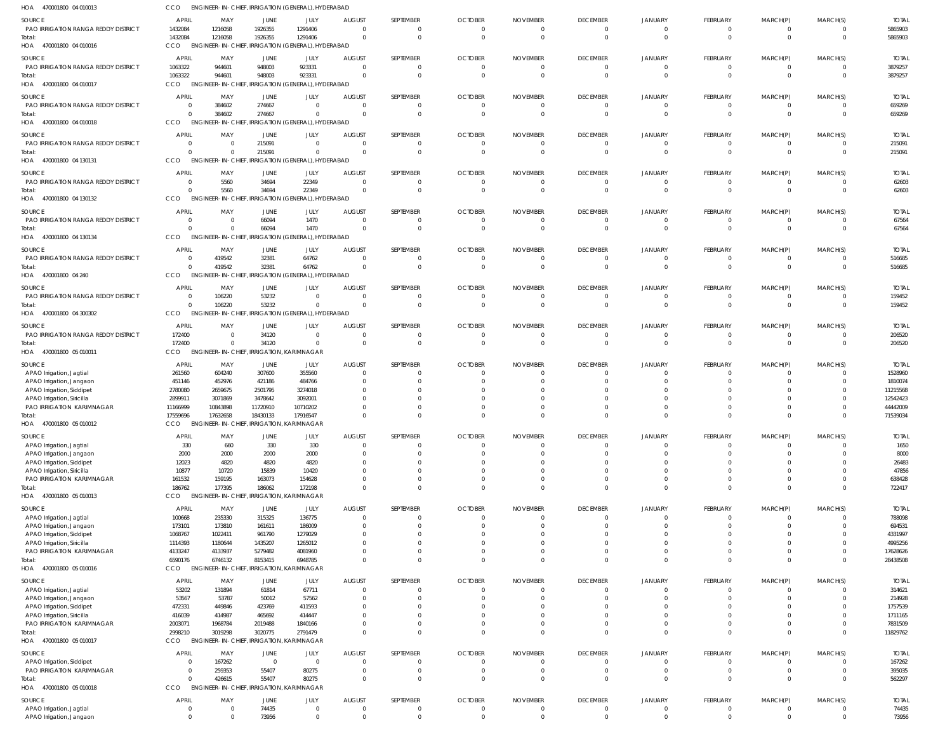| HOA 470001800 04 010013                                        | CCO                 | ENGINEER-IN-CHIEF, IRRIGATION (GENERAL), HYDERABAD |                      |                                                |                           |                              |                       |                             |                                   |                            |                            |                  |                      |                       |
|----------------------------------------------------------------|---------------------|----------------------------------------------------|----------------------|------------------------------------------------|---------------------------|------------------------------|-----------------------|-----------------------------|-----------------------------------|----------------------------|----------------------------|------------------|----------------------|-----------------------|
| SOURCE                                                         | <b>APRIL</b>        | MAY                                                | JUNE                 | JULY                                           | <b>AUGUST</b>             | SEPTEMBER                    | <b>OCTOBER</b>        | <b>NOVEMBER</b>             | <b>DECEMBER</b>                   | <b>JANUARY</b>             | FEBRUARY                   | MARCH(P)         | MARCH(S)             | <b>TOTAL</b>          |
| PAO IRRIGATION RANGA REDDY DISTRICT                            | 1432084             | 1216058                                            | 1926355              | 1291406                                        | $\Omega$                  | 0                            |                       |                             | $\overline{0}$                    | $\mathbf{0}$               | 0                          | 0                |                      | 5865903               |
| Total:                                                         | 1432084             | 1216058                                            | 1926355              | 1291406                                        |                           | $\overline{0}$               | $\Omega$              |                             | $\overline{0}$                    | $\Omega$                   | $\mathbf 0$                | $\mathbf{0}$     | $\Omega$             | 5865903               |
| HOA 470001800 04 010016                                        | <b>CCO</b>          | ENGINEER-IN-CHIEF, IRRIGATION (GENERAL), HYDERABAD |                      |                                                |                           |                              |                       |                             |                                   |                            |                            |                  |                      |                       |
| SOURCE                                                         | <b>APRI</b>         | MAY                                                | JUNE                 | JULY                                           | <b>AUGUST</b>             | SEPTEMBER                    | <b>OCTOBER</b>        | <b>NOVEMBER</b>             | <b>DECEMBER</b>                   | JANUARY                    | FEBRUARY                   | MARCH(P)         | MARCH(S)             | <b>TOTAI</b>          |
| PAO IRRIGATION RANGA REDDY DISTRICT                            | 1063322             | 944601                                             | 948003               | 923331                                         | $\Omega$                  | $\overline{0}$               | $\Omega$              | $\Omega$                    | $\overline{0}$                    | $\Omega$                   | $\overline{0}$             | $\mathbf{0}$     | $\Omega$             | 3879257               |
| Total:                                                         | 1063322             | 944601                                             | 948003               | 923331                                         |                           | $\overline{0}$               | $\Omega$              | $\mathsf{C}$                | $\overline{0}$                    | $\Omega$                   | $\mathbf 0$                | $\mathbf{0}$     | $\Omega$             | 3879257               |
| HOA 470001800 04 010017                                        | CCO                 | <b>ENGINEER-IN-CHIEF,</b>                          |                      | IRRIGATION (GENERAL), HYDERABAD                |                           |                              |                       |                             |                                   |                            |                            |                  |                      |                       |
| SOURCE                                                         | <b>APRIL</b>        | MAY                                                | JUNE                 | JULY                                           | <b>AUGUST</b>             | SEPTEMBER                    | <b>OCTOBER</b>        | <b>NOVEMBER</b>             | <b>DECEMBER</b>                   | JANUARY                    | <b>FEBRUARY</b>            | MARCH(P)         | MARCH(S)             | <b>TOTAL</b>          |
| PAO IRRIGATION RANGA REDDY DISTRICT                            | $\overline{0}$      | 384602                                             | 274667               | $\Omega$                                       | $\Omega$                  | $\overline{0}$               | - 0                   |                             | $\overline{0}$                    | $\Omega$                   | $\mathbf 0$                | $\mathbf{0}$     | $\Omega$             | 659269                |
| Total:                                                         | $\Omega$            | 384602                                             | 274667               | $\mathbf{0}$                                   | $\Omega$                  | $\overline{0}$               |                       |                             | $\overline{0}$                    | $\Omega$                   | $\mathbf 0$                | $\mathbf{0}$     | $\Omega$             | 659269                |
| HOA 470001800 04 010018                                        | <b>CCO</b>          | <b>ENGINEER-IN-CHIEF.</b>                          |                      | IRRIGATION (GENERAL), HYDERABAD                |                           |                              |                       |                             |                                   |                            |                            |                  |                      |                       |
| <b>SOURCE</b>                                                  | <b>APRIL</b>        | MAY                                                | <b>JUNE</b>          | JULY                                           | <b>AUGUST</b>             | SEPTEMBER                    | <b>OCTOBER</b>        | <b>NOVEMBER</b>             | <b>DECEMBER</b>                   | JANUARY                    | FEBRUARY                   | MARCH(P)         | MARCH(S)             | <b>TOTAL</b>          |
| PAO IRRIGATION RANGA REDDY DISTRICT                            | 0                   | $\Omega$                                           | 215091               | $\Omega$                                       | $\Omega$                  | $\overline{0}$               | - 0                   | $\Omega$                    | $\overline{0}$                    | $\Omega$                   | 0                          | 0                | $\Omega$             | 215091                |
| Total:<br>HOA 470001800 04 130131                              | $\Omega$<br>CCO     | $\Omega$<br><b>ENGINEER-IN-CHIEF,</b>              | 215091               | $\mathbf 0$<br>IRRIGATION (GENERAL), HYDERABAD | $\Omega$                  | $\overline{0}$               | $\Omega$              | - 0                         | $\overline{0}$                    | $\Omega$                   | $\overline{0}$             | $\mathbf{0}$     | $\Omega$             | 215091                |
|                                                                |                     |                                                    |                      |                                                |                           |                              |                       |                             |                                   |                            |                            |                  |                      |                       |
| <b>SOURCE</b>                                                  | <b>APRIL</b>        | MAY                                                | <b>JUNE</b><br>34694 | JULY<br>22349                                  | <b>AUGUST</b><br>- 0      | SEPTEMBER<br>$\Omega$        | <b>OCTOBER</b>        | <b>NOVEMBER</b>             | <b>DECEMBER</b><br>$\overline{0}$ | <b>JANUARY</b><br>$\Omega$ | <b>FEBRUARY</b>            | MARCH(P)         | MARCH(S)             | <b>TOTAL</b>          |
| PAO IRRIGATION RANGA REDDY DISTRICT<br>Total:                  | 0<br>$\Omega$       | 5560<br>5560                                       | 34694                | 22349                                          |                           | $\overline{0}$               |                       |                             | $\overline{0}$                    | $\Omega$                   | 0<br>$\mathbf 0$           | 0<br>$\mathbf 0$ | $\Omega$             | 62603<br>62603        |
| HOA 470001800 04 130132                                        | CCO                 | <b>ENGINEER-IN-CHIEF,</b>                          |                      | IRRIGATION (GENERAL), HYDERABAD                |                           |                              |                       |                             |                                   |                            |                            |                  |                      |                       |
|                                                                |                     |                                                    |                      |                                                |                           |                              |                       |                             |                                   |                            |                            |                  |                      |                       |
| <b>SOURCE</b><br>PAO IRRIGATION RANGA REDDY DISTRICT           | <b>APRIL</b><br>0   | MAY<br>$\Omega$                                    | JUNE<br>66094        | JULY<br>1470                                   | <b>AUGUST</b><br>$\Omega$ | SEPTEMBER<br>$\mathbf{0}$    | <b>OCTOBER</b><br>- 0 | <b>NOVEMBER</b><br>$\Omega$ | <b>DECEMBER</b><br>$\overline{0}$ | <b>JANUARY</b><br>$\Omega$ | FEBRUARY<br>0              | MARCH(P)<br>0    | MARCH(S)             | <b>TOTAL</b><br>67564 |
| Total:                                                         | $\Omega$            | $\Omega$                                           | 66094                | 1470                                           | $\Omega$                  | $\overline{0}$               | $\Omega$              | $\Omega$                    | $\overline{0}$                    | $\Omega$                   | $\overline{0}$             | $\mathbf{0}$     | $\Omega$             | 67564                 |
| HOA 470001800 04 130134                                        | CCO                 | ENGINEER-IN-CHIEF, IRRIGATION (GENERAL), HYDERABAD |                      |                                                |                           |                              |                       |                             |                                   |                            |                            |                  |                      |                       |
| SOURCE                                                         | <b>APRIL</b>        | MAY                                                | JUNE                 | JULY                                           | <b>AUGUST</b>             | SEPTEMBER                    | <b>OCTOBER</b>        | <b>NOVEMBER</b>             | <b>DECEMBER</b>                   | JANUARY                    | FEBRUARY                   | MARCH(P)         | MARCH(S)             | <b>TOTAL</b>          |
| <b>PAO IRRIGATION RANGA REDDY DISTRICT</b>                     | 0                   | 419542                                             | 32381                | 64762                                          | $\Omega$                  | $\overline{0}$               |                       | $\Omega$                    | $\overline{0}$                    | $\overline{0}$             | $\mathbf 0$                | $\mathbf{0}$     |                      | 516685                |
| Total:                                                         | $\Omega$            | 419542                                             | 32381                | 64762                                          |                           | $\Omega$                     |                       |                             | $\overline{0}$                    | $\Omega$                   | $\mathbf 0$                | $\mathbf 0$      | $\Omega$             | 516685                |
| HOA 470001800 04 240                                           | CCO                 | ENGINEER-IN-CHIEF, IRRIGATION (GENERAL), HYDERABAD |                      |                                                |                           |                              |                       |                             |                                   |                            |                            |                  |                      |                       |
| SOURCE                                                         | <b>APRIL</b>        | MAY                                                | JUNE                 | JULY                                           | <b>AUGUST</b>             | SEPTEMBER                    | <b>OCTOBER</b>        | <b>NOVEMBER</b>             | <b>DECEMBER</b>                   | <b>JANUARY</b>             | <b>FEBRUARY</b>            | MARCH(P)         | MARCH(S)             | <b>TOTAL</b>          |
| PAO IRRIGATION RANGA REDDY DISTRICT                            | 0                   | 106220                                             | 53232                | $\mathbf 0$                                    |                           | $\Omega$                     |                       | $\Omega$                    | $\overline{0}$                    | $\Omega$                   | 0                          | 0                | $\Omega$             | 159452                |
| Total:                                                         | $\overline{0}$      | 106220                                             | 53232                | $\mathbf 0$                                    | $\Omega$                  | $\overline{0}$               | $\Omega$              | $\Omega$                    | $\overline{0}$                    | $\Omega$                   | $\overline{0}$             | $\mathbf 0$      | $\Omega$             | 159452                |
| HOA 470001800 04 300302                                        | CCO                 | ENGINEER-IN-CHIEF, IRRIGATION (GENERAL), HYDERABAD |                      |                                                |                           |                              |                       |                             |                                   |                            |                            |                  |                      |                       |
| <b>SOURCE</b>                                                  | <b>APRIL</b>        | MAY                                                | <b>JUNE</b>          | JULY                                           | <b>AUGUST</b>             | SEPTEMBER                    | <b>OCTOBER</b>        | <b>NOVEMBER</b>             | <b>DECEMBER</b>                   | <b>JANUARY</b>             | FEBRUARY                   | MARCH(P)         | MARCH(S)             | <b>TOTAL</b>          |
| PAO IRRIGATION RANGA REDDY DISTRICT                            | 172400              | - 0                                                | 34120                | $\Omega$                                       | - 0                       | 0                            |                       |                             | $\overline{0}$                    | 0                          | 0                          | 0                |                      | 206520                |
| Total:                                                         | 172400              | $\Omega$                                           | 34120                | $\mathbf 0$                                    |                           | $\overline{0}$               |                       |                             | $\overline{0}$                    | $\Omega$                   | $\mathbf 0$                | $\mathbf 0$      | $\Omega$             | 206520                |
| HOA 470001800 05 010011                                        | CCO                 | ENGINEER-IN-CHIEF, IRRIGATION, KARIMNAGAR          |                      |                                                |                           |                              |                       |                             |                                   |                            |                            |                  |                      |                       |
| SOURCE                                                         | <b>APRIL</b>        | MAY                                                | JUNE                 | JULY                                           | <b>AUGUST</b>             | SEPTEMBER                    | <b>OCTOBER</b>        | <b>NOVEMBER</b>             | <b>DECEMBER</b>                   | <b>JANUARY</b>             | FEBRUARY                   | MARCH(P)         | MARCH(S)             | <b>TOTAL</b>          |
| APAO Irrigation, Jagtial                                       | 261560              | 604240                                             | 307600               | 355560                                         | $\Omega$                  | 0                            |                       |                             | $\overline{0}$                    |                            | 0                          | $\Omega$         |                      | 1528960               |
| APAO Irrigation, Jangaon                                       | 451146              | 452976                                             | 421186               | 484766                                         |                           | $\Omega$                     |                       |                             | $\Omega$                          |                            | $\Omega$                   | $\Omega$         | $\Omega$             | 1810074               |
| APAO Irrigation, Siddipet                                      | 2780080             | 2659675                                            | 2501795              | 3274018                                        |                           | $\Omega$                     |                       |                             |                                   |                            |                            |                  |                      | 11215568              |
| APAO Irrigation, Siricilla<br>PAO IRRIGATION KARIMNAGAR        | 2899911<br>11166999 | 3071869<br>10843898                                | 3478642<br>11720910  | 3092001<br>10710202                            |                           | $\Omega$<br>$\mathbf{0}$     |                       |                             | $\Omega$                          |                            | $\Omega$                   |                  |                      | 12542423<br>44442009  |
| Total:                                                         | 17559696            | 17632658                                           | 18430133             | 17916547                                       |                           | $\Omega$                     |                       |                             | $\Omega$                          | $\Omega$                   | $\Omega$                   | $\Omega$         | $\Omega$             | 71539034              |
| HOA 470001800 05 010012                                        | CCO                 | ENGINEER-IN-CHIEF, IRRIGATION, KARIMNAGAR          |                      |                                                |                           |                              |                       |                             |                                   |                            |                            |                  |                      |                       |
| SOURCE                                                         | <b>APRIL</b>        | MAY                                                | <b>JUNE</b>          | JULY                                           | <b>AUGUST</b>             | SEPTEMBER                    | <b>OCTOBER</b>        | <b>NOVEMBER</b>             | <b>DECEMBER</b>                   | <b>JANUARY</b>             | FEBRUARY                   | MARCH(P)         | MARCH(S)             | <b>TOTAL</b>          |
| APAO Irrigation, Jagtial                                       | 330                 | 660                                                | 330                  | 330                                            | - 0                       | $\mathbf{0}$                 |                       |                             | $\overline{0}$                    | $\Omega$                   | $\mathbf 0$                | $\overline{0}$   |                      | 1650                  |
| APAO Irrigation, Jangaon                                       | 2000                | 2000                                               | 2000                 | 2000                                           |                           | $\Omega$                     |                       |                             | $\Omega$                          | $\Omega$                   | $\Omega$                   | $\Omega$         |                      | 8000                  |
| APAO Irrigation, Siddipet                                      | 12023               | 4820                                               | 4820                 | 4820                                           |                           | $\Omega$                     |                       |                             | $\Omega$                          |                            | $\Omega$                   |                  |                      | 26483                 |
| APAO Irrigation, Siricilla                                     | 10877               | 10720                                              | 15839                | 10420                                          |                           | $\Omega$                     |                       |                             | $\Omega$                          | $\Omega$                   | $\Omega$                   |                  |                      | 47856                 |
| PAO IRRIGATION KARIMNAGAR                                      | 161532              | 159195                                             | 163073               | 154628                                         |                           | $\Omega$                     |                       |                             | $\Omega$                          | $\Omega$                   | $\Omega$                   | $\Omega$         |                      | 638428                |
| Total:                                                         | 186762<br>CCO       | 177395<br><b>ENGINEER-IN-CHIEF,</b>                | 186062               | 172198                                         |                           | $\Omega$                     |                       |                             | $\Omega$                          | $\Omega$                   | $\Omega$                   | $\Omega$         | $\Omega$             | 722417                |
| HOA<br>470001800 05 010013                                     |                     |                                                    |                      | IRRIGATION, KARIMNAGAR                         |                           |                              |                       |                             |                                   |                            |                            |                  |                      |                       |
| SOURCE                                                         | <b>APRIL</b>        | MAY                                                | JUNE                 | JULY                                           | <b>AUGUST</b>             | SEPTEMBER                    | <b>OCTOBER</b>        | <b>NOVEMBER</b>             | <b>DECEMBER</b>                   | <b>JANUARY</b>             | FEBRUARY                   | MARCH(P)         | MARCH(S)             | <b>TOTAI</b>          |
| APAO Irrigation, Jagtial                                       | 100668              | 235330                                             | 315325               | 136775<br>186009                               | $\Omega$                  | $\mathbf{0}$<br>$\mathbf{0}$ | - 0                   | $\Omega$<br>- (             | $\overline{0}$<br>$\overline{0}$  | $\Omega$<br>$\Omega$       | $\mathbf 0$<br>$\mathbf 0$ | $\Omega$         | $\Omega$<br>$\Omega$ | 788098                |
| APAO Irrigation, Jangaon<br>APAO Irrigation, Siddipet          | 173101<br>1068767   | 173810<br>1022411                                  | 161611<br>961790     | 1279029                                        |                           | $\Omega$                     |                       |                             | $\Omega$                          | $\Omega$                   | $\Omega$                   | 0                |                      | 694531<br>4331997     |
| APAO Irrigation, Siricilla                                     | 1114393             | 1180644                                            | 1435207              | 1265012                                        |                           | $\Omega$                     |                       |                             | $\Omega$                          | $\Omega$                   | $\Omega$                   |                  |                      | 4995256               |
| PAO IRRIGATION KARIMNAGAR                                      | 4133247             | 4133937                                            | 5279482              | 4081960                                        |                           | $\Omega$                     | $\Omega$              | $\Omega$                    | $\Omega$                          | $\Omega$                   | $\Omega$                   | $\Omega$         | $\Omega$             | 17628626              |
| Total:                                                         | 6590176             | 6746132                                            | 8153415              | 6948785                                        |                           | $\Omega$                     |                       |                             | $\Omega$                          | $\Omega$                   | $\Omega$                   | $\Omega$         | $\Omega$             | 28438508              |
| HOA 470001800 05 010016                                        | CCO                 | <b>ENGINEER-IN-CHIEF,</b>                          |                      | IRRIGATION, KARIMNAGAR                         |                           |                              |                       |                             |                                   |                            |                            |                  |                      |                       |
| SOURCE                                                         | <b>APRIL</b>        | MAY                                                | JUNE                 | JULY                                           | <b>AUGUST</b>             | SEPTEMBER                    | <b>OCTOBER</b>        | <b>NOVEMBER</b>             | <b>DECEMBER</b>                   | <b>JANUARY</b>             | FEBRUARY                   | MARCH(P)         | MARCH(S)             | <b>TOTAL</b>          |
| APAO Irrigation, Jagtial                                       | 53202               | 131894                                             | 61814                | 67711                                          |                           | $\Omega$                     |                       |                             | $\mathbf{0}$                      | 0                          | 0                          | 0                |                      | 314621                |
| APAO Irrigation, Jangaon                                       | 53567               | 53787                                              | 50012                | 57562                                          |                           | $\Omega$                     |                       |                             | $\Omega$                          | $\Omega$                   | $\Omega$                   | $\Omega$         |                      | 214928                |
| APAO Irrigation, Siddipet                                      | 472331              | 449846                                             | 423769               | 411593                                         |                           | $\Omega$                     |                       |                             | $\Omega$                          | $\Omega$                   | $\Omega$                   |                  |                      | 1757539               |
| APAO Irrigation, Siricilla<br><b>PAO IRRIGATION KARIMNAGAR</b> | 416039<br>2003071   | 414987<br>1968784                                  | 465692<br>2019488    | 414447<br>1840166                              |                           | $\Omega$<br>$\Omega$         |                       |                             | $\Omega$                          | $\Omega$<br>$\Omega$       | $\Omega$<br>$\Omega$       | $\Omega$         |                      | 1711165<br>7831509    |
| Total:                                                         | 2998210             | 3019298                                            | 3020775              | 2791479                                        |                           | $\overline{0}$               |                       |                             | $\Omega$                          | $\Omega$                   | $\Omega$                   | $\Omega$         | $\Omega$             | 11829762              |
| HOA 470001800 05 010017                                        | CCO                 | <b>ENGINEER-IN-CHIEF,</b>                          |                      | <b>IRRIGATION, KARIMNAGAR</b>                  |                           |                              |                       |                             |                                   |                            |                            |                  |                      |                       |
| <b>SOURCE</b>                                                  | <b>APRIL</b>        | MAY                                                | JUNE                 | JULY                                           | <b>AUGUST</b>             | SEPTEMBER                    | <b>OCTOBER</b>        | <b>NOVEMBER</b>             | <b>DECEMBER</b>                   | <b>JANUARY</b>             | <b>FEBRUARY</b>            | MARCH(P)         | MARCH(S)             | <b>TOTAL</b>          |
| APAO Irrigation, Siddipet                                      | 0                   | 167262                                             | $\overline{0}$       | $\mathbf 0$                                    | $\Omega$                  | $\overline{0}$               | $\Omega$              | $\Omega$                    | $\overline{0}$                    | $\overline{0}$             | $\mathbf 0$                | 0                |                      | 167262                |
| <b>PAO IRRIGATION KARIMNAGAR</b>                               | 0                   | 259353                                             | 55407                | 80275                                          | $\Omega$                  | $\overline{0}$               | $\Omega$              | $\Omega$                    | $\overline{0}$                    | $\Omega$                   | $\mathbf 0$                | $\mathbf 0$      | $\Omega$             | 395035                |
| Total:                                                         | $\Omega$            | 426615                                             | 55407                | 80275                                          | $\Omega$                  | $\overline{0}$               | $\Omega$              | -C                          | $\Omega$                          | $\Omega$                   | $\mathbf 0$                | $\mathbf{0}$     | $\Omega$             | 562297                |
| HOA 470001800 05 010018                                        | CCO                 | <b>ENGINEER-IN-CHIEF,</b>                          |                      | IRRIGATION, KARIMNAGAR                         |                           |                              |                       |                             |                                   |                            |                            |                  |                      |                       |
| SOURCE                                                         | <b>APRIL</b>        | MAY                                                | JUNE                 | JULY                                           | <b>AUGUST</b>             | SEPTEMBER                    | <b>OCTOBER</b>        | <b>NOVEMBER</b>             | <b>DECEMBER</b>                   | <b>JANUARY</b>             | FEBRUARY                   | MARCH(P)         | MARCH(S)             | <b>TOTAL</b>          |
| APAO Irrigation, Jagtial                                       | 0                   |                                                    | 74435                | $\mathbf{0}$                                   |                           | $\mathbf{0}$                 |                       |                             | $\overline{0}$                    | 0                          | $\mathbf 0$                | $\mathbf 0$      |                      | 74435                 |
| APAO Irrigation, Jangaon                                       |                     | $^{\circ}$                                         | 73956                | $\mathbf{0}$                                   | $\Omega$                  | $\overline{0}$               | $\Omega$              | $\Omega$                    | $\overline{0}$                    | $\Omega$                   | $\mathbf 0$                | $\mathbf{0}$     | $\Omega$             | 73956                 |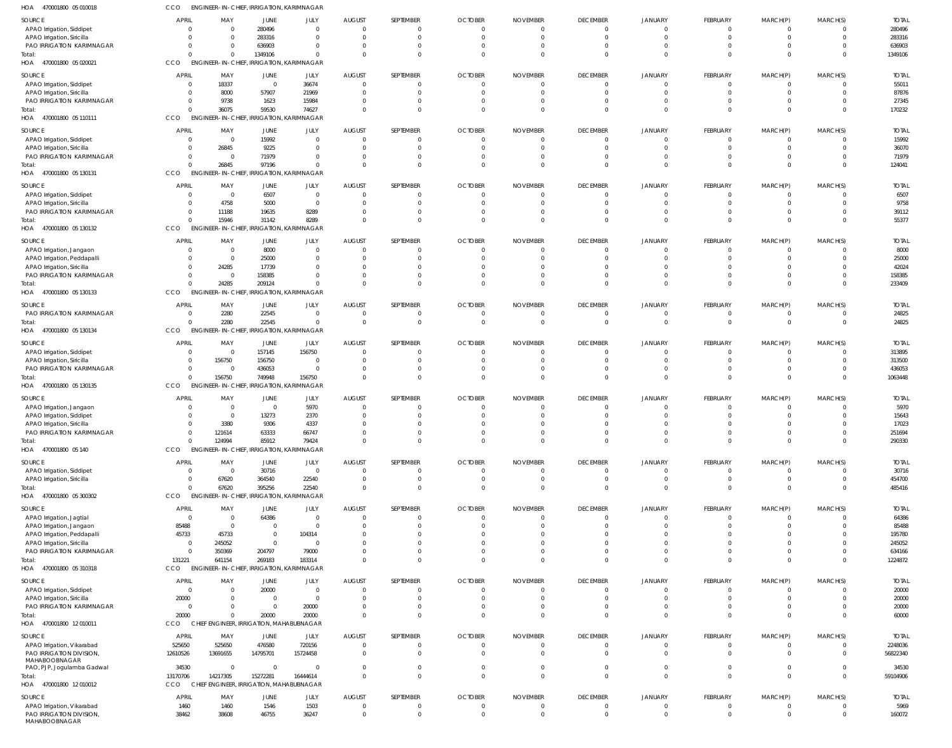| HOA<br>470001800 05 010018                                | ссо                      | <b>ENGINEER-IN-CHIEF, IRRIGATION, KARIMNAGAR</b> |                                        |                                |                      |                                  |                      |                 |                                   |                            |                            |                              |                      |                      |
|-----------------------------------------------------------|--------------------------|--------------------------------------------------|----------------------------------------|--------------------------------|----------------------|----------------------------------|----------------------|-----------------|-----------------------------------|----------------------------|----------------------------|------------------------------|----------------------|----------------------|
| SOURCE                                                    | <b>APRIL</b>             | MAY                                              | JUNE                                   | JULY                           | <b>AUGUST</b>        | SEPTEMBER                        | <b>OCTOBER</b>       | <b>NOVEMBER</b> | <b>DECEMBER</b>                   | JANUARY                    | FEBRUARY                   | MARCH(P)                     | MARCH(S)             | <b>TOTAI</b>         |
| APAO Irrigation, Siddipet                                 | 0                        | $\Omega$                                         | 280496                                 | $\Omega$                       | $\Omega$             | $\overline{0}$                   | $\Omega$             |                 | $\overline{0}$                    | $\Omega$                   | 0                          | $\mathbf{0}$                 | $\Omega$             | 280496               |
| APAO Irrigation, Siricilla                                | 0<br>$\Omega$            | $\Omega$                                         | 283316                                 | $\mathbf{0}$                   |                      | $\overline{0}$<br>$\mathbf{0}$   | $\Omega$             | -C              | $\overline{0}$<br>$\overline{0}$  | $\Omega$<br>$\Omega$       | $\mathbf 0$<br>$\mathbf 0$ | $\mathbf{0}$                 | $\Omega$<br>$\Omega$ | 283316<br>636903     |
| PAO IRRIGATION KARIMNAGAR<br>Total:                       | $\Omega$                 |                                                  | 636903<br>1349106                      | 0<br>$\Omega$                  | $\cap$               | $\Omega$                         | $\Omega$<br>$\Omega$ |                 | $\Omega$                          | $\Omega$                   | $\Omega$                   | 0<br>$\Omega$                | $\Omega$             | 1349106              |
| HOA 470001800 05 020021                                   | CCO                      | ENGINEER-IN-CHIEF, IRRIGATION, KARIMNAGAR        |                                        |                                |                      |                                  |                      |                 |                                   |                            |                            |                              |                      |                      |
| SOURCE                                                    | <b>APRIL</b>             | MAY                                              | JUNE                                   | JULY                           | <b>AUGUST</b>        | SEPTEMBER                        | <b>OCTOBER</b>       | <b>NOVEMBER</b> | <b>DECEMBER</b>                   | JANUARY                    | <b>FEBRUARY</b>            | MARCH(P)                     | MARCH(S)             | <b>TOTAI</b>         |
| APAO Irrigation, Siddipet                                 | 0                        | 18337                                            | $\overline{0}$                         | 36674                          |                      | $\mathbf 0$                      | $\cap$               |                 | $\overline{0}$                    | $\Omega$                   | $\mathbf 0$                | $\mathbf{0}$                 | $\Omega$             | 55011                |
| APAO Irrigation, Siricilla                                | 0                        | 8000                                             | 57907                                  | 21969                          |                      | $\overline{0}$                   |                      |                 | $\overline{0}$                    | $\Omega$                   | $\mathbf 0$                | $\mathbf{0}$                 | $\Omega$             | 87876                |
| PAO IRRIGATION KARIMNAGAR<br>Total:                       | 0<br>$\Omega$            | 9738<br>36075                                    | 1623<br>59530                          | 15984<br>74627                 |                      | $\mathbf 0$<br>$\Omega$          |                      |                 | $\Omega$<br>$\Omega$              | $\Omega$<br>$\Omega$       | $\mathbf 0$<br>$\Omega$    | $\mathbf 0$<br>$\mathbf{0}$  | $\Omega$<br>$\Omega$ | 27345<br>170232      |
| 470001800 05 110111<br>HOA                                | CCO                      | <b>ENGINEER-IN-CHIEF,</b>                        | <b>IRRIGATION, KARIMNAGAR</b>          |                                |                      |                                  |                      |                 |                                   |                            |                            |                              |                      |                      |
| SOURCE                                                    | <b>APRIL</b>             | MAY                                              | JUNE                                   | JULY                           | <b>AUGUST</b>        | SEPTEMBER                        | <b>OCTOBER</b>       | <b>NOVEMBER</b> | <b>DECEMBER</b>                   | JANUARY                    | FEBRUARY                   | MARCH(P)                     | MARCH(S)             | <b>TOTAI</b>         |
| APAO Irrigation, Siddipet                                 | $\overline{0}$           | $\Omega$                                         | 15992                                  | $\mathbf{0}$                   |                      | $\Omega$                         |                      |                 | $\overline{0}$                    | $\Omega$                   | $\Omega$                   | 0                            | $\Omega$             | 15992                |
| APAO Irrigation, Siricilla                                | 0                        | 26845                                            | 9225                                   | 0                              |                      | $\overline{0}$                   |                      |                 | $\overline{0}$                    | $\Omega$                   | 0                          | 0                            | $\Omega$             | 36070                |
| PAO IRRIGATION KARIMNAGAR<br>Total:                       | $\mathbf{0}$<br>$\Omega$ | $\Omega$<br>26845                                | 71979<br>97196                         | $\Omega$<br>$\Omega$           | $\cap$               | $\mathbf 0$<br>$\overline{0}$    | $\Omega$             |                 | $\overline{0}$<br>$\Omega$        | $\Omega$<br>$\Omega$       | $\Omega$<br>$\mathbf 0$    | $\Omega$<br>$\mathbf{0}$     | $\Omega$<br>$\Omega$ | 71979<br>124041      |
| HOA 470001800 05 130131                                   | CCO                      | ENGINEER-IN-CHIEF, IRRIGATION, KARIMNAGAR        |                                        |                                |                      |                                  |                      |                 |                                   |                            |                            |                              |                      |                      |
| SOURCE                                                    | <b>APRIL</b>             | MAY                                              | JUNE                                   | JULY                           | <b>AUGUST</b>        | SEPTEMBER                        | <b>OCTOBER</b>       | <b>NOVEMBER</b> | <b>DECEMBER</b>                   | <b>JANUARY</b>             | FEBRUARY                   | MARCH(P)                     | MARCH(S)             | <b>TOTAL</b>         |
| APAO Irrigation, Siddipet                                 | 0                        | $\overline{\mathbf{0}}$                          | 6507                                   | $\mathbf{0}$                   |                      | 0                                |                      |                 | $\overline{0}$                    | $\Omega$                   | 0                          | 0                            |                      | 6507                 |
| APAO Irrigation, Siricilla                                | 0                        | 4758                                             | 5000                                   | $\mathbf{0}$                   |                      | $\overline{0}$                   |                      |                 | $\Omega$                          | $\Omega$                   | $\mathbf 0$                | $\mathbf{0}$                 | $\Omega$             | 9758                 |
| PAO IRRIGATION KARIMNAGAR                                 | $\mathbf{0}$             | 11188                                            | 19635                                  | 8289                           |                      | $\overline{0}$                   |                      |                 | $\Omega$<br>$\Omega$              | $\Omega$                   | $\mathbf 0$                | $\mathbf 0$                  | $\Omega$             | 39112                |
| Total:<br>HOA 470001800 05 130132                         | $\Omega$<br>CCO          | 15946<br><b>ENGINEER-IN-CHIEF,</b>               | 31142<br><b>IRRIGATION, KARIMNAGAR</b> | 8289                           |                      | $\overline{0}$                   |                      |                 |                                   | $\Omega$                   | $\mathbf 0$                | $\mathbf{0}$                 | $\Omega$             | 55377                |
|                                                           | <b>APRIL</b>             |                                                  |                                        |                                |                      |                                  |                      |                 |                                   |                            |                            |                              |                      |                      |
| SOURCE<br>APAO Irrigation, Jangaon                        | 0                        | MAY<br>$\Omega$                                  | JUNE<br>8000                           | JULY<br>$\mathbf{0}$           | <b>AUGUST</b>        | SEPTEMBER<br>$\overline{0}$      | <b>OCTOBER</b>       | <b>NOVEMBER</b> | <b>DECEMBER</b><br>$\overline{0}$ | JANUARY<br>$\Omega$        | FEBRUARY<br>$\mathbf 0$    | MARCH(P)<br>0                | MARCH(S)             | <b>TOTAL</b><br>8000 |
| APAO Irrigation, Peddapalli                               | $\mathbf{0}$             | $\Omega$                                         | 25000                                  | $\mathbf{0}$                   |                      | $\overline{0}$                   |                      |                 | $\overline{0}$                    | $\Omega$                   | $\Omega$                   | $\Omega$                     | $\Omega$             | 25000                |
| APAO Irrigation, Siricilla                                | 0                        | 24285                                            | 17739                                  | $\Omega$                       |                      | $\Omega$                         |                      |                 | $\Omega$                          |                            | $\Omega$                   |                              | $\Omega$             | 42024                |
| PAO IRRIGATION KARIMNAGAR<br>Total:                       | $\Omega$<br>$\Omega$     | $\Omega$<br>24285                                | 158385<br>209124                       | $\Omega$<br>$\Omega$           |                      | $\Omega$<br>$\Omega$             |                      |                 | $\Omega$<br>$\Omega$              | $\Omega$<br>$\Omega$       | $\Omega$<br>$\Omega$       | $\Omega$<br>$\Omega$         | $\Omega$<br>$\Omega$ | 158385<br>233409     |
| HOA 470001800 05 130133                                   | CCO                      | <b>ENGINEER-IN-CHIEF,</b>                        | <b>IRRIGATION, KARIMNAGAR</b>          |                                |                      |                                  |                      |                 |                                   |                            |                            |                              |                      |                      |
| SOURCE                                                    | <b>APRIL</b>             | MAY                                              | JUNE                                   | JULY                           | <b>AUGUST</b>        | SEPTEMBER                        | <b>OCTOBER</b>       | <b>NOVEMBER</b> | <b>DECEMBER</b>                   | JANUARY                    | FEBRUARY                   | MARCH(P)                     | MARCH(S)             | <b>TOTAL</b>         |
| PAO IRRIGATION KARIMNAGAR                                 | 0                        | 2280                                             | 22545                                  | $\mathbf{0}$                   |                      | $\mathbf{0}$                     |                      |                 | $\overline{0}$                    | $\Omega$                   | $\mathbf 0$                | 0                            |                      | 24825                |
| Total:                                                    | $\Omega$                 | 2280                                             | 22545                                  | $\Omega$                       |                      | $\overline{0}$                   | $\Omega$             |                 | $\overline{0}$                    | $\Omega$                   | $\mathbf 0$                | $\mathbf 0$                  | $\Omega$             | 24825                |
| HOA 470001800 05 130134                                   | CCO                      | ENGINEER-IN-CHIEF, IRRIGATION, KARIMNAGAR        |                                        |                                |                      |                                  |                      |                 |                                   |                            |                            |                              |                      |                      |
| SOURCE                                                    | <b>APRIL</b>             | MAY                                              | JUNE                                   | JULY                           | <b>AUGUST</b>        | SEPTEMBER                        | <b>OCTOBER</b>       | <b>NOVEMBER</b> | <b>DECEMBER</b>                   | JANUARY                    | FEBRUARY                   | MARCH(P)                     | MARCH(S)             | <b>TOTAI</b>         |
| APAO Irrigation, Siddipet                                 | 0                        | $\overline{0}$                                   | 157145                                 | 156750                         |                      | $\mathbf{0}$                     |                      |                 | $\overline{0}$                    | $\Omega$                   | 0                          | $\Omega$                     |                      | 313895               |
| APAO Irrigation, Siricilla<br>PAO IRRIGATION KARIMNAGAR   | 0<br>$\overline{0}$      | 156750<br>$\Omega$                               | 156750<br>436053                       | $\overline{0}$<br>$\mathbf{0}$ |                      | $\overline{0}$<br>$\overline{0}$ | $\Omega$             |                 | $\overline{0}$<br>$\overline{0}$  | $\Omega$<br>$\Omega$       | $\mathbf 0$<br>$\mathbf 0$ | $\Omega$<br>$\Omega$         | $\Omega$<br>$\Omega$ | 313500<br>436053     |
| Total:                                                    | $\Omega$                 | 156750                                           | 749948                                 | 156750                         | $\Omega$             | $\overline{0}$                   |                      | $\Omega$        | $\Omega$                          | $\Omega$                   | $\mathbf 0$                | $\mathbf 0$                  | $\Omega$             | 1063448              |
| HOA 470001800 05 130135                                   | CCO                      | <b>ENGINEER-IN-CHIEF,</b>                        | <b>IRRIGATION, KARIMNAGAR</b>          |                                |                      |                                  |                      |                 |                                   |                            |                            |                              |                      |                      |
| SOURCE                                                    | <b>APRIL</b>             | MAY                                              | JUNE                                   | JULY                           | <b>AUGUST</b>        | SEPTEMBER                        | <b>OCTOBER</b>       | <b>NOVEMBER</b> | <b>DECEMBER</b>                   | JANUARY                    | FEBRUARY                   | MARCH(P)                     | MARCH(S)             | <b>TOTAL</b>         |
| APAO Irrigation, Jangaon                                  | 0                        | - 0                                              | $\overline{0}$                         | 5970                           |                      | $\overline{0}$                   |                      |                 | $\Omega$                          | $\Omega$                   | $\mathbf 0$                | 0                            |                      | 5970                 |
| APAO Irrigation, Siddipet<br>APAO Irrigation, Siricilla   | 0<br>$\Omega$            | $\Omega$<br>3380                                 | 13273<br>9306                          | 2370<br>4337                   |                      | $\overline{0}$<br>$\Omega$       |                      |                 | $\Omega$<br>$\Omega$              | $\Omega$                   | $\Omega$<br>$\Omega$       | $\Omega$<br>$\Omega$         | $\Omega$<br>$\Omega$ | 15643<br>17023       |
| PAO IRRIGATION KARIMNAGAR                                 | 0                        | 121614                                           | 63333                                  | 66747                          |                      | $\Omega$                         |                      |                 | $\Omega$                          | $\Omega$                   | -0                         |                              |                      | 251694               |
| Total:                                                    | $\Omega$                 | 124994                                           | 85912                                  | 79424                          | $\Omega$             | $\mathbf 0$                      | $\Omega$             |                 | $\overline{0}$                    | $\Omega$                   | $\mathbf 0$                | $\mathbf 0$                  | $\Omega$             | 290330               |
| HOA 470001800 05 140                                      | CCO                      | ENGINEER-IN-CHIEF, IRRIGATION, KARIMNAGAR        |                                        |                                |                      |                                  |                      |                 |                                   |                            |                            |                              |                      |                      |
| SOURCE                                                    | <b>APRIL</b>             | MAY                                              | <b>JUNE</b>                            | JULY                           | <b>AUGUST</b>        | SEPTEMBER                        | <b>OCTOBER</b>       | <b>NOVEMBER</b> | <b>DECEMBER</b>                   | JANUARY                    | <b>FEBRUARY</b>            | MARCH(P)                     | MARCH(S)             | <b>TOTAL</b>         |
| APAO Irrigation, Siddipet                                 | 0                        | $\Omega$                                         | 30716                                  | $\mathbf 0$                    | $\Omega$<br>$\Omega$ | $\overline{0}$<br>$\overline{0}$ | $\Omega$<br>$\Omega$ | -C              | $\overline{0}$<br>$\overline{0}$  | $\Omega$<br>$\Omega$       | $\mathbf 0$<br>$\mathbf 0$ | $\mathbf{0}$<br>$\mathbf{0}$ | $\Omega$             | 30716                |
| APAO Irrigation, Siricilla<br>Total:                      | 0<br>$\Omega$            | 67620<br>67620                                   | 364540<br>395256                       | 22540<br>22540                 | $\Omega$             | $\overline{0}$                   | $\Omega$             | - 0             | $\overline{0}$                    | $\Omega$                   | $\mathbf 0$                | $\mathbf 0$                  | $\Omega$             | 454700<br>485416     |
| HOA 470001800 05 300302                                   | CCO                      | <b>ENGINEER-IN-CHIEF,</b>                        | IRRIGATION, KARIMNAGAR                 |                                |                      |                                  |                      |                 |                                   |                            |                            |                              |                      |                      |
| SOURCE                                                    | <b>APRIL</b>             | MAY                                              | JUNE                                   | JULY                           | <b>AUGUST</b>        | SEPTEMBER                        | <b>OCTOBER</b>       | <b>NOVEMBER</b> | <b>DECEMBER</b>                   | <b>JANUARY</b>             | FEBRUARY                   | MARCH(P)                     | MARCH(S)             | <b>TOTAL</b>         |
| APAO Irrigation, Jagtial                                  | $\overline{0}$           | - 0                                              | 64386                                  | $\mathbf{0}$                   |                      | 0                                |                      |                 | $\overline{0}$                    | $\Omega$                   | 0                          | 0                            |                      | 64386                |
| APAO Irrigation, Jangaon                                  | 85488                    | $\Omega$                                         | $\overline{0}$                         | $\mathbf 0$                    |                      | $\overline{0}$                   |                      |                 | $\overline{0}$                    | $\Omega$                   | $\mathbf 0$                | $\mathbf{0}$                 | $\Omega$             | 85488                |
| APAO Irrigation, Peddapalli<br>APAO Irrigation, Siricilla | 45733<br>0               | 45733<br>245052                                  | $\overline{0}$<br>$\overline{0}$       | 104314<br>$\mathbf{0}$         |                      | $\Omega$<br>$\mathbf{0}$         |                      |                 | $\Omega$<br>$\Omega$              | $\Omega$<br>$\Omega$       | $\Omega$<br>$\Omega$       | $\Omega$<br>$\Omega$         | $\Omega$<br>$\Omega$ | 195780<br>245052     |
| PAO IRRIGATION KARIMNAGAR                                 | 0                        | 350369                                           | 204797                                 | 79000                          |                      | $\overline{0}$                   |                      |                 | $\Omega$                          | $\Omega$                   | $\Omega$                   | $\mathbf{0}$                 | $\Omega$             | 634166               |
| Total:                                                    | 131221                   | 641154                                           | 269183                                 | 183314                         |                      | $\overline{0}$                   |                      |                 | $\Omega$                          | $\Omega$                   | $\mathbf 0$                | $\mathbf{0}$                 | $\Omega$             | 1224872              |
| HOA 470001800 05 310318                                   | CCO                      | <b>ENGINEER-IN-CHIEF,</b>                        | IRRIGATION, KARIMNAGAR                 |                                |                      |                                  |                      |                 |                                   |                            |                            |                              |                      |                      |
| SOURCE                                                    | <b>APRIL</b>             | MAY                                              | <b>JUNE</b>                            | JULY                           | <b>AUGUST</b>        | SEPTEMBER                        | <b>OCTOBER</b>       | <b>NOVEMBER</b> | <b>DECEMBER</b>                   | JANUARY                    | FEBRUARY                   | MARCH(P)                     | MARCH(S)             | <b>TOTAL</b>         |
| APAO Irrigation, Siddipet<br>APAO Irrigation, Siricilla   | $\overline{0}$<br>20000  | $\Omega$<br>$\Omega$                             | 20000<br>$\overline{0}$                | $\mathbf{0}$<br>$\mathbf 0$    | $\Omega$             | $\overline{0}$<br>$\overline{0}$ | $\Omega$<br>$\Omega$ |                 | $\overline{0}$<br>$\overline{0}$  | $\Omega$<br>$\Omega$       | 0<br>$\mathbf 0$           | 0<br>$\mathbf{0}$            | $\Omega$<br>$\Omega$ | 20000<br>20000       |
| PAO IRRIGATION KARIMNAGAR                                 | $\overline{0}$           |                                                  | $\overline{0}$                         | 20000                          | $\Omega$             | $\overline{0}$                   | $\Omega$             |                 | $\overline{0}$                    | $\Omega$                   | $\mathbf 0$                | $\overline{0}$               | $\Omega$             | 20000                |
| Total:                                                    | 20000                    |                                                  | 20000                                  | 20000                          | $\Omega$             | $\Omega$                         | $\Omega$             |                 | $\Omega$                          | $\Omega$                   | $\Omega$                   | $\Omega$                     | $\Omega$             | 60000                |
| HOA 470001800 12010011                                    | CCO                      | CHIEF ENGINEER, IRRIGATION, MAHABUBNAGAR         |                                        |                                |                      |                                  |                      |                 |                                   |                            |                            |                              |                      |                      |
| SOURCE                                                    | <b>APRIL</b>             | MAY                                              | JUNE                                   | JULY                           | <b>AUGUST</b>        | SEPTEMBER                        | <b>OCTOBER</b>       | <b>NOVEMBER</b> | <b>DECEMBER</b>                   | JANUARY                    | FEBRUARY                   | MARCH(P)                     | MARCH(S)             | <b>TOTAL</b>         |
| APAO Irrigation, Vikarabad                                | 525650                   | 525650                                           | 476580                                 | 720156                         | $\Omega$             | $\overline{0}$                   | $\cap$               |                 | $\overline{0}$                    | $\Omega$                   | $\mathbf 0$                | $\mathbf{0}$                 | $\Omega$             | 2248036              |
| PAO IRRIGATION DIVISION,<br>MAHABOOBNAGAR                 | 12610526                 | 13691655                                         | 14795701                               | 15724458                       |                      | $\overline{0}$                   |                      |                 | $\overline{0}$                    | $\Omega$                   | $\mathbf 0$                | $\mathbf 0$                  | $\Omega$             | 56822340             |
| PAO, PJP, Jogulamba Gadwal                                | 34530                    | - 0                                              | $\overline{0}$                         | $\mathbf{0}$                   |                      | $\overline{0}$                   | $\Omega$             |                 | $\overline{0}$                    | $\Omega$                   | $\mathbf 0$                | $\mathbf{0}$                 | $\Omega$             | 34530                |
| Total:                                                    | 13170706                 | 14217305                                         | 15272281                               | 16444614                       |                      | $\overline{0}$                   | $\Omega$             |                 | $\Omega$                          | $\Omega$                   | $\mathbf 0$                | $\mathbf 0$                  | $\Omega$             | 59104906             |
| 470001800 12 010012<br>HOA                                | CCO                      | CHIEF ENGINEER, IRRIGATION, MAHABUBNAGAR         |                                        |                                |                      |                                  |                      |                 |                                   |                            |                            |                              |                      |                      |
| SOURCE                                                    | <b>APRIL</b>             | MAY                                              | JUNE                                   | JULY                           | <b>AUGUST</b>        | SEPTEMBER                        | <b>OCTOBER</b>       | <b>NOVEMBER</b> | <b>DECEMBER</b>                   | JANUARY                    | FEBRUARY                   | MARCH(P)                     | MARCH(S)             | <b>TOTAL</b>         |
| APAO Irrigation, Vikarabad<br>PAO IRRIGATION DIVISION     | 1460<br>38462            | 1460<br>38608                                    | 1546<br>46755                          | 1503<br>36247                  | $\Omega$             | $\overline{0}$<br>$\overline{0}$ |                      | - 0             | $\overline{0}$<br>$\overline{0}$  | $\overline{0}$<br>$\Omega$ | 0<br>$\mathbf 0$           | 0<br>$\mathbf 0$             | $\Omega$             | 5969<br>160072       |
| MAHABOOBNAGAR                                             |                          |                                                  |                                        |                                |                      |                                  |                      |                 |                                   |                            |                            |                              |                      |                      |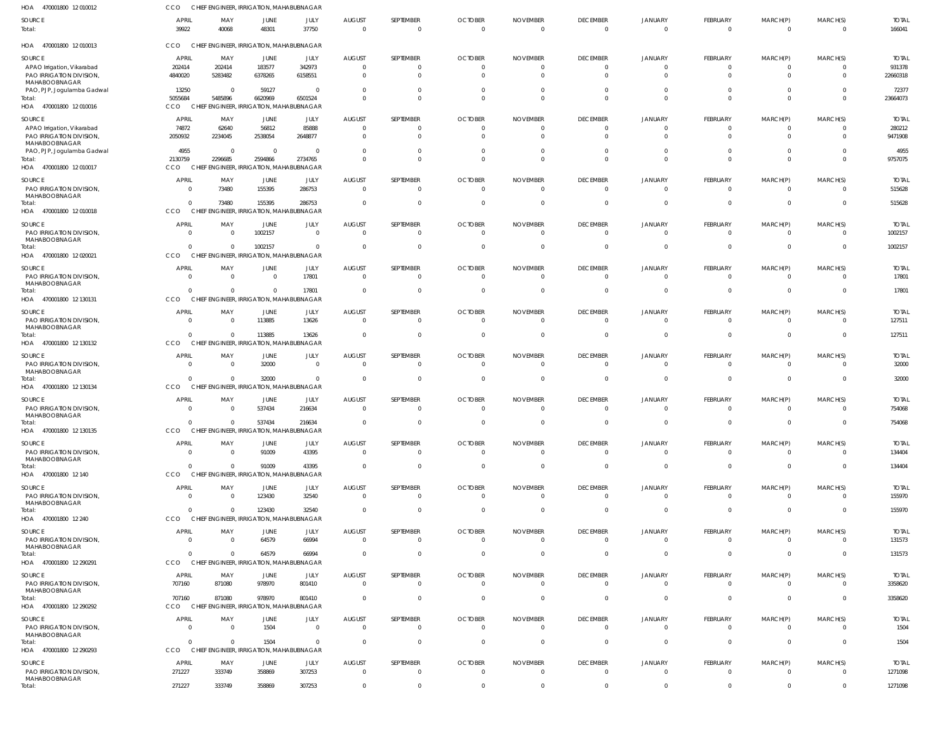| HOA 470001800 12 010012                                          | <b>CCO</b>                        | CHIEF ENGINEER, IRRIGATION, MAHABUBNAGAR                   |                           |                            |                                       |                                       |                                        |                                   |                                   |                                       |                                        |                                  |                                              |                                    |
|------------------------------------------------------------------|-----------------------------------|------------------------------------------------------------|---------------------------|----------------------------|---------------------------------------|---------------------------------------|----------------------------------------|-----------------------------------|-----------------------------------|---------------------------------------|----------------------------------------|----------------------------------|----------------------------------------------|------------------------------------|
| SOURCE<br>Total:                                                 | <b>APRIL</b><br>39922             | MAY<br>40068                                               | JUNE<br>48301             | JULY<br>37750              | <b>AUGUST</b><br>$\Omega$             | SEPTEMBER<br>$\mathbf{0}$             | <b>OCTOBER</b><br>$\Omega$             | <b>NOVEMBER</b><br>$\Omega$       | <b>DECEMBER</b><br>$\overline{0}$ | <b>JANUARY</b><br>$\mathbf{0}$        | <b>FEBRUARY</b><br>$\overline{0}$      | MARCH(P)<br>$\overline{0}$       | MARCH(S)<br>$\overline{0}$                   | <b>TOTAL</b><br>166041             |
| HOA 470001800 12010013                                           | CCO                               | CHIEF ENGINEER, IRRIGATION, MAHABUBNAGAR                   |                           |                            |                                       |                                       |                                        |                                   |                                   |                                       |                                        |                                  |                                              |                                    |
| SOURCE<br>APAO Irrigation, Vikarabad<br>PAO IRRIGATION DIVISION, | <b>APRIL</b><br>202414<br>4840020 | MAY<br>202414<br>5283482                                   | JUNE<br>183577<br>6378265 | JULY<br>342973<br>6158551  | <b>AUGUST</b><br>$\Omega$<br>$\Omega$ | SEPTEMBER<br>$\mathbf{0}$<br>$\Omega$ | <b>OCTOBER</b><br>$\Omega$<br>$\Omega$ | <b>NOVEMBER</b><br>-0<br>$\Omega$ | <b>DECEMBER</b><br>0<br>$\Omega$  | JANUARY<br>$\overline{0}$<br>$\Omega$ | FEBRUARY<br>$\overline{0}$<br>$\Omega$ | MARCH(P)<br>- 0<br>$\mathbf{0}$  | MARCH(S)<br>$\overline{0}$<br>$\overline{0}$ | <b>TOTAL</b><br>931378<br>22660318 |
| MAHABOOBNAGAR<br>PAO, PJP, Jogulamba Gadwal                      | 13250                             | - 0                                                        | 59127                     | $\Omega$                   | - 0                                   | $\Omega$                              | -0                                     |                                   | $\Omega$                          | $\overline{0}$                        | $\Omega$                               | $\Omega$                         | $\Omega$                                     | 72377                              |
| Total:<br>HOA 470001800 12 010016                                | 5055684<br><b>CCO</b>             | 5485896<br>CHIEF ENGINEER, IRRIGATION, MAHABUBNAGAR        | 6620969                   | 6501524                    | $\Omega$                              | $\Omega$                              | $\Omega$                               | $\Omega$                          | $\Omega$                          | $\Omega$                              | $\Omega$                               | $\Omega$                         | $\Omega$                                     | 23664073                           |
| SOURCE                                                           | APRIL                             | MAY                                                        | JUNE                      | JULY                       | <b>AUGUST</b>                         | SEPTEMBER                             | <b>OCTOBER</b>                         | <b>NOVEMBER</b>                   | <b>DECEMBER</b>                   | JANUARY                               | FEBRUARY                               | MARCH(P)                         | MARCH(S)                                     | <b>TOTAL</b>                       |
| APAO Irrigation, Vikarabad<br>PAO IRRIGATION DIVISION,           | 74872<br>2050932                  | 62640<br>2234045                                           | 56812<br>2538054          | 85888<br>2648877           | - 0                                   | $\mathbf{0}$<br>$\Omega$              |                                        | $\Omega$                          | $\overline{0}$<br>$\Omega$        | $\overline{0}$<br>$\Omega$            | $\overline{0}$<br>$\overline{0}$       | $\overline{0}$<br>$\overline{0}$ | $\overline{0}$<br>$\Omega$                   | 280212<br>9471908                  |
| MAHABOOBNAGAR<br>PAO, PJP, Jogulamba Gadwal                      | 4955                              | $\overline{\mathbf{0}}$                                    | $\Omega$                  | $\Omega$                   | $\Omega$                              | $\mathbf{0}$<br>$\mathbf 0$           | $\Omega$<br>$\Omega$                   | $\Omega$<br>$\Omega$              | $\overline{0}$<br>$\mathbf{0}$    | $\overline{0}$<br>$\overline{0}$      | $\overline{0}$<br>$\mathbf{0}$         | $\overline{0}$<br>$\mathbf{0}$   | $\Omega$<br>$\overline{0}$                   | 4955                               |
| Total:<br>HOA 470001800 12 010017                                | 2130759<br><b>CCO</b>             | 2296685<br>CHIEF ENGINEER, IRRIGATION, MAHABUBNAGAR        | 2594866                   | 2734765                    |                                       |                                       |                                        |                                   |                                   |                                       |                                        |                                  |                                              | 9757075                            |
| SOURCE<br>PAO IRRIGATION DIVISION,<br>MAHABOOBNAGAR              | <b>APRIL</b><br>$\mathbf{0}$      | MAY<br>73480                                               | JUNE<br>155395            | JULY<br>286753             | <b>AUGUST</b><br>$\Omega$             | SEPTEMBER<br>$\Omega$                 | <b>OCTOBER</b><br>$\Omega$             | <b>NOVEMBER</b><br>$\Omega$       | <b>DECEMBER</b><br>$\overline{0}$ | <b>JANUARY</b><br>$\Omega$            | FEBRUARY<br>$\Omega$                   | MARCH(P)<br>$\Omega$             | MARCH(S)<br>$\overline{0}$                   | <b>TOTAL</b><br>515628             |
| Total:<br>HOA 470001800 12 010018                                | $\Omega$<br>CCO                   | 73480<br>CHIEF ENGINEER, IRRIGATION, MAHABUBNAGAR          | 155395                    | 286753                     | -C                                    | $\mathbf{0}$                          | -0                                     | -0                                | $\overline{0}$                    | $\overline{0}$                        | $\overline{0}$                         | $\overline{0}$                   | $\overline{0}$                               | 515628                             |
| SOURCE                                                           | <b>APRIL</b>                      | MAY                                                        | JUNE                      | JULY                       | <b>AUGUST</b>                         | SEPTEMBER                             | <b>OCTOBER</b>                         | <b>NOVEMBER</b>                   | <b>DECEMBER</b>                   | <b>JANUARY</b>                        | FEBRUARY                               | MARCH(P)                         | MARCH(S)                                     | <b>TOTAL</b>                       |
| PAO IRRIGATION DIVISION,<br>MAHABOOBNAGAR<br>Total:              | $\overline{0}$<br>$\Omega$        | $\overline{0}$<br>$\Omega$                                 | 1002157<br>1002157        | $\overline{0}$<br>$\Omega$ | $\Omega$<br>$\Omega$                  | $\mathbf{0}$<br>$\mathbf{0}$          | $\Omega$                               | $\Omega$<br>$\Omega$              | $\overline{0}$<br>$\overline{0}$  | $\overline{0}$<br>$\overline{0}$      | $\overline{0}$<br>$\overline{0}$       | $\overline{0}$<br>$\mathbf 0$    | $\overline{0}$<br>$\overline{0}$             | 1002157<br>1002157                 |
| HOA 470001800 12 020021                                          | CCO                               | CHIEF ENGINEER, IRRIGATION, MAHABUBNAGAR                   |                           |                            |                                       |                                       |                                        |                                   |                                   |                                       |                                        |                                  |                                              |                                    |
| SOURCE<br>PAO IRRIGATION DIVISION,<br>MAHABOOBNAGAR              | <b>APRIL</b><br>$\Omega$          | MAY<br>$\overline{0}$                                      | JUNE<br>$\Omega$          | JULY<br>17801              | <b>AUGUST</b><br>$\Omega$             | SEPTEMBER<br>$\mathbf{0}$             | <b>OCTOBER</b><br>$\Omega$             | <b>NOVEMBER</b><br>$\Omega$       | <b>DECEMBER</b><br>$\overline{0}$ | <b>JANUARY</b><br>$\overline{0}$      | FEBRUARY<br>$\Omega$                   | MARCH(P)<br>$\Omega$             | MARCH(S)<br>$\overline{0}$                   | <b>TOTAL</b><br>17801              |
| Total:<br>HOA 470001800 12 130131                                | $\Omega$<br>CCO                   | $\Omega$<br>CHIEF ENGINEER, IRRIGATION, MAHABUBNAGAR       | $\Omega$                  | 17801                      | $\Omega$                              | $\mathbf{0}$                          |                                        |                                   | $\overline{0}$                    | $\Omega$                              | $\Omega$                               | $\overline{0}$                   | $\mathbf{0}$                                 | 17801                              |
| SOURCE<br>PAO IRRIGATION DIVISION,<br>MAHABOOBNAGAR              | <b>APRIL</b><br>$\overline{0}$    | MAY<br>$\overline{0}$                                      | JUNE<br>113885            | JULY<br>13626              | <b>AUGUST</b><br>$\Omega$             | SEPTEMBER<br>$\mathbf{0}$             | <b>OCTOBER</b><br>$\Omega$             | <b>NOVEMBER</b><br>$^{\circ}$     | <b>DECEMBER</b><br>$\overline{0}$ | JANUARY<br>$\overline{0}$             | FEBRUARY<br>$\overline{0}$             | MARCH(P)<br>$\mathbf 0$          | MARCH(S)<br>$\overline{0}$                   | <b>TOTAL</b><br>127511             |
| Total:<br>HOA 470001800 12 130132                                | $\Omega$<br>CCO                   | $\overline{0}$<br>CHIEF ENGINEER, IRRIGATION, MAHABUBNAGAR | 113885                    | 13626                      | $\Omega$                              | $\mathbf{0}$                          |                                        | $\Omega$                          | $\overline{0}$                    | $\Omega$                              | $\overline{0}$                         | $\overline{0}$                   | $\overline{0}$                               | 127511                             |
| SOURCE                                                           | <b>APRIL</b><br>$\Omega$          | MAY                                                        | JUNE                      | JULY<br>$\Omega$           | <b>AUGUST</b><br>-C                   | SEPTEMBER<br>$\Omega$                 | <b>OCTOBER</b><br>$\Omega$             | <b>NOVEMBER</b><br>$\Omega$       | <b>DECEMBER</b><br>$\overline{0}$ | JANUARY<br>$\Omega$                   | FEBRUARY<br>$\Omega$                   | MARCH(P)<br>$\Omega$             | MARCH(S)<br>$\Omega$                         | <b>TOTAL</b>                       |
| PAO IRRIGATION DIVISION,<br>MAHABOOBNAGAR<br>Total:              | $\Omega$                          | $\overline{0}$<br>$\overline{0}$                           | 32000<br>32000            | $\overline{0}$             | $\Omega$                              | $\mathbf{0}$                          | $\Omega$                               | $\Omega$                          | $\overline{0}$                    | $\Omega$                              | $\overline{0}$                         | $\overline{0}$                   | $\overline{0}$                               | 32000<br>32000                     |
| HOA 470001800 12 130134<br>SOURCE                                | CCO<br><b>APRIL</b>               | CHIEF ENGINEER, IRRIGATION, MAHABUBNAGAR<br>MAY            | JUNE                      | JULY                       | <b>AUGUST</b>                         | SEPTEMBER                             | <b>OCTOBER</b>                         | <b>NOVEMBER</b>                   | <b>DECEMBER</b>                   | <b>JANUARY</b>                        | FEBRUARY                               | MARCH(P)                         | MARCH(S)                                     | <b>TOTAL</b>                       |
| PAO IRRIGATION DIVISION,<br>MAHABOOBNAGAR                        | $\Omega$<br>$\Omega$              | $\Omega$<br>$\Omega$                                       | 537434<br>537434          | 216634                     | - 0                                   | $\mathbf{0}$                          |                                        | $\Omega$                          | $\overline{0}$                    | $\overline{0}$                        | $\overline{0}$                         | $\overline{0}$                   | $\Omega$                                     | 754068                             |
| Total:<br>HOA 470001800 12 130135                                | <b>CCO</b>                        | CHIEF ENGINEER, IRRIGATION, MAHABUBNAGAR                   |                           | 216634                     |                                       |                                       |                                        |                                   |                                   |                                       |                                        |                                  |                                              | 754068                             |
| SOURCE<br>PAO IRRIGATION DIVISION,<br>MAHABOOBNAGAR              | <b>APRIL</b><br>$^{\circ}$        | MAY<br>$\overline{0}$                                      | JUNE<br>91009             | JULY<br>43395              | <b>AUGUST</b><br>$\Omega$             | SEPTEMBER<br>$\mathbf{0}$             | <b>OCTOBER</b><br>$\Omega$             | <b>NOVEMBER</b><br>$\Omega$       | <b>DECEMBER</b><br>$\overline{0}$ | <b>JANUARY</b><br>$\overline{0}$      | <b>FEBRUARY</b><br>$\overline{0}$      | MARCH(P)<br>$\overline{0}$       | MARCH(S)<br>$\overline{0}$                   | <b>TOTAL</b><br>134404             |
| Total:<br>HOA 470001800 12 140                                   | $\Omega$<br>CCO                   | $\Omega$<br>CHIEF ENGINEER, IRRIGATION, MAHABUBNAGAR       | 91009                     | 43395                      | $\Omega$                              | $\Omega$                              |                                        | $\Omega$                          | $\overline{0}$                    | $\Omega$                              | $\Omega$                               | $\overline{0}$                   | $\overline{0}$                               | 134404                             |
| SOURCE<br><b>PAO IRRIGATION DIVISION,</b><br>MAHABOOBNAGAR       | <b>APRIL</b><br>$\Omega$          | MAY<br>$\overline{0}$                                      | JUNE<br>123430            | JULY<br>32540              | <b>AUGUST</b><br>$\Omega$             | SEPTEMBER<br>$\mathbf{0}$             | <b>OCTOBER</b><br>$\Omega$             | <b>NOVEMBER</b><br>$\Omega$       | <b>DECEMBER</b><br>$\overline{0}$ | JANUARY<br>$\overline{0}$             | FEBRUARY<br>$\overline{0}$             | MARCH(P)<br>$\overline{0}$       | MARCH(S)<br>$\overline{0}$                   | <b>TOTAL</b><br>155970             |
| Total:<br>HOA 470001800 12 240                                   | $\Omega$<br><b>CCO</b>            | $\Omega$<br>CHIEF ENGINEER, IRRIGATION, MAHABUBNAGAR       | 123430                    | 32540                      | $\Omega$                              | $\mathbf{0}$                          | $\Omega$                               | $\Omega$                          | $\overline{0}$                    | $\mathbf 0$                           | $\overline{0}$                         | $\overline{0}$                   | $\overline{0}$                               | 155970                             |
| SOURCE<br>PAO IRRIGATION DIVISION,                               | <b>APRIL</b><br>$\Omega$          | MAY<br>$\Omega$                                            | JUNE<br>64579             | JULY<br>66994              | <b>AUGUST</b><br>$\Omega$             | SEPTEMBER<br>$\Omega$                 | <b>OCTOBER</b><br>$\Omega$             | <b>NOVEMBER</b><br>$\Omega$       | <b>DECEMBER</b><br>$\Omega$       | JANUARY<br>$\overline{0}$             | FEBRUARY<br>$\Omega$                   | MARCH(P)<br>- 0                  | MARCH(S)<br>$\Omega$                         | <b>TOTAL</b><br>131573             |
| MAHABOOBNAGAR<br>Total:<br>HOA 470001800 12 290291               | $\Omega$<br>CCO                   | $\Omega$<br>CHIEF ENGINEER, IRRIGATION, MAHABUBNAGAR       | 64579                     | 66994                      | -C                                    | $\Omega$                              | $\Omega$                               | $\Omega$                          | $\overline{0}$                    | $\mathbf 0$                           | $\overline{0}$                         | $\overline{0}$                   | $\overline{0}$                               | 131573                             |
| SOURCE<br>PAO IRRIGATION DIVISION,                               | APRIL<br>707160                   | MAY<br>871080                                              | JUNE<br>978970            | JULY<br>801410             | <b>AUGUST</b><br>$\Omega$             | SEPTEMBER<br>$\mathbf{0}$             | <b>OCTOBER</b><br>$\Omega$             | <b>NOVEMBER</b><br>$\Omega$       | <b>DECEMBER</b><br>$\overline{0}$ | JANUARY<br>$\overline{0}$             | FEBRUARY<br>$\overline{0}$             | MARCH(P)<br>0                    | MARCH(S)<br>$\overline{0}$                   | <b>TOTAL</b><br>3358620            |
| MAHABOOBNAGAR<br>Total:<br>HOA 470001800 12 290292               | 707160<br><b>CCO</b>              | 871080<br>CHIEF ENGINEER, IRRIGATION, MAHABUBNAGAR         | 978970                    | 801410                     | $\Omega$                              | $\mathbf{0}$                          | $\Omega$                               | $\Omega$                          | $\overline{0}$                    | $\mathbf 0$                           | $\overline{0}$                         | $\overline{0}$                   | $\overline{0}$                               | 3358620                            |
| SOURCE<br>PAO IRRIGATION DIVISION,                               | <b>APRIL</b><br>$\Omega$          | MAY<br>$\Omega$                                            | JUNE<br>1504              | JULY<br>$\Omega$           | <b>AUGUST</b><br>$\Omega$             | SEPTEMBER<br>$\mathbf{0}$             | <b>OCTOBER</b><br>$\Omega$             | <b>NOVEMBER</b><br>$\Omega$       | <b>DECEMBER</b><br>$\overline{0}$ | JANUARY<br>$\overline{0}$             | FEBRUARY<br>$\overline{0}$             | MARCH(P)<br>0                    | MARCH(S)<br>$\overline{0}$                   | <b>TOTAL</b><br>1504               |
| MAHABOOBNAGAR<br>Total:<br>HOA 470001800 12 290293               | $\Omega$<br>CCO                   | $\Omega$<br>CHIEF ENGINEER, IRRIGATION, MAHABUBNAGAR       | 1504                      | $\Omega$                   | -C                                    | $\Omega$                              | $\Omega$                               | $\Omega$                          | $\overline{0}$                    | $\overline{0}$                        | $\overline{0}$                         | $\overline{0}$                   | $\overline{0}$                               | 1504                               |
| SOURCE<br>PAO IRRIGATION DIVISION,                               | APRIL<br>271227                   | MAY<br>333749                                              | JUNE<br>358869            | JULY<br>307253             | <b>AUGUST</b><br>$\Omega$             | SEPTEMBER<br>$\mathbf{0}$             | <b>OCTOBER</b><br>$\Omega$             | <b>NOVEMBER</b><br>$\Omega$       | <b>DECEMBER</b><br>$\overline{0}$ | JANUARY<br>$\overline{0}$             | FEBRUARY<br>$\overline{0}$             | MARCH(P)<br>$\overline{0}$       | MARCH(S)<br>$\overline{0}$                   | <b>TOTAL</b><br>1271098            |
| MAHABOOBNAGAR<br>Total:                                          | 271227                            | 333749                                                     | 358869                    | 307253                     | $\Omega$                              | $\mathbf{0}$                          | $\Omega$                               | $\Omega$                          | $\overline{0}$                    | $\overline{0}$                        | $\overline{0}$                         | $\overline{0}$                   | $\overline{0}$                               | 1271098                            |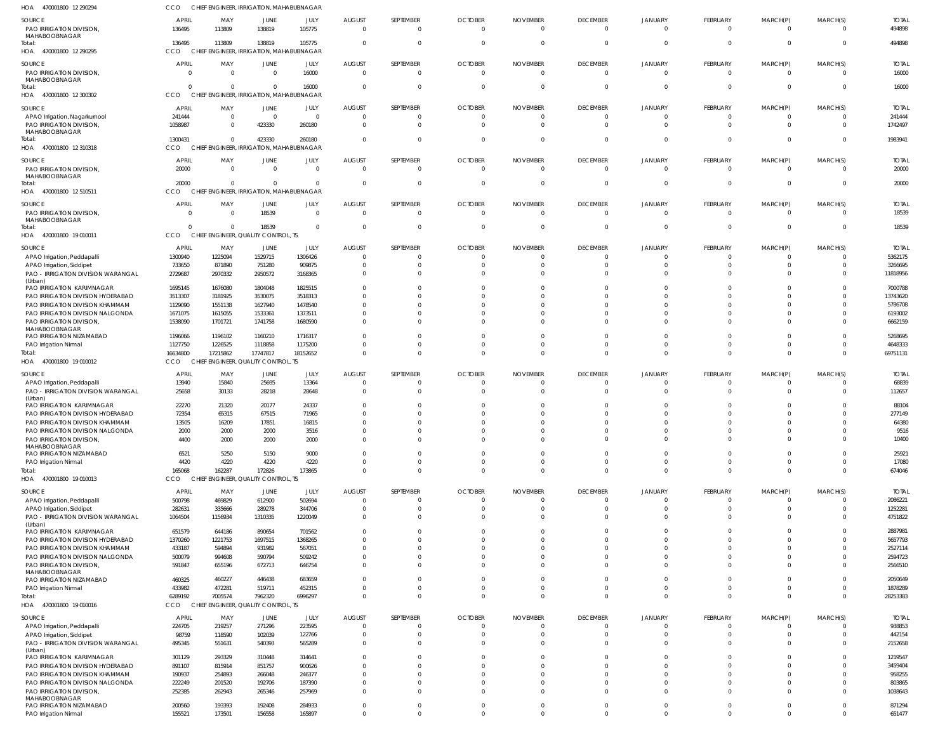| HOA 470001800 12 290294                                                       | CCO                               |                        | CHIEF ENGINEER, IRRIGATION, MAHABUBNAGAR            |                                  |                                       |                                   |                                        |                                         |                                   |                                        |                                  |                                  |                                        |                                   |
|-------------------------------------------------------------------------------|-----------------------------------|------------------------|-----------------------------------------------------|----------------------------------|---------------------------------------|-----------------------------------|----------------------------------------|-----------------------------------------|-----------------------------------|----------------------------------------|----------------------------------|----------------------------------|----------------------------------------|-----------------------------------|
| SOURCE<br>PAO IRRIGATION DIVISION,<br>MAHABOOBNAGAR                           | <b>APRIL</b><br>136495            | MAY<br>113809          | JUNE<br>138819                                      | JULY<br>105775                   | <b>AUGUST</b><br>$\Omega$             | SEPTEMBER<br>$\Omega$             | <b>OCTOBER</b><br>$\mathbf 0$          | <b>NOVEMBER</b><br>$\Omega$             | <b>DECEMBER</b><br>$\overline{0}$ | <b>JANUARY</b><br>$\overline{0}$       | FEBRUARY<br>$\Omega$             | MARCH(P)<br>$\Omega$             | MARCH(S)<br>$^{\circ}$                 | <b>TOTAL</b><br>494898            |
| Total:<br>HOA 470001800 12 290295                                             | 136495<br>cco                     | 113809<br><b>CHIEF</b> | 138819<br><b>ENGINEER, IRRIGATION, MAHABUBNAGAR</b> | 105775                           | $\Omega$                              | $\Omega$                          | $\Omega$                               | 0                                       | $\overline{0}$                    | $\overline{0}$                         | $\Omega$                         | $\Omega$                         | $\overline{0}$                         | 494898                            |
| SOURCE<br>PAO IRRIGATION DIVISION,<br>MAHABOOBNAGAR                           | <b>APRIL</b><br>$\Omega$          | MAY<br>$\Omega$        | <b>JUNE</b><br>$\mathbf{0}$                         | JULY<br>16000                    | <b>AUGUST</b><br>$\Omega$             | SEPTEMBER<br>$\Omega$             | <b>OCTOBER</b><br>$\Omega$             | <b>NOVEMBER</b><br>$\Omega$             | <b>DECEMBER</b><br>$\overline{0}$ | <b>JANUARY</b><br>$\overline{0}$       | FEBRUARY<br>$\Omega$             | MARCH(P)<br>$\Omega$             | MARCH(S)<br>$\overline{0}$             | <b>TOTAL</b><br>16000             |
| Total:<br>HOA 470001800 12 300302                                             | $\Omega$<br>CCO                   | <b>CHIEF</b>           | $\Omega$<br>ENGINEER, IRRIGATION, MAHABUBNAGAR      | 16000                            | $\Omega$                              | $\Omega$                          | $\Omega$                               | $\Omega$                                | $\Omega$                          | $\overline{0}$                         | $\Omega$                         | $\Omega$                         | $\overline{0}$                         | 16000                             |
|                                                                               |                                   |                        |                                                     |                                  |                                       |                                   |                                        |                                         |                                   |                                        |                                  |                                  |                                        |                                   |
| SOURCE<br>APAO Irrigation, Nagarkurnool<br>PAO IRRIGATION DIVISION,           | <b>APRIL</b><br>241444<br>1058987 | MAY<br>$\Omega$        | JUNE<br>$\overline{0}$<br>423330                    | JULY<br>$\overline{0}$<br>260180 | <b>AUGUST</b><br>$\Omega$<br>$\Omega$ | SEPTEMBER<br>$\Omega$<br>$\Omega$ | <b>OCTOBER</b><br>$\Omega$<br>$\Omega$ | <b>NOVEMBER</b><br>$\Omega$<br>$\Omega$ | <b>DECEMBER</b><br>0<br>$\Omega$  | <b>JANUARY</b><br>$\Omega$<br>$\Omega$ | FEBRUARY<br>$\Omega$<br>$\Omega$ | MARCH(P)<br>$\Omega$<br>$\Omega$ | MARCH(S)<br>$\Omega$<br>$\overline{0}$ | <b>TOTAL</b><br>241444<br>1742497 |
| MAHABOOBNAGAR<br>Total:<br>HOA 470001800 12 310318                            | 1300431<br>CCO                    | $\Omega$               | 423330<br>CHIEF ENGINEER, IRRIGATION, MAHABUBNAGAR  | 260180                           | $\Omega$                              | $\Omega$                          | $\Omega$                               | $\Omega$                                | $\overline{0}$                    | $\Omega$                               | $\Omega$                         | $\Omega$                         | $\overline{0}$                         | 1983941                           |
| SOURCE                                                                        | <b>APRIL</b>                      | MAY                    | JUNE                                                | JULY                             | <b>AUGUST</b>                         | SEPTEMBER                         | <b>OCTOBER</b>                         | <b>NOVEMBER</b>                         | <b>DECEMBER</b>                   | <b>JANUARY</b>                         | FEBRUARY                         | MARCH(P)                         | MARCH(S)                               | <b>TOTAL</b>                      |
| PAO IRRIGATION DIVISION,<br>MAHABOOBNAGAR<br>Total:                           | 20000<br>20000                    | $\Omega$<br>$\Omega$   | $\Omega$<br>$\Omega$                                | $\overline{0}$<br>$\Omega$       | $\Omega$<br>$\Omega$                  | $\Omega$<br>$\Omega$              | $\Omega$<br>$\Omega$                   | $\Omega$<br>$\Omega$                    | $\overline{0}$<br>$\overline{0}$  | $\mathbf{0}$<br>$\overline{0}$         | $\Omega$<br>$\Omega$             | $\Omega$<br>$\Omega$             | $\overline{0}$<br>$\overline{0}$       | 20000<br>20000                    |
| HOA 470001800 12 510511                                                       | CCO                               |                        | CHIEF ENGINEER, IRRIGATION, MAHABUBNAGAR            |                                  |                                       |                                   |                                        |                                         |                                   |                                        |                                  |                                  |                                        |                                   |
| SOURCE<br>PAO IRRIGATION DIVISION,<br>MAHABOOBNAGAR                           | <b>APRIL</b><br>$\Omega$          | MAY<br>$\Omega$        | JUNE<br>18539                                       | JULY<br>$\overline{0}$           | <b>AUGUST</b><br>$\overline{0}$       | SEPTEMBER<br>$\mathbf 0$          | <b>OCTOBER</b><br>$\overline{0}$       | <b>NOVEMBER</b><br>$\overline{0}$       | <b>DECEMBER</b><br>$\overline{0}$ | JANUARY<br>$\overline{0}$              | FEBRUARY<br>$\Omega$             | MARCH(P)<br>$\Omega$             | MARCH(S)<br>$\Omega$                   | <b>TOTAL</b><br>18539             |
| Total:<br>HOA 470001800 19 010011                                             | $\Omega$<br>CCO                   | $\Omega$               | 18539<br>CHIEF ENGINEER, QUALITY CONTROL, TS        | $\overline{0}$                   | $\Omega$                              | $\mathbf 0$                       | 0                                      | $\mathbf 0$                             | $\overline{0}$                    | $\overline{0}$                         | $\overline{0}$                   | $\overline{0}$                   | $\overline{0}$                         | 18539                             |
|                                                                               | <b>APRIL</b>                      | MAY                    |                                                     |                                  | <b>AUGUST</b>                         | SEPTEMBER                         | <b>OCTOBER</b>                         | <b>NOVEMBER</b>                         | <b>DECEMBER</b>                   | <b>JANUARY</b>                         | <b>FEBRUARY</b>                  | MARCH(P)                         | MARCH(S)                               | <b>TOTAL</b>                      |
| SOURCE                                                                        |                                   |                        | JUNE                                                | JULY                             |                                       |                                   | 0                                      |                                         | 0                                 | 0                                      | $\Omega$                         |                                  | $\Omega$                               | 5362175                           |
| APAO Irrigation, Peddapalli                                                   | 1300940                           | 1225094                | 1529715                                             | 1306426                          |                                       | $\Omega$                          |                                        |                                         | 0                                 | C                                      | $\Omega$                         | $\Omega$                         | - 0                                    | 3266695                           |
| APAO Irrigation, Siddipet<br>PAO - IRRIGATION DIVISION WARANGAL<br>(Urban)    | 733650<br>2729687                 | 871890<br>2970332      | 751280<br>2950572                                   | 909875<br>3168365                |                                       |                                   |                                        |                                         | $\Omega$                          | $\Omega$                               | $\Omega$                         | $\Omega$                         | $\Omega$                               | 11818956                          |
| PAO IRRIGATION KARIMNAGAR                                                     | 1695145                           | 1676080                | 1804048                                             | 1825515                          |                                       |                                   |                                        |                                         | $\Omega$                          |                                        |                                  |                                  | $\Omega$                               | 7000788                           |
| PAO IRRIGATION DIVISION HYDERABAD                                             | 3513307                           | 3181925                | 3530075                                             | 3518313                          |                                       |                                   |                                        |                                         |                                   |                                        |                                  |                                  | $\Omega$                               | 13743620                          |
| PAO IRRIGATION DIVISION KHAMMAM                                               | 1129090                           | 1551138                | 1627940                                             | 1478540                          |                                       |                                   |                                        |                                         | $\Omega$                          |                                        | $\Omega$                         |                                  | $\Omega$                               | 5786708                           |
| PAO IRRIGATION DIVISION NALGONDA<br>PAO IRRIGATION DIVISION,<br>MAHABOOBNAGAR | 1671075<br>1538090                | 1615055<br>1701721     | 1533361<br>1741758                                  | 1373511<br>1680590               |                                       |                                   |                                        |                                         | $\Omega$<br>$\Omega$              | C<br>$\Omega$                          | $\Omega$<br>$\Omega$             | $\Omega$                         | $\Omega$<br>$\Omega$                   | 6193002<br>6662159                |
| PAO IRRIGATION NIZAMABAD                                                      | 1196066                           | 1196102                | 1160210                                             | 1716317                          |                                       | $\Omega$                          |                                        |                                         | $\Omega$                          | $\Omega$                               | $\Omega$                         | $\Omega$                         | $\overline{0}$                         | 5268695                           |
| PAO Irrigation Nirmal                                                         | 1127750                           | 1226525                | 1118858                                             | 1175200                          |                                       | $\Omega$                          | $\Omega$                               | $\Omega$                                | 0                                 | $\Omega$                               | $\Omega$                         | $\Omega$                         | $\mathbf{0}$                           | 4648333                           |
| Total:                                                                        | 16634800                          | 17215862               | 17747817                                            | 18152652                         |                                       |                                   |                                        | $\Omega$                                | $\Omega$                          | $\Omega$                               | $\Omega$                         | $\Omega$                         | $\Omega$                               | 69751131                          |
| HOA 470001800 19 010012                                                       | CCO                               | <b>CHIEF</b>           | <b>ENGINEER, QUALITY CONTROL, TS</b>                |                                  |                                       |                                   |                                        |                                         |                                   |                                        |                                  |                                  |                                        |                                   |
| SOURCE                                                                        | <b>APRIL</b>                      | MAY                    | JUNE                                                | JULY                             | <b>AUGUST</b>                         | SEPTEMBER                         | <b>OCTOBER</b>                         | <b>NOVEMBER</b>                         | <b>DECEMBER</b>                   | <b>JANUARY</b>                         | FEBRUARY                         | MARCH(P)                         | MARCH(S)                               | <b>TOTAL</b>                      |
| APAO Irrigation, Peddapalli                                                   | 13940                             | 15840                  | 25695                                               | 13364                            | $\Omega$                              |                                   | 0                                      | $\Omega$                                | 0                                 | 0                                      | $\Omega$                         | - 0                              | $\Omega$                               | 68839                             |
| PAO - IRRIGATION DIVISION WARANGAL<br>(Urban)                                 | 25658                             | 30133                  | 28218                                               | 28648                            |                                       | $\Omega$                          |                                        |                                         | $\Omega$                          | $\Omega$                               | $\Omega$                         | $\Omega$                         | $\Omega$                               | 112657                            |
| PAO IRRIGATION KARIMNAGAR                                                     | 22270                             | 21320                  | 20177                                               | 24337                            |                                       |                                   |                                        |                                         | $\Omega$                          | $\Omega$                               |                                  |                                  | $\Omega$                               | 88104                             |
| PAO IRRIGATION DIVISION HYDERABAD                                             | 72354                             | 65315                  | 67515                                               | 71965                            |                                       |                                   |                                        |                                         | $\Omega$                          |                                        | $\Omega$                         |                                  | 0                                      | 277149                            |
| PAO IRRIGATION DIVISION KHAMMAM                                               | 13505                             | 16209                  | 17851                                               | 16815                            |                                       |                                   |                                        |                                         | $\Omega$                          | $\Omega$                               |                                  |                                  | $\Omega$                               | 64380                             |
| PAO IRRIGATION DIVISION NALGONDA<br>PAO IRRIGATION DIVISION.<br>MAHABOOBNAGAR | 2000<br>4400                      | 2000<br>2000           | 2000<br>2000                                        | 3516<br>2000                     | $\Omega$                              | $\Omega$                          | $\Omega$                               |                                         | $\Omega$                          | $\Omega$                               | $\Omega$                         | $\Omega$                         | $\Omega$                               | 9516<br>10400                     |
| PAO IRRIGATION NIZAMABAD                                                      | 6521                              | 5250                   | 5150                                                | 9000                             |                                       | $\Omega$                          | $\Omega$                               | $\Omega$                                | $\Omega$                          | $\Omega$                               | $\Omega$                         | $\Omega$                         | $\Omega$                               | 25921                             |
| PAO Irrigation Nirmal                                                         | 4420                              | 4220                   | 4220                                                | 4220                             | $\Omega$                              | $\Omega$                          | $\Omega$                               | $\Omega$                                | $\Omega$                          | $\Omega$                               | $\Omega$                         | $\Omega$                         | $\Omega$                               | 17080                             |
| Total:<br>HOA 470001800 19 010013                                             | 165068<br>CCO                     | 162287                 | 172826<br>CHIEF ENGINEER, QUALITY CONTROL, TS       | 173865                           | $\Omega$                              | $\Omega$                          | $\Omega$                               | $\Omega$                                | $\Omega$                          | $\Omega$                               | $\Omega$                         | $\Omega$                         | $\Omega$                               | 674046                            |
| SOURCE                                                                        | <b>APRIL</b>                      | MAY                    | <b>JUNE</b>                                         | JULY                             | <b>AUGUST</b>                         | SEPTEMBER                         | <b>OCTOBER</b>                         | <b>NOVEMBER</b>                         | <b>DECEMBER</b>                   | <b>JANUARY</b>                         | FEBRUARY                         | MARCH(P)                         | MARCH(S)                               | <b>TOTAL</b>                      |
| APAO Irrigation, Peddapalli                                                   | 500798                            | 469829                 | 612900                                              | 502694                           | $\Omega$                              | $\Omega$                          | $\Omega$                               | $\Omega$                                | $\mathbf 0$                       | $\overline{0}$                         | $\Omega$                         | $\Omega$                         | $^{\circ}$                             | 2086221                           |
| APAO Irrigation, Siddipet                                                     | 282631                            | 335666                 | 289278                                              | 344706                           |                                       | $\Omega$                          | $\Omega$                               | $\Omega$                                | $\overline{0}$                    | $\mathbf 0$                            | $\Omega$                         | $\Omega$                         | $\overline{0}$                         | 1252281                           |
| PAO - IRRIGATION DIVISION WARANGAL<br>(Urban)                                 | 1064504                           | 1156934                | 1310335                                             | 1220049                          | $\Omega$                              | $\Omega$                          | $\Omega$                               | $\Omega$                                | $\Omega$                          | $\Omega$                               | $\Omega$                         | $\Omega$                         | $\Omega$                               | 4751822                           |
| PAO IRRIGATION KARIMNAGAR                                                     | 651579                            | 644186                 | 890654                                              | 701562                           |                                       | $\Omega$                          |                                        | $\Omega$                                | $\Omega$                          | $\Omega$                               | $\Omega$                         | $\Omega$                         | $\Omega$                               | 2887981                           |
| PAO IRRIGATION DIVISION HYDERABAD                                             | 1370260                           | 1221753                | 1697515                                             | 1368265                          |                                       | $\Omega$                          |                                        | $\Omega$                                | $\Omega$                          | $\Omega$                               | $\Omega$                         | $\Omega$                         | $\Omega$                               | 5657793                           |
| PAO IRRIGATION DIVISION KHAMMAM                                               | 433187                            | 594894                 | 931982                                              | 567051                           |                                       | $\Omega$                          |                                        | $\Omega$                                | $\Omega$                          | $\Omega$                               | $\Omega$                         | $\Omega$                         | $\Omega$                               | 2527114                           |
| PAO IRRIGATION DIVISION NALGONDA                                              | 500079                            | 994608                 | 590794                                              | 509242                           |                                       | $\Omega$                          |                                        | $\Omega$                                | $\Omega$                          | $\Omega$                               | $\Omega$                         | $\Omega$                         | $\overline{0}$                         | 2594723                           |
| PAO IRRIGATION DIVISION,                                                      | 591847                            | 655196                 | 672713                                              | 646754                           |                                       | $\Omega$                          |                                        | $\Omega$                                | $\Omega$                          | $\Omega$                               | $\Omega$                         | $\Omega$                         | $\Omega$                               | 2566510                           |
| MAHABOOBNAGAR<br>PAO IRRIGATION NIZAMABAD                                     | 460325                            | 460227                 | 446438                                              | 683659                           |                                       | $\Omega$                          | $\Omega$                               | $\Omega$                                | $\Omega$                          | $\Omega$                               | $\Omega$                         | $\Omega$                         | $\Omega$                               | 2050649                           |
| PAO Irrigation Nirmal                                                         | 433982                            | 472281                 | 519711                                              | 452315                           | $\Omega$                              | $\Omega$                          | $\Omega$                               | $\mathbf 0$                             | 0                                 | $\overline{0}$                         | $\Omega$                         | $\Omega$                         | $\overline{0}$                         | 1878289                           |
| Total:                                                                        | 6289192                           | 7005574                | 7962320                                             | 6996297                          | $\Omega$                              | $\Omega$                          | $\Omega$                               | $\Omega$                                | $\Omega$                          | $\Omega$                               | $\Omega$                         | $\Omega$                         | $\Omega$                               | 28253383                          |
| HOA 470001800 19 010016                                                       | CCO                               |                        | CHIEF ENGINEER, QUALITY CONTROL, TS                 |                                  |                                       |                                   |                                        |                                         |                                   |                                        |                                  |                                  |                                        |                                   |
| SOURCE                                                                        | <b>APRIL</b>                      | MAY                    | <b>JUNE</b>                                         | JULY                             | <b>AUGUST</b>                         | SEPTEMBER                         | <b>OCTOBER</b>                         | <b>NOVEMBER</b>                         | <b>DECEMBER</b>                   | <b>JANUARY</b>                         | FEBRUARY                         | MARCH(P)                         | MARCH(S)                               | <b>TOTAL</b>                      |
| APAO Irrigation, Peddapalli                                                   | 224705                            | 219257                 | 271296                                              | 223595                           | $\Omega$                              | $\Omega$                          | $\Omega$                               | $\Omega$                                | $\overline{0}$                    | $\overline{0}$                         | $\Omega$                         | $\Omega$                         | $\Omega$                               | 938853                            |
| APAO Irrigation, Siddipet                                                     | 98759                             | 118590                 | 102039                                              | 122766                           | $\Omega$                              | $\mathbf 0$                       | $\Omega$                               | $\Omega$                                | $\mathbf 0$                       | $\mathbf 0$                            | $\Omega$                         | $\overline{0}$                   | $\overline{0}$                         | 442154                            |
| PAO - IRRIGATION DIVISION WARANGAL<br>(Urban)                                 | 495345                            | 551631                 | 540393                                              | 565289                           | $\Omega$                              | $\Omega$                          | $\Omega$                               | $\Omega$                                | $\Omega$                          | $\Omega$                               | $\Omega$                         | $\Omega$                         | $\Omega$                               | 2152658                           |
| PAO IRRIGATION KARIMNAGAR                                                     | 301129                            | 293329                 | 310448                                              | 314641                           |                                       | $\Omega$                          |                                        | $\Omega$                                | $\Omega$                          | $\Omega$                               | $\Omega$                         | $\Omega$                         | $\Omega$                               | 1219547                           |
| PAO IRRIGATION DIVISION HYDERABAD                                             | 891107                            | 815914                 | 851757                                              | 900626                           |                                       | $\Omega$                          | $\Omega$                               | $\Omega$                                | $\Omega$                          | $\Omega$                               | $\Omega$                         | $\Omega$                         | $\Omega$                               | 3459404                           |
| PAO IRRIGATION DIVISION KHAMMAM                                               | 190937                            | 254893                 | 266048                                              | 246377                           |                                       | $\Omega$                          |                                        | $\Omega$                                | $\Omega$                          | $\Omega$                               | $\Omega$                         | $\Omega$                         | $\overline{0}$                         | 958255                            |
| PAO IRRIGATION DIVISION NALGONDA<br>PAO IRRIGATION DIVISION,                  | 222249<br>252385                  | 201520<br>262943       | 192706<br>265346                                    | 187390<br>257969                 |                                       | $\Omega$<br>$\Omega$              | $\Omega$                               | $\Omega$<br>$\Omega$                    | $\Omega$<br>$\Omega$              | $\Omega$<br>$\Omega$                   | $\Omega$<br>$\Omega$             | $\Omega$<br>$\Omega$             | $\Omega$<br>$\Omega$                   | 803865<br>1038643                 |
| MAHABOOBNAGAR                                                                 |                                   |                        |                                                     |                                  |                                       |                                   |                                        |                                         |                                   |                                        |                                  |                                  |                                        |                                   |
| PAO IRRIGATION NIZAMABAD                                                      | 200560                            | 193393                 | 192408                                              | 284933                           | $\mathbf{0}$                          | $\Omega$                          | $\mathbf 0$                            | $\mathbf 0$                             | $\overline{0}$                    | $\mathbf{0}$                           | $\Omega$                         | $\Omega$                         | $\overline{0}$                         | 871294                            |
| PAO Irrigation Nirmal                                                         | 155521                            | 173501                 | 156558                                              | 165897                           | $\Omega$                              | $\Omega$                          | $\Omega$                               | $\Omega$                                | $\Omega$                          | $\Omega$                               | $\Omega$                         | $\Omega$                         | $\mathbf 0$                            | 651477                            |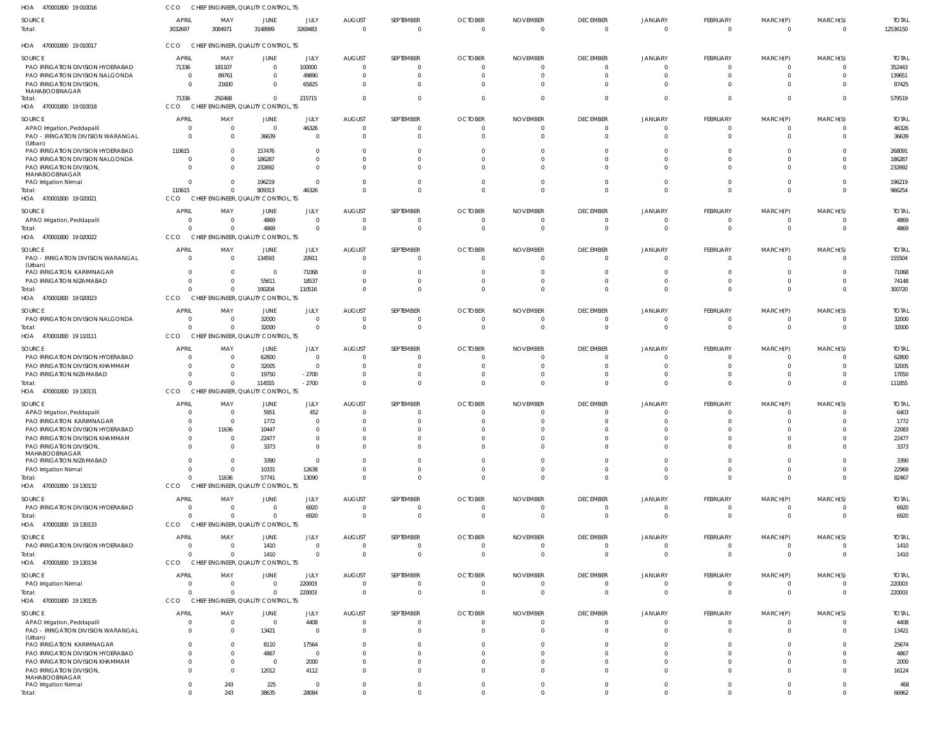| HOA<br>470001800 19 010016             | CCO                     |                | CHIEF ENGINEER, QUALITY CONTROL, TS             |                 |                           |                          |                            |                                   |                             |                     |                            |                            |                            |                          |
|----------------------------------------|-------------------------|----------------|-------------------------------------------------|-----------------|---------------------------|--------------------------|----------------------------|-----------------------------------|-----------------------------|---------------------|----------------------------|----------------------------|----------------------------|--------------------------|
| SOURCE<br>Total:                       | <b>APRIL</b><br>3032697 | MAY<br>3084971 | JUNE<br>3148999                                 | JULY<br>3269483 | <b>AUGUST</b><br>$\Omega$ | SEPTEMBER<br>$\mathbf 0$ | <b>OCTOBER</b><br>$\Omega$ | <b>NOVEMBER</b><br>$\overline{0}$ | <b>DECEMBER</b><br>$\Omega$ | JANUARY<br>$\Omega$ | FEBRUARY<br>$\overline{0}$ | MARCH(P)<br>$\overline{0}$ | MARCH(S)<br>$\overline{0}$ | <b>TOTAL</b><br>12536150 |
| HOA 470001800 19 010017                | CCO                     |                | CHIEF ENGINEER, QUALITY CONTROL, TS             |                 |                           |                          |                            |                                   |                             |                     |                            |                            |                            |                          |
| SOURCE                                 | <b>APRIL</b>            | MAY            | JUNE                                            | JULY            | <b>AUGUST</b>             | SEPTEMBER                | <b>OCTOBER</b>             | <b>NOVEMBER</b>                   | <b>DECEMBER</b>             | JANUARY             | FEBRUARY                   | MARCH(P)                   | MARCH(S)                   | <b>TOTAL</b>             |
| PAO IRRIGATION DIVISION HYDERABAD      | 71336                   | 181107         | $\Omega$                                        | 100000          | 0                         |                          | 0                          | $\mathbf 0$                       | $\Omega$                    | $\Omega$            | $\overline{0}$             | $\overline{0}$             | $\overline{0}$             | 352443                   |
| PAO IRRIGATION DIVISION NALGONDA       | - 0                     | 89761          | $\Omega$                                        | 49890           | $\Omega$                  |                          | $\Omega$                   | $\Omega$                          | $\Omega$                    |                     | $\Omega$                   | $\Omega$                   | $\mathbf{0}$               | 139651                   |
| PAO IRRIGATION DIVISION,               | $\overline{0}$          | 21600          | $\Omega$                                        | 65825           | -0                        |                          | $\Omega$                   | $\Omega$                          | $\Omega$                    |                     | $\Omega$                   | $\Omega$                   | $\mathbf 0$                | 87425                    |
| MAHABOOBNAGAR                          |                         |                |                                                 |                 |                           |                          |                            |                                   |                             |                     |                            |                            |                            |                          |
| Total:<br>HOA 470001800 19 010018      | 71336<br>CCO            | 292468         | $\Omega$<br>CHIEF ENGINEER, QUALITY CONTROL, TS | 215715          |                           | $\Omega$                 | $\overline{0}$             | $\Omega$                          | $\Omega$                    | $\cap$              | $\Omega$                   | $\mathbf 0$                | $\mathbf 0$                | 579519                   |
| SOURCE                                 | <b>APRIL</b>            | MAY            | JUNE                                            | JULY            | <b>AUGUST</b>             | SEPTEMBER                | <b>OCTOBER</b>             | <b>NOVEMBER</b>                   | <b>DECEMBER</b>             | JANUARY             | FEBRUARY                   | MARCH(P)                   | MARCH(S)                   | <b>TOTAL</b>             |
| APAO Irrigation, Peddapalli            | 0                       | $\overline{0}$ | $\Omega$                                        | 46326           | 0                         |                          | 0                          | $\Omega$                          | $\Omega$                    |                     | $\Omega$                   | $\Omega$                   | $\mathbf{0}$               | 46326                    |
| PAO - IRRIGATION DIVISION WARANGAL     | $\Omega$                | $\Omega$       | 36639                                           | $\Omega$        | $\Omega$                  | 0                        | $\Omega$                   | $\Omega$                          | $\Omega$                    | $\cap$              | $\Omega$                   | $\Omega$                   | $\mathbf 0$                | 36639                    |
| (Urban)                                |                         |                |                                                 |                 |                           |                          |                            |                                   |                             |                     |                            |                            |                            |                          |
| PAO IRRIGATION DIVISION HYDERABAD      | 110615                  | $\Omega$       | 157476                                          | $\Omega$        | -0                        |                          | $\Omega$                   | C.                                | $\Omega$                    |                     | $\Omega$                   | 0                          | $\Omega$                   | 268091                   |
| PAO IRRIGATION DIVISION NALGONDA       | 0                       | $\mathbf{0}$   | 186287                                          | $\Omega$        | $\Omega$                  |                          | $\Omega$                   | $\Omega$                          | $\cap$                      |                     |                            |                            | $\Omega$                   | 186287                   |
| PAO IRRIGATION DIVISION,               | $\Omega$                | $\Omega$       | 232692                                          | $\Omega$        | -0                        |                          | $\Omega$                   | $\cup$                            | $\Omega$                    |                     | $\Omega$                   | $\Omega$                   | $\Omega$                   | 232692                   |
| MAHABOOBNAGAR<br>PAO Irrigation Nirmal | $\Omega$                | $\mathbf{0}$   | 196219                                          | $\Omega$        | $\Omega$                  |                          | 0                          | $\Omega$                          | $\Omega$                    |                     | $\Omega$                   | $\Omega$                   | $\mathbf{0}$               | 196219                   |
| Total:                                 | 110615                  | $^{\circ}$     | 809313                                          | 46326           | $\Omega$                  | $\Omega$                 | $\Omega$                   | $\Omega$                          | $\Omega$                    | $\Omega$            | $\Omega$                   | $\Omega$                   | $\overline{0}$             | 966254                   |
| HOA 470001800 19 020021                | CCO                     |                | CHIEF ENGINEER, QUALITY CONTROL, TS             |                 |                           |                          |                            |                                   |                             |                     |                            |                            |                            |                          |
|                                        |                         |                |                                                 |                 |                           |                          |                            |                                   |                             |                     |                            |                            |                            |                          |
| SOURCE                                 | <b>APRIL</b>            | MAY            | JUNE                                            | JULY            | <b>AUGUST</b>             | SEPTEMBER                | <b>OCTOBER</b>             | <b>NOVEMBER</b>                   | <b>DECEMBER</b>             | JANUARY             | FEBRUARY                   | MARCH(P)                   | MARCH(S)                   | <b>TOTAL</b>             |
| APAO Irrigation, Peddapalli            | $\overline{0}$          | $\overline{0}$ | 4869                                            | $\overline{0}$  | $\Omega$                  |                          | $\overline{0}$             | $\mathbf 0$                       | $\Omega$                    | $\Omega$            | $\overline{0}$             | $\overline{0}$             | $\overline{0}$             | 4869                     |
| Total:                                 | $\Omega$                | $\overline{0}$ | 4869                                            | $\overline{0}$  | - 0                       | $\mathbf 0$              | $\overline{0}$             | $\overline{0}$                    | $\Omega$                    | $\cap$              | $\mathbf 0$                | $\mathbf{0}$               | $\overline{0}$             | 4869                     |
| HOA 470001800 19 020022                | CCO                     |                | CHIEF ENGINEER, QUALITY CONTROL, TS             |                 |                           |                          |                            |                                   |                             |                     |                            |                            |                            |                          |
| SOURCE                                 | <b>APRIL</b>            | MAY            | JUNE                                            | JULY            | <b>AUGUST</b>             | SEPTEMBER                | <b>OCTOBER</b>             | <b>NOVEMBER</b>                   | <b>DECEMBER</b>             | JANUARY             | FEBRUARY                   | MARCH(P)                   | MARCH(S)                   | <b>TOTAL</b>             |
| PAO - IRRIGATION DIVISION WARANGAL     | $\Omega$                | $\overline{0}$ | 134593                                          | 20911           | - 0                       | $\Omega$                 | $\Omega$                   | $\Omega$                          | $\Omega$                    | $\Omega$            | $\overline{0}$             | $\Omega$                   | $\mathbf 0$                | 155504                   |
| (Urban)                                |                         |                |                                                 |                 |                           |                          |                            |                                   |                             |                     |                            |                            |                            |                          |
| PAO IRRIGATION KARIMNAGAR              | $\mathbf{0}$            | $\overline{0}$ | $\mathbf 0$                                     | 71068           | 0                         |                          | 0                          | -0                                | $\Omega$                    |                     | 0                          |                            | $\mathbf{0}$               | 71068                    |
| PAO IRRIGATION NIZAMABAD               | $\Omega$                | $\Omega$       | 55611                                           | 18537           | $\Omega$                  | $\Omega$                 | $\overline{0}$             | $\Omega$                          | $\Omega$                    |                     | $\mathbf 0$                | $\Omega$                   | $\mathbf{0}$               | 74148                    |
| Total:                                 | $\Omega$                | $\Omega$       | 190204                                          | 110516          |                           |                          | $\Omega$                   | $\Omega$                          | $\Omega$                    |                     | $\Omega$                   | $\Omega$                   | $\Omega$                   | 300720                   |
| HOA 470001800 19 020023                | CCO                     |                | CHIEF ENGINEER, QUALITY CONTROL, TS             |                 |                           |                          |                            |                                   |                             |                     |                            |                            |                            |                          |
| SOURCE                                 | <b>APRIL</b>            | MAY            | JUNE                                            | JULY            | <b>AUGUST</b>             | SEPTEMBER                | <b>OCTOBER</b>             | <b>NOVEMBER</b>                   | <b>DECEMBER</b>             | <b>JANUARY</b>      | FEBRUARY                   | MARCH(P)                   | MARCH(S)                   | <b>TOTAL</b>             |
| PAO IRRIGATION DIVISION NALGONDA       | 0                       | 0              | 32000                                           | $\overline{0}$  | $\Omega$                  |                          | 0                          | 0                                 | $\Omega$                    |                     | $\overline{0}$             | 0                          | 0                          | 32000                    |
| Total:                                 | $\Omega$                | $\overline{0}$ | 32000                                           | $\overline{0}$  | - 0                       | $\mathbf 0$              | $\overline{0}$             | $\overline{0}$                    | $\Omega$                    | $\Omega$            | $\overline{0}$             | $\overline{0}$             | $\overline{0}$             | 32000                    |
| HOA 470001800 19 110111                | CCO                     |                | CHIEF ENGINEER, QUALITY CONTROL, TS             |                 |                           |                          |                            |                                   |                             |                     |                            |                            |                            |                          |
|                                        |                         |                |                                                 |                 |                           |                          |                            |                                   |                             |                     |                            |                            |                            |                          |
| SOURCE                                 | <b>APRIL</b>            | MAY            | JUNE                                            | JULY            | <b>AUGUST</b>             | SEPTEMBER                | <b>OCTOBER</b>             | <b>NOVEMBER</b>                   | <b>DECEMBER</b>             | <b>JANUARY</b>      | FEBRUARY                   | MARCH(P)                   | MARCH(S)                   | <b>TOTAL</b>             |
| PAO IRRIGATION DIVISION HYDERABAD      | $\Omega$                | $\overline{0}$ | 62800                                           | $\overline{0}$  | -0                        |                          | $\Omega$                   | $\Omega$                          | $\Omega$                    |                     | $\overline{0}$             | $\Omega$                   | $\Omega$                   | 62800                    |
| PAO IRRIGATION DIVISION KHAMMAM        | $\Omega$                | $\overline{0}$ | 32005                                           | $\overline{0}$  | $\Omega$                  |                          | $\Omega$                   | $\Omega$                          | $\Omega$                    |                     | $\Omega$                   | $\Omega$                   | $\mathbf{0}$               | 32005                    |
| PAO IRRIGATION NIZAMABAD               | $\Omega$                | $\overline{0}$ | 19750                                           | $-2700$         | $\Omega$                  |                          | 0                          | $\Omega$                          | $\Omega$                    |                     | $\Omega$                   | $\Omega$                   | $\mathbf{0}$               | 17050                    |
| Total:                                 | $\cap$                  | $\Omega$       | 114555                                          | $-2700$         | $\Omega$                  |                          | $\Omega$                   | $\Omega$                          | $\Omega$                    | $\cap$              | $\Omega$                   | $\Omega$                   | $\Omega$                   | 111855                   |
| HOA 470001800 19 130131                | CCO                     |                | CHIEF ENGINEER, QUALITY CONTROL, TS             |                 |                           |                          |                            |                                   |                             |                     |                            |                            |                            |                          |
| SOURCE                                 | <b>APRIL</b>            | MAY            | JUNE                                            | JULY            | <b>AUGUST</b>             | SEPTEMBER                | <b>OCTOBER</b>             | <b>NOVEMBER</b>                   | <b>DECEMBER</b>             | JANUARY             | FEBRUARY                   | MARCH(P)                   | MARCH(S)                   | <b>TOTAL</b>             |
| APAO Irrigation, Peddapalli            | $\Omega$                | 0              | 5951                                            | 452             | $\Omega$                  |                          | $\Omega$                   | $\mathbf 0$                       | $\Omega$                    |                     | $\Omega$                   | $\Omega$                   | $\mathbf{0}$               | 6403                     |
| PAO IRRIGATION KARIMNAGAR              | $\overline{0}$          | $\overline{0}$ | 1772                                            | $\overline{0}$  | $\Omega$                  |                          | $\Omega$                   | $\cup$                            | $\cap$                      |                     | $\Omega$                   |                            | $\Omega$                   | 1772                     |
| PAO IRRIGATION DIVISION HYDERABAD      |                         | 11636          | 10447                                           |                 |                           |                          |                            |                                   |                             |                     |                            |                            |                            | 22083                    |
| PAO IRRIGATION DIVISION KHAMMAM        | $\mathbf{0}$            | $\overline{0}$ | 22477                                           | $\mathbf{0}$    | -0                        |                          | $\Omega$                   | $\Omega$                          | $\Omega$                    |                     | $\mathbf 0$                | $\Omega$                   | $\mathbf 0$                | 22477                    |
| PAO IRRIGATION DIVISION,               | $\overline{0}$          | $\overline{0}$ | 3373                                            | $\overline{0}$  | $^{\circ}$                | $\mathbf 0$              | $\overline{0}$             | $\mathbf 0$                       | $\Omega$                    | $\Omega$            | $\mathbf{0}$               | $\mathbf{0}$               | $\overline{0}$             | 3373                     |
| MAHABOOBNAGAR                          |                         |                |                                                 |                 |                           |                          |                            |                                   |                             |                     |                            |                            |                            |                          |
| PAO IRRIGATION NIZAMABAD               | $\overline{0}$          | 0              | 3390                                            | $\overline{0}$  |                           |                          | 0                          | 0                                 | $\Omega$                    | $\Omega$            | 0                          | $\Omega$                   | $\mathbf{0}$               | 3390                     |
| PAO Irrigation Nirmal                  | $\overline{0}$          | $\overline{0}$ | 10331                                           | 12638           | $\Omega$                  | 0                        | $\overline{0}$             | $\mathbf 0$                       | $\Omega$                    | $\Omega$            | $\mathbf 0$                | $\Omega$                   | $\mathbf 0$                | 22969                    |
| Total:                                 | $\Omega$                | 11636          | 57741                                           | 13090           |                           | $\Omega$                 | $\Omega$                   | $\Omega$                          | $\Omega$                    | $\Omega$            | $\Omega$                   | $\mathbf{0}$               | $\mathbf 0$                | 82467                    |
| HOA 470001800 19 130132                | CCO                     |                | CHIEF ENGINEER, QUALITY CONTROL, TS             |                 |                           |                          |                            |                                   |                             |                     |                            |                            |                            |                          |
| SOURCE                                 | <b>APRIL</b>            | MAY            | JUNE                                            | JULY            | <b>AUGUST</b>             | SEPTEMBER                | <b>OCTOBER</b>             | <b>NOVEMBER</b>                   | <b>DECEMBER</b>             | <b>JANUARY</b>      | FEBRUARY                   | MARCH(P)                   | MARCH(S)                   | <b>TOTAL</b>             |
| PAO IRRIGATION DIVISION HYDERABAD      | $\overline{0}$          | $\overline{0}$ | $\Omega$                                        | 6920            | $\overline{0}$            | 0                        | $\overline{0}$             | $\mathbf 0$                       | $\Omega$                    | $\Omega$            | $\overline{0}$             | $\Omega$                   | $^{\circ}$                 | 6920                     |
| Total:                                 | $\Omega$                | $\mathbf 0$    | $\Omega$                                        | 6920            | $\mathsf{C}$              | $\mathbf 0$              | $\overline{0}$             | $\overline{0}$                    | $\Omega$                    | $\Omega$            | $\overline{0}$             | $\mathbf{0}$               | $\mathbf{0}$               | 6920                     |
| HOA 470001800 19 130133                | CCO                     |                | CHIEF ENGINEER, QUALITY CONTROL, TS             |                 |                           |                          |                            |                                   |                             |                     |                            |                            |                            |                          |
|                                        |                         |                |                                                 |                 |                           |                          |                            |                                   |                             |                     |                            |                            |                            |                          |
| SOURCE                                 | <b>APRIL</b>            | MAY            | JUNE                                            | JULY            | <b>AUGUST</b>             | SEPTEMBER                | <b>OCTOBER</b>             | <b>NOVEMBER</b>                   | <b>DECEMBER</b>             | <b>JANUARY</b>      | FEBRUARY                   | MARCH(P)                   | MARCH(S)                   | <b>TOTAL</b>             |
| PAO IRRIGATION DIVISION HYDERABAD      | $\overline{0}$          | $\overline{0}$ | 1410                                            | $\overline{0}$  | - 0                       | 0                        | 0                          | $\mathbf 0$                       | $\Omega$                    | $\Omega$            | $\overline{0}$             | 0                          | $\mathbf{0}$               | 1410                     |
| Total:                                 | $\Omega$                | $\overline{0}$ | 1410                                            | $\overline{0}$  | $\mathsf{C}$              | $\mathbf 0$              | $\overline{0}$             | $\overline{0}$                    | $\mathbf{0}$                | $\Omega$            | $\overline{0}$             | $\mathbf{0}$               | $\mathbf{0}$               | 1410                     |
| HOA 470001800 19 130134                | CCO                     |                | CHIEF ENGINEER, QUALITY CONTROL, TS             |                 |                           |                          |                            |                                   |                             |                     |                            |                            |                            |                          |
| SOURCE                                 | <b>APRIL</b>            | MAY            | JUNE                                            | JULY            | <b>AUGUST</b>             | SEPTEMBER                | <b>OCTOBER</b>             | <b>NOVEMBER</b>                   | <b>DECEMBER</b>             | <b>JANUARY</b>      | FEBRUARY                   | MARCH(P)                   | MARCH(S)                   | <b>TOTAL</b>             |
| PAO Irrigation Nirmal                  | $\overline{0}$          | $\overline{0}$ | $\Omega$                                        | 220003          | $\overline{0}$            | $\mathbf 0$              | $\mathbf{0}$               | $\overline{0}$                    | $\Omega$                    | $\Omega$            | $\overline{0}$             | $\mathbf{0}$               | $\mathbf{0}$               | 220003                   |
| Total:                                 | $\Omega$                | $\Omega$       | $\Omega$                                        | 220003          | $\mathsf{C}$              | $\Omega$                 | $\overline{0}$             | $\Omega$                          | $\Omega$                    | $\Omega$            | $\overline{0}$             | $\mathbf{0}$               | $\mathbf{0}$               | 220003                   |
| HOA 470001800 19 130135                | CCO                     |                | CHIEF ENGINEER, QUALITY CONTROL, TS             |                 |                           |                          |                            |                                   |                             |                     |                            |                            |                            |                          |
|                                        |                         |                |                                                 |                 |                           |                          |                            |                                   |                             |                     |                            |                            |                            |                          |
| SOURCE                                 | <b>APRIL</b>            | MAY            | JUNE                                            | JULY            | <b>AUGUST</b>             | SEPTEMBER                | <b>OCTOBER</b>             | <b>NOVEMBER</b>                   | <b>DECEMBER</b>             | <b>JANUARY</b>      | FEBRUARY                   | MARCH(P)                   | MARCH(S)                   | <b>TOTAL</b>             |
| APAO Irrigation, Peddapalli            | $\overline{0}$          | $\overline{0}$ | $\overline{0}$                                  | 4408            | 0                         | 0                        | $\overline{0}$             | $\mathbf 0$                       | $\Omega$                    | $\Omega$            | $\overline{0}$             | $\overline{0}$             | $\overline{0}$             | 4408                     |
| PAO - IRRIGATION DIVISION WARANGAL     | $\overline{0}$          | $\overline{0}$ | 13421                                           | $\overline{0}$  | $\Omega$                  | 0                        | $\Omega$                   | $\Omega$                          | $\Omega$                    | $\cap$              | $\overline{0}$             | $\mathbf{0}$               | $\overline{0}$             | 13421                    |
| (Urban)<br>PAO IRRIGATION KARIMNAGAR   | $\Omega$                | $\mathbf{0}$   | 8110                                            | 17564           | -0                        |                          | $\Omega$                   | $\Omega$                          | $\cap$                      |                     | $\Omega$                   | 0                          | $\mathbf 0$                | 25674                    |
| PAO IRRIGATION DIVISION HYDERABAD      | $\mathbf{0}$            | $\mathbf{0}$   | 4867                                            | $\overline{0}$  | -0                        |                          | $\Omega$                   | $\Omega$                          | $\Omega$                    |                     | $\Omega$                   | $\Omega$                   | $\mathbf 0$                | 4867                     |
| PAO IRRIGATION DIVISION KHAMMAM        | $\mathbf{0}$            | $\overline{0}$ | $\overline{\mathbf{0}}$                         | 2000            | -0                        |                          | $\Omega$                   | $\Omega$                          | $\Omega$                    |                     | $\Omega$                   |                            | $\mathbf 0$                | 2000                     |
| PAO IRRIGATION DIVISION,               | $\Omega$                | $\Omega$       | 12012                                           | 4112            |                           |                          | $\Omega$                   | $\Omega$                          | $\cap$                      |                     | $\Omega$                   | $\Omega$                   | $\Omega$                   | 16124                    |
| MAHABOOBNAGAR                          |                         |                |                                                 |                 |                           |                          |                            |                                   |                             |                     |                            |                            |                            |                          |
| PAO Irrigation Nirmal                  | $\overline{0}$          | 243            | 225                                             | $\overline{0}$  | $\Omega$                  | $\mathbf 0$              | $\overline{0}$             | $\mathbf 0$                       | $\Omega$                    | $\Omega$            | $\mathbf 0$                | $\overline{0}$             | $\mathbf 0$                | 468                      |
| Total:                                 | $\overline{0}$          | 243            | 38635                                           | 28084           |                           | $\mathbf 0$              | $\Omega$                   | $\Omega$                          | $\Omega$                    | $\Omega$            | $\mathbf 0$                | $\mathbf 0$                | $\overline{0}$             | 66962                    |
|                                        |                         |                |                                                 |                 |                           |                          |                            |                                   |                             |                     |                            |                            |                            |                          |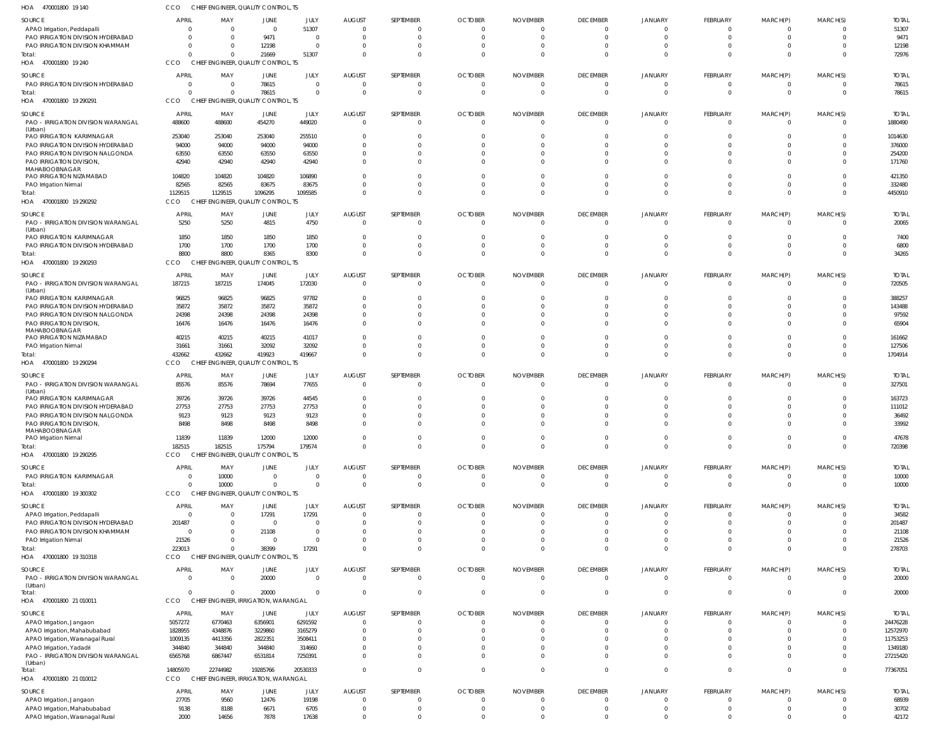|                                                                  |                         | CHIEF ENGINEER, QUALITY CONTROL, TS              |              |                 |                      |                            |                |                 |                          |                      |                         |                          |                            |                  |
|------------------------------------------------------------------|-------------------------|--------------------------------------------------|--------------|-----------------|----------------------|----------------------------|----------------|-----------------|--------------------------|----------------------|-------------------------|--------------------------|----------------------------|------------------|
| <b>SOURCE</b>                                                    | <b>APRIL</b>            | MAY                                              | JUNE         | JULY            | <b>AUGUST</b>        | SEPTEMBER                  | <b>OCTOBER</b> | <b>NOVEMBER</b> | <b>DECEMBER</b>          | <b>JANUARY</b>       | FEBRUARY                | MARCH(P)                 | MARCH(S)                   | <b>TOTAL</b>     |
| APAO Irrigation, Peddapalli                                      | $\Omega$                | $\overline{0}$                                   | $\Omega$     | 51307           | $\Omega$             | $\overline{0}$             | $\cap$         |                 | $\Omega$                 | $\Omega$             | $\mathbf{0}$            | $\mathbf{0}$             | - 0                        | 51307            |
| PAO IRRIGATION DIVISION HYDERABAD                                | $\Omega$                | $\Omega$                                         | 9471         | $\overline{0}$  | - 0                  | $\overline{0}$             | $\Omega$       |                 | $\mathbf 0$              | $\Omega$             | $\mathbf 0$             | $\mathbf 0$              | $\overline{0}$             | 9471             |
| PAO IRRIGATION DIVISION KHAMMAM                                  | $\Omega$                | $\Omega$                                         | 12198        | $\Omega$        |                      | $\overline{0}$             |                |                 |                          |                      | $\mathbf{0}$            | $\mathbf{0}$             | $\Omega$                   | 12198            |
| Total:                                                           | $\Omega$                | $\Omega$                                         | 21669        | 51307           |                      | $\Omega$                   |                |                 | $\Omega$                 | $\Omega$             | $\mathbf 0$             | $\mathbf{0}$             | $\Omega$                   | 72976            |
| HOA 470001800 19 240                                             | CCO                     | CHIEF ENGINEER, QUALITY CONTROL, TS              |              |                 |                      |                            |                |                 |                          |                      |                         |                          |                            |                  |
| <b>SOURCE</b>                                                    | <b>APRIL</b>            | MAY                                              | JUNE         | JULY            | <b>AUGUST</b>        | SEPTEMBER                  | <b>OCTOBER</b> | <b>NOVEMBER</b> | <b>DECEMBER</b>          | JANUARY              | FEBRUARY                | MARCH(P)                 | MARCH(S)                   | <b>TOTAL</b>     |
| PAO IRRIGATION DIVISION HYDERABAD                                | $\overline{\mathbf{0}}$ | $\overline{0}$                                   | 78615        | $\overline{0}$  | $\Omega$             | $\overline{0}$             | - 0            | - 0             | $\mathbf 0$              | $\Omega$             | $\overline{0}$          | $\overline{0}$           | $\overline{0}$             | 78615            |
| Total:                                                           | $\Omega$                | $\Omega$                                         | 78615        | $\overline{0}$  | $\Omega$             | $\overline{0}$             |                |                 | $\Omega$                 | $\Omega$             | $\mathbf{0}$            | $\mathbf{0}$             | $\overline{0}$             | 78615            |
| HOA 470001800 19 290291                                          | CCO                     | CHIEF ENGINEER, QUALITY CONTROL, TS              |              |                 |                      |                            |                |                 |                          |                      |                         |                          |                            |                  |
| SOURCE                                                           | <b>APRIL</b>            | MAY                                              | JUNE         | JULY            | <b>AUGUST</b>        | SEPTEMBER                  | <b>OCTOBER</b> | <b>NOVEMBER</b> | <b>DECEMBER</b>          | JANUARY              | FEBRUARY                | MARCH(P)                 | MARCH(S)                   | <b>TOTAL</b>     |
| PAO - IRRIGATION DIVISION WARANGAL                               | 488600                  | 488600                                           | 454270       | 449020          | $\Omega$             | $\overline{0}$             | $\Omega$       | $\Omega$        | $\mathbf 0$              | $\Omega$             | $\overline{0}$          | $\overline{0}$           | $\overline{0}$             | 1880490          |
| (Urban)                                                          |                         |                                                  |              |                 |                      |                            |                |                 |                          |                      |                         |                          |                            |                  |
| PAO IRRIGATION KARIMNAGAR                                        | 253040                  | 253040                                           | 253040       | 255510          |                      | $\Omega$                   |                |                 |                          |                      | 0                       | 0                        | $\Omega$                   | 1014630          |
| PAO IRRIGATION DIVISION HYDERABAD                                | 94000                   | 94000                                            | 94000        | 94000           |                      | $\Omega$                   |                |                 |                          |                      | $\Omega$                | $\Omega$                 | $\Omega$                   | 376000           |
| PAO IRRIGATION DIVISION NALGONDA                                 | 63550                   | 63550                                            | 63550        | 63550           |                      | $\Omega$                   |                |                 |                          |                      | $\mathbf{0}$            | $\mathbf{0}$             | $\Omega$                   | 254200           |
| PAO IRRIGATION DIVISION,                                         | 42940                   | 42940                                            | 42940        | 42940           |                      | $\Omega$                   |                |                 |                          |                      | $\Omega$                | $\Omega$                 | $\Omega$                   | 171760           |
| MAHABOOBNAGAR                                                    |                         |                                                  | 104820       |                 |                      | $\Omega$                   |                |                 |                          |                      | $\Omega$                |                          | $\Omega$                   |                  |
| PAO IRRIGATION NIZAMABAD                                         | 104820<br>82565         | 104820<br>82565                                  | 83675        | 106890<br>83675 |                      | $\Omega$                   |                |                 | $\Omega$                 | $\Omega$             | $\mathbf 0$             | 0<br>$\Omega$            | $\overline{0}$             | 421350<br>332480 |
| PAO Irrigation Nirmal<br>Total:                                  | 1129515                 | 1129515                                          | 1096295      | 1095585         |                      | $\Omega$                   |                |                 |                          | $\cap$               | $\mathbf 0$             | $\mathbf 0$              | $\Omega$                   | 4450910          |
| HOA 470001800 19 290292                                          | CCO                     | CHIEF ENGINEER, QUALITY CONTROL, TS              |              |                 |                      |                            |                |                 |                          |                      |                         |                          |                            |                  |
|                                                                  |                         |                                                  |              |                 |                      |                            |                |                 |                          |                      |                         |                          |                            |                  |
| <b>SOURCE</b>                                                    | <b>APRIL</b>            | MAY                                              | JUNE         | JULY            | <b>AUGUST</b>        | SEPTEMBER                  | <b>OCTOBER</b> | <b>NOVEMBER</b> | <b>DECEMBER</b>          | JANUARY              | FEBRUARY                | MARCH(P)                 | MARCH(S)                   | <b>TOTAL</b>     |
| PAO - IRRIGATION DIVISION WARANGAL                               | 5250                    | 5250                                             | 4815         | 4750            | $\Omega$             | $\overline{0}$             | - 0            | - 0             | $\mathbf 0$              | $\Omega$             | $\overline{0}$          | $\overline{0}$           | $\overline{0}$             | 20065            |
| (Urban)<br>PAO IRRIGATION KARIMNAGAR                             | 1850                    | 1850                                             | 1850         | 1850            | - 0                  | $\overline{0}$             |                |                 | $\Omega$                 |                      | $\mathbf 0$             | $\mathbf{0}$             | $\Omega$                   | 7400             |
| PAO IRRIGATION DIVISION HYDERABAD                                | 1700                    | 1700                                             | 1700         | 1700            |                      | $\overline{0}$             |                |                 | $\Omega$                 | $\Omega$             | $\mathbf{0}$            | $\overline{0}$           | $\overline{0}$             | 6800             |
| Total:                                                           | 8800                    | 8800                                             | 8365         | 8300            |                      | $\overline{0}$             |                |                 | $\Omega$                 |                      | $\mathbf 0$             | $\mathbf{0}$             | $\Omega$                   | 34265            |
| HOA 470001800 19 290293                                          | CCO                     | CHIEF ENGINEER, QUALITY CONTROL, TS              |              |                 |                      |                            |                |                 |                          |                      |                         |                          |                            |                  |
|                                                                  |                         |                                                  |              |                 |                      |                            |                |                 |                          |                      |                         |                          |                            |                  |
| SOURCE                                                           | <b>APRIL</b>            | MAY                                              | JUNE         | JULY            | <b>AUGUST</b>        | SEPTEMBER                  | <b>OCTOBER</b> | <b>NOVEMBER</b> | <b>DECEMBER</b>          | JANUARY              | FEBRUARY                | MARCH(P)                 | MARCH(S)                   | <b>TOTAL</b>     |
| PAO - IRRIGATION DIVISION WARANGAL                               | 187215                  | 187215                                           | 174045       | 172030          | $\Omega$             | $\overline{0}$             | $\Omega$       | $\Omega$        | $\mathbf 0$              | $\Omega$             | $\overline{0}$          | $\overline{0}$           | $\overline{0}$             | 720505           |
| (Urban)<br>PAO IRRIGATION KARIMNAGAR                             | 96825                   | 96825                                            | 96825        | 97782           |                      | $\Omega$                   |                |                 |                          |                      | $\Omega$                | $\Omega$                 | $\Omega$                   | 388257           |
| PAO IRRIGATION DIVISION HYDERABAD                                | 35872                   | 35872                                            | 35872        | 35872           |                      | $\Omega$                   |                |                 |                          |                      | $\Omega$                | $\Omega$                 | $\Omega$                   | 143488           |
| PAO IRRIGATION DIVISION NALGONDA                                 | 24398                   | 24398                                            | 24398        | 24398           |                      | $\Omega$                   |                |                 |                          |                      | $\Omega$                | $\Omega$                 | $\Omega$                   | 97592            |
| PAO IRRIGATION DIVISION,                                         | 16476                   | 16476                                            | 16476        | 16476           |                      | $\Omega$                   |                |                 |                          |                      | $\Omega$                | $\Omega$                 | $\Omega$                   | 65904            |
| MAHABOOBNAGAR                                                    |                         |                                                  |              |                 |                      |                            |                |                 |                          |                      |                         |                          |                            |                  |
| PAO IRRIGATION NIZAMABAD                                         | 40215                   | 40215                                            | 40215        | 41017           |                      | $\Omega$                   |                |                 |                          |                      | $\Omega$                | $\Omega$                 | $\overline{0}$             | 161662           |
| <b>PAO Irrigation Nirmal</b>                                     | 31661                   | 31661                                            | 32092        | 32092           |                      | $\overline{0}$             |                |                 | $\Omega$                 |                      | $\mathbf 0$             | $\mathbf{0}$             | $\overline{0}$             | 127506           |
| Total:                                                           | 432662                  | 432662                                           | 419923       | 419667          |                      | $\Omega$                   |                |                 |                          |                      | $\Omega$                | $\Omega$                 | $\Omega$                   | 1704914          |
| HOA 470001800 19 290294                                          | CCO                     | CHIEF ENGINEER, QUALITY CONTROL, TS              |              |                 |                      |                            |                |                 |                          |                      |                         |                          |                            |                  |
| <b>SOURCE</b>                                                    | APRIL                   | MAY                                              | JUNE         | JULY            | <b>AUGUST</b>        | SEPTEMBER                  | <b>OCTOBER</b> | <b>NOVEMBER</b> | <b>DECEMBER</b>          | JANUARY              | FEBRUARY                | MARCH(P)                 | MARCH(S)                   | <b>TOTAL</b>     |
| PAO - IRRIGATION DIVISION WARANGAL                               | 85576                   | 85576                                            | 78694        | 77655           | $\Omega$             | $\overline{0}$             | - 0            | - 0             | $\overline{0}$           | $\Omega$             | $\overline{0}$          | $\overline{0}$           | $\overline{\mathbf{0}}$    | 327501           |
|                                                                  |                         |                                                  |              |                 |                      |                            |                |                 |                          |                      |                         |                          |                            |                  |
| (Urban)                                                          |                         |                                                  |              |                 |                      |                            |                |                 |                          |                      |                         |                          |                            |                  |
| PAO IRRIGATION KARIMNAGAR                                        | 39726                   | 39726                                            | 39726        | 44545           |                      | 0                          |                |                 |                          |                      | $\mathbf{0}$            | $\Omega$                 | $\Omega$                   | 163723           |
| PAO IRRIGATION DIVISION HYDERABAD                                | 27753                   | 27753                                            | 27753        | 27753           |                      | $\Omega$                   |                |                 |                          |                      | $\Omega$                | $\Omega$                 | $\Omega$                   | 111012           |
| PAO IRRIGATION DIVISION NALGONDA                                 | 9123                    | 9123                                             | 9123         | 9123            |                      | $\Omega$                   |                |                 |                          |                      | $\mathbf{0}$            | $\Omega$                 | - 0                        | 36492            |
| PAO IRRIGATION DIVISION,                                         | 8498                    | 8498                                             | 8498         | 8498            |                      | $\Omega$                   |                |                 |                          |                      | $\Omega$                | $\Omega$                 | $\Omega$                   | 33992            |
| MAHABOOBNAGAR<br>PAO Irrigation Nirmal                           | 11839                   | 11839                                            | 12000        | 12000           | $\cap$               | $\overline{0}$             |                |                 |                          | $\Omega$             | $\mathbf{0}$            | $\overline{0}$           | $\overline{0}$             | 47678            |
| Total:                                                           | 182515                  | 182515                                           | 175794       | 179574          | $\Omega$             | $\overline{0}$             | $\Omega$       | $\Omega$        | $\mathbf{0}$             | $\overline{0}$       | $\overline{0}$          | $\overline{0}$           | $\overline{0}$             | 720398           |
| HOA 470001800 19 290295                                          | CCO                     | CHIEF ENGINEER, QUALITY CONTROL, TS              |              |                 |                      |                            |                |                 |                          |                      |                         |                          |                            |                  |
|                                                                  |                         |                                                  |              |                 |                      |                            |                |                 |                          |                      |                         |                          |                            |                  |
| <b>SOURCE</b>                                                    | <b>APRIL</b>            | MAY                                              | JUNE         | JULY            | <b>AUGUST</b>        | SEPTEMBER                  | <b>OCTOBER</b> | <b>NOVEMBER</b> | <b>DECEMBER</b>          | JANUARY              | <b>FEBRUARY</b>         | MARCH(P)                 | MARCH(S)                   | <b>TOTAL</b>     |
| PAO IRRIGATION KARIMNAGAR                                        | $\overline{0}$          | 10000                                            | $\Omega$     | $\Omega$        | $\Omega$             | $\overline{0}$             | $\Omega$       | $\Omega$        | $\mathbf 0$              | $\mathbf 0$          | $\overline{0}$          | $\overline{0}$           | $\overline{0}$             | 10000            |
| Total:                                                           | $\Omega$                | 10000                                            | $\Omega$     | $\Omega$        | $\Omega$             | $\overline{0}$             | $\Omega$       | $\Omega$        | $\mathbf 0$              | $\Omega$             | $\overline{0}$          | $\overline{0}$           | $\overline{0}$             | 10000            |
| HOA 470001800 19 300302                                          | CCO                     | CHIEF ENGINEER, QUALITY CONTROL, TS              |              |                 |                      |                            |                |                 |                          |                      |                         |                          |                            |                  |
| <b>SOURCE</b>                                                    | <b>APRIL</b>            | MAY                                              | JUNE         | JULY            | <b>AUGUST</b>        | SEPTEMBER                  | <b>OCTOBER</b> | <b>NOVEMBER</b> | <b>DECEMBER</b>          | JANUARY              | <b>FEBRUARY</b>         | MARCH(P)                 | MARCH(S)                   | <b>TOTAL</b>     |
| APAO Irrigation, Peddapalli                                      | $\overline{0}$          | - 0                                              | 17291        | 17291           | $\Omega$             | $\overline{0}$             | $\cap$         | $\cap$          | $\Omega$                 | $\mathbf 0$          | $\overline{0}$          | $\overline{0}$           | $\overline{0}$             | 34582            |
| PAO IRRIGATION DIVISION HYDERABAD                                | 201487                  | 0                                                | $\Omega$     | $\overline{0}$  |                      | $\overline{0}$             |                |                 | $\Omega$                 | $\Omega$             | $\overline{0}$          | $\mathbf 0$              | $\Omega$                   | 201487           |
| PAO IRRIGATION DIVISION KHAMMAM                                  | $\overline{\mathbf{0}}$ | $\Omega$                                         | 21108        | $\overline{0}$  |                      | $\overline{0}$             |                |                 | $\Omega$                 | $\Omega$             | $\mathbf 0$             | $\mathbf 0$              | $\Omega$                   | 21108            |
| PAO Irrigation Nirmal                                            | 21526                   | $\Omega$                                         | $\Omega$     | $\overline{0}$  |                      | $\overline{0}$             |                |                 | $\Omega$                 | $\Omega$             | $\mathbf{0}$            | $\mathbf{0}$             | $\overline{0}$             | 21526            |
| Total:                                                           | 223013                  | 0                                                | 38399        | 17291           |                      | $\overline{0}$             |                |                 | $\Omega$                 | $\Omega$             | $\mathbf 0$             | $\mathbf{0}$             | $\overline{0}$             | 278703           |
| HOA 470001800 19 310318                                          | CCO                     | CHIEF ENGINEER, QUALITY CONTROL, TS              |              |                 |                      |                            |                |                 |                          |                      |                         |                          |                            |                  |
| <b>SOURCE</b>                                                    | <b>APRIL</b>            | MAY                                              | JUNE         | JULY            | <b>AUGUST</b>        | SEPTEMBER                  | <b>OCTOBER</b> | <b>NOVEMBER</b> | <b>DECEMBER</b>          | JANUARY              | <b>FEBRUARY</b>         | MARCH(P)                 | MARCH(S)                   | <b>TOTAL</b>     |
| PAO - IRRIGATION DIVISION WARANGAL                               | $\Omega$                | $\Omega$                                         | 20000        | $\Omega$        | $\Omega$             | $\overline{0}$             | $\Omega$       | $\Omega$        | $\overline{0}$           | $\Omega$             | $\overline{0}$          | $\overline{0}$           | $\overline{0}$             | 20000            |
| (Urban)                                                          |                         |                                                  |              |                 |                      |                            |                |                 |                          |                      |                         |                          |                            |                  |
| Total:                                                           | $\Omega$                | $\Omega$                                         | 20000        | $\Omega$        | $\Omega$             | $\overline{0}$             | $\Omega$       |                 | $\Omega$                 | $\Omega$             | $\overline{0}$          | $\mathbf{0}$             | $\overline{0}$             | 20000            |
| HOA 470001800 21 010011                                          | CCO                     | CHIEF ENGINEER, IRRIGATION, WARANGAL             |              |                 |                      |                            |                |                 |                          |                      |                         |                          |                            |                  |
| <b>SOURCE</b>                                                    | APRIL                   | MAY                                              | JUNE         | JULY            | <b>AUGUST</b>        | SEPTEMBER                  | <b>OCTOBER</b> | <b>NOVEMBER</b> | <b>DECEMBER</b>          | JANUARY              | <b>FEBRUARY</b>         | MARCH(P)                 | MARCH(S)                   | <b>TOTAL</b>     |
| APAO Irrigation, Jangaon                                         | 5057272                 | 6770463                                          | 6356901      | 6291592         | $\Omega$             | $\overline{0}$             | - 0            |                 | $\mathbf{0}$             | $\Omega$             | $\overline{0}$          | $\overline{0}$           | $\overline{0}$             | 24476228         |
| APAO Irrigation, Mahabubabad                                     | 1828955                 | 4348876                                          | 3229860      | 3165279         | $\Omega$             | $\overline{0}$             |                |                 | $\Omega$                 | $\Omega$             | $\mathbf{0}$            | $\overline{0}$           | $\Omega$                   | 12572970         |
| APAO Irrigation, Waranagal Rural                                 | 1009135                 | 4413356                                          | 2822351      | 3508411         |                      | $\Omega$                   |                |                 | $\Omega$                 | $\Omega$             | $\mathbf 0$             | $\mathbf 0$              | $\Omega$                   | 11753253         |
| APAO Irrigation, Yadadri                                         | 344840                  | 344840                                           | 344840       | 314660          |                      | $\Omega$                   |                |                 | $\Omega$                 | $\Omega$             | $\mathbf 0$             | $\mathbf 0$              | $\Omega$                   | 1349180          |
| PAO - IRRIGATION DIVISION WARANGAL                               | 6565768                 | 6867447                                          | 6531814      | 7250391         | $\cap$               | $\overline{0}$             |                |                 | $\Omega$                 | $\Omega$             | $\mathbf{0}$            | $\mathbf 0$              | $\Omega$                   | 27215420         |
| (Urban)                                                          |                         |                                                  |              |                 | $\Omega$             | $\overline{0}$             | $\Omega$       | $\Omega$        | $\Omega$                 | $\Omega$             | $\mathbf{0}$            | $\mathbf{0}$             | $\mathbf{0}$               |                  |
| Total:<br>HOA 470001800 21 010012                                | 14805970<br>CCO         | 22744982<br>CHIEF ENGINEER, IRRIGATION, WARANGAL | 19285766     | 20530333        |                      |                            |                |                 |                          |                      |                         |                          |                            | 77367051         |
|                                                                  |                         |                                                  |              |                 |                      |                            |                |                 |                          |                      |                         |                          |                            |                  |
| SOURCE                                                           | <b>APRIL</b>            | MAY                                              | JUNE         | JULY            | <b>AUGUST</b>        | SEPTEMBER                  | <b>OCTOBER</b> | <b>NOVEMBER</b> | <b>DECEMBER</b>          | JANUARY              | FEBRUARY                | MARCH(P)                 | MARCH(S)                   | <b>TOTAL</b>     |
| APAO Irrigation, Jangaon                                         | 27705                   | 9560                                             | 12476        | 19198           | $\Omega$             | $\Omega$                   | $\Omega$       | - 0             | $\Omega$                 | $\Omega$             | $\Omega$                | $\Omega$                 | $\Omega$                   | 68939            |
| APAO Irrigation, Mahabubabad<br>APAO Irrigation, Waranagal Rural | 9138<br>2000            | 8188<br>14656                                    | 6671<br>7878 | 6705<br>17638   | $\Omega$<br>$\Omega$ | $\overline{0}$<br>$\Omega$ | $\Omega$       | - 0             | $\mathbf{0}$<br>$\Omega$ | $\Omega$<br>$\Omega$ | $\mathbf 0$<br>$\Omega$ | $\mathbf{0}$<br>$\Omega$ | $\overline{0}$<br>$\Omega$ | 30702<br>42172   |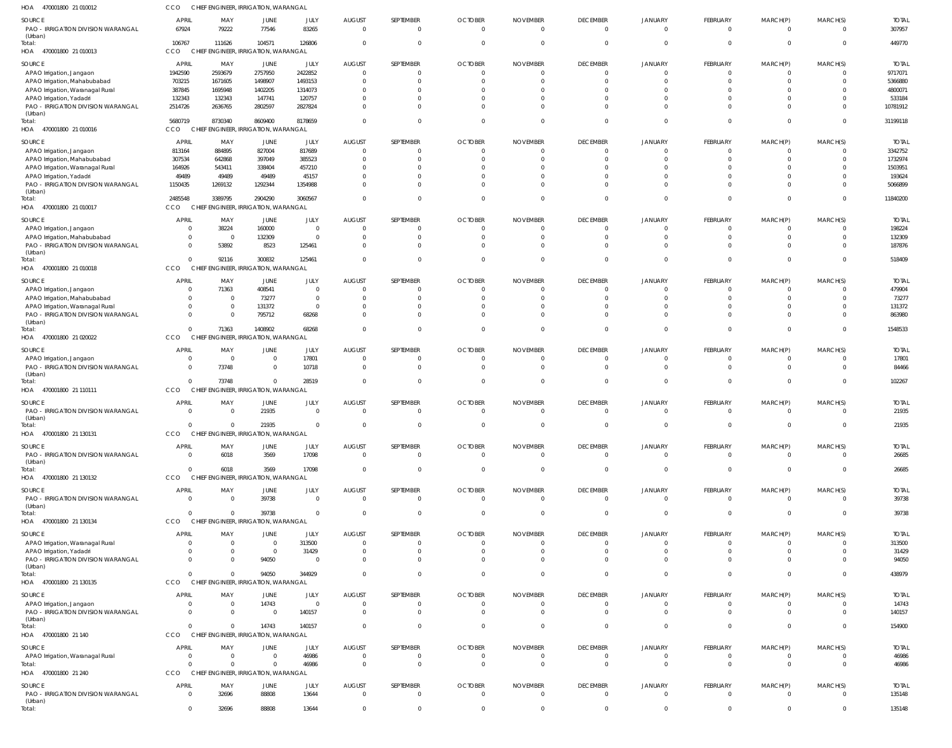| HOA<br>470001800 21 010012                                                                                                                                                                    | CCO                                                                       |                                                                       | CHIEF ENGINEER, IRRIGATION, WARANGAL                              |                                                                   |                                                                                             |                                                      |                                                                                              |                                                                             |                                                                         |                                                         |                                                                                               |                                                                                      |                                                     |                                                                                |
|-----------------------------------------------------------------------------------------------------------------------------------------------------------------------------------------------|---------------------------------------------------------------------------|-----------------------------------------------------------------------|-------------------------------------------------------------------|-------------------------------------------------------------------|---------------------------------------------------------------------------------------------|------------------------------------------------------|----------------------------------------------------------------------------------------------|-----------------------------------------------------------------------------|-------------------------------------------------------------------------|---------------------------------------------------------|-----------------------------------------------------------------------------------------------|--------------------------------------------------------------------------------------|-----------------------------------------------------|--------------------------------------------------------------------------------|
| SOURCE<br>PAO - IRRIGATION DIVISION WARANGAL<br>(Urban)                                                                                                                                       | <b>APRIL</b><br>67924                                                     | MAY<br>79222                                                          | JUNE<br>77546                                                     | JULY<br>83265                                                     | <b>AUGUST</b><br>$\mathbf 0$                                                                | SEPTEMBER<br>$\Omega$                                | <b>OCTOBER</b><br>$\overline{0}$                                                             | <b>NOVEMBER</b><br>$\Omega$                                                 | <b>DECEMBER</b><br>$\Omega$                                             | JANUARY<br>$\Omega$                                     | <b>FEBRUARY</b><br>$\overline{0}$                                                             | MARCH(P)<br>$\mathbf{0}$                                                             | MARCH(S)<br>$\Omega$                                | <b>TOTAL</b><br>307957                                                         |
| Total:<br>HOA<br>470001800 21 010013                                                                                                                                                          | 106767<br><b>CCO</b>                                                      | 111626                                                                | 104571<br>CHIEF ENGINEER, IRRIGATION, WARANGAL                    | 126806                                                            | $\Omega$                                                                                    | $\cap$                                               | $\overline{0}$                                                                               | $\Omega$                                                                    | $\Omega$                                                                |                                                         | $\Omega$                                                                                      | $\mathbf 0$                                                                          | $\Omega$                                            | 449770                                                                         |
| SOURCE<br>APAO Irrigation, Jangaon<br>APAO Irrigation, Mahabubabad<br>APAO Irrigation, Waranagal Rural<br>APAO Irrigation, Yadadri<br>PAO - IRRIGATION DIVISION WARANGAL<br>(Urban)           | <b>APRIL</b><br>1942590<br>703215<br>387845<br>132343<br>2514726          | MAY<br>2593679<br>1671605<br>1695948<br>132343<br>2636765             | JUNE<br>2757950<br>1498907<br>1402205<br>147741<br>2802597        | JULY<br>2422852<br>1493153<br>1314073<br>120757<br>2827824        | <b>AUGUST</b><br>$\mathbf 0$<br>$\overline{0}$<br>$\mathbf 0$<br>$\Omega$<br>$\Omega$       | SEPTEMBER                                            | <b>OCTOBER</b><br>$\overline{0}$<br>$\Omega$<br>$\Omega$<br>$\Omega$<br>$\Omega$             | <b>NOVEMBER</b><br>$\Omega$<br>$\Omega$<br>$\Omega$<br>$\Omega$<br>$\Omega$ | <b>DECEMBER</b><br>0<br>0<br>0                                          | JANUARY<br>$\Omega$                                     | <b>FEBRUARY</b><br>$\overline{0}$<br>$\mathbf 0$<br>$\Omega$<br>$\Omega$<br>$\Omega$          | MARCH(P)<br>$\mathbf 0$<br>$\mathbf 0$<br>$\Omega$<br>$\Omega$<br>$\Omega$           | MARCH(S)                                            | <b>TOTAL</b><br>9717071<br>5366880<br>4800071<br>533184<br>10781912            |
| Total:<br>HOA 470001800 21 010016                                                                                                                                                             | 5680719<br><b>CCO</b>                                                     | 8730340                                                               | 8609400<br>CHIEF ENGINEER, IRRIGATION, WARANGAL                   | 8178659                                                           | $\Omega$                                                                                    |                                                      | $\overline{0}$                                                                               | $\Omega$                                                                    | $\Omega$                                                                | $\Omega$                                                | $\Omega$                                                                                      | $\mathbf 0$                                                                          | $\Omega$                                            | 31199118                                                                       |
| SOURCE<br>APAO Irrigation, Jangaon<br>APAO Irrigation, Mahabubabad<br>APAO Irrigation, Waranagal Rural<br>APAO Irrigation, Yadadri<br>PAO - IRRIGATION DIVISION WARANGAL<br>(Urban)<br>Total: | <b>APRIL</b><br>813164<br>307534<br>164926<br>49489<br>1150435<br>2485548 | MAY<br>884895<br>642868<br>543411<br>49489<br>1269132<br>3389795      | JUNE<br>827004<br>397049<br>338404<br>49489<br>1292344<br>2904290 | JULY<br>817689<br>385523<br>457210<br>45157<br>1354988<br>3060567 | <b>AUGUST</b><br>$\mathbf 0$<br>$\mathbf 0$<br>$\Omega$<br>$\Omega$<br>$\Omega$<br>$\Omega$ | SEPTEMBER<br>$\cap$                                  | <b>OCTOBER</b><br>$\Omega$<br>$\Omega$<br>$\Omega$<br>$\Omega$<br>$\Omega$<br>$\overline{0}$ | <b>NOVEMBER</b><br>$\cap$<br>$\Omega$<br>$\Omega$<br>$\Omega$<br>$\Omega$   | <b>DECEMBER</b><br>0<br>$\Omega$                                        | JANUARY<br>$\Omega$                                     | <b>FEBRUARY</b><br>$\mathbf 0$<br>$\mathbf 0$<br>$\Omega$<br>$\Omega$<br>$\Omega$<br>$\Omega$ | MARCH(P)<br>$\Omega$<br>$\Omega$<br>$\Omega$<br>$\Omega$<br>$\Omega$<br>$\mathbf{0}$ | MARCH(S)<br>$\Omega$                                | <b>TOTAL</b><br>3342752<br>1732974<br>1503951<br>193624<br>5066899<br>11840200 |
| HOA 470001800 21 010017                                                                                                                                                                       | CCO                                                                       |                                                                       | CHIEF ENGINEER, IRRIGATION, WARANGAL                              |                                                                   |                                                                                             |                                                      |                                                                                              |                                                                             |                                                                         |                                                         |                                                                                               |                                                                                      |                                                     |                                                                                |
| SOURCE<br>APAO Irrigation, Jangaon<br>APAO Irrigation, Mahabubabad<br>PAO - IRRIGATION DIVISION WARANGAL<br>(Urban)<br>Total:                                                                 | <b>APRIL</b><br>$\Omega$<br>$\Omega$<br>$\overline{0}$<br>$\Omega$        | MAY<br>38224<br>$\overline{0}$<br>53892<br>92116                      | JUNE<br>160000<br>132309<br>8523<br>300832                        | JULY<br>$\circ$<br>$\overline{0}$<br>125461<br>125461             | <b>AUGUST</b><br>$\mathbf 0$<br>$\mathbf 0$<br>$\overline{0}$<br>$\overline{0}$             | SEPTEMBER<br>$\Omega$                                | <b>OCTOBER</b><br>$\mathbf{0}$<br>$\overline{0}$<br>$\Omega$<br>$\Omega$                     | <b>NOVEMBER</b><br>$\Omega$<br>$\Omega$<br>$\Omega$<br>$\Omega$             | <b>DECEMBER</b><br>0<br>$\Omega$<br>$\Omega$                            | JANUARY<br>$\Omega$                                     | FEBRUARY<br>$\mathbf 0$<br>$\overline{0}$<br>$\Omega$<br>$\overline{0}$                       | MARCH(P)<br>$\mathbf 0$<br>$\mathbf 0$<br>$\Omega$<br>$\overline{0}$                 | MARCH(S)<br>$\Omega$                                | <b>TOTAL</b><br>198224<br>132309<br>187876<br>518409                           |
| HOA 470001800 21 010018<br>SOURCE                                                                                                                                                             | CCO<br><b>APRIL</b>                                                       | MAY                                                                   | CHIEF ENGINEER, IRRIGATION, WARANGAL<br>JUNE                      | JULY                                                              | <b>AUGUST</b>                                                                               | SEPTEMBER                                            | <b>OCTOBER</b>                                                                               | <b>NOVEMBER</b>                                                             | <b>DECEMBER</b>                                                         | JANUARY                                                 | <b>FEBRUARY</b>                                                                               | MARCH(P)                                                                             | MARCH(S)                                            | <b>TOTAL</b>                                                                   |
| APAO Irrigation, Jangaon<br>APAO Irrigation, Mahabubabad<br>APAO Irrigation, Waranagal Rural<br>PAO - IRRIGATION DIVISION WARANGAL<br>(Urban)<br>Total:                                       | $\Omega$<br>$\Omega$<br>$\Omega$<br>$\Omega$<br>$\Omega$                  | 71363<br>$\overline{0}$<br>$\overline{0}$<br>$\overline{0}$<br>71363  | 408541<br>73277<br>131372<br>795712<br>1408902                    | $\circ$<br>$\overline{0}$<br>$\overline{0}$<br>68268<br>68268     | $\Omega$<br>$\overline{0}$<br>0<br>$\Omega$<br>$\Omega$                                     | $\cap$                                               | $\mathbf{0}$<br>$\Omega$<br>$\Omega$<br>$\Omega$<br>$\Omega$                                 | $\Omega$<br>$\Omega$<br>$\Omega$<br>$\Omega$<br>$\Omega$                    | 0<br>$\Omega$                                                           | $\Omega$                                                | $^{\circ}$<br>$\mathbf 0$<br>$\Omega$<br>$\Omega$<br>$\Omega$                                 | 0<br>$\mathbf 0$<br>$\Omega$<br>$\Omega$<br>$\Omega$                                 | $\Omega$                                            | 479904<br>73277<br>131372<br>863980<br>1548533                                 |
| HOA 470001800 21 020022                                                                                                                                                                       | CCO                                                                       |                                                                       | CHIEF ENGINEER, IRRIGATION, WARANGAL                              |                                                                   |                                                                                             |                                                      |                                                                                              |                                                                             |                                                                         |                                                         |                                                                                               |                                                                                      |                                                     |                                                                                |
| SOURCE<br>APAO Irrigation, Jangaon                                                                                                                                                            | <b>APRIL</b><br>$\Omega$                                                  | MAY<br>$\overline{0}$                                                 | JUNE<br>0                                                         | JULY<br>17801                                                     | <b>AUGUST</b><br>$\mathbf 0$                                                                | SEPTEMBER                                            | <b>OCTOBER</b><br>$\mathbf{0}$                                                               | <b>NOVEMBER</b><br>$\Omega$                                                 | <b>DECEMBER</b><br>0                                                    | JANUARY                                                 | <b>FEBRUARY</b><br>$\mathbf 0$                                                                | MARCH(P)<br>$\mathbf 0$                                                              | MARCH(S)                                            | <b>TOTAL</b><br>17801                                                          |
| PAO - IRRIGATION DIVISION WARANGAL<br>(Urban)<br>Total:<br>HOA<br>470001800 21 110111                                                                                                         | $\overline{0}$<br>$\Omega$<br>CCO                                         | 73748<br>73748                                                        | 0<br>$\mathbf{0}$<br>CHIEF ENGINEER, IRRIGATION, WARANGAL         | 10718<br>28519                                                    | $\overline{0}$<br>$\overline{0}$                                                            | $\Omega$<br>$\cap$                                   | $\overline{0}$<br>$\overline{0}$                                                             | $\Omega$<br>$\Omega$                                                        | $\Omega$<br>0                                                           | $\Omega$                                                | $\overline{0}$<br>$\overline{0}$                                                              | $\mathbf 0$<br>$\overline{0}$                                                        | $\Omega$                                            | 84466<br>102267                                                                |
| SOURCE<br>PAO - IRRIGATION DIVISION WARANGAL<br>(Urban)<br>Total:<br>HOA 470001800 21 130131                                                                                                  | <b>APRIL</b><br>$\Omega$<br>$\Omega$<br>CCO                               | MAY<br>$\Omega$<br>$\Omega$                                           | JUNE<br>21935<br>21935<br>CHIEF ENGINEER, IRRIGATION, WARANGAL    | JULY<br>$\overline{0}$<br>$\Omega$                                | <b>AUGUST</b><br>$\overline{0}$<br>$\Omega$                                                 | SEPTEMBER<br>$\Omega$                                | <b>OCTOBER</b><br>$\Omega$<br>$\Omega$                                                       | <b>NOVEMBER</b><br>$\Omega$<br>$\Omega$                                     | <b>DECEMBER</b><br>$\Omega$                                             | JANUARY<br>$\Omega$                                     | FEBRUARY<br>$\overline{0}$<br>$\Omega$                                                        | MARCH(P)<br>$\Omega$<br>$\Omega$                                                     | MARCH(S)<br>$\cap$<br>$\cap$                        | <b>TOTAL</b><br>21935<br>21935                                                 |
| SOURCE<br>PAO - IRRIGATION DIVISION WARANGAL                                                                                                                                                  | <b>APRIL</b><br>$\Omega$                                                  | MAY<br>6018                                                           | JUNE<br>3569                                                      | JULY<br>17098                                                     | <b>AUGUST</b><br>$\overline{0}$                                                             | SEPTEMBER<br>$\Omega$                                | <b>OCTOBER</b><br>$\overline{0}$                                                             | <b>NOVEMBER</b><br>$\Omega$                                                 | <b>DECEMBER</b><br>$\mathbf{0}$                                         | JANUARY<br>$\Omega$                                     | <b>FEBRUARY</b><br>$\overline{0}$                                                             | MARCH(P)<br>$\overline{0}$                                                           | MARCH(S)<br>- 0                                     | <b>TOTAL</b><br>26685                                                          |
| (Urban)<br>Total:<br>HOA 470001800 21 130132                                                                                                                                                  | $\overline{0}$<br>CCO                                                     | 6018                                                                  | 3569<br>CHIEF ENGINEER, IRRIGATION, WARANGAL                      | 17098                                                             | $\overline{0}$                                                                              | $\Omega$                                             | $\overline{0}$                                                                               | $\Omega$                                                                    | $\mathbf{0}$                                                            | $\Omega$                                                | $\overline{0}$                                                                                | $\overline{0}$                                                                       | $\Omega$                                            | 26685                                                                          |
| SOURCE<br>PAO - IRRIGATION DIVISION WARANGAL<br>(Urban)                                                                                                                                       | <b>APRIL</b><br>$\Omega$                                                  | MAY<br>$\Omega$                                                       | JUNE<br>39738                                                     | JULY<br>$\Omega$                                                  | <b>AUGUST</b><br>$\overline{0}$                                                             | SEPTEMBER<br>$\Omega$                                | <b>OCTOBER</b><br>$\Omega$                                                                   | <b>NOVEMBER</b><br>$\Omega$                                                 | <b>DECEMBER</b><br>$\Omega$                                             | JANUARY<br>$\Omega$                                     | <b>FEBRUARY</b><br>$\overline{0}$                                                             | MARCH(P)<br>$\overline{0}$                                                           | MARCH(S)<br>$\Omega$                                | <b>TOTAL</b><br>39738                                                          |
| Total:<br>HOA 470001800 21 130134                                                                                                                                                             | $\Omega$<br>CCO                                                           | $\Omega$                                                              | 39738<br>CHIEF ENGINEER, IRRIGATION, WARANGAL                     | $\Omega$                                                          | $\Omega$                                                                                    | $\Omega$                                             | $\Omega$                                                                                     | $\Omega$                                                                    | $\Omega$                                                                | $\Omega$                                                | $\Omega$                                                                                      | $\overline{0}$                                                                       | $\Omega$                                            | 39738                                                                          |
| SOURCE<br>APAO Irrigation, Waranagal Rural<br>APAO Irrigation, Yadadri<br>PAO - IRRIGATION DIVISION WARANGAL<br>(Urban)<br>Total:                                                             | <b>APRIL</b><br>$\Omega$<br>$\Omega$<br>$\Omega$<br>$\Omega$              | MAY<br>$\overline{0}$<br>$\overline{0}$<br>$\overline{0}$<br>$\Omega$ | JUNE<br>$\mathbf{0}$<br>$\overline{0}$<br>94050<br>94050          | JULY<br>313500<br>31429<br>$\overline{0}$<br>344929               | <b>AUGUST</b><br>$\mathbf 0$<br>$\mathbf 0$<br>$\overline{0}$<br>$\overline{0}$             | SEPTEMBER<br>$\Omega$<br>- 0<br>$\Omega$<br>$\Omega$ | <b>OCTOBER</b><br>$\overline{0}$<br>$\overline{0}$<br>$\overline{0}$<br>$\overline{0}$       | <b>NOVEMBER</b><br>$\Omega$<br>$\Omega$<br>$\Omega$<br>$\Omega$             | <b>DECEMBER</b><br>$\mathbf{0}$<br>$\Omega$<br>$\mathbf{0}$<br>$\Omega$ | JANUARY<br>$\Omega$<br>$\Omega$<br>$\Omega$<br>$\Omega$ | <b>FEBRUARY</b><br>$\overline{0}$<br>$\overline{0}$<br>$\overline{0}$<br>$\Omega$             | MARCH(P)<br>$\mathbf 0$<br>$\mathbf 0$<br>$\mathbf{0}$<br>$\overline{0}$             | MARCH(S)<br>$\Omega$<br>- 0<br>$\Omega$<br>$\Omega$ | <b>TOTAL</b><br>313500<br>31429<br>94050<br>438979                             |
| HOA 470001800 21 130135<br>SOURCE                                                                                                                                                             | CCO<br><b>APRIL</b>                                                       | MAY                                                                   | CHIEF ENGINEER, IRRIGATION, WARANGAL<br>JUNE                      | JULY                                                              | <b>AUGUST</b>                                                                               | SEPTEMBER                                            | <b>OCTOBER</b>                                                                               | <b>NOVEMBER</b>                                                             | <b>DECEMBER</b>                                                         | JANUARY                                                 | <b>FEBRUARY</b>                                                                               | MARCH(P)                                                                             | MARCH(S)                                            | <b>TOTAL</b>                                                                   |
| APAO Irrigation, Jangaon<br>PAO - IRRIGATION DIVISION WARANGAL<br>(Urban)<br>Total:                                                                                                           | $\overline{0}$<br>$\Omega$<br>$\Omega$                                    | $\overline{0}$<br>$\overline{0}$<br>$\Omega$                          | 14743<br>$\mathbf{0}$<br>14743                                    | $\Omega$<br>140157<br>140157                                      | $\mathbf 0$<br>$\overline{0}$<br>$\overline{0}$                                             | $\Omega$<br>$\Omega$                                 | $\Omega$<br>$\Omega$<br>$\overline{0}$                                                       | $\Omega$<br>$\Omega$<br>$\Omega$                                            | 0<br>$\Omega$<br>$\Omega$                                               | $\Omega$<br>$\Omega$<br>$\Omega$                        | $^{\circ}$<br>$\overline{0}$<br>$\overline{0}$                                                | $\mathbf 0$<br>$\mathbf{0}$<br>$\mathbf 0$                                           | $\Omega$<br>$\Omega$                                | 14743<br>140157<br>154900                                                      |
| HOA 470001800 21 140<br>SOURCE                                                                                                                                                                | CCO<br><b>APRIL</b>                                                       | MAY                                                                   | CHIEF ENGINEER, IRRIGATION, WARANGAL<br>JUNE                      | JULY                                                              | <b>AUGUST</b>                                                                               | SEPTEMBER                                            | <b>OCTOBER</b>                                                                               | <b>NOVEMBER</b>                                                             | <b>DECEMBER</b>                                                         | JANUARY                                                 | <b>FEBRUARY</b>                                                                               | MARCH(P)                                                                             | MARCH(S)                                            | <b>TOTAL</b>                                                                   |
| APAO Irrigation, Waranagal Rural<br>Total:<br>HOA 470001800 21 240                                                                                                                            | $\overline{0}$<br>$\Omega$<br>CCO                                         | $\overline{0}$<br>$\overline{0}$                                      | $\mathbf{0}$<br>$\Omega$<br>CHIEF ENGINEER, IRRIGATION, WARANGAL  | 46986<br>46986                                                    | $\mathbf{0}$<br>$\overline{0}$                                                              | - 0<br>$\Omega$                                      | $\overline{0}$<br>$\overline{0}$                                                             | $\Omega$<br>$\Omega$                                                        | $\mathbf{0}$<br>$\mathbf{0}$                                            | $\Omega$<br>$\Omega$                                    | $\overline{0}$<br>$\Omega$                                                                    | $\overline{0}$<br>$\overline{0}$                                                     | $\Omega$<br>$\Omega$                                | 46986<br>46986                                                                 |
| SOURCE<br>PAO - IRRIGATION DIVISION WARANGAL<br>(Urban)<br>Total:                                                                                                                             | <b>APRIL</b><br>$\overline{\mathbf{0}}$<br>$\overline{0}$                 | MAY<br>32696<br>32696                                                 | JUNE<br>88808<br>88808                                            | JULY<br>13644<br>13644                                            | <b>AUGUST</b><br>$\overline{0}$<br>$\overline{0}$                                           | SEPTEMBER<br>$\Omega$<br>$\Omega$                    | <b>OCTOBER</b><br>$\Omega$<br>$\overline{0}$                                                 | <b>NOVEMBER</b><br>$\Omega$<br>$\overline{0}$                               | <b>DECEMBER</b><br>$\Omega$<br>$\mathbf{0}$                             | JANUARY<br>$\Omega$<br>$\mathbf 0$                      | <b>FEBRUARY</b><br>$\overline{0}$<br>$\mathbf 0$                                              | MARCH(P)<br>$\mathbf 0$<br>$\overline{0}$                                            | MARCH(S)<br>$\Omega$                                | <b>TOTAL</b><br>135148<br>135148                                               |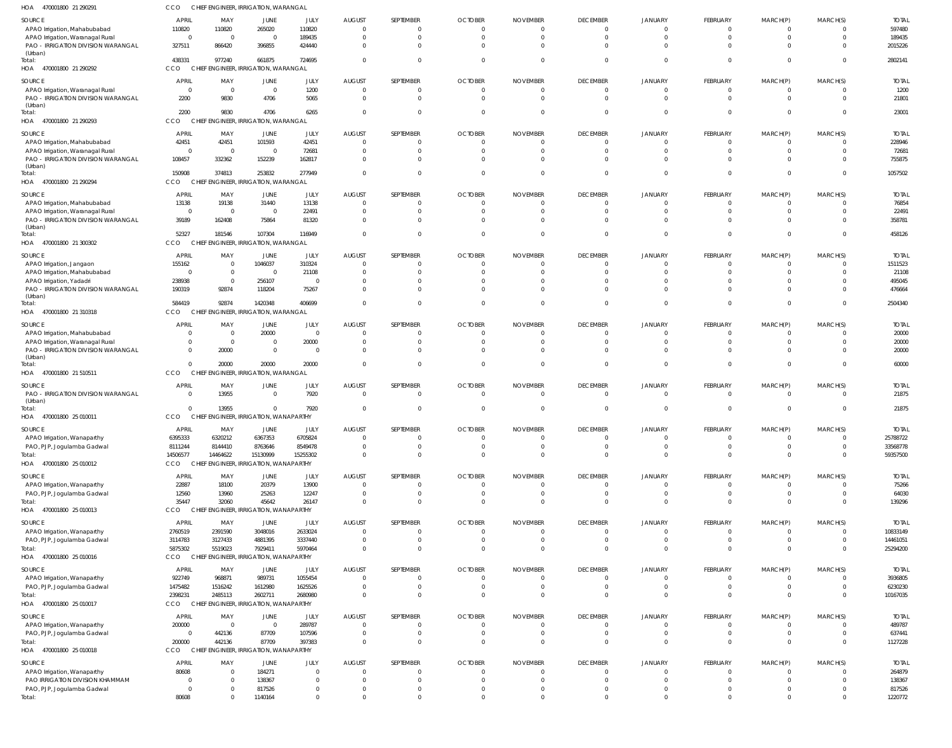| HOA<br>470001800 21 290291                                             | CCO                              | CHIEF ENGINEER, IRRIGATION, WARANGAL              |                      |                     |                           |                                |                      |                      |                                   |                                  |                             |                            |                                  |                        |
|------------------------------------------------------------------------|----------------------------------|---------------------------------------------------|----------------------|---------------------|---------------------------|--------------------------------|----------------------|----------------------|-----------------------------------|----------------------------------|-----------------------------|----------------------------|----------------------------------|------------------------|
| <b>SOURCE</b>                                                          | <b>APRIL</b>                     | MAY                                               | JUNE                 | JULY                | <b>AUGUST</b>             | SEPTEMBER                      | <b>OCTOBER</b>       | <b>NOVEMBER</b>      | <b>DECEMBER</b>                   | <b>JANUARY</b>                   | <b>FEBRUARY</b>             | MARCH(P)                   | MARCH(S)                         | <b>TOTAL</b>           |
| APAO Irrigation, Mahabubabad<br>APAO Irrigation, Waranagal Rural       | 110820<br>$\overline{0}$         | 110820<br>$\overline{0}$                          | 265020<br>$\Omega$   | 110820<br>189435    | $\cap$                    | 0<br>$\mathbf 0$               | $\Omega$<br>$\Omega$ | $\Omega$<br>$\Omega$ | $\overline{0}$<br>$\overline{0}$  | $\overline{0}$<br>$\overline{0}$ | $\Omega$<br>$\Omega$        | $\Omega$<br>$\Omega$       | $\Omega$<br>$\overline{0}$       | 597480<br>189435       |
| PAO - IRRIGATION DIVISION WARANGAL                                     | 327511                           | 866420                                            | 396855               | 424440              | $\Omega$                  | $\Omega$                       |                      |                      | $\Omega$                          | $\Omega$                         | $\Omega$                    | $\Omega$                   | $\Omega$                         | 2015226                |
| (Urban)<br>Total:                                                      | 438331                           | 977240                                            | 661875               | 724695              | $\Omega$                  | $\Omega$                       | $\Omega$             |                      | $\Omega$                          | $\Omega$                         | $\Omega$                    | $\Omega$                   | $\Omega$                         | 2802141                |
| HOA<br>470001800 21 290292                                             | CCO                              | CHIEF ENGINEER, IRRIGATION, WARANGAL              |                      |                     |                           |                                |                      |                      |                                   |                                  |                             |                            |                                  |                        |
| <b>SOURCE</b>                                                          | <b>APRIL</b>                     | MAY                                               | JUNE                 | JULY                | <b>AUGUST</b>             | SEPTEMBER                      | <b>OCTOBER</b>       | <b>NOVEMBER</b>      | <b>DECEMBER</b>                   | <b>JANUARY</b>                   | <b>FEBRUARY</b>             | MARCH(P)                   | MARCH(S)                         | <b>TOTAL</b>           |
| APAO Irrigation, Waranagal Rural<br>PAO - IRRIGATION DIVISION WARANGAL | $\overline{0}$<br>2200           | $\overline{0}$<br>9830                            | $\Omega$<br>4706     | 1200<br>5065        | - 0                       | $\mathbf 0$<br>$\mathbf{0}$    |                      |                      | $\overline{0}$<br>$\Omega$        | $\overline{0}$<br>$\overline{0}$ | $\Omega$<br>$\Omega$        | $\Omega$<br>$\Omega$       | $\overline{0}$<br>$\Omega$       | 1200<br>21801          |
| (Urban)                                                                |                                  |                                                   |                      |                     |                           |                                |                      |                      |                                   |                                  |                             |                            |                                  |                        |
| Total:<br>HOA 470001800 21 290293                                      | 2200<br>CCO                      | 9830<br>CHIEF ENGINEER, IRRIGATION, WARANGAL      | 4706                 | 6265                |                           | $\overline{0}$                 |                      |                      | $\overline{0}$                    | $\Omega$                         | $\Omega$                    | $\Omega$                   | $\overline{0}$                   | 23001                  |
|                                                                        |                                  |                                                   |                      |                     |                           |                                |                      |                      |                                   |                                  |                             |                            |                                  |                        |
| <b>SOURCE</b><br>APAO Irrigation, Mahabubabad                          | <b>APRIL</b><br>42451            | MAY<br>42451                                      | JUNE<br>101593       | JULY<br>42451       | <b>AUGUST</b>             | SEPTEMBER<br>$\mathbf 0$       | <b>OCTOBER</b>       | <b>NOVEMBER</b>      | <b>DECEMBER</b><br>$\overline{0}$ | <b>JANUARY</b><br>$\circ$        | <b>FEBRUARY</b><br>$\Omega$ | MARCH(P)<br>$\Omega$       | MARCH(S)<br>$\Omega$             | <b>TOTAL</b><br>228946 |
| APAO Irrigation, Waranagal Rural                                       | $\overline{0}$                   | $\overline{0}$                                    | $\Omega$             | 72681               | $\Omega$                  | $\mathbf 0$                    | $\Omega$             |                      | $\overline{0}$                    | $\Omega$                         | $\Omega$                    | $\Omega$                   | $\Omega$                         | 72681                  |
| PAO - IRRIGATION DIVISION WARANGAL<br>(Urban)                          | 108457                           | 332362                                            | 152239               | 162817              | $\Omega$                  | $\Omega$                       |                      |                      | $\Omega$                          | $\Omega$                         | $\Omega$                    | $\Omega$                   | $\Omega$                         | 755875                 |
| Total:                                                                 | 150908                           | 374813                                            | 253832               | 277949              |                           | $\Omega$                       |                      |                      | $\Omega$                          | $\Omega$                         | $\Omega$                    | $\Omega$                   | $\Omega$                         | 1057502                |
| HOA<br>470001800 21 290294                                             | CCO                              | CHIEF ENGINEER, IRRIGATION, WARANGAL              |                      |                     |                           |                                |                      |                      |                                   |                                  |                             |                            |                                  |                        |
| <b>SOURCE</b>                                                          | <b>APRIL</b>                     | MAY                                               | JUNE                 | JULY                | <b>AUGUST</b><br>$\Omega$ | SEPTEMBER                      | <b>OCTOBER</b>       | <b>NOVEMBER</b>      | <b>DECEMBER</b><br>$\overline{0}$ | <b>JANUARY</b>                   | <b>FEBRUARY</b><br>$\Omega$ | MARCH(P)                   | MARCH(S)                         | <b>TOTAL</b>           |
| APAO Irrigation, Mahabubabad<br>APAO Irrigation, Waranagal Rural       | 13138<br>$\overline{0}$          | 19138<br>- 0                                      | 31440<br>$\Omega$    | 13138<br>22491      |                           | $\mathbf 0$<br>$\mathbf 0$     |                      |                      | $\overline{0}$                    | $\overline{0}$<br>$\circ$        | $\Omega$                    | $\Omega$<br>$\Omega$       | $\overline{0}$<br>$\overline{0}$ | 76854<br>22491         |
| PAO - IRRIGATION DIVISION WARANGAL                                     | 39189                            | 162408                                            | 75864                | 81320               |                           | $\mathbf 0$                    |                      |                      | $\overline{0}$                    | $\Omega$                         | $\Omega$                    | $\Omega$                   | $\overline{0}$                   | 358781                 |
| (Urban)<br>Total:                                                      | 52327                            | 181546                                            | 107304               | 116949              |                           | $\overline{0}$                 |                      |                      | $\overline{0}$                    | $\overline{0}$                   | $\Omega$                    | $\Omega$                   | $\overline{0}$                   | 458126                 |
| HOA<br>470001800 21 300302                                             | CCO                              | CHIEF ENGINEER, IRRIGATION, WARANGAL              |                      |                     |                           |                                |                      |                      |                                   |                                  |                             |                            |                                  |                        |
| <b>SOURCE</b>                                                          | <b>APRIL</b>                     | MAY                                               | JUNE                 | JULY                | <b>AUGUST</b>             | SEPTEMBER                      | <b>OCTOBER</b>       | <b>NOVEMBER</b>      | <b>DECEMBER</b>                   | <b>JANUARY</b>                   | FEBRUARY                    | MARCH(P)                   | MARCH(S)                         | <b>TOTAL</b>           |
| APAO Irrigation, Jangaon                                               | 155162                           | $\overline{0}$                                    | 1046037              | 310324              |                           | $\Omega$                       |                      |                      | $\overline{0}$                    | $\Omega$                         | $\Omega$                    | $\Omega$                   | $\Omega$                         | 1511523                |
| APAO Irrigation, Mahabubabad<br>APAO Irrigation, Yadadri               | $\overline{0}$<br>238938         | $\overline{0}$<br>$\overline{0}$                  | $\Omega$<br>256107   | 21108               |                           | $\mathbf 0$<br>$\Omega$        |                      |                      | $\overline{0}$<br>$\Omega$        | $\Omega$<br>$\Omega$             | $\Omega$<br>$\Omega$        | $\Omega$<br>$\Omega$       | $\overline{0}$<br>$\Omega$       | 21108<br>495045        |
| PAO - IRRIGATION DIVISION WARANGAL                                     | 190319                           | 92874                                             | 118204               | 75267               |                           | $\Omega$                       |                      |                      | $\Omega$                          | $\Omega$                         | $\Omega$                    | $\Omega$                   | $\Omega$                         | 476664                 |
| (Urban)<br>Total:                                                      | 584419                           | 92874                                             | 1420348              | 406699              |                           | $\Omega$                       | $\Omega$             |                      | $\Omega$                          | $\Omega$                         | $\Omega$                    | $\Omega$                   | $\Omega$                         | 2504340                |
| HOA<br>470001800 21 310318                                             | CCO                              | CHIEF ENGINEER, IRRIGATION, WARANGAL              |                      |                     |                           |                                |                      |                      |                                   |                                  |                             |                            |                                  |                        |
| <b>SOURCE</b>                                                          | <b>APRIL</b>                     | MAY                                               | JUNE                 | JULY                | <b>AUGUST</b>             | SEPTEMBER                      | <b>OCTOBER</b>       | <b>NOVEMBER</b>      | <b>DECEMBER</b>                   | <b>JANUARY</b>                   | <b>FEBRUARY</b>             | MARCH(P)                   | MARCH(S)                         | <b>TOTAL</b>           |
| APAO Irrigation, Mahabubabad                                           | $\overline{0}$                   | $\overline{0}$                                    | 20000                | $\mathbf 0$         |                           | $\mathbf 0$                    |                      |                      | $\overline{0}$                    | $\overline{0}$                   | $\Omega$                    | $\Omega$                   | $\overline{0}$                   | 20000                  |
| APAO Irrigation, Waranagal Rural<br>PAO - IRRIGATION DIVISION WARANGAL | $\overline{0}$<br>$\overline{0}$ | $\overline{0}$<br>20000                           | $\Omega$<br>$\Omega$ | 20000<br>0          |                           | $\mathbf 0$<br>$\mathbf 0$     |                      |                      | $\overline{0}$<br>$\Omega$        | $\overline{0}$<br>$\overline{0}$ | $\Omega$<br>$\Omega$        | $\Omega$<br>$\Omega$       | $\overline{0}$<br>$\Omega$       | 20000<br>20000         |
| (Urban)                                                                |                                  |                                                   |                      |                     |                           |                                |                      |                      |                                   |                                  |                             |                            |                                  |                        |
| Total:<br>470001800 21 510511<br>HOA                                   | $\overline{0}$<br>CCO            | 20000<br>CHIEF ENGINEER, IRRIGATION, WARANGAL     | 20000                | 20000               |                           | $\mathbf{0}$                   |                      |                      | $\Omega$                          | $\Omega$                         | $\Omega$                    | $\Omega$                   | $\Omega$                         | 60000                  |
| <b>SOURCE</b>                                                          | <b>APRIL</b>                     | MAY                                               | JUNE                 | JULY                | <b>AUGUST</b>             | SEPTEMBER                      | <b>OCTOBER</b>       | <b>NOVEMBER</b>      | <b>DECEMBER</b>                   | <b>JANUARY</b>                   | FEBRUARY                    | MARCH(P)                   | MARCH(S)                         | <b>TOTAL</b>           |
| PAO - IRRIGATION DIVISION WARANGAL                                     | $\overline{0}$                   | 13955                                             | $\Omega$             | 7920                | $\Omega$                  | $\overline{0}$                 | $\Omega$             | $\Omega$             | $\overline{0}$                    | $\Omega$                         | $\Omega$                    | $\Omega$                   | $\Omega$                         | 21875                  |
| (Urban)<br>Total:                                                      | $\Omega$                         | 13955                                             | $\Omega$             | 7920                |                           | $\mathbf 0$                    | $\Omega$             | $\Omega$             | $\overline{0}$                    | $\Omega$                         | $\Omega$                    | $\Omega$                   | $\Omega$                         | 21875                  |
| HOA 470001800 25 010011                                                | CCO                              | CHIEF ENGINEER, IRRIGATION, WANAPARTHY            |                      |                     |                           |                                |                      |                      |                                   |                                  |                             |                            |                                  |                        |
| SOURCE                                                                 | <b>APRIL</b>                     | MAY                                               | JUNE                 | JULY                | <b>AUGUST</b>             | <b>SEPTEMBER</b>               | <b>OCTOBER</b>       | <b>NOVEMBER</b>      | <b>DECEMBER</b>                   | <b>JANUARY</b>                   | <b>FEBRUARY</b>             | MARCH(P)                   | MARCH(S)                         | <b>TOTAL</b>           |
| APAO Irrigation, Wanaparthy                                            | 6395333                          | 6320212                                           | 6367353              | 6705824             |                           | 0                              |                      |                      | - 0                               | - 0                              | $\Omega$                    | - 0                        | $\Omega$                         | 25788722               |
| PAO, PJP, Jogulamba Gadwal<br>Total:                                   | 8111244<br>14506577              | 8144410<br>14464622                               | 8763646<br>15130999  | 8549478<br>15255302 |                           | $\overline{0}$<br>$\mathbf{0}$ |                      |                      | $\overline{0}$<br>$\overline{0}$  | $\overline{0}$<br>$\overline{0}$ | $\overline{0}$<br>$\Omega$  | $\overline{0}$<br>$\Omega$ | - 0<br>$\Omega$                  | 33568778<br>59357500   |
| HOA 470001800 25 010012                                                | CCO                              | CHIEF ENGINEER, IRRIGATION, WANAPARTHY            |                      |                     |                           |                                |                      |                      |                                   |                                  |                             |                            |                                  |                        |
| SOURCE                                                                 | <b>APRIL</b>                     | MAY                                               | JUNE                 | JULY                | <b>AUGUST</b>             | SEPTEMBER                      | <b>OCTOBER</b>       | <b>NOVEMBER</b>      | <b>DECEMBER</b>                   | <b>JANUARY</b>                   | <b>FEBRUARY</b>             | MARCH(P)                   | MARCH(S)                         | <b>TOTAL</b>           |
| APAO Irrigation, Wanaparthy                                            | 22887                            | 18100                                             | 20379                | 13900               | $\Omega$                  | $\mathbf 0$                    |                      | $\Omega$             | $\overline{0}$                    | $\overline{0}$                   | $\Omega$                    | - 0                        | $\Omega$                         | 75266                  |
| PAO, PJP, Jogulamba Gadwal                                             | 12560                            | 13960                                             | 25263                | 12247               | $\Omega$                  | $\overline{0}$                 | $\Omega$             | $\Omega$             | $\overline{0}$                    | $\overline{0}$                   | $\overline{0}$              | $\overline{0}$             | $\overline{0}$                   | 64030                  |
| Total:<br>HOA<br>470001800 25 010013                                   | 35447<br>CCO                     | 32060<br>CHIEF ENGINEER, IRRIGATION, WANAPARTHY   | 45642                | 26147               |                           | $\Omega$                       | $\Omega$             | $\Omega$             | $\Omega$                          | $\overline{0}$                   | $\Omega$                    | $\Omega$                   | $\Omega$                         | 139296                 |
| <b>SOURCE</b>                                                          | <b>APRIL</b>                     | MAY                                               | <b>JUNE</b>          | JULY                | <b>AUGUST</b>             | SEPTEMBER                      | <b>OCTOBER</b>       | <b>NOVEMBER</b>      | <b>DECEMBER</b>                   | <b>JANUARY</b>                   | <b>FEBRUARY</b>             | MARCH(P)                   | MARCH(S)                         | <b>TOTAL</b>           |
| APAO Irrigation, Wanaparthy                                            | 2760519                          | 2391590                                           | 3048016              | 2633024             | $\cap$                    | $\overline{0}$                 |                      |                      | $\overline{0}$                    | $\overline{0}$                   | $\Omega$                    | $\Omega$                   | $\overline{0}$                   | 10833149               |
| PAO, PJP, Jogulamba Gadwal                                             | 3114783                          | 3127433                                           | 4881395              | 3337440             |                           | $\mathbf{0}$                   |                      |                      | $\overline{0}$                    | $\overline{0}$                   | $\overline{0}$              | $\overline{0}$             | $\overline{0}$                   | 14461051               |
| Total:<br>HOA 470001800 25 010016                                      | 5875302<br>CCO                   | 5519023<br>CHIEF ENGINEER, IRRIGATION, WANAPARTHY | 7929411              | 5970464             |                           | $\mathbf 0$                    |                      |                      | $\overline{0}$                    | $\overline{0}$                   | $\Omega$                    | $\Omega$                   | $\overline{0}$                   | 25294200               |
| SOURCE                                                                 | <b>APRIL</b>                     | MAY                                               | JUNE                 | JULY                | <b>AUGUST</b>             | SEPTEMBER                      | <b>OCTOBER</b>       | <b>NOVEMBER</b>      | <b>DECEMBER</b>                   | <b>JANUARY</b>                   | <b>FEBRUARY</b>             | MARCH(P)                   | MARCH(S)                         | <b>TOTAL</b>           |
| APAO Irrigation, Wanaparthy                                            | 922749                           | 968871                                            | 989731               | 1055454             |                           | 0                              | $\Omega$             | $\Omega$             | $\overline{0}$                    | $\overline{0}$                   | $\Omega$                    | $\Omega$                   | $\Omega$                         | 3936805                |
| PAO, PJP, Jogulamba Gadwal                                             | 1475482                          | 1516242                                           | 1612980              | 1625526             | $\Omega$                  | $\overline{0}$                 | $\Omega$             | $\Omega$             | $\overline{0}$                    | $\overline{0}$                   | $\Omega$                    | $\overline{0}$             | $\overline{0}$                   | 6230230                |
| Total:<br>HOA 470001800 25 010017                                      | 2398231<br>CCO                   | 2485113<br>CHIEF ENGINEER, IRRIGATION, WANAPARTHY | 2602711              | 2680980             | $\Omega$                  | $\mathbf 0$                    | $\Omega$             | $\Omega$             | $\overline{0}$                    | $\overline{0}$                   | $\Omega$                    | $\Omega$                   | $\overline{0}$                   | 10167035               |
| SOURCE                                                                 | <b>APRIL</b>                     | MAY                                               | JUNE                 | JULY                | <b>AUGUST</b>             | SEPTEMBER                      | <b>OCTOBER</b>       | <b>NOVEMBER</b>      | <b>DECEMBER</b>                   | <b>JANUARY</b>                   | <b>FEBRUARY</b>             | MARCH(P)                   | MARCH(S)                         | <b>TOTAL</b>           |
| APAO Irrigation, Wanaparthy                                            | 200000                           | - 0                                               | $\Omega$             | 289787              |                           | $\mathbf 0$                    |                      |                      | $\overline{0}$                    | $\overline{0}$                   | $\Omega$                    | $\Omega$                   | - 0                              | 489787                 |
| PAO, PJP, Jogulamba Gadwal                                             | $\overline{0}$                   | 442136                                            | 87709                | 107596              |                           | $\overline{0}$                 |                      |                      | $\overline{0}$                    | $\overline{0}$                   | $\Omega$                    | $\overline{0}$             | $\overline{0}$                   | 637441                 |
| Total:<br>HOA 470001800 25 010018                                      | 200000<br>CCO                    | 442136<br>CHIEF ENGINEER, IRRIGATION, WANAPARTHY  | 87709                | 397383              |                           | $\mathbf{0}$                   |                      |                      | $\Omega$                          | $\overline{0}$                   | $\Omega$                    | $\Omega$                   | $\overline{0}$                   | 1127228                |
|                                                                        |                                  |                                                   |                      |                     |                           |                                |                      |                      |                                   |                                  |                             |                            |                                  |                        |
| SOURCE<br>APAO Irrigation, Wanaparthy                                  | <b>APRIL</b><br>80608            | MAY<br>- 0                                        | JUNE<br>184271       | JULY<br>$\mathbf 0$ | <b>AUGUST</b>             | SEPTEMBER<br>0                 | <b>OCTOBER</b>       | <b>NOVEMBER</b>      | <b>DECEMBER</b><br>$\overline{0}$ | <b>JANUARY</b><br>$\Omega$       | <b>FEBRUARY</b><br>$\Omega$ | MARCH(P)<br>$\Omega$       | MARCH(S)<br>$\Omega$             | <b>TOTAL</b><br>264879 |
| PAO IRRIGATION DIVISION KHAMMAM                                        | 0                                | $\overline{0}$                                    | 138367               | $\Omega$            |                           | $\mathbf 0$                    |                      |                      | $\overline{0}$                    | $\Omega$                         | $\Omega$                    | $\Omega$                   | $\Omega$                         | 138367                 |
| PAO, PJP, Jogulamba Gadwal                                             | $\overline{0}$                   | $\Omega$                                          | 817526               |                     | $\Omega$                  | $\mathbf 0$                    | $\Omega$             |                      | $\overline{0}$                    | $\overline{0}$                   | $\Omega$                    | $\Omega$                   | $\overline{0}$                   | 817526                 |
| Total:                                                                 | 80608                            | $\Omega$                                          | 1140164              | $\Omega$            |                           | $\mathbf 0$                    |                      | $\Omega$             | $\overline{0}$                    | $\overline{0}$                   | $\Omega$                    | $\Omega$                   | $\overline{0}$                   | 1220772                |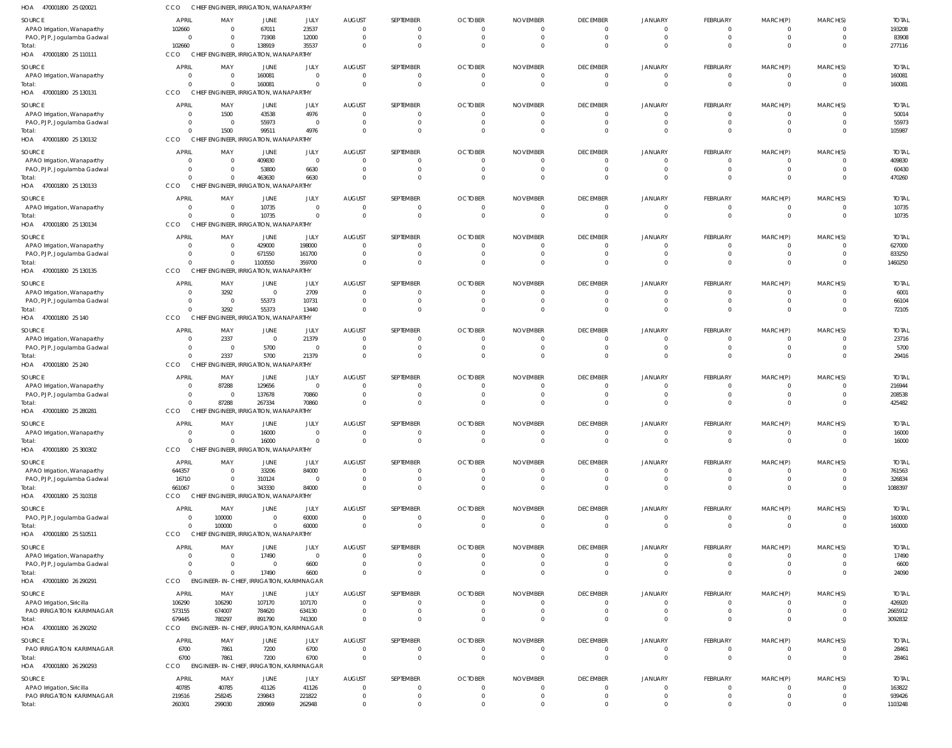| HOA<br>470001800 25 020021            | CCO                                 | CHIEF ENGINEER, IRRIGATION, WANAPARTHY                            |                                  |                         |                                  |                                  |                                  |                                   |                             |                            |                            |                         |                      |                        |
|---------------------------------------|-------------------------------------|-------------------------------------------------------------------|----------------------------------|-------------------------|----------------------------------|----------------------------------|----------------------------------|-----------------------------------|-----------------------------|----------------------------|----------------------------|-------------------------|----------------------|------------------------|
| SOURCE                                | APRIL                               | MAY                                                               | JUNE                             | JULY                    | <b>AUGUST</b>                    | SEPTEMBER                        | <b>OCTOBER</b>                   | <b>NOVEMBER</b>                   | <b>DECEMBER</b>             | <b>JANUARY</b>             | FEBRUARY                   | MARCH(P)                | MARCH(S)             | <b>TOTAI</b>           |
| APAO Irrigation, Wanaparthy           | 102660                              | $\overline{\mathbf{0}}$                                           | 67011                            | 23537                   | 0                                | 0                                | 0                                | 0                                 | $\Omega$                    | $\Omega$                   | 0                          | 0                       |                      | 193208                 |
| PAO, PJP, Jogulamba Gadwal<br>Total:  | $\overline{0}$<br>102660            | - 0<br>$\Omega$                                                   | 71908<br>138919                  | 12000<br>35537          | $\overline{0}$<br>$\Omega$       | $\Omega$<br>$\Omega$             | 0<br>$\Omega$                    | $\overline{0}$<br>$\Omega$        | $\Omega$<br>$\Omega$        | $\Omega$<br>$\Omega$       | 0<br>$\Omega$              | 0<br>$\Omega$           | $\Omega$<br>$\Omega$ | 83908<br>277116        |
| HOA 470001800 25 110111               | <b>CCO</b>                          | CHIEF ENGINEER, IRRIGATION, WANAPARTHY                            |                                  |                         |                                  |                                  |                                  |                                   |                             |                            |                            |                         |                      |                        |
| SOURCE                                | <b>APRIL</b>                        | MAY                                                               | JUNE                             | JULY                    | <b>AUGUST</b>                    | SEPTEMBER                        | <b>OCTOBER</b>                   | <b>NOVEMBER</b>                   | <b>DECEMBER</b>             | <b>JANUARY</b>             | FEBRUARY                   | MARCH(P)                | MARCH(S)             | <b>TOTAL</b>           |
| APAO Irrigation, Wanaparthy           | $\overline{\mathbf{0}}$             | $\overline{\mathbf{0}}$                                           | 160081                           | $\Omega$                | $\overline{0}$                   | $\mathbf 0$                      | $\overline{0}$                   | $\overline{0}$                    | $\Omega$                    | $\Omega$                   | $\mathbf 0$                | 0                       | $\Omega$             | 160081                 |
| Total:<br>HOA 470001800 25 130131     | $\Omega$<br>CCO                     | $\overline{\mathbf{0}}$<br>CHIEF ENGINEER, IRRIGATION, WANAPARTHY | 160081                           | $\Omega$                | $\overline{0}$                   | $\mathbf 0$                      | $\Omega$                         | $\overline{0}$                    | $\Omega$                    | $\Omega$                   | $\mathbf 0$                | $\mathbf 0$             | $\Omega$             | 160081                 |
| SOURCE                                | <b>APRIL</b>                        | MAY                                                               |                                  | JULY                    | <b>AUGUST</b>                    | SEPTEMBER                        | <b>OCTOBER</b>                   | <b>NOVEMBER</b>                   | <b>DECEMBER</b>             | <b>JANUARY</b>             | FEBRUARY                   | MARCH(P)                | MARCH(S)             | <b>TOTAI</b>           |
| APAO Irrigation, Wanaparthy           | - 0                                 | 1500                                                              | JUNE<br>43538                    | 4976                    | $\overline{0}$                   | $\Omega$                         | - 0                              | $\Omega$                          | $\Omega$                    | - 0                        | 0                          |                         |                      | 50014                  |
| PAO, PJP, Jogulamba Gadwal            | $\overline{0}$                      | $\overline{\mathbf{0}}$                                           | 55973                            | $\overline{\mathbf{0}}$ | $\overline{0}$                   | $\mathbf 0$                      | $\overline{0}$                   | $\overline{0}$                    | $\Omega$                    | $\Omega$                   | 0                          | 0                       | $\Omega$             | 55973                  |
| Total:<br>HOA 470001800 25 130132     | $\Omega$<br>CCO                     | 1500<br>CHIEF ENGINEER, IRRIGATION, WANAPARTHY                    | 99511                            | 4976                    | $\Omega$                         | $\Omega$                         | $\Omega$                         | $\Omega$                          | $\Omega$                    | $\Omega$                   | $\Omega$                   |                         | $\Omega$             | 105987                 |
|                                       |                                     |                                                                   |                                  |                         |                                  |                                  |                                  |                                   |                             |                            |                            |                         |                      |                        |
| SOURCE<br>APAO Irrigation, Wanaparthy | <b>APRIL</b><br>$\Omega$            | MAY<br>$\overline{\mathbf{0}}$                                    | JUNE<br>409830                   | JULY<br>- 0             | <b>AUGUST</b><br>$\overline{0}$  | SEPTEMBER<br>0                   | <b>OCTOBER</b><br>$\overline{0}$ | <b>NOVEMBER</b><br>$\overline{0}$ | <b>DECEMBER</b><br>$\Omega$ | <b>JANUARY</b><br>$\Omega$ | FEBRUARY<br>$\mathbf 0$    | MARCH(P)<br>0           | MARCH(S)<br>$\Omega$ | <b>TOTAI</b><br>409830 |
| PAO, PJP, Jogulamba Gadwal            | $\overline{0}$                      | $\overline{\mathbf{0}}$                                           | 53800                            | 6630                    | 0                                | $\mathbf 0$                      | 0                                | $\overline{0}$                    | $\Omega$                    | $\Omega$                   | 0                          | 0                       | $\Omega$             | 60430                  |
| Total:                                | $\Omega$                            | $\overline{\mathbf{0}}$                                           | 463630                           | 6630                    | $\overline{0}$                   | $\Omega$                         | - 0                              | $\Omega$                          | $\Omega$                    | $\Omega$                   | 0                          | 0                       | $\Omega$             | 470260                 |
| HOA 470001800 25 130133               | CCO                                 | CHIEF ENGINEER, IRRIGATION, WANAPARTHY                            |                                  |                         |                                  |                                  |                                  |                                   |                             |                            |                            |                         |                      |                        |
| SOURCE<br>APAO Irrigation, Wanaparthy | APRIL<br>$\overline{0}$             | MAY<br>$\overline{\mathbf{0}}$                                    | JUNE<br>10735                    | <b>JULY</b><br>$\Omega$ | <b>AUGUST</b><br>$\overline{0}$  | SEPTEMBER<br>0                   | <b>OCTOBER</b><br>$\overline{0}$ | <b>NOVEMBER</b><br>$\overline{0}$ | <b>DECEMBER</b><br>$\Omega$ | <b>JANUARY</b><br>- 0      | FEBRUARY<br>$\mathbf 0$    | MARCH(P)<br>$\mathbf 0$ | MARCH(S)             | <b>TOTAL</b><br>10735  |
| Total:                                | $\Omega$                            | - 0                                                               | 10735                            | $\Omega$                | $\overline{0}$                   | $\overline{0}$                   | $\overline{0}$                   | $\overline{0}$                    | $\Omega$                    | $\Omega$                   | $\mathbf 0$                | $\mathbf 0$             | $\Omega$             | 10735                  |
| HOA<br>470001800 25 130134            | CCO                                 | CHIEF ENGINEER, IRRIGATION, WANAPARTHY                            |                                  |                         |                                  |                                  |                                  |                                   |                             |                            |                            |                         |                      |                        |
| SOURCE                                | APRIL                               | MAY                                                               | JUNE                             | JULY                    | <b>AUGUST</b>                    | SEPTEMBER                        | <b>OCTOBER</b>                   | <b>NOVEMBER</b>                   | <b>DECEMBER</b>             | <b>JANUARY</b>             | <b>FEBRUARY</b>            | MARCH(P)                | MARCH(S)             | <b>TOTAL</b>           |
| APAO Irrigation, Wanaparthy           | $\overline{\mathbf{0}}$             | $\overline{\mathbf{0}}$                                           | 429000                           | 198000                  | $\overline{0}$                   | $\Omega$                         | 0                                | 0                                 | $\Omega$<br>$\Omega$        | $\Omega$<br>$\Omega$       | 0                          | 0                       |                      | 627000                 |
| PAO, PJP, Jogulamba Gadwal<br>Total:  | $\overline{0}$<br>$\Omega$          | $\overline{\mathbf{0}}$<br>$\overline{\mathbf{0}}$                | 671550<br>1100550                | 161700<br>359700        | $\overline{0}$<br>$\overline{0}$ | 0<br>$\mathbf 0$                 | 0<br>- 0                         | 0<br>0                            | $\Omega$                    | $\Omega$                   | 0<br>0                     | 0<br>0                  | $\Omega$<br>$\Omega$ | 833250<br>1460250      |
| HOA 470001800 25 130135               | CCO                                 | CHIEF ENGINEER, IRRIGATION, WANAPARTHY                            |                                  |                         |                                  |                                  |                                  |                                   |                             |                            |                            |                         |                      |                        |
| SOURCE                                | <b>APRIL</b>                        | MAY                                                               | JUNE                             | JULY                    | <b>AUGUST</b>                    | SEPTEMBER                        | <b>OCTOBER</b>                   | <b>NOVEMBER</b>                   | <b>DECEMBER</b>             | <b>JANUARY</b>             | <b>FEBRUARY</b>            | MARCH(P)                | MARCH(S)             | <b>TOTAI</b>           |
| APAO Irrigation, Wanaparthy           | $\overline{0}$                      | 3292                                                              | $\overline{0}$                   | 2709                    | $\overline{0}$                   | 0                                | 0                                | 0                                 | $\Omega$                    | - 0                        | 0                          |                         |                      | 6001                   |
| PAO, PJP, Jogulamba Gadwal<br>Total:  | $\overline{0}$<br>$\Omega$          | $\overline{\phantom{0}}$<br>3292                                  | 55373<br>55373                   | 10731<br>13440          | $\overline{0}$<br>$\Omega$       | $\mathbf 0$<br>$\Omega$          | 0<br>$\Omega$                    | 0<br>$\Omega$                     | $\Omega$<br>$\Omega$        | $\Omega$<br>$\Omega$       | 0<br>$\Omega$              | 0<br>$\Omega$           | $\Omega$<br>$\Omega$ | 66104<br>72105         |
| HOA 470001800 25 140                  | CCO                                 | CHIEF ENGINEER, IRRIGATION, WANAPARTHY                            |                                  |                         |                                  |                                  |                                  |                                   |                             |                            |                            |                         |                      |                        |
| SOURCE                                | <b>APRIL</b>                        | MAY                                                               | JUNE                             | JULY                    | <b>AUGUST</b>                    | SEPTEMBER                        | <b>OCTOBER</b>                   | <b>NOVEMBER</b>                   | <b>DECEMBER</b>             | <b>JANUARY</b>             | FEBRUARY                   | MARCH(P)                | MARCH(S)             | <b>TOTAL</b>           |
| APAO Irrigation, Wanaparthy           | $\overline{0}$                      | 2337                                                              | $\overline{0}$                   | 21379                   | $\overline{0}$                   | 0                                | 0                                | 0                                 | $\Omega$                    |                            | 0                          |                         |                      | 23716                  |
| PAO, PJP, Jogulamba Gadwal<br>Total:  | $\overline{\mathbf{0}}$<br>$\Omega$ | $\overline{\mathbf{0}}$<br>2337                                   | 5700<br>5700                     | - 0<br>21379            | $\overline{0}$<br>$\overline{0}$ | $\mathbf 0$<br>$\mathbf 0$       | $\overline{0}$<br>$\Omega$       | $\overline{0}$<br>$\Omega$        | $\Omega$<br>$\Omega$        | $\Omega$<br>$\Omega$       | $\mathbf 0$<br>$\mathbf 0$ | 0<br>$\Omega$           | $\Omega$<br>$\Omega$ | 5700<br>29416          |
| HOA 470001800 25 240                  | CCO                                 | CHIEF ENGINEER, IRRIGATION, WANAPARTHY                            |                                  |                         |                                  |                                  |                                  |                                   |                             |                            |                            |                         |                      |                        |
| SOURCE                                | <b>APRIL</b>                        | MAY                                                               | JUNE                             | JULY                    | <b>AUGUST</b>                    | SEPTEMBER                        | <b>OCTOBER</b>                   | <b>NOVEMBER</b>                   | <b>DECEMBER</b>             | <b>JANUARY</b>             | <b>FEBRUARY</b>            | MARCH(P)                | MARCH(S)             | <b>TOTAI</b>           |
| APAO Irrigation, Wanaparthy           | 0                                   | 87288                                                             | 129656                           | - 0                     | 0                                | $\Omega$                         | 0                                | 0                                 | $\Omega$                    | $\Omega$                   |                            |                         |                      | 216944                 |
| PAO, PJP, Jogulamba Gadwal            | $\overline{0}$                      | $\overline{\mathbf{0}}$                                           | 137678                           | 70860                   | $\overline{0}$                   | $\mathbf 0$                      | 0                                | $\overline{0}$                    | $\Omega$                    | $\Omega$                   | 0                          |                         | $\Omega$             | 208538                 |
| Total:<br>HOA<br>470001800 25 280281  | $\Omega$<br>CCO                     | 87288<br>CHIEF ENGINEER, IRRIGATION, WANAPARTHY                   | 267334                           | 70860                   | $\overline{0}$                   | $\Omega$                         | $\Omega$                         | $\overline{0}$                    | $\Omega$                    | $\Omega$                   | $\Omega$                   | $\Omega$                | $\Omega$             | 425482                 |
| <b>SOURCE</b>                         | APRIL                               | MAY                                                               | JUNE                             | JULY                    | <b>AUGUST</b>                    | SEPTEMBER                        | <b>OCTOBER</b>                   | <b>NOVEMBER</b>                   | <b>DECEMBER</b>             | <b>JANUARY</b>             | FEBRUARY                   | MARCH(P)                | MARCH(S)             | <b>TOTAL</b>           |
| APAO Irrigation, Wanaparthy           | $\overline{0}$                      | $\overline{0}$                                                    | 16000                            |                         | $\overline{0}$                   | $\overline{0}$                   | $\overline{0}$                   | $\overline{0}$                    | $\Omega$                    | $\Omega$                   | $\mathbf 0$                | $\Omega$                | $\Omega$             | 16000                  |
| Total:                                | $\Omega$                            | $\Omega$                                                          | 16000                            |                         | $\overline{0}$                   | $\mathbf 0$                      | $\overline{0}$                   | $\overline{0}$                    | $\Omega$                    | $\Omega$                   | $\mathbf 0$                | $\mathbf 0$             | $\Omega$             | 16000                  |
| HOA 470001800 25 300302               | CCO                                 | CHIEF ENGINEER, IRRIGATION, WANAPARTHY                            |                                  |                         |                                  |                                  |                                  |                                   |                             |                            |                            |                         |                      |                        |
| SOURCE<br>APAO Irrigation, Wanaparthy | APRIL<br>644357                     | MAY<br>$\overline{\mathbf{0}}$                                    | JUNE<br>33206                    | JULY<br>84000           | <b>AUGUST</b><br>$\overline{0}$  | SEPTEMBER<br>$\mathbf 0$         | <b>OCTOBER</b><br>$\overline{0}$ | <b>NOVEMBER</b><br>$\Omega$       | <b>DECEMBER</b><br>$\Omega$ | <b>JANUARY</b><br>$\Omega$ | FEBRUARY<br>0              | MARCH(P)                | MARCH(S)             | <b>TOTAL</b><br>761563 |
| PAO, PJP, Jogulamba Gadwal            | 16710                               | - 0                                                               | 310124                           | $\overline{0}$          | $\overline{0}$                   | $\mathbf 0$                      | $\overline{0}$                   | $\overline{0}$                    | $\Omega$                    | $\Omega$                   | $\mathbf 0$                | $\mathbf 0$             | $\Omega$             | 326834                 |
| Total:                                | 661067                              | $\Omega$                                                          | 343330                           | 84000                   | $\overline{0}$                   | $\Omega$                         | $\Omega$                         | $\Omega$                          | $\Omega$                    | $\Omega$                   | $\Omega$                   | $\Omega$                | $\Omega$             | 1088397                |
| HOA 470001800 25 310318               | CCO                                 | CHIEF ENGINEER, IRRIGATION, WANAPARTHY                            |                                  |                         |                                  |                                  |                                  |                                   |                             |                            |                            |                         |                      |                        |
| SOURCE                                | <b>APRIL</b>                        | MAY                                                               | JUNE                             | JULY                    | AUGUST                           | SEPTEMBER                        | <b>OCTOBER</b>                   | <b>NOVEMBER</b>                   | <b>DECEMBER</b>             | <b>JANUARY</b>             | FEBRUARY                   | MARCH(P)                | MARCH(S)             | <b>TOTAL</b>           |
| PAO, PJP, Jogulamba Gadwal<br>Total:  | $\overline{0}$<br>$\Omega$          | 100000<br>100000                                                  | $\overline{0}$<br>$\mathbf 0$    | 60000<br>60000          | $\overline{0}$<br>$\overline{0}$ | $\overline{0}$<br>$\overline{0}$ | $\overline{0}$<br>$\overline{0}$ | $\overline{0}$<br>$\overline{0}$  | $\Omega$<br>$\Omega$        | $\Omega$<br>$\Omega$       | $\mathbf 0$<br>$\mathbf 0$ | 0<br>$\mathbf 0$        | $\Omega$<br>$\Omega$ | 160000<br>160000       |
| HOA 470001800 25 510511               | <b>CCO</b>                          | CHIEF ENGINEER, IRRIGATION, WANAPARTHY                            |                                  |                         |                                  |                                  |                                  |                                   |                             |                            |                            |                         |                      |                        |
| SOURCE                                | <b>APRIL</b>                        | MAY                                                               | JUNE                             | JULY                    | <b>AUGUST</b>                    | SEPTEMBER                        | <b>OCTOBER</b>                   | <b>NOVEMBER</b>                   | <b>DECEMBER</b>             | <b>JANUARY</b>             | FEBRUARY                   | MARCH(P)                | MARCH(S)             | <b>TOTAL</b>           |
| APAO Irrigation, Wanaparthy           | $\overline{0}$                      | $\overline{\mathbf{0}}$                                           | 17490                            | $\overline{0}$          | 0                                | $\Omega$                         | 0                                | 0                                 | - 0                         | $\Omega$                   |                            |                         |                      | 17490                  |
| PAO, PJP, Jogulamba Gadwal<br>Total:  | $\overline{0}$<br>$\Omega$          | $\overline{\mathbf{0}}$<br>$\Omega$                               | $\overline{0}$<br>17490          | 6600<br>6600            | $\overline{0}$<br>$\overline{0}$ | $\mathbf 0$<br>$\Omega$          | $\overline{0}$<br>$\Omega$       | $\overline{0}$<br>$\Omega$        | $\Omega$<br>$\Omega$        | $\Omega$<br>$\Omega$       | 0<br>$\Omega$              | $\Omega$                | $\Omega$             | 6600<br>24090          |
| HOA 470001800 26 290291               | <b>CCO</b>                          | ENGINEER-IN-CHIEF, IRRIGATION, KARIMNAGAR                         |                                  |                         |                                  |                                  |                                  |                                   |                             |                            |                            |                         |                      |                        |
| SOURCE                                | APRIL                               | MAY                                                               | JUNE                             | JULY                    | <b>AUGUST</b>                    | SEPTEMBER                        | <b>OCTOBER</b>                   | <b>NOVEMBER</b>                   | <b>DECEMBER</b>             | <b>JANUARY</b>             | FEBRUARY                   | MARCH(P)                | MARCH(S)             | <b>TOTAL</b>           |
| APAO Irrigation, Siricilla            | 106290                              | 106290                                                            | 107170                           | 107170                  | $\overline{0}$                   | 0                                | 0                                | $\overline{0}$                    | $\Omega$                    | $\Omega$                   | $\mathbf 0$                | 0                       |                      | 426920                 |
| PAO IRRIGATION KARIMNAGAR<br>Total:   | 573155<br>679445                    | 674007<br>780297                                                  | 784620<br>891790                 | 634130<br>741300        | $\overline{0}$<br>$\overline{0}$ | $\mathbf 0$<br>$\mathbf 0$       | 0<br>$\overline{0}$              | 0<br>$\overline{0}$               | $\Omega$<br>$\Omega$        | $\Omega$<br>$\Omega$       | 0<br>0                     | 0<br>$\mathbf 0$        | $\Omega$<br>$\Omega$ | 2665912<br>3092832     |
| HOA 470001800 26 290292               | CCO                                 | ENGINEER-IN-CHIEF, IRRIGATION, KARIMNAGAR                         |                                  |                         |                                  |                                  |                                  |                                   |                             |                            |                            |                         |                      |                        |
| SOURCE                                | <b>APRIL</b>                        | MAY                                                               | JUNE                             | JULY                    | <b>AUGUST</b>                    | SEPTEMBER                        | <b>OCTOBER</b>                   | <b>NOVEMBER</b>                   | <b>DECEMBER</b>             | <b>JANUARY</b>             | FEBRUARY                   | MARCH(P)                | MARCH(S)             | <b>TOTAL</b>           |
| PAO IRRIGATION KARIMNAGAR             | 6700                                | 7861                                                              | 7200                             | 6700                    | $\overline{0}$                   | $\mathbf 0$                      | $\overline{0}$                   | $\overline{0}$                    | $\Omega$                    | $\Omega$                   | $\mathbf 0$                |                         |                      | 28461                  |
| Total:<br>HOA 470001800 26 290293     | 6700<br><b>CCO</b>                  | 7861<br><b>ENGINEER-IN-CHIEF</b>                                  | 7200<br>, IRRIGATION, KARIMNAGAR | 6700                    | $\overline{0}$                   | $\overline{0}$                   | $\Omega$                         | $\overline{0}$                    | $\Omega$                    | $\Omega$                   | $\mathbf 0$                | $\Omega$                | $\Omega$             | 28461                  |
|                                       |                                     |                                                                   |                                  |                         |                                  |                                  |                                  |                                   |                             |                            |                            |                         |                      |                        |
| SOURCE<br>APAO Irrigation, Siricilla  | APRIL<br>40785                      | MAY<br>40785                                                      | JUNE<br>41126                    | JULY<br>41126           | <b>AUGUST</b><br>$\overline{0}$  | SEPTEMBER<br>0                   | <b>OCTOBER</b><br>$\overline{0}$ | <b>NOVEMBER</b><br>$\overline{0}$ | <b>DECEMBER</b><br>$\Omega$ | <b>JANUARY</b><br>$\Omega$ | FEBRUARY<br>$\mathbf 0$    | MARCH(P)<br>0           | MARCH(S)<br>$\Omega$ | <b>TOTAL</b><br>163822 |
| PAO IRRIGATION KARIMNAGAR             | 219516                              | 258245                                                            | 239843                           | 221822                  | $\overline{0}$                   | $\mathbf 0$                      | 0                                | $\overline{0}$                    | $\Omega$                    | $\Omega$                   | $\mathbf 0$                | 0                       | $\Omega$             | 939426                 |
| Total:                                | 260301                              | 299030                                                            | 280969                           | 262948                  | $\overline{0}$                   | $\Omega$                         | $\Omega$                         | 0                                 | $\Omega$                    | $\Omega$                   | $\Omega$                   |                         | $\Omega$             | 1103248                |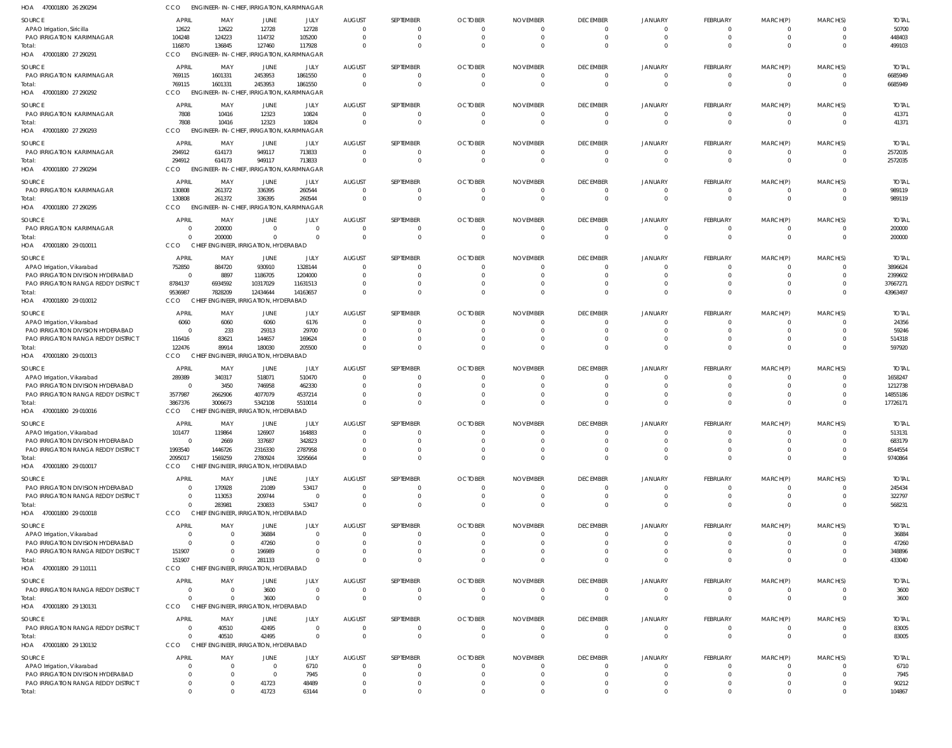| HOA<br>470001800 26 290294                                               | CCO                  | ENGINEER-IN-CHIEF, IRRIGATION, KARIMNAGAR               |                                  |                               |                                  |                 |                               |                               |                                 |                            |                                  |                            |                                  |                         |
|--------------------------------------------------------------------------|----------------------|---------------------------------------------------------|----------------------------------|-------------------------------|----------------------------------|-----------------|-------------------------------|-------------------------------|---------------------------------|----------------------------|----------------------------------|----------------------------|----------------------------------|-------------------------|
| SOURCE                                                                   | APRIL                | MAY                                                     | JUNE                             | JULY                          | AUGUST                           | SEPTEMBER       | <b>OCTOBER</b>                | <b>NOVEMBER</b>               | <b>DECEMBER</b>                 | <b>JANUARY</b>             | FEBRUARY                         | MARCH(P)                   | MARCH(S)                         | <b>TOTAL</b>            |
| APAO Irrigation, Siricilla                                               | 12622                | 12622                                                   | 12728                            | 12728                         | $\overline{0}$                   | $\Omega$        | $\mathbf 0$                   | $\Omega$                      | $\mathbf{0}$                    | 0                          | $\Omega$                         | - 0                        | 0                                | 50700                   |
| PAO IRRIGATION KARIMNAGAR                                                | 104248               | 124223                                                  | 114732                           | 105200                        | $\overline{0}$                   | $\Omega$        | $\mathbf 0$                   | $\mathbf 0$                   | $\mathbf 0$                     | $\mathbf 0$                | $\Omega$                         | $\Omega$                   | $\mathbf{0}$                     | 448403                  |
| Total:<br>HOA 470001800 27 290291                                        | 116870<br>CCO        | 136845<br>ENGINEER-IN-CHIEF, IRRIGATION, KARIMNAGAR     | 127460                           | 117928                        | $\overline{0}$                   | $\Omega$        | $\Omega$                      | $\Omega$                      | $\Omega$                        | $\Omega$                   | $\Omega$                         | $\Omega$                   | $\Omega$                         | 499103                  |
|                                                                          |                      |                                                         |                                  |                               |                                  |                 |                               |                               |                                 |                            |                                  |                            |                                  |                         |
| SOURCE<br>PAO IRRIGATION KARIMNAGAR                                      | APRIL<br>769115      | MAY<br>1601331                                          | JUNE<br>2453953                  | JULY<br>1861550               | <b>AUGUST</b><br>$\overline{0}$  | SEPTEMBER       | <b>OCTOBER</b><br>0           | <b>NOVEMBER</b><br>$\Omega$   | <b>DECEMBER</b><br>$\mathbf{0}$ | JANUARY<br>0               | <b>FEBRUARY</b><br>$\Omega$      | MARCH(P)                   | MARCH(S)<br>0                    | <b>TOTAL</b><br>6685949 |
| Total:                                                                   | 769115               | 1601331                                                 | 2453953                          | 1861550                       | $\overline{0}$                   | $\Omega$        | $\overline{0}$                | $\overline{0}$                | $\mathbf 0$                     | $\mathbf 0$                | $\overline{0}$                   | $\mathbf 0$                | $\overline{0}$                   | 6685949                 |
| HOA 470001800 27 290292                                                  | CCO                  | ENGINEER-IN-CHIEF, IRRIGATION, KARIMNAGAR               |                                  |                               |                                  |                 |                               |                               |                                 |                            |                                  |                            |                                  |                         |
| SOURCE                                                                   | <b>APRI</b>          | MAY                                                     | <b>JUNE</b>                      | JULY                          | <b>AUGUST</b>                    | SEPTEMBER       | <b>OCTOBER</b>                | <b>NOVEMBER</b>               | <b>DECEMBER</b>                 | <b>JANUARY</b>             | FEBRUARY                         | MARCH(P)                   | MARCH(S)                         | <b>TOTAL</b>            |
| PAO IRRIGATION KARIMNAGAR                                                | 7808                 | 10416                                                   | 12323                            | 10824                         | $\overline{0}$                   | - 0             | $\mathbf 0$                   | 0                             | $^{\circ}$                      | 0                          | $\Omega$                         | - 0                        | $\mathbf{0}$                     | 41371                   |
| Total:                                                                   | 7808                 | 10416                                                   | 12323                            | 10824                         | $\Omega$                         | $\Omega$        | $\Omega$                      | $\Omega$                      | $\mathbf 0$                     | $\mathbf 0$                | $\Omega$                         | $\Omega$                   | $\mathbf{0}$                     | 41371                   |
| HOA 470001800 27 290293                                                  | CCO                  | <b>ENGINEER-IN-CHIEF</b>                                |                                  | <b>IRRIGATION, KARIMNAGAR</b> |                                  |                 |                               |                               |                                 |                            |                                  |                            |                                  |                         |
| SOURCE                                                                   | APRIL                | MAY                                                     | JUNE                             | JULY                          | <b>AUGUST</b>                    | SEPTEMBER       | <b>OCTOBER</b>                | <b>NOVEMBER</b>               | <b>DECEMBER</b>                 | <b>JANUARY</b>             | FEBRUARY                         | MARCH(P)                   | MARCH(S)                         | <b>TOTAL</b>            |
| PAO IRRIGATION KARIMNAGAR                                                | 294912<br>294912     | 614173<br>614173                                        | 949117<br>949117                 | 713833<br>713833              | $\overline{0}$<br>$\overline{0}$ | $\Omega$        | $\mathbf 0$<br>$\overline{0}$ | $\mathbf 0$<br>$\overline{0}$ | $\overline{0}$<br>$\mathbf{0}$  | $\mathbf 0$<br>$\mathbf 0$ | $\overline{0}$<br>$\overline{0}$ | - 0<br>$\overline{0}$      | $\overline{0}$<br>$\overline{0}$ | 2572035<br>2572035      |
| Total:<br>HOA 470001800 27 290294                                        | CCO                  | <b>ENGINEER-IN-CHIEF</b>                                |                                  | <b>IRRIGATION, KARIMNAGAR</b> |                                  |                 |                               |                               |                                 |                            |                                  |                            |                                  |                         |
|                                                                          | APRIL                |                                                         |                                  |                               |                                  | SEPTEMBER       |                               |                               |                                 |                            | FEBRUARY                         |                            |                                  |                         |
| SOURCE<br><b>PAO IRRIGATION KARIMNAGAR</b>                               | 130808               | MAY<br>261372                                           | JUNE<br>336395                   | JULY<br>260544                | <b>AUGUST</b><br>$\overline{0}$  | - 0             | <b>OCTOBER</b><br>$\Omega$    | <b>NOVEMBER</b><br>$\Omega$   | <b>DECEMBER</b><br>$^{\circ}$   | JANUARY<br>0               | $\Omega$                         | MARCH(P)                   | MARCH(S)<br>$\mathbf{0}$         | <b>TOTAL</b><br>989119  |
| Total:                                                                   | 130808               | 261372                                                  | 336395                           | 260544                        | $\overline{0}$                   | $\Omega$        | $\overline{0}$                | $\Omega$                      | $\mathbf 0$                     | $\mathbf 0$                | $\Omega$                         | $\Omega$                   | $\overline{0}$                   | 989119                  |
| HOA 470001800 27 290295                                                  | CCO                  | ENGINEER-IN-CHIEF, IRRIGATION, KARIMNAGAR               |                                  |                               |                                  |                 |                               |                               |                                 |                            |                                  |                            |                                  |                         |
| SOURCE                                                                   | <b>APRIL</b>         | MAY                                                     | JUNE                             | JULY                          | <b>AUGUST</b>                    | SEPTEMBER       | <b>OCTOBER</b>                | <b>NOVEMBER</b>               | <b>DECEMBER</b>                 | <b>JANUARY</b>             | FEBRUARY                         | MARCH(P)                   | MARCH(S)                         | <b>TOTAL</b>            |
| PAO IRRIGATION KARIMNAGAR                                                | $\Omega$             | 200000                                                  | $\overline{0}$                   | $\overline{0}$                | $\mathbf{0}$                     |                 | $\mathbf 0$                   | $\Omega$                      | $\mathbf 0$                     | 0                          |                                  |                            | 0                                | 200000                  |
| Total:                                                                   | $\Omega$             | 200000                                                  | $\overline{0}$                   | $\Omega$                      | $\overline{0}$                   | $\Omega$        | $\overline{0}$                | $\overline{0}$                | $\mathbf 0$                     | $\mathbf 0$                | $\overline{0}$                   | $\Omega$                   | $\overline{0}$                   | 200000                  |
| HOA 470001800 29 010011                                                  | CCO                  | CHIEF ENGINEER, IRRIGATION, HYDERABAD                   |                                  |                               |                                  |                 |                               |                               |                                 |                            |                                  |                            |                                  |                         |
| SOURCE                                                                   | APRIL                | MAY                                                     | JUNE                             | JULY                          | <b>AUGUST</b>                    | SEPTEMBER       | <b>OCTOBER</b>                | <b>NOVEMBER</b>               | <b>DECEMBER</b>                 | <b>JANUARY</b>             | FEBRUARY                         | MARCH(P)                   | MARCH(S)                         | <b>TOTAL</b>            |
| APAO Irrigation, Vikarabad                                               | 752850<br>- 0        | 884720                                                  | 930910                           | 1328144                       | $\overline{0}$<br>$\overline{0}$ | - 0             | $\Omega$<br>$\Omega$          | 0                             | $^{\circ}$                      | $\Omega$                   | $\Omega$<br>$\Omega$             | - 0<br>$\Omega$            | 0<br>$\Omega$                    | 3896624                 |
| PAO IRRIGATION DIVISION HYDERABAD<br>PAO IRRIGATION RANGA REDDY DISTRICT | 8784137              | 8897<br>6934592                                         | 1186705<br>10317029              | 1204000<br>11631513           | $\overline{0}$                   |                 | $\Omega$                      |                               | $\mathbf{0}$<br>$^{\circ}$      | 0<br>0                     |                                  |                            | $\mathbf{0}$                     | 2399602<br>37667271     |
| Total:                                                                   | 9536987              | 7828209                                                 | 12434644                         | 14163657                      | $\Omega$                         |                 | $\Omega$                      | $\Omega$                      | $\Omega$                        | $\Omega$                   | $\Omega$                         | $\Omega$                   | $\Omega$                         | 43963497                |
| HOA 470001800 29 010012                                                  | CCO                  | <b>CHIEF</b>                                            | ENGINEER, IRRIGATION, HYDERABAD  |                               |                                  |                 |                               |                               |                                 |                            |                                  |                            |                                  |                         |
| SOURCE                                                                   | APRIL                | MAY                                                     | JUNE                             | JULY                          | <b>AUGUST</b>                    | SEPTEMBER       | <b>OCTOBER</b>                | <b>NOVEMBER</b>               | <b>DECEMBER</b>                 | JANUARY                    | FEBRUARY                         | MARCH(P)                   | MARCH(S)                         | <b>TOTAL</b>            |
| APAO Irrigation, Vikarabad                                               | 6060                 | 6060                                                    | 6060                             | 6176                          | $\overline{0}$                   |                 | $\Omega$                      | $\Omega$                      | $\mathbf 0$                     | 0                          |                                  |                            | $\mathbf{0}$                     | 24356                   |
| PAO IRRIGATION DIVISION HYDERABAD                                        | - 0                  | 233                                                     | 29313                            | 29700                         | $\overline{0}$                   |                 | $\Omega$                      | $\Omega$                      | $\mathbf 0$                     | 0                          |                                  |                            | $\mathbf{0}$                     | 59246                   |
| PAO IRRIGATION RANGA REDDY DISTRICT<br>lotal:                            | 116416<br>122476     | 83621<br>89914                                          | 144657<br>180030                 | 169624<br>205500              | $\overline{0}$<br>$\Omega$       |                 | $\Omega$<br>$\Omega$          | $\Omega$<br>$\Omega$          | $\mathbf 0$<br>$\Omega$         | $^{\circ}$<br>$\mathbf 0$  | $\Omega$                         | $\Omega$                   | $\mathbf{0}$<br>$\Omega$         | 514318<br>597920        |
| HOA 470001800 29 010013                                                  | CCO                  | CHIEF ENGINEER, IRRIGATION, HYDERABAD                   |                                  |                               |                                  |                 |                               |                               |                                 |                            |                                  |                            |                                  |                         |
| SOURCE                                                                   | APRIL                | MAY                                                     | JUNE                             | JULY                          | <b>AUGUST</b>                    | SEPTEMBER       | <b>OCTOBER</b>                | <b>NOVEMBER</b>               | <b>DECEMBER</b>                 | JANUARY                    | FEBRUARY                         | MARCH(P)                   | MARCH(S)                         | <b>TOTAL</b>            |
| APAO Irrigation, Vikarabad                                               | 289389               | 340317                                                  | 518071                           | 510470                        | $\mathbf 0$                      |                 |                               |                               | - 0                             | -0                         |                                  |                            | 0                                | 1658247                 |
| PAO IRRIGATION DIVISION HYDERABAD                                        | - 0                  | 3450                                                    | 746958                           | 462330                        | $\overline{0}$                   |                 | $\Omega$                      |                               | $^{\circ}$                      | 0                          | $\Omega$                         |                            | $\mathbf{0}$                     | 1212738                 |
| PAO IRRIGATION RANGA REDDY DISTRICT                                      | 3577987              | 2662906                                                 | 4077079                          | 4537214                       | $\Omega$                         |                 | $\Omega$                      |                               | $^{\circ}$                      | 0                          |                                  |                            | $\mathbf{0}$                     | 14855186                |
| Total:<br>HOA 470001800 29 010016                                        | 3867376<br>CCO       | 3006673<br>CHIEF ENGINEER, IRRIGATION, HYDERABAD        | 5342108                          | 5510014                       | $\Omega$                         | $\Omega$        | $\Omega$                      | $\Omega$                      | $\Omega$                        | $\Omega$                   | $\Omega$                         | $\Omega$                   | $\Omega$                         | 17726171                |
|                                                                          |                      |                                                         |                                  |                               |                                  |                 |                               |                               |                                 |                            |                                  |                            |                                  |                         |
| SOURCE                                                                   | APRIL                | MAY                                                     | JUNE                             | JULY                          | <b>AUGUST</b>                    | SEPTEMBER       | <b>OCTOBER</b>                | <b>NOVEMBER</b>               | <b>DECEMBER</b>                 | <b>JANUARY</b>             | <b>FEBRUARY</b>                  | MARCH(P)                   | MARCH(S)                         | <b>TOTAL</b>            |
| APAO Irrigation, Vikarabad<br>PAO IRRIGATION DIVISION HYDERABAD          | 101477<br>$\Omega$   | 119864<br>2669                                          | 126907<br>337687                 | 164883<br>342823              | $\Omega$<br>$\Omega$             |                 | $\Omega$                      |                               | $\Omega$                        | $\mathbf 0$                |                                  |                            | $\Omega$                         | 513131<br>683179        |
| PAO IRRIGATION RANGA REDDY DISTRICT                                      | 1993540              | 1446726                                                 | 2316330                          | 2787958                       | $\overline{0}$                   |                 | $\Omega$                      | $\Omega$                      | $\mathbf 0$                     | $\mathbf 0$                | $\Omega$                         |                            | $\mathbf{0}$                     | 8544554                 |
| Total:                                                                   | 2095017              | 1569259                                                 | 2780924                          | 3295664                       | $\overline{0}$                   |                 | $\Omega$                      | $\Omega$                      | $\Omega$                        | $\mathbf{0}$               | $\Omega$                         | $\Omega$                   | $\mathbf 0$                      | 9740864                 |
| HOA 470001800 29 010017                                                  | CCO                  | CHIEF ENGINEER, IRRIGATION, HYDERABAD                   |                                  |                               |                                  |                 |                               |                               |                                 |                            |                                  |                            |                                  |                         |
| SOURCE                                                                   | <b>APRIL</b>         | MAY                                                     | JUNE                             | JULY                          | <b>AUGUST</b>                    | SEPTEMBER       | <b>OCTOBER</b>                | <b>NOVEMBER</b>               | <b>DECEMBER</b>                 | JANUARY                    | FEBRUARY                         | MARCH(P)                   | MARCH(S)                         | <b>TOTAL</b>            |
| PAO IRRIGATION DIVISION HYDERABAD                                        | $\Omega$             | 170928                                                  | 21089                            | 53417                         | $\overline{0}$                   |                 | $\Omega$                      | $\Omega$                      | $\mathbf{0}$                    | $\Omega$                   | $\Omega$                         | $\Omega$                   | 0                                | 245434                  |
| PAO IRRIGATION RANGA REDDY DISTRICT<br>Total:                            | $\Omega$<br>$\Omega$ | 113053<br>283981                                        | 209744<br>230833                 | $\overline{0}$<br>53417       | $\overline{0}$<br>$\overline{0}$ | $\Omega$        | $\mathbf 0$<br>$\Omega$       | $\Omega$<br>$\Omega$          | $\mathbf{0}$<br>$\Omega$        | $\mathbf 0$<br>$\Omega$    | $\Omega$<br>$\Omega$             | $\Omega$<br>$\Omega$       | $\mathbf{0}$<br>$\Omega$         | 322797<br>568231        |
| HOA 470001800 29 010018                                                  | CCO                  | CHIEF ENGINEER, IRRIGATION, HYDERABAD                   |                                  |                               |                                  |                 |                               |                               |                                 |                            |                                  |                            |                                  |                         |
| SOURCE                                                                   | <b>APRIL</b>         | MAY                                                     | JUNE                             | JULY                          | <b>AUGUST</b>                    | SEPTEMBER       | <b>OCTOBER</b>                | <b>NOVEMBER</b>               | <b>DECEMBER</b>                 | JANUARY                    | FEBRUARY                         | MARCH(P)                   | MARCH(S)                         | <b>TOTAL</b>            |
| APAO Irrigation, Vikarabad                                               | $\Omega$             | $\overline{\mathbf{0}}$                                 | 36884                            | $\overline{0}$                | $\mathbf 0$                      |                 |                               |                               | $\mathbf{0}$                    | 0                          |                                  |                            | 0                                | 36884                   |
| PAO IRRIGATION DIVISION HYDERABAD                                        | $\Omega$             | - 0                                                     | 47260                            | $\overline{0}$                | $\overline{0}$                   |                 | $\Omega$                      |                               | $\mathbf 0$                     | $\mathbf 0$                |                                  |                            | $\Omega$                         | 47260                   |
| PAO IRRIGATION RANGA REDDY DISTRICT                                      | 151907               | $\Omega$                                                | 196989                           | $\Omega$                      | $\overline{0}$                   |                 | $\Omega$                      |                               | $\mathbf{0}$                    | 0                          |                                  |                            | $\mathbf{0}$                     | 348896                  |
| Total:<br>HOA 470001800 29 110111                                        | 151907<br>CCO        | $\overline{0}$<br>CHIEF ENGINEER, IRRIGATION, HYDERABAD | 281133                           | $\Omega$                      | $\Omega$                         |                 | $\Omega$                      | $\Omega$                      | $\Omega$                        | $\mathbf 0$                | $\Omega$                         | $\Omega$                   | $\mathbf 0$                      | 433040                  |
|                                                                          |                      |                                                         |                                  |                               |                                  |                 |                               |                               |                                 |                            |                                  |                            |                                  |                         |
| <b>SOURCE</b>                                                            | <b>APRIL</b>         | MAY                                                     | JUNE                             | JULY                          | <b>AUGUST</b>                    | SEPTEMBER       | <b>OCTOBER</b>                | <b>NOVEMBER</b>               | <b>DECEMBER</b>                 | JANUARY                    | FEBRUARY                         | MARCH(P)                   | MARCH(S)                         | <b>TOTAL</b>            |
| PAO IRRIGATION RANGA REDDY DISTRICT<br>Total:                            | $\Omega$<br>$\cap$   | $\overline{\mathbf{0}}$<br>$\Omega$                     | 3600<br>3600                     | $\overline{0}$<br>$\Omega$    | $\mathbf 0$<br>$\overline{0}$    | - 0<br>$\Omega$ | $\mathbf 0$<br>$\overline{0}$ | $\mathbf 0$<br>$\overline{0}$ | $\mathbf{0}$<br>$\mathbf 0$     | 0<br>$\mathbf 0$           | $\Omega$<br>$\Omega$             | $\Omega$<br>$\overline{0}$ | $\Omega$<br>$\overline{0}$       | 3600<br>3600            |
| HOA 470001800 29 130131                                                  | CCO                  | CHIEF ENGINEER, IRRIGATION, HYDERABAD                   |                                  |                               |                                  |                 |                               |                               |                                 |                            |                                  |                            |                                  |                         |
| SOURCE                                                                   | APRIL                | MAY                                                     | JUNE                             | JULY                          | <b>AUGUST</b>                    | SEPTEMBER       | <b>OCTOBER</b>                | <b>NOVEMBER</b>               | <b>DECEMBER</b>                 | JANUARY                    | FEBRUARY                         | MARCH(P)                   | MARCH(S)                         | <b>TOTAL</b>            |
| PAO IRRIGATION RANGA REDDY DISTRICT                                      | $\Omega$             | 40510                                                   | 42495                            | $\overline{0}$                | $\overline{0}$                   | - 0             | $\mathbf 0$                   | $\mathbf 0$                   | $\overline{0}$                  | $\overline{0}$             | - 0                              |                            | 0                                | 83005                   |
| Total:                                                                   | $\Omega$             | 40510                                                   | 42495                            | $\Omega$                      | $\overline{0}$                   | $\Omega$        | $\overline{0}$                | $\overline{0}$                | $\overline{0}$                  | $\mathbf 0$                | $\overline{0}$                   | $\Omega$                   | $\mathbf{0}$                     | 83005                   |
| HOA 470001800 29 130132                                                  | CCO                  | CHIEF ENGINEER, IRRIGATION, HYDERABAD                   |                                  |                               |                                  |                 |                               |                               |                                 |                            |                                  |                            |                                  |                         |
| SOURCE                                                                   | <b>APRIL</b>         | MAY                                                     | JUNE                             | JULY                          | <b>AUGUST</b>                    | SEPTEMBER       | <b>OCTOBER</b>                | <b>NOVEMBER</b>               | <b>DECEMBER</b>                 | JANUARY                    | FEBRUARY                         | MARCH(P)                   | MARCH(S)                         | <b>TOTAL</b>            |
| APAO Irrigation, Vikarabad                                               | - 0                  | $\overline{\mathbf{0}}$                                 | $\overline{0}$                   | 6710                          | $\mathbf 0$                      |                 |                               |                               | $\Omega$                        | 0                          |                                  |                            | 0                                | 6710                    |
| PAO IRRIGATION DIVISION HYDERABAD<br>PAO IRRIGATION RANGA REDDY DISTRICT |                      | - 0<br>$\Omega$                                         | $\overline{\mathbf{0}}$<br>41723 | 7945<br>48489                 | $\overline{0}$<br>$\mathbf 0$    |                 |                               |                               | $\Omega$                        | 0<br>$^{\circ}$            | $\Omega$                         |                            | $\Omega$<br>$\Omega$             | 7945                    |
| Total:                                                                   | $\Omega$             | $\Omega$                                                | 41723                            | 63144                         | $\Omega$                         | $\Omega$        | $\Omega$                      | $\Omega$                      | -0<br>$\Omega$                  | $\Omega$                   | $\Omega$                         | $\Omega$                   | $\Omega$                         | 90212<br>104867         |
|                                                                          |                      |                                                         |                                  |                               |                                  |                 |                               |                               |                                 |                            |                                  |                            |                                  |                         |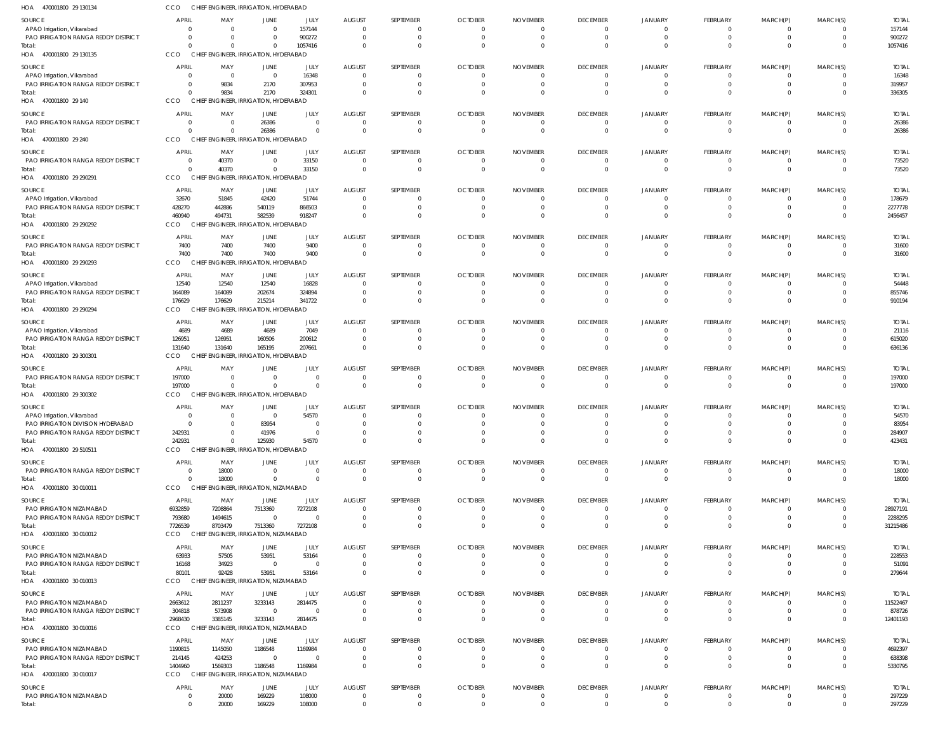| HOA<br>470001800 29 130134                                        | CCO                            |                            | CHIEF ENGINEER, IRRIGATION, HYDERABAD                   |                   |                                           |           |                            |                            |                              |                      |                      |          |              |                          |
|-------------------------------------------------------------------|--------------------------------|----------------------------|---------------------------------------------------------|-------------------|-------------------------------------------|-----------|----------------------------|----------------------------|------------------------------|----------------------|----------------------|----------|--------------|--------------------------|
| SOURCE                                                            | <b>APRIL</b>                   | MAY                        | JUNE                                                    | JULY              | <b>AUGUST</b>                             | SEPTEMBER | <b>OCTOBER</b>             | <b>NOVEMBER</b>            | <b>DECEMBER</b>              | <b>JANUARY</b>       | <b>FEBRUARY</b>      | MARCH(P) | MARCH(S)     | <b>TOTAL</b>             |
| APAO Irrigation, Vikarabad                                        | $\Omega$                       | $\overline{0}$             | $\overline{0}$                                          | 157144            | $\overline{0}$                            |           | 0                          | $\mathbf{0}$               | $\mathbf{0}$                 | $\overline{0}$       | $\Omega$             | - 0      |              | 157144                   |
| PAO IRRIGATION RANGA REDDY DISTRICT                               | $\Omega$                       | $\overline{0}$             | $\overline{0}$                                          | 900272            | $\overline{0}$                            |           | $\Omega$                   | $\Omega$                   | $\mathbf{0}$                 | $\mathbf 0$          |                      |          |              | 900272                   |
| Total:<br>HOA 470001800 29 130135                                 | $\Omega$<br>CCO                | $\Omega$                   | $\mathbf 0$<br>CHIEF ENGINEER, IRRIGATION, HYDERABAD    | 1057416           | $\overline{0}$                            |           | $\Omega$                   | $\Omega$                   | $\mathbf 0$                  | $\Omega$             |                      |          | 0            | 1057416                  |
| SOURCE                                                            | <b>APRIL</b>                   | MAY                        | JUNE                                                    | JULY              | <b>AUGUST</b>                             | SEPTEMBER | <b>OCTOBER</b>             | <b>NOVEMBER</b>            | <b>DECEMBER</b>              | <b>JANUARY</b>       | FEBRUARY             | MARCH(P) | MARCH(S)     | <b>TOTAL</b>             |
| APAO Irrigation, Vikarabad                                        | $\overline{0}$                 | $\overline{0}$             | $\overline{0}$                                          | 16348             | $\overline{0}$                            |           | $\Omega$                   | $\Omega$                   | $\overline{0}$               | $\Omega$             |                      |          |              | 16348                    |
| PAO IRRIGATION RANGA REDDY DISTRICT                               | $\overline{0}$                 | 9834                       | 2170                                                    | 307953            | $\overline{0}$                            |           | $\Omega$                   | $\Omega$                   | $\Omega$                     | $\Omega$             |                      |          |              | 319957                   |
| Total:<br>HOA 470001800 29 140                                    | $\Omega$<br><b>CCO</b>         | 9834                       | 2170<br>CHIEF ENGINEER, IRRIGATION, HYDERABAD           | 324301            | $\overline{0}$                            |           | $\Omega$                   | $\Omega$                   | $\Omega$                     | $\Omega$             |                      |          |              | 336305                   |
| SOURCE                                                            | <b>APRIL</b>                   | MAY                        | JUNE                                                    | JULY              | <b>AUGUST</b>                             | SEPTEMBER | <b>OCTOBER</b>             | <b>NOVEMBER</b>            | <b>DECEMBER</b>              | <b>JANUARY</b>       | FEBRUARY             | MARCH(P) | MARCH(S)     | <b>TOTAL</b>             |
| PAO IRRIGATION RANGA REDDY DISTRICT                               | $\overline{0}$                 | $\overline{0}$             | 26386                                                   | $\overline{0}$    | $\overline{\mathbf{0}}$                   |           | $\overline{0}$             | $\overline{0}$             | $\mathbf{0}$                 | $\overline{0}$       | $\Omega$             |          |              | 26386                    |
| Total                                                             | $\Omega$                       | $\Omega$                   | 26386                                                   | $\Omega$          | $\overline{0}$                            | $\Omega$  | $\Omega$                   | $\overline{0}$             | $\mathbf 0$                  | $\mathbf 0$          | $\Omega$             | $\Omega$ | $\Omega$     | 26386                    |
| HOA 470001800 29 240                                              | CCO                            |                            | CHIEF ENGINEER, IRRIGATION, HYDERABAD                   |                   |                                           |           |                            |                            |                              |                      |                      |          |              |                          |
| SOURCE                                                            | <b>APRIL</b>                   | MAY                        | JUNE                                                    | JULY              | <b>AUGUST</b>                             | SEPTEMBER | <b>OCTOBER</b>             | <b>NOVEMBER</b>            | <b>DECEMBER</b>              | <b>JANUARY</b>       | FEBRUARY             | MARCH(P) | MARCH(S)     | <b>TOTAL</b>             |
| PAO IRRIGATION RANGA REDDY DISTRICT                               | $\overline{0}$                 | 40370                      | $\mathbf{0}$                                            | 33150             | $\overline{0}$                            |           | $\overline{0}$             | $\overline{0}$             | $\mathbf{0}$                 | 0                    | $\Omega$             |          | 0            | 73520                    |
| Total:<br>HOA 470001800 29 290291                                 | $\Omega$<br>CCO                | 40370                      | $\mathbf 0$<br>CHIEF ENGINEER, IRRIGATION, HYDERABAD    | 33150             | $\overline{0}$                            | $\Omega$  | $\overline{0}$             | $\Omega$                   | $\mathbf 0$                  | $\Omega$             | $\Omega$             | $\Omega$ | $\Omega$     | 73520                    |
| SOURCE                                                            | <b>APRIL</b>                   | MAY                        | JUNE                                                    | JULY              | <b>AUGUST</b>                             | SEPTEMBER | <b>OCTOBER</b>             | <b>NOVEMBER</b>            | <b>DECEMBER</b>              | JANUARY              | FEBRUARY             | MARCH(P) | MARCH(S)     | <b>TOTAL</b>             |
| APAO Irrigation, Vikarabad                                        | 32670                          | 51845                      | 42420                                                   | 51744             | $\overline{0}$                            |           | $\Omega$                   | $\Omega$                   | $\mathbf{0}$                 | $\overline{0}$       |                      |          |              | 178679                   |
| PAO IRRIGATION RANGA REDDY DISTRICT                               | 428270                         | 442886                     | 540119                                                  | 866503            | $\overline{\mathbf{0}}$                   |           | - 0                        | $\overline{0}$             | $\mathbf{0}$                 | 0                    |                      |          |              | 2277778                  |
| Total                                                             | 460940                         | 494731                     | 582539                                                  | 918247            | $\overline{0}$                            |           | $\Omega$                   | $\Omega$                   | $\mathbf 0$                  | $\Omega$             |                      |          | $\Omega$     | 2456457                  |
| HOA 470001800 29 290292                                           | CCO                            |                            | CHIEF ENGINEER, IRRIGATION, HYDERABAD                   |                   |                                           |           |                            |                            |                              |                      |                      |          |              |                          |
| SOURCE                                                            | <b>APRIL</b>                   | MAY                        | JUNE                                                    | JULY              | <b>AUGUST</b>                             | SEPTEMBER | <b>OCTOBER</b>             | <b>NOVEMBER</b>            | <b>DECEMBER</b>              | <b>JANUARY</b>       | FEBRUARY             | MARCH(P) | MARCH(S)     | <b>TOTAL</b>             |
| PAO IRRIGATION RANGA REDDY DISTRICT<br>Total:                     | 7400<br>7400                   | 7400<br>7400               | 7400<br>7400                                            | 9400<br>9400      | $\overline{0}$<br>$\overline{0}$          |           | $\overline{0}$<br>$\Omega$ | $\overline{0}$<br>$\Omega$ | $\mathbf{0}$<br>$\mathbf{0}$ | 0<br>$\Omega$        | $\Omega$<br>$\Omega$ |          |              | 31600<br>31600           |
| HOA 470001800 29 290293                                           | CCO<br><b>CHIEF</b>            |                            | GINEER, IRRIGATION, HYDERABAD                           |                   |                                           |           |                            |                            |                              |                      |                      |          |              |                          |
| SOURCE                                                            | <b>APRIL</b>                   | MAY                        | JUNE                                                    | JULY              | <b>AUGUST</b>                             | SEPTEMBER | <b>OCTOBER</b>             | <b>NOVEMBER</b>            | <b>DECEMBER</b>              | <b>JANUARY</b>       | FEBRUARY             | MARCH(P) | MARCH(S)     | <b>TOTAL</b>             |
| APAO Irrigation, Vikarabad                                        | 12540                          | 12540                      | 12540                                                   | 16828             | $\overline{0}$                            |           | $\Omega$                   | $\Omega$                   | $\mathbf{0}$                 | $\Omega$             | $\Omega$             |          |              | 54448                    |
| PAO IRRIGATION RANGA REDDY DISTRICT                               | 164089                         | 164089                     | 202674                                                  | 324894            | $\overline{0}$                            |           | $\overline{0}$             | $\mathbf{0}$               | $\mathbf 0$                  | $\mathbf{0}$         |                      |          | 0            | 855746                   |
| Total:                                                            | 176629                         | 176629                     | 215214                                                  | 341722            | $\overline{0}$                            |           | $\Omega$                   | $\Omega$                   | $\mathbf 0$                  | $\Omega$             | $\Omega$             |          | $\Omega$     | 910194                   |
| HOA<br>470001800 29 290294                                        | CCO                            |                            | CHIEF ENGINEER, IRRIGATION, HYDERABAD                   |                   |                                           |           |                            |                            |                              |                      |                      |          |              |                          |
| SOURCE                                                            | <b>APRIL</b>                   | MAY                        | JUNE                                                    | JULY              | <b>AUGUST</b>                             | SEPTEMBER | <b>OCTOBER</b>             | <b>NOVEMBER</b>            | <b>DECEMBER</b>              | <b>JANUARY</b>       | <b>FEBRUARY</b>      | MARCH(P) | MARCH(S)     | <b>TOTAL</b>             |
| APAO Irrigation, Vikarabad<br>PAO IRRIGATION RANGA REDDY DISTRICT | 4689<br>126951                 | 4689<br>126951             | 4689<br>160506                                          | 7049<br>200612    | $\overline{0}$<br>$\overline{0}$          |           | $\Omega$<br>$\Omega$       | 0<br>$\Omega$              | $\mathbf{0}$<br>$\mathbf{0}$ | $\Omega$<br>$\Omega$ | $\Omega$             |          |              | 21116<br>615020          |
| Total:                                                            | 131640                         | 131640                     | 165195                                                  | 207661            | $\overline{0}$                            |           | $\Omega$                   |                            | $\mathbf{0}$                 | $\Omega$             |                      |          |              | 636136                   |
| HOA 470001800 29 300301                                           | CCO                            |                            | CHIEF ENGINEER, IRRIGATION, HYDERABAD                   |                   |                                           |           |                            |                            |                              |                      |                      |          |              |                          |
| SOURCE                                                            | APRIL                          | MAY                        | JUNE                                                    | JULY              | <b>AUGUST</b>                             | SEPTEMBER | <b>OCTOBER</b>             | <b>NOVEMBER</b>            | <b>DECEMBER</b>              | JANUARY              | FEBRUARY             | MARCH(P) | MARCH(S)     | <b>TOTAL</b>             |
| PAO IRRIGATION RANGA REDDY DISTRICT                               | 197000                         | $\overline{0}$             | $\mathbf{0}$                                            | - 0               | $\overline{0}$                            |           | $\overline{0}$             | $\mathbf{0}$               | $\mathbf{0}$                 | $\Omega$             | $\Omega$             |          |              | 197000                   |
| Total                                                             | 197000                         | $\overline{0}$             | $\overline{0}$                                          | $\overline{0}$    | $\overline{0}$                            | $\Omega$  | $\overline{0}$             | $\overline{0}$             | $\mathbf 0$                  | $\overline{0}$       | $\Omega$             | $\Omega$ | $\mathbf{0}$ | 197000                   |
| HOA 470001800 29 300302                                           | CCO                            |                            | CHIEF ENGINEER, IRRIGATION, HYDERABAD                   |                   |                                           |           |                            |                            |                              |                      |                      |          |              |                          |
| SOURCE                                                            | <b>APRIL</b>                   | MAY                        | <b>JUNE</b>                                             | JULY              | <b>AUGUST</b>                             | SEPTEMBER | <b>OCTOBER</b>             | <b>NOVEMBER</b>            | <b>DECEMBER</b>              | <b>JANUARY</b>       | FEBRUARY             | MARCH(P) | MARCH(S)     | <b>TOTAL</b>             |
| APAO Irrigation, Vikarabad<br>PAO IRRIGATION DIVISION HYDERABAD   | $\overline{0}$<br>$\Omega$     | $\overline{0}$<br>$\Omega$ | $\overline{0}$<br>83954                                 | 54570<br>$\Omega$ | $\overline{0}$<br>$\Omega$                |           | $\Omega$                   | $\Omega$                   | $\Omega$<br>$\Omega$         | $\Omega$<br>$\Omega$ |                      |          |              | 54570<br>83954           |
| <b>PAO IRRIGATION RANGA REDDY DISTRICT</b>                        | 242931                         | $\Omega$                   | 41976                                                   | - 0               | $\Omega$                                  |           | $\Omega$                   | $\Omega$                   | $\Omega$                     | $\Omega$             |                      |          |              | 284907                   |
| Total:                                                            | 242931                         | $\Omega$                   | 125930                                                  | 54570             | $\Omega$                                  |           | $\Omega$                   | $\Omega$                   | $\mathbf 0$                  | $\Omega$             | $\Omega$             |          | 0            | 423431                   |
| HOA 470001800 29 510511                                           | CCO                            |                            | CHIEF ENGINEER. IRRIGATION. HYDERABAD                   |                   |                                           |           |                            |                            |                              |                      |                      |          |              |                          |
| <b>SOURCE</b>                                                     | <b>APRIL</b>                   | MAY                        | JUNE                                                    | JULY              | <b>AUGUST</b>                             | SEPTEMBER | <b>OCTOBER</b>             | <b>NOVEMBER</b>            | <b>DECEMBER</b>              | <b>JANUARY</b>       | <b>FEBRUARY</b>      | MARCH(P) | MARCH(S)     | <b>TOTAL</b>             |
| PAO IRRIGATION RANGA REDDY DISTRICT                               | $\overline{0}$                 | 18000                      | $\overline{0}$                                          | $\Omega$          | $\overline{0}$                            |           | $\overline{0}$             | $\mathbf{0}$               | $\overline{0}$               | $\mathbf{0}$         | $\Omega$             | - 0      |              | 18000                    |
| Total:<br>HOA 470001800 30 010011                                 | $\overline{0}$<br>CCO          | 18000                      | $\overline{0}$<br>CHIEF ENGINEER, IRRIGATION, NIZAMABAD | $\Omega$          | $\overline{0}$                            | $\Omega$  | - 0                        | $\overline{0}$             | $\overline{0}$               | $\overline{0}$       | $\Omega$             | $\Omega$ | $\Omega$     | 18000                    |
|                                                                   |                                |                            |                                                         |                   |                                           |           |                            |                            |                              |                      |                      |          |              |                          |
| SOURCE<br>PAO IRRIGATION NIZAMABAD                                | APRIL<br>6932859               | MAY<br>7208864             | JUNE<br>7513360                                         | JULY<br>7272108   | <b>AUGUST</b><br>- 0                      | SEPTEMBER | <b>OCTOBER</b>             | <b>NOVEMBER</b>            | <b>DECEMBER</b><br>0         | <b>JANUARY</b>       | FEBRUARY             | MARCH(P) | MARCH(S)     | <b>TOTAL</b><br>28927191 |
| PAO IRRIGATION RANGA REDDY DISTRICT                               | 793680                         | 1494615                    | $\mathbf{0}$                                            |                   | $\overline{0}$                            |           | $\Omega$                   |                            | $\mathbf{0}$                 | $\Omega$             |                      |          |              | 2288295                  |
| Total:                                                            | 7726539                        | 8703479                    | 7513360                                                 | 7272108           | $\Omega$                                  |           | $\Omega$                   |                            | $\Omega$                     | $\Omega$             |                      |          |              | 31215486                 |
| HOA 470001800 30 010012                                           | CCO                            |                            | CHIEF ENGINEER, IRRIGATION, NIZAMABAD                   |                   |                                           |           |                            |                            |                              |                      |                      |          |              |                          |
| SOURCE                                                            | <b>APRIL</b>                   | MAY                        | JUNE                                                    | JULY              | <b>AUGUST</b>                             | SEPTEMBER | <b>OCTOBER</b>             | <b>NOVEMBER</b>            | <b>DECEMBER</b>              | <b>JANUARY</b>       | <b>FEBRUARY</b>      | MARCH(P) | MARCH(S)     | <b>TOTAL</b>             |
| PAO IRRIGATION NIZAMABAD<br>PAO IRRIGATION RANGA REDDY DISTRICT   | 63933<br>16168                 | 57505<br>34923             | 53951<br>$\overline{0}$                                 | 53164<br>- 0      | $\overline{0}$<br>$\overline{\mathbf{0}}$ |           | $\Omega$<br>- 0            | $\Omega$                   | $\mathbf{0}$<br>$\mathbf{0}$ | $\Omega$<br>0        |                      |          |              | 228553<br>51091          |
| Total:                                                            | 80101                          | 92428                      | 53951                                                   | 53164             | $\overline{0}$                            |           | $\Omega$                   |                            | $\mathbf{0}$                 | $\Omega$             |                      | $\Omega$ |              | 279644                   |
| HOA 470001800 30 010013                                           | CCO                            |                            | CHIEF ENGINEER, IRRIGATION, NIZAMABAD                   |                   |                                           |           |                            |                            |                              |                      |                      |          |              |                          |
| SOURCE                                                            | APRIL                          | MAY                        | JUNE                                                    | JULY              | <b>AUGUST</b>                             | SEPTEMBER | <b>OCTOBER</b>             | <b>NOVEMBER</b>            | <b>DECEMBER</b>              | <b>JANUARY</b>       | FEBRUARY             | MARCH(P) | MARCH(S)     | <b>TOTAL</b>             |
| PAO IRRIGATION NIZAMABAD                                          | 2663612                        | 2811237                    | 3233143                                                 | 2814475           | $\overline{0}$                            |           | $\Omega$                   |                            | 0                            | $\Omega$             |                      |          |              | 11522467                 |
| PAO IRRIGATION RANGA REDDY DISTRICT                               | 304818                         | 573908                     | $\mathbf{0}$                                            |                   | $\overline{0}$                            |           | $\Omega$                   |                            | $\Omega$                     | $\Omega$             |                      |          |              | 878726                   |
| Total:<br>HOA 470001800 30 010016                                 | 2968430<br>CCO                 | 3385145                    | 3233143<br>CHIEF ENGINEER, IRRIGATION, NIZAMABAD        | 2814475           | $\overline{0}$                            |           | $\Omega$                   |                            | $\mathbf{0}$                 | $\Omega$             |                      |          |              | 12401193                 |
| <b>SOURCE</b>                                                     | APRIL                          | MAY                        | JUNE                                                    | JULY              | <b>AUGUST</b>                             | SEPTEMBER | <b>OCTOBER</b>             | <b>NOVEMBER</b>            | <b>DECEMBER</b>              | <b>JANUARY</b>       | <b>FEBRUARY</b>      | MARCH(P) | MARCH(S)     | <b>TOTAL</b>             |
| PAO IRRIGATION NIZAMABAD                                          | 1190815                        | 1145050                    | 1186548                                                 | 1169984           | $\overline{0}$                            |           | $\Omega$                   |                            | $\mathbf{0}$                 | $\Omega$             |                      |          |              | 4692397                  |
| PAO IRRIGATION RANGA REDDY DISTRICT                               | 214145                         | 424253                     | $\overline{0}$                                          | $\sqrt{ }$        | $\overline{0}$                            |           | 0                          | $\mathbf{0}$               | $\mathbf{0}$                 | $\Omega$             |                      |          |              | 638398                   |
| Total:                                                            | 1404960                        | 1569303                    | 1186548                                                 | 1169984           | $\Omega$                                  |           | $\Omega$                   | $\Omega$                   | $\Omega$                     | $\Omega$             |                      |          |              | 5330795                  |
| HOA 470001800 30 010017                                           | CCO                            |                            | CHIEF ENGINEER, IRRIGATION, NIZAMABAD                   |                   |                                           |           |                            |                            |                              |                      |                      |          |              |                          |
| SOURCE                                                            | <b>APRIL</b>                   | MAY                        | JUNE                                                    | JULY              | <b>AUGUST</b>                             | SEPTEMBER | <b>OCTOBER</b>             | <b>NOVEMBER</b>            | <b>DECEMBER</b>              | <b>JANUARY</b>       | FEBRUARY             | MARCH(P) | MARCH(S)     | <b>TOTAL</b>             |
| PAO IRRIGATION NIZAMABAD<br>Total:                                | $\overline{0}$<br>$\mathbf{0}$ | 20000<br>20000             | 169229<br>169229                                        | 108000<br>108000  | $\overline{0}$<br>$\Omega$                |           | $\Omega$<br>$\Omega$       | $\Omega$                   | $\mathbf{0}$<br>$\Omega$     | 0<br>$\Omega$        | $\Omega$             |          |              | 297229<br>297229         |
|                                                                   |                                |                            |                                                         |                   |                                           |           |                            |                            |                              |                      |                      |          |              |                          |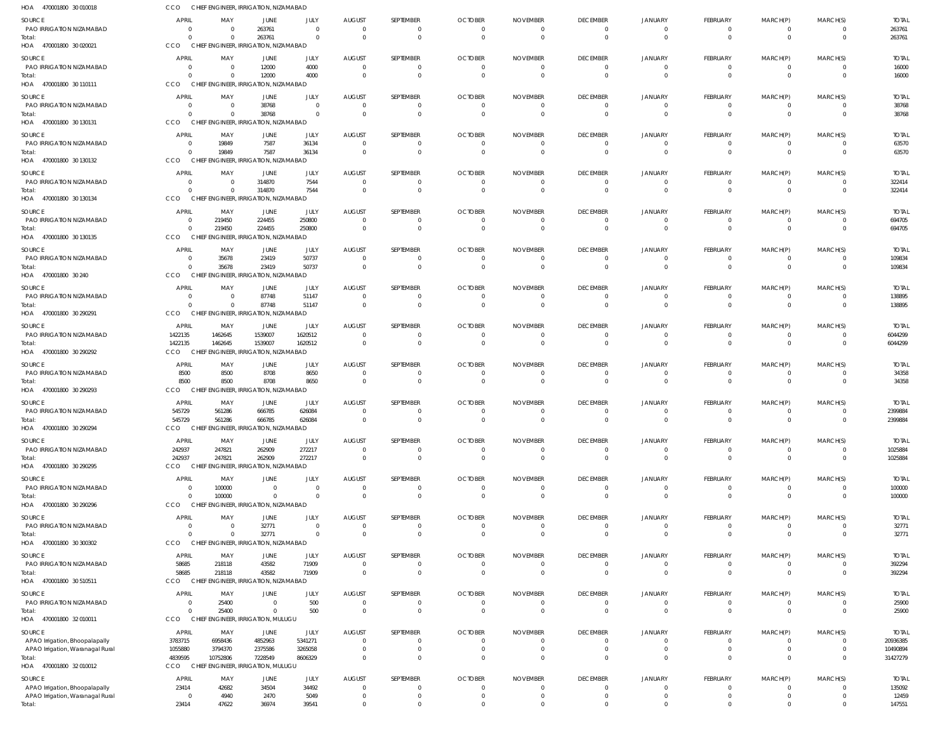| HOA 470001800 30 010018                                            | CCO                                 | CHIEF ENGINEER, IRRIGATION, NIZAMABAD             |                                         |                            |                                  |                       |                                              |                                               |                                                     |                                             |                             |                             |                               |                                  |
|--------------------------------------------------------------------|-------------------------------------|---------------------------------------------------|-----------------------------------------|----------------------------|----------------------------------|-----------------------|----------------------------------------------|-----------------------------------------------|-----------------------------------------------------|---------------------------------------------|-----------------------------|-----------------------------|-------------------------------|----------------------------------|
| SOURCE<br>PAO IRRIGATION NIZAMABAD<br>Total:                       | <b>APRI</b><br>$\Omega$<br>$\Omega$ | MAY<br>$\Omega$<br>$\Omega$                       | JUNE<br>263761<br>263761                | JULY<br>$\Omega$<br>- 0    | AUGUST<br>$\overline{0}$<br>- 0  | SEPTEMBER<br>$\Omega$ | <b>OCTOBER</b><br>$\overline{0}$<br>$\Omega$ | <b>NOVEMBER</b><br>$\overline{0}$<br>$\Omega$ | <b>DECEMBER</b><br>$\overline{0}$<br>$\overline{0}$ | JANUARY<br>$\overline{0}$<br>$\overline{0}$ | FEBRUARY<br>- 0<br>$\Omega$ | MARCH(P)<br>- 0<br>$\Omega$ | MARCH(S)<br>0<br>$\mathbf{0}$ | <b>TOTAL</b><br>263761<br>263761 |
| HOA 470001800 30 020021                                            | CCO                                 | CHIEF ENGINEER, IRRIGATION, NIZAMABAD             |                                         |                            |                                  |                       |                                              |                                               |                                                     |                                             |                             |                             |                               |                                  |
| SOURCE                                                             | <b>APRIL</b>                        | MAY                                               | <b>JUNE</b>                             | JULY                       | <b>AUGUST</b>                    | SEPTEMBER             | <b>OCTOBER</b>                               | <b>NOVEMBER</b>                               | <b>DECEMBER</b>                                     | JANUARY                                     | <b>FEBRUARY</b>             | MARCH(P)                    | MARCH(S)                      | <b>TOTAL</b>                     |
| PAO IRRIGATION NIZAMABAD<br>Total:                                 | -0<br>$\Omega$                      | $\Omega$<br>$\Omega$                              | 12000<br>12000                          | 4000<br>4000               | $\Omega$<br>$\Omega$             |                       | $\Omega$<br>$\Omega$                         | $\Omega$<br>$\Omega$                          | $\Omega$<br>$\Omega$                                | 0<br>$\Omega$                               | $\Omega$                    | $\Omega$                    | $\Omega$<br>$\Omega$          | 16000<br>16000                   |
| HOA 470001800 30 110111                                            | CCO                                 | CHIEF ENGINEER, IRRIGATION, NIZAMABAD             |                                         |                            |                                  |                       |                                              |                                               |                                                     |                                             |                             |                             |                               |                                  |
| SOURCE                                                             | APRIL                               | MAY                                               | JUNE                                    | JULY                       | AUGUST                           | SEPTEMBER             | <b>OCTOBER</b>                               | <b>NOVEMBER</b>                               | <b>DECEMBER</b>                                     | JANUARY                                     | FEBRUARY                    | MARCH(P)                    | MARCH(S)                      | <b>TOTAL</b>                     |
| PAO IRRIGATION NIZAMABAD                                           | $\Omega$                            | $\Omega$                                          | 38768                                   | $\overline{0}$             | $\overline{0}$                   | - 0                   | $\overline{0}$                               | $\overline{0}$                                | $\mathbf{0}$                                        | $\Omega$                                    | - 0                         | $\Omega$                    | $\Omega$                      | 38768                            |
| Total:<br>HOA 470001800 30 130131                                  | $\Omega$<br>CCO                     | $\Omega$<br>CHIEF ENGINEER, IRRIGATION, NIZAMABAD | 38768                                   | $\Omega$                   | $\Omega$                         | $\Omega$              | $\Omega$                                     | $\Omega$                                      | $\overline{0}$                                      | $\mathbf{0}$                                | $\Omega$                    | $\Omega$                    | $\mathbf{0}$                  | 38768                            |
| SOURCE                                                             | <b>APRIL</b>                        | MAY                                               | JUNE                                    | JULY                       | <b>AUGUST</b>                    | SEPTEMBER             | <b>OCTOBER</b>                               | <b>NOVEMBER</b>                               | <b>DECEMBER</b>                                     | JANUARY                                     | FEBRUARY                    | MARCH(P)                    | MARCH(S)                      | <b>TOTAL</b>                     |
| <b>PAO IRRIGATION NIZAMABAD</b>                                    | - 0                                 | 19849                                             | 7587                                    | 36134                      | $\Omega$                         |                       | $\Omega$                                     | $\Omega$                                      | $\Omega$                                            | $\Omega$                                    | $\Omega$                    | $\Omega$                    | $\Omega$                      | 63570                            |
| Total:<br>HOA 470001800 30 130132                                  | CCO                                 | 19849<br><b>CHIEF</b>                             | 7587<br>ENGINEER, IRRIGATION, NIZAMABAD | 36134                      | $\Omega$                         |                       | $\Omega$                                     | $\Omega$                                      | $\Omega$                                            | $\Omega$                                    | $\Omega$                    | $\Omega$                    | $\Omega$                      | 63570                            |
|                                                                    |                                     |                                                   |                                         |                            |                                  |                       |                                              |                                               |                                                     |                                             |                             |                             |                               |                                  |
| SOURCE<br>PAO IRRIGATION NIZAMABAD                                 | <b>APRIL</b><br>$\Omega$            | MAY<br>$\Omega$                                   | JUNE<br>314870                          | JULY<br>7544               | <b>AUGUST</b><br>$\overline{0}$  | SEPTEMBER<br>- 0      | <b>OCTOBER</b><br>$\Omega$                   | <b>NOVEMBER</b><br>$\overline{0}$             | <b>DECEMBER</b><br>$\overline{0}$                   | JANUARY<br>$\overline{0}$                   | FEBRUARY<br>- 0             | MARCH(P)<br>- 0             | MARCH(S)<br>0                 | <b>TOTAL</b><br>322414           |
| Total:                                                             | $\Omega$                            | $\Omega$                                          | 314870                                  | 7544                       | $\Omega$                         |                       | $\Omega$                                     | $\Omega$                                      | $\Omega$                                            | $\Omega$                                    | $\Omega$                    | $\Omega$                    | $\Omega$                      | 322414                           |
| HOA 470001800 30 130134                                            | <b>CCO</b>                          | CHIEF ENGINEER, IRRIGATION, NIZAMABAD             |                                         |                            |                                  |                       |                                              |                                               |                                                     |                                             |                             |                             |                               |                                  |
| SOURCE                                                             | APRIL                               | MAY                                               | JUNE                                    | JULY                       | <b>AUGUST</b>                    | SEPTEMBER             | <b>OCTOBER</b>                               | <b>NOVEMBER</b>                               | <b>DECEMBER</b>                                     | JANUARY                                     | FEBRUARY                    | MARCH(P)                    | MARCH(S)                      | <b>TOTAL</b>                     |
| PAO IRRIGATION NIZAMABAD<br>Total:                                 | -0<br>$\Omega$                      | 219450<br>219450                                  | 224455<br>224455                        | 250800<br>250800           | $\Omega$<br>$\Omega$             |                       | $\Omega$<br>$\Omega$                         | - 0<br>$\Omega$                               | $\Omega$<br>$\mathbf{0}$                            | 0<br>$\Omega$                               | $\Omega$<br>$\Omega$        | -0                          | $\Omega$<br>$\Omega$          | 694705<br>694705                 |
| HOA 470001800 30 130135                                            | <b>CCO</b>                          | CHIEF ENGINEER, IRRIGATION, NIZAMABAD             |                                         |                            |                                  |                       |                                              |                                               |                                                     |                                             |                             |                             |                               |                                  |
| <b>SOURCE</b>                                                      | <b>APRIL</b>                        | MAY                                               | JUNE                                    | JULY                       | <b>AUGUST</b>                    | SEPTEMBER             | <b>OCTOBER</b>                               | <b>NOVEMBER</b>                               | <b>DECEMBER</b>                                     | JANUARY                                     | FEBRUARY                    | MARCH(P)                    | MARCH(S)                      | <b>TOTAL</b>                     |
| PAO IRRIGATION NIZAMABAD                                           | $\Omega$                            | 35678                                             | 23419                                   | 50737                      | $\overline{0}$                   |                       | $\Omega$                                     | $\overline{0}$                                | $\overline{0}$                                      | 0                                           | $\Omega$                    |                             | $\Omega$                      | 109834                           |
| Total:<br>HOA 470001800 30 240                                     | $\Omega$<br>CCO                     | 35678<br>CHIEF ENGINEER, IRRIGATION, NIZAMABAD    | 23419                                   | 50737                      | $\Omega$                         | $\Omega$              | $\Omega$                                     | $\Omega$                                      | $\overline{0}$                                      | $\mathbf{0}$                                | $\Omega$                    | $\Omega$                    | $\mathbf{0}$                  | 109834                           |
| SOURCE                                                             | APRIL                               | MAY                                               | JUNE                                    | JULY                       | <b>AUGUST</b>                    | SEPTEMBER             | <b>OCTOBER</b>                               | <b>NOVEMBER</b>                               | <b>DECEMBER</b>                                     | <b>JANUARY</b>                              | FEBRUARY                    | MARCH(P)                    | MARCH(S)                      | <b>TOTAL</b>                     |
| PAO IRRIGATION NIZAMABAD                                           | $\Omega$                            | $\Omega$                                          | 87748                                   | 51147                      | $\Omega$                         |                       | $\overline{0}$                               | $\overline{0}$                                | $\overline{0}$                                      | $\Omega$                                    | - 0                         | - 0                         | $\Omega$                      | 138895                           |
| Total:                                                             |                                     | $\Omega$                                          | 87748                                   | 51147                      | $\Omega$                         |                       | $\Omega$                                     | $\Omega$                                      | $\Omega$                                            | $\Omega$                                    | $\Omega$                    | $\Omega$                    | $\Omega$                      | 138895                           |
| HOA 470001800 30 290291                                            | CCO                                 | CHIEF ENGINEER, IRRIGATION, NIZAMABAD             |                                         |                            |                                  |                       |                                              |                                               |                                                     |                                             |                             |                             |                               |                                  |
| SOURCE<br>PAO IRRIGATION NIZAMABAD                                 | <b>APRIL</b>                        | MAY<br>1462645                                    | JUNE                                    | JULY<br>1620512            | AUGUST<br>$\overline{0}$         | SEPTEMBER             | <b>OCTOBER</b><br>$\Omega$                   | <b>NOVEMBER</b><br>$\Omega$                   | <b>DECEMBER</b><br>$\overline{0}$                   | JANUARY<br>$\overline{0}$                   | FEBRUARY<br>- 0             | MARCH(P)<br>- 0             | MARCH(S)<br>0                 | <b>TOTAL</b><br>6044299          |
| Total:                                                             | 1422135<br>1422135                  | 1462645                                           | 1539007<br>1539007                      | 1620512                    | $\overline{\mathbf{0}}$          |                       | $\Omega$                                     | $\Omega$                                      | $\overline{0}$                                      | $\mathbf{0}$                                | $\Omega$                    | $\Omega$                    | $\mathbf 0$                   | 6044299                          |
| HOA 470001800 30 290292                                            | CCO                                 | CHIEF ENGINEER, IRRIGATION, NIZAMABAD             |                                         |                            |                                  |                       |                                              |                                               |                                                     |                                             |                             |                             |                               |                                  |
| SOURCE                                                             | APRIL                               | MAY                                               | JUNE                                    | JULY                       | <b>AUGUST</b>                    | SEPTEMBER             | <b>OCTOBER</b>                               | <b>NOVEMBER</b>                               | <b>DECEMBER</b>                                     | <b>JANUARY</b>                              | <b>FEBRUARY</b>             | MARCH(P)                    | MARCH(S)                      | <b>TOTAL</b>                     |
| PAO IRRIGATION NIZAMABAD                                           | 8500                                | 8500                                              | 8708<br>8708                            | 8650<br>8650               | $\Omega$<br>$\Omega$             |                       | $\Omega$<br>$\Omega$                         | 0<br>$\Omega$                                 | $\Omega$<br>$\Omega$                                | 0<br>$\Omega$                               | $\Omega$                    |                             | $\Omega$<br>$\Omega$          | 34358                            |
| Total:<br>HOA 470001800 30 290293                                  | 8500<br>CCO                         | 8500<br>CHIEF ENGINEER, IRRIGATION, NIZAMABAD     |                                         |                            |                                  |                       |                                              |                                               |                                                     |                                             | $\Omega$                    | $\Omega$                    |                               | 34358                            |
| SOURCE                                                             | APRIL                               | MAY                                               | JUNE                                    | JULY                       | AUGUST                           | SEPTEMBER             | <b>OCTOBER</b>                               | <b>NOVEMBER</b>                               | <b>DECEMBER</b>                                     | JANUARY                                     | FEBRUARY                    | MARCH(P)                    | MARCH(S)                      | <b>TOTAL</b>                     |
| PAO IRRIGATION NIZAMABAD                                           | 545729                              | 561286                                            | 666785                                  | 626084                     | $\Omega$                         |                       | $\Omega$                                     | $\Omega$                                      | $\Omega$                                            | $\Omega$                                    | $\Omega$                    |                             | $\Omega$                      | 2399884                          |
| Total:                                                             | 545729                              | 561286                                            | 666785                                  | 626084                     | $\Omega$                         |                       | $\Omega$                                     | $\Omega$                                      | $\Omega$                                            | $\Omega$                                    | $\Omega$                    | $\Omega$                    | $\Omega$                      | 2399884                          |
| HOA 470001800 30 290294                                            | CCO                                 | CHIEF ENGINEER, IRRIGATION, NIZAMABAD             |                                         |                            |                                  |                       |                                              |                                               |                                                     |                                             |                             |                             |                               |                                  |
| SOURCE<br>PAO IRRIGATION NIZAMABAD                                 | <b>APRIL</b><br>242937              | MAY<br>247821                                     | <b>JUNE</b><br>262909                   | JULY<br>272217             | <b>AUGUST</b><br>$\overline{0}$  | SEPTEMBER             | <b>OCTOBER</b><br>$\overline{0}$             | <b>NOVEMBER</b><br>$\overline{0}$             | <b>DECEMBER</b><br>$\Omega$                         | JANUARY<br>0                                | FEBRUARY<br>$\Omega$        | MARCH(P)<br>$\Omega$        | MARCH(S)<br>$\Omega$          | <b>TOTAL</b><br>1025884          |
| Total:                                                             | 242937                              | 247821                                            | 262909                                  | 272217                     | $\Omega$                         |                       | $\Omega$                                     | $\Omega$                                      | $\Omega$                                            | $\Omega$                                    | $\Omega$                    | $\Omega$                    | $\Omega$                      | 1025884                          |
| HOA 470001800 30 290295                                            | <b>CCO</b>                          | CHIEF ENGINEER, IRRIGATION, NIZAMABAD             |                                         |                            |                                  |                       |                                              |                                               |                                                     |                                             |                             |                             |                               |                                  |
| SOURCE                                                             | <b>APRIL</b>                        | MAY                                               | JUNE                                    | JULY                       | <b>AUGUST</b>                    | SEPTEMBER             | <b>OCTOBER</b>                               | <b>NOVEMBER</b>                               | <b>DECEMBER</b>                                     | JANUARY                                     | FEBRUARY                    | MARCH(P)                    | MARCH(S)                      | <b>TOTAL</b>                     |
| PAO IRRIGATION NIZAMABAD<br>Total:                                 | $\overline{0}$<br>$\Omega$          | 100000<br>100000                                  | $\overline{0}$<br>$\Omega$              | $\overline{0}$<br>$\Omega$ | $\overline{0}$<br>$\Omega$       | - 0                   | $\overline{0}$<br>$\Omega$                   | $\overline{0}$<br>$\Omega$                    | $\overline{0}$<br>$\overline{0}$                    | $\overline{0}$<br>$\mathbf{0}$              | - 0<br>$\Omega$             | $\Omega$<br>$\Omega$        | 0<br>$\mathbf 0$              | 100000<br>100000                 |
| HOA 470001800 30 290296                                            | CCO                                 | <b>CHIEF</b>                                      | ENGINEER, IRRIGATION, NIZAMABAD         |                            |                                  |                       |                                              |                                               |                                                     |                                             |                             |                             |                               |                                  |
| SOURCE                                                             | <b>APRIL</b>                        | MAY                                               | <b>JUNE</b>                             | JULY                       | <b>AUGUST</b>                    | SEPTEMBER             | <b>OCTOBER</b>                               | <b>NOVEMBER</b>                               | <b>DECEMBER</b>                                     | JANUARY                                     | FEBRUARY                    | MARCH(P)                    | MARCH(S)                      | <b>TOTAL</b>                     |
| PAO IRRIGATION NIZAMABAD                                           | $\Omega$                            | $\Omega$                                          | 32771                                   | $\Omega$                   | $\Omega$                         |                       | $\Omega$                                     | $\Omega$                                      | $\Omega$                                            | $\Omega$                                    | $\Omega$                    |                             | $\Omega$                      | 32771                            |
| Total:<br>HOA 470001800 30 300302                                  | $\Omega$<br><b>CCO</b>              | $\Omega$<br>CHIEF ENGINEER, IRRIGATION, NIZAMABAD | 32771                                   | $\overline{0}$             | $\Omega$                         |                       | $\Omega$                                     | $\overline{0}$                                | $\overline{0}$                                      | $\Omega$                                    | $\Omega$                    | $\Omega$                    | $\mathbf{0}$                  | 32771                            |
| SOURCE                                                             | <b>APRIL</b>                        | MAY                                               | JUNE                                    | JULY                       | <b>AUGUST</b>                    | SEPTEMBER             | <b>OCTOBER</b>                               | <b>NOVEMBER</b>                               | <b>DECEMBER</b>                                     | JANUARY                                     | FEBRUARY                    | MARCH(P)                    | MARCH(S)                      | <b>TOTAL</b>                     |
| PAO IRRIGATION NIZAMABAD                                           | 58685                               | 218118                                            | 43582                                   | 71909                      | $\overline{0}$                   |                       | $\overline{0}$                               | $\overline{0}$                                | $\overline{0}$                                      | 0                                           | $\mathbf{0}$                |                             | 0                             | 392294                           |
| Total:                                                             | 58685                               | 218118                                            | 43582                                   | 71909                      | $\overline{0}$                   | $\Omega$              | $\overline{0}$                               | $\overline{0}$                                | $\mathbf{0}$                                        | $\mathbf 0$                                 | $\Omega$                    | $\Omega$                    | $\mathbf{0}$                  | 392294                           |
| HOA 470001800 30510511                                             | <b>CCO</b>                          | CHIEF ENGINEER, IRRIGATION, NIZAMABAD             |                                         |                            |                                  |                       |                                              |                                               |                                                     |                                             |                             |                             |                               |                                  |
| SOURCE<br>PAO IRRIGATION NIZAMABAD                                 | <b>APRIL</b><br>$\Omega$            | MAY<br>25400                                      | <b>JUNE</b><br>$\Omega$                 | JULY<br>500                | AUGUST<br>$\overline{0}$         | SEPTEMBER             | <b>OCTOBER</b><br>$\overline{0}$             | <b>NOVEMBER</b><br>$\overline{0}$             | <b>DECEMBER</b><br>$\mathbf{0}$                     | JANUARY<br>$\Omega$                         | FEBRUARY<br>$\Omega$        | MARCH(P)<br>$\Omega$        | MARCH(S)<br>$\Omega$          | <b>TOTAL</b><br>25900            |
| Total:                                                             |                                     | 25400                                             | $\Omega$                                | 500                        | $\Omega$                         |                       | $\Omega$                                     | $\Omega$                                      | $\Omega$                                            | $\Omega$                                    | $\Omega$                    | $\Omega$                    | $\Omega$                      | 25900                            |
| HOA 470001800 32 010011                                            | CCO                                 | <b>CHIEF</b>                                      | <b>ENGINEER, IRRIGATION, MULUGU</b>     |                            |                                  |                       |                                              |                                               |                                                     |                                             |                             |                             |                               |                                  |
| SOURCE                                                             | <b>APRIL</b>                        | MAY                                               | JUNE                                    | JULY                       | AUGUST                           | SEPTEMBER             | <b>OCTOBER</b>                               | <b>NOVEMBER</b>                               | <b>DECEMBER</b>                                     | JANUARY                                     | FEBRUARY                    | MARCH(P)                    | MARCH(S)                      | <b>TOTAL</b>                     |
| APAO Irrigation, Bhoopalapally<br>APAO Irrigation, Waranagal Rural | 3783715<br>1055880                  | 6958436<br>3794370                                | 4852963<br>2375586                      | 5341271<br>3265058         | $\overline{0}$<br>$\overline{0}$ | - 0                   | $\Omega$<br>$\overline{0}$                   | $\overline{0}$<br>$\overline{0}$              | $\overline{0}$<br>$\overline{0}$                    | 0<br>$\mathbf{0}$                           | $\Omega$<br>$\Omega$        | $\Omega$<br>$\Omega$        | 0<br>$\mathbf 0$              | 20936385<br>10490894             |
| Total:                                                             | 4839595                             | 10752806                                          | 7228549                                 | 8606329                    | $\Omega$                         |                       | $\Omega$                                     | $\Omega$                                      | $\mathbf 0$                                         | $\Omega$                                    | $\Omega$                    |                             | $\Omega$                      | 31427279                         |
| HOA 470001800 32010012                                             | CCO                                 | CHIEF ENGINEER, IRRIGATION, MULUGU                |                                         |                            |                                  |                       |                                              |                                               |                                                     |                                             |                             |                             |                               |                                  |
| SOURCE                                                             | <b>APRIL</b>                        | MAY                                               | <b>JUNE</b>                             | JULY                       | <b>AUGUST</b>                    | SEPTEMBER             | <b>OCTOBER</b>                               | <b>NOVEMBER</b>                               | <b>DECEMBER</b>                                     | JANUARY                                     | FEBRUARY                    | MARCH(P)                    | MARCH(S)                      | <b>TOTAL</b>                     |
| APAO Irrigation, Bhoopalapally<br>APAO Irrigation, Waranagal Rural | 23414<br>- 0                        | 42682<br>4940                                     | 34504<br>2470                           | 34492<br>5049              | $\Omega$<br>$\overline{0}$       |                       | $\Omega$<br>$\Omega$                         | $\Omega$<br>$\overline{0}$                    | $\Omega$<br>$\Omega$                                | $\Omega$<br>$\Omega$                        | $\Omega$<br>$\Omega$        | $\Omega$<br>$\Omega$        | $\Omega$<br>$\Omega$          | 135092<br>12459                  |
| Total:                                                             | 23414                               | 47622                                             | 36974                                   | 39541                      | $\Omega$                         |                       | $\Omega$                                     | $\Omega$                                      | $\Omega$                                            | $\Omega$                                    |                             |                             | $\Omega$                      | 147551                           |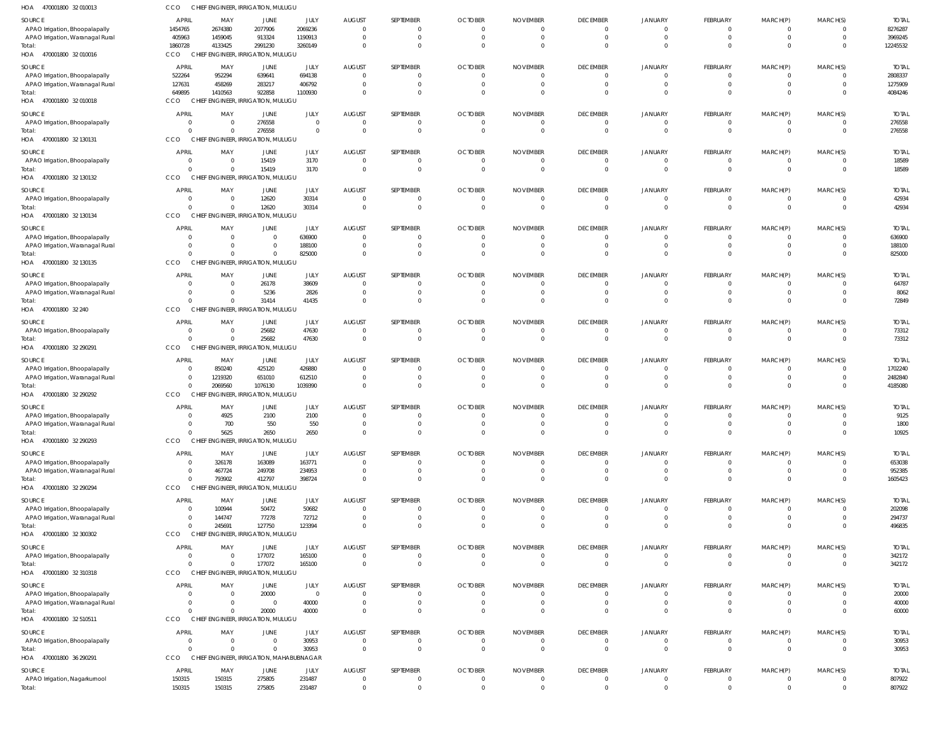| HOA<br>470001800 32 010013                                         | <b>CCO</b>                       | CHIEF ENGINEER, IRRIGATION, MULUGU                   |                          |                    |                           |                                |                            |                             |                                   |                                  |                                |                                |                                  |                        |
|--------------------------------------------------------------------|----------------------------------|------------------------------------------------------|--------------------------|--------------------|---------------------------|--------------------------------|----------------------------|-----------------------------|-----------------------------------|----------------------------------|--------------------------------|--------------------------------|----------------------------------|------------------------|
| SOURCE                                                             | <b>APRIL</b>                     | MAY                                                  | JUNE                     | JULY               | <b>AUGUST</b>             | SEPTEMBER                      | <b>OCTOBER</b>             | <b>NOVEMBER</b>             | <b>DECEMBER</b>                   | JANUARY                          | FEBRUARY                       | MARCH(P)                       | MARCH(S)                         | <b>TOTAL</b>           |
| APAO Irrigation, Bhoopalapally                                     | 1454765                          | 2674380                                              | 2077906                  | 2069236            | - 0                       | $\mathbf{0}$                   | $\Omega$                   | $\Omega$                    | $\overline{0}$                    | $\overline{0}$                   | $^{\circ}$                     | $\mathbf{0}$                   | $\overline{0}$                   | 8276287                |
| APAO Irrigation, Waranagal Rural<br>Total:                         | 405963<br>1860728                | 1459045<br>4133425                                   | 913324<br>2991230        | 1190913<br>3260149 | $\Omega$<br>$\mathsf{C}$  | $\mathbf 0$<br>$\Omega$        | $^{\circ}$<br>$\Omega$     | - 0<br>$\Omega$             | $\overline{0}$<br>$\Omega$        | $\overline{0}$<br>$\Omega$       | $\mathbf{0}$<br>$\mathbf 0$    | $\mathbf{0}$<br>$\mathbf 0$    | $\overline{0}$<br>$\Omega$       | 3969245<br>12245532    |
| HOA 470001800 32010016                                             | CCO                              | CHIEF ENGINEER, IRRIGATION, MULUGU                   |                          |                    |                           |                                |                            |                             |                                   |                                  |                                |                                |                                  |                        |
| SOURCE                                                             | <b>APRIL</b>                     | MAY                                                  | JUNE                     | JULY               | <b>AUGUST</b>             | SEPTEMBER                      | <b>OCTOBER</b>             | <b>NOVEMBER</b>             | <b>DECEMBER</b>                   | <b>JANUARY</b>                   | FEBRUARY                       | MARCH(P)                       | MARCH(S)                         | <b>TOTAL</b>           |
| APAO Irrigation, Bhoopalapally                                     | 522264                           | 952294                                               | 639641                   | 694138             |                           | $\mathbf{0}$                   |                            | $\Omega$                    | $\overline{0}$                    | $\overline{0}$                   | $\overline{0}$                 | $\overline{0}$                 | $\overline{0}$                   | 2808337                |
| APAO Irrigation, Waranagal Rural<br>Total:                         | 127631<br>649895                 | 458269<br>1410563                                    | 283217<br>922858         | 406792<br>1100930  |                           | $\mathbf{0}$<br>$\mathbf 0$    |                            |                             | $\overline{0}$<br>$\overline{0}$  | $\overline{0}$<br>$\Omega$       | $\overline{0}$<br>$\mathbf{0}$ | $\overline{0}$<br>$\mathbf{0}$ | $\overline{0}$<br>$\overline{0}$ | 1275909<br>4084246     |
| HOA 470001800 32010018                                             | CCO                              | CHIEF ENGINEER, IRRIGATION, MULUGU                   |                          |                    |                           |                                |                            |                             |                                   |                                  |                                |                                |                                  |                        |
| SOURCE                                                             | <b>APRIL</b>                     | MAY                                                  | JUNE                     | JULY               | <b>AUGUST</b>             | SEPTEMBER                      | <b>OCTOBER</b>             | <b>NOVEMBER</b>             | <b>DECEMBER</b>                   | <b>JANUARY</b>                   | FEBRUARY                       | MARCH(P)                       | MARCH(S)                         | <b>TOTAL</b>           |
| APAO Irrigation, Bhoopalapally                                     | $\overline{0}$                   | $\overline{0}$                                       | 276558                   | $\overline{0}$     | $\Omega$                  | $\mathbf{0}$                   | $\overline{0}$             | $\overline{0}$              | $\overline{0}$                    | $\overline{0}$                   | $\overline{0}$                 | $\overline{0}$                 | $\overline{0}$                   | 276558                 |
| Total:<br>HOA 470001800 32 130131                                  | $\Omega$<br>CCO                  | $\Omega$<br>CHIEF ENGINEER, IRRIGATION, MULUGU       | 276558                   | $\Omega$           | $\mathsf{C}$              | $\mathbf 0$                    | $\Omega$                   | $\Omega$                    | $\overline{0}$                    | $\Omega$                         | $\mathbf{0}$                   | $\mathbf{0}$                   | $\overline{0}$                   | 276558                 |
| SOURCE                                                             | <b>APRIL</b>                     | MAY                                                  | JUNE                     | JULY               | <b>AUGUST</b>             | SEPTEMBER                      | <b>OCTOBER</b>             | <b>NOVEMBER</b>             | <b>DECEMBER</b>                   | <b>JANUARY</b>                   | FEBRUARY                       | MARCH(P)                       | MARCH(S)                         | <b>TOTAL</b>           |
| APAO Irrigation, Bhoopalapally                                     | $\overline{0}$                   | $\overline{0}$                                       | 15419                    | 3170               | $\mathsf{C}$              | $\mathbf{0}$                   | $\Omega$                   | $\Omega$                    | $\overline{0}$                    | $\overline{0}$                   | $\overline{0}$                 | $\overline{0}$                 | $\overline{0}$                   | 18589                  |
| Total:<br>HOA 470001800 32 130132                                  | $\Omega$<br>CCO                  | $\overline{0}$<br>CHIEF ENGINEER, IRRIGATION, MULUGU | 15419                    | 3170               | - 0                       | $\mathbf 0$                    | $\Omega$                   | $\Omega$                    | $\overline{0}$                    | $\overline{0}$                   | $\mathbf{0}$                   | $\mathbf{0}$                   | $\overline{0}$                   | 18589                  |
| SOURCE                                                             | <b>APRIL</b>                     | MAY                                                  | JUNE                     | JULY               | <b>AUGUST</b>             | SEPTEMBER                      | <b>OCTOBER</b>             | <b>NOVEMBER</b>             | <b>DECEMBER</b>                   | JANUARY                          | FEBRUARY                       | MARCH(P)                       | MARCH(S)                         | <b>TOTAL</b>           |
| APAO Irrigation, Bhoopalapally                                     | $\overline{0}$                   | $\overline{0}$                                       | 12620                    | 30314              | - 0                       | $\mathbf{0}$                   | -0                         | - 0                         | $\overline{0}$                    | $\overline{0}$                   | $\overline{0}$                 | $\mathbf{0}$                   | $\overline{0}$                   | 42934                  |
| Total:                                                             | $\Omega$                         | $\Omega$                                             | 12620                    | 30314              | $\mathsf{C}$              | $\mathbf 0$                    | $\Omega$                   | $\Omega$                    | $\overline{0}$                    | $\Omega$                         | $\mathbf{0}$                   | $\overline{0}$                 | $\overline{0}$                   | 42934                  |
| HOA 470001800 32 130134                                            | CCO                              | CHIEF ENGINEER, IRRIGATION, MULUGU                   |                          |                    |                           |                                |                            |                             |                                   |                                  |                                |                                |                                  |                        |
| SOURCE                                                             | <b>APRIL</b>                     | MAY                                                  | JUNE                     | JULY               | <b>AUGUST</b>             | SEPTEMBER                      | <b>OCTOBER</b>             | <b>NOVEMBER</b>             | <b>DECEMBER</b>                   | <b>JANUARY</b>                   | FEBRUARY                       | MARCH(P)                       | MARCH(S)<br>$\Omega$             | <b>TOTAL</b>           |
| APAO Irrigation, Bhoopalapally<br>APAO Irrigation, Waranagal Rural | $\overline{0}$<br>$\Omega$       | $\overline{\mathbf{0}}$<br>$\overline{0}$            | $\mathbf{0}$<br>$\Omega$ | 636900<br>188100   | - 0                       | $\overline{0}$<br>$\mathbf{0}$ |                            |                             | $\overline{0}$<br>$\overline{0}$  | $\mathbf 0$<br>$\overline{0}$    | $\overline{0}$<br>$\mathbf{0}$ | $\mathbf{0}$<br>$\overline{0}$ | $\overline{0}$                   | 636900<br>188100       |
| Total:                                                             | $\cap$                           | $\Omega$                                             |                          | 825000             |                           | $\mathbf 0$                    |                            |                             | $\overline{0}$                    | $\Omega$                         | $\mathbf{0}$                   | $\mathbf{0}$                   | $\Omega$                         | 825000                 |
| HOA 470001800 32 130135                                            | CCO                              | CHIEF ENGINEER, IRRIGATION, MULUGU                   |                          |                    |                           |                                |                            |                             |                                   |                                  |                                |                                |                                  |                        |
| SOURCE                                                             | <b>APRIL</b>                     | MAY                                                  | JUNE                     | JULY               | <b>AUGUST</b>             | SEPTEMBER                      | <b>OCTOBER</b>             | <b>NOVEMBER</b>             | <b>DECEMBER</b>                   | JANUARY                          | FEBRUARY                       | MARCH(P)                       | MARCH(S)                         | <b>TOTAL</b>           |
| APAO Irrigation, Bhoopalapally                                     | $\Omega$                         | $\overline{0}$                                       | 26178                    | 38609              | - 0                       | 0                              | $\Omega$                   | $\Omega$                    | $\overline{0}$                    | $\overline{0}$                   | $\mathbf{0}$                   | $\mathbf{0}$                   | $\overline{0}$                   | 64787                  |
| APAO Irrigation, Waranagal Rural<br>Total:                         |                                  | $\overline{0}$<br>$\Omega$                           | 5236<br>31414            | 2826<br>41435      | $\Omega$<br>$\Omega$      | $\mathbf{0}$<br>$\Omega$       | $^{\circ}$<br>$\Omega$     | - 0<br>$\Omega$             | $\overline{0}$<br>$\overline{0}$  | $\overline{0}$<br>$\Omega$       | $\overline{0}$<br>$\mathbf{0}$ | $\mathbf{0}$<br>$\mathbf{0}$   | $\overline{0}$<br>$\Omega$       | 8062<br>72849          |
| HOA 470001800 32 240                                               | CCO                              | CHIEF ENGINEER, IRRIGATION, MULUGU                   |                          |                    |                           |                                |                            |                             |                                   |                                  |                                |                                |                                  |                        |
| SOURCE                                                             | <b>APRIL</b>                     | MAY                                                  | JUNE                     | JULY               | <b>AUGUST</b>             | SEPTEMBER                      | <b>OCTOBER</b>             | <b>NOVEMBER</b>             | <b>DECEMBER</b>                   | <b>JANUARY</b>                   | FEBRUARY                       | MARCH(P)                       | MARCH(S)                         | <b>TOTAL</b>           |
| APAO Irrigation, Bhoopalapally                                     | $\overline{0}$                   | $\overline{0}$                                       | 25682                    | 47630              | - 0                       | $\mathbf{0}$                   | $\Omega$                   | $\Omega$                    | $\overline{\mathbf{0}}$           | $\overline{0}$                   | $\overline{0}$                 | $\overline{0}$                 | $\overline{0}$                   | 73312                  |
| Total:<br>HOA 470001800 32 290291                                  | $\Omega$<br><b>CCO</b>           | $\Omega$<br>CHIEF ENGINEER, IRRIGATION, MULUGU       | 25682                    | 47630              | $\mathsf{C}$              | $\mathbf 0$                    | $\Omega$                   | $\Omega$                    | $\overline{0}$                    | $\overline{0}$                   | $\mathbf{0}$                   | $\mathbf{0}$                   | $\overline{0}$                   | 73312                  |
| SOURCE                                                             | <b>APRIL</b>                     | MAY                                                  | JUNE                     | JULY               | <b>AUGUST</b>             | SEPTEMBER                      | <b>OCTOBER</b>             | <b>NOVEMBER</b>             | <b>DECEMBER</b>                   | <b>JANUARY</b>                   | FEBRUARY                       | MARCH(P)                       | MARCH(S)                         | <b>TOTAL</b>           |
| APAO Irrigation, Bhoopalapally                                     | $\overline{0}$                   | 850240                                               | 425120                   | 426880             | - 0                       | $\mathbf 0$                    | -0                         | $\Omega$                    | $\overline{0}$                    | $\overline{0}$                   | $\mathbf{0}$                   | 0                              | $\overline{0}$                   | 1702240                |
| APAO Irrigation, Waranagal Rural                                   | $\overline{0}$                   | 1219320                                              | 651010                   | 612510             | $\Omega$                  | $\mathbf 0$                    | - 0                        | -0                          | $\overline{0}$                    | $\overline{0}$                   | $\mathbf{0}$                   | $\mathbf{0}$                   | $\overline{0}$                   | 2482840                |
| Total:                                                             | $\Omega$<br>CCO                  | 2069560<br>CHIEF ENGINEER, IRRIGATION, MULUGU        | 1076130                  | 1039390            | $\Omega$                  | $\mathbf 0$                    | $\Omega$                   | $\Omega$                    | $\overline{0}$                    | $\Omega$                         | $\mathbf{0}$                   | $\mathbf{0}$                   | $\overline{0}$                   | 4185080                |
| HOA 470001800 32 290292                                            |                                  |                                                      |                          |                    |                           |                                |                            |                             |                                   |                                  |                                |                                |                                  |                        |
| SOURCE<br>APAO Irrigation, Bhoopalapally                           | <b>APRIL</b><br>$\overline{0}$   | MAY<br>4925                                          | JUNE<br>2100             | JULY<br>2100       | <b>AUGUST</b><br>$\Omega$ | SEPTEMBER<br>$\mathbf{0}$      | <b>OCTOBER</b><br>$\Omega$ | <b>NOVEMBER</b><br>$\Omega$ | <b>DECEMBER</b><br>$\overline{0}$ | <b>JANUARY</b><br>$\overline{0}$ | FEBRUARY<br>$\overline{0}$     | MARCH(P)<br>$\mathbf{0}$       | MARCH(S)<br>$\overline{0}$       | <b>TOTAL</b><br>9125   |
| APAO Irrigation, Waranagal Rural                                   | $\Omega$                         | 700                                                  | 550                      | 550                |                           | $\Omega$                       |                            |                             | $\cap$                            | $\Omega$                         | $\Omega$                       | $\Omega$                       | $\Omega$                         | 1800                   |
| Total:                                                             | $\Omega$                         | 5625                                                 | 2650                     | 2650               |                           | $\mathbf 0$                    | $\Omega$                   | $\Omega$                    | $\overline{0}$                    | $\overline{0}$                   | $\overline{0}$                 | $\mathbf{0}$                   | $\overline{0}$                   | 10925                  |
| HOA<br>470001800 32 290293                                         | CCO                              | CHIEF ENGINEER, IRRIGATION, MULUGU                   |                          |                    |                           |                                |                            |                             |                                   |                                  |                                |                                |                                  |                        |
| SOURCE<br>APAO Irrigation, Bhoopalapally                           | <b>APRIL</b><br>$\overline{0}$   | MAY<br>326178                                        | JUNE<br>163089           | JULY<br>163771     | <b>AUGUST</b><br>$\Omega$ | SEPTEMBER<br>$\mathbf{0}$      | <b>OCTOBER</b><br>$\Omega$ | <b>NOVEMBER</b><br>$\Omega$ | <b>DECEMBER</b><br>0              | <b>JANUARY</b><br>$\overline{0}$ | FEBRUARY<br>$\mathbf{0}$       | MARCH(P)<br>$\mathbf{0}$       | MARCH(S)<br>$\Omega$             | <b>TOTAL</b><br>653038 |
| APAO Irrigation, Waranagal Rural                                   | $\Omega$                         | 467724                                               | 249708                   | 234953             | - 0                       | $\mathbf 0$                    | $\Omega$                   | $\Omega$                    | $\overline{0}$                    | $\overline{0}$                   | $\overline{0}$                 | $\mathbf{0}$                   | $\overline{0}$                   | 952385                 |
| Total:                                                             | $\overline{0}$                   | 793902                                               | 412797                   | 398724             | $\Omega$                  | $\mathbf{0}$                   | $\Omega$                   | $\Omega$                    | $\Omega$                          | $\Omega$                         | $\mathbf{0}$                   | $\overline{0}$                 | $\overline{0}$                   | 1605423                |
| HOA 470001800 32 290294                                            | CCO                              | CHIEF ENGINEER, IRRIGATION, MULUGU                   |                          |                    |                           |                                |                            |                             |                                   |                                  |                                |                                |                                  |                        |
| SOURCE                                                             | <b>APRIL</b>                     | MAY                                                  | JUNE                     | JULY               | <b>AUGUST</b>             | SEPTEMBER                      | <b>OCTOBER</b>             | <b>NOVEMBER</b>             | <b>DECEMBER</b>                   | <b>JANUARY</b>                   | FEBRUARY                       | MARCH(P)                       | MARCH(S)                         | <b>TOTAL</b>           |
| APAO Irrigation, Bhoopalapally<br>APAO Irrigation, Waranagal Rural | $\overline{0}$<br>$\overline{0}$ | 100944<br>144747                                     | 50472<br>77278           | 50682<br>72712     |                           | 0<br>$\mathbf 0$               |                            |                             | $\overline{0}$<br>$\overline{0}$  | $\mathbf 0$<br>$\overline{0}$    | $\mathbf{0}$<br>$\overline{0}$ | 0<br>$\overline{0}$            | $\Omega$<br>$\overline{0}$       | 202098<br>294737       |
| Total:                                                             | $\Omega$                         | 245691                                               | 127750                   | 123394             |                           | $\mathbf{0}$                   |                            |                             | $\Omega$                          | $\Omega$                         | $\Omega$                       | $\overline{0}$                 | $\Omega$                         | 496835                 |
| HOA 470001800 32 300302                                            | CCO                              | CHIEF ENGINEER, IRRIGATION, MULUGU                   |                          |                    |                           |                                |                            |                             |                                   |                                  |                                |                                |                                  |                        |
| SOURCE                                                             | <b>APRIL</b>                     | MAY                                                  | JUNE                     | JULY               | <b>AUGUST</b>             | SEPTEMBER                      | <b>OCTOBER</b>             | <b>NOVEMBER</b>             | <b>DECEMBER</b>                   | <b>JANUARY</b>                   | FEBRUARY                       | MARCH(P)                       | MARCH(S)                         | <b>TOTAL</b>           |
| APAO Irrigation, Bhoopalapally                                     | $\overline{0}$                   | $\overline{0}$                                       | 177072                   | 165100             |                           | $\mathbf{0}$                   | -0                         | $\Omega$                    | $\overline{0}$                    | $\overline{0}$                   | $\mathbf{0}$                   | 0                              | $\overline{0}$                   | 342172                 |
| Total:<br>HOA 470001800 32 310318                                  | $\Omega$<br>CCO                  | $\Omega$<br>CHIEF ENGINEER, IRRIGATION, MULUGU       | 177072                   | 165100             | $\Omega$                  | $\mathbf 0$                    | $\Omega$                   | $\Omega$                    | $\overline{0}$                    | $\overline{0}$                   | $\mathbf{0}$                   | $\mathbf{0}$                   | $\overline{0}$                   | 342172                 |
| SOURCE                                                             | <b>APRIL</b>                     | MAY                                                  | JUNE                     | JULY               | <b>AUGUST</b>             | SEPTEMBER                      | <b>OCTOBER</b>             | <b>NOVEMBER</b>             | <b>DECEMBER</b>                   | <b>JANUARY</b>                   | FEBRUARY                       | MARCH(P)                       | MARCH(S)                         | <b>TOTAL</b>           |
| APAO Irrigation, Bhoopalapally                                     | $\overline{0}$                   | $\overline{0}$                                       | 20000                    | $\overline{0}$     |                           | 0                              |                            |                             | $\overline{0}$                    | $\Omega$                         | $\mathbf{0}$                   | 0                              | $\Omega$                         | 20000                  |
| APAO Irrigation, Waranagal Rural                                   | $\Omega$                         | $\overline{0}$                                       | $\Omega$                 | 40000              |                           | $\mathbf 0$                    |                            |                             | $\overline{0}$                    | $\Omega$                         | $\mathbf{0}$                   | $\overline{0}$                 | $\overline{0}$                   | 40000                  |
| Total:                                                             | $\Omega$                         | $\Omega$                                             | 20000                    | 40000              |                           | $\mathbf 0$                    |                            |                             | $\Omega$                          | $\Omega$                         | $\mathbf{0}$                   | $\mathbf{0}$                   | $\Omega$                         | 60000                  |
| HOA 470001800 32 510511                                            | CCO                              | CHIEF ENGINEER, IRRIGATION, MULUGU                   |                          |                    |                           |                                |                            |                             |                                   |                                  |                                |                                |                                  |                        |
| SOURCE                                                             | <b>APRIL</b><br>$\overline{0}$   | MAY<br>$\overline{0}$                                | JUNE<br>$\Omega$         | JULY<br>30953      | <b>AUGUST</b>             | SEPTEMBER<br>$\mathbf{0}$      | <b>OCTOBER</b>             | <b>NOVEMBER</b>             | <b>DECEMBER</b><br>$\overline{0}$ | <b>JANUARY</b><br>$\overline{0}$ | FEBRUARY                       | MARCH(P)                       | MARCH(S)<br>$\overline{0}$       | <b>TOTAL</b>           |
| APAO Irrigation, Bhoopalapally<br>Total:                           | $\Omega$                         | $\Omega$                                             | $\Omega$                 | 30953              | - 0<br>$\Omega$           | $\mathbf 0$                    | -0<br>$\Omega$             | -0<br>$\Omega$              | $\overline{0}$                    | $\Omega$                         | $\mathbf{0}$<br>$\overline{0}$ | $\mathbf{0}$<br>$\mathbf{0}$   | $\overline{0}$                   | 30953<br>30953         |
| HOA 470001800 36 290291                                            | CCO                              | CHIEF ENGINEER, IRRIGATION, MAHABUBNAGAR             |                          |                    |                           |                                |                            |                             |                                   |                                  |                                |                                |                                  |                        |
| SOURCE                                                             | APRIL                            | MAY                                                  | JUNE                     | JULY               | <b>AUGUST</b>             | SEPTEMBER                      | <b>OCTOBER</b>             | <b>NOVEMBER</b>             | <b>DECEMBER</b>                   | <b>JANUARY</b>                   | FEBRUARY                       | MARCH(P)                       | MARCH(S)                         | <b>TOTAL</b>           |
| APAO Irrigation, Nagarkurnool                                      | 150315                           | 150315                                               | 275805                   | 231487             |                           | $\mathbf{0}$                   |                            |                             | $\overline{0}$                    | $\overline{0}$                   | $\overline{0}$                 | 0                              | $\overline{0}$                   | 807922                 |
| Total:                                                             | 150315                           | 150315                                               | 275805                   | 231487             | $\Omega$                  | $\mathbf 0$                    |                            |                             | $\mathbf{0}$                      | $\overline{0}$                   | $\mathbf{0}$                   | $\mathbf 0$                    | $\mathbf{0}$                     | 807922                 |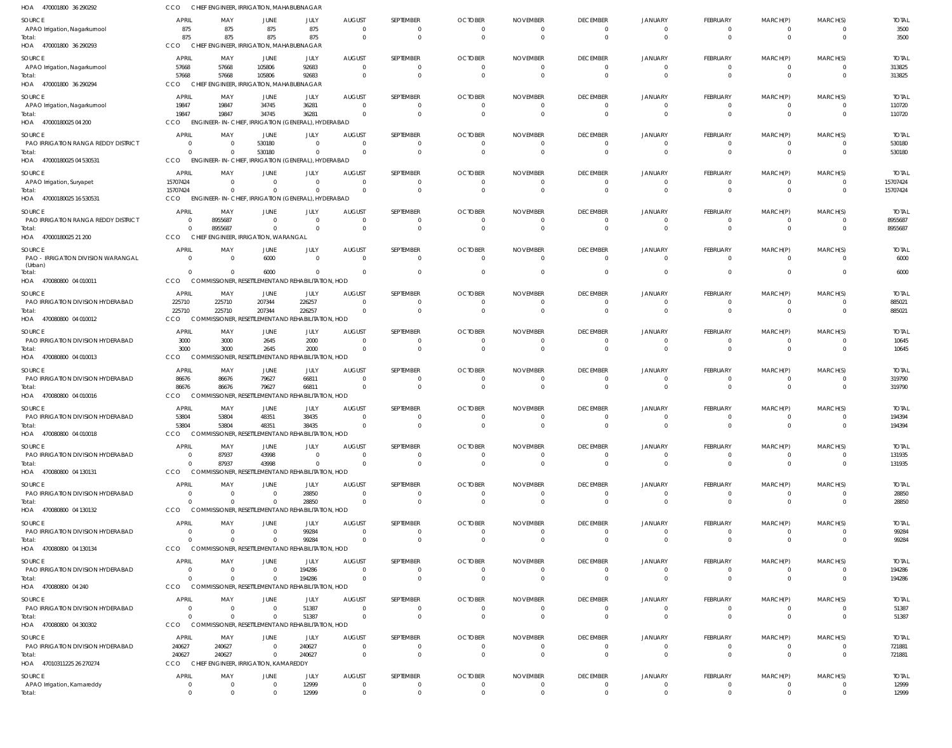| HOA 470001800 36 290292                       | <b>CCO</b>             | CHIEF ENGINEER, IRRIGATION, MAHABUBNAGAR                       |                                |                                                   |                                 |                      |                            |                      |                              |                                |                      |                          |                            |                          |
|-----------------------------------------------|------------------------|----------------------------------------------------------------|--------------------------------|---------------------------------------------------|---------------------------------|----------------------|----------------------------|----------------------|------------------------------|--------------------------------|----------------------|--------------------------|----------------------------|--------------------------|
| SOURCE                                        | <b>APRIL</b>           | MAY                                                            | <b>JUNE</b>                    | JULY                                              | <b>AUGUST</b>                   | SEPTEMBER            | <b>OCTOBER</b>             | <b>NOVEMBER</b>      | <b>DECEMBER</b>              | JANUARY                        | FEBRUARY             | MARCH(P)                 | MARCH(S)                   | <b>TOTAL</b>             |
| APAO Irrigation, Nagarkurnool                 | 875                    | 875                                                            | 875                            | 875                                               | $\overline{0}$                  |                      | $\Omega$                   | $\Omega$             | $\overline{0}$               | $\mathbf{0}$                   | $\Omega$             | $\Omega$                 | $\Omega$                   | 3500                     |
| Total:<br>HOA 470001800 36 290293             | 875<br>CCO             | 875<br>CHIEF ENGINEER, IRRIGATION, MAHABUBNAGAR                | 875                            | 875                                               | $\overline{0}$                  | $\Omega$             | $\Omega$                   | $\overline{0}$       | $\overline{0}$               | $\overline{0}$                 | $\Omega$             | $\Omega$                 | $\overline{0}$             | 3500                     |
| SOURCE                                        | APRIL                  | MAY                                                            | JUNE                           | JULY                                              | <b>AUGUST</b>                   | SEPTEMBER            | <b>OCTOBER</b>             | <b>NOVEMBER</b>      | <b>DECEMBER</b>              | JANUARY                        | FEBRUARY             | MARCH(P)                 | MARCH(S)                   | <b>TOTAL</b>             |
| APAO Irrigation, Nagarkurnool                 | 57668                  | 57668                                                          | 105806                         | 92683                                             | $\overline{0}$                  |                      | $\Omega$                   | $\Omega$             | $\Omega$                     | $\Omega$                       | 0                    | $\Omega$                 | $\Omega$                   | 313825                   |
| Total:                                        | 57668                  | 57668                                                          | 105806                         | 92683                                             | $\overline{0}$                  | $\Omega$             | $\Omega$                   | $\Omega$             | $\mathbf 0$                  | $\Omega$                       | $\Omega$             | $\Omega$                 | $\Omega$                   | 313825                   |
| HOA 470001800 36 290294                       | <b>CCO</b>             | CHIEF ENGINEER, IRRIGATION, MAHABUBNAGAR                       |                                |                                                   |                                 |                      |                            |                      |                              |                                |                      |                          |                            |                          |
| SOURCE                                        | APRIL                  | MAY                                                            | JUNE                           | JULY                                              | <b>AUGUST</b>                   | SEPTEMBER            | <b>OCTOBER</b>             | <b>NOVEMBER</b>      | <b>DECEMBER</b>              | JANUARY                        | FEBRUARY             | MARCH(P)                 | MARCH(S)                   | <b>TOTAL</b>             |
| APAO Irrigation, Nagarkurnool<br>Total:       | 19847<br>19847         | 19847<br>19847                                                 | 34745<br>34745                 | 36281<br>36281                                    | $\Omega$<br>$\Omega$            | $\Omega$             | $\Omega$<br>$\Omega$       | $\Omega$<br>$\Omega$ | $\mathbf 0$<br>$\Omega$      | $\mathbf{0}$<br>$\Omega$       | $\Omega$<br>$\Omega$ | $\Omega$<br>$\Omega$     | 0<br>$\Omega$              | 110720<br>110720         |
| HOA 47000180025 04 200                        | CCO                    | ENGINEER-IN-CHIEF, IRRIGATION (GENERAL), HYDERABAD             |                                |                                                   |                                 |                      |                            |                      |                              |                                |                      |                          |                            |                          |
| SOURCE                                        | <b>APRIL</b>           | MAY                                                            | JUNE                           | JULY                                              | <b>AUGUST</b>                   | SEPTEMBER            | <b>OCTOBER</b>             | <b>NOVEMBER</b>      | <b>DECEMBER</b>              | JANUARY                        | FEBRUARY             | MARCH(P)                 | MARCH(S)                   | <b>TOTAL</b>             |
| PAO IRRIGATION RANGA REDDY DISTRICT           | $\Omega$               | $\Omega$                                                       | 530180                         | $\Omega$                                          | $\Omega$                        |                      | $\Omega$                   | 0                    | $\Omega$                     | $\Omega$                       | $\Omega$             |                          | $\Omega$                   | 530180                   |
| Total:<br>HOA 47000180025 04 530531           | $\Omega$<br><b>CCO</b> | $\overline{0}$<br><b>ENGINEER-IN-CHIEF,</b>                    | 530180                         | $\overline{0}$<br>IRRIGATION (GENERAL), HYDERABAD | $\overline{0}$                  |                      | $\Omega$                   | $\overline{0}$       | $\overline{0}$               | $\Omega$                       | $\Omega$             | $\Omega$                 | $\overline{0}$             | 530180                   |
|                                               | APRIL                  |                                                                |                                |                                                   |                                 | SEPTEMBER            | <b>OCTOBER</b>             | <b>NOVEMBER</b>      | <b>DECEMBER</b>              |                                |                      |                          |                            |                          |
| SOURCE<br>APAO Irrigation, Suryapet           | 15707424               | MAY<br>$\overline{0}$                                          | JUNE<br>$\overline{0}$         | JULY<br>$\overline{0}$                            | <b>AUGUST</b><br>$\overline{0}$ | $\Omega$             | 0                          | 0                    | 0                            | JANUARY<br>$\mathbf{0}$        | FEBRUARY<br>0        | MARCH(P)<br>$\mathbf{0}$ | MARCH(S)<br>0              | <b>TOTAL</b><br>15707424 |
| Total:                                        | 15707424               | $\Omega$                                                       | $\Omega$                       | $\Omega$                                          | $\Omega$                        | $\Omega$             | $\Omega$                   | $\Omega$             | $\mathbf{0}$                 | $\mathbf{0}$                   | $\Omega$             | $\Omega$                 | $\overline{0}$             | 15707424                 |
| HOA 47000180025 16 530531                     | <b>CCO</b>             | ENGINEER-IN-CHIEF, IRRIGATION (GENERAL), HYDERABAD             |                                |                                                   |                                 |                      |                            |                      |                              |                                |                      |                          |                            |                          |
| SOURCE                                        | APRIL                  | MAY                                                            | JUNE                           | JULY                                              | <b>AUGUST</b>                   | SEPTEMBER            | <b>OCTOBER</b>             | <b>NOVEMBER</b>      | <b>DECEMBER</b>              | <b>JANUARY</b>                 | FEBRUARY             | MARCH(P)                 | MARCH(S)                   | <b>TOTAL</b>             |
| PAO IRRIGATION RANGA REDDY DISTRICT<br>Total: | $\Omega$               | 8955687<br>8955687                                             | $\Omega$<br>$\Omega$           | $\overline{0}$<br>$\Omega$                        | $\overline{0}$<br>$\Omega$      | $\Omega$             | $\Omega$<br>$\Omega$       | $\Omega$<br>$\Omega$ | $\mathbf 0$<br>$\Omega$      | $\Omega$<br>$\Omega$           | $\Omega$<br>$\Omega$ | $\Omega$<br>$\Omega$     | $\Omega$<br>$\Omega$       | 8955687<br>8955687       |
| HOA 47000180025 21 200                        | <b>CCO</b>             | <b>CHIEF</b>                                                   | ENGINEER, IRRIGATION, WARANGAL |                                                   |                                 |                      |                            |                      |                              |                                |                      |                          |                            |                          |
| SOURCE                                        | APRIL                  | MAY                                                            | JUNE                           | JULY                                              | <b>AUGUST</b>                   | SEPTEMBER            | <b>OCTOBER</b>             | <b>NOVEMBER</b>      | <b>DECEMBER</b>              | JANUARY                        | FEBRUARY             | MARCH(P)                 | MARCH(S)                   | <b>TOTAL</b>             |
| PAO - IRRIGATION DIVISION WARANGAL            | $\Omega$               | $\overline{0}$                                                 | 6000                           | $\overline{0}$                                    | $\overline{0}$                  | $\Omega$             | $\Omega$                   | $\Omega$             | $\overline{0}$               | $\mathbf{0}$                   | $\Omega$             | $\Omega$                 | 0                          | 6000                     |
| (Urban)<br>lotal:                             |                        | $\Omega$                                                       | 6000                           | $\Omega$                                          | - 0                             | $\Omega$             | $\Omega$                   | $\Omega$             | $\overline{0}$               | $\mathbf{0}$                   | $\Omega$             | $\Omega$                 | $\mathbf 0$                | 6000                     |
| HOA 470080800 04 010011                       | CCO                    | COMMISSIONER, RESETTLEMENT AND REHABILITATION, HOD             |                                |                                                   |                                 |                      |                            |                      |                              |                                |                      |                          |                            |                          |
| SOURCE                                        | APRIL                  | MAY                                                            | JUNE                           | JULY                                              | <b>AUGUST</b>                   | SEPTEMBER            | <b>OCTOBER</b>             | <b>NOVEMBER</b>      | <b>DECEMBER</b>              | JANUARY                        | FEBRUARY             | MARCH(P)                 | MARCH(S)                   | <b>TOTAL</b>             |
| PAO IRRIGATION DIVISION HYDERABAD             | 225710                 | 225710                                                         | 207344                         | 226257                                            | $\Omega$                        |                      | <sup>0</sup>               | 0                    | $\Omega$                     | 0                              | $\Omega$             |                          | $\Omega$                   | 885021                   |
| Total:<br>HOA 470080800 04 010012             | 225710<br>CCO          | 225710<br>COMMISSIONER, RESETTLEMENT AND REHABILITATION, HOD   | 207344                         | 226257                                            | $\overline{0}$                  | $\Omega$             | $\Omega$                   | $\overline{0}$       | $\overline{0}$               | $\Omega$                       | $\Omega$             | $\Omega$                 | $\mathbf 0$                | 885021                   |
| SOURCE                                        | <b>APRIL</b>           | MAY                                                            | JUNE                           | JULY                                              | <b>AUGUST</b>                   | SEPTEMBER            | <b>OCTOBER</b>             | <b>NOVEMBER</b>      | <b>DECEMBER</b>              | JANUARY                        | FEBRUARY             | MARCH(P)                 | MARCH(S)                   | <b>TOTAL</b>             |
| PAO IRRIGATION DIVISION HYDERABAD             | 3000                   | 3000                                                           | 2645                           | 2000                                              | $\overline{0}$                  | $\Omega$             | 0                          | 0                    | 0                            | 0                              | 0                    | $\Omega$                 | 0                          | 10645                    |
| Total:                                        | 3000                   | 3000                                                           | 2645                           | 2000                                              | $\Omega$                        | $\Omega$             | $\Omega$                   | $\Omega$             | $\mathbf{0}$                 | $\mathbf{0}$                   | $\Omega$             | $\Omega$                 | $\mathbf 0$                | 10645                    |
| HOA 470080800 04 010013                       | <b>CCO</b>             | COMMISSIONER, RESETTLEMENT AND REHABILITATION, HOD             |                                |                                                   |                                 |                      |                            |                      |                              |                                |                      |                          |                            |                          |
| SOURCE                                        | APRIL                  | MAY                                                            | JUNE                           | JULY                                              | <b>AUGUST</b>                   | SEPTEMBER            | <b>OCTOBER</b>             | <b>NOVEMBER</b>      | <b>DECEMBER</b>              | JANUARY                        | FEBRUARY             | MARCH(P)                 | MARCH(S)                   | <b>TOTAL</b>             |
| PAO IRRIGATION DIVISION HYDERABAD<br>Total:   | 86676<br>86676         | 86676<br>86676                                                 | 79627<br>79627                 | 66811<br>66811                                    | $\Omega$<br>- 0                 | - 0                  | $\Omega$<br>$\Omega$       | $\Omega$<br>$\Omega$ | $\Omega$<br>$\mathbf 0$      | $\Omega$<br>$\Omega$           | $\Omega$<br>$\Omega$ | $\Omega$<br>$\Omega$     | $\Omega$<br>$\Omega$       | 319790<br>319790         |
| HOA 470080800 04 010016                       | CCO                    | <b>JONER, RESE</b><br><b>COM</b>                               |                                | TLEMENT AND REHABILITATION, HOD                   |                                 |                      |                            |                      |                              |                                |                      |                          |                            |                          |
| SOURCE                                        | APRIL                  | MAY                                                            | JUNE                           | JULY                                              | <b>AUGUST</b>                   | SEPTEMBER            | <b>OCTOBER</b>             | <b>NOVEMBER</b>      | <b>DECEMBER</b>              | JANUARY                        | FEBRUARY             | MARCH(P)                 | MARCH(S)                   | <b>TOTAL</b>             |
| PAO IRRIGATION DIVISION HYDERABAD             | 53804                  | 53804                                                          | 48351                          | 38435                                             | $\overline{0}$                  | $\Omega$             | $\Omega$                   | $\Omega$             | $\overline{0}$               | $\overline{0}$                 | $\Omega$             | $\Omega$                 | $\Omega$                   | 194394                   |
| Total:<br>HOA 470080800 04 010018             | 53804<br>CCO           | 53804<br>COMMISSIONER, RESETTLEMENT AND REHABILITATION, HOD    | 48351                          | 38435                                             |                                 |                      |                            |                      | $\mathbf 0$                  | $\mathbf 0$                    |                      |                          | $\mathbf 0$                | 194394                   |
|                                               | <b>APRIL</b>           | MAY                                                            |                                |                                                   |                                 | SEPTEMBER            |                            |                      |                              |                                |                      |                          |                            |                          |
| SOURCE<br>PAO IRRIGATION DIVISION HYDERABAD   | $\Omega$               | 87937                                                          | <b>JUNE</b><br>43998           | JULY<br>$\Omega$                                  | <b>AUGUST</b><br>$\Omega$       |                      | <b>OCTOBER</b><br>$\Omega$ | <b>NOVEMBER</b><br>0 | <b>DECEMBER</b><br>0         | JANUARY<br>$\Omega$            | FEBRUARY<br>$\Omega$ | MARCH(P)                 | MARCH(S)<br>$\Omega$       | <b>TOTAL</b><br>131935   |
| Total:                                        | $\Omega$               | 87937                                                          | 43998                          | $\Omega$                                          | $\Omega$                        |                      | $\Omega$                   | $\overline{0}$       | $\overline{0}$               | $\Omega$                       | $\Omega$             | $\Omega$                 | $\overline{0}$             | 131935                   |
| HOA 470080800 04 130131                       | CCO                    | COMMISSIONER, RESETTLEMENT AND REHABILITATION, HOD             |                                |                                                   |                                 |                      |                            |                      |                              |                                |                      |                          |                            |                          |
| SOURCE                                        | <b>APRIL</b>           | MAY                                                            | JUNE                           | JULY                                              | <b>AUGUST</b>                   | SEPTEMBER            | <b>OCTOBER</b>             | <b>NOVEMBER</b>      | <b>DECEMBER</b>              | JANUARY                        | FEBRUARY             | MARCH(P)                 | MARCH(S)                   | <b>TOTAL</b>             |
| PAO IRRIGATION DIVISION HYDERABAD<br>Total:   | $\Omega$               | $\Omega$<br>$\Omega$                                           | $\Omega$<br>$\Omega$           | 28850<br>28850                                    | $\Omega$<br>$\overline{0}$      | $\Omega$<br>$\Omega$ | 0<br>$\overline{0}$        | 0<br>$\overline{0}$  | $^{\circ}$<br>$\overline{0}$ | $\mathbf{0}$<br>$\overline{0}$ | $\Omega$<br>$\Omega$ | $\mathbf 0$              | $\Omega$<br>$\overline{0}$ | 28850<br>28850           |
| HOA 470080800 04 130132                       | CCO                    | COMMISSIONER, RESETTLEMENT AND REHABILITATION, HOD             |                                |                                                   |                                 |                      |                            |                      |                              |                                |                      |                          |                            |                          |
| SOURCE                                        | APRIL                  | MAY                                                            | <b>JUNE</b>                    | JULY                                              | <b>AUGUST</b>                   | SEPTEMBER            | <b>OCTOBER</b>             | <b>NOVEMBER</b>      | <b>DECEMBER</b>              | JANUARY                        | FEBRUARY             | MARCH(P)                 | MARCH(S)                   | <b>TOTAL</b>             |
| PAO IRRIGATION DIVISION HYDERABAD             |                        | $\Omega$                                                       | $\overline{0}$                 | 99284                                             | $\overline{0}$                  | $\Omega$             | $\Omega$                   | $\Omega$             | 0                            | 0                              | $\Omega$             | $\Omega$                 | $\Omega$                   | 99284                    |
| Total:<br>HOA 470080800 04 130134             | CCO                    | $\Omega$<br>COMMISSIONER, RESETTLEMENT AND REHABILITATION, HOD | $\Omega$                       | 99284                                             | $\Omega$                        |                      | $\Omega$                   | $\Omega$             | $\Omega$                     | $\Omega$                       | $\Omega$             | $\Omega$                 | $\Omega$                   | 99284                    |
| SOURCE                                        | APRIL                  | MAY                                                            | JUNE                           | JULY                                              | <b>AUGUST</b>                   | SEPTEMBER            | <b>OCTOBER</b>             | <b>NOVEMBER</b>      | <b>DECEMBER</b>              | JANUARY                        | FEBRUARY             | MARCH(P)                 | MARCH(S)                   | <b>TOTAL</b>             |
| PAO IRRIGATION DIVISION HYDERABAD             | $\Omega$               | $\Omega$                                                       | $\overline{0}$                 | 194286                                            | $\Omega$                        | $\Omega$             | $\Omega$                   | $\Omega$             | $\overline{0}$               | $\overline{0}$                 | $\Omega$             | $\Omega$                 | 0                          | 194286                   |
| Total:                                        | $\Omega$               | $\Omega$                                                       | $\Omega$                       | 194286                                            | $\overline{0}$                  | $\Omega$             | $\Omega$                   | $\Omega$             | $\overline{0}$               | $\overline{0}$                 | 0                    | $\mathbf 0$              | $\overline{0}$             | 194286                   |
| HOA 470080800 04 240                          | CCO                    | COMMISSIONER, RESETTLEMENT AND REHABILITATION, HOD             |                                |                                                   |                                 |                      |                            |                      |                              |                                |                      |                          |                            |                          |
| SOURCE                                        | <b>APRIL</b>           | MAY                                                            | <b>JUNE</b>                    | JULY                                              | <b>AUGUST</b>                   | SEPTEMBER            | <b>OCTOBER</b>             | <b>NOVEMBER</b>      | <b>DECEMBER</b>              | JANUARY                        | FEBRUARY             | MARCH(P)                 | MARCH(S)                   | <b>TOTAL</b>             |
| PAO IRRIGATION DIVISION HYDERABAD<br>Total:   | $\Omega$               | $\Omega$<br>$\Omega$                                           | $\Omega$<br>$\Omega$           | 51387<br>51387                                    | $\Omega$<br>$\Omega$            | $\Omega$             | 0<br>$\Omega$              | 0<br>$\Omega$        | 0<br>$\mathbf 0$             | 0<br>$\mathbf{0}$              | $\Omega$<br>$\Omega$ | $\Omega$                 | $\Omega$<br>$\Omega$       | 51387<br>51387           |
| HOA 470080800 04 300302                       | CCO                    | COMMISSIONER, RESETTLEMENT AND REHABILITATION, HOD             |                                |                                                   |                                 |                      |                            |                      |                              |                                |                      |                          |                            |                          |
| SOURCE                                        | APRIL                  | MAY                                                            | JUNE                           | JULY                                              | <b>AUGUST</b>                   | SEPTEMBER            | <b>OCTOBER</b>             | <b>NOVEMBER</b>      | <b>DECEMBER</b>              | JANUARY                        | FEBRUARY             | MARCH(P)                 | MARCH(S)                   | <b>TOTAL</b>             |
| PAO IRRIGATION DIVISION HYDERABAD             | 240627                 | 240627                                                         | $\overline{0}$                 | 240627                                            | $\overline{0}$                  | $\Omega$             | $\Omega$                   | $\Omega$             | $\mathbf 0$                  | $\mathbf{0}$                   | $\Omega$             |                          | $\Omega$                   | 721881                   |
| Total:<br>HOA 47010311225 26 270274           | 240627<br>CCO          | 240627<br>CHIEF ENGINEER, IRRIGATION, KAMAREDDY                | $\overline{0}$                 | 240627                                            | $\overline{0}$                  | $\Omega$             | $\Omega$                   | $\overline{0}$       | $\overline{0}$               | $\mathbf{0}$                   | $\Omega$             | $\Omega$                 | $\overline{0}$             | 721881                   |
| SOURCE                                        | <b>APRIL</b>           | MAY                                                            | JUNE                           | JULY                                              | AUGUST                          | SEPTEMBER            | <b>OCTOBER</b>             | <b>NOVEMBER</b>      | <b>DECEMBER</b>              | JANUARY                        | FEBRUARY             | MARCH(P)                 | MARCH(S)                   | <b>TOTAL</b>             |
| APAO Irrigation, Kamareddy                    | $\Omega$               | $\overline{0}$                                                 | $\overline{0}$                 | 12999                                             | $\overline{0}$                  | $\Omega$             | $\Omega$                   | $\Omega$             | $\overline{0}$               | $\Omega$                       | $\Omega$             | $\Omega$                 | - 0                        | 12999                    |
| Total:                                        | $\Omega$               | $\overline{0}$                                                 | $\mathbf{0}$                   | 12999                                             | $\overline{0}$                  | $\Omega$             | $\mathbf 0$                | $\Omega$             | $\overline{0}$               | $\overline{0}$                 | $\Omega$             | $\mathbf 0$              | $\overline{0}$             | 12999                    |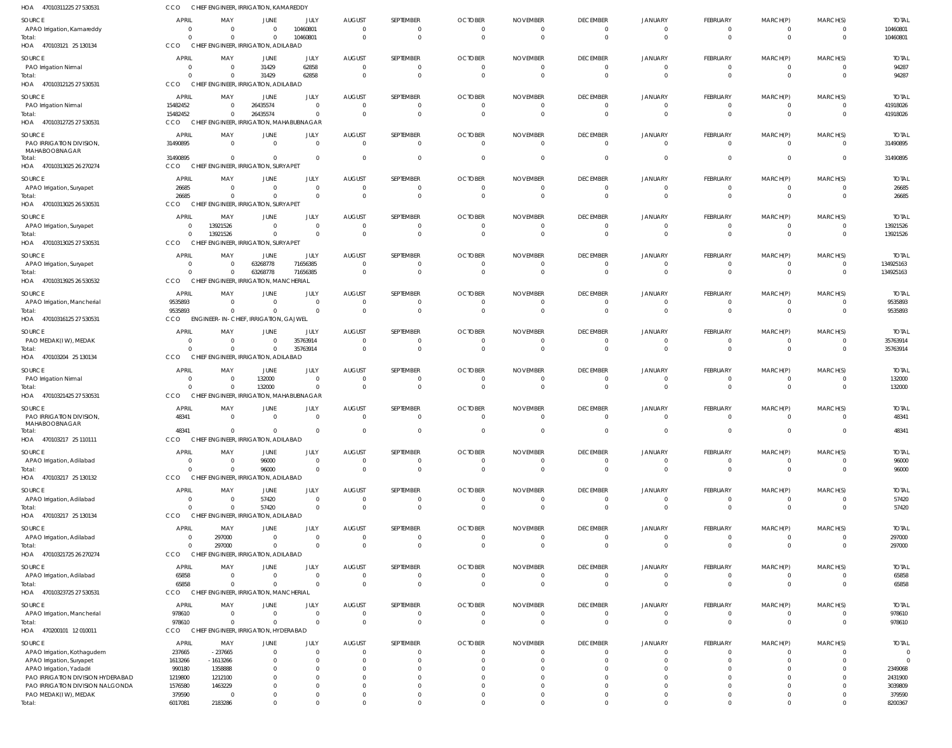| HOA<br>47010311225 27 530531                                  | CCO                                     | CHIEF ENGINEER, IRRIGATION, KAMAREDDY                    |                      |                                  |                           |                              |                                  |                                   |                                           |                            |                                 |                            |                      |                           |
|---------------------------------------------------------------|-----------------------------------------|----------------------------------------------------------|----------------------|----------------------------------|---------------------------|------------------------------|----------------------------------|-----------------------------------|-------------------------------------------|----------------------------|---------------------------------|----------------------------|----------------------|---------------------------|
| SOURCE                                                        | <b>APRIL</b>                            | MAY                                                      | JUNE                 | JULY                             | <b>AUGUST</b>             | SEPTEMBER                    | <b>OCTOBER</b>                   | <b>NOVEMBER</b>                   | <b>DECEMBER</b>                           | <b>JANUARY</b>             | <b>FEBRUARY</b>                 | MARCH(P)                   | MARCH(S)             | <b>TOTAL</b>              |
| APAO Irrigation, Kamareddy<br>Total:                          | $\overline{0}$<br>$\Omega$              | $\overline{0}$<br>$\Omega$                               | $\Omega$<br>$\Omega$ | 10460801<br>10460801             | $\Omega$<br>$\Omega$      | $\mathbf{0}$<br>$\mathbf{0}$ | $\overline{0}$<br>$\overline{0}$ | $\overline{0}$<br>$\overline{0}$  | $\overline{\mathbf{0}}$<br>$\overline{0}$ | $\Omega$<br>$\Omega$       | $\mathbf{0}$<br>$\mathbf{0}$    | $\mathbf 0$<br>$\mathbf 0$ | $\Omega$<br>$\Omega$ | 10460801<br>10460801      |
| HOA 470103121 25 130134                                       | CCO                                     | CHIEF ENGINEER, IRRIGATION, ADILABAD                     |                      |                                  |                           |                              |                                  |                                   |                                           |                            |                                 |                            |                      |                           |
| SOURCE<br>PAO Irrigation Nirmal                               | <b>APRIL</b><br>$\overline{\mathbf{0}}$ | MAY<br>$\overline{0}$                                    | JUNE<br>31429        | JULY<br>62858                    | <b>AUGUST</b><br>$\Omega$ | SEPTEMBER<br>$\mathbf{0}$    | <b>OCTOBER</b><br>- 0            | <b>NOVEMBER</b><br>$\overline{0}$ | <b>DECEMBER</b><br>$\overline{0}$         | <b>JANUARY</b><br>$\Omega$ | <b>FEBRUARY</b><br>$\mathbf{0}$ | MARCH(P)<br>0              | MARCH(S)<br>$\Omega$ | <b>TOTAL</b><br>94287     |
| Total:                                                        | $\Omega$                                | $\Omega$                                                 | 31429                | 62858                            | $\Omega$                  | $\mathbf{0}$                 | $\Omega$                         | $\overline{0}$                    | $\Omega$                                  | $\Omega$                   | $\mathbf{0}$                    | $\mathbf 0$                | $\Omega$             | 94287                     |
| HOA 47010312125 27 530531                                     | CCO                                     | CHIEF ENGINEER, IRRIGATION, ADILABAD                     |                      |                                  |                           |                              |                                  |                                   |                                           |                            |                                 |                            |                      |                           |
| SOURCE<br>PAO Irrigation Nirmal                               | <b>APRIL</b><br>15482452                | MAY<br>$\overline{0}$                                    | JUNE<br>26435574     | JULY<br>$\overline{0}$           | <b>AUGUST</b><br>$\Omega$ | SEPTEMBER<br>$\mathbf{0}$    | <b>OCTOBER</b><br>$^{\circ}$     | <b>NOVEMBER</b><br>$\overline{0}$ | <b>DECEMBER</b><br>$\overline{0}$         | <b>JANUARY</b><br>$\Omega$ | FEBRUARY<br>$\mathbf{0}$        | MARCH(P)<br>0              | MARCH(S)<br>$\Omega$ | <b>TOTAL</b><br>41918026  |
| Total:                                                        | 15482452                                | $\overline{0}$                                           | 26435574             | $\overline{0}$                   | $\Omega$                  | $\mathbf 0$                  | $\Omega$                         | $\overline{0}$                    | $\overline{0}$                            | $\Omega$                   | $\mathbf{0}$                    | $\mathbf 0$                | $\Omega$             | 41918026                  |
| HOA 47010312725 27 530531                                     | <b>CCO</b>                              | CHIEF ENGINEER, IRRIGATION, MAHABUBNAGAR                 |                      |                                  |                           |                              |                                  |                                   |                                           |                            |                                 |                            |                      |                           |
| SOURCE<br>PAO IRRIGATION DIVISION,                            | <b>APRIL</b><br>31490895                | MAY<br>$\overline{0}$                                    | JUNE<br>$\Omega$     | JULY<br>$\overline{0}$           | <b>AUGUST</b><br>$\Omega$ | SEPTEMBER<br>$\mathbf{0}$    | <b>OCTOBER</b><br>$\Omega$       | <b>NOVEMBER</b><br>$\overline{0}$ | <b>DECEMBER</b><br>$\overline{0}$         | <b>JANUARY</b><br>$\Omega$ | FEBRUARY<br>$\overline{0}$      | MARCH(P)<br>$\mathbf 0$    | MARCH(S)<br>$\Omega$ | <b>TOTAL</b><br>31490895  |
| MAHABOOBNAGAR                                                 |                                         |                                                          |                      |                                  |                           |                              |                                  |                                   |                                           |                            |                                 |                            |                      |                           |
| Total:<br>HOA 47010313025 26 270274                           | 31490895<br><b>CCO</b>                  | $\overline{0}$<br>CHIEF ENGINEER, IRRIGATION, SURYAPET   | $\Omega$             | $\overline{0}$                   | $\Omega$                  | $\mathbf 0$                  | $\Omega$                         | - 0                               | $\Omega$                                  | $\Omega$                   | $\mathbf{0}$                    | $\mathbf 0$                | $\Omega$             | 31490895                  |
| SOURCE                                                        | <b>APRIL</b>                            | MAY                                                      | JUNE                 | JULY                             | <b>AUGUST</b>             | SEPTEMBER                    | <b>OCTOBER</b>                   | <b>NOVEMBER</b>                   | <b>DECEMBER</b>                           | <b>JANUARY</b>             | FEBRUARY                        | MARCH(P)                   | MARCH(S)             | <b>TOTAL</b>              |
| APAO Irrigation, Suryapet                                     | 26685                                   | $\overline{0}$                                           | $\Omega$             | $\overline{0}$                   | $\Omega$                  | $\mathbf{0}$                 | $^{\circ}$                       | $\overline{0}$                    | $\overline{0}$                            | $\Omega$                   | $\mathbf{0}$                    | $\mathbf 0$                | $\Omega$             | 26685                     |
| Total:<br>HOA 47010313025 26 530531                           | 26685<br>CCO                            | $\Omega$<br>CHIEF ENGINEER, IRRIGATION, SURYAPET         | $\Omega$             | $\overline{0}$                   | $\Omega$                  | $\mathbf 0$                  | $\overline{0}$                   | $\overline{0}$                    | $\overline{0}$                            | $\Omega$                   | $\mathbf 0$                     | $\mathbf 0$                | $\Omega$             | 26685                     |
|                                                               |                                         |                                                          |                      |                                  |                           |                              |                                  |                                   |                                           |                            |                                 |                            |                      |                           |
| SOURCE<br>APAO Irrigation, Suryapet                           | <b>APRIL</b><br>$\overline{0}$          | MAY<br>13921526                                          | JUNE<br>$\Omega$     | JULY<br>$\overline{0}$           | <b>AUGUST</b><br>$\Omega$ | SEPTEMBER<br>$\mathbf{0}$    | <b>OCTOBER</b><br>- 0            | <b>NOVEMBER</b><br>$\overline{0}$ | <b>DECEMBER</b><br>$\overline{0}$         | <b>JANUARY</b><br>$\Omega$ | FEBRUARY<br>$\mathbf{0}$        | MARCH(P)<br>$\mathbf 0$    | MARCH(S)<br>$\Omega$ | <b>TOTAL</b><br>13921526  |
| Total:                                                        | $\Omega$                                | 13921526                                                 | $\Omega$             | $\overline{0}$                   | $\Omega$                  | $\mathbf 0$                  | $\Omega$                         | $\overline{0}$                    | $\overline{0}$                            | $\Omega$                   | $\mathbf 0$                     | $\mathbf 0$                | $\Omega$             | 13921526                  |
| HOA 47010313025 27 530531                                     | CCO                                     | CHIEF ENGINEER, IRRIGATION, SURYAPET                     |                      |                                  |                           |                              |                                  |                                   |                                           |                            |                                 |                            |                      |                           |
| SOURCE<br>APAO Irrigation, Suryapet                           | <b>APRIL</b><br>$\overline{0}$          | MAY<br>$\overline{0}$                                    | JUNE<br>63268778     | JULY<br>71656385                 | <b>AUGUST</b><br>$\Omega$ | SEPTEMBER<br>$\mathbf{0}$    | <b>OCTOBER</b><br>$^{\circ}$     | <b>NOVEMBER</b><br>$\overline{0}$ | <b>DECEMBER</b><br>$\overline{0}$         | <b>JANUARY</b><br>$\Omega$ | FEBRUARY<br>$\mathbf{0}$        | MARCH(P)<br>0              | MARCH(S)<br>$\Omega$ | <b>TOTAL</b><br>134925163 |
| Total:                                                        | $\Omega$                                | $\Omega$                                                 | 63268778             | 71656385                         | $\Omega$                  | $\mathbf 0$                  | $\Omega$                         | $\overline{0}$                    | $\Omega$                                  | $\Omega$                   | $\mathbf 0$                     | $\mathbf 0$                | $\mathbf{0}$         | 134925163                 |
| HOA 47010313925 26 530532                                     | <b>CCO</b>                              | CHIEF ENGINEER, IRRIGATION, MANCHERIAL                   |                      |                                  |                           |                              |                                  |                                   |                                           |                            |                                 |                            |                      |                           |
| SOURCE                                                        | <b>APRIL</b>                            | MAY                                                      | JUNE                 | JULY                             | <b>AUGUST</b>             | SEPTEMBER                    | <b>OCTOBER</b>                   | <b>NOVEMBER</b>                   | <b>DECEMBER</b>                           | <b>JANUARY</b>             | FEBRUARY                        | MARCH(P)                   | MARCH(S)             | <b>TOTAL</b>              |
| APAO Irrigation, Mancherial<br>Total:                         | 9535893<br>9535893                      | $\overline{0}$<br>$\Omega$                               | $\Omega$<br>$\Omega$ | $\overline{0}$<br>$\Omega$       | $\Omega$<br>$\Omega$      | $\mathbf{0}$<br>$\mathbf 0$  | -0<br>$\Omega$                   | - 0<br>- 0                        | $\overline{0}$<br>$\overline{0}$          | $\Omega$<br>$\Omega$       | $\mathbf{0}$<br>$\mathbf 0$     | $\mathbf 0$<br>$\mathbf 0$ | $\Omega$<br>$\Omega$ | 9535893<br>9535893        |
| HOA 47010316125 27 530531                                     | CCO                                     | ENGINEER-IN-CHIEF, IRRIGATION, GAJWEL                    |                      |                                  |                           |                              |                                  |                                   |                                           |                            |                                 |                            |                      |                           |
| SOURCE                                                        | <b>APRIL</b>                            | MAY                                                      | JUNE                 | JULY                             | <b>AUGUST</b>             | SEPTEMBER                    | <b>OCTOBER</b>                   | <b>NOVEMBER</b>                   | <b>DECEMBER</b>                           | <b>JANUARY</b>             | <b>FEBRUARY</b>                 | MARCH(P)                   | MARCH(S)             | <b>TOTAL</b>              |
| PAO MEDAK(IW), MEDAK<br>Total:                                | $\overline{0}$<br>$\Omega$              | $\overline{0}$<br>$\overline{0}$                         | $\Omega$<br>$\Omega$ | 35763914<br>35763914             | $\Omega$<br>$\Omega$      | $\mathbf{0}$<br>$\mathbf 0$  | $\overline{0}$<br>$\Omega$       | $\overline{0}$<br>$\overline{0}$  | $\overline{0}$<br>$\overline{0}$          | $\Omega$<br>$\Omega$       | $\mathbf{0}$<br>$\mathbf 0$     | 0<br>$\mathbf 0$           | $\Omega$<br>$\Omega$ | 35763914<br>35763914      |
| HOA 470103204 25 130134                                       | CCO                                     | CHIEF ENGINEER, IRRIGATION, ADILABAD                     |                      |                                  |                           |                              |                                  |                                   |                                           |                            |                                 |                            |                      |                           |
| SOURCE                                                        | <b>APRIL</b>                            | MAY                                                      | JUNE                 | JULY                             | <b>AUGUST</b>             | SEPTEMBER                    | <b>OCTOBER</b>                   | <b>NOVEMBER</b>                   | <b>DECEMBER</b>                           | <b>JANUARY</b>             | <b>FEBRUARY</b>                 | MARCH(P)                   | MARCH(S)             | <b>TOTAL</b>              |
| PAO Irrigation Nirmal                                         | $\overline{0}$                          | - 0                                                      | 132000               | $\overline{0}$                   | $\Omega$                  | $\mathbf{0}$                 | - 0                              | $\overline{0}$                    | $\overline{0}$                            | $\Omega$                   | $\mathbf{0}$                    | 0                          | $\Omega$             | 132000                    |
| Total:<br>HOA 47010321425 27 530531                           | $\Omega$<br>CCO                         | $\Omega$<br>CHIEF ENGINEER, IRRIGATION, MAHABUBNAGAR     | 132000               | $\overline{0}$                   | $\Omega$                  | $\mathbf 0$                  | $\Omega$                         | $\Omega$                          | $\Omega$                                  | $\Omega$                   | $\mathbf 0$                     | $\mathbf 0$                | $\Omega$             | 132000                    |
| SOURCE                                                        | <b>APRIL</b>                            | MAY                                                      | JUNE                 | JULY                             | <b>AUGUST</b>             | SEPTEMBER                    | <b>OCTOBER</b>                   | <b>NOVEMBER</b>                   | <b>DECEMBER</b>                           | <b>JANUARY</b>             | FEBRUARY                        | MARCH(P)                   | MARCH(S)             | <b>TOTAL</b>              |
| PAO IRRIGATION DIVISION,                                      | 48341                                   | $\Omega$                                                 | $\Omega$             | $\overline{0}$                   | $\Omega$                  | $\mathbf{0}$                 | $\Omega$                         | $\Omega$                          | $\overline{0}$                            | $\Omega$                   | $\mathbf{0}$                    | $\mathbf 0$                | $\Omega$             | 48341                     |
| MAHABOOBNAGAR<br>lotal:                                       | 48341                                   | $\overline{0}$                                           | $\overline{0}$       | $\Omega$                         |                           |                              |                                  |                                   |                                           |                            |                                 |                            |                      | 48341                     |
| HOA 470103217 25 110111                                       | CCO                                     | CHIEF ENGINEER, IRRIGATION, ADILABAD                     |                      |                                  |                           |                              |                                  |                                   |                                           |                            |                                 |                            |                      |                           |
| SOURCE                                                        | <b>APRIL</b>                            | MAY                                                      | JUNE                 | JULY                             | <b>AUGUST</b><br>$\Omega$ | SEPTEMBER                    | <b>OCTOBER</b>                   | <b>NOVEMBER</b>                   | <b>DECEMBER</b>                           | <b>JANUARY</b>             | FEBRUARY                        | MARCH(P)                   | MARCH(S)<br>$\Omega$ | <b>TOTAL</b>              |
| APAO Irrigation, Adilabad<br>Total:                           | $\overline{0}$<br>$\Omega$              | $\overline{0}$<br>$\overline{0}$                         | 96000<br>96000       | $\overline{0}$<br>$\mathbf 0$    | $\Omega$                  | $\mathbf{0}$<br>$\mathbf 0$  | $\Omega$<br>$\Omega$             | $\overline{0}$<br>$\overline{0}$  | $\overline{0}$<br>$\overline{0}$          | $\Omega$<br>$\Omega$       | $\mathbf{0}$<br>$\mathbf 0$     | 0<br>$\mathbf 0$           | $\Omega$             | 96000<br>96000            |
| HOA 470103217 25 130132                                       | CCO                                     | CHIEF ENGINEER, IRRIGATION, ADILABAD                     |                      |                                  |                           |                              |                                  |                                   |                                           |                            |                                 |                            |                      |                           |
| SOURCE                                                        | APRIL                                   | MAY                                                      | JUNE                 | JULY                             | <b>AUGUST</b>             | SEPTEMBER                    | <b>OCTOBER</b>                   | <b>NOVEMBER</b>                   | <b>DECEMBER</b>                           | <b>JANUARY</b>             | <b>FEBRUARY</b>                 | MARCH(P)                   | MARCH(S)             | <b>TOTAL</b>              |
| APAO Irrigation, Adilabad<br>Total:                           | $\overline{0}$<br>$\Omega$              | $\overline{0}$<br>$\Omega$                               | 57420<br>57420       | $\overline{0}$<br>$\Omega$       | $\Omega$<br>$\Omega$      | $\mathbf{0}$<br>$\mathbf 0$  | $\overline{0}$<br>$\mathbf 0$    | $\overline{0}$<br>$\overline{0}$  | $\overline{0}$<br>$\overline{0}$          | $\Omega$<br>$\Omega$       | $\mathbf{0}$<br>$\mathbf 0$     | $\mathbf 0$<br>$\mathbf 0$ | $\Omega$<br>$\Omega$ | 57420<br>57420            |
| HOA 470103217 25 130134                                       | CCO                                     | CHIEF ENGINEER, IRRIGATION, ADILABAD                     |                      |                                  |                           |                              |                                  |                                   |                                           |                            |                                 |                            |                      |                           |
| SOURCE                                                        | APRIL                                   | MAY                                                      | JUNE                 | JULY                             | <b>AUGUST</b>             | SEPTEMBER                    | <b>OCTOBER</b>                   | <b>NOVEMBER</b>                   | <b>DECEMBER</b>                           | <b>JANUARY</b>             | <b>FEBRUARY</b>                 | MARCH(P)                   | MARCH(S)             | <b>TOTAL</b>              |
| APAO Irrigation, Adilabad<br>Total:                           | $\overline{0}$<br>$\overline{0}$        | 297000<br>297000                                         | $\Omega$<br>$\Omega$ | $\overline{0}$<br>$\overline{0}$ | $\Omega$<br>$\Omega$      | $\mathbf{0}$<br>$\mathbf 0$  | - 0<br>$\Omega$                  | $\overline{0}$<br>$\overline{0}$  | $\overline{0}$<br>$\overline{0}$          | $\Omega$<br>$\Omega$       | $\mathbf{0}$<br>$\mathbf 0$     | 0<br>$\mathbf 0$           | $\Omega$<br>$\Omega$ | 297000<br>297000          |
| HOA 47010321725 26 270274                                     | CCO                                     | CHIEF ENGINEER, IRRIGATION, ADILABAD                     |                      |                                  |                           |                              |                                  |                                   |                                           |                            |                                 |                            |                      |                           |
| SOURCE                                                        | <b>APRIL</b>                            | MAY                                                      | JUNE                 | JULY                             | <b>AUGUST</b>             | SEPTEMBER                    | <b>OCTOBER</b>                   | <b>NOVEMBER</b>                   | <b>DECEMBER</b>                           | <b>JANUARY</b>             | <b>FEBRUARY</b>                 | MARCH(P)                   | MARCH(S)             | <b>TOTAL</b>              |
| APAO Irrigation, Adilabad                                     | 65858                                   | $\overline{0}$                                           | $\Omega$             | $\overline{0}$                   | $\Omega$                  | $\mathbf{0}$                 | $\overline{0}$                   | $\overline{0}$                    | $\overline{0}$                            | $\Omega$                   | $\mathbf{0}$                    | 0                          | - 0                  | 65858                     |
| Total:<br>HOA 47010323725 27 530531                           | 65858<br><b>CCO</b>                     | $\overline{0}$<br>CHIEF ENGINEER, IRRIGATION, MANCHERIAL | $\Omega$             | $\overline{0}$                   | $\Omega$                  | $\mathbf 0$                  | $\overline{0}$                   | $\overline{0}$                    | $\overline{0}$                            | $\Omega$                   | $\mathbf 0$                     | $\mathbf 0$                | $\Omega$             | 65858                     |
| SOURCE                                                        | APRIL                                   | MAY                                                      | JUNE                 | JULY                             | <b>AUGUST</b>             | SEPTEMBER                    | <b>OCTOBER</b>                   | <b>NOVEMBER</b>                   | <b>DECEMBER</b>                           | <b>JANUARY</b>             | FEBRUARY                        | MARCH(P)                   | MARCH(S)             | <b>TOTAL</b>              |
| APAO Irrigation, Mancherial                                   | 978610                                  | $\overline{0}$                                           | $\Omega$             | $\overline{0}$                   | - 0                       | $\mathbf{0}$                 |                                  | - 0                               | $\overline{0}$                            | $\Omega$                   | $\mathbf{0}$                    | $\mathbf 0$                |                      | 978610                    |
| Total:<br>HOA 470200101 12 010011                             | 978610<br><b>CCO</b>                    | $\overline{0}$<br>CHIEF ENGINEER, IRRIGATION, HYDERABAD  | $\Omega$             | $\Omega$                         | $\Omega$                  | $\mathbf 0$                  | $\overline{0}$                   | $\overline{0}$                    | $\overline{0}$                            | $\Omega$                   | $\mathbf 0$                     | $\mathbf 0$                | $\overline{0}$       | 978610                    |
| SOURCE                                                        | APRIL                                   | MAY                                                      | JUNE                 | JULY                             | <b>AUGUST</b>             | SEPTEMBER                    | <b>OCTOBER</b>                   | <b>NOVEMBER</b>                   | <b>DECEMBER</b>                           | <b>JANUARY</b>             | <b>FEBRUARY</b>                 | MARCH(P)                   | MARCH(S)             | <b>TOTAL</b>              |
| APAO Irrigation, Kothagudem                                   | 237665                                  | $-237665$                                                | $\Omega$             | $\mathbf 0$                      | $\Omega$                  | $\mathbf{0}$                 | $\Omega$                         | $\circ$                           | $\overline{0}$                            | $\Omega$                   | $\mathbf{0}$                    | 0                          |                      | $\Omega$                  |
| APAO Irrigation, Suryapet                                     | 1613266                                 | $-1613266$                                               |                      | $\Omega$                         |                           | $\mathbf{0}$                 |                                  | - 0                               | $\Omega$                                  |                            | $\overline{0}$                  |                            | $\Omega$             | $\Omega$                  |
| APAO Irrigation, Yadadri<br>PAO IRRIGATION DIVISION HYDERABAD | 990180<br>1219800                       | 1358888<br>1212100                                       |                      | $\Omega$                         |                           | $\Omega$<br>$\Omega$         |                                  | $\Omega$<br>$\Omega$              | $\Omega$<br>$\Omega$                      |                            | $\Omega$                        |                            |                      | 2349068<br>2431900        |
| PAO IRRIGATION DIVISION NALGONDA                              | 1576580                                 | 1463229                                                  |                      |                                  |                           | $\Omega$                     |                                  | $\Omega$                          |                                           | $\Omega$                   | $\Omega$                        |                            |                      | 3039809                   |
| PAO MEDAK(IW), MEDAK<br>Total:                                | 379590<br>6017081                       | - 0<br>2183286                                           | $\Omega$             | $\Omega$<br>$\Omega$             |                           | $\Omega$<br>$\mathbf 0$      |                                  | $\Omega$<br>$\Omega$              | $\Omega$<br>$\Omega$                      | $\Omega$<br>$\Omega$       | $\mathbf{0}$<br>$\mathbf 0$     | 0                          | $\Omega$<br>$\Omega$ | 379590<br>8200367         |
|                                                               |                                         |                                                          |                      |                                  |                           |                              |                                  |                                   |                                           |                            |                                 |                            |                      |                           |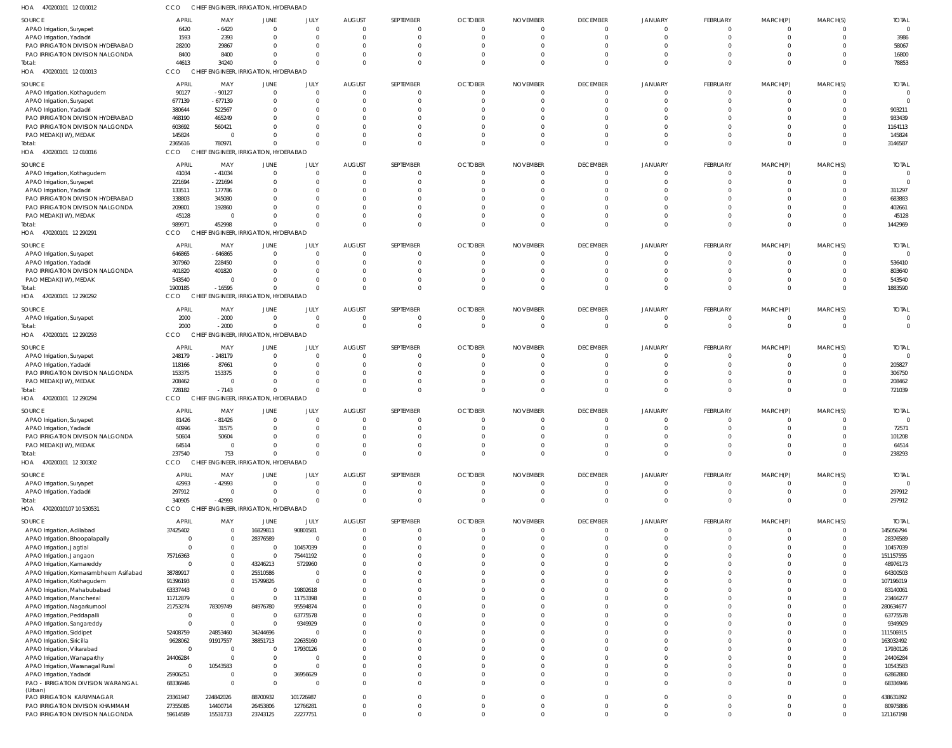| HOA<br>470200101 12 010012                                            | CCO                  |                            | CHIEF ENGINEER, IRRIGATION, HYDERABAD |                          |                           |                       |                            |                 |                            |                                  |                            |                      |                                  |                       |
|-----------------------------------------------------------------------|----------------------|----------------------------|---------------------------------------|--------------------------|---------------------------|-----------------------|----------------------------|-----------------|----------------------------|----------------------------------|----------------------------|----------------------|----------------------------------|-----------------------|
| SOURCE                                                                | <b>APRIL</b>         | MAY                        | JUNE                                  | JULY                     | <b>AUGUST</b>             | SEPTEMBER             | <b>OCTOBER</b>             | <b>NOVEMBER</b> | <b>DECEMBER</b>            | JANUARY                          | FEBRUARY                   | MARCH(P)             | MARCH(S)                         | <b>TOTAL</b>          |
| APAO Irrigation, Suryapet                                             | 6420                 | $-6420$                    | $\mathbf{0}$                          | $\overline{0}$           | $\Omega$                  | $\Omega$              | 0                          | 0               | $\overline{0}$             | 0                                | $\Omega$                   | $\Omega$             | $^{\circ}$                       |                       |
| APAO Irrigation, Yadadri                                              | 1593                 | 2393                       | $\Omega$                              | $\overline{0}$           | $\Omega$                  | $\Omega$              | $\Omega$                   |                 | $\Omega$                   | $\Omega$                         | $\Omega$                   | $\Omega$             | $\Omega$                         | 3986                  |
| PAO IRRIGATION DIVISION HYDERABAD                                     | 28200                | 29867                      | $\Omega$                              | $\Omega$                 | $\Omega$                  | $\Omega$              |                            |                 | $\Omega$                   | 0                                |                            |                      | C                                | 58067                 |
| PAO IRRIGATION DIVISION NALGONDA<br>Total:                            | 8400<br>44613        | 8400<br>34240              | $\Omega$<br>$\Omega$                  | $\Omega$<br>$\Omega$     | $\Omega$<br>$\Omega$      | $\Omega$<br>$\Omega$  |                            |                 | $\Omega$<br>$\Omega$       | $\Omega$<br>$\Omega$             | $\Omega$<br>$\Omega$       | $\Omega$<br>$\Omega$ | $\Omega$<br>$\Omega$             | 16800<br>78853        |
| HOA 470200101 12 010013                                               | CCO                  |                            | CHIEF ENGINEER, IRRIGATION, HYDERABAD |                          |                           |                       |                            |                 |                            |                                  |                            |                      |                                  |                       |
| SOURCE                                                                | <b>APRIL</b>         | MAY                        | JUNE                                  | JULY                     | <b>AUGUST</b>             | SEPTEMBER             | <b>OCTOBER</b>             | <b>NOVEMBER</b> | <b>DECEMBER</b>            | JANUARY                          | FEBRUARY                   | MARCH(P)             | MARCH(S)                         | <b>TOTAL</b>          |
| APAO Irrigation, Kothagudem                                           | 90127                | $-90127$                   | $\Omega$                              | $\Omega$                 | $\Omega$                  | $\Omega$              |                            |                 | $\Omega$                   | $\Omega$                         | $\Omega$                   |                      | $\Omega$                         |                       |
| APAO Irrigation, Suryapet                                             | 677139               | $-677139$                  | $\Omega$                              | $\Omega$                 | $\Omega$                  | $\Omega$              |                            |                 | $\Omega$                   | 0                                | $\Omega$                   | $\Omega$             | $\Omega$                         |                       |
| APAO Irrigation, Yadadri                                              | 380644               | 522567                     | $\Omega$                              | $\Omega$                 |                           | $\Omega$              |                            |                 | $\Omega$                   | $\Omega$                         |                            |                      | C                                | 903211                |
| PAO IRRIGATION DIVISION HYDERABAD<br>PAO IRRIGATION DIVISION NALGONDA | 468190<br>603692     | 465249<br>560421           | $\Omega$                              | $\Omega$<br>$\Omega$     |                           | $\Omega$<br>$\Omega$  |                            |                 | $\Omega$<br>$\Omega$       | -C<br>$\Omega$                   |                            |                      | C<br>$\Omega$                    | 933439<br>1164113     |
| PAO MEDAK(IW), MEDAK                                                  | 145824               | $\Omega$                   | $\Omega$                              | $\Omega$                 |                           | $\Omega$              |                            |                 | $\Omega$                   | $\Omega$                         | $\Omega$                   | $\Omega$             | $\Omega$                         | 145824                |
| Total:                                                                | 2365616              | 780971                     | $\Omega$                              | $\Omega$                 | $\Omega$                  | $\Omega$              |                            |                 | $\Omega$                   | $\Omega$                         | $\Omega$                   | $\Omega$             | $\Omega$                         | 3146587               |
| 470200101 12 010016<br>HOA                                            | CCO                  | CHIER                      | ENGINEER, IRRIGATION, HYDERABAD       |                          |                           |                       |                            |                 |                            |                                  |                            |                      |                                  |                       |
| SOURCE                                                                | APRIL                | MAY                        | JUNE                                  | <b>JULY</b>              | <b>AUGUST</b>             | SEPTEMBER             | <b>OCTOBER</b>             | <b>NOVEMBER</b> | <b>DECEMBER</b>            | JANUARY                          | FEBRUARY                   | MARCH(P)             | MARCH(S)                         | <b>TOTAL</b>          |
| APAO Irrigation, Kothagudem                                           | 41034                | $-41034$                   | $\mathbf{0}$                          | $\overline{0}$           | $\Omega$                  | $\Omega$              | 0                          |                 | $\overline{0}$             | $\Omega$                         | $\Omega$                   | $\Omega$             | $\Omega$                         |                       |
| APAO Irrigation, Suryapet                                             | 221694               | -221694                    | $\Omega$<br>$\Omega$                  | $\Omega$<br>$\Omega$     | $\Omega$<br>$\Omega$      | $\Omega$<br>$\Omega$  |                            |                 | $\Omega$<br>$\Omega$       | $\Omega$                         | $\Omega$                   | $\Omega$             | $\Omega$<br>C                    |                       |
| APAO Irrigation, Yadadri<br>PAO IRRIGATION DIVISION HYDERABAD         | 133511<br>338803     | 177786<br>345080           | $\Omega$                              | $\Omega$                 | $\Omega$                  | $\Omega$              |                            |                 | $\Omega$                   | 0<br>$\Omega$                    |                            |                      | C                                | 311297<br>683883      |
| PAO IRRIGATION DIVISION NALGONDA                                      | 209801               | 192860                     | $\Omega$                              | $\Omega$                 | $\Omega$                  | $\Omega$              |                            |                 | $\Omega$                   | $\Omega$                         |                            | $\Omega$             | $\Omega$                         | 402661                |
| PAO MEDAK(IW), MEDAK                                                  | 45128                | $\overline{\mathbf{0}}$    | $\Omega$                              | $\Omega$                 | $\Omega$                  | $\Omega$              |                            |                 | $\Omega$                   | $\Omega$                         | $\Omega$                   | $\Omega$             | $\overline{0}$                   | 45128                 |
| Total:                                                                | 989971               | 452998                     | $\Omega$                              | $\Omega$                 | $\Omega$                  | $\Omega$              |                            |                 | $\Omega$                   | $\Omega$                         | $\Omega$                   | $\Omega$             | $\Omega$                         | 1442969               |
| HOA 470200101 12 290291                                               | CCO                  |                            | CHIEF ENGINEER, IRRIGATION, HYDERABAD |                          |                           |                       |                            |                 |                            |                                  |                            |                      |                                  |                       |
| SOURCE                                                                | APRIL                | MAY                        | JUNE                                  | JULY                     | <b>AUGUST</b>             | SEPTEMBER             | <b>OCTOBER</b>             | <b>NOVEMBER</b> | <b>DECEMBER</b>            | JANUARY                          | FEBRUARY                   | MARCH(P)             | MARCH(S)                         | <b>TOTAL</b>          |
| APAO Irrigation, Suryapet                                             | 646865               | $-646865$                  | $\Omega$                              | $\Omega$                 | $\Omega$                  | $\Omega$              | 0                          |                 | $\overline{0}$             | $\Omega$                         | $\Omega$                   | $\Omega$             | $\Omega$                         |                       |
| APAO Irrigation, Yadadri<br>PAO IRRIGATION DIVISION NALGONDA          | 307960<br>401820     | 228450<br>401820           | $\Omega$<br>$\Omega$                  | $\Omega$<br>$\Omega$     | $\Omega$                  | $\Omega$<br>$\Omega$  |                            |                 | $\Omega$<br>$\Omega$       | $\Omega$<br>0                    | $\Omega$                   | $\Omega$<br>$\Omega$ | $\Omega$<br>C                    | 536410<br>803640      |
| PAO MEDAK(IW), MEDAK                                                  | 543540               | $\Omega$                   | $\Omega$                              | $\Omega$                 | $\Omega$                  | $\Omega$              |                            |                 | $\Omega$                   | $\Omega$                         | $\Omega$                   | $\Omega$             | $\Omega$                         | 543540                |
| Total:                                                                | 1900185              | $-16595$                   | $\Omega$                              | $\Omega$                 | $\Omega$                  | $\Omega$              |                            |                 | $\Omega$                   | $\Omega$                         | $\Omega$                   | $\Omega$             | $\Omega$                         | 1883590               |
| HOA 470200101 12 290292                                               | CCO                  |                            | CHIEF ENGINEER, IRRIGATION, HYDERABAD |                          |                           |                       |                            |                 |                            |                                  |                            |                      |                                  |                       |
| SOURCE                                                                | APRIL                | MAY                        | JUNE                                  | JULY                     | <b>AUGUST</b>             | SEPTEMBER             | <b>OCTOBER</b>             | <b>NOVEMBER</b> | <b>DECEMBER</b>            | <b>JANUARY</b>                   | FEBRUARY                   | MARCH(P)             | MARCH(S)                         | <b>TOTAL</b>          |
| APAO Irrigation, Suryapet                                             | 2000                 | $-2000$                    | $\overline{0}$                        | $\overline{0}$           | $\overline{0}$            | $\Omega$              | 0                          |                 | - 0                        | 0                                | $\overline{0}$             | $\Omega$             | $^{\circ}$                       |                       |
| Total:                                                                | 2000                 | $-2000$                    | $\mathbf 0$                           | $\mathbf 0$              | $\Omega$                  | $\Omega$              | $\Omega$                   | $\Omega$        | $\overline{0}$             | $\Omega$                         | $\Omega$                   | $\Omega$             | $\overline{0}$                   | $\overline{0}$        |
| HOA 470200101 12 290293                                               | CCO                  |                            | CHIEF ENGINEER, IRRIGATION, HYDERABAD |                          |                           |                       |                            |                 |                            |                                  |                            |                      |                                  |                       |
| SOURCE                                                                | APRIL                | MAY                        | <b>JUNE</b>                           | JULY                     | <b>AUGUST</b>             | SEPTEMBER             | <b>OCTOBER</b>             | <b>NOVEMBER</b> | <b>DECEMBER</b>            | JANUARY                          | FEBRUARY                   | MARCH(P)             | MARCH(S)                         | <b>TOTAL</b>          |
| APAO Irrigation, Suryapet                                             | 248179               | $-248179$                  | $\Omega$                              | $\Omega$                 | $\Omega$                  | $\Omega$              | 0                          |                 | $\Omega$                   | $\Omega$                         | $\Omega$                   | $\Omega$             | $\Omega$                         |                       |
| APAO Irrigation, Yadadri<br>PAO IRRIGATION DIVISION NALGONDA          | 118166<br>153375     | 87661<br>153375            | $\Omega$<br>$\Omega$                  | $\Omega$<br>$\Omega$     | $\Omega$<br>$\Omega$      | $\Omega$<br>$\Omega$  |                            |                 | $\Omega$<br>$\Omega$       | $\Omega$<br>0                    | $\Omega$                   | $\Omega$<br>$\Omega$ | $\Omega$<br>$\Omega$             | 205827<br>306750      |
| PAO MEDAK(IW), MEDAK                                                  | 208462               | $\Omega$                   | $\Omega$                              | $\Omega$                 | $\Omega$                  | $\Omega$              |                            |                 | $\Omega$                   | $\Omega$                         | $\Omega$                   | $\Omega$             | $\Omega$                         | 208462                |
| Total:                                                                | 728182               | $-7143$                    | $\Omega$                              | $\Omega$                 | $\Omega$                  | $\Omega$              | $\Omega$                   |                 | $\Omega$                   | $\Omega$                         | $\Omega$                   | $\Omega$             | $\Omega$                         | 721039                |
| HOA 470200101 12 290294                                               | CCO                  |                            | CHIEF ENGINEER, IRRIGATION, HYDERABAD |                          |                           |                       |                            |                 |                            |                                  |                            |                      |                                  |                       |
| SOURCE                                                                | APRIL                | MAY                        | JUNE                                  | JULY                     | <b>AUGUST</b>             | SEPTEMBER             | <b>OCTOBER</b>             | <b>NOVEMBER</b> | <b>DECEMBER</b>            | JANUARY                          | FEBRUARY                   | MARCH(P)             | MARCH(S)                         | <b>TOTAL</b>          |
| APAO Irrigation, Suryapet                                             | 81426                | $-81426$                   | $\overline{0}$                        | $\overline{0}$           | $\Omega$                  | $\Omega$              | 0                          | $\Omega$        | $\Omega$                   | $\Omega$                         | $\Omega$                   | $\Omega$             | $\Omega$                         |                       |
| APAO Irrigation, Yadadri                                              | 40996                | 31575                      | $\Omega$<br>$\Omega$                  | $\Omega$<br>$\Omega$     | $\Omega$<br>$\Omega$      | $\Omega$<br>$\Omega$  |                            |                 |                            |                                  |                            |                      | $\Omega$                         | 72571                 |
| PAO IRRIGATION DIVISION NALGONDA<br>PAO MEDAK(IW), MEDAK              | 50604<br>64514       | 50604<br>$\overline{0}$    | $\Omega$                              | $\overline{0}$           | $\Omega$                  | $\Omega$              | $\Omega$                   |                 | $\Omega$<br>$\overline{0}$ | $\Omega$<br>$\Omega$             | $\Omega$<br>$\overline{0}$ | $\Omega$<br>$\Omega$ | $\overline{0}$                   | 101208<br>64514       |
| Total:                                                                | 237540               | 753                        | $\Omega$                              | $\mathbf{0}$             | $\Omega$                  | $\Omega$              | $\Omega$                   | $\Omega$        | $\Omega$                   | $\Omega$                         | $\Omega$                   | $\Omega$             | $\Omega$                         | 238293                |
| HOA 470200101 12 300302                                               | CCO                  |                            | CHIEF ENGINEER, IRRIGATION, HYDERABAD |                          |                           |                       |                            |                 |                            |                                  |                            |                      |                                  |                       |
| SOURCE                                                                | <b>APRIL</b>         | MAY                        | JUNE                                  | JULY                     | <b>AUGUST</b>             | SEPTEMBER             | <b>OCTOBER</b>             | <b>NOVEMBER</b> | <b>DECEMBER</b>            | <b>JANUARY</b>                   | FEBRUARY                   | MARCH(P)             | MARCH(S)                         | <b>TOTAL</b>          |
| APAO Irrigation, Suryapet                                             | 42993                | $-42993$                   | $\Omega$                              | $\Omega$                 | $\Omega$                  | $\Omega$              |                            |                 | $\Omega$                   | $\Omega$                         | $\Omega$                   | - 0                  | $\Omega$                         |                       |
| APAO Irrigation, Yadadri                                              | 297912               | $\overline{0}$             | $\Omega$                              | $\Omega$                 | $\Omega$                  | $\Omega$              | $\Omega$                   |                 | $\overline{0}$             | $\Omega$                         | $\overline{0}$             | $\Omega$             | $\overline{0}$                   | 297912                |
| Total:                                                                | 340905               | $-42993$                   | $\Omega$                              | $\Omega$                 | $\Omega$                  | $\Omega$              | $\Omega$                   |                 | $\Omega$                   | $\Omega$                         | $\Omega$                   | $\Omega$             | $\Omega$                         | 297912                |
| 47020010107 10 530531<br>HOA                                          | CCO                  |                            | CHIEF ENGINEER, IRRIGATION, HYDERABAD |                          |                           |                       |                            |                 |                            |                                  |                            |                      |                                  |                       |
| SOURCE                                                                | <b>APRIL</b>         | MAY                        | JUNE                                  | JULY                     | <b>AUGUST</b><br>$\Omega$ | SEPTEMBER<br>$\Omega$ | <b>OCTOBER</b><br>$\Omega$ | <b>NOVEMBER</b> | <b>DECEMBER</b>            | <b>JANUARY</b><br>$\overline{0}$ | FEBRUARY<br>$\Omega$       | MARCH(P)<br>$\Omega$ | MARCH(S)                         | <b>TOTAL</b>          |
| APAO Irrigation, Adilabad<br>APAO Irrigation, Bhoopalapally           | 37425402<br>$\Omega$ | $\overline{0}$<br>$\Omega$ | 16829811<br>28376589                  | 90801581<br>$\mathbf 0$  | $\Omega$                  | $\Omega$              | 0                          | 0               | $\overline{0}$<br>0        | $\Omega$                         | $\Omega$                   | $\Omega$             | $\overline{0}$<br>$\overline{0}$ | 145056794<br>28376589 |
| APAO Irrigation, Jagtial                                              |                      | $\Omega$                   | $\mathbf{0}$                          | 10457039                 | $\Omega$                  | $\Omega$              |                            |                 | $\Omega$                   | $\Omega$                         | $\Omega$                   | $\Omega$             | $\Omega$                         | 10457039              |
| APAO Irrigation, Jangaon                                              | 75716363             | $^{\circ}$                 | $\overline{0}$                        | 75441192                 | $\Omega$                  | $\Omega$              |                            |                 | $\Omega$                   | $\Omega$                         | $\Omega$                   | $\Omega$             | $\Omega$                         | 151157555             |
| APAO Irrigation, Kamareddy                                            | $\Omega$             | $\Omega$                   | 43246213                              | 5729960                  | $\Omega$                  | $\Omega$              |                            |                 | $\Omega$                   | $\Omega$                         | $\Omega$                   | $\Omega$             | C                                | 48976173              |
| APAO Irrigation, Komarambheem Asifabad                                | 38789917             | $\Omega$                   | 25510586                              | $\overline{0}$           | $\Omega$                  | $\Omega$              |                            |                 | $\Omega$                   | $\Omega$                         | $\Omega$                   | $\Omega$             | $\Omega$                         | 64300503              |
| APAO Irrigation, Kothagudem<br>APAO Irrigation, Mahabubabad           | 91396193<br>63337443 | $\Omega$<br>$\Omega$       | 15799826<br>$\overline{0}$            | $\mathbf{0}$<br>19802618 | $\Omega$<br>$\Omega$      | $\Omega$<br>$\Omega$  |                            |                 | $\Omega$<br>$\Omega$       | $\Omega$<br>$\Omega$             | $\Omega$                   | $\Omega$<br>$\Omega$ | C<br>$\Omega$                    | 107196019<br>83140061 |
| APAO Irrigation, Mancherial                                           | 11712879             | $\Omega$                   | $\mathbf 0$                           | 11753398                 | $\Omega$                  | $\Omega$              |                            |                 | $\Omega$                   | $\Omega$                         | $\Omega$                   | $\Omega$             | $\Omega$                         | 23466277              |
| APAO Irrigation, Nagarkurnool                                         | 21753274             | 78309749                   | 84976780                              | 95594874                 | $\Omega$                  | $\Omega$              |                            |                 | $\Omega$                   | $\Omega$                         |                            | $\Omega$             | $\Omega$                         | 280634677             |
| APAO Irrigation, Peddapalli                                           | - 0                  | $\overline{0}$             | $\overline{0}$                        | 63775578                 | $\Omega$                  | $\Omega$              |                            |                 | $\Omega$                   | $\Omega$                         | $\Omega$                   | $\Omega$             | C                                | 63775578              |
| APAO Irrigation, Sangareddy                                           | - 0                  | $\Omega$                   | $\overline{0}$                        | 9349929                  | $\Omega$                  | $\Omega$              |                            |                 | $\Omega$                   | $\Omega$                         | $\Omega$                   | $\Omega$             | $\Omega$                         | 9349929               |
| APAO Irrigation, Siddipet                                             | 52408759             | 24853460                   | 34244696                              | $\overline{0}$           | $\Omega$<br>$\Omega$      | $\Omega$              |                            |                 | $\Omega$                   | $\Omega$                         | $\Omega$<br>$\Omega$       | $\Omega$<br>$\Omega$ | $\Omega$                         | 111506915             |
| APAO Irrigation, Siricilla<br>APAO Irrigation, Vikarabad              | 9628062<br>$\Omega$  | 91917557<br>$\overline{0}$ | 38851713<br>$\mathbf{0}$              | 22635160<br>17930126     | $\Omega$                  | $\Omega$<br>$\Omega$  |                            |                 | $\Omega$<br>$\Omega$       | $\Omega$<br>$\Omega$             | $\Omega$                   | $\Omega$             | $\Omega$<br>$\Omega$             | 163032492<br>17930126 |
| APAO Irrigation, Wanaparthy                                           | 24406284             | $\Omega$                   | $\mathbf{0}$                          | 0                        | $\Omega$                  | $\Omega$              |                            |                 | $\Omega$                   | $\Omega$                         |                            | $\Omega$             | $\Omega$                         | 24406284              |
| APAO Irrigation, Waranagal Rural                                      | $\Omega$             | 10543583                   | $\mathbf 0$                           | $\mathbf{0}$             | $\Omega$                  | $\Omega$              |                            |                 | $\Omega$                   | $\Omega$                         | $\Omega$                   | $\Omega$             | $\Omega$                         | 10543583              |
| APAO Irrigation, Yadadri                                              | 25906251             | $\Omega$                   | $\mathbf 0$                           | 36956629                 | $\Omega$                  | $\Omega$              | $\Omega$                   |                 | $\Omega$                   | $\Omega$                         | $\Omega$                   | $\Omega$             | $\Omega$                         | 62862880              |
| PAO - IRRIGATION DIVISION WARANGAL<br>(Urban)                         | 68336946             | $\Omega$                   | $\mathbf{0}$                          | $\overline{0}$           | $\Omega$                  | $\Omega$              | $\Omega$                   |                 | $\Omega$                   | $\Omega$                         | $\Omega$                   | $\Omega$             | $\Omega$                         | 68336946              |
| PAO IRRIGATION KARIMNAGAR                                             | 23361947             | 224842026                  | 88700932                              | 101726987                | $\Omega$                  | $\Omega$              | 0                          | 0               | $\Omega$                   | $\Omega$                         | $\Omega$                   | $\Omega$             | $\Omega$                         | 438631892             |
| PAO IRRIGATION DIVISION KHAMMAM                                       | 27355085             | 14400714                   | 26453806                              | 12766281                 | $\Omega$                  | $\Omega$              | $\Omega$                   | $\Omega$        | $\overline{0}$             | $\Omega$                         | $\overline{0}$             | $\Omega$             | $\Omega$                         | 80975886              |
| PAO IRRIGATION DIVISION NALGONDA                                      | 59614589             | 15531733                   | 23743125                              | 22277751                 | $\mathbf 0$               | $\Omega$              | $\Omega$                   | $\Omega$        | $\Omega$                   | $\Omega$                         | $\Omega$                   | $\Omega$             | $\Omega$                         | 121167198             |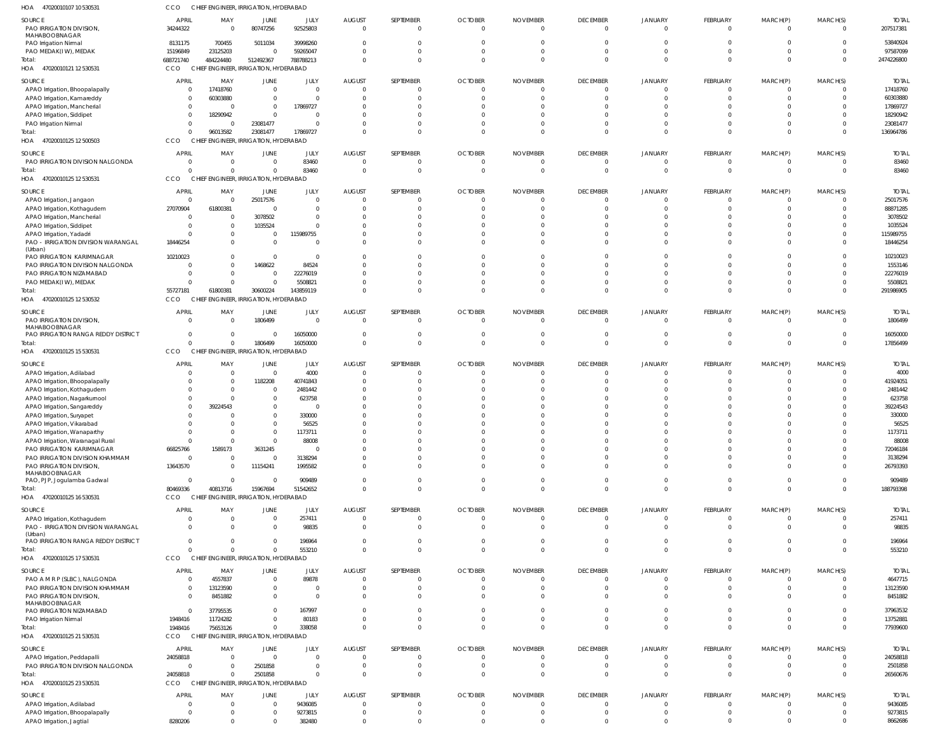| HOA<br>47020010107 10 530531                                      | CCO                            | CHIEF ENGINEER, IRRIGATION, HYDERABAD |                                 |                  |                               |                             |                            |                             |                                   |                                  |                             |                 |                            |                        |
|-------------------------------------------------------------------|--------------------------------|---------------------------------------|---------------------------------|------------------|-------------------------------|-----------------------------|----------------------------|-----------------------------|-----------------------------------|----------------------------------|-----------------------------|-----------------|----------------------------|------------------------|
| SOURCE                                                            | <b>APRIL</b>                   | MAY                                   | JUNE                            | JULY             | <b>AUGUST</b>                 | SEPTEMBER                   | <b>OCTOBER</b>             | <b>NOVEMBER</b>             | <b>DECEMBER</b>                   | <b>JANUARY</b>                   | <b>FEBRUARY</b>             | MARCH(P)        | MARCH(S)                   | <b>TOTAI</b>           |
| PAO IRRIGATION DIVISION,                                          | 34244322                       | $\Omega$                              | 80747256                        | 92525803         | $\Omega$                      | $\overline{0}$              | $\Omega$                   | $\Omega$                    | $\overline{0}$                    | $\overline{0}$                   | $\Omega$                    | $\Omega$        | $\overline{0}$             | 207517381              |
| MAHABOOBNAGAR                                                     |                                |                                       |                                 |                  |                               |                             |                            |                             |                                   |                                  |                             |                 |                            |                        |
| PAO Irrigation Nirmal                                             | 8131175                        | 700455                                | 5011034                         | 39998260         | $\Omega$                      | $\mathbf 0$                 | $\Omega$                   |                             | $\Omega$                          | $\Omega$                         | $\Omega$                    | $\Omega$        | $\Omega$                   | 53840924               |
| PAO MEDAK(IW), MEDAK                                              | 15196849                       | 23125203                              | $\mathbf{0}$                    | 59265047         | $\Omega$                      | $\mathbf 0$                 | $\Omega$                   | $\Omega$                    | $\Omega$                          | $\Omega$                         | $\Omega$                    | $\Omega$        | $\overline{0}$             | 97587099               |
| Total:                                                            | 688721740                      | 484224480                             | 512492367                       | 788788213        | $\Omega$                      | $\Omega$                    | $\Omega$                   | $\Omega$                    | $\Omega$                          | $\Omega$                         | $\Omega$                    | $\Omega$        | $\Omega$                   | 2474226800             |
| HOA 47020010121 12 530531                                         | <b>CCO</b>                     | CHIEF ENGINEER, IRRIGATION, HYDERABAD |                                 |                  |                               |                             |                            |                             |                                   |                                  |                             |                 |                            |                        |
| SOURCE                                                            | <b>APRIL</b>                   | MAY                                   | JUNE                            | JULY             | <b>AUGUST</b>                 | SEPTEMBER                   | <b>OCTOBER</b>             | <b>NOVEMBER</b>             | <b>DECEMBER</b>                   | <b>JANUARY</b>                   | <b>FEBRUARY</b>             | MARCH(P)        | MARCH(S)                   | <b>TOTAL</b>           |
| APAO Irrigation, Bhoopalapally                                    | $\overline{0}$                 | 17418760                              | $\overline{0}$                  | $\mathbf 0$      | $\Omega$                      | $\mathbf{0}$                |                            | $\Omega$                    | $\overline{0}$                    | $\overline{0}$                   | $\Omega$                    | $\Omega$        | $\overline{0}$             | 17418760               |
| APAO Irrigation, Kamareddy                                        | $\Omega$                       | 60303880                              | 0                               | $\mathbf{0}$     | $\Omega$                      | $\mathbf 0$                 |                            |                             | $\overline{0}$                    | $\Omega$                         | $\Omega$                    | $\Omega$        | $\circ$                    | 60303880               |
| APAO Irrigation, Mancherial                                       | $\overline{0}$                 |                                       | $\Omega$                        | 17869727         |                               | $\mathbf 0$                 |                            |                             | $\Omega$                          | $\Omega$                         | $\Omega$                    | $\Omega$        | $\Omega$                   | 17869727               |
| APAO Irrigation, Siddipet                                         | $\overline{0}$                 | 18290942                              | $\Omega$                        | 0                |                               | $\mathbf 0$                 |                            |                             | $\Omega$                          | $\Omega$                         | $\cap$                      | $\Omega$        | $\Omega$                   | 18290942               |
| PAO Irrigation Nirmal                                             | $\overline{0}$                 | - 0                                   | 23081477                        | $\Omega$         |                               | $\mathbf 0$                 | 0                          |                             | $\Omega$                          | $\Omega$                         | $\Omega$                    | $\Omega$        | $\Omega$                   | 23081477               |
| Total:                                                            | $\Omega$                       | 96013582                              | 23081477                        | 17869727         | 0                             | $\Omega$                    | $\Omega$                   | $\Omega$                    | $\Omega$                          | $\Omega$                         | $\Omega$                    | $\Omega$        | $\Omega$                   | 136964786              |
| HOA 47020010125 12 500503                                         | <b>CCO</b>                     | <b>CHIEF</b>                          | ENGINEER, IRRIGATION, HYDERABAD |                  |                               |                             |                            |                             |                                   |                                  |                             |                 |                            |                        |
| SOURCE                                                            | <b>APRIL</b>                   | MAY                                   | JUNE                            | JULY             | <b>AUGUST</b>                 | SEPTEMBER                   | <b>OCTOBER</b>             | <b>NOVEMBER</b>             | <b>DECEMBER</b>                   | <b>JANUARY</b>                   | <b>FEBRUARY</b>             | MARCH(P)        | MARCH(S)                   | <b>TOTAL</b>           |
| PAO IRRIGATION DIVISION NALGONDA                                  | $\overline{0}$                 | $\Omega$                              | $\Omega$                        | 83460            | $\Omega$                      | $\overline{0}$              | $\Omega$                   | $\Omega$                    | $\overline{0}$                    | $\Omega$                         | $\Omega$                    | $\Omega$        | $\overline{0}$             | 83460                  |
| Total:                                                            | $\Omega$                       | -C                                    | $\Omega$                        | 83460            | $\Omega$                      | $\mathbf{0}$                | $\Omega$                   | $\Omega$                    | $\overline{0}$                    | $\Omega$                         | $\Omega$                    | $\mathbf{0}$    | $\overline{0}$             | 83460                  |
| HOA 47020010125 12 530531                                         | CCO                            | CHIEF ENGINEER, IRRIGATION, HYDERABAD |                                 |                  |                               |                             |                            |                             |                                   |                                  |                             |                 |                            |                        |
| SOURCE                                                            | <b>APRIL</b>                   | MAY                                   | JUNE                            | JULY             | <b>AUGUST</b>                 | SEPTEMBER                   | <b>OCTOBER</b>             | <b>NOVEMBER</b>             | <b>DECEMBER</b>                   | <b>JANUARY</b>                   | <b>FEBRUARY</b>             | MARCH(P)        | MARCH(S)                   | <b>TOTAL</b>           |
| APAO Irrigation, Jangaon                                          | $\overline{0}$                 | - 0                                   | 25017576                        | $\mathbf{0}$     |                               | $\mathbf{0}$                |                            |                             | $\overline{0}$                    | $\circ$                          | - 0                         | - 0             | $\overline{0}$             | 25017576               |
| APAO Irrigation, Kothagudem                                       | 27070904                       | 61800381                              | $\Omega$                        | $\Omega$         |                               | $\mathbf 0$                 |                            |                             | $\overline{0}$                    | $\Omega$                         | $\Omega$                    | $\Omega$        | $\Omega$                   | 88871285               |
| APAO Irrigation, Mancherial                                       | $\overline{0}$                 |                                       | 3078502                         | $\Omega$         |                               | $\Omega$                    |                            |                             | $\Omega$                          | n                                | $\cap$                      | $\cap$          | $\Omega$                   | 3078502                |
| APAO Irrigation, Siddipet                                         | $\circ$                        |                                       | 1035524                         | $\Omega$         |                               | $\mathbf 0$                 |                            |                             | $\Omega$                          | $\Omega$                         | $\Omega$                    | $\Omega$        | $\Omega$                   | 1035524                |
| APAO Irrigation, Yadadri                                          | $\Omega$                       |                                       | $\Omega$                        | 115989755        |                               | $\mathbf 0$                 |                            |                             | $\Omega$                          | $\Omega$                         | $\Omega$                    | $\Omega$        | $\overline{0}$             | 115989755              |
| PAO - IRRIGATION DIVISION WARANGAL                                | 18446254                       |                                       | $\Omega$                        | $\overline{0}$   |                               | $\mathbf 0$                 |                            |                             | $\Omega$                          | $\Omega$                         | $\Omega$                    | $\Omega$        | $\Omega$                   | 18446254               |
| (Urban)<br>PAO IRRIGATION KARIMNAGAR                              | 10210023                       |                                       | $\mathbf{0}$                    | $\mathbf{0}$     |                               | $\mathbf 0$                 |                            |                             | $\Omega$                          | $\Omega$                         | $\Omega$                    | $\Omega$        | $\overline{0}$             | 10210023               |
| PAO IRRIGATION DIVISION NALGONDA                                  | $\Omega$                       |                                       | 1468622                         | 84524            |                               | $\Omega$                    |                            |                             | $\Omega$                          | $\Omega$                         | $\cap$                      | $\cap$          | $\Omega$                   | 1553146                |
| PAO IRRIGATION NIZAMABAD                                          | $\circ$                        |                                       | $\overline{\mathbf{0}}$         | 22276019         |                               | $\Omega$                    |                            |                             | $\Omega$                          | $\Omega$                         | $\Omega$                    | $\Omega$        | $\overline{0}$             | 22276019               |
| PAO MEDAK(IW), MEDAK                                              | $\Omega$                       |                                       | 0                               | 5508821          |                               | $\mathbf 0$                 |                            |                             | $\Omega$                          | $\Omega$                         | $\Omega$                    | $\Omega$        | $\Omega$                   | 5508821                |
| Total:                                                            | 55727181                       | 61800381                              | 30600224                        | 143859119        | <sup>0</sup>                  | $\Omega$                    | $\Omega$                   | $\Omega$                    | $\Omega$                          | $\Omega$                         | $\Omega$                    | $\Omega$        | $\Omega$                   | 291986905              |
| HOA 47020010125 12 530532                                         | CCO                            | CHIEF ENGINEER, IRRIGATION, HYDERABAD |                                 |                  |                               |                             |                            |                             |                                   |                                  |                             |                 |                            |                        |
|                                                                   |                                |                                       |                                 |                  |                               |                             |                            |                             |                                   |                                  |                             |                 |                            |                        |
| SOURCE                                                            | <b>APRIL</b>                   | MAY                                   | JUNE                            | JULY<br>$\Omega$ | <b>AUGUST</b>                 | SEPTEMBER                   | <b>OCTOBER</b>             | <b>NOVEMBER</b><br>$\Omega$ | <b>DECEMBER</b>                   | <b>JANUARY</b>                   | <b>FEBRUARY</b>             | MARCH(P)        | MARCH(S)                   | <b>TOTAL</b>           |
| PAO IRRIGATION DIVISION,<br>MAHABOOBNAGAR                         | $\overline{0}$                 | - 0                                   | 1806499                         |                  | $\Omega$                      | $\overline{0}$              | $\Omega$                   |                             | $\overline{0}$                    | $\overline{0}$                   | $\Omega$                    | $\Omega$        | $\overline{0}$             | 1806499                |
| PAO IRRIGATION RANGA REDDY DISTRICT                               | $\overline{0}$                 | - 0                                   | $\Omega$                        | 16050000         | $\Omega$                      | $\overline{0}$              | $\Omega$                   |                             | $\overline{0}$                    | $\circ$                          | - 0                         | $\mathbf 0$     | - 0                        | 16050000               |
| Total:                                                            | $\Omega$                       |                                       | 1806499                         | 16050000         | $\Omega$                      | $\mathbf{0}$                | $\Omega$                   | $\Omega$                    | $\overline{0}$                    | $\overline{0}$                   | $\Omega$                    | $\Omega$        | $\overline{0}$             | 17856499               |
| HOA 47020010125 15 530531                                         | CCO                            | CHIEF ENGINEER, IRRIGATION, HYDERABAD |                                 |                  |                               |                             |                            |                             |                                   |                                  |                             |                 |                            |                        |
| SOURCE                                                            | <b>APRIL</b>                   | MAY                                   | JUNE                            | JULY             | <b>AUGUST</b>                 | SEPTEMBER                   | <b>OCTOBER</b>             | <b>NOVEMBER</b>             | <b>DECEMBER</b>                   | <b>JANUARY</b>                   | <b>FEBRUARY</b>             | MARCH(P)        | MARCH(S)                   | <b>TOTAL</b>           |
| APAO Irrigation, Adilabad                                         | $\circ$                        |                                       | $\overline{0}$                  | 4000             | $\Omega$                      | $\mathbf{0}$                |                            |                             | $\overline{0}$                    | $\overline{0}$                   | $\Omega$                    | $\Omega$        | $\overline{0}$             | 4000                   |
| APAO Irrigation, Bhoopalapally                                    | $\Omega$                       |                                       | 1182208                         | 40741843         |                               | $\mathbf 0$                 |                            |                             | $\Omega$                          | $\Omega$                         | $\Omega$                    | $\Omega$        | $\overline{0}$             | 41924051               |
| APAO Irrigation, Kothagudem                                       | $\Omega$                       |                                       | 0                               | 2481442          |                               | $\Omega$                    |                            |                             | $\Omega$                          |                                  | $\cap$                      | $\cap$          | $\Omega$                   | 2481442                |
| APAO Irrigation, Nagarkurnool                                     | $\Omega$                       |                                       | 0                               | 623758           |                               | $\Omega$                    |                            |                             | $\Omega$                          | n                                | $\cap$                      | $\Omega$        | $\Omega$                   | 623758                 |
| APAO Irrigation, Sangareddy                                       | $\overline{0}$                 | 39224543                              | 0                               | 0                |                               | $\Omega$                    |                            |                             | $\Omega$                          | $\Omega$                         | $\cap$                      | $\Omega$        | $\Omega$                   | 39224543               |
| APAO Irrigation, Suryapet                                         | $\Omega$                       |                                       | 0                               | 330000           |                               | $\Omega$                    |                            |                             | $\Omega$                          | $\Omega$                         | $\Omega$                    | $\cap$          | $\Omega$                   | 330000                 |
| APAO Irrigation, Vikarabad                                        | $\Omega$                       |                                       | $\Omega$                        | 56525            |                               | $\Omega$                    |                            |                             | $\Omega$                          | $\Omega$                         | $\cap$                      | $\cap$          | $\Omega$                   | 56525                  |
| APAO Irrigation, Wanaparthy                                       |                                |                                       | 0                               | 1173711          |                               | 0                           |                            |                             |                                   |                                  |                             |                 |                            | 117371                 |
| APAO Irrigation, Waranagal Rural                                  | $\overline{0}$                 |                                       | $\Omega$                        | 88008            |                               | $\mathbf 0$                 |                            |                             | $\Omega$                          | $\Omega$                         | $\Omega$                    | $\cap$          | $\Omega$                   | 88008                  |
| PAO IRRIGATION KARIMNAGAR                                         | 66825766                       | 1589173                               | 3631245                         | $\overline{0}$   |                               | $\mathbf 0$                 | $\Omega$                   | <sup>0</sup>                | $\Omega$                          | $\Omega$                         | $\Omega$                    | $\Omega$        | $\Omega$                   | 72046184               |
| PAO IRRIGATION DIVISION KHAMMAM                                   | $\overline{0}$                 |                                       | $\Omega$                        | 3138294          |                               | $\mathbf 0$                 | <sup>0</sup>               | <sup>0</sup>                | $\Omega$                          | $\Omega$                         | $\Omega$                    | $\Omega$        | $\Omega$                   | 3138294                |
| PAO IRRIGATION DIVISION,<br>MAHABOOBNAGAR                         | 13643570                       |                                       | 11154241                        | 1995582          | <sup>0</sup>                  | $\Omega$                    | $\Omega$                   | U                           | $\Omega$                          | $\Omega$                         | $\Omega$                    | $\Omega$        | $\Omega$                   | 26793393               |
| PAO, PJP, Jogulamba Gadwal                                        | $\overline{0}$                 | -C                                    | $\Omega$                        | 909489           | $\Omega$                      | $\mathbf 0$                 | $\Omega$                   | $\Omega$                    | $\Omega$                          | $\Omega$                         | $\Omega$                    | $\Omega$        | $\Omega$                   | 909489                 |
| Total:                                                            | 80469336                       | 40813716                              | 15967694                        | 51542652         | $\Omega$                      | $\mathbf{0}$                | $\Omega$                   | $\Omega$                    | $\overline{0}$                    | $\overline{0}$                   | $\Omega$                    | $\Omega$        | $\overline{0}$             | 188793398              |
| HOA 47020010125 16 530531                                         | CCO                            | CHIEF ENGINEER, IRRIGATION, HYDERABAD |                                 |                  |                               |                             |                            |                             |                                   |                                  |                             |                 |                            |                        |
|                                                                   |                                |                                       |                                 |                  |                               |                             |                            |                             |                                   |                                  |                             |                 |                            |                        |
| <b>SOURCE</b>                                                     | <b>APRIL</b><br>$\overline{0}$ | MAY<br>$\Omega$                       | JUNE<br>$\mathbf{0}$            | JULY<br>257411   | <b>AUGUST</b><br>$\mathbf{0}$ | SEPTEMBER<br>$\overline{0}$ | <b>OCTOBER</b><br>$\Omega$ | <b>NOVEMBER</b><br>$\Omega$ | <b>DECEMBER</b><br>$\overline{0}$ | <b>JANUARY</b><br>$\overline{0}$ | <b>FEBRUARY</b><br>$\Omega$ | MARCH(P)<br>- 0 | MARCH(S)<br>$\overline{0}$ | <b>TOTAL</b><br>257411 |
| APAO Irrigation, Kothagudem<br>PAO - IRRIGATION DIVISION WARANGAL | $\Omega$                       |                                       | $\Omega$                        | 98835            | $\Omega$                      | $\overline{0}$              | $\Omega$                   | $\Omega$                    | $\overline{0}$                    | $\Omega$                         | $\Omega$                    | $\Omega$        | $\overline{0}$             | 98835                  |
| (Urban)                                                           |                                |                                       |                                 |                  |                               |                             |                            |                             |                                   |                                  |                             |                 |                            |                        |
| PAO IRRIGATION RANGA REDDY DISTRICT                               | $\overline{0}$                 |                                       | $\Omega$                        | 196964           | $\Omega$                      | $\mathbf 0$                 | $\Omega$                   | $\Omega$                    | $\overline{0}$                    | $\overline{0}$                   | $\Omega$                    | $\Omega$        | $\overline{0}$             | 196964                 |
| Total:                                                            | $\Omega$                       |                                       | $\mathbf 0$                     | 553210           | $\Omega$                      | $\mathbf 0$                 | $\Omega$                   | $\Omega$                    | $\Omega$                          | $\Omega$                         | $\Omega$                    | $\Omega$        | $\overline{0}$             | 553210                 |
| HOA 47020010125 17 530531                                         | CCO                            | CHIEF ENGINEER, IRRIGATION, HYDERABAD |                                 |                  |                               |                             |                            |                             |                                   |                                  |                             |                 |                            |                        |
| <b>SOURCE</b>                                                     | <b>APRIL</b>                   | MAY                                   | JUNE                            | JULY             | <b>AUGUST</b>                 | SEPTEMBER                   | <b>OCTOBER</b>             | <b>NOVEMBER</b>             | <b>DECEMBER</b>                   | <b>JANUARY</b>                   | <b>FEBRUARY</b>             | MARCH(P)        | MARCH(S)                   | <b>TOTAL</b>           |
| PAO A M R P (SLBC), NALGONDA                                      | $\overline{0}$                 | 4557837                               | 0                               | 89878            | $\Omega$                      | $\overline{0}$              |                            |                             | $\overline{0}$                    | $\overline{0}$                   | $\Omega$                    | - 0             | - 0                        | 4647715                |
| PAO IRRIGATION DIVISION KHAMMAM                                   | $\overline{0}$                 | 13123590                              | 0                               | 0                | $\Omega$                      | $\overline{0}$              | $\Omega$                   | <sup>0</sup>                | $\overline{0}$                    | $\overline{0}$                   | $\Omega$                    | $\Omega$        | $\overline{0}$             | 13123590               |
| PAO IRRIGATION DIVISION,                                          | $\Omega$                       | 8451882                               | $\mathbf{0}$                    | $\mathbf{0}$     | $\Omega$                      | $\overline{0}$              | $\Omega$                   | <sup>0</sup>                | $\Omega$                          | $\Omega$                         | $\Omega$                    | $\Omega$        | $\Omega$                   | 8451882                |
| MAHABOOBNAGAR                                                     |                                |                                       |                                 |                  |                               |                             |                            |                             |                                   |                                  |                             |                 |                            |                        |
| PAO IRRIGATION NIZAMABAD                                          | $\overline{0}$                 | 37795535                              | $\Omega$                        | 167997           | $\Omega$                      | $\overline{0}$              | $\Omega$                   | $\Omega$                    | $\Omega$                          | $\Omega$                         | $\Omega$                    | $\Omega$        | $\Omega$                   | 37963532               |
| PAO Irrigation Nirmal                                             | 1948416                        | 11724282                              | $\Omega$                        | 80183            | <sup>0</sup>                  | $\mathbf{0}$                | $\Omega$                   | $\Omega$                    | $\Omega$                          | $\overline{0}$                   | $\Omega$                    | $\Omega$        | $\overline{0}$             | 13752881               |
| Total:                                                            | 1948416                        | 75653126                              | $^{\circ}$                      | 338058           | $\Omega$                      | $\overline{0}$              | $\Omega$                   | $\Omega$                    | $\Omega$                          | $\overline{0}$                   | $\Omega$                    | $\Omega$        | $\overline{0}$             | 77939600               |
| HOA 47020010125 21 530531                                         | CCO                            | CHIEF ENGINEER, IRRIGATION, HYDERABAD |                                 |                  |                               |                             |                            |                             |                                   |                                  |                             |                 |                            |                        |
| <b>SOURCE</b>                                                     | <b>APRIL</b>                   | MAY                                   | JUNE                            | JULY             | <b>AUGUST</b>                 | SEPTEMBER                   | <b>OCTOBER</b>             | <b>NOVEMBER</b>             | <b>DECEMBER</b>                   | <b>JANUARY</b>                   | <b>FEBRUARY</b>             | MARCH(P)        | MARCH(S)                   | <b>TOTAL</b>           |
| APAO Irrigation, Peddapalli                                       | 24058818                       | -C                                    | $\overline{0}$                  | $\overline{0}$   | $\Omega$                      | $\mathbf{0}$                | $\Omega$                   | $\Omega$                    | $\mathbf{0}$                      | $\overline{0}$                   | $\Omega$                    | $\Omega$        | $\overline{0}$             | 24058818               |
| PAO IRRIGATION DIVISION NALGONDA                                  | $\overline{0}$                 | - 0                                   | 2501858                         | $\Omega$         | $\Omega$                      | $\mathbf{0}$                | $\Omega$                   | $\Omega$                    | $\overline{0}$                    | $\overline{0}$                   | $\Omega$                    | $\Omega$        | $\overline{0}$             | 2501858                |
| Total:                                                            | 24058818                       | $\Omega$                              | 2501858                         | $\mathbf{0}$     | $\Omega$                      | $\overline{0}$              | $\Omega$                   | $\Omega$                    | $\Omega$                          | $\Omega$                         | $\Omega$                    | $\Omega$        | $\Omega$                   | 26560676               |
| HOA 47020010125 23 530531                                         | <b>CCO</b>                     | CHIEF ENGINEER, IRRIGATION, HYDERABAD |                                 |                  |                               |                             |                            |                             |                                   |                                  |                             |                 |                            |                        |
| SOURCE                                                            | <b>APRIL</b>                   | MAY                                   | JUNE                            | JULY             | <b>AUGUST</b>                 | SEPTEMBER                   | <b>OCTOBER</b>             | <b>NOVEMBER</b>             | <b>DECEMBER</b>                   | <b>JANUARY</b>                   | <b>FEBRUARY</b>             | MARCH(P)        | MARCH(S)                   | <b>TOTAL</b>           |
| APAO Irrigation, Adilabad                                         | - 0                            |                                       | $\overline{\mathbf{0}}$         | 9436085          | $\Omega$                      | $\overline{0}$              | $\Omega$                   | $\Omega$                    | $\overline{0}$                    | $\overline{0}$                   | $\Omega$                    | - 0             | - 0                        | 9436085                |
| APAO Irrigation, Bhoopalapally                                    | - 0                            |                                       | 0                               | 9273815          | $\Omega$                      | $\mathbf 0$                 | $\Omega$                   | $\Omega$                    | $\overline{0}$                    | $\overline{0}$                   | $\Omega$                    | $\Omega$        | - 0                        | 9273815                |
| APAO Irrigation, Jagtial                                          | 8280206                        |                                       | $\mathbf 0$                     | 382480           | $\mathbf 0$                   | $\overline{0}$              | $\Omega$                   | $\Omega$                    | $\overline{0}$                    | $\overline{0}$                   | $\Omega$                    | $\Omega$        | $\Omega$                   | 8662686                |
|                                                                   |                                |                                       |                                 |                  |                               |                             |                            |                             |                                   |                                  |                             |                 |                            |                        |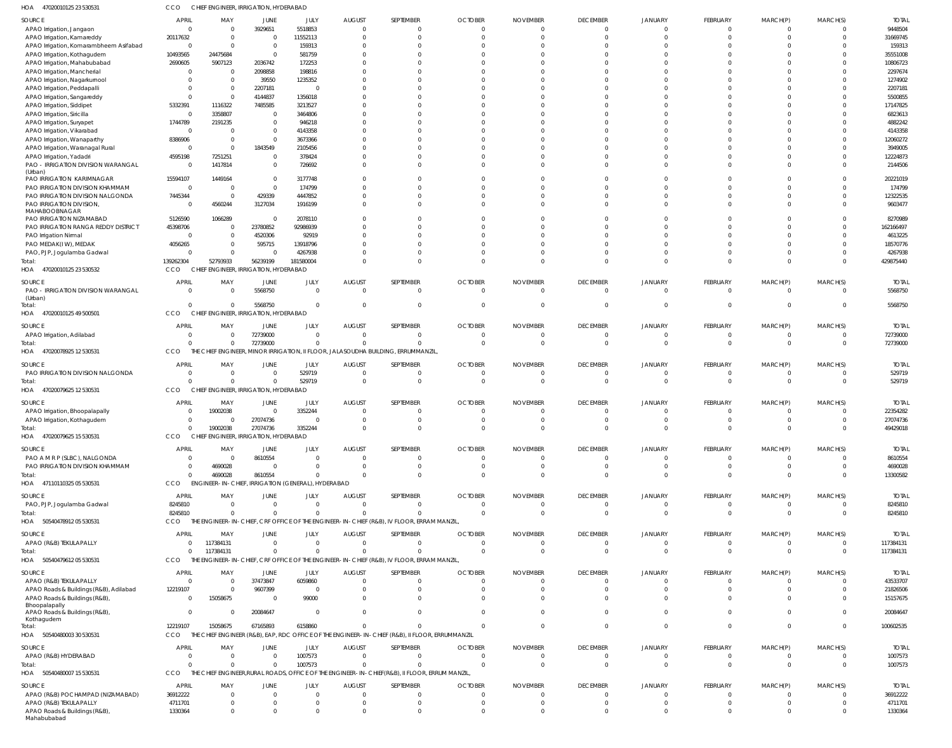47020010125 23 530531 HOA CCO CHIEF ENGINEER, IRRIGATION, HYDERABAD

| $\sim$                                                       |                       | . סווייבנוק וועופ                                  |                  |                        |                           |                                                                                                      |                                  |                                 |                             |                           |                 |                      |                         |                          |
|--------------------------------------------------------------|-----------------------|----------------------------------------------------|------------------|------------------------|---------------------------|------------------------------------------------------------------------------------------------------|----------------------------------|---------------------------------|-----------------------------|---------------------------|-----------------|----------------------|-------------------------|--------------------------|
| SOURCE                                                       | <b>APRIL</b>          | MAY                                                | JUNE             | JULY                   | <b>AUGUST</b>             | SEPTEMBER                                                                                            | <b>OCTOBER</b>                   | <b>NOVEMBER</b>                 | <b>DECEMBER</b>             | <b>JANUARY</b>            | FEBRUARY        | MARCH(P)             | MARCH(S)                | <b>TOTAL</b>             |
| APAO Irrigation, Jangaon                                     | $\Omega$              | $\Omega$                                           | 3929651          | 5518853                |                           | $\Omega$                                                                                             | $\Omega$                         | $\Omega$                        | $\Omega$                    | $\Omega$                  |                 | $\Omega$             | $\Omega$                | 9448504                  |
| APAO Irrigation, Kamareddy                                   | 20117632              | - 0                                                | $\Omega$         | 11552113               | $\Omega$                  | $\Omega$                                                                                             | $\Omega$                         | $\Omega$                        | $\Omega$                    | $\Omega$                  |                 | $\Omega$             | $\overline{0}$          | 31669745                 |
| APAO Irrigation, Komarambheem Asifabad                       | $\Omega$              | $\Omega$                                           | $\Omega$         | 159313                 |                           |                                                                                                      |                                  |                                 | -C                          | $\Omega$                  |                 | $\Omega$             | $\Omega$                | 159313                   |
| APAO Irrigation, Kothagudem                                  | 10493565              | 24475684                                           | $\Omega$         | 581759                 |                           |                                                                                                      |                                  |                                 | -C                          |                           |                 | $\Omega$             | $\Omega$                | 35551008                 |
| APAO Irrigation, Mahabubabad                                 | 2690605<br>$\Omega$   | 5907123                                            | 2036742          | 172253                 |                           |                                                                                                      |                                  |                                 | $\Omega$                    | $\Omega$                  |                 | $\Omega$             | $\Omega$<br>$\Omega$    | 10806723                 |
| APAO Irrigation, Mancherial<br>APAO Irrigation, Nagarkurnool | $\Omega$              | $\Omega$                                           | 2098858<br>39550 | 198816<br>1235352      |                           |                                                                                                      |                                  |                                 | -C                          |                           |                 | $\Omega$             | $\Omega$                | 2297674<br>1274902       |
| APAO Irrigation, Peddapalli                                  | -C                    | $\Omega$                                           | 2207181          | $\overline{0}$         |                           |                                                                                                      |                                  |                                 | -C                          | $\cap$                    |                 |                      | $\Omega$                | 2207181                  |
| APAO Irrigation, Sangareddy                                  | $\Omega$              | $\Omega$                                           | 4144837          | 1356018                |                           |                                                                                                      |                                  |                                 | -C                          |                           |                 | $\sqrt{ }$           | $\Omega$                | 5500855                  |
| APAO Irrigation, Siddipet                                    | 5332391               | 1116322                                            | 7485585          | 3213527                |                           |                                                                                                      |                                  |                                 | -C                          | $\Omega$                  |                 | $\sqrt{ }$           | $\Omega$                | 17147825                 |
| APAO Irrigation, Siricilla                                   | $\Omega$              | 3358807                                            | $\Omega$         | 3464806                |                           |                                                                                                      |                                  |                                 | -C                          | $\cap$                    |                 | $\Omega$             | $\Omega$                | 6823613                  |
| APAO Irrigation, Suryapet                                    | 1744789               | 2191235                                            | $\Omega$         | 946218                 |                           |                                                                                                      |                                  |                                 | ſ                           |                           |                 | $\sqrt{ }$           | $\Omega$                | 4882242                  |
| APAO Irrigation, Vikarabad                                   | $\Omega$              |                                                    | $\Omega$         | 4143358                |                           |                                                                                                      |                                  |                                 | -C                          |                           |                 | $\cap$               | $\Omega$                | 4143358                  |
| APAO Irrigation, Wanaparthy                                  | 8386906               | $\Omega$                                           | $\Omega$         | 3673366                |                           |                                                                                                      |                                  |                                 | ſ                           | $\Omega$                  |                 | $\sqrt{ }$           | $\Omega$                | 12060272                 |
| APAO Irrigation, Waranagal Rural                             | $\Omega$              | $\Omega$                                           | 1843549          | 2105456                |                           |                                                                                                      |                                  |                                 | -C                          |                           |                 | $\Omega$             | $\Omega$                | 3949005                  |
| APAO Irrigation, Yadadri                                     | 4595198               | 7251251                                            | $\Omega$         | 378424                 |                           | $\Omega$                                                                                             | $\Omega$                         |                                 | $\Omega$                    | $\Omega$                  |                 | $\Omega$             | $\Omega$                | 12224873                 |
| PAO - IRRIGATION DIVISION WARANGAL                           | $\Omega$              | 1417814                                            | $\Omega$         | 726692                 |                           |                                                                                                      | $\Omega$                         |                                 | $\Omega$                    | $\Omega$                  |                 | $\Omega$             | $\Omega$                | 2144506                  |
| (Urban)<br>PAO IRRIGATION KARIMNAGAR                         | 15594107              | 1449164                                            | $\Omega$         | 3177748                |                           |                                                                                                      |                                  |                                 | $\Omega$                    | $\Omega$                  |                 | -C                   | $\Omega$                | 20221019                 |
| PAO IRRIGATION DIVISION KHAMMAM                              | $\Omega$              |                                                    | $\Omega$         | 174799                 |                           | $\Omega$                                                                                             |                                  |                                 | $\Omega$                    | $\Omega$                  |                 | $\Omega$             | $\Omega$                | 174799                   |
| PAO IRRIGATION DIVISION NALGONDA                             | 7445344               | $\Omega$                                           | 429339           | 4447852                |                           | $\Omega$                                                                                             | $\Omega$                         |                                 | $\Omega$                    | $\Omega$                  |                 | $\Omega$             | $\Omega$                | 12322535                 |
| PAO IRRIGATION DIVISION,                                     | $\Omega$              | 4560244                                            | 3127034          | 1916199                |                           |                                                                                                      | $\Omega$                         |                                 | $\Omega$                    | $\Omega$                  |                 | $\Omega$             | $\Omega$                | 9603477                  |
| MAHABOOBNAGAR                                                |                       |                                                    |                  |                        |                           |                                                                                                      |                                  |                                 |                             |                           |                 |                      |                         |                          |
| PAO IRRIGATION NIZAMABAD                                     | 5126590               | 1066289                                            | $\Omega$         | 2078110                |                           |                                                                                                      |                                  |                                 | $\Omega$                    | $\Omega$                  |                 | $\Omega$             | $\Omega$                | 8270989                  |
| PAO IRRIGATION RANGA REDDY DISTRICT                          | 45398706              |                                                    | 23780852         | 92986939               |                           | $\Omega$                                                                                             |                                  |                                 | $\Omega$                    | $\Omega$                  |                 | $\Omega$             | $\Omega$                | 162166497                |
| PAO Irrigation Nirmal                                        | $\Omega$              |                                                    | 4520306          | 92919                  |                           |                                                                                                      |                                  |                                 | -C                          | $\Omega$                  |                 | $\sqrt{ }$           | $\Omega$                | 4613225                  |
| PAO MEDAK(IW), MEDAK                                         | 4056265               |                                                    | 595715           | 13918796               |                           |                                                                                                      | $\cap$                           |                                 | $\Omega$                    | $\Omega$                  |                 | $\Omega$             | $\Omega$                | 18570776                 |
| PAO, PJP, Jogulamba Gadwal                                   | $\Omega$              | $\Omega$                                           | $\Omega$         | 4267938                |                           | $\Omega$                                                                                             | $\Omega$<br>$\Omega$             | $\Omega$                        | $\Omega$<br>$\Omega$        | $\Omega$<br>$\Omega$      |                 | $\Omega$<br>$\Omega$ | $\Omega$<br>$\Omega$    | 4267938                  |
| Total:<br>HOA<br>47020010125 23 530532                       | 139262304<br>CCO      | 52793933<br>CHIEF ENGINEER, IRRIGATION, HYDERABAD  | 56239199         | 181580004              |                           |                                                                                                      |                                  |                                 |                             |                           |                 |                      |                         | 429875440                |
|                                                              |                       |                                                    |                  |                        |                           |                                                                                                      |                                  |                                 |                             |                           |                 |                      |                         |                          |
| SOURCE                                                       | <b>APRIL</b>          | MAY                                                | JUNE             | JULY                   | <b>AUGUST</b>             | SEPTEMBER                                                                                            | <b>OCTOBER</b>                   | <b>NOVEMBER</b>                 | <b>DECEMBER</b>             | <b>JANUARY</b>            | FEBRUARY        | MARCH(P)             | MARCH(S)                | <b>TOTAL</b>             |
| PAO - IRRIGATION DIVISION WARANGAL                           | $\overline{0}$        | $\Omega$                                           | 5568750          | $\overline{0}$         | $\mathbf 0$               | $\overline{0}$                                                                                       | $\overline{0}$                   | $\mathbf 0$                     | $\overline{0}$              | $\overline{0}$            | $\mathbf 0$     | $\overline{0}$       | $\overline{0}$          | 5568750                  |
| (Urban)<br>Total:                                            | $\mathbf 0$           | $\Omega$                                           | 5568750          | $\overline{0}$         | $\mathbf 0$               | $\Omega$                                                                                             | $\overline{0}$                   | $\mathbf{0}$                    | $\overline{0}$              | $\overline{0}$            | $\Omega$        | $\mathbf{0}$         | $\overline{0}$          | 5568750                  |
| HOA 47020010125 49 500501                                    | CCO                   | CHIEF ENGINEER, IRRIGATION, HYDERABAD              |                  |                        |                           |                                                                                                      |                                  |                                 |                             |                           |                 |                      |                         |                          |
|                                                              |                       |                                                    |                  |                        |                           |                                                                                                      |                                  |                                 |                             |                           |                 |                      |                         |                          |
| SOURCE                                                       | <b>APRIL</b>          | MAY                                                | JUNE             | JULY                   | <b>AUGUST</b>             | SEPTEMBER                                                                                            | <b>OCTOBER</b>                   | <b>NOVEMBER</b>                 | <b>DECEMBER</b>             | <b>JANUARY</b>            | FEBRUARY        | MARCH(P)             | MARCH(S)                | <b>TOTAL</b>             |
| APAO Irrigation, Adilabad                                    | $\Omega$              | $\Omega$                                           | 72739000         | $\overline{0}$         |                           | $\Omega$                                                                                             | $\Omega$                         | $\Omega$                        | $\Omega$                    | $\Omega$                  |                 | $\Omega$             | $\Omega$                | 72739000                 |
| Total:<br>HOA 47020078925 12 530531                          | $\Omega$<br>CCO       | $\Omega$                                           | 72739000         | $\overline{0}$         | $\Omega$                  | $\Omega$<br>THE CHIEF ENGINEER, MINOR IRRIGATION, II FLOOR, JALASOUDHA BUILDING, ERRUMMANZIL         | $\overline{0}$                   | $\mathbf{0}$                    | $\overline{0}$              | $\Omega$                  | $\Omega$        | $\Omega$             | $\overline{0}$          | 72739000                 |
|                                                              |                       |                                                    |                  |                        |                           |                                                                                                      |                                  |                                 |                             |                           |                 |                      |                         |                          |
| SOURCE                                                       | <b>APRIL</b>          | MAY                                                | JUNE             | JULY                   | <b>AUGUST</b>             | SEPTEMBER                                                                                            | <b>OCTOBER</b>                   | <b>NOVEMBER</b>                 | <b>DECEMBER</b>             | JANUARY                   | FEBRUARY        | MARCH(P)             | MARCH(S)                | <b>TOTAL</b>             |
| PAO IRRIGATION DIVISION NALGONDA                             | 0                     | $\mathbf{0}$                                       | $\Omega$         | 529719                 | $\overline{0}$            | $\overline{0}$                                                                                       | $\overline{0}$                   | $\overline{0}$                  | 0                           | $\circ$                   | $\mathbf{0}$    | 0                    | $\Omega$                | 529719                   |
| Total:                                                       | $\Omega$              | $\Omega$                                           | $\Omega$         | 529719                 | $\mathbf 0$               | $\overline{0}$                                                                                       | $\overline{0}$                   | $\mathbf 0$                     | $\overline{0}$              | $\overline{0}$            | $\mathbf{0}$    | $\mathbf{0}$         | $\overline{0}$          | 529719                   |
| HOA 47020079625 12 530531                                    | CCO                   | CHIEF ENGINEER, IRRIGATION, HYDERABAD              |                  |                        |                           |                                                                                                      |                                  |                                 |                             |                           |                 |                      |                         |                          |
| SOURCE                                                       | <b>APRIL</b>          | MAY                                                | JUNE             | JULY                   | <b>AUGUST</b>             | SEPTEMBER                                                                                            | <b>OCTOBER</b>                   | <b>NOVEMBER</b>                 | <b>DECEMBER</b>             | <b>JANUARY</b>            | FEBRUARY        | MARCH(P)             | MARCH(S)                | <b>TOTAL</b>             |
| APAO Irrigation, Bhoopalapally                               | $\Omega$              | 19002038                                           | $\Omega$         | 3352244                | $\Omega$                  | $\Omega$                                                                                             | $\Omega$                         | $\Omega$                        | $\Omega$                    | $\Omega$                  |                 | $\Omega$             | $\Omega$                | 22354282                 |
| APAO Irrigation, Kothagudem                                  | $\Omega$              |                                                    | 27074736         | $\Omega$               | $\Omega$                  | $\Omega$                                                                                             | $\Omega$                         | $\Omega$                        | $\Omega$                    | $\Omega$                  |                 | $\Omega$             | $\Omega$                | 27074736                 |
| Total:                                                       | $\Omega$              | 19002038                                           | 27074736         | 3352244                | $\Omega$                  | $\Omega$                                                                                             | $\Omega$                         |                                 | $\Omega$                    | $\Omega$                  |                 | $\Omega$             | $\Omega$                | 49429018                 |
| HOA 47020079625 15 530531                                    | CCO                   | CHIEF ENGINEER, IRRIGATION, HYDERABAD              |                  |                        |                           |                                                                                                      |                                  |                                 |                             |                           |                 |                      |                         |                          |
| SOURCE                                                       | APRIL                 | MAY                                                | JUNE             | JULY                   | <b>AUGUST</b>             | SEPTEMBER                                                                                            | <b>OCTOBER</b>                   | <b>NOVEMBER</b>                 | <b>DECEMBER</b>             | <b>JANUARY</b>            | FEBRUARY        | MARCH(P)             | MARCH(S)                | <b>TOTAL</b>             |
| PAO A M R P (SLBC), NALGONDA                                 | $\Omega$              | $\Omega$                                           | 8610554          | $\overline{0}$         | $\mathbf 0$               | $\overline{0}$                                                                                       | $\overline{0}$                   | $\mathbf{0}$                    | $\overline{0}$              | $\overline{0}$            | $\Omega$        | 0                    | $\Omega$                | 8610554                  |
| PAO IRRIGATION DIVISION KHAMMAM                              | $\overline{0}$        | 4690028                                            | $\Omega$         | $\overline{0}$         | $\Omega$                  | $\Omega$                                                                                             | $\overline{0}$                   | $\mathbf 0$                     | $\overline{0}$              | $\overline{0}$            | $\Omega$        | $\overline{0}$       | $\overline{0}$          | 4690028                  |
| Total:                                                       | $\mathbf{0}$          | 4690028                                            | 8610554          | $\overline{0}$         | $\Omega$                  | $\Omega$                                                                                             | $\Omega$                         | $\Omega$                        | - 0                         | $\Omega$                  | $\Omega$        | $\Omega$             | $\overline{0}$          | 13300582                 |
| HOA 47110110325 05 530531                                    | CCO                   | ENGINEER-IN-CHIEF, IRRIGATION (GENERAL), HYDERABAD |                  |                        |                           |                                                                                                      |                                  |                                 |                             |                           |                 |                      |                         |                          |
|                                                              | <b>APRIL</b>          | MAY                                                |                  |                        |                           |                                                                                                      |                                  |                                 |                             |                           |                 |                      |                         |                          |
| SOURCE                                                       | 8245810               | $\Omega$                                           | JUNE<br>$\Omega$ | JULY<br>$\overline{0}$ | <b>AUGUST</b><br>$\Omega$ | SEPTEMBER<br>$\Omega$                                                                                | <b>OCTOBER</b><br>$\overline{0}$ | <b>NOVEMBER</b><br>$\mathbf 0$  | <b>DECEMBER</b><br>$\Omega$ | <b>JANUARY</b><br>$\circ$ | FEBRUARY<br>-0  | MARCH(P)<br>0        | MARCH(S)<br>$\Omega$    | <b>TOTAL</b><br>8245810  |
| PAO, PJP, Jogulamba Gadwal<br>Total:                         | 8245810               | $\Omega$                                           | $\Omega$         | $\overline{0}$         | $\Omega$                  | $\Omega$                                                                                             | $\Omega$                         | $\mathbf{0}$                    | $\Omega$                    | $\Omega$                  | $\Omega$        | $\Omega$             | $\overline{0}$          | 8245810                  |
| HOA 50540478912 05 530531                                    | CCO                   |                                                    |                  |                        |                           | THE ENGINEER-IN-CHIEF, CRF OFFICE OF THE ENGINEER-IN-CHIEF (R&B), IV FLOOR, ERRAM MANZIL             |                                  |                                 |                             |                           |                 |                      |                         |                          |
|                                                              |                       |                                                    |                  |                        |                           |                                                                                                      |                                  |                                 |                             |                           |                 |                      |                         |                          |
| SOURCE                                                       | <b>APRIL</b>          | MAY                                                | JUNE             | JULY                   | <b>AUGUST</b>             | SEPTEMBER                                                                                            | <b>OCTOBER</b>                   | <b>NOVEMBER</b>                 | <b>DECEMBER</b>             | <b>JANUARY</b>            | FEBRUARY        | MARCH(P)             | MARCH(S)                | <b>TOTAL</b>             |
| APAO (R&B) TEKULAPALLY                                       | $\Omega$              | 117384131                                          | $\Omega$         | $\overline{0}$         | $\mathbf 0$               | $\overline{0}$                                                                                       | $\overline{0}$                   | $\mathbf{0}$                    | $\overline{0}$              | $\overline{0}$            | $\mathbf{0}$    | 0                    | $\overline{0}$          | 117384131                |
| Total:                                                       | $\overline{0}$<br>CCO | 117384131                                          | $\Omega$         | $\overline{0}$         | $\Omega$                  | $\Omega$<br>THE ENGINEER-IN-CHIEF, CRF OFFICE OF THE ENGINEER-IN-CHIEF (R&B), IV FLOOR, ERRAM MANZIL | $\overline{0}$                   | $\mathbf{0}$                    | $\overline{0}$              | $\overline{0}$            | $\Omega$        | $\overline{0}$       | $\overline{0}$          | 117384131                |
| HOA 5054047961205530531                                      |                       |                                                    |                  |                        |                           |                                                                                                      |                                  |                                 |                             |                           |                 |                      |                         |                          |
| SOURCE                                                       | <b>APRIL</b>          | MAY                                                | JUNE             | JULY                   | <b>AUGUST</b>             | SEPTEMBER                                                                                            | <b>OCTOBER</b>                   | <b>NOVEMBER</b>                 | <b>DECEMBER</b>             | <b>JANUARY</b>            | FEBRUARY        | MARCH(P)             | MARCH(S)                | <b>TOTAL</b>             |
| APAO (R&B) TEKULAPALLY                                       | $\Omega$              | $\Omega$                                           | 37473847         | 6059860                | $\Omega$                  | $\Omega$                                                                                             | $\overline{0}$                   | $\mathbf{0}$                    | $\Omega$                    | $\Omega$                  | $\Omega$        | $\Omega$             | $\Omega$                | 43533707                 |
| APAO Roads & Buildings (R&B), Adilabad                       | 12219107              | $\Omega$                                           | 9607399          | $\overline{0}$         | $\Omega$                  | $\Omega$                                                                                             | $\Omega$                         | $\Omega$                        | $\Omega$                    | $\Omega$                  |                 | $\Omega$             | $\Omega$                | 21826506                 |
| APAO Roads & Buildings (R&B),                                | $\Omega$              | 15058675                                           | $\Omega$         | 99000                  | $\Omega$                  | $\Omega$                                                                                             | $\Omega$                         | $\Omega$                        | $\Omega$                    | $\Omega$                  |                 | $\Omega$             | $\overline{0}$          | 15157675                 |
| Bhoopalapally<br>APAO Roads & Buildings (R&B),               | $\Omega$              |                                                    | 20084647         | $\overline{0}$         | $\Omega$                  | $\Omega$                                                                                             | $\Omega$                         | $\Omega$                        | $\Omega$                    | $\Omega$                  | $\Omega$        | $\Omega$             | $\Omega$                | 20084647                 |
| Kothagudem                                                   |                       |                                                    |                  |                        |                           |                                                                                                      |                                  |                                 |                             |                           |                 |                      |                         |                          |
| Total:                                                       | 12219107              | 15058675                                           | 67165893         | 6158860                |                           | $\Omega$                                                                                             | $\Omega$                         | $\Omega$                        | $\Omega$                    | $\Omega$                  | $\Omega$        | $\Omega$             | $\overline{0}$          | 100602535                |
| HOA 50540480003 30 530531                                    | CCO                   |                                                    |                  |                        |                           | THE CHIEF ENGINEER (R&B), EAP, RDC OFFICE OF THE ENGINEER-IN-CHIEF (R&B), II FLOOR, ERRUMMANZIL      |                                  |                                 |                             |                           |                 |                      |                         |                          |
| SOURCE                                                       | <b>APRIL</b>          | MAY                                                | JUNE             | JULY                   | <b>AUGUST</b>             | SEPTEMBER                                                                                            | <b>OCTOBER</b>                   | <b>NOVEMBER</b>                 | <b>DECEMBER</b>             | <b>JANUARY</b>            | FEBRUARY        | MARCH(P)             | MARCH(S)                | <b>TOTAL</b>             |
| APAO (R&B) HYDERABAD                                         | $\overline{0}$        | $\mathbf{0}$                                       | $\Omega$         | 1007573                | $\mathbf 0$               | $\overline{0}$                                                                                       | $\overline{0}$                   | $\mathbf{0}$                    | $\Omega$                    | $\overline{0}$            | $\mathbf 0$     | 0                    | $\overline{\mathbf{0}}$ | 1007573                  |
| Total:                                                       | $\Omega$              | $\Omega$                                           | $\Omega$         | 1007573                | $\Omega$                  | $\Omega$                                                                                             | $\overline{0}$                   | $\mathbf{0}$                    | $\overline{0}$              | $\overline{0}$            | $\mathbf{0}$    | $\overline{0}$       | $\overline{0}$          | 1007573                  |
| HOA 50540480007 15 530531                                    | CCO                   |                                                    |                  |                        |                           | THE CHIEF ENGINEER, RURAL ROADS, OFFICE OF THE ENGINEER-IN-CHIEF (R&B), II FLOOR, ERRUM MANZIL,      |                                  |                                 |                             |                           |                 |                      |                         |                          |
|                                                              | APRIL                 | MAY                                                |                  |                        | <b>AUGUST</b>             |                                                                                                      | <b>OCTOBER</b>                   |                                 |                             | <b>JANUARY</b>            |                 |                      |                         |                          |
| SOURCE<br>APAO (R&B) POCHAMPAD (NIZAMABAD)                   | 36912222              | $\Omega$                                           | JUNE<br>$\Omega$ | JULY<br>$\overline{0}$ | $\Omega$                  | SEPTEMBER<br>$\Omega$                                                                                | $\overline{0}$                   | <b>NOVEMBER</b><br>$\mathbf{0}$ | <b>DECEMBER</b><br>$\Omega$ | $\Omega$                  | FEBRUARY<br>- 0 | MARCH(P)<br>$\Omega$ | MARCH(S)<br>$\Omega$    | <b>TOTAL</b><br>36912222 |
| APAO (R&B) TEKULAPALLY                                       | 4711701               | $\Omega$                                           | $\Omega$         | $\overline{0}$         | $\Omega$                  | $\overline{0}$                                                                                       | $\overline{0}$                   | $\Omega$                        | $\Omega$                    | $\Omega$                  |                 | $\Omega$             | $\Omega$                | 4711701                  |
| APAO Roads & Buildings (R&B),                                | 1330364               | $\Omega$                                           | $\Omega$         | $\Omega$               | $\Omega$                  | $\Omega$                                                                                             | $\Omega$                         | $\Omega$                        | $\Omega$                    | $\Omega$                  | $\Omega$        | $\Omega$             | $\overline{0}$          | 1330364                  |
| Mahabubabad                                                  |                       |                                                    |                  |                        |                           |                                                                                                      |                                  |                                 |                             |                           |                 |                      |                         |                          |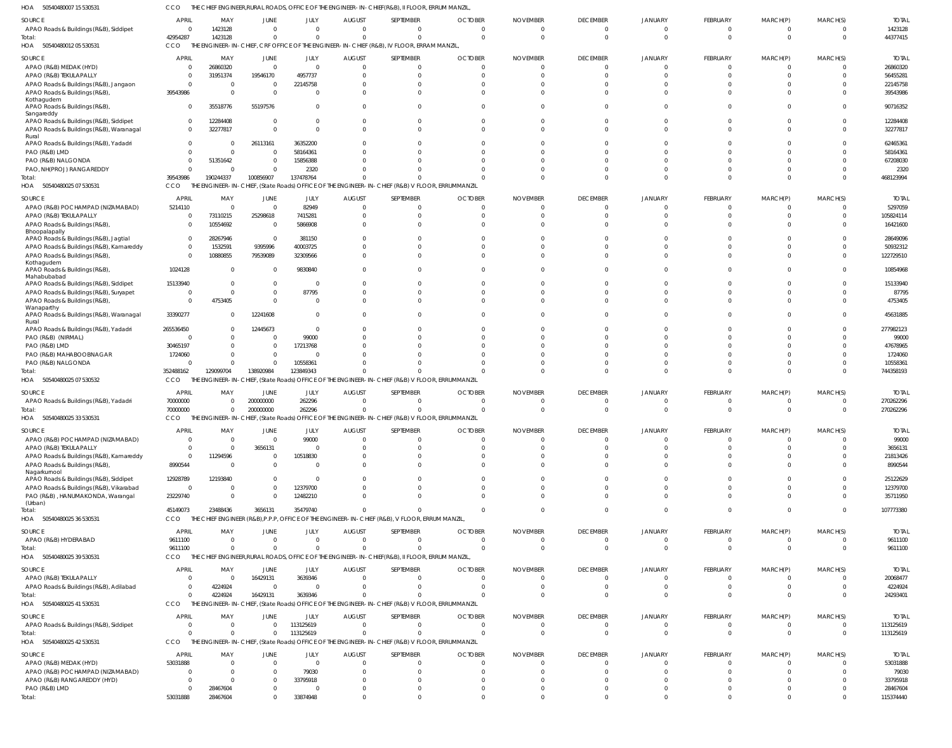50540480007 15 530531 HOA CCO THE CHIEF ENGINEER,RURAL ROADS, OFFICE OF THE ENGINEER-IN-CHIEF(R&B), II FLOOR, ERRUM MANZIL,

| 1127<br><b>PPOPP PLANDLANDLAND</b>                   | ししし                        |                    |                            |                     |                          | LIVOINEEN, NUME NOADJ, OFFICE OF THE ENOINEEN-TIV-CHIEF (N&D), IFFECON, ENNUM MANEIE                        |                      |                      |                      |                      |                      |                      |                      |                        |
|------------------------------------------------------|----------------------------|--------------------|----------------------------|---------------------|--------------------------|-------------------------------------------------------------------------------------------------------------|----------------------|----------------------|----------------------|----------------------|----------------------|----------------------|----------------------|------------------------|
| SOURCE                                               | <b>APRIL</b>               | MAY                | JUNE                       | JULY                | <b>AUGUST</b>            | SEPTEMBER                                                                                                   | <b>OCTOBER</b>       | <b>NOVEMBER</b>      | <b>DECEMBER</b>      | <b>JANUARY</b>       | FEBRUARY             | MARCH(P)             | MARCH(S)             | <b>TOTAL</b>           |
| APAO Roads & Buildings (R&B), Siddipet               | $\Omega$                   | 1423128            | $\overline{0}$             | $\Omega$            | $\Omega$                 | $\mathbf 0$                                                                                                 | $\Omega$             | $\Omega$             | 0                    | $\Omega$             | $\Omega$             |                      | $\mathbf{0}$         | 1423128                |
| Total:<br>HOA 50540480012 05 530531                  | 42954287<br>CCO            | 1423128            | $\Omega$                   | $\Omega$            | $\Omega$                 | $\mathbf 0$<br>THE ENGINEER-IN-CHIEF, CRF OFFICE OF THE ENGINEER-IN-CHIEF (R&B), IV FLOOR, ERRAM MANZIL,    | $\Omega$             | $\Omega$             | $\Omega$             | $\Omega$             | $\Omega$             | $\Omega$             | $\overline{0}$       | 44377415               |
| SOURCE                                               | <b>APRIL</b>               | MAY                | JUNE                       | JULY                | <b>AUGUST</b>            | SEPTEMBER                                                                                                   | <b>OCTOBER</b>       | <b>NOVEMBER</b>      | <b>DECEMBER</b>      | <b>JANUARY</b>       | FEBRUARY             | MARCH(P)             | MARCH(S)             | <b>TOTAL</b>           |
| APAO (R&B) MEDAK (HYD)                               | $\circ$                    | 26860320           | $\overline{0}$             | $\overline{0}$      | $\Omega$                 | $\mathbf 0$                                                                                                 | $\Omega$             |                      | 0                    | 0                    |                      |                      | 0                    | 26860320               |
| APAO (R&B) TEKULAPALLY                               | $\Omega$                   | 31951374           | 19546170                   | 4957737             | $\Omega$                 | $\mathbf 0$                                                                                                 | $\Omega$             |                      | $\Omega$             | $\Omega$             |                      |                      | $\Omega$             | 56455281               |
| APAO Roads & Buildings (R&B), Jangaon                | - 0                        |                    | $\overline{0}$             | 22145758            |                          | $\mathbf 0$                                                                                                 |                      |                      | -C                   |                      |                      |                      | 0                    | 22145758               |
| APAO Roads & Buildings (R&B),                        | 39543986                   |                    | $\Omega$                   | $\Omega$            | <sup>0</sup>             | $\Omega$                                                                                                    | <sup>0</sup>         |                      | $\Omega$             | $\Omega$             |                      |                      | 0                    | 39543986               |
| Kothagudem<br>APAO Roads & Buildings (R&B),          | $\mathbf{0}$               | 35518776           | 55197576                   | $\Omega$            | <sup>0</sup>             | $\Omega$                                                                                                    | <sup>0</sup>         |                      | $\Omega$             | $\Omega$             | $\Omega$             | $\Omega$             | $\Omega$             | 90716352               |
| Sangareddy<br>APAO Roads & Buildings (R&B), Siddipet | $\mathbf{0}$               | 12284408           | $\Omega$                   | $\Omega$            | $\Omega$                 | $\mathbf 0$                                                                                                 | <sup>0</sup>         |                      | $\Omega$             | $\Omega$             |                      |                      | $\Omega$             | 12284408               |
| APAO Roads & Buildings (R&B), Waranagal              | $\Omega$                   | 32277817           | $\mathbf 0$                | $\Omega$            | $\Omega$                 | $\Omega$                                                                                                    | $\Omega$             | <sup>0</sup>         | $\Omega$             | $\Omega$             | $\Omega$             | $\Omega$             | $\Omega$             | 32277817               |
| Rural<br>APAO Roads & Buildings (R&B), Yadadri       | $\Omega$                   |                    | 26113161                   | 36352200            |                          | $\Omega$                                                                                                    |                      |                      | -C                   |                      |                      |                      | $\Omega$             | 62465361               |
| PAO (R&B) LMD                                        | $\Omega$                   |                    | $\overline{0}$             | 58164361            |                          | $\Omega$                                                                                                    |                      |                      |                      |                      |                      |                      | $\Omega$             | 58164361               |
| PAO (R&B) NALGONDA                                   | - 0                        | 51351642           | $\mathbf{0}$               | 15856388            |                          | $\Omega$                                                                                                    |                      |                      |                      |                      |                      |                      | 0                    | 67208030               |
| PAO, NH(PROJ) RANGAREDDY<br>Total:                   | $\Omega$<br>39543986       | 190244337          | $\Omega$<br>100856907      | 2320<br>137478764   |                          | $\Omega$<br>$\Omega$                                                                                        |                      | $\Omega$             | $\Omega$<br>$\Omega$ | $\Omega$<br>$\Omega$ | $\Omega$             | $\Omega$             | $\Omega$<br>$\Omega$ | 2320<br>468123994      |
| HOA 50540480025 07 530531                            | CCO                        |                    |                            |                     |                          | THE ENGINEER-IN-CHIEF, (State Roads) OFFICE OF THE ENGINEER-IN-CHIEF (R&B) V FLOOR, ERRUMMANZIL             |                      |                      |                      |                      |                      |                      |                      |                        |
| SOURCE                                               | <b>APRIL</b>               | MAY                | JUNE                       | JULY                | <b>AUGUST</b>            | SEPTEMBER                                                                                                   | <b>OCTOBER</b>       | <b>NOVEMBER</b>      | <b>DECEMBER</b>      | <b>JANUARY</b>       | FEBRUARY             | MARCH(P)             | MARCH(S)             | <b>TOTAL</b>           |
| APAO (R&B) POCHAMPAD (NIZAMABAD)                     | 5214110                    | - 0                | $\overline{0}$             | 82949               | $\Omega$                 | $\mathbf 0$                                                                                                 | $\Omega$             |                      | 0                    | $\Omega$             |                      |                      | 0                    | 5297059                |
| APAO (R&B) TEKULAPALLY                               | $\mathbf{0}$               | 73110215           | 25298618                   | 7415281             | <sup>0</sup>             | 0                                                                                                           | $\Omega$             |                      | $\Omega$             | -C                   |                      |                      | $\Omega$             | 105824114              |
| APAO Roads & Buildings (R&B),<br>Bhoopalapally       | $\Omega$                   | 10554692           | $\overline{\mathbf{0}}$    | 5866908             | <sup>0</sup>             | $\Omega$                                                                                                    |                      |                      | $\Omega$             | $\Omega$             |                      |                      | 0                    | 16421600               |
| APAO Roads & Buildings (R&B), Jagtial                | $\overline{0}$             | 28267946           | $\overline{0}$             | 381150              |                          | $\Omega$                                                                                                    |                      |                      | $\Omega$             | $\Omega$             |                      |                      | $\Omega$             | 28649096               |
| APAO Roads & Buildings (R&B), Kamareddy              | $\overline{0}$             | 1532591            | 9395996                    | 40003725            |                          | $\Omega$                                                                                                    |                      |                      | $\Omega$             |                      |                      |                      | 0                    | 50932312               |
| APAO Roads & Buildings (R&B),<br>Kothagudem          | $\Omega$                   | 10880855           | 79539089                   | 32309566            | $\Omega$                 | $\Omega$                                                                                                    | $\Omega$             |                      | $\Omega$             | $\Omega$             | $\Omega$             | $\Omega$             | $\Omega$             | 122729510              |
| APAO Roads & Buildings (R&B),<br>Mahabubabad         | 1024128                    |                    | $\Omega$                   | 9830840             |                          | $\Omega$                                                                                                    |                      |                      | $\Omega$             | $\Omega$             |                      | $\Omega$             | $\Omega$             | 10854968               |
| APAO Roads & Buildings (R&B), Siddipet               | 15133940                   |                    | $\overline{0}$             | $\overline{0}$      | <sup>0</sup>             | $\Omega$                                                                                                    |                      |                      | $\Omega$             | $\Omega$             |                      |                      | $\Omega$             | 15133940               |
| APAO Roads & Buildings (R&B), Suryapet               | $\overline{0}$             | - 0                | $\Omega$                   | 87795               |                          | $\Omega$                                                                                                    |                      |                      | $\Omega$             |                      |                      |                      | 0                    | 87795                  |
| APAO Roads & Buildings (R&B),<br>Wanaparthy          | $\Omega$                   | 4753405            | $\Omega$                   | $\Omega$            | <sup>0</sup>             | $\Omega$                                                                                                    | $\Omega$             | $\Omega$             | $\Omega$             | $\Omega$             | $\Omega$             | $\Omega$             | $\Omega$             | 4753405                |
| APAO Roads & Buildings (R&B), Waranagal<br>Rural     | 33390277                   |                    | 12241608                   | $\Omega$            |                          | $\Omega$                                                                                                    |                      |                      | $\Omega$             | $\Omega$             |                      |                      | $\Omega$             | 45631885               |
| APAO Roads & Buildings (R&B), Yadadri                | 265536450                  |                    | 12445673                   | $\Omega$            | <sup>0</sup>             | $\Omega$                                                                                                    |                      |                      | $\Omega$             | $\cap$               |                      |                      | $\Omega$             | 277982123              |
| PAO (R&B) (NIRMAL)                                   | $\Omega$                   |                    | $\overline{0}$             | 99000               |                          |                                                                                                             |                      |                      |                      |                      |                      |                      |                      | 99000                  |
| PAO (R&B) LMD                                        | 30465197                   |                    | $\Omega$                   | 17213768            |                          |                                                                                                             |                      |                      |                      |                      |                      |                      |                      | 47678965               |
| PAO (R&B) MAHABOOBNAGAR                              | 1724060                    |                    | $\Omega$                   | $\Omega$            |                          |                                                                                                             |                      |                      |                      |                      |                      |                      |                      | 1724060                |
| PAO (R&B) NALGONDA                                   | $\Omega$                   |                    | $\Omega$                   | 10558361            |                          | $\Omega$                                                                                                    |                      |                      | $\Omega$<br>$\Omega$ | $\Omega$<br>$\Omega$ | $\Omega$             | $\Omega$             | $\Omega$<br>$\Omega$ | 10558361               |
| Total:<br>HOA 50540480025 07 530532                  | 352488162<br>CCO           | 129099704          | 138920984                  | 123849343           |                          | THE ENGINEER-IN-CHIEF, (State Roads) OFFICE OF THE ENGINEER-IN-CHIEF (R&B) V FLOOR, ERRUMMANZIL             |                      |                      |                      |                      |                      |                      |                      | 744358193              |
|                                                      |                            |                    |                            |                     |                          |                                                                                                             |                      |                      |                      |                      |                      |                      |                      |                        |
| SOURCE                                               | <b>APRIL</b>               | MAY                | JUNE                       | JULY                | <b>AUGUST</b>            | SEPTEMBER                                                                                                   | <b>OCTOBER</b>       | <b>NOVEMBER</b>      | <b>DECEMBER</b>      | <b>JANUARY</b>       | FEBRUARY             | MARCH(P)             | MARCH(S)             | <b>TOTAL</b>           |
| APAO Roads & Buildings (R&B), Yadadri<br>Total:      | 70000000<br>70000000       |                    | 200000000<br>200000000     | 262296<br>262296    | $\Omega$<br>$\Omega$     | $\overline{0}$<br>$\mathbf 0$                                                                               | $\Omega$<br>$\Omega$ | $\Omega$             | 0<br>$\overline{0}$  | $\Omega$<br>0        | $\overline{0}$       | $\overline{0}$       | 0<br>$\overline{0}$  | 270262296<br>270262296 |
| HOA 50540480025 33 530531                            | CCO                        |                    |                            |                     |                          | THE ENGINEER-IN-CHIEF, (State Roads) OFFICE OF THE ENGINEER-IN-CHIEF (R&B) V FLOOR, ERRUMMANZIL             |                      |                      |                      |                      |                      |                      |                      |                        |
| SOURCE                                               | <b>APRIL</b>               | MAY                | JUNE                       | JULY                | <b>AUGUST</b>            | SEPTEMBER                                                                                                   | <b>OCTOBER</b>       | <b>NOVEMBER</b>      | <b>DECEMBER</b>      | <b>JANUARY</b>       | <b>FEBRUARY</b>      | MARCH(P)             | MARCH(S)             | <b>TOTAI</b>           |
| APAO (R&B) POCHAMPAD (NIZAMABAD)                     | $\Omega$                   |                    | $\Omega$                   | 99000               |                          | $\Omega$                                                                                                    | $\Omega$             |                      | $\Omega$             | $\Omega$             | $\Omega$             | $\Omega$             | $\Omega$             | 99000                  |
| APAO (R&B) TEKULAPALLY                               | $\Omega$                   |                    | 3656131                    | $\Omega$            | <sup>0</sup>             | $\Omega$                                                                                                    | $\Omega$             | $\Omega$             | $\Omega$             | $\Omega$             | $\Omega$             | $\Omega$             | $\Omega$             | 3656131                |
| APAO Roads & Buildings (R&B), Kamareddy              | $\Omega$                   | 11294596           | $\Omega$                   | 10518830            | <sup>0</sup>             | $\Omega$                                                                                                    | $\Omega$             | $\Omega$             | $\Omega$             | $\Omega$             | $\Omega$             | $\Omega$             | $\Omega$             | 21813426               |
| APAO Roads & Buildings (R&B),<br>Nagarkurnool        | 8990544                    |                    | $\Omega$                   | $\Omega$            | <sup>0</sup>             | $\Omega$                                                                                                    | $\Omega$             | $\Omega$             | $\Omega$             | $\Omega$             | $\Omega$             | $\Omega$             | $\Omega$             | 8990544                |
| APAO Roads & Buildings (R&B), Siddipet               | 12928789                   | 12193840           | $\mathbf{0}$               | $\Omega$            | <sup>0</sup>             | $\Omega$                                                                                                    | <sup>0</sup>         | <sup>0</sup>         | $\Omega$             | $\Omega$             |                      | $\Omega$             | $\Omega$             | 25122629               |
| APAO Roads & Buildings (R&B), Vikarabad              | $\overline{0}$             |                    | $\Omega$                   | 12379700            | $\Omega$                 | $\Omega$                                                                                                    | $\Omega$             | $\Omega$             | $\Omega$             | $\Omega$             |                      | $\Omega$             | $\Omega$             | 12379700               |
| PAO (R&B), HANUMAKONDA, Warangal<br>(Urban)          | 23229740                   |                    | $\Omega$                   | 12482210            | <sup>0</sup>             | $\Omega$                                                                                                    | <sup>0</sup>         | <sup>0</sup>         | $\Omega$             | $\Omega$             | $\Omega$             | $\Omega$             | $\Omega$             | 35711950               |
| Total:                                               | 45149073                   | 23488436           | 3656131                    | 35479740            | $\Omega$                 | $\Omega$                                                                                                    | $\Omega$             | $\Omega$             | $\Omega$             | $\Omega$             | $\Omega$             | $\Omega$             | $\Omega$             | 107773380              |
| HOA 50540480025 36 530531                            | CCO                        |                    |                            |                     |                          | THE CHIEF ENGINEER (R&B), P.P.P. OFFICE OF THE ENGINEER-IN-CHIEF (R&B), V FLOOR, ERRUM MANZIL               |                      |                      |                      |                      |                      |                      |                      |                        |
| SOURCE                                               | APRIL                      | MAY                | JUNE                       | JULY                | <b>AUGUST</b>            | SEPTEMBER                                                                                                   | <b>OCTOBER</b>       | <b>NOVEMBER</b>      | <b>DECEMBER</b>      | <b>JANUARY</b>       | FEBRUARY             | MARCH(P)             | MARCH(S)             | <b>TOTAL</b>           |
| APAO (R&B) HYDERABAD                                 | 9611100                    |                    | $\overline{0}$             | $\mathbf{0}$        | $\overline{0}$           | $\overline{0}$                                                                                              | $\overline{0}$       | $\overline{0}$       | $\overline{0}$       | $\overline{0}$       | $\overline{0}$       | $\overline{0}$       | 0                    | 9611100                |
| Total:<br>HOA 50540480025 39 530531                  | 9611100<br>CCO             |                    | $\Omega$                   | $\Omega$            | $\Omega$                 | $\Omega$<br>THE CHIEF ENGINEER, RURAL ROADS, OFFICE OF THE ENGINEER-IN-CHIEF (R&B), II FLOOR, ERRUM MANZIL, | $\Omega$             | $\Omega$             | $\Omega$             | $\overline{0}$       | $\Omega$             | $\Omega$             | $\Omega$             | 9611100                |
|                                                      |                            |                    |                            |                     |                          |                                                                                                             |                      |                      |                      |                      |                      |                      |                      |                        |
| SOURCE                                               | <b>APRIL</b>               | MAY                | JUNE                       | JULY                | <b>AUGUST</b>            | SEPTEMBER                                                                                                   | <b>OCTOBER</b>       | <b>NOVEMBER</b>      | <b>DECEMBER</b>      | <b>JANUARY</b>       | FEBRUARY             | MARCH(P)             | MARCH(S)             | <b>TOTAL</b>           |
| APAO (R&B) TEKULAPALLY                               | $\overline{0}$<br>$\Omega$ | -C                 | 16429131                   | 3639346<br>$\Omega$ | $\Omega$<br><sup>0</sup> | $\Omega$<br>$\mathbf 0$                                                                                     | $\Omega$<br>$\Omega$ | $\Omega$<br>$\Omega$ | $\Omega$<br>$\Omega$ | $\Omega$<br>$\Omega$ | $\Omega$<br>$\Omega$ | $\Omega$<br>$\Omega$ | $\Omega$<br>$\Omega$ | 20068477<br>4224924    |
| APAO Roads & Buildings (R&B), Adilabad<br>Total:     | $\Omega$                   | 4224924<br>4224924 | $\overline{0}$<br>16429131 | 3639346             |                          | $\Omega$                                                                                                    | $\Omega$             | $\Omega$             | $\Omega$             | $\Omega$             | $\Omega$             | $\Omega$             | $\Omega$             | 24293401               |
| HOA 50540480025 41 530531                            | CCO                        |                    |                            |                     |                          | THE ENGINEER-IN-CHIEF, (State Roads) OFFICE OF THE ENGINEER-IN-CHIEF (R&B) V FLOOR, ERRUMMANZIL             |                      |                      |                      |                      |                      |                      |                      |                        |
|                                                      |                            |                    |                            |                     |                          |                                                                                                             |                      |                      |                      |                      |                      |                      |                      |                        |
| SOURCE                                               | <b>APRIL</b>               | MAY                | JUNE                       | JULY                | <b>AUGUST</b>            | SEPTEMBER                                                                                                   | <b>OCTOBER</b>       | <b>NOVEMBER</b>      | <b>DECEMBER</b>      | <b>JANUARY</b>       | FEBRUARY             | MARCH(P)             | MARCH(S)             | <b>TOTAL</b>           |
| APAO Roads & Buildings (R&B), Siddipet               | $\overline{0}$             | $\Omega$           | $\overline{0}$             | 113125619           | $\overline{0}$           | $\overline{0}$                                                                                              | $\overline{0}$       | $\Omega$             | $\overline{0}$       | $\overline{0}$       | $\Omega$             | $\overline{0}$       | $\overline{0}$       | 113125619              |
| Total:<br>HOA 50540480025 42 530531                  | $\Omega$<br>CCO            |                    | $\mathbf 0$                | 113125619           | $\Omega$                 | $\Omega$<br>THE ENGINEER-IN-CHIEF, (State Roads) OFFICE OF THE ENGINEER-IN-CHIEF (R&B) V FLOOR, ERRUMMANZIL | $\Omega$             | $\Omega$             | $\Omega$             | $\Omega$             | $\Omega$             | $\Omega$             | $\overline{0}$       | 113125619              |
| SOURCE                                               | <b>APRIL</b>               | MAY                | JUNE                       | JULY                | <b>AUGUST</b>            | SEPTEMBER                                                                                                   | <b>OCTOBER</b>       | <b>NOVEMBER</b>      | <b>DECEMBER</b>      | <b>JANUARY</b>       | FEBRUARY             | MARCH(P)             | MARCH(S)             | <b>TOTAL</b>           |
| APAO (R&B) MEDAK (HYD)                               | 53031888                   |                    | $\Omega$                   | $\Omega$            | $\Omega$                 | $\Omega$                                                                                                    | <sup>0</sup>         | <sup>0</sup>         | $\Omega$             | 0                    | $\Omega$             | $\Omega$             | $\Omega$             | 53031888               |
| APAO (R&B) POCHAMPAD (NIZAMABAD)                     | $\Omega$                   |                    | $\Omega$                   | 79030               | $\Omega$                 | $\Omega$                                                                                                    | <sup>0</sup>         |                      | $\Omega$             | $\Omega$             |                      |                      |                      | 79030                  |
| APAO (R&B) RANGAREDDY (HYD)                          | $\Omega$                   |                    | $\Omega$                   | 33795918            | <sup>0</sup>             | $\Omega$                                                                                                    | <sup>0</sup>         | <sup>0</sup>         | $\Omega$             | $\Omega$             |                      |                      |                      | 33795918               |
| PAO (R&B) LMD                                        | $\overline{0}$             | 28467604           | $\mathbf{0}$               | $\Omega$            | <sup>0</sup>             | $\mathbf 0$                                                                                                 | $\Omega$             | $\Omega$             | $\Omega$             | $\Omega$             | $\Omega$             | $\Omega$             |                      | 28467604               |
| Total:                                               | 53031888                   | 28467604           | $\Omega$                   | 33874948            | $\Omega$                 | $\Omega$                                                                                                    | $\Omega$             | $\Omega$             | $\Omega$             | $\Omega$             | $\Omega$             | $\Omega$             | $\Omega$             | 115374440              |